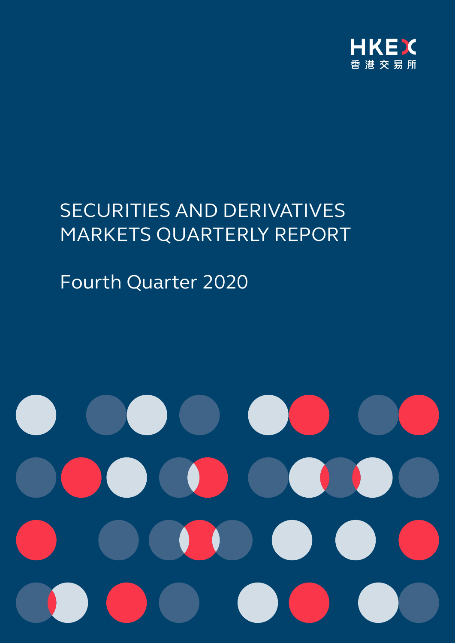

# SECURITIES AND DERIVATIVES MARKETS QUARTERLY REPORT

# Fourth Quarter 2020

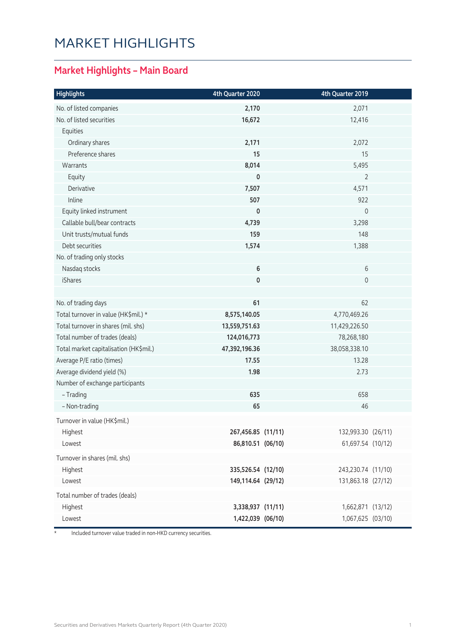# MARKET HIGHLIGHTS

#### **Market Highlights – Main Board**

| <b>Highlights</b>                      | 4th Quarter 2020   | 4th Quarter 2019   |  |
|----------------------------------------|--------------------|--------------------|--|
| No. of listed companies                | 2,170              | 2,071              |  |
| No. of listed securities               | 16,672             | 12,416             |  |
| Equities                               |                    |                    |  |
| Ordinary shares                        | 2,171              | 2,072              |  |
| Preference shares                      | 15                 | 15                 |  |
| Warrants                               | 8,014              | 5,495              |  |
| Equity                                 | 0                  | $\overline{2}$     |  |
| Derivative                             | 7,507              | 4,571              |  |
| Inline                                 | 507                | 922                |  |
| Equity linked instrument               | $\mathbf 0$        | $\mathbf 0$        |  |
| Callable bull/bear contracts           | 4,739              | 3,298              |  |
| Unit trusts/mutual funds               | 159                | 148                |  |
| Debt securities                        | 1,574              | 1,388              |  |
| No. of trading only stocks             |                    |                    |  |
| Nasdaq stocks                          | 6                  | 6                  |  |
| <b>iShares</b>                         | 0                  | $\mathbf{0}$       |  |
|                                        |                    |                    |  |
| No. of trading days                    | 61                 | 62                 |  |
| Total turnover in value (HK\$mil.) *   | 8,575,140.05       | 4,770,469.26       |  |
| Total turnover in shares (mil. shs)    | 13,559,751.63      | 11,429,226.50      |  |
| Total number of trades (deals)         | 124,016,773        | 78,268,180         |  |
| Total market capitalisation (HK\$mil.) | 47,392,196.36      | 38,058,338.10      |  |
| Average P/E ratio (times)              | 17.55              | 13.28              |  |
| Average dividend yield (%)             | 1.98               | 2.73               |  |
| Number of exchange participants        |                    |                    |  |
| - Trading                              | 635                | 658                |  |
| - Non-trading                          | 65                 | 46                 |  |
| Turnover in value (HK\$mil.)           |                    |                    |  |
| Highest                                | 267,456.85 (11/11) | 132,993.30 (26/11) |  |
| Lowest                                 | 86,810.51 (06/10)  | 61,697.54 (10/12)  |  |
| Turnover in shares (mil. shs)          |                    |                    |  |
| Highest                                | 335,526.54 (12/10) | 243,230.74 (11/10) |  |
| Lowest                                 | 149,114.64 (29/12) | 131,863.18 (27/12) |  |
| Total number of trades (deals)         |                    |                    |  |
| Highest                                | 3,338,937 (11/11)  | 1,662,871 (13/12)  |  |
| Lowest                                 | 1,422,039 (06/10)  | 1,067,625 (03/10)  |  |

\* Included turnover value traded in non-HKD currency securities.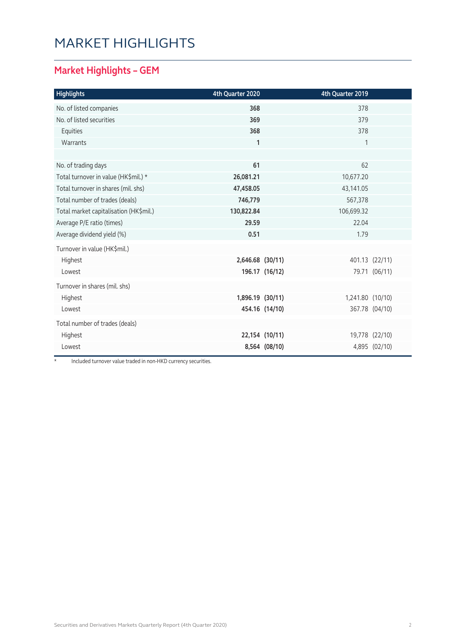# MARKET HIGHLIGHTS

#### **Market Highlights – GEM**

| <b>Highlights</b>                      | 4th Quarter 2020 |                | 4th Quarter 2019 |                |
|----------------------------------------|------------------|----------------|------------------|----------------|
| No. of listed companies                | 368              |                | 378              |                |
| No. of listed securities               | 369              |                | 379              |                |
| Equities                               | 368              |                | 378              |                |
| Warrants                               | $\mathbf{1}$     |                | 1                |                |
|                                        |                  |                |                  |                |
| No. of trading days                    | 61               |                | 62               |                |
| Total turnover in value (HK\$mil.) *   | 26,081.21        |                | 10,677.20        |                |
| Total turnover in shares (mil. shs)    | 47,458.05        |                | 43,141.05        |                |
| Total number of trades (deals)         | 746,779          |                | 567,378          |                |
| Total market capitalisation (HK\$mil.) | 130,822.84       |                | 106,699.32       |                |
| Average P/E ratio (times)              | 29.59            |                | 22.04            |                |
| Average dividend yield (%)             | 0.51             |                | 1.79             |                |
| Turnover in value (HK\$mil.)           |                  |                |                  |                |
| Highest                                | 2,646.68 (30/11) |                |                  | 401.13 (22/11) |
| Lowest                                 |                  | 196.17 (16/12) |                  | 79.71 (06/11)  |
| Turnover in shares (mil. shs)          |                  |                |                  |                |
| Highest                                | 1,896.19 (30/11) |                | 1,241.80 (10/10) |                |
| Lowest                                 |                  | 454.16 (14/10) |                  | 367.78 (04/10) |
| Total number of trades (deals)         |                  |                |                  |                |
| Highest                                |                  | 22,154 (10/11) |                  | 19,778 (22/10) |
| Lowest                                 |                  | 8,564 (08/10)  |                  | 4,895 (02/10)  |

\* Included turnover value traded in non-HKD currency securities.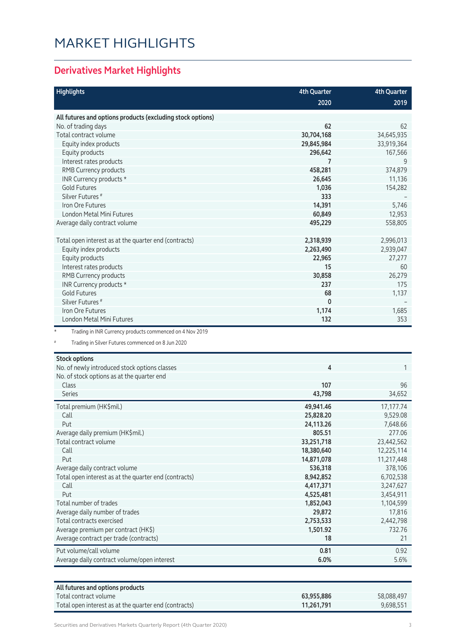# MARKET HIGHLIGHTS

### **Derivatives Market Highlights**

| <b>Highlights</b>                                                     | <b>4th Quarter</b> | <b>4th Quarter</b> |
|-----------------------------------------------------------------------|--------------------|--------------------|
|                                                                       | 2020               | 2019               |
| All futures and options products (excluding stock options)            |                    |                    |
| No. of trading days                                                   | 62                 | 62                 |
| Total contract volume                                                 | 30,704,168         | 34,645,935         |
| Equity index products                                                 | 29,845,984         | 33,919,364         |
| Equity products                                                       | 296,642            | 167,566            |
| Interest rates products                                               | 7                  | 9                  |
| RMB Currency products                                                 | 458,281            | 374,879            |
| INR Currency products *                                               | 26,645             | 11,136             |
| <b>Gold Futures</b>                                                   | 1,036              | 154,282            |
| Silver Futures <sup>#</sup>                                           | 333                |                    |
| Iron Ore Futures                                                      | 14,391             | 5,746              |
| <b>London Metal Mini Futures</b>                                      | 60,849             | 12,953             |
| Average daily contract volume                                         | 495,229            | 558,805            |
|                                                                       |                    |                    |
| Total open interest as at the quarter end (contracts)                 | 2,318,939          | 2,996,013          |
| Equity index products                                                 | 2,263,490          | 2,939,047          |
| Equity products                                                       | 22,965             | 27,277             |
| Interest rates products                                               | 15                 | 60                 |
| RMB Currency products                                                 | 30,858             | 26,279             |
| INR Currency products *                                               | 237                | 175                |
| <b>Gold Futures</b>                                                   | 68                 | 1,137              |
| Silver Futures <sup>#</sup>                                           | 0                  |                    |
| Iron Ore Futures                                                      | 1,174              | 1,685              |
| London Metal Mini Futures                                             | 132                | 353                |
|                                                                       |                    |                    |
| $\star$<br>Trading in INR Currency products commenced on 4 Nov 2019   |                    |                    |
| #<br>Trading in Silver Futures commenced on 8 Jun 2020                |                    |                    |
|                                                                       |                    |                    |
| <b>Stock options</b>                                                  | 4                  | 1                  |
| No. of newly introduced stock options classes                         |                    |                    |
| No. of stock options as at the quarter end                            |                    |                    |
| Class<br><b>Series</b>                                                | 107<br>43,798      | 96<br>34,652       |
|                                                                       |                    |                    |
| Total premium (HK\$mil.)                                              | 49,941.46          | 17,177.74          |
| Call                                                                  | 25,828.20          | 9,529.08           |
| Put                                                                   | 24,113.26          | 7,648.66           |
| Average daily premium (HK\$mil.)                                      | 805.51             | 277.06             |
| Total contract volume                                                 | 33,251,718         | 23,442,562         |
| Call                                                                  | 18,380,640         | 12,225,114         |
| Put                                                                   | 14,871,078         | 11,217,448         |
| Average daily contract volume                                         | 536,318            | 378,106            |
| Total open interest as at the quarter end (contracts)                 | 8,942,852          | 6,702,538          |
| Call                                                                  | 4,417,371          | 3,247,627          |
| Put                                                                   | 4,525,481          | 3,454,911          |
| Total number of trades                                                | 1,852,043          | 1,104,599          |
| Average daily number of trades                                        | 29,872             | 17,816             |
| Total contracts exercised                                             | 2,753,533          | 2,442,798          |
| Average premium per contract (HK\$)                                   | 1,501.92<br>18     | 732.76             |
| Average contract per trade (contracts)                                |                    | 21                 |
| Put volume/call volume<br>Average daily contract volume/open interest | 0.81<br>6.0%       | 0.92<br>5.6%       |

| All futures and options products                      |            |            |
|-------------------------------------------------------|------------|------------|
| Total contract volume                                 | 63.955.886 | 58.088.497 |
| Total open interest as at the quarter end (contracts) | 11.261.791 | 9,698,551  |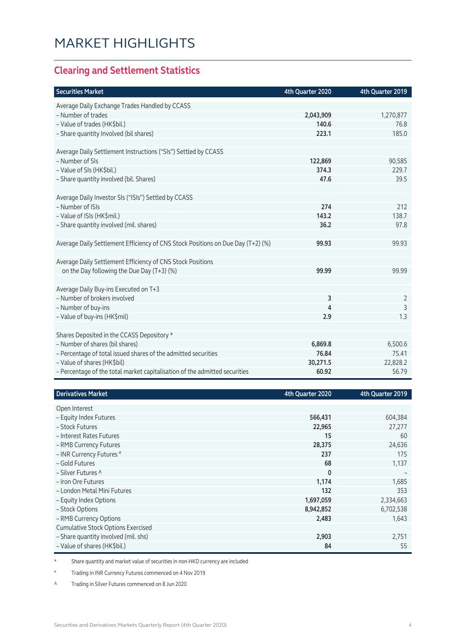#### **Clearing and Settlement Statistics**

| <b>Securities Market</b>                                                        | 4th Quarter 2020 | 4th Quarter 2019 |
|---------------------------------------------------------------------------------|------------------|------------------|
| Average Daily Exchange Trades Handled by CCASS                                  |                  |                  |
| - Number of trades                                                              | 2,043,909        | 1,270,877        |
| - Value of trades (HK\$bil.)                                                    | 140.6            | 76.8             |
| - Share quantity Involved (bil shares)                                          | 223.1            | 185.0            |
|                                                                                 |                  |                  |
| Average Daily Settlement Instructions ("SIs") Settled by CCASS                  |                  |                  |
| - Number of SIs                                                                 | 122,869          | 90,585           |
| - Value of SIs (HK\$bil.)                                                       | 374.3            | 229.7            |
| - Share quantity involved (bil. Shares)                                         | 47.6             | 39.5             |
|                                                                                 |                  |                  |
| Average Daily Investor SIs ("ISIs") Settled by CCASS                            |                  |                  |
| - Number of ISIs                                                                | 274              | 212              |
| - Value of ISIs (HK\$mil.)                                                      | 143.2            | 138.7            |
| - Share quantity involved (mil. shares)                                         | 36.2             | 97.8             |
|                                                                                 |                  |                  |
| Average Daily Settlement Efficiency of CNS Stock Positions on Due Day (T+2) (%) | 99.93            | 99.93            |
|                                                                                 |                  |                  |
| Average Daily Settlement Efficiency of CNS Stock Positions                      |                  |                  |
| on the Day following the Due Day (T+3) (%)                                      | 99.99            | 99.99            |
|                                                                                 |                  |                  |
| Average Daily Buy-ins Executed on T+3                                           |                  |                  |
| - Number of brokers involved                                                    | 3                | $\overline{2}$   |
| - Number of buy-ins                                                             | 4                | 3                |
| - Value of buy-ins (HK\$mil)                                                    | 2.9              | 1.3              |
|                                                                                 |                  |                  |
| Shares Deposited in the CCASS Depository *                                      |                  |                  |
| - Number of shares (bil shares)                                                 | 6,869.8          | 6,500.6          |
| - Percentage of total issued shares of the admitted securities                  | 76.84            | 75.41            |
| - Value of shares (HK\$bil)                                                     | 30,271.5         | 22,828.2         |
| - Percentage of the total market capitalisation of the admitted securities      | 60.92            | 56.79            |
|                                                                                 |                  |                  |

| <b>Derivatives Market</b>                 | 4th Quarter 2020 | 4th Quarter 2019 |
|-------------------------------------------|------------------|------------------|
| Open Interest                             |                  |                  |
| - Equity Index Futures                    | 566,431          | 604,384          |
| - Stock Futures                           | 22,965           | 27,277           |
| - Interest Rates Futures                  | 15               | 60               |
| - RMB Currency Futures                    | 28,375           | 24,636           |
| - INR Currency Futures #                  | 237              | 175              |
| - Gold Futures                            | 68               | 1,137            |
| - Silver Futures ^                        | $\mathbf 0$      |                  |
| - Iron Ore Futures                        | 1,174            | 1,685            |
| - London Metal Mini Futures               | 132              | 353              |
| - Equity Index Options                    | 1,697,059        | 2,334,663        |
| - Stock Options                           | 8,942,852        | 6,702,538        |
| - RMB Currency Options                    | 2,483            | 1,643            |
| <b>Cumulative Stock Options Exercised</b> |                  |                  |
| - Share quantity involved (mil. shs)      | 2,903            | 2,751            |
| - Value of shares (HK\$bil.)              | 84               | 55               |

\* Share quantity and market value of securities in non-HKD currency are included

# Trading in INR Currency Futures commenced on 4 Nov 2019

^ Trading in Silver Futures commenced on 8 Jun 2020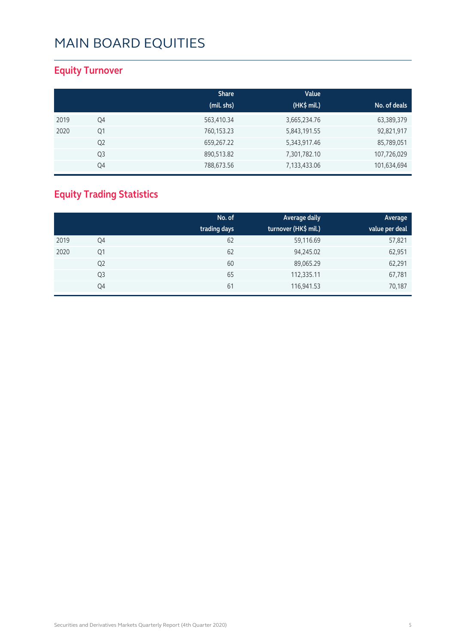### **Equity Turnover**

|      |                | <b>Share</b> | Value        |              |
|------|----------------|--------------|--------------|--------------|
|      |                | (mil. shs)   | (HK\$ mil.)  | No. of deals |
| 2019 | Q4             | 563,410.34   | 3,665,234.76 | 63,389,379   |
| 2020 | Q1             | 760,153.23   | 5,843,191.55 | 92,821,917   |
|      | Q <sub>2</sub> | 659,267.22   | 5,343,917.46 | 85,789,051   |
|      | Q3             | 890,513.82   | 7,301,782.10 | 107,726,029  |
|      | Q4             | 788,673.56   | 7,133,433.06 | 101,634,694  |

### **Equity Trading Statistics**

|      |                | No. of       | Average daily        | Average        |
|------|----------------|--------------|----------------------|----------------|
|      |                | trading days | turnover (HK\$ mil.) | value per deal |
| 2019 | Q4             | 62           | 59,116.69            | 57,821         |
| 2020 | Q1             | 62           | 94,245.02            | 62,951         |
|      | Q <sub>2</sub> | 60           | 89,065.29            | 62,291         |
|      | Q <sub>3</sub> | 65           | 112,335.11           | 67,781         |
|      | Q4             | 61           | 116,941.53           | 70,187         |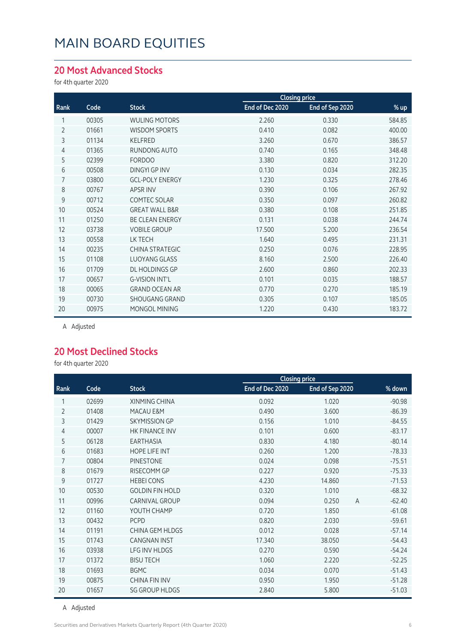#### **20 Most Advanced Stocks**

for 4th quarter 2020

|                |       |                           | <b>Closing price</b> |                 |        |
|----------------|-------|---------------------------|----------------------|-----------------|--------|
| Rank           | Code  | <b>Stock</b>              | End of Dec 2020      | End of Sep 2020 | % up   |
|                | 00305 | <b>WULING MOTORS</b>      | 2.260                | 0.330           | 584.85 |
| $\overline{2}$ | 01661 | <b>WISDOM SPORTS</b>      | 0.410                | 0.082           | 400.00 |
| 3              | 01134 | KELFRED                   | 3.260                | 0.670           | 386.57 |
| $\overline{4}$ | 01365 | RUNDONG AUTO              | 0.740                | 0.165           | 348.48 |
| 5              | 02399 | <b>FORDOO</b>             | 3.380                | 0.820           | 312.20 |
| 6              | 00508 | <b>DINGYI GP INV</b>      | 0.130                | 0.034           | 282.35 |
| 7              | 03800 | <b>GCL-POLY ENERGY</b>    | 1.230                | 0.325           | 278.46 |
| 8              | 00767 | <b>APSR INV</b>           | 0.390                | 0.106           | 267.92 |
| 9              | 00712 | <b>COMTEC SOLAR</b>       | 0.350                | 0.097           | 260.82 |
| 10             | 00524 | <b>GREAT WALL B&amp;R</b> | 0.380                | 0.108           | 251.85 |
| 11             | 01250 | <b>BE CLEAN ENERGY</b>    | 0.131                | 0.038           | 244.74 |
| 12             | 03738 | <b>VOBILE GROUP</b>       | 17.500               | 5.200           | 236.54 |
| 13             | 00558 | LK TECH                   | 1.640                | 0.495           | 231.31 |
| 14             | 00235 | <b>CHINA STRATEGIC</b>    | 0.250                | 0.076           | 228.95 |
| 15             | 01108 | <b>LUOYANG GLASS</b>      | 8.160                | 2.500           | 226.40 |
| 16             | 01709 | <b>DL HOLDINGS GP</b>     | 2.600                | 0.860           | 202.33 |
| 17             | 00657 | <b>G-VISION INT'L</b>     | 0.101                | 0.035           | 188.57 |
| 18             | 00065 | <b>GRAND OCEAN AR</b>     | 0.770                | 0.270           | 185.19 |
| 19             | 00730 | SHOUGANG GRAND            | 0.305                | 0.107           | 185.05 |
| 20             | 00975 | MONGOL MINING             | 1.220                | 0.430           | 183.72 |
|                |       |                           |                      |                 |        |

A Adjusted

#### **20 Most Declined Stocks**

for 4th quarter 2020

|                |       |                        |                 | <b>Closing price</b> |                            |
|----------------|-------|------------------------|-----------------|----------------------|----------------------------|
| Rank           | Code  | <b>Stock</b>           | End of Dec 2020 | End of Sep 2020      | % down                     |
| 1              | 02699 | <b>XINMING CHINA</b>   | 0.092           | 1.020                | $-90.98$                   |
| $\overline{2}$ | 01408 | <b>MACAU E&amp;M</b>   | 0.490           | 3.600                | $-86.39$                   |
| 3              | 01429 | <b>SKYMISSION GP</b>   | 0.156           | 1.010                | $-84.55$                   |
| $\overline{4}$ | 00007 | <b>HK FINANCE INV</b>  | 0.101           | 0.600                | $-83.17$                   |
| 5              | 06128 | <b>EARTHASIA</b>       | 0.830           | 4.180                | $-80.14$                   |
| 6              | 01683 | <b>HOPE LIFE INT</b>   | 0.260           | 1.200                | $-78.33$                   |
| $\overline{7}$ | 00804 | <b>PINESTONE</b>       | 0.024           | 0.098                | $-75.51$                   |
| 8              | 01679 | RISECOMM GP            | 0.227           | 0.920                | $-75.33$                   |
| 9              | 01727 | <b>HEBEI CONS</b>      | 4.230           | 14.860               | $-71.53$                   |
| 10             | 00530 | <b>GOLDIN FIN HOLD</b> | 0.320           | 1.010                | $-68.32$                   |
| 11             | 00996 | <b>CARNIVAL GROUP</b>  | 0.094           | 0.250                | $-62.40$<br>$\overline{A}$ |
| 12             | 01160 | YOUTH CHAMP            | 0.720           | 1.850                | $-61.08$                   |
| 13             | 00432 | <b>PCPD</b>            | 0.820           | 2.030                | $-59.61$                   |
| 14             | 01191 | <b>CHINA GEM HLDGS</b> | 0.012           | 0.028                | $-57.14$                   |
| 15             | 01743 | <b>CANGNAN INST</b>    | 17.340          | 38.050               | $-54.43$                   |
| 16             | 03938 | LFG INV HLDGS          | 0.270           | 0.590                | $-54.24$                   |
| 17             | 01372 | <b>BISU TECH</b>       | 1.060           | 2.220                | $-52.25$                   |
| 18             | 01693 | <b>BGMC</b>            | 0.034           | 0.070                | $-51.43$                   |
| 19             | 00875 | <b>CHINA FIN INV</b>   | 0.950           | 1.950                | $-51.28$                   |
| 20             | 01657 | <b>SG GROUP HLDGS</b>  | 2.840           | 5.800                | $-51.03$                   |

A Adjusted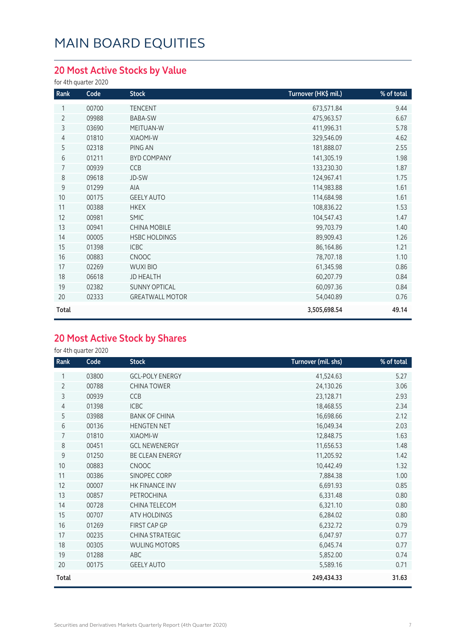### **20 Most Active Stocks by Value**

for 4th quarter 2020

| Rank           | Code  | <b>Stock</b>           | Turnover (HK\$ mil.) | % of total |
|----------------|-------|------------------------|----------------------|------------|
| 1              | 00700 | <b>TENCENT</b>         | 673,571.84           | 9.44       |
| $\overline{2}$ | 09988 | BABA-SW                | 475,963.57           | 6.67       |
| 3              | 03690 | MEITUAN-W              | 411,996.31           | 5.78       |
| 4              | 01810 | XIAOMI-W               | 329,546.09           | 4.62       |
| 5              | 02318 | PING AN                | 181,888.07           | 2.55       |
| 6              | 01211 | <b>BYD COMPANY</b>     | 141,305.19           | 1.98       |
| $\overline{7}$ | 00939 | CCB                    | 133,230.30           | 1.87       |
| 8              | 09618 | JD-SW                  | 124,967.41           | 1.75       |
| 9              | 01299 | AIA                    | 114,983.88           | 1.61       |
| 10             | 00175 | <b>GEELY AUTO</b>      | 114,684.98           | 1.61       |
| 11             | 00388 | <b>HKEX</b>            | 108,836.22           | 1.53       |
| 12             | 00981 | <b>SMIC</b>            | 104,547.43           | 1.47       |
| 13             | 00941 | <b>CHINA MOBILE</b>    | 99,703.79            | 1.40       |
| 14             | 00005 | <b>HSBC HOLDINGS</b>   | 89,909.43            | 1.26       |
| 15             | 01398 | <b>ICBC</b>            | 86,164.86            | 1.21       |
| 16             | 00883 | <b>CNOOC</b>           | 78,707.18            | 1.10       |
| 17             | 02269 | <b>WUXI BIO</b>        | 61,345.98            | 0.86       |
| 18             | 06618 | <b>JD HEALTH</b>       | 60,207.79            | 0.84       |
| 19             | 02382 | <b>SUNNY OPTICAL</b>   | 60,097.36            | 0.84       |
| 20             | 02333 | <b>GREATWALL MOTOR</b> | 54,040.89            | 0.76       |
| Total          |       |                        | 3,505,698.54         | 49.14      |

#### **20 Most Active Stock by Shares**

| Rank           | Code  | <b>Stock</b>           | Turnover (mil. shs) | % of total |
|----------------|-------|------------------------|---------------------|------------|
|                | 03800 | <b>GCL-POLY ENERGY</b> | 41,524.63           | 5.27       |
| $\overline{2}$ | 00788 | <b>CHINA TOWER</b>     | 24,130.26           | 3.06       |
| 3              | 00939 | CCB                    | 23,128.71           | 2.93       |
| 4              | 01398 | <b>ICBC</b>            | 18,468.55           | 2.34       |
| 5              | 03988 | <b>BANK OF CHINA</b>   | 16,698.66           | 2.12       |
| 6              | 00136 | <b>HENGTEN NET</b>     | 16,049.34           | 2.03       |
| 7              | 01810 | <b>XIAOMI-W</b>        | 12,848.75           | 1.63       |
| 8              | 00451 | <b>GCL NEWENERGY</b>   | 11,656.53           | 1.48       |
| 9              | 01250 | <b>BE CLEAN ENERGY</b> | 11,205.92           | 1.42       |
| 10             | 00883 | <b>CNOOC</b>           | 10,442.49           | 1.32       |
| 11             | 00386 | SINOPEC CORP           | 7,884.38            | 1.00       |
| 12             | 00007 | HK FINANCE INV         | 6,691.93            | 0.85       |
| 13             | 00857 | PETROCHINA             | 6,331.48            | 0.80       |
| 14             | 00728 | CHINA TELECOM          | 6,321.10            | 0.80       |
| 15             | 00707 | <b>ATV HOLDINGS</b>    | 6,284.02            | 0.80       |
| 16             | 01269 | FIRST CAP GP           | 6,232.72            | 0.79       |
| 17             | 00235 | <b>CHINA STRATEGIC</b> | 6,047.97            | 0.77       |
| 18             | 00305 | <b>WULING MOTORS</b>   | 6,045.74            | 0.77       |
| 19             | 01288 | ABC                    | 5,852.00            | 0.74       |
| 20             | 00175 | <b>GEELY AUTO</b>      | 5,589.16            | 0.71       |
| <b>Total</b>   |       |                        | 249,434.33          | 31.63      |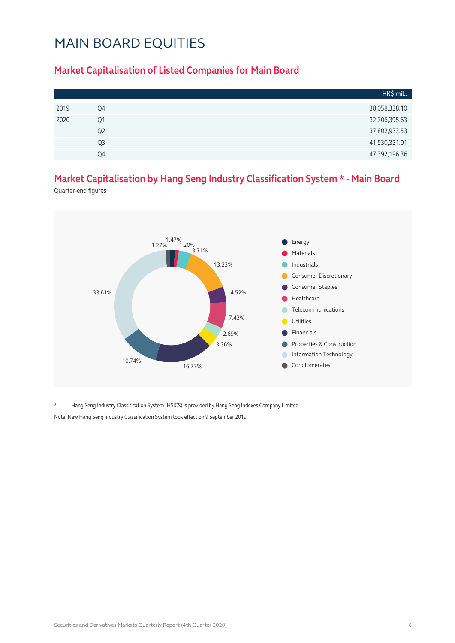#### **Market Capitalisation of Listed Companies for Main Board**

|      |                | HK\$ mil      |
|------|----------------|---------------|
| 2019 | Q4             | 38,058,338.10 |
| 2020 | Q1             | 32,706,395.63 |
|      | Q2             | 37,802,933.53 |
|      | Q <sub>3</sub> | 41,530,331.01 |
|      | Q4             | 47,392,196.36 |

### **Market Capitalisation by Hang Seng Industry Classification System \* - Main Board**

Quarter-end figures



Hang Seng Industry Classification System (HSICS) is provided by Hang Seng Indexes Company Limited.

Note: New Hang Seng Industry Classification System took effect on 9 September 2019.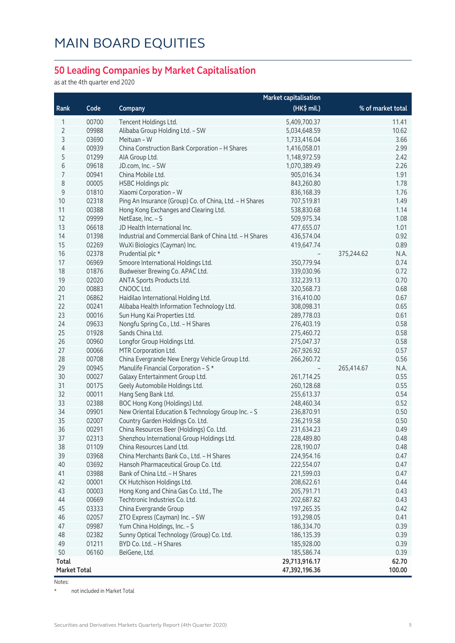#### **50 Leading Companies by Market Capitalisation**

as at the 4th quarter end 2020

|                     |       |                                                         | <b>Market capitalisation</b> |                    |
|---------------------|-------|---------------------------------------------------------|------------------------------|--------------------|
| Rank                | Code  | Company                                                 | (HK\$ mil.)                  | % of market total  |
| 1                   | 00700 | Tencent Holdings Ltd.                                   | 5,409,700.37                 | 11.41              |
| 2                   | 09988 | Alibaba Group Holding Ltd. - SW                         | 5,034,648.59                 | 10.62              |
| 3                   | 03690 | Meituan - W                                             | 1,733,416.04                 | 3.66               |
| 4                   | 00939 | China Construction Bank Corporation - H Shares          | 1,416,058.01                 | 2.99               |
| 5                   | 01299 | AIA Group Ltd.                                          | 1,148,972.59                 | 2.42               |
| 6                   | 09618 | JD.com, Inc. - SW                                       | 1,070,389.49                 | 2.26               |
| 7                   | 00941 | China Mobile Ltd.                                       | 905,016.34                   | 1.91               |
| 8                   | 00005 | <b>HSBC Holdings plc</b>                                | 843,260.80                   | 1.78               |
| $\mathsf 9$         | 01810 | Xiaomi Corporation - W                                  | 836,168.39                   | 1.76               |
| 10                  | 02318 | Ping An Insurance (Group) Co. of China, Ltd. - H Shares | 707,519.81                   | 1.49               |
| 11                  | 00388 | Hong Kong Exchanges and Clearing Ltd.                   | 538,830.68                   | 1.14               |
| 12                  | 09999 | NetEase, Inc. - S                                       | 509,975.34                   | 1.08               |
| 13                  | 06618 | JD Health International Inc.                            | 477,655.07                   | 1.01               |
| 14                  | 01398 | Industrial and Commercial Bank of China Ltd. - H Shares | 436,574.04                   | 0.92               |
| 15                  | 02269 | WuXi Biologics (Cayman) Inc.                            | 419,647.74                   | 0.89               |
| 16                  | 02378 | Prudential plc *                                        |                              | 375,244.62<br>N.A. |
| 17                  | 06969 | Smoore International Holdings Ltd.                      | 350,779.94                   | 0.74               |
| 18                  | 01876 | Budweiser Brewing Co. APAC Ltd.                         | 339,030.96                   | 0.72               |
| 19                  | 02020 | ANTA Sports Products Ltd.                               | 332,239.13                   | 0.70               |
| 20                  | 00883 | CNOOC Ltd.                                              | 320,568.73                   | 0.68               |
| 21                  | 06862 | Haidilao International Holding Ltd.                     | 316,410.00                   | 0.67               |
| 22                  | 00241 | Alibaba Health Information Technology Ltd.              | 308,098.31                   | 0.65               |
| 23                  | 00016 | Sun Hung Kai Properties Ltd.                            | 289,778.03                   | 0.61               |
| 24                  | 09633 | Nongfu Spring Co., Ltd. - H Shares                      | 276,403.19                   | 0.58               |
| 25                  | 01928 | Sands China Ltd.                                        | 275,460.72                   | 0.58               |
| 26                  | 00960 | Longfor Group Holdings Ltd.                             | 275,047.37                   | 0.58               |
| 27                  | 00066 | MTR Corporation Ltd.                                    | 267,926.92                   | 0.57               |
| 28                  | 00708 | China Evergrande New Energy Vehicle Group Ltd.          | 266,260.72                   | 0.56               |
| 29                  | 00945 | Manulife Financial Corporation - S*                     |                              | N.A.<br>265,414.67 |
| 30                  | 00027 | Galaxy Entertainment Group Ltd.                         | 261,714.25                   | 0.55               |
| 31                  | 00175 | Geely Automobile Holdings Ltd.                          | 260,128.68                   | 0.55               |
| 32                  | 00011 | Hang Seng Bank Ltd.                                     | 255,613.37                   | 0.54               |
| 33                  | 02388 | BOC Hong Kong (Holdings) Ltd.                           | 248,460.34                   | 0.52               |
| 34                  | 09901 | New Oriental Education & Technology Group Inc. - S      |                              | 0.50               |
| 35                  | 02007 | Country Garden Holdings Co. Ltd.                        | 236,870.91                   | 0.50               |
| 36                  | 00291 |                                                         | 236,219.58                   | 0.49               |
|                     | 02313 | China Resources Beer (Holdings) Co. Ltd.                | 231,634.23<br>228,489.80     |                    |
| 37<br>38            | 01109 | Shenzhou International Group Holdings Ltd.              |                              | 0.48<br>0.48       |
|                     |       | China Resources Land Ltd.                               | 228,190.07                   |                    |
| 39                  | 03968 | China Merchants Bank Co., Ltd. - H Shares               | 224,954.16                   | 0.47               |
| 40                  | 03692 | Hansoh Pharmaceutical Group Co. Ltd.                    | 222,554.07                   | 0.47               |
| 41                  | 03988 | Bank of China Ltd. - H Shares                           | 221,599.03                   | 0.47               |
| 42                  | 00001 | CK Hutchison Holdings Ltd.                              | 208,622.61                   | 0.44               |
| 43                  | 00003 | Hong Kong and China Gas Co. Ltd., The                   | 205,791.71                   | 0.43               |
| 44                  | 00669 | Techtronic Industries Co. Ltd.                          | 202,687.82                   | 0.43               |
| 45                  | 03333 | China Evergrande Group                                  | 197,265.35                   | 0.42               |
| 46                  | 02057 | ZTO Express (Cayman) Inc. - SW                          | 193,298.05                   | 0.41               |
| 47                  | 09987 | Yum China Holdings, Inc. - S                            | 186,334.70                   | 0.39               |
| 48                  | 02382 | Sunny Optical Technology (Group) Co. Ltd.               | 186,135.39                   | 0.39               |
| 49                  | 01211 | BYD Co. Ltd. - H Shares                                 | 185,928.00                   | 0.39               |
| 50                  | 06160 | BeiGene, Ltd.                                           | 185,586.74                   | 0.39               |
| <b>Total</b>        |       |                                                         | 29,713,916.17                | 62.70              |
| <b>Market Total</b> |       |                                                         | 47,392,196.36                | 100.00             |

Notes:

\* not included in Market Total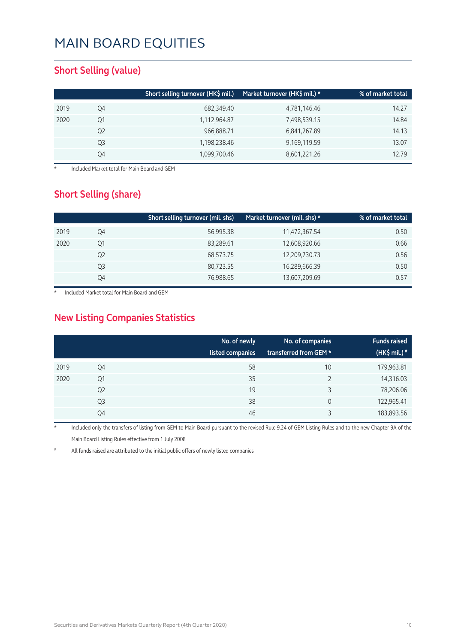#### **Short Selling (value)**

|      |    | Short selling turnover (HK\$ mil.) | Market turnover (HK\$ mil.) * | % of market total |
|------|----|------------------------------------|-------------------------------|-------------------|
| 2019 | Q4 | 682,349.40                         | 4,781,146.46                  | 14.27             |
| 2020 | Q1 | 1,112,964.87                       | 7,498,539.15                  | 14.84             |
|      | Q2 | 966,888.71                         | 6,841,267.89                  | 14.13             |
|      | Q3 | 1,198,238.46                       | 9,169,119.59                  | 13.07             |
|      | O4 | 1,099,700.46                       | 8,601,221.26                  | 12.79             |

Included Market total for Main Board and GEM

#### **Short Selling (share)**

|      |    | Short selling turnover (mil. shs) | Market turnover (mil. shs) * | % of market total |
|------|----|-----------------------------------|------------------------------|-------------------|
| 2019 | Q4 | 56,995.38                         | 11,472,367.54                | 0.50              |
| 2020 | Q1 | 83,289.61                         | 12,608,920.66                | 0.66              |
|      | Q2 | 68,573.75                         | 12,209,730.73                | 0.56              |
|      | Q3 | 80,723.55                         | 16,289,666.39                | 0.50              |
|      | Q4 | 76,988.65                         | 13,607,209.69                | 0.57              |

Included Market total for Main Board and GEM

### **New Listing Companies Statistics**

|      |                | No. of newly<br>listed companies | No. of companies<br>transferred from GEM * | <b>Funds raised</b><br>(HK\$ mil.) $*$ |
|------|----------------|----------------------------------|--------------------------------------------|----------------------------------------|
| 2019 | Q4             | 58                               | 10                                         | 179,963.81                             |
| 2020 | Q1             | 35                               | $\mathcal{D}$                              | 14,316.03                              |
|      | Q <sub>2</sub> | 19                               | 3                                          | 78,206.06                              |
|      | Q3             | 38                               | 0                                          | 122,965.41                             |
|      | Q4             | 46                               |                                            | 183,893.56                             |

Included only the transfers of listing from GEM to Main Board pursuant to the revised Rule 9.24 of GEM Listing Rules and to the new Chapter 9A of the Main Board Listing Rules effective from 1 July 2008

All funds raised are attributed to the initial public offers of newly listed companies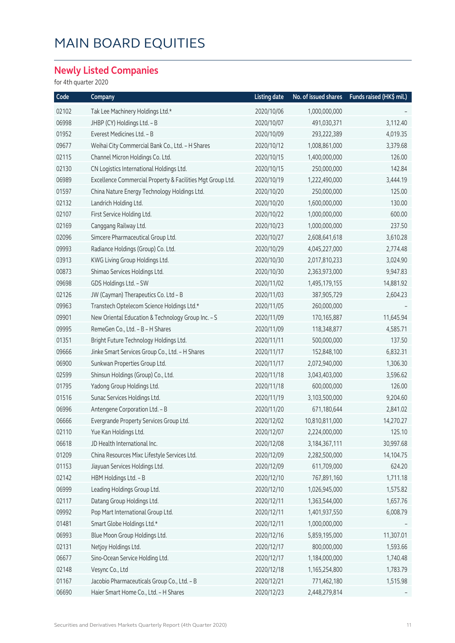#### **Newly Listed Companies**

| Code  | Company                                                    | <b>Listing date</b> | No. of issued shares | Funds raised (HK\$ mil.) |
|-------|------------------------------------------------------------|---------------------|----------------------|--------------------------|
| 02102 | Tak Lee Machinery Holdings Ltd.*                           | 2020/10/06          | 1,000,000,000        |                          |
| 06998 | JHBP (CY) Holdings Ltd. - B                                | 2020/10/07          | 491,030,371          | 3,112.40                 |
| 01952 | Everest Medicines Ltd. - B                                 | 2020/10/09          | 293,222,389          | 4,019.35                 |
| 09677 | Weihai City Commercial Bank Co., Ltd. - H Shares           | 2020/10/12          | 1,008,861,000        | 3,379.68                 |
| 02115 | Channel Micron Holdings Co. Ltd.                           | 2020/10/15          | 1,400,000,000        | 126.00                   |
| 02130 | CN Logistics International Holdings Ltd.                   | 2020/10/15          | 250,000,000          | 142.84                   |
| 06989 | Excellence Commercial Property & Facilities Mgt Group Ltd. | 2020/10/19          | 1,222,490,000        | 3,444.19                 |
| 01597 | China Nature Energy Technology Holdings Ltd.               | 2020/10/20          | 250,000,000          | 125.00                   |
| 02132 | Landrich Holding Ltd.                                      | 2020/10/20          | 1,600,000,000        | 130.00                   |
| 02107 | First Service Holding Ltd.                                 | 2020/10/22          | 1,000,000,000        | 600.00                   |
| 02169 | Canggang Railway Ltd.                                      | 2020/10/23          | 1,000,000,000        | 237.50                   |
| 02096 | Simcere Pharmaceutical Group Ltd.                          | 2020/10/27          | 2,608,641,618        | 3,610.28                 |
| 09993 | Radiance Holdings (Group) Co. Ltd.                         | 2020/10/29          | 4,045,227,000        | 2,774.48                 |
| 03913 | KWG Living Group Holdings Ltd.                             | 2020/10/30          | 2,017,810,233        | 3,024.90                 |
| 00873 | Shimao Services Holdings Ltd.                              | 2020/10/30          | 2,363,973,000        | 9,947.83                 |
| 09698 | GDS Holdings Ltd. - SW                                     | 2020/11/02          | 1,495,179,155        | 14,881.92                |
| 02126 | JW (Cayman) Therapeutics Co. Ltd - B                       | 2020/11/03          | 387,905,729          | 2,604.23                 |
| 09963 | Transtech Optelecom Science Holdings Ltd.*                 | 2020/11/05          | 260,000,000          |                          |
| 09901 | New Oriental Education & Technology Group Inc. - S         | 2020/11/09          | 170,165,887          | 11,645.94                |
| 09995 | RemeGen Co., Ltd. - B - H Shares                           | 2020/11/09          | 118,348,877          | 4,585.71                 |
| 01351 | Bright Future Technology Holdings Ltd.                     | 2020/11/11          | 500,000,000          | 137.50                   |
| 09666 | Jinke Smart Services Group Co., Ltd. - H Shares            | 2020/11/17          | 152,848,100          | 6,832.31                 |
| 06900 | Sunkwan Properties Group Ltd.                              | 2020/11/17          | 2,072,940,000        | 1,306.30                 |
| 02599 | Shinsun Holdings (Group) Co., Ltd.                         | 2020/11/18          | 3,043,403,000        | 3,596.62                 |
| 01795 | Yadong Group Holdings Ltd.                                 | 2020/11/18          | 600,000,000          | 126.00                   |
| 01516 | Sunac Services Holdings Ltd.                               | 2020/11/19          | 3,103,500,000        | 9,204.60                 |
| 06996 | Antengene Corporation Ltd. - B                             | 2020/11/20          | 671,180,644          | 2,841.02                 |
| 06666 | Evergrande Property Services Group Ltd.                    | 2020/12/02          | 10,810,811,000       | 14,270.27                |
| 02110 | Yue Kan Holdings Ltd.                                      | 2020/12/07          | 2,224,000,000        | 125.10                   |
| 06618 | JD Health International Inc.                               | 2020/12/08          | 3, 184, 367, 111     | 30,997.68                |
| 01209 | China Resources Mixc Lifestyle Services Ltd.               | 2020/12/09          | 2,282,500,000        | 14,104.75                |
| 01153 | Jiayuan Services Holdings Ltd.                             | 2020/12/09          | 611,709,000          | 624.20                   |
| 02142 | HBM Holdings Ltd. - B                                      | 2020/12/10          | 767,891,160          | 1,711.18                 |
| 06999 | Leading Holdings Group Ltd.                                | 2020/12/10          | 1,026,945,000        | 1,575.82                 |
| 02117 | Datang Group Holdings Ltd.                                 | 2020/12/11          | 1,363,544,000        | 1,657.76                 |
| 09992 | Pop Mart International Group Ltd.                          | 2020/12/11          | 1,401,937,550        | 6,008.79                 |
| 01481 | Smart Globe Holdings Ltd.*                                 | 2020/12/11          | 1,000,000,000        |                          |
| 06993 | Blue Moon Group Holdings Ltd.                              | 2020/12/16          | 5,859,195,000        | 11,307.01                |
| 02131 | Netjoy Holdings Ltd.                                       | 2020/12/17          | 800,000,000          | 1,593.66                 |
| 06677 | Sino-Ocean Service Holding Ltd.                            | 2020/12/17          | 1,184,000,000        | 1,740.48                 |
| 02148 | Vesync Co., Ltd                                            | 2020/12/18          | 1,165,254,800        | 1,783.79                 |
| 01167 | Jacobio Pharmaceuticals Group Co., Ltd. - B                | 2020/12/21          | 771,462,180          | 1,515.98                 |
| 06690 | Haier Smart Home Co., Ltd. - H Shares                      | 2020/12/23          | 2,448,279,814        |                          |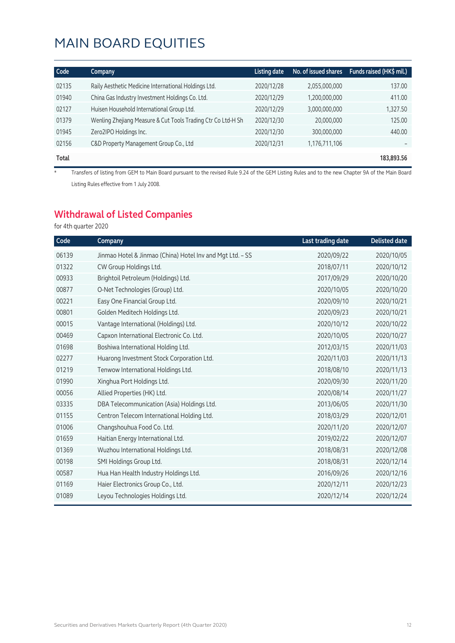| Code  | Company                                                      | <b>Listing date</b> | No. of issued shares | Funds raised (HK\$ mil.) |
|-------|--------------------------------------------------------------|---------------------|----------------------|--------------------------|
| 02135 | Raily Aesthetic Medicine International Holdings Ltd.         | 2020/12/28          | 2,055,000,000        | 137.00                   |
| 01940 | China Gas Industry Investment Holdings Co. Ltd.              | 2020/12/29          | 1,200,000,000        | 411.00                   |
| 02127 | Huisen Household International Group Ltd.                    | 2020/12/29          | 3,000,000,000        | 1,327.50                 |
| 01379 | Wenling Zhejiang Measure & Cut Tools Trading Ctr Co Ltd-H Sh | 2020/12/30          | 20,000,000           | 125.00                   |
| 01945 | Zero2IPO Holdings Inc.                                       | 2020/12/30          | 300,000,000          | 440.00                   |
| 02156 | C&D Property Management Group Co., Ltd                       | 2020/12/31          | 1,176,711,106        |                          |
| Total |                                                              |                     |                      | 183,893.56               |

\* Transfers of listing from GEM to Main Board pursuant to the revised Rule 9.24 of the GEM Listing Rules and to the new Chapter 9A of the Main Board Listing Rules effective from 1 July 2008.

#### **Withdrawal of Listed Companies**

| Code  | Company                                                   | Last trading date | <b>Delisted date</b> |
|-------|-----------------------------------------------------------|-------------------|----------------------|
| 06139 | Jinmao Hotel & Jinmao (China) Hotel Inv and Mgt Ltd. - SS | 2020/09/22        | 2020/10/05           |
| 01322 | CW Group Holdings Ltd.                                    | 2018/07/11        | 2020/10/12           |
| 00933 | Brightoil Petroleum (Holdings) Ltd.                       | 2017/09/29        | 2020/10/20           |
| 00877 | O-Net Technologies (Group) Ltd.                           | 2020/10/05        | 2020/10/20           |
| 00221 | Easy One Financial Group Ltd.                             | 2020/09/10        | 2020/10/21           |
| 00801 | Golden Meditech Holdings Ltd.                             | 2020/09/23        | 2020/10/21           |
| 00015 | Vantage International (Holdings) Ltd.                     | 2020/10/12        | 2020/10/22           |
| 00469 | Capxon International Electronic Co. Ltd.                  | 2020/10/05        | 2020/10/27           |
| 01698 | Boshiwa International Holding Ltd.                        | 2012/03/15        | 2020/11/03           |
| 02277 | Huarong Investment Stock Corporation Ltd.                 | 2020/11/03        | 2020/11/13           |
| 01219 | Tenwow International Holdings Ltd.                        | 2018/08/10        | 2020/11/13           |
| 01990 | Xinghua Port Holdings Ltd.                                | 2020/09/30        | 2020/11/20           |
| 00056 | Allied Properties (HK) Ltd.                               | 2020/08/14        | 2020/11/27           |
| 03335 | DBA Telecommunication (Asia) Holdings Ltd.                | 2013/06/05        | 2020/11/30           |
| 01155 | Centron Telecom International Holding Ltd.                | 2018/03/29        | 2020/12/01           |
| 01006 | Changshouhua Food Co. Ltd.                                | 2020/11/20        | 2020/12/07           |
| 01659 | Haitian Energy International Ltd.                         | 2019/02/22        | 2020/12/07           |
| 01369 | Wuzhou International Holdings Ltd.                        | 2018/08/31        | 2020/12/08           |
| 00198 | SMI Holdings Group Ltd.                                   | 2018/08/31        | 2020/12/14           |
| 00587 | Hua Han Health Industry Holdings Ltd.                     | 2016/09/26        | 2020/12/16           |
| 01169 | Haier Electronics Group Co., Ltd.                         | 2020/12/11        | 2020/12/23           |
| 01089 | Leyou Technologies Holdings Ltd.                          | 2020/12/14        | 2020/12/24           |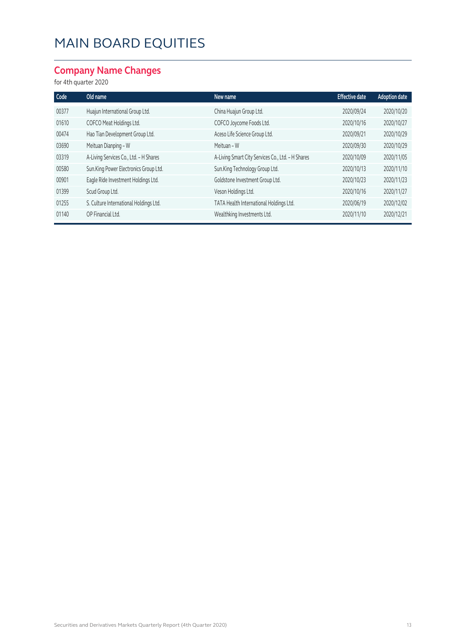#### **Company Name Changes**

| Code  | Old name                               | New name                                          | <b>Effective date</b> | <b>Adoption date</b> |
|-------|----------------------------------------|---------------------------------------------------|-----------------------|----------------------|
| 00377 | Huajun International Group Ltd.        | China Huajun Group Ltd.                           | 2020/09/24            | 2020/10/20           |
| 01610 | COFCO Meat Holdings Ltd.               | COFCO Joycome Foods Ltd.                          | 2020/10/16            | 2020/10/27           |
| 00474 | Hao Tian Development Group Ltd.        | Aceso Life Science Group Ltd.                     | 2020/09/21            | 2020/10/29           |
| 03690 | Meituan Dianping - W                   | Meituan - W                                       | 2020/09/30            | 2020/10/29           |
| 03319 | A-Living Services Co., Ltd. - H Shares | A-Living Smart City Services Co., Ltd. - H Shares | 2020/10/09            | 2020/11/05           |
| 00580 | Sun.King Power Electronics Group Ltd.  | Sun.King Technology Group Ltd.                    | 2020/10/13            | 2020/11/10           |
| 00901 | Eagle Ride Investment Holdings Ltd.    | Goldstone Investment Group Ltd.                   | 2020/10/23            | 2020/11/23           |
| 01399 | Scud Group Ltd.                        | Veson Holdings Ltd.                               | 2020/10/16            | 2020/11/27           |
| 01255 | S. Culture International Holdings Ltd. | TATA Health International Holdings Ltd.           | 2020/06/19            | 2020/12/02           |
| 01140 | OP Financial Ltd.                      | Wealthking Investments Ltd.                       | 2020/11/10            | 2020/12/21           |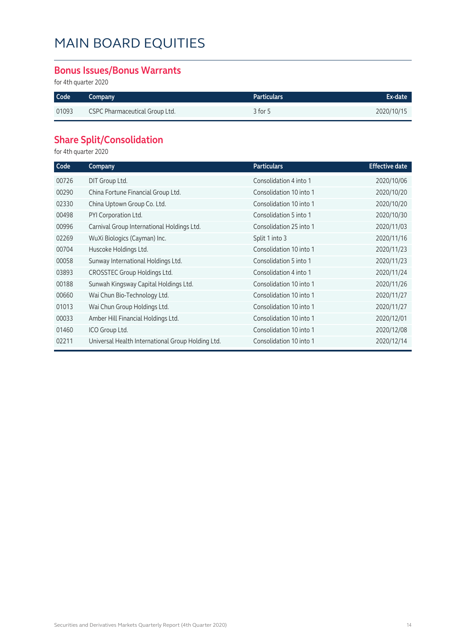#### **Bonus Issues/Bonus Warrants**

for 4th quarter 2020

| Code  | Company                        | <b>Particulars</b> | Ex-date    |
|-------|--------------------------------|--------------------|------------|
| 01093 | CSPC Pharmaceutical Group Ltd. | 3 for 5            | 2020/10/15 |

### **Share Split/Consolidation**

| Company                                           | <b>Particulars</b>      | <b>Effective date</b> |
|---------------------------------------------------|-------------------------|-----------------------|
| DIT Group Ltd.                                    | Consolidation 4 into 1  | 2020/10/06            |
| China Fortune Financial Group Ltd.                | Consolidation 10 into 1 | 2020/10/20            |
| China Uptown Group Co. Ltd.                       | Consolidation 10 into 1 | 2020/10/20            |
| PYI Corporation Ltd.                              | Consolidation 5 into 1  | 2020/10/30            |
| Carnival Group International Holdings Ltd.        | Consolidation 25 into 1 | 2020/11/03            |
| WuXi Biologics (Cayman) Inc.                      | Split 1 into 3          | 2020/11/16            |
| Huscoke Holdings Ltd.                             | Consolidation 10 into 1 | 2020/11/23            |
| Sunway International Holdings Ltd.                | Consolidation 5 into 1  | 2020/11/23            |
| CROSSTEC Group Holdings Ltd.                      | Consolidation 4 into 1  | 2020/11/24            |
| Sunwah Kingsway Capital Holdings Ltd.             | Consolidation 10 into 1 | 2020/11/26            |
| Wai Chun Bio-Technology Ltd.                      | Consolidation 10 into 1 | 2020/11/27            |
| Wai Chun Group Holdings Ltd.                      | Consolidation 10 into 1 | 2020/11/27            |
| Amber Hill Financial Holdings Ltd.                | Consolidation 10 into 1 | 2020/12/01            |
| ICO Group Ltd.                                    | Consolidation 10 into 1 | 2020/12/08            |
| Universal Health International Group Holding Ltd. | Consolidation 10 into 1 | 2020/12/14            |
|                                                   |                         |                       |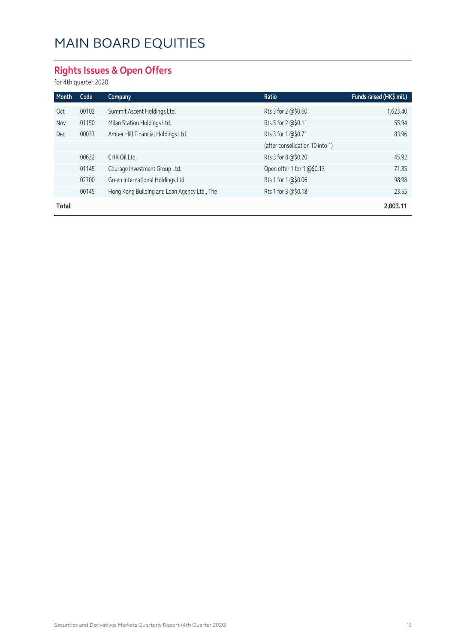### **Rights Issues & Open Offers**

| Month      | Code  | Company                                      | Ratio                           | Funds raised (HK\$ mil.) |
|------------|-------|----------------------------------------------|---------------------------------|--------------------------|
| <b>Oct</b> | 00102 | Summit Ascent Holdings Ltd.                  | Rts 3 for 2 @\$0.60             | 1,623.40                 |
| Nov        | 01150 | Milan Station Holdings Ltd.                  | Rts 5 for 2 @\$0.11             | 55.94                    |
| Dec        | 00033 | Amber Hill Financial Holdings Ltd.           | Rts 3 for 1 @\$0.71             | 83.96                    |
|            |       |                                              | (after consolidation 10 into 1) |                          |
|            | 00632 | CHK Oil Ltd.                                 | Rts 3 for 8 @\$0.20             | 45.92                    |
|            | 01145 | Courage Investment Group Ltd.                | Open offer 1 for 1 @\$0.13      | 71.35                    |
|            | 02700 | Green International Holdings Ltd.            | Rts 1 for 1 @\$0.06             | 98.98                    |
|            | 00145 | Hong Kong Building and Loan Agency Ltd., The | Rts 1 for 3 @\$0.18             | 23.55                    |
| Total      |       |                                              |                                 | 2.003.11                 |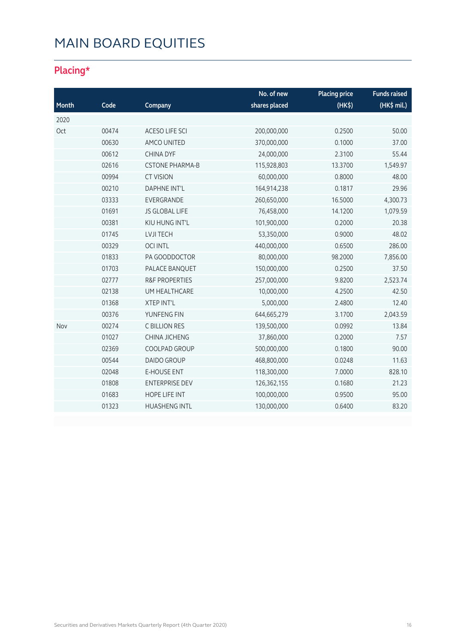### **Placing\***

|       |       |                           | No. of new    | <b>Placing price</b> | <b>Funds raised</b> |
|-------|-------|---------------------------|---------------|----------------------|---------------------|
| Month | Code  | Company                   | shares placed | (HK <sub>5</sub> )   | (HK\$ mil.)         |
| 2020  |       |                           |               |                      |                     |
| Oct   | 00474 | <b>ACESO LIFE SCI</b>     | 200,000,000   | 0.2500               | 50.00               |
|       | 00630 | <b>AMCO UNITED</b>        | 370,000,000   | 0.1000               | 37.00               |
|       | 00612 | <b>CHINA DYF</b>          | 24,000,000    | 2.3100               | 55.44               |
|       | 02616 | <b>CSTONE PHARMA-B</b>    | 115,928,803   | 13.3700              | 1,549.97            |
|       | 00994 | <b>CT VISION</b>          | 60,000,000    | 0.8000               | 48.00               |
|       | 00210 | <b>DAPHNE INT'L</b>       | 164,914,238   | 0.1817               | 29.96               |
|       | 03333 | EVERGRANDE                | 260,650,000   | 16.5000              | 4,300.73            |
|       | 01691 | JS GLOBAL LIFE            | 76,458,000    | 14.1200              | 1,079.59            |
|       | 00381 | KIU HUNG INT'L            | 101,900,000   | 0.2000               | 20.38               |
|       | 01745 | LVJI TECH                 | 53,350,000    | 0.9000               | 48.02               |
|       | 00329 | <b>OCI INTL</b>           | 440,000,000   | 0.6500               | 286.00              |
|       | 01833 | PA GOODDOCTOR             | 80,000,000    | 98.2000              | 7,856.00            |
|       | 01703 | PALACE BANQUET            | 150,000,000   | 0.2500               | 37.50               |
|       | 02777 | <b>R&amp;F PROPERTIES</b> | 257,000,000   | 9.8200               | 2,523.74            |
|       | 02138 | UM HEALTHCARE             | 10,000,000    | 4.2500               | 42.50               |
|       | 01368 | <b>XTEP INT'L</b>         | 5,000,000     | 2.4800               | 12.40               |
|       | 00376 | YUNFENG FIN               | 644,665,279   | 3.1700               | 2,043.59            |
| Nov   | 00274 | C BILLION RES             | 139,500,000   | 0.0992               | 13.84               |
|       | 01027 | CHINA JICHENG             | 37,860,000    | 0.2000               | 7.57                |
|       | 02369 | COOLPAD GROUP             | 500,000,000   | 0.1800               | 90.00               |
|       | 00544 | <b>DAIDO GROUP</b>        | 468,800,000   | 0.0248               | 11.63               |
|       | 02048 | <b>E-HOUSE ENT</b>        | 118,300,000   | 7.0000               | 828.10              |
|       | 01808 | <b>ENTERPRISE DEV</b>     | 126,362,155   | 0.1680               | 21.23               |
|       | 01683 | HOPE LIFE INT             | 100,000,000   | 0.9500               | 95.00               |
|       | 01323 | <b>HUASHENG INTL</b>      | 130,000,000   | 0.6400               | 83.20               |
|       |       |                           |               |                      |                     |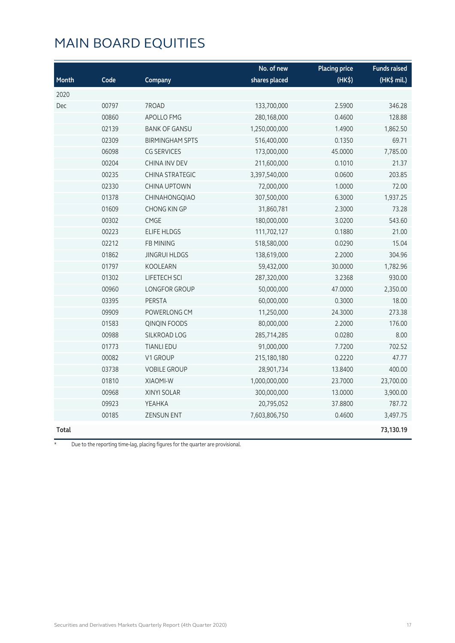|       |       |                        | No. of new    | <b>Placing price</b> | <b>Funds raised</b> |
|-------|-------|------------------------|---------------|----------------------|---------------------|
| Month | Code  | Company                | shares placed | (HK <sub>5</sub> )   | (HK\$ mil.)         |
| 2020  |       |                        |               |                      |                     |
| Dec   | 00797 | 7ROAD                  | 133,700,000   | 2.5900               | 346.28              |
|       | 00860 | <b>APOLLO FMG</b>      | 280,168,000   | 0.4600               | 128.88              |
|       | 02139 | <b>BANK OF GANSU</b>   | 1,250,000,000 | 1.4900               | 1,862.50            |
|       | 02309 | <b>BIRMINGHAM SPTS</b> | 516,400,000   | 0.1350               | 69.71               |
|       | 06098 | <b>CG SERVICES</b>     | 173,000,000   | 45.0000              | 7,785.00            |
|       | 00204 | <b>CHINA INV DEV</b>   | 211,600,000   | 0.1010               | 21.37               |
|       | 00235 | <b>CHINA STRATEGIC</b> | 3,397,540,000 | 0.0600               | 203.85              |
|       | 02330 | <b>CHINA UPTOWN</b>    | 72,000,000    | 1.0000               | 72.00               |
|       | 01378 | CHINAHONGQIAO          | 307,500,000   | 6.3000               | 1,937.25            |
|       | 01609 | CHONG KIN GP           | 31,860,781    | 2.3000               | 73.28               |
|       | 00302 | <b>CMGE</b>            | 180,000,000   | 3.0200               | 543.60              |
|       | 00223 | <b>ELIFE HLDGS</b>     | 111,702,127   | 0.1880               | 21.00               |
|       | 02212 | <b>FB MINING</b>       | 518,580,000   | 0.0290               | 15.04               |
|       | 01862 | <b>JINGRUI HLDGS</b>   | 138,619,000   | 2.2000               | 304.96              |
|       | 01797 | <b>KOOLEARN</b>        | 59,432,000    | 30.0000              | 1,782.96            |
|       | 01302 | <b>LIFETECH SCI</b>    | 287,320,000   | 3.2368               | 930.00              |
|       | 00960 | <b>LONGFOR GROUP</b>   | 50,000,000    | 47.0000              | 2,350.00            |
|       | 03395 | <b>PERSTA</b>          | 60,000,000    | 0.3000               | 18.00               |
|       | 09909 | POWERLONG CM           | 11,250,000    | 24.3000              | 273.38              |
|       | 01583 | QINQIN FOODS           | 80,000,000    | 2.2000               | 176.00              |
|       | 00988 | SILKROAD LOG           | 285,714,285   | 0.0280               | 8.00                |
|       | 01773 | <b>TIANLI EDU</b>      | 91,000,000    | 7.7200               | 702.52              |
|       | 00082 | V1 GROUP               | 215,180,180   | 0.2220               | 47.77               |
|       | 03738 | <b>VOBILE GROUP</b>    | 28,901,734    | 13.8400              | 400.00              |
|       | 01810 | XIAOMI-W               | 1,000,000,000 | 23.7000              | 23,700.00           |
|       | 00968 | XINYI SOLAR            | 300,000,000   | 13.0000              | 3,900.00            |
|       | 09923 | <b>YEAHKA</b>          | 20,795,052    | 37.8800              | 787.72              |
|       | 00185 | <b>ZENSUN ENT</b>      | 7,603,806,750 | 0.4600               | 3,497.75            |
| Total |       |                        |               |                      | 73,130.19           |

\* Due to the reporting time-lag, placing figures for the quarter are provisional.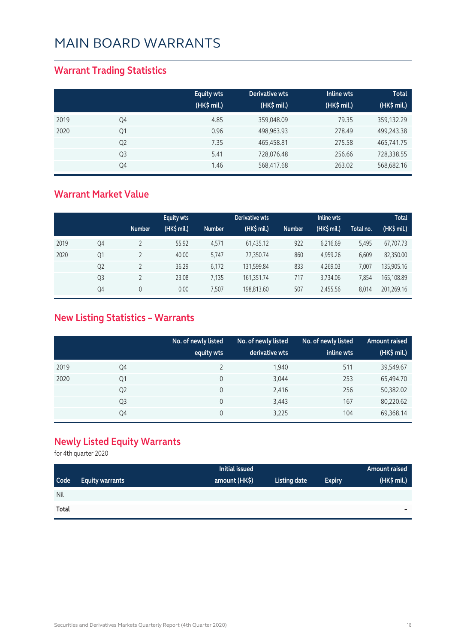#### **Warrant Trading Statistics**

|      |                | <b>Equity wts</b><br>(HK\$ mil.) | Derivative wts<br>(HK\$ mil.) | Inline wts<br>(HK\$ mil.) | <b>Total</b><br>(HK\$ mil.) |
|------|----------------|----------------------------------|-------------------------------|---------------------------|-----------------------------|
| 2019 | Q4             | 4.85                             | 359,048.09                    | 79.35                     | 359,132.29                  |
| 2020 | Q1             | 0.96                             | 498,963.93                    | 278.49                    | 499,243.38                  |
|      | Q <sub>2</sub> | 7.35                             | 465,458.81                    | 275.58                    | 465,741.75                  |
|      | Q <sub>3</sub> | 5.41                             | 728,076.48                    | 256.66                    | 728,338.55                  |
|      | Q4             | 1.46                             | 568,417.68                    | 263.02                    | 568,682.16                  |

#### **Warrant Market Value**

|      |                |               | <b>Equity wts</b> |               | Derivative wts |               | Inline wts   |           | <b>Total</b> |
|------|----------------|---------------|-------------------|---------------|----------------|---------------|--------------|-----------|--------------|
|      |                | <b>Number</b> | $(HK$$ mil.)      | <b>Number</b> | $(HK$$ mil.)   | <b>Number</b> | $(HK$$ mil.) | Total no. | $(HK$$ mil.) |
| 2019 | Q4             |               | 55.92             | 4,571         | 61,435.12      | 922           | 6.216.69     | 5,495     | 67,707.73    |
| 2020 | Q1             |               | 40.00             | 5,747         | 77,350.74      | 860           | 4,959.26     | 6,609     | 82,350.00    |
|      | Q <sub>2</sub> |               | 36.29             | 6,172         | 131,599.84     | 833           | 4,269.03     | 7.007     | 135,905.16   |
|      | Q <sub>3</sub> |               | 23.08             | 7,135         | 161,351.74     | 717           | 3,734.06     | 7.854     | 165,108.89   |
|      | Q4             | 0             | 0.00              | 7,507         | 198,813.60     | 507           | 2,455.56     | 8,014     | 201,269.16   |

### **New Listing Statistics – Warrants**

|      |                | No. of newly listed<br>equity wts | No. of newly listed<br>derivative wts | No. of newly listed<br>inline wts | Amount raised<br>$(HK$$ mil.) |
|------|----------------|-----------------------------------|---------------------------------------|-----------------------------------|-------------------------------|
| 2019 | Q4             |                                   | 1,940                                 | 511                               | 39,549.67                     |
| 2020 | Q <sub>1</sub> | 0                                 | 3,044                                 | 253                               | 65,494.70                     |
|      | Q <sub>2</sub> | 0                                 | 2,416                                 | 256                               | 50,382.02                     |
|      | Q <sub>3</sub> | 0                                 | 3,443                                 | 167                               | 80,220.62                     |
|      | Q4             | 0                                 | 3,225                                 | 104                               | 69,368.14                     |

#### **Newly Listed Equity Warrants**

|       |                        | Initial issued |              |               | Amount raised          |
|-------|------------------------|----------------|--------------|---------------|------------------------|
| Code  | <b>Equity warrants</b> | amount (HK\$)  | Listing date | <b>Expiry</b> | $(HK\frac{1}{2}$ mil.) |
| Nil   |                        |                |              |               |                        |
| Total |                        |                |              |               | $\equiv$               |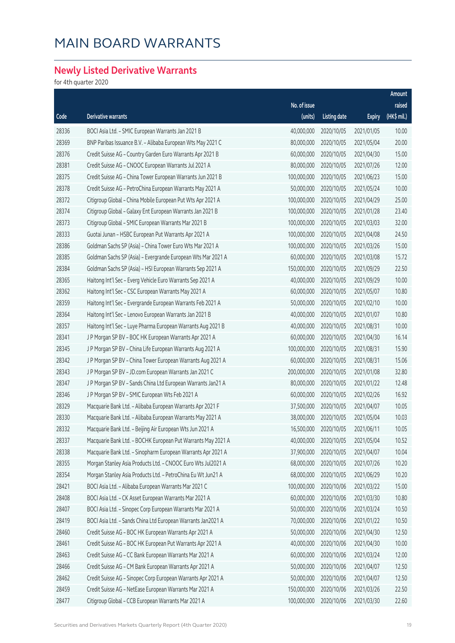### **Newly Listed Derivative Warrants**

|       |                                                              |              |                     |               | Amount      |
|-------|--------------------------------------------------------------|--------------|---------------------|---------------|-------------|
|       |                                                              | No. of issue |                     |               | raised      |
| Code  | Derivative warrants                                          | (units)      | <b>Listing date</b> | <b>Expiry</b> | (HK\$ mil.) |
| 28336 | BOCI Asia Ltd. - SMIC European Warrants Jan 2021 B           | 40,000,000   | 2020/10/05          | 2021/01/05    | 10.00       |
| 28369 | BNP Paribas Issuance B.V. - Alibaba European Wts May 2021 C  | 80,000,000   | 2020/10/05          | 2021/05/04    | 20.00       |
| 28376 | Credit Suisse AG - Country Garden Euro Warrants Apr 2021 B   | 60,000,000   | 2020/10/05          | 2021/04/30    | 15.00       |
| 28381 | Credit Suisse AG - CNOOC European Warrants Jul 2021 A        | 80,000,000   | 2020/10/05          | 2021/07/26    | 12.00       |
| 28375 | Credit Suisse AG - China Tower European Warrants Jun 2021 B  | 100,000,000  | 2020/10/05          | 2021/06/23    | 15.00       |
| 28378 | Credit Suisse AG - PetroChina European Warrants May 2021 A   | 50,000,000   | 2020/10/05          | 2021/05/24    | 10.00       |
| 28372 | Citigroup Global - China Mobile European Put Wts Apr 2021 A  | 100,000,000  | 2020/10/05          | 2021/04/29    | 25.00       |
| 28374 | Citigroup Global - Galaxy Ent European Warrants Jan 2021 B   | 100,000,000  | 2020/10/05          | 2021/01/28    | 23.40       |
| 28373 | Citigroup Global - SMIC European Warrants Mar 2021 B         | 100,000,000  | 2020/10/05          | 2021/03/03    | 32.00       |
| 28333 | Guotai Junan - HSBC European Put Warrants Apr 2021 A         | 100,000,000  | 2020/10/05          | 2021/04/08    | 24.50       |
| 28386 | Goldman Sachs SP (Asia) - China Tower Euro Wts Mar 2021 A    | 100,000,000  | 2020/10/05          | 2021/03/26    | 15.00       |
| 28385 | Goldman Sachs SP (Asia) - Evergrande European Wts Mar 2021 A | 60,000,000   | 2020/10/05          | 2021/03/08    | 15.72       |
| 28384 | Goldman Sachs SP (Asia) - HSI European Warrants Sep 2021 A   | 150,000,000  | 2020/10/05          | 2021/09/29    | 22.50       |
| 28365 | Haitong Int'l Sec - Everg Vehicle Euro Warrants Sep 2021 A   | 40,000,000   | 2020/10/05          | 2021/09/29    | 10.00       |
| 28362 | Haitong Int'l Sec - CSC European Warrants May 2021 A         | 60,000,000   | 2020/10/05          | 2021/05/07    | 10.80       |
| 28359 | Haitong Int'l Sec - Evergrande European Warrants Feb 2021 A  | 50,000,000   | 2020/10/05          | 2021/02/10    | 10.00       |
| 28364 | Haitong Int'l Sec - Lenovo European Warrants Jan 2021 B      | 40,000,000   | 2020/10/05          | 2021/01/07    | 10.80       |
| 28357 | Haitong Int'l Sec - Luye Pharma European Warrants Aug 2021 B | 40,000,000   | 2020/10/05          | 2021/08/31    | 10.00       |
| 28341 | J P Morgan SP BV - BOC HK European Warrants Apr 2021 A       | 60,000,000   | 2020/10/05          | 2021/04/30    | 16.14       |
| 28345 | J P Morgan SP BV - China Life European Warrants Aug 2021 A   | 100,000,000  | 2020/10/05          | 2021/08/31    | 15.90       |
| 28342 | J P Morgan SP BV - China Tower European Warrants Aug 2021 A  | 60,000,000   | 2020/10/05          | 2021/08/31    | 15.06       |
| 28343 | J P Morgan SP BV - JD.com European Warrants Jan 2021 C       | 200,000,000  | 2020/10/05          | 2021/01/08    | 32.80       |
| 28347 | J P Morgan SP BV - Sands China Ltd European Warrants Jan21 A | 80,000,000   | 2020/10/05          | 2021/01/22    | 12.48       |
| 28346 | J P Morgan SP BV - SMIC European Wts Feb 2021 A              | 60,000,000   | 2020/10/05          | 2021/02/26    | 16.92       |
| 28329 | Macquarie Bank Ltd. - Alibaba European Warrants Apr 2021 F   | 37,500,000   | 2020/10/05          | 2021/04/07    | 10.05       |
| 28330 | Macquarie Bank Ltd. - Alibaba European Warrants May 2021 A   | 38,000,000   | 2020/10/05          | 2021/05/04    | 10.03       |
| 28332 | Macquarie Bank Ltd. - Beijing Air European Wts Jun 2021 A    | 16,500,000   | 2020/10/05          | 2021/06/11    | 10.05       |
| 28337 | Macquarie Bank Ltd. - BOCHK European Put Warrants May 2021 A | 40,000,000   | 2020/10/05          | 2021/05/04    | 10.52       |
| 28338 | Macquarie Bank Ltd. - Sinopharm European Warrants Apr 2021 A | 37,900,000   | 2020/10/05          | 2021/04/07    | 10.04       |
| 28355 | Morgan Stanley Asia Products Ltd. - CNOOC Euro Wts Jul2021 A | 68,000,000   | 2020/10/05          | 2021/07/26    | 10.20       |
| 28354 | Morgan Stanley Asia Products Ltd. - PetroChina Eu Wt Jun21 A | 68,000,000   | 2020/10/05          | 2021/06/29    | 10.20       |
| 28421 | BOCI Asia Ltd. - Alibaba European Warrants Mar 2021 C        | 100,000,000  | 2020/10/06          | 2021/03/22    | 15.00       |
| 28408 | BOCI Asia Ltd. - CK Asset European Warrants Mar 2021 A       | 60,000,000   | 2020/10/06          | 2021/03/30    | 10.80       |
| 28407 | BOCI Asia Ltd. - Sinopec Corp European Warrants Mar 2021 A   | 50,000,000   | 2020/10/06          | 2021/03/24    | 10.50       |
| 28419 | BOCI Asia Ltd. - Sands China Ltd European Warrants Jan2021 A | 70,000,000   | 2020/10/06          | 2021/01/22    | 10.50       |
| 28460 | Credit Suisse AG - BOC HK European Warrants Apr 2021 A       | 50,000,000   | 2020/10/06          | 2021/04/30    | 12.50       |
| 28461 | Credit Suisse AG - BOC HK European Put Warrants Apr 2021 A   | 40,000,000   | 2020/10/06          | 2021/04/30    | 10.00       |
| 28463 | Credit Suisse AG - CC Bank European Warrants Mar 2021 A      | 60,000,000   | 2020/10/06          | 2021/03/24    | 12.00       |
| 28466 | Credit Suisse AG - CM Bank European Warrants Apr 2021 A      | 50,000,000   | 2020/10/06          | 2021/04/07    | 12.50       |
| 28462 | Credit Suisse AG - Sinopec Corp European Warrants Apr 2021 A | 50,000,000   | 2020/10/06          | 2021/04/07    | 12.50       |
| 28459 | Credit Suisse AG - NetEase European Warrants Mar 2021 A      | 150,000,000  | 2020/10/06          | 2021/03/26    | 22.50       |
| 28477 | Citigroup Global - CCB European Warrants Mar 2021 A          | 100,000,000  | 2020/10/06          | 2021/03/30    | 22.60       |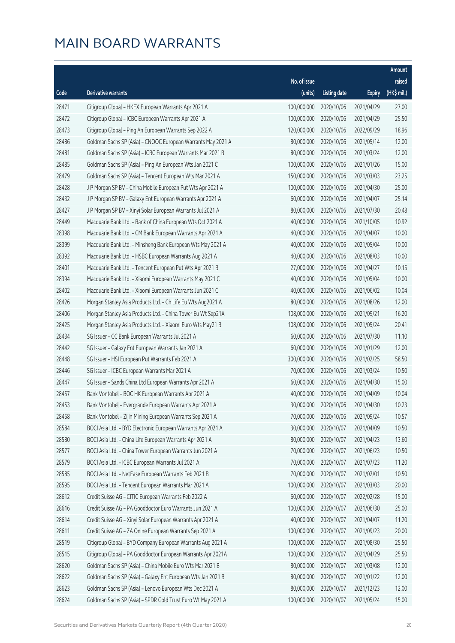|       |                                                              |              |                       |               | Amount      |
|-------|--------------------------------------------------------------|--------------|-----------------------|---------------|-------------|
|       |                                                              | No. of issue |                       |               | raised      |
| Code  | Derivative warrants                                          | (units)      | <b>Listing date</b>   | <b>Expiry</b> | (HK\$ mil.) |
| 28471 | Citigroup Global - HKEX European Warrants Apr 2021 A         | 100,000,000  | 2020/10/06            | 2021/04/29    | 27.00       |
| 28472 | Citigroup Global - ICBC European Warrants Apr 2021 A         | 100,000,000  | 2020/10/06            | 2021/04/29    | 25.50       |
| 28473 | Citigroup Global - Ping An European Warrants Sep 2022 A      | 120,000,000  | 2020/10/06            | 2022/09/29    | 18.96       |
| 28486 | Goldman Sachs SP (Asia) - CNOOC European Warrants May 2021 A | 80,000,000   | 2020/10/06            | 2021/05/14    | 12.00       |
| 28481 | Goldman Sachs SP (Asia) - ICBC European Warrants Mar 2021 B  | 80,000,000   | 2020/10/06            | 2021/03/24    | 12.00       |
| 28485 | Goldman Sachs SP (Asia) - Ping An European Wts Jan 2021 C    | 100,000,000  | 2020/10/06            | 2021/01/26    | 15.00       |
| 28479 | Goldman Sachs SP (Asia) - Tencent European Wts Mar 2021 A    | 150,000,000  | 2020/10/06            | 2021/03/03    | 23.25       |
| 28428 | J P Morgan SP BV - China Mobile European Put Wts Apr 2021 A  | 100,000,000  | 2020/10/06            | 2021/04/30    | 25.00       |
| 28432 | J P Morgan SP BV - Galaxy Ent European Warrants Apr 2021 A   | 60,000,000   | 2020/10/06            | 2021/04/07    | 25.14       |
| 28427 | J P Morgan SP BV - Xinyi Solar European Warrants Jul 2021 A  | 80,000,000   | 2020/10/06            | 2021/07/30    | 20.48       |
| 28449 | Macquarie Bank Ltd. - Bank of China European Wts Oct 2021 A  | 40,000,000   | 2020/10/06            | 2021/10/05    | 10.92       |
| 28398 | Macquarie Bank Ltd. - CM Bank European Warrants Apr 2021 A   | 40,000,000   | 2020/10/06            | 2021/04/07    | 10.00       |
| 28399 | Macquarie Bank Ltd. - Minsheng Bank European Wts May 2021 A  | 40,000,000   | 2020/10/06            | 2021/05/04    | 10.00       |
| 28392 | Macquarie Bank Ltd. - HSBC European Warrants Aug 2021 A      | 40,000,000   | 2020/10/06            | 2021/08/03    | 10.00       |
| 28401 | Macquarie Bank Ltd. - Tencent European Put Wts Apr 2021 B    | 27,000,000   | 2020/10/06            | 2021/04/27    | 10.15       |
| 28394 | Macquarie Bank Ltd. - Xiaomi European Warrants May 2021 C    | 40,000,000   | 2020/10/06            | 2021/05/04    | 10.00       |
| 28402 | Macquarie Bank Ltd. - Xiaomi European Warrants Jun 2021 C    | 40,000,000   | 2020/10/06            | 2021/06/02    | 10.04       |
| 28426 | Morgan Stanley Asia Products Ltd. - Ch Life Eu Wts Aug2021 A | 80,000,000   | 2020/10/06            | 2021/08/26    | 12.00       |
| 28406 | Morgan Stanley Asia Products Ltd. - China Tower Eu Wt Sep21A | 108,000,000  | 2020/10/06            | 2021/09/21    | 16.20       |
| 28425 | Morgan Stanley Asia Products Ltd. - Xiaomi Euro Wts May21 B  | 108,000,000  | 2020/10/06            | 2021/05/24    | 20.41       |
| 28434 | SG Issuer - CC Bank European Warrants Jul 2021 A             | 60,000,000   | 2020/10/06            | 2021/07/30    | 11.10       |
| 28442 | SG Issuer - Galaxy Ent European Warrants Jan 2021 A          | 60,000,000   | 2020/10/06            | 2021/01/29    | 12.00       |
| 28448 | SG Issuer - HSI European Put Warrants Feb 2021 A             | 300,000,000  | 2020/10/06            | 2021/02/25    | 58.50       |
| 28446 | SG Issuer - ICBC European Warrants Mar 2021 A                | 70,000,000   | 2020/10/06            | 2021/03/24    | 10.50       |
| 28447 | SG Issuer - Sands China Ltd European Warrants Apr 2021 A     | 60,000,000   | 2020/10/06            | 2021/04/30    | 15.00       |
| 28457 | Bank Vontobel - BOC HK European Warrants Apr 2021 A          | 40,000,000   | 2020/10/06            | 2021/04/09    | 10.04       |
| 28453 | Bank Vontobel - Evergrande European Warrants Apr 2021 A      |              | 30,000,000 2020/10/06 | 2021/04/30    | 10.23       |
| 28458 | Bank Vontobel - Zijin Mining European Warrants Sep 2021 A    | 70,000,000   | 2020/10/06            | 2021/09/24    | 10.57       |
| 28584 | BOCI Asia Ltd. - BYD Electronic European Warrants Apr 2021 A | 30,000,000   | 2020/10/07            | 2021/04/09    | 10.50       |
| 28580 | BOCI Asia Ltd. - China Life European Warrants Apr 2021 A     | 80,000,000   | 2020/10/07            | 2021/04/23    | 13.60       |
| 28577 | BOCI Asia Ltd. - China Tower European Warrants Jun 2021 A    | 70,000,000   | 2020/10/07            | 2021/06/23    | 10.50       |
| 28579 | BOCI Asia Ltd. - ICBC European Warrants Jul 2021 A           | 70,000,000   | 2020/10/07            | 2021/07/23    | 11.20       |
| 28585 | BOCI Asia Ltd. - NetEase European Warrants Feb 2021 B        | 70,000,000   | 2020/10/07            | 2021/02/01    | 10.50       |
| 28595 | BOCI Asia Ltd. - Tencent European Warrants Mar 2021 A        | 100,000,000  | 2020/10/07            | 2021/03/03    | 20.00       |
| 28612 | Credit Suisse AG - CITIC European Warrants Feb 2022 A        | 60,000,000   | 2020/10/07            | 2022/02/28    | 15.00       |
| 28616 | Credit Suisse AG - PA Gooddoctor Euro Warrants Jun 2021 A    | 100,000,000  | 2020/10/07            | 2021/06/30    | 25.00       |
| 28614 | Credit Suisse AG - Xinyi Solar European Warrants Apr 2021 A  | 40,000,000   | 2020/10/07            | 2021/04/07    | 11.20       |
| 28611 | Credit Suisse AG - ZA Onine European Warrants Sep 2021 A     | 100,000,000  | 2020/10/07            | 2021/09/23    | 20.00       |
| 28519 | Citigroup Global - BYD Company European Warrants Aug 2021 A  | 100,000,000  | 2020/10/07            | 2021/08/30    | 25.50       |
| 28515 | Citigroup Global - PA Gooddoctor European Warrants Apr 2021A | 100,000,000  | 2020/10/07            | 2021/04/29    | 25.50       |
| 28620 | Goldman Sachs SP (Asia) - China Mobile Euro Wts Mar 2021 B   | 80,000,000   | 2020/10/07            | 2021/03/08    | 12.00       |
| 28622 | Goldman Sachs SP (Asia) - Galaxy Ent European Wts Jan 2021 B | 80,000,000   | 2020/10/07            | 2021/01/22    | 12.00       |
| 28623 | Goldman Sachs SP (Asia) - Lenovo European Wts Dec 2021 A     | 80,000,000   | 2020/10/07            | 2021/12/23    | 12.00       |
| 28624 | Goldman Sachs SP (Asia) - SPDR Gold Trust Euro Wt May 2021 A | 100,000,000  | 2020/10/07            | 2021/05/24    | 15.00       |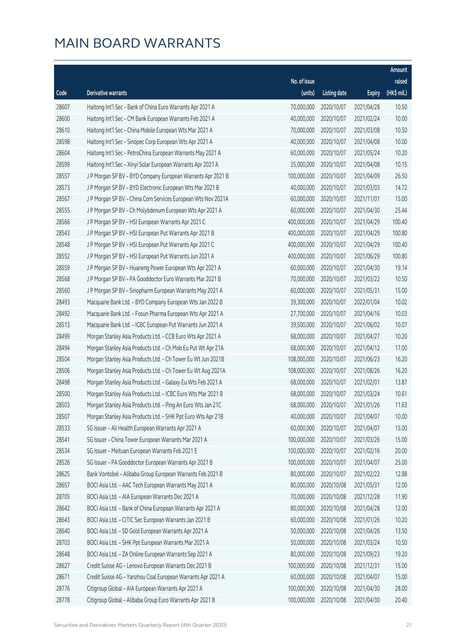|       |                                                              |              |                       |               | Amount      |
|-------|--------------------------------------------------------------|--------------|-----------------------|---------------|-------------|
|       |                                                              | No. of issue |                       |               | raised      |
| Code  | <b>Derivative warrants</b>                                   | (units)      | <b>Listing date</b>   | <b>Expiry</b> | (HK\$ mil.) |
| 28607 | Haitong Int'l Sec - Bank of China Euro Warrants Apr 2021 A   | 70,000,000   | 2020/10/07            | 2021/04/28    | 10.50       |
| 28600 | Haitong Int'l Sec - CM Bank European Warrants Feb 2021 A     | 40,000,000   | 2020/10/07            | 2021/02/24    | 10.00       |
| 28610 | Haitong Int'l Sec - China Mobile European Wts Mar 2021 A     | 70,000,000   | 2020/10/07            | 2021/03/08    | 10.50       |
| 28598 | Haitong Int'l Sec - Sinopec Corp European Wts Apr 2021 A     | 40,000,000   | 2020/10/07            | 2021/04/08    | 10.00       |
| 28604 | Haitong Int'l Sec - PetroChina European Warrants May 2021 A  | 60,000,000   | 2020/10/07            | 2021/05/24    | 10.20       |
| 28599 | Haitong Int'l Sec - Xinyi Solar European Warrants Apr 2021 A | 35,000,000   | 2020/10/07            | 2021/04/08    | 10.15       |
| 28557 | J P Morgan SP BV - BYD Company European Warrants Apr 2021 B  | 100,000,000  | 2020/10/07            | 2021/04/09    | 26.50       |
| 28573 | J P Morgan SP BV - BYD Electronic European Wts Mar 2021 B    | 40,000,000   | 2020/10/07            | 2021/03/03    | 14.72       |
| 28567 | J P Morgan SP BV - China Com Services European Wts Nov 2021A | 60,000,000   | 2020/10/07            | 2021/11/01    | 15.00       |
| 28555 | J P Morgan SP BV - Ch Molybdenum European Wts Apr 2021 A     | 60,000,000   | 2020/10/07            | 2021/04/30    | 25.44       |
| 28566 | J P Morgan SP BV - HSI European Warrants Apr 2021 C          | 400,000,000  | 2020/10/07            | 2021/04/29    | 100.40      |
| 28543 | J P Morgan SP BV - HSI European Put Warrants Apr 2021 B      | 400,000,000  | 2020/10/07            | 2021/04/29    | 100.80      |
| 28548 | J P Morgan SP BV - HSI European Put Warrants Apr 2021 C      | 400,000,000  | 2020/10/07            | 2021/04/29    | 100.40      |
| 28552 | J P Morgan SP BV - HSI European Put Warrants Jun 2021 A      | 400,000,000  | 2020/10/07            | 2021/06/29    | 100.80      |
| 28559 | J P Morgan SP BV - Huaneng Power European Wts Apr 2021 A     | 60,000,000   | 2020/10/07            | 2021/04/30    | 19.14       |
| 28568 | J P Morgan SP BV - PA Gooddoctor Euro Warrants Mar 2021 B    | 70,000,000   | 2020/10/07            | 2021/03/22    | 10.50       |
| 28560 | J P Morgan SP BV - Sinopharm European Warrants May 2021 A    | 60,000,000   | 2020/10/07            | 2021/05/31    | 15.00       |
| 28493 | Macquarie Bank Ltd. - BYD Company European Wts Jan 2022 B    | 39,300,000   | 2020/10/07            | 2022/01/04    | 10.02       |
| 28492 | Macquarie Bank Ltd. - Fosun Pharma European Wts Apr 2021 A   | 27,700,000   | 2020/10/07            | 2021/04/16    | 10.03       |
| 28513 | Macquarie Bank Ltd. - ICBC European Put Warrants Jun 2021 A  | 39,500,000   | 2020/10/07            | 2021/06/02    | 10.07       |
| 28499 | Morgan Stanley Asia Products Ltd. - CCB Euro Wts Apr 2021 A  | 68,000,000   | 2020/10/07            | 2021/04/27    | 10.20       |
| 28494 | Morgan Stanley Asia Products Ltd. - Ch Mob Eu Put Wt Apr 21A | 68,000,000   | 2020/10/07            | 2021/04/12    | 17.00       |
| 28504 | Morgan Stanley Asia Products Ltd. - Ch Tower Eu Wt Jun 2021B | 108,000,000  | 2020/10/07            | 2021/06/23    | 16.20       |
| 28506 | Morgan Stanley Asia Products Ltd. - Ch Tower Eu Wt Aug 2021A | 108,000,000  | 2020/10/07            | 2021/08/26    | 16.20       |
| 28498 | Morgan Stanley Asia Products Ltd. - Galaxy Eu Wts Feb 2021 A | 68,000,000   | 2020/10/07            | 2021/02/01    | 13.87       |
| 28500 | Morgan Stanley Asia Products Ltd. - ICBC Euro Wts Mar 2021 B | 68,000,000   | 2020/10/07            | 2021/03/24    | 10.61       |
| 28503 | Morgan Stanley Asia Products Ltd. - Ping An Euro Wts Jan 21C |              | 68,000,000 2020/10/07 | 2021/01/26    | 11.63       |
| 28507 | Morgan Stanley Asia Products Ltd. - SHK Ppt Euro Wts Apr 21B | 40,000,000   | 2020/10/07            | 2021/04/07    | 10.00       |
| 28533 | SG Issuer - Ali Health European Warrants Apr 2021 A          | 60,000,000   | 2020/10/07            | 2021/04/07    | 15.00       |
| 28541 | SG Issuer - China Tower European Warrants Mar 2021 A         | 100,000,000  | 2020/10/07            | 2021/03/26    | 15.00       |
| 28534 | SG Issuer - Meituan European Warrants Feb 2021 E             | 100,000,000  | 2020/10/07            | 2021/02/16    | 20.00       |
| 28526 | SG Issuer - PA Gooddoctor European Warrants Apr 2021 B       | 100,000,000  | 2020/10/07            | 2021/04/07    | 25.00       |
| 28625 | Bank Vontobel - Alibaba Group European Warrants Feb 2021 B   | 80,000,000   | 2020/10/07            | 2021/02/22    | 12.88       |
| 28657 | BOCI Asia Ltd. - AAC Tech European Warrants May 2021 A       | 80,000,000   | 2020/10/08            | 2021/05/31    | 12.00       |
| 28705 | BOCI Asia Ltd. - AIA European Warrants Dec 2021 A            | 70,000,000   | 2020/10/08            | 2021/12/28    | 11.90       |
| 28642 | BOCI Asia Ltd. - Bank of China European Warrants Apr 2021 A  | 80,000,000   | 2020/10/08            | 2021/04/28    | 12.00       |
| 28643 | BOCI Asia Ltd. - CITIC Sec European Warrants Jan 2021 B      | 60,000,000   | 2020/10/08            | 2021/01/26    | 10.20       |
| 28640 | BOCI Asia Ltd. - SD Gold European Warrants Apr 2021 A        | 50,000,000   | 2020/10/08            | 2021/04/26    | 13.50       |
| 28703 | BOCI Asia Ltd. - SHK Ppt European Warrants Mar 2021 A        | 50,000,000   | 2020/10/08            | 2021/03/24    | 10.50       |
| 28648 | BOCI Asia Ltd. - ZA Online European Warrants Sep 2021 A      | 80,000,000   | 2020/10/08            | 2021/09/23    | 19.20       |
| 28627 | Credit Suisse AG - Lenovo European Warrants Dec 2021 B       | 100,000,000  | 2020/10/08            | 2021/12/31    | 15.00       |
| 28671 | Credit Suisse AG - Yanzhou Coal European Warrants Apr 2021 A | 60,000,000   | 2020/10/08            | 2021/04/07    | 15.00       |
| 28776 | Citigroup Global - AIA European Warrants Apr 2021 A          | 100,000,000  | 2020/10/08            | 2021/04/30    | 28.00       |
| 28778 | Citigroup Global - Alibaba Group Euro Warrants Apr 2021 B    | 100,000,000  | 2020/10/08            | 2021/04/30    | 20.40       |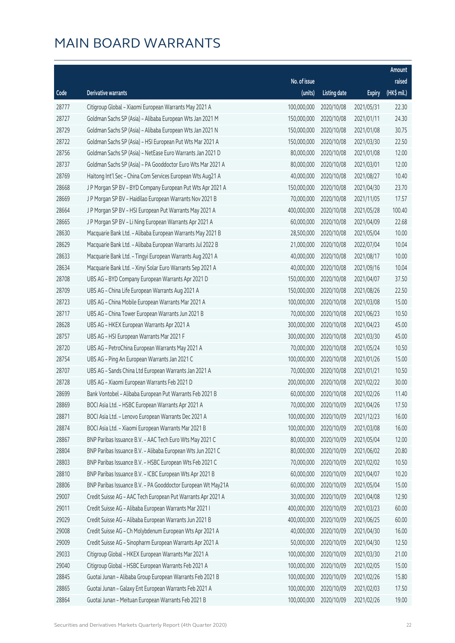|                |                                                                                                                   |                           |                          |                          | Amount         |
|----------------|-------------------------------------------------------------------------------------------------------------------|---------------------------|--------------------------|--------------------------|----------------|
|                |                                                                                                                   | No. of issue              |                          |                          | raised         |
| Code           | Derivative warrants                                                                                               | (units)                   | <b>Listing date</b>      | <b>Expiry</b>            | $(HK\$ mil.)   |
| 28777          | Citigroup Global - Xiaomi European Warrants May 2021 A                                                            | 100,000,000               | 2020/10/08               | 2021/05/31               | 22.30          |
| 28727          | Goldman Sachs SP (Asia) - Alibaba European Wts Jan 2021 M                                                         | 150,000,000               | 2020/10/08               | 2021/01/11               | 24.30          |
| 28729          | Goldman Sachs SP (Asia) - Alibaba European Wts Jan 2021 N                                                         | 150,000,000               | 2020/10/08               | 2021/01/08               | 30.75          |
| 28722          | Goldman Sachs SP (Asia) - HSI European Put Wts Mar 2021 A                                                         | 150,000,000               | 2020/10/08               | 2021/03/30               | 22.50          |
| 28756          | Goldman Sachs SP (Asia) - NetEase Euro Warrants Jan 2021 D                                                        | 80,000,000                | 2020/10/08               | 2021/01/08               | 12.00          |
| 28737          | Goldman Sachs SP (Asia) - PA Gooddoctor Euro Wts Mar 2021 A                                                       | 80,000,000                | 2020/10/08               | 2021/03/01               | 12.00          |
| 28769          | Haitong Int'l Sec - China Com Services European Wts Aug21 A                                                       | 40,000,000                | 2020/10/08               | 2021/08/27               | 10.40          |
| 28668          | J P Morgan SP BV - BYD Company European Put Wts Apr 2021 A                                                        | 150,000,000               | 2020/10/08               | 2021/04/30               | 23.70          |
| 28669          | J P Morgan SP BV - Haidilao European Warrants Nov 2021 B                                                          | 70,000,000                | 2020/10/08               | 2021/11/05               | 17.57          |
| 28664          | J P Morgan SP BV - HSI European Put Warrants May 2021 A                                                           | 400,000,000               | 2020/10/08               | 2021/05/28               | 100.40         |
| 28665          | J P Morgan SP BV - Li Ning European Warrants Apr 2021 A                                                           | 60,000,000                | 2020/10/08               | 2021/04/09               | 22.68          |
| 28630          | Macquarie Bank Ltd. - Alibaba European Warrants May 2021 B                                                        | 28,500,000                | 2020/10/08               | 2021/05/04               | 10.00          |
| 28629          | Macquarie Bank Ltd. - Alibaba European Warrants Jul 2022 B                                                        | 21,000,000                | 2020/10/08               | 2022/07/04               | 10.04          |
| 28633          | Macquarie Bank Ltd. - Tingyi European Warrants Aug 2021 A                                                         | 40,000,000                | 2020/10/08               | 2021/08/17               | 10.00          |
| 28634          | Macquarie Bank Ltd. - Xinyi Solar Euro Warrants Sep 2021 A                                                        | 40,000,000                | 2020/10/08               | 2021/09/16               | 10.04          |
| 28708          | UBS AG - BYD Company European Warrants Apr 2021 D                                                                 | 150,000,000               | 2020/10/08               | 2021/04/07               | 37.50          |
| 28709          | UBS AG - China Life European Warrants Aug 2021 A                                                                  | 150,000,000               | 2020/10/08               | 2021/08/26               | 22.50          |
| 28723          | UBS AG - China Mobile European Warrants Mar 2021 A                                                                | 100,000,000               | 2020/10/08               | 2021/03/08               | 15.00          |
| 28717          | UBS AG - China Tower European Warrants Jun 2021 B                                                                 | 70,000,000                | 2020/10/08               | 2021/06/23               | 10.50          |
| 28628          | UBS AG - HKEX European Warrants Apr 2021 A                                                                        | 300,000,000               | 2020/10/08               | 2021/04/23               | 45.00          |
| 28757          | UBS AG - HSI European Warrants Mar 2021 F                                                                         | 300,000,000               | 2020/10/08               | 2021/03/30               | 45.00          |
| 28720          | UBS AG - PetroChina European Warrants May 2021 A                                                                  | 70,000,000                | 2020/10/08               | 2021/05/24               | 10.50          |
| 28754          | UBS AG - Ping An European Warrants Jan 2021 C                                                                     | 100,000,000               | 2020/10/08               | 2021/01/26               | 15.00          |
| 28707          | UBS AG - Sands China Ltd European Warrants Jan 2021 A                                                             | 70,000,000                | 2020/10/08               | 2021/01/21               | 10.50          |
| 28728          | UBS AG - Xiaomi European Warrants Feb 2021 D                                                                      | 200,000,000               | 2020/10/08               | 2021/02/22               | 30.00          |
| 28699          | Bank Vontobel - Alibaba European Put Warrants Feb 2021 B                                                          | 60,000,000                | 2020/10/08               | 2021/02/26               | 11.40          |
| 28869          | BOCI Asia Ltd. - HSBC European Warrants Apr 2021 A                                                                |                           | 70,000,000 2020/10/09    | 2021/04/26               | 17.50          |
| 28871          | BOCI Asia Ltd. - Lenovo European Warrants Dec 2021 A                                                              | 100,000,000               | 2020/10/09               | 2021/12/23               | 16.00          |
| 28874          | BOCI Asia Ltd. - Xiaomi European Warrants Mar 2021 B                                                              | 100,000,000               | 2020/10/09               | 2021/03/08               | 16.00          |
| 28867          | BNP Paribas Issuance B.V. - AAC Tech Euro Wts May 2021 C                                                          | 80,000,000                | 2020/10/09               | 2021/05/04               | 12.00          |
| 28804          | BNP Paribas Issuance B.V. - Alibaba European Wts Jun 2021 C                                                       | 80,000,000                | 2020/10/09               | 2021/06/02               | 20.80          |
| 28803          | BNP Paribas Issuance B.V. - HSBC European Wts Feb 2021 C                                                          | 70,000,000                | 2020/10/09               | 2021/02/02               | 10.50          |
| 28810          | BNP Paribas Issuance B.V. - ICBC European Wts Apr 2021 B                                                          | 60,000,000                | 2020/10/09               | 2021/04/07               | 10.20          |
| 28806          | BNP Paribas Issuance B.V. - PA Gooddoctor European Wt May21A                                                      | 60,000,000                | 2020/10/09               | 2021/05/04               | 15.00          |
| 29007          | Credit Suisse AG - AAC Tech European Put Warrants Apr 2021 A                                                      | 30,000,000                | 2020/10/09               | 2021/04/08               | 12.90          |
| 29011          | Credit Suisse AG - Alibaba European Warrants Mar 2021 I                                                           | 400,000,000               | 2020/10/09               | 2021/03/23               | 60.00          |
| 29029          | Credit Suisse AG - Alibaba European Warrants Jun 2021 B                                                           | 400,000,000               | 2020/10/09               | 2021/06/25               | 60.00          |
| 29008          | Credit Suisse AG - Ch Molybdenum European Wts Apr 2021 A                                                          | 40,000,000                | 2020/10/09               | 2021/04/30               | 16.00          |
| 29009          | Credit Suisse AG - Sinopharm European Warrants Apr 2021 A<br>Citigroup Global - HKEX European Warrants Mar 2021 A | 50,000,000<br>100,000,000 | 2020/10/09               | 2021/04/30               | 12.50<br>21.00 |
| 29033<br>29040 | Citigroup Global - HSBC European Warrants Feb 2021 A                                                              | 100,000,000               | 2020/10/09<br>2020/10/09 | 2021/03/30<br>2021/02/05 | 15.00          |
| 28845          | Guotai Junan - Alibaba Group European Warrants Feb 2021 B                                                         | 100,000,000               | 2020/10/09               | 2021/02/26               | 15.80          |
| 28865          | Guotai Junan - Galaxy Ent European Warrants Feb 2021 A                                                            | 100,000,000               | 2020/10/09               | 2021/02/03               | 17.50          |
| 28864          | Guotai Junan - Meituan European Warrants Feb 2021 B                                                               | 100,000,000               | 2020/10/09               | 2021/02/26               | 19.00          |
|                |                                                                                                                   |                           |                          |                          |                |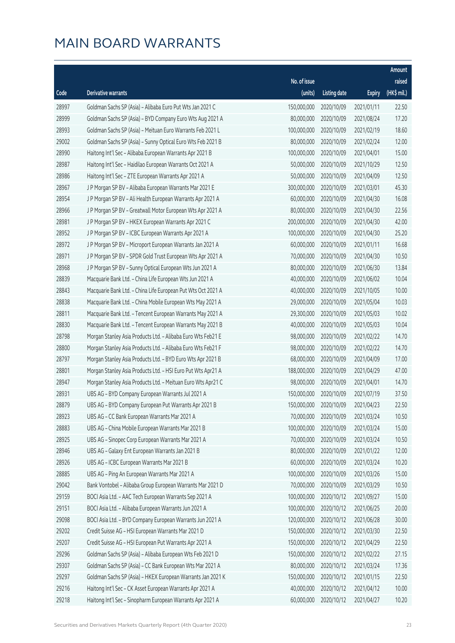|       |                                                              |              |                        |               | Amount       |
|-------|--------------------------------------------------------------|--------------|------------------------|---------------|--------------|
|       |                                                              | No. of issue |                        |               | raised       |
| Code  | Derivative warrants                                          | (units)      | <b>Listing date</b>    | <b>Expiry</b> | $(HK\$ mil.) |
| 28997 | Goldman Sachs SP (Asia) - Alibaba Euro Put Wts Jan 2021 C    | 150,000,000  | 2020/10/09             | 2021/01/11    | 22.50        |
| 28999 | Goldman Sachs SP (Asia) - BYD Company Euro Wts Aug 2021 A    | 80,000,000   | 2020/10/09             | 2021/08/24    | 17.20        |
| 28993 | Goldman Sachs SP (Asia) - Meituan Euro Warrants Feb 2021 L   | 100,000,000  | 2020/10/09             | 2021/02/19    | 18.60        |
| 29002 | Goldman Sachs SP (Asia) - Sunny Optical Euro Wts Feb 2021 B  | 80,000,000   | 2020/10/09             | 2021/02/24    | 12.00        |
| 28990 | Haitong Int'l Sec - Alibaba European Warrants Apr 2021 B     | 100,000,000  | 2020/10/09             | 2021/04/01    | 15.00        |
| 28987 | Haitong Int'l Sec - Haidilao European Warrants Oct 2021 A    | 50,000,000   | 2020/10/09             | 2021/10/29    | 12.50        |
| 28986 | Haitong Int'l Sec - ZTE European Warrants Apr 2021 A         | 50,000,000   | 2020/10/09             | 2021/04/09    | 12.50        |
| 28967 | J P Morgan SP BV - Alibaba European Warrants Mar 2021 E      | 300,000,000  | 2020/10/09             | 2021/03/01    | 45.30        |
| 28954 | J P Morgan SP BV - Ali Health European Warrants Apr 2021 A   | 60,000,000   | 2020/10/09             | 2021/04/30    | 16.08        |
| 28966 | J P Morgan SP BV - Greatwall Motor European Wts Apr 2021 A   | 80,000,000   | 2020/10/09             | 2021/04/30    | 22.56        |
| 28981 | J P Morgan SP BV - HKEX European Warrants Apr 2021 C         | 200,000,000  | 2020/10/09             | 2021/04/30    | 42.00        |
| 28952 | J P Morgan SP BV - ICBC European Warrants Apr 2021 A         | 100,000,000  | 2020/10/09             | 2021/04/30    | 25.20        |
| 28972 | J P Morgan SP BV - Microport European Warrants Jan 2021 A    | 60,000,000   | 2020/10/09             | 2021/01/11    | 16.68        |
| 28971 | J P Morgan SP BV - SPDR Gold Trust European Wts Apr 2021 A   | 70,000,000   | 2020/10/09             | 2021/04/30    | 10.50        |
| 28968 | J P Morgan SP BV - Sunny Optical European Wts Jun 2021 A     | 80,000,000   | 2020/10/09             | 2021/06/30    | 13.84        |
| 28839 | Macquarie Bank Ltd. - China Life European Wts Jun 2021 A     | 40,000,000   | 2020/10/09             | 2021/06/02    | 10.04        |
| 28843 | Macquarie Bank Ltd. - China Life European Put Wts Oct 2021 A | 40,000,000   | 2020/10/09             | 2021/10/05    | 10.00        |
| 28838 | Macquarie Bank Ltd. - China Mobile European Wts May 2021 A   | 29,000,000   | 2020/10/09             | 2021/05/04    | 10.03        |
| 28811 | Macquarie Bank Ltd. - Tencent European Warrants May 2021 A   | 29,300,000   | 2020/10/09             | 2021/05/03    | 10.02        |
| 28830 | Macquarie Bank Ltd. - Tencent European Warrants May 2021 B   | 40,000,000   | 2020/10/09             | 2021/05/03    | 10.04        |
| 28798 | Morgan Stanley Asia Products Ltd. - Alibaba Euro Wts Feb21 E | 98,000,000   | 2020/10/09             | 2021/02/22    | 14.70        |
| 28800 | Morgan Stanley Asia Products Ltd. - Alibaba Euro Wts Feb21 F | 98,000,000   | 2020/10/09             | 2021/02/22    | 14.70        |
| 28797 | Morgan Stanley Asia Products Ltd. - BYD Euro Wts Apr 2021 B  | 68,000,000   | 2020/10/09             | 2021/04/09    | 17.00        |
| 28801 | Morgan Stanley Asia Products Ltd. - HSI Euro Put Wts Apr21 A | 188,000,000  | 2020/10/09             | 2021/04/29    | 47.00        |
| 28947 | Morgan Stanley Asia Products Ltd. - Meituan Euro Wts Apr21 C | 98,000,000   | 2020/10/09             | 2021/04/01    | 14.70        |
| 28931 | UBS AG - BYD Company European Warrants Jul 2021 A            | 150,000,000  | 2020/10/09             | 2021/07/19    | 37.50        |
| 28879 | UBS AG - BYD Company European Put Warrants Apr 2021 B        |              | 150,000,000 2020/10/09 | 2021/04/23    | 22.50        |
| 28923 | UBS AG - CC Bank European Warrants Mar 2021 A                | 70,000,000   | 2020/10/09             | 2021/03/24    | 10.50        |
| 28883 | UBS AG - China Mobile European Warrants Mar 2021 B           | 100,000,000  | 2020/10/09             | 2021/03/24    | 15.00        |
| 28925 | UBS AG - Sinopec Corp European Warrants Mar 2021 A           | 70,000,000   | 2020/10/09             | 2021/03/24    | 10.50        |
| 28946 | UBS AG - Galaxy Ent European Warrants Jan 2021 B             | 80,000,000   | 2020/10/09             | 2021/01/22    | 12.00        |
| 28926 | UBS AG - ICBC European Warrants Mar 2021 B                   | 60,000,000   | 2020/10/09             | 2021/03/24    | 10.20        |
| 28885 | UBS AG - Ping An European Warrants Mar 2021 A                | 100,000,000  | 2020/10/09             | 2021/03/26    | 15.00        |
| 29042 | Bank Vontobel - Alibaba Group European Warrants Mar 2021 D   | 70,000,000   | 2020/10/09             | 2021/03/29    | 10.50        |
| 29159 | BOCI Asia Ltd. - AAC Tech European Warrants Sep 2021 A       | 100,000,000  | 2020/10/12             | 2021/09/27    | 15.00        |
| 29151 | BOCI Asia Ltd. - Alibaba European Warrants Jun 2021 A        | 100,000,000  | 2020/10/12             | 2021/06/25    | 20.00        |
| 29098 | BOCI Asia Ltd. - BYD Company European Warrants Jun 2021 A    | 120,000,000  | 2020/10/12             | 2021/06/28    | 30.00        |
| 29202 | Credit Suisse AG - HSI European Warrants Mar 2021 D          | 150,000,000  | 2020/10/12             | 2021/03/30    | 22.50        |
| 29207 | Credit Suisse AG - HSI European Put Warrants Apr 2021 A      | 150,000,000  | 2020/10/12             | 2021/04/29    | 22.50        |
| 29296 | Goldman Sachs SP (Asia) - Alibaba European Wts Feb 2021 D    | 150,000,000  | 2020/10/12             | 2021/02/22    | 27.15        |
| 29307 | Goldman Sachs SP (Asia) - CC Bank European Wts Mar 2021 A    | 80,000,000   | 2020/10/12             | 2021/03/24    | 17.36        |
| 29297 | Goldman Sachs SP (Asia) - HKEX European Warrants Jan 2021 K  | 150,000,000  | 2020/10/12             | 2021/01/15    | 22.50        |
| 29216 | Haitong Int'l Sec - CK Asset European Warrants Apr 2021 A    | 40,000,000   | 2020/10/12             | 2021/04/12    | 10.00        |
| 29218 | Haitong Int'l Sec - Sinopharm European Warrants Apr 2021 A   | 60,000,000   | 2020/10/12             | 2021/04/27    | 10.20        |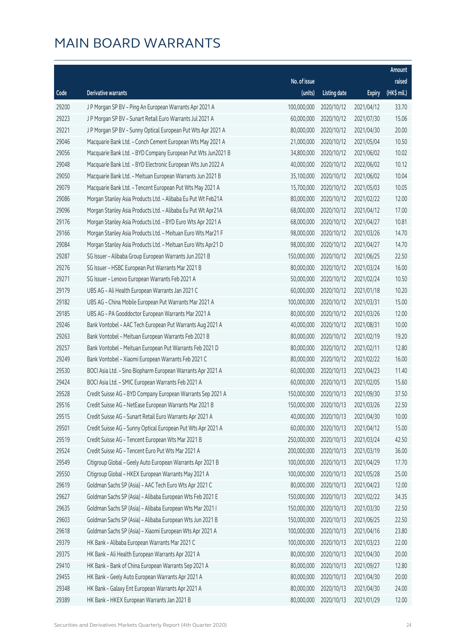|       |                                                              |                        |                     |               | Amount      |
|-------|--------------------------------------------------------------|------------------------|---------------------|---------------|-------------|
|       |                                                              | No. of issue           |                     |               | raised      |
| Code  | Derivative warrants                                          | (units)                | <b>Listing date</b> | <b>Expiry</b> | (HK\$ mil.) |
| 29200 | J P Morgan SP BV - Ping An European Warrants Apr 2021 A      | 100,000,000            | 2020/10/12          | 2021/04/12    | 33.70       |
| 29223 | J P Morgan SP BV - Sunart Retail Euro Warrants Jul 2021 A    | 60,000,000             | 2020/10/12          | 2021/07/30    | 15.06       |
| 29221 | J P Morgan SP BV - Sunny Optical European Put Wts Apr 2021 A | 80,000,000             | 2020/10/12          | 2021/04/30    | 20.00       |
| 29046 | Macquarie Bank Ltd. - Conch Cement European Wts May 2021 A   | 21,000,000             | 2020/10/12          | 2021/05/04    | 10.50       |
| 29056 | Macquarie Bank Ltd. - BYD Company European Put Wts Jun2021 B | 34,800,000             | 2020/10/12          | 2021/06/02    | 10.02       |
| 29048 | Macquarie Bank Ltd. - BYD Electronic European Wts Jun 2022 A | 40,000,000             | 2020/10/12          | 2022/06/02    | 10.12       |
| 29050 | Macquarie Bank Ltd. - Meituan European Warrants Jun 2021 B   | 35,100,000             | 2020/10/12          | 2021/06/02    | 10.04       |
| 29079 | Macquarie Bank Ltd. - Tencent European Put Wts May 2021 A    | 15,700,000             | 2020/10/12          | 2021/05/03    | 10.05       |
| 29086 | Morgan Stanley Asia Products Ltd. - Alibaba Eu Put Wt Feb21A | 80,000,000             | 2020/10/12          | 2021/02/22    | 12.00       |
| 29096 | Morgan Stanley Asia Products Ltd. - Alibaba Eu Put Wt Apr21A | 68,000,000             | 2020/10/12          | 2021/04/12    | 17.00       |
| 29176 | Morgan Stanley Asia Products Ltd. - BYD Euro Wts Apr 2021 A  | 68,000,000             | 2020/10/12          | 2021/04/27    | 10.81       |
| 29166 | Morgan Stanley Asia Products Ltd. - Meituan Euro Wts Mar21 F | 98,000,000             | 2020/10/12          | 2021/03/26    | 14.70       |
| 29084 | Morgan Stanley Asia Products Ltd. - Meituan Euro Wts Apr21 D | 98,000,000             | 2020/10/12          | 2021/04/27    | 14.70       |
| 29287 | SG Issuer - Alibaba Group European Warrants Jun 2021 B       | 150,000,000            | 2020/10/12          | 2021/06/25    | 22.50       |
| 29276 | SG Issuer - HSBC European Put Warrants Mar 2021 B            | 80,000,000             | 2020/10/12          | 2021/03/24    | 16.00       |
| 29271 | SG Issuer - Lenovo European Warrants Feb 2021 A              | 50,000,000             | 2020/10/12          | 2021/02/24    | 10.50       |
| 29179 | UBS AG - Ali Health European Warrants Jan 2021 C             | 60,000,000             | 2020/10/12          | 2021/01/18    | 10.20       |
| 29182 | UBS AG - China Mobile European Put Warrants Mar 2021 A       | 100,000,000            | 2020/10/12          | 2021/03/31    | 15.00       |
| 29185 | UBS AG - PA Gooddoctor European Warrants Mar 2021 A          | 80,000,000             | 2020/10/12          | 2021/03/26    | 12.00       |
| 29246 | Bank Vontobel - AAC Tech European Put Warrants Aug 2021 A    | 40,000,000             | 2020/10/12          | 2021/08/31    | 10.00       |
| 29263 | Bank Vontobel - Meituan European Warrants Feb 2021 B         | 80,000,000             | 2020/10/12          | 2021/02/19    | 19.20       |
| 29257 | Bank Vontobel - Meituan European Put Warrants Feb 2021 D     | 80,000,000             | 2020/10/12          | 2021/02/11    | 12.80       |
| 29249 | Bank Vontobel - Xiaomi European Warrants Feb 2021 C          | 80,000,000             | 2020/10/12          | 2021/02/22    | 16.00       |
| 29530 | BOCI Asia Ltd. - Sino Biopharm European Warrants Apr 2021 A  | 60,000,000             | 2020/10/13          | 2021/04/23    | 11.40       |
| 29424 | BOCI Asia Ltd. - SMIC European Warrants Feb 2021 A           | 60,000,000             | 2020/10/13          | 2021/02/05    | 15.60       |
| 29528 | Credit Suisse AG - BYD Company European Warrants Sep 2021 A  | 150,000,000            | 2020/10/13          | 2021/09/30    | 37.50       |
| 29516 | Credit Suisse AG - NetEase European Warrants Mar 2021 B      | 150,000,000 2020/10/13 |                     | 2021/03/26    | 22.50       |
| 29515 | Credit Suisse AG - Sunart Retail Euro Warrants Apr 2021 A    | 40,000,000             | 2020/10/13          | 2021/04/30    | 10.00       |
| 29501 | Credit Suisse AG - Sunny Optical European Put Wts Apr 2021 A | 60,000,000             | 2020/10/13          | 2021/04/12    | 15.00       |
| 29519 | Credit Suisse AG - Tencent European Wts Mar 2021 B           | 250,000,000            | 2020/10/13          | 2021/03/24    | 42.50       |
| 29524 | Credit Suisse AG - Tencent Euro Put Wts Mar 2021 A           | 200,000,000            | 2020/10/13          | 2021/03/19    | 36.00       |
| 29549 | Citigroup Global - Geely Auto European Warrants Apr 2021 B   | 100,000,000            | 2020/10/13          | 2021/04/29    | 17.70       |
| 29550 | Citigroup Global - HKEX European Warrants May 2021 A         | 100,000,000            | 2020/10/13          | 2021/05/28    | 25.00       |
| 29619 | Goldman Sachs SP (Asia) - AAC Tech Euro Wts Apr 2021 C       | 80,000,000             | 2020/10/13          | 2021/04/23    | 12.00       |
| 29627 | Goldman Sachs SP (Asia) - Alibaba European Wts Feb 2021 E    | 150,000,000            | 2020/10/13          | 2021/02/22    | 34.35       |
| 29635 | Goldman Sachs SP (Asia) - Alibaba European Wts Mar 2021 I    | 150,000,000            | 2020/10/13          | 2021/03/30    | 22.50       |
| 29603 | Goldman Sachs SP (Asia) - Alibaba European Wts Jun 2021 B    | 150,000,000            | 2020/10/13          | 2021/06/25    | 22.50       |
| 29618 | Goldman Sachs SP (Asia) - Xiaomi European Wts Apr 2021 A     | 100,000,000            | 2020/10/13          | 2021/04/16    | 23.80       |
| 29379 | HK Bank - Alibaba European Warrants Mar 2021 C               | 100,000,000            | 2020/10/13          | 2021/03/23    | 22.00       |
| 29375 | HK Bank - Ali Health European Warrants Apr 2021 A            | 80,000,000             | 2020/10/13          | 2021/04/30    | 20.00       |
| 29410 | HK Bank - Bank of China European Warrants Sep 2021 A         | 80,000,000             | 2020/10/13          | 2021/09/27    | 12.80       |
| 29455 | HK Bank - Geely Auto European Warrants Apr 2021 A            | 80,000,000             | 2020/10/13          | 2021/04/30    | 20.00       |
| 29348 | HK Bank - Galaxy Ent European Warrants Apr 2021 A            | 80,000,000             | 2020/10/13          | 2021/04/30    | 24.00       |
| 29389 | HK Bank - HKEX European Warrants Jan 2021 B                  | 80,000,000             | 2020/10/13          | 2021/01/29    | 12.00       |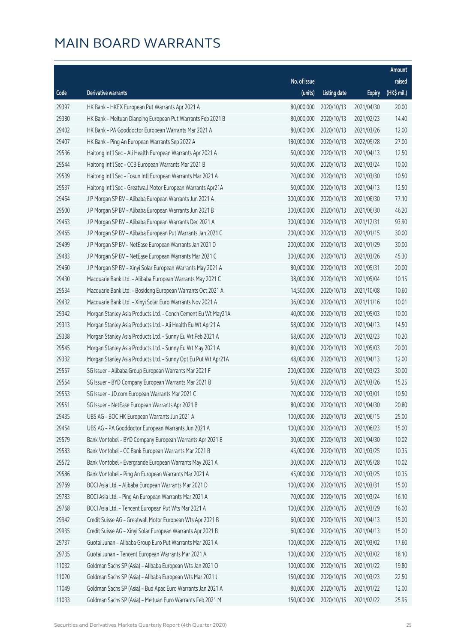|       |                                                                |              |                       |               | Amount      |
|-------|----------------------------------------------------------------|--------------|-----------------------|---------------|-------------|
|       |                                                                | No. of issue |                       |               | raised      |
| Code  | <b>Derivative warrants</b>                                     | (units)      | <b>Listing date</b>   | <b>Expiry</b> | (HK\$ mil.) |
| 29397 | HK Bank - HKEX European Put Warrants Apr 2021 A                | 80,000,000   | 2020/10/13            | 2021/04/30    | 20.00       |
| 29380 | HK Bank - Meituan Dianping European Put Warrants Feb 2021 B    | 80,000,000   | 2020/10/13            | 2021/02/23    | 14.40       |
| 29402 | HK Bank - PA Gooddoctor European Warrants Mar 2021 A           | 80,000,000   | 2020/10/13            | 2021/03/26    | 12.00       |
| 29407 | HK Bank - Ping An European Warrants Sep 2022 A                 | 180,000,000  | 2020/10/13            | 2022/09/28    | 27.00       |
| 29536 | Haitong Int'l Sec - Ali Health European Warrants Apr 2021 A    | 50,000,000   | 2020/10/13            | 2021/04/13    | 12.50       |
| 29544 | Haitong Int'l Sec - CCB European Warrants Mar 2021 B           | 50,000,000   | 2020/10/13            | 2021/03/24    | 10.00       |
| 29539 | Haitong Int'l Sec - Fosun Intl European Warrants Mar 2021 A    | 70,000,000   | 2020/10/13            | 2021/03/30    | 10.50       |
| 29537 | Haitong Int'l Sec - Greatwall Motor European Warrants Apr21A   | 50,000,000   | 2020/10/13            | 2021/04/13    | 12.50       |
| 29464 | J P Morgan SP BV - Alibaba European Warrants Jun 2021 A        | 300,000,000  | 2020/10/13            | 2021/06/30    | 77.10       |
| 29500 | J P Morgan SP BV - Alibaba European Warrants Jun 2021 B        | 300,000,000  | 2020/10/13            | 2021/06/30    | 46.20       |
| 29463 | J P Morgan SP BV - Alibaba European Warrants Dec 2021 A        | 300,000,000  | 2020/10/13            | 2021/12/31    | 93.90       |
| 29465 | J P Morgan SP BV - Alibaba European Put Warrants Jan 2021 C    | 200,000,000  | 2020/10/13            | 2021/01/15    | 30.00       |
| 29499 | J P Morgan SP BV - NetEase European Warrants Jan 2021 D        | 200,000,000  | 2020/10/13            | 2021/01/29    | 30.00       |
| 29483 | J P Morgan SP BV - NetEase European Warrants Mar 2021 C        | 300,000,000  | 2020/10/13            | 2021/03/26    | 45.30       |
| 29460 | J P Morgan SP BV - Xinyi Solar European Warrants May 2021 A    | 80,000,000   | 2020/10/13            | 2021/05/31    | 20.00       |
| 29430 | Macquarie Bank Ltd. - Alibaba European Warrants May 2021 C     | 38,000,000   | 2020/10/13            | 2021/05/04    | 10.15       |
| 29534 | Macquarie Bank Ltd. - Bosideng European Warrants Oct 2021 A    | 14,500,000   | 2020/10/13            | 2021/10/08    | 10.60       |
| 29432 | Macquarie Bank Ltd. - Xinyi Solar Euro Warrants Nov 2021 A     | 36,000,000   | 2020/10/13            | 2021/11/16    | 10.01       |
| 29342 | Morgan Stanley Asia Products Ltd. - Conch Cement Eu Wt May21A  | 40,000,000   | 2020/10/13            | 2021/05/03    | 10.00       |
| 29313 | Morgan Stanley Asia Products Ltd. - Ali Health Eu Wt Apr21 A   | 58,000,000   | 2020/10/13            | 2021/04/13    | 14.50       |
| 29338 | Morgan Stanley Asia Products Ltd. - Sunny Eu Wt Feb 2021 A     | 68,000,000   | 2020/10/13            | 2021/02/23    | 10.20       |
| 29545 | Morgan Stanley Asia Products Ltd. - Sunny Eu Wt May 2021 A     | 80,000,000   | 2020/10/13            | 2021/05/03    | 20.00       |
| 29332 | Morgan Stanley Asia Products Ltd. - Sunny Opt Eu Put Wt Apr21A | 48,000,000   | 2020/10/13            | 2021/04/13    | 12.00       |
| 29557 | SG Issuer - Alibaba Group European Warrants Mar 2021 F         | 200,000,000  | 2020/10/13            | 2021/03/23    | 30.00       |
| 29554 | SG Issuer - BYD Company European Warrants Mar 2021 B           | 50,000,000   | 2020/10/13            | 2021/03/26    | 15.25       |
| 29553 | SG Issuer - JD.com European Warrants Mar 2021 C                | 70,000,000   | 2020/10/13            | 2021/03/01    | 10.50       |
| 29551 | SG Issuer - NetEase European Warrants Apr 2021 B               |              | 80,000,000 2020/10/13 | 2021/04/30    | 20.80       |
| 29435 | UBS AG - BOC HK European Warrants Jun 2021 A                   | 100,000,000  | 2020/10/13            | 2021/06/15    | 25.00       |
| 29454 | UBS AG - PA Gooddoctor European Warrants Jun 2021 A            | 100,000,000  | 2020/10/13            | 2021/06/23    | 15.00       |
| 29579 | Bank Vontobel - BYD Company European Warrants Apr 2021 B       | 30,000,000   | 2020/10/13            | 2021/04/30    | 10.02       |
| 29583 | Bank Vontobel - CC Bank European Warrants Mar 2021 B           | 45,000,000   | 2020/10/13            | 2021/03/25    | 10.35       |
| 29572 | Bank Vontobel - Evergrande European Warrants May 2021 A        | 30,000,000   | 2020/10/13            | 2021/05/28    | 10.02       |
| 29586 | Bank Vontobel - Ping An European Warrants Mar 2021 A           | 45,000,000   | 2020/10/13            | 2021/03/25    | 10.35       |
| 29769 | BOCI Asia Ltd. - Alibaba European Warrants Mar 2021 D          | 100,000,000  | 2020/10/15            | 2021/03/31    | 15.00       |
| 29783 | BOCI Asia Ltd. - Ping An European Warrants Mar 2021 A          | 70,000,000   | 2020/10/15            | 2021/03/24    | 16.10       |
| 29768 | BOCI Asia Ltd. - Tencent European Put Wts Mar 2021 A           | 100,000,000  | 2020/10/15            | 2021/03/29    | 16.00       |
| 29942 | Credit Suisse AG - Greatwall Motor European Wts Apr 2021 B     | 60,000,000   | 2020/10/15            | 2021/04/13    | 15.00       |
| 29935 | Credit Suisse AG - Xinyi Solar European Warrants Apr 2021 B    | 60,000,000   | 2020/10/15            | 2021/04/13    | 15.00       |
| 29737 | Guotai Junan - Alibaba Group Euro Put Warrants Mar 2021 A      | 100,000,000  | 2020/10/15            | 2021/03/02    | 17.60       |
| 29735 | Guotai Junan - Tencent European Warrants Mar 2021 A            | 100,000,000  | 2020/10/15            | 2021/03/02    | 18.10       |
| 11032 | Goldman Sachs SP (Asia) - Alibaba European Wts Jan 2021 O      | 100,000,000  | 2020/10/15            | 2021/01/22    | 19.80       |
| 11020 | Goldman Sachs SP (Asia) - Alibaba European Wts Mar 2021 J      | 150,000,000  | 2020/10/15            | 2021/03/23    | 22.50       |
| 11049 | Goldman Sachs SP (Asia) - Bud Apac Euro Warrants Jan 2021 A    | 80,000,000   | 2020/10/15            | 2021/01/22    | 12.00       |
| 11033 | Goldman Sachs SP (Asia) - Meituan Euro Warrants Feb 2021 M     | 150,000,000  | 2020/10/15            | 2021/02/22    | 25.95       |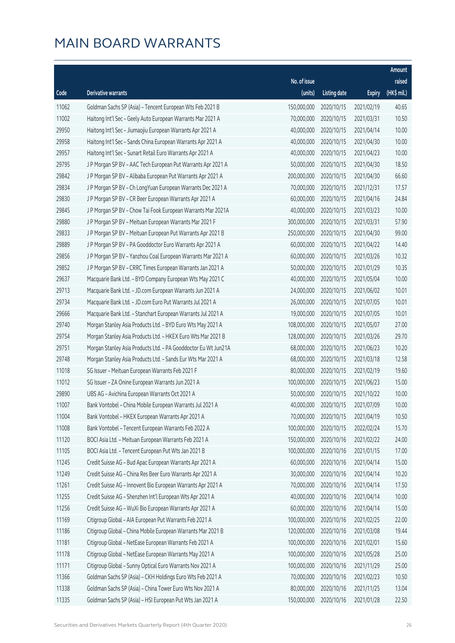|       |                                                                |              |                       |               | Amount      |
|-------|----------------------------------------------------------------|--------------|-----------------------|---------------|-------------|
|       |                                                                | No. of issue |                       |               | raised      |
| Code  | Derivative warrants                                            | (units)      | <b>Listing date</b>   | <b>Expiry</b> | (HK\$ mil.) |
| 11062 | Goldman Sachs SP (Asia) - Tencent European Wts Feb 2021 B      | 150,000,000  | 2020/10/15            | 2021/02/19    | 40.65       |
| 11002 | Haitong Int'l Sec - Geely Auto European Warrants Mar 2021 A    | 70,000,000   | 2020/10/15            | 2021/03/31    | 10.50       |
| 29950 | Haitong Int'l Sec - Jiumaojiu European Warrants Apr 2021 A     | 40,000,000   | 2020/10/15            | 2021/04/14    | 10.00       |
| 29958 | Haitong Int'l Sec - Sands China European Warrants Apr 2021 A   | 40,000,000   | 2020/10/15            | 2021/04/30    | 10.00       |
| 29957 | Haitong Int'l Sec - Sunart Retail Euro Warrants Apr 2021 A     | 40,000,000   | 2020/10/15            | 2021/04/23    | 10.00       |
| 29795 | J P Morgan SP BV - AAC Tech European Put Warrants Apr 2021 A   | 50,000,000   | 2020/10/15            | 2021/04/30    | 18.50       |
| 29842 | J P Morgan SP BV - Alibaba European Put Warrants Apr 2021 A    | 200,000,000  | 2020/10/15            | 2021/04/30    | 66.60       |
| 29834 | J P Morgan SP BV - Ch LongYuan European Warrants Dec 2021 A    | 70,000,000   | 2020/10/15            | 2021/12/31    | 17.57       |
| 29830 | J P Morgan SP BV - CR Beer European Warrants Apr 2021 A        | 60,000,000   | 2020/10/15            | 2021/04/16    | 24.84       |
| 29845 | J P Morgan SP BV - Chow Tai Fook European Warrants Mar 2021A   | 40,000,000   | 2020/10/15            | 2021/03/23    | 10.00       |
| 29880 | J P Morgan SP BV - Meituan European Warrants Mar 2021 F        | 300,000,000  | 2020/10/15            | 2021/03/31    | 57.90       |
| 29833 | J P Morgan SP BV - Meituan European Put Warrants Apr 2021 B    | 250,000,000  | 2020/10/15            | 2021/04/30    | 99.00       |
| 29889 | J P Morgan SP BV - PA Gooddoctor Euro Warrants Apr 2021 A      | 60,000,000   | 2020/10/15            | 2021/04/22    | 14.40       |
| 29856 | J P Morgan SP BV - Yanzhou Coal European Warrants Mar 2021 A   | 60,000,000   | 2020/10/15            | 2021/03/26    | 10.32       |
| 29852 | J P Morgan SP BV - CRRC Times European Warrants Jan 2021 A     | 50,000,000   | 2020/10/15            | 2021/01/29    | 10.35       |
| 29637 | Macquarie Bank Ltd. - BYD Company European Wts May 2021 C      | 40,000,000   | 2020/10/15            | 2021/05/04    | 10.00       |
| 29713 | Macquarie Bank Ltd. - JD.com European Warrants Jun 2021 A      | 24,000,000   | 2020/10/15            | 2021/06/02    | 10.01       |
| 29734 | Macquarie Bank Ltd. - JD.com Euro Put Warrants Jul 2021 A      | 26,000,000   | 2020/10/15            | 2021/07/05    | 10.01       |
| 29666 | Macquarie Bank Ltd. - Stanchart European Warrants Jul 2021 A   | 19,000,000   | 2020/10/15            | 2021/07/05    | 10.01       |
| 29740 | Morgan Stanley Asia Products Ltd. - BYD Euro Wts May 2021 A    | 108,000,000  | 2020/10/15            | 2021/05/07    | 27.00       |
| 29754 | Morgan Stanley Asia Products Ltd. - HKEX Euro Wts Mar 2021 B   | 128,000,000  | 2020/10/15            | 2021/03/26    | 29.70       |
| 29751 | Morgan Stanley Asia Products Ltd. - PA Gooddoctor Eu Wt Jun21A | 68,000,000   | 2020/10/15            | 2021/06/23    | 10.20       |
| 29748 | Morgan Stanley Asia Products Ltd. - Sands Eur Wts Mar 2021 A   | 68,000,000   | 2020/10/15            | 2021/03/18    | 12.58       |
| 11018 | SG Issuer - Meituan European Warrants Feb 2021 F               | 80,000,000   | 2020/10/15            | 2021/02/19    | 19.60       |
| 11012 | SG Issuer - ZA Onine European Warrants Jun 2021 A              | 100,000,000  | 2020/10/15            | 2021/06/23    | 15.00       |
| 29890 | UBS AG - Avichina European Warrants Oct 2021 A                 | 50,000,000   | 2020/10/15            | 2021/10/22    | 10.00       |
| 11007 | Bank Vontobel - China Mobile European Warrants Jul 2021 A      |              | 40,000,000 2020/10/15 | 2021/07/09    | 10.00       |
| 11004 | Bank Vontobel - HKEX European Warrants Apr 2021 A              | 70,000,000   | 2020/10/15            | 2021/04/19    | 10.50       |
| 11008 | Bank Vontobel - Tencent European Warrants Feb 2022 A           | 100,000,000  | 2020/10/15            | 2022/02/24    | 15.70       |
| 11120 | BOCI Asia Ltd. - Meituan European Warrants Feb 2021 A          | 150,000,000  | 2020/10/16            | 2021/02/22    | 24.00       |
| 11105 | BOCI Asia Ltd. - Tencent European Put Wts Jan 2021 B           | 100,000,000  | 2020/10/16            | 2021/01/15    | 17.00       |
| 11245 | Credit Suisse AG - Bud Apac European Warrants Apr 2021 A       | 60,000,000   | 2020/10/16            | 2021/04/14    | 15.00       |
| 11249 | Credit Suisse AG - China Res Beer Euro Warrants Apr 2021 A     | 30,000,000   | 2020/10/16            | 2021/04/14    | 10.20       |
| 11261 | Credit Suisse AG - Innovent Bio European Warrants Apr 2021 A   | 70,000,000   | 2020/10/16            | 2021/04/14    | 17.50       |
| 11255 | Credit Suisse AG - Shenzhen Int'l European Wts Apr 2021 A      | 40,000,000   | 2020/10/16            | 2021/04/14    | 10.00       |
| 11256 | Credit Suisse AG - WuXi Bio European Warrants Apr 2021 A       | 60,000,000   | 2020/10/16            | 2021/04/14    | 15.00       |
| 11169 | Citigroup Global - AIA European Put Warrants Feb 2021 A        | 100,000,000  | 2020/10/16            | 2021/02/25    | 22.00       |
| 11186 | Citigroup Global - China Mobile European Warrants Mar 2021 B   | 120,000,000  | 2020/10/16            | 2021/03/08    | 19.44       |
| 11181 | Citigroup Global - NetEase European Warrants Feb 2021 A        | 100,000,000  | 2020/10/16            | 2021/02/01    | 15.60       |
| 11178 | Citigroup Global - NetEase European Warrants May 2021 A        | 100,000,000  | 2020/10/16            | 2021/05/28    | 25.00       |
| 11171 | Citigroup Global - Sunny Optical Euro Warrants Nov 2021 A      | 100,000,000  | 2020/10/16            | 2021/11/29    | 25.00       |
| 11366 | Goldman Sachs SP (Asia) - CKH Holdings Euro Wts Feb 2021 A     | 70,000,000   | 2020/10/16            | 2021/02/23    | 10.50       |
| 11338 | Goldman Sachs SP (Asia) - China Tower Euro Wts Nov 2021 A      | 80,000,000   | 2020/10/16            | 2021/11/25    | 13.04       |
| 11335 | Goldman Sachs SP (Asia) - HSI European Put Wts Jan 2021 A      | 150,000,000  | 2020/10/16            | 2021/01/28    | 22.50       |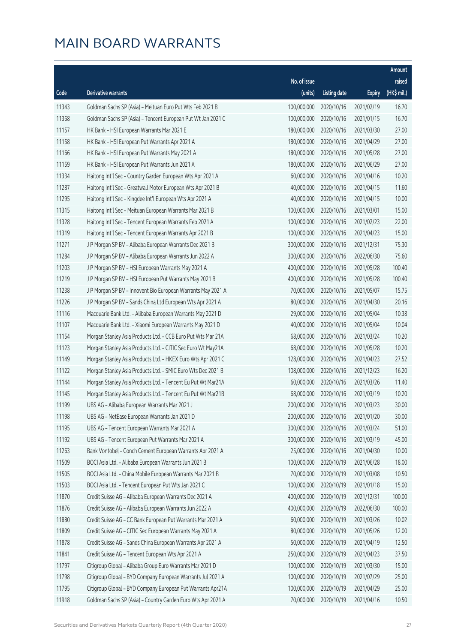|       |                                                              |              |                        |               | Amount      |
|-------|--------------------------------------------------------------|--------------|------------------------|---------------|-------------|
|       |                                                              | No. of issue |                        |               | raised      |
| Code  | Derivative warrants                                          | (units)      | <b>Listing date</b>    | <b>Expiry</b> | (HK\$ mil.) |
| 11343 | Goldman Sachs SP (Asia) - Meituan Euro Put Wts Feb 2021 B    | 100,000,000  | 2020/10/16             | 2021/02/19    | 16.70       |
| 11368 | Goldman Sachs SP (Asia) - Tencent European Put Wt Jan 2021 C | 100,000,000  | 2020/10/16             | 2021/01/15    | 16.70       |
| 11157 | HK Bank - HSI European Warrants Mar 2021 E                   | 180,000,000  | 2020/10/16             | 2021/03/30    | 27.00       |
| 11158 | HK Bank - HSI European Put Warrants Apr 2021 A               | 180,000,000  | 2020/10/16             | 2021/04/29    | 27.00       |
| 11166 | HK Bank - HSI European Put Warrants May 2021 A               | 180,000,000  | 2020/10/16             | 2021/05/28    | 27.00       |
| 11159 | HK Bank - HSI European Put Warrants Jun 2021 A               | 180,000,000  | 2020/10/16             | 2021/06/29    | 27.00       |
| 11334 | Haitong Int'l Sec - Country Garden European Wts Apr 2021 A   | 60,000,000   | 2020/10/16             | 2021/04/16    | 10.20       |
| 11287 | Haitong Int'l Sec - Greatwall Motor European Wts Apr 2021 B  | 40,000,000   | 2020/10/16             | 2021/04/15    | 11.60       |
| 11295 | Haitong Int'l Sec - Kingdee Int'l European Wts Apr 2021 A    | 40,000,000   | 2020/10/16             | 2021/04/15    | 10.00       |
| 11315 | Haitong Int'l Sec - Meituan European Warrants Mar 2021 B     | 100,000,000  | 2020/10/16             | 2021/03/01    | 15.00       |
| 11328 | Haitong Int'l Sec - Tencent European Warrants Feb 2021 A     | 100,000,000  | 2020/10/16             | 2021/02/23    | 22.00       |
| 11319 | Haitong Int'l Sec - Tencent European Warrants Apr 2021 B     | 100,000,000  | 2020/10/16             | 2021/04/23    | 15.00       |
| 11271 | J P Morgan SP BV - Alibaba European Warrants Dec 2021 B      | 300,000,000  | 2020/10/16             | 2021/12/31    | 75.30       |
| 11284 | J P Morgan SP BV - Alibaba European Warrants Jun 2022 A      | 300,000,000  | 2020/10/16             | 2022/06/30    | 75.60       |
| 11203 | J P Morgan SP BV - HSI European Warrants May 2021 A          | 400,000,000  | 2020/10/16             | 2021/05/28    | 100.40      |
| 11219 | J P Morgan SP BV - HSI European Put Warrants May 2021 B      | 400,000,000  | 2020/10/16             | 2021/05/28    | 100.40      |
| 11238 | J P Morgan SP BV - Innovent Bio European Warrants May 2021 A | 70,000,000   | 2020/10/16             | 2021/05/07    | 15.75       |
| 11226 | J P Morgan SP BV - Sands China Ltd European Wts Apr 2021 A   | 80,000,000   | 2020/10/16             | 2021/04/30    | 20.16       |
| 11116 | Macquarie Bank Ltd. - Alibaba European Warrants May 2021 D   | 29,000,000   | 2020/10/16             | 2021/05/04    | 10.38       |
| 11107 | Macquarie Bank Ltd. - Xiaomi European Warrants May 2021 D    | 40,000,000   | 2020/10/16             | 2021/05/04    | 10.04       |
| 11154 | Morgan Stanley Asia Products Ltd. - CCB Euro Put Wts Mar 21A | 68,000,000   | 2020/10/16             | 2021/03/24    | 10.20       |
| 11123 | Morgan Stanley Asia Products Ltd. - CITIC Sec Euro Wt May21A | 68,000,000   | 2020/10/16             | 2021/05/28    | 10.20       |
| 11149 | Morgan Stanley Asia Products Ltd. - HKEX Euro Wts Apr 2021 C | 128,000,000  | 2020/10/16             | 2021/04/23    | 27.52       |
| 11122 | Morgan Stanley Asia Products Ltd. - SMIC Euro Wts Dec 2021 B | 108,000,000  | 2020/10/16             | 2021/12/23    | 16.20       |
| 11144 | Morgan Stanley Asia Products Ltd. - Tencent Eu Put Wt Mar21A | 60,000,000   | 2020/10/16             | 2021/03/26    | 11.40       |
| 11145 | Morgan Stanley Asia Products Ltd. - Tencent Eu Put Wt Mar21B | 68,000,000   | 2020/10/16             | 2021/03/19    | 10.20       |
| 11199 | UBS AG - Alibaba European Warrants Mar 2021 J                |              | 200,000,000 2020/10/16 | 2021/03/23    | 30.00       |
| 11198 | UBS AG - NetEase European Warrants Jan 2021 D                | 200,000,000  | 2020/10/16             | 2021/01/20    | 30.00       |
| 11195 | UBS AG - Tencent European Warrants Mar 2021 A                | 300,000,000  | 2020/10/16             | 2021/03/24    | 51.00       |
| 11192 | UBS AG - Tencent European Put Warrants Mar 2021 A            | 300,000,000  | 2020/10/16             | 2021/03/19    | 45.00       |
| 11263 | Bank Vontobel - Conch Cement European Warrants Apr 2021 A    | 25,000,000   | 2020/10/16             | 2021/04/30    | 10.00       |
| 11509 | BOCI Asia Ltd. - Alibaba European Warrants Jun 2021 B        | 100,000,000  | 2020/10/19             | 2021/06/28    | 18.00       |
| 11505 | BOCI Asia Ltd. - China Mobile European Warrants Mar 2021 B   | 70,000,000   | 2020/10/19             | 2021/03/08    | 10.50       |
| 11503 | BOCI Asia Ltd. - Tencent European Put Wts Jan 2021 C         | 100,000,000  | 2020/10/19             | 2021/01/18    | 15.00       |
| 11870 | Credit Suisse AG - Alibaba European Warrants Dec 2021 A      | 400,000,000  | 2020/10/19             | 2021/12/31    | 100.00      |
| 11876 | Credit Suisse AG - Alibaba European Warrants Jun 2022 A      | 400,000,000  | 2020/10/19             | 2022/06/30    | 100.00      |
| 11880 | Credit Suisse AG - CC Bank European Put Warrants Mar 2021 A  | 60,000,000   | 2020/10/19             | 2021/03/26    | 10.02       |
| 11809 | Credit Suisse AG - CITIC Sec European Warrants May 2021 A    | 80,000,000   | 2020/10/19             | 2021/05/26    | 12.00       |
| 11878 | Credit Suisse AG - Sands China European Warrants Apr 2021 A  | 50,000,000   | 2020/10/19             | 2021/04/19    | 12.50       |
| 11841 | Credit Suisse AG - Tencent European Wts Apr 2021 A           | 250,000,000  | 2020/10/19             | 2021/04/23    | 37.50       |
| 11797 | Citigroup Global - Alibaba Group Euro Warrants Mar 2021 D    | 100,000,000  | 2020/10/19             | 2021/03/30    | 15.00       |
| 11798 | Citigroup Global - BYD Company European Warrants Jul 2021 A  | 100,000,000  | 2020/10/19             | 2021/07/29    | 25.00       |
| 11795 | Citigroup Global - BYD Company European Put Warrants Apr21A  | 100,000,000  | 2020/10/19             | 2021/04/29    | 25.00       |
| 11918 | Goldman Sachs SP (Asia) - Country Garden Euro Wts Apr 2021 A | 70,000,000   | 2020/10/19             | 2021/04/16    | 10.50       |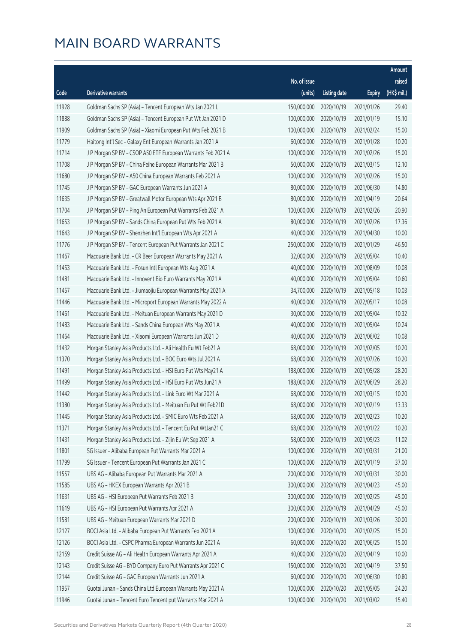| No. of issue<br>raised<br>(HK\$ mil.)<br>Derivative warrants<br>(units)<br>Code<br><b>Listing date</b><br><b>Expiry</b><br>150,000,000<br>11928<br>Goldman Sachs SP (Asia) - Tencent European Wts Jan 2021 L<br>2020/10/19<br>2021/01/26<br>29.40<br>15.10<br>11888<br>Goldman Sachs SP (Asia) - Tencent European Put Wt Jan 2021 D<br>100,000,000<br>2020/10/19<br>2021/01/19<br>11909<br>100,000,000<br>15.00<br>Goldman Sachs SP (Asia) - Xiaomi European Put Wts Feb 2021 B<br>2020/10/19<br>2021/02/24<br>10.20<br>11779<br>Haitong Int'l Sec - Galaxy Ent European Warrants Jan 2021 A<br>60,000,000<br>2020/10/19<br>2021/01/28<br>11714<br>100,000,000<br>J P Morgan SP BV - CSOP A50 ETF European Warrants Feb 2021 A<br>2020/10/19<br>2021/02/26<br>15.00<br>11708<br>J P Morgan SP BV - China Feihe European Warrants Mar 2021 B<br>50,000,000<br>2020/10/19<br>2021/03/15<br>12.10<br>11680<br>100,000,000<br>J P Morgan SP BV - A50 China European Warrants Feb 2021 A<br>2020/10/19<br>2021/02/26<br>15.00<br>11745<br>J P Morgan SP BV - GAC European Warrants Jun 2021 A<br>80,000,000<br>2020/10/19<br>2021/06/30<br>14.80<br>11635<br>80,000,000<br>20.64<br>J P Morgan SP BV - Greatwall Motor European Wts Apr 2021 B<br>2020/10/19<br>2021/04/19<br>20.90<br>11704<br>J P Morgan SP BV - Ping An European Put Warrants Feb 2021 A<br>100,000,000<br>2020/10/19<br>2021/02/26<br>11653<br>80,000,000<br>17.36<br>J P Morgan SP BV - Sands China European Put Wts Feb 2021 A<br>2020/10/19<br>2021/02/26<br>10.00<br>11643<br>J P Morgan SP BV - Shenzhen Int'l European Wts Apr 2021 A<br>40,000,000<br>2020/10/19<br>2021/04/30<br>11776<br>250,000,000<br>46.50<br>J P Morgan SP BV - Tencent European Put Warrants Jan 2021 C<br>2020/10/19<br>2021/01/29<br>11467<br>Macquarie Bank Ltd. - CR Beer European Warrants May 2021 A<br>32,000,000<br>2020/10/19<br>2021/05/04<br>10.40<br>11453<br>40,000,000<br>2020/10/19<br>10.08<br>Macquarie Bank Ltd. - Fosun Intl European Wts Aug 2021 A<br>2021/08/09<br>11481<br>40,000,000<br>2020/10/19<br>10.60<br>Macquarie Bank Ltd. - Innovent Bio Euro Warrants May 2021 A<br>2021/05/04<br>11457<br>34,700,000<br>10.03<br>Macquarie Bank Ltd. - Jiumaojiu European Warrants May 2021 A<br>2020/10/19<br>2021/05/18<br>11446<br>40,000,000<br>10.08<br>Macquarie Bank Ltd. - Microport European Warrants May 2022 A<br>2020/10/19<br>2022/05/17<br>11461<br>30,000,000<br>10.32<br>Macquarie Bank Ltd. - Meituan European Warrants May 2021 D<br>2020/10/19<br>2021/05/04<br>11483<br>40,000,000<br>2020/10/19<br>10.24<br>Macquarie Bank Ltd. - Sands China European Wts May 2021 A<br>2021/05/04<br>11464<br>40,000,000<br>10.08<br>Macquarie Bank Ltd. - Xiaomi European Warrants Jun 2021 D<br>2020/10/19<br>2021/06/02<br>11432<br>10.20<br>Morgan Stanley Asia Products Ltd. - Ali Health Eu Wt Feb21 A<br>68,000,000<br>2020/10/19<br>2021/02/05<br>11370<br>68,000,000<br>10.20<br>Morgan Stanley Asia Products Ltd. - BOC Euro Wts Jul 2021 A<br>2020/10/19<br>2021/07/26<br>188,000,000<br>2020/10/19<br>28.20<br>11491<br>Morgan Stanley Asia Products Ltd. - HSI Euro Put Wts May21 A<br>2021/05/28<br>11499<br>28.20<br>Morgan Stanley Asia Products Ltd. - HSI Euro Put Wts Jun21 A<br>188,000,000<br>2020/10/19<br>2021/06/29<br>11442<br>68,000,000<br>2020/10/19<br>10.20<br>Morgan Stanley Asia Products Ltd. - Link Euro Wt Mar 2021 A<br>2021/03/15<br>11380<br>68,000,000 2020/10/19<br>2021/02/19<br>13.33<br>Morgan Stanley Asia Products Ltd. - Meituan Eu Put Wt Feb21D<br>11445<br>Morgan Stanley Asia Products Ltd. - SMIC Euro Wts Feb 2021 A<br>68,000,000<br>2020/10/19<br>2021/02/23<br>10.20<br>11371<br>68,000,000<br>2020/10/19<br>10.20<br>Morgan Stanley Asia Products Ltd. - Tencent Eu Put WtJan21 C<br>2021/01/22<br>11431<br>Morgan Stanley Asia Products Ltd. - Zijin Eu Wt Sep 2021 A<br>58,000,000<br>2020/10/19<br>11.02<br>2021/09/23<br>11801<br>SG Issuer - Alibaba European Put Warrants Mar 2021 A<br>100,000,000<br>21.00<br>2020/10/19<br>2021/03/31<br>100,000,000<br>11799<br>SG Issuer - Tencent European Put Warrants Jan 2021 C<br>2020/10/19<br>2021/01/19<br>37.00<br>11557<br>UBS AG - Alibaba European Put Warrants Mar 2021 A<br>200,000,000<br>30.00<br>2020/10/19<br>2021/03/31<br>11585<br>300,000,000<br>2020/10/19<br>45.00<br>UBS AG - HKEX European Warrants Apr 2021 B<br>2021/04/23<br>11631<br>UBS AG - HSI European Put Warrants Feb 2021 B<br>300,000,000<br>45.00<br>2020/10/19<br>2021/02/25<br>11619<br>300,000,000<br>UBS AG - HSI European Put Warrants Apr 2021 A<br>2020/10/19<br>2021/04/29<br>45.00<br>11581<br>UBS AG - Meituan European Warrants Mar 2021 D<br>200,000,000<br>30.00<br>2020/10/19<br>2021/03/26<br>BOCI Asia Ltd. - Alibaba European Put Warrants Feb 2021 A<br>100,000,000<br>2020/10/20<br>12127<br>2021/02/25<br>15.00<br>12126<br>BOCI Asia Ltd. - CSPC Pharma European Warrants Jun 2021 A<br>60,000,000<br>2020/10/20<br>2021/06/25<br>15.00<br>40,000,000<br>12159<br>Credit Suisse AG - Ali Health European Warrants Apr 2021 A<br>2020/10/20<br>2021/04/19<br>10.00<br>12143<br>150,000,000<br>37.50<br>Credit Suisse AG - BYD Company Euro Put Warrants Apr 2021 C<br>2020/10/20<br>2021/04/19<br>Credit Suisse AG - GAC European Warrants Jun 2021 A<br>60,000,000<br>2020/10/20<br>12144<br>2021/06/30<br>10.80<br>11957<br>Guotai Junan - Sands China Ltd European Warrants May 2021 A<br>100,000,000<br>24.20<br>2020/10/20<br>2021/05/05 |       |                                                             |             |            |            | Amount |
|-----------------------------------------------------------------------------------------------------------------------------------------------------------------------------------------------------------------------------------------------------------------------------------------------------------------------------------------------------------------------------------------------------------------------------------------------------------------------------------------------------------------------------------------------------------------------------------------------------------------------------------------------------------------------------------------------------------------------------------------------------------------------------------------------------------------------------------------------------------------------------------------------------------------------------------------------------------------------------------------------------------------------------------------------------------------------------------------------------------------------------------------------------------------------------------------------------------------------------------------------------------------------------------------------------------------------------------------------------------------------------------------------------------------------------------------------------------------------------------------------------------------------------------------------------------------------------------------------------------------------------------------------------------------------------------------------------------------------------------------------------------------------------------------------------------------------------------------------------------------------------------------------------------------------------------------------------------------------------------------------------------------------------------------------------------------------------------------------------------------------------------------------------------------------------------------------------------------------------------------------------------------------------------------------------------------------------------------------------------------------------------------------------------------------------------------------------------------------------------------------------------------------------------------------------------------------------------------------------------------------------------------------------------------------------------------------------------------------------------------------------------------------------------------------------------------------------------------------------------------------------------------------------------------------------------------------------------------------------------------------------------------------------------------------------------------------------------------------------------------------------------------------------------------------------------------------------------------------------------------------------------------------------------------------------------------------------------------------------------------------------------------------------------------------------------------------------------------------------------------------------------------------------------------------------------------------------------------------------------------------------------------------------------------------------------------------------------------------------------------------------------------------------------------------------------------------------------------------------------------------------------------------------------------------------------------------------------------------------------------------------------------------------------------------------------------------------------------------------------------------------------------------------------------------------------------------------------------------------------------------------------------------------------------------------------------------------------------------------------------------------------------------------------------------------------------------------------------------------------------------------------------------------------------------------------------------------------------------------------------------------------------------------------------------------------------------------------------------------------------------------------------------------------------------------------------------------------------------------------------------------------------------------------------------------------------------------------------------------------------------------------------------------------------------------------------------------------------------------------------------------------------------------------------------------------------------------------------------------------------------------------------------------------------------------------------------------------------------------------------------------------------------------------------------------------------------------------------------------------------------------------------------------------|-------|-------------------------------------------------------------|-------------|------------|------------|--------|
|                                                                                                                                                                                                                                                                                                                                                                                                                                                                                                                                                                                                                                                                                                                                                                                                                                                                                                                                                                                                                                                                                                                                                                                                                                                                                                                                                                                                                                                                                                                                                                                                                                                                                                                                                                                                                                                                                                                                                                                                                                                                                                                                                                                                                                                                                                                                                                                                                                                                                                                                                                                                                                                                                                                                                                                                                                                                                                                                                                                                                                                                                                                                                                                                                                                                                                                                                                                                                                                                                                                                                                                                                                                                                                                                                                                                                                                                                                                                                                                                                                                                                                                                                                                                                                                                                                                                                                                                                                                                                                                                                                                                                                                                                                                                                                                                                                                                                                                                                                                                                                                                                                                                                                                                                                                                                                                                                                                                                                                                                                                                   |       |                                                             |             |            |            |        |
|                                                                                                                                                                                                                                                                                                                                                                                                                                                                                                                                                                                                                                                                                                                                                                                                                                                                                                                                                                                                                                                                                                                                                                                                                                                                                                                                                                                                                                                                                                                                                                                                                                                                                                                                                                                                                                                                                                                                                                                                                                                                                                                                                                                                                                                                                                                                                                                                                                                                                                                                                                                                                                                                                                                                                                                                                                                                                                                                                                                                                                                                                                                                                                                                                                                                                                                                                                                                                                                                                                                                                                                                                                                                                                                                                                                                                                                                                                                                                                                                                                                                                                                                                                                                                                                                                                                                                                                                                                                                                                                                                                                                                                                                                                                                                                                                                                                                                                                                                                                                                                                                                                                                                                                                                                                                                                                                                                                                                                                                                                                                   |       |                                                             |             |            |            |        |
|                                                                                                                                                                                                                                                                                                                                                                                                                                                                                                                                                                                                                                                                                                                                                                                                                                                                                                                                                                                                                                                                                                                                                                                                                                                                                                                                                                                                                                                                                                                                                                                                                                                                                                                                                                                                                                                                                                                                                                                                                                                                                                                                                                                                                                                                                                                                                                                                                                                                                                                                                                                                                                                                                                                                                                                                                                                                                                                                                                                                                                                                                                                                                                                                                                                                                                                                                                                                                                                                                                                                                                                                                                                                                                                                                                                                                                                                                                                                                                                                                                                                                                                                                                                                                                                                                                                                                                                                                                                                                                                                                                                                                                                                                                                                                                                                                                                                                                                                                                                                                                                                                                                                                                                                                                                                                                                                                                                                                                                                                                                                   |       |                                                             |             |            |            |        |
|                                                                                                                                                                                                                                                                                                                                                                                                                                                                                                                                                                                                                                                                                                                                                                                                                                                                                                                                                                                                                                                                                                                                                                                                                                                                                                                                                                                                                                                                                                                                                                                                                                                                                                                                                                                                                                                                                                                                                                                                                                                                                                                                                                                                                                                                                                                                                                                                                                                                                                                                                                                                                                                                                                                                                                                                                                                                                                                                                                                                                                                                                                                                                                                                                                                                                                                                                                                                                                                                                                                                                                                                                                                                                                                                                                                                                                                                                                                                                                                                                                                                                                                                                                                                                                                                                                                                                                                                                                                                                                                                                                                                                                                                                                                                                                                                                                                                                                                                                                                                                                                                                                                                                                                                                                                                                                                                                                                                                                                                                                                                   |       |                                                             |             |            |            |        |
|                                                                                                                                                                                                                                                                                                                                                                                                                                                                                                                                                                                                                                                                                                                                                                                                                                                                                                                                                                                                                                                                                                                                                                                                                                                                                                                                                                                                                                                                                                                                                                                                                                                                                                                                                                                                                                                                                                                                                                                                                                                                                                                                                                                                                                                                                                                                                                                                                                                                                                                                                                                                                                                                                                                                                                                                                                                                                                                                                                                                                                                                                                                                                                                                                                                                                                                                                                                                                                                                                                                                                                                                                                                                                                                                                                                                                                                                                                                                                                                                                                                                                                                                                                                                                                                                                                                                                                                                                                                                                                                                                                                                                                                                                                                                                                                                                                                                                                                                                                                                                                                                                                                                                                                                                                                                                                                                                                                                                                                                                                                                   |       |                                                             |             |            |            |        |
|                                                                                                                                                                                                                                                                                                                                                                                                                                                                                                                                                                                                                                                                                                                                                                                                                                                                                                                                                                                                                                                                                                                                                                                                                                                                                                                                                                                                                                                                                                                                                                                                                                                                                                                                                                                                                                                                                                                                                                                                                                                                                                                                                                                                                                                                                                                                                                                                                                                                                                                                                                                                                                                                                                                                                                                                                                                                                                                                                                                                                                                                                                                                                                                                                                                                                                                                                                                                                                                                                                                                                                                                                                                                                                                                                                                                                                                                                                                                                                                                                                                                                                                                                                                                                                                                                                                                                                                                                                                                                                                                                                                                                                                                                                                                                                                                                                                                                                                                                                                                                                                                                                                                                                                                                                                                                                                                                                                                                                                                                                                                   |       |                                                             |             |            |            |        |
|                                                                                                                                                                                                                                                                                                                                                                                                                                                                                                                                                                                                                                                                                                                                                                                                                                                                                                                                                                                                                                                                                                                                                                                                                                                                                                                                                                                                                                                                                                                                                                                                                                                                                                                                                                                                                                                                                                                                                                                                                                                                                                                                                                                                                                                                                                                                                                                                                                                                                                                                                                                                                                                                                                                                                                                                                                                                                                                                                                                                                                                                                                                                                                                                                                                                                                                                                                                                                                                                                                                                                                                                                                                                                                                                                                                                                                                                                                                                                                                                                                                                                                                                                                                                                                                                                                                                                                                                                                                                                                                                                                                                                                                                                                                                                                                                                                                                                                                                                                                                                                                                                                                                                                                                                                                                                                                                                                                                                                                                                                                                   |       |                                                             |             |            |            |        |
|                                                                                                                                                                                                                                                                                                                                                                                                                                                                                                                                                                                                                                                                                                                                                                                                                                                                                                                                                                                                                                                                                                                                                                                                                                                                                                                                                                                                                                                                                                                                                                                                                                                                                                                                                                                                                                                                                                                                                                                                                                                                                                                                                                                                                                                                                                                                                                                                                                                                                                                                                                                                                                                                                                                                                                                                                                                                                                                                                                                                                                                                                                                                                                                                                                                                                                                                                                                                                                                                                                                                                                                                                                                                                                                                                                                                                                                                                                                                                                                                                                                                                                                                                                                                                                                                                                                                                                                                                                                                                                                                                                                                                                                                                                                                                                                                                                                                                                                                                                                                                                                                                                                                                                                                                                                                                                                                                                                                                                                                                                                                   |       |                                                             |             |            |            |        |
|                                                                                                                                                                                                                                                                                                                                                                                                                                                                                                                                                                                                                                                                                                                                                                                                                                                                                                                                                                                                                                                                                                                                                                                                                                                                                                                                                                                                                                                                                                                                                                                                                                                                                                                                                                                                                                                                                                                                                                                                                                                                                                                                                                                                                                                                                                                                                                                                                                                                                                                                                                                                                                                                                                                                                                                                                                                                                                                                                                                                                                                                                                                                                                                                                                                                                                                                                                                                                                                                                                                                                                                                                                                                                                                                                                                                                                                                                                                                                                                                                                                                                                                                                                                                                                                                                                                                                                                                                                                                                                                                                                                                                                                                                                                                                                                                                                                                                                                                                                                                                                                                                                                                                                                                                                                                                                                                                                                                                                                                                                                                   |       |                                                             |             |            |            |        |
|                                                                                                                                                                                                                                                                                                                                                                                                                                                                                                                                                                                                                                                                                                                                                                                                                                                                                                                                                                                                                                                                                                                                                                                                                                                                                                                                                                                                                                                                                                                                                                                                                                                                                                                                                                                                                                                                                                                                                                                                                                                                                                                                                                                                                                                                                                                                                                                                                                                                                                                                                                                                                                                                                                                                                                                                                                                                                                                                                                                                                                                                                                                                                                                                                                                                                                                                                                                                                                                                                                                                                                                                                                                                                                                                                                                                                                                                                                                                                                                                                                                                                                                                                                                                                                                                                                                                                                                                                                                                                                                                                                                                                                                                                                                                                                                                                                                                                                                                                                                                                                                                                                                                                                                                                                                                                                                                                                                                                                                                                                                                   |       |                                                             |             |            |            |        |
|                                                                                                                                                                                                                                                                                                                                                                                                                                                                                                                                                                                                                                                                                                                                                                                                                                                                                                                                                                                                                                                                                                                                                                                                                                                                                                                                                                                                                                                                                                                                                                                                                                                                                                                                                                                                                                                                                                                                                                                                                                                                                                                                                                                                                                                                                                                                                                                                                                                                                                                                                                                                                                                                                                                                                                                                                                                                                                                                                                                                                                                                                                                                                                                                                                                                                                                                                                                                                                                                                                                                                                                                                                                                                                                                                                                                                                                                                                                                                                                                                                                                                                                                                                                                                                                                                                                                                                                                                                                                                                                                                                                                                                                                                                                                                                                                                                                                                                                                                                                                                                                                                                                                                                                                                                                                                                                                                                                                                                                                                                                                   |       |                                                             |             |            |            |        |
|                                                                                                                                                                                                                                                                                                                                                                                                                                                                                                                                                                                                                                                                                                                                                                                                                                                                                                                                                                                                                                                                                                                                                                                                                                                                                                                                                                                                                                                                                                                                                                                                                                                                                                                                                                                                                                                                                                                                                                                                                                                                                                                                                                                                                                                                                                                                                                                                                                                                                                                                                                                                                                                                                                                                                                                                                                                                                                                                                                                                                                                                                                                                                                                                                                                                                                                                                                                                                                                                                                                                                                                                                                                                                                                                                                                                                                                                                                                                                                                                                                                                                                                                                                                                                                                                                                                                                                                                                                                                                                                                                                                                                                                                                                                                                                                                                                                                                                                                                                                                                                                                                                                                                                                                                                                                                                                                                                                                                                                                                                                                   |       |                                                             |             |            |            |        |
|                                                                                                                                                                                                                                                                                                                                                                                                                                                                                                                                                                                                                                                                                                                                                                                                                                                                                                                                                                                                                                                                                                                                                                                                                                                                                                                                                                                                                                                                                                                                                                                                                                                                                                                                                                                                                                                                                                                                                                                                                                                                                                                                                                                                                                                                                                                                                                                                                                                                                                                                                                                                                                                                                                                                                                                                                                                                                                                                                                                                                                                                                                                                                                                                                                                                                                                                                                                                                                                                                                                                                                                                                                                                                                                                                                                                                                                                                                                                                                                                                                                                                                                                                                                                                                                                                                                                                                                                                                                                                                                                                                                                                                                                                                                                                                                                                                                                                                                                                                                                                                                                                                                                                                                                                                                                                                                                                                                                                                                                                                                                   |       |                                                             |             |            |            |        |
|                                                                                                                                                                                                                                                                                                                                                                                                                                                                                                                                                                                                                                                                                                                                                                                                                                                                                                                                                                                                                                                                                                                                                                                                                                                                                                                                                                                                                                                                                                                                                                                                                                                                                                                                                                                                                                                                                                                                                                                                                                                                                                                                                                                                                                                                                                                                                                                                                                                                                                                                                                                                                                                                                                                                                                                                                                                                                                                                                                                                                                                                                                                                                                                                                                                                                                                                                                                                                                                                                                                                                                                                                                                                                                                                                                                                                                                                                                                                                                                                                                                                                                                                                                                                                                                                                                                                                                                                                                                                                                                                                                                                                                                                                                                                                                                                                                                                                                                                                                                                                                                                                                                                                                                                                                                                                                                                                                                                                                                                                                                                   |       |                                                             |             |            |            |        |
|                                                                                                                                                                                                                                                                                                                                                                                                                                                                                                                                                                                                                                                                                                                                                                                                                                                                                                                                                                                                                                                                                                                                                                                                                                                                                                                                                                                                                                                                                                                                                                                                                                                                                                                                                                                                                                                                                                                                                                                                                                                                                                                                                                                                                                                                                                                                                                                                                                                                                                                                                                                                                                                                                                                                                                                                                                                                                                                                                                                                                                                                                                                                                                                                                                                                                                                                                                                                                                                                                                                                                                                                                                                                                                                                                                                                                                                                                                                                                                                                                                                                                                                                                                                                                                                                                                                                                                                                                                                                                                                                                                                                                                                                                                                                                                                                                                                                                                                                                                                                                                                                                                                                                                                                                                                                                                                                                                                                                                                                                                                                   |       |                                                             |             |            |            |        |
|                                                                                                                                                                                                                                                                                                                                                                                                                                                                                                                                                                                                                                                                                                                                                                                                                                                                                                                                                                                                                                                                                                                                                                                                                                                                                                                                                                                                                                                                                                                                                                                                                                                                                                                                                                                                                                                                                                                                                                                                                                                                                                                                                                                                                                                                                                                                                                                                                                                                                                                                                                                                                                                                                                                                                                                                                                                                                                                                                                                                                                                                                                                                                                                                                                                                                                                                                                                                                                                                                                                                                                                                                                                                                                                                                                                                                                                                                                                                                                                                                                                                                                                                                                                                                                                                                                                                                                                                                                                                                                                                                                                                                                                                                                                                                                                                                                                                                                                                                                                                                                                                                                                                                                                                                                                                                                                                                                                                                                                                                                                                   |       |                                                             |             |            |            |        |
|                                                                                                                                                                                                                                                                                                                                                                                                                                                                                                                                                                                                                                                                                                                                                                                                                                                                                                                                                                                                                                                                                                                                                                                                                                                                                                                                                                                                                                                                                                                                                                                                                                                                                                                                                                                                                                                                                                                                                                                                                                                                                                                                                                                                                                                                                                                                                                                                                                                                                                                                                                                                                                                                                                                                                                                                                                                                                                                                                                                                                                                                                                                                                                                                                                                                                                                                                                                                                                                                                                                                                                                                                                                                                                                                                                                                                                                                                                                                                                                                                                                                                                                                                                                                                                                                                                                                                                                                                                                                                                                                                                                                                                                                                                                                                                                                                                                                                                                                                                                                                                                                                                                                                                                                                                                                                                                                                                                                                                                                                                                                   |       |                                                             |             |            |            |        |
|                                                                                                                                                                                                                                                                                                                                                                                                                                                                                                                                                                                                                                                                                                                                                                                                                                                                                                                                                                                                                                                                                                                                                                                                                                                                                                                                                                                                                                                                                                                                                                                                                                                                                                                                                                                                                                                                                                                                                                                                                                                                                                                                                                                                                                                                                                                                                                                                                                                                                                                                                                                                                                                                                                                                                                                                                                                                                                                                                                                                                                                                                                                                                                                                                                                                                                                                                                                                                                                                                                                                                                                                                                                                                                                                                                                                                                                                                                                                                                                                                                                                                                                                                                                                                                                                                                                                                                                                                                                                                                                                                                                                                                                                                                                                                                                                                                                                                                                                                                                                                                                                                                                                                                                                                                                                                                                                                                                                                                                                                                                                   |       |                                                             |             |            |            |        |
|                                                                                                                                                                                                                                                                                                                                                                                                                                                                                                                                                                                                                                                                                                                                                                                                                                                                                                                                                                                                                                                                                                                                                                                                                                                                                                                                                                                                                                                                                                                                                                                                                                                                                                                                                                                                                                                                                                                                                                                                                                                                                                                                                                                                                                                                                                                                                                                                                                                                                                                                                                                                                                                                                                                                                                                                                                                                                                                                                                                                                                                                                                                                                                                                                                                                                                                                                                                                                                                                                                                                                                                                                                                                                                                                                                                                                                                                                                                                                                                                                                                                                                                                                                                                                                                                                                                                                                                                                                                                                                                                                                                                                                                                                                                                                                                                                                                                                                                                                                                                                                                                                                                                                                                                                                                                                                                                                                                                                                                                                                                                   |       |                                                             |             |            |            |        |
|                                                                                                                                                                                                                                                                                                                                                                                                                                                                                                                                                                                                                                                                                                                                                                                                                                                                                                                                                                                                                                                                                                                                                                                                                                                                                                                                                                                                                                                                                                                                                                                                                                                                                                                                                                                                                                                                                                                                                                                                                                                                                                                                                                                                                                                                                                                                                                                                                                                                                                                                                                                                                                                                                                                                                                                                                                                                                                                                                                                                                                                                                                                                                                                                                                                                                                                                                                                                                                                                                                                                                                                                                                                                                                                                                                                                                                                                                                                                                                                                                                                                                                                                                                                                                                                                                                                                                                                                                                                                                                                                                                                                                                                                                                                                                                                                                                                                                                                                                                                                                                                                                                                                                                                                                                                                                                                                                                                                                                                                                                                                   |       |                                                             |             |            |            |        |
|                                                                                                                                                                                                                                                                                                                                                                                                                                                                                                                                                                                                                                                                                                                                                                                                                                                                                                                                                                                                                                                                                                                                                                                                                                                                                                                                                                                                                                                                                                                                                                                                                                                                                                                                                                                                                                                                                                                                                                                                                                                                                                                                                                                                                                                                                                                                                                                                                                                                                                                                                                                                                                                                                                                                                                                                                                                                                                                                                                                                                                                                                                                                                                                                                                                                                                                                                                                                                                                                                                                                                                                                                                                                                                                                                                                                                                                                                                                                                                                                                                                                                                                                                                                                                                                                                                                                                                                                                                                                                                                                                                                                                                                                                                                                                                                                                                                                                                                                                                                                                                                                                                                                                                                                                                                                                                                                                                                                                                                                                                                                   |       |                                                             |             |            |            |        |
|                                                                                                                                                                                                                                                                                                                                                                                                                                                                                                                                                                                                                                                                                                                                                                                                                                                                                                                                                                                                                                                                                                                                                                                                                                                                                                                                                                                                                                                                                                                                                                                                                                                                                                                                                                                                                                                                                                                                                                                                                                                                                                                                                                                                                                                                                                                                                                                                                                                                                                                                                                                                                                                                                                                                                                                                                                                                                                                                                                                                                                                                                                                                                                                                                                                                                                                                                                                                                                                                                                                                                                                                                                                                                                                                                                                                                                                                                                                                                                                                                                                                                                                                                                                                                                                                                                                                                                                                                                                                                                                                                                                                                                                                                                                                                                                                                                                                                                                                                                                                                                                                                                                                                                                                                                                                                                                                                                                                                                                                                                                                   |       |                                                             |             |            |            |        |
|                                                                                                                                                                                                                                                                                                                                                                                                                                                                                                                                                                                                                                                                                                                                                                                                                                                                                                                                                                                                                                                                                                                                                                                                                                                                                                                                                                                                                                                                                                                                                                                                                                                                                                                                                                                                                                                                                                                                                                                                                                                                                                                                                                                                                                                                                                                                                                                                                                                                                                                                                                                                                                                                                                                                                                                                                                                                                                                                                                                                                                                                                                                                                                                                                                                                                                                                                                                                                                                                                                                                                                                                                                                                                                                                                                                                                                                                                                                                                                                                                                                                                                                                                                                                                                                                                                                                                                                                                                                                                                                                                                                                                                                                                                                                                                                                                                                                                                                                                                                                                                                                                                                                                                                                                                                                                                                                                                                                                                                                                                                                   |       |                                                             |             |            |            |        |
|                                                                                                                                                                                                                                                                                                                                                                                                                                                                                                                                                                                                                                                                                                                                                                                                                                                                                                                                                                                                                                                                                                                                                                                                                                                                                                                                                                                                                                                                                                                                                                                                                                                                                                                                                                                                                                                                                                                                                                                                                                                                                                                                                                                                                                                                                                                                                                                                                                                                                                                                                                                                                                                                                                                                                                                                                                                                                                                                                                                                                                                                                                                                                                                                                                                                                                                                                                                                                                                                                                                                                                                                                                                                                                                                                                                                                                                                                                                                                                                                                                                                                                                                                                                                                                                                                                                                                                                                                                                                                                                                                                                                                                                                                                                                                                                                                                                                                                                                                                                                                                                                                                                                                                                                                                                                                                                                                                                                                                                                                                                                   |       |                                                             |             |            |            |        |
|                                                                                                                                                                                                                                                                                                                                                                                                                                                                                                                                                                                                                                                                                                                                                                                                                                                                                                                                                                                                                                                                                                                                                                                                                                                                                                                                                                                                                                                                                                                                                                                                                                                                                                                                                                                                                                                                                                                                                                                                                                                                                                                                                                                                                                                                                                                                                                                                                                                                                                                                                                                                                                                                                                                                                                                                                                                                                                                                                                                                                                                                                                                                                                                                                                                                                                                                                                                                                                                                                                                                                                                                                                                                                                                                                                                                                                                                                                                                                                                                                                                                                                                                                                                                                                                                                                                                                                                                                                                                                                                                                                                                                                                                                                                                                                                                                                                                                                                                                                                                                                                                                                                                                                                                                                                                                                                                                                                                                                                                                                                                   |       |                                                             |             |            |            |        |
|                                                                                                                                                                                                                                                                                                                                                                                                                                                                                                                                                                                                                                                                                                                                                                                                                                                                                                                                                                                                                                                                                                                                                                                                                                                                                                                                                                                                                                                                                                                                                                                                                                                                                                                                                                                                                                                                                                                                                                                                                                                                                                                                                                                                                                                                                                                                                                                                                                                                                                                                                                                                                                                                                                                                                                                                                                                                                                                                                                                                                                                                                                                                                                                                                                                                                                                                                                                                                                                                                                                                                                                                                                                                                                                                                                                                                                                                                                                                                                                                                                                                                                                                                                                                                                                                                                                                                                                                                                                                                                                                                                                                                                                                                                                                                                                                                                                                                                                                                                                                                                                                                                                                                                                                                                                                                                                                                                                                                                                                                                                                   |       |                                                             |             |            |            |        |
|                                                                                                                                                                                                                                                                                                                                                                                                                                                                                                                                                                                                                                                                                                                                                                                                                                                                                                                                                                                                                                                                                                                                                                                                                                                                                                                                                                                                                                                                                                                                                                                                                                                                                                                                                                                                                                                                                                                                                                                                                                                                                                                                                                                                                                                                                                                                                                                                                                                                                                                                                                                                                                                                                                                                                                                                                                                                                                                                                                                                                                                                                                                                                                                                                                                                                                                                                                                                                                                                                                                                                                                                                                                                                                                                                                                                                                                                                                                                                                                                                                                                                                                                                                                                                                                                                                                                                                                                                                                                                                                                                                                                                                                                                                                                                                                                                                                                                                                                                                                                                                                                                                                                                                                                                                                                                                                                                                                                                                                                                                                                   |       |                                                             |             |            |            |        |
|                                                                                                                                                                                                                                                                                                                                                                                                                                                                                                                                                                                                                                                                                                                                                                                                                                                                                                                                                                                                                                                                                                                                                                                                                                                                                                                                                                                                                                                                                                                                                                                                                                                                                                                                                                                                                                                                                                                                                                                                                                                                                                                                                                                                                                                                                                                                                                                                                                                                                                                                                                                                                                                                                                                                                                                                                                                                                                                                                                                                                                                                                                                                                                                                                                                                                                                                                                                                                                                                                                                                                                                                                                                                                                                                                                                                                                                                                                                                                                                                                                                                                                                                                                                                                                                                                                                                                                                                                                                                                                                                                                                                                                                                                                                                                                                                                                                                                                                                                                                                                                                                                                                                                                                                                                                                                                                                                                                                                                                                                                                                   |       |                                                             |             |            |            |        |
|                                                                                                                                                                                                                                                                                                                                                                                                                                                                                                                                                                                                                                                                                                                                                                                                                                                                                                                                                                                                                                                                                                                                                                                                                                                                                                                                                                                                                                                                                                                                                                                                                                                                                                                                                                                                                                                                                                                                                                                                                                                                                                                                                                                                                                                                                                                                                                                                                                                                                                                                                                                                                                                                                                                                                                                                                                                                                                                                                                                                                                                                                                                                                                                                                                                                                                                                                                                                                                                                                                                                                                                                                                                                                                                                                                                                                                                                                                                                                                                                                                                                                                                                                                                                                                                                                                                                                                                                                                                                                                                                                                                                                                                                                                                                                                                                                                                                                                                                                                                                                                                                                                                                                                                                                                                                                                                                                                                                                                                                                                                                   |       |                                                             |             |            |            |        |
|                                                                                                                                                                                                                                                                                                                                                                                                                                                                                                                                                                                                                                                                                                                                                                                                                                                                                                                                                                                                                                                                                                                                                                                                                                                                                                                                                                                                                                                                                                                                                                                                                                                                                                                                                                                                                                                                                                                                                                                                                                                                                                                                                                                                                                                                                                                                                                                                                                                                                                                                                                                                                                                                                                                                                                                                                                                                                                                                                                                                                                                                                                                                                                                                                                                                                                                                                                                                                                                                                                                                                                                                                                                                                                                                                                                                                                                                                                                                                                                                                                                                                                                                                                                                                                                                                                                                                                                                                                                                                                                                                                                                                                                                                                                                                                                                                                                                                                                                                                                                                                                                                                                                                                                                                                                                                                                                                                                                                                                                                                                                   |       |                                                             |             |            |            |        |
|                                                                                                                                                                                                                                                                                                                                                                                                                                                                                                                                                                                                                                                                                                                                                                                                                                                                                                                                                                                                                                                                                                                                                                                                                                                                                                                                                                                                                                                                                                                                                                                                                                                                                                                                                                                                                                                                                                                                                                                                                                                                                                                                                                                                                                                                                                                                                                                                                                                                                                                                                                                                                                                                                                                                                                                                                                                                                                                                                                                                                                                                                                                                                                                                                                                                                                                                                                                                                                                                                                                                                                                                                                                                                                                                                                                                                                                                                                                                                                                                                                                                                                                                                                                                                                                                                                                                                                                                                                                                                                                                                                                                                                                                                                                                                                                                                                                                                                                                                                                                                                                                                                                                                                                                                                                                                                                                                                                                                                                                                                                                   |       |                                                             |             |            |            |        |
|                                                                                                                                                                                                                                                                                                                                                                                                                                                                                                                                                                                                                                                                                                                                                                                                                                                                                                                                                                                                                                                                                                                                                                                                                                                                                                                                                                                                                                                                                                                                                                                                                                                                                                                                                                                                                                                                                                                                                                                                                                                                                                                                                                                                                                                                                                                                                                                                                                                                                                                                                                                                                                                                                                                                                                                                                                                                                                                                                                                                                                                                                                                                                                                                                                                                                                                                                                                                                                                                                                                                                                                                                                                                                                                                                                                                                                                                                                                                                                                                                                                                                                                                                                                                                                                                                                                                                                                                                                                                                                                                                                                                                                                                                                                                                                                                                                                                                                                                                                                                                                                                                                                                                                                                                                                                                                                                                                                                                                                                                                                                   |       |                                                             |             |            |            |        |
|                                                                                                                                                                                                                                                                                                                                                                                                                                                                                                                                                                                                                                                                                                                                                                                                                                                                                                                                                                                                                                                                                                                                                                                                                                                                                                                                                                                                                                                                                                                                                                                                                                                                                                                                                                                                                                                                                                                                                                                                                                                                                                                                                                                                                                                                                                                                                                                                                                                                                                                                                                                                                                                                                                                                                                                                                                                                                                                                                                                                                                                                                                                                                                                                                                                                                                                                                                                                                                                                                                                                                                                                                                                                                                                                                                                                                                                                                                                                                                                                                                                                                                                                                                                                                                                                                                                                                                                                                                                                                                                                                                                                                                                                                                                                                                                                                                                                                                                                                                                                                                                                                                                                                                                                                                                                                                                                                                                                                                                                                                                                   |       |                                                             |             |            |            |        |
|                                                                                                                                                                                                                                                                                                                                                                                                                                                                                                                                                                                                                                                                                                                                                                                                                                                                                                                                                                                                                                                                                                                                                                                                                                                                                                                                                                                                                                                                                                                                                                                                                                                                                                                                                                                                                                                                                                                                                                                                                                                                                                                                                                                                                                                                                                                                                                                                                                                                                                                                                                                                                                                                                                                                                                                                                                                                                                                                                                                                                                                                                                                                                                                                                                                                                                                                                                                                                                                                                                                                                                                                                                                                                                                                                                                                                                                                                                                                                                                                                                                                                                                                                                                                                                                                                                                                                                                                                                                                                                                                                                                                                                                                                                                                                                                                                                                                                                                                                                                                                                                                                                                                                                                                                                                                                                                                                                                                                                                                                                                                   |       |                                                             |             |            |            |        |
|                                                                                                                                                                                                                                                                                                                                                                                                                                                                                                                                                                                                                                                                                                                                                                                                                                                                                                                                                                                                                                                                                                                                                                                                                                                                                                                                                                                                                                                                                                                                                                                                                                                                                                                                                                                                                                                                                                                                                                                                                                                                                                                                                                                                                                                                                                                                                                                                                                                                                                                                                                                                                                                                                                                                                                                                                                                                                                                                                                                                                                                                                                                                                                                                                                                                                                                                                                                                                                                                                                                                                                                                                                                                                                                                                                                                                                                                                                                                                                                                                                                                                                                                                                                                                                                                                                                                                                                                                                                                                                                                                                                                                                                                                                                                                                                                                                                                                                                                                                                                                                                                                                                                                                                                                                                                                                                                                                                                                                                                                                                                   |       |                                                             |             |            |            |        |
|                                                                                                                                                                                                                                                                                                                                                                                                                                                                                                                                                                                                                                                                                                                                                                                                                                                                                                                                                                                                                                                                                                                                                                                                                                                                                                                                                                                                                                                                                                                                                                                                                                                                                                                                                                                                                                                                                                                                                                                                                                                                                                                                                                                                                                                                                                                                                                                                                                                                                                                                                                                                                                                                                                                                                                                                                                                                                                                                                                                                                                                                                                                                                                                                                                                                                                                                                                                                                                                                                                                                                                                                                                                                                                                                                                                                                                                                                                                                                                                                                                                                                                                                                                                                                                                                                                                                                                                                                                                                                                                                                                                                                                                                                                                                                                                                                                                                                                                                                                                                                                                                                                                                                                                                                                                                                                                                                                                                                                                                                                                                   |       |                                                             |             |            |            |        |
|                                                                                                                                                                                                                                                                                                                                                                                                                                                                                                                                                                                                                                                                                                                                                                                                                                                                                                                                                                                                                                                                                                                                                                                                                                                                                                                                                                                                                                                                                                                                                                                                                                                                                                                                                                                                                                                                                                                                                                                                                                                                                                                                                                                                                                                                                                                                                                                                                                                                                                                                                                                                                                                                                                                                                                                                                                                                                                                                                                                                                                                                                                                                                                                                                                                                                                                                                                                                                                                                                                                                                                                                                                                                                                                                                                                                                                                                                                                                                                                                                                                                                                                                                                                                                                                                                                                                                                                                                                                                                                                                                                                                                                                                                                                                                                                                                                                                                                                                                                                                                                                                                                                                                                                                                                                                                                                                                                                                                                                                                                                                   |       |                                                             |             |            |            |        |
|                                                                                                                                                                                                                                                                                                                                                                                                                                                                                                                                                                                                                                                                                                                                                                                                                                                                                                                                                                                                                                                                                                                                                                                                                                                                                                                                                                                                                                                                                                                                                                                                                                                                                                                                                                                                                                                                                                                                                                                                                                                                                                                                                                                                                                                                                                                                                                                                                                                                                                                                                                                                                                                                                                                                                                                                                                                                                                                                                                                                                                                                                                                                                                                                                                                                                                                                                                                                                                                                                                                                                                                                                                                                                                                                                                                                                                                                                                                                                                                                                                                                                                                                                                                                                                                                                                                                                                                                                                                                                                                                                                                                                                                                                                                                                                                                                                                                                                                                                                                                                                                                                                                                                                                                                                                                                                                                                                                                                                                                                                                                   |       |                                                             |             |            |            |        |
|                                                                                                                                                                                                                                                                                                                                                                                                                                                                                                                                                                                                                                                                                                                                                                                                                                                                                                                                                                                                                                                                                                                                                                                                                                                                                                                                                                                                                                                                                                                                                                                                                                                                                                                                                                                                                                                                                                                                                                                                                                                                                                                                                                                                                                                                                                                                                                                                                                                                                                                                                                                                                                                                                                                                                                                                                                                                                                                                                                                                                                                                                                                                                                                                                                                                                                                                                                                                                                                                                                                                                                                                                                                                                                                                                                                                                                                                                                                                                                                                                                                                                                                                                                                                                                                                                                                                                                                                                                                                                                                                                                                                                                                                                                                                                                                                                                                                                                                                                                                                                                                                                                                                                                                                                                                                                                                                                                                                                                                                                                                                   |       |                                                             |             |            |            |        |
|                                                                                                                                                                                                                                                                                                                                                                                                                                                                                                                                                                                                                                                                                                                                                                                                                                                                                                                                                                                                                                                                                                                                                                                                                                                                                                                                                                                                                                                                                                                                                                                                                                                                                                                                                                                                                                                                                                                                                                                                                                                                                                                                                                                                                                                                                                                                                                                                                                                                                                                                                                                                                                                                                                                                                                                                                                                                                                                                                                                                                                                                                                                                                                                                                                                                                                                                                                                                                                                                                                                                                                                                                                                                                                                                                                                                                                                                                                                                                                                                                                                                                                                                                                                                                                                                                                                                                                                                                                                                                                                                                                                                                                                                                                                                                                                                                                                                                                                                                                                                                                                                                                                                                                                                                                                                                                                                                                                                                                                                                                                                   |       |                                                             |             |            |            |        |
|                                                                                                                                                                                                                                                                                                                                                                                                                                                                                                                                                                                                                                                                                                                                                                                                                                                                                                                                                                                                                                                                                                                                                                                                                                                                                                                                                                                                                                                                                                                                                                                                                                                                                                                                                                                                                                                                                                                                                                                                                                                                                                                                                                                                                                                                                                                                                                                                                                                                                                                                                                                                                                                                                                                                                                                                                                                                                                                                                                                                                                                                                                                                                                                                                                                                                                                                                                                                                                                                                                                                                                                                                                                                                                                                                                                                                                                                                                                                                                                                                                                                                                                                                                                                                                                                                                                                                                                                                                                                                                                                                                                                                                                                                                                                                                                                                                                                                                                                                                                                                                                                                                                                                                                                                                                                                                                                                                                                                                                                                                                                   |       |                                                             |             |            |            |        |
|                                                                                                                                                                                                                                                                                                                                                                                                                                                                                                                                                                                                                                                                                                                                                                                                                                                                                                                                                                                                                                                                                                                                                                                                                                                                                                                                                                                                                                                                                                                                                                                                                                                                                                                                                                                                                                                                                                                                                                                                                                                                                                                                                                                                                                                                                                                                                                                                                                                                                                                                                                                                                                                                                                                                                                                                                                                                                                                                                                                                                                                                                                                                                                                                                                                                                                                                                                                                                                                                                                                                                                                                                                                                                                                                                                                                                                                                                                                                                                                                                                                                                                                                                                                                                                                                                                                                                                                                                                                                                                                                                                                                                                                                                                                                                                                                                                                                                                                                                                                                                                                                                                                                                                                                                                                                                                                                                                                                                                                                                                                                   |       |                                                             |             |            |            |        |
|                                                                                                                                                                                                                                                                                                                                                                                                                                                                                                                                                                                                                                                                                                                                                                                                                                                                                                                                                                                                                                                                                                                                                                                                                                                                                                                                                                                                                                                                                                                                                                                                                                                                                                                                                                                                                                                                                                                                                                                                                                                                                                                                                                                                                                                                                                                                                                                                                                                                                                                                                                                                                                                                                                                                                                                                                                                                                                                                                                                                                                                                                                                                                                                                                                                                                                                                                                                                                                                                                                                                                                                                                                                                                                                                                                                                                                                                                                                                                                                                                                                                                                                                                                                                                                                                                                                                                                                                                                                                                                                                                                                                                                                                                                                                                                                                                                                                                                                                                                                                                                                                                                                                                                                                                                                                                                                                                                                                                                                                                                                                   |       |                                                             |             |            |            |        |
|                                                                                                                                                                                                                                                                                                                                                                                                                                                                                                                                                                                                                                                                                                                                                                                                                                                                                                                                                                                                                                                                                                                                                                                                                                                                                                                                                                                                                                                                                                                                                                                                                                                                                                                                                                                                                                                                                                                                                                                                                                                                                                                                                                                                                                                                                                                                                                                                                                                                                                                                                                                                                                                                                                                                                                                                                                                                                                                                                                                                                                                                                                                                                                                                                                                                                                                                                                                                                                                                                                                                                                                                                                                                                                                                                                                                                                                                                                                                                                                                                                                                                                                                                                                                                                                                                                                                                                                                                                                                                                                                                                                                                                                                                                                                                                                                                                                                                                                                                                                                                                                                                                                                                                                                                                                                                                                                                                                                                                                                                                                                   |       |                                                             |             |            |            |        |
|                                                                                                                                                                                                                                                                                                                                                                                                                                                                                                                                                                                                                                                                                                                                                                                                                                                                                                                                                                                                                                                                                                                                                                                                                                                                                                                                                                                                                                                                                                                                                                                                                                                                                                                                                                                                                                                                                                                                                                                                                                                                                                                                                                                                                                                                                                                                                                                                                                                                                                                                                                                                                                                                                                                                                                                                                                                                                                                                                                                                                                                                                                                                                                                                                                                                                                                                                                                                                                                                                                                                                                                                                                                                                                                                                                                                                                                                                                                                                                                                                                                                                                                                                                                                                                                                                                                                                                                                                                                                                                                                                                                                                                                                                                                                                                                                                                                                                                                                                                                                                                                                                                                                                                                                                                                                                                                                                                                                                                                                                                                                   | 11946 | Guotai Junan - Tencent Euro Tencent put Warrants Mar 2021 A | 100,000,000 | 2020/10/20 | 2021/03/02 | 15.40  |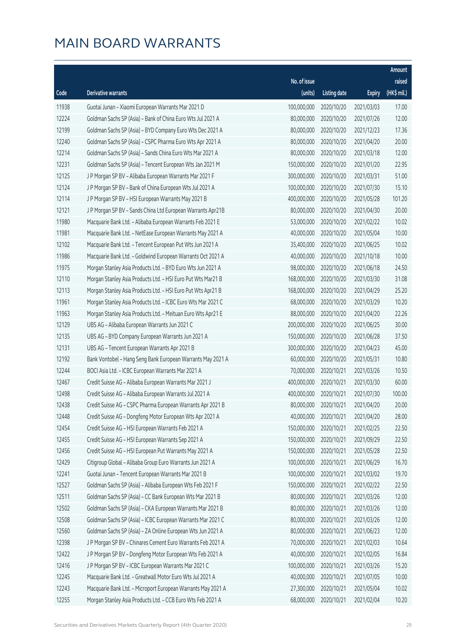| raised<br>(HK\$ mil.)<br>17.00<br>12.00<br>17.36<br>20.00<br>12.00<br>22.95<br>51.00<br>15.10<br>101.20 |
|---------------------------------------------------------------------------------------------------------|
|                                                                                                         |
|                                                                                                         |
|                                                                                                         |
|                                                                                                         |
|                                                                                                         |
|                                                                                                         |
|                                                                                                         |
|                                                                                                         |
|                                                                                                         |
|                                                                                                         |
|                                                                                                         |
| 20.00                                                                                                   |
| 10.02                                                                                                   |
| 10.00                                                                                                   |
| 10.02                                                                                                   |
| 10.00                                                                                                   |
| 24.50                                                                                                   |
| 31.08                                                                                                   |
| 25.20                                                                                                   |
| 10.20                                                                                                   |
| 22.26                                                                                                   |
| 30.00                                                                                                   |
| 37.50                                                                                                   |
| 45.00                                                                                                   |
| 10.80                                                                                                   |
| 10.50                                                                                                   |
| 60.00                                                                                                   |
| 100.00                                                                                                  |
| 20.00                                                                                                   |
| 28.00                                                                                                   |
| 22.50                                                                                                   |
| 22.50                                                                                                   |
| 22.50                                                                                                   |
| 16.70                                                                                                   |
| 19.70                                                                                                   |
| 22.50                                                                                                   |
| 12.00                                                                                                   |
| 12.00                                                                                                   |
| 12.00                                                                                                   |
| 12.00                                                                                                   |
| 10.64                                                                                                   |
| 16.84<br>15.20                                                                                          |
|                                                                                                         |
| 10.00<br>10.02                                                                                          |
| 10.20                                                                                                   |
|                                                                                                         |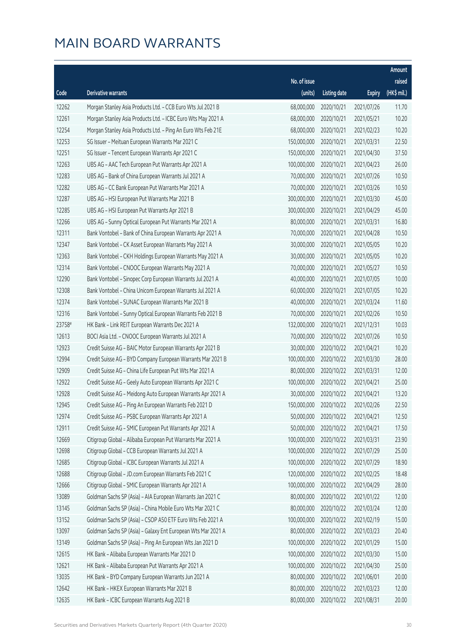|        |                                                              |                        |                     |               | Amount      |
|--------|--------------------------------------------------------------|------------------------|---------------------|---------------|-------------|
|        |                                                              | No. of issue           |                     |               | raised      |
| Code   | <b>Derivative warrants</b>                                   | (units)                | <b>Listing date</b> | <b>Expiry</b> | (HK\$ mil.) |
| 12262  | Morgan Stanley Asia Products Ltd. - CCB Euro Wts Jul 2021 B  | 68,000,000             | 2020/10/21          | 2021/07/26    | 11.70       |
| 12261  | Morgan Stanley Asia Products Ltd. - ICBC Euro Wts May 2021 A | 68,000,000             | 2020/10/21          | 2021/05/21    | 10.20       |
| 12254  | Morgan Stanley Asia Products Ltd. - Ping An Euro Wts Feb 21E | 68,000,000             | 2020/10/21          | 2021/02/23    | 10.20       |
| 12253  | SG Issuer - Meituan European Warrants Mar 2021 C             | 150,000,000            | 2020/10/21          | 2021/03/31    | 22.50       |
| 12251  | SG Issuer - Tencent European Warrants Apr 2021 C             | 150,000,000            | 2020/10/21          | 2021/04/30    | 37.50       |
| 12263  | UBS AG - AAC Tech European Put Warrants Apr 2021 A           | 100,000,000            | 2020/10/21          | 2021/04/23    | 26.00       |
| 12283  | UBS AG - Bank of China European Warrants Jul 2021 A          | 70,000,000             | 2020/10/21          | 2021/07/26    | 10.50       |
| 12282  | UBS AG - CC Bank European Put Warrants Mar 2021 A            | 70,000,000             | 2020/10/21          | 2021/03/26    | 10.50       |
| 12287  | UBS AG - HSI European Put Warrants Mar 2021 B                | 300,000,000            | 2020/10/21          | 2021/03/30    | 45.00       |
| 12285  | UBS AG - HSI European Put Warrants Apr 2021 B                | 300,000,000            | 2020/10/21          | 2021/04/29    | 45.00       |
| 12266  | UBS AG - Sunny Optical European Put Warrants Mar 2021 A      | 80,000,000             | 2020/10/21          | 2021/03/31    | 16.80       |
| 12311  | Bank Vontobel - Bank of China European Warrants Apr 2021 A   | 70,000,000             | 2020/10/21          | 2021/04/28    | 10.50       |
| 12347  | Bank Vontobel - CK Asset European Warrants May 2021 A        | 30,000,000             | 2020/10/21          | 2021/05/05    | 10.20       |
| 12363  | Bank Vontobel - CKH Holdings European Warrants May 2021 A    | 30,000,000             | 2020/10/21          | 2021/05/05    | 10.20       |
| 12314  | Bank Vontobel - CNOOC European Warrants May 2021 A           | 70,000,000             | 2020/10/21          | 2021/05/27    | 10.50       |
| 12290  | Bank Vontobel - Sinopec Corp European Warrants Jul 2021 A    | 40,000,000             | 2020/10/21          | 2021/07/05    | 10.00       |
| 12308  | Bank Vontobel - China Unicom European Warrants Jul 2021 A    | 60,000,000             | 2020/10/21          | 2021/07/05    | 10.20       |
| 12374  | Bank Vontobel - SUNAC European Warrants Mar 2021 B           | 40,000,000             | 2020/10/21          | 2021/03/24    | 11.60       |
| 12316  | Bank Vontobel - Sunny Optical European Warrants Feb 2021 B   | 70,000,000             | 2020/10/21          | 2021/02/26    | 10.50       |
| 23758# | HK Bank - Link REIT European Warrants Dec 2021 A             | 132,000,000            | 2020/10/21          | 2021/12/31    | 10.03       |
| 12613  | BOCI Asia Ltd. - CNOOC European Warrants Jul 2021 A          | 70,000,000             | 2020/10/22          | 2021/07/26    | 10.50       |
| 12923  | Credit Suisse AG - BAIC Motor European Warrants Apr 2021 B   | 30,000,000             | 2020/10/22          | 2021/04/21    | 10.20       |
| 12994  | Credit Suisse AG - BYD Company European Warrants Mar 2021 B  | 100,000,000            | 2020/10/22          | 2021/03/30    | 28.00       |
| 12909  | Credit Suisse AG - China Life European Put Wts Mar 2021 A    | 80,000,000             | 2020/10/22          | 2021/03/31    | 12.00       |
| 12922  | Credit Suisse AG - Geely Auto European Warrants Apr 2021 C   | 100,000,000            | 2020/10/22          | 2021/04/21    | 25.00       |
| 12928  | Credit Suisse AG - Meidong Auto European Warrants Apr 2021 A | 30,000,000             | 2020/10/22          | 2021/04/21    | 13.20       |
| 12945  | Credit Suisse AG - Ping An European Warrants Feb 2021 D      | 150,000,000 2020/10/22 |                     | 2021/02/26    | 22.50       |
| 12974  | Credit Suisse AG - PSBC European Warrants Apr 2021 A         | 50,000,000             | 2020/10/22          | 2021/04/21    | 12.50       |
| 12911  | Credit Suisse AG - SMIC European Put Warrants Apr 2021 A     | 50,000,000             | 2020/10/22          | 2021/04/21    | 17.50       |
| 12669  | Citigroup Global - Alibaba European Put Warrants Mar 2021 A  | 100,000,000            | 2020/10/22          | 2021/03/31    | 23.90       |
| 12698  | Citigroup Global - CCB European Warrants Jul 2021 A          | 100,000,000            | 2020/10/22          | 2021/07/29    | 25.00       |
| 12685  | Citigroup Global - ICBC European Warrants Jul 2021 A         | 100,000,000            | 2020/10/22          | 2021/07/29    | 18.90       |
| 12688  | Citigroup Global - JD.com European Warrants Feb 2021 C       | 120,000,000            | 2020/10/22          | 2021/02/25    | 18.48       |
| 12666  | Citigroup Global - SMIC European Warrants Apr 2021 A         | 100,000,000            | 2020/10/22          | 2021/04/29    | 28.00       |
| 13089  | Goldman Sachs SP (Asia) - AIA European Warrants Jan 2021 C   | 80,000,000             | 2020/10/22          | 2021/01/22    | 12.00       |
| 13145  | Goldman Sachs SP (Asia) - China Mobile Euro Wts Mar 2021 C   | 80,000,000             | 2020/10/22          | 2021/03/24    | 12.00       |
| 13152  | Goldman Sachs SP (Asia) - CSOP A50 ETF Euro Wts Feb 2021 A   | 100,000,000            | 2020/10/22          | 2021/02/19    | 15.00       |
| 13097  | Goldman Sachs SP (Asia) - Galaxy Ent European Wts Mar 2021 A | 80,000,000             | 2020/10/22          | 2021/03/23    | 20.40       |
| 13149  | Goldman Sachs SP (Asia) - Ping An European Wts Jan 2021 D    | 100,000,000            | 2020/10/22          | 2021/01/29    | 15.00       |
| 12615  | HK Bank - Alibaba European Warrants Mar 2021 D               | 100,000,000            | 2020/10/22          | 2021/03/30    | 15.00       |
| 12621  | HK Bank - Alibaba European Put Warrants Apr 2021 A           | 100,000,000            | 2020/10/22          | 2021/04/30    | 25.00       |
| 13035  | HK Bank - BYD Company European Warrants Jun 2021 A           | 80,000,000             | 2020/10/22          | 2021/06/01    | 20.00       |
| 12642  | HK Bank - HKEX European Warrants Mar 2021 B                  | 80,000,000             | 2020/10/22          | 2021/03/23    | 12.00       |
| 12635  | HK Bank - ICBC European Warrants Aug 2021 B                  | 80,000,000             | 2020/10/22          | 2021/08/31    | 20.00       |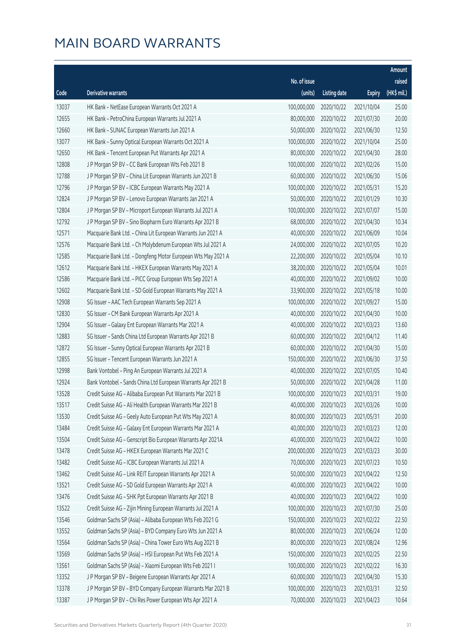|       |                                                              |              |                       |               | Amount      |
|-------|--------------------------------------------------------------|--------------|-----------------------|---------------|-------------|
|       |                                                              | No. of issue |                       |               | raised      |
| Code  | Derivative warrants                                          | (units)      | <b>Listing date</b>   | <b>Expiry</b> | (HK\$ mil.) |
| 13037 | HK Bank - NetEase European Warrants Oct 2021 A               | 100,000,000  | 2020/10/22            | 2021/10/04    | 25.00       |
| 12655 | HK Bank - PetroChina European Warrants Jul 2021 A            | 80,000,000   | 2020/10/22            | 2021/07/30    | 20.00       |
| 12660 | HK Bank - SUNAC European Warrants Jun 2021 A                 | 50,000,000   | 2020/10/22            | 2021/06/30    | 12.50       |
| 13077 | HK Bank - Sunny Optical European Warrants Oct 2021 A         | 100,000,000  | 2020/10/22            | 2021/10/04    | 25.00       |
| 12650 | HK Bank - Tencent European Put Warrants Apr 2021 A           | 80,000,000   | 2020/10/22            | 2021/04/30    | 28.00       |
| 12808 | J P Morgan SP BV - CC Bank European Wts Feb 2021 B           | 100,000,000  | 2020/10/22            | 2021/02/26    | 15.00       |
| 12788 | J P Morgan SP BV - China Lit European Warrants Jun 2021 B    | 60,000,000   | 2020/10/22            | 2021/06/30    | 15.06       |
| 12796 | J P Morgan SP BV - ICBC European Warrants May 2021 A         | 100,000,000  | 2020/10/22            | 2021/05/31    | 15.20       |
| 12824 | J P Morgan SP BV - Lenovo European Warrants Jan 2021 A       | 50,000,000   | 2020/10/22            | 2021/01/29    | 10.30       |
| 12804 | J P Morgan SP BV - Microport European Warrants Jul 2021 A    | 100,000,000  | 2020/10/22            | 2021/07/07    | 15.00       |
| 12792 | J P Morgan SP BV - Sino Biopharm Euro Warrants Apr 2021 B    | 68,000,000   | 2020/10/22            | 2021/04/30    | 10.34       |
| 12571 | Macquarie Bank Ltd. - China Lit European Warrants Jun 2021 A | 40,000,000   | 2020/10/22            | 2021/06/09    | 10.04       |
| 12576 | Macquarie Bank Ltd. - Ch Molybdenum European Wts Jul 2021 A  | 24,000,000   | 2020/10/22            | 2021/07/05    | 10.20       |
| 12585 | Macquarie Bank Ltd. - Dongfeng Motor European Wts May 2021 A | 22,200,000   | 2020/10/22            | 2021/05/04    | 10.10       |
| 12612 | Macquarie Bank Ltd. - HKEX European Warrants May 2021 A      | 38,200,000   | 2020/10/22            | 2021/05/04    | 10.01       |
| 12586 | Macquarie Bank Ltd. - PICC Group European Wts Sep 2021 A     | 40,000,000   | 2020/10/22            | 2021/09/02    | 10.00       |
| 12602 | Macquarie Bank Ltd. - SD Gold European Warrants May 2021 A   | 33,900,000   | 2020/10/22            | 2021/05/18    | 10.00       |
| 12908 | SG Issuer - AAC Tech European Warrants Sep 2021 A            | 100,000,000  | 2020/10/22            | 2021/09/27    | 15.00       |
| 12830 | SG Issuer - CM Bank European Warrants Apr 2021 A             | 40,000,000   | 2020/10/22            | 2021/04/30    | 10.00       |
| 12904 | SG Issuer - Galaxy Ent European Warrants Mar 2021 A          | 40,000,000   | 2020/10/22            | 2021/03/23    | 13.60       |
| 12883 | SG Issuer - Sands China Ltd European Warrants Apr 2021 B     | 60,000,000   | 2020/10/22            | 2021/04/12    | 11.40       |
| 12872 | SG Issuer - Sunny Optical European Warrants Apr 2021 B       | 60,000,000   | 2020/10/22            | 2021/04/30    | 15.00       |
| 12855 | SG Issuer - Tencent European Warrants Jun 2021 A             | 150,000,000  | 2020/10/22            | 2021/06/30    | 37.50       |
| 12998 | Bank Vontobel - Ping An European Warrants Jul 2021 A         | 40,000,000   | 2020/10/22            | 2021/07/05    | 10.40       |
| 12924 | Bank Vontobel - Sands China Ltd European Warrants Apr 2021 B | 50,000,000   | 2020/10/22            | 2021/04/28    | 11.00       |
| 13528 | Credit Suisse AG - Alibaba European Put Warrants Mar 2021 B  | 100,000,000  | 2020/10/23            | 2021/03/31    | 19.00       |
| 13517 | Credit Suisse AG - Ali Health European Warrants Mar 2021 B   |              | 40,000,000 2020/10/23 | 2021/03/26    | 10.00       |
| 13530 | Credit Suisse AG - Geely Auto European Put Wts May 2021 A    | 80,000,000   | 2020/10/23            | 2021/05/31    | 20.00       |
| 13484 | Credit Suisse AG - Galaxy Ent European Warrants Mar 2021 A   | 40,000,000   | 2020/10/23            | 2021/03/23    | 12.00       |
| 13504 | Credit Suisse AG - Genscript Bio European Warrants Apr 2021A | 40,000,000   | 2020/10/23            | 2021/04/22    | 10.00       |
| 13478 | Credit Suisse AG - HKEX European Warrants Mar 2021 C         | 200,000,000  | 2020/10/23            | 2021/03/23    | 30.00       |
| 13482 | Credit Suisse AG - ICBC European Warrants Jul 2021 A         | 70,000,000   | 2020/10/23            | 2021/07/23    | 10.50       |
| 13462 | Credit Suisse AG - Link REIT European Warrants Apr 2021 A    | 50,000,000   | 2020/10/23            | 2021/04/22    | 12.50       |
| 13521 | Credit Suisse AG - SD Gold European Warrants Apr 2021 A      | 40,000,000   | 2020/10/23            | 2021/04/22    | 10.00       |
| 13476 | Credit Suisse AG - SHK Ppt European Warrants Apr 2021 B      | 40,000,000   | 2020/10/23            | 2021/04/22    | 10.00       |
| 13522 | Credit Suisse AG - Zijin Mining European Warrants Jul 2021 A | 100,000,000  | 2020/10/23            | 2021/07/30    | 25.00       |
| 13546 | Goldman Sachs SP (Asia) - Alibaba European Wts Feb 2021 G    | 150,000,000  | 2020/10/23            | 2021/02/22    | 22.50       |
| 13552 | Goldman Sachs SP (Asia) - BYD Company Euro Wts Jun 2021 A    | 80,000,000   | 2020/10/23            | 2021/06/24    | 12.00       |
| 13564 | Goldman Sachs SP (Asia) - China Tower Euro Wts Aug 2021 B    | 80,000,000   | 2020/10/23            | 2021/08/24    | 12.96       |
| 13569 | Goldman Sachs SP (Asia) - HSI European Put Wts Feb 2021 A    | 150,000,000  | 2020/10/23            | 2021/02/25    | 22.50       |
| 13561 | Goldman Sachs SP (Asia) - Xiaomi European Wts Feb 2021 I     | 100,000,000  | 2020/10/23            | 2021/02/22    | 16.30       |
| 13352 | J P Morgan SP BV - Beigene European Warrants Apr 2021 A      | 60,000,000   | 2020/10/23            | 2021/04/30    | 15.30       |
| 13378 | J P Morgan SP BV - BYD Company European Warrants Mar 2021 B  | 100,000,000  | 2020/10/23            | 2021/03/31    | 32.50       |
| 13387 | J P Morgan SP BV - Chi Res Power European Wts Apr 2021 A     | 70,000,000   | 2020/10/23            | 2021/04/23    | 10.64       |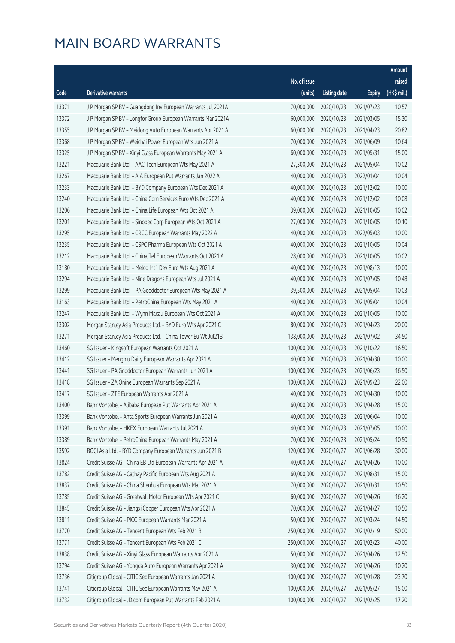|       |                                                              |              |                       |               | Amount      |
|-------|--------------------------------------------------------------|--------------|-----------------------|---------------|-------------|
|       |                                                              | No. of issue |                       |               | raised      |
| Code  | Derivative warrants                                          | (units)      | <b>Listing date</b>   | <b>Expiry</b> | (HK\$ mil.) |
| 13371 | J P Morgan SP BV - Guangdong Inv European Warrants Jul 2021A | 70,000,000   | 2020/10/23            | 2021/07/23    | 10.57       |
| 13372 | J P Morgan SP BV - Longfor Group European Warrants Mar 2021A | 60,000,000   | 2020/10/23            | 2021/03/05    | 15.30       |
| 13355 | J P Morgan SP BV - Meidong Auto European Warrants Apr 2021 A | 60,000,000   | 2020/10/23            | 2021/04/23    | 20.82       |
| 13368 | J P Morgan SP BV - Weichai Power European Wts Jun 2021 A     | 70,000,000   | 2020/10/23            | 2021/06/09    | 10.64       |
| 13325 | J P Morgan SP BV - Xinyi Glass European Warrants May 2021 A  | 60,000,000   | 2020/10/23            | 2021/05/31    | 15.00       |
| 13221 | Macquarie Bank Ltd. - AAC Tech European Wts May 2021 A       | 27,300,000   | 2020/10/23            | 2021/05/04    | 10.02       |
| 13267 | Macquarie Bank Ltd. - AIA European Put Warrants Jan 2022 A   | 40,000,000   | 2020/10/23            | 2022/01/04    | 10.04       |
| 13233 | Macquarie Bank Ltd. - BYD Company European Wts Dec 2021 A    | 40,000,000   | 2020/10/23            | 2021/12/02    | 10.00       |
| 13240 | Macquarie Bank Ltd. - China Com Services Euro Wts Dec 2021 A | 40,000,000   | 2020/10/23            | 2021/12/02    | 10.08       |
| 13206 | Macquarie Bank Ltd. - China Life European Wts Oct 2021 A     | 39,000,000   | 2020/10/23            | 2021/10/05    | 10.02       |
| 13201 | Macquarie Bank Ltd. - Sinopec Corp European Wts Oct 2021 A   | 27,000,000   | 2020/10/23            | 2021/10/05    | 10.10       |
| 13295 | Macquarie Bank Ltd. - CRCC European Warrants May 2022 A      | 40,000,000   | 2020/10/23            | 2022/05/03    | 10.00       |
| 13235 | Macquarie Bank Ltd. - CSPC Pharma European Wts Oct 2021 A    | 40,000,000   | 2020/10/23            | 2021/10/05    | 10.04       |
| 13212 | Macquarie Bank Ltd. - China Tel European Warrants Oct 2021 A | 28,000,000   | 2020/10/23            | 2021/10/05    | 10.02       |
| 13180 | Macquarie Bank Ltd. - Melco Int'l Dev Euro Wts Aug 2021 A    | 40,000,000   | 2020/10/23            | 2021/08/13    | 10.00       |
| 13294 | Macquarie Bank Ltd. - Nine Dragons European Wts Jul 2021 A   | 40,000,000   | 2020/10/23            | 2021/07/05    | 10.48       |
| 13299 | Macquarie Bank Ltd. - PA Gooddoctor European Wts May 2021 A  | 39,500,000   | 2020/10/23            | 2021/05/04    | 10.03       |
| 13163 | Macquarie Bank Ltd. - PetroChina European Wts May 2021 A     | 40,000,000   | 2020/10/23            | 2021/05/04    | 10.04       |
| 13247 | Macquarie Bank Ltd. - Wynn Macau European Wts Oct 2021 A     | 40,000,000   | 2020/10/23            | 2021/10/05    | 10.00       |
| 13302 | Morgan Stanley Asia Products Ltd. - BYD Euro Wts Apr 2021 C  | 80,000,000   | 2020/10/23            | 2021/04/23    | 20.00       |
| 13271 | Morgan Stanley Asia Products Ltd. - China Tower Eu Wt Jul21B | 138,000,000  | 2020/10/23            | 2021/07/02    | 34.50       |
| 13460 | SG Issuer - Kingsoft European Warrants Oct 2021 A            | 100,000,000  | 2020/10/23            | 2021/10/22    | 16.50       |
| 13412 | SG Issuer - Mengniu Dairy European Warrants Apr 2021 A       | 40,000,000   | 2020/10/23            | 2021/04/30    | 10.00       |
| 13441 | SG Issuer - PA Gooddoctor European Warrants Jun 2021 A       | 100,000,000  | 2020/10/23            | 2021/06/23    | 16.50       |
| 13418 | SG Issuer - ZA Onine European Warrants Sep 2021 A            | 100,000,000  | 2020/10/23            | 2021/09/23    | 22.00       |
| 13417 | SG Issuer - ZTE European Warrants Apr 2021 A                 | 40,000,000   | 2020/10/23            | 2021/04/30    | 10.00       |
| 13400 | Bank Vontobel - Alibaba European Put Warrants Apr 2021 A     |              | 60,000,000 2020/10/23 | 2021/04/28    | 15.00       |
| 13399 | Bank Vontobel - Anta Sports European Warrants Jun 2021 A     | 40,000,000   | 2020/10/23            | 2021/06/04    | 10.00       |
| 13391 | Bank Vontobel - HKEX European Warrants Jul 2021 A            | 40,000,000   | 2020/10/23            | 2021/07/05    | 10.00       |
| 13389 | Bank Vontobel - PetroChina European Warrants May 2021 A      | 70,000,000   | 2020/10/23            | 2021/05/24    | 10.50       |
| 13592 | BOCI Asia Ltd. - BYD Company European Warrants Jun 2021 B    | 120,000,000  | 2020/10/27            | 2021/06/28    | 30.00       |
| 13824 | Credit Suisse AG - China EB Ltd European Warrants Apr 2021 A | 40,000,000   | 2020/10/27            | 2021/04/26    | 10.00       |
| 13782 | Credit Suisse AG - Cathay Pacific European Wts Aug 2021 A    | 60,000,000   | 2020/10/27            | 2021/08/31    | 15.00       |
| 13837 | Credit Suisse AG - China Shenhua European Wts Mar 2021 A     | 70,000,000   | 2020/10/27            | 2021/03/31    | 10.50       |
| 13785 | Credit Suisse AG - Greatwall Motor European Wts Apr 2021 C   | 60,000,000   | 2020/10/27            | 2021/04/26    | 16.20       |
| 13845 | Credit Suisse AG - Jiangxi Copper European Wts Apr 2021 A    | 70,000,000   | 2020/10/27            | 2021/04/27    | 10.50       |
| 13811 | Credit Suisse AG - PICC European Warrants Mar 2021 A         | 50,000,000   | 2020/10/27            | 2021/03/24    | 14.50       |
| 13770 | Credit Suisse AG - Tencent European Wts Feb 2021 B           | 250,000,000  | 2020/10/27            | 2021/02/19    | 50.00       |
| 13771 | Credit Suisse AG - Tencent European Wts Feb 2021 C           | 250,000,000  | 2020/10/27            | 2021/02/23    | 40.00       |
| 13838 | Credit Suisse AG - Xinyi Glass European Warrants Apr 2021 A  | 50,000,000   | 2020/10/27            | 2021/04/26    | 12.50       |
| 13794 | Credit Suisse AG - Yongda Auto European Warrants Apr 2021 A  | 30,000,000   | 2020/10/27            | 2021/04/26    | 10.20       |
| 13736 | Citigroup Global - CITIC Sec European Warrants Jan 2021 A    | 100,000,000  | 2020/10/27            | 2021/01/28    | 23.70       |
| 13741 | Citigroup Global - CITIC Sec European Warrants May 2021 A    | 100,000,000  | 2020/10/27            | 2021/05/27    | 15.00       |
| 13732 | Citigroup Global - JD.com European Put Warrants Feb 2021 A   | 100,000,000  | 2020/10/27            | 2021/02/25    | 17.20       |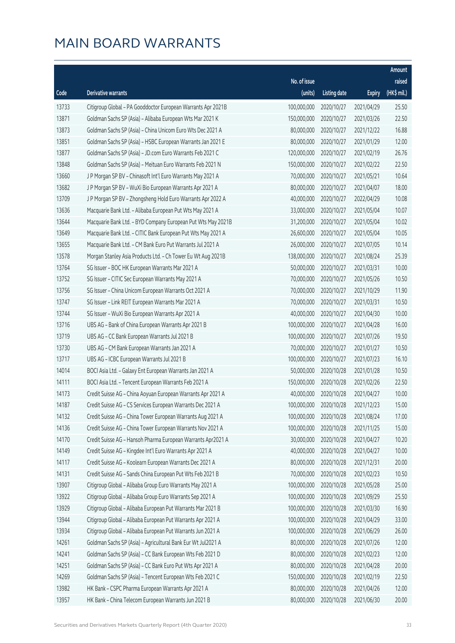|       |                                                              |                        |                     |               | Amount      |
|-------|--------------------------------------------------------------|------------------------|---------------------|---------------|-------------|
|       |                                                              | No. of issue           |                     |               | raised      |
| Code  | Derivative warrants                                          | (units)                | <b>Listing date</b> | <b>Expiry</b> | (HK\$ mil.) |
| 13733 | Citigroup Global - PA Gooddoctor European Warrants Apr 2021B | 100,000,000            | 2020/10/27          | 2021/04/29    | 25.50       |
| 13871 | Goldman Sachs SP (Asia) - Alibaba European Wts Mar 2021 K    | 150,000,000            | 2020/10/27          | 2021/03/26    | 22.50       |
| 13873 | Goldman Sachs SP (Asia) - China Unicom Euro Wts Dec 2021 A   | 80,000,000             | 2020/10/27          | 2021/12/22    | 16.88       |
| 13851 | Goldman Sachs SP (Asia) - HSBC European Warrants Jan 2021 E  | 80,000,000             | 2020/10/27          | 2021/01/29    | 12.00       |
| 13877 | Goldman Sachs SP (Asia) - JD.com Euro Warrants Feb 2021 C    | 120,000,000            | 2020/10/27          | 2021/02/19    | 26.76       |
| 13848 | Goldman Sachs SP (Asia) - Meituan Euro Warrants Feb 2021 N   | 150,000,000            | 2020/10/27          | 2021/02/22    | 22.50       |
| 13660 | J P Morgan SP BV - Chinasoft Int'l Euro Warrants May 2021 A  | 70,000,000             | 2020/10/27          | 2021/05/21    | 10.64       |
| 13682 | J P Morgan SP BV - WuXi Bio European Warrants Apr 2021 A     | 80,000,000             | 2020/10/27          | 2021/04/07    | 18.00       |
| 13709 | J P Morgan SP BV - Zhongsheng Hold Euro Warrants Apr 2022 A  | 40,000,000             | 2020/10/27          | 2022/04/29    | 10.08       |
| 13636 | Macquarie Bank Ltd. - Alibaba European Put Wts May 2021 A    | 33,000,000             | 2020/10/27          | 2021/05/04    | 10.07       |
| 13644 | Macquarie Bank Ltd. - BYD Company European Put Wts May 2021B | 31,200,000             | 2020/10/27          | 2021/05/04    | 10.02       |
| 13649 | Macquarie Bank Ltd. - CITIC Bank European Put Wts May 2021 A | 26,600,000             | 2020/10/27          | 2021/05/04    | 10.05       |
| 13655 | Macquarie Bank Ltd. - CM Bank Euro Put Warrants Jul 2021 A   | 26,000,000             | 2020/10/27          | 2021/07/05    | 10.14       |
| 13578 | Morgan Stanley Asia Products Ltd. - Ch Tower Eu Wt Aug 2021B | 138,000,000            | 2020/10/27          | 2021/08/24    | 25.39       |
| 13764 | SG Issuer - BOC HK European Warrants Mar 2021 A              | 50,000,000             | 2020/10/27          | 2021/03/31    | 10.00       |
| 13752 | SG Issuer - CITIC Sec European Warrants May 2021 A           | 70,000,000             | 2020/10/27          | 2021/05/26    | 10.50       |
| 13756 | SG Issuer - China Unicom European Warrants Oct 2021 A        | 70,000,000             | 2020/10/27          | 2021/10/29    | 11.90       |
| 13747 | SG Issuer - Link REIT European Warrants Mar 2021 A           | 70,000,000             | 2020/10/27          | 2021/03/31    | 10.50       |
| 13744 | SG Issuer - WuXi Bio European Warrants Apr 2021 A            | 40,000,000             | 2020/10/27          | 2021/04/30    | 10.00       |
| 13716 | UBS AG - Bank of China European Warrants Apr 2021 B          | 100,000,000            | 2020/10/27          | 2021/04/28    | 16.00       |
| 13719 | UBS AG - CC Bank European Warrants Jul 2021 B                | 100,000,000            | 2020/10/27          | 2021/07/26    | 19.50       |
| 13730 | UBS AG - CM Bank European Warrants Jan 2021 A                | 70,000,000             | 2020/10/27          | 2021/01/27    | 10.50       |
| 13717 | UBS AG - ICBC European Warrants Jul 2021 B                   | 100,000,000            | 2020/10/27          | 2021/07/23    | 16.10       |
| 14014 | BOCI Asia Ltd. - Galaxy Ent European Warrants Jan 2021 A     | 50,000,000             | 2020/10/28          | 2021/01/28    | 10.50       |
| 14111 | BOCI Asia Ltd. - Tencent European Warrants Feb 2021 A        | 150,000,000            | 2020/10/28          | 2021/02/26    | 22.50       |
| 14173 | Credit Suisse AG - China Aoyuan European Warrants Apr 2021 A | 40,000,000             | 2020/10/28          | 2021/04/27    | 10.00       |
| 14187 | Credit Suisse AG - CS Services European Warrants Dec 2021 A  | 100,000,000 2020/10/28 |                     | 2021/12/23    | 15.00       |
| 14132 | Credit Suisse AG - China Tower European Warrants Aug 2021 A  | 100,000,000            | 2020/10/28          | 2021/08/24    | 17.00       |
| 14136 | Credit Suisse AG - China Tower European Warrants Nov 2021 A  | 100,000,000            | 2020/10/28          | 2021/11/25    | 15.00       |
| 14170 | Credit Suisse AG - Hansoh Pharma European Warrants Apr2021 A | 30,000,000             | 2020/10/28          | 2021/04/27    | 10.20       |
| 14149 | Credit Suisse AG - Kingdee Int'l Euro Warrants Apr 2021 A    | 40,000,000             | 2020/10/28          | 2021/04/27    | 10.00       |
| 14117 | Credit Suisse AG - Koolearn European Warrants Dec 2021 A     | 80,000,000             | 2020/10/28          | 2021/12/31    | 20.00       |
| 14131 | Credit Suisse AG - Sands China European Put Wts Feb 2021 B   | 70,000,000             | 2020/10/28          | 2021/02/23    | 10.50       |
| 13907 | Citigroup Global - Alibaba Group Euro Warrants May 2021 A    | 100,000,000            | 2020/10/28          | 2021/05/28    | 25.00       |
| 13922 | Citigroup Global - Alibaba Group Euro Warrants Sep 2021 A    | 100,000,000            | 2020/10/28          | 2021/09/29    | 25.50       |
| 13929 | Citigroup Global - Alibaba European Put Warrants Mar 2021 B  | 100,000,000            | 2020/10/28          | 2021/03/30    | 16.90       |
| 13944 | Citigroup Global - Alibaba European Put Warrants Apr 2021 A  | 100,000,000            | 2020/10/28          | 2021/04/29    | 33.00       |
| 13934 | Citigroup Global - Alibaba European Put Warrants Jun 2021 A  | 100,000,000            | 2020/10/28          | 2021/06/29    | 26.00       |
| 14261 | Goldman Sachs SP (Asia) - Agricultural Bank Eur Wt Jul2021 A | 80,000,000             | 2020/10/28          | 2021/07/26    | 12.00       |
| 14241 | Goldman Sachs SP (Asia) - CC Bank European Wts Feb 2021 D    | 80,000,000             | 2020/10/28          | 2021/02/23    | 12.00       |
| 14251 | Goldman Sachs SP (Asia) - CC Bank Euro Put Wts Apr 2021 A    | 80,000,000             | 2020/10/28          | 2021/04/28    | 20.00       |
| 14269 | Goldman Sachs SP (Asia) - Tencent European Wts Feb 2021 C    | 150,000,000            | 2020/10/28          | 2021/02/19    | 22.50       |
| 13982 | HK Bank - CSPC Pharma European Warrants Apr 2021 A           | 80,000,000             | 2020/10/28          | 2021/04/26    | 12.00       |
| 13957 | HK Bank - China Telecom European Warrants Jun 2021 B         | 80,000,000             | 2020/10/28          | 2021/06/30    | 20.00       |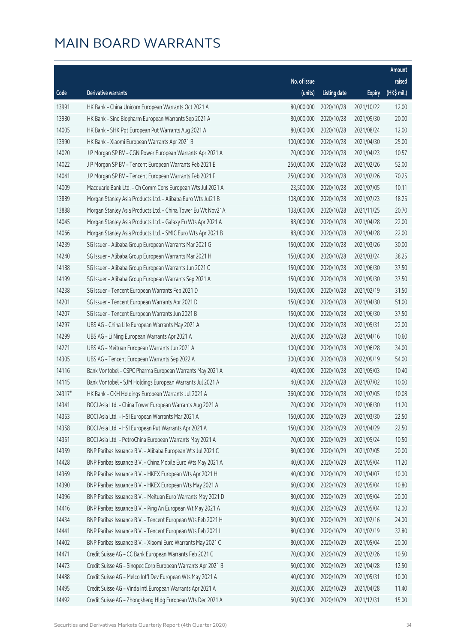|        |                                                              |              |                       |               | Amount      |
|--------|--------------------------------------------------------------|--------------|-----------------------|---------------|-------------|
|        |                                                              | No. of issue |                       |               | raised      |
| Code   | Derivative warrants                                          | (units)      | <b>Listing date</b>   | <b>Expiry</b> | (HK\$ mil.) |
| 13991  | HK Bank - China Unicom European Warrants Oct 2021 A          | 80,000,000   | 2020/10/28            | 2021/10/22    | 12.00       |
| 13980  | HK Bank - Sino Biopharm European Warrants Sep 2021 A         | 80,000,000   | 2020/10/28            | 2021/09/30    | 20.00       |
| 14005  | HK Bank - SHK Ppt European Put Warrants Aug 2021 A           | 80,000,000   | 2020/10/28            | 2021/08/24    | 12.00       |
| 13990  | HK Bank - Xiaomi European Warrants Apr 2021 B                | 100,000,000  | 2020/10/28            | 2021/04/30    | 25.00       |
| 14020  | J P Morgan SP BV - CGN Power European Warrants Apr 2021 A    | 70,000,000   | 2020/10/28            | 2021/04/23    | 10.57       |
| 14022  | J P Morgan SP BV - Tencent European Warrants Feb 2021 E      | 250,000,000  | 2020/10/28            | 2021/02/26    | 52.00       |
| 14041  | J P Morgan SP BV - Tencent European Warrants Feb 2021 F      | 250,000,000  | 2020/10/28            | 2021/02/26    | 70.25       |
| 14009  | Macquarie Bank Ltd. - Ch Comm Cons European Wts Jul 2021 A   | 23,500,000   | 2020/10/28            | 2021/07/05    | 10.11       |
| 13889  | Morgan Stanley Asia Products Ltd. - Alibaba Euro Wts Jul21 B | 108,000,000  | 2020/10/28            | 2021/07/23    | 18.25       |
| 13888  | Morgan Stanley Asia Products Ltd. - China Tower Eu Wt Nov21A | 138,000,000  | 2020/10/28            | 2021/11/25    | 20.70       |
| 14045  | Morgan Stanley Asia Products Ltd. - Galaxy Eu Wts Apr 2021 A | 88,000,000   | 2020/10/28            | 2021/04/28    | 22.00       |
| 14066  | Morgan Stanley Asia Products Ltd. - SMIC Euro Wts Apr 2021 B | 88,000,000   | 2020/10/28            | 2021/04/28    | 22.00       |
| 14239  | SG Issuer - Alibaba Group European Warrants Mar 2021 G       | 150,000,000  | 2020/10/28            | 2021/03/26    | 30.00       |
| 14240  | SG Issuer - Alibaba Group European Warrants Mar 2021 H       | 150,000,000  | 2020/10/28            | 2021/03/24    | 38.25       |
| 14188  | SG Issuer - Alibaba Group European Warrants Jun 2021 C       | 150,000,000  | 2020/10/28            | 2021/06/30    | 37.50       |
| 14199  | SG Issuer - Alibaba Group European Warrants Sep 2021 A       | 150,000,000  | 2020/10/28            | 2021/09/30    | 37.50       |
| 14238  | SG Issuer - Tencent European Warrants Feb 2021 D             | 150,000,000  | 2020/10/28            | 2021/02/19    | 31.50       |
| 14201  | SG Issuer - Tencent European Warrants Apr 2021 D             | 150,000,000  | 2020/10/28            | 2021/04/30    | 51.00       |
| 14207  | SG Issuer - Tencent European Warrants Jun 2021 B             | 150,000,000  | 2020/10/28            | 2021/06/30    | 37.50       |
| 14297  | UBS AG - China Life European Warrants May 2021 A             | 100,000,000  | 2020/10/28            | 2021/05/31    | 22.00       |
| 14299  | UBS AG - Li Ning European Warrants Apr 2021 A                | 20,000,000   | 2020/10/28            | 2021/04/16    | 10.60       |
| 14271  | UBS AG - Meituan European Warrants Jun 2021 A                | 100,000,000  | 2020/10/28            | 2021/06/28    | 34.00       |
| 14305  | UBS AG - Tencent European Warrants Sep 2022 A                | 300,000,000  | 2020/10/28            | 2022/09/19    | 54.00       |
| 14116  | Bank Vontobel - CSPC Pharma European Warrants May 2021 A     | 40,000,000   | 2020/10/28            | 2021/05/03    | 10.40       |
| 14115  | Bank Vontobel - SJM Holdings European Warrants Jul 2021 A    | 40,000,000   | 2020/10/28            | 2021/07/02    | 10.00       |
| 24317# | HK Bank - CKH Holdings European Warrants Jul 2021 A          | 360,000,000  | 2020/10/28            | 2021/07/05    | 10.08       |
| 14341  | BOCI Asia Ltd. - China Tower European Warrants Aug 2021 A    |              | 70,000,000 2020/10/29 | 2021/08/30    | 11.20       |
| 14353  | BOCI Asia Ltd. - HSI European Warrants Mar 2021 A            | 150,000,000  | 2020/10/29            | 2021/03/30    | 22.50       |
| 14358  | BOCI Asia Ltd. - HSI European Put Warrants Apr 2021 A        | 150,000,000  | 2020/10/29            | 2021/04/29    | 22.50       |
| 14351  | BOCI Asia Ltd. - PetroChina European Warrants May 2021 A     | 70,000,000   | 2020/10/29            | 2021/05/24    | 10.50       |
| 14359  | BNP Paribas Issuance B.V. - Alibaba European Wts Jul 2021 C  | 80,000,000   | 2020/10/29            | 2021/07/05    | 20.00       |
| 14428  | BNP Paribas Issuance B.V. - China Mobile Euro Wts May 2021 A | 40,000,000   | 2020/10/29            | 2021/05/04    | 11.20       |
| 14369  | BNP Paribas Issuance B.V. - HKEX European Wts Apr 2021 H     | 40,000,000   | 2020/10/29            | 2021/04/07    | 10.00       |
| 14390  | BNP Paribas Issuance B.V. - HKEX European Wts May 2021 A     | 60,000,000   | 2020/10/29            | 2021/05/04    | 10.80       |
| 14396  | BNP Paribas Issuance B.V. - Meituan Euro Warrants May 2021 D | 80,000,000   | 2020/10/29            | 2021/05/04    | 20.00       |
| 14416  | BNP Paribas Issuance B.V. - Ping An European Wt May 2021 A   | 40,000,000   | 2020/10/29            | 2021/05/04    | 12.00       |
| 14434  | BNP Paribas Issuance B.V. - Tencent European Wts Feb 2021 H  | 80,000,000   | 2020/10/29            | 2021/02/16    | 24.00       |
| 14441  | BNP Paribas Issuance B.V. - Tencent European Wts Feb 2021 I  | 80,000,000   | 2020/10/29            | 2021/02/19    | 32.80       |
| 14402  | BNP Paribas Issuance B.V. - Xiaomi Euro Warrants May 2021 C  | 80,000,000   | 2020/10/29            | 2021/05/04    | 20.00       |
| 14471  | Credit Suisse AG - CC Bank European Warrants Feb 2021 C      | 70,000,000   | 2020/10/29            | 2021/02/26    | 10.50       |
| 14473  | Credit Suisse AG - Sinopec Corp European Warrants Apr 2021 B | 50,000,000   | 2020/10/29            | 2021/04/28    | 12.50       |
| 14488  | Credit Suisse AG - Melco Int'l Dev European Wts May 2021 A   | 40,000,000   | 2020/10/29            | 2021/05/31    | 10.00       |
| 14495  | Credit Suisse AG - Vinda Intl European Warrants Apr 2021 A   | 30,000,000   | 2020/10/29            | 2021/04/28    | 11.40       |
| 14492  | Credit Suisse AG - Zhongsheng Hldg European Wts Dec 2021 A   | 60,000,000   | 2020/10/29            | 2021/12/31    | 15.00       |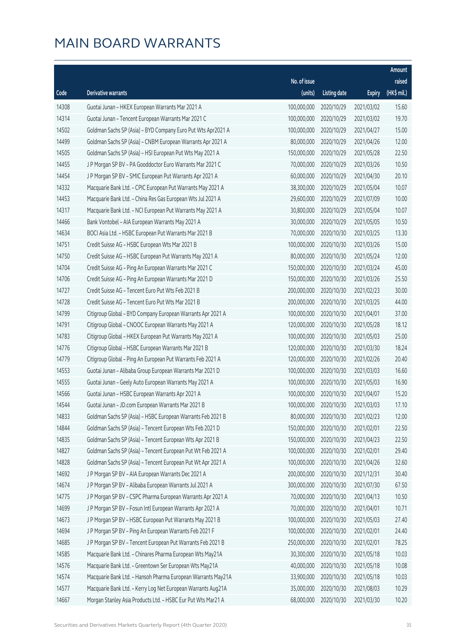|       |                                                              |                        |                     |               | Amount      |
|-------|--------------------------------------------------------------|------------------------|---------------------|---------------|-------------|
|       |                                                              | No. of issue           |                     |               | raised      |
| Code  | <b>Derivative warrants</b>                                   | (units)                | <b>Listing date</b> | <b>Expiry</b> | (HK\$ mil.) |
| 14308 | Guotai Junan - HKEX European Warrants Mar 2021 A             | 100,000,000            | 2020/10/29          | 2021/03/02    | 15.60       |
| 14314 | Guotai Junan - Tencent European Warrants Mar 2021 C          | 100,000,000            | 2020/10/29          | 2021/03/02    | 19.70       |
| 14502 | Goldman Sachs SP (Asia) - BYD Company Euro Put Wts Apr2021 A | 100,000,000            | 2020/10/29          | 2021/04/27    | 15.00       |
| 14499 | Goldman Sachs SP (Asia) - CNBM European Warrants Apr 2021 A  | 80,000,000             | 2020/10/29          | 2021/04/26    | 12.00       |
| 14505 | Goldman Sachs SP (Asia) - HSI European Put Wts May 2021 A    | 150,000,000            | 2020/10/29          | 2021/05/28    | 22.50       |
| 14455 | J P Morgan SP BV - PA Gooddoctor Euro Warrants Mar 2021 C    | 70,000,000             | 2020/10/29          | 2021/03/26    | 10.50       |
| 14454 | J P Morgan SP BV - SMIC European Put Warrants Apr 2021 A     | 60,000,000             | 2020/10/29          | 2021/04/30    | 20.10       |
| 14332 | Macquarie Bank Ltd. - CPIC European Put Warrants May 2021 A  | 38,300,000             | 2020/10/29          | 2021/05/04    | 10.07       |
| 14453 | Macquarie Bank Ltd. - China Res Gas European Wts Jul 2021 A  | 29,600,000             | 2020/10/29          | 2021/07/09    | 10.00       |
| 14317 | Macquarie Bank Ltd. - NCI European Put Warrants May 2021 A   | 30,800,000             | 2020/10/29          | 2021/05/04    | 10.07       |
| 14466 | Bank Vontobel - AIA European Warrants May 2021 A             | 30,000,000             | 2020/10/29          | 2021/05/05    | 10.50       |
| 14634 | BOCI Asia Ltd. - HSBC European Put Warrants Mar 2021 B       | 70,000,000             | 2020/10/30          | 2021/03/25    | 13.30       |
| 14751 | Credit Suisse AG - HSBC European Wts Mar 2021 B              | 100,000,000            | 2020/10/30          | 2021/03/26    | 15.00       |
| 14750 | Credit Suisse AG - HSBC European Put Warrants May 2021 A     | 80,000,000             | 2020/10/30          | 2021/05/24    | 12.00       |
| 14704 | Credit Suisse AG - Ping An European Warrants Mar 2021 C      | 150,000,000            | 2020/10/30          | 2021/03/24    | 45.00       |
| 14706 | Credit Suisse AG - Ping An European Warrants Mar 2021 D      | 150,000,000            | 2020/10/30          | 2021/03/26    | 25.50       |
| 14727 | Credit Suisse AG - Tencent Euro Put Wts Feb 2021 B           | 200,000,000            | 2020/10/30          | 2021/02/23    | 30.00       |
| 14728 | Credit Suisse AG - Tencent Euro Put Wts Mar 2021 B           | 200,000,000            | 2020/10/30          | 2021/03/25    | 44.00       |
| 14799 | Citigroup Global - BYD Company European Warrants Apr 2021 A  | 100,000,000            | 2020/10/30          | 2021/04/01    | 37.00       |
| 14791 | Citigroup Global - CNOOC European Warrants May 2021 A        | 120,000,000            | 2020/10/30          | 2021/05/28    | 18.12       |
| 14783 | Citigroup Global - HKEX European Put Warrants May 2021 A     | 100,000,000            | 2020/10/30          | 2021/05/03    | 25.00       |
| 14776 | Citigroup Global - HSBC European Warrants Mar 2021 B         | 120,000,000            | 2020/10/30          | 2021/03/30    | 18.24       |
| 14779 | Citigroup Global - Ping An European Put Warrants Feb 2021 A  | 120,000,000            | 2020/10/30          | 2021/02/26    | 20.40       |
| 14553 | Guotai Junan - Alibaba Group European Warrants Mar 2021 D    | 100,000,000            | 2020/10/30          | 2021/03/03    | 16.60       |
| 14555 | Guotai Junan - Geely Auto European Warrants May 2021 A       | 100,000,000            | 2020/10/30          | 2021/05/03    | 16.90       |
| 14566 | Guotai Junan - HSBC European Warrants Apr 2021 A             | 100,000,000            | 2020/10/30          | 2021/04/07    | 15.20       |
| 14544 | Guotai Junan - JD.com European Warrants Mar 2021 B           | 100,000,000 2020/10/30 |                     | 2021/03/03    | 17.10       |
| 14833 | Goldman Sachs SP (Asia) - HSBC European Warrants Feb 2021 B  | 80,000,000             | 2020/10/30          | 2021/02/23    | 12.00       |
| 14844 | Goldman Sachs SP (Asia) - Tencent European Wts Feb 2021 D    | 150,000,000            | 2020/10/30          | 2021/02/01    | 22.50       |
| 14835 | Goldman Sachs SP (Asia) - Tencent European Wts Apr 2021 B    | 150,000,000            | 2020/10/30          | 2021/04/23    | 22.50       |
| 14827 | Goldman Sachs SP (Asia) - Tencent European Put Wt Feb 2021 A | 100,000,000            | 2020/10/30          | 2021/02/01    | 29.40       |
| 14828 | Goldman Sachs SP (Asia) - Tencent European Put Wt Apr 2021 A | 100,000,000            | 2020/10/30          | 2021/04/26    | 32.60       |
| 14692 | J P Morgan SP BV - AIA European Warrants Dec 2021 A          | 200,000,000            | 2020/10/30          | 2021/12/31    | 30.40       |
| 14674 | J P Morgan SP BV - Alibaba European Warrants Jul 2021 A      | 300,000,000            | 2020/10/30          | 2021/07/30    | 67.50       |
| 14775 | J P Morgan SP BV - CSPC Pharma European Warrants Apr 2021 A  | 70,000,000             | 2020/10/30          | 2021/04/13    | 10.50       |
| 14699 | J P Morgan SP BV - Fosun Intl European Warrants Apr 2021 A   | 70,000,000             | 2020/10/30          | 2021/04/01    | 10.71       |
| 14673 | J P Morgan SP BV - HSBC European Put Warrants May 2021 B     | 100,000,000            | 2020/10/30          | 2021/05/03    | 27.40       |
| 14694 | J P Morgan SP BV - Ping An European Warrants Feb 2021 F      | 100,000,000            | 2020/10/30          | 2021/02/01    | 24.40       |
| 14685 | J P Morgan SP BV - Tencent European Put Warrants Feb 2021 B  | 250,000,000            | 2020/10/30          | 2021/02/01    | 78.25       |
| 14585 | Macquarie Bank Ltd. - Chinares Pharma European Wts May21A    | 30,300,000             | 2020/10/30          | 2021/05/18    | 10.03       |
| 14576 | Macquarie Bank Ltd. - Greentown Ser European Wts May21A      | 40,000,000             | 2020/10/30          | 2021/05/18    | 10.08       |
| 14574 | Macquarie Bank Ltd. - Hansoh Pharma European Warrants May21A | 33,900,000             | 2020/10/30          | 2021/05/18    | 10.03       |
| 14577 | Macquarie Bank Ltd. - Kerry Log Net European Warrants Aug21A | 35,000,000             | 2020/10/30          | 2021/08/03    | 10.29       |
| 14667 | Morgan Stanley Asia Products Ltd. - HSBC Eur Put Wts Mar21 A | 68,000,000             | 2020/10/30          | 2021/03/30    | 10.20       |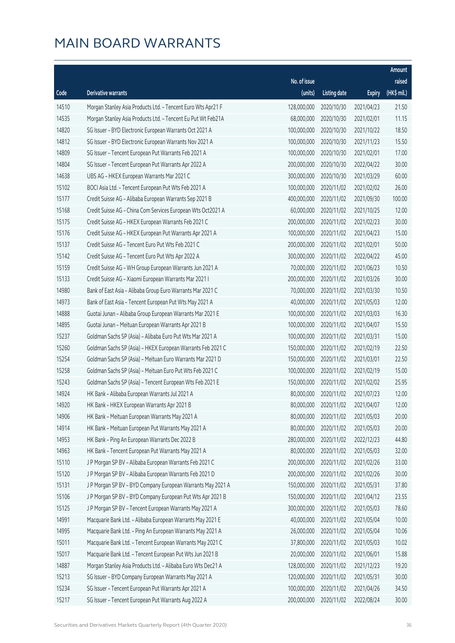|       |                                                              |              |                       |               | Amount      |
|-------|--------------------------------------------------------------|--------------|-----------------------|---------------|-------------|
|       |                                                              | No. of issue |                       |               | raised      |
| Code  | Derivative warrants                                          | (units)      | <b>Listing date</b>   | <b>Expiry</b> | (HK\$ mil.) |
| 14510 | Morgan Stanley Asia Products Ltd. - Tencent Euro Wts Apr21 F | 128,000,000  | 2020/10/30            | 2021/04/23    | 21.50       |
| 14535 | Morgan Stanley Asia Products Ltd. - Tencent Eu Put Wt Feb21A | 68,000,000   | 2020/10/30            | 2021/02/01    | 11.15       |
| 14820 | SG Issuer - BYD Electronic European Warrants Oct 2021 A      | 100,000,000  | 2020/10/30            | 2021/10/22    | 18.50       |
| 14812 | SG Issuer - BYD Electronic European Warrants Nov 2021 A      | 100,000,000  | 2020/10/30            | 2021/11/23    | 15.50       |
| 14809 | SG Issuer - Tencent European Put Warrants Feb 2021 A         | 100,000,000  | 2020/10/30            | 2021/02/01    | 17.00       |
| 14804 | SG Issuer - Tencent European Put Warrants Apr 2022 A         | 200,000,000  | 2020/10/30            | 2022/04/22    | 30.00       |
| 14638 | UBS AG - HKEX European Warrants Mar 2021 C                   | 300,000,000  | 2020/10/30            | 2021/03/29    | 60.00       |
| 15102 | BOCI Asia Ltd. - Tencent European Put Wts Feb 2021 A         | 100,000,000  | 2020/11/02            | 2021/02/02    | 26.00       |
| 15177 | Credit Suisse AG - Alibaba European Warrants Sep 2021 B      | 400,000,000  | 2020/11/02            | 2021/09/30    | 100.00      |
| 15168 | Credit Suisse AG - China Com Services European Wts Oct2021 A | 60,000,000   | 2020/11/02            | 2021/10/25    | 12.00       |
| 15175 | Credit Suisse AG - HKEX European Warrants Feb 2021 C         | 200,000,000  | 2020/11/02            | 2021/02/23    | 30.00       |
| 15176 | Credit Suisse AG - HKEX European Put Warrants Apr 2021 A     | 100,000,000  | 2020/11/02            | 2021/04/23    | 15.00       |
| 15137 | Credit Suisse AG - Tencent Euro Put Wts Feb 2021 C           | 200,000,000  | 2020/11/02            | 2021/02/01    | 50.00       |
| 15142 | Credit Suisse AG - Tencent Euro Put Wts Apr 2022 A           | 300,000,000  | 2020/11/02            | 2022/04/22    | 45.00       |
| 15159 | Credit Suisse AG - WH Group European Warrants Jun 2021 A     | 70,000,000   | 2020/11/02            | 2021/06/23    | 10.50       |
| 15133 | Credit Suisse AG - Xiaomi European Warrants Mar 2021 I       | 200,000,000  | 2020/11/02            | 2021/03/26    | 30.00       |
| 14980 | Bank of East Asia - Alibaba Group Euro Warrants Mar 2021 C   | 70,000,000   | 2020/11/02            | 2021/03/30    | 10.50       |
| 14973 | Bank of East Asia - Tencent European Put Wts May 2021 A      | 40,000,000   | 2020/11/02            | 2021/05/03    | 12.00       |
| 14888 | Guotai Junan - Alibaba Group European Warrants Mar 2021 E    | 100,000,000  | 2020/11/02            | 2021/03/03    | 16.30       |
| 14895 | Guotai Junan - Meituan European Warrants Apr 2021 B          | 100,000,000  | 2020/11/02            | 2021/04/07    | 15.50       |
| 15237 | Goldman Sachs SP (Asia) - Alibaba Euro Put Wts Mar 2021 A    | 100,000,000  | 2020/11/02            | 2021/03/31    | 15.00       |
| 15260 | Goldman Sachs SP (Asia) - HKEX European Warrants Feb 2021 C  | 150,000,000  | 2020/11/02            | 2021/02/19    | 22.50       |
| 15254 | Goldman Sachs SP (Asia) - Meituan Euro Warrants Mar 2021 D   | 150,000,000  | 2020/11/02            | 2021/03/01    | 22.50       |
| 15258 | Goldman Sachs SP (Asia) - Meituan Euro Put Wts Feb 2021 C    | 100,000,000  | 2020/11/02            | 2021/02/19    | 15.00       |
| 15243 | Goldman Sachs SP (Asia) - Tencent European Wts Feb 2021 E    | 150,000,000  | 2020/11/02            | 2021/02/02    | 25.95       |
| 14924 | HK Bank - Alibaba European Warrants Jul 2021 A               | 80,000,000   | 2020/11/02            | 2021/07/23    | 12.00       |
| 14920 | HK Bank - HKEX European Warrants Apr 2021 B                  |              | 80,000,000 2020/11/02 | 2021/04/07    | 12.00       |
| 14906 | HK Bank - Meituan European Warrants May 2021 A               | 80,000,000   | 2020/11/02            | 2021/05/03    | 20.00       |
| 14914 | HK Bank - Meituan European Put Warrants May 2021 A           | 80,000,000   | 2020/11/02            | 2021/05/03    | 20.00       |
| 14953 | HK Bank - Ping An European Warrants Dec 2022 B               | 280,000,000  | 2020/11/02            | 2022/12/23    | 44.80       |
| 14963 | HK Bank - Tencent European Put Warrants May 2021 A           | 80,000,000   | 2020/11/02            | 2021/05/03    | 32.00       |
| 15110 | J P Morgan SP BV - Alibaba European Warrants Feb 2021 C      | 200,000,000  | 2020/11/02            | 2021/02/26    | 33.00       |
| 15120 | J P Morgan SP BV - Alibaba European Warrants Feb 2021 D      | 200,000,000  | 2020/11/02            | 2021/02/26    | 30.00       |
| 15131 | J P Morgan SP BV - BYD Company European Warrants May 2021 A  | 150,000,000  | 2020/11/02            | 2021/05/31    | 37.80       |
| 15106 | J P Morgan SP BV - BYD Company European Put Wts Apr 2021 B   | 150,000,000  | 2020/11/02            | 2021/04/12    | 23.55       |
| 15125 | J P Morgan SP BV - Tencent European Warrants May 2021 A      | 300,000,000  | 2020/11/02            | 2021/05/03    | 78.60       |
| 14991 | Macquarie Bank Ltd. - Alibaba European Warrants May 2021 E   | 40,000,000   | 2020/11/02            | 2021/05/04    | 10.00       |
| 14995 | Macquarie Bank Ltd. - Ping An European Warrants May 2021 A   | 26,000,000   | 2020/11/02            | 2021/05/04    | 10.06       |
| 15011 | Macquarie Bank Ltd. - Tencent European Warrants May 2021 C   | 37,800,000   | 2020/11/02            | 2021/05/03    | 10.02       |
| 15017 | Macquarie Bank Ltd. - Tencent European Put Wts Jun 2021 B    | 20,000,000   | 2020/11/02            | 2021/06/01    | 15.88       |
| 14887 | Morgan Stanley Asia Products Ltd. - Alibaba Euro Wts Dec21 A | 128,000,000  | 2020/11/02            | 2021/12/23    | 19.20       |
| 15213 | SG Issuer - BYD Company European Warrants May 2021 A         | 120,000,000  | 2020/11/02            | 2021/05/31    | 30.00       |
| 15234 | SG Issuer - Tencent European Put Warrants Apr 2021 A         | 100,000,000  | 2020/11/02            | 2021/04/26    | 34.50       |
| 15217 | SG Issuer - Tencent European Put Warrants Aug 2022 A         | 200,000,000  | 2020/11/02            | 2022/08/24    | 30.00       |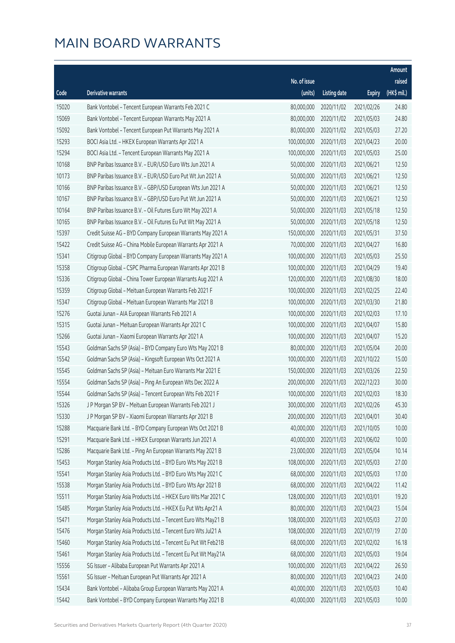|       |                                                              |                        |                     |               | Amount      |
|-------|--------------------------------------------------------------|------------------------|---------------------|---------------|-------------|
|       |                                                              | No. of issue           |                     |               | raised      |
| Code  | Derivative warrants                                          | (units)                | <b>Listing date</b> | <b>Expiry</b> | (HK\$ mil.) |
| 15020 | Bank Vontobel - Tencent European Warrants Feb 2021 C         | 80,000,000             | 2020/11/02          | 2021/02/26    | 24.80       |
| 15069 | Bank Vontobel - Tencent European Warrants May 2021 A         | 80,000,000             | 2020/11/02          | 2021/05/03    | 24.80       |
| 15092 | Bank Vontobel - Tencent European Put Warrants May 2021 A     | 80,000,000             | 2020/11/02          | 2021/05/03    | 27.20       |
| 15293 | BOCI Asia Ltd. - HKEX European Warrants Apr 2021 A           | 100,000,000            | 2020/11/03          | 2021/04/23    | 20.00       |
| 15294 | BOCI Asia Ltd. - Tencent European Warrants May 2021 A        | 100,000,000            | 2020/11/03          | 2021/05/03    | 25.00       |
| 10168 | BNP Paribas Issuance B.V. - EUR/USD Euro Wts Jun 2021 A      | 50,000,000             | 2020/11/03          | 2021/06/21    | 12.50       |
| 10173 | BNP Paribas Issuance B.V. - EUR/USD Euro Put Wt Jun 2021 A   | 50,000,000             | 2020/11/03          | 2021/06/21    | 12.50       |
| 10166 | BNP Paribas Issuance B.V. - GBP/USD European Wts Jun 2021 A  | 50,000,000             | 2020/11/03          | 2021/06/21    | 12.50       |
| 10167 | BNP Paribas Issuance B.V. - GBP/USD Euro Put Wt Jun 2021 A   | 50,000,000             | 2020/11/03          | 2021/06/21    | 12.50       |
| 10164 | BNP Paribas Issuance B.V. - Oil Futures Euro Wt May 2021 A   | 50,000,000             | 2020/11/03          | 2021/05/18    | 12.50       |
| 10165 | BNP Paribas Issuance B.V. - Oil Futures Eu Put Wt May 2021 A | 50,000,000             | 2020/11/03          | 2021/05/18    | 12.50       |
| 15397 | Credit Suisse AG - BYD Company European Warrants May 2021 A  | 150,000,000            | 2020/11/03          | 2021/05/31    | 37.50       |
| 15422 | Credit Suisse AG - China Mobile European Warrants Apr 2021 A | 70,000,000             | 2020/11/03          | 2021/04/27    | 16.80       |
| 15341 | Citigroup Global - BYD Company European Warrants May 2021 A  | 100,000,000            | 2020/11/03          | 2021/05/03    | 25.50       |
| 15358 | Citigroup Global - CSPC Pharma European Warrants Apr 2021 B  | 100,000,000            | 2020/11/03          | 2021/04/29    | 19.40       |
| 15336 | Citigroup Global - China Tower European Warrants Aug 2021 A  | 120,000,000            | 2020/11/03          | 2021/08/30    | 18.00       |
| 15359 | Citigroup Global - Meituan European Warrants Feb 2021 F      | 100,000,000            | 2020/11/03          | 2021/02/25    | 22.40       |
| 15347 | Citigroup Global - Meituan European Warrants Mar 2021 B      | 100,000,000            | 2020/11/03          | 2021/03/30    | 21.80       |
| 15276 | Guotai Junan - AIA European Warrants Feb 2021 A              | 100,000,000            | 2020/11/03          | 2021/02/03    | 17.10       |
| 15315 | Guotai Junan - Meituan European Warrants Apr 2021 C          | 100,000,000            | 2020/11/03          | 2021/04/07    | 15.80       |
| 15266 | Guotai Junan - Xiaomi European Warrants Apr 2021 A           | 100,000,000            | 2020/11/03          | 2021/04/07    | 15.20       |
| 15543 | Goldman Sachs SP (Asia) - BYD Company Euro Wts May 2021 B    | 80,000,000             | 2020/11/03          | 2021/05/04    | 20.00       |
| 15542 | Goldman Sachs SP (Asia) - Kingsoft European Wts Oct 2021 A   | 100,000,000            | 2020/11/03          | 2021/10/22    | 15.00       |
| 15545 | Goldman Sachs SP (Asia) - Meituan Euro Warrants Mar 2021 E   | 150,000,000            | 2020/11/03          | 2021/03/26    | 22.50       |
| 15554 | Goldman Sachs SP (Asia) - Ping An European Wts Dec 2022 A    | 200,000,000            | 2020/11/03          | 2022/12/23    | 30.00       |
| 15544 | Goldman Sachs SP (Asia) - Tencent European Wts Feb 2021 F    | 100,000,000            | 2020/11/03          | 2021/02/03    | 18.30       |
| 15326 | J P Morgan SP BV - Meituan European Warrants Feb 2021 J      | 300,000,000 2020/11/03 |                     | 2021/02/26    | 45.30       |
| 15330 | J P Morgan SP BV - Xiaomi European Warrants Apr 2021 B       | 200,000,000            | 2020/11/03          | 2021/04/01    | 30.40       |
| 15288 | Macquarie Bank Ltd. - BYD Company European Wts Oct 2021 B    | 40,000,000             | 2020/11/03          | 2021/10/05    | 10.00       |
| 15291 | Macquarie Bank Ltd. - HKEX European Warrants Jun 2021 A      | 40,000,000             | 2020/11/03          | 2021/06/02    | 10.00       |
| 15286 | Macquarie Bank Ltd. - Ping An European Warrants May 2021 B   | 23,000,000             | 2020/11/03          | 2021/05/04    | 10.14       |
| 15453 | Morgan Stanley Asia Products Ltd. - BYD Euro Wts May 2021 B  | 108,000,000            | 2020/11/03          | 2021/05/03    | 27.00       |
| 15541 | Morgan Stanley Asia Products Ltd. - BYD Euro Wts May 2021 C  | 68,000,000             | 2020/11/03          | 2021/05/03    | 17.00       |
| 15538 | Morgan Stanley Asia Products Ltd. - BYD Euro Wts Apr 2021 B  | 68,000,000             | 2020/11/03          | 2021/04/22    | 11.42       |
| 15511 | Morgan Stanley Asia Products Ltd. - HKEX Euro Wts Mar 2021 C | 128,000,000            | 2020/11/03          | 2021/03/01    | 19.20       |
| 15485 | Morgan Stanley Asia Products Ltd. - HKEX Eu Put Wts Apr21 A  | 80,000,000             | 2020/11/03          | 2021/04/23    | 15.04       |
| 15471 | Morgan Stanley Asia Products Ltd. - Tencent Euro Wts May21 B | 108,000,000            | 2020/11/03          | 2021/05/03    | 27.00       |
| 15476 | Morgan Stanley Asia Products Ltd. - Tencent Euro Wts Jul21 A | 108,000,000            | 2020/11/03          | 2021/07/19    | 27.00       |
| 15460 | Morgan Stanley Asia Products Ltd. - Tencent Eu Put Wt Feb21B | 68,000,000             | 2020/11/03          | 2021/02/02    | 16.18       |
| 15461 | Morgan Stanley Asia Products Ltd. - Tencent Eu Put Wt May21A | 68,000,000             | 2020/11/03          | 2021/05/03    | 19.04       |
| 15556 | SG Issuer - Alibaba European Put Warrants Apr 2021 A         | 100,000,000            | 2020/11/03          | 2021/04/22    | 26.50       |
| 15561 | SG Issuer - Meituan European Put Warrants Apr 2021 A         | 80,000,000             | 2020/11/03          | 2021/04/23    | 24.00       |
| 15434 | Bank Vontobel - Alibaba Group European Warrants May 2021 A   | 40,000,000             | 2020/11/03          | 2021/05/03    | 10.40       |
| 15442 | Bank Vontobel - BYD Company European Warrants May 2021 B     | 40,000,000             | 2020/11/03          | 2021/05/03    | 10.00       |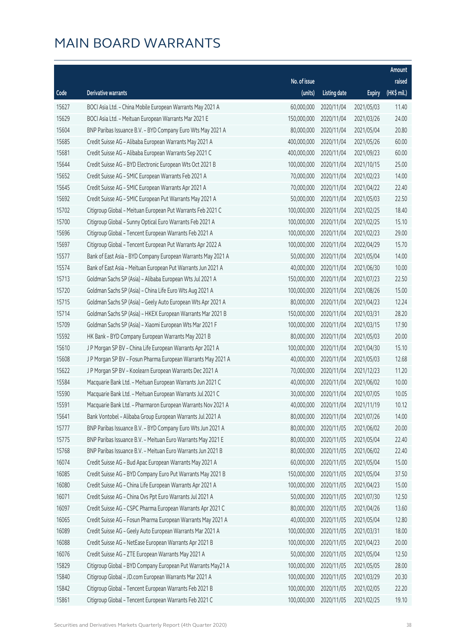|       |                                                              |              |                       |               | Amount      |
|-------|--------------------------------------------------------------|--------------|-----------------------|---------------|-------------|
|       |                                                              | No. of issue |                       |               | raised      |
| Code  | Derivative warrants                                          | (units)      | <b>Listing date</b>   | <b>Expiry</b> | (HK\$ mil.) |
| 15627 | BOCI Asia Ltd. - China Mobile European Warrants May 2021 A   | 60,000,000   | 2020/11/04            | 2021/05/03    | 11.40       |
| 15629 | BOCI Asia Ltd. - Meituan European Warrants Mar 2021 E        | 150,000,000  | 2020/11/04            | 2021/03/26    | 24.00       |
| 15604 | BNP Paribas Issuance B.V. - BYD Company Euro Wts May 2021 A  | 80,000,000   | 2020/11/04            | 2021/05/04    | 20.80       |
| 15685 | Credit Suisse AG - Alibaba European Warrants May 2021 A      | 400,000,000  | 2020/11/04            | 2021/05/26    | 60.00       |
| 15681 | Credit Suisse AG - Alibaba European Warrants Sep 2021 C      | 400,000,000  | 2020/11/04            | 2021/09/23    | 60.00       |
| 15644 | Credit Suisse AG - BYD Electronic European Wts Oct 2021 B    | 100,000,000  | 2020/11/04            | 2021/10/15    | 25.00       |
| 15652 | Credit Suisse AG - SMIC European Warrants Feb 2021 A         | 70,000,000   | 2020/11/04            | 2021/02/23    | 14.00       |
| 15645 | Credit Suisse AG - SMIC European Warrants Apr 2021 A         | 70,000,000   | 2020/11/04            | 2021/04/22    | 22.40       |
| 15692 | Credit Suisse AG - SMIC European Put Warrants May 2021 A     | 50,000,000   | 2020/11/04            | 2021/05/03    | 22.50       |
| 15702 | Citigroup Global - Meituan European Put Warrants Feb 2021 C  | 100,000,000  | 2020/11/04            | 2021/02/25    | 18.40       |
| 15700 | Citigroup Global - Sunny Optical Euro Warrants Feb 2021 A    | 100,000,000  | 2020/11/04            | 2021/02/25    | 15.10       |
| 15696 | Citigroup Global - Tencent European Warrants Feb 2021 A      | 100,000,000  | 2020/11/04            | 2021/02/23    | 29.00       |
| 15697 | Citigroup Global - Tencent European Put Warrants Apr 2022 A  | 100,000,000  | 2020/11/04            | 2022/04/29    | 15.70       |
| 15577 | Bank of East Asia - BYD Company European Warrants May 2021 A | 50,000,000   | 2020/11/04            | 2021/05/04    | 14.00       |
| 15574 | Bank of East Asia - Meituan European Put Warrants Jun 2021 A | 40,000,000   | 2020/11/04            | 2021/06/30    | 10.00       |
| 15713 | Goldman Sachs SP (Asia) - Alibaba European Wts Jul 2021 A    | 150,000,000  | 2020/11/04            | 2021/07/23    | 22.50       |
| 15720 | Goldman Sachs SP (Asia) - China Life Euro Wts Aug 2021 A     | 100,000,000  | 2020/11/04            | 2021/08/26    | 15.00       |
| 15715 | Goldman Sachs SP (Asia) - Geely Auto European Wts Apr 2021 A | 80,000,000   | 2020/11/04            | 2021/04/23    | 12.24       |
| 15714 | Goldman Sachs SP (Asia) - HKEX European Warrants Mar 2021 B  | 150,000,000  | 2020/11/04            | 2021/03/31    | 28.20       |
| 15709 | Goldman Sachs SP (Asia) - Xiaomi European Wts Mar 2021 F     | 100,000,000  | 2020/11/04            | 2021/03/15    | 17.90       |
| 15592 | HK Bank - BYD Company European Warrants May 2021 B           | 80,000,000   | 2020/11/04            | 2021/05/03    | 20.00       |
| 15610 | J P Morgan SP BV - China Life European Warrants Apr 2021 A   | 100,000,000  | 2020/11/04            | 2021/04/30    | 15.10       |
| 15608 | J P Morgan SP BV - Fosun Pharma European Warrants May 2021 A | 40,000,000   | 2020/11/04            | 2021/05/03    | 12.68       |
| 15622 | J P Morgan SP BV - Koolearn European Warrants Dec 2021 A     | 70,000,000   | 2020/11/04            | 2021/12/23    | 11.20       |
| 15584 | Macquarie Bank Ltd. - Meituan European Warrants Jun 2021 C   | 40,000,000   | 2020/11/04            | 2021/06/02    | 10.00       |
| 15590 | Macquarie Bank Ltd. - Meituan European Warrants Jul 2021 C   | 30,000,000   | 2020/11/04            | 2021/07/05    | 10.05       |
| 15591 | Macquarie Bank Ltd. - Pharmaron European Warrants Nov 2021 A |              | 40,000,000 2020/11/04 | 2021/11/19    | 10.12       |
| 15641 | Bank Vontobel - Alibaba Group European Warrants Jul 2021 A   | 80,000,000   | 2020/11/04            | 2021/07/26    | 14.00       |
| 15777 | BNP Paribas Issuance B.V. - BYD Company Euro Wts Jun 2021 A  | 80,000,000   | 2020/11/05            | 2021/06/02    | 20.00       |
| 15775 | BNP Paribas Issuance B.V. - Meituan Euro Warrants May 2021 E | 80,000,000   | 2020/11/05            | 2021/05/04    | 22.40       |
| 15768 | BNP Paribas Issuance B.V. - Meituan Euro Warrants Jun 2021 B | 80,000,000   | 2020/11/05            | 2021/06/02    | 22.40       |
| 16074 | Credit Suisse AG - Bud Apac European Warrants May 2021 A     | 60,000,000   | 2020/11/05            | 2021/05/04    | 15.00       |
| 16085 | Credit Suisse AG - BYD Company Euro Put Warrants May 2021 B  | 150,000,000  | 2020/11/05            | 2021/05/04    | 37.50       |
| 16080 | Credit Suisse AG - China Life European Warrants Apr 2021 A   | 100,000,000  | 2020/11/05            | 2021/04/23    | 15.00       |
| 16071 | Credit Suisse AG - China Ovs Ppt Euro Warrants Jul 2021 A    | 50,000,000   | 2020/11/05            | 2021/07/30    | 12.50       |
| 16097 | Credit Suisse AG - CSPC Pharma European Warrants Apr 2021 C  | 80,000,000   | 2020/11/05            | 2021/04/26    | 13.60       |
| 16065 | Credit Suisse AG - Fosun Pharma European Warrants May 2021 A | 40,000,000   | 2020/11/05            | 2021/05/04    | 12.80       |
| 16089 | Credit Suisse AG - Geely Auto European Warrants Mar 2021 A   | 100,000,000  | 2020/11/05            | 2021/03/31    | 18.00       |
| 16088 | Credit Suisse AG - NetEase European Warrants Apr 2021 B      | 100,000,000  | 2020/11/05            | 2021/04/23    | 20.00       |
| 16076 | Credit Suisse AG - ZTE European Warrants May 2021 A          | 50,000,000   | 2020/11/05            | 2021/05/04    | 12.50       |
| 15829 | Citigroup Global - BYD Company European Put Warrants May21 A | 100,000,000  | 2020/11/05            | 2021/05/05    | 28.00       |
| 15840 | Citigroup Global - JD.com European Warrants Mar 2021 A       | 100,000,000  | 2020/11/05            | 2021/03/29    | 20.30       |
| 15842 | Citigroup Global - Tencent European Warrants Feb 2021 B      | 100,000,000  | 2020/11/05            | 2021/02/05    | 22.20       |
| 15861 | Citigroup Global - Tencent European Warrants Feb 2021 C      | 100,000,000  | 2020/11/05            | 2021/02/25    | 19.10       |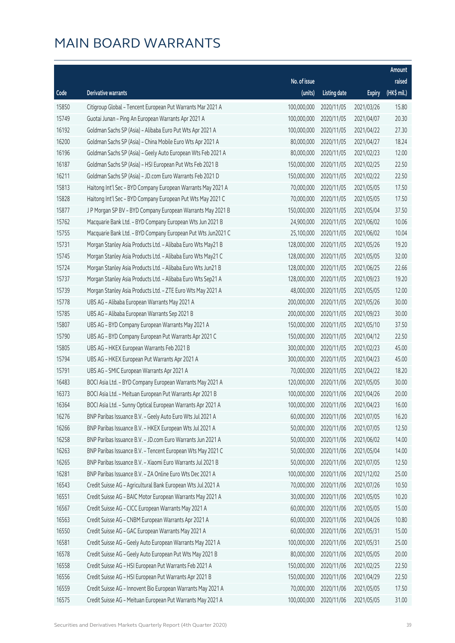|                |                                                                                                                            |                          |                          |                          | Amount         |
|----------------|----------------------------------------------------------------------------------------------------------------------------|--------------------------|--------------------------|--------------------------|----------------|
|                |                                                                                                                            | No. of issue             |                          |                          | raised         |
| Code           | <b>Derivative warrants</b>                                                                                                 | (units)                  | <b>Listing date</b>      | <b>Expiry</b>            | $(HK\$ mil.)   |
| 15850          | Citigroup Global - Tencent European Put Warrants Mar 2021 A                                                                | 100,000,000              | 2020/11/05               | 2021/03/26               | 15.80          |
| 15749          | Guotai Junan - Ping An European Warrants Apr 2021 A                                                                        | 100,000,000              | 2020/11/05               | 2021/04/07               | 20.30          |
| 16192          | Goldman Sachs SP (Asia) - Alibaba Euro Put Wts Apr 2021 A                                                                  | 100,000,000              | 2020/11/05               | 2021/04/22               | 27.30          |
| 16200          | Goldman Sachs SP (Asia) - China Mobile Euro Wts Apr 2021 A                                                                 | 80,000,000               | 2020/11/05               | 2021/04/27               | 18.24          |
| 16196          | Goldman Sachs SP (Asia) - Geely Auto European Wts Feb 2021 A                                                               | 80,000,000               | 2020/11/05               | 2021/02/23               | 12.00          |
| 16187          | Goldman Sachs SP (Asia) - HSI European Put Wts Feb 2021 B                                                                  | 150,000,000              | 2020/11/05               | 2021/02/25               | 22.50          |
| 16211          | Goldman Sachs SP (Asia) - JD.com Euro Warrants Feb 2021 D                                                                  | 150,000,000              | 2020/11/05               | 2021/02/22               | 22.50          |
| 15813          | Haitong Int'l Sec - BYD Company European Warrants May 2021 A                                                               | 70,000,000               | 2020/11/05               | 2021/05/05               | 17.50          |
| 15828          | Haitong Int'l Sec - BYD Company European Put Wts May 2021 C                                                                | 70,000,000               | 2020/11/05               | 2021/05/05               | 17.50          |
| 15877          | J P Morgan SP BV - BYD Company European Warrants May 2021 B                                                                | 150,000,000              | 2020/11/05               | 2021/05/04               | 37.50          |
| 15762          | Macquarie Bank Ltd. - BYD Company European Wts Jun 2021 B                                                                  | 24,900,000               | 2020/11/05               | 2021/06/02               | 10.06          |
| 15755          | Macquarie Bank Ltd. - BYD Company European Put Wts Jun2021 C                                                               | 25,100,000               | 2020/11/05               | 2021/06/02               | 10.04          |
| 15731          | Morgan Stanley Asia Products Ltd. - Alibaba Euro Wts May21 B                                                               | 128,000,000              | 2020/11/05               | 2021/05/26               | 19.20          |
| 15745          | Morgan Stanley Asia Products Ltd. - Alibaba Euro Wts May21 C                                                               | 128,000,000              | 2020/11/05               | 2021/05/05               | 32.00          |
| 15724          | Morgan Stanley Asia Products Ltd. - Alibaba Euro Wts Jun21 B                                                               | 128,000,000              | 2020/11/05               | 2021/06/25               | 22.66          |
| 15737          | Morgan Stanley Asia Products Ltd. - Alibaba Euro Wts Sep21 A                                                               | 128,000,000              | 2020/11/05               | 2021/09/23               | 19.20          |
| 15739          | Morgan Stanley Asia Products Ltd. - ZTE Euro Wts May 2021 A                                                                | 48,000,000               | 2020/11/05               | 2021/05/05               | 12.00          |
| 15778          | UBS AG - Alibaba European Warrants May 2021 A                                                                              | 200,000,000              | 2020/11/05               | 2021/05/26               | 30.00          |
| 15785          | UBS AG - Alibaba European Warrants Sep 2021 B                                                                              | 200,000,000              | 2020/11/05               | 2021/09/23               | 30.00          |
| 15807          | UBS AG - BYD Company European Warrants May 2021 A                                                                          | 150,000,000              | 2020/11/05               | 2021/05/10               | 37.50          |
| 15790          | UBS AG - BYD Company European Put Warrants Apr 2021 C                                                                      | 150,000,000              | 2020/11/05               | 2021/04/12               | 22.50          |
| 15805          | UBS AG - HKEX European Warrants Feb 2021 B                                                                                 | 300,000,000              | 2020/11/05               | 2021/02/23               | 45.00          |
| 15794          | UBS AG - HKEX European Put Warrants Apr 2021 A                                                                             | 300,000,000              | 2020/11/05               | 2021/04/23               | 45.00          |
| 15791          | UBS AG - SMIC European Warrants Apr 2021 A                                                                                 | 70,000,000               | 2020/11/05               | 2021/04/22               | 18.20          |
| 16483          | BOCI Asia Ltd. - BYD Company European Warrants May 2021 A                                                                  | 120,000,000              | 2020/11/06               | 2021/05/05               | 30.00          |
| 16373          | BOCI Asia Ltd. - Meituan European Put Warrants Apr 2021 B                                                                  | 100,000,000              | 2020/11/06               | 2021/04/26               | 20.00          |
| 16364          | BOCI Asia Ltd. - Sunny Optical European Warrants Apr 2021 A                                                                |                          | 100,000,000 2020/11/06   | 2021/04/23               | 16.00          |
| 16276          | BNP Paribas Issuance B.V. - Geely Auto Euro Wts Jul 2021 A                                                                 | 60,000,000               | 2020/11/06               | 2021/07/05               | 16.20          |
| 16266          | BNP Paribas Issuance B.V. - HKEX European Wts Jul 2021 A                                                                   | 50,000,000               | 2020/11/06               | 2021/07/05               | 12.50          |
| 16258<br>16263 | BNP Paribas Issuance B.V. - JD.com Euro Warrants Jun 2021 A                                                                | 50,000,000<br>50,000,000 | 2020/11/06               | 2021/06/02               | 14.00<br>14.00 |
| 16265          | BNP Paribas Issuance B.V. - Tencent European Wts May 2021 C<br>BNP Paribas Issuance B.V. - Xiaomi Euro Warrants Jul 2021 B | 50,000,000               | 2020/11/06<br>2020/11/06 | 2021/05/04<br>2021/07/05 | 12.50          |
| 16281          | BNP Paribas Issuance B.V. - ZA Online Euro Wts Dec 2021 A                                                                  | 100,000,000              | 2020/11/06               | 2021/12/02               | 25.00          |
| 16543          | Credit Suisse AG - Agricultural Bank European Wts Jul 2021 A                                                               | 70,000,000               | 2020/11/06               | 2021/07/26               | 10.50          |
| 16551          | Credit Suisse AG - BAIC Motor European Warrants May 2021 A                                                                 | 30,000,000               | 2020/11/06               | 2021/05/05               | 10.20          |
| 16567          | Credit Suisse AG - CICC European Warrants May 2021 A                                                                       | 60,000,000               | 2020/11/06               | 2021/05/05               | 15.00          |
| 16563          | Credit Suisse AG - CNBM European Warrants Apr 2021 A                                                                       | 60,000,000               | 2020/11/06               | 2021/04/26               | 10.80          |
| 16550          | Credit Suisse AG - GAC European Warrants May 2021 A                                                                        | 60,000,000               | 2020/11/06               | 2021/05/31               | 15.00          |
| 16581          | Credit Suisse AG - Geely Auto European Warrants May 2021 A                                                                 | 100,000,000              | 2020/11/06               | 2021/05/31               | 25.00          |
| 16578          | Credit Suisse AG - Geely Auto European Put Wts May 2021 B                                                                  | 80,000,000               | 2020/11/06               | 2021/05/05               | 20.00          |
| 16558          | Credit Suisse AG - HSI European Put Warrants Feb 2021 A                                                                    | 150,000,000              | 2020/11/06               | 2021/02/25               | 22.50          |
| 16556          | Credit Suisse AG - HSI European Put Warrants Apr 2021 B                                                                    | 150,000,000              | 2020/11/06               | 2021/04/29               | 22.50          |
| 16559          | Credit Suisse AG - Innovent Bio European Warrants May 2021 A                                                               | 70,000,000               | 2020/11/06               | 2021/05/05               | 17.50          |
| 16575          | Credit Suisse AG - Meituan European Put Warrants May 2021 A                                                                | 100,000,000              | 2020/11/06               | 2021/05/05               | 31.00          |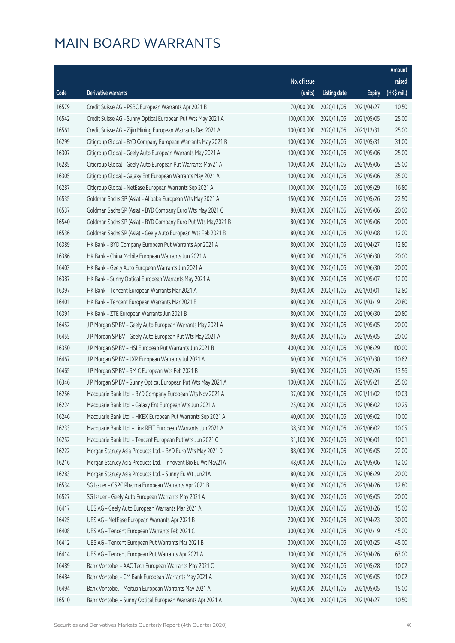|       |                                                               |              |                       |               | Amount      |
|-------|---------------------------------------------------------------|--------------|-----------------------|---------------|-------------|
|       |                                                               | No. of issue |                       |               | raised      |
| Code  | Derivative warrants                                           | (units)      | <b>Listing date</b>   | <b>Expiry</b> | (HK\$ mil.) |
| 16579 | Credit Suisse AG - PSBC European Warrants Apr 2021 B          | 70,000,000   | 2020/11/06            | 2021/04/27    | 10.50       |
| 16542 | Credit Suisse AG - Sunny Optical European Put Wts May 2021 A  | 100,000,000  | 2020/11/06            | 2021/05/05    | 25.00       |
| 16561 | Credit Suisse AG - Zijin Mining European Warrants Dec 2021 A  | 100,000,000  | 2020/11/06            | 2021/12/31    | 25.00       |
| 16299 | Citigroup Global - BYD Company European Warrants May 2021 B   | 100,000,000  | 2020/11/06            | 2021/05/31    | 31.00       |
| 16307 | Citigroup Global - Geely Auto European Warrants May 2021 A    | 100,000,000  | 2020/11/06            | 2021/05/06    | 25.00       |
| 16285 | Citigroup Global - Geely Auto European Put Warrants May21 A   | 100,000,000  | 2020/11/06            | 2021/05/06    | 25.00       |
| 16305 | Citigroup Global - Galaxy Ent European Warrants May 2021 A    | 100,000,000  | 2020/11/06            | 2021/05/06    | 35.00       |
| 16287 | Citigroup Global - NetEase European Warrants Sep 2021 A       | 100,000,000  | 2020/11/06            | 2021/09/29    | 16.80       |
| 16535 | Goldman Sachs SP (Asia) - Alibaba European Wts May 2021 A     | 150,000,000  | 2020/11/06            | 2021/05/26    | 22.50       |
| 16537 | Goldman Sachs SP (Asia) - BYD Company Euro Wts May 2021 C     | 80,000,000   | 2020/11/06            | 2021/05/06    | 20.00       |
| 16540 | Goldman Sachs SP (Asia) - BYD Company Euro Put Wts May2021 B  | 80,000,000   | 2020/11/06            | 2021/05/06    | 20.00       |
| 16536 | Goldman Sachs SP (Asia) - Geely Auto European Wts Feb 2021 B  | 80,000,000   | 2020/11/06            | 2021/02/08    | 12.00       |
| 16389 | HK Bank - BYD Company European Put Warrants Apr 2021 A        | 80,000,000   | 2020/11/06            | 2021/04/27    | 12.80       |
| 16386 | HK Bank - China Mobile European Warrants Jun 2021 A           | 80,000,000   | 2020/11/06            | 2021/06/30    | 20.00       |
| 16403 | HK Bank - Geely Auto European Warrants Jun 2021 A             | 80,000,000   | 2020/11/06            | 2021/06/30    | 20.00       |
| 16387 | HK Bank - Sunny Optical European Warrants May 2021 A          | 80,000,000   | 2020/11/06            | 2021/05/07    | 12.00       |
| 16397 | HK Bank - Tencent European Warrants Mar 2021 A                | 80,000,000   | 2020/11/06            | 2021/03/01    | 12.80       |
| 16401 | HK Bank - Tencent European Warrants Mar 2021 B                | 80,000,000   | 2020/11/06            | 2021/03/19    | 20.80       |
| 16391 | HK Bank - ZTE European Warrants Jun 2021 B                    | 80,000,000   | 2020/11/06            | 2021/06/30    | 20.80       |
| 16452 | J P Morgan SP BV - Geely Auto European Warrants May 2021 A    | 80,000,000   | 2020/11/06            | 2021/05/05    | 20.00       |
| 16455 | J P Morgan SP BV - Geely Auto European Put Wts May 2021 A     | 80,000,000   | 2020/11/06            | 2021/05/05    | 20.00       |
| 16350 | J P Morgan SP BV - HSI European Put Warrants Jun 2021 B       | 400,000,000  | 2020/11/06            | 2021/06/29    | 100.00      |
| 16467 | J P Morgan SP BV - JXR European Warrants Jul 2021 A           | 60,000,000   | 2020/11/06            | 2021/07/30    | 10.62       |
| 16465 | J P Morgan SP BV - SMIC European Wts Feb 2021 B               | 60,000,000   | 2020/11/06            | 2021/02/26    | 13.56       |
| 16346 | J P Morgan SP BV - Sunny Optical European Put Wts May 2021 A  | 100,000,000  | 2020/11/06            | 2021/05/21    | 25.00       |
| 16256 | Macquarie Bank Ltd. - BYD Company European Wts Nov 2021 A     | 37,000,000   | 2020/11/06            | 2021/11/02    | 10.03       |
| 16224 | Macquarie Bank Ltd. - Galaxy Ent European Wts Jun 2021 A      |              | 25,000,000 2020/11/06 | 2021/06/02    | 10.25       |
| 16246 | Macquarie Bank Ltd. - HKEX European Put Warrants Sep 2021 A   | 40,000,000   | 2020/11/06            | 2021/09/02    | 10.00       |
| 16233 | Macquarie Bank Ltd. - Link REIT European Warrants Jun 2021 A  | 38,500,000   | 2020/11/06            | 2021/06/02    | 10.05       |
| 16252 | Macquarie Bank Ltd. - Tencent European Put Wts Jun 2021 C     | 31,100,000   | 2020/11/06            | 2021/06/01    | 10.01       |
| 16222 | Morgan Stanley Asia Products Ltd. - BYD Euro Wts May 2021 D   | 88,000,000   | 2020/11/06            | 2021/05/05    | 22.00       |
| 16216 | Morgan Stanley Asia Products Ltd. - Innovent Bio Eu Wt May21A | 48,000,000   | 2020/11/06            | 2021/05/06    | 12.00       |
| 16283 | Morgan Stanley Asia Products Ltd. - Sunny Eu Wt Jun21A        | 80,000,000   | 2020/11/06            | 2021/06/29    | 20.00       |
| 16534 | SG Issuer - CSPC Pharma European Warrants Apr 2021 B          | 80,000,000   | 2020/11/06            | 2021/04/26    | 12.80       |
| 16527 | SG Issuer - Geely Auto European Warrants May 2021 A           | 80,000,000   | 2020/11/06            | 2021/05/05    | 20.00       |
| 16417 | UBS AG - Geely Auto European Warrants Mar 2021 A              | 100,000,000  | 2020/11/06            | 2021/03/26    | 15.00       |
| 16425 | UBS AG - NetEase European Warrants Apr 2021 B                 | 200,000,000  | 2020/11/06            | 2021/04/23    | 30.00       |
| 16408 | UBS AG - Tencent European Warrants Feb 2021 C                 | 300,000,000  | 2020/11/06            | 2021/02/19    | 45.00       |
| 16412 | UBS AG - Tencent European Put Warrants Mar 2021 B             | 300,000,000  | 2020/11/06            | 2021/03/25    | 45.00       |
| 16414 | UBS AG - Tencent European Put Warrants Apr 2021 A             | 300,000,000  | 2020/11/06            | 2021/04/26    | 63.00       |
| 16489 | Bank Vontobel - AAC Tech European Warrants May 2021 C         | 30,000,000   | 2020/11/06            | 2021/05/28    | 10.02       |
| 16484 | Bank Vontobel - CM Bank European Warrants May 2021 A          | 30,000,000   | 2020/11/06            | 2021/05/05    | 10.02       |
| 16494 | Bank Vontobel - Meituan European Warrants May 2021 A          | 60,000,000   | 2020/11/06            | 2021/05/05    | 15.00       |
| 16510 | Bank Vontobel - Sunny Optical European Warrants Apr 2021 A    | 70,000,000   | 2020/11/06            | 2021/04/27    | 10.50       |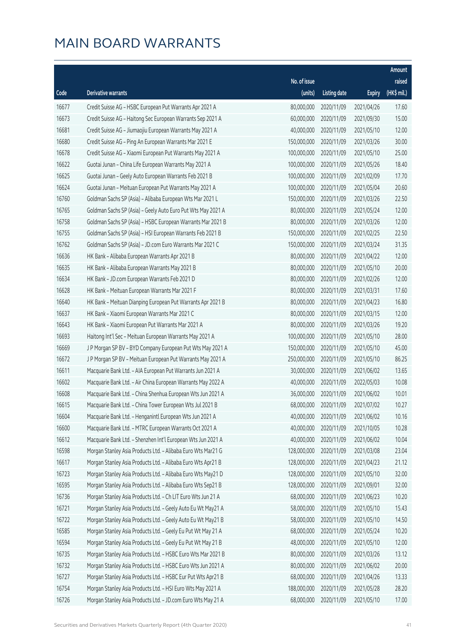|       |                                                              |              |                       |               | Amount      |
|-------|--------------------------------------------------------------|--------------|-----------------------|---------------|-------------|
|       |                                                              | No. of issue |                       |               | raised      |
| Code  | Derivative warrants                                          | (units)      | <b>Listing date</b>   | <b>Expiry</b> | (HK\$ mil.) |
| 16677 | Credit Suisse AG - HSBC European Put Warrants Apr 2021 A     | 80,000,000   | 2020/11/09            | 2021/04/26    | 17.60       |
| 16673 | Credit Suisse AG - Haitong Sec European Warrants Sep 2021 A  | 60,000,000   | 2020/11/09            | 2021/09/30    | 15.00       |
| 16681 | Credit Suisse AG - Jiumaojiu European Warrants May 2021 A    | 40,000,000   | 2020/11/09            | 2021/05/10    | 12.00       |
| 16680 | Credit Suisse AG - Ping An European Warrants Mar 2021 E      | 150,000,000  | 2020/11/09            | 2021/03/26    | 30.00       |
| 16678 | Credit Suisse AG - Xiaomi European Put Warrants May 2021 A   | 100,000,000  | 2020/11/09            | 2021/05/10    | 25.00       |
| 16622 | Guotai Junan - China Life European Warrants May 2021 A       | 100,000,000  | 2020/11/09            | 2021/05/26    | 18.40       |
| 16625 | Guotai Junan - Geely Auto European Warrants Feb 2021 B       | 100,000,000  | 2020/11/09            | 2021/02/09    | 17.70       |
| 16624 | Guotai Junan - Meituan European Put Warrants May 2021 A      | 100,000,000  | 2020/11/09            | 2021/05/04    | 20.60       |
| 16760 | Goldman Sachs SP (Asia) - Alibaba European Wts Mar 2021 L    | 150,000,000  | 2020/11/09            | 2021/03/26    | 22.50       |
| 16765 | Goldman Sachs SP (Asia) - Geely Auto Euro Put Wts May 2021 A | 80,000,000   | 2020/11/09            | 2021/05/24    | 12.00       |
| 16758 | Goldman Sachs SP (Asia) - HSBC European Warrants Mar 2021 B  | 80,000,000   | 2020/11/09            | 2021/03/26    | 12.00       |
| 16755 | Goldman Sachs SP (Asia) - HSI European Warrants Feb 2021 B   | 150,000,000  | 2020/11/09            | 2021/02/25    | 22.50       |
| 16762 | Goldman Sachs SP (Asia) - JD.com Euro Warrants Mar 2021 C    | 150,000,000  | 2020/11/09            | 2021/03/24    | 31.35       |
| 16636 | HK Bank - Alibaba European Warrants Apr 2021 B               | 80,000,000   | 2020/11/09            | 2021/04/22    | 12.00       |
| 16635 | HK Bank - Alibaba European Warrants May 2021 B               | 80,000,000   | 2020/11/09            | 2021/05/10    | 20.00       |
| 16634 | HK Bank - JD.com European Warrants Feb 2021 D                | 80,000,000   | 2020/11/09            | 2021/02/26    | 12.00       |
| 16628 | HK Bank - Meituan European Warrants Mar 2021 F               | 80,000,000   | 2020/11/09            | 2021/03/31    | 17.60       |
| 16640 | HK Bank - Meituan Dianping European Put Warrants Apr 2021 B  | 80,000,000   | 2020/11/09            | 2021/04/23    | 16.80       |
| 16637 | HK Bank - Xiaomi European Warrants Mar 2021 C                | 80,000,000   | 2020/11/09            | 2021/03/15    | 12.00       |
| 16643 | HK Bank - Xiaomi European Put Warrants Mar 2021 A            | 80,000,000   | 2020/11/09            | 2021/03/26    | 19.20       |
| 16693 | Haitong Int'l Sec - Meituan European Warrants May 2021 A     | 100,000,000  | 2020/11/09            | 2021/05/10    | 28.00       |
| 16669 | J P Morgan SP BV - BYD Company European Put Wts May 2021 A   | 150,000,000  | 2020/11/09            | 2021/05/10    | 45.00       |
| 16672 | J P Morgan SP BV - Meituan European Put Warrants May 2021 A  | 250,000,000  | 2020/11/09            | 2021/05/10    | 86.25       |
| 16611 | Macquarie Bank Ltd. - AIA European Put Warrants Jun 2021 A   | 30,000,000   | 2020/11/09            | 2021/06/02    | 13.65       |
| 16602 | Macquarie Bank Ltd. - Air China European Warrants May 2022 A | 40,000,000   | 2020/11/09            | 2022/05/03    | 10.08       |
| 16608 | Macquarie Bank Ltd. - China Shenhua European Wts Jun 2021 A  | 36,000,000   | 2020/11/09            | 2021/06/02    | 10.01       |
| 16615 | Macquarie Bank Ltd. - China Tower European Wts Jul 2021 B    |              | 68,000,000 2020/11/09 | 2021/07/02    | 10.27       |
| 16604 | Macquarie Bank Ltd. - Henganintl European Wts Jun 2021 A     | 40,000,000   | 2020/11/09            | 2021/06/02    | 10.16       |
| 16600 | Macquarie Bank Ltd. - MTRC European Warrants Oct 2021 A      | 40,000,000   | 2020/11/09            | 2021/10/05    | 10.28       |
| 16612 | Macquarie Bank Ltd. - Shenzhen Int'l European Wts Jun 2021 A | 40,000,000   | 2020/11/09            | 2021/06/02    | 10.04       |
| 16598 | Morgan Stanley Asia Products Ltd. - Alibaba Euro Wts Mar21 G | 128,000,000  | 2020/11/09            | 2021/03/08    | 23.04       |
| 16617 | Morgan Stanley Asia Products Ltd. - Alibaba Euro Wts Apr21 B | 128,000,000  | 2020/11/09            | 2021/04/23    | 21.12       |
| 16723 | Morgan Stanley Asia Products Ltd. - Alibaba Euro Wts May21 D | 128,000,000  | 2020/11/09            | 2021/05/10    | 32.00       |
| 16595 | Morgan Stanley Asia Products Ltd. - Alibaba Euro Wts Sep21 B | 128,000,000  | 2020/11/09            | 2021/09/01    | 32.00       |
| 16736 | Morgan Stanley Asia Products Ltd. - Ch LIT Euro Wts Jun 21 A | 68,000,000   | 2020/11/09            | 2021/06/23    | 10.20       |
| 16721 | Morgan Stanley Asia Products Ltd. - Geely Auto Eu Wt May21 A | 58,000,000   | 2020/11/09            | 2021/05/10    | 15.43       |
| 16722 | Morgan Stanley Asia Products Ltd. - Geely Auto Eu Wt May21 B | 58,000,000   | 2020/11/09            | 2021/05/10    | 14.50       |
| 16585 | Morgan Stanley Asia Products Ltd. - Geely Eu Put Wt May 21 A | 68,000,000   | 2020/11/09            | 2021/05/24    | 10.20       |
| 16594 | Morgan Stanley Asia Products Ltd. - Geely Eu Put Wt May 21 B | 48,000,000   | 2020/11/09            | 2021/05/10    | 12.00       |
| 16735 | Morgan Stanley Asia Products Ltd. - HSBC Euro Wts Mar 2021 B | 80,000,000   | 2020/11/09            | 2021/03/26    | 13.12       |
| 16732 | Morgan Stanley Asia Products Ltd. - HSBC Euro Wts Jun 2021 A | 80,000,000   | 2020/11/09            | 2021/06/02    | 20.00       |
| 16727 | Morgan Stanley Asia Products Ltd. - HSBC Eur Put Wts Apr21 B | 68,000,000   | 2020/11/09            | 2021/04/26    | 13.33       |
| 16754 | Morgan Stanley Asia Products Ltd. - HSI Euro Wts May 2021 A  | 188,000,000  | 2020/11/09            | 2021/05/28    | 28.20       |
| 16726 | Morgan Stanley Asia Products Ltd. - JD.com Euro Wts May 21 A | 68,000,000   | 2020/11/09            | 2021/05/10    | 17.00       |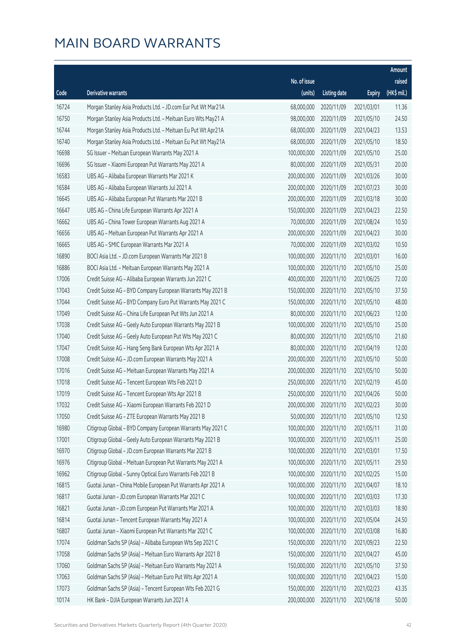|       |                                                              |                        |                     |               | Amount      |
|-------|--------------------------------------------------------------|------------------------|---------------------|---------------|-------------|
|       |                                                              | No. of issue           |                     |               | raised      |
| Code  | Derivative warrants                                          | (units)                | <b>Listing date</b> | <b>Expiry</b> | (HK\$ mil.) |
| 16724 | Morgan Stanley Asia Products Ltd. - JD.com Eur Put Wt Mar21A | 68,000,000             | 2020/11/09          | 2021/03/01    | 11.36       |
| 16750 | Morgan Stanley Asia Products Ltd. - Meituan Euro Wts May21 A | 98,000,000             | 2020/11/09          | 2021/05/10    | 24.50       |
| 16744 | Morgan Stanley Asia Products Ltd. - Meituan Eu Put Wt Apr21A | 68,000,000             | 2020/11/09          | 2021/04/23    | 13.53       |
| 16740 | Morgan Stanley Asia Products Ltd. - Meituan Eu Put Wt May21A | 68,000,000             | 2020/11/09          | 2021/05/10    | 18.50       |
| 16698 | SG Issuer - Meituan European Warrants May 2021 A             | 100,000,000            | 2020/11/09          | 2021/05/10    | 25.00       |
| 16696 | SG Issuer - Xiaomi European Put Warrants May 2021 A          | 80,000,000             | 2020/11/09          | 2021/05/31    | 20.00       |
| 16583 | UBS AG - Alibaba European Warrants Mar 2021 K                | 200,000,000            | 2020/11/09          | 2021/03/26    | 30.00       |
| 16584 | UBS AG - Alibaba European Warrants Jul 2021 A                | 200,000,000            | 2020/11/09          | 2021/07/23    | 30.00       |
| 16645 | UBS AG - Alibaba European Put Warrants Mar 2021 B            | 200,000,000            | 2020/11/09          | 2021/03/18    | 30.00       |
| 16647 | UBS AG - China Life European Warrants Apr 2021 A             | 150,000,000            | 2020/11/09          | 2021/04/23    | 22.50       |
| 16662 | UBS AG - China Tower European Warrants Aug 2021 A            | 70,000,000             | 2020/11/09          | 2021/08/24    | 10.50       |
| 16656 | UBS AG - Meituan European Put Warrants Apr 2021 A            | 200,000,000            | 2020/11/09          | 2021/04/23    | 30.00       |
| 16665 | UBS AG - SMIC European Warrants Mar 2021 A                   | 70,000,000             | 2020/11/09          | 2021/03/02    | 10.50       |
| 16890 | BOCI Asia Ltd. - JD.com European Warrants Mar 2021 B         | 100,000,000            | 2020/11/10          | 2021/03/01    | 16.00       |
| 16886 | BOCI Asia Ltd. - Meituan European Warrants May 2021 A        | 100,000,000            | 2020/11/10          | 2021/05/10    | 25.00       |
| 17006 | Credit Suisse AG - Alibaba European Warrants Jun 2021 C      | 400,000,000            | 2020/11/10          | 2021/06/25    | 72.00       |
| 17043 | Credit Suisse AG - BYD Company European Warrants May 2021 B  | 150,000,000            | 2020/11/10          | 2021/05/10    | 37.50       |
| 17044 | Credit Suisse AG - BYD Company Euro Put Warrants May 2021 C  | 150,000,000            | 2020/11/10          | 2021/05/10    | 48.00       |
| 17049 | Credit Suisse AG - China Life European Put Wts Jun 2021 A    | 80,000,000             | 2020/11/10          | 2021/06/23    | 12.00       |
| 17038 | Credit Suisse AG - Geely Auto European Warrants May 2021 B   | 100,000,000            | 2020/11/10          | 2021/05/10    | 25.00       |
| 17040 | Credit Suisse AG - Geely Auto European Put Wts May 2021 C    | 80,000,000             | 2020/11/10          | 2021/05/10    | 21.60       |
| 17047 | Credit Suisse AG - Hang Seng Bank European Wts Apr 2021 A    | 80,000,000             | 2020/11/10          | 2021/04/19    | 12.00       |
| 17008 | Credit Suisse AG - JD.com European Warrants May 2021 A       | 200,000,000            | 2020/11/10          | 2021/05/10    | 50.00       |
| 17016 | Credit Suisse AG - Meituan European Warrants May 2021 A      | 200,000,000            | 2020/11/10          | 2021/05/10    | 50.00       |
| 17018 | Credit Suisse AG - Tencent European Wts Feb 2021 D           | 250,000,000            | 2020/11/10          | 2021/02/19    | 45.00       |
| 17019 | Credit Suisse AG - Tencent European Wts Apr 2021 B           | 250,000,000            | 2020/11/10          | 2021/04/26    | 50.00       |
| 17032 | Credit Suisse AG - Xiaomi European Warrants Feb 2021 D       | 200,000,000 2020/11/10 |                     | 2021/02/23    | 30.00       |
| 17050 | Credit Suisse AG - ZTE European Warrants May 2021 B          | 50,000,000             | 2020/11/10          | 2021/05/10    | 12.50       |
| 16980 | Citigroup Global - BYD Company European Warrants May 2021 C  | 100,000,000            | 2020/11/10          | 2021/05/11    | 31.00       |
| 17001 | Citigroup Global - Geely Auto European Warrants May 2021 B   | 100,000,000            | 2020/11/10          | 2021/05/11    | 25.00       |
| 16970 | Citigroup Global - JD.com European Warrants Mar 2021 B       | 100,000,000            | 2020/11/10          | 2021/03/01    | 17.50       |
| 16976 | Citigroup Global - Meituan European Put Warrants May 2021 A  | 100,000,000            | 2020/11/10          | 2021/05/11    | 29.50       |
| 16962 | Citigroup Global - Sunny Optical Euro Warrants Feb 2021 B    | 100,000,000            | 2020/11/10          | 2021/02/25    | 15.00       |
| 16815 | Guotai Junan - China Mobile European Put Warrants Apr 2021 A | 100,000,000            | 2020/11/10          | 2021/04/07    | 18.10       |
| 16817 | Guotai Junan - JD.com European Warrants Mar 2021 C           | 100,000,000            | 2020/11/10          | 2021/03/03    | 17.30       |
| 16821 | Guotai Junan - JD.com European Put Warrants Mar 2021 A       | 100,000,000            | 2020/11/10          | 2021/03/03    | 18.90       |
| 16814 | Guotai Junan - Tencent European Warrants May 2021 A          | 100,000,000            | 2020/11/10          | 2021/05/04    | 24.50       |
| 16807 | Guotai Junan - Xiaomi European Put Warrants Mar 2021 C       | 100,000,000            | 2020/11/10          | 2021/03/08    | 16.80       |
| 17074 | Goldman Sachs SP (Asia) - Alibaba European Wts Sep 2021 C    | 150,000,000            | 2020/11/10          | 2021/09/23    | 22.50       |
| 17058 | Goldman Sachs SP (Asia) - Meituan Euro Warrants Apr 2021 B   | 150,000,000            | 2020/11/10          | 2021/04/27    | 45.00       |
| 17060 | Goldman Sachs SP (Asia) - Meituan Euro Warrants May 2021 A   | 150,000,000            | 2020/11/10          | 2021/05/10    | 37.50       |
| 17063 | Goldman Sachs SP (Asia) - Meituan Euro Put Wts Apr 2021 A    | 100,000,000            | 2020/11/10          | 2021/04/23    | 15.00       |
| 17073 | Goldman Sachs SP (Asia) - Tencent European Wts Feb 2021 G    | 150,000,000            | 2020/11/10          | 2021/02/23    | 43.35       |
| 10174 | HK Bank - DJIA European Warrants Jun 2021 A                  | 200,000,000            | 2020/11/10          | 2021/06/18    | 50.00       |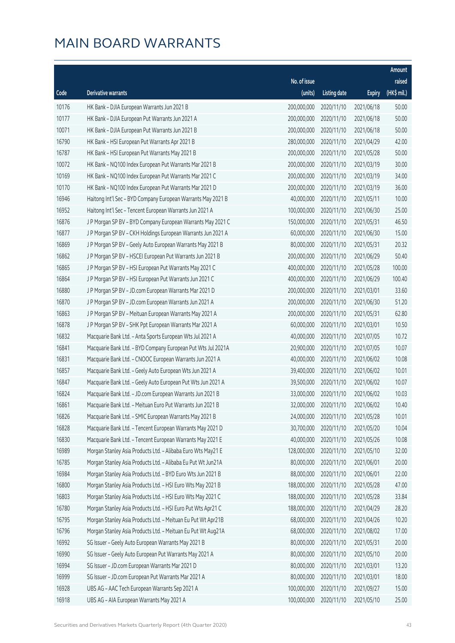|       |                                                              |              |                       |               | Amount      |
|-------|--------------------------------------------------------------|--------------|-----------------------|---------------|-------------|
|       |                                                              | No. of issue |                       |               | raised      |
| Code  | <b>Derivative warrants</b>                                   | (units)      | <b>Listing date</b>   | <b>Expiry</b> | (HK\$ mil.) |
| 10176 | HK Bank - DJIA European Warrants Jun 2021 B                  | 200,000,000  | 2020/11/10            | 2021/06/18    | 50.00       |
| 10177 | HK Bank - DJIA European Put Warrants Jun 2021 A              | 200,000,000  | 2020/11/10            | 2021/06/18    | 50.00       |
| 10071 | HK Bank - DJIA European Put Warrants Jun 2021 B              | 200,000,000  | 2020/11/10            | 2021/06/18    | 50.00       |
| 16790 | HK Bank - HSI European Put Warrants Apr 2021 B               | 280,000,000  | 2020/11/10            | 2021/04/29    | 42.00       |
| 16787 | HK Bank - HSI European Put Warrants May 2021 B               | 200,000,000  | 2020/11/10            | 2021/05/28    | 50.00       |
| 10072 | HK Bank - NQ100 Index European Put Warrants Mar 2021 B       | 200,000,000  | 2020/11/10            | 2021/03/19    | 30.00       |
| 10169 | HK Bank - NQ100 Index European Put Warrants Mar 2021 C       | 200,000,000  | 2020/11/10            | 2021/03/19    | 34.00       |
| 10170 | HK Bank - NQ100 Index European Put Warrants Mar 2021 D       | 200,000,000  | 2020/11/10            | 2021/03/19    | 36.00       |
| 16946 | Haitong Int'l Sec - BYD Company European Warrants May 2021 B | 40,000,000   | 2020/11/10            | 2021/05/11    | 10.00       |
| 16952 | Haitong Int'l Sec - Tencent European Warrants Jun 2021 A     | 100,000,000  | 2020/11/10            | 2021/06/30    | 25.00       |
| 16876 | J P Morgan SP BV - BYD Company European Warrants May 2021 C  | 150,000,000  | 2020/11/10            | 2021/05/31    | 46.50       |
| 16877 | J P Morgan SP BV - CKH Holdings European Warrants Jun 2021 A | 60,000,000   | 2020/11/10            | 2021/06/30    | 15.00       |
| 16869 | J P Morgan SP BV - Geely Auto European Warrants May 2021 B   | 80,000,000   | 2020/11/10            | 2021/05/31    | 20.32       |
| 16862 | J P Morgan SP BV - HSCEI European Put Warrants Jun 2021 B    | 200,000,000  | 2020/11/10            | 2021/06/29    | 50.40       |
| 16865 | J P Morgan SP BV - HSI European Put Warrants May 2021 C      | 400,000,000  | 2020/11/10            | 2021/05/28    | 100.00      |
| 16864 | J P Morgan SP BV - HSI European Put Warrants Jun 2021 C      | 400,000,000  | 2020/11/10            | 2021/06/29    | 100.40      |
| 16880 | J P Morgan SP BV - JD.com European Warrants Mar 2021 D       | 200,000,000  | 2020/11/10            | 2021/03/01    | 33.60       |
| 16870 | J P Morgan SP BV - JD.com European Warrants Jun 2021 A       | 200,000,000  | 2020/11/10            | 2021/06/30    | 51.20       |
| 16863 | J P Morgan SP BV - Meituan European Warrants May 2021 A      | 200,000,000  | 2020/11/10            | 2021/05/31    | 62.80       |
| 16878 | J P Morgan SP BV - SHK Ppt European Warrants Mar 2021 A      | 60,000,000   | 2020/11/10            | 2021/03/01    | 10.50       |
| 16832 | Macquarie Bank Ltd. - Anta Sports European Wts Jul 2021 A    | 40,000,000   | 2020/11/10            | 2021/07/05    | 10.72       |
| 16841 | Macquarie Bank Ltd. - BYD Company European Put Wts Jul 2021A | 20,900,000   | 2020/11/10            | 2021/07/05    | 10.07       |
| 16831 | Macquarie Bank Ltd. - CNOOC European Warrants Jun 2021 A     | 40,000,000   | 2020/11/10            | 2021/06/02    | 10.08       |
| 16857 | Macquarie Bank Ltd. - Geely Auto European Wts Jun 2021 A     | 39,400,000   | 2020/11/10            | 2021/06/02    | 10.01       |
| 16847 | Macquarie Bank Ltd. - Geely Auto European Put Wts Jun 2021 A | 39,500,000   | 2020/11/10            | 2021/06/02    | 10.07       |
| 16824 | Macquarie Bank Ltd. - JD.com European Warrants Jun 2021 B    | 33,000,000   | 2020/11/10            | 2021/06/02    | 10.03       |
| 16861 | Macquarie Bank Ltd. - Meituan Euro Put Warrants Jun 2021 B   |              | 32,000,000 2020/11/10 | 2021/06/02    | 10.40       |
| 16826 | Macquarie Bank Ltd. - SMIC European Warrants May 2021 B      | 24,000,000   | 2020/11/10            | 2021/05/28    | 10.01       |
| 16828 | Macquarie Bank Ltd. - Tencent European Warrants May 2021 D   | 30,700,000   | 2020/11/10            | 2021/05/20    | 10.04       |
| 16830 | Macquarie Bank Ltd. - Tencent European Warrants May 2021 E   | 40,000,000   | 2020/11/10            | 2021/05/26    | 10.08       |
| 16989 | Morgan Stanley Asia Products Ltd. - Alibaba Euro Wts May21 E | 128,000,000  | 2020/11/10            | 2021/05/10    | 32.00       |
| 16785 | Morgan Stanley Asia Products Ltd. - Alibaba Eu Put Wt Jun21A | 80,000,000   | 2020/11/10            | 2021/06/01    | 20.00       |
| 16984 | Morgan Stanley Asia Products Ltd. - BYD Euro Wts Jun 2021 B  | 88,000,000   | 2020/11/10            | 2021/06/01    | 22.00       |
| 16800 | Morgan Stanley Asia Products Ltd. - HSI Euro Wts May 2021 B  | 188,000,000  | 2020/11/10            | 2021/05/28    | 47.00       |
| 16803 | Morgan Stanley Asia Products Ltd. - HSI Euro Wts May 2021 C  | 188,000,000  | 2020/11/10            | 2021/05/28    | 33.84       |
| 16780 | Morgan Stanley Asia Products Ltd. - HSI Euro Put Wts Apr21 C | 188,000,000  | 2020/11/10            | 2021/04/29    | 28.20       |
| 16795 | Morgan Stanley Asia Products Ltd. - Meituan Eu Put Wt Apr21B | 68,000,000   | 2020/11/10            | 2021/04/26    | 10.20       |
| 16796 | Morgan Stanley Asia Products Ltd. - Meituan Eu Put Wt Aug21A | 68,000,000   | 2020/11/10            | 2021/08/02    | 17.00       |
| 16992 | SG Issuer - Geely Auto European Warrants May 2021 B          | 80,000,000   | 2020/11/10            | 2021/05/31    | 20.00       |
| 16990 | SG Issuer - Geely Auto European Put Warrants May 2021 A      | 80,000,000   | 2020/11/10            | 2021/05/10    | 20.00       |
| 16994 | SG Issuer - JD.com European Warrants Mar 2021 D              | 80,000,000   | 2020/11/10            | 2021/03/01    | 13.20       |
| 16999 | SG Issuer - JD.com European Put Warrants Mar 2021 A          | 80,000,000   | 2020/11/10            | 2021/03/01    | 18.00       |
| 16928 | UBS AG - AAC Tech European Warrants Sep 2021 A               | 100,000,000  | 2020/11/10            | 2021/09/27    | 15.00       |
| 16918 | UBS AG - AIA European Warrants May 2021 A                    | 100,000,000  | 2020/11/10            | 2021/05/10    | 25.00       |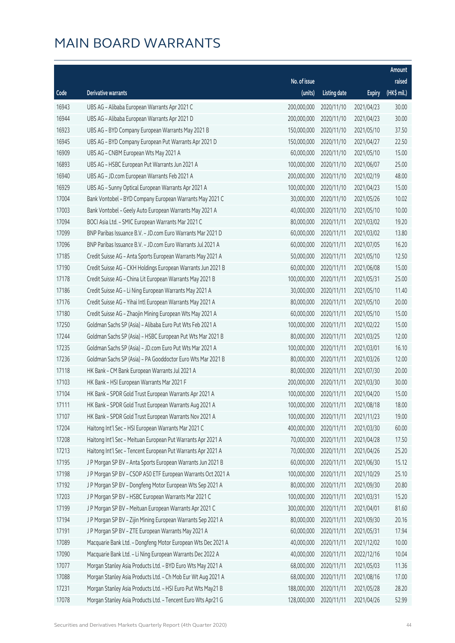|       |                                                              |                        |                     |               | Amount      |
|-------|--------------------------------------------------------------|------------------------|---------------------|---------------|-------------|
|       |                                                              | No. of issue           |                     |               | raised      |
| Code  | Derivative warrants                                          | (units)                | <b>Listing date</b> | <b>Expiry</b> | (HK\$ mil.) |
| 16943 | UBS AG - Alibaba European Warrants Apr 2021 C                | 200,000,000            | 2020/11/10          | 2021/04/23    | 30.00       |
| 16944 | UBS AG - Alibaba European Warrants Apr 2021 D                | 200,000,000            | 2020/11/10          | 2021/04/23    | 30.00       |
| 16923 | UBS AG - BYD Company European Warrants May 2021 B            | 150,000,000            | 2020/11/10          | 2021/05/10    | 37.50       |
| 16945 | UBS AG - BYD Company European Put Warrants Apr 2021 D        | 150,000,000            | 2020/11/10          | 2021/04/27    | 22.50       |
| 16909 | UBS AG - CNBM European Wts May 2021 A                        | 60,000,000             | 2020/11/10          | 2021/05/10    | 15.00       |
| 16893 | UBS AG - HSBC European Put Warrants Jun 2021 A               | 100,000,000            | 2020/11/10          | 2021/06/07    | 25.00       |
| 16940 | UBS AG - JD.com European Warrants Feb 2021 A                 | 200,000,000            | 2020/11/10          | 2021/02/19    | 48.00       |
| 16929 | UBS AG - Sunny Optical European Warrants Apr 2021 A          | 100,000,000            | 2020/11/10          | 2021/04/23    | 15.00       |
| 17004 | Bank Vontobel - BYD Company European Warrants May 2021 C     | 30,000,000             | 2020/11/10          | 2021/05/26    | 10.02       |
| 17003 | Bank Vontobel - Geely Auto European Warrants May 2021 A      | 40,000,000             | 2020/11/10          | 2021/05/10    | 10.00       |
| 17094 | BOCI Asia Ltd. - SMIC European Warrants Mar 2021 C           | 80,000,000             | 2020/11/11          | 2021/03/02    | 19.20       |
| 17099 | BNP Paribas Issuance B.V. - JD.com Euro Warrants Mar 2021 D  | 60,000,000             | 2020/11/11          | 2021/03/02    | 13.80       |
| 17096 | BNP Paribas Issuance B.V. - JD.com Euro Warrants Jul 2021 A  | 60,000,000             | 2020/11/11          | 2021/07/05    | 16.20       |
| 17185 | Credit Suisse AG - Anta Sports European Warrants May 2021 A  | 50,000,000             | 2020/11/11          | 2021/05/10    | 12.50       |
| 17190 | Credit Suisse AG - CKH Holdings European Warrants Jun 2021 B | 60,000,000             | 2020/11/11          | 2021/06/08    | 15.00       |
| 17178 | Credit Suisse AG - China Lit European Warrants May 2021 B    | 100,000,000            | 2020/11/11          | 2021/05/31    | 25.00       |
| 17186 | Credit Suisse AG - Li Ning European Warrants May 2021 A      | 30,000,000             | 2020/11/11          | 2021/05/10    | 11.40       |
| 17176 | Credit Suisse AG - Yihai Intl European Warrants May 2021 A   | 80,000,000             | 2020/11/11          | 2021/05/10    | 20.00       |
| 17180 | Credit Suisse AG - Zhaojin Mining European Wts May 2021 A    | 60,000,000             | 2020/11/11          | 2021/05/10    | 15.00       |
| 17250 | Goldman Sachs SP (Asia) - Alibaba Euro Put Wts Feb 2021 A    | 100,000,000            | 2020/11/11          | 2021/02/22    | 15.00       |
| 17244 | Goldman Sachs SP (Asia) - HSBC European Put Wts Mar 2021 B   | 80,000,000             | 2020/11/11          | 2021/03/25    | 12.00       |
| 17235 | Goldman Sachs SP (Asia) - JD.com Euro Put Wts Mar 2021 A     | 100,000,000            | 2020/11/11          | 2021/03/01    | 16.10       |
| 17236 | Goldman Sachs SP (Asia) - PA Gooddoctor Euro Wts Mar 2021 B  | 80,000,000             | 2020/11/11          | 2021/03/26    | 12.00       |
| 17118 | HK Bank - CM Bank European Warrants Jul 2021 A               | 80,000,000             | 2020/11/11          | 2021/07/30    | 20.00       |
| 17103 | HK Bank - HSI European Warrants Mar 2021 F                   | 200,000,000            | 2020/11/11          | 2021/03/30    | 30.00       |
| 17104 | HK Bank - SPDR Gold Trust European Warrants Apr 2021 A       | 100,000,000            | 2020/11/11          | 2021/04/20    | 15.00       |
| 17111 | HK Bank - SPDR Gold Trust European Warrants Aug 2021 A       | 100,000,000 2020/11/11 |                     | 2021/08/18    | 18.00       |
| 17107 | HK Bank - SPDR Gold Trust European Warrants Nov 2021 A       | 100,000,000            | 2020/11/11          | 2021/11/23    | 19.00       |
| 17204 | Haitong Int'l Sec - HSI European Warrants Mar 2021 C         | 400,000,000            | 2020/11/11          | 2021/03/30    | 60.00       |
| 17208 | Haitong Int'l Sec - Meituan European Put Warrants Apr 2021 A | 70,000,000             | 2020/11/11          | 2021/04/28    | 17.50       |
| 17213 | Haitong Int'l Sec - Tencent European Put Warrants Apr 2021 A | 70,000,000             | 2020/11/11          | 2021/04/26    | 25.20       |
| 17195 | J P Morgan SP BV - Anta Sports European Warrants Jun 2021 B  | 60,000,000             | 2020/11/11          | 2021/06/30    | 15.12       |
| 17198 | J P Morgan SP BV - CSOP A50 ETF European Warrants Oct 2021 A | 100,000,000            | 2020/11/11          | 2021/10/29    | 25.10       |
| 17192 | J P Morgan SP BV - Dongfeng Motor European Wts Sep 2021 A    | 80,000,000             | 2020/11/11          | 2021/09/30    | 20.80       |
| 17203 | J P Morgan SP BV - HSBC European Warrants Mar 2021 C         | 100,000,000            | 2020/11/11          | 2021/03/31    | 15.20       |
| 17199 | J P Morgan SP BV - Meituan European Warrants Apr 2021 C      | 300,000,000            | 2020/11/11          | 2021/04/01    | 81.60       |
| 17194 | J P Morgan SP BV - Zijin Mining European Warrants Sep 2021 A | 80,000,000             | 2020/11/11          | 2021/09/30    | 20.16       |
| 17191 | J P Morgan SP BV - ZTE European Warrants May 2021 A          | 60,000,000             | 2020/11/11          | 2021/05/31    | 17.94       |
| 17089 | Macquarie Bank Ltd. - Dongfeng Motor European Wts Dec 2021 A | 40,000,000             | 2020/11/11          | 2021/12/02    | 10.00       |
| 17090 | Macquarie Bank Ltd. - Li Ning European Warrants Dec 2022 A   | 40,000,000             | 2020/11/11          | 2022/12/16    | 10.04       |
| 17077 | Morgan Stanley Asia Products Ltd. - BYD Euro Wts May 2021 A  | 68,000,000             | 2020/11/11          | 2021/05/03    | 11.36       |
| 17088 | Morgan Stanley Asia Products Ltd. - Ch Mob Eur Wt Aug 2021 A | 68,000,000             | 2020/11/11          | 2021/08/16    | 17.00       |
| 17231 | Morgan Stanley Asia Products Ltd. - HSI Euro Put Wts May21 B | 188,000,000            | 2020/11/11          | 2021/05/28    | 28.20       |
| 17078 | Morgan Stanley Asia Products Ltd. - Tencent Euro Wts Apr21 G | 128,000,000            | 2020/11/11          | 2021/04/26    | 52.99       |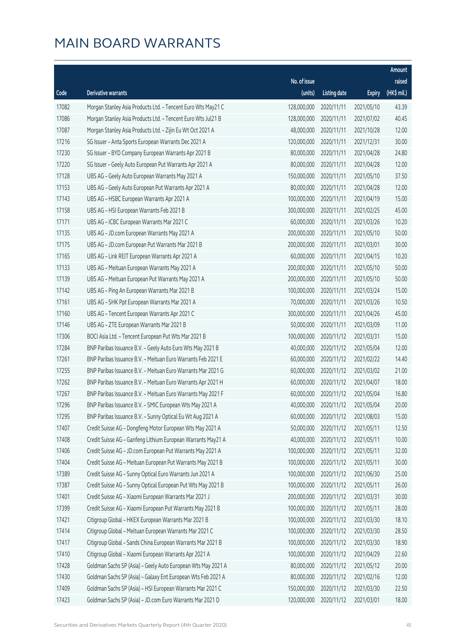|       |                                                              |              |                       |               | Amount      |
|-------|--------------------------------------------------------------|--------------|-----------------------|---------------|-------------|
|       |                                                              | No. of issue |                       |               | raised      |
| Code  | Derivative warrants                                          | (units)      | <b>Listing date</b>   | <b>Expiry</b> | (HK\$ mil.) |
| 17082 | Morgan Stanley Asia Products Ltd. - Tencent Euro Wts May21 C | 128,000,000  | 2020/11/11            | 2021/05/10    | 43.39       |
| 17086 | Morgan Stanley Asia Products Ltd. - Tencent Euro Wts Jul21 B | 128,000,000  | 2020/11/11            | 2021/07/02    | 40.45       |
| 17087 | Morgan Stanley Asia Products Ltd. - Zijin Eu Wt Oct 2021 A   | 48,000,000   | 2020/11/11            | 2021/10/28    | 12.00       |
| 17216 | SG Issuer - Anta Sports European Warrants Dec 2021 A         | 120,000,000  | 2020/11/11            | 2021/12/31    | 30.00       |
| 17230 | SG Issuer - BYD Company European Warrants Apr 2021 B         | 80,000,000   | 2020/11/11            | 2021/04/28    | 24.80       |
| 17220 | SG Issuer - Geely Auto European Put Warrants Apr 2021 A      | 80,000,000   | 2020/11/11            | 2021/04/28    | 12.00       |
| 17128 | UBS AG - Geely Auto European Warrants May 2021 A             | 150,000,000  | 2020/11/11            | 2021/05/10    | 37.50       |
| 17153 | UBS AG - Geely Auto European Put Warrants Apr 2021 A         | 80,000,000   | 2020/11/11            | 2021/04/28    | 12.00       |
| 17143 | UBS AG - HSBC European Warrants Apr 2021 A                   | 100,000,000  | 2020/11/11            | 2021/04/19    | 15.00       |
| 17158 | UBS AG - HSI European Warrants Feb 2021 B                    | 300,000,000  | 2020/11/11            | 2021/02/25    | 45.00       |
| 17171 | UBS AG - ICBC European Warrants Mar 2021 C                   | 60,000,000   | 2020/11/11            | 2021/03/26    | 10.20       |
| 17135 | UBS AG - JD.com European Warrants May 2021 A                 | 200,000,000  | 2020/11/11            | 2021/05/10    | 50.00       |
| 17175 | UBS AG - JD.com European Put Warrants Mar 2021 B             | 200,000,000  | 2020/11/11            | 2021/03/01    | 30.00       |
| 17165 | UBS AG - Link REIT European Warrants Apr 2021 A              | 60,000,000   | 2020/11/11            | 2021/04/15    | 10.20       |
| 17133 | UBS AG - Meituan European Warrants May 2021 A                | 200,000,000  | 2020/11/11            | 2021/05/10    | 50.00       |
| 17139 | UBS AG - Meituan European Put Warrants May 2021 A            | 200,000,000  | 2020/11/11            | 2021/05/10    | 50.00       |
| 17142 | UBS AG - Ping An European Warrants Mar 2021 B                | 100,000,000  | 2020/11/11            | 2021/03/24    | 15.00       |
| 17161 | UBS AG - SHK Ppt European Warrants Mar 2021 A                | 70,000,000   | 2020/11/11            | 2021/03/26    | 10.50       |
| 17160 | UBS AG - Tencent European Warrants Apr 2021 C                | 300,000,000  | 2020/11/11            | 2021/04/26    | 45.00       |
| 17146 | UBS AG - ZTE European Warrants Mar 2021 B                    | 50,000,000   | 2020/11/11            | 2021/03/09    | 11.00       |
| 17306 | BOCI Asia Ltd. - Tencent European Put Wts Mar 2021 B         | 100,000,000  | 2020/11/12            | 2021/03/31    | 15.00       |
| 17284 | BNP Paribas Issuance B.V. - Geely Auto Euro Wts May 2021 B   | 40,000,000   | 2020/11/12            | 2021/05/04    | 12.00       |
| 17261 | BNP Paribas Issuance B.V. - Meituan Euro Warrants Feb 2021 E | 60,000,000   | 2020/11/12            | 2021/02/22    | 14.40       |
| 17255 | BNP Paribas Issuance B.V. - Meituan Euro Warrants Mar 2021 G | 60,000,000   | 2020/11/12            | 2021/03/02    | 21.00       |
| 17262 | BNP Paribas Issuance B.V. - Meituan Euro Warrants Apr 2021 H | 60,000,000   | 2020/11/12            | 2021/04/07    | 18.00       |
| 17267 | BNP Paribas Issuance B.V. - Meituan Euro Warrants May 2021 F | 60,000,000   | 2020/11/12            | 2021/05/04    | 16.80       |
| 17296 | BNP Paribas Issuance B.V. - SMIC European Wts May 2021 A     |              | 40,000,000 2020/11/12 | 2021/05/04    | 20.00       |
| 17295 | BNP Paribas Issuance B.V. - Sunny Optical Eu Wt Aug 2021 A   | 60,000,000   | 2020/11/12            | 2021/08/03    | 15.00       |
| 17407 | Credit Suisse AG - Dongfeng Motor European Wts May 2021 A    | 50,000,000   | 2020/11/12            | 2021/05/11    | 12.50       |
| 17408 | Credit Suisse AG - Ganfeng Lithium European Warrants May21 A | 40,000,000   | 2020/11/12            | 2021/05/11    | 10.00       |
| 17406 | Credit Suisse AG - JD.com European Put Warrants May 2021 A   | 100,000,000  | 2020/11/12            | 2021/05/11    | 32.00       |
| 17404 | Credit Suisse AG - Meituan European Put Warrants May 2021 B  | 100,000,000  | 2020/11/12            | 2021/05/11    | 30.00       |
| 17389 | Credit Suisse AG - Sunny Optical Euro Warrants Jun 2021 A    | 100,000,000  | 2020/11/12            | 2021/06/30    | 25.00       |
| 17387 | Credit Suisse AG - Sunny Optical European Put Wts May 2021 B | 100,000,000  | 2020/11/12            | 2021/05/11    | 26.00       |
| 17401 | Credit Suisse AG - Xiaomi European Warrants Mar 2021 J       | 200,000,000  | 2020/11/12            | 2021/03/31    | 30.00       |
| 17399 | Credit Suisse AG - Xiaomi European Put Warrants May 2021 B   | 100,000,000  | 2020/11/12            | 2021/05/11    | 28.00       |
| 17421 | Citigroup Global - HKEX European Warrants Mar 2021 B         | 100,000,000  | 2020/11/12            | 2021/03/30    | 18.10       |
| 17414 | Citigroup Global - Meituan European Warrants Mar 2021 C      | 100,000,000  | 2020/11/12            | 2021/03/30    | 28.50       |
| 17417 | Citigroup Global - Sands China European Warrants Mar 2021 B  | 100,000,000  | 2020/11/12            | 2021/03/30    | 18.90       |
| 17410 | Citigroup Global - Xiaomi European Warrants Apr 2021 A       | 100,000,000  | 2020/11/12            | 2021/04/29    | 22.60       |
| 17428 | Goldman Sachs SP (Asia) - Geely Auto European Wts May 2021 A | 80,000,000   | 2020/11/12            | 2021/05/12    | 20.00       |
| 17430 | Goldman Sachs SP (Asia) - Galaxy Ent European Wts Feb 2021 A | 80,000,000   | 2020/11/12            | 2021/02/16    | 12.00       |
| 17409 | Goldman Sachs SP (Asia) - HSI European Warrants Mar 2021 C   | 150,000,000  | 2020/11/12            | 2021/03/30    | 22.50       |
| 17423 | Goldman Sachs SP (Asia) - JD.com Euro Warrants Mar 2021 D    | 120,000,000  | 2020/11/12            | 2021/03/01    | 18.00       |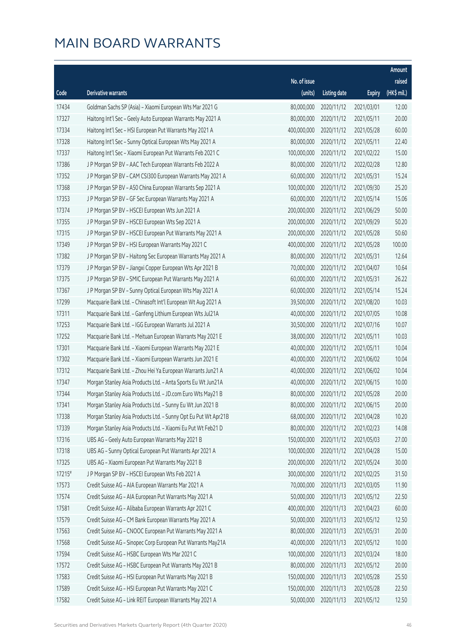|                |                                                                                                                    |                           |                          |                          | Amount         |
|----------------|--------------------------------------------------------------------------------------------------------------------|---------------------------|--------------------------|--------------------------|----------------|
|                |                                                                                                                    | No. of issue              |                          |                          | raised         |
| Code           | <b>Derivative warrants</b>                                                                                         | (units)                   | <b>Listing date</b>      | <b>Expiry</b>            | (HK\$ mil.)    |
| 17434          | Goldman Sachs SP (Asia) - Xiaomi European Wts Mar 2021 G                                                           | 80,000,000                | 2020/11/12               | 2021/03/01               | 12.00          |
| 17327          | Haitong Int'l Sec - Geely Auto European Warrants May 2021 A                                                        | 80,000,000                | 2020/11/12               | 2021/05/11               | 20.00          |
| 17334          | Haitong Int'l Sec - HSI European Put Warrants May 2021 A                                                           | 400,000,000               | 2020/11/12               | 2021/05/28               | 60.00          |
| 17328          | Haitong Int'l Sec - Sunny Optical European Wts May 2021 A                                                          | 80,000,000                | 2020/11/12               | 2021/05/11               | 22.40          |
| 17337          | Haitong Int'l Sec - Xiaomi European Put Warrants Feb 2021 C                                                        | 100,000,000               | 2020/11/12               | 2021/02/22               | 15.00          |
| 17386          | J P Morgan SP BV - AAC Tech European Warrants Feb 2022 A                                                           | 80,000,000                | 2020/11/12               | 2022/02/28               | 12.80          |
| 17352          | J P Morgan SP BV - CAM CSI300 European Warrants May 2021 A                                                         | 60,000,000                | 2020/11/12               | 2021/05/31               | 15.24          |
| 17368          | J P Morgan SP BV - A50 China European Warrants Sep 2021 A                                                          | 100,000,000               | 2020/11/12               | 2021/09/30               | 25.20          |
| 17353          | J P Morgan SP BV - GF Sec European Warrants May 2021 A                                                             | 60,000,000                | 2020/11/12               | 2021/05/14               | 15.06          |
| 17374          | J P Morgan SP BV - HSCEI European Wts Jun 2021 A                                                                   | 200,000,000               | 2020/11/12               | 2021/06/29               | 50.00          |
| 17355          | J P Morgan SP BV - HSCEI European Wts Sep 2021 A                                                                   | 200,000,000               | 2020/11/12               | 2021/09/29               | 50.20          |
| 17315          | J P Morgan SP BV - HSCEI European Put Warrants May 2021 A                                                          | 200,000,000               | 2020/11/12               | 2021/05/28               | 50.60          |
| 17349          | J P Morgan SP BV - HSI European Warrants May 2021 C                                                                | 400,000,000               | 2020/11/12               | 2021/05/28               | 100.00         |
| 17382          | J P Morgan SP BV - Haitong Sec European Warrants May 2021 A                                                        | 80,000,000                | 2020/11/12               | 2021/05/31               | 12.64          |
| 17379          | J P Morgan SP BV - Jiangxi Copper European Wts Apr 2021 B                                                          | 70,000,000                | 2020/11/12               | 2021/04/07               | 10.64          |
| 17375          | J P Morgan SP BV - SMIC European Put Warrants May 2021 A                                                           | 60,000,000                | 2020/11/12               | 2021/05/31               | 26.22          |
| 17367          | J P Morgan SP BV - Sunny Optical European Wts May 2021 A                                                           | 60,000,000                | 2020/11/12               | 2021/05/14               | 15.24          |
| 17299          | Macquarie Bank Ltd. - Chinasoft Int'l European Wt Aug 2021 A                                                       | 39,500,000                | 2020/11/12               | 2021/08/20               | 10.03          |
| 17311          | Macquarie Bank Ltd. - Ganfeng Lithium European Wts Jul21A                                                          | 40,000,000                | 2020/11/12               | 2021/07/05               | 10.08          |
| 17253          | Macquarie Bank Ltd. - IGG European Warrants Jul 2021 A                                                             | 30,500,000                | 2020/11/12               | 2021/07/16               | 10.07          |
| 17252          | Macquarie Bank Ltd. - Meituan European Warrants May 2021 E                                                         | 38,000,000                | 2020/11/12               | 2021/05/11               | 10.03          |
| 17301          | Macquarie Bank Ltd. - Xiaomi European Warrants May 2021 E                                                          | 40,000,000                | 2020/11/12               | 2021/05/11               | 10.04          |
| 17302          | Macquarie Bank Ltd. - Xiaomi European Warrants Jun 2021 E                                                          | 40,000,000                | 2020/11/12               | 2021/06/02               | 10.04          |
| 17312          | Macquarie Bank Ltd. - Zhou Hei Ya European Warrants Jun21 A                                                        | 40,000,000                | 2020/11/12               | 2021/06/02               | 10.04          |
| 17347          | Morgan Stanley Asia Products Ltd. - Anta Sports Eu Wt Jun21A                                                       | 40,000,000                | 2020/11/12               | 2021/06/15               | 10.00          |
| 17344          | Morgan Stanley Asia Products Ltd. - JD.com Euro Wts May21 B                                                        | 80,000,000                | 2020/11/12               | 2021/05/28               | 20.00          |
| 17341          | Morgan Stanley Asia Products Ltd. - Sunny Eu Wt Jun 2021 B                                                         |                           | 80,000,000 2020/11/12    | 2021/06/15               | 20.00          |
| 17338          | Morgan Stanley Asia Products Ltd. - Sunny Opt Eu Put Wt Apr21B                                                     | 68,000,000                | 2020/11/12               | 2021/04/28               | 10.20          |
| 17339          | Morgan Stanley Asia Products Ltd. - Xiaomi Eu Put Wt Feb21 D                                                       | 80,000,000                | 2020/11/12               | 2021/02/23               | 14.08          |
| 17316          | UBS AG - Geely Auto European Warrants May 2021 B                                                                   | 150,000,000               | 2020/11/12               | 2021/05/03               | 27.00          |
| 17318          | UBS AG - Sunny Optical European Put Warrants Apr 2021 A                                                            | 100,000,000               | 2020/11/12               | 2021/04/28               | 15.00          |
| 17325          | UBS AG - Xiaomi European Put Warrants May 2021 B                                                                   | 200,000,000               | 2020/11/12               | 2021/05/24               | 30.00          |
| 17215#         | J P Morgan SP BV - HSCEI European Wts Feb 2021 A                                                                   | 300,000,000               | 2020/11/12               | 2021/02/25               | 31.50          |
| 17573          | Credit Suisse AG - AIA European Warrants Mar 2021 A                                                                | 70,000,000                | 2020/11/13               | 2021/03/05               | 11.90          |
| 17574          | Credit Suisse AG - AIA European Put Warrants May 2021 A                                                            | 50,000,000<br>400,000,000 | 2020/11/13               | 2021/05/12               | 22.50          |
| 17581<br>17579 | Credit Suisse AG - Alibaba European Warrants Apr 2021 C<br>Credit Suisse AG - CM Bank European Warrants May 2021 A | 50,000,000                | 2020/11/13<br>2020/11/13 | 2021/04/23<br>2021/05/12 | 60.00<br>12.50 |
| 17563          | Credit Suisse AG - CNOOC European Put Warrants May 2021 A                                                          | 80,000,000                | 2020/11/13               | 2021/05/31               | 20.00          |
| 17568          | Credit Suisse AG - Sinopec Corp European Put Warrants May21A                                                       | 40,000,000                | 2020/11/13               | 2021/05/12               | 10.00          |
| 17594          | Credit Suisse AG - HSBC European Wts Mar 2021 C                                                                    | 100,000,000               | 2020/11/13               | 2021/03/24               | 18.00          |
| 17572          | Credit Suisse AG - HSBC European Put Warrants May 2021 B                                                           | 80,000,000                | 2020/11/13               | 2021/05/12               | 20.00          |
| 17583          | Credit Suisse AG - HSI European Put Warrants May 2021 B                                                            | 150,000,000               | 2020/11/13               | 2021/05/28               | 25.50          |
| 17589          | Credit Suisse AG - HSI European Put Warrants May 2021 C                                                            | 150,000,000               | 2020/11/13               | 2021/05/28               | 22.50          |
| 17582          | Credit Suisse AG - Link REIT European Warrants May 2021 A                                                          | 50,000,000                | 2020/11/13               | 2021/05/12               | 12.50          |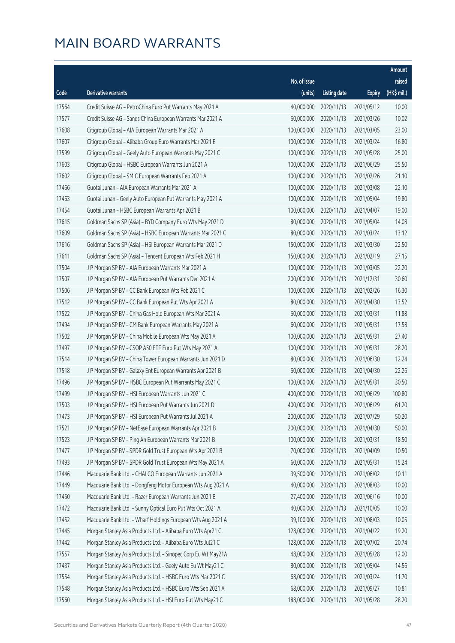|       |                                                               |              |                        |               | Amount      |
|-------|---------------------------------------------------------------|--------------|------------------------|---------------|-------------|
|       |                                                               | No. of issue |                        |               | raised      |
| Code  | <b>Derivative warrants</b>                                    | (units)      | <b>Listing date</b>    | <b>Expiry</b> | (HK\$ mil.) |
| 17564 | Credit Suisse AG - PetroChina Euro Put Warrants May 2021 A    | 40,000,000   | 2020/11/13             | 2021/05/12    | 10.00       |
| 17577 | Credit Suisse AG - Sands China European Warrants Mar 2021 A   | 60,000,000   | 2020/11/13             | 2021/03/26    | 10.02       |
| 17608 | Citigroup Global - AIA European Warrants Mar 2021 A           | 100,000,000  | 2020/11/13             | 2021/03/05    | 23.00       |
| 17607 | Citigroup Global - Alibaba Group Euro Warrants Mar 2021 E     | 100,000,000  | 2020/11/13             | 2021/03/24    | 16.80       |
| 17599 | Citigroup Global - Geely Auto European Warrants May 2021 C    | 100,000,000  | 2020/11/13             | 2021/05/28    | 25.00       |
| 17603 | Citigroup Global - HSBC European Warrants Jun 2021 A          | 100,000,000  | 2020/11/13             | 2021/06/29    | 25.50       |
| 17602 | Citigroup Global - SMIC European Warrants Feb 2021 A          | 100,000,000  | 2020/11/13             | 2021/02/26    | 21.10       |
| 17466 | Guotai Junan - AIA European Warrants Mar 2021 A               | 100,000,000  | 2020/11/13             | 2021/03/08    | 22.10       |
| 17463 | Guotai Junan - Geely Auto European Put Warrants May 2021 A    | 100,000,000  | 2020/11/13             | 2021/05/04    | 19.80       |
| 17454 | Guotai Junan - HSBC European Warrants Apr 2021 B              | 100,000,000  | 2020/11/13             | 2021/04/07    | 19.00       |
| 17615 | Goldman Sachs SP (Asia) - BYD Company Euro Wts May 2021 D     | 80,000,000   | 2020/11/13             | 2021/05/04    | 14.08       |
| 17609 | Goldman Sachs SP (Asia) - HSBC European Warrants Mar 2021 C   | 80,000,000   | 2020/11/13             | 2021/03/24    | 13.12       |
| 17616 | Goldman Sachs SP (Asia) - HSI European Warrants Mar 2021 D    | 150,000,000  | 2020/11/13             | 2021/03/30    | 22.50       |
| 17611 | Goldman Sachs SP (Asia) - Tencent European Wts Feb 2021 H     | 150,000,000  | 2020/11/13             | 2021/02/19    | 27.15       |
| 17504 | J P Morgan SP BV - AIA European Warrants Mar 2021 A           | 100,000,000  | 2020/11/13             | 2021/03/05    | 22.20       |
| 17507 | J P Morgan SP BV - AIA European Put Warrants Dec 2021 A       | 200,000,000  | 2020/11/13             | 2021/12/31    | 30.60       |
| 17506 | J P Morgan SP BV - CC Bank European Wts Feb 2021 C            | 100,000,000  | 2020/11/13             | 2021/02/26    | 16.30       |
| 17512 | J P Morgan SP BV - CC Bank European Put Wts Apr 2021 A        | 80,000,000   | 2020/11/13             | 2021/04/30    | 13.52       |
| 17522 | J P Morgan SP BV - China Gas Hold European Wts Mar 2021 A     | 60,000,000   | 2020/11/13             | 2021/03/31    | 11.88       |
| 17494 | J P Morgan SP BV - CM Bank European Warrants May 2021 A       | 60,000,000   | 2020/11/13             | 2021/05/31    | 17.58       |
| 17502 | J P Morgan SP BV - China Mobile European Wts May 2021 A       | 100,000,000  | 2020/11/13             | 2021/05/31    | 27.40       |
| 17497 | J P Morgan SP BV - CSOP A50 ETF Euro Put Wts May 2021 A       | 100,000,000  | 2020/11/13             | 2021/05/31    | 28.20       |
| 17514 | J P Morgan SP BV - China Tower European Warrants Jun 2021 D   | 80,000,000   | 2020/11/13             | 2021/06/30    | 12.24       |
| 17518 | J P Morgan SP BV - Galaxy Ent European Warrants Apr 2021 B    | 60,000,000   | 2020/11/13             | 2021/04/30    | 22.26       |
| 17496 | J P Morgan SP BV - HSBC European Put Warrants May 2021 C      | 100,000,000  | 2020/11/13             | 2021/05/31    | 30.50       |
| 17499 | J P Morgan SP BV - HSI European Warrants Jun 2021 C           | 400,000,000  | 2020/11/13             | 2021/06/29    | 100.80      |
| 17503 | J P Morgan SP BV - HSI European Put Warrants Jun 2021 D       |              | 400,000,000 2020/11/13 | 2021/06/29    | 61.20       |
| 17473 | J P Morgan SP BV - HSI European Put Warrants Jul 2021 A       | 200,000,000  | 2020/11/13             | 2021/07/29    | 50.20       |
| 17521 | J P Morgan SP BV - NetEase European Warrants Apr 2021 B       | 200,000,000  | 2020/11/13             | 2021/04/30    | 50.00       |
| 17523 | J P Morgan SP BV - Ping An European Warrants Mar 2021 B       | 100,000,000  | 2020/11/13             | 2021/03/31    | 18.50       |
| 17477 | J P Morgan SP BV - SPDR Gold Trust European Wts Apr 2021 B    | 70,000,000   | 2020/11/13             | 2021/04/09    | 10.50       |
| 17493 | J P Morgan SP BV - SPDR Gold Trust European Wts May 2021 A    | 60,000,000   | 2020/11/13             | 2021/05/31    | 15.24       |
| 17446 | Macquarie Bank Ltd. - CHALCO European Warrants Jun 2021 A     | 39,500,000   | 2020/11/13             | 2021/06/02    | 10.11       |
| 17449 | Macquarie Bank Ltd. - Dongfeng Motor European Wts Aug 2021 A  | 40,000,000   | 2020/11/13             | 2021/08/03    | 10.00       |
| 17450 | Macquarie Bank Ltd. - Razer European Warrants Jun 2021 B      | 27,400,000   | 2020/11/13             | 2021/06/16    | 10.00       |
| 17472 | Macquarie Bank Ltd. - Sunny Optical Euro Put Wts Oct 2021 A   | 40,000,000   | 2020/11/13             | 2021/10/05    | 10.00       |
| 17452 | Macquarie Bank Ltd. - Wharf Holdings European Wts Aug 2021 A  | 39,100,000   | 2020/11/13             | 2021/08/03    | 10.05       |
| 17445 | Morgan Stanley Asia Products Ltd. - Alibaba Euro Wts Apr21 C  | 128,000,000  | 2020/11/13             | 2021/04/22    | 19.20       |
| 17442 | Morgan Stanley Asia Products Ltd. - Alibaba Euro Wts Jul21 C  | 128,000,000  | 2020/11/13             | 2021/07/02    | 20.74       |
| 17557 | Morgan Stanley Asia Products Ltd. - Sinopec Corp Eu Wt May21A | 48,000,000   | 2020/11/13             | 2021/05/28    | 12.00       |
| 17437 | Morgan Stanley Asia Products Ltd. - Geely Auto Eu Wt May21 C  | 80,000,000   | 2020/11/13             | 2021/05/04    | 14.56       |
| 17554 | Morgan Stanley Asia Products Ltd. - HSBC Euro Wts Mar 2021 C  | 68,000,000   | 2020/11/13             | 2021/03/24    | 11.70       |
| 17548 | Morgan Stanley Asia Products Ltd. - HSBC Euro Wts Sep 2021 A  | 68,000,000   | 2020/11/13             | 2021/09/27    | 10.81       |
| 17560 | Morgan Stanley Asia Products Ltd. - HSI Euro Put Wts May21 C  | 188,000,000  | 2020/11/13             | 2021/05/28    | 28.20       |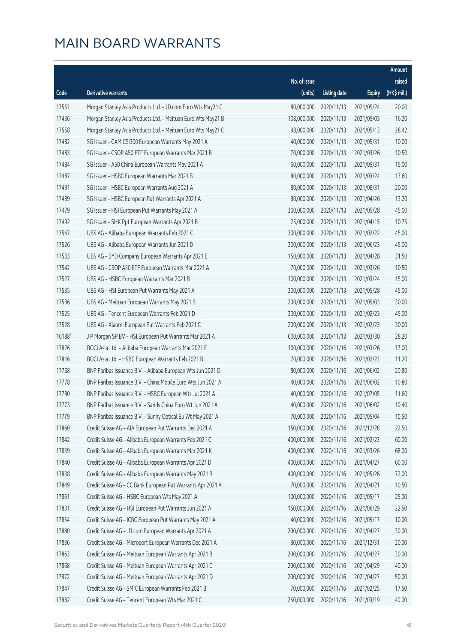|        |                                                              |              |                       |               | Amount      |
|--------|--------------------------------------------------------------|--------------|-----------------------|---------------|-------------|
|        |                                                              | No. of issue |                       |               | raised      |
| Code   | Derivative warrants                                          | (units)      | <b>Listing date</b>   | <b>Expiry</b> | (HK\$ mil.) |
| 17551  | Morgan Stanley Asia Products Ltd. - JD.com Euro Wts May21 C  | 80,000,000   | 2020/11/13            | 2021/05/24    | 20.00       |
| 17436  | Morgan Stanley Asia Products Ltd. - Meituan Euro Wts May21 B | 108,000,000  | 2020/11/13            | 2021/05/03    | 16.20       |
| 17558  | Morgan Stanley Asia Products Ltd. - Meituan Euro Wts May21 C | 98,000,000   | 2020/11/13            | 2021/05/13    | 28.42       |
| 17482  | SG Issuer - CAM CSI300 European Warrants May 2021 A          | 40,000,000   | 2020/11/13            | 2021/05/31    | 10.00       |
| 17483  | SG Issuer - CSOP A50 ETF European Warrants Mar 2021 B        | 70,000,000   | 2020/11/13            | 2021/03/26    | 10.50       |
| 17484  | SG Issuer - A50 China European Warrants May 2021 A           | 60,000,000   | 2020/11/13            | 2021/05/31    | 15.00       |
| 17487  | SG Issuer - HSBC European Warrants Mar 2021 B                | 80,000,000   | 2020/11/13            | 2021/03/24    | 13.60       |
| 17491  | SG Issuer - HSBC European Warrants Aug 2021 A                | 80,000,000   | 2020/11/13            | 2021/08/31    | 20.00       |
| 17489  | SG Issuer - HSBC European Put Warrants Apr 2021 A            | 80,000,000   | 2020/11/13            | 2021/04/26    | 13.20       |
| 17479  | SG Issuer - HSI European Put Warrants May 2021 A             | 300,000,000  | 2020/11/13            | 2021/05/28    | 45.00       |
| 17492  | SG Issuer - SHK Ppt European Warrants Apr 2021 B             | 25,000,000   | 2020/11/13            | 2021/04/15    | 10.75       |
| 17547  | UBS AG - Alibaba European Warrants Feb 2021 C                | 300,000,000  | 2020/11/13            | 2021/02/22    | 45.00       |
| 17526  | UBS AG - Alibaba European Warrants Jun 2021 D                | 300,000,000  | 2020/11/13            | 2021/06/23    | 45.00       |
| 17533  | UBS AG - BYD Company European Warrants Apr 2021 E            | 150,000,000  | 2020/11/13            | 2021/04/28    | 31.50       |
| 17542  | UBS AG - CSOP A50 ETF European Warrants Mar 2021 A           | 70,000,000   | 2020/11/13            | 2021/03/26    | 10.50       |
| 17527  | UBS AG - HSBC European Warrants Mar 2021 B                   | 100,000,000  | 2020/11/13            | 2021/03/24    | 15.00       |
| 17535  | UBS AG - HSI European Put Warrants May 2021 A                | 300,000,000  | 2020/11/13            | 2021/05/28    | 45.00       |
| 17536  | UBS AG - Meituan European Warrants May 2021 B                | 200,000,000  | 2020/11/13            | 2021/05/03    | 30.00       |
| 17525  | UBS AG - Tencent European Warrants Feb 2021 D                | 300,000,000  | 2020/11/13            | 2021/02/23    | 45.00       |
| 17528  | UBS AG - Xiaomi European Put Warrants Feb 2021 C             | 200,000,000  | 2020/11/13            | 2021/02/23    | 30.00       |
| 16188# | J P Morgan SP BV - HSI European Put Warrants Mar 2021 A      | 600,000,000  | 2020/11/13            | 2021/03/30    | 28.20       |
| 17826  | BOCI Asia Ltd. - Alibaba European Warrants Mar 2021 E        | 100,000,000  | 2020/11/16            | 2021/03/26    | 17.00       |
| 17816  | BOCI Asia Ltd. - HSBC European Warrants Feb 2021 B           | 70,000,000   | 2020/11/16            | 2021/02/23    | 11.20       |
| 17768  | BNP Paribas Issuance B.V. - Alibaba European Wts Jun 2021 D  | 80,000,000   | 2020/11/16            | 2021/06/02    | 20.80       |
| 17778  | BNP Paribas Issuance B.V. - China Mobile Euro Wts Jun 2021 A | 40,000,000   | 2020/11/16            | 2021/06/02    | 10.80       |
| 17780  | BNP Paribas Issuance B.V. - HSBC European Wts Jul 2021 A     | 40,000,000   | 2020/11/16            | 2021/07/05    | 11.60       |
| 17773  | BNP Paribas Issuance B.V. - Sands China Euro Wt Jun 2021 A   |              | 40,000,000 2020/11/16 | 2021/06/02    | 10.40       |
| 17779  | BNP Paribas Issuance B.V. - Sunny Optical Eu Wt May 2021 A   | 70,000,000   | 2020/11/16            | 2021/05/04    | 10.50       |
| 17860  | Credit Suisse AG - AIA European Put Warrants Dec 2021 A      | 150,000,000  | 2020/11/16            | 2021/12/28    | 22.50       |
| 17842  | Credit Suisse AG - Alibaba European Warrants Feb 2021 C      | 400,000,000  | 2020/11/16            | 2021/02/23    | 60.00       |
| 17839  | Credit Suisse AG - Alibaba European Warrants Mar 2021 K      | 400,000,000  | 2020/11/16            | 2021/03/26    | 68.00       |
| 17840  | Credit Suisse AG - Alibaba European Warrants Apr 2021 D      | 400,000,000  | 2020/11/16            | 2021/04/27    | 60.00       |
| 17838  | Credit Suisse AG - Alibaba European Warrants May 2021 B      | 400,000,000  | 2020/11/16            | 2021/05/26    | 72.00       |
| 17849  | Credit Suisse AG - CC Bank European Put Warrants Apr 2021 A  | 70,000,000   | 2020/11/16            | 2021/04/21    | 10.50       |
| 17861  | Credit Suisse AG - HSBC European Wts May 2021 A              | 100,000,000  | 2020/11/16            | 2021/05/17    | 25.00       |
| 17831  | Credit Suisse AG - HSI European Put Warrants Jun 2021 A      | 150,000,000  | 2020/11/16            | 2021/06/29    | 22.50       |
| 17854  | Credit Suisse AG - ICBC European Put Warrants May 2021 A     | 40,000,000   | 2020/11/16            | 2021/05/17    | 10.00       |
| 17880  | Credit Suisse AG - JD.com European Warrants Apr 2021 A       | 200,000,000  | 2020/11/16            | 2021/04/27    | 30.00       |
| 17836  | Credit Suisse AG - Microport European Warrants Dec 2021 A    | 80,000,000   | 2020/11/16            | 2021/12/31    | 20.00       |
| 17863  | Credit Suisse AG - Meituan European Warrants Apr 2021 B      | 200,000,000  | 2020/11/16            | 2021/04/27    | 30.00       |
| 17868  | Credit Suisse AG - Meituan European Warrants Apr 2021 C      | 200,000,000  | 2020/11/16            | 2021/04/29    | 40.00       |
| 17872  | Credit Suisse AG - Meituan European Warrants Apr 2021 D      | 200,000,000  | 2020/11/16            | 2021/04/27    | 50.00       |
| 17847  | Credit Suisse AG - SMIC European Warrants Feb 2021 B         | 70,000,000   | 2020/11/16            | 2021/02/25    | 17.50       |
| 17882  | Credit Suisse AG - Tencent European Wts Mar 2021 C           | 250,000,000  | 2020/11/16            | 2021/03/19    | 40.00       |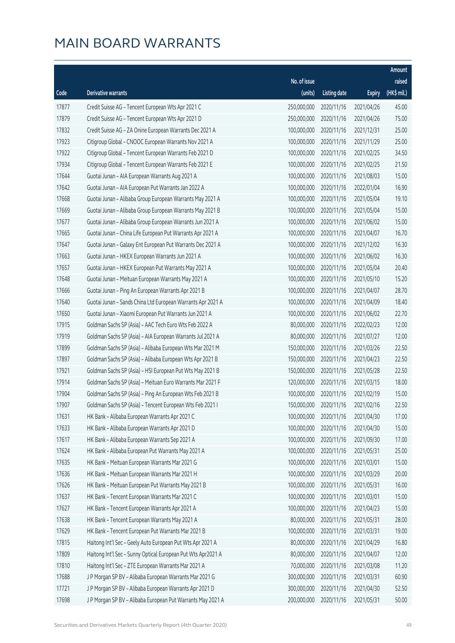|       |                                                              |              |                        |               | Amount      |
|-------|--------------------------------------------------------------|--------------|------------------------|---------------|-------------|
|       |                                                              | No. of issue |                        |               | raised      |
| Code  | <b>Derivative warrants</b>                                   | (units)      | <b>Listing date</b>    | <b>Expiry</b> | (HK\$ mil.) |
| 17877 | Credit Suisse AG - Tencent European Wts Apr 2021 C           | 250,000,000  | 2020/11/16             | 2021/04/26    | 45.00       |
| 17879 | Credit Suisse AG - Tencent European Wts Apr 2021 D           | 250,000,000  | 2020/11/16             | 2021/04/26    | 75.00       |
| 17832 | Credit Suisse AG - ZA Onine European Warrants Dec 2021 A     | 100,000,000  | 2020/11/16             | 2021/12/31    | 25.00       |
| 17923 | Citigroup Global - CNOOC European Warrants Nov 2021 A        | 100,000,000  | 2020/11/16             | 2021/11/29    | 25.00       |
| 17922 | Citigroup Global - Tencent European Warrants Feb 2021 D      | 100,000,000  | 2020/11/16             | 2021/02/25    | 34.50       |
| 17934 | Citigroup Global - Tencent European Warrants Feb 2021 E      | 100,000,000  | 2020/11/16             | 2021/02/25    | 21.50       |
| 17644 | Guotai Junan - AIA European Warrants Aug 2021 A              | 100,000,000  | 2020/11/16             | 2021/08/03    | 15.00       |
| 17642 | Guotai Junan - AIA European Put Warrants Jan 2022 A          | 100,000,000  | 2020/11/16             | 2022/01/04    | 16.90       |
| 17668 | Guotai Junan - Alibaba Group European Warrants May 2021 A    | 100,000,000  | 2020/11/16             | 2021/05/04    | 19.10       |
| 17669 | Guotai Junan - Alibaba Group European Warrants May 2021 B    | 100,000,000  | 2020/11/16             | 2021/05/04    | 15.00       |
| 17677 | Guotai Junan - Alibaba Group European Warrants Jun 2021 A    | 100,000,000  | 2020/11/16             | 2021/06/02    | 15.00       |
| 17665 | Guotai Junan - China Life European Put Warrants Apr 2021 A   | 100,000,000  | 2020/11/16             | 2021/04/07    | 16.70       |
| 17647 | Guotai Junan - Galaxy Ent European Put Warrants Dec 2021 A   | 100,000,000  | 2020/11/16             | 2021/12/02    | 16.30       |
| 17663 | Guotai Junan - HKEX European Warrants Jun 2021 A             | 100,000,000  | 2020/11/16             | 2021/06/02    | 16.30       |
| 17657 | Guotai Junan - HKEX European Put Warrants May 2021 A         | 100,000,000  | 2020/11/16             | 2021/05/04    | 20.40       |
| 17648 | Guotai Junan - Meituan European Warrants May 2021 A          | 100,000,000  | 2020/11/16             | 2021/05/10    | 15.20       |
| 17666 | Guotai Junan - Ping An European Warrants Apr 2021 B          | 100,000,000  | 2020/11/16             | 2021/04/07    | 28.70       |
| 17640 | Guotai Junan - Sands China Ltd European Warrants Apr 2021 A  | 100,000,000  | 2020/11/16             | 2021/04/09    | 18.40       |
| 17650 | Guotai Junan - Xiaomi European Put Warrants Jun 2021 A       | 100,000,000  | 2020/11/16             | 2021/06/02    | 22.70       |
| 17915 | Goldman Sachs SP (Asia) - AAC Tech Euro Wts Feb 2022 A       | 80,000,000   | 2020/11/16             | 2022/02/23    | 12.00       |
| 17919 | Goldman Sachs SP (Asia) - AIA European Warrants Jul 2021 A   | 80,000,000   | 2020/11/16             | 2021/07/27    | 12.00       |
| 17899 | Goldman Sachs SP (Asia) - Alibaba European Wts Mar 2021 M    | 150,000,000  | 2020/11/16             | 2021/03/26    | 22.50       |
| 17897 | Goldman Sachs SP (Asia) - Alibaba European Wts Apr 2021 B    | 150,000,000  | 2020/11/16             | 2021/04/23    | 22.50       |
| 17921 | Goldman Sachs SP (Asia) - HSI European Put Wts May 2021 B    | 150,000,000  | 2020/11/16             | 2021/05/28    | 22.50       |
| 17914 | Goldman Sachs SP (Asia) - Meituan Euro Warrants Mar 2021 F   | 120,000,000  | 2020/11/16             | 2021/03/15    | 18.00       |
| 17904 | Goldman Sachs SP (Asia) - Ping An European Wts Feb 2021 B    | 100,000,000  | 2020/11/16             | 2021/02/19    | 15.00       |
| 17907 | Goldman Sachs SP (Asia) - Tencent European Wts Feb 2021 I    |              | 150,000,000 2020/11/16 | 2021/02/16    | 22.50       |
| 17631 | HK Bank - Alibaba European Warrants Apr 2021 C               | 100,000,000  | 2020/11/16             | 2021/04/30    | 17.00       |
| 17633 | HK Bank - Alibaba European Warrants Apr 2021 D               | 100,000,000  | 2020/11/16             | 2021/04/30    | 15.00       |
| 17617 | HK Bank - Alibaba European Warrants Sep 2021 A               | 100,000,000  | 2020/11/16             | 2021/09/30    | 17.00       |
| 17624 | HK Bank - Alibaba European Put Warrants May 2021 A           | 100,000,000  | 2020/11/16             | 2021/05/31    | 25.00       |
| 17635 | HK Bank - Meituan European Warrants Mar 2021 G               | 100,000,000  | 2020/11/16             | 2021/03/01    | 15.00       |
| 17636 | HK Bank - Meituan European Warrants Mar 2021 H               | 100,000,000  | 2020/11/16             | 2021/03/29    | 20.00       |
| 17626 | HK Bank - Meituan European Put Warrants May 2021 B           | 100,000,000  | 2020/11/16             | 2021/05/31    | 16.00       |
| 17637 | HK Bank - Tencent European Warrants Mar 2021 C               | 100,000,000  | 2020/11/16             | 2021/03/01    | 15.00       |
| 17627 | HK Bank - Tencent European Warrants Apr 2021 A               | 100,000,000  | 2020/11/16             | 2021/04/23    | 15.00       |
| 17638 | HK Bank - Tencent European Warrants May 2021 A               | 80,000,000   | 2020/11/16             | 2021/05/31    | 28.00       |
| 17629 | HK Bank - Tencent European Put Warrants Mar 2021 B           | 100,000,000  | 2020/11/16             | 2021/03/31    | 19.00       |
| 17815 | Haitong Int'l Sec - Geely Auto European Put Wts Apr 2021 A   | 80,000,000   | 2020/11/16             | 2021/04/29    | 16.80       |
| 17809 | Haitong Int'l Sec - Sunny Optical European Put Wts Apr2021 A | 80,000,000   | 2020/11/16             | 2021/04/07    | 12.00       |
| 17810 | Haitong Int'l Sec - ZTE European Warrants Mar 2021 A         | 70,000,000   | 2020/11/16             | 2021/03/08    | 11.20       |
| 17688 | J P Morgan SP BV - Alibaba European Warrants Mar 2021 G      | 300,000,000  | 2020/11/16             | 2021/03/31    | 60.90       |
| 17721 | J P Morgan SP BV - Alibaba European Warrants Apr 2021 D      | 300,000,000  | 2020/11/16             | 2021/04/30    | 52.50       |
| 17698 | J P Morgan SP BV - Alibaba European Put Warrants May 2021 A  | 200,000,000  | 2020/11/16             | 2021/05/31    | 50.00       |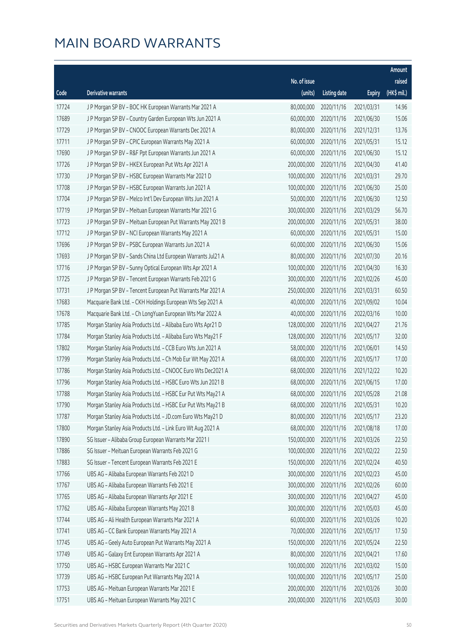|       |                                                              |              |                       |               | Amount      |
|-------|--------------------------------------------------------------|--------------|-----------------------|---------------|-------------|
|       |                                                              | No. of issue |                       |               | raised      |
| Code  | Derivative warrants                                          | (units)      | <b>Listing date</b>   | <b>Expiry</b> | (HK\$ mil.) |
| 17724 | J P Morgan SP BV - BOC HK European Warrants Mar 2021 A       | 80,000,000   | 2020/11/16            | 2021/03/31    | 14.96       |
| 17689 | J P Morgan SP BV - Country Garden European Wts Jun 2021 A    | 60,000,000   | 2020/11/16            | 2021/06/30    | 15.06       |
| 17729 | J P Morgan SP BV - CNOOC European Warrants Dec 2021 A        | 80,000,000   | 2020/11/16            | 2021/12/31    | 13.76       |
| 17711 | J P Morgan SP BV - CPIC European Warrants May 2021 A         | 60,000,000   | 2020/11/16            | 2021/05/31    | 15.12       |
| 17690 | J P Morgan SP BV - R&F Ppt European Warrants Jun 2021 A      | 60,000,000   | 2020/11/16            | 2021/06/30    | 15.12       |
| 17726 | J P Morgan SP BV - HKEX European Put Wts Apr 2021 A          | 200,000,000  | 2020/11/16            | 2021/04/30    | 41.40       |
| 17730 | J P Morgan SP BV - HSBC European Warrants Mar 2021 D         | 100,000,000  | 2020/11/16            | 2021/03/31    | 29.70       |
| 17708 | J P Morgan SP BV - HSBC European Warrants Jun 2021 A         | 100,000,000  | 2020/11/16            | 2021/06/30    | 25.00       |
| 17704 | J P Morgan SP BV - Melco Int'l Dev European Wts Jun 2021 A   | 50,000,000   | 2020/11/16            | 2021/06/30    | 12.50       |
| 17719 | J P Morgan SP BV - Meituan European Warrants Mar 2021 G      | 300,000,000  | 2020/11/16            | 2021/03/29    | 56.70       |
| 17723 | J P Morgan SP BV - Meituan European Put Warrants May 2021 B  | 200,000,000  | 2020/11/16            | 2021/05/31    | 38.00       |
| 17712 | J P Morgan SP BV - NCI European Warrants May 2021 A          | 60,000,000   | 2020/11/16            | 2021/05/31    | 15.00       |
| 17696 | J P Morgan SP BV - PSBC European Warrants Jun 2021 A         | 60,000,000   | 2020/11/16            | 2021/06/30    | 15.06       |
| 17693 | J P Morgan SP BV - Sands China Ltd European Warrants Jul21 A | 80,000,000   | 2020/11/16            | 2021/07/30    | 20.16       |
| 17716 | J P Morgan SP BV - Sunny Optical European Wts Apr 2021 A     | 100,000,000  | 2020/11/16            | 2021/04/30    | 16.30       |
| 17725 | J P Morgan SP BV - Tencent European Warrants Feb 2021 G      | 300,000,000  | 2020/11/16            | 2021/02/26    | 45.00       |
| 17731 | J P Morgan SP BV - Tencent European Put Warrants Mar 2021 A  | 250,000,000  | 2020/11/16            | 2021/03/31    | 60.50       |
| 17683 | Macquarie Bank Ltd. - CKH Holdings European Wts Sep 2021 A   | 40,000,000   | 2020/11/16            | 2021/09/02    | 10.04       |
| 17678 | Macquarie Bank Ltd. - Ch LongYuan European Wts Mar 2022 A    | 40,000,000   | 2020/11/16            | 2022/03/16    | 10.00       |
| 17785 | Morgan Stanley Asia Products Ltd. - Alibaba Euro Wts Apr21 D | 128,000,000  | 2020/11/16            | 2021/04/27    | 21.76       |
| 17784 | Morgan Stanley Asia Products Ltd. - Alibaba Euro Wts May21 F | 128,000,000  | 2020/11/16            | 2021/05/17    | 32.00       |
| 17802 | Morgan Stanley Asia Products Ltd. - CCB Euro Wts Jun 2021 A  | 58,000,000   | 2020/11/16            | 2021/06/01    | 14.50       |
| 17799 | Morgan Stanley Asia Products Ltd. - Ch Mob Eur Wt May 2021 A | 68,000,000   | 2020/11/16            | 2021/05/17    | 17.00       |
| 17786 | Morgan Stanley Asia Products Ltd. - CNOOC Euro Wts Dec2021 A | 68,000,000   | 2020/11/16            | 2021/12/22    | 10.20       |
| 17796 | Morgan Stanley Asia Products Ltd. - HSBC Euro Wts Jun 2021 B | 68,000,000   | 2020/11/16            | 2021/06/15    | 17.00       |
| 17788 | Morgan Stanley Asia Products Ltd. - HSBC Eur Put Wts May21 A | 68,000,000   | 2020/11/16            | 2021/05/28    | 21.08       |
| 17790 | Morgan Stanley Asia Products Ltd. - HSBC Eur Put Wts May21 B |              | 68,000,000 2020/11/16 | 2021/05/31    | 10.20       |
| 17787 | Morgan Stanley Asia Products Ltd. - JD.com Euro Wts May21 D  | 80,000,000   | 2020/11/16            | 2021/05/17    | 23.20       |
| 17800 | Morgan Stanley Asia Products Ltd. - Link Euro Wt Aug 2021 A  | 68,000,000   | 2020/11/16            | 2021/08/18    | 17.00       |
| 17890 | SG Issuer - Alibaba Group European Warrants Mar 2021 I       | 150,000,000  | 2020/11/16            | 2021/03/26    | 22.50       |
| 17886 | SG Issuer - Meituan European Warrants Feb 2021 G             | 100,000,000  | 2020/11/16            | 2021/02/22    | 22.50       |
| 17883 | SG Issuer - Tencent European Warrants Feb 2021 E             | 150,000,000  | 2020/11/16            | 2021/02/24    | 40.50       |
| 17766 | UBS AG - Alibaba European Warrants Feb 2021 D                | 300,000,000  | 2020/11/16            | 2021/02/23    | 45.00       |
| 17767 | UBS AG - Alibaba European Warrants Feb 2021 E                | 300,000,000  | 2020/11/16            | 2021/02/26    | 60.00       |
| 17765 | UBS AG - Alibaba European Warrants Apr 2021 E                | 300,000,000  | 2020/11/16            | 2021/04/27    | 45.00       |
| 17762 | UBS AG - Alibaba European Warrants May 2021 B                | 300,000,000  | 2020/11/16            | 2021/05/03    | 45.00       |
| 17744 | UBS AG - Ali Health European Warrants Mar 2021 A             | 60,000,000   | 2020/11/16            | 2021/03/26    | 10.20       |
| 17741 | UBS AG - CC Bank European Warrants May 2021 A                | 70,000,000   | 2020/11/16            | 2021/05/17    | 17.50       |
| 17745 | UBS AG - Geely Auto European Put Warrants May 2021 A         | 150,000,000  | 2020/11/16            | 2021/05/24    | 22.50       |
| 17749 | UBS AG - Galaxy Ent European Warrants Apr 2021 A             | 80,000,000   | 2020/11/16            | 2021/04/21    | 17.60       |
| 17750 | UBS AG - HSBC European Warrants Mar 2021 C                   | 100,000,000  | 2020/11/16            | 2021/03/02    | 15.00       |
| 17739 | UBS AG - HSBC European Put Warrants May 2021 A               | 100,000,000  | 2020/11/16            | 2021/05/17    | 25.00       |
| 17753 | UBS AG - Meituan European Warrants Mar 2021 E                | 200,000,000  | 2020/11/16            | 2021/03/26    | 30.00       |
| 17751 | UBS AG - Meituan European Warrants May 2021 C                | 200,000,000  | 2020/11/16            | 2021/05/03    | 30.00       |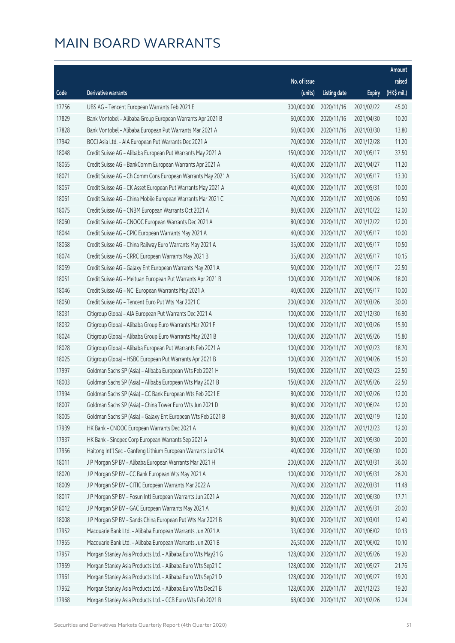|       |                                                              |              |                       |               | Amount      |
|-------|--------------------------------------------------------------|--------------|-----------------------|---------------|-------------|
|       |                                                              | No. of issue |                       |               | raised      |
| Code  | <b>Derivative warrants</b>                                   | (units)      | <b>Listing date</b>   | <b>Expiry</b> | (HK\$ mil.) |
| 17756 | UBS AG - Tencent European Warrants Feb 2021 E                | 300,000,000  | 2020/11/16            | 2021/02/22    | 45.00       |
| 17829 | Bank Vontobel - Alibaba Group European Warrants Apr 2021 B   | 60,000,000   | 2020/11/16            | 2021/04/30    | 10.20       |
| 17828 | Bank Vontobel - Alibaba European Put Warrants Mar 2021 A     | 60,000,000   | 2020/11/16            | 2021/03/30    | 13.80       |
| 17942 | BOCI Asia Ltd. - AIA European Put Warrants Dec 2021 A        | 70,000,000   | 2020/11/17            | 2021/12/28    | 11.20       |
| 18048 | Credit Suisse AG - Alibaba European Put Warrants May 2021 A  | 150,000,000  | 2020/11/17            | 2021/05/17    | 37.50       |
| 18065 | Credit Suisse AG - BankComm European Warrants Apr 2021 A     | 40,000,000   | 2020/11/17            | 2021/04/27    | 11.20       |
| 18071 | Credit Suisse AG - Ch Comm Cons European Warrants May 2021 A | 35,000,000   | 2020/11/17            | 2021/05/17    | 13.30       |
| 18057 | Credit Suisse AG - CK Asset European Put Warrants May 2021 A | 40,000,000   | 2020/11/17            | 2021/05/31    | 10.00       |
| 18061 | Credit Suisse AG - China Mobile European Warrants Mar 2021 C | 70,000,000   | 2020/11/17            | 2021/03/26    | 10.50       |
| 18075 | Credit Suisse AG - CNBM European Warrants Oct 2021 A         | 80,000,000   | 2020/11/17            | 2021/10/22    | 12.00       |
| 18060 | Credit Suisse AG - CNOOC European Warrants Dec 2021 A        | 80,000,000   | 2020/11/17            | 2021/12/22    | 12.00       |
| 18044 | Credit Suisse AG - CPIC European Warrants May 2021 A         | 40,000,000   | 2020/11/17            | 2021/05/17    | 10.00       |
| 18068 | Credit Suisse AG - China Railway Euro Warrants May 2021 A    | 35,000,000   | 2020/11/17            | 2021/05/17    | 10.50       |
| 18074 | Credit Suisse AG - CRRC European Warrants May 2021 B         | 35,000,000   | 2020/11/17            | 2021/05/17    | 10.15       |
| 18059 | Credit Suisse AG - Galaxy Ent European Warrants May 2021 A   | 50,000,000   | 2020/11/17            | 2021/05/17    | 22.50       |
| 18051 | Credit Suisse AG - Meituan European Put Warrants Apr 2021 B  | 100,000,000  | 2020/11/17            | 2021/04/26    | 18.00       |
| 18046 | Credit Suisse AG - NCI European Warrants May 2021 A          | 40,000,000   | 2020/11/17            | 2021/05/17    | 10.00       |
| 18050 | Credit Suisse AG - Tencent Euro Put Wts Mar 2021 C           | 200,000,000  | 2020/11/17            | 2021/03/26    | 30.00       |
| 18031 | Citigroup Global - AIA European Put Warrants Dec 2021 A      | 100,000,000  | 2020/11/17            | 2021/12/30    | 16.90       |
| 18032 | Citigroup Global - Alibaba Group Euro Warrants Mar 2021 F    | 100,000,000  | 2020/11/17            | 2021/03/26    | 15.90       |
| 18024 | Citigroup Global - Alibaba Group Euro Warrants May 2021 B    | 100,000,000  | 2020/11/17            | 2021/05/26    | 15.80       |
| 18028 | Citigroup Global - Alibaba European Put Warrants Feb 2021 A  | 100,000,000  | 2020/11/17            | 2021/02/23    | 18.70       |
| 18025 | Citigroup Global - HSBC European Put Warrants Apr 2021 B     | 100,000,000  | 2020/11/17            | 2021/04/26    | 15.00       |
| 17997 | Goldman Sachs SP (Asia) - Alibaba European Wts Feb 2021 H    | 150,000,000  | 2020/11/17            | 2021/02/23    | 22.50       |
| 18003 | Goldman Sachs SP (Asia) - Alibaba European Wts May 2021 B    | 150,000,000  | 2020/11/17            | 2021/05/26    | 22.50       |
| 17994 | Goldman Sachs SP (Asia) - CC Bank European Wts Feb 2021 E    | 80,000,000   | 2020/11/17            | 2021/02/26    | 12.00       |
| 18007 | Goldman Sachs SP (Asia) - China Tower Euro Wts Jun 2021 D    |              | 80,000,000 2020/11/17 | 2021/06/24    | 12.00       |
| 18005 | Goldman Sachs SP (Asia) - Galaxy Ent European Wts Feb 2021 B | 80,000,000   | 2020/11/17            | 2021/02/19    | 12.00       |
| 17939 | HK Bank - CNOOC European Warrants Dec 2021 A                 | 80,000,000   | 2020/11/17            | 2021/12/23    | 12.00       |
| 17937 | HK Bank - Sinopec Corp European Warrants Sep 2021 A          | 80,000,000   | 2020/11/17            | 2021/09/30    | 20.00       |
| 17956 | Haitong Int'l Sec - Ganfeng Lithium European Warrants Jun21A | 40,000,000   | 2020/11/17            | 2021/06/30    | 10.00       |
| 18011 | J P Morgan SP BV - Alibaba European Warrants Mar 2021 H      | 200,000,000  | 2020/11/17            | 2021/03/31    | 36.00       |
| 18020 | J P Morgan SP BV - CC Bank European Wts May 2021 A           | 100,000,000  | 2020/11/17            | 2021/05/31    | 26.20       |
| 18009 | J P Morgan SP BV - CITIC European Warrants Mar 2022 A        | 70,000,000   | 2020/11/17            | 2022/03/31    | 11.48       |
| 18017 | J P Morgan SP BV - Fosun Intl European Warrants Jun 2021 A   | 70,000,000   | 2020/11/17            | 2021/06/30    | 17.71       |
| 18012 | J P Morgan SP BV - GAC European Warrants May 2021 A          | 80,000,000   | 2020/11/17            | 2021/05/31    | 20.00       |
| 18008 | J P Morgan SP BV - Sands China European Put Wts Mar 2021 B   | 80,000,000   | 2020/11/17            | 2021/03/01    | 12.40       |
| 17952 | Macquarie Bank Ltd. - Alibaba European Warrants Jun 2021 A   | 33,000,000   | 2020/11/17            | 2021/06/02    | 10.13       |
| 17955 | Macquarie Bank Ltd. - Alibaba European Warrants Jun 2021 B   | 26,500,000   | 2020/11/17            | 2021/06/02    | 10.10       |
| 17957 | Morgan Stanley Asia Products Ltd. - Alibaba Euro Wts May21 G | 128,000,000  | 2020/11/17            | 2021/05/26    | 19.20       |
| 17959 | Morgan Stanley Asia Products Ltd. - Alibaba Euro Wts Sep21 C | 128,000,000  | 2020/11/17            | 2021/09/27    | 21.76       |
| 17961 | Morgan Stanley Asia Products Ltd. - Alibaba Euro Wts Sep21 D | 128,000,000  | 2020/11/17            | 2021/09/27    | 19.20       |
| 17962 | Morgan Stanley Asia Products Ltd. - Alibaba Euro Wts Dec21 B | 128,000,000  | 2020/11/17            | 2021/12/23    | 19.20       |
| 17968 | Morgan Stanley Asia Products Ltd. - CCB Euro Wts Feb 2021 B  | 68,000,000   | 2020/11/17            | 2021/02/26    | 12.24       |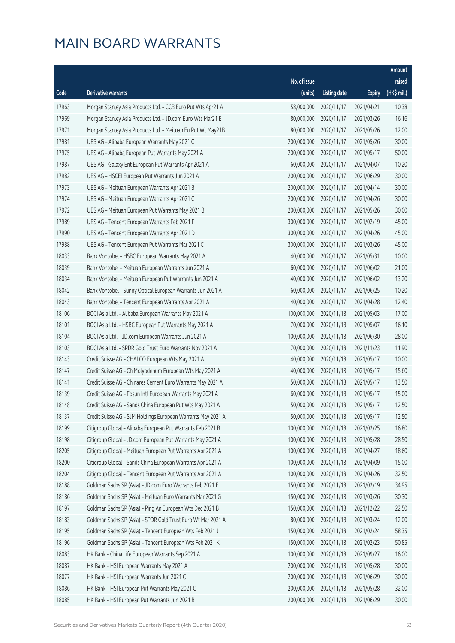|       |                                                              |              |                       |               | Amount      |
|-------|--------------------------------------------------------------|--------------|-----------------------|---------------|-------------|
|       |                                                              | No. of issue |                       |               | raised      |
| Code  | Derivative warrants                                          | (units)      | <b>Listing date</b>   | <b>Expiry</b> | (HK\$ mil.) |
| 17963 | Morgan Stanley Asia Products Ltd. - CCB Euro Put Wts Apr21 A | 58,000,000   | 2020/11/17            | 2021/04/21    | 10.38       |
| 17969 | Morgan Stanley Asia Products Ltd. - JD.com Euro Wts Mar21 E  | 80,000,000   | 2020/11/17            | 2021/03/26    | 16.16       |
| 17971 | Morgan Stanley Asia Products Ltd. - Meituan Eu Put Wt May21B | 80,000,000   | 2020/11/17            | 2021/05/26    | 12.00       |
| 17981 | UBS AG - Alibaba European Warrants May 2021 C                | 200,000,000  | 2020/11/17            | 2021/05/26    | 30.00       |
| 17975 | UBS AG - Alibaba European Put Warrants May 2021 A            | 200,000,000  | 2020/11/17            | 2021/05/17    | 50.00       |
| 17987 | UBS AG - Galaxy Ent European Put Warrants Apr 2021 A         | 60,000,000   | 2020/11/17            | 2021/04/07    | 10.20       |
| 17982 | UBS AG - HSCEI European Put Warrants Jun 2021 A              | 200,000,000  | 2020/11/17            | 2021/06/29    | 30.00       |
| 17973 | UBS AG - Meituan European Warrants Apr 2021 B                | 200,000,000  | 2020/11/17            | 2021/04/14    | 30.00       |
| 17974 | UBS AG - Meituan European Warrants Apr 2021 C                | 200,000,000  | 2020/11/17            | 2021/04/26    | 30.00       |
| 17972 | UBS AG - Meituan European Put Warrants May 2021 B            | 200,000,000  | 2020/11/17            | 2021/05/26    | 30.00       |
| 17989 | UBS AG - Tencent European Warrants Feb 2021 F                | 300,000,000  | 2020/11/17            | 2021/02/19    | 45.00       |
| 17990 | UBS AG - Tencent European Warrants Apr 2021 D                | 300,000,000  | 2020/11/17            | 2021/04/26    | 45.00       |
| 17988 | UBS AG - Tencent European Put Warrants Mar 2021 C            | 300,000,000  | 2020/11/17            | 2021/03/26    | 45.00       |
| 18033 | Bank Vontobel - HSBC European Warrants May 2021 A            | 40,000,000   | 2020/11/17            | 2021/05/31    | 10.00       |
| 18039 | Bank Vontobel - Meituan European Warrants Jun 2021 A         | 60,000,000   | 2020/11/17            | 2021/06/02    | 21.00       |
| 18034 | Bank Vontobel - Meituan European Put Warrants Jun 2021 A     | 40,000,000   | 2020/11/17            | 2021/06/02    | 13.20       |
| 18042 | Bank Vontobel - Sunny Optical European Warrants Jun 2021 A   | 60,000,000   | 2020/11/17            | 2021/06/25    | 10.20       |
| 18043 | Bank Vontobel - Tencent European Warrants Apr 2021 A         | 40,000,000   | 2020/11/17            | 2021/04/28    | 12.40       |
| 18106 | BOCI Asia Ltd. - Alibaba European Warrants May 2021 A        | 100,000,000  | 2020/11/18            | 2021/05/03    | 17.00       |
| 18101 | BOCI Asia Ltd. - HSBC European Put Warrants May 2021 A       | 70,000,000   | 2020/11/18            | 2021/05/07    | 16.10       |
| 18104 | BOCI Asia Ltd. - JD.com European Warrants Jun 2021 A         | 100,000,000  | 2020/11/18            | 2021/06/30    | 28.00       |
| 18103 | BOCI Asia Ltd. - SPDR Gold Trust Euro Warrants Nov 2021 A    | 70,000,000   | 2020/11/18            | 2021/11/23    | 11.90       |
| 18143 | Credit Suisse AG - CHALCO European Wts May 2021 A            | 40,000,000   | 2020/11/18            | 2021/05/17    | 10.00       |
| 18147 | Credit Suisse AG - Ch Molybdenum European Wts May 2021 A     | 40,000,000   | 2020/11/18            | 2021/05/17    | 15.60       |
| 18141 | Credit Suisse AG - Chinares Cement Euro Warrants May 2021 A  | 50,000,000   | 2020/11/18            | 2021/05/17    | 13.50       |
| 18139 | Credit Suisse AG - Fosun Intl European Warrants May 2021 A   | 60,000,000   | 2020/11/18            | 2021/05/17    | 15.00       |
| 18148 | Credit Suisse AG - Sands China European Put Wts May 2021 A   |              | 50,000,000 2020/11/18 | 2021/05/17    | 12.50       |
| 18137 | Credit Suisse AG - SJM Holdings European Warrants May 2021 A | 50,000,000   | 2020/11/18            | 2021/05/17    | 12.50       |
| 18199 | Citigroup Global - Alibaba European Put Warrants Feb 2021 B  | 100,000,000  | 2020/11/18            | 2021/02/25    | 16.80       |
| 18198 | Citigroup Global - JD.com European Put Warrants May 2021 A   | 100,000,000  | 2020/11/18            | 2021/05/28    | 28.50       |
| 18205 | Citigroup Global - Meituan European Put Warrants Apr 2021 A  | 100,000,000  | 2020/11/18            | 2021/04/27    | 18.60       |
| 18200 | Citigroup Global - Sands China European Warrants Apr 2021 A  | 100,000,000  | 2020/11/18            | 2021/04/09    | 15.00       |
| 18204 | Citigroup Global - Tencent European Put Warrants Apr 2021 A  | 100,000,000  | 2020/11/18            | 2021/04/26    | 32.50       |
| 18188 | Goldman Sachs SP (Asia) - JD.com Euro Warrants Feb 2021 E    | 150,000,000  | 2020/11/18            | 2021/02/19    | 34.95       |
| 18186 | Goldman Sachs SP (Asia) - Meituan Euro Warrants Mar 2021 G   | 150,000,000  | 2020/11/18            | 2021/03/26    | 30.30       |
| 18197 | Goldman Sachs SP (Asia) - Ping An European Wts Dec 2021 B    | 150,000,000  | 2020/11/18            | 2021/12/22    | 22.50       |
| 18183 | Goldman Sachs SP (Asia) - SPDR Gold Trust Euro Wt Mar 2021 A | 80,000,000   | 2020/11/18            | 2021/03/24    | 12.00       |
| 18195 | Goldman Sachs SP (Asia) - Tencent European Wts Feb 2021 J    | 150,000,000  | 2020/11/18            | 2021/02/24    | 58.35       |
| 18196 | Goldman Sachs SP (Asia) - Tencent European Wts Feb 2021 K    | 150,000,000  | 2020/11/18            | 2021/02/23    | 50.85       |
| 18083 | HK Bank - China Life European Warrants Sep 2021 A            | 100,000,000  | 2020/11/18            | 2021/09/27    | 16.00       |
| 18087 | HK Bank - HSI European Warrants May 2021 A                   | 200,000,000  | 2020/11/18            | 2021/05/28    | 30.00       |
| 18077 | HK Bank - HSI European Warrants Jun 2021 C                   | 200,000,000  | 2020/11/18            | 2021/06/29    | 30.00       |
| 18086 | HK Bank - HSI European Put Warrants May 2021 C               | 200,000,000  | 2020/11/18            | 2021/05/28    | 32.00       |
| 18085 | HK Bank - HSI European Put Warrants Jun 2021 B               | 200,000,000  | 2020/11/18            | 2021/06/29    | 30.00       |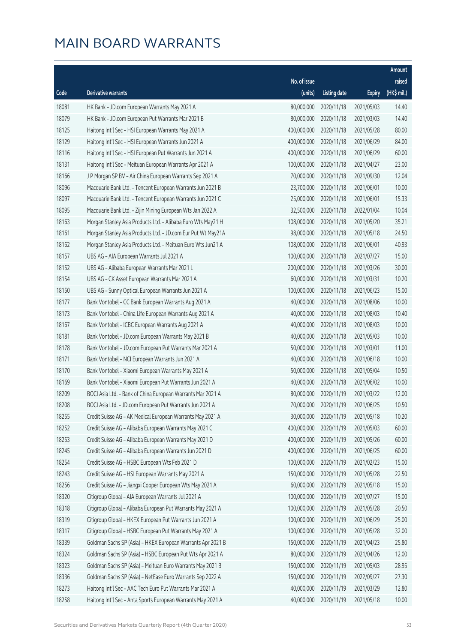|       |                                                              |              |                       |               | Amount      |
|-------|--------------------------------------------------------------|--------------|-----------------------|---------------|-------------|
|       |                                                              | No. of issue |                       |               | raised      |
| Code  | Derivative warrants                                          | (units)      | <b>Listing date</b>   | <b>Expiry</b> | (HK\$ mil.) |
| 18081 | HK Bank - JD.com European Warrants May 2021 A                | 80,000,000   | 2020/11/18            | 2021/05/03    | 14.40       |
| 18079 | HK Bank - JD.com European Put Warrants Mar 2021 B            | 80,000,000   | 2020/11/18            | 2021/03/03    | 14.40       |
| 18125 | Haitong Int'l Sec - HSI European Warrants May 2021 A         | 400,000,000  | 2020/11/18            | 2021/05/28    | 80.00       |
| 18129 | Haitong Int'l Sec - HSI European Warrants Jun 2021 A         | 400,000,000  | 2020/11/18            | 2021/06/29    | 84.00       |
| 18116 | Haitong Int'l Sec - HSI European Put Warrants Jun 2021 A     | 400,000,000  | 2020/11/18            | 2021/06/29    | 60.00       |
| 18131 | Haitong Int'l Sec - Meituan European Warrants Apr 2021 A     | 100,000,000  | 2020/11/18            | 2021/04/27    | 23.00       |
| 18166 | J P Morgan SP BV - Air China European Warrants Sep 2021 A    | 70,000,000   | 2020/11/18            | 2021/09/30    | 12.04       |
| 18096 | Macquarie Bank Ltd. - Tencent European Warrants Jun 2021 B   | 23,700,000   | 2020/11/18            | 2021/06/01    | 10.00       |
| 18097 | Macquarie Bank Ltd. - Tencent European Warrants Jun 2021 C   | 25,000,000   | 2020/11/18            | 2021/06/01    | 15.33       |
| 18095 | Macquarie Bank Ltd. - Zijin Mining European Wts Jan 2022 A   | 32,500,000   | 2020/11/18            | 2022/01/04    | 10.04       |
| 18163 | Morgan Stanley Asia Products Ltd. - Alibaba Euro Wts May21 H | 108,000,000  | 2020/11/18            | 2021/05/20    | 35.21       |
| 18161 | Morgan Stanley Asia Products Ltd. - JD.com Eur Put Wt May21A | 98,000,000   | 2020/11/18            | 2021/05/18    | 24.50       |
| 18162 | Morgan Stanley Asia Products Ltd. - Meituan Euro Wts Jun21 A | 108,000,000  | 2020/11/18            | 2021/06/01    | 40.93       |
| 18157 | UBS AG - AIA European Warrants Jul 2021 A                    | 100,000,000  | 2020/11/18            | 2021/07/27    | 15.00       |
| 18152 | UBS AG - Alibaba European Warrants Mar 2021 L                | 200,000,000  | 2020/11/18            | 2021/03/26    | 30.00       |
| 18154 | UBS AG - CK Asset European Warrants Mar 2021 A               | 60,000,000   | 2020/11/18            | 2021/03/31    | 10.20       |
| 18150 | UBS AG - Sunny Optical European Warrants Jun 2021 A          | 100,000,000  | 2020/11/18            | 2021/06/23    | 15.00       |
| 18177 | Bank Vontobel - CC Bank European Warrants Aug 2021 A         | 40,000,000   | 2020/11/18            | 2021/08/06    | 10.00       |
| 18173 | Bank Vontobel - China Life European Warrants Aug 2021 A      | 40,000,000   | 2020/11/18            | 2021/08/03    | 10.40       |
| 18167 | Bank Vontobel - ICBC European Warrants Aug 2021 A            | 40,000,000   | 2020/11/18            | 2021/08/03    | 10.00       |
| 18181 | Bank Vontobel - JD.com European Warrants May 2021 B          | 40,000,000   | 2020/11/18            | 2021/05/03    | 10.00       |
| 18178 | Bank Vontobel - JD.com European Put Warrants Mar 2021 A      | 50,000,000   | 2020/11/18            | 2021/03/01    | 11.00       |
| 18171 | Bank Vontobel - NCI European Warrants Jun 2021 A             | 40,000,000   | 2020/11/18            | 2021/06/18    | 10.00       |
| 18170 | Bank Vontobel - Xiaomi European Warrants May 2021 A          | 50,000,000   | 2020/11/18            | 2021/05/04    | 10.50       |
| 18169 | Bank Vontobel - Xiaomi European Put Warrants Jun 2021 A      | 40,000,000   | 2020/11/18            | 2021/06/02    | 10.00       |
| 18209 | BOCI Asia Ltd. - Bank of China European Warrants Mar 2021 A  | 80,000,000   | 2020/11/19            | 2021/03/22    | 12.00       |
| 18208 | BOCI Asia Ltd. - JD.com European Put Warrants Jun 2021 A     |              | 70,000,000 2020/11/19 | 2021/06/25    | 10.50       |
| 18255 | Credit Suisse AG - AK Medical European Warrants May 2021 A   | 30,000,000   | 2020/11/19            | 2021/05/18    | 10.20       |
| 18252 | Credit Suisse AG - Alibaba European Warrants May 2021 C      | 400,000,000  | 2020/11/19            | 2021/05/03    | 60.00       |
| 18253 | Credit Suisse AG - Alibaba European Warrants May 2021 D      | 400,000,000  | 2020/11/19            | 2021/05/26    | 60.00       |
| 18245 | Credit Suisse AG - Alibaba European Warrants Jun 2021 D      | 400,000,000  | 2020/11/19            | 2021/06/25    | 60.00       |
| 18254 | Credit Suisse AG - HSBC European Wts Feb 2021 D              | 100,000,000  | 2020/11/19            | 2021/02/23    | 15.00       |
| 18243 | Credit Suisse AG - HSI European Warrants May 2021 A          | 150,000,000  | 2020/11/19            | 2021/05/28    | 22.50       |
| 18256 | Credit Suisse AG - Jiangxi Copper European Wts May 2021 A    | 60,000,000   | 2020/11/19            | 2021/05/18    | 15.00       |
| 18320 | Citigroup Global - AIA European Warrants Jul 2021 A          | 100,000,000  | 2020/11/19            | 2021/07/27    | 15.00       |
| 18318 | Citigroup Global - Alibaba European Put Warrants May 2021 A  | 100,000,000  | 2020/11/19            | 2021/05/28    | 20.50       |
| 18319 | Citigroup Global - HKEX European Put Warrants Jun 2021 A     | 100,000,000  | 2020/11/19            | 2021/06/29    | 25.00       |
| 18317 | Citigroup Global - HSBC European Put Warrants May 2021 A     | 100,000,000  | 2020/11/19            | 2021/05/28    | 32.00       |
| 18339 | Goldman Sachs SP (Asia) - HKEX European Warrants Apr 2021 B  | 150,000,000  | 2020/11/19            | 2021/04/23    | 25.80       |
| 18324 | Goldman Sachs SP (Asia) - HSBC European Put Wts Apr 2021 A   | 80,000,000   | 2020/11/19            | 2021/04/26    | 12.00       |
| 18323 | Goldman Sachs SP (Asia) - Meituan Euro Warrants May 2021 B   | 150,000,000  | 2020/11/19            | 2021/05/03    | 28.95       |
| 18336 | Goldman Sachs SP (Asia) - NetEase Euro Warrants Sep 2022 A   | 150,000,000  | 2020/11/19            | 2022/09/27    | 27.30       |
| 18273 | Haitong Int'l Sec - AAC Tech Euro Put Warrants Mar 2021 A    | 40,000,000   | 2020/11/19            | 2021/03/29    | 12.80       |
| 18258 | Haitong Int'l Sec - Anta Sports European Warrants May 2021 A | 40,000,000   | 2020/11/19            | 2021/05/18    | 10.00       |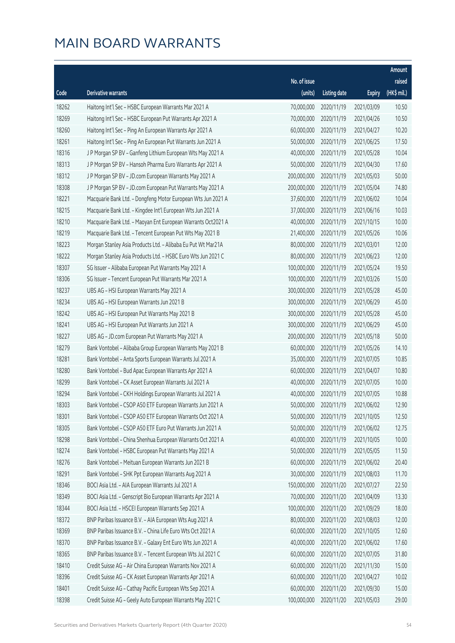|       |                                                              |              |                       |               | Amount      |
|-------|--------------------------------------------------------------|--------------|-----------------------|---------------|-------------|
|       |                                                              | No. of issue |                       |               | raised      |
| Code  | Derivative warrants                                          | (units)      | <b>Listing date</b>   | <b>Expiry</b> | (HK\$ mil.) |
| 18262 | Haitong Int'l Sec - HSBC European Warrants Mar 2021 A        | 70,000,000   | 2020/11/19            | 2021/03/09    | 10.50       |
| 18269 | Haitong Int'l Sec - HSBC European Put Warrants Apr 2021 A    | 70,000,000   | 2020/11/19            | 2021/04/26    | 10.50       |
| 18260 | Haitong Int'l Sec - Ping An European Warrants Apr 2021 A     | 60,000,000   | 2020/11/19            | 2021/04/27    | 10.20       |
| 18261 | Haitong Int'l Sec - Ping An European Put Warrants Jun 2021 A | 50,000,000   | 2020/11/19            | 2021/06/25    | 17.50       |
| 18316 | J P Morgan SP BV - Ganfeng Lithium European Wts May 2021 A   | 40,000,000   | 2020/11/19            | 2021/05/28    | 10.04       |
| 18313 | J P Morgan SP BV - Hansoh Pharma Euro Warrants Apr 2021 A    | 50,000,000   | 2020/11/19            | 2021/04/30    | 17.60       |
| 18312 | J P Morgan SP BV - JD.com European Warrants May 2021 A       | 200,000,000  | 2020/11/19            | 2021/05/03    | 50.00       |
| 18308 | J P Morgan SP BV - JD.com European Put Warrants May 2021 A   | 200,000,000  | 2020/11/19            | 2021/05/04    | 74.80       |
| 18221 | Macquarie Bank Ltd. - Dongfeng Motor European Wts Jun 2021 A | 37,600,000   | 2020/11/19            | 2021/06/02    | 10.04       |
| 18215 | Macquarie Bank Ltd. - Kingdee Int'l European Wts Jun 2021 A  | 37,000,000   | 2020/11/19            | 2021/06/16    | 10.03       |
| 18210 | Macquarie Bank Ltd. - Maoyan Ent European Warrants Oct2021 A | 40,000,000   | 2020/11/19            | 2021/10/15    | 10.00       |
| 18219 | Macquarie Bank Ltd. - Tencent European Put Wts May 2021 B    | 21,400,000   | 2020/11/19            | 2021/05/26    | 10.06       |
| 18223 | Morgan Stanley Asia Products Ltd. - Alibaba Eu Put Wt Mar21A | 80,000,000   | 2020/11/19            | 2021/03/01    | 12.00       |
| 18222 | Morgan Stanley Asia Products Ltd. - HSBC Euro Wts Jun 2021 C | 80,000,000   | 2020/11/19            | 2021/06/23    | 12.00       |
| 18307 | SG Issuer - Alibaba European Put Warrants May 2021 A         | 100,000,000  | 2020/11/19            | 2021/05/24    | 19.50       |
| 18306 | SG Issuer - Tencent European Put Warrants Mar 2021 A         | 100,000,000  | 2020/11/19            | 2021/03/26    | 15.00       |
| 18237 | UBS AG - HSI European Warrants May 2021 A                    | 300,000,000  | 2020/11/19            | 2021/05/28    | 45.00       |
| 18234 | UBS AG - HSI European Warrants Jun 2021 B                    | 300,000,000  | 2020/11/19            | 2021/06/29    | 45.00       |
| 18242 | UBS AG - HSI European Put Warrants May 2021 B                | 300,000,000  | 2020/11/19            | 2021/05/28    | 45.00       |
| 18241 | UBS AG - HSI European Put Warrants Jun 2021 A                | 300,000,000  | 2020/11/19            | 2021/06/29    | 45.00       |
| 18227 | UBS AG - JD.com European Put Warrants May 2021 A             | 200,000,000  | 2020/11/19            | 2021/05/18    | 50.00       |
| 18279 | Bank Vontobel - Alibaba Group European Warrants May 2021 B   | 60,000,000   | 2020/11/19            | 2021/05/26    | 14.10       |
| 18281 | Bank Vontobel - Anta Sports European Warrants Jul 2021 A     | 35,000,000   | 2020/11/19            | 2021/07/05    | 10.85       |
| 18280 | Bank Vontobel - Bud Apac European Warrants Apr 2021 A        | 60,000,000   | 2020/11/19            | 2021/04/07    | 10.80       |
| 18299 | Bank Vontobel - CK Asset European Warrants Jul 2021 A        | 40,000,000   | 2020/11/19            | 2021/07/05    | 10.00       |
| 18294 | Bank Vontobel - CKH Holdings European Warrants Jul 2021 A    | 40,000,000   | 2020/11/19            | 2021/07/05    | 10.88       |
| 18303 | Bank Vontobel - CSOP A50 ETF European Warrants Jun 2021 A    |              | 50,000,000 2020/11/19 | 2021/06/02    | 12.90       |
| 18301 | Bank Vontobel - CSOP A50 ETF European Warrants Oct 2021 A    | 50,000,000   | 2020/11/19            | 2021/10/05    | 12.50       |
| 18305 | Bank Vontobel - CSOP A50 ETF Euro Put Warrants Jun 2021 A    | 50,000,000   | 2020/11/19            | 2021/06/02    | 12.75       |
| 18298 | Bank Vontobel - China Shenhua European Warrants Oct 2021 A   | 40,000,000   | 2020/11/19            | 2021/10/05    | 10.00       |
| 18274 | Bank Vontobel - HSBC European Put Warrants May 2021 A        | 50,000,000   | 2020/11/19            | 2021/05/05    | 11.50       |
| 18276 | Bank Vontobel - Meituan European Warrants Jun 2021 B         | 60,000,000   | 2020/11/19            | 2021/06/02    | 20.40       |
| 18291 | Bank Vontobel - SHK Ppt European Warrants Aug 2021 A         | 30,000,000   | 2020/11/19            | 2021/08/03    | 11.70       |
| 18346 | BOCI Asia Ltd. - AIA European Warrants Jul 2021 A            | 150,000,000  | 2020/11/20            | 2021/07/27    | 22.50       |
| 18349 | BOCI Asia Ltd. - Genscript Bio European Warrants Apr 2021 A  | 70,000,000   | 2020/11/20            | 2021/04/09    | 13.30       |
| 18344 | BOCI Asia Ltd. - HSCEI European Warrants Sep 2021 A          | 100,000,000  | 2020/11/20            | 2021/09/29    | 18.00       |
| 18372 | BNP Paribas Issuance B.V. - AIA European Wts Aug 2021 A      | 80,000,000   | 2020/11/20            | 2021/08/03    | 12.00       |
| 18369 | BNP Paribas Issuance B.V. - China Life Euro Wts Oct 2021 A   | 60,000,000   | 2020/11/20            | 2021/10/05    | 12.60       |
| 18370 | BNP Paribas Issuance B.V. - Galaxy Ent Euro Wts Jun 2021 A   | 40,000,000   | 2020/11/20            | 2021/06/02    | 17.60       |
| 18365 | BNP Paribas Issuance B.V. - Tencent European Wts Jul 2021 C  | 60,000,000   | 2020/11/20            | 2021/07/05    | 31.80       |
| 18410 | Credit Suisse AG - Air China European Warrants Nov 2021 A    | 60,000,000   | 2020/11/20            | 2021/11/30    | 15.00       |
| 18396 | Credit Suisse AG - CK Asset European Warrants Apr 2021 A     | 60,000,000   | 2020/11/20            | 2021/04/27    | 10.02       |
| 18401 | Credit Suisse AG - Cathay Pacific European Wts Sep 2021 A    | 60,000,000   | 2020/11/20            | 2021/09/30    | 15.00       |
| 18398 | Credit Suisse AG - Geely Auto European Warrants May 2021 C   | 100,000,000  | 2020/11/20            | 2021/05/03    | 29.00       |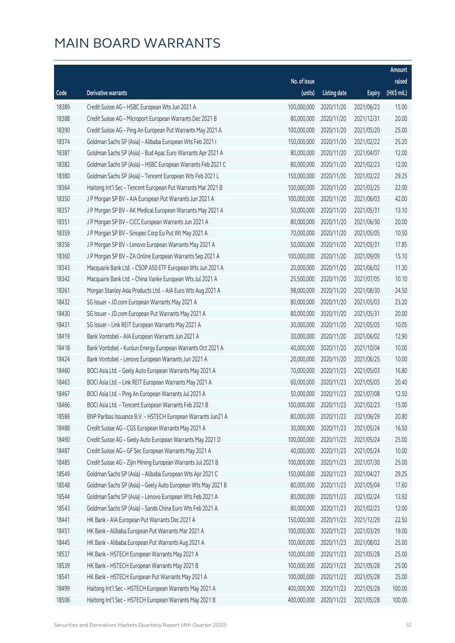|       |                                                              |                        |                     |               | Amount       |
|-------|--------------------------------------------------------------|------------------------|---------------------|---------------|--------------|
|       |                                                              | No. of issue           |                     |               | raised       |
| Code  | Derivative warrants                                          | (units)                | <b>Listing date</b> | <b>Expiry</b> | $(HK$$ mil.) |
| 18389 | Credit Suisse AG - HSBC European Wts Jun 2021 A              | 100,000,000            | 2020/11/20          | 2021/06/23    | 15.00        |
| 18388 | Credit Suisse AG - Microport European Warrants Dec 2021 B    | 80,000,000             | 2020/11/20          | 2021/12/31    | 20.00        |
| 18390 | Credit Suisse AG - Ping An European Put Warrants May 2021 A  | 100,000,000            | 2020/11/20          | 2021/05/20    | 25.00        |
| 18374 | Goldman Sachs SP (Asia) - Alibaba European Wts Feb 2021 I    | 150,000,000            | 2020/11/20          | 2021/02/22    | 25.20        |
| 18387 | Goldman Sachs SP (Asia) - Bud Apac Euro Warrants Apr 2021 A  | 80,000,000             | 2020/11/20          | 2021/04/07    | 12.00        |
| 18382 | Goldman Sachs SP (Asia) - HSBC European Warrants Feb 2021 C  | 80,000,000             | 2020/11/20          | 2021/02/23    | 12.00        |
| 18380 | Goldman Sachs SP (Asia) - Tencent European Wts Feb 2021 L    | 150,000,000            | 2020/11/20          | 2021/02/22    | 29.25        |
| 18364 | Haitong Int'l Sec - Tencent European Put Warrants Mar 2021 B | 100,000,000            | 2020/11/20          | 2021/03/25    | 22.00        |
| 18350 | J P Morgan SP BV - AIA European Put Warrants Jun 2021 A      | 100,000,000            | 2020/11/20          | 2021/06/03    | 42.00        |
| 18357 | J P Morgan SP BV - AK Medical European Warrants May 2021 A   | 50,000,000             | 2020/11/20          | 2021/05/31    | 13.10        |
| 18351 | J P Morgan SP BV - CICC European Warrants Jun 2021 A         | 80,000,000             | 2020/11/20          | 2021/06/30    | 20.00        |
| 18359 | J P Morgan SP BV - Sinopec Corp Eu Put Wt May 2021 A         | 70,000,000             | 2020/11/20          | 2021/05/05    | 10.50        |
| 18356 | J P Morgan SP BV - Lenovo European Warrants May 2021 A       | 50,000,000             | 2020/11/20          | 2021/05/31    | 17.85        |
| 18360 | J P Morgan SP BV - ZA Online European Warrants Sep 2021 A    | 100,000,000            | 2020/11/20          | 2021/09/09    | 15.10        |
| 18343 | Macquarie Bank Ltd. - CSOP A50 ETF European Wts Jun 2021 A   | 20,000,000             | 2020/11/20          | 2021/06/02    | 11.30        |
| 18342 | Macquarie Bank Ltd. - China Vanke European Wts Jul 2021 A    | 25,500,000             | 2020/11/20          | 2021/07/05    | 10.10        |
| 18361 | Morgan Stanley Asia Products Ltd. - AIA Euro Wts Aug 2021 A  | 98,000,000             | 2020/11/20          | 2021/08/30    | 24.50        |
| 18432 | SG Issuer - JD.com European Warrants May 2021 A              | 80,000,000             | 2020/11/20          | 2021/05/03    | 23.20        |
| 18430 | SG Issuer - JD.com European Put Warrants May 2021 A          | 80,000,000             | 2020/11/20          | 2021/05/31    | 20.00        |
| 18431 | SG Issuer - Link REIT European Warrants May 2021 A           | 30,000,000             | 2020/11/20          | 2021/05/05    | 10.05        |
| 18419 | Bank Vontobel - AIA European Warrants Jun 2021 A             | 30,000,000             | 2020/11/20          | 2021/06/02    | 12.90        |
| 18418 | Bank Vontobel - Kunlun Energy European Warrants Oct 2021 A   | 40,000,000             | 2020/11/20          | 2021/10/04    | 10.00        |
| 18424 | Bank Vontobel - Lenovo European Warrants Jun 2021 A          | 20,000,000             | 2020/11/20          | 2021/06/25    | 10.00        |
| 18460 | BOCI Asia Ltd. - Geely Auto European Warrants May 2021 A     | 70,000,000             | 2020/11/23          | 2021/05/03    | 16.80        |
| 18463 | BOCI Asia Ltd. - Link REIT European Warrants May 2021 A      | 60,000,000             | 2020/11/23          | 2021/05/05    | 20.40        |
| 18467 | BOCI Asia Ltd. - Ping An European Warrants Jul 2021 A        | 50,000,000             | 2020/11/23          | 2021/07/08    | 12.50        |
| 18466 | BOCI Asia Ltd. - Tencent European Warrants Feb 2021 B        | 100,000,000 2020/11/23 |                     | 2021/02/23    | 15.00        |
| 18586 | BNP Paribas Issuance B.V. - HSTECH European Warrants Jun21 A | 80,000,000             | 2020/11/23          | 2021/06/29    | 20.80        |
| 18488 | Credit Suisse AG - CGS European Warrants May 2021 A          | 30,000,000             | 2020/11/23          | 2021/05/24    | 16.50        |
| 18490 | Credit Suisse AG - Geely Auto European Warrants May 2021 D   | 100,000,000            | 2020/11/23          | 2021/05/24    | 25.00        |
| 18487 | Credit Suisse AG - GF Sec European Warrants May 2021 A       | 40,000,000             | 2020/11/23          | 2021/05/24    | 10.00        |
| 18485 | Credit Suisse AG - Zijin Mining European Warrants Jul 2021 B | 100,000,000            | 2020/11/23          | 2021/07/30    | 25.00        |
| 18549 | Goldman Sachs SP (Asia) - Alibaba European Wts Apr 2021 C    | 150,000,000            | 2020/11/23          | 2021/04/27    | 29.25        |
| 18548 | Goldman Sachs SP (Asia) - Geely Auto European Wts May 2021 B | 80,000,000             | 2020/11/23          | 2021/05/04    | 17.60        |
| 18544 | Goldman Sachs SP (Asia) - Lenovo European Wts Feb 2021 A     | 80,000,000             | 2020/11/23          | 2021/02/24    | 13.92        |
| 18543 | Goldman Sachs SP (Asia) - Sands China Euro Wts Feb 2021 A    | 80,000,000             | 2020/11/23          | 2021/02/23    | 12.00        |
| 18441 | HK Bank - AIA European Put Warrants Dec 2021 A               | 150,000,000            | 2020/11/23          | 2021/12/29    | 22.50        |
| 18451 | HK Bank - Alibaba European Put Warrants Mar 2021 A           | 100,000,000            | 2020/11/23          | 2021/03/29    | 19.00        |
| 18445 | HK Bank - Alibaba European Put Warrants Aug 2021 A           | 100,000,000            | 2020/11/23          | 2021/08/02    | 25.00        |
| 18537 | HK Bank - HSTECH European Warrants May 2021 A                | 100,000,000            | 2020/11/23          | 2021/05/28    | 25.00        |
| 18539 | HK Bank - HSTECH European Warrants May 2021 B                | 100,000,000            | 2020/11/23          | 2021/05/28    | 25.00        |
| 18541 | HK Bank - HSTECH European Put Warrants May 2021 A            | 100,000,000            | 2020/11/23          | 2021/05/28    | 25.00        |
| 18499 | Haitong Int'l Sec - HSTECH European Warrants May 2021 A      | 400,000,000            | 2020/11/23          | 2021/05/28    | 100.00       |
| 18506 | Haitong Int'l Sec - HSTECH European Warrants May 2021 B      | 400,000,000            | 2020/11/23          | 2021/05/28    | 100.00       |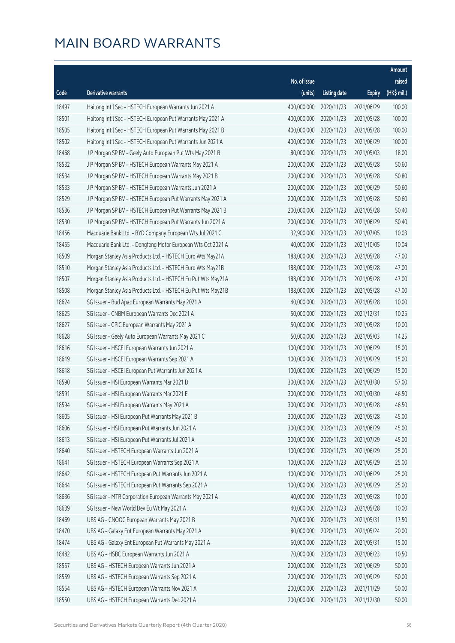|       |                                                              |                        |                     |               | Amount      |
|-------|--------------------------------------------------------------|------------------------|---------------------|---------------|-------------|
|       |                                                              | No. of issue           |                     |               | raised      |
| Code  | Derivative warrants                                          | (units)                | <b>Listing date</b> | <b>Expiry</b> | (HK\$ mil.) |
| 18497 | Haitong Int'l Sec - HSTECH European Warrants Jun 2021 A      | 400,000,000            | 2020/11/23          | 2021/06/29    | 100.00      |
| 18501 | Haitong Int'l Sec - HSTECH European Put Warrants May 2021 A  | 400,000,000            | 2020/11/23          | 2021/05/28    | 100.00      |
| 18505 | Haitong Int'l Sec - HSTECH European Put Warrants May 2021 B  | 400,000,000            | 2020/11/23          | 2021/05/28    | 100.00      |
| 18502 | Haitong Int'l Sec - HSTECH European Put Warrants Jun 2021 A  | 400,000,000            | 2020/11/23          | 2021/06/29    | 100.00      |
| 18468 | J P Morgan SP BV - Geely Auto European Put Wts May 2021 B    | 80,000,000             | 2020/11/23          | 2021/05/03    | 18.00       |
| 18532 | J P Morgan SP BV - HSTECH European Warrants May 2021 A       | 200,000,000            | 2020/11/23          | 2021/05/28    | 50.60       |
| 18534 | J P Morgan SP BV - HSTECH European Warrants May 2021 B       | 200,000,000            | 2020/11/23          | 2021/05/28    | 50.80       |
| 18533 | J P Morgan SP BV - HSTECH European Warrants Jun 2021 A       | 200,000,000            | 2020/11/23          | 2021/06/29    | 50.60       |
| 18529 | J P Morgan SP BV - HSTECH European Put Warrants May 2021 A   | 200,000,000            | 2020/11/23          | 2021/05/28    | 50.60       |
| 18536 | J P Morgan SP BV - HSTECH European Put Warrants May 2021 B   | 200,000,000            | 2020/11/23          | 2021/05/28    | 50.40       |
| 18530 | J P Morgan SP BV - HSTECH European Put Warrants Jun 2021 A   | 200,000,000            | 2020/11/23          | 2021/06/29    | 50.40       |
| 18456 | Macquarie Bank Ltd. - BYD Company European Wts Jul 2021 C    | 32,900,000             | 2020/11/23          | 2021/07/05    | 10.03       |
| 18455 | Macquarie Bank Ltd. - Dongfeng Motor European Wts Oct 2021 A | 40,000,000             | 2020/11/23          | 2021/10/05    | 10.04       |
| 18509 | Morgan Stanley Asia Products Ltd. - HSTECH Euro Wts May21A   | 188,000,000            | 2020/11/23          | 2021/05/28    | 47.00       |
| 18510 | Morgan Stanley Asia Products Ltd. - HSTECH Euro Wts May21B   | 188,000,000            | 2020/11/23          | 2021/05/28    | 47.00       |
| 18507 | Morgan Stanley Asia Products Ltd. - HSTECH Eu Put Wts May21A | 188,000,000            | 2020/11/23          | 2021/05/28    | 47.00       |
| 18508 | Morgan Stanley Asia Products Ltd. - HSTECH Eu Put Wts May21B | 188,000,000            | 2020/11/23          | 2021/05/28    | 47.00       |
| 18624 | SG Issuer - Bud Apac European Warrants May 2021 A            | 40,000,000             | 2020/11/23          | 2021/05/28    | 10.00       |
| 18625 | SG Issuer - CNBM European Warrants Dec 2021 A                | 50,000,000             | 2020/11/23          | 2021/12/31    | 10.25       |
| 18627 | SG Issuer - CPIC European Warrants May 2021 A                | 50,000,000             | 2020/11/23          | 2021/05/28    | 10.00       |
| 18628 | SG Issuer - Geely Auto European Warrants May 2021 C          | 50,000,000             | 2020/11/23          | 2021/05/03    | 14.25       |
| 18616 | SG Issuer - HSCEI European Warrants Jun 2021 A               | 100,000,000            | 2020/11/23          | 2021/06/29    | 15.00       |
| 18619 | SG Issuer - HSCEI European Warrants Sep 2021 A               | 100,000,000            | 2020/11/23          | 2021/09/29    | 15.00       |
| 18618 | SG Issuer - HSCEI European Put Warrants Jun 2021 A           | 100,000,000            | 2020/11/23          | 2021/06/29    | 15.00       |
| 18590 | SG Issuer - HSI European Warrants Mar 2021 D                 | 300,000,000            | 2020/11/23          | 2021/03/30    | 57.00       |
| 18591 | SG Issuer - HSI European Warrants Mar 2021 E                 | 300,000,000            | 2020/11/23          | 2021/03/30    | 46.50       |
| 18594 | SG Issuer - HSI European Warrants May 2021 A                 | 300,000,000 2020/11/23 |                     | 2021/05/28    | 46.50       |
| 18605 | SG Issuer - HSI European Put Warrants May 2021 B             | 300,000,000            | 2020/11/23          | 2021/05/28    | 45.00       |
| 18606 | SG Issuer - HSI European Put Warrants Jun 2021 A             | 300,000,000            | 2020/11/23          | 2021/06/29    | 45.00       |
| 18613 | SG Issuer - HSI European Put Warrants Jul 2021 A             | 300,000,000            | 2020/11/23          | 2021/07/29    | 45.00       |
| 18640 | SG Issuer - HSTECH European Warrants Jun 2021 A              | 100,000,000            | 2020/11/23          | 2021/06/29    | 25.00       |
| 18641 | SG Issuer - HSTECH European Warrants Sep 2021 A              | 100,000,000            | 2020/11/23          | 2021/09/29    | 25.00       |
| 18642 | SG Issuer - HSTECH European Put Warrants Jun 2021 A          | 100,000,000            | 2020/11/23          | 2021/06/29    | 25.00       |
| 18644 | SG Issuer - HSTECH European Put Warrants Sep 2021 A          | 100,000,000            | 2020/11/23          | 2021/09/29    | 25.00       |
| 18636 | SG Issuer - MTR Corporation European Warrants May 2021 A     | 40,000,000             | 2020/11/23          | 2021/05/28    | 10.00       |
| 18639 | SG Issuer - New World Dev Eu Wt May 2021 A                   | 40,000,000             | 2020/11/23          | 2021/05/28    | 10.00       |
| 18469 | UBS AG - CNOOC European Warrants May 2021 B                  | 70,000,000             | 2020/11/23          | 2021/05/31    | 17.50       |
| 18470 | UBS AG - Galaxy Ent European Warrants May 2021 A             | 80,000,000             | 2020/11/23          | 2021/05/24    | 20.00       |
| 18474 | UBS AG - Galaxy Ent European Put Warrants May 2021 A         | 60,000,000             | 2020/11/23          | 2021/05/31    | 15.00       |
| 18482 | UBS AG - HSBC European Warrants Jun 2021 A                   | 70,000,000             | 2020/11/23          | 2021/06/23    | 10.50       |
| 18557 | UBS AG - HSTECH European Warrants Jun 2021 A                 | 200,000,000            | 2020/11/23          | 2021/06/29    | 50.00       |
| 18559 | UBS AG - HSTECH European Warrants Sep 2021 A                 | 200,000,000            | 2020/11/23          | 2021/09/29    | 50.00       |
| 18554 | UBS AG - HSTECH European Warrants Nov 2021 A                 | 200,000,000            | 2020/11/23          | 2021/11/29    | 50.00       |
| 18550 | UBS AG - HSTECH European Warrants Dec 2021 A                 | 200,000,000            | 2020/11/23          | 2021/12/30    | 50.00       |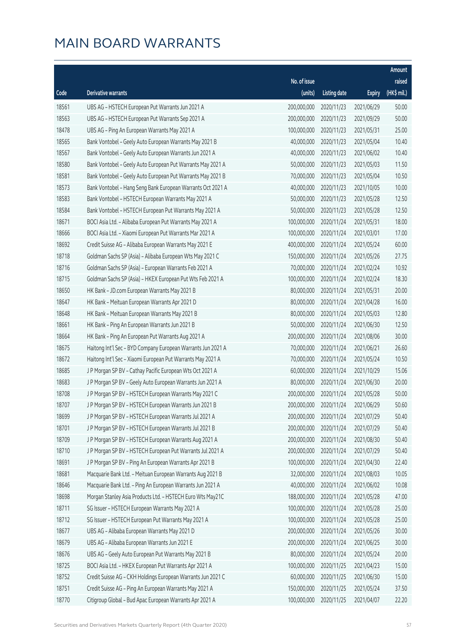|       |                                                              |              |                        |               | Amount      |
|-------|--------------------------------------------------------------|--------------|------------------------|---------------|-------------|
|       |                                                              | No. of issue |                        |               | raised      |
| Code  | <b>Derivative warrants</b>                                   | (units)      | <b>Listing date</b>    | <b>Expiry</b> | (HK\$ mil.) |
| 18561 | UBS AG - HSTECH European Put Warrants Jun 2021 A             | 200,000,000  | 2020/11/23             | 2021/06/29    | 50.00       |
| 18563 | UBS AG - HSTECH European Put Warrants Sep 2021 A             | 200,000,000  | 2020/11/23             | 2021/09/29    | 50.00       |
| 18478 | UBS AG - Ping An European Warrants May 2021 A                | 100,000,000  | 2020/11/23             | 2021/05/31    | 25.00       |
| 18565 | Bank Vontobel - Geely Auto European Warrants May 2021 B      | 40,000,000   | 2020/11/23             | 2021/05/04    | 10.40       |
| 18567 | Bank Vontobel - Geely Auto European Warrants Jun 2021 A      | 40,000,000   | 2020/11/23             | 2021/06/02    | 10.40       |
| 18580 | Bank Vontobel - Geely Auto European Put Warrants May 2021 A  | 50,000,000   | 2020/11/23             | 2021/05/03    | 11.50       |
| 18581 | Bank Vontobel - Geely Auto European Put Warrants May 2021 B  | 70,000,000   | 2020/11/23             | 2021/05/04    | 10.50       |
| 18573 | Bank Vontobel - Hang Seng Bank European Warrants Oct 2021 A  | 40,000,000   | 2020/11/23             | 2021/10/05    | 10.00       |
| 18583 | Bank Vontobel - HSTECH European Warrants May 2021 A          | 50,000,000   | 2020/11/23             | 2021/05/28    | 12.50       |
| 18584 | Bank Vontobel - HSTECH European Put Warrants May 2021 A      | 50,000,000   | 2020/11/23             | 2021/05/28    | 12.50       |
| 18671 | BOCI Asia Ltd. - Alibaba European Put Warrants May 2021 A    | 100,000,000  | 2020/11/24             | 2021/05/31    | 18.00       |
| 18666 | BOCI Asia Ltd. - Xiaomi European Put Warrants Mar 2021 A     | 100,000,000  | 2020/11/24             | 2021/03/01    | 17.00       |
| 18692 | Credit Suisse AG - Alibaba European Warrants May 2021 E      | 400,000,000  | 2020/11/24             | 2021/05/24    | 60.00       |
| 18718 | Goldman Sachs SP (Asia) - Alibaba European Wts May 2021 C    | 150,000,000  | 2020/11/24             | 2021/05/26    | 27.75       |
| 18716 | Goldman Sachs SP (Asia) - European Warrants Feb 2021 A       | 70,000,000   | 2020/11/24             | 2021/02/24    | 10.92       |
| 18715 | Goldman Sachs SP (Asia) - HKEX European Put Wts Feb 2021 A   | 100,000,000  | 2020/11/24             | 2021/02/24    | 18.30       |
| 18650 | HK Bank - JD.com European Warrants May 2021 B                | 80,000,000   | 2020/11/24             | 2021/05/31    | 20.00       |
| 18647 | HK Bank - Meituan European Warrants Apr 2021 D               | 80,000,000   | 2020/11/24             | 2021/04/28    | 16.00       |
| 18648 | HK Bank - Meituan European Warrants May 2021 B               | 80,000,000   | 2020/11/24             | 2021/05/03    | 12.80       |
| 18661 | HK Bank - Ping An European Warrants Jun 2021 B               | 50,000,000   | 2020/11/24             | 2021/06/30    | 12.50       |
| 18664 | HK Bank - Ping An European Put Warrants Aug 2021 A           | 200,000,000  | 2020/11/24             | 2021/08/06    | 30.00       |
| 18675 | Haitong Int'l Sec - BYD Company European Warrants Jun 2021 A | 70,000,000   | 2020/11/24             | 2021/06/21    | 26.60       |
| 18672 | Haitong Int'l Sec - Xiaomi European Put Warrants May 2021 A  | 70,000,000   | 2020/11/24             | 2021/05/24    | 10.50       |
| 18685 | J P Morgan SP BV - Cathay Pacific European Wts Oct 2021 A    | 60,000,000   | 2020/11/24             | 2021/10/29    | 15.06       |
| 18683 | J P Morgan SP BV - Geely Auto European Warrants Jun 2021 A   | 80,000,000   | 2020/11/24             | 2021/06/30    | 20.00       |
| 18708 | J P Morgan SP BV - HSTECH European Warrants May 2021 C       | 200,000,000  | 2020/11/24             | 2021/05/28    | 50.00       |
| 18707 | J P Morgan SP BV - HSTECH European Warrants Jun 2021 B       |              | 200,000,000 2020/11/24 | 2021/06/29    | 50.60       |
| 18699 | J P Morgan SP BV - HSTECH European Warrants Jul 2021 A       | 200,000,000  | 2020/11/24             | 2021/07/29    | 50.40       |
| 18701 | J P Morgan SP BV - HSTECH European Warrants Jul 2021 B       | 200,000,000  | 2020/11/24             | 2021/07/29    | 50.40       |
| 18709 | J P Morgan SP BV - HSTECH European Warrants Aug 2021 A       | 200,000,000  | 2020/11/24             | 2021/08/30    | 50.40       |
| 18710 | J P Morgan SP BV - HSTECH European Put Warrants Jul 2021 A   | 200,000,000  | 2020/11/24             | 2021/07/29    | 50.40       |
| 18691 | J P Morgan SP BV - Ping An European Warrants Apr 2021 B      | 100,000,000  | 2020/11/24             | 2021/04/30    | 22.40       |
| 18681 | Macquarie Bank Ltd. - Meituan European Warrants Aug 2021 B   | 32,000,000   | 2020/11/24             | 2021/08/03    | 10.05       |
| 18646 | Macquarie Bank Ltd. - Ping An European Warrants Jun 2021 A   | 40,000,000   | 2020/11/24             | 2021/06/02    | 10.08       |
| 18698 | Morgan Stanley Asia Products Ltd. - HSTECH Euro Wts May21C   | 188,000,000  | 2020/11/24             | 2021/05/28    | 47.00       |
| 18711 | SG Issuer - HSTECH European Warrants May 2021 A              | 100,000,000  | 2020/11/24             | 2021/05/28    | 25.00       |
| 18712 | SG Issuer - HSTECH European Put Warrants May 2021 A          | 100,000,000  | 2020/11/24             | 2021/05/28    | 25.00       |
| 18677 | UBS AG - Alibaba European Warrants May 2021 D                | 200,000,000  | 2020/11/24             | 2021/05/26    | 30.00       |
| 18679 | UBS AG - Alibaba European Warrants Jun 2021 E                | 200,000,000  | 2020/11/24             | 2021/06/25    | 30.00       |
| 18676 | UBS AG - Geely Auto European Put Warrants May 2021 B         | 80,000,000   | 2020/11/24             | 2021/05/24    | 20.00       |
| 18725 | BOCI Asia Ltd. - HKEX European Put Warrants Apr 2021 A       | 100,000,000  | 2020/11/25             | 2021/04/23    | 15.00       |
| 18752 | Credit Suisse AG - CKH Holdings European Warrants Jun 2021 C | 60,000,000   | 2020/11/25             | 2021/06/30    | 15.00       |
| 18751 | Credit Suisse AG - Ping An European Warrants May 2021 A      | 150,000,000  | 2020/11/25             | 2021/05/24    | 37.50       |
| 18770 | Citigroup Global - Bud Apac European Warrants Apr 2021 A     | 100,000,000  | 2020/11/25             | 2021/04/07    | 22.20       |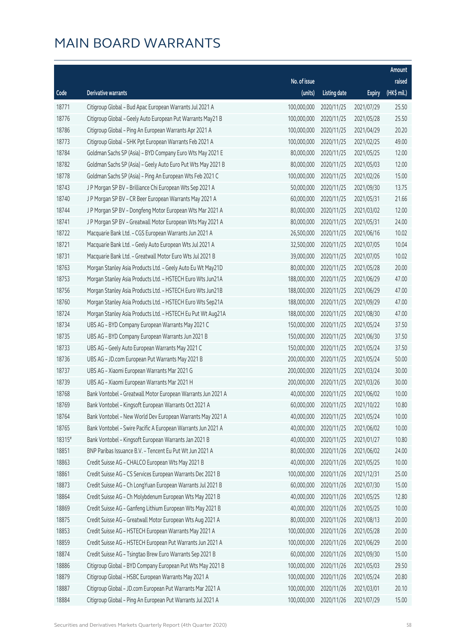|        |                                                              |              |                       |               | Amount      |
|--------|--------------------------------------------------------------|--------------|-----------------------|---------------|-------------|
|        |                                                              | No. of issue |                       |               | raised      |
| Code   | Derivative warrants                                          | (units)      | <b>Listing date</b>   | <b>Expiry</b> | (HK\$ mil.) |
| 18771  | Citigroup Global - Bud Apac European Warrants Jul 2021 A     | 100,000,000  | 2020/11/25            | 2021/07/29    | 25.50       |
| 18776  | Citigroup Global - Geely Auto European Put Warrants May21 B  | 100,000,000  | 2020/11/25            | 2021/05/28    | 25.50       |
| 18786  | Citigroup Global - Ping An European Warrants Apr 2021 A      | 100,000,000  | 2020/11/25            | 2021/04/29    | 20.20       |
| 18773  | Citigroup Global - SHK Ppt European Warrants Feb 2021 A      | 100,000,000  | 2020/11/25            | 2021/02/25    | 49.00       |
| 18784  | Goldman Sachs SP (Asia) - BYD Company Euro Wts May 2021 E    | 80,000,000   | 2020/11/25            | 2021/05/25    | 12.00       |
| 18782  | Goldman Sachs SP (Asia) - Geely Auto Euro Put Wts May 2021 B | 80,000,000   | 2020/11/25            | 2021/05/03    | 12.00       |
| 18778  | Goldman Sachs SP (Asia) - Ping An European Wts Feb 2021 C    | 100,000,000  | 2020/11/25            | 2021/02/26    | 15.00       |
| 18743  | J P Morgan SP BV - Brilliance Chi European Wts Sep 2021 A    | 50,000,000   | 2020/11/25            | 2021/09/30    | 13.75       |
| 18740  | J P Morgan SP BV - CR Beer European Warrants May 2021 A      | 60,000,000   | 2020/11/25            | 2021/05/31    | 21.66       |
| 18744  | J P Morgan SP BV - Dongfeng Motor European Wts Mar 2021 A    | 80,000,000   | 2020/11/25            | 2021/03/02    | 12.00       |
| 18741  | J P Morgan SP BV - Greatwall Motor European Wts May 2021 A   | 80,000,000   | 2020/11/25            | 2021/05/31    | 24.00       |
| 18722  | Macquarie Bank Ltd. - CGS European Warrants Jun 2021 A       | 26,500,000   | 2020/11/25            | 2021/06/16    | 10.02       |
| 18721  | Macquarie Bank Ltd. - Geely Auto European Wts Jul 2021 A     | 32,500,000   | 2020/11/25            | 2021/07/05    | 10.04       |
| 18731  | Macquarie Bank Ltd. - Greatwall Motor Euro Wts Jul 2021 B    | 39,000,000   | 2020/11/25            | 2021/07/05    | 10.02       |
| 18763  | Morgan Stanley Asia Products Ltd. - Geely Auto Eu Wt May21D  | 80,000,000   | 2020/11/25            | 2021/05/28    | 20.00       |
| 18753  | Morgan Stanley Asia Products Ltd. - HSTECH Euro Wts Jun21A   | 188,000,000  | 2020/11/25            | 2021/06/29    | 47.00       |
| 18756  | Morgan Stanley Asia Products Ltd. - HSTECH Euro Wts Jun21B   | 188,000,000  | 2020/11/25            | 2021/06/29    | 47.00       |
| 18760  | Morgan Stanley Asia Products Ltd. - HSTECH Euro Wts Sep21A   | 188,000,000  | 2020/11/25            | 2021/09/29    | 47.00       |
| 18724  | Morgan Stanley Asia Products Ltd. - HSTECH Eu Put Wt Aug21A  | 188,000,000  | 2020/11/25            | 2021/08/30    | 47.00       |
| 18734  | UBS AG - BYD Company European Warrants May 2021 C            | 150,000,000  | 2020/11/25            | 2021/05/24    | 37.50       |
| 18735  | UBS AG - BYD Company European Warrants Jun 2021 B            | 150,000,000  | 2020/11/25            | 2021/06/30    | 37.50       |
| 18733  | UBS AG - Geely Auto European Warrants May 2021 C             | 150,000,000  | 2020/11/25            | 2021/05/24    | 37.50       |
| 18736  | UBS AG - JD.com European Put Warrants May 2021 B             | 200,000,000  | 2020/11/25            | 2021/05/24    | 50.00       |
| 18737  | UBS AG - Xiaomi European Warrants Mar 2021 G                 | 200,000,000  | 2020/11/25            | 2021/03/24    | 30.00       |
| 18739  | UBS AG - Xiaomi European Warrants Mar 2021 H                 | 200,000,000  | 2020/11/25            | 2021/03/26    | 30.00       |
| 18768  | Bank Vontobel - Greatwall Motor European Warrants Jun 2021 A | 40,000,000   | 2020/11/25            | 2021/06/02    | 10.00       |
| 18769  | Bank Vontobel - Kingsoft European Warrants Oct 2021 A        |              | 60,000,000 2020/11/25 | 2021/10/22    | 10.80       |
| 18764  | Bank Vontobel - New World Dev European Warrants May 2021 A   | 40,000,000   | 2020/11/25            | 2021/05/24    | 10.00       |
| 18765  | Bank Vontobel - Swire Pacific A European Warrants Jun 2021 A | 40,000,000   | 2020/11/25            | 2021/06/02    | 10.00       |
| 18315# | Bank Vontobel - Kingsoft European Warrants Jan 2021 B        | 40,000,000   | 2020/11/25            | 2021/01/27    | 10.80       |
| 18851  | BNP Paribas Issuance B.V. - Tencent Eu Put Wt Jun 2021 A     | 80,000,000   | 2020/11/26            | 2021/06/02    | 24.00       |
| 18863  | Credit Suisse AG - CHALCO European Wts May 2021 B            | 40,000,000   | 2020/11/26            | 2021/05/25    | 10.00       |
| 18861  | Credit Suisse AG - CS Services European Warrants Dec 2021 B  | 100,000,000  | 2020/11/26            | 2021/12/31    | 25.00       |
| 18873  | Credit Suisse AG - Ch LongYuan European Warrants Jul 2021 B  | 60,000,000   | 2020/11/26            | 2021/07/30    | 15.00       |
| 18864  | Credit Suisse AG - Ch Molybdenum European Wts May 2021 B     | 40,000,000   | 2020/11/26            | 2021/05/25    | 12.80       |
| 18869  | Credit Suisse AG - Ganfeng Lithium European Wts May 2021 B   | 40,000,000   | 2020/11/26            | 2021/05/25    | 10.00       |
| 18875  | Credit Suisse AG - Greatwall Motor European Wts Aug 2021 A   | 80,000,000   | 2020/11/26            | 2021/08/13    | 20.00       |
| 18853  | Credit Suisse AG - HSTECH European Warrants May 2021 A       | 100,000,000  | 2020/11/26            | 2021/05/28    | 20.00       |
| 18859  | Credit Suisse AG - HSTECH European Put Warrants Jun 2021 A   | 100,000,000  | 2020/11/26            | 2021/06/29    | 20.00       |
| 18874  | Credit Suisse AG - Tsingtao Brew Euro Warrants Sep 2021 B    | 60,000,000   | 2020/11/26            | 2021/09/30    | 15.00       |
| 18886  | Citigroup Global - BYD Company European Put Wts May 2021 B   | 100,000,000  | 2020/11/26            | 2021/05/03    | 29.50       |
| 18879  | Citigroup Global - HSBC European Warrants May 2021 A         | 100,000,000  | 2020/11/26            | 2021/05/24    | 20.80       |
| 18887  | Citigroup Global - JD.com European Put Warrants Mar 2021 A   | 100,000,000  | 2020/11/26            | 2021/03/01    | 20.10       |
| 18884  | Citigroup Global - Ping An European Put Warrants Jul 2021 A  | 100,000,000  | 2020/11/26            | 2021/07/29    | 15.00       |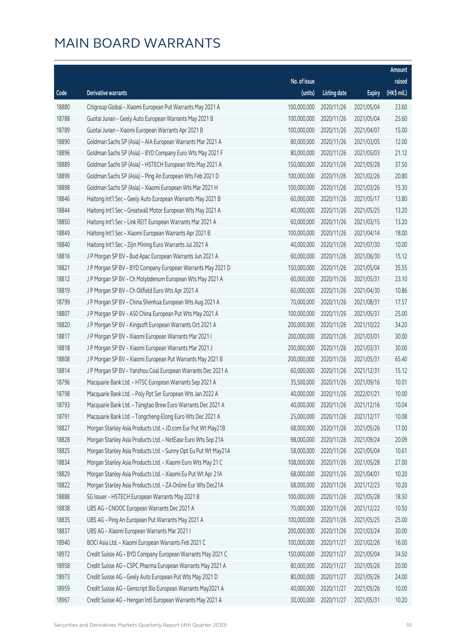|       |                                                                |              |                       |               | Amount       |
|-------|----------------------------------------------------------------|--------------|-----------------------|---------------|--------------|
|       |                                                                | No. of issue |                       |               | raised       |
| Code  | <b>Derivative warrants</b>                                     | (units)      | <b>Listing date</b>   | <b>Expiry</b> | $(HK$$ mil.) |
| 18880 | Citigroup Global - Xiaomi European Put Warrants May 2021 A     | 100,000,000  | 2020/11/26            | 2021/05/04    | 23.60        |
| 18788 | Guotai Junan - Geely Auto European Warrants May 2021 B         | 100,000,000  | 2020/11/26            | 2021/05/04    | 25.60        |
| 18789 | Guotai Junan - Xiaomi European Warrants Apr 2021 B             | 100,000,000  | 2020/11/26            | 2021/04/07    | 15.00        |
| 18890 | Goldman Sachs SP (Asia) - AIA European Warrants Mar 2021 A     | 80,000,000   | 2020/11/26            | 2021/03/05    | 12.00        |
| 18896 | Goldman Sachs SP (Asia) - BYD Company Euro Wts May 2021 F      | 80,000,000   | 2020/11/26            | 2021/05/03    | 21.12        |
| 18889 | Goldman Sachs SP (Asia) - HSTECH European Wts May 2021 A       | 150,000,000  | 2020/11/26            | 2021/05/28    | 37.50        |
| 18899 | Goldman Sachs SP (Asia) - Ping An European Wts Feb 2021 D      | 100,000,000  | 2020/11/26            | 2021/02/26    | 20.80        |
| 18898 | Goldman Sachs SP (Asia) - Xiaomi European Wts Mar 2021 H       | 100,000,000  | 2020/11/26            | 2021/03/26    | 15.30        |
| 18846 | Haitong Int'l Sec - Geely Auto European Warrants May 2021 B    | 60,000,000   | 2020/11/26            | 2021/05/17    | 13.80        |
| 18844 | Haitong Int'l Sec - Greatwall Motor European Wts May 2021 A    | 40,000,000   | 2020/11/26            | 2021/05/25    | 13.20        |
| 18850 | Haitong Int'l Sec - Link REIT European Warrants Mar 2021 A     | 60,000,000   | 2020/11/26            | 2021/03/15    | 13.20        |
| 18849 | Haitong Int'l Sec - Xiaomi European Warrants Apr 2021 B        | 100,000,000  | 2020/11/26            | 2021/04/14    | 18.00        |
| 18840 | Haitong Int'l Sec - Zijin Mining Euro Warrants Jul 2021 A      | 40,000,000   | 2020/11/26            | 2021/07/30    | 10.00        |
| 18816 | J P Morgan SP BV - Bud Apac European Warrants Jun 2021 A       | 60,000,000   | 2020/11/26            | 2021/06/30    | 15.12        |
| 18821 | J P Morgan SP BV - BYD Company European Warrants May 2021 D    | 150,000,000  | 2020/11/26            | 2021/05/04    | 35.55        |
| 18812 | J P Morgan SP BV - Ch Molybdenum European Wts May 2021 A       | 60,000,000   | 2020/11/26            | 2021/05/31    | 23.10        |
| 18819 | J P Morgan SP BV - Ch Oilfield Euro Wts Apr 2021 A             | 60,000,000   | 2020/11/26            | 2021/04/30    | 10.86        |
| 18799 | J P Morgan SP BV - China Shenhua European Wts Aug 2021 A       | 70,000,000   | 2020/11/26            | 2021/08/31    | 17.57        |
| 18807 | J P Morgan SP BV - A50 China European Put Wts May 2021 A       | 100,000,000  | 2020/11/26            | 2021/05/31    | 25.00        |
| 18820 | J P Morgan SP BV - Kingsoft European Warrants Oct 2021 A       | 200,000,000  | 2020/11/26            | 2021/10/22    | 34.20        |
| 18817 | J P Morgan SP BV - Xiaomi European Warrants Mar 2021 I         | 200,000,000  | 2020/11/26            | 2021/03/01    | 30.00        |
| 18818 | J P Morgan SP BV - Xiaomi European Warrants Mar 2021 J         | 200,000,000  | 2020/11/26            | 2021/03/31    | 30.00        |
| 18808 | J P Morgan SP BV - Xiaomi European Put Warrants May 2021 B     | 200,000,000  | 2020/11/26            | 2021/05/31    | 65.40        |
| 18814 | J P Morgan SP BV - Yanzhou Coal European Warrants Dec 2021 A   | 60,000,000   | 2020/11/26            | 2021/12/31    | 15.12        |
| 18796 | Macquarie Bank Ltd. - HTSC European Warrants Sep 2021 A        | 35,500,000   | 2020/11/26            | 2021/09/16    | 10.01        |
| 18798 | Macquarie Bank Ltd. - Poly Ppt Ser European Wts Jan 2022 A     | 40,000,000   | 2020/11/26            | 2022/01/21    | 10.00        |
| 18793 | Macquarie Bank Ltd. - Tsingtao Brew Euro Warrants Dec 2021 A   |              | 40,000,000 2020/11/26 | 2021/12/16    | 10.04        |
| 18791 | Macquarie Bank Ltd. - Tongcheng-Elong Euro Wts Dec 2021 A      | 25,000,000   | 2020/11/26            | 2021/12/17    | 10.08        |
| 18827 | Morgan Stanley Asia Products Ltd. - JD.com Eur Put Wt May21B   | 68,000,000   | 2020/11/26            | 2021/05/26    | 17.00        |
| 18828 | Morgan Stanley Asia Products Ltd. - NetEase Euro Wts Sep 21A   | 98,000,000   | 2020/11/26            | 2021/09/24    | 20.09        |
| 18825 | Morgan Stanley Asia Products Ltd. - Sunny Opt Eu Put Wt May21A | 58,000,000   | 2020/11/26            | 2021/05/04    | 10.61        |
| 18834 | Morgan Stanley Asia Products Ltd. - Xiaomi Euro Wts May 21 C   | 108,000,000  | 2020/11/26            | 2021/05/28    | 27.00        |
| 18829 | Morgan Stanley Asia Products Ltd. - Xiaomi Eu Put Wt Apr 21A   | 68,000,000   | 2020/11/26            | 2021/04/01    | 10.20        |
| 18822 | Morgan Stanley Asia Products Ltd. - ZA Online Eur Wts Dec21A   | 68,000,000   | 2020/11/26            | 2021/12/23    | 10.20        |
| 18888 | SG Issuer - HSTECH European Warrants May 2021 B                | 100,000,000  | 2020/11/26            | 2021/05/28    | 18.50        |
| 18838 | UBS AG - CNOOC European Warrants Dec 2021 A                    | 70,000,000   | 2020/11/26            | 2021/12/22    | 10.50        |
| 18835 | UBS AG - Ping An European Put Warrants May 2021 A              | 100,000,000  | 2020/11/26            | 2021/05/25    | 25.00        |
| 18837 | UBS AG - Xiaomi European Warrants Mar 2021 I                   | 200,000,000  | 2020/11/26            | 2021/03/24    | 30.00        |
| 18940 | BOCI Asia Ltd. - Xiaomi European Warrants Feb 2021 C           | 100,000,000  | 2020/11/27            | 2021/02/26    | 16.00        |
| 18972 | Credit Suisse AG - BYD Company European Warrants May 2021 C    | 150,000,000  | 2020/11/27            | 2021/05/04    | 34.50        |
| 18958 | Credit Suisse AG - CSPC Pharma European Warrants May 2021 A    | 80,000,000   | 2020/11/27            | 2021/05/26    | 20.00        |
| 18973 | Credit Suisse AG - Geely Auto European Put Wts May 2021 D      | 80,000,000   | 2020/11/27            | 2021/05/26    | 24.00        |
| 18959 | Credit Suisse AG - Genscript Bio European Warrants May2021 A   | 40,000,000   | 2020/11/27            | 2021/05/26    | 10.00        |
| 18967 | Credit Suisse AG - Hengan Intl European Warrants May 2021 A    | 30,000,000   | 2020/11/27            | 2021/05/31    | 10.20        |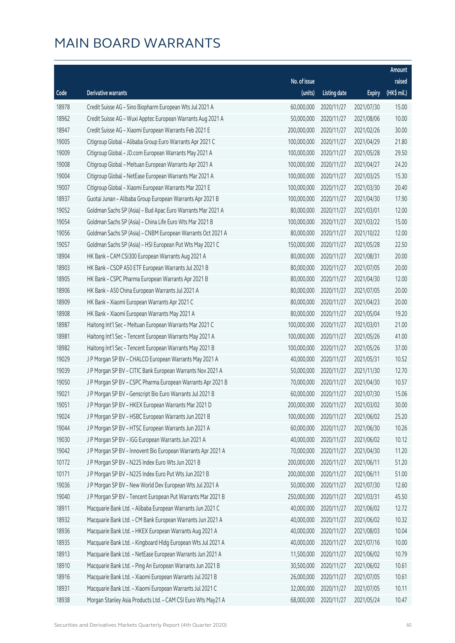|       |                                                              |                        |                     |               | Amount      |
|-------|--------------------------------------------------------------|------------------------|---------------------|---------------|-------------|
|       |                                                              | No. of issue           |                     |               | raised      |
| Code  | Derivative warrants                                          | (units)                | <b>Listing date</b> | <b>Expiry</b> | (HK\$ mil.) |
| 18978 | Credit Suisse AG - Sino Biopharm European Wts Jul 2021 A     | 60,000,000             | 2020/11/27          | 2021/07/30    | 15.00       |
| 18962 | Credit Suisse AG - Wuxi Apptec European Warrants Aug 2021 A  | 50,000,000             | 2020/11/27          | 2021/08/06    | 10.00       |
| 18947 | Credit Suisse AG - Xiaomi European Warrants Feb 2021 E       | 200,000,000            | 2020/11/27          | 2021/02/26    | 30.00       |
| 19005 | Citigroup Global - Alibaba Group Euro Warrants Apr 2021 C    | 100,000,000            | 2020/11/27          | 2021/04/29    | 21.80       |
| 19009 | Citigroup Global - JD.com European Warrants May 2021 A       | 100,000,000            | 2020/11/27          | 2021/05/28    | 29.50       |
| 19008 | Citigroup Global - Meituan European Warrants Apr 2021 A      | 100,000,000            | 2020/11/27          | 2021/04/27    | 24.20       |
| 19004 | Citigroup Global - NetEase European Warrants Mar 2021 A      | 100,000,000            | 2020/11/27          | 2021/03/25    | 15.30       |
| 19007 | Citigroup Global - Xiaomi European Warrants Mar 2021 E       | 100,000,000            | 2020/11/27          | 2021/03/30    | 20.40       |
| 18937 | Guotai Junan - Alibaba Group European Warrants Apr 2021 B    | 100,000,000            | 2020/11/27          | 2021/04/30    | 17.90       |
| 19052 | Goldman Sachs SP (Asia) - Bud Apac Euro Warrants Mar 2021 A  | 80,000,000             | 2020/11/27          | 2021/03/01    | 12.00       |
| 19054 | Goldman Sachs SP (Asia) - China Life Euro Wts Mar 2021 B     | 100,000,000            | 2020/11/27          | 2021/03/22    | 15.00       |
| 19056 | Goldman Sachs SP (Asia) - CNBM European Warrants Oct 2021 A  | 80,000,000             | 2020/11/27          | 2021/10/22    | 12.00       |
| 19057 | Goldman Sachs SP (Asia) - HSI European Put Wts May 2021 C    | 150,000,000            | 2020/11/27          | 2021/05/28    | 22.50       |
| 18904 | HK Bank - CAM CSI300 European Warrants Aug 2021 A            | 80,000,000             | 2020/11/27          | 2021/08/31    | 20.00       |
| 18903 | HK Bank - CSOP A50 ETF European Warrants Jul 2021 B          | 80,000,000             | 2020/11/27          | 2021/07/05    | 20.00       |
| 18905 | HK Bank - CSPC Pharma European Warrants Apr 2021 B           | 80,000,000             | 2020/11/27          | 2021/04/30    | 12.00       |
| 18906 | HK Bank - A50 China European Warrants Jul 2021 A             | 80,000,000             | 2020/11/27          | 2021/07/05    | 20.00       |
| 18909 | HK Bank - Xiaomi European Warrants Apr 2021 C                | 80,000,000             | 2020/11/27          | 2021/04/23    | 20.00       |
| 18908 | HK Bank - Xiaomi European Warrants May 2021 A                | 80,000,000             | 2020/11/27          | 2021/05/04    | 19.20       |
| 18987 | Haitong Int'l Sec - Meituan European Warrants Mar 2021 C     | 100,000,000            | 2020/11/27          | 2021/03/01    | 21.00       |
| 18981 | Haitong Int'l Sec - Tencent European Warrants May 2021 A     | 100,000,000            | 2020/11/27          | 2021/05/26    | 41.00       |
| 18982 | Haitong Int'l Sec - Tencent European Warrants May 2021 B     | 100,000,000            | 2020/11/27          | 2021/05/26    | 37.00       |
| 19029 | J P Morgan SP BV - CHALCO European Warrants May 2021 A       | 40,000,000             | 2020/11/27          | 2021/05/31    | 10.52       |
| 19039 | J P Morgan SP BV - CITIC Bank European Warrants Nov 2021 A   | 50,000,000             | 2020/11/27          | 2021/11/30    | 12.70       |
| 19050 | J P Morgan SP BV - CSPC Pharma European Warrants Apr 2021 B  | 70,000,000             | 2020/11/27          | 2021/04/30    | 10.57       |
| 19021 | J P Morgan SP BV - Genscript Bio Euro Warrants Jul 2021 B    | 60,000,000             | 2020/11/27          | 2021/07/30    | 15.06       |
| 19051 | J P Morgan SP BV - HKEX European Warrants Mar 2021 D         | 200,000,000 2020/11/27 |                     | 2021/03/02    | 30.00       |
| 19024 | J P Morgan SP BV - HSBC European Warrants Jun 2021 B         | 100,000,000            | 2020/11/27          | 2021/06/02    | 25.20       |
| 19044 | J P Morgan SP BV - HTSC European Warrants Jun 2021 A         | 60,000,000             | 2020/11/27          | 2021/06/30    | 10.26       |
| 19030 | J P Morgan SP BV - IGG European Warrants Jun 2021 A          | 40,000,000             | 2020/11/27          | 2021/06/02    | 10.12       |
| 19042 | J P Morgan SP BV - Innovent Bio European Warrants Apr 2021 A | 70,000,000             | 2020/11/27          | 2021/04/30    | 11.20       |
| 10172 | J P Morgan SP BV - N225 Index Euro Wts Jun 2021 B            | 200,000,000            | 2020/11/27          | 2021/06/11    | 51.20       |
| 10171 | J P Morgan SP BV - N225 Index Euro Put Wts Jun 2021 B        | 200,000,000            | 2020/11/27          | 2021/06/11    | 51.00       |
| 19036 | J P Morgan SP BV - New World Dev European Wts Jul 2021 A     | 50,000,000             | 2020/11/27          | 2021/07/30    | 12.60       |
| 19040 | J P Morgan SP BV - Tencent European Put Warrants Mar 2021 B  | 250,000,000            | 2020/11/27          | 2021/03/31    | 45.50       |
| 18911 | Macquarie Bank Ltd. - Alibaba European Warrants Jun 2021 C   | 40,000,000             | 2020/11/27          | 2021/06/02    | 12.72       |
| 18932 | Macquarie Bank Ltd. - CM Bank European Warrants Jun 2021 A   | 40,000,000             | 2020/11/27          | 2021/06/02    | 10.32       |
| 18936 | Macquarie Bank Ltd. - HKEX European Warrants Aug 2021 A      | 40,000,000             | 2020/11/27          | 2021/08/03    | 10.04       |
| 18935 | Macquarie Bank Ltd. - Kingboard Hldg European Wts Jul 2021 A | 40,000,000             | 2020/11/27          | 2021/07/16    | 10.00       |
| 18913 | Macquarie Bank Ltd. - NetEase European Warrants Jun 2021 A   | 11,500,000             | 2020/11/27          | 2021/06/02    | 10.79       |
| 18910 | Macquarie Bank Ltd. - Ping An European Warrants Jun 2021 B   | 30,500,000             | 2020/11/27          | 2021/06/02    | 10.61       |
| 18916 | Macquarie Bank Ltd. - Xiaomi European Warrants Jul 2021 B    | 26,000,000             | 2020/11/27          | 2021/07/05    | 10.61       |
| 18931 | Macquarie Bank Ltd. - Xiaomi European Warrants Jul 2021 C    | 32,000,000             | 2020/11/27          | 2021/07/05    | 10.11       |
| 18938 | Morgan Stanley Asia Products Ltd. - CAM CSI Euro Wts May21 A | 68,000,000             | 2020/11/27          | 2021/05/24    | 10.47       |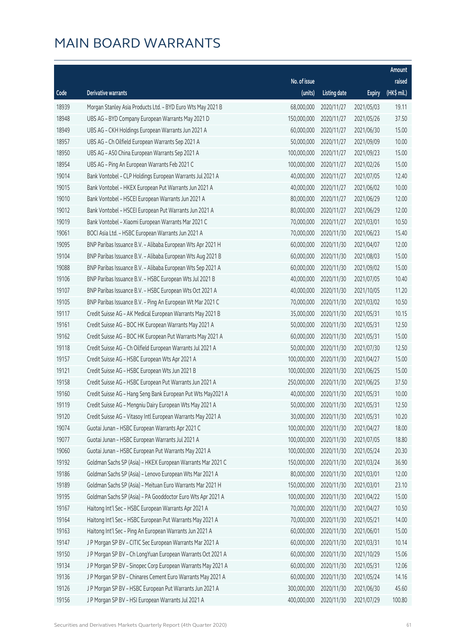|       |                                                              |              |                       |               | Amount      |
|-------|--------------------------------------------------------------|--------------|-----------------------|---------------|-------------|
|       |                                                              | No. of issue |                       |               | raised      |
| Code  | Derivative warrants                                          | (units)      | <b>Listing date</b>   | <b>Expiry</b> | (HK\$ mil.) |
| 18939 | Morgan Stanley Asia Products Ltd. - BYD Euro Wts May 2021 B  | 68,000,000   | 2020/11/27            | 2021/05/03    | 19.11       |
| 18948 | UBS AG - BYD Company European Warrants May 2021 D            | 150,000,000  | 2020/11/27            | 2021/05/26    | 37.50       |
| 18949 | UBS AG - CKH Holdings European Warrants Jun 2021 A           | 60,000,000   | 2020/11/27            | 2021/06/30    | 15.00       |
| 18957 | UBS AG - Ch Oilfield European Warrants Sep 2021 A            | 50,000,000   | 2020/11/27            | 2021/09/09    | 10.00       |
| 18950 | UBS AG - A50 China European Warrants Sep 2021 A              | 100,000,000  | 2020/11/27            | 2021/09/23    | 15.00       |
| 18954 | UBS AG - Ping An European Warrants Feb 2021 C                | 100,000,000  | 2020/11/27            | 2021/02/26    | 15.00       |
| 19014 | Bank Vontobel - CLP Holdings European Warrants Jul 2021 A    | 40,000,000   | 2020/11/27            | 2021/07/05    | 12.40       |
| 19015 | Bank Vontobel - HKEX European Put Warrants Jun 2021 A        | 40,000,000   | 2020/11/27            | 2021/06/02    | 10.00       |
| 19010 | Bank Vontobel - HSCEI European Warrants Jun 2021 A           | 80,000,000   | 2020/11/27            | 2021/06/29    | 12.00       |
| 19012 | Bank Vontobel - HSCEI European Put Warrants Jun 2021 A       | 80,000,000   | 2020/11/27            | 2021/06/29    | 12.00       |
| 19019 | Bank Vontobel - Xiaomi European Warrants Mar 2021 C          | 70,000,000   | 2020/11/27            | 2021/03/01    | 10.50       |
| 19061 | BOCI Asia Ltd. - HSBC European Warrants Jun 2021 A           | 70,000,000   | 2020/11/30            | 2021/06/23    | 15.40       |
| 19095 | BNP Paribas Issuance B.V. - Alibaba European Wts Apr 2021 H  | 60,000,000   | 2020/11/30            | 2021/04/07    | 12.00       |
| 19104 | BNP Paribas Issuance B.V. - Alibaba European Wts Aug 2021 B  | 60,000,000   | 2020/11/30            | 2021/08/03    | 15.00       |
| 19088 | BNP Paribas Issuance B.V. - Alibaba European Wts Sep 2021 A  | 60,000,000   | 2020/11/30            | 2021/09/02    | 15.00       |
| 19106 | BNP Paribas Issuance B.V. - HSBC European Wts Jul 2021 B     | 40,000,000   | 2020/11/30            | 2021/07/05    | 10.40       |
| 19107 | BNP Paribas Issuance B.V. - HSBC European Wts Oct 2021 A     | 40,000,000   | 2020/11/30            | 2021/10/05    | 11.20       |
| 19105 | BNP Paribas Issuance B.V. - Ping An European Wt Mar 2021 C   | 70,000,000   | 2020/11/30            | 2021/03/02    | 10.50       |
| 19117 | Credit Suisse AG - AK Medical European Warrants May 2021 B   | 35,000,000   | 2020/11/30            | 2021/05/31    | 10.15       |
| 19161 | Credit Suisse AG - BOC HK European Warrants May 2021 A       | 50,000,000   | 2020/11/30            | 2021/05/31    | 12.50       |
| 19162 | Credit Suisse AG - BOC HK European Put Warrants May 2021 A   | 60,000,000   | 2020/11/30            | 2021/05/31    | 15.00       |
| 19118 | Credit Suisse AG - Ch Oilfield European Warrants Jul 2021 A  | 50,000,000   | 2020/11/30            | 2021/07/30    | 12.50       |
| 19157 | Credit Suisse AG - HSBC European Wts Apr 2021 A              | 100,000,000  | 2020/11/30            | 2021/04/27    | 15.00       |
| 19121 | Credit Suisse AG - HSBC European Wts Jun 2021 B              | 100,000,000  | 2020/11/30            | 2021/06/25    | 15.00       |
| 19158 | Credit Suisse AG - HSBC European Put Warrants Jun 2021 A     | 250,000,000  | 2020/11/30            | 2021/06/25    | 37.50       |
| 19160 | Credit Suisse AG - Hang Seng Bank European Put Wts May2021 A | 40,000,000   | 2020/11/30            | 2021/05/31    | 10.00       |
| 19119 | Credit Suisse AG - Mengniu Dairy European Wts May 2021 A     |              | 50,000,000 2020/11/30 | 2021/05/31    | 12.50       |
| 19120 | Credit Suisse AG - Vitasoy Intl European Warrants May 2021 A | 30,000,000   | 2020/11/30            | 2021/05/31    | 10.20       |
| 19074 | Guotai Junan - HSBC European Warrants Apr 2021 C             | 100,000,000  | 2020/11/30            | 2021/04/27    | 18.00       |
| 19077 | Guotai Junan - HSBC European Warrants Jul 2021 A             | 100,000,000  | 2020/11/30            | 2021/07/05    | 18.80       |
| 19060 | Guotai Junan - HSBC European Put Warrants May 2021 A         | 100,000,000  | 2020/11/30            | 2021/05/24    | 20.30       |
| 19192 | Goldman Sachs SP (Asia) - HKEX European Warrants Mar 2021 C  | 150,000,000  | 2020/11/30            | 2021/03/24    | 36.90       |
| 19186 | Goldman Sachs SP (Asia) - Lenovo European Wts Mar 2021 A     | 80,000,000   | 2020/11/30            | 2021/03/01    | 12.00       |
| 19189 | Goldman Sachs SP (Asia) - Meituan Euro Warrants Mar 2021 H   | 150,000,000  | 2020/11/30            | 2021/03/01    | 23.10       |
| 19195 | Goldman Sachs SP (Asia) - PA Gooddoctor Euro Wts Apr 2021 A  | 100,000,000  | 2020/11/30            | 2021/04/22    | 15.00       |
| 19167 | Haitong Int'l Sec - HSBC European Warrants Apr 2021 A        | 70,000,000   | 2020/11/30            | 2021/04/27    | 10.50       |
| 19164 | Haitong Int'l Sec - HSBC European Put Warrants May 2021 A    | 70,000,000   | 2020/11/30            | 2021/05/21    | 14.00       |
| 19163 | Haitong Int'l Sec - Ping An European Warrants Jun 2021 A     | 60,000,000   | 2020/11/30            | 2021/06/01    | 15.00       |
| 19147 | J P Morgan SP BV - CITIC Sec European Warrants Mar 2021 A    | 60,000,000   | 2020/11/30            | 2021/03/31    | 10.14       |
| 19150 | J P Morgan SP BV - Ch Long Yuan European Warrants Oct 2021 A | 60,000,000   | 2020/11/30            | 2021/10/29    | 15.06       |
| 19134 | J P Morgan SP BV - Sinopec Corp European Warrants May 2021 A | 60,000,000   | 2020/11/30            | 2021/05/31    | 12.06       |
| 19136 | J P Morgan SP BV - Chinares Cement Euro Warrants May 2021 A  | 60,000,000   | 2020/11/30            | 2021/05/24    | 14.16       |
| 19126 | J P Morgan SP BV - HSBC European Put Warrants Jun 2021 A     | 300,000,000  | 2020/11/30            | 2021/06/30    | 45.60       |
| 19156 | J P Morgan SP BV - HSI European Warrants Jul 2021 A          | 400,000,000  | 2020/11/30            | 2021/07/29    | 100.80      |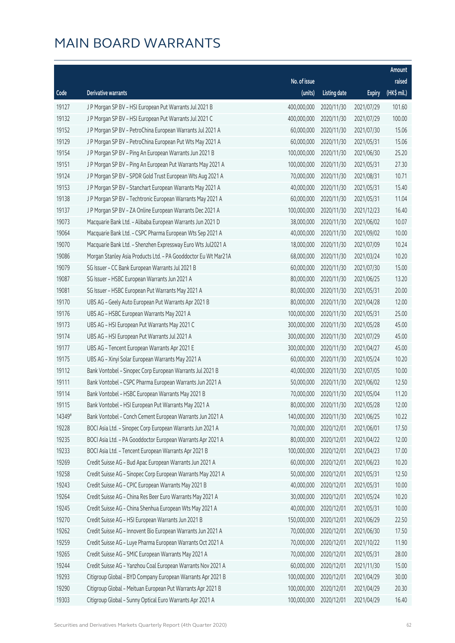|        |                                                                |              |                       |               | Amount      |
|--------|----------------------------------------------------------------|--------------|-----------------------|---------------|-------------|
|        |                                                                | No. of issue |                       |               | raised      |
| Code   | Derivative warrants                                            | (units)      | <b>Listing date</b>   | <b>Expiry</b> | (HK\$ mil.) |
| 19127  | J P Morgan SP BV - HSI European Put Warrants Jul 2021 B        | 400,000,000  | 2020/11/30            | 2021/07/29    | 101.60      |
| 19132  | J P Morgan SP BV - HSI European Put Warrants Jul 2021 C        | 400,000,000  | 2020/11/30            | 2021/07/29    | 100.00      |
| 19152  | J P Morgan SP BV - PetroChina European Warrants Jul 2021 A     | 60,000,000   | 2020/11/30            | 2021/07/30    | 15.06       |
| 19129  | J P Morgan SP BV - PetroChina European Put Wts May 2021 A      | 60,000,000   | 2020/11/30            | 2021/05/31    | 15.06       |
| 19154  | J P Morgan SP BV - Ping An European Warrants Jun 2021 B        | 100,000,000  | 2020/11/30            | 2021/06/30    | 25.20       |
| 19151  | J P Morgan SP BV - Ping An European Put Warrants May 2021 A    | 100,000,000  | 2020/11/30            | 2021/05/31    | 27.30       |
| 19124  | J P Morgan SP BV - SPDR Gold Trust European Wts Aug 2021 A     | 70,000,000   | 2020/11/30            | 2021/08/31    | 10.71       |
| 19153  | J P Morgan SP BV - Stanchart European Warrants May 2021 A      | 40,000,000   | 2020/11/30            | 2021/05/31    | 15.40       |
| 19138  | J P Morgan SP BV - Techtronic European Warrants May 2021 A     | 60,000,000   | 2020/11/30            | 2021/05/31    | 11.04       |
| 19137  | J P Morgan SP BV - ZA Online European Warrants Dec 2021 A      | 100,000,000  | 2020/11/30            | 2021/12/23    | 16.40       |
| 19073  | Macquarie Bank Ltd. - Alibaba European Warrants Jun 2021 D     | 38,000,000   | 2020/11/30            | 2021/06/02    | 10.07       |
| 19064  | Macquarie Bank Ltd. - CSPC Pharma European Wts Sep 2021 A      | 40,000,000   | 2020/11/30            | 2021/09/02    | 10.00       |
| 19070  | Macquarie Bank Ltd. - Shenzhen Expressway Euro Wts Jul2021 A   | 18,000,000   | 2020/11/30            | 2021/07/09    | 10.24       |
| 19086  | Morgan Stanley Asia Products Ltd. - PA Gooddoctor Eu Wt Mar21A | 68,000,000   | 2020/11/30            | 2021/03/24    | 10.20       |
| 19079  | SG Issuer - CC Bank European Warrants Jul 2021 B               | 60,000,000   | 2020/11/30            | 2021/07/30    | 15.00       |
| 19087  | SG Issuer - HSBC European Warrants Jun 2021 A                  | 80,000,000   | 2020/11/30            | 2021/06/25    | 13.20       |
| 19081  | SG Issuer - HSBC European Put Warrants May 2021 A              | 80,000,000   | 2020/11/30            | 2021/05/31    | 20.00       |
| 19170  | UBS AG - Geely Auto European Put Warrants Apr 2021 B           | 80,000,000   | 2020/11/30            | 2021/04/28    | 12.00       |
| 19176  | UBS AG - HSBC European Warrants May 2021 A                     | 100,000,000  | 2020/11/30            | 2021/05/31    | 25.00       |
| 19173  | UBS AG - HSI European Put Warrants May 2021 C                  | 300,000,000  | 2020/11/30            | 2021/05/28    | 45.00       |
| 19174  | UBS AG - HSI European Put Warrants Jul 2021 A                  | 300,000,000  | 2020/11/30            | 2021/07/29    | 45.00       |
| 19177  | UBS AG - Tencent European Warrants Apr 2021 E                  | 300,000,000  | 2020/11/30            | 2021/04/27    | 45.00       |
| 19175  | UBS AG - Xinyi Solar European Warrants May 2021 A              | 60,000,000   | 2020/11/30            | 2021/05/24    | 10.20       |
| 19112  | Bank Vontobel - Sinopec Corp European Warrants Jul 2021 B      | 40,000,000   | 2020/11/30            | 2021/07/05    | 10.00       |
| 19111  | Bank Vontobel - CSPC Pharma European Warrants Jun 2021 A       | 50,000,000   | 2020/11/30            | 2021/06/02    | 12.50       |
| 19114  | Bank Vontobel - HSBC European Warrants May 2021 B              | 70,000,000   | 2020/11/30            | 2021/05/04    | 11.20       |
| 19115  | Bank Vontobel - HSI European Put Warrants May 2021 A           |              | 80,000,000 2020/11/30 | 2021/05/28    | 12.00       |
| 14349# | Bank Vontobel - Conch Cement European Warrants Jun 2021 A      | 140,000,000  | 2020/11/30            | 2021/06/25    | 10.22       |
| 19228  | BOCI Asia Ltd. - Sinopec Corp European Warrants Jun 2021 A     | 70,000,000   | 2020/12/01            | 2021/06/01    | 17.50       |
| 19235  | BOCI Asia Ltd. - PA Gooddoctor European Warrants Apr 2021 A    | 80,000,000   | 2020/12/01            | 2021/04/22    | 12.00       |
| 19233  | BOCI Asia Ltd. - Tencent European Warrants Apr 2021 B          | 100,000,000  | 2020/12/01            | 2021/04/23    | 17.00       |
| 19269  | Credit Suisse AG - Bud Apac European Warrants Jun 2021 A       | 60,000,000   | 2020/12/01            | 2021/06/23    | 10.20       |
| 19258  | Credit Suisse AG - Sinopec Corp European Warrants May 2021 A   | 50,000,000   | 2020/12/01            | 2021/05/31    | 12.50       |
| 19243  | Credit Suisse AG - CPIC European Warrants May 2021 B           | 40,000,000   | 2020/12/01            | 2021/05/31    | 10.00       |
| 19264  | Credit Suisse AG - China Res Beer Euro Warrants May 2021 A     | 30,000,000   | 2020/12/01            | 2021/05/24    | 10.20       |
| 19245  | Credit Suisse AG - China Shenhua European Wts May 2021 A       | 40,000,000   | 2020/12/01            | 2021/05/31    | 10.00       |
| 19270  | Credit Suisse AG - HSI European Warrants Jun 2021 B            | 150,000,000  | 2020/12/01            | 2021/06/29    | 22.50       |
| 19262  | Credit Suisse AG - Innovent Bio European Warrants Jun 2021 A   | 70,000,000   | 2020/12/01            | 2021/06/30    | 17.50       |
| 19259  | Credit Suisse AG - Luye Pharma European Warrants Oct 2021 A    | 70,000,000   | 2020/12/01            | 2021/10/22    | 11.90       |
| 19265  | Credit Suisse AG - SMIC European Warrants May 2021 A           | 70,000,000   | 2020/12/01            | 2021/05/31    | 28.00       |
| 19244  | Credit Suisse AG - Yanzhou Coal European Warrants Nov 2021 A   | 60,000,000   | 2020/12/01            | 2021/11/30    | 15.00       |
| 19293  | Citigroup Global - BYD Company European Warrants Apr 2021 B    | 100,000,000  | 2020/12/01            | 2021/04/29    | 30.00       |
| 19290  | Citigroup Global - Meituan European Put Warrants Apr 2021 B    | 100,000,000  | 2020/12/01            | 2021/04/29    | 20.30       |
| 19303  | Citigroup Global - Sunny Optical Euro Warrants Apr 2021 A      | 100,000,000  | 2020/12/01            | 2021/04/29    | 16.40       |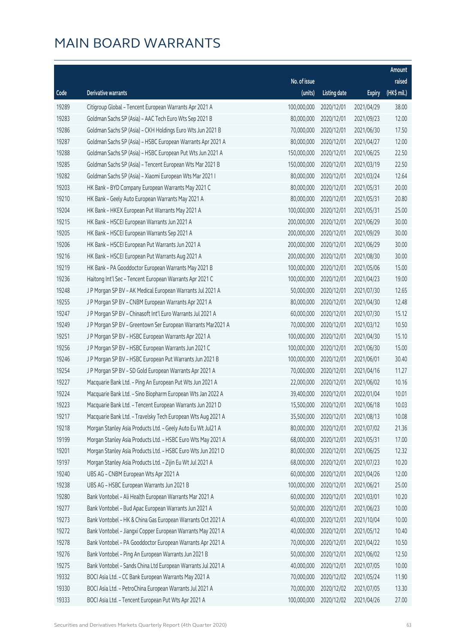|       |                                                              |              |                       |               | Amount      |
|-------|--------------------------------------------------------------|--------------|-----------------------|---------------|-------------|
|       |                                                              | No. of issue |                       |               | raised      |
| Code  | Derivative warrants                                          | (units)      | <b>Listing date</b>   | <b>Expiry</b> | (HK\$ mil.) |
| 19289 | Citigroup Global - Tencent European Warrants Apr 2021 A      | 100,000,000  | 2020/12/01            | 2021/04/29    | 38.00       |
| 19283 | Goldman Sachs SP (Asia) - AAC Tech Euro Wts Sep 2021 B       | 80,000,000   | 2020/12/01            | 2021/09/23    | 12.00       |
| 19286 | Goldman Sachs SP (Asia) - CKH Holdings Euro Wts Jun 2021 B   | 70,000,000   | 2020/12/01            | 2021/06/30    | 17.50       |
| 19287 | Goldman Sachs SP (Asia) - HSBC European Warrants Apr 2021 A  | 80,000,000   | 2020/12/01            | 2021/04/27    | 12.00       |
| 19288 | Goldman Sachs SP (Asia) - HSBC European Put Wts Jun 2021 A   | 150,000,000  | 2020/12/01            | 2021/06/25    | 22.50       |
| 19285 | Goldman Sachs SP (Asia) - Tencent European Wts Mar 2021 B    | 150,000,000  | 2020/12/01            | 2021/03/19    | 22.50       |
| 19282 | Goldman Sachs SP (Asia) - Xiaomi European Wts Mar 2021 I     | 80,000,000   | 2020/12/01            | 2021/03/24    | 12.64       |
| 19203 | HK Bank - BYD Company European Warrants May 2021 C           | 80,000,000   | 2020/12/01            | 2021/05/31    | 20.00       |
| 19210 | HK Bank - Geely Auto European Warrants May 2021 A            | 80,000,000   | 2020/12/01            | 2021/05/31    | 20.80       |
| 19204 | HK Bank - HKEX European Put Warrants May 2021 A              | 100,000,000  | 2020/12/01            | 2021/05/31    | 25.00       |
| 19215 | HK Bank - HSCEI European Warrants Jun 2021 A                 | 200,000,000  | 2020/12/01            | 2021/06/29    | 30.00       |
| 19205 | HK Bank - HSCEI European Warrants Sep 2021 A                 | 200,000,000  | 2020/12/01            | 2021/09/29    | 30.00       |
| 19206 | HK Bank - HSCEI European Put Warrants Jun 2021 A             | 200,000,000  | 2020/12/01            | 2021/06/29    | 30.00       |
| 19216 | HK Bank - HSCEI European Put Warrants Aug 2021 A             | 200,000,000  | 2020/12/01            | 2021/08/30    | 30.00       |
| 19219 | HK Bank - PA Gooddoctor European Warrants May 2021 B         | 100,000,000  | 2020/12/01            | 2021/05/06    | 15.00       |
| 19236 | Haitong Int'l Sec - Tencent European Warrants Apr 2021 C     | 100,000,000  | 2020/12/01            | 2021/04/23    | 19.00       |
| 19248 | J P Morgan SP BV - AK Medical European Warrants Jul 2021 A   | 50,000,000   | 2020/12/01            | 2021/07/30    | 12.65       |
| 19255 | J P Morgan SP BV - CNBM European Warrants Apr 2021 A         | 80,000,000   | 2020/12/01            | 2021/04/30    | 12.48       |
| 19247 | J P Morgan SP BV - Chinasoft Int'l Euro Warrants Jul 2021 A  | 60,000,000   | 2020/12/01            | 2021/07/30    | 15.12       |
| 19249 | J P Morgan SP BV - Greentown Ser European Warrants Mar2021 A | 70,000,000   | 2020/12/01            | 2021/03/12    | 10.50       |
| 19251 | J P Morgan SP BV - HSBC European Warrants Apr 2021 A         | 100,000,000  | 2020/12/01            | 2021/04/30    | 15.10       |
| 19256 | J P Morgan SP BV - HSBC European Warrants Jun 2021 C         | 100,000,000  | 2020/12/01            | 2021/06/30    | 15.00       |
| 19246 | J P Morgan SP BV - HSBC European Put Warrants Jun 2021 B     | 100,000,000  | 2020/12/01            | 2021/06/01    | 30.40       |
| 19254 | J P Morgan SP BV - SD Gold European Warrants Apr 2021 A      | 70,000,000   | 2020/12/01            | 2021/04/16    | 11.27       |
| 19227 | Macquarie Bank Ltd. - Ping An European Put Wts Jun 2021 A    | 22,000,000   | 2020/12/01            | 2021/06/02    | 10.16       |
| 19224 | Macquarie Bank Ltd. - Sino Biopharm European Wts Jan 2022 A  | 39,400,000   | 2020/12/01            | 2022/01/04    | 10.01       |
| 19223 | Macquarie Bank Ltd. - Tencent European Warrants Jun 2021 D   |              | 15,500,000 2020/12/01 | 2021/06/18    | 10.03       |
| 19217 | Macquarie Bank Ltd. - Travelsky Tech European Wts Aug 2021 A | 35,500,000   | 2020/12/01            | 2021/08/13    | 10.08       |
| 19218 | Morgan Stanley Asia Products Ltd. - Geely Auto Eu Wt Jul21 A | 80,000,000   | 2020/12/01            | 2021/07/02    | 21.36       |
| 19199 | Morgan Stanley Asia Products Ltd. - HSBC Euro Wts May 2021 A | 68,000,000   | 2020/12/01            | 2021/05/31    | 17.00       |
| 19201 | Morgan Stanley Asia Products Ltd. - HSBC Euro Wts Jun 2021 D | 80,000,000   | 2020/12/01            | 2021/06/25    | 12.32       |
| 19197 | Morgan Stanley Asia Products Ltd. - Zijin Eu Wt Jul 2021 A   | 68,000,000   | 2020/12/01            | 2021/07/23    | 10.20       |
| 19240 | UBS AG - CNBM European Wts Apr 2021 A                        | 60,000,000   | 2020/12/01            | 2021/04/26    | 12.00       |
| 19238 | UBS AG - HSBC European Warrants Jun 2021 B                   | 100,000,000  | 2020/12/01            | 2021/06/21    | 25.00       |
| 19280 | Bank Vontobel - Ali Health European Warrants Mar 2021 A      | 60,000,000   | 2020/12/01            | 2021/03/01    | 10.20       |
| 19277 | Bank Vontobel - Bud Apac European Warrants Jun 2021 A        | 50,000,000   | 2020/12/01            | 2021/06/23    | 10.00       |
| 19273 | Bank Vontobel - HK & China Gas European Warrants Oct 2021 A  | 40,000,000   | 2020/12/01            | 2021/10/04    | 10.00       |
| 19272 | Bank Vontobel - Jiangxi Copper European Warrants May 2021 A  | 40,000,000   | 2020/12/01            | 2021/05/12    | 10.40       |
| 19278 | Bank Vontobel - PA Gooddoctor European Warrants Apr 2021 A   | 70,000,000   | 2020/12/01            | 2021/04/22    | 10.50       |
| 19276 | Bank Vontobel - Ping An European Warrants Jun 2021 B         | 50,000,000   | 2020/12/01            | 2021/06/02    | 12.50       |
| 19275 | Bank Vontobel - Sands China Ltd European Warrants Jul 2021 A | 40,000,000   | 2020/12/01            | 2021/07/05    | 10.00       |
| 19332 | BOCI Asia Ltd. - CC Bank European Warrants May 2021 A        | 70,000,000   | 2020/12/02            | 2021/05/24    | 11.90       |
| 19330 | BOCI Asia Ltd. - PetroChina European Warrants Jul 2021 A     | 70,000,000   | 2020/12/02            | 2021/07/05    | 13.30       |
| 19333 | BOCI Asia Ltd. - Tencent European Put Wts Apr 2021 A         | 100,000,000  | 2020/12/02            | 2021/04/26    | 27.00       |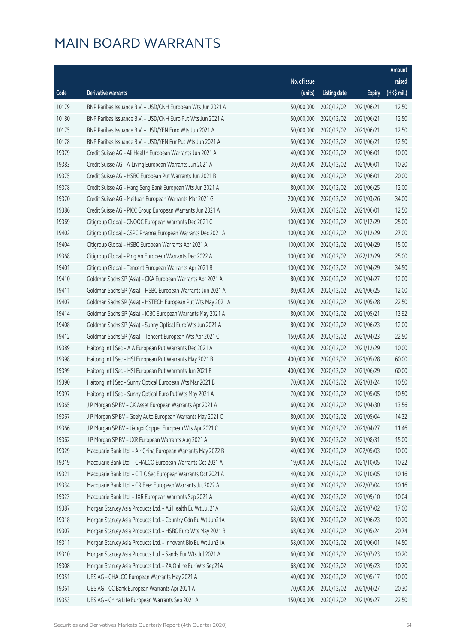|       |                                                               |              |                       |               | Amount      |
|-------|---------------------------------------------------------------|--------------|-----------------------|---------------|-------------|
|       |                                                               | No. of issue |                       |               | raised      |
| Code  | Derivative warrants                                           | (units)      | <b>Listing date</b>   | <b>Expiry</b> | (HK\$ mil.) |
| 10179 | BNP Paribas Issuance B.V. - USD/CNH European Wts Jun 2021 A   | 50,000,000   | 2020/12/02            | 2021/06/21    | 12.50       |
| 10180 | BNP Paribas Issuance B.V. - USD/CNH Euro Put Wts Jun 2021 A   | 50,000,000   | 2020/12/02            | 2021/06/21    | 12.50       |
| 10175 | BNP Paribas Issuance B.V. - USD/YEN Euro Wts Jun 2021 A       | 50,000,000   | 2020/12/02            | 2021/06/21    | 12.50       |
| 10178 | BNP Paribas Issuance B.V. - USD/YEN Eur Put Wts Jun 2021 A    | 50,000,000   | 2020/12/02            | 2021/06/21    | 12.50       |
| 19379 | Credit Suisse AG - Ali Health European Warrants Jun 2021 A    | 40,000,000   | 2020/12/02            | 2021/06/01    | 10.00       |
| 19383 | Credit Suisse AG - A-Living European Warrants Jun 2021 A      | 30,000,000   | 2020/12/02            | 2021/06/01    | 10.20       |
| 19375 | Credit Suisse AG - HSBC European Put Warrants Jun 2021 B      | 80,000,000   | 2020/12/02            | 2021/06/01    | 20.00       |
| 19378 | Credit Suisse AG - Hang Seng Bank European Wts Jun 2021 A     | 80,000,000   | 2020/12/02            | 2021/06/25    | 12.00       |
| 19370 | Credit Suisse AG - Meituan European Warrants Mar 2021 G       | 200,000,000  | 2020/12/02            | 2021/03/26    | 34.00       |
| 19386 | Credit Suisse AG - PICC Group European Warrants Jun 2021 A    | 50,000,000   | 2020/12/02            | 2021/06/01    | 12.50       |
| 19369 | Citigroup Global - CNOOC European Warrants Dec 2021 C         | 100,000,000  | 2020/12/02            | 2021/12/29    | 25.00       |
| 19402 | Citigroup Global - CSPC Pharma European Warrants Dec 2021 A   | 100,000,000  | 2020/12/02            | 2021/12/29    | 27.00       |
| 19404 | Citigroup Global - HSBC European Warrants Apr 2021 A          | 100,000,000  | 2020/12/02            | 2021/04/29    | 15.00       |
| 19368 | Citigroup Global - Ping An European Warrants Dec 2022 A       | 100,000,000  | 2020/12/02            | 2022/12/29    | 25.00       |
| 19401 | Citigroup Global - Tencent European Warrants Apr 2021 B       | 100,000,000  | 2020/12/02            | 2021/04/29    | 34.50       |
| 19410 | Goldman Sachs SP (Asia) - CKA European Warrants Apr 2021 A    | 80,000,000   | 2020/12/02            | 2021/04/27    | 12.00       |
| 19411 | Goldman Sachs SP (Asia) - HSBC European Warrants Jun 2021 A   | 80,000,000   | 2020/12/02            | 2021/06/25    | 12.00       |
| 19407 | Goldman Sachs SP (Asia) - HSTECH European Put Wts May 2021 A  | 150,000,000  | 2020/12/02            | 2021/05/28    | 22.50       |
| 19414 | Goldman Sachs SP (Asia) - ICBC European Warrants May 2021 A   | 80,000,000   | 2020/12/02            | 2021/05/21    | 13.92       |
| 19408 | Goldman Sachs SP (Asia) - Sunny Optical Euro Wts Jun 2021 A   | 80,000,000   | 2020/12/02            | 2021/06/23    | 12.00       |
| 19412 | Goldman Sachs SP (Asia) - Tencent European Wts Apr 2021 C     | 150,000,000  | 2020/12/02            | 2021/04/23    | 22.50       |
| 19389 | Haitong Int'l Sec - AIA European Put Warrants Dec 2021 A      | 40,000,000   | 2020/12/02            | 2021/12/29    | 10.00       |
| 19398 | Haitong Int'l Sec - HSI European Put Warrants May 2021 B      | 400,000,000  | 2020/12/02            | 2021/05/28    | 60.00       |
| 19399 | Haitong Int'l Sec - HSI European Put Warrants Jun 2021 B      | 400,000,000  | 2020/12/02            | 2021/06/29    | 60.00       |
| 19390 | Haitong Int'l Sec - Sunny Optical European Wts Mar 2021 B     | 70,000,000   | 2020/12/02            | 2021/03/24    | 10.50       |
| 19397 | Haitong Int'l Sec - Sunny Optical Euro Put Wts May 2021 A     | 70,000,000   | 2020/12/02            | 2021/05/05    | 10.50       |
| 19365 | J P Morgan SP BV - CK Asset European Warrants Apr 2021 A      |              | 60,000,000 2020/12/02 | 2021/04/30    | 13.56       |
| 19367 | J P Morgan SP BV - Geely Auto European Warrants May 2021 C    | 80,000,000   | 2020/12/02            | 2021/05/04    | 14.32       |
| 19366 | J P Morgan SP BV - Jiangxi Copper European Wts Apr 2021 C     | 60,000,000   | 2020/12/02            | 2021/04/27    | 11.46       |
| 19362 | J P Morgan SP BV - JXR European Warrants Aug 2021 A           | 60,000,000   | 2020/12/02            | 2021/08/31    | 15.00       |
| 19329 | Macquarie Bank Ltd. - Air China European Warrants May 2022 B  | 40,000,000   | 2020/12/02            | 2022/05/03    | 10.00       |
| 19319 | Macquarie Bank Ltd. - CHALCO European Warrants Oct 2021 A     | 19,000,000   | 2020/12/02            | 2021/10/05    | 10.22       |
| 19321 | Macquarie Bank Ltd. - CITIC Sec European Warrants Oct 2021 A  | 40,000,000   | 2020/12/02            | 2021/10/05    | 10.16       |
| 19334 | Macquarie Bank Ltd. - CR Beer European Warrants Jul 2022 A    | 40,000,000   | 2020/12/02            | 2022/07/04    | 10.16       |
| 19323 | Macquarie Bank Ltd. - JXR European Warrants Sep 2021 A        | 40,000,000   | 2020/12/02            | 2021/09/10    | 10.04       |
| 19387 | Morgan Stanley Asia Products Ltd. - Ali Health Eu Wt Jul 21A  | 68,000,000   | 2020/12/02            | 2021/07/02    | 17.00       |
| 19318 | Morgan Stanley Asia Products Ltd. - Country Gdn Eu Wt Jun21A  | 68,000,000   | 2020/12/02            | 2021/06/23    | 10.20       |
| 19307 | Morgan Stanley Asia Products Ltd. - HSBC Euro Wts May 2021 B  | 68,000,000   | 2020/12/02            | 2021/05/24    | 20.74       |
| 19311 | Morgan Stanley Asia Products Ltd. - Innovent Bio Eu Wt Jun21A | 58,000,000   | 2020/12/02            | 2021/06/01    | 14.50       |
| 19310 | Morgan Stanley Asia Products Ltd. - Sands Eur Wts Jul 2021 A  | 60,000,000   | 2020/12/02            | 2021/07/23    | 10.20       |
| 19308 | Morgan Stanley Asia Products Ltd. - ZA Online Eur Wts Sep21A  | 68,000,000   | 2020/12/02            | 2021/09/23    | 10.20       |
| 19351 | UBS AG - CHALCO European Warrants May 2021 A                  | 40,000,000   | 2020/12/02            | 2021/05/17    | 10.00       |
| 19361 | UBS AG - CC Bank European Warrants Apr 2021 A                 | 70,000,000   | 2020/12/02            | 2021/04/27    | 20.30       |
| 19353 | UBS AG - China Life European Warrants Sep 2021 A              | 150,000,000  | 2020/12/02            | 2021/09/27    | 22.50       |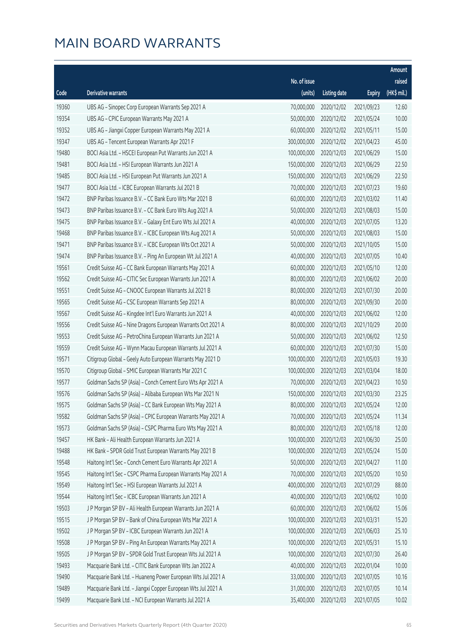|       |                                                              |              |                       |               | Amount      |
|-------|--------------------------------------------------------------|--------------|-----------------------|---------------|-------------|
|       |                                                              | No. of issue |                       |               | raised      |
| Code  | <b>Derivative warrants</b>                                   | (units)      | <b>Listing date</b>   | <b>Expiry</b> | (HK\$ mil.) |
| 19360 | UBS AG - Sinopec Corp European Warrants Sep 2021 A           | 70,000,000   | 2020/12/02            | 2021/09/23    | 12.60       |
| 19354 | UBS AG - CPIC European Warrants May 2021 A                   | 50,000,000   | 2020/12/02            | 2021/05/24    | 10.00       |
| 19352 | UBS AG - Jiangxi Copper European Warrants May 2021 A         | 60,000,000   | 2020/12/02            | 2021/05/11    | 15.00       |
| 19347 | UBS AG - Tencent European Warrants Apr 2021 F                | 300,000,000  | 2020/12/02            | 2021/04/23    | 45.00       |
| 19480 | BOCI Asia Ltd. - HSCEI European Put Warrants Jun 2021 A      | 100,000,000  | 2020/12/03            | 2021/06/29    | 15.00       |
| 19481 | BOCI Asia Ltd. - HSI European Warrants Jun 2021 A            | 150,000,000  | 2020/12/03            | 2021/06/29    | 22.50       |
| 19485 | BOCI Asia Ltd. - HSI European Put Warrants Jun 2021 A        | 150,000,000  | 2020/12/03            | 2021/06/29    | 22.50       |
| 19477 | BOCI Asia Ltd. - ICBC European Warrants Jul 2021 B           | 70,000,000   | 2020/12/03            | 2021/07/23    | 19.60       |
| 19472 | BNP Paribas Issuance B.V. - CC Bank Euro Wts Mar 2021 B      | 60,000,000   | 2020/12/03            | 2021/03/02    | 11.40       |
| 19473 | BNP Paribas Issuance B.V. - CC Bank Euro Wts Aug 2021 A      | 50,000,000   | 2020/12/03            | 2021/08/03    | 15.00       |
| 19475 | BNP Paribas Issuance B.V. - Galaxy Ent Euro Wts Jul 2021 A   | 40,000,000   | 2020/12/03            | 2021/07/05    | 13.20       |
| 19468 | BNP Paribas Issuance B.V. - ICBC European Wts Aug 2021 A     | 50,000,000   | 2020/12/03            | 2021/08/03    | 15.00       |
| 19471 | BNP Paribas Issuance B.V. - ICBC European Wts Oct 2021 A     | 50,000,000   | 2020/12/03            | 2021/10/05    | 15.00       |
| 19474 | BNP Paribas Issuance B.V. - Ping An European Wt Jul 2021 A   | 40,000,000   | 2020/12/03            | 2021/07/05    | 10.40       |
| 19561 | Credit Suisse AG - CC Bank European Warrants May 2021 A      | 60,000,000   | 2020/12/03            | 2021/05/10    | 12.00       |
| 19562 | Credit Suisse AG - CITIC Sec European Warrants Jun 2021 A    | 80,000,000   | 2020/12/03            | 2021/06/02    | 20.00       |
| 19551 | Credit Suisse AG - CNOOC European Warrants Jul 2021 B        | 80,000,000   | 2020/12/03            | 2021/07/30    | 20.00       |
| 19565 | Credit Suisse AG - CSC European Warrants Sep 2021 A          | 80,000,000   | 2020/12/03            | 2021/09/30    | 20.00       |
| 19567 | Credit Suisse AG - Kingdee Int'l Euro Warrants Jun 2021 A    | 40,000,000   | 2020/12/03            | 2021/06/02    | 12.00       |
| 19556 | Credit Suisse AG - Nine Dragons European Warrants Oct 2021 A | 80,000,000   | 2020/12/03            | 2021/10/29    | 20.00       |
| 19553 | Credit Suisse AG - PetroChina European Warrants Jun 2021 A   | 50,000,000   | 2020/12/03            | 2021/06/02    | 12.50       |
| 19559 | Credit Suisse AG - Wynn Macau European Warrants Jul 2021 A   | 60,000,000   | 2020/12/03            | 2021/07/30    | 15.00       |
| 19571 | Citigroup Global - Geely Auto European Warrants May 2021 D   | 100,000,000  | 2020/12/03            | 2021/05/03    | 19.30       |
| 19570 | Citigroup Global - SMIC European Warrants Mar 2021 C         | 100,000,000  | 2020/12/03            | 2021/03/04    | 18.00       |
| 19577 | Goldman Sachs SP (Asia) - Conch Cement Euro Wts Apr 2021 A   | 70,000,000   | 2020/12/03            | 2021/04/23    | 10.50       |
| 19576 | Goldman Sachs SP (Asia) - Alibaba European Wts Mar 2021 N    | 150,000,000  | 2020/12/03            | 2021/03/30    | 23.25       |
| 19575 | Goldman Sachs SP (Asia) - CC Bank European Wts May 2021 A    |              | 80,000,000 2020/12/03 | 2021/05/24    | 12.00       |
| 19582 | Goldman Sachs SP (Asia) - CPIC European Warrants May 2021 A  | 70,000,000   | 2020/12/03            | 2021/05/24    | 11.34       |
| 19573 | Goldman Sachs SP (Asia) - CSPC Pharma Euro Wts May 2021 A    | 80,000,000   | 2020/12/03            | 2021/05/18    | 12.00       |
| 19457 | HK Bank - Ali Health European Warrants Jun 2021 A            | 100,000,000  | 2020/12/03            | 2021/06/30    | 25.00       |
| 19488 | HK Bank - SPDR Gold Trust European Warrants May 2021 B       | 100,000,000  | 2020/12/03            | 2021/05/24    | 15.00       |
| 19548 | Haitong Int'l Sec - Conch Cement Euro Warrants Apr 2021 A    | 50,000,000   | 2020/12/03            | 2021/04/27    | 11.00       |
| 19545 | Haitong Int'l Sec - CSPC Pharma European Warrants May 2021 A | 70,000,000   | 2020/12/03            | 2021/05/20    | 10.50       |
| 19549 | Haitong Int'l Sec - HSI European Warrants Jul 2021 A         | 400,000,000  | 2020/12/03            | 2021/07/29    | 88.00       |
| 19544 | Haitong Int'l Sec - ICBC European Warrants Jun 2021 A        | 40,000,000   | 2020/12/03            | 2021/06/02    | 10.00       |
| 19503 | J P Morgan SP BV - Ali Health European Warrants Jun 2021 A   | 60,000,000   | 2020/12/03            | 2021/06/02    | 15.06       |
| 19515 | J P Morgan SP BV - Bank of China European Wts Mar 2021 A     | 100,000,000  | 2020/12/03            | 2021/03/31    | 15.20       |
| 19502 | J P Morgan SP BV - ICBC European Warrants Jun 2021 A         | 100,000,000  | 2020/12/03            | 2021/06/03    | 25.10       |
| 19508 | J P Morgan SP BV - Ping An European Warrants May 2021 A      | 100,000,000  | 2020/12/03            | 2021/05/31    | 15.10       |
| 19505 | J P Morgan SP BV - SPDR Gold Trust European Wts Jul 2021 A   | 100,000,000  | 2020/12/03            | 2021/07/30    | 26.40       |
| 19493 | Macquarie Bank Ltd. - CITIC Bank European Wts Jan 2022 A     | 40,000,000   | 2020/12/03            | 2022/01/04    | 10.00       |
| 19490 | Macquarie Bank Ltd. - Huaneng Power European Wts Jul 2021 A  | 33,000,000   | 2020/12/03            | 2021/07/05    | 10.16       |
| 19489 | Macquarie Bank Ltd. - Jiangxi Copper European Wts Jul 2021 A | 31,000,000   | 2020/12/03            | 2021/07/05    | 10.14       |
| 19499 | Macquarie Bank Ltd. - NCI European Warrants Jul 2021 A       | 35,400,000   | 2020/12/03            | 2021/07/05    | 10.02       |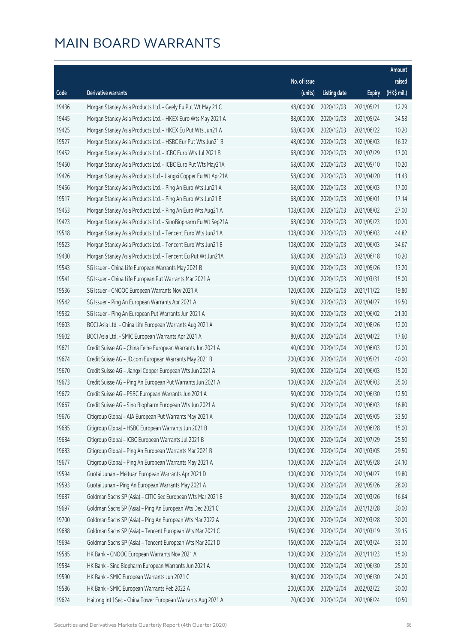|       |                                                                |              |                       |               | Amount      |
|-------|----------------------------------------------------------------|--------------|-----------------------|---------------|-------------|
|       |                                                                | No. of issue |                       |               | raised      |
| Code  | Derivative warrants                                            | (units)      | <b>Listing date</b>   | <b>Expiry</b> | (HK\$ mil.) |
| 19436 | Morgan Stanley Asia Products Ltd. - Geely Eu Put Wt May 21 C   | 48,000,000   | 2020/12/03            | 2021/05/21    | 12.29       |
| 19445 | Morgan Stanley Asia Products Ltd. - HKEX Euro Wts May 2021 A   | 88,000,000   | 2020/12/03            | 2021/05/24    | 34.58       |
| 19425 | Morgan Stanley Asia Products Ltd. - HKEX Eu Put Wts Jun21 A    | 68,000,000   | 2020/12/03            | 2021/06/22    | 10.20       |
| 19527 | Morgan Stanley Asia Products Ltd. - HSBC Eur Put Wts Jun21 B   | 48,000,000   | 2020/12/03            | 2021/06/03    | 16.32       |
| 19452 | Morgan Stanley Asia Products Ltd. - ICBC Euro Wts Jul 2021 B   | 68,000,000   | 2020/12/03            | 2021/07/29    | 17.00       |
| 19450 | Morgan Stanley Asia Products Ltd. - ICBC Euro Put Wts May21A   | 68,000,000   | 2020/12/03            | 2021/05/10    | 10.20       |
| 19426 | Morgan Stanley Asia Products Ltd - Jiangxi Copper Eu Wt Apr21A | 58,000,000   | 2020/12/03            | 2021/04/20    | 11.43       |
| 19456 | Morgan Stanley Asia Products Ltd. - Ping An Euro Wts Jun21 A   | 68,000,000   | 2020/12/03            | 2021/06/03    | 17.00       |
| 19517 | Morgan Stanley Asia Products Ltd. - Ping An Euro Wts Jun21 B   | 68,000,000   | 2020/12/03            | 2021/06/01    | 17.14       |
| 19453 | Morgan Stanley Asia Products Ltd. - Ping An Euro Wts Aug21 A   | 108,000,000  | 2020/12/03            | 2021/08/02    | 27.00       |
| 19423 | Morgan Stanley Asia Products Ltd. - SinoBiopharm Eu Wt Sep21A  | 68,000,000   | 2020/12/03            | 2021/09/23    | 10.20       |
| 19518 | Morgan Stanley Asia Products Ltd. - Tencent Euro Wts Jun21 A   | 108,000,000  | 2020/12/03            | 2021/06/03    | 44.82       |
| 19523 | Morgan Stanley Asia Products Ltd. - Tencent Euro Wts Jun21 B   | 108,000,000  | 2020/12/03            | 2021/06/03    | 34.67       |
| 19430 | Morgan Stanley Asia Products Ltd. - Tencent Eu Put Wt Jun21A   | 68,000,000   | 2020/12/03            | 2021/06/18    | 10.20       |
| 19543 | SG Issuer - China Life European Warrants May 2021 B            | 60,000,000   | 2020/12/03            | 2021/05/26    | 13.20       |
| 19541 | SG Issuer - China Life European Put Warrants Mar 2021 A        | 100,000,000  | 2020/12/03            | 2021/03/31    | 15.00       |
| 19536 | SG Issuer - CNOOC European Warrants Nov 2021 A                 | 120,000,000  | 2020/12/03            | 2021/11/22    | 19.80       |
| 19542 | SG Issuer - Ping An European Warrants Apr 2021 A               | 60,000,000   | 2020/12/03            | 2021/04/27    | 19.50       |
| 19532 | SG Issuer - Ping An European Put Warrants Jun 2021 A           | 60,000,000   | 2020/12/03            | 2021/06/02    | 21.30       |
| 19603 | BOCI Asia Ltd. - China Life European Warrants Aug 2021 A       | 80,000,000   | 2020/12/04            | 2021/08/26    | 12.00       |
| 19602 | BOCI Asia Ltd. - SMIC European Warrants Apr 2021 A             | 80,000,000   | 2020/12/04            | 2021/04/22    | 17.60       |
| 19671 | Credit Suisse AG - China Feihe European Warrants Jun 2021 A    | 40,000,000   | 2020/12/04            | 2021/06/03    | 12.00       |
| 19674 | Credit Suisse AG - JD.com European Warrants May 2021 B         | 200,000,000  | 2020/12/04            | 2021/05/21    | 40.00       |
| 19670 | Credit Suisse AG - Jiangxi Copper European Wts Jun 2021 A      | 60,000,000   | 2020/12/04            | 2021/06/03    | 15.00       |
| 19673 | Credit Suisse AG - Ping An European Put Warrants Jun 2021 A    | 100,000,000  | 2020/12/04            | 2021/06/03    | 35.00       |
| 19672 | Credit Suisse AG - PSBC European Warrants Jun 2021 A           | 50,000,000   | 2020/12/04            | 2021/06/30    | 12.50       |
| 19667 | Credit Suisse AG - Sino Biopharm European Wts Jun 2021 A       |              | 60,000,000 2020/12/04 | 2021/06/03    | 16.80       |
| 19676 | Citigroup Global - AIA European Put Warrants May 2021 A        | 100,000,000  | 2020/12/04            | 2021/05/05    | 33.50       |
| 19685 | Citigroup Global - HSBC European Warrants Jun 2021 B           | 100,000,000  | 2020/12/04            | 2021/06/28    | 15.00       |
| 19684 | Citigroup Global - ICBC European Warrants Jul 2021 B           | 100,000,000  | 2020/12/04            | 2021/07/29    | 25.50       |
| 19683 | Citigroup Global - Ping An European Warrants Mar 2021 B        | 100,000,000  | 2020/12/04            | 2021/03/05    | 29.50       |
| 19677 | Citigroup Global - Ping An European Warrants May 2021 A        | 100,000,000  | 2020/12/04            | 2021/05/28    | 24.10       |
| 19594 | Guotai Junan - Meituan European Warrants Apr 2021 D            | 100,000,000  | 2020/12/04            | 2021/04/27    | 19.80       |
| 19593 | Guotai Junan - Ping An European Warrants May 2021 A            | 100,000,000  | 2020/12/04            | 2021/05/26    | 28.00       |
| 19687 | Goldman Sachs SP (Asia) - CITIC Sec European Wts Mar 2021 B    | 80,000,000   | 2020/12/04            | 2021/03/26    | 16.64       |
| 19697 | Goldman Sachs SP (Asia) - Ping An European Wts Dec 2021 C      | 200,000,000  | 2020/12/04            | 2021/12/28    | 30.00       |
| 19700 | Goldman Sachs SP (Asia) - Ping An European Wts Mar 2022 A      | 200,000,000  | 2020/12/04            | 2022/03/28    | 30.00       |
| 19688 | Goldman Sachs SP (Asia) - Tencent European Wts Mar 2021 C      | 150,000,000  | 2020/12/04            | 2021/03/19    | 39.15       |
| 19694 | Goldman Sachs SP (Asia) - Tencent European Wts Mar 2021 D      | 150,000,000  | 2020/12/04            | 2021/03/24    | 33.00       |
| 19585 | HK Bank - CNOOC European Warrants Nov 2021 A                   | 100,000,000  | 2020/12/04            | 2021/11/23    | 15.00       |
| 19584 | HK Bank - Sino Biopharm European Warrants Jun 2021 A           | 100,000,000  | 2020/12/04            | 2021/06/30    | 25.00       |
| 19590 | HK Bank - SMIC European Warrants Jun 2021 C                    | 80,000,000   | 2020/12/04            | 2021/06/30    | 24.00       |
| 19586 | HK Bank - SMIC European Warrants Feb 2022 A                    | 200,000,000  | 2020/12/04            | 2022/02/22    | 30.00       |
| 19624 | Haitong Int'l Sec - China Tower European Warrants Aug 2021 A   | 70,000,000   | 2020/12/04            | 2021/08/24    | 10.50       |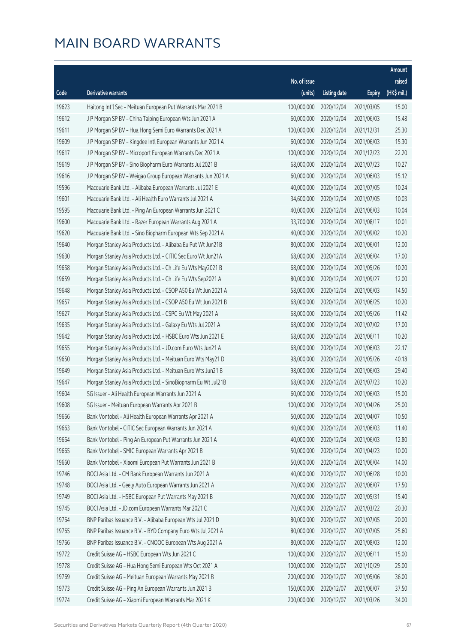|       |                                                               |                        |                     |               | Amount      |
|-------|---------------------------------------------------------------|------------------------|---------------------|---------------|-------------|
|       |                                                               | No. of issue           |                     |               | raised      |
| Code  | Derivative warrants                                           | (units)                | <b>Listing date</b> | <b>Expiry</b> | (HK\$ mil.) |
| 19623 | Haitong Int'l Sec - Meituan European Put Warrants Mar 2021 B  | 100,000,000            | 2020/12/04          | 2021/03/05    | 15.00       |
| 19612 | J P Morgan SP BV - China Taiping European Wts Jun 2021 A      | 60,000,000             | 2020/12/04          | 2021/06/03    | 15.48       |
| 19611 | J P Morgan SP BV - Hua Hong Semi Euro Warrants Dec 2021 A     | 100,000,000            | 2020/12/04          | 2021/12/31    | 25.30       |
| 19609 | J P Morgan SP BV - Kingdee Intl European Warrants Jun 2021 A  | 60,000,000             | 2020/12/04          | 2021/06/03    | 15.30       |
| 19617 | J P Morgan SP BV - Microport European Warrants Dec 2021 A     | 100,000,000            | 2020/12/04          | 2021/12/23    | 22.20       |
| 19619 | J P Morgan SP BV - Sino Biopharm Euro Warrants Jul 2021 B     | 68,000,000             | 2020/12/04          | 2021/07/23    | 10.27       |
| 19616 | J P Morgan SP BV - Weigao Group European Warrants Jun 2021 A  | 60,000,000             | 2020/12/04          | 2021/06/03    | 15.12       |
| 19596 | Macquarie Bank Ltd. - Alibaba European Warrants Jul 2021 E    | 40,000,000             | 2020/12/04          | 2021/07/05    | 10.24       |
| 19601 | Macquarie Bank Ltd. - Ali Health Euro Warrants Jul 2021 A     | 34,600,000             | 2020/12/04          | 2021/07/05    | 10.03       |
| 19595 | Macquarie Bank Ltd. - Ping An European Warrants Jun 2021 C    | 40,000,000             | 2020/12/04          | 2021/06/03    | 10.04       |
| 19600 | Macquarie Bank Ltd. - Razer European Warrants Aug 2021 A      | 33,700,000             | 2020/12/04          | 2021/08/17    | 10.01       |
| 19620 | Macquarie Bank Ltd. - Sino Biopharm European Wts Sep 2021 A   | 40,000,000             | 2020/12/04          | 2021/09/02    | 10.20       |
| 19640 | Morgan Stanley Asia Products Ltd. - Alibaba Eu Put Wt Jun21B  | 80,000,000             | 2020/12/04          | 2021/06/01    | 12.00       |
| 19630 | Morgan Stanley Asia Products Ltd. - CITIC Sec Euro Wt Jun21A  | 68,000,000             | 2020/12/04          | 2021/06/04    | 17.00       |
| 19658 | Morgan Stanley Asia Products Ltd. - Ch Life Eu Wts May2021 B  | 68,000,000             | 2020/12/04          | 2021/05/26    | 10.20       |
| 19659 | Morgan Stanley Asia Products Ltd. - Ch Life Eu Wts Sep2021 A  | 80,000,000             | 2020/12/04          | 2021/09/27    | 12.00       |
| 19648 | Morgan Stanley Asia Products Ltd. - CSOP A50 Eu Wt Jun 2021 A | 58,000,000             | 2020/12/04          | 2021/06/03    | 14.50       |
| 19657 | Morgan Stanley Asia Products Ltd. - CSOP A50 Eu Wt Jun 2021 B | 68,000,000             | 2020/12/04          | 2021/06/25    | 10.20       |
| 19627 | Morgan Stanley Asia Products Ltd. - CSPC Eu Wt May 2021 A     | 68,000,000             | 2020/12/04          | 2021/05/26    | 11.42       |
| 19635 | Morgan Stanley Asia Products Ltd. - Galaxy Eu Wts Jul 2021 A  | 68,000,000             | 2020/12/04          | 2021/07/02    | 17.00       |
| 19642 | Morgan Stanley Asia Products Ltd. - HSBC Euro Wts Jun 2021 E  | 68,000,000             | 2020/12/04          | 2021/06/11    | 10.20       |
| 19655 | Morgan Stanley Asia Products Ltd. - JD.com Euro Wts Jun21 A   | 68,000,000             | 2020/12/04          | 2021/06/03    | 22.17       |
| 19650 | Morgan Stanley Asia Products Ltd. - Meituan Euro Wts May21 D  | 98,000,000             | 2020/12/04          | 2021/05/26    | 40.18       |
| 19649 | Morgan Stanley Asia Products Ltd. - Meituan Euro Wts Jun21 B  | 98,000,000             | 2020/12/04          | 2021/06/03    | 29.40       |
| 19647 | Morgan Stanley Asia Products Ltd. - SinoBiopharm Eu Wt Jul21B | 68,000,000             | 2020/12/04          | 2021/07/23    | 10.20       |
| 19604 | SG Issuer - Ali Health European Warrants Jun 2021 A           | 60,000,000             | 2020/12/04          | 2021/06/03    | 15.00       |
| 19608 | SG Issuer - Meituan European Warrants Apr 2021 B              | 100,000,000 2020/12/04 |                     | 2021/04/26    | 25.00       |
| 19666 | Bank Vontobel - Ali Health European Warrants Apr 2021 A       | 50,000,000             | 2020/12/04          | 2021/04/07    | 10.50       |
| 19663 | Bank Vontobel - CITIC Sec European Warrants Jun 2021 A        | 40,000,000             | 2020/12/04          | 2021/06/03    | 11.40       |
| 19664 | Bank Vontobel - Ping An European Put Warrants Jun 2021 A      | 40,000,000             | 2020/12/04          | 2021/06/03    | 12.80       |
| 19665 | Bank Vontobel - SMIC European Warrants Apr 2021 B             | 50,000,000             | 2020/12/04          | 2021/04/23    | 10.00       |
| 19660 | Bank Vontobel - Xiaomi European Put Warrants Jun 2021 B       | 50,000,000             | 2020/12/04          | 2021/06/04    | 14.00       |
| 19746 | BOCI Asia Ltd. - CM Bank European Warrants Jun 2021 A         | 40,000,000             | 2020/12/07          | 2021/06/28    | 10.00       |
| 19748 | BOCI Asia Ltd. - Geely Auto European Warrants Jun 2021 A      | 70,000,000             | 2020/12/07          | 2021/06/07    | 17.50       |
| 19749 | BOCI Asia Ltd. - HSBC European Put Warrants May 2021 B        | 70,000,000             | 2020/12/07          | 2021/05/31    | 15.40       |
| 19745 | BOCI Asia Ltd. - JD.com European Warrants Mar 2021 C          | 70,000,000             | 2020/12/07          | 2021/03/22    | 20.30       |
| 19764 | BNP Paribas Issuance B.V. - Alibaba European Wts Jul 2021 D   | 80,000,000             | 2020/12/07          | 2021/07/05    | 20.00       |
| 19765 | BNP Paribas Issuance B.V. - BYD Company Euro Wts Jul 2021 A   | 80,000,000             | 2020/12/07          | 2021/07/05    | 25.60       |
| 19766 | BNP Paribas Issuance B.V. - CNOOC European Wts Aug 2021 A     | 80,000,000             | 2020/12/07          | 2021/08/03    | 12.00       |
| 19772 | Credit Suisse AG - HSBC European Wts Jun 2021 C               | 100,000,000            | 2020/12/07          | 2021/06/11    | 15.00       |
| 19778 | Credit Suisse AG - Hua Hong Semi European Wts Oct 2021 A      | 100,000,000            | 2020/12/07          | 2021/10/29    | 25.00       |
| 19769 | Credit Suisse AG - Meituan European Warrants May 2021 B       | 200,000,000            | 2020/12/07          | 2021/05/06    | 36.00       |
| 19773 | Credit Suisse AG - Ping An European Warrants Jun 2021 B       | 150,000,000            | 2020/12/07          | 2021/06/07    | 37.50       |
| 19774 | Credit Suisse AG - Xiaomi European Warrants Mar 2021 K        | 200,000,000            | 2020/12/07          | 2021/03/26    | 34.00       |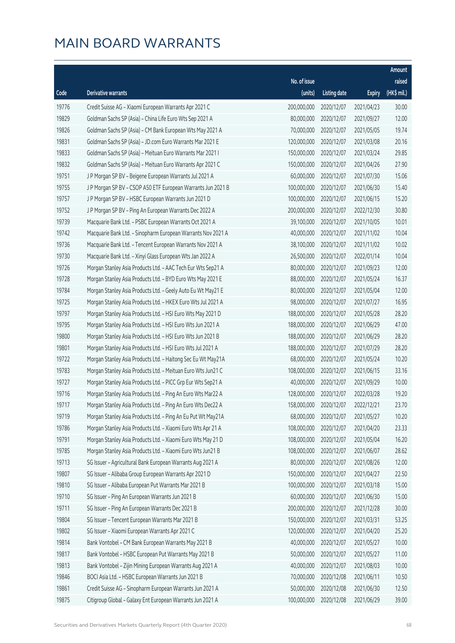|       |                                                              |              |                        |               | Amount      |
|-------|--------------------------------------------------------------|--------------|------------------------|---------------|-------------|
|       |                                                              | No. of issue |                        |               | raised      |
| Code  | Derivative warrants                                          | (units)      | <b>Listing date</b>    | <b>Expiry</b> | (HK\$ mil.) |
| 19776 | Credit Suisse AG - Xiaomi European Warrants Apr 2021 C       | 200,000,000  | 2020/12/07             | 2021/04/23    | 30.00       |
| 19829 | Goldman Sachs SP (Asia) - China Life Euro Wts Sep 2021 A     | 80,000,000   | 2020/12/07             | 2021/09/27    | 12.00       |
| 19826 | Goldman Sachs SP (Asia) - CM Bank European Wts May 2021 A    | 70,000,000   | 2020/12/07             | 2021/05/05    | 19.74       |
| 19831 | Goldman Sachs SP (Asia) - JD.com Euro Warrants Mar 2021 E    | 120,000,000  | 2020/12/07             | 2021/03/08    | 20.16       |
| 19833 | Goldman Sachs SP (Asia) - Meituan Euro Warrants Mar 2021 I   | 150,000,000  | 2020/12/07             | 2021/03/24    | 29.85       |
| 19832 | Goldman Sachs SP (Asia) - Meituan Euro Warrants Apr 2021 C   | 150,000,000  | 2020/12/07             | 2021/04/26    | 27.90       |
| 19751 | J P Morgan SP BV - Beigene European Warrants Jul 2021 A      | 60,000,000   | 2020/12/07             | 2021/07/30    | 15.06       |
| 19755 | J P Morgan SP BV - CSOP A50 ETF European Warrants Jun 2021 B | 100,000,000  | 2020/12/07             | 2021/06/30    | 15.40       |
| 19757 | J P Morgan SP BV - HSBC European Warrants Jun 2021 D         | 100,000,000  | 2020/12/07             | 2021/06/15    | 15.20       |
| 19752 | J P Morgan SP BV - Ping An European Warrants Dec 2022 A      | 200,000,000  | 2020/12/07             | 2022/12/30    | 30.80       |
| 19739 | Macquarie Bank Ltd. - PSBC European Warrants Oct 2021 A      | 39,100,000   | 2020/12/07             | 2021/10/05    | 10.01       |
| 19742 | Macquarie Bank Ltd. - Sinopharm European Warrants Nov 2021 A | 40,000,000   | 2020/12/07             | 2021/11/02    | 10.04       |
| 19736 | Macquarie Bank Ltd. - Tencent European Warrants Nov 2021 A   | 38,100,000   | 2020/12/07             | 2021/11/02    | 10.02       |
| 19730 | Macquarie Bank Ltd. - Xinyi Glass European Wts Jan 2022 A    | 26,500,000   | 2020/12/07             | 2022/01/14    | 10.04       |
| 19726 | Morgan Stanley Asia Products Ltd. - AAC Tech Eur Wts Sep21 A | 80,000,000   | 2020/12/07             | 2021/09/23    | 12.00       |
| 19728 | Morgan Stanley Asia Products Ltd. - BYD Euro Wts May 2021 E  | 88,000,000   | 2020/12/07             | 2021/05/24    | 16.37       |
| 19784 | Morgan Stanley Asia Products Ltd. - Geely Auto Eu Wt May21 E | 80,000,000   | 2020/12/07             | 2021/05/04    | 12.00       |
| 19725 | Morgan Stanley Asia Products Ltd. - HKEX Euro Wts Jul 2021 A | 98,000,000   | 2020/12/07             | 2021/07/27    | 16.95       |
| 19797 | Morgan Stanley Asia Products Ltd. - HSI Euro Wts May 2021 D  | 188,000,000  | 2020/12/07             | 2021/05/28    | 28.20       |
| 19795 | Morgan Stanley Asia Products Ltd. - HSI Euro Wts Jun 2021 A  | 188,000,000  | 2020/12/07             | 2021/06/29    | 47.00       |
| 19800 | Morgan Stanley Asia Products Ltd. - HSI Euro Wts Jun 2021 B  | 188,000,000  | 2020/12/07             | 2021/06/29    | 28.20       |
| 19801 | Morgan Stanley Asia Products Ltd. - HSI Euro Wts Jul 2021 A  | 188,000,000  | 2020/12/07             | 2021/07/29    | 28.20       |
| 19722 | Morgan Stanley Asia Products Ltd. - Haitong Sec Eu Wt May21A | 68,000,000   | 2020/12/07             | 2021/05/24    | 10.20       |
| 19783 | Morgan Stanley Asia Products Ltd. - Meituan Euro Wts Jun21 C | 108,000,000  | 2020/12/07             | 2021/06/15    | 33.16       |
| 19727 | Morgan Stanley Asia Products Ltd. - PICC Grp Eur Wts Sep21 A | 40,000,000   | 2020/12/07             | 2021/09/29    | 10.00       |
| 19716 | Morgan Stanley Asia Products Ltd. - Ping An Euro Wts Mar22 A | 128,000,000  | 2020/12/07             | 2022/03/28    | 19.20       |
| 19717 | Morgan Stanley Asia Products Ltd. - Ping An Euro Wts Dec22 A |              | 158,000,000 2020/12/07 | 2022/12/21    | 23.70       |
| 19719 | Morgan Stanley Asia Products Ltd. - Ping An Eu Put Wt May21A | 68,000,000   | 2020/12/07             | 2021/05/27    | 10.20       |
| 19786 | Morgan Stanley Asia Products Ltd. - Xiaomi Euro Wts Apr 21 A | 108,000,000  | 2020/12/07             | 2021/04/20    | 23.33       |
| 19791 | Morgan Stanley Asia Products Ltd. - Xiaomi Euro Wts May 21 D | 108,000,000  | 2020/12/07             | 2021/05/04    | 16.20       |
| 19785 | Morgan Stanley Asia Products Ltd. - Xiaomi Euro Wts Jun21 B  | 108,000,000  | 2020/12/07             | 2021/06/07    | 28.62       |
| 19713 | SG Issuer - Agricultural Bank European Warrants Aug 2021 A   | 80,000,000   | 2020/12/07             | 2021/08/26    | 12.00       |
| 19807 | SG Issuer - Alibaba Group European Warrants Apr 2021 D       | 150,000,000  | 2020/12/07             | 2021/04/27    | 22.50       |
| 19810 | SG Issuer - Alibaba European Put Warrants Mar 2021 B         | 100,000,000  | 2020/12/07             | 2021/03/18    | 15.00       |
| 19710 | SG Issuer - Ping An European Warrants Jun 2021 B             | 60,000,000   | 2020/12/07             | 2021/06/30    | 15.00       |
| 19711 | SG Issuer - Ping An European Warrants Dec 2021 B             | 200,000,000  | 2020/12/07             | 2021/12/28    | 30.00       |
| 19804 | SG Issuer - Tencent European Warrants Mar 2021 B             | 150,000,000  | 2020/12/07             | 2021/03/31    | 53.25       |
| 19802 | SG Issuer - Xiaomi European Warrants Apr 2021 C              | 120,000,000  | 2020/12/07             | 2021/04/20    | 25.20       |
| 19814 | Bank Vontobel - CM Bank European Warrants May 2021 B         | 40,000,000   | 2020/12/07             | 2021/05/27    | 10.00       |
| 19817 | Bank Vontobel - HSBC European Put Warrants May 2021 B        | 50,000,000   | 2020/12/07             | 2021/05/27    | 11.00       |
| 19813 | Bank Vontobel - Zijin Mining European Warrants Aug 2021 A    | 40,000,000   | 2020/12/07             | 2021/08/03    | 10.00       |
| 19846 | BOCI Asia Ltd. - HSBC European Warrants Jun 2021 B           | 70,000,000   | 2020/12/08             | 2021/06/11    | 10.50       |
| 19861 | Credit Suisse AG - Sinopharm European Warrants Jun 2021 A    | 50,000,000   | 2020/12/08             | 2021/06/30    | 12.50       |
| 19875 | Citigroup Global - Galaxy Ent European Warrants Jun 2021 A   | 100,000,000  | 2020/12/08             | 2021/06/29    | 39.00       |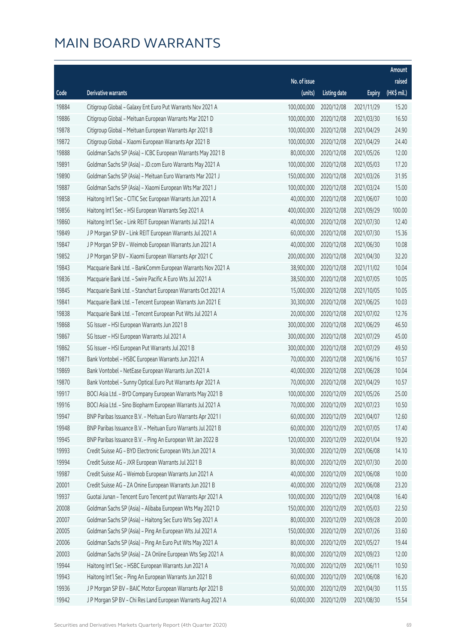|       |                                                              |              |                       |               | Amount       |
|-------|--------------------------------------------------------------|--------------|-----------------------|---------------|--------------|
|       |                                                              | No. of issue |                       |               | raised       |
| Code  | Derivative warrants                                          | (units)      | <b>Listing date</b>   | <b>Expiry</b> | $(HK\$ mil.) |
| 19884 | Citigroup Global - Galaxy Ent Euro Put Warrants Nov 2021 A   | 100,000,000  | 2020/12/08            | 2021/11/29    | 15.20        |
| 19886 | Citigroup Global - Meituan European Warrants Mar 2021 D      | 100,000,000  | 2020/12/08            | 2021/03/30    | 16.50        |
| 19878 | Citigroup Global - Meituan European Warrants Apr 2021 B      | 100,000,000  | 2020/12/08            | 2021/04/29    | 24.90        |
| 19872 | Citigroup Global - Xiaomi European Warrants Apr 2021 B       | 100,000,000  | 2020/12/08            | 2021/04/29    | 24.40        |
| 19888 | Goldman Sachs SP (Asia) - ICBC European Warrants May 2021 B  | 80,000,000   | 2020/12/08            | 2021/05/26    | 12.00        |
| 19891 | Goldman Sachs SP (Asia) - JD.com Euro Warrants May 2021 A    | 100,000,000  | 2020/12/08            | 2021/05/03    | 17.20        |
| 19890 | Goldman Sachs SP (Asia) - Meituan Euro Warrants Mar 2021 J   | 150,000,000  | 2020/12/08            | 2021/03/26    | 31.95        |
| 19887 | Goldman Sachs SP (Asia) - Xiaomi European Wts Mar 2021 J     | 100,000,000  | 2020/12/08            | 2021/03/24    | 15.00        |
| 19858 | Haitong Int'l Sec - CITIC Sec European Warrants Jun 2021 A   | 40,000,000   | 2020/12/08            | 2021/06/07    | 10.00        |
| 19856 | Haitong Int'l Sec - HSI European Warrants Sep 2021 A         | 400,000,000  | 2020/12/08            | 2021/09/29    | 100.00       |
| 19860 | Haitong Int'l Sec - Link REIT European Warrants Jul 2021 A   | 40,000,000   | 2020/12/08            | 2021/07/30    | 12.40        |
| 19849 | J P Morgan SP BV - Link REIT European Warrants Jul 2021 A    | 60,000,000   | 2020/12/08            | 2021/07/30    | 15.36        |
| 19847 | J P Morgan SP BV - Weimob European Warrants Jun 2021 A       | 40,000,000   | 2020/12/08            | 2021/06/30    | 10.08        |
| 19852 | J P Morgan SP BV - Xiaomi European Warrants Apr 2021 C       | 200,000,000  | 2020/12/08            | 2021/04/30    | 32.20        |
| 19843 | Macquarie Bank Ltd. - BankComm European Warrants Nov 2021 A  | 38,900,000   | 2020/12/08            | 2021/11/02    | 10.04        |
| 19836 | Macquarie Bank Ltd. - Swire Pacific A Euro Wts Jul 2021 A    | 38,500,000   | 2020/12/08            | 2021/07/05    | 10.05        |
| 19845 | Macquarie Bank Ltd. - Stanchart European Warrants Oct 2021 A | 15,000,000   | 2020/12/08            | 2021/10/05    | 10.05        |
| 19841 | Macquarie Bank Ltd. - Tencent European Warrants Jun 2021 E   | 30,300,000   | 2020/12/08            | 2021/06/25    | 10.03        |
| 19838 | Macquarie Bank Ltd. - Tencent European Put Wts Jul 2021 A    | 20,000,000   | 2020/12/08            | 2021/07/02    | 12.76        |
| 19868 | SG Issuer - HSI European Warrants Jun 2021 B                 | 300,000,000  | 2020/12/08            | 2021/06/29    | 46.50        |
| 19867 | SG Issuer - HSI European Warrants Jul 2021 A                 | 300,000,000  | 2020/12/08            | 2021/07/29    | 45.00        |
| 19862 | SG Issuer - HSI European Put Warrants Jul 2021 B             | 300,000,000  | 2020/12/08            | 2021/07/29    | 49.50        |
| 19871 | Bank Vontobel - HSBC European Warrants Jun 2021 A            | 70,000,000   | 2020/12/08            | 2021/06/16    | 10.57        |
| 19869 | Bank Vontobel - NetEase European Warrants Jun 2021 A         | 40,000,000   | 2020/12/08            | 2021/06/28    | 10.04        |
| 19870 | Bank Vontobel - Sunny Optical Euro Put Warrants Apr 2021 A   | 70,000,000   | 2020/12/08            | 2021/04/29    | 10.57        |
| 19917 | BOCI Asia Ltd. - BYD Company European Warrants May 2021 B    | 100,000,000  | 2020/12/09            | 2021/05/26    | 25.00        |
| 19916 | BOCI Asia Ltd. - Sino Biopharm European Warrants Jul 2021 A  |              | 70,000,000 2020/12/09 | 2021/07/23    | 10.50        |
| 19947 | BNP Paribas Issuance B.V. - Meituan Euro Warrants Apr 2021 I | 60,000,000   | 2020/12/09            | 2021/04/07    | 12.60        |
| 19948 | BNP Paribas Issuance B.V. - Meituan Euro Warrants Jul 2021 B | 60,000,000   | 2020/12/09            | 2021/07/05    | 17.40        |
| 19945 | BNP Paribas Issuance B.V. - Ping An European Wt Jan 2022 B   | 120,000,000  | 2020/12/09            | 2022/01/04    | 19.20        |
| 19993 | Credit Suisse AG - BYD Electronic European Wts Jun 2021 A    | 30,000,000   | 2020/12/09            | 2021/06/08    | 14.10        |
| 19994 | Credit Suisse AG - JXR European Warrants Jul 2021 B          | 80,000,000   | 2020/12/09            | 2021/07/30    | 20.00        |
| 19987 | Credit Suisse AG - Weimob European Warrants Jun 2021 A       | 40,000,000   | 2020/12/09            | 2021/06/08    | 10.00        |
| 20001 | Credit Suisse AG - ZA Onine European Warrants Jun 2021 B     | 40,000,000   | 2020/12/09            | 2021/06/08    | 23.20        |
| 19937 | Guotai Junan - Tencent Euro Tencent put Warrants Apr 2021 A  | 100,000,000  | 2020/12/09            | 2021/04/08    | 16.40        |
| 20008 | Goldman Sachs SP (Asia) - Alibaba European Wts May 2021 D    | 150,000,000  | 2020/12/09            | 2021/05/03    | 22.50        |
| 20007 | Goldman Sachs SP (Asia) - Haitong Sec Euro Wts Sep 2021 A    | 80,000,000   | 2020/12/09            | 2021/09/28    | 20.00        |
| 20005 | Goldman Sachs SP (Asia) - Ping An European Wts Jul 2021 A    | 150,000,000  | 2020/12/09            | 2021/07/26    | 33.60        |
| 20006 | Goldman Sachs SP (Asia) - Ping An Euro Put Wts May 2021 A    | 80,000,000   | 2020/12/09            | 2021/05/27    | 19.44        |
| 20003 | Goldman Sachs SP (Asia) - ZA Online European Wts Sep 2021 A  | 80,000,000   | 2020/12/09            | 2021/09/23    | 12.00        |
| 19944 | Haitong Int'l Sec - HSBC European Warrants Jun 2021 A        | 70,000,000   | 2020/12/09            | 2021/06/11    | 10.50        |
| 19943 | Haitong Int'l Sec - Ping An European Warrants Jun 2021 B     | 60,000,000   | 2020/12/09            | 2021/06/08    | 16.20        |
| 19936 | J P Morgan SP BV - BAIC Motor European Warrants Apr 2021 B   | 50,000,000   | 2020/12/09            | 2021/04/30    | 11.55        |
| 19942 | J P Morgan SP BV - Chi Res Land European Warrants Aug 2021 A | 60,000,000   | 2020/12/09            | 2021/08/30    | 15.54        |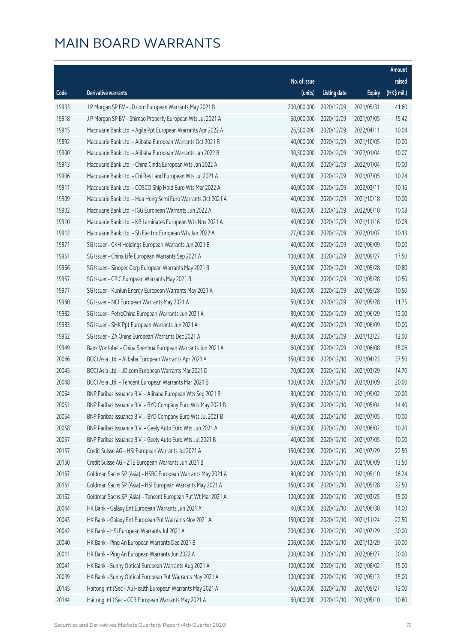|       |                                                              |              |                       |               | Amount      |
|-------|--------------------------------------------------------------|--------------|-----------------------|---------------|-------------|
|       |                                                              | No. of issue |                       |               | raised      |
| Code  | <b>Derivative warrants</b>                                   | (units)      | <b>Listing date</b>   | <b>Expiry</b> | (HK\$ mil.) |
| 19933 | J P Morgan SP BV - JD.com European Warrants May 2021 B       | 200,000,000  | 2020/12/09            | 2021/05/31    | 41.60       |
| 19918 | J P Morgan SP BV - Shimao Property European Wts Jul 2021 A   | 60,000,000   | 2020/12/09            | 2021/07/05    | 15.42       |
| 19915 | Macquarie Bank Ltd. - Agile Ppt European Warrants Apr 2022 A | 26,500,000   | 2020/12/09            | 2022/04/11    | 10.04       |
| 19892 | Macquarie Bank Ltd. - Alibaba European Warrants Oct 2021 B   | 40,000,000   | 2020/12/09            | 2021/10/05    | 10.00       |
| 19900 | Macquarie Bank Ltd. - Alibaba European Warrants Jan 2022 B   | 30,500,000   | 2020/12/09            | 2022/01/04    | 10.07       |
| 19913 | Macquarie Bank Ltd. - China Cinda European Wts Jan 2022 A    | 40,000,000   | 2020/12/09            | 2022/01/04    | 10.00       |
| 19906 | Macquarie Bank Ltd. - Chi Res Land European Wts Jul 2021 A   | 40,000,000   | 2020/12/09            | 2021/07/05    | 10.24       |
| 19911 | Macquarie Bank Ltd. - COSCO Ship Hold Euro Wts Mar 2022 A    | 40,000,000   | 2020/12/09            | 2022/03/11    | 10.16       |
| 19909 | Macquarie Bank Ltd. - Hua Hong Semi Euro Warrants Oct 2021 A | 40,000,000   | 2020/12/09            | 2021/10/18    | 10.00       |
| 19902 | Macquarie Bank Ltd. - IGG European Warrants Jun 2022 A       | 40,000,000   | 2020/12/09            | 2022/06/10    | 10.08       |
| 19910 | Macquarie Bank Ltd. - KB Laminates European Wts Nov 2021 A   | 40,000,000   | 2020/12/09            | 2021/11/16    | 10.08       |
| 19912 | Macquarie Bank Ltd. - Sh Electric European Wts Jan 2022 A    | 27,000,000   | 2020/12/09            | 2022/01/07    | 10.13       |
| 19971 | SG Issuer - CKH Holdings European Warrants Jun 2021 B        | 40,000,000   | 2020/12/09            | 2021/06/09    | 10.00       |
| 19951 | SG Issuer - China Life European Warrants Sep 2021 A          | 100,000,000  | 2020/12/09            | 2021/09/27    | 17.50       |
| 19966 | SG Issuer - Sinopec Corp European Warrants May 2021 B        | 60,000,000   | 2020/12/09            | 2021/05/28    | 10.80       |
| 19957 | SG Issuer - CPIC European Warrants May 2021 B                | 70,000,000   | 2020/12/09            | 2021/05/28    | 10.50       |
| 19977 | SG Issuer - Kunlun Energy European Warrants May 2021 A       | 60,000,000   | 2020/12/09            | 2021/05/28    | 10.50       |
| 19960 | SG Issuer - NCI European Warrants May 2021 A                 | 50,000,000   | 2020/12/09            | 2021/05/28    | 11.75       |
| 19982 | SG Issuer - PetroChina European Warrants Jun 2021 A          | 80,000,000   | 2020/12/09            | 2021/06/29    | 12.00       |
| 19983 | SG Issuer - SHK Ppt European Warrants Jun 2021 A             | 40,000,000   | 2020/12/09            | 2021/06/09    | 10.00       |
| 19962 | SG Issuer - ZA Onine European Warrants Dec 2021 A            | 80,000,000   | 2020/12/09            | 2021/12/23    | 12.00       |
| 19949 | Bank Vontobel - China Shenhua European Warrants Jun 2021 A   | 60,000,000   | 2020/12/09            | 2021/06/08    | 15.06       |
| 20046 | BOCI Asia Ltd. - Alibaba European Warrants Apr 2021 A        | 150,000,000  | 2020/12/10            | 2021/04/23    | 37.50       |
| 20045 | BOCI Asia Ltd. - JD.com European Warrants Mar 2021 D         | 70,000,000   | 2020/12/10            | 2021/03/29    | 14.70       |
| 20048 | BOCI Asia Ltd. - Tencent European Warrants Mar 2021 B        | 100,000,000  | 2020/12/10            | 2021/03/09    | 20.00       |
| 20064 | BNP Paribas Issuance B.V. - Alibaba European Wts Sep 2021 B  | 80,000,000   | 2020/12/10            | 2021/09/02    | 20.00       |
| 20051 | BNP Paribas Issuance B.V. - BYD Company Euro Wts May 2021 B  |              | 60,000,000 2020/12/10 | 2021/05/04    | 14.40       |
| 20054 | BNP Paribas Issuance B.V. - BYD Company Euro Wts Jul 2021 B  | 40,000,000   | 2020/12/10            | 2021/07/05    | 10.00       |
| 20058 | BNP Paribas Issuance B.V. - Geely Auto Euro Wts Jun 2021 A   | 60,000,000   | 2020/12/10            | 2021/06/02    | 10.20       |
| 20057 | BNP Paribas Issuance B.V. - Geely Auto Euro Wts Jul 2021 B   | 40,000,000   | 2020/12/10            | 2021/07/05    | 10.00       |
| 20157 | Credit Suisse AG - HSI European Warrants Jul 2021 A          | 150,000,000  | 2020/12/10            | 2021/07/29    | 22.50       |
| 20160 | Credit Suisse AG - ZTE European Warrants Jun 2021 B          | 50,000,000   | 2020/12/10            | 2021/06/09    | 13.50       |
| 20167 | Goldman Sachs SP (Asia) - HSBC European Warrants May 2021 A  | 80,000,000   | 2020/12/10            | 2021/05/10    | 16.24       |
| 20161 | Goldman Sachs SP (Asia) - HSI European Warrants May 2021 A   | 150,000,000  | 2020/12/10            | 2021/05/28    | 22.50       |
| 20162 | Goldman Sachs SP (Asia) - Tencent European Put Wt Mar 2021 A | 100,000,000  | 2020/12/10            | 2021/03/25    | 15.00       |
| 20044 | HK Bank - Galaxy Ent European Warrants Jun 2021 A            | 40,000,000   | 2020/12/10            | 2021/06/30    | 14.00       |
| 20043 | HK Bank - Galaxy Ent European Put Warrants Nov 2021 A        | 150,000,000  | 2020/12/10            | 2021/11/24    | 22.50       |
| 20042 | HK Bank - HSI European Warrants Jul 2021 A                   | 200,000,000  | 2020/12/10            | 2021/07/29    | 30.00       |
| 20040 | HK Bank - Ping An European Warrants Dec 2021 B               | 200,000,000  | 2020/12/10            | 2021/12/29    | 30.00       |
| 20011 | HK Bank - Ping An European Warrants Jun 2022 A               | 200,000,000  | 2020/12/10            | 2022/06/27    | 30.00       |
| 20041 | HK Bank - Sunny Optical European Warrants Aug 2021 A         | 100,000,000  | 2020/12/10            | 2021/08/02    | 15.00       |
| 20039 | HK Bank - Sunny Optical European Put Warrants May 2021 A     | 100,000,000  | 2020/12/10            | 2021/05/13    | 15.00       |
| 20145 | Haitong Int'l Sec - Ali Health European Warrants May 2021 A  | 50,000,000   | 2020/12/10            | 2021/05/27    | 12.00       |
| 20144 | Haitong Int'l Sec - CCB European Warrants May 2021 A         | 60,000,000   | 2020/12/10            | 2021/05/10    | 10.80       |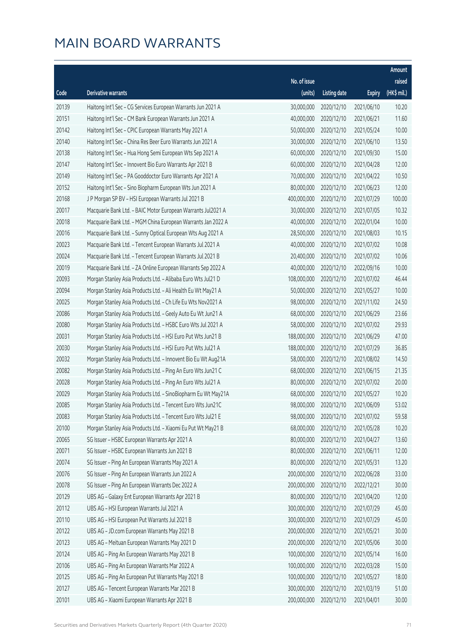|       |                                                               |              |                       |               | Amount      |
|-------|---------------------------------------------------------------|--------------|-----------------------|---------------|-------------|
|       |                                                               | No. of issue |                       |               | raised      |
| Code  | Derivative warrants                                           | (units)      | <b>Listing date</b>   | <b>Expiry</b> | (HK\$ mil.) |
| 20139 | Haitong Int'l Sec - CG Services European Warrants Jun 2021 A  | 30,000,000   | 2020/12/10            | 2021/06/10    | 10.20       |
| 20151 | Haitong Int'l Sec - CM Bank European Warrants Jun 2021 A      | 40,000,000   | 2020/12/10            | 2021/06/21    | 11.60       |
| 20142 | Haitong Int'l Sec - CPIC European Warrants May 2021 A         | 50,000,000   | 2020/12/10            | 2021/05/24    | 10.00       |
| 20140 | Haitong Int'l Sec - China Res Beer Euro Warrants Jun 2021 A   | 30,000,000   | 2020/12/10            | 2021/06/10    | 13.50       |
| 20138 | Haitong Int'l Sec - Hua Hong Semi European Wts Sep 2021 A     | 60,000,000   | 2020/12/10            | 2021/09/30    | 15.00       |
| 20147 | Haitong Int'l Sec - Innovent Bio Euro Warrants Apr 2021 B     | 60,000,000   | 2020/12/10            | 2021/04/28    | 12.00       |
| 20149 | Haitong Int'l Sec - PA Gooddoctor Euro Warrants Apr 2021 A    | 70,000,000   | 2020/12/10            | 2021/04/22    | 10.50       |
| 20152 | Haitong Int'l Sec - Sino Biopharm European Wts Jun 2021 A     | 80,000,000   | 2020/12/10            | 2021/06/23    | 12.00       |
| 20168 | J P Morgan SP BV - HSI European Warrants Jul 2021 B           | 400,000,000  | 2020/12/10            | 2021/07/29    | 100.00      |
| 20017 | Macquarie Bank Ltd. - BAIC Motor European Warrants Jul2021 A  | 30,000,000   | 2020/12/10            | 2021/07/05    | 10.32       |
| 20018 | Macquarie Bank Ltd. - MGM China European Warrants Jan 2022 A  | 40,000,000   | 2020/12/10            | 2022/01/04    | 10.00       |
| 20016 | Macquarie Bank Ltd. - Sunny Optical European Wts Aug 2021 A   | 28,500,000   | 2020/12/10            | 2021/08/03    | 10.15       |
| 20023 | Macquarie Bank Ltd. - Tencent European Warrants Jul 2021 A    | 40,000,000   | 2020/12/10            | 2021/07/02    | 10.08       |
| 20024 | Macquarie Bank Ltd. - Tencent European Warrants Jul 2021 B    | 20,400,000   | 2020/12/10            | 2021/07/02    | 10.06       |
| 20019 | Macquarie Bank Ltd. - ZA Online European Warrants Sep 2022 A  | 40,000,000   | 2020/12/10            | 2022/09/16    | 10.00       |
| 20093 | Morgan Stanley Asia Products Ltd. - Alibaba Euro Wts Jul21 D  | 108,000,000  | 2020/12/10            | 2021/07/02    | 46.44       |
| 20094 | Morgan Stanley Asia Products Ltd. - Ali Health Eu Wt May21 A  | 50,000,000   | 2020/12/10            | 2021/05/27    | 10.00       |
| 20025 | Morgan Stanley Asia Products Ltd. - Ch Life Eu Wts Nov2021 A  | 98,000,000   | 2020/12/10            | 2021/11/02    | 24.50       |
| 20086 | Morgan Stanley Asia Products Ltd. - Geely Auto Eu Wt Jun21 A  | 68,000,000   | 2020/12/10            | 2021/06/29    | 23.66       |
| 20080 | Morgan Stanley Asia Products Ltd. - HSBC Euro Wts Jul 2021 A  | 58,000,000   | 2020/12/10            | 2021/07/02    | 29.93       |
| 20031 | Morgan Stanley Asia Products Ltd. - HSI Euro Put Wts Jun21 B  | 188,000,000  | 2020/12/10            | 2021/06/29    | 47.00       |
| 20030 | Morgan Stanley Asia Products Ltd. - HSI Euro Put Wts Jul21 A  | 188,000,000  | 2020/12/10            | 2021/07/29    | 36.85       |
| 20032 | Morgan Stanley Asia Products Ltd. - Innovent Bio Eu Wt Aug21A | 58,000,000   | 2020/12/10            | 2021/08/02    | 14.50       |
| 20082 | Morgan Stanley Asia Products Ltd. - Ping An Euro Wts Jun21 C  | 68,000,000   | 2020/12/10            | 2021/06/15    | 21.35       |
| 20028 | Morgan Stanley Asia Products Ltd. - Ping An Euro Wts Jul21 A  | 80,000,000   | 2020/12/10            | 2021/07/02    | 20.00       |
| 20029 | Morgan Stanley Asia Products Ltd. - SinoBiopharm Eu Wt May21A | 68,000,000   | 2020/12/10            | 2021/05/27    | 10.20       |
| 20085 | Morgan Stanley Asia Products Ltd. - Tencent Euro Wts Jun21C   |              | 98,000,000 2020/12/10 | 2021/06/09    | 53.02       |
| 20083 | Morgan Stanley Asia Products Ltd. - Tencent Euro Wts Jul21 E  | 98,000,000   | 2020/12/10            | 2021/07/02    | 59.58       |
| 20100 | Morgan Stanley Asia Products Ltd. - Xiaomi Eu Put Wt May21 B  | 68,000,000   | 2020/12/10            | 2021/05/28    | 10.20       |
| 20065 | SG Issuer - HSBC European Warrants Apr 2021 A                 | 80,000,000   | 2020/12/10            | 2021/04/27    | 13.60       |
| 20071 | SG Issuer - HSBC European Warrants Jun 2021 B                 | 80,000,000   | 2020/12/10            | 2021/06/11    | 12.00       |
| 20074 | SG Issuer - Ping An European Warrants May 2021 A              | 80,000,000   | 2020/12/10            | 2021/05/31    | 13.20       |
| 20076 | SG Issuer - Ping An European Warrants Jun 2022 A              | 200,000,000  | 2020/12/10            | 2022/06/28    | 33.00       |
| 20078 | SG Issuer - Ping An European Warrants Dec 2022 A              | 200,000,000  | 2020/12/10            | 2022/12/21    | 30.00       |
| 20129 | UBS AG - Galaxy Ent European Warrants Apr 2021 B              | 80,000,000   | 2020/12/10            | 2021/04/20    | 12.00       |
| 20112 | UBS AG - HSI European Warrants Jul 2021 A                     | 300,000,000  | 2020/12/10            | 2021/07/29    | 45.00       |
| 20110 | UBS AG - HSI European Put Warrants Jul 2021 B                 | 300,000,000  | 2020/12/10            | 2021/07/29    | 45.00       |
| 20122 | UBS AG - JD.com European Warrants May 2021 B                  | 200,000,000  | 2020/12/10            | 2021/05/21    | 30.00       |
| 20123 | UBS AG - Meituan European Warrants May 2021 D                 | 200,000,000  | 2020/12/10            | 2021/05/06    | 30.00       |
| 20124 | UBS AG - Ping An European Warrants May 2021 B                 | 100,000,000  | 2020/12/10            | 2021/05/14    | 16.00       |
| 20106 | UBS AG - Ping An European Warrants Mar 2022 A                 | 100,000,000  | 2020/12/10            | 2022/03/28    | 15.00       |
| 20125 | UBS AG - Ping An European Put Warrants May 2021 B             | 100,000,000  | 2020/12/10            | 2021/05/27    | 18.00       |
| 20127 | UBS AG - Tencent European Warrants Mar 2021 B                 | 300,000,000  | 2020/12/10            | 2021/03/19    | 51.00       |
| 20101 | UBS AG - Xiaomi European Warrants Apr 2021 B                  | 200,000,000  | 2020/12/10            | 2021/04/01    | 30.00       |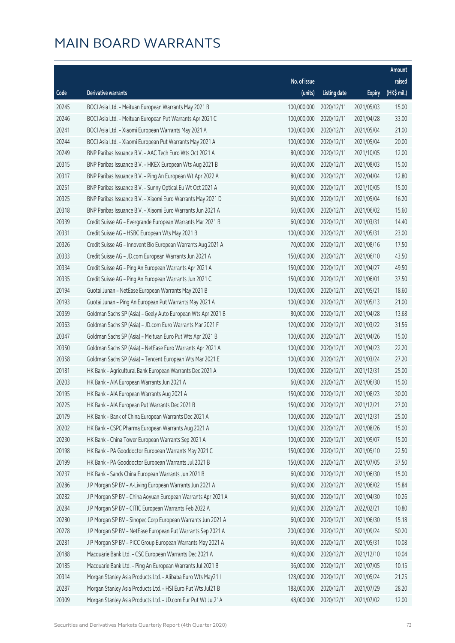|       |                                                              |                        |                     |               | Amount      |
|-------|--------------------------------------------------------------|------------------------|---------------------|---------------|-------------|
|       |                                                              | No. of issue           |                     |               | raised      |
| Code  | Derivative warrants                                          | (units)                | <b>Listing date</b> | <b>Expiry</b> | (HK\$ mil.) |
| 20245 | BOCI Asia Ltd. - Meituan European Warrants May 2021 B        | 100,000,000            | 2020/12/11          | 2021/05/03    | 15.00       |
| 20246 | BOCI Asia Ltd. - Meituan European Put Warrants Apr 2021 C    | 100,000,000            | 2020/12/11          | 2021/04/28    | 33.00       |
| 20241 | BOCI Asia Ltd. - Xiaomi European Warrants May 2021 A         | 100,000,000            | 2020/12/11          | 2021/05/04    | 21.00       |
| 20244 | BOCI Asia Ltd. - Xiaomi European Put Warrants May 2021 A     | 100,000,000            | 2020/12/11          | 2021/05/04    | 20.00       |
| 20249 | BNP Paribas Issuance B.V. - AAC Tech Euro Wts Oct 2021 A     | 80,000,000             | 2020/12/11          | 2021/10/05    | 12.00       |
| 20315 | BNP Paribas Issuance B.V. - HKEX European Wts Aug 2021 B     | 60,000,000             | 2020/12/11          | 2021/08/03    | 15.00       |
| 20317 | BNP Paribas Issuance B.V. - Ping An European Wt Apr 2022 A   | 80,000,000             | 2020/12/11          | 2022/04/04    | 12.80       |
| 20251 | BNP Paribas Issuance B.V. - Sunny Optical Eu Wt Oct 2021 A   | 60,000,000             | 2020/12/11          | 2021/10/05    | 15.00       |
| 20325 | BNP Paribas Issuance B.V. - Xiaomi Euro Warrants May 2021 D  | 60,000,000             | 2020/12/11          | 2021/05/04    | 16.20       |
| 20318 | BNP Paribas Issuance B.V. - Xiaomi Euro Warrants Jun 2021 A  | 60,000,000             | 2020/12/11          | 2021/06/02    | 15.60       |
| 20339 | Credit Suisse AG - Evergrande European Warrants Mar 2021 B   | 60,000,000             | 2020/12/11          | 2021/03/31    | 14.40       |
| 20331 | Credit Suisse AG - HSBC European Wts May 2021 B              | 100,000,000            | 2020/12/11          | 2021/05/31    | 23.00       |
| 20326 | Credit Suisse AG - Innovent Bio European Warrants Aug 2021 A | 70,000,000             | 2020/12/11          | 2021/08/16    | 17.50       |
| 20333 | Credit Suisse AG - JD.com European Warrants Jun 2021 A       | 150,000,000            | 2020/12/11          | 2021/06/10    | 43.50       |
| 20334 | Credit Suisse AG - Ping An European Warrants Apr 2021 A      | 150,000,000            | 2020/12/11          | 2021/04/27    | 49.50       |
| 20335 | Credit Suisse AG - Ping An European Warrants Jun 2021 C      | 150,000,000            | 2020/12/11          | 2021/06/01    | 37.50       |
| 20194 | Guotai Junan - NetEase European Warrants May 2021 B          | 100,000,000            | 2020/12/11          | 2021/05/21    | 18.60       |
| 20193 | Guotai Junan - Ping An European Put Warrants May 2021 A      | 100,000,000            | 2020/12/11          | 2021/05/13    | 21.00       |
| 20359 | Goldman Sachs SP (Asia) - Geely Auto European Wts Apr 2021 B | 80,000,000             | 2020/12/11          | 2021/04/28    | 13.68       |
| 20363 | Goldman Sachs SP (Asia) - JD.com Euro Warrants Mar 2021 F    | 120,000,000            | 2020/12/11          | 2021/03/22    | 31.56       |
| 20347 | Goldman Sachs SP (Asia) - Meituan Euro Put Wts Apr 2021 B    | 100,000,000            | 2020/12/11          | 2021/04/26    | 15.00       |
| 20350 | Goldman Sachs SP (Asia) - NetEase Euro Warrants Apr 2021 A   | 100,000,000            | 2020/12/11          | 2021/04/23    | 22.20       |
| 20358 | Goldman Sachs SP (Asia) - Tencent European Wts Mar 2021 E    | 100,000,000            | 2020/12/11          | 2021/03/24    | 27.20       |
| 20181 | HK Bank - Agricultural Bank European Warrants Dec 2021 A     | 100,000,000            | 2020/12/11          | 2021/12/31    | 25.00       |
| 20203 | HK Bank - AIA European Warrants Jun 2021 A                   | 60,000,000             | 2020/12/11          | 2021/06/30    | 15.00       |
| 20195 | HK Bank - AIA European Warrants Aug 2021 A                   | 150,000,000            | 2020/12/11          | 2021/08/23    | 30.00       |
| 20225 | HK Bank - AIA European Put Warrants Dec 2021 B               | 150,000,000 2020/12/11 |                     | 2021/12/21    | 27.00       |
| 20179 | HK Bank - Bank of China European Warrants Dec 2021 A         | 100,000,000            | 2020/12/11          | 2021/12/31    | 25.00       |
| 20202 | HK Bank - CSPC Pharma European Warrants Aug 2021 A           | 100,000,000            | 2020/12/11          | 2021/08/26    | 15.00       |
| 20230 | HK Bank - China Tower European Warrants Sep 2021 A           | 100,000,000            | 2020/12/11          | 2021/09/07    | 15.00       |
| 20198 | HK Bank - PA Gooddoctor European Warrants May 2021 C         | 150,000,000            | 2020/12/11          | 2021/05/10    | 22.50       |
| 20199 | HK Bank - PA Gooddoctor European Warrants Jul 2021 B         | 150,000,000            | 2020/12/11          | 2021/07/05    | 37.50       |
| 20237 | HK Bank - Sands China European Warrants Jun 2021 B           | 60,000,000             | 2020/12/11          | 2021/06/30    | 15.00       |
| 20286 | J P Morgan SP BV - A-Living European Warrants Jun 2021 A     | 60,000,000             | 2020/12/11          | 2021/06/02    | 15.84       |
| 20282 | J P Morgan SP BV - China Aoyuan European Warrants Apr 2021 A | 60,000,000             | 2020/12/11          | 2021/04/30    | 10.26       |
| 20284 | J P Morgan SP BV - CITIC European Warrants Feb 2022 A        | 60,000,000             | 2020/12/11          | 2022/02/21    | 10.80       |
| 20280 | J P Morgan SP BV - Sinopec Corp European Warrants Jun 2021 A | 60,000,000             | 2020/12/11          | 2021/06/30    | 15.18       |
| 20278 | J P Morgan SP BV - NetEase European Put Warrants Sep 2021 A  | 200,000,000            | 2020/12/11          | 2021/09/24    | 50.20       |
| 20281 | J P Morgan SP BV - PICC Group European Warrants May 2021 A   | 60,000,000             | 2020/12/11          | 2021/05/31    | 10.08       |
| 20188 | Macquarie Bank Ltd. - CSC European Warrants Dec 2021 A       | 40,000,000             | 2020/12/11          | 2021/12/10    | 10.04       |
| 20185 | Macquarie Bank Ltd. - Ping An European Warrants Jul 2021 B   | 36,000,000             | 2020/12/11          | 2021/07/05    | 10.15       |
| 20314 | Morgan Stanley Asia Products Ltd. - Alibaba Euro Wts May21 I | 128,000,000            | 2020/12/11          | 2021/05/24    | 21.25       |
| 20287 | Morgan Stanley Asia Products Ltd. - HSI Euro Put Wts Jul21 B | 188,000,000            | 2020/12/11          | 2021/07/29    | 28.20       |
| 20309 | Morgan Stanley Asia Products Ltd. - JD.com Eur Put Wt Jul21A | 48,000,000             | 2020/12/11          | 2021/07/02    | 12.00       |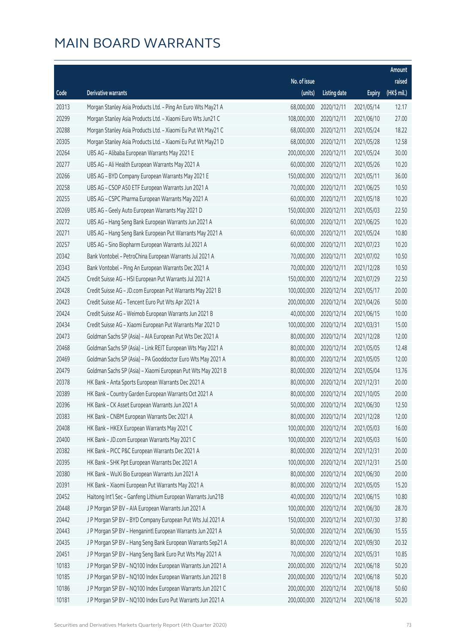|       |                                                              |              |                       |               | Amount      |
|-------|--------------------------------------------------------------|--------------|-----------------------|---------------|-------------|
|       |                                                              | No. of issue |                       |               | raised      |
| Code  | Derivative warrants                                          | (units)      | <b>Listing date</b>   | <b>Expiry</b> | (HK\$ mil.) |
| 20313 | Morgan Stanley Asia Products Ltd. - Ping An Euro Wts May21 A | 68,000,000   | 2020/12/11            | 2021/05/14    | 12.17       |
| 20299 | Morgan Stanley Asia Products Ltd. - Xiaomi Euro Wts Jun21 C  | 108,000,000  | 2020/12/11            | 2021/06/10    | 27.00       |
| 20288 | Morgan Stanley Asia Products Ltd. - Xiaomi Eu Put Wt May21 C | 68,000,000   | 2020/12/11            | 2021/05/24    | 18.22       |
| 20305 | Morgan Stanley Asia Products Ltd. - Xiaomi Eu Put Wt May21 D | 68,000,000   | 2020/12/11            | 2021/05/28    | 12.58       |
| 20264 | UBS AG - Alibaba European Warrants May 2021 E                | 200,000,000  | 2020/12/11            | 2021/05/24    | 30.00       |
| 20277 | UBS AG - Ali Health European Warrants May 2021 A             | 60,000,000   | 2020/12/11            | 2021/05/26    | 10.20       |
| 20266 | UBS AG - BYD Company European Warrants May 2021 E            | 150,000,000  | 2020/12/11            | 2021/05/11    | 36.00       |
| 20258 | UBS AG - CSOP A50 ETF European Warrants Jun 2021 A           | 70,000,000   | 2020/12/11            | 2021/06/25    | 10.50       |
| 20255 | UBS AG - CSPC Pharma European Warrants May 2021 A            | 60,000,000   | 2020/12/11            | 2021/05/18    | 10.20       |
| 20269 | UBS AG - Geely Auto European Warrants May 2021 D             | 150,000,000  | 2020/12/11            | 2021/05/03    | 22.50       |
| 20272 | UBS AG - Hang Seng Bank European Warrants Jun 2021 A         | 60,000,000   | 2020/12/11            | 2021/06/25    | 10.20       |
| 20271 | UBS AG - Hang Seng Bank European Put Warrants May 2021 A     | 60,000,000   | 2020/12/11            | 2021/05/24    | 10.80       |
| 20257 | UBS AG - Sino Biopharm European Warrants Jul 2021 A          | 60,000,000   | 2020/12/11            | 2021/07/23    | 10.20       |
| 20342 | Bank Vontobel - PetroChina European Warrants Jul 2021 A      | 70,000,000   | 2020/12/11            | 2021/07/02    | 10.50       |
| 20343 | Bank Vontobel - Ping An European Warrants Dec 2021 A         | 70,000,000   | 2020/12/11            | 2021/12/28    | 10.50       |
| 20425 | Credit Suisse AG - HSI European Put Warrants Jul 2021 A      | 150,000,000  | 2020/12/14            | 2021/07/29    | 22.50       |
| 20428 | Credit Suisse AG - JD.com European Put Warrants May 2021 B   | 100,000,000  | 2020/12/14            | 2021/05/17    | 20.00       |
| 20423 | Credit Suisse AG - Tencent Euro Put Wts Apr 2021 A           | 200,000,000  | 2020/12/14            | 2021/04/26    | 50.00       |
| 20424 | Credit Suisse AG - Weimob European Warrants Jun 2021 B       | 40,000,000   | 2020/12/14            | 2021/06/15    | 10.00       |
| 20434 | Credit Suisse AG - Xiaomi European Put Warrants Mar 2021 D   | 100,000,000  | 2020/12/14            | 2021/03/31    | 15.00       |
| 20473 | Goldman Sachs SP (Asia) - AIA European Put Wts Dec 2021 A    | 80,000,000   | 2020/12/14            | 2021/12/28    | 12.00       |
| 20468 | Goldman Sachs SP (Asia) - Link REIT European Wts May 2021 A  | 80,000,000   | 2020/12/14            | 2021/05/05    | 12.48       |
| 20469 | Goldman Sachs SP (Asia) - PA Gooddoctor Euro Wts May 2021 A  | 80,000,000   | 2020/12/14            | 2021/05/05    | 12.00       |
| 20479 | Goldman Sachs SP (Asia) - Xiaomi European Put Wts May 2021 B | 80,000,000   | 2020/12/14            | 2021/05/04    | 13.76       |
| 20378 | HK Bank - Anta Sports European Warrants Dec 2021 A           | 80,000,000   | 2020/12/14            | 2021/12/31    | 20.00       |
| 20389 | HK Bank - Country Garden European Warrants Oct 2021 A        | 80,000,000   | 2020/12/14            | 2021/10/05    | 20.00       |
| 20396 | HK Bank - CK Asset European Warrants Jun 2021 A              |              | 50,000,000 2020/12/14 | 2021/06/30    | 12.50       |
| 20383 | HK Bank - CNBM European Warrants Dec 2021 A                  | 80,000,000   | 2020/12/14            | 2021/12/28    | 12.00       |
| 20408 | HK Bank - HKEX European Warrants May 2021 C                  | 100,000,000  | 2020/12/14            | 2021/05/03    | 16.00       |
| 20400 | HK Bank - JD.com European Warrants May 2021 C                | 100,000,000  | 2020/12/14            | 2021/05/03    | 16.00       |
| 20382 | HK Bank - PICC P&C European Warrants Dec 2021 A              | 80,000,000   | 2020/12/14            | 2021/12/31    | 20.00       |
| 20395 | HK Bank - SHK Ppt European Warrants Dec 2021 A               | 100,000,000  | 2020/12/14            | 2021/12/31    | 25.00       |
| 20380 | HK Bank - WuXi Bio European Warrants Jun 2021 A              | 80,000,000   | 2020/12/14            | 2021/06/30    | 20.00       |
| 20391 | HK Bank - Xiaomi European Put Warrants May 2021 A            | 80,000,000   | 2020/12/14            | 2021/05/05    | 15.20       |
| 20452 | Haitong Int'l Sec - Ganfeng Lithium European Warrants Jun21B | 40,000,000   | 2020/12/14            | 2021/06/15    | 10.80       |
| 20448 | J P Morgan SP BV - AIA European Warrants Jun 2021 A          | 100,000,000  | 2020/12/14            | 2021/06/30    | 28.70       |
| 20442 | J P Morgan SP BV - BYD Company European Put Wts Jul 2021 A   | 150,000,000  | 2020/12/14            | 2021/07/30    | 37.80       |
| 20443 | J P Morgan SP BV - Henganintl European Warrants Jun 2021 A   | 50,000,000   | 2020/12/14            | 2021/06/30    | 15.55       |
| 20435 | J P Morgan SP BV - Hang Seng Bank European Warrants Sep21 A  | 80,000,000   | 2020/12/14            | 2021/09/30    | 20.32       |
| 20451 | J P Morgan SP BV - Hang Seng Bank Euro Put Wts May 2021 A    | 70,000,000   | 2020/12/14            | 2021/05/31    | 10.85       |
| 10183 | J P Morgan SP BV - NQ100 Index European Warrants Jun 2021 A  | 200,000,000  | 2020/12/14            | 2021/06/18    | 50.20       |
| 10185 | J P Morgan SP BV - NQ100 Index European Warrants Jun 2021 B  | 200,000,000  | 2020/12/14            | 2021/06/18    | 50.20       |
| 10186 | J P Morgan SP BV - NQ100 Index European Warrants Jun 2021 C  | 200,000,000  | 2020/12/14            | 2021/06/18    | 50.60       |
| 10181 | J P Morgan SP BV - NQ100 Index Euro Put Warrants Jun 2021 A  | 200,000,000  | 2020/12/14            | 2021/06/18    | 50.20       |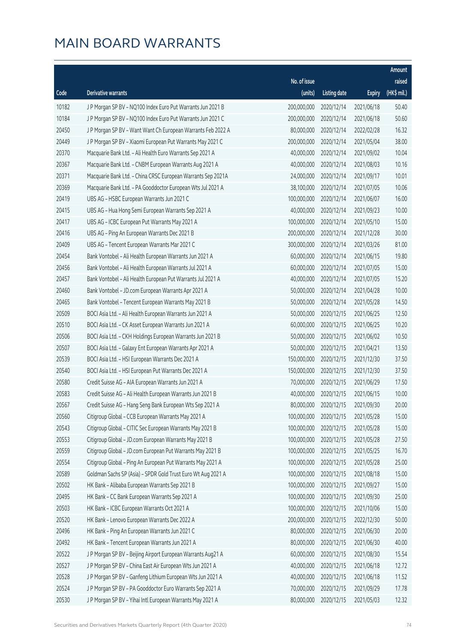|       |                                                              |              |                       |               | Amount      |
|-------|--------------------------------------------------------------|--------------|-----------------------|---------------|-------------|
|       |                                                              | No. of issue |                       |               | raised      |
| Code  | Derivative warrants                                          | (units)      | <b>Listing date</b>   | <b>Expiry</b> | (HK\$ mil.) |
| 10182 | J P Morgan SP BV - NQ100 Index Euro Put Warrants Jun 2021 B  | 200,000,000  | 2020/12/14            | 2021/06/18    | 50.40       |
| 10184 | J P Morgan SP BV - NQ100 Index Euro Put Warrants Jun 2021 C  | 200,000,000  | 2020/12/14            | 2021/06/18    | 50.60       |
| 20450 | J P Morgan SP BV - Want Want Ch European Warrants Feb 2022 A | 80,000,000   | 2020/12/14            | 2022/02/28    | 16.32       |
| 20449 | J P Morgan SP BV - Xiaomi European Put Warrants May 2021 C   | 200,000,000  | 2020/12/14            | 2021/05/04    | 38.00       |
| 20370 | Macquarie Bank Ltd. - Ali Health Euro Warrants Sep 2021 A    | 40,000,000   | 2020/12/14            | 2021/09/02    | 10.04       |
| 20367 | Macquarie Bank Ltd. - CNBM European Warrants Aug 2021 A      | 40,000,000   | 2020/12/14            | 2021/08/03    | 10.16       |
| 20371 | Macquarie Bank Ltd. - China CRSC European Warrants Sep 2021A | 24,000,000   | 2020/12/14            | 2021/09/17    | 10.01       |
| 20369 | Macquarie Bank Ltd. - PA Gooddoctor European Wts Jul 2021 A  | 38,100,000   | 2020/12/14            | 2021/07/05    | 10.06       |
| 20419 | UBS AG - HSBC European Warrants Jun 2021 C                   | 100,000,000  | 2020/12/14            | 2021/06/07    | 16.00       |
| 20415 | UBS AG - Hua Hong Semi European Warrants Sep 2021 A          | 40,000,000   | 2020/12/14            | 2021/09/23    | 10.00       |
| 20417 | UBS AG - ICBC European Put Warrants May 2021 A               | 100,000,000  | 2020/12/14            | 2021/05/10    | 15.00       |
| 20416 | UBS AG - Ping An European Warrants Dec 2021 B                | 200,000,000  | 2020/12/14            | 2021/12/28    | 30.00       |
| 20409 | UBS AG - Tencent European Warrants Mar 2021 C                | 300,000,000  | 2020/12/14            | 2021/03/26    | 81.00       |
| 20454 | Bank Vontobel - Ali Health European Warrants Jun 2021 A      | 60,000,000   | 2020/12/14            | 2021/06/15    | 19.80       |
| 20456 | Bank Vontobel - Ali Health European Warrants Jul 2021 A      | 60,000,000   | 2020/12/14            | 2021/07/05    | 15.00       |
| 20457 | Bank Vontobel - Ali Health European Put Warrants Jul 2021 A  | 40,000,000   | 2020/12/14            | 2021/07/05    | 15.20       |
| 20460 | Bank Vontobel - JD.com European Warrants Apr 2021 A          | 50,000,000   | 2020/12/14            | 2021/04/28    | 10.00       |
| 20465 | Bank Vontobel - Tencent European Warrants May 2021 B         | 50,000,000   | 2020/12/14            | 2021/05/28    | 14.50       |
| 20509 | BOCI Asia Ltd. - Ali Health European Warrants Jun 2021 A     | 50,000,000   | 2020/12/15            | 2021/06/25    | 12.50       |
| 20510 | BOCI Asia Ltd. - CK Asset European Warrants Jun 2021 A       | 60,000,000   | 2020/12/15            | 2021/06/25    | 10.20       |
| 20506 | BOCI Asia Ltd. - CKH Holdings European Warrants Jun 2021 B   | 50,000,000   | 2020/12/15            | 2021/06/02    | 10.50       |
| 20507 | BOCI Asia Ltd. - Galaxy Ent European Warrants Apr 2021 A     | 50,000,000   | 2020/12/15            | 2021/04/21    | 13.50       |
| 20539 | BOCI Asia Ltd. - HSI European Warrants Dec 2021 A            | 150,000,000  | 2020/12/15            | 2021/12/30    | 37.50       |
| 20540 | BOCI Asia Ltd. - HSI European Put Warrants Dec 2021 A        | 150,000,000  | 2020/12/15            | 2021/12/30    | 37.50       |
| 20580 | Credit Suisse AG - AIA European Warrants Jun 2021 A          | 70,000,000   | 2020/12/15            | 2021/06/29    | 17.50       |
| 20583 | Credit Suisse AG - Ali Health European Warrants Jun 2021 B   | 40,000,000   | 2020/12/15            | 2021/06/15    | 10.00       |
| 20567 | Credit Suisse AG - Hang Seng Bank European Wts Sep 2021 A    |              | 80,000,000 2020/12/15 | 2021/09/30    | 20.00       |
| 20560 | Citigroup Global - CCB European Warrants May 2021 A          | 100,000,000  | 2020/12/15            | 2021/05/28    | 15.00       |
| 20543 | Citigroup Global - CITIC Sec European Warrants May 2021 B    | 100,000,000  | 2020/12/15            | 2021/05/28    | 15.00       |
| 20553 | Citigroup Global - JD.com European Warrants May 2021 B       | 100,000,000  | 2020/12/15            | 2021/05/28    | 27.50       |
| 20559 | Citigroup Global - JD.com European Put Warrants May 2021 B   | 100,000,000  | 2020/12/15            | 2021/05/25    | 16.70       |
| 20554 | Citigroup Global - Ping An European Put Warrants May 2021 A  | 100,000,000  | 2020/12/15            | 2021/05/28    | 25.00       |
| 20589 | Goldman Sachs SP (Asia) - SPDR Gold Trust Euro Wt Aug 2021 A | 100,000,000  | 2020/12/15            | 2021/08/18    | 15.00       |
| 20502 | HK Bank - Alibaba European Warrants Sep 2021 B               | 100,000,000  | 2020/12/15            | 2021/09/27    | 15.00       |
| 20495 | HK Bank - CC Bank European Warrants Sep 2021 A               | 100,000,000  | 2020/12/15            | 2021/09/30    | 25.00       |
| 20503 | HK Bank - ICBC European Warrants Oct 2021 A                  | 100,000,000  | 2020/12/15            | 2021/10/06    | 15.00       |
| 20520 | HK Bank - Lenovo European Warrants Dec 2022 A                | 200,000,000  | 2020/12/15            | 2022/12/30    | 50.00       |
| 20496 | HK Bank - Ping An European Warrants Jun 2021 C               | 80,000,000   | 2020/12/15            | 2021/06/30    | 20.00       |
| 20492 | HK Bank - Tencent European Warrants Jun 2021 A               | 80,000,000   | 2020/12/15            | 2021/06/30    | 40.00       |
| 20522 | J P Morgan SP BV - Beijing Airport European Warrants Aug21 A | 60,000,000   | 2020/12/15            | 2021/08/30    | 15.54       |
| 20527 | J P Morgan SP BV - China East Air European Wts Jun 2021 A    | 40,000,000   | 2020/12/15            | 2021/06/18    | 12.72       |
| 20528 | J P Morgan SP BV - Ganfeng Lithium European Wts Jun 2021 A   | 40,000,000   | 2020/12/15            | 2021/06/18    | 11.52       |
| 20524 | J P Morgan SP BV - PA Gooddoctor Euro Warrants Sep 2021 A    | 70,000,000   | 2020/12/15            | 2021/09/29    | 17.78       |
| 20530 | J P Morgan SP BV - Yihai Intl European Warrants May 2021 A   | 80,000,000   | 2020/12/15            | 2021/05/03    | 12.32       |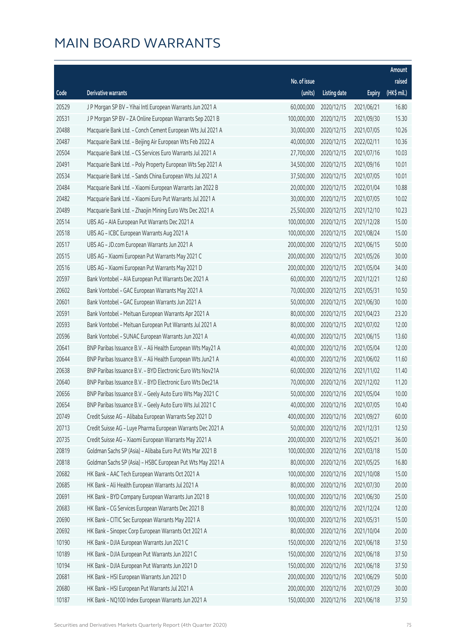|       |                                                             |              |                       |               | Amount      |
|-------|-------------------------------------------------------------|--------------|-----------------------|---------------|-------------|
|       |                                                             | No. of issue |                       |               | raised      |
| Code  | Derivative warrants                                         | (units)      | <b>Listing date</b>   | <b>Expiry</b> | (HK\$ mil.) |
| 20529 | J P Morgan SP BV - Yihai Intl European Warrants Jun 2021 A  | 60,000,000   | 2020/12/15            | 2021/06/21    | 16.80       |
| 20531 | J P Morgan SP BV - ZA Online European Warrants Sep 2021 B   | 100,000,000  | 2020/12/15            | 2021/09/30    | 15.30       |
| 20488 | Macquarie Bank Ltd. - Conch Cement European Wts Jul 2021 A  | 30,000,000   | 2020/12/15            | 2021/07/05    | 10.26       |
| 20487 | Macquarie Bank Ltd. - Beijing Air European Wts Feb 2022 A   | 40,000,000   | 2020/12/15            | 2022/02/11    | 10.36       |
| 20504 | Macquarie Bank Ltd. - CS Services Euro Warrants Jul 2021 A  | 27,700,000   | 2020/12/15            | 2021/07/16    | 10.03       |
| 20491 | Macquarie Bank Ltd. - Poly Property European Wts Sep 2021 A | 34,500,000   | 2020/12/15            | 2021/09/16    | 10.01       |
| 20534 | Macquarie Bank Ltd. - Sands China European Wts Jul 2021 A   | 37,500,000   | 2020/12/15            | 2021/07/05    | 10.01       |
| 20484 | Macquarie Bank Ltd. - Xiaomi European Warrants Jan 2022 B   | 20,000,000   | 2020/12/15            | 2022/01/04    | 10.88       |
| 20482 | Macquarie Bank Ltd. - Xiaomi Euro Put Warrants Jul 2021 A   | 30,000,000   | 2020/12/15            | 2021/07/05    | 10.02       |
| 20489 | Macquarie Bank Ltd. - Zhaojin Mining Euro Wts Dec 2021 A    | 25,500,000   | 2020/12/15            | 2021/12/10    | 10.23       |
| 20514 | UBS AG - AIA European Put Warrants Dec 2021 A               | 100,000,000  | 2020/12/15            | 2021/12/28    | 15.00       |
| 20518 | UBS AG - ICBC European Warrants Aug 2021 A                  | 100,000,000  | 2020/12/15            | 2021/08/24    | 15.00       |
| 20517 | UBS AG - JD.com European Warrants Jun 2021 A                | 200,000,000  | 2020/12/15            | 2021/06/15    | 50.00       |
| 20515 | UBS AG - Xiaomi European Put Warrants May 2021 C            | 200,000,000  | 2020/12/15            | 2021/05/26    | 30.00       |
| 20516 | UBS AG - Xiaomi European Put Warrants May 2021 D            | 200,000,000  | 2020/12/15            | 2021/05/04    | 34.00       |
| 20597 | Bank Vontobel - AIA European Put Warrants Dec 2021 A        | 60,000,000   | 2020/12/15            | 2021/12/21    | 12.60       |
| 20602 | Bank Vontobel - GAC European Warrants May 2021 A            | 70,000,000   | 2020/12/15            | 2021/05/31    | 10.50       |
| 20601 | Bank Vontobel - GAC European Warrants Jun 2021 A            | 50,000,000   | 2020/12/15            | 2021/06/30    | 10.00       |
| 20591 | Bank Vontobel - Meituan European Warrants Apr 2021 A        | 80,000,000   | 2020/12/15            | 2021/04/23    | 23.20       |
| 20593 | Bank Vontobel - Meituan European Put Warrants Jul 2021 A    | 80,000,000   | 2020/12/15            | 2021/07/02    | 12.00       |
| 20596 | Bank Vontobel - SUNAC European Warrants Jun 2021 A          | 40,000,000   | 2020/12/15            | 2021/06/15    | 13.60       |
| 20641 | BNP Paribas Issuance B.V. - Ali Health European Wts May21 A | 40,000,000   | 2020/12/16            | 2021/05/04    | 12.00       |
| 20644 | BNP Paribas Issuance B.V. - Ali Health European Wts Jun21 A | 40,000,000   | 2020/12/16            | 2021/06/02    | 11.60       |
| 20638 | BNP Paribas Issuance B.V. - BYD Electronic Euro Wts Nov21A  | 60,000,000   | 2020/12/16            | 2021/11/02    | 11.40       |
| 20640 | BNP Paribas Issuance B.V. - BYD Electronic Euro Wts Dec21A  | 70,000,000   | 2020/12/16            | 2021/12/02    | 11.20       |
| 20656 | BNP Paribas Issuance B.V. - Geely Auto Euro Wts May 2021 C  | 50,000,000   | 2020/12/16            | 2021/05/04    | 10.00       |
| 20654 | BNP Paribas Issuance B.V. - Geely Auto Euro Wts Jul 2021 C  |              | 40,000,000 2020/12/16 | 2021/07/05    | 10.40       |
| 20749 | Credit Suisse AG - Alibaba European Warrants Sep 2021 D     | 400,000,000  | 2020/12/16            | 2021/09/27    | 60.00       |
| 20713 | Credit Suisse AG - Luye Pharma European Warrants Dec 2021 A | 50,000,000   | 2020/12/16            | 2021/12/31    | 12.50       |
| 20735 | Credit Suisse AG - Xiaomi European Warrants May 2021 A      | 200,000,000  | 2020/12/16            | 2021/05/21    | 36.00       |
| 20819 | Goldman Sachs SP (Asia) - Alibaba Euro Put Wts Mar 2021 B   | 100,000,000  | 2020/12/16            | 2021/03/18    | 15.00       |
| 20818 | Goldman Sachs SP (Asia) - HSBC European Put Wts May 2021 A  | 80,000,000   | 2020/12/16            | 2021/05/25    | 16.80       |
| 20682 | HK Bank - AAC Tech European Warrants Oct 2021 A             | 100,000,000  | 2020/12/16            | 2021/10/08    | 15.00       |
| 20685 | HK Bank - Ali Health European Warrants Jul 2021 A           | 80,000,000   | 2020/12/16            | 2021/07/30    | 20.00       |
| 20691 | HK Bank - BYD Company European Warrants Jun 2021 B          | 100,000,000  | 2020/12/16            | 2021/06/30    | 25.00       |
| 20683 | HK Bank - CG Services European Warrants Dec 2021 B          | 80,000,000   | 2020/12/16            | 2021/12/24    | 12.00       |
| 20690 | HK Bank - CITIC Sec European Warrants May 2021 A            | 100,000,000  | 2020/12/16            | 2021/05/31    | 15.00       |
| 20692 | HK Bank - Sinopec Corp European Warrants Oct 2021 A         | 80,000,000   | 2020/12/16            | 2021/10/04    | 20.00       |
| 10190 | HK Bank - DJIA European Warrants Jun 2021 C                 | 150,000,000  | 2020/12/16            | 2021/06/18    | 37.50       |
| 10189 | HK Bank - DJIA European Put Warrants Jun 2021 C             | 150,000,000  | 2020/12/16            | 2021/06/18    | 37.50       |
| 10194 | HK Bank - DJIA European Put Warrants Jun 2021 D             | 150,000,000  | 2020/12/16            | 2021/06/18    | 37.50       |
| 20681 | HK Bank - HSI European Warrants Jun 2021 D                  | 200,000,000  | 2020/12/16            | 2021/06/29    | 50.00       |
| 20680 | HK Bank - HSI European Put Warrants Jul 2021 A              | 200,000,000  | 2020/12/16            | 2021/07/29    | 30.00       |
| 10187 | HK Bank - NQ100 Index European Warrants Jun 2021 A          | 150,000,000  | 2020/12/16            | 2021/06/18    | 37.50       |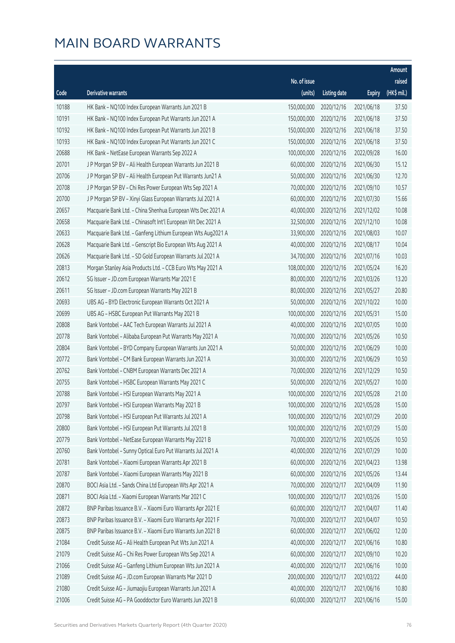|       |                                                              |              |                        |               | Amount      |
|-------|--------------------------------------------------------------|--------------|------------------------|---------------|-------------|
|       |                                                              | No. of issue |                        |               | raised      |
| Code  | Derivative warrants                                          | (units)      | <b>Listing date</b>    | <b>Expiry</b> | (HK\$ mil.) |
| 10188 | HK Bank - NQ100 Index European Warrants Jun 2021 B           | 150,000,000  | 2020/12/16             | 2021/06/18    | 37.50       |
| 10191 | HK Bank - NQ100 Index European Put Warrants Jun 2021 A       | 150,000,000  | 2020/12/16             | 2021/06/18    | 37.50       |
| 10192 | HK Bank - NQ100 Index European Put Warrants Jun 2021 B       | 150,000,000  | 2020/12/16             | 2021/06/18    | 37.50       |
| 10193 | HK Bank - NQ100 Index European Put Warrants Jun 2021 C       | 150,000,000  | 2020/12/16             | 2021/06/18    | 37.50       |
| 20688 | HK Bank - NetEase European Warrants Sep 2022 A               | 100,000,000  | 2020/12/16             | 2022/09/28    | 16.00       |
| 20701 | J P Morgan SP BV - Ali Health European Warrants Jun 2021 B   | 60,000,000   | 2020/12/16             | 2021/06/30    | 15.12       |
| 20706 | J P Morgan SP BV - Ali Health European Put Warrants Jun21 A  | 50,000,000   | 2020/12/16             | 2021/06/30    | 12.70       |
| 20708 | J P Morgan SP BV - Chi Res Power European Wts Sep 2021 A     | 70,000,000   | 2020/12/16             | 2021/09/10    | 10.57       |
| 20700 | J P Morgan SP BV - Xinyi Glass European Warrants Jul 2021 A  | 60,000,000   | 2020/12/16             | 2021/07/30    | 15.66       |
| 20657 | Macquarie Bank Ltd. - China Shenhua European Wts Dec 2021 A  | 40,000,000   | 2020/12/16             | 2021/12/02    | 10.08       |
| 20658 | Macquarie Bank Ltd. - Chinasoft Int'l European Wt Dec 2021 A | 32,500,000   | 2020/12/16             | 2021/12/10    | 10.08       |
| 20633 | Macquarie Bank Ltd. - Ganfeng Lithium European Wts Aug2021 A | 33,900,000   | 2020/12/16             | 2021/08/03    | 10.07       |
| 20628 | Macquarie Bank Ltd. - Genscript Bio European Wts Aug 2021 A  | 40,000,000   | 2020/12/16             | 2021/08/17    | 10.04       |
| 20626 | Macquarie Bank Ltd. - SD Gold European Warrants Jul 2021 A   | 34,700,000   | 2020/12/16             | 2021/07/16    | 10.03       |
| 20813 | Morgan Stanley Asia Products Ltd. - CCB Euro Wts May 2021 A  | 108,000,000  | 2020/12/16             | 2021/05/24    | 16.20       |
| 20612 | SG Issuer - JD.com European Warrants Mar 2021 E              | 80,000,000   | 2020/12/16             | 2021/03/26    | 13.20       |
| 20611 | SG Issuer - JD.com European Warrants May 2021 B              | 80,000,000   | 2020/12/16             | 2021/05/27    | 20.80       |
| 20693 | UBS AG - BYD Electronic European Warrants Oct 2021 A         | 50,000,000   | 2020/12/16             | 2021/10/22    | 10.00       |
| 20699 | UBS AG - HSBC European Put Warrants May 2021 B               | 100,000,000  | 2020/12/16             | 2021/05/31    | 15.00       |
| 20808 | Bank Vontobel - AAC Tech European Warrants Jul 2021 A        | 40,000,000   | 2020/12/16             | 2021/07/05    | 10.00       |
| 20778 | Bank Vontobel - Alibaba European Put Warrants May 2021 A     | 70,000,000   | 2020/12/16             | 2021/05/26    | 10.50       |
| 20804 | Bank Vontobel - BYD Company European Warrants Jun 2021 A     | 50,000,000   | 2020/12/16             | 2021/06/29    | 10.00       |
| 20772 | Bank Vontobel - CM Bank European Warrants Jun 2021 A         | 30,000,000   | 2020/12/16             | 2021/06/29    | 10.50       |
| 20762 | Bank Vontobel - CNBM European Warrants Dec 2021 A            | 70,000,000   | 2020/12/16             | 2021/12/29    | 10.50       |
| 20755 | Bank Vontobel - HSBC European Warrants May 2021 C            | 50,000,000   | 2020/12/16             | 2021/05/27    | 10.00       |
| 20788 | Bank Vontobel - HSI European Warrants May 2021 A             | 100,000,000  | 2020/12/16             | 2021/05/28    | 21.00       |
| 20797 | Bank Vontobel - HSI European Warrants May 2021 B             |              | 100,000,000 2020/12/16 | 2021/05/28    | 15.00       |
| 20798 | Bank Vontobel - HSI European Put Warrants Jul 2021 A         | 100,000,000  | 2020/12/16             | 2021/07/29    | 20.00       |
| 20800 | Bank Vontobel - HSI European Put Warrants Jul 2021 B         | 100,000,000  | 2020/12/16             | 2021/07/29    | 15.00       |
| 20779 | Bank Vontobel - NetEase European Warrants May 2021 B         | 70,000,000   | 2020/12/16             | 2021/05/26    | 10.50       |
| 20760 | Bank Vontobel - Sunny Optical Euro Put Warrants Jul 2021 A   | 40,000,000   | 2020/12/16             | 2021/07/29    | 10.00       |
| 20781 | Bank Vontobel - Xiaomi European Warrants Apr 2021 B          | 60,000,000   | 2020/12/16             | 2021/04/23    | 13.98       |
| 20787 | Bank Vontobel - Xiaomi European Warrants May 2021 B          | 60,000,000   | 2020/12/16             | 2021/05/26    | 13.44       |
| 20870 | BOCI Asia Ltd. - Sands China Ltd European Wts Apr 2021 A     | 70,000,000   | 2020/12/17             | 2021/04/09    | 11.90       |
| 20871 | BOCI Asia Ltd. - Xiaomi European Warrants Mar 2021 C         | 100,000,000  | 2020/12/17             | 2021/03/26    | 15.00       |
| 20872 | BNP Paribas Issuance B.V. - Xiaomi Euro Warrants Apr 2021 E  | 60,000,000   | 2020/12/17             | 2021/04/07    | 11.40       |
| 20873 | BNP Paribas Issuance B.V. - Xiaomi Euro Warrants Apr 2021 F  | 70,000,000   | 2020/12/17             | 2021/04/07    | 10.50       |
| 20875 | BNP Paribas Issuance B.V. - Xiaomi Euro Warrants Jun 2021 B  | 60,000,000   | 2020/12/17             | 2021/06/02    | 12.00       |
| 21084 | Credit Suisse AG - Ali Health European Put Wts Jun 2021 A    | 40,000,000   | 2020/12/17             | 2021/06/16    | 10.80       |
| 21079 | Credit Suisse AG - Chi Res Power European Wts Sep 2021 A     | 60,000,000   | 2020/12/17             | 2021/09/10    | 10.20       |
| 21066 | Credit Suisse AG - Ganfeng Lithium European Wts Jun 2021 A   | 40,000,000   | 2020/12/17             | 2021/06/16    | 10.00       |
| 21089 | Credit Suisse AG - JD.com European Warrants Mar 2021 D       | 200,000,000  | 2020/12/17             | 2021/03/22    | 44.00       |
| 21080 | Credit Suisse AG - Jiumaojiu European Warrants Jun 2021 A    | 40,000,000   | 2020/12/17             | 2021/06/16    | 10.80       |
| 21006 | Credit Suisse AG - PA Gooddoctor Euro Warrants Jun 2021 B    | 60,000,000   | 2020/12/17             | 2021/06/16    | 15.00       |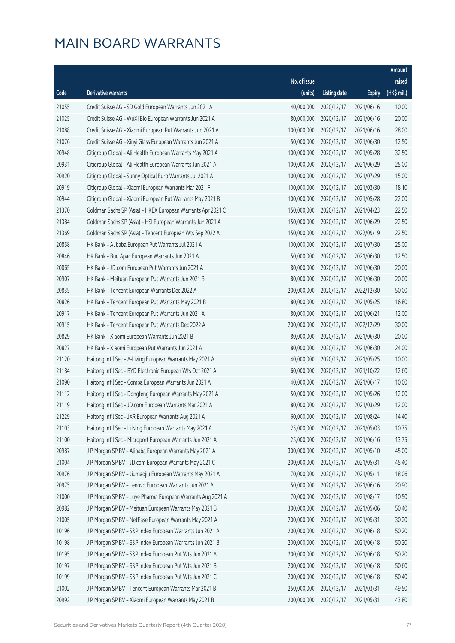|       |                                                             |              |                       |               | Amount      |
|-------|-------------------------------------------------------------|--------------|-----------------------|---------------|-------------|
|       |                                                             | No. of issue |                       |               | raised      |
| Code  | Derivative warrants                                         | (units)      | <b>Listing date</b>   | <b>Expiry</b> | (HK\$ mil.) |
| 21055 | Credit Suisse AG - SD Gold European Warrants Jun 2021 A     | 40,000,000   | 2020/12/17            | 2021/06/16    | 10.00       |
| 21025 | Credit Suisse AG - WuXi Bio European Warrants Jun 2021 A    | 80,000,000   | 2020/12/17            | 2021/06/16    | 20.00       |
| 21088 | Credit Suisse AG - Xiaomi European Put Warrants Jun 2021 A  | 100,000,000  | 2020/12/17            | 2021/06/16    | 28.00       |
| 21076 | Credit Suisse AG - Xinyi Glass European Warrants Jun 2021 A | 50,000,000   | 2020/12/17            | 2021/06/30    | 12.50       |
| 20948 | Citigroup Global - Ali Health European Warrants May 2021 A  | 100,000,000  | 2020/12/17            | 2021/05/28    | 32.50       |
| 20931 | Citigroup Global - Ali Health European Warrants Jun 2021 A  | 100,000,000  | 2020/12/17            | 2021/06/29    | 25.00       |
| 20920 | Citigroup Global - Sunny Optical Euro Warrants Jul 2021 A   | 100,000,000  | 2020/12/17            | 2021/07/29    | 15.00       |
| 20919 | Citigroup Global - Xiaomi European Warrants Mar 2021 F      | 100,000,000  | 2020/12/17            | 2021/03/30    | 18.10       |
| 20944 | Citigroup Global - Xiaomi European Put Warrants May 2021 B  | 100,000,000  | 2020/12/17            | 2021/05/28    | 22.00       |
| 21370 | Goldman Sachs SP (Asia) - HKEX European Warrants Apr 2021 C | 150,000,000  | 2020/12/17            | 2021/04/23    | 22.50       |
| 21384 | Goldman Sachs SP (Asia) - HSI European Warrants Jun 2021 A  | 150,000,000  | 2020/12/17            | 2021/06/29    | 22.50       |
| 21369 | Goldman Sachs SP (Asia) - Tencent European Wts Sep 2022 A   | 150,000,000  | 2020/12/17            | 2022/09/19    | 22.50       |
| 20858 | HK Bank - Alibaba European Put Warrants Jul 2021 A          | 100,000,000  | 2020/12/17            | 2021/07/30    | 25.00       |
| 20846 | HK Bank - Bud Apac European Warrants Jun 2021 A             | 50,000,000   | 2020/12/17            | 2021/06/30    | 12.50       |
| 20865 | HK Bank - JD.com European Put Warrants Jun 2021 A           | 80,000,000   | 2020/12/17            | 2021/06/30    | 20.00       |
| 20907 | HK Bank - Meituan European Put Warrants Jun 2021 B          | 80,000,000   | 2020/12/17            | 2021/06/30    | 20.00       |
| 20835 | HK Bank - Tencent European Warrants Dec 2022 A              | 200,000,000  | 2020/12/17            | 2022/12/30    | 50.00       |
| 20826 | HK Bank - Tencent European Put Warrants May 2021 B          | 80,000,000   | 2020/12/17            | 2021/05/25    | 16.80       |
| 20917 | HK Bank - Tencent European Put Warrants Jun 2021 A          | 80,000,000   | 2020/12/17            | 2021/06/21    | 12.00       |
| 20915 | HK Bank - Tencent European Put Warrants Dec 2022 A          | 200,000,000  | 2020/12/17            | 2022/12/29    | 30.00       |
| 20829 | HK Bank - Xiaomi European Warrants Jun 2021 B               | 80,000,000   | 2020/12/17            | 2021/06/30    | 20.00       |
| 20827 | HK Bank - Xiaomi European Put Warrants Jun 2021 A           | 80,000,000   | 2020/12/17            | 2021/06/30    | 24.00       |
| 21120 | Haitong Int'l Sec - A-Living European Warrants May 2021 A   | 40,000,000   | 2020/12/17            | 2021/05/25    | 10.00       |
| 21184 | Haitong Int'l Sec - BYD Electronic European Wts Oct 2021 A  | 60,000,000   | 2020/12/17            | 2021/10/22    | 12.60       |
| 21090 | Haitong Int'l Sec - Comba European Warrants Jun 2021 A      | 40,000,000   | 2020/12/17            | 2021/06/17    | 10.00       |
| 21112 | Haitong Int'l Sec - Dongfeng European Warrants May 2021 A   | 50,000,000   | 2020/12/17            | 2021/05/26    | 12.00       |
| 21119 | Haitong Int'l Sec - JD.com European Warrants Mar 2021 A     |              | 80,000,000 2020/12/17 | 2021/03/29    | 12.00       |
| 21229 | Haitong Int'l Sec - JXR European Warrants Aug 2021 A        | 60,000,000   | 2020/12/17            | 2021/08/24    | 14.40       |
| 21103 | Haitong Int'l Sec - Li Ning European Warrants May 2021 A    | 25,000,000   | 2020/12/17            | 2021/05/03    | 10.75       |
| 21100 | Haitong Int'l Sec - Microport European Warrants Jun 2021 A  | 25,000,000   | 2020/12/17            | 2021/06/16    | 13.75       |
| 20987 | J P Morgan SP BV - Alibaba European Warrants May 2021 A     | 300,000,000  | 2020/12/17            | 2021/05/10    | 45.00       |
| 21004 | J P Morgan SP BV - JD.com European Warrants May 2021 C      | 200,000,000  | 2020/12/17            | 2021/05/31    | 45.40       |
| 20976 | J P Morgan SP BV - Jiumaojiu European Warrants May 2021 A   | 70,000,000   | 2020/12/17            | 2021/05/11    | 18.06       |
| 20975 | J P Morgan SP BV - Lenovo European Warrants Jun 2021 A      | 50,000,000   | 2020/12/17            | 2021/06/16    | 20.90       |
| 21000 | J P Morgan SP BV - Luye Pharma European Warrants Aug 2021 A | 70,000,000   | 2020/12/17            | 2021/08/17    | 10.50       |
| 20982 | J P Morgan SP BV - Meituan European Warrants May 2021 B     | 300,000,000  | 2020/12/17            | 2021/05/06    | 50.40       |
| 21005 | J P Morgan SP BV - NetEase European Warrants May 2021 A     | 200,000,000  | 2020/12/17            | 2021/05/31    | 30.20       |
| 10196 | J P Morgan SP BV - S&P Index European Warrants Jun 2021 A   | 200,000,000  | 2020/12/17            | 2021/06/18    | 50.20       |
| 10198 | J P Morgan SP BV - S&P Index European Warrants Jun 2021 B   | 200,000,000  | 2020/12/17            | 2021/06/18    | 50.20       |
| 10195 | J P Morgan SP BV - S&P Index European Put Wts Jun 2021 A    | 200,000,000  | 2020/12/17            | 2021/06/18    | 50.20       |
| 10197 | J P Morgan SP BV - S&P Index European Put Wts Jun 2021 B    | 200,000,000  | 2020/12/17            | 2021/06/18    | 50.60       |
| 10199 | J P Morgan SP BV - S&P Index European Put Wts Jun 2021 C    | 200,000,000  | 2020/12/17            | 2021/06/18    | 50.40       |
| 21002 | J P Morgan SP BV - Tencent European Warrants Mar 2021 B     | 250,000,000  | 2020/12/17            | 2021/03/31    | 49.50       |
| 20992 | J P Morgan SP BV - Xiaomi European Warrants May 2021 B      | 200,000,000  | 2020/12/17            | 2021/05/31    | 43.80       |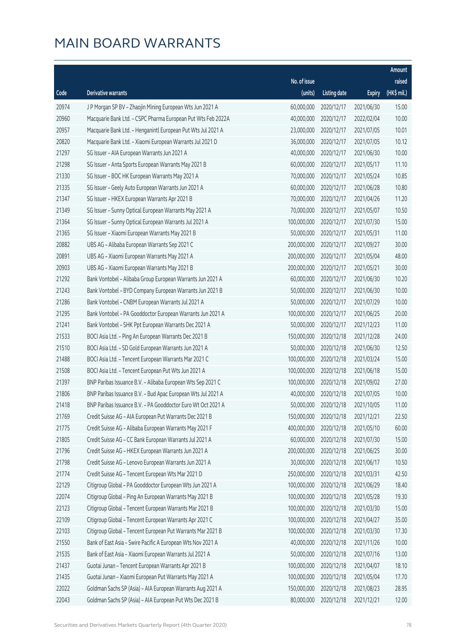|       |                                                              |              |                       |               | Amount      |
|-------|--------------------------------------------------------------|--------------|-----------------------|---------------|-------------|
|       |                                                              | No. of issue |                       |               | raised      |
| Code  | <b>Derivative warrants</b>                                   | (units)      | <b>Listing date</b>   | <b>Expiry</b> | (HK\$ mil.) |
| 20974 | J P Morgan SP BV - Zhaojin Mining European Wts Jun 2021 A    | 60,000,000   | 2020/12/17            | 2021/06/30    | 15.00       |
| 20960 | Macquarie Bank Ltd. - CSPC Pharma European Put Wts Feb 2022A | 40,000,000   | 2020/12/17            | 2022/02/04    | 10.00       |
| 20957 | Macquarie Bank Ltd. - Henganintl European Put Wts Jul 2021 A | 23,000,000   | 2020/12/17            | 2021/07/05    | 10.01       |
| 20820 | Macquarie Bank Ltd. - Xiaomi European Warrants Jul 2021 D    | 36,000,000   | 2020/12/17            | 2021/07/05    | 10.12       |
| 21297 | SG Issuer - AIA European Warrants Jun 2021 A                 | 40,000,000   | 2020/12/17            | 2021/06/30    | 10.00       |
| 21298 | SG Issuer - Anta Sports European Warrants May 2021 B         | 60,000,000   | 2020/12/17            | 2021/05/17    | 11.10       |
| 21330 | SG Issuer - BOC HK European Warrants May 2021 A              | 70,000,000   | 2020/12/17            | 2021/05/24    | 10.85       |
| 21335 | SG Issuer - Geely Auto European Warrants Jun 2021 A          | 60,000,000   | 2020/12/17            | 2021/06/28    | 10.80       |
| 21347 | SG Issuer - HKEX European Warrants Apr 2021 B                | 70,000,000   | 2020/12/17            | 2021/04/26    | 11.20       |
| 21349 | SG Issuer - Sunny Optical European Warrants May 2021 A       | 70,000,000   | 2020/12/17            | 2021/05/07    | 10.50       |
| 21364 | SG Issuer - Sunny Optical European Warrants Jul 2021 A       | 100,000,000  | 2020/12/17            | 2021/07/30    | 15.00       |
| 21365 | SG Issuer - Xiaomi European Warrants May 2021 B              | 50,000,000   | 2020/12/17            | 2021/05/31    | 11.00       |
| 20882 | UBS AG - Alibaba European Warrants Sep 2021 C                | 200,000,000  | 2020/12/17            | 2021/09/27    | 30.00       |
| 20891 | UBS AG - Xiaomi European Warrants May 2021 A                 | 200,000,000  | 2020/12/17            | 2021/05/04    | 48.00       |
| 20903 | UBS AG - Xiaomi European Warrants May 2021 B                 | 200,000,000  | 2020/12/17            | 2021/05/21    | 30.00       |
| 21292 | Bank Vontobel - Alibaba Group European Warrants Jun 2021 A   | 60,000,000   | 2020/12/17            | 2021/06/30    | 10.20       |
| 21243 | Bank Vontobel - BYD Company European Warrants Jun 2021 B     | 50,000,000   | 2020/12/17            | 2021/06/30    | 10.00       |
| 21286 | Bank Vontobel - CNBM European Warrants Jul 2021 A            | 50,000,000   | 2020/12/17            | 2021/07/29    | 10.00       |
| 21295 | Bank Vontobel - PA Gooddoctor European Warrants Jun 2021 A   | 100,000,000  | 2020/12/17            | 2021/06/25    | 20.00       |
| 21241 | Bank Vontobel - SHK Ppt European Warrants Dec 2021 A         | 50,000,000   | 2020/12/17            | 2021/12/23    | 11.00       |
| 21533 | BOCI Asia Ltd. - Ping An European Warrants Dec 2021 B        | 150,000,000  | 2020/12/18            | 2021/12/28    | 24.00       |
| 21510 | BOCI Asia Ltd. - SD Gold European Warrants Jun 2021 A        | 50,000,000   | 2020/12/18            | 2021/06/30    | 12.50       |
| 21488 | BOCI Asia Ltd. - Tencent European Warrants Mar 2021 C        | 100,000,000  | 2020/12/18            | 2021/03/24    | 15.00       |
| 21508 | BOCI Asia Ltd. - Tencent European Put Wts Jun 2021 A         | 100,000,000  | 2020/12/18            | 2021/06/18    | 15.00       |
| 21397 | BNP Paribas Issuance B.V. - Alibaba European Wts Sep 2021 C  | 100,000,000  | 2020/12/18            | 2021/09/02    | 27.00       |
| 21806 | BNP Paribas Issuance B.V. - Bud Apac European Wts Jul 2021 A | 40,000,000   | 2020/12/18            | 2021/07/05    | 10.00       |
| 21418 | BNP Paribas Issuance B.V. - PA Gooddoctor Euro Wt Oct 2021 A |              | 50,000,000 2020/12/18 | 2021/10/05    | 11.00       |
| 21769 | Credit Suisse AG - AIA European Put Warrants Dec 2021 B      | 150,000,000  | 2020/12/18            | 2021/12/21    | 22.50       |
| 21775 | Credit Suisse AG - Alibaba European Warrants May 2021 F      | 400,000,000  | 2020/12/18            | 2021/05/10    | 60.00       |
| 21805 | Credit Suisse AG - CC Bank European Warrants Jul 2021 A      | 60,000,000   | 2020/12/18            | 2021/07/30    | 15.00       |
| 21796 | Credit Suisse AG - HKEX European Warrants Jun 2021 A         | 200,000,000  | 2020/12/18            | 2021/06/25    | 30.00       |
| 21798 | Credit Suisse AG - Lenovo European Warrants Jun 2021 A       | 30,000,000   | 2020/12/18            | 2021/06/17    | 10.50       |
| 21774 | Credit Suisse AG - Tencent European Wts Mar 2021 D           | 250,000,000  | 2020/12/18            | 2021/03/31    | 42.50       |
| 22129 | Citigroup Global - PA Gooddoctor European Wts Jun 2021 A     | 100,000,000  | 2020/12/18            | 2021/06/29    | 18.40       |
| 22074 | Citigroup Global - Ping An European Warrants May 2021 B      | 100,000,000  | 2020/12/18            | 2021/05/28    | 19.30       |
| 22123 | Citigroup Global - Tencent European Warrants Mar 2021 B      | 100,000,000  | 2020/12/18            | 2021/03/30    | 15.00       |
| 22109 | Citigroup Global - Tencent European Warrants Apr 2021 C      | 100,000,000  | 2020/12/18            | 2021/04/27    | 35.00       |
| 22103 | Citigroup Global - Tencent European Put Warrants Mar 2021 B  | 100,000,000  | 2020/12/18            | 2021/03/30    | 17.30       |
| 21550 | Bank of East Asia - Swire Pacific A European Wts Nov 2021 A  | 40,000,000   | 2020/12/18            | 2021/11/26    | 10.00       |
| 21535 | Bank of East Asia - Xiaomi European Warrants Jul 2021 A      | 50,000,000   | 2020/12/18            | 2021/07/16    | 13.00       |
| 21437 | Guotai Junan - Tencent European Warrants Apr 2021 B          | 100,000,000  | 2020/12/18            | 2021/04/07    | 18.10       |
| 21435 | Guotai Junan - Xiaomi European Put Warrants May 2021 A       | 100,000,000  | 2020/12/18            | 2021/05/04    | 17.70       |
| 22022 | Goldman Sachs SP (Asia) - AIA European Warrants Aug 2021 A   | 150,000,000  | 2020/12/18            | 2021/08/23    | 28.95       |
| 22043 | Goldman Sachs SP (Asia) - AIA European Put Wts Dec 2021 B    | 80,000,000   | 2020/12/18            | 2021/12/21    | 12.00       |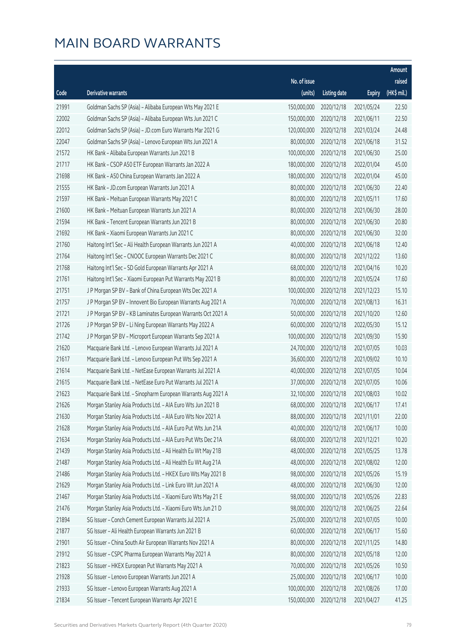|       |                                                              |              |                       |               | Amount      |
|-------|--------------------------------------------------------------|--------------|-----------------------|---------------|-------------|
|       |                                                              | No. of issue |                       |               | raised      |
| Code  | Derivative warrants                                          | (units)      | <b>Listing date</b>   | <b>Expiry</b> | (HK\$ mil.) |
| 21991 | Goldman Sachs SP (Asia) - Alibaba European Wts May 2021 E    | 150,000,000  | 2020/12/18            | 2021/05/24    | 22.50       |
| 22002 | Goldman Sachs SP (Asia) - Alibaba European Wts Jun 2021 C    | 150,000,000  | 2020/12/18            | 2021/06/11    | 22.50       |
| 22012 | Goldman Sachs SP (Asia) - JD.com Euro Warrants Mar 2021 G    | 120,000,000  | 2020/12/18            | 2021/03/24    | 24.48       |
| 22047 | Goldman Sachs SP (Asia) - Lenovo European Wts Jun 2021 A     | 80,000,000   | 2020/12/18            | 2021/06/18    | 31.52       |
| 21572 | HK Bank - Alibaba European Warrants Jun 2021 B               | 100,000,000  | 2020/12/18            | 2021/06/30    | 25.00       |
| 21717 | HK Bank - CSOP A50 ETF European Warrants Jan 2022 A          | 180,000,000  | 2020/12/18            | 2022/01/04    | 45.00       |
| 21698 | HK Bank - A50 China European Warrants Jan 2022 A             | 180,000,000  | 2020/12/18            | 2022/01/04    | 45.00       |
| 21555 | HK Bank - JD.com European Warrants Jun 2021 A                | 80,000,000   | 2020/12/18            | 2021/06/30    | 22.40       |
| 21597 | HK Bank - Meituan European Warrants May 2021 C               | 80,000,000   | 2020/12/18            | 2021/05/11    | 17.60       |
| 21600 | HK Bank - Meituan European Warrants Jun 2021 A               | 80,000,000   | 2020/12/18            | 2021/06/30    | 28.00       |
| 21594 | HK Bank - Tencent European Warrants Jun 2021 B               | 80,000,000   | 2020/12/18            | 2021/06/30    | 20.80       |
| 21692 | HK Bank - Xiaomi European Warrants Jun 2021 C                | 80,000,000   | 2020/12/18            | 2021/06/30    | 32.00       |
| 21760 | Haitong Int'l Sec - Ali Health European Warrants Jun 2021 A  | 40,000,000   | 2020/12/18            | 2021/06/18    | 12.40       |
| 21764 | Haitong Int'l Sec - CNOOC European Warrants Dec 2021 C       | 80,000,000   | 2020/12/18            | 2021/12/22    | 13.60       |
| 21768 | Haitong Int'l Sec - SD Gold European Warrants Apr 2021 A     | 68,000,000   | 2020/12/18            | 2021/04/16    | 10.20       |
| 21761 | Haitong Int'l Sec - Xiaomi European Put Warrants May 2021 B  | 80,000,000   | 2020/12/18            | 2021/05/24    | 17.60       |
| 21751 | J P Morgan SP BV - Bank of China European Wts Dec 2021 A     | 100,000,000  | 2020/12/18            | 2021/12/23    | 15.10       |
| 21757 | J P Morgan SP BV - Innovent Bio European Warrants Aug 2021 A | 70,000,000   | 2020/12/18            | 2021/08/13    | 16.31       |
| 21721 | J P Morgan SP BV - KB Laminates European Warrants Oct 2021 A | 50,000,000   | 2020/12/18            | 2021/10/20    | 12.60       |
| 21726 | J P Morgan SP BV - Li Ning European Warrants May 2022 A      | 60,000,000   | 2020/12/18            | 2022/05/30    | 15.12       |
| 21742 | J P Morgan SP BV - Microport European Warrants Sep 2021 A    | 100,000,000  | 2020/12/18            | 2021/09/30    | 15.90       |
| 21620 | Macquarie Bank Ltd. - Lenovo European Warrants Jul 2021 A    | 24,700,000   | 2020/12/18            | 2021/07/05    | 10.03       |
| 21617 | Macquarie Bank Ltd. - Lenovo European Put Wts Sep 2021 A     | 36,600,000   | 2020/12/18            | 2021/09/02    | 10.10       |
| 21614 | Macquarie Bank Ltd. - NetEase European Warrants Jul 2021 A   | 40,000,000   | 2020/12/18            | 2021/07/05    | 10.04       |
| 21615 | Macquarie Bank Ltd. - NetEase Euro Put Warrants Jul 2021 A   | 37,000,000   | 2020/12/18            | 2021/07/05    | 10.06       |
| 21623 | Macquarie Bank Ltd. - Sinopharm European Warrants Aug 2021 A | 32,100,000   | 2020/12/18            | 2021/08/03    | 10.02       |
| 21626 | Morgan Stanley Asia Products Ltd. - AIA Euro Wts Jun 2021 B  |              | 68,000,000 2020/12/18 | 2021/06/17    | 17.41       |
| 21630 | Morgan Stanley Asia Products Ltd. - AIA Euro Wts Nov 2021 A  | 88,000,000   | 2020/12/18            | 2021/11/01    | 22.00       |
| 21628 | Morgan Stanley Asia Products Ltd. - AIA Euro Put Wts Jun 21A | 40,000,000   | 2020/12/18            | 2021/06/17    | 10.00       |
| 21634 | Morgan Stanley Asia Products Ltd. - AIA Euro Put Wts Dec 21A | 68,000,000   | 2020/12/18            | 2021/12/21    | 10.20       |
| 21439 | Morgan Stanley Asia Products Ltd. - Ali Health Eu Wt May 21B | 48,000,000   | 2020/12/18            | 2021/05/25    | 13.78       |
| 21487 | Morgan Stanley Asia Products Ltd. - Ali Health Eu Wt Aug 21A | 48,000,000   | 2020/12/18            | 2021/08/02    | 12.00       |
| 21486 | Morgan Stanley Asia Products Ltd. - HKEX Euro Wts May 2021 B | 98,000,000   | 2020/12/18            | 2021/05/26    | 15.19       |
| 21629 | Morgan Stanley Asia Products Ltd. - Link Euro Wt Jun 2021 A  | 48,000,000   | 2020/12/18            | 2021/06/30    | 12.00       |
| 21467 | Morgan Stanley Asia Products Ltd. - Xiaomi Euro Wts May 21 E | 98,000,000   | 2020/12/18            | 2021/05/26    | 22.83       |
| 21476 | Morgan Stanley Asia Products Ltd. - Xiaomi Euro Wts Jun 21 D | 98,000,000   | 2020/12/18            | 2021/06/25    | 22.64       |
| 21894 | SG Issuer - Conch Cement European Warrants Jul 2021 A        | 25,000,000   | 2020/12/18            | 2021/07/05    | 10.00       |
| 21877 | SG Issuer - Ali Health European Warrants Jun 2021 B          | 60,000,000   | 2020/12/18            | 2021/06/17    | 15.60       |
| 21901 | SG Issuer - China South Air European Warrants Nov 2021 A     | 80,000,000   | 2020/12/18            | 2021/11/25    | 14.80       |
| 21912 | SG Issuer - CSPC Pharma European Warrants May 2021 A         | 80,000,000   | 2020/12/18            | 2021/05/18    | 12.00       |
| 21823 | SG Issuer - HKEX European Put Warrants May 2021 A            | 70,000,000   | 2020/12/18            | 2021/05/26    | 10.50       |
| 21928 | SG Issuer - Lenovo European Warrants Jun 2021 A              | 25,000,000   | 2020/12/18            | 2021/06/17    | 10.00       |
| 21933 | SG Issuer - Lenovo European Warrants Aug 2021 A              | 100,000,000  | 2020/12/18            | 2021/08/26    | 17.00       |
| 21834 | SG Issuer - Tencent European Warrants Apr 2021 E             | 150,000,000  | 2020/12/18            | 2021/04/27    | 41.25       |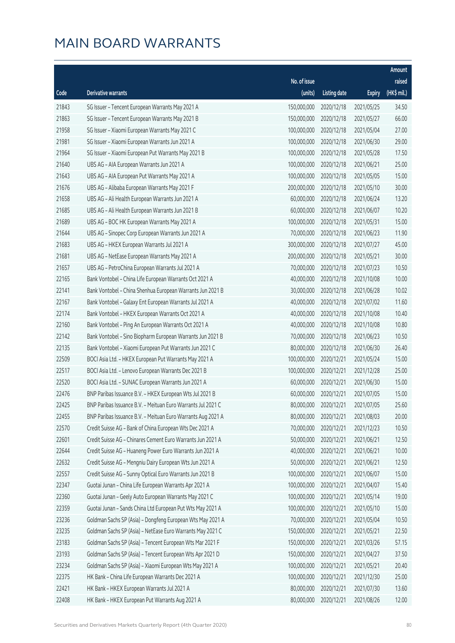|       |                                                              |              |                       |               | Amount      |
|-------|--------------------------------------------------------------|--------------|-----------------------|---------------|-------------|
|       |                                                              | No. of issue |                       |               | raised      |
| Code  | Derivative warrants                                          | (units)      | <b>Listing date</b>   | <b>Expiry</b> | (HK\$ mil.) |
| 21843 | SG Issuer - Tencent European Warrants May 2021 A             | 150,000,000  | 2020/12/18            | 2021/05/25    | 34.50       |
| 21863 | SG Issuer - Tencent European Warrants May 2021 B             | 150,000,000  | 2020/12/18            | 2021/05/27    | 66.00       |
| 21958 | SG Issuer - Xiaomi European Warrants May 2021 C              | 100,000,000  | 2020/12/18            | 2021/05/04    | 27.00       |
| 21981 | SG Issuer - Xiaomi European Warrants Jun 2021 A              | 100,000,000  | 2020/12/18            | 2021/06/30    | 29.00       |
| 21964 | SG Issuer - Xiaomi European Put Warrants May 2021 B          | 100,000,000  | 2020/12/18            | 2021/05/28    | 17.50       |
| 21640 | UBS AG - AIA European Warrants Jun 2021 A                    | 100,000,000  | 2020/12/18            | 2021/06/21    | 25.00       |
| 21643 | UBS AG - AIA European Put Warrants May 2021 A                | 100,000,000  | 2020/12/18            | 2021/05/05    | 15.00       |
| 21676 | UBS AG - Alibaba European Warrants May 2021 F                | 200,000,000  | 2020/12/18            | 2021/05/10    | 30.00       |
| 21658 | UBS AG - Ali Health European Warrants Jun 2021 A             | 60,000,000   | 2020/12/18            | 2021/06/24    | 13.20       |
| 21685 | UBS AG - Ali Health European Warrants Jun 2021 B             | 60,000,000   | 2020/12/18            | 2021/06/07    | 10.20       |
| 21689 | UBS AG - BOC HK European Warrants May 2021 A                 | 100,000,000  | 2020/12/18            | 2021/05/31    | 15.00       |
| 21644 | UBS AG - Sinopec Corp European Warrants Jun 2021 A           | 70,000,000   | 2020/12/18            | 2021/06/23    | 11.90       |
| 21683 | UBS AG - HKEX European Warrants Jul 2021 A                   | 300,000,000  | 2020/12/18            | 2021/07/27    | 45.00       |
| 21681 | UBS AG - NetEase European Warrants May 2021 A                | 200,000,000  | 2020/12/18            | 2021/05/21    | 30.00       |
| 21657 | UBS AG - PetroChina European Warrants Jul 2021 A             | 70,000,000   | 2020/12/18            | 2021/07/23    | 10.50       |
| 22165 | Bank Vontobel - China Life European Warrants Oct 2021 A      | 40,000,000   | 2020/12/18            | 2021/10/08    | 10.00       |
| 22141 | Bank Vontobel - China Shenhua European Warrants Jun 2021 B   | 30,000,000   | 2020/12/18            | 2021/06/28    | 10.02       |
| 22167 | Bank Vontobel - Galaxy Ent European Warrants Jul 2021 A      | 40,000,000   | 2020/12/18            | 2021/07/02    | 11.60       |
| 22174 | Bank Vontobel - HKEX European Warrants Oct 2021 A            | 40,000,000   | 2020/12/18            | 2021/10/08    | 10.40       |
| 22160 | Bank Vontobel - Ping An European Warrants Oct 2021 A         | 40,000,000   | 2020/12/18            | 2021/10/08    | 10.80       |
| 22142 | Bank Vontobel - Sino Biopharm European Warrants Jun 2021 B   | 70,000,000   | 2020/12/18            | 2021/06/23    | 10.50       |
| 22135 | Bank Vontobel - Xiaomi European Put Warrants Jun 2021 C      | 80,000,000   | 2020/12/18            | 2021/06/30    | 26.40       |
| 22509 | BOCI Asia Ltd. - HKEX European Put Warrants May 2021 A       | 100,000,000  | 2020/12/21            | 2021/05/24    | 15.00       |
| 22517 | BOCI Asia Ltd. - Lenovo European Warrants Dec 2021 B         | 100,000,000  | 2020/12/21            | 2021/12/28    | 25.00       |
| 22520 | BOCI Asia Ltd. - SUNAC European Warrants Jun 2021 A          | 60,000,000   | 2020/12/21            | 2021/06/30    | 15.00       |
| 22476 | BNP Paribas Issuance B.V. - HKEX European Wts Jul 2021 B     | 60,000,000   | 2020/12/21            | 2021/07/05    | 15.00       |
| 22425 | BNP Paribas Issuance B.V. - Meituan Euro Warrants Jul 2021 C |              | 80,000,000 2020/12/21 | 2021/07/05    | 25.60       |
| 22455 | BNP Paribas Issuance B.V. - Meituan Euro Warrants Aug 2021 A | 80,000,000   | 2020/12/21            | 2021/08/03    | 20.00       |
| 22570 | Credit Suisse AG - Bank of China European Wts Dec 2021 A     | 70,000,000   | 2020/12/21            | 2021/12/23    | 10.50       |
| 22601 | Credit Suisse AG - Chinares Cement Euro Warrants Jun 2021 A  | 50,000,000   | 2020/12/21            | 2021/06/21    | 12.50       |
| 22644 | Credit Suisse AG - Huaneng Power Euro Warrants Jun 2021 A    | 40,000,000   | 2020/12/21            | 2021/06/21    | 10.00       |
| 22632 | Credit Suisse AG - Mengniu Dairy European Wts Jun 2021 A     | 50,000,000   | 2020/12/21            | 2021/06/21    | 12.50       |
| 22557 | Credit Suisse AG - Sunny Optical Euro Warrants Jun 2021 B    | 100,000,000  | 2020/12/21            | 2021/06/07    | 15.00       |
| 22347 | Guotai Junan - China Life European Warrants Apr 2021 A       | 100,000,000  | 2020/12/21            | 2021/04/07    | 15.40       |
| 22360 | Guotai Junan - Geely Auto European Warrants May 2021 C       | 100,000,000  | 2020/12/21            | 2021/05/14    | 19.00       |
| 22359 | Guotai Junan - Sands China Ltd European Put Wts May 2021 A   | 100,000,000  | 2020/12/21            | 2021/05/10    | 15.00       |
| 23236 | Goldman Sachs SP (Asia) - Dongfeng European Wts May 2021 A   | 70,000,000   | 2020/12/21            | 2021/05/04    | 10.50       |
| 23235 | Goldman Sachs SP (Asia) - NetEase Euro Warrants May 2021 C   | 150,000,000  | 2020/12/21            | 2021/05/21    | 22.50       |
| 23183 | Goldman Sachs SP (Asia) - Tencent European Wts Mar 2021 F    | 150,000,000  | 2020/12/21            | 2021/03/26    | 57.15       |
| 23193 | Goldman Sachs SP (Asia) - Tencent European Wts Apr 2021 D    | 150,000,000  | 2020/12/21            | 2021/04/27    | 37.50       |
| 23234 | Goldman Sachs SP (Asia) - Xiaomi European Wts May 2021 A     | 100,000,000  | 2020/12/21            | 2021/05/21    | 20.40       |
| 22375 | HK Bank - China Life European Warrants Dec 2021 A            | 100,000,000  | 2020/12/21            | 2021/12/30    | 25.00       |
| 22421 | HK Bank - HKEX European Warrants Jul 2021 A                  | 80,000,000   | 2020/12/21            | 2021/07/30    | 13.60       |
| 22408 | HK Bank - HKEX European Put Warrants Aug 2021 A              | 80,000,000   | 2020/12/21            | 2021/08/26    | 12.00       |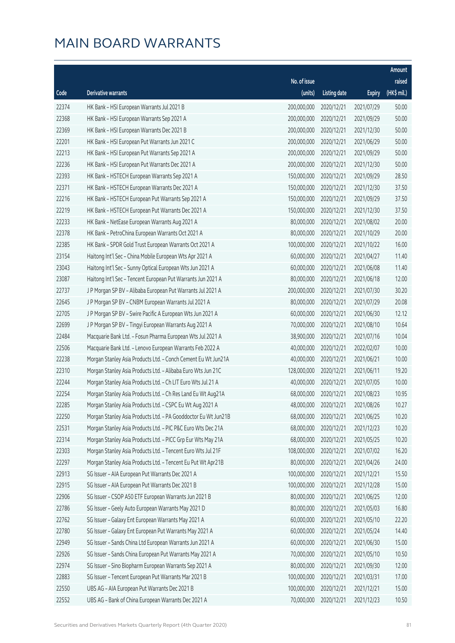|       |                                                                |              |                       |               | Amount      |
|-------|----------------------------------------------------------------|--------------|-----------------------|---------------|-------------|
|       |                                                                | No. of issue |                       |               | raised      |
| Code  | Derivative warrants                                            | (units)      | <b>Listing date</b>   | <b>Expiry</b> | (HK\$ mil.) |
| 22374 | HK Bank - HSI European Warrants Jul 2021 B                     | 200,000,000  | 2020/12/21            | 2021/07/29    | 50.00       |
| 22368 | HK Bank - HSI European Warrants Sep 2021 A                     | 200,000,000  | 2020/12/21            | 2021/09/29    | 50.00       |
| 22369 | HK Bank - HSI European Warrants Dec 2021 B                     | 200,000,000  | 2020/12/21            | 2021/12/30    | 50.00       |
| 22201 | HK Bank - HSI European Put Warrants Jun 2021 C                 | 200,000,000  | 2020/12/21            | 2021/06/29    | 50.00       |
| 22213 | HK Bank - HSI European Put Warrants Sep 2021 A                 | 200,000,000  | 2020/12/21            | 2021/09/29    | 50.00       |
| 22236 | HK Bank - HSI European Put Warrants Dec 2021 A                 | 200,000,000  | 2020/12/21            | 2021/12/30    | 50.00       |
| 22393 | HK Bank - HSTECH European Warrants Sep 2021 A                  | 150,000,000  | 2020/12/21            | 2021/09/29    | 28.50       |
| 22371 | HK Bank - HSTECH European Warrants Dec 2021 A                  | 150,000,000  | 2020/12/21            | 2021/12/30    | 37.50       |
| 22216 | HK Bank - HSTECH European Put Warrants Sep 2021 A              | 150,000,000  | 2020/12/21            | 2021/09/29    | 37.50       |
| 22219 | HK Bank - HSTECH European Put Warrants Dec 2021 A              | 150,000,000  | 2020/12/21            | 2021/12/30    | 37.50       |
| 22233 | HK Bank - NetEase European Warrants Aug 2021 A                 | 80,000,000   | 2020/12/21            | 2021/08/02    | 20.00       |
| 22378 | HK Bank - PetroChina European Warrants Oct 2021 A              | 80,000,000   | 2020/12/21            | 2021/10/29    | 20.00       |
| 22385 | HK Bank - SPDR Gold Trust European Warrants Oct 2021 A         | 100,000,000  | 2020/12/21            | 2021/10/22    | 16.00       |
| 23154 | Haitong Int'l Sec - China Mobile European Wts Apr 2021 A       | 60,000,000   | 2020/12/21            | 2021/04/27    | 11.40       |
| 23043 | Haitong Int'l Sec - Sunny Optical European Wts Jun 2021 A      | 60,000,000   | 2020/12/21            | 2021/06/08    | 11.40       |
| 23087 | Haitong Int'l Sec - Tencent European Put Warrants Jun 2021 A   | 80,000,000   | 2020/12/21            | 2021/06/18    | 12.00       |
| 22737 | J P Morgan SP BV - Alibaba European Put Warrants Jul 2021 A    | 200,000,000  | 2020/12/21            | 2021/07/30    | 30.20       |
| 22645 | J P Morgan SP BV - CNBM European Warrants Jul 2021 A           | 80,000,000   | 2020/12/21            | 2021/07/29    | 20.08       |
| 22705 | J P Morgan SP BV - Swire Pacific A European Wts Jun 2021 A     | 60,000,000   | 2020/12/21            | 2021/06/30    | 12.12       |
| 22699 | J P Morgan SP BV - Tingyi European Warrants Aug 2021 A         | 70,000,000   | 2020/12/21            | 2021/08/10    | 10.64       |
| 22484 | Macquarie Bank Ltd. - Fosun Pharma European Wts Jul 2021 A     | 38,900,000   | 2020/12/21            | 2021/07/16    | 10.04       |
| 22506 | Macquarie Bank Ltd. - Lenovo European Warrants Feb 2022 A      | 40,000,000   | 2020/12/21            | 2022/02/07    | 10.00       |
| 22238 | Morgan Stanley Asia Products Ltd. - Conch Cement Eu Wt Jun21A  | 40,000,000   | 2020/12/21            | 2021/06/21    | 10.00       |
| 22310 | Morgan Stanley Asia Products Ltd. - Alibaba Euro Wts Jun 21C   | 128,000,000  | 2020/12/21            | 2021/06/11    | 19.20       |
| 22244 | Morgan Stanley Asia Products Ltd. - Ch LIT Euro Wts Jul 21 A   | 40,000,000   | 2020/12/21            | 2021/07/05    | 10.00       |
| 22254 | Morgan Stanley Asia Products Ltd. - Ch Res Land Eu Wt Aug21A   | 68,000,000   | 2020/12/21            | 2021/08/23    | 10.95       |
| 22285 | Morgan Stanley Asia Products Ltd. - CSPC Eu Wt Aug 2021 A      |              | 48,000,000 2020/12/21 | 2021/08/26    | 10.27       |
| 22250 | Morgan Stanley Asia Products Ltd. - PA Gooddoctor Eu Wt Jun21B | 68,000,000   | 2020/12/21            | 2021/06/25    | 10.20       |
| 22531 | Morgan Stanley Asia Products Ltd. - PIC P&C Euro Wts Dec 21A   | 68,000,000   | 2020/12/21            | 2021/12/23    | 10.20       |
| 22314 | Morgan Stanley Asia Products Ltd. - PICC Grp Eur Wts May 21A   | 68,000,000   | 2020/12/21            | 2021/05/25    | 10.20       |
| 22303 | Morgan Stanley Asia Products Ltd. - Tencent Euro Wts Jul 21F   | 108,000,000  | 2020/12/21            | 2021/07/02    | 16.20       |
| 22297 | Morgan Stanley Asia Products Ltd. - Tencent Eu Put Wt Apr21B   | 80,000,000   | 2020/12/21            | 2021/04/26    | 24.00       |
| 22913 | SG Issuer - AIA European Put Warrants Dec 2021 A               | 100,000,000  | 2020/12/21            | 2021/12/21    | 15.50       |
| 22915 | SG Issuer - AIA European Put Warrants Dec 2021 B               | 100,000,000  | 2020/12/21            | 2021/12/28    | 15.00       |
| 22906 | SG Issuer - CSOP A50 ETF European Warrants Jun 2021 B          | 80,000,000   | 2020/12/21            | 2021/06/25    | 12.00       |
| 22786 | SG Issuer - Geely Auto European Warrants May 2021 D            | 80,000,000   | 2020/12/21            | 2021/05/03    | 16.80       |
| 22762 | SG Issuer - Galaxy Ent European Warrants May 2021 A            | 60,000,000   | 2020/12/21            | 2021/05/10    | 22.20       |
| 22780 | SG Issuer - Galaxy Ent European Put Warrants May 2021 A        | 60,000,000   | 2020/12/21            | 2021/05/24    | 14.40       |
| 22949 | SG Issuer - Sands China Ltd European Warrants Jun 2021 A       | 60,000,000   | 2020/12/21            | 2021/06/30    | 15.00       |
| 22926 | SG Issuer - Sands China European Put Warrants May 2021 A       | 70,000,000   | 2020/12/21            | 2021/05/10    | 10.50       |
| 22974 | SG Issuer - Sino Biopharm European Warrants Sep 2021 A         | 80,000,000   | 2020/12/21            | 2021/09/30    | 12.00       |
| 22883 | SG Issuer - Tencent European Put Warrants Mar 2021 B           | 100,000,000  | 2020/12/21            | 2021/03/31    | 17.00       |
| 22550 | UBS AG - AIA European Put Warrants Dec 2021 B                  | 100,000,000  | 2020/12/21            | 2021/12/21    | 15.00       |
| 22552 | UBS AG - Bank of China European Warrants Dec 2021 A            | 70,000,000   | 2020/12/21            | 2021/12/23    | 10.50       |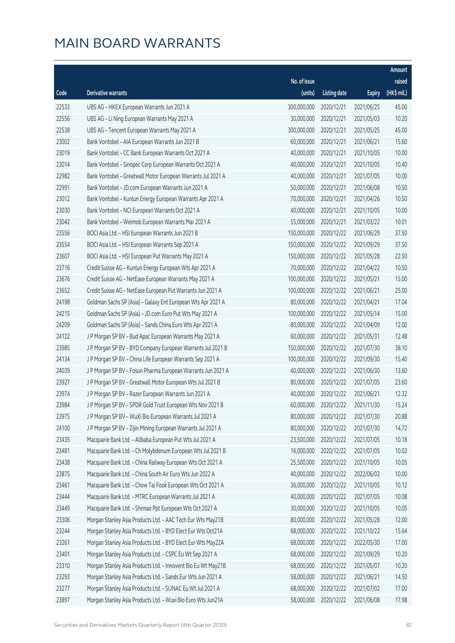|       |                                                               |              |                       |               | Amount      |
|-------|---------------------------------------------------------------|--------------|-----------------------|---------------|-------------|
|       |                                                               | No. of issue |                       |               | raised      |
| Code  | Derivative warrants                                           | (units)      | <b>Listing date</b>   | <b>Expiry</b> | (HK\$ mil.) |
| 22533 | UBS AG - HKEX European Warrants Jun 2021 A                    | 300,000,000  | 2020/12/21            | 2021/06/25    | 45.00       |
| 22556 | UBS AG - Li Ning European Warrants May 2021 A                 | 30,000,000   | 2020/12/21            | 2021/05/03    | 10.20       |
| 22538 | UBS AG - Tencent European Warrants May 2021 A                 | 300,000,000  | 2020/12/21            | 2021/05/25    | 45.00       |
| 23002 | Bank Vontobel - AIA European Warrants Jun 2021 B              | 60,000,000   | 2020/12/21            | 2021/06/21    | 15.60       |
| 23019 | Bank Vontobel - CC Bank European Warrants Oct 2021 A          | 40,000,000   | 2020/12/21            | 2021/10/05    | 10.00       |
| 23014 | Bank Vontobel - Sinopec Corp European Warrants Oct 2021 A     | 40,000,000   | 2020/12/21            | 2021/10/05    | 10.40       |
| 22982 | Bank Vontobel - Greatwall Motor European Warrants Jul 2021 A  | 40,000,000   | 2020/12/21            | 2021/07/05    | 10.00       |
| 22991 | Bank Vontobel - JD.com European Warrants Jun 2021 A           | 50,000,000   | 2020/12/21            | 2021/06/08    | 10.50       |
| 23012 | Bank Vontobel - Kunlun Energy European Warrants Apr 2021 A    | 70,000,000   | 2020/12/21            | 2021/04/26    | 10.50       |
| 23030 | Bank Vontobel - NCI European Warrants Oct 2021 A              | 40,000,000   | 2020/12/21            | 2021/10/05    | 10.00       |
| 23042 | Bank Vontobel - Weimob European Warrants Mar 2021 A           | 55,000,000   | 2020/12/21            | 2021/03/22    | 10.01       |
| 23556 | BOCI Asia Ltd. - HSI European Warrants Jun 2021 B             | 150,000,000  | 2020/12/22            | 2021/06/29    | 37.50       |
| 23554 | BOCI Asia Ltd. - HSI European Warrants Sep 2021 A             | 150,000,000  | 2020/12/22            | 2021/09/29    | 37.50       |
| 23607 | BOCI Asia Ltd. - HSI European Put Warrants May 2021 A         | 150,000,000  | 2020/12/22            | 2021/05/28    | 22.50       |
| 23716 | Credit Suisse AG - Kunlun Energy European Wts Apr 2021 A      | 70,000,000   | 2020/12/22            | 2021/04/22    | 10.50       |
| 23676 | Credit Suisse AG - NetEase European Warrants May 2021 A       | 100,000,000  | 2020/12/22            | 2021/05/21    | 15.00       |
| 23652 | Credit Suisse AG - NetEase European Put Warrants Jun 2021 A   | 100,000,000  | 2020/12/22            | 2021/06/21    | 25.00       |
| 24198 | Goldman Sachs SP (Asia) - Galaxy Ent European Wts Apr 2021 A  | 80,000,000   | 2020/12/22            | 2021/04/21    | 17.04       |
| 24215 | Goldman Sachs SP (Asia) - JD.com Euro Put Wts May 2021 A      | 100,000,000  | 2020/12/22            | 2021/05/14    | 15.00       |
| 24209 | Goldman Sachs SP (Asia) - Sands China Euro Wts Apr 2021 A     | 80,000,000   | 2020/12/22            | 2021/04/09    | 12.00       |
| 24122 | J P Morgan SP BV - Bud Apac European Warrants May 2021 A      | 60,000,000   | 2020/12/22            | 2021/05/31    | 12.48       |
| 23985 | J P Morgan SP BV - BYD Company European Warrants Jul 2021 B   | 150,000,000  | 2020/12/22            | 2021/07/30    | 38.10       |
| 24134 | J P Morgan SP BV - China Life European Warrants Sep 2021 A    | 100,000,000  | 2020/12/22            | 2021/09/30    | 15.40       |
| 24039 | J P Morgan SP BV - Fosun Pharma European Warrants Jun 2021 A  | 40,000,000   | 2020/12/22            | 2021/06/30    | 13.60       |
| 23927 | J P Morgan SP BV - Greatwall Motor European Wts Jul 2021 B    | 80,000,000   | 2020/12/22            | 2021/07/05    | 23.60       |
| 23974 | J P Morgan SP BV - Razer European Warrants Jun 2021 A         | 40,000,000   | 2020/12/22            | 2021/06/21    | 12.32       |
| 23984 | J P Morgan SP BV - SPDR Gold Trust European Wts Nov 2021 B    |              | 60,000,000 2020/12/22 | 2021/11/30    | 15.24       |
| 23975 | J P Morgan SP BV - WuXi Bio European Warrants Jul 2021 A      | 80,000,000   | 2020/12/22            | 2021/07/30    | 20.88       |
| 24100 | J P Morgan SP BV - Zijin Mining European Warrants Jul 2021 A  | 80,000,000   | 2020/12/22            | 2021/07/30    | 14.72       |
| 23435 | Macquarie Bank Ltd. - Alibaba European Put Wts Jul 2021 A     | 23,500,000   | 2020/12/22            | 2021/07/05    | 10.18       |
| 23481 | Macquarie Bank Ltd. - Ch Molybdenum European Wts Jul 2021 B   | 16,000,000   | 2020/12/22            | 2021/07/05    | 10.02       |
| 23438 | Macquarie Bank Ltd. - China Railway European Wts Oct 2021 A   | 25,500,000   | 2020/12/22            | 2021/10/05    | 10.05       |
| 23875 | Macquarie Bank Ltd. - China South Air Euro Wts Jun 2022 A     | 40,000,000   | 2020/12/22            | 2022/06/02    | 10.00       |
| 23461 | Macquarie Bank Ltd. - Chow Tai Fook European Wts Oct 2021 A   | 36,000,000   | 2020/12/22            | 2021/10/05    | 10.12       |
| 23444 | Macquarie Bank Ltd. - MTRC European Warrants Jul 2021 A       | 40,000,000   | 2020/12/22            | 2021/07/05    | 10.08       |
| 23449 | Macquarie Bank Ltd. - Shimao Ppt European Wts Oct 2021 A      | 30,000,000   | 2020/12/22            | 2021/10/05    | 10.05       |
| 23306 | Morgan Stanley Asia Products Ltd. - AAC Tech Eur Wts May21B   | 80,000,000   | 2020/12/22            | 2021/05/28    | 12.00       |
| 23244 | Morgan Stanley Asia Products Ltd. - BYD Elect Eur Wts Oct21A  | 68,000,000   | 2020/12/22            | 2021/10/22    | 15.64       |
| 23261 | Morgan Stanley Asia Products Ltd. - BYD Elect Eur Wts May22A  | 68,000,000   | 2020/12/22            | 2022/05/30    | 17.00       |
| 23401 | Morgan Stanley Asia Products Ltd. - CSPC Eu Wt Sep 2021 A     | 68,000,000   | 2020/12/22            | 2021/09/29    | 10.20       |
| 23310 | Morgan Stanley Asia Products Ltd. - Innovent Bio Eu Wt May21B | 68,000,000   | 2020/12/22            | 2021/05/07    | 10.20       |
| 23293 | Morgan Stanley Asia Products Ltd. - Sands Eur Wts Jun 2021 A  | 58,000,000   | 2020/12/22            | 2021/06/21    | 14.50       |
| 23277 | Morgan Stanley Asia Products Ltd. - SUNAC Eu Wt Jul 2021 A    | 68,000,000   | 2020/12/22            | 2021/07/02    | 17.00       |
| 23897 | Morgan Stanley Asia Products Ltd. - Wuxi Bio Euro Wts Jun21A  | 58,000,000   | 2020/12/22            | 2021/06/08    | 17.98       |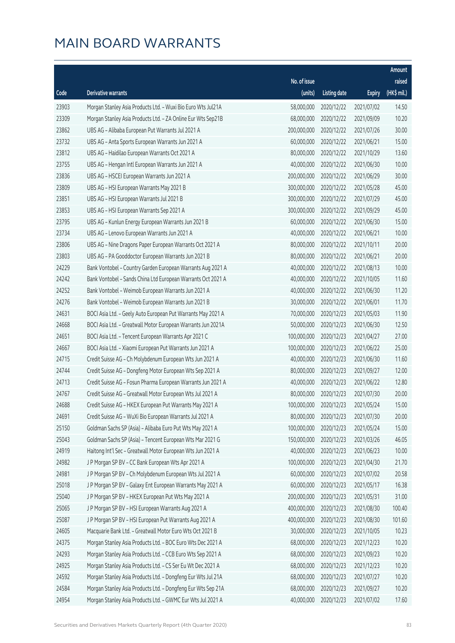|       |                                                              |                        |                     |               | Amount      |
|-------|--------------------------------------------------------------|------------------------|---------------------|---------------|-------------|
|       |                                                              | No. of issue           |                     |               | raised      |
| Code  | Derivative warrants                                          | (units)                | <b>Listing date</b> | <b>Expiry</b> | (HK\$ mil.) |
| 23903 | Morgan Stanley Asia Products Ltd. - Wuxi Bio Euro Wts Jul21A | 58,000,000             | 2020/12/22          | 2021/07/02    | 14.50       |
| 23309 | Morgan Stanley Asia Products Ltd. - ZA Online Eur Wts Sep21B | 68,000,000             | 2020/12/22          | 2021/09/09    | 10.20       |
| 23862 | UBS AG - Alibaba European Put Warrants Jul 2021 A            | 200,000,000            | 2020/12/22          | 2021/07/26    | 30.00       |
| 23732 | UBS AG - Anta Sports European Warrants Jun 2021 A            | 60,000,000             | 2020/12/22          | 2021/06/21    | 15.00       |
| 23812 | UBS AG - Haidilao European Warrants Oct 2021 A               | 80,000,000             | 2020/12/22          | 2021/10/29    | 13.60       |
| 23755 | UBS AG - Hengan Intl European Warrants Jun 2021 A            | 40,000,000             | 2020/12/22          | 2021/06/30    | 10.00       |
| 23836 | UBS AG - HSCEI European Warrants Jun 2021 A                  | 200,000,000            | 2020/12/22          | 2021/06/29    | 30.00       |
| 23809 | UBS AG - HSI European Warrants May 2021 B                    | 300,000,000            | 2020/12/22          | 2021/05/28    | 45.00       |
| 23851 | UBS AG - HSI European Warrants Jul 2021 B                    | 300,000,000            | 2020/12/22          | 2021/07/29    | 45.00       |
| 23853 | UBS AG - HSI European Warrants Sep 2021 A                    | 300,000,000            | 2020/12/22          | 2021/09/29    | 45.00       |
| 23795 | UBS AG - Kunlun Energy European Warrants Jun 2021 B          | 60,000,000             | 2020/12/22          | 2021/06/30    | 15.00       |
| 23734 | UBS AG - Lenovo European Warrants Jun 2021 A                 | 40,000,000             | 2020/12/22          | 2021/06/21    | 10.00       |
| 23806 | UBS AG - Nine Dragons Paper European Warrants Oct 2021 A     | 80,000,000             | 2020/12/22          | 2021/10/11    | 20.00       |
| 23803 | UBS AG - PA Gooddoctor European Warrants Jun 2021 B          | 80,000,000             | 2020/12/22          | 2021/06/21    | 20.00       |
| 24229 | Bank Vontobel - Country Garden European Warrants Aug 2021 A  | 40,000,000             | 2020/12/22          | 2021/08/13    | 10.00       |
| 24242 | Bank Vontobel - Sands China Ltd European Warrants Oct 2021 A | 40,000,000             | 2020/12/22          | 2021/10/05    | 11.60       |
| 24252 | Bank Vontobel - Weimob European Warrants Jun 2021 A          | 40,000,000             | 2020/12/22          | 2021/06/30    | 11.20       |
| 24276 | Bank Vontobel - Weimob European Warrants Jun 2021 B          | 30,000,000             | 2020/12/22          | 2021/06/01    | 11.70       |
| 24631 | BOCI Asia Ltd. - Geely Auto European Put Warrants May 2021 A | 70,000,000             | 2020/12/23          | 2021/05/03    | 11.90       |
| 24668 | BOCI Asia Ltd. - Greatwall Motor European Warrants Jun 2021A | 50,000,000             | 2020/12/23          | 2021/06/30    | 12.50       |
| 24651 | BOCI Asia Ltd. - Tencent European Warrants Apr 2021 C        | 100,000,000            | 2020/12/23          | 2021/04/27    | 27.00       |
| 24667 | BOCI Asia Ltd. - Xiaomi European Put Warrants Jun 2021 A     | 100,000,000            | 2020/12/23          | 2021/06/22    | 25.00       |
| 24715 | Credit Suisse AG - Ch Molybdenum European Wts Jun 2021 A     | 40,000,000             | 2020/12/23          | 2021/06/30    | 11.60       |
| 24744 | Credit Suisse AG - Dongfeng Motor European Wts Sep 2021 A    | 80,000,000             | 2020/12/23          | 2021/09/27    | 12.00       |
| 24713 | Credit Suisse AG - Fosun Pharma European Warrants Jun 2021 A | 40,000,000             | 2020/12/23          | 2021/06/22    | 12.80       |
| 24767 | Credit Suisse AG - Greatwall Motor European Wts Jul 2021 A   | 80,000,000             | 2020/12/23          | 2021/07/30    | 20.00       |
| 24688 | Credit Suisse AG - HKEX European Put Warrants May 2021 A     | 100,000,000 2020/12/23 |                     | 2021/05/24    | 15.00       |
| 24691 | Credit Suisse AG - WuXi Bio European Warrants Jul 2021 A     | 80,000,000             | 2020/12/23          | 2021/07/30    | 20.00       |
| 25150 | Goldman Sachs SP (Asia) - Alibaba Euro Put Wts May 2021 A    | 100,000,000            | 2020/12/23          | 2021/05/24    | 15.00       |
| 25043 | Goldman Sachs SP (Asia) - Tencent European Wts Mar 2021 G    | 150,000,000            | 2020/12/23          | 2021/03/26    | 46.05       |
| 24919 | Haitong Int'l Sec - Greatwall Motor European Wts Jun 2021 A  | 40,000,000             | 2020/12/23          | 2021/06/23    | 10.00       |
| 24982 | J P Morgan SP BV - CC Bank European Wts Apr 2021 A           | 100,000,000            | 2020/12/23          | 2021/04/30    | 21.70       |
| 24981 | J P Morgan SP BV - Ch Molybdenum European Wts Jul 2021 A     | 60,000,000             | 2020/12/23          | 2021/07/02    | 20.58       |
| 25018 | J P Morgan SP BV - Galaxy Ent European Warrants May 2021 A   | 60,000,000             | 2020/12/23          | 2021/05/17    | 16.38       |
| 25040 | J P Morgan SP BV - HKEX European Put Wts May 2021 A          | 200,000,000            | 2020/12/23          | 2021/05/31    | 31.00       |
| 25065 | J P Morgan SP BV - HSI European Warrants Aug 2021 A          | 400,000,000            | 2020/12/23          | 2021/08/30    | 100.40      |
| 25087 | J P Morgan SP BV - HSI European Put Warrants Aug 2021 A      | 400,000,000            | 2020/12/23          | 2021/08/30    | 101.60      |
| 24605 | Macquarie Bank Ltd. - Greatwall Motor Euro Wts Oct 2021 B    | 30,000,000             | 2020/12/23          | 2021/10/05    | 10.23       |
| 24375 | Morgan Stanley Asia Products Ltd. - BOC Euro Wts Dec 2021 A  | 68,000,000             | 2020/12/23          | 2021/12/23    | 10.20       |
| 24293 | Morgan Stanley Asia Products Ltd. - CCB Euro Wts Sep 2021 A  | 68,000,000             | 2020/12/23          | 2021/09/23    | 10.20       |
| 24925 | Morgan Stanley Asia Products Ltd. - CS Ser Eu Wt Dec 2021 A  | 68,000,000             | 2020/12/23          | 2021/12/23    | 10.20       |
| 24592 | Morgan Stanley Asia Products Ltd. - Dongfeng Eur Wts Jul 21A | 68,000,000             | 2020/12/23          | 2021/07/27    | 10.20       |
| 24584 | Morgan Stanley Asia Products Ltd. - Dongfeng Eur Wts Sep 21A | 68,000,000             | 2020/12/23          | 2021/09/27    | 10.20       |
| 24954 | Morgan Stanley Asia Products Ltd. - GWMC Eur Wts Jul 2021 A  | 40,000,000             | 2020/12/23          | 2021/07/02    | 17.60       |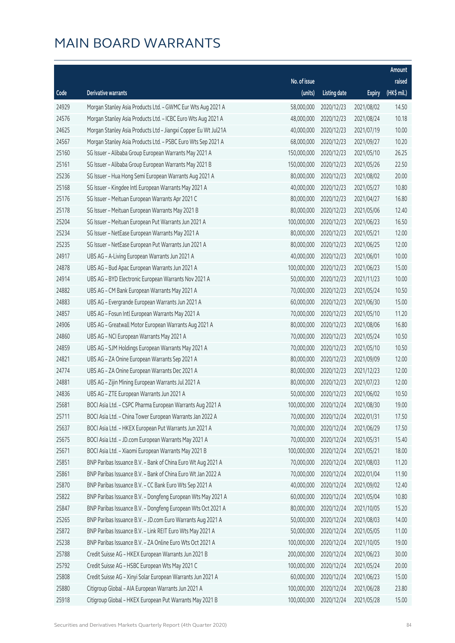|       |                                                                |                        |                     |               | Amount      |
|-------|----------------------------------------------------------------|------------------------|---------------------|---------------|-------------|
|       |                                                                | No. of issue           |                     |               | raised      |
| Code  | Derivative warrants                                            | (units)                | <b>Listing date</b> | <b>Expiry</b> | (HK\$ mil.) |
| 24929 | Morgan Stanley Asia Products Ltd. - GWMC Eur Wts Aug 2021 A    | 58,000,000             | 2020/12/23          | 2021/08/02    | 14.50       |
| 24576 | Morgan Stanley Asia Products Ltd. - ICBC Euro Wts Aug 2021 A   | 48,000,000             | 2020/12/23          | 2021/08/24    | 10.18       |
| 24625 | Morgan Stanley Asia Products Ltd - Jiangxi Copper Eu Wt Jul21A | 40,000,000             | 2020/12/23          | 2021/07/19    | 10.00       |
| 24567 | Morgan Stanley Asia Products Ltd. - PSBC Euro Wts Sep 2021 A   | 68,000,000             | 2020/12/23          | 2021/09/27    | 10.20       |
| 25160 | SG Issuer - Alibaba Group European Warrants May 2021 A         | 150,000,000            | 2020/12/23          | 2021/05/10    | 26.25       |
| 25161 | SG Issuer - Alibaba Group European Warrants May 2021 B         | 150,000,000            | 2020/12/23          | 2021/05/26    | 22.50       |
| 25236 | SG Issuer - Hua Hong Semi European Warrants Aug 2021 A         | 80,000,000             | 2020/12/23          | 2021/08/02    | 20.00       |
| 25168 | SG Issuer - Kingdee Intl European Warrants May 2021 A          | 40,000,000             | 2020/12/23          | 2021/05/27    | 10.80       |
| 25176 | SG Issuer - Meituan European Warrants Apr 2021 C               | 80,000,000             | 2020/12/23          | 2021/04/27    | 16.80       |
| 25178 | SG Issuer - Meituan European Warrants May 2021 B               | 80,000,000             | 2020/12/23          | 2021/05/06    | 12.40       |
| 25204 | SG Issuer - Meituan European Put Warrants Jun 2021 A           | 100,000,000            | 2020/12/23          | 2021/06/23    | 16.50       |
| 25234 | SG Issuer - NetEase European Warrants May 2021 A               | 80,000,000             | 2020/12/23          | 2021/05/21    | 12.00       |
| 25235 | SG Issuer - NetEase European Put Warrants Jun 2021 A           | 80,000,000             | 2020/12/23          | 2021/06/25    | 12.00       |
| 24917 | UBS AG - A-Living European Warrants Jun 2021 A                 | 40,000,000             | 2020/12/23          | 2021/06/01    | 10.00       |
| 24878 | UBS AG - Bud Apac European Warrants Jun 2021 A                 | 100,000,000            | 2020/12/23          | 2021/06/23    | 15.00       |
| 24914 | UBS AG - BYD Electronic European Warrants Nov 2021 A           | 50,000,000             | 2020/12/23          | 2021/11/23    | 10.00       |
| 24882 | UBS AG - CM Bank European Warrants May 2021 A                  | 70,000,000             | 2020/12/23          | 2021/05/24    | 10.50       |
| 24883 | UBS AG - Evergrande European Warrants Jun 2021 A               | 60,000,000             | 2020/12/23          | 2021/06/30    | 15.00       |
| 24857 | UBS AG - Fosun Intl European Warrants May 2021 A               | 70,000,000             | 2020/12/23          | 2021/05/10    | 11.20       |
| 24906 | UBS AG - Greatwall Motor European Warrants Aug 2021 A          | 80,000,000             | 2020/12/23          | 2021/08/06    | 16.80       |
| 24860 | UBS AG - NCI European Warrants May 2021 A                      | 70,000,000             | 2020/12/23          | 2021/05/24    | 10.50       |
| 24859 | UBS AG - SJM Holdings European Warrants May 2021 A             | 70,000,000             | 2020/12/23          | 2021/05/10    | 10.50       |
| 24821 | UBS AG - ZA Onine European Warrants Sep 2021 A                 | 80,000,000             | 2020/12/23          | 2021/09/09    | 12.00       |
| 24774 | UBS AG - ZA Onine European Warrants Dec 2021 A                 | 80,000,000             | 2020/12/23          | 2021/12/23    | 12.00       |
| 24881 | UBS AG - Zijin Mining European Warrants Jul 2021 A             | 80,000,000             | 2020/12/23          | 2021/07/23    | 12.00       |
| 24836 | UBS AG - ZTE European Warrants Jun 2021 A                      | 50,000,000             | 2020/12/23          | 2021/06/02    | 10.50       |
| 25681 | BOCI Asia Ltd. - CSPC Pharma European Warrants Aug 2021 A      | 100,000,000 2020/12/24 |                     | 2021/08/30    | 19.00       |
| 25711 | BOCI Asia Ltd. - China Tower European Warrants Jan 2022 A      | 70,000,000             | 2020/12/24          | 2022/01/31    | 17.50       |
| 25637 | BOCI Asia Ltd. - HKEX European Put Warrants Jun 2021 A         | 70,000,000             | 2020/12/24          | 2021/06/29    | 17.50       |
| 25675 | BOCI Asia Ltd. - JD.com European Warrants May 2021 A           | 70,000,000             | 2020/12/24          | 2021/05/31    | 15.40       |
| 25671 | BOCI Asia Ltd. - Xiaomi European Warrants May 2021 B           | 100,000,000            | 2020/12/24          | 2021/05/21    | 18.00       |
| 25851 | BNP Paribas Issuance B.V. - Bank of China Euro Wt Aug 2021 A   | 70,000,000             | 2020/12/24          | 2021/08/03    | 11.20       |
| 25861 | BNP Paribas Issuance B.V. - Bank of China Euro Wt Jan 2022 A   | 70,000,000             | 2020/12/24          | 2022/01/04    | 11.90       |
| 25870 | BNP Paribas Issuance B.V. - CC Bank Euro Wts Sep 2021 A        | 40,000,000             | 2020/12/24          | 2021/09/02    | 12.40       |
| 25822 | BNP Paribas Issuance B.V. - Dongfeng European Wts May 2021 A   | 60,000,000             | 2020/12/24          | 2021/05/04    | 10.80       |
| 25847 | BNP Paribas Issuance B.V. - Dongfeng European Wts Oct 2021 A   | 80,000,000             | 2020/12/24          | 2021/10/05    | 15.20       |
| 25265 | BNP Paribas Issuance B.V. - JD.com Euro Warrants Aug 2021 A    | 50,000,000             | 2020/12/24          | 2021/08/03    | 14.00       |
| 25872 | BNP Paribas Issuance B.V. - Link REIT Euro Wts May 2021 A      | 50,000,000             | 2020/12/24          | 2021/05/05    | 11.00       |
| 25238 | BNP Paribas Issuance B.V. - ZA Online Euro Wts Oct 2021 A      | 100,000,000            | 2020/12/24          | 2021/10/05    | 19.00       |
| 25788 | Credit Suisse AG - HKEX European Warrants Jun 2021 B           | 200,000,000            | 2020/12/24          | 2021/06/23    | 30.00       |
| 25792 | Credit Suisse AG - HSBC European Wts May 2021 C                | 100,000,000            | 2020/12/24          | 2021/05/24    | 20.00       |
| 25808 | Credit Suisse AG - Xinyi Solar European Warrants Jun 2021 A    | 60,000,000             | 2020/12/24          | 2021/06/23    | 15.00       |
| 25880 | Citigroup Global - AIA European Warrants Jun 2021 A            | 100,000,000            | 2020/12/24          | 2021/06/28    | 23.80       |
| 25918 | Citigroup Global - HKEX European Put Warrants May 2021 B       | 100,000,000            | 2020/12/24          | 2021/05/28    | 15.00       |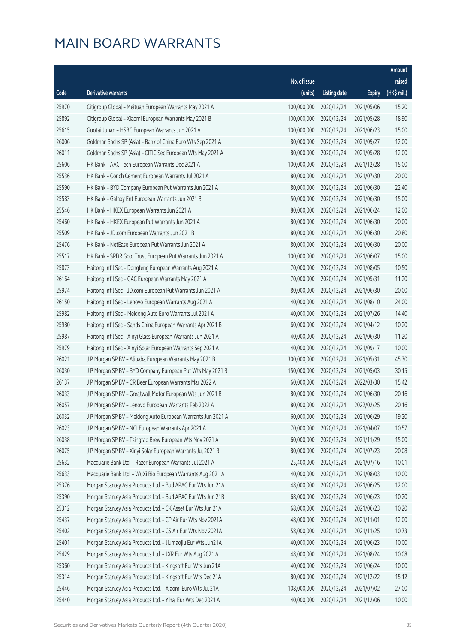|       |                                                              |              |                       |               | Amount      |
|-------|--------------------------------------------------------------|--------------|-----------------------|---------------|-------------|
|       |                                                              | No. of issue |                       |               | raised      |
| Code  | Derivative warrants                                          | (units)      | <b>Listing date</b>   | <b>Expiry</b> | (HK\$ mil.) |
| 25970 | Citigroup Global - Meituan European Warrants May 2021 A      | 100,000,000  | 2020/12/24            | 2021/05/06    | 15.20       |
| 25892 | Citigroup Global - Xiaomi European Warrants May 2021 B       | 100,000,000  | 2020/12/24            | 2021/05/28    | 18.90       |
| 25615 | Guotai Junan - HSBC European Warrants Jun 2021 A             | 100,000,000  | 2020/12/24            | 2021/06/23    | 15.00       |
| 26006 | Goldman Sachs SP (Asia) - Bank of China Euro Wts Sep 2021 A  | 80,000,000   | 2020/12/24            | 2021/09/27    | 12.00       |
| 26011 | Goldman Sachs SP (Asia) - CITIC Sec European Wts May 2021 A  | 80,000,000   | 2020/12/24            | 2021/05/28    | 12.00       |
| 25606 | HK Bank - AAC Tech European Warrants Dec 2021 A              | 100,000,000  | 2020/12/24            | 2021/12/28    | 15.00       |
| 25536 | HK Bank - Conch Cement European Warrants Jul 2021 A          | 80,000,000   | 2020/12/24            | 2021/07/30    | 20.00       |
| 25590 | HK Bank - BYD Company European Put Warrants Jun 2021 A       | 80,000,000   | 2020/12/24            | 2021/06/30    | 22.40       |
| 25583 | HK Bank - Galaxy Ent European Warrants Jun 2021 B            | 50,000,000   | 2020/12/24            | 2021/06/30    | 15.00       |
| 25546 | HK Bank - HKEX European Warrants Jun 2021 A                  | 80,000,000   | 2020/12/24            | 2021/06/24    | 12.00       |
| 25460 | HK Bank - HKEX European Put Warrants Jun 2021 A              | 80,000,000   | 2020/12/24            | 2021/06/30    | 20.00       |
| 25509 | HK Bank - JD.com European Warrants Jun 2021 B                | 80,000,000   | 2020/12/24            | 2021/06/30    | 20.80       |
| 25476 | HK Bank - NetEase European Put Warrants Jun 2021 A           | 80,000,000   | 2020/12/24            | 2021/06/30    | 20.00       |
| 25517 | HK Bank - SPDR Gold Trust European Put Warrants Jun 2021 A   | 100,000,000  | 2020/12/24            | 2021/06/07    | 15.00       |
| 25873 | Haitong Int'l Sec - Dongfeng European Warrants Aug 2021 A    | 70,000,000   | 2020/12/24            | 2021/08/05    | 10.50       |
| 26164 | Haitong Int'l Sec - GAC European Warrants May 2021 A         | 70,000,000   | 2020/12/24            | 2021/05/31    | 11.20       |
| 25974 | Haitong Int'l Sec - JD.com European Put Warrants Jun 2021 A  | 80,000,000   | 2020/12/24            | 2021/06/30    | 20.00       |
| 26150 | Haitong Int'l Sec - Lenovo European Warrants Aug 2021 A      | 40,000,000   | 2020/12/24            | 2021/08/10    | 24.00       |
| 25982 | Haitong Int'l Sec - Meidong Auto Euro Warrants Jul 2021 A    | 40,000,000   | 2020/12/24            | 2021/07/26    | 14.40       |
| 25980 | Haitong Int'l Sec - Sands China European Warrants Apr 2021 B | 60,000,000   | 2020/12/24            | 2021/04/12    | 10.20       |
| 25987 | Haitong Int'l Sec - Xinyi Glass European Warrants Jun 2021 A | 40,000,000   | 2020/12/24            | 2021/06/30    | 11.20       |
| 25979 | Haitong Int'l Sec - Xinyi Solar European Warrants Sep 2021 A | 40,000,000   | 2020/12/24            | 2021/09/17    | 10.00       |
| 26021 | J P Morgan SP BV - Alibaba European Warrants May 2021 B      | 300,000,000  | 2020/12/24            | 2021/05/31    | 45.30       |
| 26030 | J P Morgan SP BV - BYD Company European Put Wts May 2021 B   | 150,000,000  | 2020/12/24            | 2021/05/03    | 30.15       |
| 26137 | J P Morgan SP BV - CR Beer European Warrants Mar 2022 A      | 60,000,000   | 2020/12/24            | 2022/03/30    | 15.42       |
| 26033 | J P Morgan SP BV - Greatwall Motor European Wts Jun 2021 B   | 80,000,000   | 2020/12/24            | 2021/06/30    | 20.16       |
| 26057 | J P Morgan SP BV - Lenovo European Warrants Feb 2022 A       |              | 80,000,000 2020/12/24 | 2022/02/25    | 20.16       |
| 26032 | J P Morgan SP BV - Meidong Auto European Warrants Jun 2021 A | 60,000,000   | 2020/12/24            | 2021/06/29    | 19.20       |
| 26023 | J P Morgan SP BV - NCI European Warrants Apr 2021 A          | 70,000,000   | 2020/12/24            | 2021/04/07    | 10.57       |
| 26038 | J P Morgan SP BV - Tsingtao Brew European Wts Nov 2021 A     | 60,000,000   | 2020/12/24            | 2021/11/29    | 15.00       |
| 26075 | J P Morgan SP BV - Xinyi Solar European Warrants Jul 2021 B  | 80,000,000   | 2020/12/24            | 2021/07/23    | 20.08       |
| 25632 | Macquarie Bank Ltd. - Razer European Warrants Jul 2021 A     | 25,400,000   | 2020/12/24            | 2021/07/16    | 10.01       |
| 25633 | Macquarie Bank Ltd. - WuXi Bio European Warrants Aug 2021 A  | 40,000,000   | 2020/12/24            | 2021/08/03    | 10.00       |
| 25376 | Morgan Stanley Asia Products Ltd. - Bud APAC Eur Wts Jun 21A | 48,000,000   | 2020/12/24            | 2021/06/25    | 12.00       |
| 25390 | Morgan Stanley Asia Products Ltd. - Bud APAC Eur Wts Jun 21B | 68,000,000   | 2020/12/24            | 2021/06/23    | 10.20       |
| 25312 | Morgan Stanley Asia Products Ltd. - CK Asset Eur Wts Jun 21A | 68,000,000   | 2020/12/24            | 2021/06/23    | 10.20       |
| 25437 | Morgan Stanley Asia Products Ltd. - CP Air Eur Wts Nov 2021A | 48,000,000   | 2020/12/24            | 2021/11/01    | 12.00       |
| 25402 | Morgan Stanley Asia Products Ltd. - CS Air Eur Wts Nov 2021A | 58,000,000   | 2020/12/24            | 2021/11/25    | 10.73       |
| 25401 | Morgan Stanley Asia Products Ltd. - Jiumaojiu Eur Wts Jun21A | 40,000,000   | 2020/12/24            | 2021/06/23    | 10.00       |
| 25429 | Morgan Stanley Asia Products Ltd. - JXR Eur Wts Aug 2021 A   | 48,000,000   | 2020/12/24            | 2021/08/24    | 10.08       |
| 25360 | Morgan Stanley Asia Products Ltd. - Kingsoft Eur Wts Jun 21A | 40,000,000   | 2020/12/24            | 2021/06/24    | 10.00       |
| 25314 | Morgan Stanley Asia Products Ltd. - Kingsoft Eur Wts Dec 21A | 80,000,000   | 2020/12/24            | 2021/12/22    | 15.12       |
| 25446 | Morgan Stanley Asia Products Ltd. - Xiaomi Euro Wts Jul 21A  | 108,000,000  | 2020/12/24            | 2021/07/02    | 27.00       |
| 25440 | Morgan Stanley Asia Products Ltd. - Yihai Eur Wts Dec 2021 A | 40,000,000   | 2020/12/24            | 2021/12/06    | 10.00       |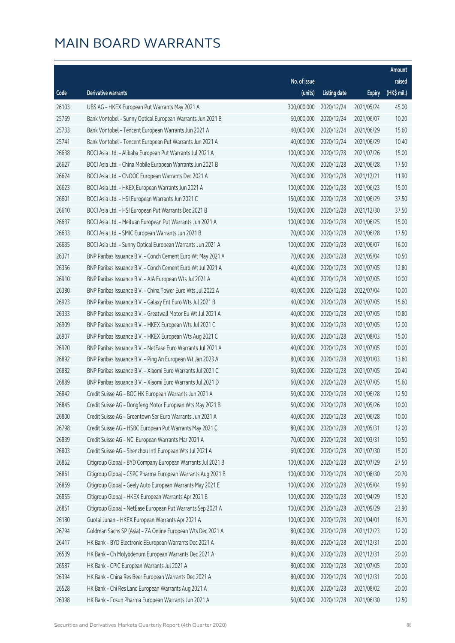|       |                                                              |              |                       |               | Amount      |
|-------|--------------------------------------------------------------|--------------|-----------------------|---------------|-------------|
|       |                                                              | No. of issue |                       |               | raised      |
| Code  | Derivative warrants                                          | (units)      | <b>Listing date</b>   | <b>Expiry</b> | (HK\$ mil.) |
| 26103 | UBS AG - HKEX European Put Warrants May 2021 A               | 300,000,000  | 2020/12/24            | 2021/05/24    | 45.00       |
| 25769 | Bank Vontobel - Sunny Optical European Warrants Jun 2021 B   | 60,000,000   | 2020/12/24            | 2021/06/07    | 10.20       |
| 25733 | Bank Vontobel - Tencent European Warrants Jun 2021 A         | 40,000,000   | 2020/12/24            | 2021/06/29    | 15.60       |
| 25741 | Bank Vontobel - Tencent European Put Warrants Jun 2021 A     | 40,000,000   | 2020/12/24            | 2021/06/29    | 10.40       |
| 26638 | BOCI Asia Ltd. - Alibaba European Put Warrants Jul 2021 A    | 100,000,000  | 2020/12/28            | 2021/07/26    | 15.00       |
| 26627 | BOCI Asia Ltd. - China Mobile European Warrants Jun 2021 B   | 70,000,000   | 2020/12/28            | 2021/06/28    | 17.50       |
| 26624 | BOCI Asia Ltd. - CNOOC European Warrants Dec 2021 A          | 70,000,000   | 2020/12/28            | 2021/12/21    | 11.90       |
| 26623 | BOCI Asia Ltd. - HKEX European Warrants Jun 2021 A           | 100,000,000  | 2020/12/28            | 2021/06/23    | 15.00       |
| 26601 | BOCI Asia Ltd. - HSI European Warrants Jun 2021 C            | 150,000,000  | 2020/12/28            | 2021/06/29    | 37.50       |
| 26610 | BOCI Asia Ltd. - HSI European Put Warrants Dec 2021 B        | 150,000,000  | 2020/12/28            | 2021/12/30    | 37.50       |
| 26637 | BOCI Asia Ltd. - Meituan European Put Warrants Jun 2021 A    | 100,000,000  | 2020/12/28            | 2021/06/25    | 15.00       |
| 26633 | BOCI Asia Ltd. - SMIC European Warrants Jun 2021 B           | 70,000,000   | 2020/12/28            | 2021/06/28    | 17.50       |
| 26635 | BOCI Asia Ltd. - Sunny Optical European Warrants Jun 2021 A  | 100,000,000  | 2020/12/28            | 2021/06/07    | 16.00       |
| 26371 | BNP Paribas Issuance B.V. - Conch Cement Euro Wt May 2021 A  | 70,000,000   | 2020/12/28            | 2021/05/04    | 10.50       |
| 26356 | BNP Paribas Issuance B.V. - Conch Cement Euro Wt Jul 2021 A  | 40,000,000   | 2020/12/28            | 2021/07/05    | 12.80       |
| 26910 | BNP Paribas Issuance B.V. - AIA European Wts Jul 2021 A      | 40,000,000   | 2020/12/28            | 2021/07/05    | 10.00       |
| 26380 | BNP Paribas Issuance B.V. - China Tower Euro Wts Jul 2022 A  | 40,000,000   | 2020/12/28            | 2022/07/04    | 10.00       |
| 26923 | BNP Paribas Issuance B.V. - Galaxy Ent Euro Wts Jul 2021 B   | 40,000,000   | 2020/12/28            | 2021/07/05    | 15.60       |
| 26333 | BNP Paribas Issuance B.V. - Greatwall Motor Eu Wt Jul 2021 A | 40,000,000   | 2020/12/28            | 2021/07/05    | 10.80       |
| 26909 | BNP Paribas Issuance B.V. - HKEX European Wts Jul 2021 C     | 80,000,000   | 2020/12/28            | 2021/07/05    | 12.00       |
| 26907 | BNP Paribas Issuance B.V. - HKEX European Wts Aug 2021 C     | 60,000,000   | 2020/12/28            | 2021/08/03    | 15.00       |
| 26920 | BNP Paribas Issuance B.V. - NetEase Euro Warrants Jul 2021 A | 40,000,000   | 2020/12/28            | 2021/07/05    | 10.00       |
| 26892 | BNP Paribas Issuance B.V. - Ping An European Wt Jan 2023 A   | 80,000,000   | 2020/12/28            | 2023/01/03    | 13.60       |
| 26882 | BNP Paribas Issuance B.V. - Xiaomi Euro Warrants Jul 2021 C  | 60,000,000   | 2020/12/28            | 2021/07/05    | 20.40       |
| 26889 | BNP Paribas Issuance B.V. - Xiaomi Euro Warrants Jul 2021 D  | 60,000,000   | 2020/12/28            | 2021/07/05    | 15.60       |
| 26842 | Credit Suisse AG - BOC HK European Warrants Jun 2021 A       | 50,000,000   | 2020/12/28            | 2021/06/28    | 12.50       |
| 26845 | Credit Suisse AG - Dongfeng Motor European Wts May 2021 B    |              | 50,000,000 2020/12/28 | 2021/05/26    | 10.00       |
| 26800 | Credit Suisse AG - Greentown Ser Euro Warrants Jun 2021 A    | 40,000,000   | 2020/12/28            | 2021/06/28    | 10.00       |
| 26798 | Credit Suisse AG - HSBC European Put Warrants May 2021 C     | 80,000,000   | 2020/12/28            | 2021/05/31    | 12.00       |
| 26839 | Credit Suisse AG - NCI European Warrants Mar 2021 A          | 70,000,000   | 2020/12/28            | 2021/03/31    | 10.50       |
| 26803 | Credit Suisse AG - Shenzhou Intl European Wts Jul 2021 A     | 60,000,000   | 2020/12/28            | 2021/07/30    | 15.00       |
| 26862 | Citigroup Global - BYD Company European Warrants Jul 2021 B  | 100,000,000  | 2020/12/28            | 2021/07/29    | 27.50       |
| 26861 | Citigroup Global - CSPC Pharma European Warrants Aug 2021 B  | 100,000,000  | 2020/12/28            | 2021/08/30    | 20.70       |
| 26859 | Citigroup Global - Geely Auto European Warrants May 2021 E   | 100,000,000  | 2020/12/28            | 2021/05/04    | 19.90       |
| 26855 | Citigroup Global - HKEX European Warrants Apr 2021 B         | 100,000,000  | 2020/12/28            | 2021/04/29    | 15.20       |
| 26851 | Citigroup Global - NetEase European Put Warrants Sep 2021 A  | 100,000,000  | 2020/12/28            | 2021/09/29    | 23.90       |
| 26180 | Guotai Junan - HKEX European Warrants Apr 2021 A             | 100,000,000  | 2020/12/28            | 2021/04/01    | 16.70       |
| 26794 | Goldman Sachs SP (Asia) - ZA Online European Wts Dec 2021 A  | 80,000,000   | 2020/12/28            | 2021/12/23    | 12.00       |
| 26417 | HK Bank - BYD Electronic EEuropean Warrants Dec 2021 A       | 80,000,000   | 2020/12/28            | 2021/12/31    | 20.00       |
| 26539 | HK Bank - Ch Molybdenum European Warrants Dec 2021 A         | 80,000,000   | 2020/12/28            | 2021/12/31    | 20.00       |
| 26587 | HK Bank - CPIC European Warrants Jul 2021 A                  | 80,000,000   | 2020/12/28            | 2021/07/05    | 20.00       |
| 26394 | HK Bank - China Res Beer European Warrants Dec 2021 A        | 80,000,000   | 2020/12/28            | 2021/12/31    | 20.00       |
| 26528 | HK Bank - Chi Res Land European Warrants Aug 2021 A          | 80,000,000   | 2020/12/28            | 2021/08/02    | 20.00       |
| 26398 | HK Bank - Fosun Pharma European Warrants Jun 2021 A          | 50,000,000   | 2020/12/28            | 2021/06/30    | 12.50       |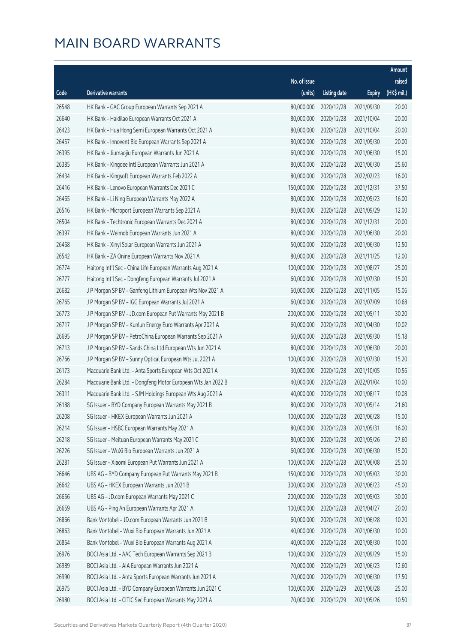|       |                                                              |              |                       |               | Amount      |
|-------|--------------------------------------------------------------|--------------|-----------------------|---------------|-------------|
|       |                                                              | No. of issue |                       |               | raised      |
| Code  | Derivative warrants                                          | (units)      | <b>Listing date</b>   | <b>Expiry</b> | (HK\$ mil.) |
| 26548 | HK Bank - GAC Group European Warrants Sep 2021 A             | 80,000,000   | 2020/12/28            | 2021/09/30    | 20.00       |
| 26640 | HK Bank - Haidilao European Warrants Oct 2021 A              | 80,000,000   | 2020/12/28            | 2021/10/04    | 20.00       |
| 26423 | HK Bank - Hua Hong Semi European Warrants Oct 2021 A         | 80,000,000   | 2020/12/28            | 2021/10/04    | 20.00       |
| 26457 | HK Bank - Innovent Bio European Warrants Sep 2021 A          | 80,000,000   | 2020/12/28            | 2021/09/30    | 20.00       |
| 26395 | HK Bank - Jiumaojiu European Warrants Jun 2021 A             | 60,000,000   | 2020/12/28            | 2021/06/30    | 15.00       |
| 26385 | HK Bank - Kingdee Intl European Warrants Jun 2021 A          | 80,000,000   | 2020/12/28            | 2021/06/30    | 25.60       |
| 26434 | HK Bank - Kingsoft European Warrants Feb 2022 A              | 80,000,000   | 2020/12/28            | 2022/02/23    | 16.00       |
| 26416 | HK Bank - Lenovo European Warrants Dec 2021 C                | 150,000,000  | 2020/12/28            | 2021/12/31    | 37.50       |
| 26465 | HK Bank - Li Ning European Warrants May 2022 A               | 80,000,000   | 2020/12/28            | 2022/05/23    | 16.00       |
| 26516 | HK Bank - Microport European Warrants Sep 2021 A             | 80,000,000   | 2020/12/28            | 2021/09/29    | 12.00       |
| 26504 | HK Bank - Techtronic European Warrants Dec 2021 A            | 80,000,000   | 2020/12/28            | 2021/12/31    | 20.00       |
| 26397 | HK Bank - Weimob European Warrants Jun 2021 A                | 80,000,000   | 2020/12/28            | 2021/06/30    | 20.00       |
| 26468 | HK Bank - Xinyi Solar European Warrants Jun 2021 A           | 50,000,000   | 2020/12/28            | 2021/06/30    | 12.50       |
| 26542 | HK Bank - ZA Onine European Warrants Nov 2021 A              | 80,000,000   | 2020/12/28            | 2021/11/25    | 12.00       |
| 26774 | Haitong Int'l Sec - China Life European Warrants Aug 2021 A  | 100,000,000  | 2020/12/28            | 2021/08/27    | 25.00       |
| 26777 | Haitong Int'l Sec - Dongfeng European Warrants Jul 2021 A    | 60,000,000   | 2020/12/28            | 2021/07/30    | 15.00       |
| 26682 | J P Morgan SP BV - Ganfeng Lithium European Wts Nov 2021 A   | 60,000,000   | 2020/12/28            | 2021/11/05    | 15.06       |
| 26765 | J P Morgan SP BV - IGG European Warrants Jul 2021 A          | 60,000,000   | 2020/12/28            | 2021/07/09    | 10.68       |
| 26773 | J P Morgan SP BV - JD.com European Put Warrants May 2021 B   | 200,000,000  | 2020/12/28            | 2021/05/11    | 30.20       |
| 26717 | J P Morgan SP BV - Kunlun Energy Euro Warrants Apr 2021 A    | 60,000,000   | 2020/12/28            | 2021/04/30    | 10.02       |
| 26695 | J P Morgan SP BV - PetroChina European Warrants Sep 2021 A   | 60,000,000   | 2020/12/28            | 2021/09/30    | 15.18       |
| 26713 | J P Morgan SP BV - Sands China Ltd European Wts Jun 2021 A   | 80,000,000   | 2020/12/28            | 2021/06/30    | 20.00       |
| 26766 | J P Morgan SP BV - Sunny Optical European Wts Jul 2021 A     | 100,000,000  | 2020/12/28            | 2021/07/30    | 15.20       |
| 26173 | Macquarie Bank Ltd. - Anta Sports European Wts Oct 2021 A    | 30,000,000   | 2020/12/28            | 2021/10/05    | 10.56       |
| 26284 | Macquarie Bank Ltd. - Dongfeng Motor European Wts Jan 2022 B | 40,000,000   | 2020/12/28            | 2022/01/04    | 10.00       |
| 26311 | Macquarie Bank Ltd. - SJM Holdings European Wts Aug 2021 A   | 40,000,000   | 2020/12/28            | 2021/08/17    | 10.08       |
| 26188 | SG Issuer - BYD Company European Warrants May 2021 B         |              | 80,000,000 2020/12/28 | 2021/05/14    | 21.60       |
| 26208 | SG Issuer - HKEX European Warrants Jun 2021 A                | 100,000,000  | 2020/12/28            | 2021/06/28    | 15.00       |
| 26214 | SG Issuer - HSBC European Warrants May 2021 A                | 80,000,000   | 2020/12/28            | 2021/05/31    | 16.00       |
| 26218 | SG Issuer - Meituan European Warrants May 2021 C             | 80,000,000   | 2020/12/28            | 2021/05/26    | 27.60       |
| 26226 | SG Issuer - WuXi Bio European Warrants Jun 2021 A            | 60,000,000   | 2020/12/28            | 2021/06/30    | 15.00       |
| 26281 | SG Issuer - Xiaomi European Put Warrants Jun 2021 A          | 100,000,000  | 2020/12/28            | 2021/06/08    | 25.00       |
| 26646 | UBS AG - BYD Company European Put Warrants May 2021 B        | 150,000,000  | 2020/12/28            | 2021/05/03    | 30.00       |
| 26642 | UBS AG - HKEX European Warrants Jun 2021 B                   | 300,000,000  | 2020/12/28            | 2021/06/23    | 45.00       |
| 26656 | UBS AG - JD.com European Warrants May 2021 C                 | 200,000,000  | 2020/12/28            | 2021/05/03    | 30.00       |
| 26659 | UBS AG - Ping An European Warrants Apr 2021 A                | 100,000,000  | 2020/12/28            | 2021/04/27    | 20.00       |
| 26866 | Bank Vontobel - JD.com European Warrants Jun 2021 B          | 60,000,000   | 2020/12/28            | 2021/06/28    | 10.20       |
| 26863 | Bank Vontobel - Wuxi Bio European Warrants Jun 2021 A        | 40,000,000   | 2020/12/28            | 2021/06/30    | 10.00       |
| 26864 | Bank Vontobel - Wuxi Bio European Warrants Aug 2021 A        | 40,000,000   | 2020/12/28            | 2021/08/30    | 10.00       |
| 26976 | BOCI Asia Ltd. - AAC Tech European Warrants Sep 2021 B       | 100,000,000  | 2020/12/29            | 2021/09/29    | 15.00       |
| 26989 | BOCI Asia Ltd. - AIA European Warrants Jun 2021 A            | 70,000,000   | 2020/12/29            | 2021/06/23    | 12.60       |
| 26990 | BOCI Asia Ltd. - Anta Sports European Warrants Jun 2021 A    | 70,000,000   | 2020/12/29            | 2021/06/30    | 17.50       |
| 26975 | BOCI Asia Ltd. - BYD Company European Warrants Jun 2021 C    | 100,000,000  | 2020/12/29            | 2021/06/28    | 25.00       |
| 26980 | BOCI Asia Ltd. - CITIC Sec European Warrants May 2021 A      | 70,000,000   | 2020/12/29            | 2021/05/26    | 10.50       |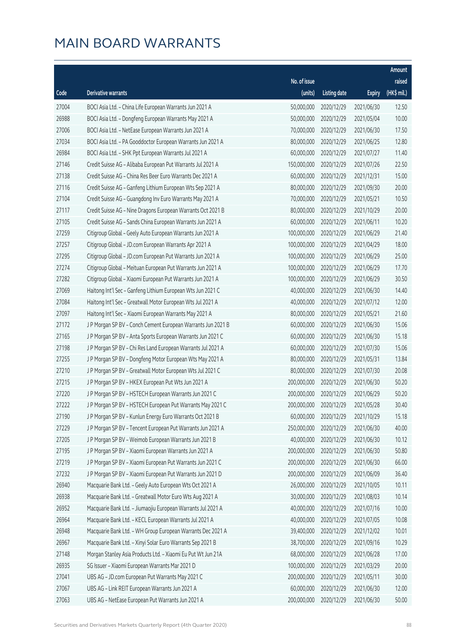|       |                                                              |                        |                     |               | Amount      |
|-------|--------------------------------------------------------------|------------------------|---------------------|---------------|-------------|
|       |                                                              | No. of issue           |                     |               | raised      |
| Code  | <b>Derivative warrants</b>                                   | (units)                | <b>Listing date</b> | <b>Expiry</b> | (HK\$ mil.) |
| 27004 | BOCI Asia Ltd. - China Life European Warrants Jun 2021 A     | 50,000,000             | 2020/12/29          | 2021/06/30    | 12.50       |
| 26988 | BOCI Asia Ltd. - Dongfeng European Warrants May 2021 A       | 50,000,000             | 2020/12/29          | 2021/05/04    | 10.00       |
| 27006 | BOCI Asia Ltd. - NetEase European Warrants Jun 2021 A        | 70,000,000             | 2020/12/29          | 2021/06/30    | 17.50       |
| 27034 | BOCI Asia Ltd. - PA Gooddoctor European Warrants Jun 2021 A  | 80,000,000             | 2020/12/29          | 2021/06/25    | 12.80       |
| 26984 | BOCI Asia Ltd. - SHK Ppt European Warrants Jul 2021 A        | 60,000,000             | 2020/12/29          | 2021/07/27    | 11.40       |
| 27146 | Credit Suisse AG - Alibaba European Put Warrants Jul 2021 A  | 150,000,000            | 2020/12/29          | 2021/07/26    | 22.50       |
| 27138 | Credit Suisse AG - China Res Beer Euro Warrants Dec 2021 A   | 60,000,000             | 2020/12/29          | 2021/12/31    | 15.00       |
| 27116 | Credit Suisse AG - Ganfeng Lithium European Wts Sep 2021 A   | 80,000,000             | 2020/12/29          | 2021/09/30    | 20.00       |
| 27104 | Credit Suisse AG - Guangdong Inv Euro Warrants May 2021 A    | 70,000,000             | 2020/12/29          | 2021/05/21    | 10.50       |
| 27117 | Credit Suisse AG - Nine Dragons European Warrants Oct 2021 B | 80,000,000             | 2020/12/29          | 2021/10/29    | 20.00       |
| 27105 | Credit Suisse AG - Sands China European Warrants Jun 2021 A  | 60,000,000             | 2020/12/29          | 2021/06/11    | 10.20       |
| 27259 | Citigroup Global - Geely Auto European Warrants Jun 2021 A   | 100,000,000            | 2020/12/29          | 2021/06/29    | 21.40       |
| 27257 | Citigroup Global - JD.com European Warrants Apr 2021 A       | 100,000,000            | 2020/12/29          | 2021/04/29    | 18.00       |
| 27295 | Citigroup Global - JD.com European Put Warrants Jun 2021 A   | 100,000,000            | 2020/12/29          | 2021/06/29    | 25.00       |
| 27274 | Citigroup Global - Meituan European Put Warrants Jun 2021 A  | 100,000,000            | 2020/12/29          | 2021/06/29    | 17.70       |
| 27282 | Citigroup Global - Xiaomi European Put Warrants Jun 2021 A   | 100,000,000            | 2020/12/29          | 2021/06/29    | 30.50       |
| 27069 | Haitong Int'l Sec - Ganfeng Lithium European Wts Jun 2021 C  | 40,000,000             | 2020/12/29          | 2021/06/30    | 14.40       |
| 27084 | Haitong Int'l Sec - Greatwall Motor European Wts Jul 2021 A  | 40,000,000             | 2020/12/29          | 2021/07/12    | 12.00       |
| 27097 | Haitong Int'l Sec - Xiaomi European Warrants May 2021 A      | 80,000,000             | 2020/12/29          | 2021/05/21    | 21.60       |
| 27172 | J P Morgan SP BV - Conch Cement European Warrants Jun 2021 B | 60,000,000             | 2020/12/29          | 2021/06/30    | 15.06       |
| 27165 | J P Morgan SP BV - Anta Sports European Warrants Jun 2021 C  | 60,000,000             | 2020/12/29          | 2021/06/30    | 15.18       |
| 27198 | J P Morgan SP BV - Chi Res Land European Warrants Jul 2021 A | 60,000,000             | 2020/12/29          | 2021/07/30    | 15.06       |
| 27255 | J P Morgan SP BV - Dongfeng Motor European Wts May 2021 A    | 80,000,000             | 2020/12/29          | 2021/05/31    | 13.84       |
| 27210 | J P Morgan SP BV - Greatwall Motor European Wts Jul 2021 C   | 80,000,000             | 2020/12/29          | 2021/07/30    | 20.08       |
| 27215 | J P Morgan SP BV - HKEX European Put Wts Jun 2021 A          | 200,000,000            | 2020/12/29          | 2021/06/30    | 50.20       |
| 27220 | J P Morgan SP BV - HSTECH European Warrants Jun 2021 C       | 200,000,000            | 2020/12/29          | 2021/06/29    | 50.20       |
| 27222 | J P Morgan SP BV - HSTECH European Put Warrants May 2021 C   | 200,000,000 2020/12/29 |                     | 2021/05/28    | 30.40       |
| 27190 | J P Morgan SP BV - Kunlun Energy Euro Warrants Oct 2021 B    | 60,000,000             | 2020/12/29          | 2021/10/29    | 15.18       |
| 27229 | J P Morgan SP BV - Tencent European Put Warrants Jun 2021 A  | 250,000,000            | 2020/12/29          | 2021/06/30    | 40.00       |
| 27205 | J P Morgan SP BV - Weimob European Warrants Jun 2021 B       | 40,000,000             | 2020/12/29          | 2021/06/30    | 10.12       |
| 27195 | J P Morgan SP BV - Xiaomi European Warrants Jun 2021 A       | 200,000,000            | 2020/12/29          | 2021/06/30    | 50.80       |
| 27219 | J P Morgan SP BV - Xiaomi European Put Warrants Jun 2021 C   | 200,000,000            | 2020/12/29          | 2021/06/30    | 66.00       |
| 27232 | J P Morgan SP BV - Xiaomi European Put Warrants Jun 2021 D   | 200,000,000            | 2020/12/29          | 2021/06/09    | 36.40       |
| 26940 | Macquarie Bank Ltd. - Geely Auto European Wts Oct 2021 A     | 26,000,000             | 2020/12/29          | 2021/10/05    | 10.11       |
| 26938 | Macquarie Bank Ltd. - Greatwall Motor Euro Wts Aug 2021 A    | 30,000,000             | 2020/12/29          | 2021/08/03    | 10.14       |
| 26952 | Macquarie Bank Ltd. - Jiumaojiu European Warrants Jul 2021 A | 40,000,000             | 2020/12/29          | 2021/07/16    | 10.00       |
| 26964 | Macquarie Bank Ltd. - KECL European Warrants Jul 2021 A      | 40,000,000             | 2020/12/29          | 2021/07/05    | 10.08       |
| 26948 | Macquarie Bank Ltd. - WH Group European Warrants Dec 2021 A  | 39,400,000             | 2020/12/29          | 2021/12/02    | 10.01       |
| 26967 | Macquarie Bank Ltd. - Xinyi Solar Euro Warrants Sep 2021 B   | 38,700,000             | 2020/12/29          | 2021/09/16    | 10.29       |
| 27148 | Morgan Stanley Asia Products Ltd. - Xiaomi Eu Put Wt Jun 21A | 68,000,000             | 2020/12/29          | 2021/06/28    | 17.00       |
| 26935 | SG Issuer - Xiaomi European Warrants Mar 2021 D              | 100,000,000            | 2020/12/29          | 2021/03/29    | 20.00       |
| 27041 | UBS AG - JD.com European Put Warrants May 2021 C             | 200,000,000            | 2020/12/29          | 2021/05/11    | 30.00       |
| 27067 | UBS AG - Link REIT European Warrants Jun 2021 A              | 60,000,000             | 2020/12/29          | 2021/06/30    | 12.00       |
| 27063 | UBS AG - NetEase European Put Warrants Jun 2021 A            | 200,000,000            | 2020/12/29          | 2021/06/30    | 50.00       |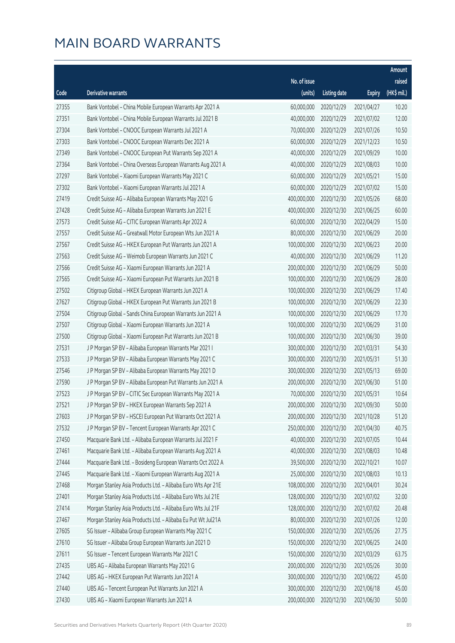|       |                                                              |                        |                     |               | Amount      |
|-------|--------------------------------------------------------------|------------------------|---------------------|---------------|-------------|
|       |                                                              | No. of issue           |                     |               | raised      |
| Code  | Derivative warrants                                          | (units)                | <b>Listing date</b> | <b>Expiry</b> | (HK\$ mil.) |
| 27355 | Bank Vontobel - China Mobile European Warrants Apr 2021 A    | 60,000,000             | 2020/12/29          | 2021/04/27    | 10.20       |
| 27351 | Bank Vontobel - China Mobile European Warrants Jul 2021 B    | 40,000,000             | 2020/12/29          | 2021/07/02    | 12.00       |
| 27304 | Bank Vontobel - CNOOC European Warrants Jul 2021 A           | 70,000,000             | 2020/12/29          | 2021/07/26    | 10.50       |
| 27303 | Bank Vontobel - CNOOC European Warrants Dec 2021 A           | 60,000,000             | 2020/12/29          | 2021/12/23    | 10.50       |
| 27349 | Bank Vontobel - CNOOC European Put Warrants Sep 2021 A       | 40,000,000             | 2020/12/29          | 2021/09/29    | 10.00       |
| 27364 | Bank Vontobel - China Overseas European Warrants Aug 2021 A  | 40,000,000             | 2020/12/29          | 2021/08/03    | 10.00       |
| 27297 | Bank Vontobel - Xiaomi European Warrants May 2021 C          | 60,000,000             | 2020/12/29          | 2021/05/21    | 15.00       |
| 27302 | Bank Vontobel - Xiaomi European Warrants Jul 2021 A          | 60,000,000             | 2020/12/29          | 2021/07/02    | 15.00       |
| 27419 | Credit Suisse AG - Alibaba European Warrants May 2021 G      | 400,000,000            | 2020/12/30          | 2021/05/26    | 68.00       |
| 27428 | Credit Suisse AG - Alibaba European Warrants Jun 2021 E      | 400,000,000            | 2020/12/30          | 2021/06/25    | 60.00       |
| 27573 | Credit Suisse AG - CITIC European Warrants Apr 2022 A        | 60,000,000             | 2020/12/30          | 2022/04/29    | 15.00       |
| 27557 | Credit Suisse AG - Greatwall Motor European Wts Jun 2021 A   | 80,000,000             | 2020/12/30          | 2021/06/29    | 20.00       |
| 27567 | Credit Suisse AG - HKEX European Put Warrants Jun 2021 A     | 100,000,000            | 2020/12/30          | 2021/06/23    | 20.00       |
| 27563 | Credit Suisse AG - Weimob European Warrants Jun 2021 C       | 40,000,000             | 2020/12/30          | 2021/06/29    | 11.20       |
| 27566 | Credit Suisse AG - Xiaomi European Warrants Jun 2021 A       | 200,000,000            | 2020/12/30          | 2021/06/29    | 50.00       |
| 27565 | Credit Suisse AG - Xiaomi European Put Warrants Jun 2021 B   | 100,000,000            | 2020/12/30          | 2021/06/29    | 28.00       |
| 27502 | Citigroup Global - HKEX European Warrants Jun 2021 A         | 100,000,000            | 2020/12/30          | 2021/06/29    | 17.40       |
| 27627 | Citigroup Global - HKEX European Put Warrants Jun 2021 B     | 100,000,000            | 2020/12/30          | 2021/06/29    | 22.30       |
| 27504 | Citigroup Global - Sands China European Warrants Jun 2021 A  | 100,000,000            | 2020/12/30          | 2021/06/29    | 17.70       |
| 27507 | Citigroup Global - Xiaomi European Warrants Jun 2021 A       | 100,000,000            | 2020/12/30          | 2021/06/29    | 31.00       |
| 27500 | Citigroup Global - Xiaomi European Put Warrants Jun 2021 B   | 100,000,000            | 2020/12/30          | 2021/06/30    | 39.00       |
| 27531 | J P Morgan SP BV - Alibaba European Warrants Mar 2021 I      | 300,000,000            | 2020/12/30          | 2021/03/31    | 54.30       |
| 27533 | J P Morgan SP BV - Alibaba European Warrants May 2021 C      | 300,000,000            | 2020/12/30          | 2021/05/31    | 51.30       |
| 27546 | J P Morgan SP BV - Alibaba European Warrants May 2021 D      | 300,000,000            | 2020/12/30          | 2021/05/13    | 69.00       |
| 27590 | J P Morgan SP BV - Alibaba European Put Warrants Jun 2021 A  | 200,000,000            | 2020/12/30          | 2021/06/30    | 51.00       |
| 27523 | J P Morgan SP BV - CITIC Sec European Warrants May 2021 A    | 70,000,000             | 2020/12/30          | 2021/05/31    | 10.64       |
| 27521 | J P Morgan SP BV - HKEX European Warrants Sep 2021 A         | 200,000,000 2020/12/30 |                     | 2021/09/30    | 50.00       |
| 27603 | J P Morgan SP BV - HSCEI European Put Warrants Oct 2021 A    | 200,000,000            | 2020/12/30          | 2021/10/28    | 51.20       |
| 27532 | J P Morgan SP BV - Tencent European Warrants Apr 2021 C      | 250,000,000            | 2020/12/30          | 2021/04/30    | 40.75       |
| 27450 | Macquarie Bank Ltd. - Alibaba European Warrants Jul 2021 F   | 40,000,000             | 2020/12/30          | 2021/07/05    | 10.44       |
| 27461 | Macquarie Bank Ltd. - Alibaba European Warrants Aug 2021 A   | 40,000,000             | 2020/12/30          | 2021/08/03    | 10.48       |
| 27444 | Macquarie Bank Ltd. - Bosideng European Warrants Oct 2022 A  | 39,500,000             | 2020/12/30          | 2022/10/21    | 10.07       |
| 27445 | Macquarie Bank Ltd. - Xiaomi European Warrants Aug 2021 A    | 25,000,000             | 2020/12/30          | 2021/08/03    | 10.13       |
| 27468 | Morgan Stanley Asia Products Ltd. - Alibaba Euro Wts Apr 21E | 108,000,000            | 2020/12/30          | 2021/04/01    | 30.24       |
| 27401 | Morgan Stanley Asia Products Ltd. - Alibaba Euro Wts Jul 21E | 128,000,000            | 2020/12/30          | 2021/07/02    | 32.00       |
| 27414 | Morgan Stanley Asia Products Ltd. - Alibaba Euro Wts Jul 21F | 128,000,000            | 2020/12/30          | 2021/07/02    | 20.48       |
| 27467 | Morgan Stanley Asia Products Ltd. - Alibaba Eu Put Wt Jul21A | 80,000,000             | 2020/12/30          | 2021/07/26    | 12.00       |
| 27605 | SG Issuer - Alibaba Group European Warrants May 2021 C       | 150,000,000            | 2020/12/30          | 2021/05/26    | 27.75       |
| 27610 | SG Issuer - Alibaba Group European Warrants Jun 2021 D       | 150,000,000            | 2020/12/30          | 2021/06/25    | 24.00       |
| 27611 | SG Issuer - Tencent European Warrants Mar 2021 C             | 150,000,000            | 2020/12/30          | 2021/03/29    | 63.75       |
| 27435 | UBS AG - Alibaba European Warrants May 2021 G                | 200,000,000            | 2020/12/30          | 2021/05/26    | 30.00       |
| 27442 | UBS AG - HKEX European Put Warrants Jun 2021 A               | 300,000,000            | 2020/12/30          | 2021/06/22    | 45.00       |
| 27440 | UBS AG - Tencent European Put Warrants Jun 2021 A            | 300,000,000            | 2020/12/30          | 2021/06/18    | 45.00       |
| 27430 | UBS AG - Xiaomi European Warrants Jun 2021 A                 | 200,000,000            | 2020/12/30          | 2021/06/30    | 50.00       |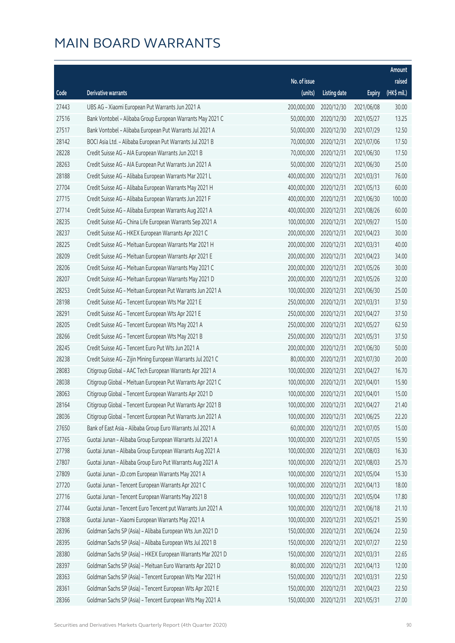|       |                                                              |                        |                     |               | Amount      |
|-------|--------------------------------------------------------------|------------------------|---------------------|---------------|-------------|
|       |                                                              | No. of issue           |                     |               | raised      |
| Code  | Derivative warrants                                          | (units)                | <b>Listing date</b> | <b>Expiry</b> | (HK\$ mil.) |
| 27443 | UBS AG - Xiaomi European Put Warrants Jun 2021 A             | 200,000,000            | 2020/12/30          | 2021/06/08    | 30.00       |
| 27516 | Bank Vontobel - Alibaba Group European Warrants May 2021 C   | 50,000,000             | 2020/12/30          | 2021/05/27    | 13.25       |
| 27517 | Bank Vontobel - Alibaba European Put Warrants Jul 2021 A     | 50,000,000             | 2020/12/30          | 2021/07/29    | 12.50       |
| 28142 | BOCI Asia Ltd. - Alibaba European Put Warrants Jul 2021 B    | 70,000,000             | 2020/12/31          | 2021/07/06    | 17.50       |
| 28228 | Credit Suisse AG - AIA European Warrants Jun 2021 B          | 70,000,000             | 2020/12/31          | 2021/06/30    | 17.50       |
| 28263 | Credit Suisse AG - AIA European Put Warrants Jun 2021 A      | 50,000,000             | 2020/12/31          | 2021/06/30    | 25.00       |
| 28188 | Credit Suisse AG - Alibaba European Warrants Mar 2021 L      | 400,000,000            | 2020/12/31          | 2021/03/31    | 76.00       |
| 27704 | Credit Suisse AG - Alibaba European Warrants May 2021 H      | 400,000,000            | 2020/12/31          | 2021/05/13    | 60.00       |
| 27715 | Credit Suisse AG - Alibaba European Warrants Jun 2021 F      | 400,000,000            | 2020/12/31          | 2021/06/30    | 100.00      |
| 27714 | Credit Suisse AG - Alibaba European Warrants Aug 2021 A      | 400,000,000            | 2020/12/31          | 2021/08/26    | 60.00       |
| 28235 | Credit Suisse AG - China Life European Warrants Sep 2021 A   | 100,000,000            | 2020/12/31          | 2021/09/27    | 15.00       |
| 28237 | Credit Suisse AG - HKEX European Warrants Apr 2021 C         | 200,000,000            | 2020/12/31          | 2021/04/23    | 30.00       |
| 28225 | Credit Suisse AG - Meituan European Warrants Mar 2021 H      | 200,000,000            | 2020/12/31          | 2021/03/31    | 40.00       |
| 28209 | Credit Suisse AG - Meituan European Warrants Apr 2021 E      | 200,000,000            | 2020/12/31          | 2021/04/23    | 34.00       |
| 28206 | Credit Suisse AG - Meituan European Warrants May 2021 C      | 200,000,000            | 2020/12/31          | 2021/05/26    | 30.00       |
| 28207 | Credit Suisse AG - Meituan European Warrants May 2021 D      | 200,000,000            | 2020/12/31          | 2021/05/26    | 32.00       |
| 28253 | Credit Suisse AG - Meituan European Put Warrants Jun 2021 A  | 100,000,000            | 2020/12/31          | 2021/06/30    | 25.00       |
| 28198 | Credit Suisse AG - Tencent European Wts Mar 2021 E           | 250,000,000            | 2020/12/31          | 2021/03/31    | 37.50       |
| 28291 | Credit Suisse AG - Tencent European Wts Apr 2021 E           | 250,000,000            | 2020/12/31          | 2021/04/27    | 37.50       |
| 28205 | Credit Suisse AG - Tencent European Wts May 2021 A           | 250,000,000            | 2020/12/31          | 2021/05/27    | 62.50       |
| 28266 | Credit Suisse AG - Tencent European Wts May 2021 B           | 250,000,000            | 2020/12/31          | 2021/05/31    | 37.50       |
| 28245 | Credit Suisse AG - Tencent Euro Put Wts Jun 2021 A           | 200,000,000            | 2020/12/31          | 2021/06/30    | 50.00       |
| 28238 | Credit Suisse AG - Zijin Mining European Warrants Jul 2021 C | 80,000,000             | 2020/12/31          | 2021/07/30    | 20.00       |
| 28083 | Citigroup Global - AAC Tech European Warrants Apr 2021 A     | 100,000,000            | 2020/12/31          | 2021/04/27    | 16.70       |
| 28038 | Citigroup Global - Meituan European Put Warrants Apr 2021 C  | 100,000,000            | 2020/12/31          | 2021/04/01    | 15.90       |
| 28063 | Citigroup Global - Tencent European Warrants Apr 2021 D      | 100,000,000            | 2020/12/31          | 2021/04/01    | 15.00       |
| 28164 | Citigroup Global - Tencent European Put Warrants Apr 2021 B  | 100,000,000 2020/12/31 |                     | 2021/04/27    | 21.40       |
| 28036 | Citigroup Global - Tencent European Put Warrants Jun 2021 A  | 100,000,000            | 2020/12/31          | 2021/06/25    | 22.20       |
| 27650 | Bank of East Asia - Alibaba Group Euro Warrants Jul 2021 A   | 60,000,000             | 2020/12/31          | 2021/07/05    | 15.00       |
| 27765 | Guotai Junan - Alibaba Group European Warrants Jul 2021 A    | 100,000,000            | 2020/12/31          | 2021/07/05    | 15.90       |
| 27798 | Guotai Junan - Alibaba Group European Warrants Aug 2021 A    | 100,000,000            | 2020/12/31          | 2021/08/03    | 16.30       |
| 27807 | Guotai Junan - Alibaba Group Euro Put Warrants Aug 2021 A    | 100,000,000            | 2020/12/31          | 2021/08/03    | 25.70       |
| 27809 | Guotai Junan - JD.com European Warrants May 2021 A           | 100,000,000            | 2020/12/31          | 2021/05/04    | 15.30       |
| 27720 | Guotai Junan - Tencent European Warrants Apr 2021 C          | 100,000,000            | 2020/12/31          | 2021/04/13    | 18.00       |
| 27716 | Guotai Junan - Tencent European Warrants May 2021 B          | 100,000,000            | 2020/12/31          | 2021/05/04    | 17.80       |
| 27744 | Guotai Junan - Tencent Euro Tencent put Warrants Jun 2021 A  | 100,000,000            | 2020/12/31          | 2021/06/18    | 21.10       |
| 27808 | Guotai Junan - Xiaomi European Warrants May 2021 A           | 100,000,000            | 2020/12/31          | 2021/05/21    | 25.90       |
| 28396 | Goldman Sachs SP (Asia) - Alibaba European Wts Jun 2021 D    | 150,000,000            | 2020/12/31          | 2021/06/24    | 22.50       |
| 28395 | Goldman Sachs SP (Asia) - Alibaba European Wts Jul 2021 B    | 150,000,000            | 2020/12/31          | 2021/07/27    | 22.50       |
| 28380 | Goldman Sachs SP (Asia) - HKEX European Warrants Mar 2021 D  | 150,000,000            | 2020/12/31          | 2021/03/31    | 22.65       |
| 28397 | Goldman Sachs SP (Asia) - Meituan Euro Warrants Apr 2021 D   | 80,000,000             | 2020/12/31          | 2021/04/13    | 12.00       |
| 28363 | Goldman Sachs SP (Asia) - Tencent European Wts Mar 2021 H    | 150,000,000            | 2020/12/31          | 2021/03/31    | 22.50       |
| 28361 | Goldman Sachs SP (Asia) - Tencent European Wts Apr 2021 E    | 150,000,000            | 2020/12/31          | 2021/04/23    | 22.50       |
| 28366 | Goldman Sachs SP (Asia) - Tencent European Wts May 2021 A    | 150,000,000            | 2020/12/31          | 2021/05/31    | 27.00       |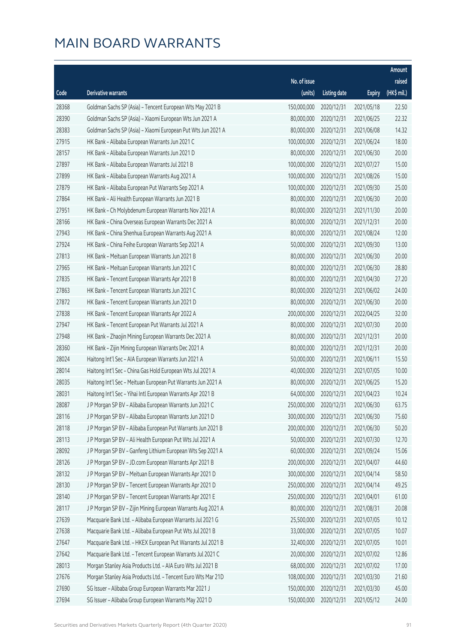|       |                                                              |                        |                     |               | Amount      |
|-------|--------------------------------------------------------------|------------------------|---------------------|---------------|-------------|
|       |                                                              | No. of issue           |                     |               | raised      |
| Code  | Derivative warrants                                          | (units)                | <b>Listing date</b> | <b>Expiry</b> | (HK\$ mil.) |
| 28368 | Goldman Sachs SP (Asia) - Tencent European Wts May 2021 B    | 150,000,000            | 2020/12/31          | 2021/05/18    | 22.50       |
| 28390 | Goldman Sachs SP (Asia) - Xiaomi European Wts Jun 2021 A     | 80,000,000             | 2020/12/31          | 2021/06/25    | 22.32       |
| 28383 | Goldman Sachs SP (Asia) - Xiaomi European Put Wts Jun 2021 A | 80,000,000             | 2020/12/31          | 2021/06/08    | 14.32       |
| 27915 | HK Bank - Alibaba European Warrants Jun 2021 C               | 100,000,000            | 2020/12/31          | 2021/06/24    | 18.00       |
| 28157 | HK Bank - Alibaba European Warrants Jun 2021 D               | 80,000,000             | 2020/12/31          | 2021/06/30    | 20.00       |
| 27897 | HK Bank - Alibaba European Warrants Jul 2021 B               | 100,000,000            | 2020/12/31          | 2021/07/27    | 15.00       |
| 27899 | HK Bank - Alibaba European Warrants Aug 2021 A               | 100,000,000            | 2020/12/31          | 2021/08/26    | 15.00       |
| 27879 | HK Bank - Alibaba European Put Warrants Sep 2021 A           | 100,000,000            | 2020/12/31          | 2021/09/30    | 25.00       |
| 27864 | HK Bank - Ali Health European Warrants Jun 2021 B            | 80,000,000             | 2020/12/31          | 2021/06/30    | 20.00       |
| 27951 | HK Bank - Ch Molybdenum European Warrants Nov 2021 A         | 80,000,000             | 2020/12/31          | 2021/11/30    | 20.00       |
| 28166 | HK Bank - China Overseas European Warrants Dec 2021 A        | 80,000,000             | 2020/12/31          | 2021/12/31    | 20.00       |
| 27943 | HK Bank - China Shenhua European Warrants Aug 2021 A         | 80,000,000             | 2020/12/31          | 2021/08/24    | 12.00       |
| 27924 | HK Bank - China Feihe European Warrants Sep 2021 A           | 50,000,000             | 2020/12/31          | 2021/09/30    | 13.00       |
| 27813 | HK Bank - Meituan European Warrants Jun 2021 B               | 80,000,000             | 2020/12/31          | 2021/06/30    | 20.00       |
| 27965 | HK Bank - Meituan European Warrants Jun 2021 C               | 80,000,000             | 2020/12/31          | 2021/06/30    | 28.80       |
| 27835 | HK Bank - Tencent European Warrants Apr 2021 B               | 80,000,000             | 2020/12/31          | 2021/04/30    | 27.20       |
| 27863 | HK Bank - Tencent European Warrants Jun 2021 C               | 80,000,000             | 2020/12/31          | 2021/06/02    | 24.00       |
| 27872 | HK Bank - Tencent European Warrants Jun 2021 D               | 80,000,000             | 2020/12/31          | 2021/06/30    | 20.00       |
| 27838 | HK Bank - Tencent European Warrants Apr 2022 A               | 200,000,000            | 2020/12/31          | 2022/04/25    | 32.00       |
| 27947 | HK Bank - Tencent European Put Warrants Jul 2021 A           | 80,000,000             | 2020/12/31          | 2021/07/30    | 20.00       |
| 27948 | HK Bank - Zhaojin Mining European Warrants Dec 2021 A        | 80,000,000             | 2020/12/31          | 2021/12/31    | 20.00       |
| 28360 | HK Bank - Zijin Mining European Warrants Dec 2021 A          | 80,000,000             | 2020/12/31          | 2021/12/31    | 20.00       |
| 28024 | Haitong Int'l Sec - AIA European Warrants Jun 2021 A         | 50,000,000             | 2020/12/31          | 2021/06/11    | 15.50       |
| 28014 | Haitong Int'l Sec - China Gas Hold European Wts Jul 2021 A   | 40,000,000             | 2020/12/31          | 2021/07/05    | 10.00       |
| 28035 | Haitong Int'l Sec - Meituan European Put Warrants Jun 2021 A | 80,000,000             | 2020/12/31          | 2021/06/25    | 15.20       |
| 28031 | Haitong Int'l Sec - Yihai Intl European Warrants Apr 2021 B  | 64,000,000             | 2020/12/31          | 2021/04/23    | 10.24       |
| 28087 | J P Morgan SP BV - Alibaba European Warrants Jun 2021 C      | 250,000,000 2020/12/31 |                     | 2021/06/30    | 63.75       |
| 28116 | J P Morgan SP BV - Alibaba European Warrants Jun 2021 D      | 300,000,000            | 2020/12/31          | 2021/06/30    | 75.60       |
| 28118 | J P Morgan SP BV - Alibaba European Put Warrants Jun 2021 B  | 200,000,000            | 2020/12/31          | 2021/06/30    | 50.20       |
| 28113 | J P Morgan SP BV - Ali Health European Put Wts Jul 2021 A    | 50,000,000             | 2020/12/31          | 2021/07/30    | 12.70       |
| 28092 | J P Morgan SP BV - Ganfeng Lithium European Wts Sep 2021 A   | 60,000,000             | 2020/12/31          | 2021/09/24    | 15.06       |
| 28126 | J P Morgan SP BV - JD.com European Warrants Apr 2021 B       | 200,000,000            | 2020/12/31          | 2021/04/07    | 44.60       |
| 28132 | J P Morgan SP BV - Meituan European Warrants Apr 2021 D      | 300,000,000            | 2020/12/31          | 2021/04/14    | 58.50       |
| 28130 | J P Morgan SP BV - Tencent European Warrants Apr 2021 D      | 250,000,000            | 2020/12/31          | 2021/04/14    | 49.25       |
| 28140 | J P Morgan SP BV - Tencent European Warrants Apr 2021 E      | 250,000,000            | 2020/12/31          | 2021/04/01    | 61.00       |
| 28117 | J P Morgan SP BV - Zijin Mining European Warrants Aug 2021 A | 80,000,000             | 2020/12/31          | 2021/08/31    | 20.08       |
| 27639 | Macquarie Bank Ltd. - Alibaba European Warrants Jul 2021 G   | 25,500,000             | 2020/12/31          | 2021/07/05    | 10.12       |
| 27638 | Macquarie Bank Ltd. - Alibaba European Put Wts Jul 2021 B    | 33,000,000             | 2020/12/31          | 2021/07/05    | 10.07       |
| 27647 | Macquarie Bank Ltd. - HKEX European Put Warrants Jul 2021 B  | 32,400,000             | 2020/12/31          | 2021/07/05    | 10.01       |
| 27642 | Macquarie Bank Ltd. - Tencent European Warrants Jul 2021 C   | 20,000,000             | 2020/12/31          | 2021/07/02    | 12.86       |
| 28013 | Morgan Stanley Asia Products Ltd. - AIA Euro Wts Jul 2021 B  | 68,000,000             | 2020/12/31          | 2021/07/02    | 17.00       |
| 27676 | Morgan Stanley Asia Products Ltd. - Tencent Euro Wts Mar 21D | 108,000,000            | 2020/12/31          | 2021/03/30    | 21.60       |
| 27690 | SG Issuer - Alibaba Group European Warrants Mar 2021 J       | 150,000,000            | 2020/12/31          | 2021/03/30    | 45.00       |
| 27694 | SG Issuer - Alibaba Group European Warrants May 2021 D       | 150,000,000            | 2020/12/31          | 2021/05/12    | 24.00       |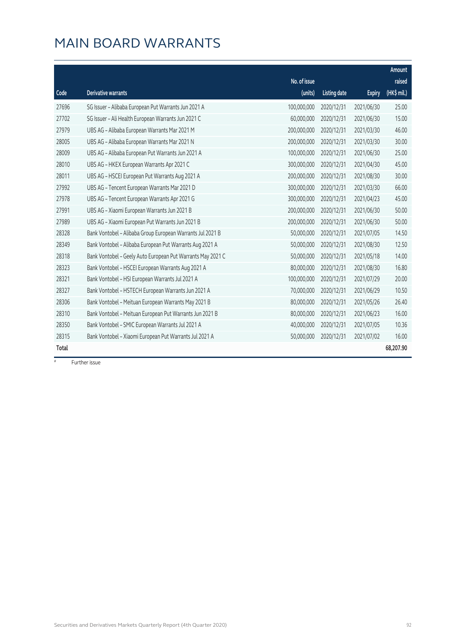|       |                                                             | No. of issue |                     |               | Amount<br>raised |
|-------|-------------------------------------------------------------|--------------|---------------------|---------------|------------------|
| Code  | Derivative warrants                                         | (units)      | <b>Listing date</b> | <b>Expiry</b> | (HK\$ mil.)      |
| 27696 | SG Issuer - Alibaba European Put Warrants Jun 2021 A        | 100,000,000  | 2020/12/31          | 2021/06/30    | 25.00            |
| 27702 | SG Issuer - Ali Health European Warrants Jun 2021 C         | 60,000,000   | 2020/12/31          | 2021/06/30    | 15.00            |
| 27979 | UBS AG - Alibaba European Warrants Mar 2021 M               | 200,000,000  | 2020/12/31          | 2021/03/30    | 46.00            |
| 28005 | UBS AG - Alibaba European Warrants Mar 2021 N               | 200,000,000  | 2020/12/31          | 2021/03/30    | 30.00            |
| 28009 | UBS AG - Alibaba European Put Warrants Jun 2021 A           | 100,000,000  | 2020/12/31          | 2021/06/30    | 25.00            |
| 28010 | UBS AG - HKEX European Warrants Apr 2021 C                  | 300,000,000  | 2020/12/31          | 2021/04/30    | 45.00            |
| 28011 | UBS AG - HSCEI European Put Warrants Aug 2021 A             | 200,000,000  | 2020/12/31          | 2021/08/30    | 30.00            |
| 27992 | UBS AG - Tencent European Warrants Mar 2021 D               | 300,000,000  | 2020/12/31          | 2021/03/30    | 66.00            |
| 27978 | UBS AG - Tencent European Warrants Apr 2021 G               | 300,000,000  | 2020/12/31          | 2021/04/23    | 45.00            |
| 27991 | UBS AG - Xiaomi European Warrants Jun 2021 B                | 200,000,000  | 2020/12/31          | 2021/06/30    | 50.00            |
| 27989 | UBS AG - Xiaomi European Put Warrants Jun 2021 B            | 200,000,000  | 2020/12/31          | 2021/06/30    | 50.00            |
| 28328 | Bank Vontobel - Alibaba Group European Warrants Jul 2021 B  | 50,000,000   | 2020/12/31          | 2021/07/05    | 14.50            |
| 28349 | Bank Vontobel - Alibaba European Put Warrants Aug 2021 A    | 50,000,000   | 2020/12/31          | 2021/08/30    | 12.50            |
| 28318 | Bank Vontobel - Geely Auto European Put Warrants May 2021 C | 50,000,000   | 2020/12/31          | 2021/05/18    | 14.00            |
| 28323 | Bank Vontobel - HSCEI European Warrants Aug 2021 A          | 80,000,000   | 2020/12/31          | 2021/08/30    | 16.80            |
| 28321 | Bank Vontobel - HSI European Warrants Jul 2021 A            | 100,000,000  | 2020/12/31          | 2021/07/29    | 20.00            |
| 28327 | Bank Vontobel - HSTECH European Warrants Jun 2021 A         | 70,000,000   | 2020/12/31          | 2021/06/29    | 10.50            |
| 28306 | Bank Vontobel - Meituan European Warrants May 2021 B        | 80,000,000   | 2020/12/31          | 2021/05/26    | 26.40            |
| 28310 | Bank Vontobel - Meituan European Put Warrants Jun 2021 B    | 80,000,000   | 2020/12/31          | 2021/06/23    | 16.00            |
| 28350 | Bank Vontobel - SMIC European Warrants Jul 2021 A           | 40,000,000   | 2020/12/31          | 2021/07/05    | 10.36            |
| 28315 | Bank Vontobel - Xiaomi European Put Warrants Jul 2021 A     | 50,000,000   | 2020/12/31          | 2021/07/02    | 16.00            |
| Total |                                                             |              |                     |               | 68,207.90        |

# Further issue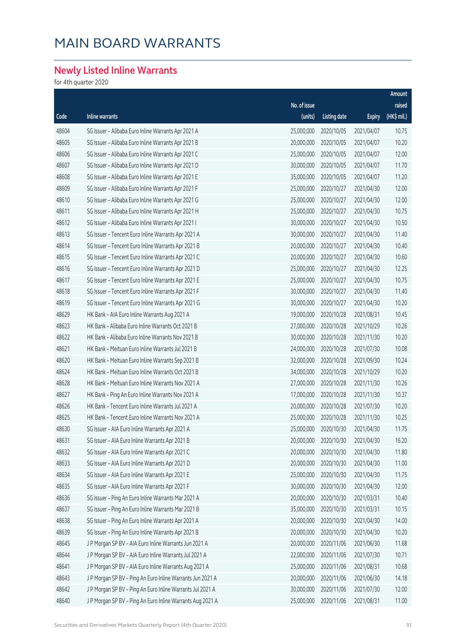#### **Newly Listed Inline Warrants**

for 4th quarter 2020

|       |                                                            |              |                     |               | Amount                |
|-------|------------------------------------------------------------|--------------|---------------------|---------------|-----------------------|
|       |                                                            | No. of issue |                     |               | raised                |
| Code  | <b>Inline warrants</b>                                     | (units)      | <b>Listing date</b> | <b>Expiry</b> | $(HK\frac{1}{2}mil.)$ |
| 48604 | SG Issuer - Alibaba Euro Inline Warrants Apr 2021 A        | 25,000,000   | 2020/10/05          | 2021/04/07    | 10.75                 |
| 48605 | SG Issuer - Alibaba Euro Inline Warrants Apr 2021 B        | 20,000,000   | 2020/10/05          | 2021/04/07    | 10.20                 |
| 48606 | SG Issuer - Alibaba Euro Inline Warrants Apr 2021 C        | 25,000,000   | 2020/10/05          | 2021/04/07    | 12.00                 |
| 48607 | SG Issuer - Alibaba Euro Inline Warrants Apr 2021 D        | 30,000,000   | 2020/10/05          | 2021/04/07    | 11.70                 |
| 48608 | SG Issuer - Alibaba Euro Inline Warrants Apr 2021 E        | 35,000,000   | 2020/10/05          | 2021/04/07    | 11.20                 |
| 48609 | SG Issuer - Alibaba Euro Inline Warrants Apr 2021 F        | 25,000,000   | 2020/10/27          | 2021/04/30    | 12.00                 |
| 48610 | SG Issuer - Alibaba Euro Inline Warrants Apr 2021 G        | 25,000,000   | 2020/10/27          | 2021/04/30    | 12.00                 |
| 48611 | SG Issuer - Alibaba Euro Inline Warrants Apr 2021 H        | 25,000,000   | 2020/10/27          | 2021/04/30    | 10.75                 |
| 48612 | SG Issuer - Alibaba Euro Inline Warrants Apr 2021 I        | 30,000,000   | 2020/10/27          | 2021/04/30    | 10.50                 |
| 48613 | SG Issuer - Tencent Euro Inline Warrants Apr 2021 A        | 30,000,000   | 2020/10/27          | 2021/04/30    | 11.40                 |
| 48614 | SG Issuer - Tencent Euro Inline Warrants Apr 2021 B        | 20,000,000   | 2020/10/27          | 2021/04/30    | 10.40                 |
| 48615 | SG Issuer - Tencent Euro Inline Warrants Apr 2021 C        | 20,000,000   | 2020/10/27          | 2021/04/30    | 10.60                 |
| 48616 | SG Issuer - Tencent Euro Inline Warrants Apr 2021 D        | 25,000,000   | 2020/10/27          | 2021/04/30    | 12.25                 |
| 48617 | SG Issuer - Tencent Euro Inline Warrants Apr 2021 E        | 25,000,000   | 2020/10/27          | 2021/04/30    | 10.75                 |
| 48618 | SG Issuer - Tencent Euro Inline Warrants Apr 2021 F        | 30,000,000   | 2020/10/27          | 2021/04/30    | 11.40                 |
| 48619 | SG Issuer - Tencent Euro Inline Warrants Apr 2021 G        | 30,000,000   | 2020/10/27          | 2021/04/30    | 10.20                 |
| 48629 | HK Bank - AIA Euro Inline Warrants Aug 2021 A              | 19,000,000   | 2020/10/28          | 2021/08/31    | 10.45                 |
| 48623 | HK Bank - Alibaba Euro Inline Warrants Oct 2021 B          | 27,000,000   | 2020/10/28          | 2021/10/29    | 10.26                 |
| 48622 | HK Bank - Alibaba Euro Inline Warrants Nov 2021 B          | 30,000,000   | 2020/10/28          | 2021/11/30    | 10.20                 |
| 48621 | HK Bank - Meituan Euro Inline Warrants Jul 2021 B          | 24,000,000   | 2020/10/28          | 2021/07/30    | 10.08                 |
| 48620 | HK Bank - Meituan Euro Inline Warrants Sep 2021 B          | 32,000,000   | 2020/10/28          | 2021/09/30    | 10.24                 |
| 48624 | HK Bank - Meituan Euro Inline Warrants Oct 2021 B          | 34,000,000   | 2020/10/28          | 2021/10/29    | 10.20                 |
| 48628 | HK Bank - Meituan Euro Inline Warrants Nov 2021 A          | 27,000,000   | 2020/10/28          | 2021/11/30    | 10.26                 |
| 48627 | HK Bank - Ping An Euro Inline Warrants Nov 2021 A          | 17,000,000   | 2020/10/28          | 2021/11/30    | 10.37                 |
| 48626 | HK Bank - Tencent Euro Inline Warrants Jul 2021 A          | 20,000,000   | 2020/10/28          | 2021/07/30    | 10.20                 |
| 48625 | HK Bank - Tencent Euro Inline Warrants Nov 2021 A          | 25,000,000   | 2020/10/28          | 2021/11/30    | 10.25                 |
| 48630 | SG Issuer - AIA Euro Inline Warrants Apr 2021 A            | 25,000,000   | 2020/10/30          | 2021/04/30    | 11.75                 |
| 48631 | SG Issuer - AIA Euro Inline Warrants Apr 2021 B            | 20,000,000   | 2020/10/30          | 2021/04/30    | 16.20                 |
| 48632 | SG Issuer - AIA Euro Inline Warrants Apr 2021 C            | 20,000,000   | 2020/10/30          | 2021/04/30    | 11.80                 |
| 48633 | SG Issuer - AIA Euro Inline Warrants Apr 2021 D            | 20,000,000   | 2020/10/30          | 2021/04/30    | 11.00                 |
| 48634 | SG Issuer - AIA Euro Inline Warrants Apr 2021 E            | 25,000,000   | 2020/10/30          | 2021/04/30    | 11.75                 |
| 48635 | SG Issuer - AIA Euro Inline Warrants Apr 2021 F            | 30,000,000   | 2020/10/30          | 2021/04/30    | 12.00                 |
| 48636 | SG Issuer - Ping An Euro Inline Warrants Mar 2021 A        | 20,000,000   | 2020/10/30          | 2021/03/31    | 10.40                 |
| 48637 | SG Issuer - Ping An Euro Inline Warrants Mar 2021 B        | 35,000,000   | 2020/10/30          | 2021/03/31    | 10.15                 |
| 48638 | SG Issuer - Ping An Euro Inline Warrants Apr 2021 A        | 20,000,000   | 2020/10/30          | 2021/04/30    | 14.00                 |
| 48639 | SG Issuer - Ping An Euro Inline Warrants Apr 2021 B        | 20,000,000   | 2020/10/30          | 2021/04/30    | 10.20                 |
| 48645 | J P Morgan SP BV - AIA Euro Inline Warrants Jun 2021 A     | 20,000,000   | 2020/11/06          | 2021/06/30    | 11.68                 |
| 48644 | J P Morgan SP BV - AIA Euro Inline Warrants Jul 2021 A     | 22,000,000   | 2020/11/06          | 2021/07/30    | 10.71                 |
| 48641 | J P Morgan SP BV - AIA Euro Inline Warrants Aug 2021 A     | 25,000,000   | 2020/11/06          | 2021/08/31    | 10.68                 |
| 48643 | J P Morgan SP BV - Ping An Euro Inline Warrants Jun 2021 A | 20,000,000   | 2020/11/06          | 2021/06/30    | 14.18                 |
| 48642 | J P Morgan SP BV - Ping An Euro Inline Warrants Jul 2021 A | 30,000,000   | 2020/11/06          | 2021/07/30    | 12.00                 |
| 48640 | J P Morgan SP BV - Ping An Euro Inline Warrants Aug 2021 A | 25,000,000   | 2020/11/06          | 2021/08/31    | 11.00                 |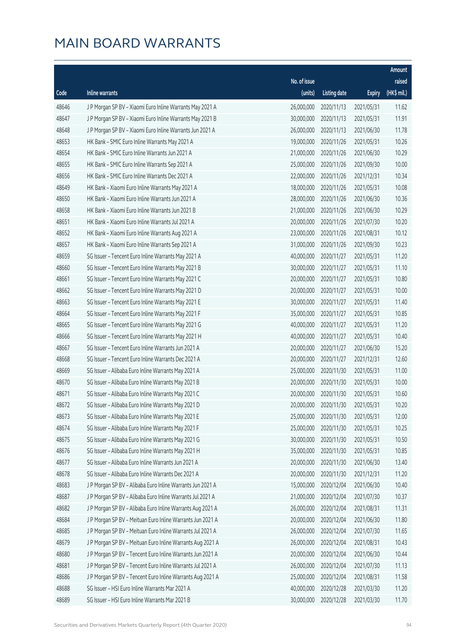|       |                                                            |              |                       |               | Amount      |
|-------|------------------------------------------------------------|--------------|-----------------------|---------------|-------------|
|       |                                                            | No. of issue |                       |               | raised      |
| Code  | Inline warrants                                            | (units)      | <b>Listing date</b>   | <b>Expiry</b> | (HK\$ mil.) |
| 48646 | J P Morgan SP BV - Xiaomi Euro Inline Warrants May 2021 A  | 26,000,000   | 2020/11/13            | 2021/05/31    | 11.62       |
| 48647 | J P Morgan SP BV - Xiaomi Euro Inline Warrants May 2021 B  | 30,000,000   | 2020/11/13            | 2021/05/31    | 11.91       |
| 48648 | J P Morgan SP BV - Xiaomi Euro Inline Warrants Jun 2021 A  | 26,000,000   | 2020/11/13            | 2021/06/30    | 11.78       |
| 48653 | HK Bank - SMIC Euro Inline Warrants May 2021 A             | 19,000,000   | 2020/11/26            | 2021/05/31    | 10.26       |
| 48654 | HK Bank - SMIC Euro Inline Warrants Jun 2021 A             | 21,000,000   | 2020/11/26            | 2021/06/30    | 10.29       |
| 48655 | HK Bank - SMIC Euro Inline Warrants Sep 2021 A             | 25,000,000   | 2020/11/26            | 2021/09/30    | 10.00       |
| 48656 | HK Bank - SMIC Euro Inline Warrants Dec 2021 A             | 22,000,000   | 2020/11/26            | 2021/12/31    | 10.34       |
| 48649 | HK Bank - Xiaomi Euro Inline Warrants May 2021 A           | 18,000,000   | 2020/11/26            | 2021/05/31    | 10.08       |
| 48650 | HK Bank - Xiaomi Euro Inline Warrants Jun 2021 A           | 28,000,000   | 2020/11/26            | 2021/06/30    | 10.36       |
| 48658 | HK Bank - Xiaomi Euro Inline Warrants Jun 2021 B           | 21,000,000   | 2020/11/26            | 2021/06/30    | 10.29       |
| 48651 | HK Bank - Xiaomi Euro Inline Warrants Jul 2021 A           | 20,000,000   | 2020/11/26            | 2021/07/30    | 10.20       |
| 48652 | HK Bank - Xiaomi Euro Inline Warrants Aug 2021 A           | 23,000,000   | 2020/11/26            | 2021/08/31    | 10.12       |
| 48657 | HK Bank - Xiaomi Euro Inline Warrants Sep 2021 A           | 31,000,000   | 2020/11/26            | 2021/09/30    | 10.23       |
| 48659 | SG Issuer - Tencent Euro Inline Warrants May 2021 A        | 40,000,000   | 2020/11/27            | 2021/05/31    | 11.20       |
| 48660 | SG Issuer - Tencent Euro Inline Warrants May 2021 B        | 30,000,000   | 2020/11/27            | 2021/05/31    | 11.10       |
| 48661 | SG Issuer - Tencent Euro Inline Warrants May 2021 C        | 20,000,000   | 2020/11/27            | 2021/05/31    | 10.80       |
| 48662 | SG Issuer - Tencent Euro Inline Warrants May 2021 D        | 20,000,000   | 2020/11/27            | 2021/05/31    | 10.00       |
| 48663 | SG Issuer - Tencent Euro Inline Warrants May 2021 E        | 30,000,000   | 2020/11/27            | 2021/05/31    | 11.40       |
| 48664 | SG Issuer - Tencent Euro Inline Warrants May 2021 F        | 35,000,000   | 2020/11/27            | 2021/05/31    | 10.85       |
| 48665 | SG Issuer - Tencent Euro Inline Warrants May 2021 G        | 40,000,000   | 2020/11/27            | 2021/05/31    | 11.20       |
| 48666 | SG Issuer - Tencent Euro Inline Warrants May 2021 H        | 40,000,000   | 2020/11/27            | 2021/05/31    | 10.40       |
| 48667 | SG Issuer - Tencent Euro Inline Warrants Jun 2021 A        | 20,000,000   | 2020/11/27            | 2021/06/30    | 15.20       |
| 48668 | SG Issuer - Tencent Euro Inline Warrants Dec 2021 A        | 20,000,000   | 2020/11/27            | 2021/12/31    | 12.60       |
| 48669 | SG Issuer - Alibaba Euro Inline Warrants May 2021 A        | 25,000,000   | 2020/11/30            | 2021/05/31    | 11.00       |
| 48670 | SG Issuer - Alibaba Euro Inline Warrants May 2021 B        | 20,000,000   | 2020/11/30            | 2021/05/31    | 10.00       |
| 48671 | SG Issuer - Alibaba Euro Inline Warrants May 2021 C        | 20,000,000   | 2020/11/30            | 2021/05/31    | 10.60       |
| 48672 | SG Issuer - Alibaba Euro Inline Warrants May 2021 D        |              | 20,000,000 2020/11/30 | 2021/05/31    | 10.20       |
| 48673 | SG Issuer - Alibaba Euro Inline Warrants May 2021 E        | 25,000,000   | 2020/11/30            | 2021/05/31    | 12.00       |
| 48674 | SG Issuer - Alibaba Euro Inline Warrants May 2021 F        | 25,000,000   | 2020/11/30            | 2021/05/31    | 10.25       |
| 48675 | SG Issuer - Alibaba Euro Inline Warrants May 2021 G        | 30,000,000   | 2020/11/30            | 2021/05/31    | 10.50       |
| 48676 | SG Issuer - Alibaba Euro Inline Warrants May 2021 H        | 35,000,000   | 2020/11/30            | 2021/05/31    | 10.85       |
| 48677 | SG Issuer - Alibaba Euro Inline Warrants Jun 2021 A        | 20,000,000   | 2020/11/30            | 2021/06/30    | 13.40       |
| 48678 | SG Issuer - Alibaba Euro Inline Warrants Dec 2021 A        | 20,000,000   | 2020/11/30            | 2021/12/31    | 11.20       |
| 48683 | J P Morgan SP BV - Alibaba Euro Inline Warrants Jun 2021 A | 15,000,000   | 2020/12/04            | 2021/06/30    | 10.40       |
| 48687 | J P Morgan SP BV - Alibaba Euro Inline Warrants Jul 2021 A | 21,000,000   | 2020/12/04            | 2021/07/30    | 10.37       |
| 48682 | J P Morgan SP BV - Alibaba Euro Inline Warrants Aug 2021 A | 26,000,000   | 2020/12/04            | 2021/08/31    | 11.31       |
| 48684 | J P Morgan SP BV - Meituan Euro Inline Warrants Jun 2021 A | 20,000,000   | 2020/12/04            | 2021/06/30    | 11.80       |
| 48685 | J P Morgan SP BV - Meituan Euro Inline Warrants Jul 2021 A | 26,000,000   | 2020/12/04            | 2021/07/30    | 11.65       |
| 48679 | J P Morgan SP BV - Meituan Euro Inline Warrants Aug 2021 A | 26,000,000   | 2020/12/04            | 2021/08/31    | 10.43       |
| 48680 | J P Morgan SP BV - Tencent Euro Inline Warrants Jun 2021 A | 20,000,000   | 2020/12/04            | 2021/06/30    | 10.44       |
| 48681 | J P Morgan SP BV - Tencent Euro Inline Warrants Jul 2021 A | 26,000,000   | 2020/12/04            | 2021/07/30    | 11.13       |
| 48686 | J P Morgan SP BV - Tencent Euro Inline Warrants Aug 2021 A | 25,000,000   | 2020/12/04            | 2021/08/31    | 11.58       |
| 48688 | SG Issuer - HSI Euro Inline Warrants Mar 2021 A            | 40,000,000   | 2020/12/28            | 2021/03/30    | 11.20       |
| 48689 | SG Issuer - HSI Euro Inline Warrants Mar 2021 B            | 30,000,000   | 2020/12/28            | 2021/03/30    | 11.70       |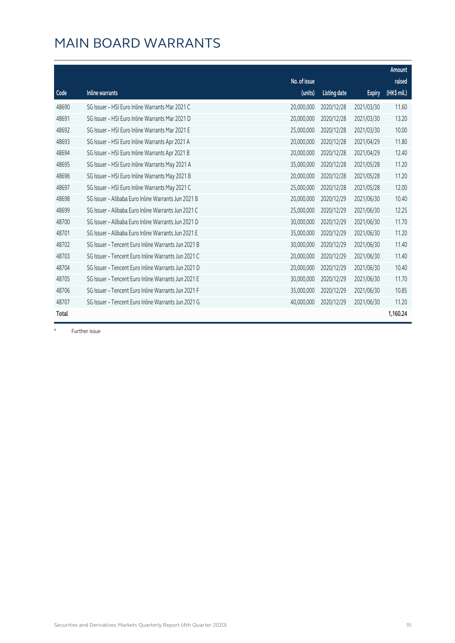|       |                                                     | No. of issue |                     |               | Amount<br>raised |
|-------|-----------------------------------------------------|--------------|---------------------|---------------|------------------|
| Code  | Inline warrants                                     | (units)      | <b>Listing date</b> | <b>Expiry</b> | (HK\$ mil.)      |
| 48690 | SG Issuer - HSI Euro Inline Warrants Mar 2021 C     | 20,000,000   | 2020/12/28          | 2021/03/30    | 11.60            |
| 48691 | SG Issuer - HSI Euro Inline Warrants Mar 2021 D     | 20,000,000   | 2020/12/28          | 2021/03/30    | 13.20            |
| 48692 | SG Issuer - HSI Euro Inline Warrants Mar 2021 E     | 25,000,000   | 2020/12/28          | 2021/03/30    | 10.00            |
| 48693 | SG Issuer - HSI Euro Inline Warrants Apr 2021 A     | 20,000,000   | 2020/12/28          | 2021/04/29    | 11.80            |
| 48694 | SG Issuer - HSI Euro Inline Warrants Apr 2021 B     | 20,000,000   | 2020/12/28          | 2021/04/29    | 12.40            |
| 48695 | SG Issuer - HSI Euro Inline Warrants May 2021 A     | 35,000,000   | 2020/12/28          | 2021/05/28    | 11.20            |
| 48696 | SG Issuer - HSI Euro Inline Warrants May 2021 B     | 20,000,000   | 2020/12/28          | 2021/05/28    | 11.20            |
| 48697 | SG Issuer - HSI Euro Inline Warrants May 2021 C     | 25,000,000   | 2020/12/28          | 2021/05/28    | 12.00            |
| 48698 | SG Issuer - Alibaba Euro Inline Warrants Jun 2021 B | 20,000,000   | 2020/12/29          | 2021/06/30    | 10.40            |
| 48699 | SG Issuer - Alibaba Euro Inline Warrants Jun 2021 C | 25,000,000   | 2020/12/29          | 2021/06/30    | 12.25            |
| 48700 | SG Issuer - Alibaba Euro Inline Warrants Jun 2021 D | 30,000,000   | 2020/12/29          | 2021/06/30    | 11.70            |
| 48701 | SG Issuer - Alibaba Euro Inline Warrants Jun 2021 E | 35,000,000   | 2020/12/29          | 2021/06/30    | 11.20            |
| 48702 | SG Issuer - Tencent Euro Inline Warrants Jun 2021 B | 30,000,000   | 2020/12/29          | 2021/06/30    | 11.40            |
| 48703 | SG Issuer - Tencent Euro Inline Warrants Jun 2021 C | 20,000,000   | 2020/12/29          | 2021/06/30    | 11.40            |
| 48704 | SG Issuer - Tencent Euro Inline Warrants Jun 2021 D | 20,000,000   | 2020/12/29          | 2021/06/30    | 10.40            |
| 48705 | SG Issuer - Tencent Euro Inline Warrants Jun 2021 E | 30,000,000   | 2020/12/29          | 2021/06/30    | 11.70            |
| 48706 | SG Issuer - Tencent Euro Inline Warrants Jun 2021 F | 35,000,000   | 2020/12/29          | 2021/06/30    | 10.85            |
| 48707 | SG Issuer - Tencent Euro Inline Warrants Jun 2021 G | 40,000,000   | 2020/12/29          | 2021/06/30    | 11.20            |
| Total |                                                     |              |                     |               | 1,160.24         |

# Further issue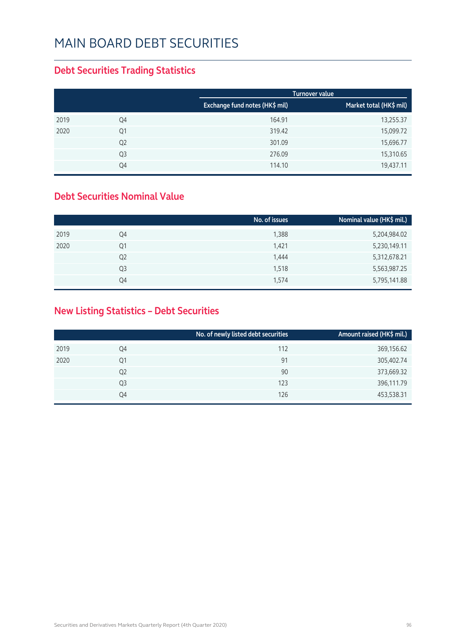#### **Debt Securities Trading Statistics**

|      |                |                                | Turnover value          |
|------|----------------|--------------------------------|-------------------------|
|      |                | Exchange fund notes (HK\$ mil) | Market total (HK\$ mil) |
| 2019 | Q4             | 164.91                         | 13,255.37               |
| 2020 | Q1             | 319.42                         | 15,099.72               |
|      | Q <sub>2</sub> | 301.09                         | 15,696.77               |
|      | Q <sub>3</sub> | 276.09                         | 15,310.65               |
|      | Q4             | 114.10                         | 19,437.11               |

#### **Debt Securities Nominal Value**

|                | No. of issues | Nominal value (HK\$ mil.) |
|----------------|---------------|---------------------------|
| Q4             | 1,388         | 5,204,984.02              |
| Q1             | 1,421         | 5,230,149.11              |
| Q <sub>2</sub> | 1,444         | 5,312,678.21              |
| Q <sub>3</sub> | 1,518         | 5,563,987.25              |
| Q4             | 1,574         | 5,795,141.88              |
|                |               |                           |

#### **New Listing Statistics – Debt Securities**

|      |                | No. of newly listed debt securities | Amount raised (HK\$ mil.) |
|------|----------------|-------------------------------------|---------------------------|
| 2019 | Q4             | 112                                 | 369,156.62                |
| 2020 | Q1             | 91                                  | 305,402.74                |
|      | Q <sub>2</sub> | 90                                  | 373,669.32                |
|      | Q3             | 123                                 | 396,111.79                |
|      | Q4             | 126                                 | 453,538.31                |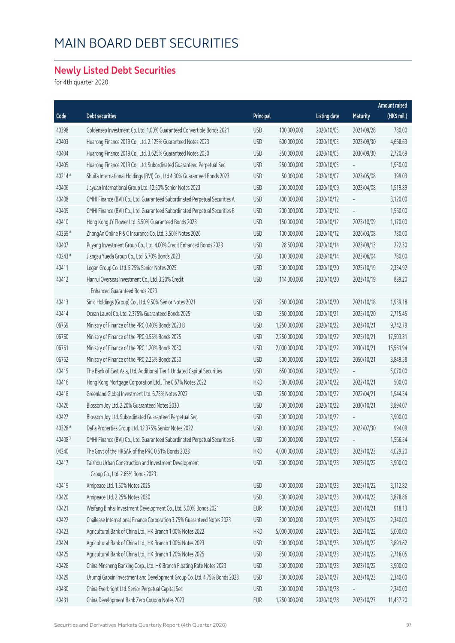#### **Newly Listed Debt Securities**

for 4th quarter 2020

|         |                                                                             |            |               |                     |                          | <b>Amount raised</b> |
|---------|-----------------------------------------------------------------------------|------------|---------------|---------------------|--------------------------|----------------------|
| Code    | <b>Debt securities</b>                                                      | Principal  |               | <b>Listing date</b> | <b>Maturity</b>          | (HK\$ mil.)          |
| 40398   | Goldensep Investment Co. Ltd. 1.00% Guaranteed Convertible Bonds 2021       | <b>USD</b> | 100,000,000   | 2020/10/05          | 2021/09/28               | 780.00               |
| 40403   | Huarong Finance 2019 Co., Ltd. 2.125% Guaranteed Notes 2023                 | <b>USD</b> | 600,000,000   | 2020/10/05          | 2023/09/30               | 4,668.63             |
| 40404   | Huarong Finance 2019 Co., Ltd. 3.625% Guaranteed Notes 2030                 | <b>USD</b> | 350,000,000   | 2020/10/05          | 2030/09/30               | 2,720.69             |
| 40405   | Huarong Finance 2019 Co., Ltd. Subordinated Guaranteed Perpetual Sec.       | <b>USD</b> | 250,000,000   | 2020/10/05          |                          | 1,950.00             |
| 40214#  | Shuifa International Holdings (BVI) Co., Ltd 4.30% Guaranteed Bonds 2023    | <b>USD</b> | 50,000,000    | 2020/10/07          | 2023/05/08               | 399.03               |
| 40406   | Jiayuan International Group Ltd. 12.50% Senior Notes 2023                   | <b>USD</b> | 200,000,000   | 2020/10/09          | 2023/04/08               | 1,519.89             |
| 40408   | CMHI Finance (BVI) Co., Ltd. Guaranteed Subordinated Perpetual Securities A | <b>USD</b> | 400,000,000   | 2020/10/12          |                          | 3,120.00             |
| 40409   | CMHI Finance (BVI) Co., Ltd. Guaranteed Subordinated Perpetual Securities B | <b>USD</b> | 200,000,000   | 2020/10/12          | $\overline{\phantom{a}}$ | 1,560.00             |
| 40410   | Hong Kong JY Flower Ltd. 5.50% Guaranteed Bonds 2023                        | <b>USD</b> | 150,000,000   | 2020/10/12          | 2023/10/09               | 1,170.00             |
| 40369#  | ZhongAn Online P & C Insurance Co. Ltd. 3.50% Notes 2026                    | <b>USD</b> | 100,000,000   | 2020/10/12          | 2026/03/08               | 780.00               |
| 40407   | Puyang Investment Group Co., Ltd. 4.00% Credit Enhanced Bonds 2023          | <b>USD</b> | 28,500,000    | 2020/10/14          | 2023/09/13               | 222.30               |
| 40243 # | Jiangsu Yueda Group Co., Ltd. 5.70% Bonds 2023                              | <b>USD</b> | 100,000,000   | 2020/10/14          | 2023/06/04               | 780.00               |
| 40411   | Logan Group Co. Ltd. 5.25% Senior Notes 2025                                | <b>USD</b> | 300,000,000   | 2020/10/20          | 2025/10/19               | 2,334.92             |
| 40412   | Hanrui Overseas Investment Co., Ltd. 3.20% Credit                           | <b>USD</b> | 114,000,000   | 2020/10/20          | 2023/10/19               | 889.20               |
|         | Enhanced Guaranteed Bonds 2023                                              |            |               |                     |                          |                      |
| 40413   | Sinic Holdings (Group) Co., Ltd. 9.50% Senior Notes 2021                    | <b>USD</b> | 250,000,000   | 2020/10/20          | 2021/10/18               | 1,939.18             |
| 40414   | Ocean Laurel Co. Ltd. 2.375% Guaranteed Bonds 2025                          | <b>USD</b> | 350,000,000   | 2020/10/21          | 2025/10/20               | 2,715.45             |
| 06759   | Ministry of Finance of the PRC 0.40% Bonds 2023 B                           | <b>USD</b> | 1,250,000,000 | 2020/10/22          | 2023/10/21               | 9,742.79             |
| 06760   | Ministry of Finance of the PRC 0.55% Bonds 2025                             | <b>USD</b> | 2,250,000,000 | 2020/10/22          | 2025/10/21               | 17,503.31            |
| 06761   | Ministry of Finance of the PRC 1.20% Bonds 2030                             | <b>USD</b> | 2,000,000,000 | 2020/10/22          | 2030/10/21               | 15,561.94            |
| 06762   | Ministry of Finance of the PRC 2.25% Bonds 2050                             | <b>USD</b> | 500,000,000   | 2020/10/22          | 2050/10/21               | 3,849.58             |
| 40415   | The Bank of East Asia, Ltd. Additional Tier 1 Undated Capital Securities    | <b>USD</b> | 650,000,000   | 2020/10/22          |                          | 5,070.00             |
| 40416   | Hong Kong Mortgage Corporation Ltd., The 0.67% Notes 2022                   | <b>HKD</b> | 500,000,000   | 2020/10/22          | 2022/10/21               | 500.00               |
| 40418   | Greenland Global Investment Ltd. 6.75% Notes 2022                           | <b>USD</b> | 250,000,000   | 2020/10/22          | 2022/04/21               | 1,944.54             |
| 40426   | Blossom Joy Ltd. 2.20% Guaranteed Notes 2030                                | <b>USD</b> | 500,000,000   | 2020/10/22          | 2030/10/21               | 3,894.07             |
| 40427   | Blossom Joy Ltd. Subordinated Guaranteed Perpetual Sec.                     | <b>USD</b> | 500,000,000   | 2020/10/22          |                          | 3,900.00             |
| 40328#  | DaFa Properties Group Ltd. 12.375% Senior Notes 2022                        | <b>USD</b> | 130,000,000   | 2020/10/22          | 2022/07/30               | 994.09               |
| 404083  | CMHI Finance (BVI) Co., Ltd. Guaranteed Subordinated Perpetual Securities B | <b>USD</b> | 200,000,000   | 2020/10/22          |                          | 1,566.54             |
| 04240   | The Govt of the HKSAR of the PRC 0.51% Bonds 2023                           | <b>HKD</b> | 4,000,000,000 | 2020/10/23          | 2023/10/23               | 4,029.20             |
| 40417   | Taizhou Urban Construction and Investment Development                       | <b>USD</b> | 500,000,000   | 2020/10/23          | 2023/10/22               | 3,900.00             |
|         | Group Co., Ltd. 2.65% Bonds 2023                                            |            |               |                     |                          |                      |
| 40419   | Amipeace Ltd. 1.50% Notes 2025                                              | <b>USD</b> | 400,000,000   | 2020/10/23          | 2025/10/22               | 3,112.82             |
| 40420   | Amipeace Ltd. 2.25% Notes 2030                                              | <b>USD</b> | 500,000,000   | 2020/10/23          | 2030/10/22               | 3,878.86             |
| 40421   | Weifang Binhai Investment Development Co., Ltd. 5.00% Bonds 2021            | EUR        | 100,000,000   | 2020/10/23          | 2021/10/21               | 918.13               |
| 40422   | Chailease International Finance Corporation 3.75% Guaranteed Notes 2023     | <b>USD</b> | 300,000,000   | 2020/10/23          | 2023/10/22               | 2,340.00             |
| 40423   | Agricultural Bank of China Ltd., HK Branch 1.00% Notes 2022                 | <b>HKD</b> | 5,000,000,000 | 2020/10/23          | 2022/10/22               | 5,000.00             |
| 40424   | Agricultural Bank of China Ltd., HK Branch 1.00% Notes 2023                 | <b>USD</b> | 500,000,000   | 2020/10/23          | 2023/10/22               | 3,891.62             |
| 40425   | Agricultural Bank of China Ltd., HK Branch 1.20% Notes 2025                 | <b>USD</b> | 350,000,000   | 2020/10/23          | 2025/10/22               | 2,716.05             |
| 40428   | China Minsheng Banking Corp., Ltd. HK Branch Floating Rate Notes 2023       | <b>USD</b> | 500,000,000   | 2020/10/23          | 2023/10/22               | 3,900.00             |
| 40429   | Urumqi Gaoxin Investment and Development Group Co. Ltd. 4.75% Bonds 2023    | <b>USD</b> | 300,000,000   | 2020/10/27          | 2023/10/23               | 2,340.00             |
| 40430   | China Everbright Ltd. Senior Perpetual Capital Sec                          | <b>USD</b> | 300,000,000   | 2020/10/28          |                          | 2,340.00             |
| 40431   | China Development Bank Zero Coupon Notes 2023                               | <b>EUR</b> | 1,250,000,000 | 2020/10/28          | 2023/10/27               | 11,437.20            |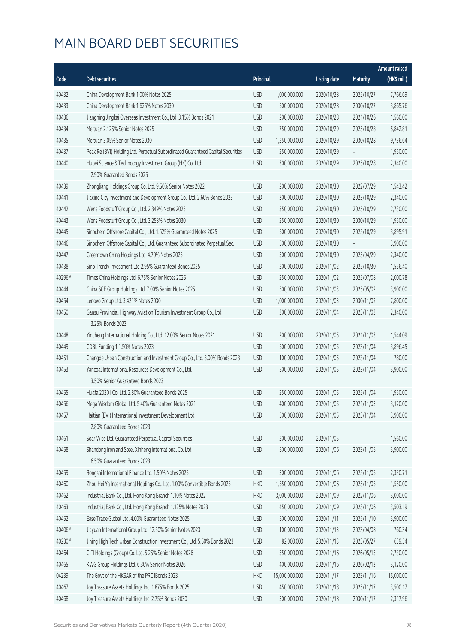|         |                                                                                 |            |                |                     |            | <b>Amount raised</b> |
|---------|---------------------------------------------------------------------------------|------------|----------------|---------------------|------------|----------------------|
| Code    | Debt securities                                                                 | Principal  |                | <b>Listing date</b> | Maturity   | (HK\$ mil.)          |
| 40432   | China Development Bank 1.00% Notes 2025                                         | <b>USD</b> | 1,000,000,000  | 2020/10/28          | 2025/10/27 | 7,766.69             |
| 40433   | China Development Bank 1.625% Notes 2030                                        | <b>USD</b> | 500,000,000    | 2020/10/28          | 2030/10/27 | 3,865.76             |
| 40436   | Jiangning Jingkai Overseas Investment Co., Ltd. 3.15% Bonds 2021                | <b>USD</b> | 200,000,000    | 2020/10/28          | 2021/10/26 | 1,560.00             |
| 40434   | Meituan 2.125% Senior Notes 2025                                                | <b>USD</b> | 750,000,000    | 2020/10/29          | 2025/10/28 | 5,842.81             |
| 40435   | Meituan 3.05% Senior Notes 2030                                                 | <b>USD</b> | 1,250,000,000  | 2020/10/29          | 2030/10/28 | 9,736.64             |
| 40437   | Peak Re (BVI) Holding Ltd. Perpetual Subordinated Guaranteed Capital Securities | <b>USD</b> | 250,000,000    | 2020/10/29          |            | 1,950.00             |
| 40440   | Hubei Science & Technology Investment Group (HK) Co. Ltd.                       | <b>USD</b> | 300,000,000    | 2020/10/29          | 2025/10/28 | 2,340.00             |
|         | 2.90% Guaranted Bonds 2025                                                      |            |                |                     |            |                      |
| 40439   | Zhongliang Holdings Group Co. Ltd. 9.50% Senior Notes 2022                      | <b>USD</b> | 200,000,000    | 2020/10/30          | 2022/07/29 | 1,543.42             |
| 40441   | Jiaxing City Investment and Development Group Co., Ltd. 2.60% Bonds 2023        | <b>USD</b> | 300,000,000    | 2020/10/30          | 2023/10/29 | 2,340.00             |
| 40442   | Wens Foodstuff Group Co., Ltd. 2.349% Notes 2025                                | <b>USD</b> | 350,000,000    | 2020/10/30          | 2025/10/29 | 2,730.00             |
| 40443   | Wens Foodstuff Group Co., Ltd. 3.258% Notes 2030                                | <b>USD</b> | 250,000,000    | 2020/10/30          | 2030/10/29 | 1,950.00             |
| 40445   | Sinochem Offshore Capital Co., Ltd. 1.625% Guaranteed Notes 2025                | <b>USD</b> | 500,000,000    | 2020/10/30          | 2025/10/29 | 3,895.91             |
| 40446   | Sinochem Offshore Capital Co., Ltd. Guaranteed Subordinated Perpetual Sec.      | <b>USD</b> | 500,000,000    | 2020/10/30          |            | 3,900.00             |
| 40447   | Greentown China Holdings Ltd. 4.70% Notes 2025                                  | <b>USD</b> | 300,000,000    | 2020/10/30          | 2025/04/29 | 2,340.00             |
| 40438   | Sino Trendy Investment Ltd 2.95% Guaranteed Bonds 2025                          | <b>USD</b> | 200,000,000    | 2020/11/02          | 2025/10/30 | 1,556.40             |
| 40296 # | Times China Holdings Ltd. 6.75% Senior Notes 2025                               | <b>USD</b> | 250,000,000    | 2020/11/02          | 2025/07/08 | 2,000.78             |
| 40444   | China SCE Group Holdings Ltd. 7.00% Senior Notes 2025                           | <b>USD</b> | 500,000,000    | 2020/11/03          | 2025/05/02 | 3,900.00             |
| 40454   | Lenovo Group Ltd. 3.421% Notes 2030                                             | <b>USD</b> | 1,000,000,000  | 2020/11/03          | 2030/11/02 | 7,800.00             |
| 40450   | Gansu Provincial Highway Aviation Tourism Investment Group Co., Ltd.            | <b>USD</b> | 300,000,000    | 2020/11/04          | 2023/11/03 | 2,340.00             |
|         | 3.25% Bonds 2023                                                                |            |                |                     |            |                      |
| 40448   | Yincheng International Holding Co., Ltd. 12.00% Senior Notes 2021               | <b>USD</b> | 200,000,000    | 2020/11/05          | 2021/11/03 | 1,544.09             |
| 40449   | CDBL Funding 1 1.50% Notes 2023                                                 | <b>USD</b> | 500,000,000    | 2020/11/05          | 2023/11/04 | 3,896.45             |
| 40451   | Changde Urban Construction and Investment Group Co., Ltd. 3.00% Bonds 2023      | <b>USD</b> | 100,000,000    | 2020/11/05          | 2023/11/04 | 780.00               |
| 40453   | Yancoal International Resources Development Co., Ltd.                           | <b>USD</b> | 500,000,000    | 2020/11/05          | 2023/11/04 | 3,900.00             |
|         | 3.50% Senior Guaranteed Bonds 2023                                              |            |                |                     |            |                      |
| 40455   | Huafa 2020   Co. Ltd. 2.80% Guaranteed Bonds 2025                               | <b>USD</b> | 250,000,000    | 2020/11/05          | 2025/11/04 | 1,950.00             |
| 40456   | Mega Wisdom Global Ltd. 5.40% Guaranteed Notes 2021                             | <b>USD</b> | 400,000,000    | 2020/11/05          | 2021/11/03 | 3,120.00             |
| 40457   | Haitian (BVI) International Investment Development Ltd.                         | <b>USD</b> | 500,000,000    | 2020/11/05          | 2023/11/04 | 3,900.00             |
|         | 2.80% Guaranteed Bonds 2023                                                     |            |                |                     |            |                      |
| 40461   | Soar Wise Ltd. Guaranteed Perpetual Capital Securities                          | <b>USD</b> | 200,000,000    | 2020/11/05          |            | 1,560.00             |
| 40458   | Shandong Iron and Steel Xinheng International Co. Ltd.                          | <b>USD</b> | 500,000,000    | 2020/11/06          | 2023/11/05 | 3,900.00             |
|         | 6.50% Guaranteed Bonds 2023                                                     |            |                |                     |            |                      |
| 40459   | Rongshi International Finance Ltd. 1.50% Notes 2025                             | <b>USD</b> | 300,000,000    | 2020/11/06          | 2025/11/05 | 2,330.71             |
| 40460   | Zhou Hei Ya International Holdings Co., Ltd. 1.00% Convertible Bonds 2025       | <b>HKD</b> | 1,550,000,000  | 2020/11/06          | 2025/11/05 | 1,550.00             |
| 40462   | Industrial Bank Co., Ltd. Hong Kong Branch 1.10% Notes 2022                     | <b>HKD</b> | 3,000,000,000  | 2020/11/09          | 2022/11/06 | 3,000.00             |
| 40463   | Industrial Bank Co., Ltd. Hong Kong Branch 1.125% Notes 2023                    | <b>USD</b> | 450,000,000    | 2020/11/09          | 2023/11/06 | 3,503.19             |
| 40452   | Ease Trade Global Ltd. 4.00% Guaranteed Notes 2025                              | <b>USD</b> | 500,000,000    | 2020/11/11          | 2025/11/10 | 3,900.00             |
| 40406 # | Jiayuan International Group Ltd. 12.50% Senior Notes 2023                       | <b>USD</b> | 100,000,000    | 2020/11/13          | 2023/04/08 | 760.34               |
| 40230 # | Jining High Tech Urban Construction Investment Co., Ltd. 5.50% Bonds 2023       | <b>USD</b> | 82,000,000     | 2020/11/13          | 2023/05/27 | 639.54               |
| 40464   | CIFI Holdings (Group) Co. Ltd. 5.25% Senior Notes 2026                          | <b>USD</b> | 350,000,000    | 2020/11/16          | 2026/05/13 | 2,730.00             |
| 40465   | KWG Group Holdings Ltd. 6.30% Senior Notes 2026                                 | <b>USD</b> | 400,000,000    | 2020/11/16          | 2026/02/13 | 3,120.00             |
| 04239   | The Govt of the HKSAR of the PRC iBonds 2023                                    | <b>HKD</b> | 15,000,000,000 | 2020/11/17          | 2023/11/16 | 15,000.00            |
| 40467   | Joy Treasure Assets Holdings Inc. 1.875% Bonds 2025                             | <b>USD</b> | 450,000,000    | 2020/11/18          | 2025/11/17 | 3,500.17             |
| 40468   | Joy Treasure Assets Holdings Inc. 2.75% Bonds 2030                              | <b>USD</b> | 300,000,000    | 2020/11/18          | 2030/11/17 | 2,317.96             |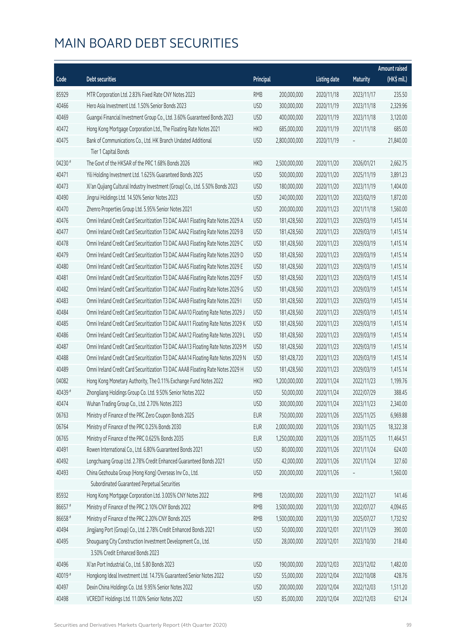|        |                                                                                 |            |               |                     |                 | <b>Amount raised</b> |
|--------|---------------------------------------------------------------------------------|------------|---------------|---------------------|-----------------|----------------------|
| Code   | Debt securities                                                                 | Principal  |               | <b>Listing date</b> | <b>Maturity</b> | (HK\$ mil.)          |
| 85929  | MTR Corporation Ltd. 2.83% Fixed Rate CNY Notes 2023                            | <b>RMB</b> | 200,000,000   | 2020/11/18          | 2023/11/17      | 235.50               |
| 40466  | Hero Asia Investment Ltd. 1.50% Senior Bonds 2023                               | <b>USD</b> | 300,000,000   | 2020/11/19          | 2023/11/18      | 2,329.96             |
| 40469  | Guangxi Financial Investment Group Co., Ltd. 3.60% Guaranteed Bonds 2023        | <b>USD</b> | 400,000,000   | 2020/11/19          | 2023/11/18      | 3,120.00             |
| 40472  | Hong Kong Mortgage Corporation Ltd., The Floating Rate Notes 2021               | <b>HKD</b> | 685,000,000   | 2020/11/19          | 2021/11/18      | 685.00               |
| 40475  | Bank of Communications Co., Ltd. HK Branch Undated Additional                   | <b>USD</b> | 2,800,000,000 | 2020/11/19          |                 | 21,840.00            |
|        | Tier 1 Capital Bonds                                                            |            |               |                     |                 |                      |
| 04230# | The Govt of the HKSAR of the PRC 1.68% Bonds 2026                               | <b>HKD</b> | 2,500,000,000 | 2020/11/20          | 2026/01/21      | 2,662.75             |
| 40471  | Yili Holding Investment Ltd. 1.625% Guaranteed Bonds 2025                       | <b>USD</b> | 500,000,000   | 2020/11/20          | 2025/11/19      | 3,891.23             |
| 40473  | Xi'an Qujiang Cultural Industry Investment (Group) Co., Ltd. 5.50% Bonds 2023   | <b>USD</b> | 180,000,000   | 2020/11/20          | 2023/11/19      | 1,404.00             |
| 40490  | Jingrui Holdings Ltd. 14.50% Senior Notes 2023                                  | <b>USD</b> | 240,000,000   | 2020/11/20          | 2023/02/19      | 1,872.00             |
| 40470  | Zhenro Properties Group Ltd. 5.95% Senior Notes 2021                            | <b>USD</b> | 200,000,000   | 2020/11/23          | 2021/11/18      | 1,560.00             |
| 40476  | Omni Ireland Credit Card Securitization T3 DAC AAA1 Floating Rate Notes 2029 A  | <b>USD</b> | 181,428,560   | 2020/11/23          | 2029/03/19      | 1,415.14             |
| 40477  | Omni Ireland Credit Card Securitization T3 DAC AAA2 Floating Rate Notes 2029 B  | <b>USD</b> | 181,428,560   | 2020/11/23          | 2029/03/19      | 1,415.14             |
| 40478  | Omni Ireland Credit Card Securitization T3 DAC AAA3 Floating Rate Notes 2029 C  | <b>USD</b> | 181,428,560   | 2020/11/23          | 2029/03/19      | 1,415.14             |
| 40479  | Omni Ireland Credit Card Securitization T3 DAC AAA4 Floating Rate Notes 2029 D  | <b>USD</b> | 181,428,560   | 2020/11/23          | 2029/03/19      | 1,415.14             |
| 40480  | Omni Ireland Credit Card Securitization T3 DAC AAA5 Floating Rate Notes 2029 E  | <b>USD</b> | 181,428,560   | 2020/11/23          | 2029/03/19      | 1,415.14             |
| 40481  | Omni Ireland Credit Card Securitization T3 DAC AAA6 Floating Rate Notes 2029 F  | <b>USD</b> | 181,428,560   | 2020/11/23          | 2029/03/19      | 1,415.14             |
| 40482  | Omni Ireland Credit Card Securitization T3 DAC AAA7 Floating Rate Notes 2029 G  | <b>USD</b> | 181,428,560   | 2020/11/23          | 2029/03/19      | 1,415.14             |
| 40483  | Omni Ireland Credit Card Securitization T3 DAC AAA9 Floating Rate Notes 2029 I  | <b>USD</b> | 181,428,560   | 2020/11/23          | 2029/03/19      | 1,415.14             |
| 40484  | Omni Ireland Credit Card Securitization T3 DAC AAA10 Floating Rate Notes 2029 J | <b>USD</b> | 181,428,560   | 2020/11/23          | 2029/03/19      | 1,415.14             |
| 40485  | Omni Ireland Credit Card Securitization T3 DAC AAA11 Floating Rate Notes 2029 K | <b>USD</b> | 181,428,560   | 2020/11/23          | 2029/03/19      | 1,415.14             |
| 40486  | Omni Ireland Credit Card Securitization T3 DAC AAA12 Floating Rate Notes 2029 L | <b>USD</b> | 181,428,560   | 2020/11/23          | 2029/03/19      | 1,415.14             |
| 40487  | Omni Ireland Credit Card Securitization T3 DAC AAA13 Floating Rate Notes 2029 M | <b>USD</b> | 181,428,560   | 2020/11/23          | 2029/03/19      | 1,415.14             |
| 40488  | Omni Ireland Credit Card Securitization T3 DAC AAA14 Floating Rate Notes 2029 N | <b>USD</b> | 181,428,720   | 2020/11/23          | 2029/03/19      | 1,415.14             |
| 40489  | Omni Ireland Credit Card Securitization T3 DAC AAA8 Floating Rate Notes 2029 H  | <b>USD</b> | 181,428,560   | 2020/11/23          | 2029/03/19      | 1,415.14             |
| 04082  | Hong Kong Monetary Authority, The 0.11% Exchange Fund Notes 2022                | <b>HKD</b> | 1,200,000,000 | 2020/11/24          | 2022/11/23      | 1,199.76             |
| 40439# | Zhongliang Holdings Group Co. Ltd. 9.50% Senior Notes 2022                      | <b>USD</b> | 50,000,000    | 2020/11/24          | 2022/07/29      | 388.45               |
| 40474  | Wuhan Trading Group Co., Ltd. 2.70% Notes 2023                                  | <b>USD</b> | 300,000,000   | 2020/11/24          | 2023/11/23      | 2,340.00             |
| 06763  | Ministry of Finance of the PRC Zero Coupon Bonds 2025                           | <b>EUR</b> | 750,000,000   | 2020/11/26          | 2025/11/25      | 6,969.88             |
| 06764  | Ministry of Finance of the PRC 0.25% Bonds 2030                                 | <b>EUR</b> | 2,000,000,000 | 2020/11/26          | 2030/11/25      | 18,322.38            |
| 06765  | Ministry of Finance of the PRC 0.625% Bonds 2035                                | <b>EUR</b> | 1,250,000,000 | 2020/11/26          | 2035/11/25      | 11,464.51            |
| 40491  | Rowen International Co., Ltd. 6.80% Guaranteed Bonds 2021                       | <b>USD</b> | 80,000,000    | 2020/11/26          | 2021/11/24      | 624.00               |
| 40492  | Longchuang Group Ltd. 2.78% Credit Enhanced Guaranteed Bonds 2021               | <b>USD</b> | 42,000,000    | 2020/11/26          | 2021/11/24      | 327.60               |
| 40493  | China Gezhouba Group (Hong Kong) Overseas Inv Co., Ltd.                         | <b>USD</b> | 200,000,000   | 2020/11/26          |                 | 1,560.00             |
|        | Subordinated Guaranteed Perpetual Securities                                    |            |               |                     |                 |                      |
| 85932  | Hong Kong Mortgage Corporation Ltd. 3.005% CNY Notes 2022                       | RMB        | 120,000,000   | 2020/11/30          | 2022/11/27      | 141.46               |
| 86657# | Ministry of Finance of the PRC 2.10% CNY Bonds 2022                             | <b>RMB</b> | 3,500,000,000 | 2020/11/30          | 2022/07/27      | 4,094.65             |
| 86658# | Ministry of Finance of the PRC 2.20% CNY Bonds 2025                             | <b>RMB</b> | 1,500,000,000 | 2020/11/30          | 2025/07/27      | 1,732.92             |
| 40494  | Jingjiang Port (Group) Co., Ltd. 2.78% Credit Enhanced Bonds 2021               | <b>USD</b> | 50,000,000    | 2020/12/01          | 2021/11/29      | 390.00               |
| 40495  | Shouguang City Construction Investment Development Co., Ltd.                    | <b>USD</b> | 28,000,000    | 2020/12/01          | 2023/10/30      | 218.40               |
|        | 3.50% Credit Enhanced Bonds 2023                                                |            |               |                     |                 |                      |
| 40496  | Xi'an Port Industrial Co., Ltd. 5.80 Bonds 2023                                 | <b>USD</b> | 190,000,000   | 2020/12/03          | 2023/12/02      | 1,482.00             |
| 40019# | Hongkong Ideal Investment Ltd. 14.75% Guaranteed Senior Notes 2022              | <b>USD</b> | 55,000,000    | 2020/12/04          | 2022/10/08      | 428.76               |
| 40497  | Dexin China Holdings Co. Ltd. 9.95% Senior Notes 2022                           | <b>USD</b> | 200,000,000   | 2020/12/04          | 2022/12/03      | 1,511.20             |
| 40498  | VCREDIT Holdings Ltd. 11.00% Senior Notes 2022                                  | <b>USD</b> | 85,000,000    | 2020/12/04          | 2022/12/03      | 621.24               |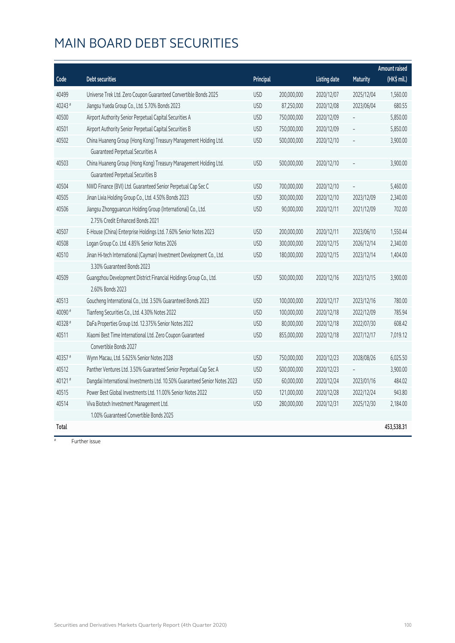|         |                                                                            |            |             |                     |                 | Amount raised |
|---------|----------------------------------------------------------------------------|------------|-------------|---------------------|-----------------|---------------|
| Code    | <b>Debt securities</b>                                                     | Principal  |             | <b>Listing date</b> | <b>Maturity</b> | (HK\$ mil.)   |
| 40499   | Universe Trek Ltd. Zero Coupon Guaranteed Convertible Bonds 2025           | <b>USD</b> | 200,000,000 | 2020/12/07          | 2025/12/04      | 1,560.00      |
| 40243#  | Jiangsu Yueda Group Co., Ltd. 5.70% Bonds 2023                             | <b>USD</b> | 87,250,000  | 2020/12/08          | 2023/06/04      | 680.55        |
| 40500   | Airport Authority Senior Perpetual Capital Securities A                    | <b>USD</b> | 750,000,000 | 2020/12/09          |                 | 5,850.00      |
| 40501   | Airport Authority Senior Perpetual Capital Securities B                    | <b>USD</b> | 750,000,000 | 2020/12/09          |                 | 5,850.00      |
| 40502   | China Huaneng Group (Hong Kong) Treasury Management Holding Ltd.           | <b>USD</b> | 500,000,000 | 2020/12/10          |                 | 3,900.00      |
|         | Guaranteed Perpetual Securities A                                          |            |             |                     |                 |               |
| 40503   | China Huaneng Group (Hong Kong) Treasury Management Holding Ltd.           | <b>USD</b> | 500,000,000 | 2020/12/10          |                 | 3,900.00      |
|         | Guaranteed Perpetual Securities B                                          |            |             |                     |                 |               |
| 40504   | NWD Finance (BVI) Ltd. Guaranteed Senior Perpetual Cap Sec C               | <b>USD</b> | 700,000,000 | 2020/12/10          |                 | 5,460.00      |
| 40505   | Jinan Lixia Holding Group Co., Ltd. 4.50% Bonds 2023                       | <b>USD</b> | 300,000,000 | 2020/12/10          | 2023/12/09      | 2,340.00      |
| 40506   | Jiangsu Zhongguancun Holding Group (International) Co., Ltd.               | <b>USD</b> | 90,000,000  | 2020/12/11          | 2021/12/09      | 702.00        |
|         | 2.75% Credit Enhanced Bonds 2021                                           |            |             |                     |                 |               |
| 40507   | E-House (China) Enterprise Holdings Ltd. 7.60% Senior Notes 2023           | <b>USD</b> | 200,000,000 | 2020/12/11          | 2023/06/10      | 1,550.44      |
| 40508   | Logan Group Co. Ltd. 4.85% Senior Notes 2026                               | <b>USD</b> | 300,000,000 | 2020/12/15          | 2026/12/14      | 2,340.00      |
| 40510   | Jinan Hi-tech International (Cayman) Investment Development Co., Ltd.      | <b>USD</b> | 180,000,000 | 2020/12/15          | 2023/12/14      | 1,404.00      |
|         | 3.30% Guaranteed Bonds 2023                                                |            |             |                     |                 |               |
| 40509   | Guangzhou Development District Financial Holdings Group Co., Ltd.          | <b>USD</b> | 500,000,000 | 2020/12/16          | 2023/12/15      | 3,900.00      |
|         | 2.60% Bonds 2023                                                           |            |             |                     |                 |               |
| 40513   | Goucheng International Co., Ltd. 3.50% Guaranteed Bonds 2023               | <b>USD</b> | 100,000,000 | 2020/12/17          | 2023/12/16      | 780.00        |
| 40090 # | Tianfeng Securities Co., Ltd. 4.30% Notes 2022                             | <b>USD</b> | 100,000,000 | 2020/12/18          | 2022/12/09      | 785.94        |
| 40328#  | DaFa Properties Group Ltd. 12.375% Senior Notes 2022                       | <b>USD</b> | 80,000,000  | 2020/12/18          | 2022/07/30      | 608.42        |
| 40511   | Xiaomi Best Time International Ltd. Zero Coupon Guaranteed                 | <b>USD</b> | 855,000,000 | 2020/12/18          | 2027/12/17      | 7,019.12      |
|         | Convertible Bonds 2027                                                     |            |             |                     |                 |               |
| 40357#  | Wynn Macau, Ltd. 5.625% Senior Notes 2028                                  | <b>USD</b> | 750,000,000 | 2020/12/23          | 2028/08/26      | 6,025.50      |
| 40512   | Panther Ventures Ltd. 3.50% Guaranteed Senior Perpetual Cap Sec A          | <b>USD</b> | 500,000,000 | 2020/12/23          |                 | 3,900.00      |
| 40121#  | Dangdai International Investments Ltd. 10.50% Guaranteed Senior Notes 2023 | <b>USD</b> | 60,000,000  | 2020/12/24          | 2023/01/16      | 484.02        |
| 40515   | Power Best Global Investments Ltd. 11.00% Senior Notes 2022                | <b>USD</b> | 121,000,000 | 2020/12/28          | 2022/12/24      | 943.80        |
| 40514   | Viva Biotech Investment Management Ltd.                                    | <b>USD</b> | 280,000,000 | 2020/12/31          | 2025/12/30      | 2,184.00      |
|         | 1.00% Guaranteed Convertible Bonds 2025                                    |            |             |                     |                 |               |
| Total   |                                                                            |            |             |                     |                 | 453,538.31    |

# Further issue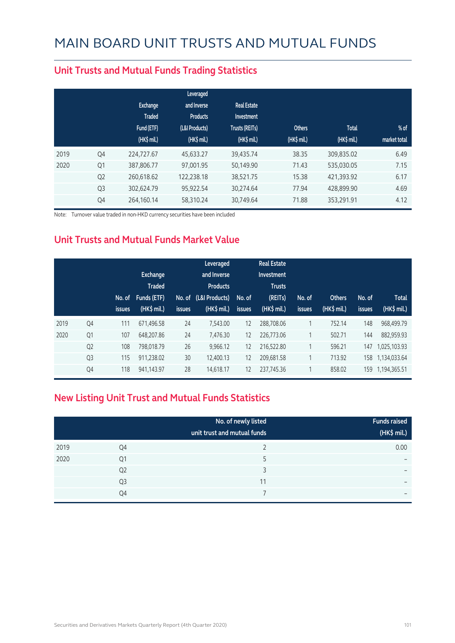|      |                | Exchange<br><b>Traded</b><br>Fund (ETF)<br>$(HK\$ mil.) | Leveraged<br>and Inverse<br><b>Products</b><br>(L&I Products)<br>$(HK\$ mil.) | <b>Real Estate</b><br>Investment<br>Trusts (REITs)<br>$(HK\$ mil.) | <b>Others</b><br>$(HK\$ mil.) | <b>Total</b><br>$(HK\$ mil.) | $%$ of<br>market total |
|------|----------------|---------------------------------------------------------|-------------------------------------------------------------------------------|--------------------------------------------------------------------|-------------------------------|------------------------------|------------------------|
| 2019 | Q4             | 224,727.67                                              | 45,633.27                                                                     | 39,435.74                                                          | 38.35                         | 309,835.02                   | 6.49                   |
| 2020 | Q1             | 387,806.77                                              | 97,001.95                                                                     | 50,149.90                                                          | 71.43                         | 535,030.05                   | 7.15                   |
|      | Q <sub>2</sub> | 260,618.62                                              | 122,238.18                                                                    | 38,521.75                                                          | 15.38                         | 421,393.92                   | 6.17                   |
|      | Q <sub>3</sub> | 302,624.79                                              | 95,922.54                                                                     | 30,274.64                                                          | 77.94                         | 428,899.90                   | 4.69                   |
|      | Q4             | 264,160.14                                              | 58,310.24                                                                     | 30,749.64                                                          | 71.88                         | 353,291.91                   | 4.12                   |

#### **Unit Trusts and Mutual Funds Trading Statistics**

Note: Turnover value traded in non-HKD currency securities have been included

#### **Unit Trusts and Mutual Funds Market Value**

|      |                | No. of<br><b>issues</b> | Exchange<br><b>Traded</b><br>Funds (ETF)<br>$(HK$$ mil.) | No. of<br><b>issues</b> | Leveraged<br>and Inverse<br><b>Products</b><br>(L&I Products)<br>$(HK$$ mil.) | No. of<br><b>issues</b> | <b>Real Estate</b><br>Investment<br><b>Trusts</b><br>(REITs)<br>(HK\$ mil.) | No. of<br><b>issues</b> | <b>Others</b><br>(HK\$ mil.) | No. of<br><b>issues</b> | <b>Total</b><br>(HK\$ mil.) |
|------|----------------|-------------------------|----------------------------------------------------------|-------------------------|-------------------------------------------------------------------------------|-------------------------|-----------------------------------------------------------------------------|-------------------------|------------------------------|-------------------------|-----------------------------|
| 2019 | Q4             | 111                     | 671,496.58                                               | 24                      | 7.543.00                                                                      | 12                      | 288,708.06                                                                  | $\overline{ }$          | 752.14                       | 148                     | 968.499.79                  |
| 2020 | Q1             | 107                     | 648,207.86                                               | 24                      | 7,476.30                                                                      | 12                      | 226,773.06                                                                  |                         | 502.71                       | 144                     | 882,959.93                  |
|      | Q <sub>2</sub> | 108                     | 798,018.79                                               | 26                      | 9.966.12                                                                      | 12                      | 216,522.80                                                                  | $\overline{ }$          | 596.21                       | 147                     | 1,025,103.93                |
|      | Q <sub>3</sub> | 115                     | 911,238.02                                               | 30                      | 12,400.13                                                                     | 12                      | 209,681.58                                                                  | 1                       | 713.92                       | 158                     | 1,134,033.64                |
|      | Q4             | 118                     | 941,143.97                                               | 28                      | 14,618.17                                                                     | 12                      | 237,745.36                                                                  | $\overline{ }$          | 858.02                       |                         | 159 1,194,365.51            |

#### **New Listing Unit Trust and Mutual Funds Statistics**

|      |                | No. of newly listed<br>unit trust and mutual funds | <b>Funds raised</b><br>(HK\$ mil.) |
|------|----------------|----------------------------------------------------|------------------------------------|
| 2019 | Q4             |                                                    | 0.00                               |
| 2020 | Q1             |                                                    | $\overline{\phantom{0}}$           |
|      | Q <sub>2</sub> | ς                                                  | -                                  |
|      | Q <sub>3</sub> | 11                                                 | $\overline{\phantom{0}}$           |
|      | Q4             |                                                    | $\overline{\phantom{0}}$           |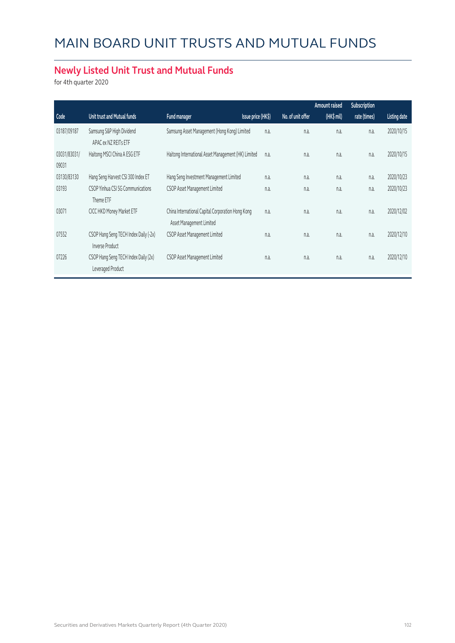#### **Newly Listed Unit Trust and Mutual Funds**

for 4th quarter 2020

|                                                           |                                         |      |                                                                                                                                                                                | Amount raised | Subscription |              |
|-----------------------------------------------------------|-----------------------------------------|------|--------------------------------------------------------------------------------------------------------------------------------------------------------------------------------|---------------|--------------|--------------|
| Unit trust and Mutual funds                               | Fund manager                            |      | No. of unit offer                                                                                                                                                              | (HK\$ mil)    | rate (times) | Listing date |
| Samsung S&P High Dividend<br>APAC ex NZ REITS ETF         |                                         | n.a. | n.a.                                                                                                                                                                           | n.a.          | n.a.         | 2020/10/15   |
| Haitong MSCI China A ESG ETF                              |                                         | n.a. | n.a.                                                                                                                                                                           | n.a.          | n.a.         | 2020/10/15   |
| Hang Seng Harvest CSI 300 Index ET                        | Hang Seng Investment Management Limited | n.a. | n.a.                                                                                                                                                                           | n.a.          | n.a.         | 2020/10/23   |
| CSOP Yinhua CSI 5G Communications<br>Theme ETF            | CSOP Asset Management Limited           | n.a. | n.a.                                                                                                                                                                           | n.a.          | n.a.         | 2020/10/23   |
| CICC HKD Money Market ETF                                 | Asset Management Limited                | n.a. | n.a.                                                                                                                                                                           | n.a.          | n.a.         | 2020/12/02   |
| CSOP Hang Seng TECH Index Daily (-2x)<br>Inverse Product  | CSOP Asset Management Limited           | n.a. | n.a.                                                                                                                                                                           | n.a.          | n.a.         | 2020/12/10   |
| CSOP Hang Seng TECH Index Daily (2x)<br>Leveraged Product | CSOP Asset Management Limited           | n.a. | n.a.                                                                                                                                                                           | n.a.          | n.a.         | 2020/12/10   |
|                                                           |                                         |      | Issue price (HK\$)<br>Samsung Asset Management (Hong Kong) Limited<br>Haitong International Asset Management (HK) Limited<br>China International Capital Corporation Hong Kong |               |              |              |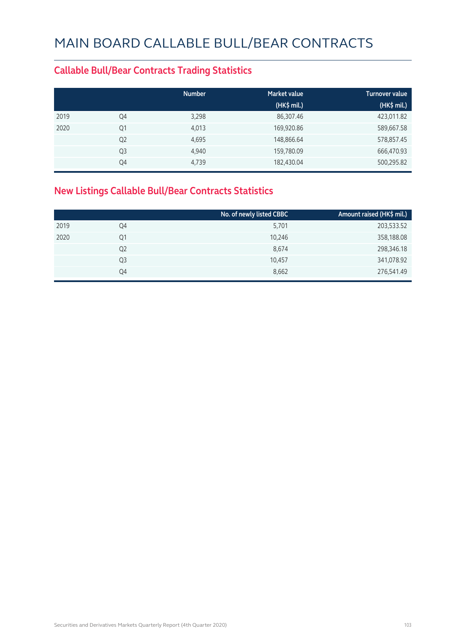#### **Callable Bull/Bear Contracts Trading Statistics**

|      |                | <b>Number</b> | <b>Market value</b> | <b>Turnover value</b> |
|------|----------------|---------------|---------------------|-----------------------|
|      |                |               | $(HK\$ mil.)        | (HK\$ mil.)           |
| 2019 | Q4             | 3,298         | 86,307.46           | 423,011.82            |
| 2020 | Q1             | 4,013         | 169,920.86          | 589,667.58            |
|      | Q <sub>2</sub> | 4,695         | 148,866.64          | 578,857.45            |
|      | Q <sub>3</sub> | 4,940         | 159,780.09          | 666,470.93            |
|      | Q4             | 4,739         | 182,430.04          | 500,295.82            |

#### **New Listings Callable Bull/Bear Contracts Statistics**

|      |                | No. of newly listed CBBC | Amount raised (HK\$ mil.) |
|------|----------------|--------------------------|---------------------------|
| 2019 | Q4             | 5,701                    | 203,533.52                |
| 2020 | Q1             | 10,246                   | 358,188.08                |
|      | Q <sub>2</sub> | 8,674                    | 298,346.18                |
|      | Q3             | 10,457                   | 341,078.92                |
|      | Q4             | 8,662                    | 276,541.49                |
|      |                |                          |                           |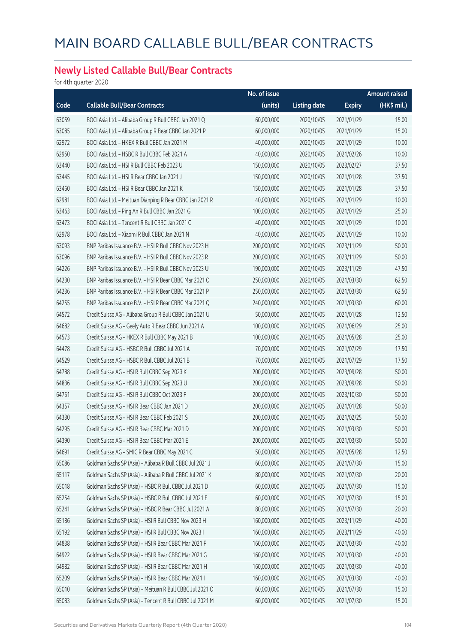#### **Newly Listed Callable Bull/Bear Contracts**

for 4th quarter 2020

|       |                                                          | No. of issue |                     |               | <b>Amount raised</b> |
|-------|----------------------------------------------------------|--------------|---------------------|---------------|----------------------|
| Code  | <b>Callable Bull/Bear Contracts</b>                      | (units)      | <b>Listing date</b> | <b>Expiry</b> | (HK\$ mil.)          |
| 63059 | BOCI Asia Ltd. - Alibaba Group R Bull CBBC Jan 2021 Q    | 60,000,000   | 2020/10/05          | 2021/01/29    | 15.00                |
| 63085 | BOCI Asia Ltd. - Alibaba Group R Bear CBBC Jan 2021 P    | 60,000,000   | 2020/10/05          | 2021/01/29    | 15.00                |
| 62972 | BOCI Asia Ltd. - HKEX R Bull CBBC Jan 2021 M             | 40,000,000   | 2020/10/05          | 2021/01/29    | 10.00                |
| 62950 | BOCI Asia Ltd. - HSBC R Bull CBBC Feb 2021 A             | 40,000,000   | 2020/10/05          | 2021/02/26    | 10.00                |
| 63440 | BOCI Asia Ltd. - HSI R Bull CBBC Feb 2023 U              | 150,000,000  | 2020/10/05          | 2023/02/27    | 37.50                |
| 63445 | BOCI Asia Ltd. - HSI R Bear CBBC Jan 2021 J              | 150,000,000  | 2020/10/05          | 2021/01/28    | 37.50                |
| 63460 | BOCI Asia Ltd. - HSI R Bear CBBC Jan 2021 K              | 150,000,000  | 2020/10/05          | 2021/01/28    | 37.50                |
| 62981 | BOCI Asia Ltd. - Meituan Dianping R Bear CBBC Jan 2021 R | 40,000,000   | 2020/10/05          | 2021/01/29    | 10.00                |
| 63463 | BOCI Asia Ltd. - Ping An R Bull CBBC Jan 2021 G          | 100,000,000  | 2020/10/05          | 2021/01/29    | 25.00                |
| 63473 | BOCI Asia Ltd. - Tencent R Bull CBBC Jan 2021 C          | 40,000,000   | 2020/10/05          | 2021/01/29    | 10.00                |
| 62978 | BOCI Asia Ltd. - Xiaomi R Bull CBBC Jan 2021 N           | 40,000,000   | 2020/10/05          | 2021/01/29    | 10.00                |
| 63093 | BNP Paribas Issuance B.V. - HSI R Bull CBBC Nov 2023 H   | 200,000,000  | 2020/10/05          | 2023/11/29    | 50.00                |
| 63096 | BNP Paribas Issuance B.V. - HSI R Bull CBBC Nov 2023 R   | 200,000,000  | 2020/10/05          | 2023/11/29    | 50.00                |
| 64226 | BNP Paribas Issuance B.V. - HSI R Bull CBBC Nov 2023 U   | 190,000,000  | 2020/10/05          | 2023/11/29    | 47.50                |
| 64230 | BNP Paribas Issuance B.V. - HSI R Bear CBBC Mar 2021 O   | 250,000,000  | 2020/10/05          | 2021/03/30    | 62.50                |
| 64236 | BNP Paribas Issuance B.V. - HSI R Bear CBBC Mar 2021 P   | 250,000,000  | 2020/10/05          | 2021/03/30    | 62.50                |
| 64255 | BNP Paribas Issuance B.V. - HSI R Bear CBBC Mar 2021 Q   | 240,000,000  | 2020/10/05          | 2021/03/30    | 60.00                |
| 64572 | Credit Suisse AG - Alibaba Group R Bull CBBC Jan 2021 U  | 50,000,000   | 2020/10/05          | 2021/01/28    | 12.50                |
| 64682 | Credit Suisse AG - Geely Auto R Bear CBBC Jun 2021 A     | 100,000,000  | 2020/10/05          | 2021/06/29    | 25.00                |
| 64573 | Credit Suisse AG - HKEX R Bull CBBC May 2021 B           | 100,000,000  | 2020/10/05          | 2021/05/28    | 25.00                |
| 64478 | Credit Suisse AG - HSBC R Bull CBBC Jul 2021 A           | 70,000,000   | 2020/10/05          | 2021/07/29    | 17.50                |
| 64529 | Credit Suisse AG - HSBC R Bull CBBC Jul 2021 B           | 70,000,000   | 2020/10/05          | 2021/07/29    | 17.50                |
| 64788 | Credit Suisse AG - HSI R Bull CBBC Sep 2023 K            | 200,000,000  | 2020/10/05          | 2023/09/28    | 50.00                |
| 64836 | Credit Suisse AG - HSI R Bull CBBC Sep 2023 U            | 200,000,000  | 2020/10/05          | 2023/09/28    | 50.00                |
| 64751 | Credit Suisse AG - HSI R Bull CBBC Oct 2023 F            | 200,000,000  | 2020/10/05          | 2023/10/30    | 50.00                |
| 64357 | Credit Suisse AG - HSI R Bear CBBC Jan 2021 D            | 200,000,000  | 2020/10/05          | 2021/01/28    | 50.00                |
| 64330 | Credit Suisse AG - HSI R Bear CBBC Feb 2021 S            | 200,000,000  | 2020/10/05          | 2021/02/25    | 50.00                |
| 64295 | Credit Suisse AG - HSI R Bear CBBC Mar 2021 D            | 200,000,000  | 2020/10/05          | 2021/03/30    | 50.00                |
| 64390 | Credit Suisse AG - HSI R Bear CBBC Mar 2021 E            | 200,000,000  | 2020/10/05          | 2021/03/30    | 50.00                |
| 64691 | Credit Suisse AG - SMIC R Bear CBBC May 2021 C           | 50,000,000   | 2020/10/05          | 2021/05/28    | 12.50                |
| 65086 | Goldman Sachs SP (Asia) - Alibaba R Bull CBBC Jul 2021 J | 60,000,000   | 2020/10/05          | 2021/07/30    | 15.00                |
| 65117 | Goldman Sachs SP (Asia) - Alibaba R Bull CBBC Jul 2021 K | 80,000,000   | 2020/10/05          | 2021/07/30    | 20.00                |
| 65018 | Goldman Sachs SP (Asia) - HSBC R Bull CBBC Jul 2021 D    | 60,000,000   | 2020/10/05          | 2021/07/30    | 15.00                |
| 65254 | Goldman Sachs SP (Asia) - HSBC R Bull CBBC Jul 2021 E    | 60,000,000   | 2020/10/05          | 2021/07/30    | 15.00                |
| 65241 | Goldman Sachs SP (Asia) - HSBC R Bear CBBC Jul 2021 A    | 80,000,000   | 2020/10/05          | 2021/07/30    | 20.00                |
| 65186 | Goldman Sachs SP (Asia) - HSI R Bull CBBC Nov 2023 H     | 160,000,000  | 2020/10/05          | 2023/11/29    | 40.00                |
| 65192 | Goldman Sachs SP (Asia) - HSI R Bull CBBC Nov 2023 I     | 160,000,000  | 2020/10/05          | 2023/11/29    | 40.00                |
| 64838 | Goldman Sachs SP (Asia) - HSI R Bear CBBC Mar 2021 F     | 160,000,000  | 2020/10/05          | 2021/03/30    | 40.00                |
| 64922 | Goldman Sachs SP (Asia) - HSI R Bear CBBC Mar 2021 G     | 160,000,000  | 2020/10/05          | 2021/03/30    | 40.00                |
| 64982 | Goldman Sachs SP (Asia) - HSI R Bear CBBC Mar 2021 H     | 160,000,000  | 2020/10/05          | 2021/03/30    | 40.00                |
| 65209 | Goldman Sachs SP (Asia) - HSI R Bear CBBC Mar 2021 I     | 160,000,000  | 2020/10/05          | 2021/03/30    | 40.00                |
| 65010 | Goldman Sachs SP (Asia) - Meituan R Bull CBBC Jul 2021 O | 60,000,000   | 2020/10/05          | 2021/07/30    | 15.00                |
| 65083 | Goldman Sachs SP (Asia) - Tencent R Bull CBBC Jul 2021 M | 60,000,000   | 2020/10/05          | 2021/07/30    | 15.00                |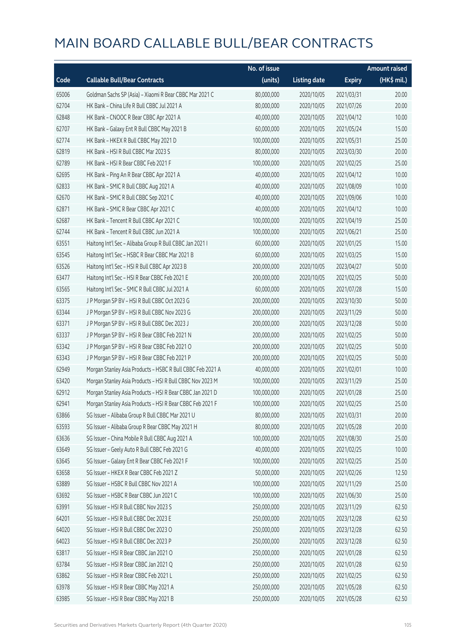|       |                                                            | No. of issue |                     |               | <b>Amount raised</b> |
|-------|------------------------------------------------------------|--------------|---------------------|---------------|----------------------|
| Code  | <b>Callable Bull/Bear Contracts</b>                        | (units)      | <b>Listing date</b> | <b>Expiry</b> | (HK\$ mil.)          |
| 65006 | Goldman Sachs SP (Asia) - Xiaomi R Bear CBBC Mar 2021 C    | 80,000,000   | 2020/10/05          | 2021/03/31    | 20.00                |
| 62704 | HK Bank - China Life R Bull CBBC Jul 2021 A                | 80,000,000   | 2020/10/05          | 2021/07/26    | 20.00                |
| 62848 | HK Bank - CNOOC R Bear CBBC Apr 2021 A                     | 40,000,000   | 2020/10/05          | 2021/04/12    | 10.00                |
| 62707 | HK Bank - Galaxy Ent R Bull CBBC May 2021 B                | 60,000,000   | 2020/10/05          | 2021/05/24    | 15.00                |
| 62774 | HK Bank - HKEX R Bull CBBC May 2021 D                      | 100,000,000  | 2020/10/05          | 2021/05/31    | 25.00                |
| 62819 | HK Bank - HSI R Bull CBBC Mar 2023 S                       | 80,000,000   | 2020/10/05          | 2023/03/30    | 20.00                |
| 62789 | HK Bank - HSI R Bear CBBC Feb 2021 F                       | 100,000,000  | 2020/10/05          | 2021/02/25    | 25.00                |
| 62695 | HK Bank - Ping An R Bear CBBC Apr 2021 A                   | 40,000,000   | 2020/10/05          | 2021/04/12    | 10.00                |
| 62833 | HK Bank - SMIC R Bull CBBC Aug 2021 A                      | 40,000,000   | 2020/10/05          | 2021/08/09    | 10.00                |
| 62670 | HK Bank - SMIC R Bull CBBC Sep 2021 C                      | 40,000,000   | 2020/10/05          | 2021/09/06    | 10.00                |
| 62871 | HK Bank - SMIC R Bear CBBC Apr 2021 C                      | 40,000,000   | 2020/10/05          | 2021/04/12    | 10.00                |
| 62687 | HK Bank - Tencent R Bull CBBC Apr 2021 C                   | 100,000,000  | 2020/10/05          | 2021/04/19    | 25.00                |
| 62744 | HK Bank - Tencent R Bull CBBC Jun 2021 A                   | 100,000,000  | 2020/10/05          | 2021/06/21    | 25.00                |
| 63551 | Haitong Int'l Sec - Alibaba Group R Bull CBBC Jan 2021 I   | 60,000,000   | 2020/10/05          | 2021/01/25    | 15.00                |
| 63545 | Haitong Int'l Sec - HSBC R Bear CBBC Mar 2021 B            | 60,000,000   | 2020/10/05          | 2021/03/25    | 15.00                |
| 63526 | Haitong Int'l Sec - HSI R Bull CBBC Apr 2023 B             | 200,000,000  | 2020/10/05          | 2023/04/27    | 50.00                |
| 63477 | Haitong Int'l Sec - HSI R Bear CBBC Feb 2021 E             | 200,000,000  | 2020/10/05          | 2021/02/25    | 50.00                |
| 63565 | Haitong Int'l Sec - SMIC R Bull CBBC Jul 2021 A            | 60,000,000   | 2020/10/05          | 2021/07/28    | 15.00                |
| 63375 | J P Morgan SP BV - HSI R Bull CBBC Oct 2023 G              | 200,000,000  | 2020/10/05          | 2023/10/30    | 50.00                |
| 63344 | J P Morgan SP BV - HSI R Bull CBBC Nov 2023 G              | 200,000,000  | 2020/10/05          | 2023/11/29    | 50.00                |
| 63371 | J P Morgan SP BV - HSI R Bull CBBC Dec 2023 J              | 200,000,000  | 2020/10/05          | 2023/12/28    | 50.00                |
| 63337 | J P Morgan SP BV - HSI R Bear CBBC Feb 2021 N              | 200,000,000  | 2020/10/05          | 2021/02/25    | 50.00                |
| 63342 | J P Morgan SP BV - HSI R Bear CBBC Feb 2021 O              | 200,000,000  | 2020/10/05          | 2021/02/25    | 50.00                |
| 63343 | J P Morgan SP BV - HSI R Bear CBBC Feb 2021 P              | 200,000,000  | 2020/10/05          | 2021/02/25    | 50.00                |
| 62949 | Morgan Stanley Asia Products - HSBC R Bull CBBC Feb 2021 A | 40,000,000   | 2020/10/05          | 2021/02/01    | 10.00                |
| 63420 | Morgan Stanley Asia Products - HSI R Bull CBBC Nov 2023 M  | 100,000,000  | 2020/10/05          | 2023/11/29    | 25.00                |
| 62912 | Morgan Stanley Asia Products - HSI R Bear CBBC Jan 2021 D  | 100,000,000  | 2020/10/05          | 2021/01/28    | 25.00                |
| 62941 | Morgan Stanley Asia Products - HSI R Bear CBBC Feb 2021 F  | 100,000,000  | 2020/10/05          | 2021/02/25    | 25.00                |
| 63866 | SG Issuer - Alibaba Group R Bull CBBC Mar 2021 U           | 80,000,000   | 2020/10/05          | 2021/03/31    | 20.00                |
| 63593 | SG Issuer - Alibaba Group R Bear CBBC May 2021 H           | 80,000,000   | 2020/10/05          | 2021/05/28    | 20.00                |
| 63636 | SG Issuer - China Mobile R Bull CBBC Aug 2021 A            | 100,000,000  | 2020/10/05          | 2021/08/30    | 25.00                |
| 63649 | SG Issuer - Geely Auto R Bull CBBC Feb 2021 G              | 40,000,000   | 2020/10/05          | 2021/02/25    | 10.00                |
| 63645 | SG Issuer - Galaxy Ent R Bear CBBC Feb 2021 F              | 100,000,000  | 2020/10/05          | 2021/02/25    | 25.00                |
| 63658 | SG Issuer - HKEX R Bear CBBC Feb 2021 Z                    | 50,000,000   | 2020/10/05          | 2021/02/26    | 12.50                |
| 63889 | SG Issuer - HSBC R Bull CBBC Nov 2021 A                    | 100,000,000  | 2020/10/05          | 2021/11/29    | 25.00                |
| 63692 | SG Issuer - HSBC R Bear CBBC Jun 2021 C                    | 100,000,000  | 2020/10/05          | 2021/06/30    | 25.00                |
| 63991 | SG Issuer - HSI R Bull CBBC Nov 2023 S                     | 250,000,000  | 2020/10/05          | 2023/11/29    | 62.50                |
| 64201 | SG Issuer - HSI R Bull CBBC Dec 2023 E                     | 250,000,000  | 2020/10/05          | 2023/12/28    | 62.50                |
| 64020 | SG Issuer - HSI R Bull CBBC Dec 2023 O                     | 250,000,000  | 2020/10/05          | 2023/12/28    | 62.50                |
| 64023 | SG Issuer - HSI R Bull CBBC Dec 2023 P                     | 250,000,000  | 2020/10/05          | 2023/12/28    | 62.50                |
| 63817 | SG Issuer - HSI R Bear CBBC Jan 2021 O                     | 250,000,000  | 2020/10/05          | 2021/01/28    | 62.50                |
| 63784 | SG Issuer - HSI R Bear CBBC Jan 2021 Q                     | 250,000,000  | 2020/10/05          | 2021/01/28    | 62.50                |
| 63862 | SG Issuer - HSI R Bear CBBC Feb 2021 L                     | 250,000,000  | 2020/10/05          | 2021/02/25    | 62.50                |
| 63978 | SG Issuer - HSI R Bear CBBC May 2021 A                     | 250,000,000  | 2020/10/05          | 2021/05/28    | 62.50                |
| 63985 | SG Issuer - HSI R Bear CBBC May 2021 B                     | 250,000,000  | 2020/10/05          | 2021/05/28    | 62.50                |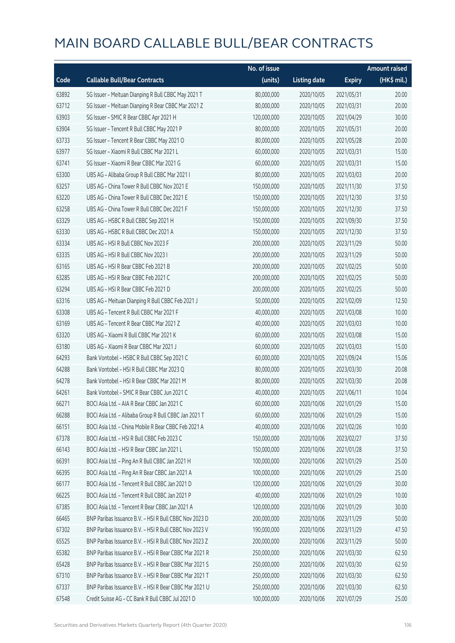|       |                                                        | No. of issue |                     |               | <b>Amount raised</b> |
|-------|--------------------------------------------------------|--------------|---------------------|---------------|----------------------|
| Code  | <b>Callable Bull/Bear Contracts</b>                    | (units)      | <b>Listing date</b> | <b>Expiry</b> | $(HK\$ mil.)         |
| 63892 | SG Issuer - Meituan Dianping R Bull CBBC May 2021 T    | 80,000,000   | 2020/10/05          | 2021/05/31    | 20.00                |
| 63712 | SG Issuer - Meituan Dianping R Bear CBBC Mar 2021 Z    | 80,000,000   | 2020/10/05          | 2021/03/31    | 20.00                |
| 63903 | SG Issuer - SMIC R Bear CBBC Apr 2021 H                | 120,000,000  | 2020/10/05          | 2021/04/29    | 30.00                |
| 63904 | SG Issuer - Tencent R Bull CBBC May 2021 P             | 80,000,000   | 2020/10/05          | 2021/05/31    | 20.00                |
| 63733 | SG Issuer - Tencent R Bear CBBC May 2021 O             | 80,000,000   | 2020/10/05          | 2021/05/28    | 20.00                |
| 63977 | SG Issuer - Xiaomi R Bull CBBC Mar 2021 L              | 60,000,000   | 2020/10/05          | 2021/03/31    | 15.00                |
| 63741 | SG Issuer - Xiaomi R Bear CBBC Mar 2021 G              | 60,000,000   | 2020/10/05          | 2021/03/31    | 15.00                |
| 63300 | UBS AG - Alibaba Group R Bull CBBC Mar 2021 I          | 80,000,000   | 2020/10/05          | 2021/03/03    | 20.00                |
| 63257 | UBS AG - China Tower R Bull CBBC Nov 2021 E            | 150,000,000  | 2020/10/05          | 2021/11/30    | 37.50                |
| 63220 | UBS AG - China Tower R Bull CBBC Dec 2021 E            | 150,000,000  | 2020/10/05          | 2021/12/30    | 37.50                |
| 63258 | UBS AG - China Tower R Bull CBBC Dec 2021 F            | 150,000,000  | 2020/10/05          | 2021/12/30    | 37.50                |
| 63329 | UBS AG - HSBC R Bull CBBC Sep 2021 H                   | 150,000,000  | 2020/10/05          | 2021/09/30    | 37.50                |
| 63330 | UBS AG - HSBC R Bull CBBC Dec 2021 A                   | 150,000,000  | 2020/10/05          | 2021/12/30    | 37.50                |
| 63334 | UBS AG - HSI R Bull CBBC Nov 2023 F                    | 200,000,000  | 2020/10/05          | 2023/11/29    | 50.00                |
| 63335 | UBS AG - HSI R Bull CBBC Nov 2023 I                    | 200,000,000  | 2020/10/05          | 2023/11/29    | 50.00                |
| 63165 | UBS AG - HSI R Bear CBBC Feb 2021 B                    | 200,000,000  | 2020/10/05          | 2021/02/25    | 50.00                |
| 63285 | UBS AG - HSI R Bear CBBC Feb 2021 C                    | 200,000,000  | 2020/10/05          | 2021/02/25    | 50.00                |
| 63294 | UBS AG - HSI R Bear CBBC Feb 2021 D                    | 200,000,000  | 2020/10/05          | 2021/02/25    | 50.00                |
| 63316 | UBS AG - Meituan Dianping R Bull CBBC Feb 2021 J       | 50,000,000   | 2020/10/05          | 2021/02/09    | 12.50                |
| 63308 | UBS AG - Tencent R Bull CBBC Mar 2021 F                | 40,000,000   | 2020/10/05          | 2021/03/08    | 10.00                |
| 63169 | UBS AG - Tencent R Bear CBBC Mar 2021 Z                | 40,000,000   | 2020/10/05          | 2021/03/03    | 10.00                |
| 63320 | UBS AG - Xiaomi R Bull CBBC Mar 2021 K                 | 60,000,000   | 2020/10/05          | 2021/03/08    | 15.00                |
| 63180 | UBS AG - Xiaomi R Bear CBBC Mar 2021 J                 | 60,000,000   | 2020/10/05          | 2021/03/03    | 15.00                |
| 64293 | Bank Vontobel - HSBC R Bull CBBC Sep 2021 C            | 60,000,000   | 2020/10/05          | 2021/09/24    | 15.06                |
| 64288 | Bank Vontobel - HSI R Bull CBBC Mar 2023 Q             | 80,000,000   | 2020/10/05          | 2023/03/30    | 20.08                |
| 64278 | Bank Vontobel - HSI R Bear CBBC Mar 2021 M             | 80,000,000   | 2020/10/05          | 2021/03/30    | 20.08                |
| 64261 | Bank Vontobel - SMIC R Bear CBBC Jun 2021 C            | 40,000,000   | 2020/10/05          | 2021/06/11    | 10.04                |
| 66271 | BOCI Asia Ltd. - AIA R Bear CBBC Jan 2021 C            | 60,000,000   | 2020/10/06          | 2021/01/29    | 15.00                |
| 66288 | BOCI Asia Ltd. - Alibaba Group R Bull CBBC Jan 2021 T  | 60,000,000   | 2020/10/06          | 2021/01/29    | 15.00                |
| 66151 | BOCI Asia Ltd. - China Mobile R Bear CBBC Feb 2021 A   | 40,000,000   | 2020/10/06          | 2021/02/26    | 10.00                |
| 67378 | BOCI Asia Ltd. - HSI R Bull CBBC Feb 2023 C            | 150,000,000  | 2020/10/06          | 2023/02/27    | 37.50                |
| 66143 | BOCI Asia Ltd. - HSI R Bear CBBC Jan 2021 L            | 150,000,000  | 2020/10/06          | 2021/01/28    | 37.50                |
| 66391 | BOCI Asia Ltd. - Ping An R Bull CBBC Jan 2021 H        | 100,000,000  | 2020/10/06          | 2021/01/29    | 25.00                |
| 66395 | BOCI Asia Ltd. - Ping An R Bear CBBC Jan 2021 A        | 100,000,000  | 2020/10/06          | 2021/01/29    | 25.00                |
| 66177 | BOCI Asia Ltd. - Tencent R Bull CBBC Jan 2021 D        | 120,000,000  | 2020/10/06          | 2021/01/29    | 30.00                |
| 66225 | BOCI Asia Ltd. - Tencent R Bull CBBC Jan 2021 P        | 40,000,000   | 2020/10/06          | 2021/01/29    | 10.00                |
| 67385 | BOCI Asia Ltd. - Tencent R Bear CBBC Jan 2021 A        | 120,000,000  | 2020/10/06          | 2021/01/29    | 30.00                |
| 66465 | BNP Paribas Issuance B.V. - HSI R Bull CBBC Nov 2023 D | 200,000,000  | 2020/10/06          | 2023/11/29    | 50.00                |
| 67302 | BNP Paribas Issuance B.V. - HSI R Bull CBBC Nov 2023 V | 190,000,000  | 2020/10/06          | 2023/11/29    | 47.50                |
| 65525 | BNP Paribas Issuance B.V. - HSI R Bull CBBC Nov 2023 Z | 200,000,000  | 2020/10/06          | 2023/11/29    | 50.00                |
| 65382 | BNP Paribas Issuance B.V. - HSI R Bear CBBC Mar 2021 R | 250,000,000  | 2020/10/06          | 2021/03/30    | 62.50                |
| 65428 | BNP Paribas Issuance B.V. - HSI R Bear CBBC Mar 2021 S | 250,000,000  | 2020/10/06          | 2021/03/30    | 62.50                |
| 67310 | BNP Paribas Issuance B.V. - HSI R Bear CBBC Mar 2021 T | 250,000,000  | 2020/10/06          | 2021/03/30    | 62.50                |
| 67337 | BNP Paribas Issuance B.V. - HSI R Bear CBBC Mar 2021 U | 250,000,000  | 2020/10/06          | 2021/03/30    | 62.50                |
| 67548 | Credit Suisse AG - CC Bank R Bull CBBC Jul 2021 D      | 100,000,000  | 2020/10/06          | 2021/07/29    | 25.00                |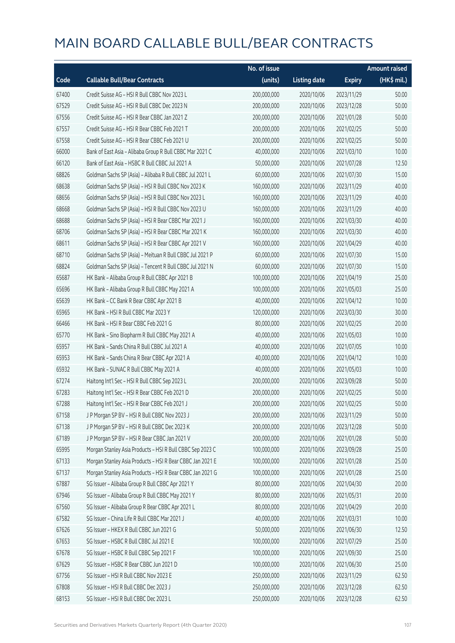|       |                                                           | No. of issue |                     |               | <b>Amount raised</b> |
|-------|-----------------------------------------------------------|--------------|---------------------|---------------|----------------------|
| Code  | <b>Callable Bull/Bear Contracts</b>                       | (units)      | <b>Listing date</b> | <b>Expiry</b> | (HK\$ mil.)          |
| 67400 | Credit Suisse AG - HSI R Bull CBBC Nov 2023 L             | 200,000,000  | 2020/10/06          | 2023/11/29    | 50.00                |
| 67529 | Credit Suisse AG - HSI R Bull CBBC Dec 2023 N             | 200,000,000  | 2020/10/06          | 2023/12/28    | 50.00                |
| 67556 | Credit Suisse AG - HSI R Bear CBBC Jan 2021 Z             | 200,000,000  | 2020/10/06          | 2021/01/28    | 50.00                |
| 67557 | Credit Suisse AG - HSI R Bear CBBC Feb 2021 T             | 200,000,000  | 2020/10/06          | 2021/02/25    | 50.00                |
| 67558 | Credit Suisse AG - HSI R Bear CBBC Feb 2021 U             | 200,000,000  | 2020/10/06          | 2021/02/25    | 50.00                |
| 66000 | Bank of East Asia - Alibaba Group R Bull CBBC Mar 2021 C  | 40,000,000   | 2020/10/06          | 2021/03/10    | 10.00                |
| 66120 | Bank of East Asia - HSBC R Bull CBBC Jul 2021 A           | 50,000,000   | 2020/10/06          | 2021/07/28    | 12.50                |
| 68826 | Goldman Sachs SP (Asia) - Alibaba R Bull CBBC Jul 2021 L  | 60,000,000   | 2020/10/06          | 2021/07/30    | 15.00                |
| 68638 | Goldman Sachs SP (Asia) - HSI R Bull CBBC Nov 2023 K      | 160,000,000  | 2020/10/06          | 2023/11/29    | 40.00                |
| 68656 | Goldman Sachs SP (Asia) - HSI R Bull CBBC Nov 2023 L      | 160,000,000  | 2020/10/06          | 2023/11/29    | 40.00                |
| 68668 | Goldman Sachs SP (Asia) - HSI R Bull CBBC Nov 2023 U      | 160,000,000  | 2020/10/06          | 2023/11/29    | 40.00                |
| 68688 | Goldman Sachs SP (Asia) - HSI R Bear CBBC Mar 2021 J      | 160,000,000  | 2020/10/06          | 2021/03/30    | 40.00                |
| 68706 | Goldman Sachs SP (Asia) - HSI R Bear CBBC Mar 2021 K      | 160,000,000  | 2020/10/06          | 2021/03/30    | 40.00                |
| 68611 | Goldman Sachs SP (Asia) - HSI R Bear CBBC Apr 2021 V      | 160,000,000  | 2020/10/06          | 2021/04/29    | 40.00                |
| 68710 | Goldman Sachs SP (Asia) - Meituan R Bull CBBC Jul 2021 P  | 60,000,000   | 2020/10/06          | 2021/07/30    | 15.00                |
| 68824 | Goldman Sachs SP (Asia) - Tencent R Bull CBBC Jul 2021 N  | 60,000,000   | 2020/10/06          | 2021/07/30    | 15.00                |
| 65687 | HK Bank - Alibaba Group R Bull CBBC Apr 2021 B            | 100,000,000  | 2020/10/06          | 2021/04/19    | 25.00                |
| 65696 | HK Bank - Alibaba Group R Bull CBBC May 2021 A            | 100,000,000  | 2020/10/06          | 2021/05/03    | 25.00                |
| 65639 | HK Bank - CC Bank R Bear CBBC Apr 2021 B                  | 40,000,000   | 2020/10/06          | 2021/04/12    | 10.00                |
| 65965 | HK Bank - HSI R Bull CBBC Mar 2023 Y                      | 120,000,000  | 2020/10/06          | 2023/03/30    | 30.00                |
| 66466 | HK Bank - HSI R Bear CBBC Feb 2021 G                      | 80,000,000   | 2020/10/06          | 2021/02/25    | 20.00                |
| 65770 | HK Bank - Sino Biopharm R Bull CBBC May 2021 A            | 40,000,000   | 2020/10/06          | 2021/05/03    | 10.00                |
| 65957 | HK Bank - Sands China R Bull CBBC Jul 2021 A              | 40,000,000   | 2020/10/06          | 2021/07/05    | 10.00                |
| 65953 | HK Bank - Sands China R Bear CBBC Apr 2021 A              | 40,000,000   | 2020/10/06          | 2021/04/12    | 10.00                |
| 65932 | HK Bank - SUNAC R Bull CBBC May 2021 A                    | 40,000,000   | 2020/10/06          | 2021/05/03    | 10.00                |
| 67274 | Haitong Int'l Sec - HSI R Bull CBBC Sep 2023 L            | 200,000,000  | 2020/10/06          | 2023/09/28    | 50.00                |
| 67283 | Haitong Int'l Sec - HSI R Bear CBBC Feb 2021 D            | 200,000,000  | 2020/10/06          | 2021/02/25    | 50.00                |
| 67288 | Haitong Int'l Sec - HSI R Bear CBBC Feb 2021 J            | 200,000,000  | 2020/10/06          | 2021/02/25    | 50.00                |
| 67158 | J P Morgan SP BV - HSI R Bull CBBC Nov 2023 J             | 200,000,000  | 2020/10/06          | 2023/11/29    | 50.00                |
| 67138 | J P Morgan SP BV - HSI R Bull CBBC Dec 2023 K             | 200,000,000  | 2020/10/06          | 2023/12/28    | 50.00                |
| 67189 | J P Morgan SP BV - HSI R Bear CBBC Jan 2021 V             | 200,000,000  | 2020/10/06          | 2021/01/28    | 50.00                |
| 65995 | Morgan Stanley Asia Products - HSI R Bull CBBC Sep 2023 C | 100,000,000  | 2020/10/06          | 2023/09/28    | 25.00                |
| 67133 | Morgan Stanley Asia Products - HSI R Bear CBBC Jan 2021 E | 100,000,000  | 2020/10/06          | 2021/01/28    | 25.00                |
| 67137 | Morgan Stanley Asia Products - HSI R Bear CBBC Jan 2021 G | 100,000,000  | 2020/10/06          | 2021/01/28    | 25.00                |
| 67887 | SG Issuer - Alibaba Group R Bull CBBC Apr 2021 Y          | 80,000,000   | 2020/10/06          | 2021/04/30    | 20.00                |
| 67946 | SG Issuer - Alibaba Group R Bull CBBC May 2021 Y          | 80,000,000   | 2020/10/06          | 2021/05/31    | 20.00                |
| 67560 | SG Issuer - Alibaba Group R Bear CBBC Apr 2021 L          | 80,000,000   | 2020/10/06          | 2021/04/29    | 20.00                |
| 67582 | SG Issuer - China Life R Bull CBBC Mar 2021 J             | 40,000,000   | 2020/10/06          | 2021/03/31    | 10.00                |
| 67626 | SG Issuer - HKEX R Bull CBBC Jun 2021 G                   | 50,000,000   | 2020/10/06          | 2021/06/30    | 12.50                |
| 67653 | SG Issuer - HSBC R Bull CBBC Jul 2021 E                   | 100,000,000  | 2020/10/06          | 2021/07/29    | 25.00                |
| 67678 | SG Issuer - HSBC R Bull CBBC Sep 2021 F                   | 100,000,000  | 2020/10/06          | 2021/09/30    | 25.00                |
| 67629 | SG Issuer - HSBC R Bear CBBC Jun 2021 D                   | 100,000,000  | 2020/10/06          | 2021/06/30    | 25.00                |
| 67756 | SG Issuer - HSI R Bull CBBC Nov 2023 E                    | 250,000,000  | 2020/10/06          | 2023/11/29    | 62.50                |
| 67808 | SG Issuer - HSI R Bull CBBC Dec 2023 J                    | 250,000,000  | 2020/10/06          | 2023/12/28    | 62.50                |
| 68153 | SG Issuer - HSI R Bull CBBC Dec 2023 L                    | 250,000,000  | 2020/10/06          | 2023/12/28    | 62.50                |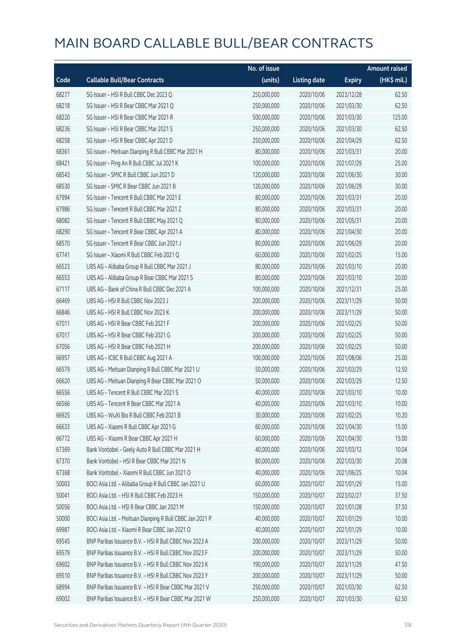|       |                                                          | No. of issue |                     |               | <b>Amount raised</b> |
|-------|----------------------------------------------------------|--------------|---------------------|---------------|----------------------|
| Code  | <b>Callable Bull/Bear Contracts</b>                      | (units)      | <b>Listing date</b> | <b>Expiry</b> | (HK\$ mil.)          |
| 68277 | SG Issuer - HSI R Bull CBBC Dec 2023 Q                   | 250,000,000  | 2020/10/06          | 2023/12/28    | 62.50                |
| 68218 | SG Issuer - HSI R Bear CBBC Mar 2021 Q                   | 250,000,000  | 2020/10/06          | 2021/03/30    | 62.50                |
| 68220 | SG Issuer - HSI R Bear CBBC Mar 2021 R                   | 500,000,000  | 2020/10/06          | 2021/03/30    | 125.00               |
| 68236 | SG Issuer - HSI R Bear CBBC Mar 2021 S                   | 250,000,000  | 2020/10/06          | 2021/03/30    | 62.50                |
| 68258 | SG Issuer - HSI R Bear CBBC Apr 2021 D                   | 250,000,000  | 2020/10/06          | 2021/04/29    | 62.50                |
| 68361 | SG Issuer - Meituan Dianping R Bull CBBC Mar 2021 H      | 80,000,000   | 2020/10/06          | 2021/03/31    | 20.00                |
| 68421 | SG Issuer - Ping An R Bull CBBC Jul 2021 K               | 100,000,000  | 2020/10/06          | 2021/07/29    | 25.00                |
| 68543 | SG Issuer - SMIC R Bull CBBC Jun 2021 D                  | 120,000,000  | 2020/10/06          | 2021/06/30    | 30.00                |
| 68530 | SG Issuer - SMIC R Bear CBBC Jun 2021 B                  | 120,000,000  | 2020/10/06          | 2021/06/29    | 30.00                |
| 67994 | SG Issuer - Tencent R Bull CBBC Mar 2021 E               | 80,000,000   | 2020/10/06          | 2021/03/31    | 20.00                |
| 67986 | SG Issuer - Tencent R Bull CBBC Mar 2021 Z               | 80,000,000   | 2020/10/06          | 2021/03/31    | 20.00                |
| 68082 | SG Issuer - Tencent R Bull CBBC May 2021 Q               | 80,000,000   | 2020/10/06          | 2021/05/31    | 20.00                |
| 68290 | SG Issuer - Tencent R Bear CBBC Apr 2021 A               | 80,000,000   | 2020/10/06          | 2021/04/30    | 20.00                |
| 68570 | SG Issuer - Tencent R Bear CBBC Jun 2021 J               | 80,000,000   | 2020/10/06          | 2021/06/29    | 20.00                |
| 67741 | SG Issuer - Xiaomi R Bull CBBC Feb 2021 Q                | 60,000,000   | 2020/10/06          | 2021/02/25    | 15.00                |
| 66523 | UBS AG - Alibaba Group R Bull CBBC Mar 2021 J            | 80,000,000   | 2020/10/06          | 2021/03/10    | 20.00                |
| 66553 | UBS AG - Alibaba Group R Bear CBBC Mar 2021 S            | 80,000,000   | 2020/10/06          | 2021/03/10    | 20.00                |
| 67117 | UBS AG - Bank of China R Bull CBBC Dec 2021 A            | 100,000,000  | 2020/10/06          | 2021/12/31    | 25.00                |
| 66469 | UBS AG - HSI R Bull CBBC Nov 2023 J                      | 200,000,000  | 2020/10/06          | 2023/11/29    | 50.00                |
| 66846 | UBS AG - HSI R Bull CBBC Nov 2023 K                      | 200,000,000  | 2020/10/06          | 2023/11/29    | 50.00                |
| 67011 | UBS AG - HSI R Bear CBBC Feb 2021 F                      | 200,000,000  | 2020/10/06          | 2021/02/25    | 50.00                |
| 67017 | UBS AG - HSI R Bear CBBC Feb 2021 G                      | 200,000,000  | 2020/10/06          | 2021/02/25    | 50.00                |
| 67056 | UBS AG - HSI R Bear CBBC Feb 2021 H                      | 200,000,000  | 2020/10/06          | 2021/02/25    | 50.00                |
| 66957 | UBS AG - ICBC R Bull CBBC Aug 2021 A                     | 100,000,000  | 2020/10/06          | 2021/08/06    | 25.00                |
| 66579 | UBS AG - Meituan Dianping R Bull CBBC Mar 2021 U         | 50,000,000   | 2020/10/06          | 2021/03/29    | 12.50                |
| 66620 | UBS AG - Meituan Dianping R Bear CBBC Mar 2021 O         | 50,000,000   | 2020/10/06          | 2021/03/29    | 12.50                |
| 66556 | UBS AG - Tencent R Bull CBBC Mar 2021 S                  | 40,000,000   | 2020/10/06          | 2021/03/10    | 10.00                |
| 66566 | UBS AG - Tencent R Bear CBBC Mar 2021 A                  | 40,000,000   | 2020/10/06          | 2021/03/10    | 10.00                |
| 66925 | UBS AG - WuXi Bio R Bull CBBC Feb 2021 B                 | 30,000,000   | 2020/10/06          | 2021/02/25    | 10.20                |
| 66633 | UBS AG - Xiaomi R Bull CBBC Apr 2021 G                   | 60,000,000   | 2020/10/06          | 2021/04/30    | 15.00                |
| 66772 | UBS AG - Xiaomi R Bear CBBC Apr 2021 H                   | 60,000,000   | 2020/10/06          | 2021/04/30    | 15.00                |
| 67369 | Bank Vontobel - Geely Auto R Bull CBBC Mar 2021 H        | 40,000,000   | 2020/10/06          | 2021/03/12    | 10.04                |
| 67370 | Bank Vontobel - HSI R Bear CBBC Mar 2021 N               | 80,000,000   | 2020/10/06          | 2021/03/30    | 20.08                |
| 67368 | Bank Vontobel - Xiaomi R Bull CBBC Jun 2021 O            | 40,000,000   | 2020/10/06          | 2021/06/25    | 10.04                |
| 50003 | BOCI Asia Ltd. - Alibaba Group R Bull CBBC Jan 2021 U    | 60,000,000   | 2020/10/07          | 2021/01/29    | 15.00                |
| 50041 | BOCI Asia Ltd. - HSI R Bull CBBC Feb 2023 H              | 150,000,000  | 2020/10/07          | 2023/02/27    | 37.50                |
| 50056 | BOCI Asia Ltd. - HSI R Bear CBBC Jan 2021 M              | 150,000,000  | 2020/10/07          | 2021/01/28    | 37.50                |
| 50000 | BOCI Asia Ltd. - Meituan Dianping R Bull CBBC Jan 2021 P | 40,000,000   | 2020/10/07          | 2021/01/29    | 10.00                |
| 69987 | BOCI Asia Ltd. - Xiaomi R Bear CBBC Jan 2021 O           | 40,000,000   | 2020/10/07          | 2021/01/29    | 10.00                |
| 69545 | BNP Paribas Issuance B.V. - HSI R Bull CBBC Nov 2023 A   | 200,000,000  | 2020/10/07          | 2023/11/29    | 50.00                |
| 69579 | BNP Paribas Issuance B.V. - HSI R Bull CBBC Nov 2023 F   | 200,000,000  | 2020/10/07          | 2023/11/29    | 50.00                |
| 69602 | BNP Paribas Issuance B.V. - HSI R Bull CBBC Nov 2023 K   | 190,000,000  | 2020/10/07          | 2023/11/29    | 47.50                |
| 69510 | BNP Paribas Issuance B.V. - HSI R Bull CBBC Nov 2023 Y   | 200,000,000  | 2020/10/07          | 2023/11/29    | 50.00                |
| 68994 | BNP Paribas Issuance B.V. - HSI R Bear CBBC Mar 2021 V   | 250,000,000  | 2020/10/07          | 2021/03/30    | 62.50                |
| 69002 | BNP Paribas Issuance B.V. - HSI R Bear CBBC Mar 2021 W   | 250,000,000  | 2020/10/07          | 2021/03/30    | 62.50                |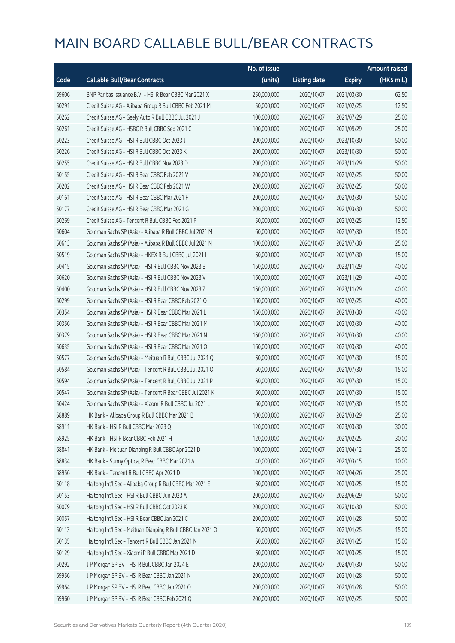|       |                                                             | No. of issue |                     |               | <b>Amount raised</b> |
|-------|-------------------------------------------------------------|--------------|---------------------|---------------|----------------------|
| Code  | <b>Callable Bull/Bear Contracts</b>                         | (units)      | <b>Listing date</b> | <b>Expiry</b> | (HK\$ mil.)          |
| 69606 | BNP Paribas Issuance B.V. - HSI R Bear CBBC Mar 2021 X      | 250,000,000  | 2020/10/07          | 2021/03/30    | 62.50                |
| 50291 | Credit Suisse AG - Alibaba Group R Bull CBBC Feb 2021 M     | 50,000,000   | 2020/10/07          | 2021/02/25    | 12.50                |
| 50262 | Credit Suisse AG - Geely Auto R Bull CBBC Jul 2021 J        | 100,000,000  | 2020/10/07          | 2021/07/29    | 25.00                |
| 50261 | Credit Suisse AG - HSBC R Bull CBBC Sep 2021 C              | 100,000,000  | 2020/10/07          | 2021/09/29    | 25.00                |
| 50223 | Credit Suisse AG - HSI R Bull CBBC Oct 2023 J               | 200,000,000  | 2020/10/07          | 2023/10/30    | 50.00                |
| 50226 | Credit Suisse AG - HSI R Bull CBBC Oct 2023 K               | 200,000,000  | 2020/10/07          | 2023/10/30    | 50.00                |
| 50255 | Credit Suisse AG - HSI R Bull CBBC Nov 2023 D               | 200,000,000  | 2020/10/07          | 2023/11/29    | 50.00                |
| 50155 | Credit Suisse AG - HSI R Bear CBBC Feb 2021 V               | 200,000,000  | 2020/10/07          | 2021/02/25    | 50.00                |
| 50202 | Credit Suisse AG - HSI R Bear CBBC Feb 2021 W               | 200,000,000  | 2020/10/07          | 2021/02/25    | 50.00                |
| 50161 | Credit Suisse AG - HSI R Bear CBBC Mar 2021 F               | 200,000,000  | 2020/10/07          | 2021/03/30    | 50.00                |
| 50177 | Credit Suisse AG - HSI R Bear CBBC Mar 2021 G               | 200,000,000  | 2020/10/07          | 2021/03/30    | 50.00                |
| 50269 | Credit Suisse AG - Tencent R Bull CBBC Feb 2021 P           | 50,000,000   | 2020/10/07          | 2021/02/25    | 12.50                |
| 50604 | Goldman Sachs SP (Asia) - Alibaba R Bull CBBC Jul 2021 M    | 60,000,000   | 2020/10/07          | 2021/07/30    | 15.00                |
| 50613 | Goldman Sachs SP (Asia) - Alibaba R Bull CBBC Jul 2021 N    | 100,000,000  | 2020/10/07          | 2021/07/30    | 25.00                |
| 50519 | Goldman Sachs SP (Asia) - HKEX R Bull CBBC Jul 2021 I       | 60,000,000   | 2020/10/07          | 2021/07/30    | 15.00                |
| 50415 | Goldman Sachs SP (Asia) - HSI R Bull CBBC Nov 2023 B        | 160,000,000  | 2020/10/07          | 2023/11/29    | 40.00                |
| 50620 | Goldman Sachs SP (Asia) - HSI R Bull CBBC Nov 2023 V        | 160,000,000  | 2020/10/07          | 2023/11/29    | 40.00                |
| 50400 | Goldman Sachs SP (Asia) - HSI R Bull CBBC Nov 2023 Z        | 160,000,000  | 2020/10/07          | 2023/11/29    | 40.00                |
| 50299 | Goldman Sachs SP (Asia) - HSI R Bear CBBC Feb 2021 O        | 160,000,000  | 2020/10/07          | 2021/02/25    | 40.00                |
| 50354 | Goldman Sachs SP (Asia) - HSI R Bear CBBC Mar 2021 L        | 160,000,000  | 2020/10/07          | 2021/03/30    | 40.00                |
| 50356 | Goldman Sachs SP (Asia) - HSI R Bear CBBC Mar 2021 M        | 160,000,000  | 2020/10/07          | 2021/03/30    | 40.00                |
| 50379 | Goldman Sachs SP (Asia) - HSI R Bear CBBC Mar 2021 N        | 160,000,000  | 2020/10/07          | 2021/03/30    | 40.00                |
| 50635 | Goldman Sachs SP (Asia) - HSI R Bear CBBC Mar 2021 O        | 160,000,000  | 2020/10/07          | 2021/03/30    | 40.00                |
| 50577 | Goldman Sachs SP (Asia) - Meituan R Bull CBBC Jul 2021 Q    | 60,000,000   | 2020/10/07          | 2021/07/30    | 15.00                |
| 50584 | Goldman Sachs SP (Asia) - Tencent R Bull CBBC Jul 2021 O    | 60,000,000   | 2020/10/07          | 2021/07/30    | 15.00                |
| 50594 | Goldman Sachs SP (Asia) - Tencent R Bull CBBC Jul 2021 P    | 60,000,000   | 2020/10/07          | 2021/07/30    | 15.00                |
| 50547 | Goldman Sachs SP (Asia) - Tencent R Bear CBBC Jul 2021 K    | 60,000,000   | 2020/10/07          | 2021/07/30    | 15.00                |
| 50424 | Goldman Sachs SP (Asia) - Xiaomi R Bull CBBC Jul 2021 L     | 60,000,000   | 2020/10/07          | 2021/07/30    | 15.00                |
| 68889 | HK Bank - Alibaba Group R Bull CBBC Mar 2021 B              | 100,000,000  | 2020/10/07          | 2021/03/29    | 25.00                |
| 68911 | HK Bank - HSI R Bull CBBC Mar 2023 Q                        | 120,000,000  | 2020/10/07          | 2023/03/30    | 30.00                |
| 68925 | HK Bank - HSI R Bear CBBC Feb 2021 H                        | 120,000,000  | 2020/10/07          | 2021/02/25    | 30.00                |
| 68841 | HK Bank - Meituan Dianping R Bull CBBC Apr 2021 D           | 100,000,000  | 2020/10/07          | 2021/04/12    | 25.00                |
| 68834 | HK Bank - Sunny Optical R Bear CBBC Mar 2021 A              | 40,000,000   | 2020/10/07          | 2021/03/15    | 10.00                |
| 68956 | HK Bank - Tencent R Bull CBBC Apr 2021 D                    | 100,000,000  | 2020/10/07          | 2021/04/26    | 25.00                |
| 50118 | Haitong Int'l Sec - Alibaba Group R Bull CBBC Mar 2021 E    | 60,000,000   | 2020/10/07          | 2021/03/25    | 15.00                |
| 50153 | Haitong Int'l Sec - HSI R Bull CBBC Jun 2023 A              | 200,000,000  | 2020/10/07          | 2023/06/29    | 50.00                |
| 50079 | Haitong Int'l Sec - HSI R Bull CBBC Oct 2023 K              | 200,000,000  | 2020/10/07          | 2023/10/30    | 50.00                |
| 50057 | Haitong Int'l Sec - HSI R Bear CBBC Jan 2021 C              | 200,000,000  | 2020/10/07          | 2021/01/28    | 50.00                |
| 50113 | Haitong Int'l Sec - Meituan Dianping R Bull CBBC Jan 2021 O | 60,000,000   | 2020/10/07          | 2021/01/25    | 15.00                |
| 50135 | Haitong Int'l Sec - Tencent R Bull CBBC Jan 2021 N          | 60,000,000   | 2020/10/07          | 2021/01/25    | 15.00                |
| 50129 | Haitong Int'l Sec - Xiaomi R Bull CBBC Mar 2021 D           | 60,000,000   | 2020/10/07          | 2021/03/25    | 15.00                |
| 50292 | J P Morgan SP BV - HSI R Bull CBBC Jan 2024 E               | 200,000,000  | 2020/10/07          | 2024/01/30    | 50.00                |
| 69956 | J P Morgan SP BV - HSI R Bear CBBC Jan 2021 N               | 200,000,000  | 2020/10/07          | 2021/01/28    | 50.00                |
| 69964 | J P Morgan SP BV - HSI R Bear CBBC Jan 2021 Q               | 200,000,000  | 2020/10/07          | 2021/01/28    | 50.00                |
| 69960 | J P Morgan SP BV - HSI R Bear CBBC Feb 2021 Q               | 200,000,000  | 2020/10/07          | 2021/02/25    | 50.00                |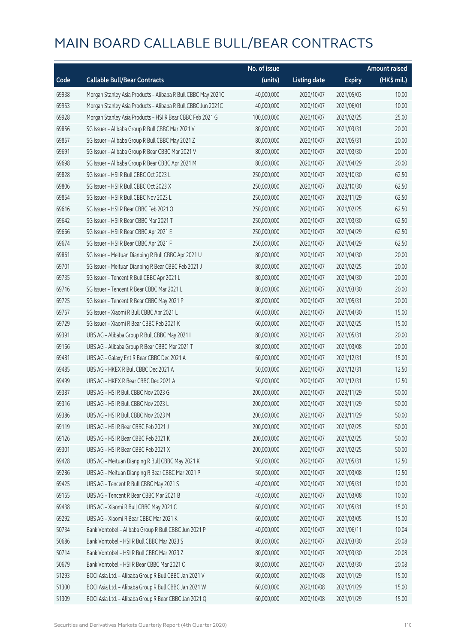|       |                                                              | No. of issue |                     |               | <b>Amount raised</b>  |
|-------|--------------------------------------------------------------|--------------|---------------------|---------------|-----------------------|
| Code  | <b>Callable Bull/Bear Contracts</b>                          | (units)      | <b>Listing date</b> | <b>Expiry</b> | $(HK\frac{1}{2}mil.)$ |
| 69938 | Morgan Stanley Asia Products - Alibaba R Bull CBBC May 2021C | 40,000,000   | 2020/10/07          | 2021/05/03    | 10.00                 |
| 69953 | Morgan Stanley Asia Products - Alibaba R Bull CBBC Jun 2021C | 40,000,000   | 2020/10/07          | 2021/06/01    | 10.00                 |
| 69928 | Morgan Stanley Asia Products - HSI R Bear CBBC Feb 2021 G    | 100,000,000  | 2020/10/07          | 2021/02/25    | 25.00                 |
| 69856 | SG Issuer - Alibaba Group R Bull CBBC Mar 2021 V             | 80,000,000   | 2020/10/07          | 2021/03/31    | 20.00                 |
| 69857 | SG Issuer - Alibaba Group R Bull CBBC May 2021 Z             | 80,000,000   | 2020/10/07          | 2021/05/31    | 20.00                 |
| 69691 | SG Issuer - Alibaba Group R Bear CBBC Mar 2021 V             | 80,000,000   | 2020/10/07          | 2021/03/30    | 20.00                 |
| 69698 | SG Issuer - Alibaba Group R Bear CBBC Apr 2021 M             | 80,000,000   | 2020/10/07          | 2021/04/29    | 20.00                 |
| 69828 | SG Issuer - HSI R Bull CBBC Oct 2023 L                       | 250,000,000  | 2020/10/07          | 2023/10/30    | 62.50                 |
| 69806 | SG Issuer - HSI R Bull CBBC Oct 2023 X                       | 250,000,000  | 2020/10/07          | 2023/10/30    | 62.50                 |
| 69854 | SG Issuer - HSI R Bull CBBC Nov 2023 L                       | 250,000,000  | 2020/10/07          | 2023/11/29    | 62.50                 |
| 69616 | SG Issuer - HSI R Bear CBBC Feb 2021 O                       | 250,000,000  | 2020/10/07          | 2021/02/25    | 62.50                 |
| 69642 | SG Issuer - HSI R Bear CBBC Mar 2021 T                       | 250,000,000  | 2020/10/07          | 2021/03/30    | 62.50                 |
| 69666 | SG Issuer - HSI R Bear CBBC Apr 2021 E                       | 250,000,000  | 2020/10/07          | 2021/04/29    | 62.50                 |
| 69674 | SG Issuer - HSI R Bear CBBC Apr 2021 F                       | 250,000,000  | 2020/10/07          | 2021/04/29    | 62.50                 |
| 69861 | SG Issuer - Meituan Dianping R Bull CBBC Apr 2021 U          | 80,000,000   | 2020/10/07          | 2021/04/30    | 20.00                 |
| 69701 | SG Issuer - Meituan Dianping R Bear CBBC Feb 2021 J          | 80,000,000   | 2020/10/07          | 2021/02/25    | 20.00                 |
| 69735 | SG Issuer - Tencent R Bull CBBC Apr 2021 L                   | 80,000,000   | 2020/10/07          | 2021/04/30    | 20.00                 |
| 69716 | SG Issuer - Tencent R Bear CBBC Mar 2021 L                   | 80,000,000   | 2020/10/07          | 2021/03/30    | 20.00                 |
| 69725 | SG Issuer - Tencent R Bear CBBC May 2021 P                   | 80,000,000   | 2020/10/07          | 2021/05/31    | 20.00                 |
| 69767 | SG Issuer - Xiaomi R Bull CBBC Apr 2021 L                    | 60,000,000   | 2020/10/07          | 2021/04/30    | 15.00                 |
| 69729 | SG Issuer - Xiaomi R Bear CBBC Feb 2021 K                    | 60,000,000   | 2020/10/07          | 2021/02/25    | 15.00                 |
| 69391 | UBS AG - Alibaba Group R Bull CBBC May 2021 I                | 80,000,000   | 2020/10/07          | 2021/05/31    | 20.00                 |
| 69166 | UBS AG - Alibaba Group R Bear CBBC Mar 2021 T                | 80,000,000   | 2020/10/07          | 2021/03/08    | 20.00                 |
| 69481 | UBS AG - Galaxy Ent R Bear CBBC Dec 2021 A                   | 60,000,000   | 2020/10/07          | 2021/12/31    | 15.00                 |
| 69485 | UBS AG - HKEX R Bull CBBC Dec 2021 A                         | 50,000,000   | 2020/10/07          | 2021/12/31    | 12.50                 |
| 69499 | UBS AG - HKEX R Bear CBBC Dec 2021 A                         | 50,000,000   | 2020/10/07          | 2021/12/31    | 12.50                 |
| 69387 | UBS AG - HSI R Bull CBBC Nov 2023 G                          | 200,000,000  | 2020/10/07          | 2023/11/29    | 50.00                 |
| 69316 | UBS AG - HSI R Bull CBBC Nov 2023 L                          | 200,000,000  | 2020/10/07          | 2023/11/29    | 50.00                 |
| 69386 | UBS AG - HSI R Bull CBBC Nov 2023 M                          | 200,000,000  | 2020/10/07          | 2023/11/29    | 50.00                 |
| 69119 | UBS AG - HSI R Bear CBBC Feb 2021 J                          | 200,000,000  | 2020/10/07          | 2021/02/25    | 50.00                 |
| 69126 | UBS AG - HSI R Bear CBBC Feb 2021 K                          | 200,000,000  | 2020/10/07          | 2021/02/25    | 50.00                 |
| 69301 | UBS AG - HSI R Bear CBBC Feb 2021 X                          | 200,000,000  | 2020/10/07          | 2021/02/25    | 50.00                 |
| 69428 | UBS AG - Meituan Dianping R Bull CBBC May 2021 K             | 50,000,000   | 2020/10/07          | 2021/05/31    | 12.50                 |
| 69286 | UBS AG - Meituan Dianping R Bear CBBC Mar 2021 P             | 50,000,000   | 2020/10/07          | 2021/03/08    | 12.50                 |
| 69425 | UBS AG - Tencent R Bull CBBC May 2021 S                      | 40,000,000   | 2020/10/07          | 2021/05/31    | 10.00                 |
| 69165 | UBS AG - Tencent R Bear CBBC Mar 2021 B                      | 40,000,000   | 2020/10/07          | 2021/03/08    | 10.00                 |
| 69438 | UBS AG - Xiaomi R Bull CBBC May 2021 C                       | 60,000,000   | 2020/10/07          | 2021/05/31    | 15.00                 |
| 69292 | UBS AG - Xiaomi R Bear CBBC Mar 2021 K                       | 60,000,000   | 2020/10/07          | 2021/03/05    | 15.00                 |
| 50734 | Bank Vontobel - Alibaba Group R Bull CBBC Jun 2021 P         | 40,000,000   | 2020/10/07          | 2021/06/11    | 10.04                 |
| 50686 | Bank Vontobel - HSI R Bull CBBC Mar 2023 S                   | 80,000,000   | 2020/10/07          | 2023/03/30    | 20.08                 |
| 50714 | Bank Vontobel - HSI R Bull CBBC Mar 2023 Z                   | 80,000,000   | 2020/10/07          | 2023/03/30    | 20.08                 |
| 50679 | Bank Vontobel - HSI R Bear CBBC Mar 2021 O                   | 80,000,000   | 2020/10/07          | 2021/03/30    | 20.08                 |
| 51293 | BOCI Asia Ltd. - Alibaba Group R Bull CBBC Jan 2021 V        | 60,000,000   | 2020/10/08          | 2021/01/29    | 15.00                 |
| 51300 | BOCI Asia Ltd. - Alibaba Group R Bull CBBC Jan 2021 W        | 60,000,000   | 2020/10/08          | 2021/01/29    | 15.00                 |
| 51309 | BOCI Asia Ltd. - Alibaba Group R Bear CBBC Jan 2021 Q        | 60,000,000   | 2020/10/08          | 2021/01/29    | 15.00                 |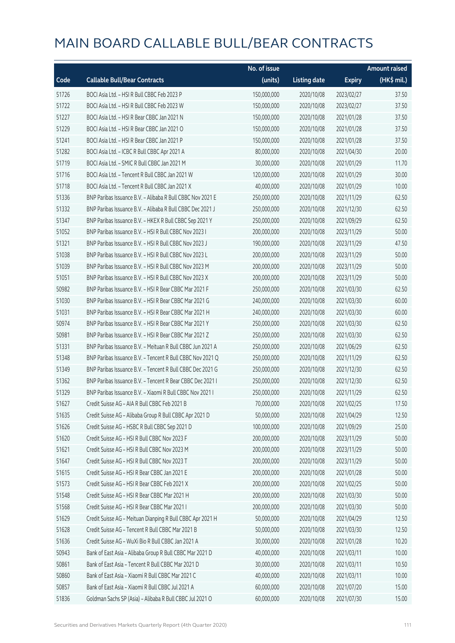|       |                                                            | No. of issue |                     |               | <b>Amount raised</b> |
|-------|------------------------------------------------------------|--------------|---------------------|---------------|----------------------|
| Code  | <b>Callable Bull/Bear Contracts</b>                        | (units)      | <b>Listing date</b> | <b>Expiry</b> | (HK\$ mil.)          |
| 51726 | BOCI Asia Ltd. - HSI R Bull CBBC Feb 2023 P                | 150,000,000  | 2020/10/08          | 2023/02/27    | 37.50                |
| 51722 | BOCI Asia Ltd. - HSI R Bull CBBC Feb 2023 W                | 150,000,000  | 2020/10/08          | 2023/02/27    | 37.50                |
| 51227 | BOCI Asia Ltd. - HSI R Bear CBBC Jan 2021 N                | 150,000,000  | 2020/10/08          | 2021/01/28    | 37.50                |
| 51229 | BOCI Asia Ltd. - HSI R Bear CBBC Jan 2021 O                | 150,000,000  | 2020/10/08          | 2021/01/28    | 37.50                |
| 51241 | BOCI Asia Ltd. - HSI R Bear CBBC Jan 2021 P                | 150,000,000  | 2020/10/08          | 2021/01/28    | 37.50                |
| 51282 | BOCI Asia Ltd. - ICBC R Bull CBBC Apr 2021 A               | 80,000,000   | 2020/10/08          | 2021/04/30    | 20.00                |
| 51719 | BOCI Asia Ltd. - SMIC R Bull CBBC Jan 2021 M               | 30,000,000   | 2020/10/08          | 2021/01/29    | 11.70                |
| 51716 | BOCI Asia Ltd. - Tencent R Bull CBBC Jan 2021 W            | 120,000,000  | 2020/10/08          | 2021/01/29    | 30.00                |
| 51718 | BOCI Asia Ltd. - Tencent R Bull CBBC Jan 2021 X            | 40,000,000   | 2020/10/08          | 2021/01/29    | 10.00                |
| 51336 | BNP Paribas Issuance B.V. - Alibaba R Bull CBBC Nov 2021 E | 250,000,000  | 2020/10/08          | 2021/11/29    | 62.50                |
| 51332 | BNP Paribas Issuance B.V. - Alibaba R Bull CBBC Dec 2021 J | 250,000,000  | 2020/10/08          | 2021/12/30    | 62.50                |
| 51347 | BNP Paribas Issuance B.V. - HKEX R Bull CBBC Sep 2021 Y    | 250,000,000  | 2020/10/08          | 2021/09/29    | 62.50                |
| 51052 | BNP Paribas Issuance B.V. - HSI R Bull CBBC Nov 2023 I     | 200,000,000  | 2020/10/08          | 2023/11/29    | 50.00                |
| 51321 | BNP Paribas Issuance B.V. - HSI R Bull CBBC Nov 2023 J     | 190,000,000  | 2020/10/08          | 2023/11/29    | 47.50                |
| 51038 | BNP Paribas Issuance B.V. - HSI R Bull CBBC Nov 2023 L     | 200,000,000  | 2020/10/08          | 2023/11/29    | 50.00                |
| 51039 | BNP Paribas Issuance B.V. - HSI R Bull CBBC Nov 2023 M     | 200,000,000  | 2020/10/08          | 2023/11/29    | 50.00                |
| 51051 | BNP Paribas Issuance B.V. - HSI R Bull CBBC Nov 2023 X     | 200,000,000  | 2020/10/08          | 2023/11/29    | 50.00                |
| 50982 | BNP Paribas Issuance B.V. - HSI R Bear CBBC Mar 2021 F     | 250,000,000  | 2020/10/08          | 2021/03/30    | 62.50                |
| 51030 | BNP Paribas Issuance B.V. - HSI R Bear CBBC Mar 2021 G     | 240,000,000  | 2020/10/08          | 2021/03/30    | 60.00                |
| 51031 | BNP Paribas Issuance B.V. - HSI R Bear CBBC Mar 2021 H     | 240,000,000  | 2020/10/08          | 2021/03/30    | 60.00                |
| 50974 | BNP Paribas Issuance B.V. - HSI R Bear CBBC Mar 2021 Y     | 250,000,000  | 2020/10/08          | 2021/03/30    | 62.50                |
| 50981 | BNP Paribas Issuance B.V. - HSI R Bear CBBC Mar 2021 Z     | 250,000,000  | 2020/10/08          | 2021/03/30    | 62.50                |
| 51331 | BNP Paribas Issuance B.V. - Meituan R Bull CBBC Jun 2021 A | 250,000,000  | 2020/10/08          | 2021/06/29    | 62.50                |
| 51348 | BNP Paribas Issuance B.V. - Tencent R Bull CBBC Nov 2021 O | 250,000,000  | 2020/10/08          | 2021/11/29    | 62.50                |
| 51349 | BNP Paribas Issuance B.V. - Tencent R Bull CBBC Dec 2021 G | 250,000,000  | 2020/10/08          | 2021/12/30    | 62.50                |
| 51362 | BNP Paribas Issuance B.V. - Tencent R Bear CBBC Dec 2021 I | 250,000,000  | 2020/10/08          | 2021/12/30    | 62.50                |
| 51329 | BNP Paribas Issuance B.V. - Xiaomi R Bull CBBC Nov 2021 I  | 250,000,000  | 2020/10/08          | 2021/11/29    | 62.50                |
| 51627 | Credit Suisse AG - AIA R Bull CBBC Feb 2021 B              | 70,000,000   | 2020/10/08          | 2021/02/25    | 17.50                |
| 51635 | Credit Suisse AG - Alibaba Group R Bull CBBC Apr 2021 D    | 50,000,000   | 2020/10/08          | 2021/04/29    | 12.50                |
| 51626 | Credit Suisse AG - HSBC R Bull CBBC Sep 2021 D             | 100,000,000  | 2020/10/08          | 2021/09/29    | 25.00                |
| 51620 | Credit Suisse AG - HSI R Bull CBBC Nov 2023 F              | 200,000,000  | 2020/10/08          | 2023/11/29    | 50.00                |
| 51621 | Credit Suisse AG - HSI R Bull CBBC Nov 2023 M              | 200,000,000  | 2020/10/08          | 2023/11/29    | 50.00                |
| 51647 | Credit Suisse AG - HSI R Bull CBBC Nov 2023 T              | 200,000,000  | 2020/10/08          | 2023/11/29    | 50.00                |
| 51615 | Credit Suisse AG - HSI R Bear CBBC Jan 2021 E              | 200,000,000  | 2020/10/08          | 2021/01/28    | 50.00                |
| 51573 | Credit Suisse AG - HSI R Bear CBBC Feb 2021 X              | 200,000,000  | 2020/10/08          | 2021/02/25    | 50.00                |
| 51548 | Credit Suisse AG - HSI R Bear CBBC Mar 2021 H              | 200,000,000  | 2020/10/08          | 2021/03/30    | 50.00                |
| 51568 | Credit Suisse AG - HSI R Bear CBBC Mar 2021 I              | 200,000,000  | 2020/10/08          | 2021/03/30    | 50.00                |
| 51629 | Credit Suisse AG - Meituan Dianping R Bull CBBC Apr 2021 H | 50,000,000   | 2020/10/08          | 2021/04/29    | 12.50                |
| 51628 | Credit Suisse AG - Tencent R Bull CBBC Mar 2021 B          | 50,000,000   | 2020/10/08          | 2021/03/30    | 12.50                |
| 51636 | Credit Suisse AG - WuXi Bio R Bull CBBC Jan 2021 A         | 30,000,000   | 2020/10/08          | 2021/01/28    | 10.20                |
| 50943 | Bank of East Asia - Alibaba Group R Bull CBBC Mar 2021 D   | 40,000,000   | 2020/10/08          | 2021/03/11    | 10.00                |
| 50861 | Bank of East Asia - Tencent R Bull CBBC Mar 2021 D         | 30,000,000   | 2020/10/08          | 2021/03/11    | 10.50                |
| 50860 | Bank of East Asia - Xiaomi R Bull CBBC Mar 2021 C          | 40,000,000   | 2020/10/08          | 2021/03/11    | 10.00                |
| 50857 | Bank of East Asia - Xiaomi R Bull CBBC Jul 2021 A          | 60,000,000   | 2020/10/08          | 2021/07/20    | 15.00                |
| 51836 | Goldman Sachs SP (Asia) - Alibaba R Bull CBBC Jul 2021 O   | 60,000,000   | 2020/10/08          | 2021/07/30    | 15.00                |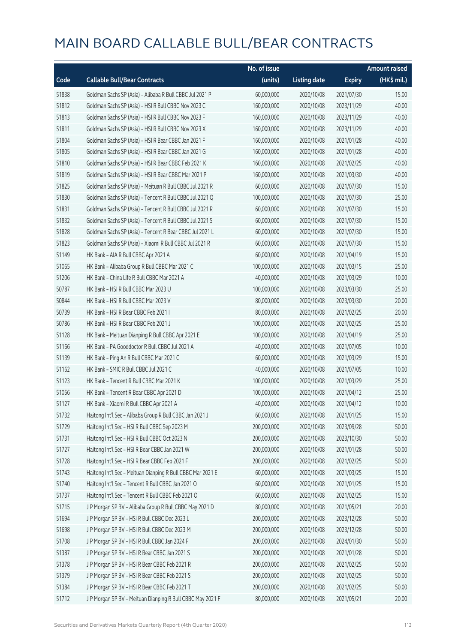|       |                                                             | No. of issue |                     |               | <b>Amount raised</b> |
|-------|-------------------------------------------------------------|--------------|---------------------|---------------|----------------------|
| Code  | <b>Callable Bull/Bear Contracts</b>                         | (units)      | <b>Listing date</b> | <b>Expiry</b> | (HK\$ mil.)          |
| 51838 | Goldman Sachs SP (Asia) - Alibaba R Bull CBBC Jul 2021 P    | 60,000,000   | 2020/10/08          | 2021/07/30    | 15.00                |
| 51812 | Goldman Sachs SP (Asia) - HSI R Bull CBBC Nov 2023 C        | 160,000,000  | 2020/10/08          | 2023/11/29    | 40.00                |
| 51813 | Goldman Sachs SP (Asia) - HSI R Bull CBBC Nov 2023 F        | 160,000,000  | 2020/10/08          | 2023/11/29    | 40.00                |
| 51811 | Goldman Sachs SP (Asia) - HSI R Bull CBBC Nov 2023 X        | 160,000,000  | 2020/10/08          | 2023/11/29    | 40.00                |
| 51804 | Goldman Sachs SP (Asia) - HSI R Bear CBBC Jan 2021 F        | 160,000,000  | 2020/10/08          | 2021/01/28    | 40.00                |
| 51805 | Goldman Sachs SP (Asia) - HSI R Bear CBBC Jan 2021 G        | 160,000,000  | 2020/10/08          | 2021/01/28    | 40.00                |
| 51810 | Goldman Sachs SP (Asia) - HSI R Bear CBBC Feb 2021 K        | 160,000,000  | 2020/10/08          | 2021/02/25    | 40.00                |
| 51819 | Goldman Sachs SP (Asia) - HSI R Bear CBBC Mar 2021 P        | 160,000,000  | 2020/10/08          | 2021/03/30    | 40.00                |
| 51825 | Goldman Sachs SP (Asia) - Meituan R Bull CBBC Jul 2021 R    | 60,000,000   | 2020/10/08          | 2021/07/30    | 15.00                |
| 51830 | Goldman Sachs SP (Asia) - Tencent R Bull CBBC Jul 2021 Q    | 100,000,000  | 2020/10/08          | 2021/07/30    | 25.00                |
| 51831 | Goldman Sachs SP (Asia) - Tencent R Bull CBBC Jul 2021 R    | 60,000,000   | 2020/10/08          | 2021/07/30    | 15.00                |
| 51832 | Goldman Sachs SP (Asia) - Tencent R Bull CBBC Jul 2021 S    | 60,000,000   | 2020/10/08          | 2021/07/30    | 15.00                |
| 51828 | Goldman Sachs SP (Asia) - Tencent R Bear CBBC Jul 2021 L    | 60,000,000   | 2020/10/08          | 2021/07/30    | 15.00                |
| 51823 | Goldman Sachs SP (Asia) - Xiaomi R Bull CBBC Jul 2021 R     | 60,000,000   | 2020/10/08          | 2021/07/30    | 15.00                |
| 51149 | HK Bank - AIA R Bull CBBC Apr 2021 A                        | 60,000,000   | 2020/10/08          | 2021/04/19    | 15.00                |
| 51065 | HK Bank - Alibaba Group R Bull CBBC Mar 2021 C              | 100,000,000  | 2020/10/08          | 2021/03/15    | 25.00                |
| 51206 | HK Bank - China Life R Bull CBBC Mar 2021 A                 | 40,000,000   | 2020/10/08          | 2021/03/29    | 10.00                |
| 50787 | HK Bank - HSI R Bull CBBC Mar 2023 U                        | 100,000,000  | 2020/10/08          | 2023/03/30    | 25.00                |
| 50844 | HK Bank - HSI R Bull CBBC Mar 2023 V                        | 80,000,000   | 2020/10/08          | 2023/03/30    | 20.00                |
| 50739 | HK Bank - HSI R Bear CBBC Feb 2021 I                        | 80,000,000   | 2020/10/08          | 2021/02/25    | 20.00                |
| 50786 | HK Bank - HSI R Bear CBBC Feb 2021 J                        | 100,000,000  | 2020/10/08          | 2021/02/25    | 25.00                |
| 51128 | HK Bank - Meituan Dianping R Bull CBBC Apr 2021 E           | 100,000,000  | 2020/10/08          | 2021/04/19    | 25.00                |
| 51166 | HK Bank - PA Gooddoctor R Bull CBBC Jul 2021 A              | 40,000,000   | 2020/10/08          | 2021/07/05    | 10.00                |
| 51139 | HK Bank - Ping An R Bull CBBC Mar 2021 C                    | 60,000,000   | 2020/10/08          | 2021/03/29    | 15.00                |
| 51162 | HK Bank - SMIC R Bull CBBC Jul 2021 C                       | 40,000,000   | 2020/10/08          | 2021/07/05    | 10.00                |
| 51123 | HK Bank - Tencent R Bull CBBC Mar 2021 K                    | 100,000,000  | 2020/10/08          | 2021/03/29    | 25.00                |
| 51056 | HK Bank - Tencent R Bear CBBC Apr 2021 D                    | 100,000,000  | 2020/10/08          | 2021/04/12    | 25.00                |
| 51127 | HK Bank - Xiaomi R Bull CBBC Apr 2021 A                     | 40,000,000   | 2020/10/08          | 2021/04/12    | 10.00                |
| 51732 | Haitong Int'l Sec - Alibaba Group R Bull CBBC Jan 2021 J    | 60,000,000   | 2020/10/08          | 2021/01/25    | 15.00                |
| 51729 | Haitong Int'l Sec - HSI R Bull CBBC Sep 2023 M              | 200,000,000  | 2020/10/08          | 2023/09/28    | 50.00                |
| 51731 | Haitong Int'l Sec - HSI R Bull CBBC Oct 2023 N              | 200,000,000  | 2020/10/08          | 2023/10/30    | 50.00                |
| 51727 | Haitong Int'l Sec - HSI R Bear CBBC Jan 2021 W              | 200,000,000  | 2020/10/08          | 2021/01/28    | 50.00                |
| 51728 | Haitong Int'l Sec - HSI R Bear CBBC Feb 2021 F              | 200,000,000  | 2020/10/08          | 2021/02/25    | 50.00                |
| 51743 | Haitong Int'l Sec - Meituan Dianping R Bull CBBC Mar 2021 E | 60,000,000   | 2020/10/08          | 2021/03/25    | 15.00                |
| 51740 | Haitong Int'l Sec - Tencent R Bull CBBC Jan 2021 O          | 60,000,000   | 2020/10/08          | 2021/01/25    | 15.00                |
| 51737 | Haitong Int'l Sec - Tencent R Bull CBBC Feb 2021 O          | 60,000,000   | 2020/10/08          | 2021/02/25    | 15.00                |
| 51715 | J P Morgan SP BV - Alibaba Group R Bull CBBC May 2021 D     | 80,000,000   | 2020/10/08          | 2021/05/21    | 20.00                |
| 51694 | J P Morgan SP BV - HSI R Bull CBBC Dec 2023 L               | 200,000,000  | 2020/10/08          | 2023/12/28    | 50.00                |
| 51698 | J P Morgan SP BV - HSI R Bull CBBC Dec 2023 M               | 200,000,000  | 2020/10/08          | 2023/12/28    | 50.00                |
| 51708 | J P Morgan SP BV - HSI R Bull CBBC Jan 2024 F               | 200,000,000  | 2020/10/08          | 2024/01/30    | 50.00                |
| 51387 | J P Morgan SP BV - HSI R Bear CBBC Jan 2021 S               | 200,000,000  | 2020/10/08          | 2021/01/28    | 50.00                |
| 51378 | J P Morgan SP BV - HSI R Bear CBBC Feb 2021 R               | 200,000,000  | 2020/10/08          | 2021/02/25    | 50.00                |
| 51379 | J P Morgan SP BV - HSI R Bear CBBC Feb 2021 S               | 200,000,000  | 2020/10/08          | 2021/02/25    | 50.00                |
| 51384 | J P Morgan SP BV - HSI R Bear CBBC Feb 2021 T               | 200,000,000  | 2020/10/08          | 2021/02/25    | 50.00                |
| 51712 | J P Morgan SP BV - Meituan Dianping R Bull CBBC May 2021 F  | 80,000,000   | 2020/10/08          | 2021/05/21    | 20.00                |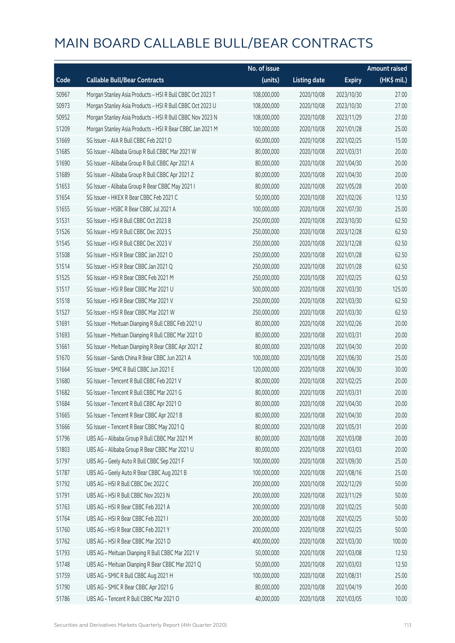|       |                                                           | No. of issue |                     |               | <b>Amount raised</b> |
|-------|-----------------------------------------------------------|--------------|---------------------|---------------|----------------------|
| Code  | <b>Callable Bull/Bear Contracts</b>                       | (units)      | <b>Listing date</b> | <b>Expiry</b> | (HK\$ mil.)          |
| 50967 | Morgan Stanley Asia Products - HSI R Bull CBBC Oct 2023 T | 108,000,000  | 2020/10/08          | 2023/10/30    | 27.00                |
| 50973 | Morgan Stanley Asia Products - HSI R Bull CBBC Oct 2023 U | 108,000,000  | 2020/10/08          | 2023/10/30    | 27.00                |
| 50952 | Morgan Stanley Asia Products - HSI R Bull CBBC Nov 2023 N | 108,000,000  | 2020/10/08          | 2023/11/29    | 27.00                |
| 51209 | Morgan Stanley Asia Products - HSI R Bear CBBC Jan 2021 M | 100,000,000  | 2020/10/08          | 2021/01/28    | 25.00                |
| 51669 | SG Issuer - AIA R Bull CBBC Feb 2021 D                    | 60,000,000   | 2020/10/08          | 2021/02/25    | 15.00                |
| 51685 | SG Issuer - Alibaba Group R Bull CBBC Mar 2021 W          | 80,000,000   | 2020/10/08          | 2021/03/31    | 20.00                |
| 51690 | SG Issuer - Alibaba Group R Bull CBBC Apr 2021 A          | 80,000,000   | 2020/10/08          | 2021/04/30    | 20.00                |
| 51689 | SG Issuer - Alibaba Group R Bull CBBC Apr 2021 Z          | 80,000,000   | 2020/10/08          | 2021/04/30    | 20.00                |
| 51653 | SG Issuer - Alibaba Group R Bear CBBC May 2021 I          | 80,000,000   | 2020/10/08          | 2021/05/28    | 20.00                |
| 51654 | SG Issuer - HKEX R Bear CBBC Feb 2021 C                   | 50,000,000   | 2020/10/08          | 2021/02/26    | 12.50                |
| 51655 | SG Issuer - HSBC R Bear CBBC Jul 2021 A                   | 100,000,000  | 2020/10/08          | 2021/07/30    | 25.00                |
| 51531 | SG Issuer - HSI R Bull CBBC Oct 2023 B                    | 250,000,000  | 2020/10/08          | 2023/10/30    | 62.50                |
| 51526 | SG Issuer - HSI R Bull CBBC Dec 2023 S                    | 250,000,000  | 2020/10/08          | 2023/12/28    | 62.50                |
| 51545 | SG Issuer - HSI R Bull CBBC Dec 2023 V                    | 250,000,000  | 2020/10/08          | 2023/12/28    | 62.50                |
| 51508 | SG Issuer - HSI R Bear CBBC Jan 2021 O                    | 250,000,000  | 2020/10/08          | 2021/01/28    | 62.50                |
| 51514 | SG Issuer - HSI R Bear CBBC Jan 2021 Q                    | 250,000,000  | 2020/10/08          | 2021/01/28    | 62.50                |
| 51525 | SG Issuer - HSI R Bear CBBC Feb 2021 M                    | 250,000,000  | 2020/10/08          | 2021/02/25    | 62.50                |
| 51517 | SG Issuer - HSI R Bear CBBC Mar 2021 U                    | 500,000,000  | 2020/10/08          | 2021/03/30    | 125.00               |
| 51518 | SG Issuer - HSI R Bear CBBC Mar 2021 V                    | 250,000,000  | 2020/10/08          | 2021/03/30    | 62.50                |
| 51527 | SG Issuer - HSI R Bear CBBC Mar 2021 W                    | 250,000,000  | 2020/10/08          | 2021/03/30    | 62.50                |
| 51691 | SG Issuer - Meituan Dianping R Bull CBBC Feb 2021 U       | 80,000,000   | 2020/10/08          | 2021/02/26    | 20.00                |
| 51693 | SG Issuer - Meituan Dianping R Bull CBBC Mar 2021 D       | 80,000,000   | 2020/10/08          | 2021/03/31    | 20.00                |
| 51661 | SG Issuer - Meituan Dianping R Bear CBBC Apr 2021 Z       | 80,000,000   | 2020/10/08          | 2021/04/30    | 20.00                |
| 51670 | SG Issuer - Sands China R Bear CBBC Jun 2021 A            | 100,000,000  | 2020/10/08          | 2021/06/30    | 25.00                |
| 51664 | SG Issuer - SMIC R Bull CBBC Jun 2021 E                   | 120,000,000  | 2020/10/08          | 2021/06/30    | 30.00                |
| 51680 | SG Issuer - Tencent R Bull CBBC Feb 2021 V                | 80,000,000   | 2020/10/08          | 2021/02/25    | 20.00                |
| 51682 | SG Issuer - Tencent R Bull CBBC Mar 2021 G                | 80,000,000   | 2020/10/08          | 2021/03/31    | 20.00                |
| 51684 | SG Issuer - Tencent R Bull CBBC Apr 2021 O                | 80,000,000   | 2020/10/08          | 2021/04/30    | 20.00                |
| 51665 | SG Issuer - Tencent R Bear CBBC Apr 2021 B                | 80,000,000   | 2020/10/08          | 2021/04/30    | 20.00                |
| 51666 | SG Issuer - Tencent R Bear CBBC May 2021 Q                | 80,000,000   | 2020/10/08          | 2021/05/31    | 20.00                |
| 51796 | UBS AG - Alibaba Group R Bull CBBC Mar 2021 M             | 80,000,000   | 2020/10/08          | 2021/03/08    | 20.00                |
| 51803 | UBS AG - Alibaba Group R Bear CBBC Mar 2021 U             | 80,000,000   | 2020/10/08          | 2021/03/03    | 20.00                |
| 51797 | UBS AG - Geely Auto R Bull CBBC Sep 2021 F                | 100,000,000  | 2020/10/08          | 2021/09/30    | 25.00                |
| 51787 | UBS AG - Geely Auto R Bear CBBC Aug 2021 B                | 100,000,000  | 2020/10/08          | 2021/08/16    | 25.00                |
| 51792 | UBS AG - HSI R Bull CBBC Dec 2022 C                       | 200,000,000  | 2020/10/08          | 2022/12/29    | 50.00                |
| 51791 | UBS AG - HSI R Bull CBBC Nov 2023 N                       | 200,000,000  | 2020/10/08          | 2023/11/29    | 50.00                |
| 51763 | UBS AG - HSI R Bear CBBC Feb 2021 A                       | 200,000,000  | 2020/10/08          | 2021/02/25    | 50.00                |
| 51764 | UBS AG - HSI R Bear CBBC Feb 2021 I                       | 200,000,000  | 2020/10/08          | 2021/02/25    | 50.00                |
| 51760 | UBS AG - HSI R Bear CBBC Feb 2021 Y                       | 200,000,000  | 2020/10/08          | 2021/02/25    | 50.00                |
| 51762 | UBS AG - HSI R Bear CBBC Mar 2021 D                       | 400,000,000  | 2020/10/08          | 2021/03/30    | 100.00               |
| 51793 | UBS AG - Meituan Dianping R Bull CBBC Mar 2021 V          | 50,000,000   | 2020/10/08          | 2021/03/08    | 12.50                |
| 51748 | UBS AG - Meituan Dianping R Bear CBBC Mar 2021 Q          | 50,000,000   | 2020/10/08          | 2021/03/03    | 12.50                |
| 51759 | UBS AG - SMIC R Bull CBBC Aug 2021 H                      | 100,000,000  | 2020/10/08          | 2021/08/31    | 25.00                |
| 51790 | UBS AG - SMIC R Bear CBBC Apr 2021 G                      | 80,000,000   | 2020/10/08          | 2021/04/19    | 20.00                |
| 51786 | UBS AG - Tencent R Bull CBBC Mar 2021 O                   | 40,000,000   | 2020/10/08          | 2021/03/05    | 10.00                |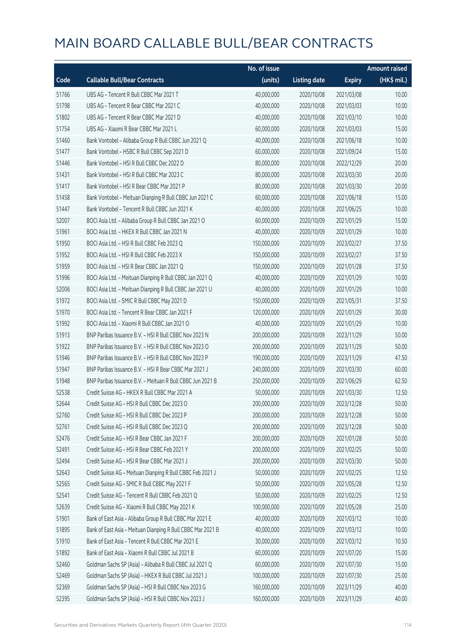|       |                                                             | No. of issue |                     |               | <b>Amount raised</b> |
|-------|-------------------------------------------------------------|--------------|---------------------|---------------|----------------------|
| Code  | <b>Callable Bull/Bear Contracts</b>                         | (units)      | <b>Listing date</b> | <b>Expiry</b> | (HK\$ mil.)          |
| 51766 | UBS AG - Tencent R Bull CBBC Mar 2021 T                     | 40,000,000   | 2020/10/08          | 2021/03/08    | 10.00                |
| 51798 | UBS AG - Tencent R Bear CBBC Mar 2021 C                     | 40,000,000   | 2020/10/08          | 2021/03/03    | 10.00                |
| 51802 | UBS AG - Tencent R Bear CBBC Mar 2021 D                     | 40,000,000   | 2020/10/08          | 2021/03/10    | 10.00                |
| 51754 | UBS AG - Xiaomi R Bear CBBC Mar 2021 L                      | 60,000,000   | 2020/10/08          | 2021/03/03    | 15.00                |
| 51460 | Bank Vontobel - Alibaba Group R Bull CBBC Jun 2021 Q        | 40,000,000   | 2020/10/08          | 2021/06/18    | 10.00                |
| 51477 | Bank Vontobel - HSBC R Bull CBBC Sep 2021 D                 | 60,000,000   | 2020/10/08          | 2021/09/24    | 15.00                |
| 51446 | Bank Vontobel - HSI R Bull CBBC Dec 2022 D                  | 80,000,000   | 2020/10/08          | 2022/12/29    | 20.00                |
| 51431 | Bank Vontobel - HSI R Bull CBBC Mar 2023 C                  | 80,000,000   | 2020/10/08          | 2023/03/30    | 20.00                |
| 51417 | Bank Vontobel - HSI R Bear CBBC Mar 2021 P                  | 80,000,000   | 2020/10/08          | 2021/03/30    | 20.00                |
| 51458 | Bank Vontobel - Meituan Dianping R Bull CBBC Jun 2021 C     | 60,000,000   | 2020/10/08          | 2021/06/18    | 15.00                |
| 51447 | Bank Vontobel - Tencent R Bull CBBC Jun 2021 K              | 40,000,000   | 2020/10/08          | 2021/06/25    | 10.00                |
| 52007 | BOCI Asia Ltd. - Alibaba Group R Bull CBBC Jan 2021 O       | 60,000,000   | 2020/10/09          | 2021/01/29    | 15.00                |
| 51961 | BOCI Asia Ltd. - HKEX R Bull CBBC Jan 2021 N                | 40,000,000   | 2020/10/09          | 2021/01/29    | 10.00                |
| 51950 | BOCI Asia Ltd. - HSI R Bull CBBC Feb 2023 Q                 | 150,000,000  | 2020/10/09          | 2023/02/27    | 37.50                |
| 51952 | BOCI Asia Ltd. - HSI R Bull CBBC Feb 2023 X                 | 150,000,000  | 2020/10/09          | 2023/02/27    | 37.50                |
| 51959 | BOCI Asia Ltd. - HSI R Bear CBBC Jan 2021 Q                 | 150,000,000  | 2020/10/09          | 2021/01/28    | 37.50                |
| 51996 | BOCI Asia Ltd. - Meituan Dianping R Bull CBBC Jan 2021 Q    | 40,000,000   | 2020/10/09          | 2021/01/29    | 10.00                |
| 52006 | BOCI Asia Ltd. - Meituan Dianping R Bull CBBC Jan 2021 U    | 40,000,000   | 2020/10/09          | 2021/01/29    | 10.00                |
| 51972 | BOCI Asia Ltd. - SMIC R Bull CBBC May 2021 D                | 150,000,000  | 2020/10/09          | 2021/05/31    | 37.50                |
| 51970 | BOCI Asia Ltd. - Tencent R Bear CBBC Jan 2021 F             | 120,000,000  | 2020/10/09          | 2021/01/29    | 30.00                |
| 51992 | BOCI Asia Ltd. - Xiaomi R Bull CBBC Jan 2021 O              | 40,000,000   | 2020/10/09          | 2021/01/29    | 10.00                |
| 51913 | BNP Paribas Issuance B.V. - HSI R Bull CBBC Nov 2023 N      | 200,000,000  | 2020/10/09          | 2023/11/29    | 50.00                |
| 51922 | BNP Paribas Issuance B.V. - HSI R Bull CBBC Nov 2023 O      | 200,000,000  | 2020/10/09          | 2023/11/29    | 50.00                |
| 51946 | BNP Paribas Issuance B.V. - HSI R Bull CBBC Nov 2023 P      | 190,000,000  | 2020/10/09          | 2023/11/29    | 47.50                |
| 51947 | BNP Paribas Issuance B.V. - HSI R Bear CBBC Mar 2021 J      | 240,000,000  | 2020/10/09          | 2021/03/30    | 60.00                |
| 51948 | BNP Paribas Issuance B.V. - Meituan R Bull CBBC Jun 2021 B  | 250,000,000  | 2020/10/09          | 2021/06/29    | 62.50                |
| 52538 | Credit Suisse AG - HKEX R Bull CBBC Mar 2021 A              | 50,000,000   | 2020/10/09          | 2021/03/30    | 12.50                |
| 52644 | Credit Suisse AG - HSI R Bull CBBC Dec 2023 O               | 200,000,000  | 2020/10/09          | 2023/12/28    | 50.00                |
| 52760 | Credit Suisse AG - HSI R Bull CBBC Dec 2023 P               | 200,000,000  | 2020/10/09          | 2023/12/28    | 50.00                |
| 52761 | Credit Suisse AG - HSI R Bull CBBC Dec 2023 Q               | 200,000,000  | 2020/10/09          | 2023/12/28    | 50.00                |
| 52476 | Credit Suisse AG - HSI R Bear CBBC Jan 2021 F               | 200,000,000  | 2020/10/09          | 2021/01/28    | 50.00                |
| 52491 | Credit Suisse AG - HSI R Bear CBBC Feb 2021 Y               | 200,000,000  | 2020/10/09          | 2021/02/25    | 50.00                |
| 52494 | Credit Suisse AG - HSI R Bear CBBC Mar 2021 J               | 200,000,000  | 2020/10/09          | 2021/03/30    | 50.00                |
| 52643 | Credit Suisse AG - Meituan Dianping R Bull CBBC Feb 2021 J  | 50,000,000   | 2020/10/09          | 2021/02/25    | 12.50                |
| 52565 | Credit Suisse AG - SMIC R Bull CBBC May 2021 F              | 50,000,000   | 2020/10/09          | 2021/05/28    | 12.50                |
| 52541 | Credit Suisse AG - Tencent R Bull CBBC Feb 2021 Q           | 50,000,000   | 2020/10/09          | 2021/02/25    | 12.50                |
| 52639 | Credit Suisse AG - Xiaomi R Bull CBBC May 2021 K            | 100,000,000  | 2020/10/09          | 2021/05/28    | 25.00                |
| 51901 | Bank of East Asia - Alibaba Group R Bull CBBC Mar 2021 E    | 40,000,000   | 2020/10/09          | 2021/03/12    | 10.00                |
| 51895 | Bank of East Asia - Meituan Dianping R Bull CBBC Mar 2021 B | 40,000,000   | 2020/10/09          | 2021/03/12    | 10.00                |
| 51910 | Bank of East Asia - Tencent R Bull CBBC Mar 2021 E          | 30,000,000   | 2020/10/09          | 2021/03/12    | 10.50                |
| 51892 | Bank of East Asia - Xiaomi R Bull CBBC Jul 2021 B           | 60,000,000   | 2020/10/09          | 2021/07/20    | 15.00                |
| 52460 | Goldman Sachs SP (Asia) - Alibaba R Bull CBBC Jul 2021 Q    | 60,000,000   | 2020/10/09          | 2021/07/30    | 15.00                |
| 52469 | Goldman Sachs SP (Asia) - HKEX R Bull CBBC Jul 2021 J       | 100,000,000  | 2020/10/09          | 2021/07/30    | 25.00                |
| 52369 | Goldman Sachs SP (Asia) - HSI R Bull CBBC Nov 2023 G        | 160,000,000  | 2020/10/09          | 2023/11/29    | 40.00                |
| 52395 | Goldman Sachs SP (Asia) - HSI R Bull CBBC Nov 2023 J        | 160,000,000  | 2020/10/09          | 2023/11/29    | 40.00                |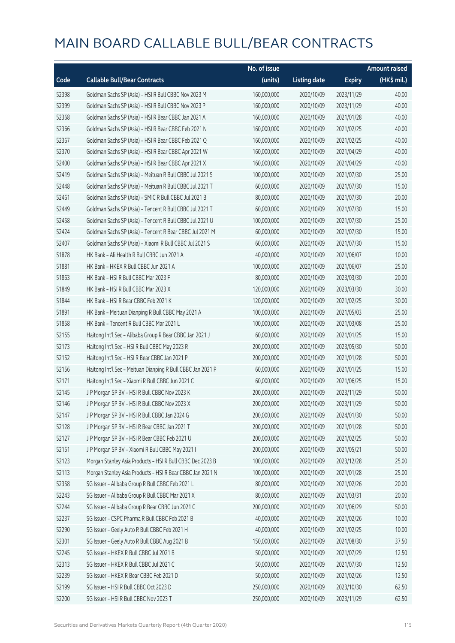|       |                                                             | No. of issue |                     |               | <b>Amount raised</b> |
|-------|-------------------------------------------------------------|--------------|---------------------|---------------|----------------------|
| Code  | <b>Callable Bull/Bear Contracts</b>                         | (units)      | <b>Listing date</b> | <b>Expiry</b> | $(HK\$ mil.)         |
| 52398 | Goldman Sachs SP (Asia) - HSI R Bull CBBC Nov 2023 M        | 160,000,000  | 2020/10/09          | 2023/11/29    | 40.00                |
| 52399 | Goldman Sachs SP (Asia) - HSI R Bull CBBC Nov 2023 P        | 160,000,000  | 2020/10/09          | 2023/11/29    | 40.00                |
| 52368 | Goldman Sachs SP (Asia) - HSI R Bear CBBC Jan 2021 A        | 160,000,000  | 2020/10/09          | 2021/01/28    | 40.00                |
| 52366 | Goldman Sachs SP (Asia) - HSI R Bear CBBC Feb 2021 N        | 160,000,000  | 2020/10/09          | 2021/02/25    | 40.00                |
| 52367 | Goldman Sachs SP (Asia) - HSI R Bear CBBC Feb 2021 Q        | 160,000,000  | 2020/10/09          | 2021/02/25    | 40.00                |
| 52370 | Goldman Sachs SP (Asia) - HSI R Bear CBBC Apr 2021 W        | 160,000,000  | 2020/10/09          | 2021/04/29    | 40.00                |
| 52400 | Goldman Sachs SP (Asia) - HSI R Bear CBBC Apr 2021 X        | 160,000,000  | 2020/10/09          | 2021/04/29    | 40.00                |
| 52419 | Goldman Sachs SP (Asia) - Meituan R Bull CBBC Jul 2021 S    | 100,000,000  | 2020/10/09          | 2021/07/30    | 25.00                |
| 52448 | Goldman Sachs SP (Asia) - Meituan R Bull CBBC Jul 2021 T    | 60,000,000   | 2020/10/09          | 2021/07/30    | 15.00                |
| 52461 | Goldman Sachs SP (Asia) - SMIC R Bull CBBC Jul 2021 B       | 80,000,000   | 2020/10/09          | 2021/07/30    | 20.00                |
| 52449 | Goldman Sachs SP (Asia) - Tencent R Bull CBBC Jul 2021 T    | 60,000,000   | 2020/10/09          | 2021/07/30    | 15.00                |
| 52458 | Goldman Sachs SP (Asia) - Tencent R Bull CBBC Jul 2021 U    | 100,000,000  | 2020/10/09          | 2021/07/30    | 25.00                |
| 52424 | Goldman Sachs SP (Asia) - Tencent R Bear CBBC Jul 2021 M    | 60,000,000   | 2020/10/09          | 2021/07/30    | 15.00                |
| 52407 | Goldman Sachs SP (Asia) - Xiaomi R Bull CBBC Jul 2021 S     | 60,000,000   | 2020/10/09          | 2021/07/30    | 15.00                |
| 51878 | HK Bank - Ali Health R Bull CBBC Jun 2021 A                 | 40,000,000   | 2020/10/09          | 2021/06/07    | 10.00                |
| 51881 | HK Bank - HKEX R Bull CBBC Jun 2021 A                       | 100,000,000  | 2020/10/09          | 2021/06/07    | 25.00                |
| 51863 | HK Bank - HSI R Bull CBBC Mar 2023 F                        | 80,000,000   | 2020/10/09          | 2023/03/30    | 20.00                |
| 51849 | HK Bank - HSI R Bull CBBC Mar 2023 X                        | 120,000,000  | 2020/10/09          | 2023/03/30    | 30.00                |
| 51844 | HK Bank - HSI R Bear CBBC Feb 2021 K                        | 120,000,000  | 2020/10/09          | 2021/02/25    | 30.00                |
| 51891 | HK Bank - Meituan Dianping R Bull CBBC May 2021 A           | 100,000,000  | 2020/10/09          | 2021/05/03    | 25.00                |
| 51858 | HK Bank - Tencent R Bull CBBC Mar 2021 L                    | 100,000,000  | 2020/10/09          | 2021/03/08    | 25.00                |
| 52155 | Haitong Int'l Sec - Alibaba Group R Bear CBBC Jan 2021 J    | 60,000,000   | 2020/10/09          | 2021/01/25    | 15.00                |
| 52173 | Haitong Int'l Sec - HSI R Bull CBBC May 2023 R              | 200,000,000  | 2020/10/09          | 2023/05/30    | 50.00                |
| 52152 | Haitong Int'l Sec - HSI R Bear CBBC Jan 2021 P              | 200,000,000  | 2020/10/09          | 2021/01/28    | 50.00                |
| 52156 | Haitong Int'l Sec - Meituan Dianping R Bull CBBC Jan 2021 P | 60,000,000   | 2020/10/09          | 2021/01/25    | 15.00                |
| 52171 | Haitong Int'l Sec - Xiaomi R Bull CBBC Jun 2021 C           | 60,000,000   | 2020/10/09          | 2021/06/25    | 15.00                |
| 52145 | J P Morgan SP BV - HSI R Bull CBBC Nov 2023 K               | 200,000,000  | 2020/10/09          | 2023/11/29    | 50.00                |
| 52146 | J P Morgan SP BV - HSI R Bull CBBC Nov 2023 X               | 200,000,000  | 2020/10/09          | 2023/11/29    | 50.00                |
| 52147 | J P Morgan SP BV - HSI R Bull CBBC Jan 2024 G               | 200,000,000  | 2020/10/09          | 2024/01/30    | 50.00                |
| 52128 | J P Morgan SP BV - HSI R Bear CBBC Jan 2021 T               | 200,000,000  | 2020/10/09          | 2021/01/28    | 50.00                |
| 52127 | J P Morgan SP BV - HSI R Bear CBBC Feb 2021 U               | 200,000,000  | 2020/10/09          | 2021/02/25    | 50.00                |
| 52151 | J P Morgan SP BV - Xiaomi R Bull CBBC May 2021 I            | 200,000,000  | 2020/10/09          | 2021/05/21    | 50.00                |
| 52123 | Morgan Stanley Asia Products - HSI R Bull CBBC Dec 2023 B   | 100,000,000  | 2020/10/09          | 2023/12/28    | 25.00                |
| 52113 | Morgan Stanley Asia Products - HSI R Bear CBBC Jan 2021 N   | 100,000,000  | 2020/10/09          | 2021/01/28    | 25.00                |
| 52358 | SG Issuer - Alibaba Group R Bull CBBC Feb 2021 L            | 80,000,000   | 2020/10/09          | 2021/02/26    | 20.00                |
| 52243 | SG Issuer - Alibaba Group R Bull CBBC Mar 2021 X            | 80,000,000   | 2020/10/09          | 2021/03/31    | 20.00                |
| 52244 | SG Issuer - Alibaba Group R Bear CBBC Jun 2021 C            | 200,000,000  | 2020/10/09          | 2021/06/29    | 50.00                |
| 52237 | SG Issuer - CSPC Pharma R Bull CBBC Feb 2021 B              | 40,000,000   | 2020/10/09          | 2021/02/26    | 10.00                |
| 52290 | SG Issuer - Geely Auto R Bull CBBC Feb 2021 H               | 40,000,000   | 2020/10/09          | 2021/02/25    | 10.00                |
| 52301 | SG Issuer - Geely Auto R Bull CBBC Aug 2021 B               | 150,000,000  | 2020/10/09          | 2021/08/30    | 37.50                |
| 52245 | SG Issuer - HKEX R Bull CBBC Jul 2021 B                     | 50,000,000   | 2020/10/09          | 2021/07/29    | 12.50                |
| 52313 | SG Issuer - HKEX R Bull CBBC Jul 2021 C                     | 50,000,000   | 2020/10/09          | 2021/07/30    | 12.50                |
| 52239 | SG Issuer - HKEX R Bear CBBC Feb 2021 D                     | 50,000,000   | 2020/10/09          | 2021/02/26    | 12.50                |
| 52199 | SG Issuer - HSI R Bull CBBC Oct 2023 D                      | 250,000,000  | 2020/10/09          | 2023/10/30    | 62.50                |
| 52200 | SG Issuer - HSI R Bull CBBC Nov 2023 T                      | 250,000,000  | 2020/10/09          | 2023/11/29    | 62.50                |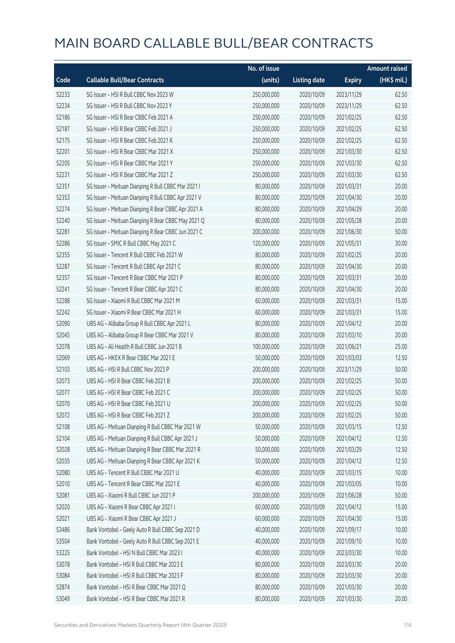|       |                                                     | No. of issue |                     |               | <b>Amount raised</b> |
|-------|-----------------------------------------------------|--------------|---------------------|---------------|----------------------|
| Code  | <b>Callable Bull/Bear Contracts</b>                 | (units)      | <b>Listing date</b> | <b>Expiry</b> | (HK\$ mil.)          |
| 52233 | SG Issuer - HSI R Bull CBBC Nov 2023 W              | 250,000,000  | 2020/10/09          | 2023/11/29    | 62.50                |
| 52234 | SG Issuer - HSI R Bull CBBC Nov 2023 Y              | 250,000,000  | 2020/10/09          | 2023/11/29    | 62.50                |
| 52186 | SG Issuer - HSI R Bear CBBC Feb 2021 A              | 250,000,000  | 2020/10/09          | 2021/02/25    | 62.50                |
| 52187 | SG Issuer - HSI R Bear CBBC Feb 2021 J              | 250,000,000  | 2020/10/09          | 2021/02/25    | 62.50                |
| 52175 | SG Issuer - HSI R Bear CBBC Feb 2021 K              | 250,000,000  | 2020/10/09          | 2021/02/25    | 62.50                |
| 52201 | SG Issuer - HSI R Bear CBBC Mar 2021 X              | 250,000,000  | 2020/10/09          | 2021/03/30    | 62.50                |
| 52205 | SG Issuer - HSI R Bear CBBC Mar 2021 Y              | 250,000,000  | 2020/10/09          | 2021/03/30    | 62.50                |
| 52231 | SG Issuer - HSI R Bear CBBC Mar 2021 Z              | 250,000,000  | 2020/10/09          | 2021/03/30    | 62.50                |
| 52351 | SG Issuer - Meituan Dianping R Bull CBBC Mar 2021 I | 80,000,000   | 2020/10/09          | 2021/03/31    | 20.00                |
| 52353 | SG Issuer - Meituan Dianping R Bull CBBC Apr 2021 V | 80,000,000   | 2020/10/09          | 2021/04/30    | 20.00                |
| 52274 | SG Issuer - Meituan Dianping R Bear CBBC Apr 2021 A | 80,000,000   | 2020/10/09          | 2021/04/29    | 20.00                |
| 52240 | SG Issuer - Meituan Dianping R Bear CBBC May 2021 Q | 80,000,000   | 2020/10/09          | 2021/05/28    | 20.00                |
| 52281 | SG Issuer - Meituan Dianping R Bear CBBC Jun 2021 C | 200,000,000  | 2020/10/09          | 2021/06/30    | 50.00                |
| 52286 | SG Issuer - SMIC R Bull CBBC May 2021 C             | 120,000,000  | 2020/10/09          | 2021/05/31    | 30.00                |
| 52355 | SG Issuer - Tencent R Bull CBBC Feb 2021 W          | 80,000,000   | 2020/10/09          | 2021/02/25    | 20.00                |
| 52287 | SG Issuer - Tencent R Bull CBBC Apr 2021 C          | 80,000,000   | 2020/10/09          | 2021/04/30    | 20.00                |
| 52357 | SG Issuer - Tencent R Bear CBBC Mar 2021 P          | 80,000,000   | 2020/10/09          | 2021/03/31    | 20.00                |
| 52241 | SG Issuer - Tencent R Bear CBBC Apr 2021 C          | 80,000,000   | 2020/10/09          | 2021/04/30    | 20.00                |
| 52288 | SG Issuer - Xiaomi R Bull CBBC Mar 2021 M           | 60,000,000   | 2020/10/09          | 2021/03/31    | 15.00                |
| 52242 | SG Issuer - Xiaomi R Bear CBBC Mar 2021 H           | 60,000,000   | 2020/10/09          | 2021/03/31    | 15.00                |
| 52090 | UBS AG - Alibaba Group R Bull CBBC Apr 2021 L       | 80,000,000   | 2020/10/09          | 2021/04/12    | 20.00                |
| 52045 | UBS AG - Alibaba Group R Bear CBBC Mar 2021 V       | 80,000,000   | 2020/10/09          | 2021/03/10    | 20.00                |
| 52078 | UBS AG - Ali Health R Bull CBBC Jun 2021 B          | 100,000,000  | 2020/10/09          | 2021/06/21    | 25.00                |
| 52069 | UBS AG - HKEX R Bear CBBC Mar 2021 E                | 50,000,000   | 2020/10/09          | 2021/03/03    | 12.50                |
| 52103 | UBS AG - HSI R Bull CBBC Nov 2023 P                 | 200,000,000  | 2020/10/09          | 2023/11/29    | 50.00                |
| 52073 | UBS AG - HSI R Bear CBBC Feb 2021 B                 | 200,000,000  | 2020/10/09          | 2021/02/25    | 50.00                |
| 52077 | UBS AG - HSI R Bear CBBC Feb 2021 C                 | 200,000,000  | 2020/10/09          | 2021/02/25    | 50.00                |
| 52070 | UBS AG - HSI R Bear CBBC Feb 2021 U                 | 200,000,000  | 2020/10/09          | 2021/02/25    | 50.00                |
| 52072 | UBS AG - HSI R Bear CBBC Feb 2021 Z                 | 200,000,000  | 2020/10/09          | 2021/02/25    | 50.00                |
| 52108 | UBS AG - Meituan Dianping R Bull CBBC Mar 2021 W    | 50,000,000   | 2020/10/09          | 2021/03/15    | 12.50                |
| 52104 | UBS AG - Meituan Dianping R Bull CBBC Apr 2021 J    | 50,000,000   | 2020/10/09          | 2021/04/12    | 12.50                |
| 52028 | UBS AG - Meituan Dianping R Bear CBBC Mar 2021 R    | 50,000,000   | 2020/10/09          | 2021/03/29    | 12.50                |
| 52035 | UBS AG - Meituan Dianping R Bear CBBC Apr 2021 K    | 50,000,000   | 2020/10/09          | 2021/04/12    | 12.50                |
| 52080 | UBS AG - Tencent R Bull CBBC Mar 2021 U             | 40,000,000   | 2020/10/09          | 2021/03/15    | 10.00                |
| 52010 | UBS AG - Tencent R Bear CBBC Mar 2021 E             | 40,000,000   | 2020/10/09          | 2021/03/05    | 10.00                |
| 52081 | UBS AG - Xiaomi R Bull CBBC Jun 2021 P              | 200,000,000  | 2020/10/09          | 2021/06/28    | 50.00                |
| 52020 | UBS AG - Xiaomi R Bear CBBC Apr 2021 I              | 60,000,000   | 2020/10/09          | 2021/04/12    | 15.00                |
| 52021 | UBS AG - Xiaomi R Bear CBBC Apr 2021 J              | 60,000,000   | 2020/10/09          | 2021/04/30    | 15.00                |
| 53486 | Bank Vontobel - Geely Auto R Bull CBBC Sep 2021 D   | 40,000,000   | 2020/10/09          | 2021/09/17    | 10.00                |
| 53504 | Bank Vontobel - Geely Auto R Bull CBBC Sep 2021 E   | 40,000,000   | 2020/10/09          | 2021/09/10    | 10.00                |
| 53225 | Bank Vontobel - HSI N Bull CBBC Mar 2023 I          | 40,000,000   | 2020/10/09          | 2023/03/30    | 10.00                |
| 53078 | Bank Vontobel - HSI R Bull CBBC Mar 2023 E          | 80,000,000   | 2020/10/09          | 2023/03/30    | 20.00                |
| 53084 | Bank Vontobel - HSI R Bull CBBC Mar 2023 F          | 80,000,000   | 2020/10/09          | 2023/03/30    | 20.00                |
| 52874 | Bank Vontobel - HSI R Bear CBBC Mar 2021 Q          | 80,000,000   | 2020/10/09          | 2021/03/30    | 20.00                |
| 53049 | Bank Vontobel - HSI R Bear CBBC Mar 2021 R          | 80,000,000   | 2020/10/09          | 2021/03/30    | 20.00                |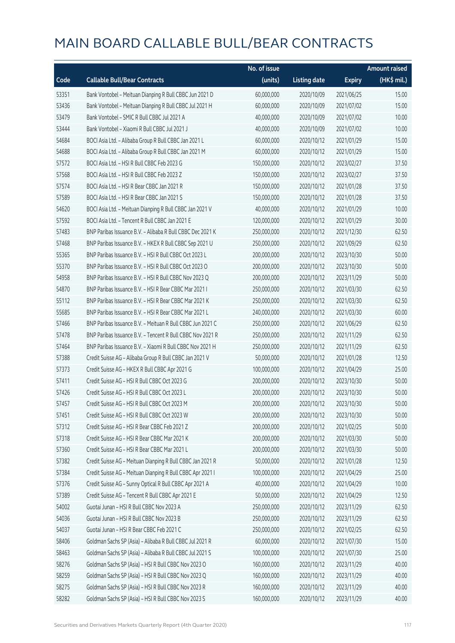|       |                                                            | No. of issue |                     |               | <b>Amount raised</b> |
|-------|------------------------------------------------------------|--------------|---------------------|---------------|----------------------|
| Code  | <b>Callable Bull/Bear Contracts</b>                        | (units)      | <b>Listing date</b> | <b>Expiry</b> | (HK\$ mil.)          |
| 53351 | Bank Vontobel - Meituan Dianping R Bull CBBC Jun 2021 D    | 60,000,000   | 2020/10/09          | 2021/06/25    | 15.00                |
| 53436 | Bank Vontobel - Meituan Dianping R Bull CBBC Jul 2021 H    | 60,000,000   | 2020/10/09          | 2021/07/02    | 15.00                |
| 53479 | Bank Vontobel - SMIC R Bull CBBC Jul 2021 A                | 40,000,000   | 2020/10/09          | 2021/07/02    | 10.00                |
| 53444 | Bank Vontobel - Xiaomi R Bull CBBC Jul 2021 J              | 40,000,000   | 2020/10/09          | 2021/07/02    | 10.00                |
| 54684 | BOCI Asia Ltd. - Alibaba Group R Bull CBBC Jan 2021 L      | 60,000,000   | 2020/10/12          | 2021/01/29    | 15.00                |
| 54688 | BOCI Asia Ltd. - Alibaba Group R Bull CBBC Jan 2021 M      | 60,000,000   | 2020/10/12          | 2021/01/29    | 15.00                |
| 57572 | BOCI Asia Ltd. - HSI R Bull CBBC Feb 2023 G                | 150,000,000  | 2020/10/12          | 2023/02/27    | 37.50                |
| 57568 | BOCI Asia Ltd. - HSI R Bull CBBC Feb 2023 Z                | 150,000,000  | 2020/10/12          | 2023/02/27    | 37.50                |
| 57574 | BOCI Asia Ltd. - HSI R Bear CBBC Jan 2021 R                | 150,000,000  | 2020/10/12          | 2021/01/28    | 37.50                |
| 57589 | BOCI Asia Ltd. - HSI R Bear CBBC Jan 2021 S                | 150,000,000  | 2020/10/12          | 2021/01/28    | 37.50                |
| 54620 | BOCI Asia Ltd. - Meituan Dianping R Bull CBBC Jan 2021 V   | 40,000,000   | 2020/10/12          | 2021/01/29    | 10.00                |
| 57592 | BOCI Asia Ltd. - Tencent R Bull CBBC Jan 2021 E            | 120,000,000  | 2020/10/12          | 2021/01/29    | 30.00                |
| 57483 | BNP Paribas Issuance B.V. - Alibaba R Bull CBBC Dec 2021 K | 250,000,000  | 2020/10/12          | 2021/12/30    | 62.50                |
| 57468 | BNP Paribas Issuance B.V. - HKEX R Bull CBBC Sep 2021 U    | 250,000,000  | 2020/10/12          | 2021/09/29    | 62.50                |
| 55365 | BNP Paribas Issuance B.V. - HSI R Bull CBBC Oct 2023 L     | 200,000,000  | 2020/10/12          | 2023/10/30    | 50.00                |
| 55370 | BNP Paribas Issuance B.V. - HSI R Bull CBBC Oct 2023 O     | 200,000,000  | 2020/10/12          | 2023/10/30    | 50.00                |
| 54958 | BNP Paribas Issuance B.V. - HSI R Bull CBBC Nov 2023 Q     | 200,000,000  | 2020/10/12          | 2023/11/29    | 50.00                |
| 54870 | BNP Paribas Issuance B.V. - HSI R Bear CBBC Mar 2021 I     | 250,000,000  | 2020/10/12          | 2021/03/30    | 62.50                |
| 55112 | BNP Paribas Issuance B.V. - HSI R Bear CBBC Mar 2021 K     | 250,000,000  | 2020/10/12          | 2021/03/30    | 62.50                |
| 55685 | BNP Paribas Issuance B.V. - HSI R Bear CBBC Mar 2021 L     | 240,000,000  | 2020/10/12          | 2021/03/30    | 60.00                |
| 57466 | BNP Paribas Issuance B.V. - Meituan R Bull CBBC Jun 2021 C | 250,000,000  | 2020/10/12          | 2021/06/29    | 62.50                |
| 57478 | BNP Paribas Issuance B.V. - Tencent R Bull CBBC Nov 2021 R | 250,000,000  | 2020/10/12          | 2021/11/29    | 62.50                |
| 57464 | BNP Paribas Issuance B.V. - Xiaomi R Bull CBBC Nov 2021 H  | 250,000,000  | 2020/10/12          | 2021/11/29    | 62.50                |
| 57388 | Credit Suisse AG - Alibaba Group R Bull CBBC Jan 2021 V    | 50,000,000   | 2020/10/12          | 2021/01/28    | 12.50                |
| 57373 | Credit Suisse AG - HKEX R Bull CBBC Apr 2021 G             | 100,000,000  | 2020/10/12          | 2021/04/29    | 25.00                |
| 57411 | Credit Suisse AG - HSI R Bull CBBC Oct 2023 G              | 200,000,000  | 2020/10/12          | 2023/10/30    | 50.00                |
| 57426 | Credit Suisse AG - HSI R Bull CBBC Oct 2023 L              | 200,000,000  | 2020/10/12          | 2023/10/30    | 50.00                |
| 57457 | Credit Suisse AG - HSI R Bull CBBC Oct 2023 M              | 200,000,000  | 2020/10/12          | 2023/10/30    | 50.00                |
| 57451 | Credit Suisse AG - HSI R Bull CBBC Oct 2023 W              | 200,000,000  | 2020/10/12          | 2023/10/30    | 50.00                |
| 57312 | Credit Suisse AG - HSI R Bear CBBC Feb 2021 Z              | 200,000,000  | 2020/10/12          | 2021/02/25    | 50.00                |
| 57318 | Credit Suisse AG - HSI R Bear CBBC Mar 2021 K              | 200,000,000  | 2020/10/12          | 2021/03/30    | 50.00                |
| 57360 | Credit Suisse AG - HSI R Bear CBBC Mar 2021 L              | 200,000,000  | 2020/10/12          | 2021/03/30    | 50.00                |
| 57382 | Credit Suisse AG - Meituan Dianping R Bull CBBC Jan 2021 R | 50,000,000   | 2020/10/12          | 2021/01/28    | 12.50                |
| 57384 | Credit Suisse AG - Meituan Dianping R Bull CBBC Apr 2021 I | 100,000,000  | 2020/10/12          | 2021/04/29    | 25.00                |
| 57376 | Credit Suisse AG - Sunny Optical R Bull CBBC Apr 2021 A    | 40,000,000   | 2020/10/12          | 2021/04/29    | 10.00                |
| 57389 | Credit Suisse AG - Tencent R Bull CBBC Apr 2021 E          | 50,000,000   | 2020/10/12          | 2021/04/29    | 12.50                |
| 54002 | Guotai Junan - HSI R Bull CBBC Nov 2023 A                  | 250,000,000  | 2020/10/12          | 2023/11/29    | 62.50                |
| 54036 | Guotai Junan - HSI R Bull CBBC Nov 2023 B                  | 250,000,000  | 2020/10/12          | 2023/11/29    | 62.50                |
| 54037 | Guotai Junan - HSI R Bear CBBC Feb 2021 C                  | 250,000,000  | 2020/10/12          | 2021/02/25    | 62.50                |
| 58406 | Goldman Sachs SP (Asia) - Alibaba R Bull CBBC Jul 2021 R   | 60,000,000   | 2020/10/12          | 2021/07/30    | 15.00                |
| 58463 | Goldman Sachs SP (Asia) - Alibaba R Bull CBBC Jul 2021 S   | 100,000,000  | 2020/10/12          | 2021/07/30    | 25.00                |
| 58276 | Goldman Sachs SP (Asia) - HSI R Bull CBBC Nov 2023 O       | 160,000,000  | 2020/10/12          | 2023/11/29    | 40.00                |
| 58259 | Goldman Sachs SP (Asia) - HSI R Bull CBBC Nov 2023 Q       | 160,000,000  | 2020/10/12          | 2023/11/29    | 40.00                |
| 58275 | Goldman Sachs SP (Asia) - HSI R Bull CBBC Nov 2023 R       | 160,000,000  | 2020/10/12          | 2023/11/29    | 40.00                |
| 58282 | Goldman Sachs SP (Asia) - HSI R Bull CBBC Nov 2023 S       | 160,000,000  | 2020/10/12          | 2023/11/29    | 40.00                |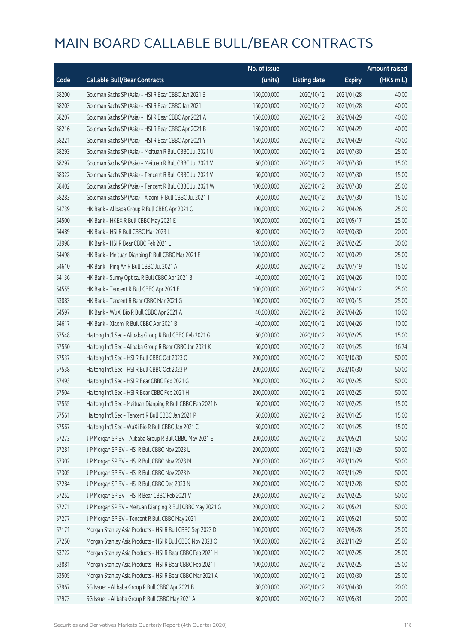|       |                                                             | No. of issue |                     |               | <b>Amount raised</b> |
|-------|-------------------------------------------------------------|--------------|---------------------|---------------|----------------------|
| Code  | <b>Callable Bull/Bear Contracts</b>                         | (units)      | <b>Listing date</b> | <b>Expiry</b> | (HK\$ mil.)          |
| 58200 | Goldman Sachs SP (Asia) - HSI R Bear CBBC Jan 2021 B        | 160,000,000  | 2020/10/12          | 2021/01/28    | 40.00                |
| 58203 | Goldman Sachs SP (Asia) - HSI R Bear CBBC Jan 2021 I        | 160,000,000  | 2020/10/12          | 2021/01/28    | 40.00                |
| 58207 | Goldman Sachs SP (Asia) - HSI R Bear CBBC Apr 2021 A        | 160,000,000  | 2020/10/12          | 2021/04/29    | 40.00                |
| 58216 | Goldman Sachs SP (Asia) - HSI R Bear CBBC Apr 2021 B        | 160,000,000  | 2020/10/12          | 2021/04/29    | 40.00                |
| 58221 | Goldman Sachs SP (Asia) - HSI R Bear CBBC Apr 2021 Y        | 160,000,000  | 2020/10/12          | 2021/04/29    | 40.00                |
| 58293 | Goldman Sachs SP (Asia) - Meituan R Bull CBBC Jul 2021 U    | 100,000,000  | 2020/10/12          | 2021/07/30    | 25.00                |
| 58297 | Goldman Sachs SP (Asia) - Meituan R Bull CBBC Jul 2021 V    | 60,000,000   | 2020/10/12          | 2021/07/30    | 15.00                |
| 58322 | Goldman Sachs SP (Asia) - Tencent R Bull CBBC Jul 2021 V    | 60,000,000   | 2020/10/12          | 2021/07/30    | 15.00                |
| 58402 | Goldman Sachs SP (Asia) - Tencent R Bull CBBC Jul 2021 W    | 100,000,000  | 2020/10/12          | 2021/07/30    | 25.00                |
| 58283 | Goldman Sachs SP (Asia) - Xiaomi R Bull CBBC Jul 2021 T     | 60,000,000   | 2020/10/12          | 2021/07/30    | 15.00                |
| 54739 | HK Bank - Alibaba Group R Bull CBBC Apr 2021 C              | 100,000,000  | 2020/10/12          | 2021/04/26    | 25.00                |
| 54500 | HK Bank - HKEX R Bull CBBC May 2021 E                       | 100,000,000  | 2020/10/12          | 2021/05/17    | 25.00                |
| 54489 | HK Bank - HSI R Bull CBBC Mar 2023 L                        | 80,000,000   | 2020/10/12          | 2023/03/30    | 20.00                |
| 53998 | HK Bank - HSI R Bear CBBC Feb 2021 L                        | 120,000,000  | 2020/10/12          | 2021/02/25    | 30.00                |
| 54498 | HK Bank - Meituan Dianping R Bull CBBC Mar 2021 E           | 100,000,000  | 2020/10/12          | 2021/03/29    | 25.00                |
| 54610 | HK Bank - Ping An R Bull CBBC Jul 2021 A                    | 60,000,000   | 2020/10/12          | 2021/07/19    | 15.00                |
| 54136 | HK Bank - Sunny Optical R Bull CBBC Apr 2021 B              | 40,000,000   | 2020/10/12          | 2021/04/26    | 10.00                |
| 54555 | HK Bank - Tencent R Bull CBBC Apr 2021 E                    | 100,000,000  | 2020/10/12          | 2021/04/12    | 25.00                |
| 53883 | HK Bank - Tencent R Bear CBBC Mar 2021 G                    | 100,000,000  | 2020/10/12          | 2021/03/15    | 25.00                |
| 54597 | HK Bank - WuXi Bio R Bull CBBC Apr 2021 A                   | 40,000,000   | 2020/10/12          | 2021/04/26    | 10.00                |
| 54617 | HK Bank - Xiaomi R Bull CBBC Apr 2021 B                     | 40,000,000   | 2020/10/12          | 2021/04/26    | 10.00                |
| 57548 | Haitong Int'l Sec - Alibaba Group R Bull CBBC Feb 2021 G    | 60,000,000   | 2020/10/12          | 2021/02/25    | 15.00                |
| 57550 | Haitong Int'l Sec - Alibaba Group R Bear CBBC Jan 2021 K    | 60,000,000   | 2020/10/12          | 2021/01/25    | 16.74                |
| 57537 | Haitong Int'l Sec - HSI R Bull CBBC Oct 2023 O              | 200,000,000  | 2020/10/12          | 2023/10/30    | 50.00                |
| 57538 | Haitong Int'l Sec - HSI R Bull CBBC Oct 2023 P              | 200,000,000  | 2020/10/12          | 2023/10/30    | 50.00                |
| 57493 | Haitong Int'l Sec - HSI R Bear CBBC Feb 2021 G              | 200,000,000  | 2020/10/12          | 2021/02/25    | 50.00                |
| 57504 | Haitong Int'l Sec - HSI R Bear CBBC Feb 2021 H              | 200,000,000  | 2020/10/12          | 2021/02/25    | 50.00                |
| 57555 | Haitong Int'l Sec - Meituan Dianping R Bull CBBC Feb 2021 N | 60,000,000   | 2020/10/12          | 2021/02/25    | 15.00                |
| 57561 | Haitong Int'l Sec - Tencent R Bull CBBC Jan 2021 P          | 60,000,000   | 2020/10/12          | 2021/01/25    | 15.00                |
| 57567 | Haitong Int'l Sec - WuXi Bio R Bull CBBC Jan 2021 C         | 60,000,000   | 2020/10/12          | 2021/01/25    | 15.00                |
| 57273 | J P Morgan SP BV - Alibaba Group R Bull CBBC May 2021 E     | 200,000,000  | 2020/10/12          | 2021/05/21    | 50.00                |
| 57281 | J P Morgan SP BV - HSI R Bull CBBC Nov 2023 L               | 200,000,000  | 2020/10/12          | 2023/11/29    | 50.00                |
| 57302 | J P Morgan SP BV - HSI R Bull CBBC Nov 2023 M               | 200,000,000  | 2020/10/12          | 2023/11/29    | 50.00                |
| 57305 | J P Morgan SP BV - HSI R Bull CBBC Nov 2023 N               | 200,000,000  | 2020/10/12          | 2023/11/29    | 50.00                |
| 57284 | J P Morgan SP BV - HSI R Bull CBBC Dec 2023 N               | 200,000,000  | 2020/10/12          | 2023/12/28    | 50.00                |
| 57252 | J P Morgan SP BV - HSI R Bear CBBC Feb 2021 V               | 200,000,000  | 2020/10/12          | 2021/02/25    | 50.00                |
| 57271 | J P Morgan SP BV - Meituan Dianping R Bull CBBC May 2021 G  | 200,000,000  | 2020/10/12          | 2021/05/21    | 50.00                |
| 57277 | J P Morgan SP BV - Tencent R Bull CBBC May 2021 I           | 200,000,000  | 2020/10/12          | 2021/05/21    | 50.00                |
| 57171 | Morgan Stanley Asia Products - HSI R Bull CBBC Sep 2023 D   | 100,000,000  | 2020/10/12          | 2023/09/28    | 25.00                |
| 57250 | Morgan Stanley Asia Products - HSI R Bull CBBC Nov 2023 O   | 100,000,000  | 2020/10/12          | 2023/11/29    | 25.00                |
| 53722 | Morgan Stanley Asia Products - HSI R Bear CBBC Feb 2021 H   | 100,000,000  | 2020/10/12          | 2021/02/25    | 25.00                |
| 53881 | Morgan Stanley Asia Products - HSI R Bear CBBC Feb 2021 I   | 100,000,000  | 2020/10/12          | 2021/02/25    | 25.00                |
| 53505 | Morgan Stanley Asia Products - HSI R Bear CBBC Mar 2021 A   | 100,000,000  | 2020/10/12          | 2021/03/30    | 25.00                |
| 57967 | SG Issuer - Alibaba Group R Bull CBBC Apr 2021 B            | 80,000,000   | 2020/10/12          | 2021/04/30    | 20.00                |
| 57973 | SG Issuer - Alibaba Group R Bull CBBC May 2021 A            | 80,000,000   | 2020/10/12          | 2021/05/31    | 20.00                |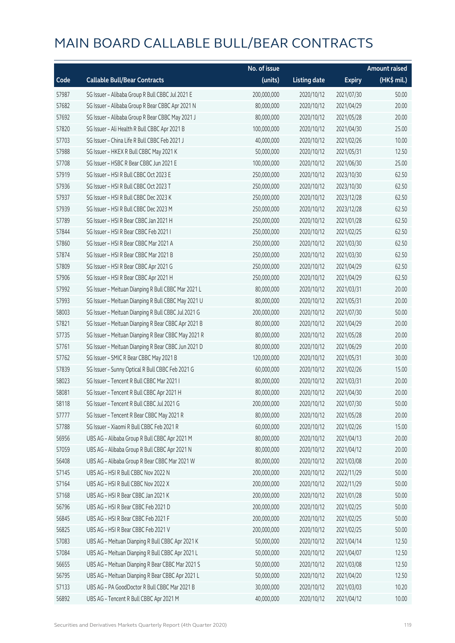|       |                                                     | No. of issue |                     |               | <b>Amount raised</b> |
|-------|-----------------------------------------------------|--------------|---------------------|---------------|----------------------|
| Code  | <b>Callable Bull/Bear Contracts</b>                 | (units)      | <b>Listing date</b> | <b>Expiry</b> | (HK\$ mil.)          |
| 57987 | SG Issuer - Alibaba Group R Bull CBBC Jul 2021 E    | 200,000,000  | 2020/10/12          | 2021/07/30    | 50.00                |
| 57682 | SG Issuer - Alibaba Group R Bear CBBC Apr 2021 N    | 80,000,000   | 2020/10/12          | 2021/04/29    | 20.00                |
| 57692 | SG Issuer - Alibaba Group R Bear CBBC May 2021 J    | 80,000,000   | 2020/10/12          | 2021/05/28    | 20.00                |
| 57820 | SG Issuer - Ali Health R Bull CBBC Apr 2021 B       | 100,000,000  | 2020/10/12          | 2021/04/30    | 25.00                |
| 57703 | SG Issuer - China Life R Bull CBBC Feb 2021 J       | 40,000,000   | 2020/10/12          | 2021/02/26    | 10.00                |
| 57988 | SG Issuer - HKEX R Bull CBBC May 2021 K             | 50,000,000   | 2020/10/12          | 2021/05/31    | 12.50                |
| 57708 | SG Issuer - HSBC R Bear CBBC Jun 2021 E             | 100,000,000  | 2020/10/12          | 2021/06/30    | 25.00                |
| 57919 | SG Issuer - HSI R Bull CBBC Oct 2023 E              | 250,000,000  | 2020/10/12          | 2023/10/30    | 62.50                |
| 57936 | SG Issuer - HSI R Bull CBBC Oct 2023 T              | 250,000,000  | 2020/10/12          | 2023/10/30    | 62.50                |
| 57937 | SG Issuer - HSI R Bull CBBC Dec 2023 K              | 250,000,000  | 2020/10/12          | 2023/12/28    | 62.50                |
| 57939 | SG Issuer - HSI R Bull CBBC Dec 2023 M              | 250,000,000  | 2020/10/12          | 2023/12/28    | 62.50                |
| 57789 | SG Issuer - HSI R Bear CBBC Jan 2021 H              | 250,000,000  | 2020/10/12          | 2021/01/28    | 62.50                |
| 57844 | SG Issuer - HSI R Bear CBBC Feb 2021 I              | 250,000,000  | 2020/10/12          | 2021/02/25    | 62.50                |
| 57860 | SG Issuer - HSI R Bear CBBC Mar 2021 A              | 250,000,000  | 2020/10/12          | 2021/03/30    | 62.50                |
| 57874 | SG Issuer - HSI R Bear CBBC Mar 2021 B              | 250,000,000  | 2020/10/12          | 2021/03/30    | 62.50                |
| 57809 | SG Issuer - HSI R Bear CBBC Apr 2021 G              | 250,000,000  | 2020/10/12          | 2021/04/29    | 62.50                |
| 57906 | SG Issuer - HSI R Bear CBBC Apr 2021 H              | 250,000,000  | 2020/10/12          | 2021/04/29    | 62.50                |
| 57992 | SG Issuer - Meituan Dianping R Bull CBBC Mar 2021 L | 80,000,000   | 2020/10/12          | 2021/03/31    | 20.00                |
| 57993 | SG Issuer - Meituan Dianping R Bull CBBC May 2021 U | 80,000,000   | 2020/10/12          | 2021/05/31    | 20.00                |
| 58003 | SG Issuer - Meituan Dianping R Bull CBBC Jul 2021 G | 200,000,000  | 2020/10/12          | 2021/07/30    | 50.00                |
| 57821 | SG Issuer - Meituan Dianping R Bear CBBC Apr 2021 B | 80,000,000   | 2020/10/12          | 2021/04/29    | 20.00                |
| 57735 | SG Issuer - Meituan Dianping R Bear CBBC May 2021 R | 80,000,000   | 2020/10/12          | 2021/05/28    | 20.00                |
| 57761 | SG Issuer - Meituan Dianping R Bear CBBC Jun 2021 D | 80,000,000   | 2020/10/12          | 2021/06/29    | 20.00                |
| 57762 | SG Issuer - SMIC R Bear CBBC May 2021 B             | 120,000,000  | 2020/10/12          | 2021/05/31    | 30.00                |
| 57839 | SG Issuer - Sunny Optical R Bull CBBC Feb 2021 G    | 60,000,000   | 2020/10/12          | 2021/02/26    | 15.00                |
| 58023 | SG Issuer - Tencent R Bull CBBC Mar 2021 I          | 80,000,000   | 2020/10/12          | 2021/03/31    | 20.00                |
| 58081 | SG Issuer - Tencent R Bull CBBC Apr 2021 H          | 80,000,000   | 2020/10/12          | 2021/04/30    | 20.00                |
| 58118 | SG Issuer - Tencent R Bull CBBC Jul 2021 G          | 200,000,000  | 2020/10/12          | 2021/07/30    | 50.00                |
| 57777 | SG Issuer - Tencent R Bear CBBC May 2021 R          | 80,000,000   | 2020/10/12          | 2021/05/28    | 20.00                |
| 57788 | SG Issuer - Xiaomi R Bull CBBC Feb 2021 R           | 60,000,000   | 2020/10/12          | 2021/02/26    | 15.00                |
| 56956 | UBS AG - Alibaba Group R Bull CBBC Apr 2021 M       | 80,000,000   | 2020/10/12          | 2021/04/13    | 20.00                |
| 57059 | UBS AG - Alibaba Group R Bull CBBC Apr 2021 N       | 80,000,000   | 2020/10/12          | 2021/04/12    | 20.00                |
| 56408 | UBS AG - Alibaba Group R Bear CBBC Mar 2021 W       | 80,000,000   | 2020/10/12          | 2021/03/08    | 20.00                |
| 57145 | UBS AG - HSI R Bull CBBC Nov 2022 N                 | 200,000,000  | 2020/10/12          | 2022/11/29    | 50.00                |
| 57164 | UBS AG - HSI R Bull CBBC Nov 2022 X                 | 200,000,000  | 2020/10/12          | 2022/11/29    | 50.00                |
| 57168 | UBS AG - HSI R Bear CBBC Jan 2021 K                 | 200,000,000  | 2020/10/12          | 2021/01/28    | 50.00                |
| 56796 | UBS AG - HSI R Bear CBBC Feb 2021 D                 | 200,000,000  | 2020/10/12          | 2021/02/25    | 50.00                |
| 56845 | UBS AG - HSI R Bear CBBC Feb 2021 F                 | 200,000,000  | 2020/10/12          | 2021/02/25    | 50.00                |
| 56825 | UBS AG - HSI R Bear CBBC Feb 2021 V                 | 200,000,000  | 2020/10/12          | 2021/02/25    | 50.00                |
| 57083 | UBS AG - Meituan Dianping R Bull CBBC Apr 2021 K    | 50,000,000   | 2020/10/12          | 2021/04/14    | 12.50                |
| 57084 | UBS AG - Meituan Dianping R Bull CBBC Apr 2021 L    | 50,000,000   | 2020/10/12          | 2021/04/07    | 12.50                |
| 56655 | UBS AG - Meituan Dianping R Bear CBBC Mar 2021 S    | 50,000,000   | 2020/10/12          | 2021/03/08    | 12.50                |
| 56795 | UBS AG - Meituan Dianping R Bear CBBC Apr 2021 L    | 50,000,000   | 2020/10/12          | 2021/04/20    | 12.50                |
| 57133 | UBS AG - PA GoodDoctor R Bull CBBC Mar 2021 B       | 30,000,000   | 2020/10/12          | 2021/03/03    | 10.20                |
| 56892 | UBS AG - Tencent R Bull CBBC Apr 2021 M             | 40,000,000   | 2020/10/12          | 2021/04/12    | 10.00                |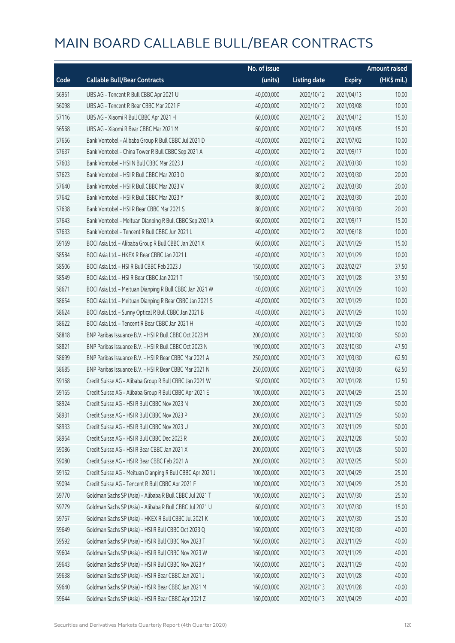|       |                                                            | No. of issue |                     |               | <b>Amount raised</b> |
|-------|------------------------------------------------------------|--------------|---------------------|---------------|----------------------|
| Code  | <b>Callable Bull/Bear Contracts</b>                        | (units)      | <b>Listing date</b> | <b>Expiry</b> | (HK\$ mil.)          |
| 56951 | UBS AG - Tencent R Bull CBBC Apr 2021 U                    | 40,000,000   | 2020/10/12          | 2021/04/13    | 10.00                |
| 56098 | UBS AG - Tencent R Bear CBBC Mar 2021 F                    | 40,000,000   | 2020/10/12          | 2021/03/08    | 10.00                |
| 57116 | UBS AG - Xiaomi R Bull CBBC Apr 2021 H                     | 60,000,000   | 2020/10/12          | 2021/04/12    | 15.00                |
| 56568 | UBS AG - Xiaomi R Bear CBBC Mar 2021 M                     | 60,000,000   | 2020/10/12          | 2021/03/05    | 15.00                |
| 57656 | Bank Vontobel - Alibaba Group R Bull CBBC Jul 2021 D       | 40,000,000   | 2020/10/12          | 2021/07/02    | 10.00                |
| 57637 | Bank Vontobel - China Tower R Bull CBBC Sep 2021 A         | 40,000,000   | 2020/10/12          | 2021/09/17    | 10.00                |
| 57603 | Bank Vontobel - HSI N Bull CBBC Mar 2023 J                 | 40,000,000   | 2020/10/12          | 2023/03/30    | 10.00                |
| 57623 | Bank Vontobel - HSI R Bull CBBC Mar 2023 O                 | 80,000,000   | 2020/10/12          | 2023/03/30    | 20.00                |
| 57640 | Bank Vontobel - HSI R Bull CBBC Mar 2023 V                 | 80,000,000   | 2020/10/12          | 2023/03/30    | 20.00                |
| 57642 | Bank Vontobel - HSI R Bull CBBC Mar 2023 Y                 | 80,000,000   | 2020/10/12          | 2023/03/30    | 20.00                |
| 57638 | Bank Vontobel - HSI R Bear CBBC Mar 2021 S                 | 80,000,000   | 2020/10/12          | 2021/03/30    | 20.00                |
| 57643 | Bank Vontobel - Meituan Dianping R Bull CBBC Sep 2021 A    | 60,000,000   | 2020/10/12          | 2021/09/17    | 15.00                |
| 57633 | Bank Vontobel - Tencent R Bull CBBC Jun 2021 L             | 40,000,000   | 2020/10/12          | 2021/06/18    | 10.00                |
| 59169 | BOCI Asia Ltd. - Alibaba Group R Bull CBBC Jan 2021 X      | 60,000,000   | 2020/10/13          | 2021/01/29    | 15.00                |
| 58584 | BOCI Asia Ltd. - HKEX R Bear CBBC Jan 2021 L               | 40,000,000   | 2020/10/13          | 2021/01/29    | 10.00                |
| 58506 | BOCI Asia Ltd. - HSI R Bull CBBC Feb 2023 J                | 150,000,000  | 2020/10/13          | 2023/02/27    | 37.50                |
| 58549 | BOCI Asia Ltd. - HSI R Bear CBBC Jan 2021 T                | 150,000,000  | 2020/10/13          | 2021/01/28    | 37.50                |
| 58671 | BOCI Asia Ltd. - Meituan Dianping R Bull CBBC Jan 2021 W   | 40,000,000   | 2020/10/13          | 2021/01/29    | 10.00                |
| 58654 | BOCI Asia Ltd. - Meituan Dianping R Bear CBBC Jan 2021 S   | 40,000,000   | 2020/10/13          | 2021/01/29    | 10.00                |
| 58624 | BOCI Asia Ltd. - Sunny Optical R Bull CBBC Jan 2021 B      | 40,000,000   | 2020/10/13          | 2021/01/29    | 10.00                |
| 58622 | BOCI Asia Ltd. - Tencent R Bear CBBC Jan 2021 H            | 40,000,000   | 2020/10/13          | 2021/01/29    | 10.00                |
| 58818 | BNP Paribas Issuance B.V. - HSI R Bull CBBC Oct 2023 M     | 200,000,000  | 2020/10/13          | 2023/10/30    | 50.00                |
| 58821 | BNP Paribas Issuance B.V. - HSI R Bull CBBC Oct 2023 N     | 190,000,000  | 2020/10/13          | 2023/10/30    | 47.50                |
| 58699 | BNP Paribas Issuance B.V. - HSI R Bear CBBC Mar 2021 A     | 250,000,000  | 2020/10/13          | 2021/03/30    | 62.50                |
| 58685 | BNP Paribas Issuance B.V. - HSI R Bear CBBC Mar 2021 N     | 250,000,000  | 2020/10/13          | 2021/03/30    | 62.50                |
| 59168 | Credit Suisse AG - Alibaba Group R Bull CBBC Jan 2021 W    | 50,000,000   | 2020/10/13          | 2021/01/28    | 12.50                |
| 59165 | Credit Suisse AG - Alibaba Group R Bull CBBC Apr 2021 E    | 100,000,000  | 2020/10/13          | 2021/04/29    | 25.00                |
| 58924 | Credit Suisse AG - HSI R Bull CBBC Nov 2023 N              | 200,000,000  | 2020/10/13          | 2023/11/29    | 50.00                |
| 58931 | Credit Suisse AG - HSI R Bull CBBC Nov 2023 P              | 200,000,000  | 2020/10/13          | 2023/11/29    | 50.00                |
| 58933 | Credit Suisse AG - HSI R Bull CBBC Nov 2023 U              | 200,000,000  | 2020/10/13          | 2023/11/29    | 50.00                |
| 58964 | Credit Suisse AG - HSI R Bull CBBC Dec 2023 R              | 200,000,000  | 2020/10/13          | 2023/12/28    | 50.00                |
| 59086 | Credit Suisse AG - HSI R Bear CBBC Jan 2021 X              | 200,000,000  | 2020/10/13          | 2021/01/28    | 50.00                |
| 59080 | Credit Suisse AG - HSI R Bear CBBC Feb 2021 A              | 200,000,000  | 2020/10/13          | 2021/02/25    | 50.00                |
| 59152 | Credit Suisse AG - Meituan Dianping R Bull CBBC Apr 2021 J | 100,000,000  | 2020/10/13          | 2021/04/29    | 25.00                |
| 59094 | Credit Suisse AG - Tencent R Bull CBBC Apr 2021 F          | 100,000,000  | 2020/10/13          | 2021/04/29    | 25.00                |
| 59770 | Goldman Sachs SP (Asia) - Alibaba R Bull CBBC Jul 2021 T   | 100,000,000  | 2020/10/13          | 2021/07/30    | 25.00                |
| 59779 | Goldman Sachs SP (Asia) - Alibaba R Bull CBBC Jul 2021 U   | 60,000,000   | 2020/10/13          | 2021/07/30    | 15.00                |
| 59767 | Goldman Sachs SP (Asia) - HKEX R Bull CBBC Jul 2021 K      | 100,000,000  | 2020/10/13          | 2021/07/30    | 25.00                |
| 59649 | Goldman Sachs SP (Asia) - HSI R Bull CBBC Oct 2023 Q       | 160,000,000  | 2020/10/13          | 2023/10/30    | 40.00                |
| 59592 | Goldman Sachs SP (Asia) - HSI R Bull CBBC Nov 2023 T       | 160,000,000  | 2020/10/13          | 2023/11/29    | 40.00                |
| 59604 | Goldman Sachs SP (Asia) - HSI R Bull CBBC Nov 2023 W       | 160,000,000  | 2020/10/13          | 2023/11/29    | 40.00                |
| 59643 | Goldman Sachs SP (Asia) - HSI R Bull CBBC Nov 2023 Y       | 160,000,000  | 2020/10/13          | 2023/11/29    | 40.00                |
| 59638 | Goldman Sachs SP (Asia) - HSI R Bear CBBC Jan 2021 J       | 160,000,000  | 2020/10/13          | 2021/01/28    | 40.00                |
| 59640 | Goldman Sachs SP (Asia) - HSI R Bear CBBC Jan 2021 M       | 160,000,000  | 2020/10/13          | 2021/01/28    | 40.00                |
| 59644 | Goldman Sachs SP (Asia) - HSI R Bear CBBC Apr 2021 Z       | 160,000,000  | 2020/10/13          | 2021/04/29    | 40.00                |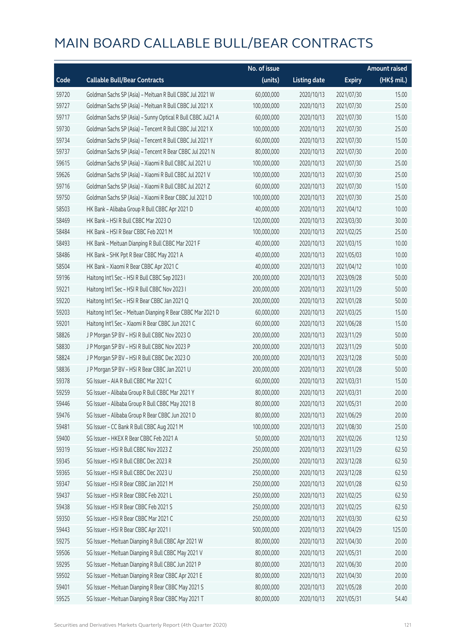|       |                                                             | No. of issue |                     |               | <b>Amount raised</b>  |
|-------|-------------------------------------------------------------|--------------|---------------------|---------------|-----------------------|
| Code  | <b>Callable Bull/Bear Contracts</b>                         | (units)      | <b>Listing date</b> | <b>Expiry</b> | $(HK\frac{1}{2}mil.)$ |
| 59720 | Goldman Sachs SP (Asia) - Meituan R Bull CBBC Jul 2021 W    | 60,000,000   | 2020/10/13          | 2021/07/30    | 15.00                 |
| 59727 | Goldman Sachs SP (Asia) - Meituan R Bull CBBC Jul 2021 X    | 100,000,000  | 2020/10/13          | 2021/07/30    | 25.00                 |
| 59717 | Goldman Sachs SP (Asia) - Sunny Optical R Bull CBBC Jul21 A | 60,000,000   | 2020/10/13          | 2021/07/30    | 15.00                 |
| 59730 | Goldman Sachs SP (Asia) - Tencent R Bull CBBC Jul 2021 X    | 100,000,000  | 2020/10/13          | 2021/07/30    | 25.00                 |
| 59734 | Goldman Sachs SP (Asia) - Tencent R Bull CBBC Jul 2021 Y    | 60,000,000   | 2020/10/13          | 2021/07/30    | 15.00                 |
| 59737 | Goldman Sachs SP (Asia) - Tencent R Bear CBBC Jul 2021 N    | 80,000,000   | 2020/10/13          | 2021/07/30    | 20.00                 |
| 59615 | Goldman Sachs SP (Asia) - Xiaomi R Bull CBBC Jul 2021 U     | 100,000,000  | 2020/10/13          | 2021/07/30    | 25.00                 |
| 59626 | Goldman Sachs SP (Asia) - Xiaomi R Bull CBBC Jul 2021 V     | 100,000,000  | 2020/10/13          | 2021/07/30    | 25.00                 |
| 59716 | Goldman Sachs SP (Asia) - Xiaomi R Bull CBBC Jul 2021 Z     | 60,000,000   | 2020/10/13          | 2021/07/30    | 15.00                 |
| 59750 | Goldman Sachs SP (Asia) - Xiaomi R Bear CBBC Jul 2021 D     | 100,000,000  | 2020/10/13          | 2021/07/30    | 25.00                 |
| 58503 | HK Bank - Alibaba Group R Bull CBBC Apr 2021 D              | 40,000,000   | 2020/10/13          | 2021/04/12    | 10.00                 |
| 58469 | HK Bank - HSI R Bull CBBC Mar 2023 O                        | 120,000,000  | 2020/10/13          | 2023/03/30    | 30.00                 |
| 58484 | HK Bank - HSI R Bear CBBC Feb 2021 M                        | 100,000,000  | 2020/10/13          | 2021/02/25    | 25.00                 |
| 58493 | HK Bank - Meituan Dianping R Bull CBBC Mar 2021 F           | 40,000,000   | 2020/10/13          | 2021/03/15    | 10.00                 |
| 58486 | HK Bank - SHK Ppt R Bear CBBC May 2021 A                    | 40,000,000   | 2020/10/13          | 2021/05/03    | 10.00                 |
| 58504 | HK Bank - Xiaomi R Bear CBBC Apr 2021 C                     | 40,000,000   | 2020/10/13          | 2021/04/12    | 10.00                 |
| 59196 | Haitong Int'l Sec - HSI R Bull CBBC Sep 2023 I              | 200,000,000  | 2020/10/13          | 2023/09/28    | 50.00                 |
| 59221 | Haitong Int'l Sec - HSI R Bull CBBC Nov 2023 I              | 200,000,000  | 2020/10/13          | 2023/11/29    | 50.00                 |
| 59220 | Haitong Int'l Sec - HSI R Bear CBBC Jan 2021 Q              | 200,000,000  | 2020/10/13          | 2021/01/28    | 50.00                 |
| 59203 | Haitong Int'l Sec - Meituan Dianping R Bear CBBC Mar 2021 D | 60,000,000   | 2020/10/13          | 2021/03/25    | 15.00                 |
| 59201 | Haitong Int'l Sec - Xiaomi R Bear CBBC Jun 2021 C           | 60,000,000   | 2020/10/13          | 2021/06/28    | 15.00                 |
| 58826 | J P Morgan SP BV - HSI R Bull CBBC Nov 2023 O               | 200,000,000  | 2020/10/13          | 2023/11/29    | 50.00                 |
| 58830 | J P Morgan SP BV - HSI R Bull CBBC Nov 2023 P               | 200,000,000  | 2020/10/13          | 2023/11/29    | 50.00                 |
| 58824 | J P Morgan SP BV - HSI R Bull CBBC Dec 2023 O               | 200,000,000  | 2020/10/13          | 2023/12/28    | 50.00                 |
| 58836 | J P Morgan SP BV - HSI R Bear CBBC Jan 2021 U               | 200,000,000  | 2020/10/13          | 2021/01/28    | 50.00                 |
| 59378 | SG Issuer - AIA R Bull CBBC Mar 2021 C                      | 60,000,000   | 2020/10/13          | 2021/03/31    | 15.00                 |
| 59259 | SG Issuer - Alibaba Group R Bull CBBC Mar 2021 Y            | 80,000,000   | 2020/10/13          | 2021/03/31    | 20.00                 |
| 59446 | SG Issuer - Alibaba Group R Bull CBBC May 2021 B            | 80,000,000   | 2020/10/13          | 2021/05/31    | 20.00                 |
| 59476 | SG Issuer - Alibaba Group R Bear CBBC Jun 2021 D            | 80,000,000   | 2020/10/13          | 2021/06/29    | 20.00                 |
| 59481 | SG Issuer - CC Bank R Bull CBBC Aug 2021 M                  | 100,000,000  | 2020/10/13          | 2021/08/30    | 25.00                 |
| 59400 | SG Issuer - HKEX R Bear CBBC Feb 2021 A                     | 50,000,000   | 2020/10/13          | 2021/02/26    | 12.50                 |
| 59319 | SG Issuer - HSI R Bull CBBC Nov 2023 Z                      | 250,000,000  | 2020/10/13          | 2023/11/29    | 62.50                 |
| 59345 | SG Issuer - HSI R Bull CBBC Dec 2023 R                      | 250,000,000  | 2020/10/13          | 2023/12/28    | 62.50                 |
| 59365 | SG Issuer - HSI R Bull CBBC Dec 2023 U                      | 250,000,000  | 2020/10/13          | 2023/12/28    | 62.50                 |
| 59347 | SG Issuer - HSI R Bear CBBC Jan 2021 M                      | 250,000,000  | 2020/10/13          | 2021/01/28    | 62.50                 |
| 59437 | SG Issuer - HSI R Bear CBBC Feb 2021 L                      | 250,000,000  | 2020/10/13          | 2021/02/25    | 62.50                 |
| 59438 | SG Issuer - HSI R Bear CBBC Feb 2021 S                      | 250,000,000  | 2020/10/13          | 2021/02/25    | 62.50                 |
| 59350 | SG Issuer - HSI R Bear CBBC Mar 2021 C                      | 250,000,000  | 2020/10/13          | 2021/03/30    | 62.50                 |
| 59443 | SG Issuer - HSI R Bear CBBC Apr 2021 I                      | 500,000,000  | 2020/10/13          | 2021/04/29    | 125.00                |
| 59275 | SG Issuer - Meituan Dianping R Bull CBBC Apr 2021 W         | 80,000,000   | 2020/10/13          | 2021/04/30    | 20.00                 |
| 59506 | SG Issuer - Meituan Dianping R Bull CBBC May 2021 V         | 80,000,000   | 2020/10/13          | 2021/05/31    | 20.00                 |
| 59295 | SG Issuer - Meituan Dianping R Bull CBBC Jun 2021 P         | 80,000,000   | 2020/10/13          | 2021/06/30    | 20.00                 |
| 59502 | SG Issuer - Meituan Dianping R Bear CBBC Apr 2021 E         | 80,000,000   | 2020/10/13          | 2021/04/30    | 20.00                 |
| 59401 | SG Issuer - Meituan Dianping R Bear CBBC May 2021 S         | 80,000,000   | 2020/10/13          | 2021/05/28    | 20.00                 |
| 59525 | SG Issuer - Meituan Dianping R Bear CBBC May 2021 T         | 80,000,000   | 2020/10/13          | 2021/05/31    | 54.40                 |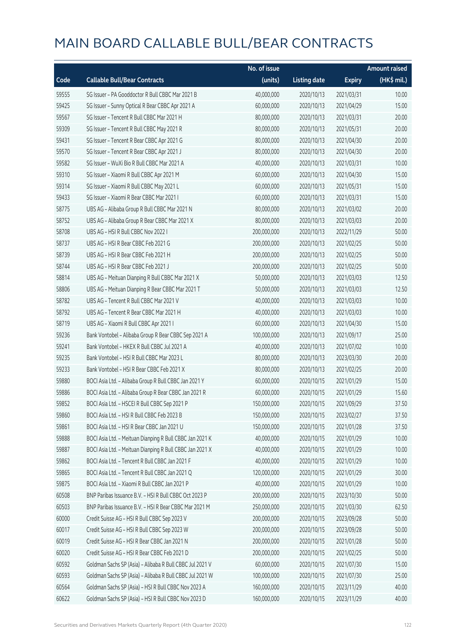|       |                                                          | No. of issue |                     |               | <b>Amount raised</b> |
|-------|----------------------------------------------------------|--------------|---------------------|---------------|----------------------|
| Code  | <b>Callable Bull/Bear Contracts</b>                      | (units)      | <b>Listing date</b> | <b>Expiry</b> | (HK\$ mil.)          |
| 59555 | SG Issuer - PA Gooddoctor R Bull CBBC Mar 2021 B         | 40,000,000   | 2020/10/13          | 2021/03/31    | 10.00                |
| 59425 | SG Issuer - Sunny Optical R Bear CBBC Apr 2021 A         | 60,000,000   | 2020/10/13          | 2021/04/29    | 15.00                |
| 59567 | SG Issuer - Tencent R Bull CBBC Mar 2021 H               | 80,000,000   | 2020/10/13          | 2021/03/31    | 20.00                |
| 59309 | SG Issuer - Tencent R Bull CBBC May 2021 R               | 80,000,000   | 2020/10/13          | 2021/05/31    | 20.00                |
| 59431 | SG Issuer - Tencent R Bear CBBC Apr 2021 G               | 80,000,000   | 2020/10/13          | 2021/04/30    | 20.00                |
| 59570 | SG Issuer - Tencent R Bear CBBC Apr 2021 J               | 80,000,000   | 2020/10/13          | 2021/04/30    | 20.00                |
| 59582 | SG Issuer - WuXi Bio R Bull CBBC Mar 2021 A              | 40,000,000   | 2020/10/13          | 2021/03/31    | 10.00                |
| 59310 | SG Issuer - Xiaomi R Bull CBBC Apr 2021 M                | 60,000,000   | 2020/10/13          | 2021/04/30    | 15.00                |
| 59314 | SG Issuer - Xiaomi R Bull CBBC May 2021 L                | 60,000,000   | 2020/10/13          | 2021/05/31    | 15.00                |
| 59433 | SG Issuer - Xiaomi R Bear CBBC Mar 2021 I                | 60,000,000   | 2020/10/13          | 2021/03/31    | 15.00                |
| 58775 | UBS AG - Alibaba Group R Bull CBBC Mar 2021 N            | 80,000,000   | 2020/10/13          | 2021/03/02    | 20.00                |
| 58752 | UBS AG - Alibaba Group R Bear CBBC Mar 2021 X            | 80,000,000   | 2020/10/13          | 2021/03/03    | 20.00                |
| 58708 | UBS AG - HSI R Bull CBBC Nov 2022 I                      | 200,000,000  | 2020/10/13          | 2022/11/29    | 50.00                |
| 58737 | UBS AG - HSI R Bear CBBC Feb 2021 G                      | 200,000,000  | 2020/10/13          | 2021/02/25    | 50.00                |
| 58739 | UBS AG - HSI R Bear CBBC Feb 2021 H                      | 200,000,000  | 2020/10/13          | 2021/02/25    | 50.00                |
| 58744 | UBS AG - HSI R Bear CBBC Feb 2021 J                      | 200,000,000  | 2020/10/13          | 2021/02/25    | 50.00                |
| 58814 | UBS AG - Meituan Dianping R Bull CBBC Mar 2021 X         | 50,000,000   | 2020/10/13          | 2021/03/03    | 12.50                |
| 58806 | UBS AG - Meituan Dianping R Bear CBBC Mar 2021 T         | 50,000,000   | 2020/10/13          | 2021/03/03    | 12.50                |
| 58782 | UBS AG - Tencent R Bull CBBC Mar 2021 V                  | 40,000,000   | 2020/10/13          | 2021/03/03    | 10.00                |
| 58792 | UBS AG - Tencent R Bear CBBC Mar 2021 H                  | 40,000,000   | 2020/10/13          | 2021/03/03    | 10.00                |
| 58719 | UBS AG - Xiaomi R Bull CBBC Apr 2021 I                   | 60,000,000   | 2020/10/13          | 2021/04/30    | 15.00                |
| 59236 | Bank Vontobel - Alibaba Group R Bear CBBC Sep 2021 A     | 100,000,000  | 2020/10/13          | 2021/09/17    | 25.00                |
| 59241 | Bank Vontobel - HKEX R Bull CBBC Jul 2021 A              | 40,000,000   | 2020/10/13          | 2021/07/02    | 10.00                |
| 59235 | Bank Vontobel - HSI R Bull CBBC Mar 2023 L               | 80,000,000   | 2020/10/13          | 2023/03/30    | 20.00                |
| 59233 | Bank Vontobel - HSI R Bear CBBC Feb 2021 X               | 80,000,000   | 2020/10/13          | 2021/02/25    | 20.00                |
| 59880 | BOCI Asia Ltd. - Alibaba Group R Bull CBBC Jan 2021 Y    | 60,000,000   | 2020/10/15          | 2021/01/29    | 15.00                |
| 59886 | BOCI Asia Ltd. - Alibaba Group R Bear CBBC Jan 2021 R    | 60,000,000   | 2020/10/15          | 2021/01/29    | 15.60                |
| 59852 | BOCI Asia Ltd. - HSCEI R Bull CBBC Sep 2021 P            | 150,000,000  | 2020/10/15          | 2021/09/29    | 37.50                |
| 59860 | BOCI Asia Ltd. - HSI R Bull CBBC Feb 2023 B              | 150,000,000  | 2020/10/15          | 2023/02/27    | 37.50                |
| 59861 | BOCI Asia Ltd. - HSI R Bear CBBC Jan 2021 U              | 150,000,000  | 2020/10/15          | 2021/01/28    | 37.50                |
| 59888 | BOCI Asia Ltd. - Meituan Dianping R Bull CBBC Jan 2021 K | 40,000,000   | 2020/10/15          | 2021/01/29    | 10.00                |
| 59887 | BOCI Asia Ltd. - Meituan Dianping R Bull CBBC Jan 2021 X | 40,000,000   | 2020/10/15          | 2021/01/29    | 10.00                |
| 59862 | BOCI Asia Ltd. - Tencent R Bull CBBC Jan 2021 F          | 40,000,000   | 2020/10/15          | 2021/01/29    | 10.00                |
| 59865 | BOCI Asia Ltd. - Tencent R Bull CBBC Jan 2021 Q          | 120,000,000  | 2020/10/15          | 2021/01/29    | 30.00                |
| 59875 | BOCI Asia Ltd. - Xiaomi R Bull CBBC Jan 2021 P           | 40,000,000   | 2020/10/15          | 2021/01/29    | 10.00                |
| 60508 | BNP Paribas Issuance B.V. - HSI R Bull CBBC Oct 2023 P   | 200,000,000  | 2020/10/15          | 2023/10/30    | 50.00                |
| 60503 | BNP Paribas Issuance B.V. - HSI R Bear CBBC Mar 2021 M   | 250,000,000  | 2020/10/15          | 2021/03/30    | 62.50                |
| 60000 | Credit Suisse AG - HSI R Bull CBBC Sep 2023 V            | 200,000,000  | 2020/10/15          | 2023/09/28    | 50.00                |
| 60017 | Credit Suisse AG - HSI R Bull CBBC Sep 2023 W            | 200,000,000  | 2020/10/15          | 2023/09/28    | 50.00                |
| 60019 | Credit Suisse AG - HSI R Bear CBBC Jan 2021 N            | 200,000,000  | 2020/10/15          | 2021/01/28    | 50.00                |
| 60020 | Credit Suisse AG - HSI R Bear CBBC Feb 2021 D            | 200,000,000  | 2020/10/15          | 2021/02/25    | 50.00                |
| 60592 | Goldman Sachs SP (Asia) - Alibaba R Bull CBBC Jul 2021 V | 60,000,000   | 2020/10/15          | 2021/07/30    | 15.00                |
| 60593 | Goldman Sachs SP (Asia) - Alibaba R Bull CBBC Jul 2021 W | 100,000,000  | 2020/10/15          | 2021/07/30    | 25.00                |
| 60564 | Goldman Sachs SP (Asia) - HSI R Bull CBBC Nov 2023 A     | 160,000,000  | 2020/10/15          | 2023/11/29    | 40.00                |
| 60622 | Goldman Sachs SP (Asia) - HSI R Bull CBBC Nov 2023 D     | 160,000,000  | 2020/10/15          | 2023/11/29    | 40.00                |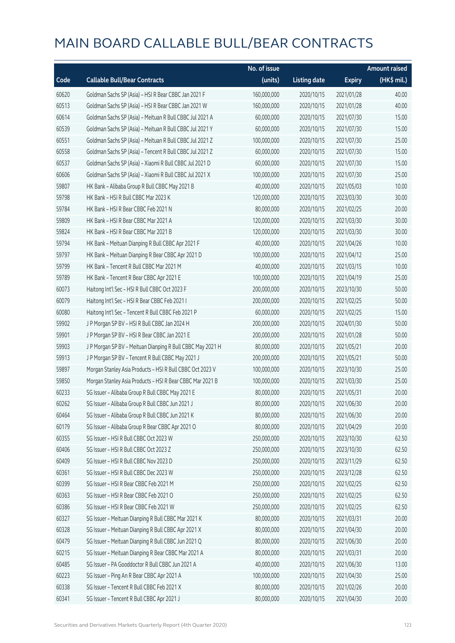|       |                                                            | No. of issue |                     |               | <b>Amount raised</b> |
|-------|------------------------------------------------------------|--------------|---------------------|---------------|----------------------|
| Code  | <b>Callable Bull/Bear Contracts</b>                        | (units)      | <b>Listing date</b> | <b>Expiry</b> | $(HK\$ mil.)         |
| 60620 | Goldman Sachs SP (Asia) - HSI R Bear CBBC Jan 2021 F       | 160,000,000  | 2020/10/15          | 2021/01/28    | 40.00                |
| 60513 | Goldman Sachs SP (Asia) - HSI R Bear CBBC Jan 2021 W       | 160,000,000  | 2020/10/15          | 2021/01/28    | 40.00                |
| 60614 | Goldman Sachs SP (Asia) - Meituan R Bull CBBC Jul 2021 A   | 60,000,000   | 2020/10/15          | 2021/07/30    | 15.00                |
| 60539 | Goldman Sachs SP (Asia) - Meituan R Bull CBBC Jul 2021 Y   | 60,000,000   | 2020/10/15          | 2021/07/30    | 15.00                |
| 60551 | Goldman Sachs SP (Asia) - Meituan R Bull CBBC Jul 2021 Z   | 100,000,000  | 2020/10/15          | 2021/07/30    | 25.00                |
| 60558 | Goldman Sachs SP (Asia) - Tencent R Bull CBBC Jul 2021 Z   | 60,000,000   | 2020/10/15          | 2021/07/30    | 15.00                |
| 60537 | Goldman Sachs SP (Asia) - Xiaomi R Bull CBBC Jul 2021 D    | 60,000,000   | 2020/10/15          | 2021/07/30    | 15.00                |
| 60606 | Goldman Sachs SP (Asia) - Xiaomi R Bull CBBC Jul 2021 X    | 100,000,000  | 2020/10/15          | 2021/07/30    | 25.00                |
| 59807 | HK Bank - Alibaba Group R Bull CBBC May 2021 B             | 40,000,000   | 2020/10/15          | 2021/05/03    | 10.00                |
| 59798 | HK Bank - HSI R Bull CBBC Mar 2023 K                       | 120,000,000  | 2020/10/15          | 2023/03/30    | 30.00                |
| 59784 | HK Bank - HSI R Bear CBBC Feb 2021 N                       | 80,000,000   | 2020/10/15          | 2021/02/25    | 20.00                |
| 59809 | HK Bank - HSI R Bear CBBC Mar 2021 A                       | 120,000,000  | 2020/10/15          | 2021/03/30    | 30.00                |
| 59824 | HK Bank - HSI R Bear CBBC Mar 2021 B                       | 120,000,000  | 2020/10/15          | 2021/03/30    | 30.00                |
| 59794 | HK Bank - Meituan Dianping R Bull CBBC Apr 2021 F          | 40,000,000   | 2020/10/15          | 2021/04/26    | 10.00                |
| 59797 | HK Bank - Meituan Dianping R Bear CBBC Apr 2021 D          | 100,000,000  | 2020/10/15          | 2021/04/12    | 25.00                |
| 59799 | HK Bank - Tencent R Bull CBBC Mar 2021 M                   | 40,000,000   | 2020/10/15          | 2021/03/15    | 10.00                |
| 59789 | HK Bank - Tencent R Bear CBBC Apr 2021 E                   | 100,000,000  | 2020/10/15          | 2021/04/19    | 25.00                |
| 60073 | Haitong Int'l Sec - HSI R Bull CBBC Oct 2023 F             | 200,000,000  | 2020/10/15          | 2023/10/30    | 50.00                |
| 60079 | Haitong Int'l Sec - HSI R Bear CBBC Feb 2021 I             | 200,000,000  | 2020/10/15          | 2021/02/25    | 50.00                |
| 60080 | Haitong Int'l Sec - Tencent R Bull CBBC Feb 2021 P         | 60,000,000   | 2020/10/15          | 2021/02/25    | 15.00                |
| 59902 | J P Morgan SP BV - HSI R Bull CBBC Jan 2024 H              | 200,000,000  | 2020/10/15          | 2024/01/30    | 50.00                |
| 59901 | J P Morgan SP BV - HSI R Bear CBBC Jan 2021 E              | 200,000,000  | 2020/10/15          | 2021/01/28    | 50.00                |
| 59903 | J P Morgan SP BV - Meituan Dianping R Bull CBBC May 2021 H | 80,000,000   | 2020/10/15          | 2021/05/21    | 20.00                |
| 59913 | J P Morgan SP BV - Tencent R Bull CBBC May 2021 J          | 200,000,000  | 2020/10/15          | 2021/05/21    | 50.00                |
| 59897 | Morgan Stanley Asia Products - HSI R Bull CBBC Oct 2023 V  | 100,000,000  | 2020/10/15          | 2023/10/30    | 25.00                |
| 59850 | Morgan Stanley Asia Products - HSI R Bear CBBC Mar 2021 B  | 100,000,000  | 2020/10/15          | 2021/03/30    | 25.00                |
| 60233 | SG Issuer - Alibaba Group R Bull CBBC May 2021 E           | 80,000,000   | 2020/10/15          | 2021/05/31    | 20.00                |
| 60262 | SG Issuer - Alibaba Group R Bull CBBC Jun 2021 J           | 80,000,000   | 2020/10/15          | 2021/06/30    | 20.00                |
| 60464 | SG Issuer - Alibaba Group R Bull CBBC Jun 2021 K           | 80,000,000   | 2020/10/15          | 2021/06/30    | 20.00                |
| 60179 | SG Issuer - Alibaba Group R Bear CBBC Apr 2021 O           | 80,000,000   | 2020/10/15          | 2021/04/29    | 20.00                |
| 60355 | SG Issuer - HSI R Bull CBBC Oct 2023 W                     | 250,000,000  | 2020/10/15          | 2023/10/30    | 62.50                |
| 60406 | SG Issuer - HSI R Bull CBBC Oct 2023 Z                     | 250,000,000  | 2020/10/15          | 2023/10/30    | 62.50                |
| 60409 | SG Issuer - HSI R Bull CBBC Nov 2023 D                     | 250,000,000  | 2020/10/15          | 2023/11/29    | 62.50                |
| 60361 | SG Issuer - HSI R Bull CBBC Dec 2023 W                     | 250,000,000  | 2020/10/15          | 2023/12/28    | 62.50                |
| 60399 | SG Issuer - HSI R Bear CBBC Feb 2021 M                     | 250,000,000  | 2020/10/15          | 2021/02/25    | 62.50                |
| 60363 | SG Issuer - HSI R Bear CBBC Feb 2021 O                     | 250,000,000  | 2020/10/15          | 2021/02/25    | 62.50                |
| 60386 | SG Issuer - HSI R Bear CBBC Feb 2021 W                     | 250,000,000  | 2020/10/15          | 2021/02/25    | 62.50                |
| 60327 | SG Issuer - Meituan Dianping R Bull CBBC Mar 2021 K        | 80,000,000   | 2020/10/15          | 2021/03/31    | 20.00                |
| 60328 | SG Issuer - Meituan Dianping R Bull CBBC Apr 2021 X        | 80,000,000   | 2020/10/15          | 2021/04/30    | 20.00                |
| 60479 | SG Issuer - Meituan Dianping R Bull CBBC Jun 2021 Q        | 80,000,000   | 2020/10/15          | 2021/06/30    | 20.00                |
| 60215 | SG Issuer - Meituan Dianping R Bear CBBC Mar 2021 A        | 80,000,000   | 2020/10/15          | 2021/03/31    | 20.00                |
| 60485 | SG Issuer - PA Gooddoctor R Bull CBBC Jun 2021 A           | 40,000,000   | 2020/10/15          | 2021/06/30    | 13.00                |
| 60223 | SG Issuer - Ping An R Bear CBBC Apr 2021 A                 | 100,000,000  | 2020/10/15          | 2021/04/30    | 25.00                |
| 60338 | SG Issuer - Tencent R Bull CBBC Feb 2021 X                 | 80,000,000   | 2020/10/15          | 2021/02/26    | 20.00                |
| 60341 | SG Issuer - Tencent R Bull CBBC Apr 2021 J                 | 80,000,000   | 2020/10/15          | 2021/04/30    | 20.00                |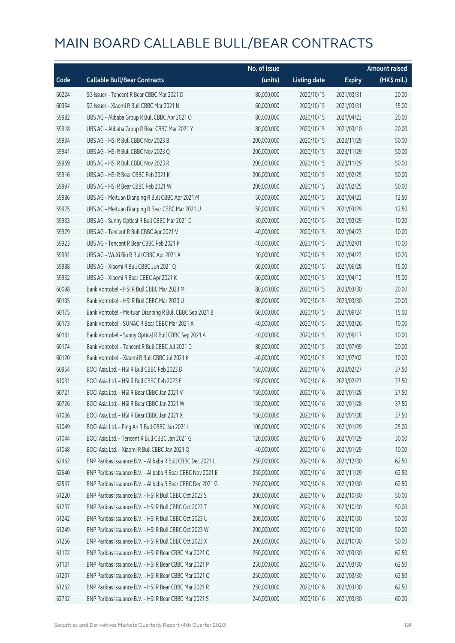|       |                                                            | No. of issue |                     |               | <b>Amount raised</b> |
|-------|------------------------------------------------------------|--------------|---------------------|---------------|----------------------|
| Code  | <b>Callable Bull/Bear Contracts</b>                        | (units)      | <b>Listing date</b> | <b>Expiry</b> | $(HK\$ mil.)         |
| 60224 | SG Issuer - Tencent R Bear CBBC Mar 2021 D                 | 80,000,000   | 2020/10/15          | 2021/03/31    | 20.00                |
| 60354 | SG Issuer - Xiaomi R Bull CBBC Mar 2021 N                  | 60,000,000   | 2020/10/15          | 2021/03/31    | 15.00                |
| 59982 | UBS AG - Alibaba Group R Bull CBBC Apr 2021 O              | 80,000,000   | 2020/10/15          | 2021/04/23    | 20.00                |
| 59918 | UBS AG - Alibaba Group R Bear CBBC Mar 2021 Y              | 80,000,000   | 2020/10/15          | 2021/03/10    | 20.00                |
| 59934 | UBS AG - HSI R Bull CBBC Nov 2023 B                        | 200,000,000  | 2020/10/15          | 2023/11/29    | 50.00                |
| 59941 | UBS AG - HSI R Bull CBBC Nov 2023 Q                        | 200,000,000  | 2020/10/15          | 2023/11/29    | 50.00                |
| 59959 | UBS AG - HSI R Bull CBBC Nov 2023 R                        | 200,000,000  | 2020/10/15          | 2023/11/29    | 50.00                |
| 59916 | UBS AG - HSI R Bear CBBC Feb 2021 K                        | 200,000,000  | 2020/10/15          | 2021/02/25    | 50.00                |
| 59997 | UBS AG - HSI R Bear CBBC Feb 2021 W                        | 200,000,000  | 2020/10/15          | 2021/02/25    | 50.00                |
| 59986 | UBS AG - Meituan Dianping R Bull CBBC Apr 2021 M           | 50,000,000   | 2020/10/15          | 2021/04/23    | 12.50                |
| 59925 | UBS AG - Meituan Dianping R Bear CBBC Mar 2021 U           | 50,000,000   | 2020/10/15          | 2021/03/29    | 12.50                |
| 59933 | UBS AG - Sunny Optical R Bull CBBC Mar 2021 D              | 30,000,000   | 2020/10/15          | 2021/03/29    | 10.20                |
| 59979 | UBS AG - Tencent R Bull CBBC Apr 2021 V                    | 40,000,000   | 2020/10/15          | 2021/04/23    | 10.00                |
| 59923 | UBS AG - Tencent R Bear CBBC Feb 2021 P                    | 40,000,000   | 2020/10/15          | 2021/02/01    | 10.00                |
| 59991 | UBS AG - WuXi Bio R Bull CBBC Apr 2021 A                   | 30,000,000   | 2020/10/15          | 2021/04/23    | 10.20                |
| 59988 | UBS AG - Xiaomi R Bull CBBC Jun 2021 Q                     | 60,000,000   | 2020/10/15          | 2021/06/28    | 15.00                |
| 59932 | UBS AG - Xiaomi R Bear CBBC Apr 2021 K                     | 60,000,000   | 2020/10/15          | 2021/04/12    | 15.00                |
| 60098 | Bank Vontobel - HSI R Bull CBBC Mar 2023 M                 | 80,000,000   | 2020/10/15          | 2023/03/30    | 20.00                |
| 60105 | Bank Vontobel - HSI R Bull CBBC Mar 2023 U                 | 80,000,000   | 2020/10/15          | 2023/03/30    | 20.00                |
| 60175 | Bank Vontobel - Meituan Dianping R Bull CBBC Sep 2021 B    | 60,000,000   | 2020/10/15          | 2021/09/24    | 15.00                |
| 60173 | Bank Vontobel - SUNAC R Bear CBBC Mar 2021 A               | 40,000,000   | 2020/10/15          | 2021/03/26    | 10.00                |
| 60161 | Bank Vontobel - Sunny Optical R Bull CBBC Sep 2021 A       | 40,000,000   | 2020/10/15          | 2021/09/17    | 10.00                |
| 60174 | Bank Vontobel - Tencent R Bull CBBC Jul 2021 D             | 80,000,000   | 2020/10/15          | 2021/07/09    | 20.00                |
| 60120 | Bank Vontobel - Xiaomi R Bull CBBC Jul 2021 K              | 40,000,000   | 2020/10/15          | 2021/07/02    | 10.00                |
| 60954 | BOCI Asia Ltd. - HSI R Bull CBBC Feb 2023 D                | 150,000,000  | 2020/10/16          | 2023/02/27    | 37.50                |
| 61031 | BOCI Asia Ltd. - HSI R Bull CBBC Feb 2023 E                | 150,000,000  | 2020/10/16          | 2023/02/27    | 37.50                |
| 60721 | BOCI Asia Ltd. - HSI R Bear CBBC Jan 2021 V                | 150,000,000  | 2020/10/16          | 2021/01/28    | 37.50                |
| 60726 | BOCI Asia Ltd. - HSI R Bear CBBC Jan 2021 W                | 150,000,000  | 2020/10/16          | 2021/01/28    | 37.50                |
| 61036 | BOCI Asia Ltd. - HSI R Bear CBBC Jan 2021 X                | 150,000,000  | 2020/10/16          | 2021/01/28    | 37.50                |
| 61049 | BOCI Asia Ltd. - Ping An R Bull CBBC Jan 2021 I            | 100,000,000  | 2020/10/16          | 2021/01/29    | 25.00                |
| 61044 | BOCI Asia Ltd. - Tencent R Bull CBBC Jan 2021 G            | 120,000,000  | 2020/10/16          | 2021/01/29    | 30.00                |
| 61048 | BOCI Asia Ltd. - Xiaomi R Bull CBBC Jan 2021 Q             | 40,000,000   | 2020/10/16          | 2021/01/29    | 10.00                |
| 62462 | BNP Paribas Issuance B.V. - Alibaba R Bull CBBC Dec 2021 L | 250,000,000  | 2020/10/16          | 2021/12/30    | 62.50                |
| 62640 | BNP Paribas Issuance B.V. - Alibaba R Bear CBBC Nov 2021 E | 250,000,000  | 2020/10/16          | 2021/11/29    | 62.50                |
| 62537 | BNP Paribas Issuance B.V. - Alibaba R Bear CBBC Dec 2021 G | 250,000,000  | 2020/10/16          | 2021/12/30    | 62.50                |
| 61220 | BNP Paribas Issuance B.V. - HSI R Bull CBBC Oct 2023 S     | 200,000,000  | 2020/10/16          | 2023/10/30    | 50.00                |
| 61237 | BNP Paribas Issuance B.V. - HSI R Bull CBBC Oct 2023 T     | 200,000,000  | 2020/10/16          | 2023/10/30    | 50.00                |
| 61242 | BNP Paribas Issuance B.V. - HSI R Bull CBBC Oct 2023 U     | 200,000,000  | 2020/10/16          | 2023/10/30    | 50.00                |
| 61249 | BNP Paribas Issuance B.V. - HSI R Bull CBBC Oct 2023 W     | 200,000,000  | 2020/10/16          | 2023/10/30    | 50.00                |
| 61256 | BNP Paribas Issuance B.V. - HSI R Bull CBBC Oct 2023 X     | 200,000,000  | 2020/10/16          | 2023/10/30    | 50.00                |
| 61122 | BNP Paribas Issuance B.V. - HSI R Bear CBBC Mar 2021 O     | 250,000,000  | 2020/10/16          | 2021/03/30    | 62.50                |
| 61131 | BNP Paribas Issuance B.V. - HSI R Bear CBBC Mar 2021 P     | 250,000,000  | 2020/10/16          | 2021/03/30    | 62.50                |
| 61207 | BNP Paribas Issuance B.V. - HSI R Bear CBBC Mar 2021 Q     | 250,000,000  | 2020/10/16          | 2021/03/30    | 62.50                |
| 61262 | BNP Paribas Issuance B.V. - HSI R Bear CBBC Mar 2021 R     | 250,000,000  | 2020/10/16          | 2021/03/30    | 62.50                |
| 62732 | BNP Paribas Issuance B.V. - HSI R Bear CBBC Mar 2021 S     | 240,000,000  | 2020/10/16          | 2021/03/30    | 60.00                |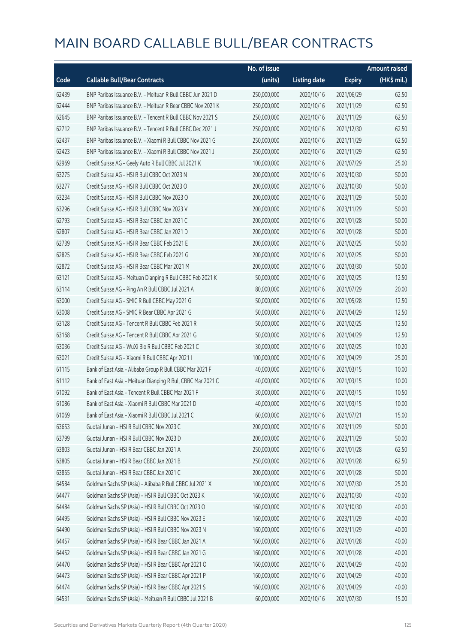|       |                                                             | No. of issue |                     |               | <b>Amount raised</b>  |
|-------|-------------------------------------------------------------|--------------|---------------------|---------------|-----------------------|
| Code  | <b>Callable Bull/Bear Contracts</b>                         | (units)      | <b>Listing date</b> | <b>Expiry</b> | $(HK\frac{1}{2}mil.)$ |
| 62439 | BNP Paribas Issuance B.V. - Meituan R Bull CBBC Jun 2021 D  | 250,000,000  | 2020/10/16          | 2021/06/29    | 62.50                 |
| 62444 | BNP Paribas Issuance B.V. - Meituan R Bear CBBC Nov 2021 K  | 250,000,000  | 2020/10/16          | 2021/11/29    | 62.50                 |
| 62645 | BNP Paribas Issuance B.V. - Tencent R Bull CBBC Nov 2021 S  | 250,000,000  | 2020/10/16          | 2021/11/29    | 62.50                 |
| 62712 | BNP Paribas Issuance B.V. - Tencent R Bull CBBC Dec 2021 J  | 250,000,000  | 2020/10/16          | 2021/12/30    | 62.50                 |
| 62437 | BNP Paribas Issuance B.V. - Xiaomi R Bull CBBC Nov 2021 G   | 250,000,000  | 2020/10/16          | 2021/11/29    | 62.50                 |
| 62423 | BNP Paribas Issuance B.V. - Xiaomi R Bull CBBC Nov 2021 J   | 250,000,000  | 2020/10/16          | 2021/11/29    | 62.50                 |
| 62969 | Credit Suisse AG - Geely Auto R Bull CBBC Jul 2021 K        | 100,000,000  | 2020/10/16          | 2021/07/29    | 25.00                 |
| 63275 | Credit Suisse AG - HSI R Bull CBBC Oct 2023 N               | 200,000,000  | 2020/10/16          | 2023/10/30    | 50.00                 |
| 63277 | Credit Suisse AG - HSI R Bull CBBC Oct 2023 O               | 200,000,000  | 2020/10/16          | 2023/10/30    | 50.00                 |
| 63234 | Credit Suisse AG - HSI R Bull CBBC Nov 2023 O               | 200,000,000  | 2020/10/16          | 2023/11/29    | 50.00                 |
| 63296 | Credit Suisse AG - HSI R Bull CBBC Nov 2023 V               | 200,000,000  | 2020/10/16          | 2023/11/29    | 50.00                 |
| 62793 | Credit Suisse AG - HSI R Bear CBBC Jan 2021 C               | 200,000,000  | 2020/10/16          | 2021/01/28    | 50.00                 |
| 62807 | Credit Suisse AG - HSI R Bear CBBC Jan 2021 D               | 200,000,000  | 2020/10/16          | 2021/01/28    | 50.00                 |
| 62739 | Credit Suisse AG - HSI R Bear CBBC Feb 2021 E               | 200,000,000  | 2020/10/16          | 2021/02/25    | 50.00                 |
| 62825 | Credit Suisse AG - HSI R Bear CBBC Feb 2021 G               | 200,000,000  | 2020/10/16          | 2021/02/25    | 50.00                 |
| 62872 | Credit Suisse AG - HSI R Bear CBBC Mar 2021 M               | 200,000,000  | 2020/10/16          | 2021/03/30    | 50.00                 |
| 63121 | Credit Suisse AG - Meituan Dianping R Bull CBBC Feb 2021 K  | 50,000,000   | 2020/10/16          | 2021/02/25    | 12.50                 |
| 63114 | Credit Suisse AG - Ping An R Bull CBBC Jul 2021 A           | 80,000,000   | 2020/10/16          | 2021/07/29    | 20.00                 |
| 63000 | Credit Suisse AG - SMIC R Bull CBBC May 2021 G              | 50,000,000   | 2020/10/16          | 2021/05/28    | 12.50                 |
| 63008 | Credit Suisse AG - SMIC R Bear CBBC Apr 2021 G              | 50,000,000   | 2020/10/16          | 2021/04/29    | 12.50                 |
| 63128 | Credit Suisse AG - Tencent R Bull CBBC Feb 2021 R           | 50,000,000   | 2020/10/16          | 2021/02/25    | 12.50                 |
| 63168 | Credit Suisse AG - Tencent R Bull CBBC Apr 2021 G           | 50,000,000   | 2020/10/16          | 2021/04/29    | 12.50                 |
| 63036 | Credit Suisse AG - WuXi Bio R Bull CBBC Feb 2021 C          | 30,000,000   | 2020/10/16          | 2021/02/25    | 10.20                 |
| 63021 | Credit Suisse AG - Xiaomi R Bull CBBC Apr 2021 I            | 100,000,000  | 2020/10/16          | 2021/04/29    | 25.00                 |
| 61115 | Bank of East Asia - Alibaba Group R Bull CBBC Mar 2021 F    | 40,000,000   | 2020/10/16          | 2021/03/15    | 10.00                 |
| 61112 | Bank of East Asia - Meituan Dianping R Bull CBBC Mar 2021 C | 40,000,000   | 2020/10/16          | 2021/03/15    | 10.00                 |
| 61092 | Bank of East Asia - Tencent R Bull CBBC Mar 2021 F          | 30,000,000   | 2020/10/16          | 2021/03/15    | 10.50                 |
| 61086 | Bank of East Asia - Xiaomi R Bull CBBC Mar 2021 D           | 40,000,000   | 2020/10/16          | 2021/03/15    | 10.00                 |
| 61069 | Bank of East Asia - Xiaomi R Bull CBBC Jul 2021 C           | 60,000,000   | 2020/10/16          | 2021/07/21    | 15.00                 |
| 63653 | Guotai Junan - HSI R Bull CBBC Nov 2023 C                   | 200,000,000  | 2020/10/16          | 2023/11/29    | 50.00                 |
| 63799 | Guotai Junan - HSI R Bull CBBC Nov 2023 D                   | 200,000,000  | 2020/10/16          | 2023/11/29    | 50.00                 |
| 63803 | Guotai Junan - HSI R Bear CBBC Jan 2021 A                   | 250,000,000  | 2020/10/16          | 2021/01/28    | 62.50                 |
| 63805 | Guotai Junan - HSI R Bear CBBC Jan 2021 B                   | 250,000,000  | 2020/10/16          | 2021/01/28    | 62.50                 |
| 63855 | Guotai Junan - HSI R Bear CBBC Jan 2021 C                   | 200,000,000  | 2020/10/16          | 2021/01/28    | 50.00                 |
| 64584 | Goldman Sachs SP (Asia) - Alibaba R Bull CBBC Jul 2021 X    | 100,000,000  | 2020/10/16          | 2021/07/30    | 25.00                 |
| 64477 | Goldman Sachs SP (Asia) - HSI R Bull CBBC Oct 2023 K        | 160,000,000  | 2020/10/16          | 2023/10/30    | 40.00                 |
| 64484 | Goldman Sachs SP (Asia) - HSI R Bull CBBC Oct 2023 O        | 160,000,000  | 2020/10/16          | 2023/10/30    | 40.00                 |
| 64495 | Goldman Sachs SP (Asia) - HSI R Bull CBBC Nov 2023 E        | 160,000,000  | 2020/10/16          | 2023/11/29    | 40.00                 |
| 64490 | Goldman Sachs SP (Asia) - HSI R Bull CBBC Nov 2023 N        | 160,000,000  | 2020/10/16          | 2023/11/29    | 40.00                 |
| 64457 | Goldman Sachs SP (Asia) - HSI R Bear CBBC Jan 2021 A        | 160,000,000  | 2020/10/16          | 2021/01/28    | 40.00                 |
| 64452 | Goldman Sachs SP (Asia) - HSI R Bear CBBC Jan 2021 G        | 160,000,000  | 2020/10/16          | 2021/01/28    | 40.00                 |
| 64470 | Goldman Sachs SP (Asia) - HSI R Bear CBBC Apr 2021 O        | 160,000,000  | 2020/10/16          | 2021/04/29    | 40.00                 |
| 64473 | Goldman Sachs SP (Asia) - HSI R Bear CBBC Apr 2021 P        | 160,000,000  | 2020/10/16          | 2021/04/29    | 40.00                 |
| 64474 | Goldman Sachs SP (Asia) - HSI R Bear CBBC Apr 2021 S        | 160,000,000  | 2020/10/16          | 2021/04/29    | 40.00                 |
| 64531 | Goldman Sachs SP (Asia) - Meituan R Bull CBBC Jul 2021 B    | 60,000,000   | 2020/10/16          | 2021/07/30    | 15.00                 |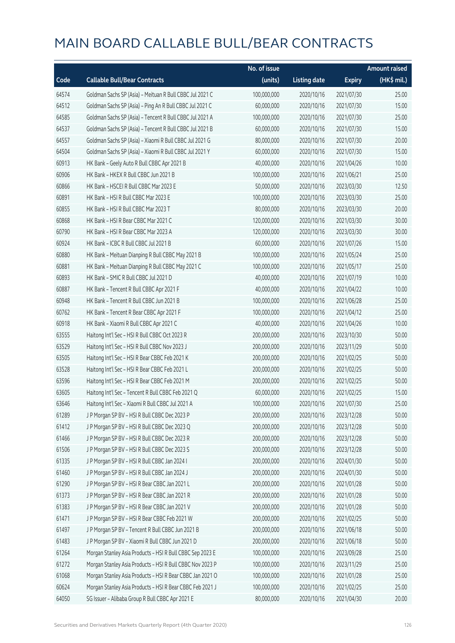| $(HK$$ mil.)<br>(units)<br>Code<br><b>Callable Bull/Bear Contracts</b><br><b>Listing date</b><br><b>Expiry</b><br>64574<br>100,000,000<br>25.00<br>Goldman Sachs SP (Asia) - Meituan R Bull CBBC Jul 2021 C<br>2020/10/16<br>2021/07/30<br>64512<br>Goldman Sachs SP (Asia) - Ping An R Bull CBBC Jul 2021 C<br>60,000,000<br>15.00<br>2020/10/16<br>2021/07/30<br>25.00<br>64585<br>Goldman Sachs SP (Asia) - Tencent R Bull CBBC Jul 2021 A<br>100,000,000<br>2020/10/16<br>2021/07/30<br>64537<br>Goldman Sachs SP (Asia) - Tencent R Bull CBBC Jul 2021 B<br>15.00<br>60,000,000<br>2020/10/16<br>2021/07/30<br>Goldman Sachs SP (Asia) - Xiaomi R Bull CBBC Jul 2021 G<br>2020/10/16<br>2021/07/30<br>64557<br>80,000,000<br>20.00<br>64504<br>Goldman Sachs SP (Asia) - Xiaomi R Bull CBBC Jul 2021 Y<br>60,000,000<br>2020/10/16<br>2021/07/30<br>15.00<br>60913<br>HK Bank - Geely Auto R Bull CBBC Apr 2021 B<br>40,000,000<br>2020/10/16<br>2021/04/26<br>10.00<br>60906<br>HK Bank - HKEX R Bull CBBC Jun 2021 B<br>100,000,000<br>2020/10/16<br>2021/06/21<br>25.00<br>60866<br>HK Bank - HSCEI R Bull CBBC Mar 2023 E<br>50,000,000<br>2020/10/16<br>2023/03/30<br>12.50<br>60891<br>HK Bank - HSI R Bull CBBC Mar 2023 E<br>100,000,000<br>2020/10/16<br>2023/03/30<br>25.00<br>HK Bank - HSI R Bull CBBC Mar 2023 T<br>60855<br>80,000,000<br>2020/10/16<br>2023/03/30<br>20.00<br>60868<br>HK Bank - HSI R Bear CBBC Mar 2021 C<br>30.00<br>120,000,000<br>2020/10/16<br>2021/03/30<br>60790<br>HK Bank - HSI R Bear CBBC Mar 2023 A<br>30.00<br>120,000,000<br>2020/10/16<br>2023/03/30<br>60924<br>HK Bank - ICBC R Bull CBBC Jul 2021 B<br>60,000,000<br>2020/10/16<br>2021/07/26<br>15.00<br>60880<br>HK Bank - Meituan Dianping R Bull CBBC May 2021 B<br>100,000,000<br>2020/10/16<br>2021/05/24<br>25.00<br>60881<br>HK Bank - Meituan Dianping R Bull CBBC May 2021 C<br>100,000,000<br>2020/10/16<br>2021/05/17<br>25.00<br>60893<br>HK Bank - SMIC R Bull CBBC Jul 2021 D<br>2020/10/16<br>2021/07/19<br>10.00<br>40,000,000<br>60887<br>HK Bank - Tencent R Bull CBBC Apr 2021 F<br>10.00<br>40,000,000<br>2020/10/16<br>2021/04/22<br>HK Bank - Tencent R Bull CBBC Jun 2021 B<br>25.00<br>60948<br>100,000,000<br>2020/10/16<br>2021/06/28<br>60762<br>HK Bank - Tencent R Bear CBBC Apr 2021 F<br>100,000,000<br>2020/10/16<br>2021/04/12<br>25.00<br>60918<br>HK Bank - Xiaomi R Bull CBBC Apr 2021 C<br>2021/04/26<br>40,000,000<br>2020/10/16<br>10.00<br>63555<br>Haitong Int'l Sec - HSI R Bull CBBC Oct 2023 R<br>200,000,000<br>2020/10/16<br>2023/10/30<br>50.00<br>63529<br>Haitong Int'l Sec - HSI R Bull CBBC Nov 2023 J<br>200,000,000<br>2020/10/16<br>2023/11/29<br>50.00<br>63505<br>Haitong Int'l Sec - HSI R Bear CBBC Feb 2021 K<br>200,000,000<br>2020/10/16<br>2021/02/25<br>50.00<br>63528<br>Haitong Int'l Sec - HSI R Bear CBBC Feb 2021 L<br>200,000,000<br>2020/10/16<br>2021/02/25<br>50.00<br>63596<br>Haitong Int'l Sec - HSI R Bear CBBC Feb 2021 M<br>200,000,000<br>2020/10/16<br>2021/02/25<br>50.00<br>63605<br>15.00<br>Haitong Int'l Sec - Tencent R Bull CBBC Feb 2021 Q<br>60,000,000<br>2020/10/16<br>2021/02/25<br>25.00<br>63646<br>Haitong Int'l Sec - Xiaomi R Bull CBBC Jul 2021 A<br>100,000,000<br>2020/10/16<br>2021/07/30 |
|--------------------------------------------------------------------------------------------------------------------------------------------------------------------------------------------------------------------------------------------------------------------------------------------------------------------------------------------------------------------------------------------------------------------------------------------------------------------------------------------------------------------------------------------------------------------------------------------------------------------------------------------------------------------------------------------------------------------------------------------------------------------------------------------------------------------------------------------------------------------------------------------------------------------------------------------------------------------------------------------------------------------------------------------------------------------------------------------------------------------------------------------------------------------------------------------------------------------------------------------------------------------------------------------------------------------------------------------------------------------------------------------------------------------------------------------------------------------------------------------------------------------------------------------------------------------------------------------------------------------------------------------------------------------------------------------------------------------------------------------------------------------------------------------------------------------------------------------------------------------------------------------------------------------------------------------------------------------------------------------------------------------------------------------------------------------------------------------------------------------------------------------------------------------------------------------------------------------------------------------------------------------------------------------------------------------------------------------------------------------------------------------------------------------------------------------------------------------------------------------------------------------------------------------------------------------------------------------------------------------------------------------------------------------------------------------------------------------------------------------------------------------------------------------------------------------------------------------------------------------------------------------------------------------------------------------------------------------------------------------------------------------------------------------------------------------------------------------------------------------------------------------------------------------------------------------------------------------------------------------------------------------------------------------------------|
|                                                                                                                                                                                                                                                                                                                                                                                                                                                                                                                                                                                                                                                                                                                                                                                                                                                                                                                                                                                                                                                                                                                                                                                                                                                                                                                                                                                                                                                                                                                                                                                                                                                                                                                                                                                                                                                                                                                                                                                                                                                                                                                                                                                                                                                                                                                                                                                                                                                                                                                                                                                                                                                                                                                                                                                                                                                                                                                                                                                                                                                                                                                                                                                                                                                                                                        |
|                                                                                                                                                                                                                                                                                                                                                                                                                                                                                                                                                                                                                                                                                                                                                                                                                                                                                                                                                                                                                                                                                                                                                                                                                                                                                                                                                                                                                                                                                                                                                                                                                                                                                                                                                                                                                                                                                                                                                                                                                                                                                                                                                                                                                                                                                                                                                                                                                                                                                                                                                                                                                                                                                                                                                                                                                                                                                                                                                                                                                                                                                                                                                                                                                                                                                                        |
|                                                                                                                                                                                                                                                                                                                                                                                                                                                                                                                                                                                                                                                                                                                                                                                                                                                                                                                                                                                                                                                                                                                                                                                                                                                                                                                                                                                                                                                                                                                                                                                                                                                                                                                                                                                                                                                                                                                                                                                                                                                                                                                                                                                                                                                                                                                                                                                                                                                                                                                                                                                                                                                                                                                                                                                                                                                                                                                                                                                                                                                                                                                                                                                                                                                                                                        |
|                                                                                                                                                                                                                                                                                                                                                                                                                                                                                                                                                                                                                                                                                                                                                                                                                                                                                                                                                                                                                                                                                                                                                                                                                                                                                                                                                                                                                                                                                                                                                                                                                                                                                                                                                                                                                                                                                                                                                                                                                                                                                                                                                                                                                                                                                                                                                                                                                                                                                                                                                                                                                                                                                                                                                                                                                                                                                                                                                                                                                                                                                                                                                                                                                                                                                                        |
|                                                                                                                                                                                                                                                                                                                                                                                                                                                                                                                                                                                                                                                                                                                                                                                                                                                                                                                                                                                                                                                                                                                                                                                                                                                                                                                                                                                                                                                                                                                                                                                                                                                                                                                                                                                                                                                                                                                                                                                                                                                                                                                                                                                                                                                                                                                                                                                                                                                                                                                                                                                                                                                                                                                                                                                                                                                                                                                                                                                                                                                                                                                                                                                                                                                                                                        |
|                                                                                                                                                                                                                                                                                                                                                                                                                                                                                                                                                                                                                                                                                                                                                                                                                                                                                                                                                                                                                                                                                                                                                                                                                                                                                                                                                                                                                                                                                                                                                                                                                                                                                                                                                                                                                                                                                                                                                                                                                                                                                                                                                                                                                                                                                                                                                                                                                                                                                                                                                                                                                                                                                                                                                                                                                                                                                                                                                                                                                                                                                                                                                                                                                                                                                                        |
|                                                                                                                                                                                                                                                                                                                                                                                                                                                                                                                                                                                                                                                                                                                                                                                                                                                                                                                                                                                                                                                                                                                                                                                                                                                                                                                                                                                                                                                                                                                                                                                                                                                                                                                                                                                                                                                                                                                                                                                                                                                                                                                                                                                                                                                                                                                                                                                                                                                                                                                                                                                                                                                                                                                                                                                                                                                                                                                                                                                                                                                                                                                                                                                                                                                                                                        |
|                                                                                                                                                                                                                                                                                                                                                                                                                                                                                                                                                                                                                                                                                                                                                                                                                                                                                                                                                                                                                                                                                                                                                                                                                                                                                                                                                                                                                                                                                                                                                                                                                                                                                                                                                                                                                                                                                                                                                                                                                                                                                                                                                                                                                                                                                                                                                                                                                                                                                                                                                                                                                                                                                                                                                                                                                                                                                                                                                                                                                                                                                                                                                                                                                                                                                                        |
|                                                                                                                                                                                                                                                                                                                                                                                                                                                                                                                                                                                                                                                                                                                                                                                                                                                                                                                                                                                                                                                                                                                                                                                                                                                                                                                                                                                                                                                                                                                                                                                                                                                                                                                                                                                                                                                                                                                                                                                                                                                                                                                                                                                                                                                                                                                                                                                                                                                                                                                                                                                                                                                                                                                                                                                                                                                                                                                                                                                                                                                                                                                                                                                                                                                                                                        |
|                                                                                                                                                                                                                                                                                                                                                                                                                                                                                                                                                                                                                                                                                                                                                                                                                                                                                                                                                                                                                                                                                                                                                                                                                                                                                                                                                                                                                                                                                                                                                                                                                                                                                                                                                                                                                                                                                                                                                                                                                                                                                                                                                                                                                                                                                                                                                                                                                                                                                                                                                                                                                                                                                                                                                                                                                                                                                                                                                                                                                                                                                                                                                                                                                                                                                                        |
|                                                                                                                                                                                                                                                                                                                                                                                                                                                                                                                                                                                                                                                                                                                                                                                                                                                                                                                                                                                                                                                                                                                                                                                                                                                                                                                                                                                                                                                                                                                                                                                                                                                                                                                                                                                                                                                                                                                                                                                                                                                                                                                                                                                                                                                                                                                                                                                                                                                                                                                                                                                                                                                                                                                                                                                                                                                                                                                                                                                                                                                                                                                                                                                                                                                                                                        |
|                                                                                                                                                                                                                                                                                                                                                                                                                                                                                                                                                                                                                                                                                                                                                                                                                                                                                                                                                                                                                                                                                                                                                                                                                                                                                                                                                                                                                                                                                                                                                                                                                                                                                                                                                                                                                                                                                                                                                                                                                                                                                                                                                                                                                                                                                                                                                                                                                                                                                                                                                                                                                                                                                                                                                                                                                                                                                                                                                                                                                                                                                                                                                                                                                                                                                                        |
|                                                                                                                                                                                                                                                                                                                                                                                                                                                                                                                                                                                                                                                                                                                                                                                                                                                                                                                                                                                                                                                                                                                                                                                                                                                                                                                                                                                                                                                                                                                                                                                                                                                                                                                                                                                                                                                                                                                                                                                                                                                                                                                                                                                                                                                                                                                                                                                                                                                                                                                                                                                                                                                                                                                                                                                                                                                                                                                                                                                                                                                                                                                                                                                                                                                                                                        |
|                                                                                                                                                                                                                                                                                                                                                                                                                                                                                                                                                                                                                                                                                                                                                                                                                                                                                                                                                                                                                                                                                                                                                                                                                                                                                                                                                                                                                                                                                                                                                                                                                                                                                                                                                                                                                                                                                                                                                                                                                                                                                                                                                                                                                                                                                                                                                                                                                                                                                                                                                                                                                                                                                                                                                                                                                                                                                                                                                                                                                                                                                                                                                                                                                                                                                                        |
|                                                                                                                                                                                                                                                                                                                                                                                                                                                                                                                                                                                                                                                                                                                                                                                                                                                                                                                                                                                                                                                                                                                                                                                                                                                                                                                                                                                                                                                                                                                                                                                                                                                                                                                                                                                                                                                                                                                                                                                                                                                                                                                                                                                                                                                                                                                                                                                                                                                                                                                                                                                                                                                                                                                                                                                                                                                                                                                                                                                                                                                                                                                                                                                                                                                                                                        |
|                                                                                                                                                                                                                                                                                                                                                                                                                                                                                                                                                                                                                                                                                                                                                                                                                                                                                                                                                                                                                                                                                                                                                                                                                                                                                                                                                                                                                                                                                                                                                                                                                                                                                                                                                                                                                                                                                                                                                                                                                                                                                                                                                                                                                                                                                                                                                                                                                                                                                                                                                                                                                                                                                                                                                                                                                                                                                                                                                                                                                                                                                                                                                                                                                                                                                                        |
|                                                                                                                                                                                                                                                                                                                                                                                                                                                                                                                                                                                                                                                                                                                                                                                                                                                                                                                                                                                                                                                                                                                                                                                                                                                                                                                                                                                                                                                                                                                                                                                                                                                                                                                                                                                                                                                                                                                                                                                                                                                                                                                                                                                                                                                                                                                                                                                                                                                                                                                                                                                                                                                                                                                                                                                                                                                                                                                                                                                                                                                                                                                                                                                                                                                                                                        |
|                                                                                                                                                                                                                                                                                                                                                                                                                                                                                                                                                                                                                                                                                                                                                                                                                                                                                                                                                                                                                                                                                                                                                                                                                                                                                                                                                                                                                                                                                                                                                                                                                                                                                                                                                                                                                                                                                                                                                                                                                                                                                                                                                                                                                                                                                                                                                                                                                                                                                                                                                                                                                                                                                                                                                                                                                                                                                                                                                                                                                                                                                                                                                                                                                                                                                                        |
|                                                                                                                                                                                                                                                                                                                                                                                                                                                                                                                                                                                                                                                                                                                                                                                                                                                                                                                                                                                                                                                                                                                                                                                                                                                                                                                                                                                                                                                                                                                                                                                                                                                                                                                                                                                                                                                                                                                                                                                                                                                                                                                                                                                                                                                                                                                                                                                                                                                                                                                                                                                                                                                                                                                                                                                                                                                                                                                                                                                                                                                                                                                                                                                                                                                                                                        |
|                                                                                                                                                                                                                                                                                                                                                                                                                                                                                                                                                                                                                                                                                                                                                                                                                                                                                                                                                                                                                                                                                                                                                                                                                                                                                                                                                                                                                                                                                                                                                                                                                                                                                                                                                                                                                                                                                                                                                                                                                                                                                                                                                                                                                                                                                                                                                                                                                                                                                                                                                                                                                                                                                                                                                                                                                                                                                                                                                                                                                                                                                                                                                                                                                                                                                                        |
|                                                                                                                                                                                                                                                                                                                                                                                                                                                                                                                                                                                                                                                                                                                                                                                                                                                                                                                                                                                                                                                                                                                                                                                                                                                                                                                                                                                                                                                                                                                                                                                                                                                                                                                                                                                                                                                                                                                                                                                                                                                                                                                                                                                                                                                                                                                                                                                                                                                                                                                                                                                                                                                                                                                                                                                                                                                                                                                                                                                                                                                                                                                                                                                                                                                                                                        |
|                                                                                                                                                                                                                                                                                                                                                                                                                                                                                                                                                                                                                                                                                                                                                                                                                                                                                                                                                                                                                                                                                                                                                                                                                                                                                                                                                                                                                                                                                                                                                                                                                                                                                                                                                                                                                                                                                                                                                                                                                                                                                                                                                                                                                                                                                                                                                                                                                                                                                                                                                                                                                                                                                                                                                                                                                                                                                                                                                                                                                                                                                                                                                                                                                                                                                                        |
|                                                                                                                                                                                                                                                                                                                                                                                                                                                                                                                                                                                                                                                                                                                                                                                                                                                                                                                                                                                                                                                                                                                                                                                                                                                                                                                                                                                                                                                                                                                                                                                                                                                                                                                                                                                                                                                                                                                                                                                                                                                                                                                                                                                                                                                                                                                                                                                                                                                                                                                                                                                                                                                                                                                                                                                                                                                                                                                                                                                                                                                                                                                                                                                                                                                                                                        |
|                                                                                                                                                                                                                                                                                                                                                                                                                                                                                                                                                                                                                                                                                                                                                                                                                                                                                                                                                                                                                                                                                                                                                                                                                                                                                                                                                                                                                                                                                                                                                                                                                                                                                                                                                                                                                                                                                                                                                                                                                                                                                                                                                                                                                                                                                                                                                                                                                                                                                                                                                                                                                                                                                                                                                                                                                                                                                                                                                                                                                                                                                                                                                                                                                                                                                                        |
|                                                                                                                                                                                                                                                                                                                                                                                                                                                                                                                                                                                                                                                                                                                                                                                                                                                                                                                                                                                                                                                                                                                                                                                                                                                                                                                                                                                                                                                                                                                                                                                                                                                                                                                                                                                                                                                                                                                                                                                                                                                                                                                                                                                                                                                                                                                                                                                                                                                                                                                                                                                                                                                                                                                                                                                                                                                                                                                                                                                                                                                                                                                                                                                                                                                                                                        |
|                                                                                                                                                                                                                                                                                                                                                                                                                                                                                                                                                                                                                                                                                                                                                                                                                                                                                                                                                                                                                                                                                                                                                                                                                                                                                                                                                                                                                                                                                                                                                                                                                                                                                                                                                                                                                                                                                                                                                                                                                                                                                                                                                                                                                                                                                                                                                                                                                                                                                                                                                                                                                                                                                                                                                                                                                                                                                                                                                                                                                                                                                                                                                                                                                                                                                                        |
|                                                                                                                                                                                                                                                                                                                                                                                                                                                                                                                                                                                                                                                                                                                                                                                                                                                                                                                                                                                                                                                                                                                                                                                                                                                                                                                                                                                                                                                                                                                                                                                                                                                                                                                                                                                                                                                                                                                                                                                                                                                                                                                                                                                                                                                                                                                                                                                                                                                                                                                                                                                                                                                                                                                                                                                                                                                                                                                                                                                                                                                                                                                                                                                                                                                                                                        |
|                                                                                                                                                                                                                                                                                                                                                                                                                                                                                                                                                                                                                                                                                                                                                                                                                                                                                                                                                                                                                                                                                                                                                                                                                                                                                                                                                                                                                                                                                                                                                                                                                                                                                                                                                                                                                                                                                                                                                                                                                                                                                                                                                                                                                                                                                                                                                                                                                                                                                                                                                                                                                                                                                                                                                                                                                                                                                                                                                                                                                                                                                                                                                                                                                                                                                                        |
|                                                                                                                                                                                                                                                                                                                                                                                                                                                                                                                                                                                                                                                                                                                                                                                                                                                                                                                                                                                                                                                                                                                                                                                                                                                                                                                                                                                                                                                                                                                                                                                                                                                                                                                                                                                                                                                                                                                                                                                                                                                                                                                                                                                                                                                                                                                                                                                                                                                                                                                                                                                                                                                                                                                                                                                                                                                                                                                                                                                                                                                                                                                                                                                                                                                                                                        |
| 61289<br>J P Morgan SP BV - HSI R Bull CBBC Dec 2023 P<br>200,000,000<br>2020/10/16<br>2023/12/28<br>50.00                                                                                                                                                                                                                                                                                                                                                                                                                                                                                                                                                                                                                                                                                                                                                                                                                                                                                                                                                                                                                                                                                                                                                                                                                                                                                                                                                                                                                                                                                                                                                                                                                                                                                                                                                                                                                                                                                                                                                                                                                                                                                                                                                                                                                                                                                                                                                                                                                                                                                                                                                                                                                                                                                                                                                                                                                                                                                                                                                                                                                                                                                                                                                                                             |
| 61412<br>J P Morgan SP BV - HSI R Bull CBBC Dec 2023 Q<br>200,000,000<br>2020/10/16<br>50.00<br>2023/12/28                                                                                                                                                                                                                                                                                                                                                                                                                                                                                                                                                                                                                                                                                                                                                                                                                                                                                                                                                                                                                                                                                                                                                                                                                                                                                                                                                                                                                                                                                                                                                                                                                                                                                                                                                                                                                                                                                                                                                                                                                                                                                                                                                                                                                                                                                                                                                                                                                                                                                                                                                                                                                                                                                                                                                                                                                                                                                                                                                                                                                                                                                                                                                                                             |
| 61466<br>J P Morgan SP BV - HSI R Bull CBBC Dec 2023 R<br>200,000,000<br>2020/10/16<br>2023/12/28<br>50.00                                                                                                                                                                                                                                                                                                                                                                                                                                                                                                                                                                                                                                                                                                                                                                                                                                                                                                                                                                                                                                                                                                                                                                                                                                                                                                                                                                                                                                                                                                                                                                                                                                                                                                                                                                                                                                                                                                                                                                                                                                                                                                                                                                                                                                                                                                                                                                                                                                                                                                                                                                                                                                                                                                                                                                                                                                                                                                                                                                                                                                                                                                                                                                                             |
| 61506<br>J P Morgan SP BV - HSI R Bull CBBC Dec 2023 S<br>200,000,000<br>2020/10/16<br>2023/12/28<br>50.00                                                                                                                                                                                                                                                                                                                                                                                                                                                                                                                                                                                                                                                                                                                                                                                                                                                                                                                                                                                                                                                                                                                                                                                                                                                                                                                                                                                                                                                                                                                                                                                                                                                                                                                                                                                                                                                                                                                                                                                                                                                                                                                                                                                                                                                                                                                                                                                                                                                                                                                                                                                                                                                                                                                                                                                                                                                                                                                                                                                                                                                                                                                                                                                             |
| 61335<br>J P Morgan SP BV - HSI R Bull CBBC Jan 2024 I<br>2020/10/16<br>200,000,000<br>2024/01/30<br>50.00                                                                                                                                                                                                                                                                                                                                                                                                                                                                                                                                                                                                                                                                                                                                                                                                                                                                                                                                                                                                                                                                                                                                                                                                                                                                                                                                                                                                                                                                                                                                                                                                                                                                                                                                                                                                                                                                                                                                                                                                                                                                                                                                                                                                                                                                                                                                                                                                                                                                                                                                                                                                                                                                                                                                                                                                                                                                                                                                                                                                                                                                                                                                                                                             |
| 61460<br>J P Morgan SP BV - HSI R Bull CBBC Jan 2024 J<br>200,000,000<br>2020/10/16<br>2024/01/30<br>50.00                                                                                                                                                                                                                                                                                                                                                                                                                                                                                                                                                                                                                                                                                                                                                                                                                                                                                                                                                                                                                                                                                                                                                                                                                                                                                                                                                                                                                                                                                                                                                                                                                                                                                                                                                                                                                                                                                                                                                                                                                                                                                                                                                                                                                                                                                                                                                                                                                                                                                                                                                                                                                                                                                                                                                                                                                                                                                                                                                                                                                                                                                                                                                                                             |
| 61290<br>J P Morgan SP BV - HSI R Bear CBBC Jan 2021 L<br>200,000,000<br>2020/10/16<br>2021/01/28<br>50.00                                                                                                                                                                                                                                                                                                                                                                                                                                                                                                                                                                                                                                                                                                                                                                                                                                                                                                                                                                                                                                                                                                                                                                                                                                                                                                                                                                                                                                                                                                                                                                                                                                                                                                                                                                                                                                                                                                                                                                                                                                                                                                                                                                                                                                                                                                                                                                                                                                                                                                                                                                                                                                                                                                                                                                                                                                                                                                                                                                                                                                                                                                                                                                                             |
| 61373<br>J P Morgan SP BV - HSI R Bear CBBC Jan 2021 R<br>200,000,000<br>2020/10/16<br>2021/01/28<br>50.00                                                                                                                                                                                                                                                                                                                                                                                                                                                                                                                                                                                                                                                                                                                                                                                                                                                                                                                                                                                                                                                                                                                                                                                                                                                                                                                                                                                                                                                                                                                                                                                                                                                                                                                                                                                                                                                                                                                                                                                                                                                                                                                                                                                                                                                                                                                                                                                                                                                                                                                                                                                                                                                                                                                                                                                                                                                                                                                                                                                                                                                                                                                                                                                             |
| 61383<br>J P Morgan SP BV - HSI R Bear CBBC Jan 2021 V<br>200,000,000<br>2020/10/16<br>2021/01/28<br>50.00                                                                                                                                                                                                                                                                                                                                                                                                                                                                                                                                                                                                                                                                                                                                                                                                                                                                                                                                                                                                                                                                                                                                                                                                                                                                                                                                                                                                                                                                                                                                                                                                                                                                                                                                                                                                                                                                                                                                                                                                                                                                                                                                                                                                                                                                                                                                                                                                                                                                                                                                                                                                                                                                                                                                                                                                                                                                                                                                                                                                                                                                                                                                                                                             |
| 61471<br>J P Morgan SP BV - HSI R Bear CBBC Feb 2021 W<br>200,000,000<br>2020/10/16<br>2021/02/25<br>50.00                                                                                                                                                                                                                                                                                                                                                                                                                                                                                                                                                                                                                                                                                                                                                                                                                                                                                                                                                                                                                                                                                                                                                                                                                                                                                                                                                                                                                                                                                                                                                                                                                                                                                                                                                                                                                                                                                                                                                                                                                                                                                                                                                                                                                                                                                                                                                                                                                                                                                                                                                                                                                                                                                                                                                                                                                                                                                                                                                                                                                                                                                                                                                                                             |
| J P Morgan SP BV - Tencent R Bull CBBC Jun 2021 B<br>200,000,000<br>2020/10/16<br>2021/06/18<br>61497<br>50.00                                                                                                                                                                                                                                                                                                                                                                                                                                                                                                                                                                                                                                                                                                                                                                                                                                                                                                                                                                                                                                                                                                                                                                                                                                                                                                                                                                                                                                                                                                                                                                                                                                                                                                                                                                                                                                                                                                                                                                                                                                                                                                                                                                                                                                                                                                                                                                                                                                                                                                                                                                                                                                                                                                                                                                                                                                                                                                                                                                                                                                                                                                                                                                                         |
| 61483<br>J P Morgan SP BV - Xiaomi R Bull CBBC Jun 2021 D<br>200,000,000<br>2021/06/18<br>2020/10/16<br>50.00                                                                                                                                                                                                                                                                                                                                                                                                                                                                                                                                                                                                                                                                                                                                                                                                                                                                                                                                                                                                                                                                                                                                                                                                                                                                                                                                                                                                                                                                                                                                                                                                                                                                                                                                                                                                                                                                                                                                                                                                                                                                                                                                                                                                                                                                                                                                                                                                                                                                                                                                                                                                                                                                                                                                                                                                                                                                                                                                                                                                                                                                                                                                                                                          |
| 61264<br>Morgan Stanley Asia Products - HSI R Bull CBBC Sep 2023 E<br>100,000,000<br>2020/10/16<br>25.00<br>2023/09/28                                                                                                                                                                                                                                                                                                                                                                                                                                                                                                                                                                                                                                                                                                                                                                                                                                                                                                                                                                                                                                                                                                                                                                                                                                                                                                                                                                                                                                                                                                                                                                                                                                                                                                                                                                                                                                                                                                                                                                                                                                                                                                                                                                                                                                                                                                                                                                                                                                                                                                                                                                                                                                                                                                                                                                                                                                                                                                                                                                                                                                                                                                                                                                                 |
| Morgan Stanley Asia Products - HSI R Bull CBBC Nov 2023 P<br>100,000,000<br>61272<br>2020/10/16<br>2023/11/29<br>25.00                                                                                                                                                                                                                                                                                                                                                                                                                                                                                                                                                                                                                                                                                                                                                                                                                                                                                                                                                                                                                                                                                                                                                                                                                                                                                                                                                                                                                                                                                                                                                                                                                                                                                                                                                                                                                                                                                                                                                                                                                                                                                                                                                                                                                                                                                                                                                                                                                                                                                                                                                                                                                                                                                                                                                                                                                                                                                                                                                                                                                                                                                                                                                                                 |
| 61068<br>Morgan Stanley Asia Products - HSI R Bear CBBC Jan 2021 O<br>100,000,000<br>2020/10/16<br>2021/01/28<br>25.00                                                                                                                                                                                                                                                                                                                                                                                                                                                                                                                                                                                                                                                                                                                                                                                                                                                                                                                                                                                                                                                                                                                                                                                                                                                                                                                                                                                                                                                                                                                                                                                                                                                                                                                                                                                                                                                                                                                                                                                                                                                                                                                                                                                                                                                                                                                                                                                                                                                                                                                                                                                                                                                                                                                                                                                                                                                                                                                                                                                                                                                                                                                                                                                 |
| 60624<br>Morgan Stanley Asia Products - HSI R Bear CBBC Feb 2021 J<br>100,000,000<br>25.00<br>2020/10/16<br>2021/02/25                                                                                                                                                                                                                                                                                                                                                                                                                                                                                                                                                                                                                                                                                                                                                                                                                                                                                                                                                                                                                                                                                                                                                                                                                                                                                                                                                                                                                                                                                                                                                                                                                                                                                                                                                                                                                                                                                                                                                                                                                                                                                                                                                                                                                                                                                                                                                                                                                                                                                                                                                                                                                                                                                                                                                                                                                                                                                                                                                                                                                                                                                                                                                                                 |
| SG Issuer - Alibaba Group R Bull CBBC Apr 2021 E<br>64050<br>80,000,000<br>2020/10/16<br>2021/04/30<br>20.00                                                                                                                                                                                                                                                                                                                                                                                                                                                                                                                                                                                                                                                                                                                                                                                                                                                                                                                                                                                                                                                                                                                                                                                                                                                                                                                                                                                                                                                                                                                                                                                                                                                                                                                                                                                                                                                                                                                                                                                                                                                                                                                                                                                                                                                                                                                                                                                                                                                                                                                                                                                                                                                                                                                                                                                                                                                                                                                                                                                                                                                                                                                                                                                           |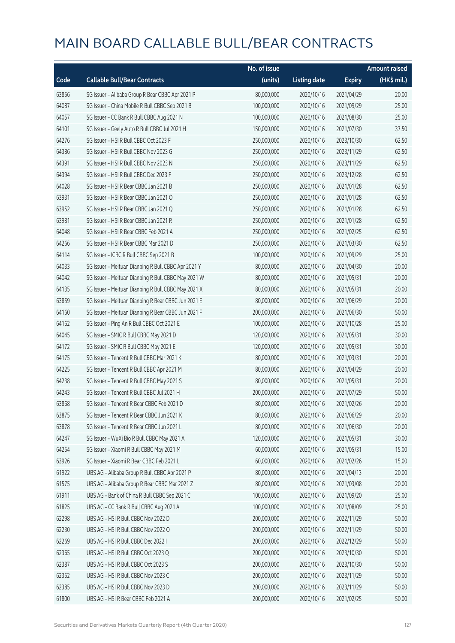|       |                                                     | No. of issue |                     |               | <b>Amount raised</b> |
|-------|-----------------------------------------------------|--------------|---------------------|---------------|----------------------|
| Code  | <b>Callable Bull/Bear Contracts</b>                 | (units)      | <b>Listing date</b> | <b>Expiry</b> | (HK\$ mil.)          |
| 63856 | SG Issuer - Alibaba Group R Bear CBBC Apr 2021 P    | 80,000,000   | 2020/10/16          | 2021/04/29    | 20.00                |
| 64087 | SG Issuer - China Mobile R Bull CBBC Sep 2021 B     | 100,000,000  | 2020/10/16          | 2021/09/29    | 25.00                |
| 64057 | SG Issuer - CC Bank R Bull CBBC Aug 2021 N          | 100,000,000  | 2020/10/16          | 2021/08/30    | 25.00                |
| 64101 | SG Issuer - Geely Auto R Bull CBBC Jul 2021 H       | 150,000,000  | 2020/10/16          | 2021/07/30    | 37.50                |
| 64276 | SG Issuer - HSI R Bull CBBC Oct 2023 F              | 250,000,000  | 2020/10/16          | 2023/10/30    | 62.50                |
| 64386 | SG Issuer - HSI R Bull CBBC Nov 2023 G              | 250,000,000  | 2020/10/16          | 2023/11/29    | 62.50                |
| 64391 | SG Issuer - HSI R Bull CBBC Nov 2023 N              | 250,000,000  | 2020/10/16          | 2023/11/29    | 62.50                |
| 64394 | SG Issuer - HSI R Bull CBBC Dec 2023 F              | 250,000,000  | 2020/10/16          | 2023/12/28    | 62.50                |
| 64028 | SG Issuer - HSI R Bear CBBC Jan 2021 B              | 250,000,000  | 2020/10/16          | 2021/01/28    | 62.50                |
| 63931 | SG Issuer - HSI R Bear CBBC Jan 2021 O              | 250,000,000  | 2020/10/16          | 2021/01/28    | 62.50                |
| 63952 | SG Issuer - HSI R Bear CBBC Jan 2021 Q              | 250,000,000  | 2020/10/16          | 2021/01/28    | 62.50                |
| 63981 | SG Issuer - HSI R Bear CBBC Jan 2021 R              | 250,000,000  | 2020/10/16          | 2021/01/28    | 62.50                |
| 64048 | SG Issuer - HSI R Bear CBBC Feb 2021 A              | 250,000,000  | 2020/10/16          | 2021/02/25    | 62.50                |
| 64266 | SG Issuer - HSI R Bear CBBC Mar 2021 D              | 250,000,000  | 2020/10/16          | 2021/03/30    | 62.50                |
| 64114 | SG Issuer - ICBC R Bull CBBC Sep 2021 B             | 100,000,000  | 2020/10/16          | 2021/09/29    | 25.00                |
| 64033 | SG Issuer - Meituan Dianping R Bull CBBC Apr 2021 Y | 80,000,000   | 2020/10/16          | 2021/04/30    | 20.00                |
| 64042 | SG Issuer - Meituan Dianping R Bull CBBC May 2021 W | 80,000,000   | 2020/10/16          | 2021/05/31    | 20.00                |
| 64135 | SG Issuer - Meituan Dianping R Bull CBBC May 2021 X | 80,000,000   | 2020/10/16          | 2021/05/31    | 20.00                |
| 63859 | SG Issuer - Meituan Dianping R Bear CBBC Jun 2021 E | 80,000,000   | 2020/10/16          | 2021/06/29    | 20.00                |
| 64160 | SG Issuer - Meituan Dianping R Bear CBBC Jun 2021 F | 200,000,000  | 2020/10/16          | 2021/06/30    | 50.00                |
| 64162 | SG Issuer - Ping An R Bull CBBC Oct 2021 E          | 100,000,000  | 2020/10/16          | 2021/10/28    | 25.00                |
| 64045 | SG Issuer - SMIC R Bull CBBC May 2021 D             | 120,000,000  | 2020/10/16          | 2021/05/31    | 30.00                |
| 64172 | SG Issuer - SMIC R Bull CBBC May 2021 E             | 120,000,000  | 2020/10/16          | 2021/05/31    | 30.00                |
| 64175 | SG Issuer - Tencent R Bull CBBC Mar 2021 K          | 80,000,000   | 2020/10/16          | 2021/03/31    | 20.00                |
| 64225 | SG Issuer - Tencent R Bull CBBC Apr 2021 M          | 80,000,000   | 2020/10/16          | 2021/04/29    | 20.00                |
| 64238 | SG Issuer - Tencent R Bull CBBC May 2021 S          | 80,000,000   | 2020/10/16          | 2021/05/31    | 20.00                |
| 64243 | SG Issuer - Tencent R Bull CBBC Jul 2021 H          | 200,000,000  | 2020/10/16          | 2021/07/29    | 50.00                |
| 63868 | SG Issuer - Tencent R Bear CBBC Feb 2021 D          | 80,000,000   | 2020/10/16          | 2021/02/26    | 20.00                |
| 63875 | SG Issuer - Tencent R Bear CBBC Jun 2021 K          | 80,000,000   | 2020/10/16          | 2021/06/29    | 20.00                |
| 63878 | SG Issuer - Tencent R Bear CBBC Jun 2021 L          | 80,000,000   | 2020/10/16          | 2021/06/30    | 20.00                |
| 64247 | SG Issuer - WuXi Bio R Bull CBBC May 2021 A         | 120,000,000  | 2020/10/16          | 2021/05/31    | 30.00                |
| 64254 | SG Issuer - Xiaomi R Bull CBBC May 2021 M           | 60,000,000   | 2020/10/16          | 2021/05/31    | 15.00                |
| 63926 | SG Issuer - Xiaomi R Bear CBBC Feb 2021 L           | 60,000,000   | 2020/10/16          | 2021/02/26    | 15.00                |
| 61922 | UBS AG - Alibaba Group R Bull CBBC Apr 2021 P       | 80,000,000   | 2020/10/16          | 2021/04/13    | 20.00                |
| 61575 | UBS AG - Alibaba Group R Bear CBBC Mar 2021 Z       | 80,000,000   | 2020/10/16          | 2021/03/08    | 20.00                |
| 61911 | UBS AG - Bank of China R Bull CBBC Sep 2021 C       | 100,000,000  | 2020/10/16          | 2021/09/20    | 25.00                |
| 61825 | UBS AG - CC Bank R Bull CBBC Aug 2021 A             | 100,000,000  | 2020/10/16          | 2021/08/09    | 25.00                |
| 62298 | UBS AG - HSI R Bull CBBC Nov 2022 D                 | 200,000,000  | 2020/10/16          | 2022/11/29    | 50.00                |
| 62230 | UBS AG - HSI R Bull CBBC Nov 2022 O                 | 200,000,000  | 2020/10/16          | 2022/11/29    | 50.00                |
| 62269 | UBS AG - HSI R Bull CBBC Dec 2022 I                 | 200,000,000  | 2020/10/16          | 2022/12/29    | 50.00                |
| 62365 | UBS AG - HSI R Bull CBBC Oct 2023 Q                 | 200,000,000  | 2020/10/16          | 2023/10/30    | 50.00                |
| 62387 | UBS AG - HSI R Bull CBBC Oct 2023 S                 | 200,000,000  | 2020/10/16          | 2023/10/30    | 50.00                |
| 62352 | UBS AG - HSI R Bull CBBC Nov 2023 C                 | 200,000,000  | 2020/10/16          | 2023/11/29    | 50.00                |
| 62385 | UBS AG - HSI R Bull CBBC Nov 2023 D                 | 200,000,000  | 2020/10/16          | 2023/11/29    | 50.00                |
| 61800 | UBS AG - HSI R Bear CBBC Feb 2021 A                 | 200,000,000  | 2020/10/16          | 2021/02/25    | 50.00                |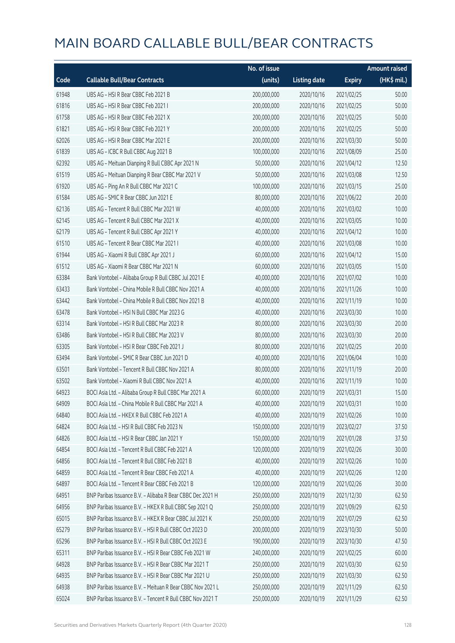|       |                                                            | No. of issue |                     |               | <b>Amount raised</b> |
|-------|------------------------------------------------------------|--------------|---------------------|---------------|----------------------|
| Code  | <b>Callable Bull/Bear Contracts</b>                        | (units)      | <b>Listing date</b> | <b>Expiry</b> | (HK\$ mil.)          |
| 61948 | UBS AG - HSI R Bear CBBC Feb 2021 B                        | 200,000,000  | 2020/10/16          | 2021/02/25    | 50.00                |
| 61816 | UBS AG - HSI R Bear CBBC Feb 2021 I                        | 200,000,000  | 2020/10/16          | 2021/02/25    | 50.00                |
| 61758 | UBS AG - HSI R Bear CBBC Feb 2021 X                        | 200,000,000  | 2020/10/16          | 2021/02/25    | 50.00                |
| 61821 | UBS AG - HSI R Bear CBBC Feb 2021 Y                        | 200,000,000  | 2020/10/16          | 2021/02/25    | 50.00                |
| 62026 | UBS AG - HSI R Bear CBBC Mar 2021 E                        | 200,000,000  | 2020/10/16          | 2021/03/30    | 50.00                |
| 61839 | UBS AG - ICBC R Bull CBBC Aug 2021 B                       | 100,000,000  | 2020/10/16          | 2021/08/09    | 25.00                |
| 62392 | UBS AG - Meituan Dianping R Bull CBBC Apr 2021 N           | 50,000,000   | 2020/10/16          | 2021/04/12    | 12.50                |
| 61519 | UBS AG - Meituan Dianping R Bear CBBC Mar 2021 V           | 50,000,000   | 2020/10/16          | 2021/03/08    | 12.50                |
| 61920 | UBS AG - Ping An R Bull CBBC Mar 2021 C                    | 100,000,000  | 2020/10/16          | 2021/03/15    | 25.00                |
| 61584 | UBS AG - SMIC R Bear CBBC Jun 2021 E                       | 80,000,000   | 2020/10/16          | 2021/06/22    | 20.00                |
| 62136 | UBS AG - Tencent R Bull CBBC Mar 2021 W                    | 40,000,000   | 2020/10/16          | 2021/03/02    | 10.00                |
| 62145 | UBS AG - Tencent R Bull CBBC Mar 2021 X                    | 40,000,000   | 2020/10/16          | 2021/03/05    | 10.00                |
| 62179 | UBS AG - Tencent R Bull CBBC Apr 2021 Y                    | 40,000,000   | 2020/10/16          | 2021/04/12    | 10.00                |
| 61510 | UBS AG - Tencent R Bear CBBC Mar 2021 I                    | 40,000,000   | 2020/10/16          | 2021/03/08    | 10.00                |
| 61944 | UBS AG - Xiaomi R Bull CBBC Apr 2021 J                     | 60,000,000   | 2020/10/16          | 2021/04/12    | 15.00                |
| 61512 | UBS AG - Xiaomi R Bear CBBC Mar 2021 N                     | 60,000,000   | 2020/10/16          | 2021/03/05    | 15.00                |
| 63384 | Bank Vontobel - Alibaba Group R Bull CBBC Jul 2021 E       | 40,000,000   | 2020/10/16          | 2021/07/02    | 10.00                |
| 63433 | Bank Vontobel - China Mobile R Bull CBBC Nov 2021 A        | 40,000,000   | 2020/10/16          | 2021/11/26    | 10.00                |
| 63442 | Bank Vontobel - China Mobile R Bull CBBC Nov 2021 B        | 40,000,000   | 2020/10/16          | 2021/11/19    | 10.00                |
| 63478 | Bank Vontobel - HSI N Bull CBBC Mar 2023 G                 | 40,000,000   | 2020/10/16          | 2023/03/30    | 10.00                |
| 63314 | Bank Vontobel - HSI R Bull CBBC Mar 2023 R                 | 80,000,000   | 2020/10/16          | 2023/03/30    | 20.00                |
| 63486 | Bank Vontobel - HSI R Bull CBBC Mar 2023 V                 | 80,000,000   | 2020/10/16          | 2023/03/30    | 20.00                |
| 63305 | Bank Vontobel - HSI R Bear CBBC Feb 2021 J                 | 80,000,000   | 2020/10/16          | 2021/02/25    | 20.00                |
| 63494 | Bank Vontobel - SMIC R Bear CBBC Jun 2021 D                | 40,000,000   | 2020/10/16          | 2021/06/04    | 10.00                |
| 63501 | Bank Vontobel - Tencent R Bull CBBC Nov 2021 A             | 80,000,000   | 2020/10/16          | 2021/11/19    | 20.00                |
| 63502 | Bank Vontobel - Xiaomi R Bull CBBC Nov 2021 A              | 40,000,000   | 2020/10/16          | 2021/11/19    | 10.00                |
| 64923 | BOCI Asia Ltd. - Alibaba Group R Bull CBBC Mar 2021 A      | 60,000,000   | 2020/10/19          | 2021/03/31    | 15.00                |
| 64909 | BOCI Asia Ltd. - China Mobile R Bull CBBC Mar 2021 A       | 40,000,000   | 2020/10/19          | 2021/03/31    | 10.00                |
| 64840 | BOCI Asia Ltd. - HKEX R Bull CBBC Feb 2021 A               | 40,000,000   | 2020/10/19          | 2021/02/26    | 10.00                |
| 64824 | BOCI Asia Ltd. - HSI R Bull CBBC Feb 2023 N                | 150,000,000  | 2020/10/19          | 2023/02/27    | 37.50                |
| 64826 | BOCI Asia Ltd. - HSI R Bear CBBC Jan 2021 Y                | 150,000,000  | 2020/10/19          | 2021/01/28    | 37.50                |
| 64854 | BOCI Asia Ltd. - Tencent R Bull CBBC Feb 2021 A            | 120,000,000  | 2020/10/19          | 2021/02/26    | 30.00                |
| 64856 | BOCI Asia Ltd. - Tencent R Bull CBBC Feb 2021 B            | 40,000,000   | 2020/10/19          | 2021/02/26    | 10.00                |
| 64859 | BOCI Asia Ltd. - Tencent R Bear CBBC Feb 2021 A            | 40,000,000   | 2020/10/19          | 2021/02/26    | 12.00                |
| 64897 | BOCI Asia Ltd. - Tencent R Bear CBBC Feb 2021 B            | 120,000,000  | 2020/10/19          | 2021/02/26    | 30.00                |
| 64951 | BNP Paribas Issuance B.V. - Alibaba R Bear CBBC Dec 2021 H | 250,000,000  | 2020/10/19          | 2021/12/30    | 62.50                |
| 64956 | BNP Paribas Issuance B.V. - HKEX R Bull CBBC Sep 2021 Q    | 250,000,000  | 2020/10/19          | 2021/09/29    | 62.50                |
| 65015 | BNP Paribas Issuance B.V. - HKEX R Bear CBBC Jul 2021 K    | 250,000,000  | 2020/10/19          | 2021/07/29    | 62.50                |
| 65279 | BNP Paribas Issuance B.V. - HSI R Bull CBBC Oct 2023 D     | 200,000,000  | 2020/10/19          | 2023/10/30    | 50.00                |
| 65296 | BNP Paribas Issuance B.V. - HSI R Bull CBBC Oct 2023 E     | 190,000,000  | 2020/10/19          | 2023/10/30    | 47.50                |
| 65311 | BNP Paribas Issuance B.V. - HSI R Bear CBBC Feb 2021 W     | 240,000,000  | 2020/10/19          | 2021/02/25    | 60.00                |
| 64928 | BNP Paribas Issuance B.V. - HSI R Bear CBBC Mar 2021 T     | 250,000,000  | 2020/10/19          | 2021/03/30    | 62.50                |
| 64935 | BNP Paribas Issuance B.V. - HSI R Bear CBBC Mar 2021 U     | 250,000,000  | 2020/10/19          | 2021/03/30    | 62.50                |
| 64938 | BNP Paribas Issuance B.V. - Meituan R Bear CBBC Nov 2021 L | 250,000,000  | 2020/10/19          | 2021/11/29    | 62.50                |
| 65024 | BNP Paribas Issuance B.V. - Tencent R Bull CBBC Nov 2021 T | 250,000,000  | 2020/10/19          | 2021/11/29    | 62.50                |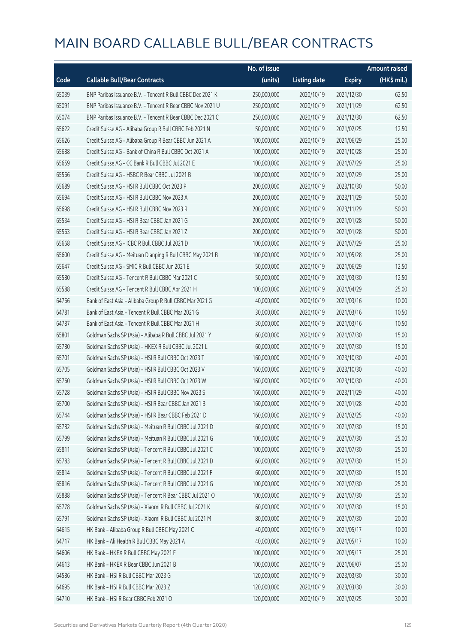|       |                                                            | No. of issue |                     |               | <b>Amount raised</b> |
|-------|------------------------------------------------------------|--------------|---------------------|---------------|----------------------|
| Code  | <b>Callable Bull/Bear Contracts</b>                        | (units)      | <b>Listing date</b> | <b>Expiry</b> | $(HK$$ mil.)         |
| 65039 | BNP Paribas Issuance B.V. - Tencent R Bull CBBC Dec 2021 K | 250,000,000  | 2020/10/19          | 2021/12/30    | 62.50                |
| 65091 | BNP Paribas Issuance B.V. - Tencent R Bear CBBC Nov 2021 U | 250,000,000  | 2020/10/19          | 2021/11/29    | 62.50                |
| 65074 | BNP Paribas Issuance B.V. - Tencent R Bear CBBC Dec 2021 C | 250,000,000  | 2020/10/19          | 2021/12/30    | 62.50                |
| 65622 | Credit Suisse AG - Alibaba Group R Bull CBBC Feb 2021 N    | 50,000,000   | 2020/10/19          | 2021/02/25    | 12.50                |
| 65626 | Credit Suisse AG - Alibaba Group R Bear CBBC Jun 2021 A    | 100,000,000  | 2020/10/19          | 2021/06/29    | 25.00                |
| 65688 | Credit Suisse AG - Bank of China R Bull CBBC Oct 2021 A    | 100,000,000  | 2020/10/19          | 2021/10/28    | 25.00                |
| 65659 | Credit Suisse AG - CC Bank R Bull CBBC Jul 2021 E          | 100,000,000  | 2020/10/19          | 2021/07/29    | 25.00                |
| 65566 | Credit Suisse AG - HSBC R Bear CBBC Jul 2021 B             | 100,000,000  | 2020/10/19          | 2021/07/29    | 25.00                |
| 65689 | Credit Suisse AG - HSI R Bull CBBC Oct 2023 P              | 200,000,000  | 2020/10/19          | 2023/10/30    | 50.00                |
| 65694 | Credit Suisse AG - HSI R Bull CBBC Nov 2023 A              | 200,000,000  | 2020/10/19          | 2023/11/29    | 50.00                |
| 65698 | Credit Suisse AG - HSI R Bull CBBC Nov 2023 R              | 200,000,000  | 2020/10/19          | 2023/11/29    | 50.00                |
| 65534 | Credit Suisse AG - HSI R Bear CBBC Jan 2021 G              | 200,000,000  | 2020/10/19          | 2021/01/28    | 50.00                |
| 65563 | Credit Suisse AG - HSI R Bear CBBC Jan 2021 Z              | 200,000,000  | 2020/10/19          | 2021/01/28    | 50.00                |
| 65668 | Credit Suisse AG - ICBC R Bull CBBC Jul 2021 D             | 100,000,000  | 2020/10/19          | 2021/07/29    | 25.00                |
| 65600 | Credit Suisse AG - Meituan Dianping R Bull CBBC May 2021 B | 100,000,000  | 2020/10/19          | 2021/05/28    | 25.00                |
| 65647 | Credit Suisse AG - SMIC R Bull CBBC Jun 2021 E             | 50,000,000   | 2020/10/19          | 2021/06/29    | 12.50                |
| 65580 | Credit Suisse AG - Tencent R Bull CBBC Mar 2021 C          | 50,000,000   | 2020/10/19          | 2021/03/30    | 12.50                |
| 65588 | Credit Suisse AG - Tencent R Bull CBBC Apr 2021 H          | 100,000,000  | 2020/10/19          | 2021/04/29    | 25.00                |
| 64766 | Bank of East Asia - Alibaba Group R Bull CBBC Mar 2021 G   | 40,000,000   | 2020/10/19          | 2021/03/16    | 10.00                |
| 64781 | Bank of East Asia - Tencent R Bull CBBC Mar 2021 G         | 30,000,000   | 2020/10/19          | 2021/03/16    | 10.50                |
| 64787 | Bank of East Asia - Tencent R Bull CBBC Mar 2021 H         | 30,000,000   | 2020/10/19          | 2021/03/16    | 10.50                |
| 65801 | Goldman Sachs SP (Asia) - Alibaba R Bull CBBC Jul 2021 Y   | 60,000,000   | 2020/10/19          | 2021/07/30    | 15.00                |
| 65780 | Goldman Sachs SP (Asia) - HKEX R Bull CBBC Jul 2021 L      | 60,000,000   | 2020/10/19          | 2021/07/30    | 15.00                |
| 65701 | Goldman Sachs SP (Asia) - HSI R Bull CBBC Oct 2023 T       | 160,000,000  | 2020/10/19          | 2023/10/30    | 40.00                |
| 65705 | Goldman Sachs SP (Asia) - HSI R Bull CBBC Oct 2023 V       | 160,000,000  | 2020/10/19          | 2023/10/30    | 40.00                |
| 65760 | Goldman Sachs SP (Asia) - HSI R Bull CBBC Oct 2023 W       | 160,000,000  | 2020/10/19          | 2023/10/30    | 40.00                |
| 65728 | Goldman Sachs SP (Asia) - HSI R Bull CBBC Nov 2023 S       | 160,000,000  | 2020/10/19          | 2023/11/29    | 40.00                |
| 65700 | Goldman Sachs SP (Asia) - HSI R Bear CBBC Jan 2021 B       | 160,000,000  | 2020/10/19          | 2021/01/28    | 40.00                |
| 65744 | Goldman Sachs SP (Asia) - HSI R Bear CBBC Feb 2021 D       | 160,000,000  | 2020/10/19          | 2021/02/25    | 40.00                |
| 65782 | Goldman Sachs SP (Asia) - Meituan R Bull CBBC Jul 2021 D   | 60,000,000   | 2020/10/19          | 2021/07/30    | 15.00                |
| 65799 | Goldman Sachs SP (Asia) - Meituan R Bull CBBC Jul 2021 G   | 100,000,000  | 2020/10/19          | 2021/07/30    | 25.00                |
| 65811 | Goldman Sachs SP (Asia) - Tencent R Bull CBBC Jul 2021 C   | 100,000,000  | 2020/10/19          | 2021/07/30    | 25.00                |
| 65783 | Goldman Sachs SP (Asia) - Tencent R Bull CBBC Jul 2021 D   | 60,000,000   | 2020/10/19          | 2021/07/30    | 15.00                |
| 65814 | Goldman Sachs SP (Asia) - Tencent R Bull CBBC Jul 2021 F   | 60,000,000   | 2020/10/19          | 2021/07/30    | 15.00                |
| 65816 | Goldman Sachs SP (Asia) - Tencent R Bull CBBC Jul 2021 G   | 100,000,000  | 2020/10/19          | 2021/07/30    | 25.00                |
| 65888 | Goldman Sachs SP (Asia) - Tencent R Bear CBBC Jul 2021 O   | 100,000,000  | 2020/10/19          | 2021/07/30    | 25.00                |
| 65778 | Goldman Sachs SP (Asia) - Xiaomi R Bull CBBC Jul 2021 K    | 60,000,000   | 2020/10/19          | 2021/07/30    | 15.00                |
| 65791 | Goldman Sachs SP (Asia) - Xiaomi R Bull CBBC Jul 2021 M    | 80,000,000   | 2020/10/19          | 2021/07/30    | 20.00                |
| 64615 | HK Bank - Alibaba Group R Bull CBBC May 2021 C             | 40,000,000   | 2020/10/19          | 2021/05/17    | 10.00                |
| 64717 | HK Bank - Ali Health R Bull CBBC May 2021 A                | 40,000,000   | 2020/10/19          | 2021/05/17    | 10.00                |
| 64606 | HK Bank - HKEX R Bull CBBC May 2021 F                      | 100,000,000  | 2020/10/19          | 2021/05/17    | 25.00                |
| 64613 | HK Bank - HKEX R Bear CBBC Jun 2021 B                      | 100,000,000  | 2020/10/19          | 2021/06/07    | 25.00                |
| 64586 | HK Bank - HSI R Bull CBBC Mar 2023 G                       | 120,000,000  | 2020/10/19          | 2023/03/30    | 30.00                |
| 64695 | HK Bank - HSI R Bull CBBC Mar 2023 Z                       | 120,000,000  | 2020/10/19          | 2023/03/30    | 30.00                |
| 64710 | HK Bank - HSI R Bear CBBC Feb 2021 O                       | 120,000,000  | 2020/10/19          | 2021/02/25    | 30.00                |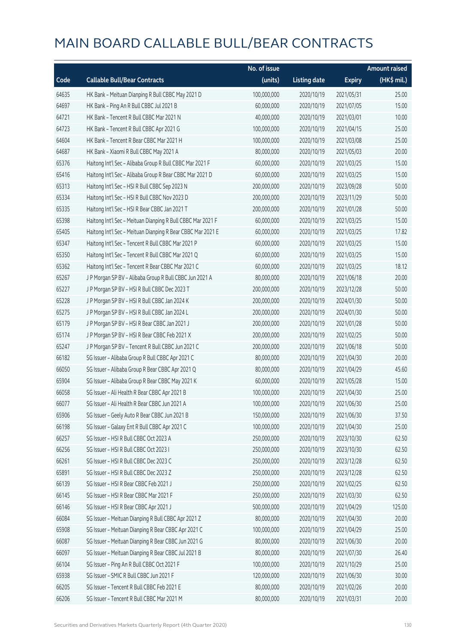|       |                                                             | No. of issue |                     |               | <b>Amount raised</b> |
|-------|-------------------------------------------------------------|--------------|---------------------|---------------|----------------------|
| Code  | <b>Callable Bull/Bear Contracts</b>                         | (units)      | <b>Listing date</b> | <b>Expiry</b> | (HK\$ mil.)          |
| 64635 | HK Bank - Meituan Dianping R Bull CBBC May 2021 D           | 100,000,000  | 2020/10/19          | 2021/05/31    | 25.00                |
| 64697 | HK Bank - Ping An R Bull CBBC Jul 2021 B                    | 60,000,000   | 2020/10/19          | 2021/07/05    | 15.00                |
| 64721 | HK Bank - Tencent R Bull CBBC Mar 2021 N                    | 40,000,000   | 2020/10/19          | 2021/03/01    | 10.00                |
| 64723 | HK Bank - Tencent R Bull CBBC Apr 2021 G                    | 100,000,000  | 2020/10/19          | 2021/04/15    | 25.00                |
| 64604 | HK Bank - Tencent R Bear CBBC Mar 2021 H                    | 100,000,000  | 2020/10/19          | 2021/03/08    | 25.00                |
| 64687 | HK Bank - Xiaomi R Bull CBBC May 2021 A                     | 80,000,000   | 2020/10/19          | 2021/05/03    | 20.00                |
| 65376 | Haitong Int'l Sec - Alibaba Group R Bull CBBC Mar 2021 F    | 60,000,000   | 2020/10/19          | 2021/03/25    | 15.00                |
| 65416 | Haitong Int'l Sec - Alibaba Group R Bear CBBC Mar 2021 D    | 60,000,000   | 2020/10/19          | 2021/03/25    | 15.00                |
| 65313 | Haitong Int'l Sec - HSI R Bull CBBC Sep 2023 N              | 200,000,000  | 2020/10/19          | 2023/09/28    | 50.00                |
| 65334 | Haitong Int'l Sec - HSI R Bull CBBC Nov 2023 D              | 200,000,000  | 2020/10/19          | 2023/11/29    | 50.00                |
| 65335 | Haitong Int'l Sec - HSI R Bear CBBC Jan 2021 T              | 200,000,000  | 2020/10/19          | 2021/01/28    | 50.00                |
| 65398 | Haitong Int'l Sec - Meituan Dianping R Bull CBBC Mar 2021 F | 60,000,000   | 2020/10/19          | 2021/03/25    | 15.00                |
| 65405 | Haitong Int'l Sec - Meituan Dianping R Bear CBBC Mar 2021 E | 60,000,000   | 2020/10/19          | 2021/03/25    | 17.82                |
| 65347 | Haitong Int'l Sec - Tencent R Bull CBBC Mar 2021 P          | 60,000,000   | 2020/10/19          | 2021/03/25    | 15.00                |
| 65350 | Haitong Int'l Sec - Tencent R Bull CBBC Mar 2021 Q          | 60,000,000   | 2020/10/19          | 2021/03/25    | 15.00                |
| 65362 | Haitong Int'l Sec - Tencent R Bear CBBC Mar 2021 C          | 60,000,000   | 2020/10/19          | 2021/03/25    | 18.12                |
| 65267 | J P Morgan SP BV - Alibaba Group R Bull CBBC Jun 2021 A     | 80,000,000   | 2020/10/19          | 2021/06/18    | 20.00                |
| 65227 | J P Morgan SP BV - HSI R Bull CBBC Dec 2023 T               | 200,000,000  | 2020/10/19          | 2023/12/28    | 50.00                |
| 65228 | J P Morgan SP BV - HSI R Bull CBBC Jan 2024 K               | 200,000,000  | 2020/10/19          | 2024/01/30    | 50.00                |
| 65275 | J P Morgan SP BV - HSI R Bull CBBC Jan 2024 L               | 200,000,000  | 2020/10/19          | 2024/01/30    | 50.00                |
| 65179 | J P Morgan SP BV - HSI R Bear CBBC Jan 2021 J               | 200,000,000  | 2020/10/19          | 2021/01/28    | 50.00                |
| 65174 | J P Morgan SP BV - HSI R Bear CBBC Feb 2021 X               | 200,000,000  | 2020/10/19          | 2021/02/25    | 50.00                |
| 65247 | J P Morgan SP BV - Tencent R Bull CBBC Jun 2021 C           | 200,000,000  | 2020/10/19          | 2021/06/18    | 50.00                |
| 66182 | SG Issuer - Alibaba Group R Bull CBBC Apr 2021 C            | 80,000,000   | 2020/10/19          | 2021/04/30    | 20.00                |
| 66050 | SG Issuer - Alibaba Group R Bear CBBC Apr 2021 Q            | 80,000,000   | 2020/10/19          | 2021/04/29    | 45.60                |
| 65904 | SG Issuer - Alibaba Group R Bear CBBC May 2021 K            | 60,000,000   | 2020/10/19          | 2021/05/28    | 15.00                |
| 66058 | SG Issuer - Ali Health R Bear CBBC Apr 2021 B               | 100,000,000  | 2020/10/19          | 2021/04/30    | 25.00                |
| 66077 | SG Issuer - Ali Health R Bear CBBC Jun 2021 A               | 100,000,000  | 2020/10/19          | 2021/06/30    | 25.00                |
| 65906 | SG Issuer - Geely Auto R Bear CBBC Jun 2021 B               | 150,000,000  | 2020/10/19          | 2021/06/30    | 37.50                |
| 66198 | SG Issuer - Galaxy Ent R Bull CBBC Apr 2021 C               | 100,000,000  | 2020/10/19          | 2021/04/30    | 25.00                |
| 66257 | SG Issuer - HSI R Bull CBBC Oct 2023 A                      | 250,000,000  | 2020/10/19          | 2023/10/30    | 62.50                |
| 66256 | SG Issuer - HSI R Bull CBBC Oct 2023 I                      | 250,000,000  | 2020/10/19          | 2023/10/30    | 62.50                |
| 66261 | SG Issuer - HSI R Bull CBBC Dec 2023 C                      | 250,000,000  | 2020/10/19          | 2023/12/28    | 62.50                |
| 65891 | SG Issuer - HSI R Bull CBBC Dec 2023 Z                      | 250,000,000  | 2020/10/19          | 2023/12/28    | 62.50                |
| 66139 | SG Issuer - HSI R Bear CBBC Feb 2021 J                      | 250,000,000  | 2020/10/19          | 2021/02/25    | 62.50                |
| 66145 | SG Issuer - HSI R Bear CBBC Mar 2021 F                      | 250,000,000  | 2020/10/19          | 2021/03/30    | 62.50                |
| 66146 | SG Issuer - HSI R Bear CBBC Apr 2021 J                      | 500,000,000  | 2020/10/19          | 2021/04/29    | 125.00               |
| 66084 | SG Issuer - Meituan Dianping R Bull CBBC Apr 2021 Z         | 80,000,000   | 2020/10/19          | 2021/04/30    | 20.00                |
| 65908 | SG Issuer - Meituan Dianping R Bear CBBC Apr 2021 C         | 100,000,000  | 2020/10/19          | 2021/04/29    | 25.00                |
| 66087 | SG Issuer - Meituan Dianping R Bear CBBC Jun 2021 G         | 80,000,000   | 2020/10/19          | 2021/06/30    | 20.00                |
| 66097 | SG Issuer - Meituan Dianping R Bear CBBC Jul 2021 B         | 80,000,000   | 2020/10/19          | 2021/07/30    | 26.40                |
| 66104 | SG Issuer - Ping An R Bull CBBC Oct 2021 F                  | 100,000,000  | 2020/10/19          | 2021/10/29    | 25.00                |
| 65938 | SG Issuer - SMIC R Bull CBBC Jun 2021 F                     | 120,000,000  | 2020/10/19          | 2021/06/30    | 30.00                |
| 66205 | SG Issuer - Tencent R Bull CBBC Feb 2021 E                  | 80,000,000   | 2020/10/19          | 2021/02/26    | 20.00                |
| 66206 | SG Issuer - Tencent R Bull CBBC Mar 2021 M                  | 80,000,000   | 2020/10/19          | 2021/03/31    | 20.00                |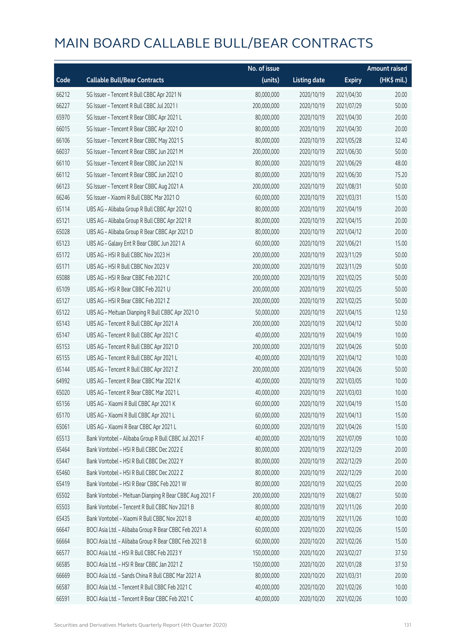|       |                                                         | No. of issue |                     |               | <b>Amount raised</b> |
|-------|---------------------------------------------------------|--------------|---------------------|---------------|----------------------|
| Code  | <b>Callable Bull/Bear Contracts</b>                     | (units)      | <b>Listing date</b> | <b>Expiry</b> | (HK\$ mil.)          |
| 66212 | SG Issuer - Tencent R Bull CBBC Apr 2021 N              | 80,000,000   | 2020/10/19          | 2021/04/30    | 20.00                |
| 66227 | SG Issuer - Tencent R Bull CBBC Jul 2021 I              | 200,000,000  | 2020/10/19          | 2021/07/29    | 50.00                |
| 65970 | SG Issuer - Tencent R Bear CBBC Apr 2021 L              | 80,000,000   | 2020/10/19          | 2021/04/30    | 20.00                |
| 66015 | SG Issuer - Tencent R Bear CBBC Apr 2021 O              | 80,000,000   | 2020/10/19          | 2021/04/30    | 20.00                |
| 66106 | SG Issuer - Tencent R Bear CBBC May 2021 S              | 80,000,000   | 2020/10/19          | 2021/05/28    | 32.40                |
| 66037 | SG Issuer - Tencent R Bear CBBC Jun 2021 M              | 200,000,000  | 2020/10/19          | 2021/06/30    | 50.00                |
| 66110 | SG Issuer - Tencent R Bear CBBC Jun 2021 N              | 80,000,000   | 2020/10/19          | 2021/06/29    | 48.00                |
| 66112 | SG Issuer - Tencent R Bear CBBC Jun 2021 O              | 80,000,000   | 2020/10/19          | 2021/06/30    | 75.20                |
| 66123 | SG Issuer - Tencent R Bear CBBC Aug 2021 A              | 200,000,000  | 2020/10/19          | 2021/08/31    | 50.00                |
| 66246 | SG Issuer - Xiaomi R Bull CBBC Mar 2021 O               | 60,000,000   | 2020/10/19          | 2021/03/31    | 15.00                |
| 65114 | UBS AG - Alibaba Group R Bull CBBC Apr 2021 Q           | 80,000,000   | 2020/10/19          | 2021/04/19    | 20.00                |
| 65121 | UBS AG - Alibaba Group R Bull CBBC Apr 2021 R           | 80,000,000   | 2020/10/19          | 2021/04/15    | 20.00                |
| 65028 | UBS AG - Alibaba Group R Bear CBBC Apr 2021 D           | 80,000,000   | 2020/10/19          | 2021/04/12    | 20.00                |
| 65123 | UBS AG - Galaxy Ent R Bear CBBC Jun 2021 A              | 60,000,000   | 2020/10/19          | 2021/06/21    | 15.00                |
| 65172 | UBS AG - HSI R Bull CBBC Nov 2023 H                     | 200,000,000  | 2020/10/19          | 2023/11/29    | 50.00                |
| 65171 | UBS AG - HSI R Bull CBBC Nov 2023 V                     | 200,000,000  | 2020/10/19          | 2023/11/29    | 50.00                |
| 65088 | UBS AG - HSI R Bear CBBC Feb 2021 C                     | 200,000,000  | 2020/10/19          | 2021/02/25    | 50.00                |
| 65109 | UBS AG - HSI R Bear CBBC Feb 2021 U                     | 200,000,000  | 2020/10/19          | 2021/02/25    | 50.00                |
| 65127 | UBS AG - HSI R Bear CBBC Feb 2021 Z                     | 200,000,000  | 2020/10/19          | 2021/02/25    | 50.00                |
| 65122 | UBS AG - Meituan Dianping R Bull CBBC Apr 2021 O        | 50,000,000   | 2020/10/19          | 2021/04/15    | 12.50                |
| 65143 | UBS AG - Tencent R Bull CBBC Apr 2021 A                 | 200,000,000  | 2020/10/19          | 2021/04/12    | 50.00                |
| 65147 | UBS AG - Tencent R Bull CBBC Apr 2021 C                 | 40,000,000   | 2020/10/19          | 2021/04/19    | 10.00                |
| 65153 | UBS AG - Tencent R Bull CBBC Apr 2021 D                 | 200,000,000  | 2020/10/19          | 2021/04/26    | 50.00                |
| 65155 | UBS AG - Tencent R Bull CBBC Apr 2021 L                 | 40,000,000   | 2020/10/19          | 2021/04/12    | 10.00                |
| 65144 | UBS AG - Tencent R Bull CBBC Apr 2021 Z                 | 200,000,000  | 2020/10/19          | 2021/04/26    | 50.00                |
| 64992 | UBS AG - Tencent R Bear CBBC Mar 2021 K                 | 40,000,000   | 2020/10/19          | 2021/03/05    | 10.00                |
| 65020 | UBS AG - Tencent R Bear CBBC Mar 2021 L                 | 40,000,000   | 2020/10/19          | 2021/03/03    | 10.00                |
| 65156 | UBS AG - Xiaomi R Bull CBBC Apr 2021 K                  | 60,000,000   | 2020/10/19          | 2021/04/19    | 15.00                |
| 65170 | UBS AG - Xiaomi R Bull CBBC Apr 2021 L                  | 60,000,000   | 2020/10/19          | 2021/04/13    | 15.00                |
| 65061 | UBS AG - Xiaomi R Bear CBBC Apr 2021 L                  | 60,000,000   | 2020/10/19          | 2021/04/26    | 15.00                |
| 65513 | Bank Vontobel - Alibaba Group R Bull CBBC Jul 2021 F    | 40,000,000   | 2020/10/19          | 2021/07/09    | 10.00                |
| 65464 | Bank Vontobel - HSI R Bull CBBC Dec 2022 E              | 80,000,000   | 2020/10/19          | 2022/12/29    | 20.00                |
| 65447 | Bank Vontobel - HSI R Bull CBBC Dec 2022 Y              | 80,000,000   | 2020/10/19          | 2022/12/29    | 20.00                |
| 65460 | Bank Vontobel - HSI R Bull CBBC Dec 2022 Z              | 80,000,000   | 2020/10/19          | 2022/12/29    | 20.00                |
| 65419 | Bank Vontobel - HSI R Bear CBBC Feb 2021 W              | 80,000,000   | 2020/10/19          | 2021/02/25    | 20.00                |
| 65502 | Bank Vontobel - Meituan Dianping R Bear CBBC Aug 2021 F | 200,000,000  | 2020/10/19          | 2021/08/27    | 50.00                |
| 65503 | Bank Vontobel - Tencent R Bull CBBC Nov 2021 B          | 80,000,000   | 2020/10/19          | 2021/11/26    | 20.00                |
| 65435 | Bank Vontobel - Xiaomi R Bull CBBC Nov 2021 B           | 40,000,000   | 2020/10/19          | 2021/11/26    | 10.00                |
| 66647 | BOCI Asia Ltd. - Alibaba Group R Bear CBBC Feb 2021 A   | 60,000,000   | 2020/10/20          | 2021/02/26    | 15.00                |
| 66664 | BOCI Asia Ltd. - Alibaba Group R Bear CBBC Feb 2021 B   | 60,000,000   | 2020/10/20          | 2021/02/26    | 15.00                |
| 66577 | BOCI Asia Ltd. - HSI R Bull CBBC Feb 2023 Y             | 150,000,000  | 2020/10/20          | 2023/02/27    | 37.50                |
| 66585 | BOCI Asia Ltd. - HSI R Bear CBBC Jan 2021 Z             | 150,000,000  | 2020/10/20          | 2021/01/28    | 37.50                |
| 66669 | BOCI Asia Ltd. - Sands China R Bull CBBC Mar 2021 A     | 80,000,000   | 2020/10/20          | 2021/03/31    | 20.00                |
| 66587 | BOCI Asia Ltd. - Tencent R Bull CBBC Feb 2021 C         | 40,000,000   | 2020/10/20          | 2021/02/26    | 10.00                |
| 66591 | BOCI Asia Ltd. - Tencent R Bear CBBC Feb 2021 C         | 40,000,000   | 2020/10/20          | 2021/02/26    | 10.00                |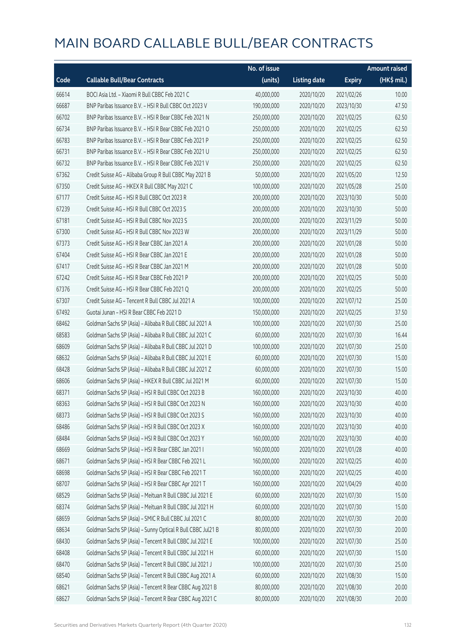|       |                                                             | No. of issue |                     |               | <b>Amount raised</b> |
|-------|-------------------------------------------------------------|--------------|---------------------|---------------|----------------------|
| Code  | <b>Callable Bull/Bear Contracts</b>                         | (units)      | <b>Listing date</b> | <b>Expiry</b> | (HK\$ mil.)          |
| 66614 | BOCI Asia Ltd. - Xiaomi R Bull CBBC Feb 2021 C              | 40,000,000   | 2020/10/20          | 2021/02/26    | 10.00                |
| 66687 | BNP Paribas Issuance B.V. - HSI R Bull CBBC Oct 2023 V      | 190,000,000  | 2020/10/20          | 2023/10/30    | 47.50                |
| 66702 | BNP Paribas Issuance B.V. - HSI R Bear CBBC Feb 2021 N      | 250,000,000  | 2020/10/20          | 2021/02/25    | 62.50                |
| 66734 | BNP Paribas Issuance B.V. - HSI R Bear CBBC Feb 2021 O      | 250,000,000  | 2020/10/20          | 2021/02/25    | 62.50                |
| 66783 | BNP Paribas Issuance B.V. - HSI R Bear CBBC Feb 2021 P      | 250,000,000  | 2020/10/20          | 2021/02/25    | 62.50                |
| 66731 | BNP Paribas Issuance B.V. - HSI R Bear CBBC Feb 2021 U      | 250,000,000  | 2020/10/20          | 2021/02/25    | 62.50                |
| 66732 | BNP Paribas Issuance B.V. - HSI R Bear CBBC Feb 2021 V      | 250,000,000  | 2020/10/20          | 2021/02/25    | 62.50                |
| 67362 | Credit Suisse AG - Alibaba Group R Bull CBBC May 2021 B     | 50,000,000   | 2020/10/20          | 2021/05/20    | 12.50                |
| 67350 | Credit Suisse AG - HKEX R Bull CBBC May 2021 C              | 100,000,000  | 2020/10/20          | 2021/05/28    | 25.00                |
| 67177 | Credit Suisse AG - HSI R Bull CBBC Oct 2023 R               | 200,000,000  | 2020/10/20          | 2023/10/30    | 50.00                |
| 67239 | Credit Suisse AG - HSI R Bull CBBC Oct 2023 S               | 200,000,000  | 2020/10/20          | 2023/10/30    | 50.00                |
| 67181 | Credit Suisse AG - HSI R Bull CBBC Nov 2023 S               | 200,000,000  | 2020/10/20          | 2023/11/29    | 50.00                |
| 67300 | Credit Suisse AG - HSI R Bull CBBC Nov 2023 W               | 200,000,000  | 2020/10/20          | 2023/11/29    | 50.00                |
| 67373 | Credit Suisse AG - HSI R Bear CBBC Jan 2021 A               | 200,000,000  | 2020/10/20          | 2021/01/28    | 50.00                |
| 67404 | Credit Suisse AG - HSI R Bear CBBC Jan 2021 E               | 200,000,000  | 2020/10/20          | 2021/01/28    | 50.00                |
| 67417 | Credit Suisse AG - HSI R Bear CBBC Jan 2021 M               | 200,000,000  | 2020/10/20          | 2021/01/28    | 50.00                |
| 67242 | Credit Suisse AG - HSI R Bear CBBC Feb 2021 P               | 200,000,000  | 2020/10/20          | 2021/02/25    | 50.00                |
| 67376 | Credit Suisse AG - HSI R Bear CBBC Feb 2021 Q               | 200,000,000  | 2020/10/20          | 2021/02/25    | 50.00                |
| 67307 | Credit Suisse AG - Tencent R Bull CBBC Jul 2021 A           | 100,000,000  | 2020/10/20          | 2021/07/12    | 25.00                |
| 67492 | Guotai Junan - HSI R Bear CBBC Feb 2021 D                   | 150,000,000  | 2020/10/20          | 2021/02/25    | 37.50                |
| 68462 | Goldman Sachs SP (Asia) - Alibaba R Bull CBBC Jul 2021 A    | 100,000,000  | 2020/10/20          | 2021/07/30    | 25.00                |
| 68583 | Goldman Sachs SP (Asia) - Alibaba R Bull CBBC Jul 2021 C    | 60,000,000   | 2020/10/20          | 2021/07/30    | 16.44                |
| 68609 | Goldman Sachs SP (Asia) - Alibaba R Bull CBBC Jul 2021 D    | 100,000,000  | 2020/10/20          | 2021/07/30    | 25.00                |
| 68632 | Goldman Sachs SP (Asia) - Alibaba R Bull CBBC Jul 2021 E    | 60,000,000   | 2020/10/20          | 2021/07/30    | 15.00                |
| 68428 | Goldman Sachs SP (Asia) - Alibaba R Bull CBBC Jul 2021 Z    | 60,000,000   | 2020/10/20          | 2021/07/30    | 15.00                |
| 68606 | Goldman Sachs SP (Asia) - HKEX R Bull CBBC Jul 2021 M       | 60,000,000   | 2020/10/20          | 2021/07/30    | 15.00                |
| 68371 | Goldman Sachs SP (Asia) - HSI R Bull CBBC Oct 2023 B        | 160,000,000  | 2020/10/20          | 2023/10/30    | 40.00                |
| 68363 | Goldman Sachs SP (Asia) - HSI R Bull CBBC Oct 2023 N        | 160,000,000  | 2020/10/20          | 2023/10/30    | 40.00                |
| 68373 | Goldman Sachs SP (Asia) - HSI R Bull CBBC Oct 2023 S        | 160,000,000  | 2020/10/20          | 2023/10/30    | 40.00                |
| 68486 | Goldman Sachs SP (Asia) - HSI R Bull CBBC Oct 2023 X        | 160,000,000  | 2020/10/20          | 2023/10/30    | 40.00                |
| 68484 | Goldman Sachs SP (Asia) - HSI R Bull CBBC Oct 2023 Y        | 160,000,000  | 2020/10/20          | 2023/10/30    | 40.00                |
| 68669 | Goldman Sachs SP (Asia) - HSI R Bear CBBC Jan 2021 I        | 160,000,000  | 2020/10/20          | 2021/01/28    | 40.00                |
| 68671 | Goldman Sachs SP (Asia) - HSI R Bear CBBC Feb 2021 L        | 160,000,000  | 2020/10/20          | 2021/02/25    | 40.00                |
| 68698 | Goldman Sachs SP (Asia) - HSI R Bear CBBC Feb 2021 T        | 160,000,000  | 2020/10/20          | 2021/02/25    | 40.00                |
| 68707 | Goldman Sachs SP (Asia) - HSI R Bear CBBC Apr 2021 T        | 160,000,000  | 2020/10/20          | 2021/04/29    | 40.00                |
| 68529 | Goldman Sachs SP (Asia) - Meituan R Bull CBBC Jul 2021 E    | 60,000,000   | 2020/10/20          | 2021/07/30    | 15.00                |
| 68374 | Goldman Sachs SP (Asia) - Meituan R Bull CBBC Jul 2021 H    | 60,000,000   | 2020/10/20          | 2021/07/30    | 15.00                |
| 68659 | Goldman Sachs SP (Asia) - SMIC R Bull CBBC Jul 2021 C       | 80,000,000   | 2020/10/20          | 2021/07/30    | 20.00                |
| 68634 | Goldman Sachs SP (Asia) - Sunny Optical R Bull CBBC Jul21 B | 80,000,000   | 2020/10/20          | 2021/07/30    | 20.00                |
| 68430 | Goldman Sachs SP (Asia) - Tencent R Bull CBBC Jul 2021 E    | 100,000,000  | 2020/10/20          | 2021/07/30    | 25.00                |
| 68408 | Goldman Sachs SP (Asia) - Tencent R Bull CBBC Jul 2021 H    | 60,000,000   | 2020/10/20          | 2021/07/30    | 15.00                |
| 68470 | Goldman Sachs SP (Asia) - Tencent R Bull CBBC Jul 2021 J    | 100,000,000  | 2020/10/20          | 2021/07/30    | 25.00                |
| 68540 | Goldman Sachs SP (Asia) - Tencent R Bull CBBC Aug 2021 A    | 60,000,000   | 2020/10/20          | 2021/08/30    | 15.00                |
| 68621 | Goldman Sachs SP (Asia) - Tencent R Bear CBBC Aug 2021 B    | 80,000,000   | 2020/10/20          | 2021/08/30    | 20.00                |
| 68627 | Goldman Sachs SP (Asia) - Tencent R Bear CBBC Aug 2021 C    | 80,000,000   | 2020/10/20          | 2021/08/30    | 20.00                |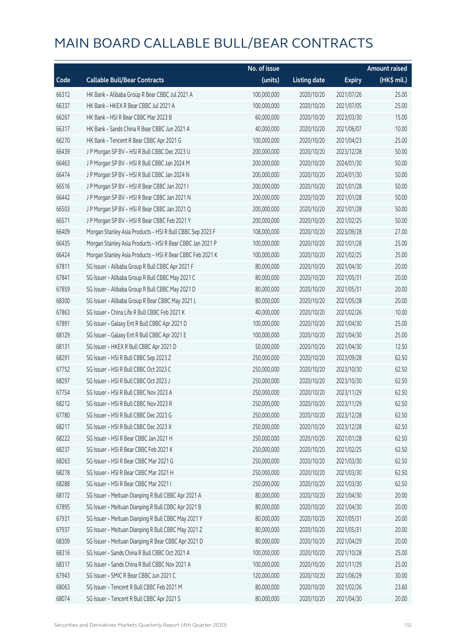|       |                                                           | No. of issue |                     |               | <b>Amount raised</b> |
|-------|-----------------------------------------------------------|--------------|---------------------|---------------|----------------------|
| Code  | <b>Callable Bull/Bear Contracts</b>                       | (units)      | <b>Listing date</b> | <b>Expiry</b> | $(HK\$ mil.)         |
| 66312 | HK Bank - Alibaba Group R Bear CBBC Jul 2021 A            | 100,000,000  | 2020/10/20          | 2021/07/26    | 25.00                |
| 66337 | HK Bank - HKEX R Bear CBBC Jul 2021 A                     | 100,000,000  | 2020/10/20          | 2021/07/05    | 25.00                |
| 66267 | HK Bank - HSI R Bear CBBC Mar 2023 B                      | 60,000,000   | 2020/10/20          | 2023/03/30    | 15.00                |
| 66317 | HK Bank - Sands China R Bear CBBC Jun 2021 A              | 40,000,000   | 2020/10/20          | 2021/06/07    | 10.00                |
| 66270 | HK Bank - Tencent R Bear CBBC Apr 2021 G                  | 100,000,000  | 2020/10/20          | 2021/04/23    | 25.00                |
| 66439 | J P Morgan SP BV - HSI R Bull CBBC Dec 2023 U             | 200,000,000  | 2020/10/20          | 2023/12/28    | 50.00                |
| 66463 | J P Morgan SP BV - HSI R Bull CBBC Jan 2024 M             | 200,000,000  | 2020/10/20          | 2024/01/30    | 50.00                |
| 66474 | J P Morgan SP BV - HSI R Bull CBBC Jan 2024 N             | 200,000,000  | 2020/10/20          | 2024/01/30    | 50.00                |
| 66516 | J P Morgan SP BV - HSI R Bear CBBC Jan 2021 I             | 200,000,000  | 2020/10/20          | 2021/01/28    | 50.00                |
| 66442 | J P Morgan SP BV - HSI R Bear CBBC Jan 2021 N             | 200,000,000  | 2020/10/20          | 2021/01/28    | 50.00                |
| 66503 | J P Morgan SP BV - HSI R Bear CBBC Jan 2021 Q             | 200,000,000  | 2020/10/20          | 2021/01/28    | 50.00                |
| 66571 | J P Morgan SP BV - HSI R Bear CBBC Feb 2021 Y             | 200,000,000  | 2020/10/20          | 2021/02/25    | 50.00                |
| 66409 | Morgan Stanley Asia Products - HSI R Bull CBBC Sep 2023 F | 108,000,000  | 2020/10/20          | 2023/09/28    | 27.00                |
| 66435 | Morgan Stanley Asia Products - HSI R Bear CBBC Jan 2021 P | 100,000,000  | 2020/10/20          | 2021/01/28    | 25.00                |
| 66424 | Morgan Stanley Asia Products - HSI R Bear CBBC Feb 2021 K | 100,000,000  | 2020/10/20          | 2021/02/25    | 25.00                |
| 67811 | SG Issuer - Alibaba Group R Bull CBBC Apr 2021 F          | 80,000,000   | 2020/10/20          | 2021/04/30    | 20.00                |
| 67841 | SG Issuer - Alibaba Group R Bull CBBC May 2021 C          | 80,000,000   | 2020/10/20          | 2021/05/31    | 20.00                |
| 67859 | SG Issuer - Alibaba Group R Bull CBBC May 2021 D          | 80,000,000   | 2020/10/20          | 2021/05/31    | 20.00                |
| 68300 | SG Issuer - Alibaba Group R Bear CBBC May 2021 L          | 80,000,000   | 2020/10/20          | 2021/05/28    | 20.00                |
| 67863 | SG Issuer - China Life R Bull CBBC Feb 2021 K             | 40,000,000   | 2020/10/20          | 2021/02/26    | 10.00                |
| 67891 | SG Issuer - Galaxy Ent R Bull CBBC Apr 2021 D             | 100,000,000  | 2020/10/20          | 2021/04/30    | 25.00                |
| 68129 | SG Issuer - Galaxy Ent R Bull CBBC Apr 2021 E             | 100,000,000  | 2020/10/20          | 2021/04/30    | 25.00                |
| 68131 | SG Issuer - HKEX R Bull CBBC Apr 2021 D                   | 50,000,000   | 2020/10/20          | 2021/04/30    | 12.50                |
| 68291 | SG Issuer - HSI R Bull CBBC Sep 2023 Z                    | 250,000,000  | 2020/10/20          | 2023/09/28    | 62.50                |
| 67752 | SG Issuer - HSI R Bull CBBC Oct 2023 C                    | 250,000,000  | 2020/10/20          | 2023/10/30    | 62.50                |
| 68297 | SG Issuer - HSI R Bull CBBC Oct 2023 J                    | 250,000,000  | 2020/10/20          | 2023/10/30    | 62.50                |
| 67754 | SG Issuer - HSI R Bull CBBC Nov 2023 A                    | 250,000,000  | 2020/10/20          | 2023/11/29    | 62.50                |
| 68212 | SG Issuer - HSI R Bull CBBC Nov 2023 R                    | 250,000,000  | 2020/10/20          | 2023/11/29    | 62.50                |
| 67780 | SG Issuer - HSI R Bull CBBC Dec 2023 G                    | 250,000,000  | 2020/10/20          | 2023/12/28    | 62.50                |
| 68217 | SG Issuer - HSI R Bull CBBC Dec 2023 X                    | 250,000,000  | 2020/10/20          | 2023/12/28    | 62.50                |
| 68222 | SG Issuer - HSI R Bear CBBC Jan 2021 H                    | 250,000,000  | 2020/10/20          | 2021/01/28    | 62.50                |
| 68237 | SG Issuer - HSI R Bear CBBC Feb 2021 K                    | 250,000,000  | 2020/10/20          | 2021/02/25    | 62.50                |
| 68263 | SG Issuer - HSI R Bear CBBC Mar 2021 G                    | 250,000,000  | 2020/10/20          | 2021/03/30    | 62.50                |
| 68278 | SG Issuer - HSI R Bear CBBC Mar 2021 H                    | 250,000,000  | 2020/10/20          | 2021/03/30    | 62.50                |
| 68288 | SG Issuer - HSI R Bear CBBC Mar 2021 I                    | 250,000,000  | 2020/10/20          | 2021/03/30    | 62.50                |
| 68172 | SG Issuer - Meituan Dianping R Bull CBBC Apr 2021 A       | 80,000,000   | 2020/10/20          | 2021/04/30    | 20.00                |
| 67895 | SG Issuer - Meituan Dianping R Bull CBBC Apr 2021 B       | 80,000,000   | 2020/10/20          | 2021/04/30    | 20.00                |
| 67931 | SG Issuer - Meituan Dianping R Bull CBBC May 2021 Y       | 80,000,000   | 2020/10/20          | 2021/05/31    | 20.00                |
| 67937 | SG Issuer - Meituan Dianping R Bull CBBC May 2021 Z       | 80,000,000   | 2020/10/20          | 2021/05/31    | 20.00                |
| 68309 | SG Issuer - Meituan Dianping R Bear CBBC Apr 2021 D       | 80,000,000   | 2020/10/20          | 2021/04/29    | 20.00                |
| 68316 | SG Issuer - Sands China R Bull CBBC Oct 2021 A            | 100,000,000  | 2020/10/20          | 2021/10/28    | 25.00                |
| 68317 | SG Issuer - Sands China R Bull CBBC Nov 2021 A            | 100,000,000  | 2020/10/20          | 2021/11/29    | 25.00                |
| 67943 | SG Issuer - SMIC R Bear CBBC Jun 2021 C                   | 120,000,000  | 2020/10/20          | 2021/06/29    | 30.00                |
| 68063 | SG Issuer - Tencent R Bull CBBC Feb 2021 M                | 80,000,000   | 2020/10/20          | 2021/02/26    | 23.60                |
| 68074 | SG Issuer - Tencent R Bull CBBC Apr 2021 S                | 80,000,000   | 2020/10/20          | 2021/04/30    | 20.00                |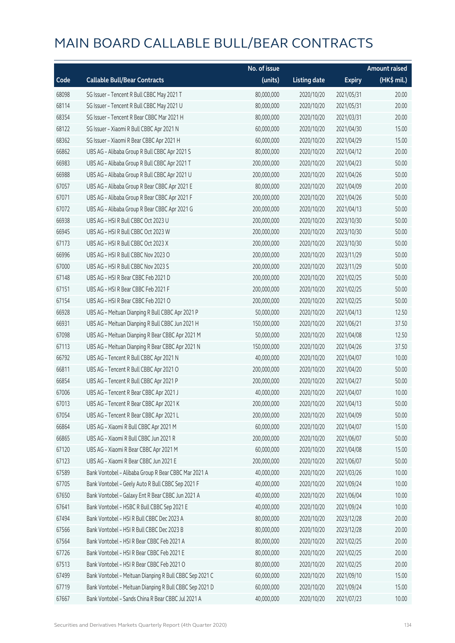|       |                                                         | No. of issue |                     |               | <b>Amount raised</b> |
|-------|---------------------------------------------------------|--------------|---------------------|---------------|----------------------|
| Code  | <b>Callable Bull/Bear Contracts</b>                     | (units)      | <b>Listing date</b> | <b>Expiry</b> | (HK\$ mil.)          |
| 68098 | SG Issuer - Tencent R Bull CBBC May 2021 T              | 80,000,000   | 2020/10/20          | 2021/05/31    | 20.00                |
| 68114 | SG Issuer - Tencent R Bull CBBC May 2021 U              | 80,000,000   | 2020/10/20          | 2021/05/31    | 20.00                |
| 68354 | SG Issuer - Tencent R Bear CBBC Mar 2021 H              | 80,000,000   | 2020/10/20          | 2021/03/31    | 20.00                |
| 68122 | SG Issuer - Xiaomi R Bull CBBC Apr 2021 N               | 60,000,000   | 2020/10/20          | 2021/04/30    | 15.00                |
| 68362 | SG Issuer - Xiaomi R Bear CBBC Apr 2021 H               | 60,000,000   | 2020/10/20          | 2021/04/29    | 15.00                |
| 66862 | UBS AG - Alibaba Group R Bull CBBC Apr 2021 S           | 80,000,000   | 2020/10/20          | 2021/04/12    | 20.00                |
| 66983 | UBS AG - Alibaba Group R Bull CBBC Apr 2021 T           | 200,000,000  | 2020/10/20          | 2021/04/23    | 50.00                |
| 66988 | UBS AG - Alibaba Group R Bull CBBC Apr 2021 U           | 200,000,000  | 2020/10/20          | 2021/04/26    | 50.00                |
| 67057 | UBS AG - Alibaba Group R Bear CBBC Apr 2021 E           | 80,000,000   | 2020/10/20          | 2021/04/09    | 20.00                |
| 67071 | UBS AG - Alibaba Group R Bear CBBC Apr 2021 F           | 200,000,000  | 2020/10/20          | 2021/04/26    | 50.00                |
| 67072 | UBS AG - Alibaba Group R Bear CBBC Apr 2021 G           | 200,000,000  | 2020/10/20          | 2021/04/13    | 50.00                |
| 66938 | UBS AG - HSI R Bull CBBC Oct 2023 U                     | 200,000,000  | 2020/10/20          | 2023/10/30    | 50.00                |
| 66945 | UBS AG - HSI R Bull CBBC Oct 2023 W                     | 200,000,000  | 2020/10/20          | 2023/10/30    | 50.00                |
| 67173 | UBS AG - HSI R Bull CBBC Oct 2023 X                     | 200,000,000  | 2020/10/20          | 2023/10/30    | 50.00                |
| 66996 | UBS AG - HSI R Bull CBBC Nov 2023 O                     | 200,000,000  | 2020/10/20          | 2023/11/29    | 50.00                |
| 67000 | UBS AG - HSI R Bull CBBC Nov 2023 S                     | 200,000,000  | 2020/10/20          | 2023/11/29    | 50.00                |
| 67148 | UBS AG - HSI R Bear CBBC Feb 2021 D                     | 200,000,000  | 2020/10/20          | 2021/02/25    | 50.00                |
| 67151 | UBS AG - HSI R Bear CBBC Feb 2021 F                     | 200,000,000  | 2020/10/20          | 2021/02/25    | 50.00                |
| 67154 | UBS AG - HSI R Bear CBBC Feb 2021 O                     | 200,000,000  | 2020/10/20          | 2021/02/25    | 50.00                |
| 66928 | UBS AG - Meituan Dianping R Bull CBBC Apr 2021 P        | 50,000,000   | 2020/10/20          | 2021/04/13    | 12.50                |
| 66931 | UBS AG - Meituan Dianping R Bull CBBC Jun 2021 H        | 150,000,000  | 2020/10/20          | 2021/06/21    | 37.50                |
| 67098 | UBS AG - Meituan Dianping R Bear CBBC Apr 2021 M        | 50,000,000   | 2020/10/20          | 2021/04/08    | 12.50                |
| 67113 | UBS AG - Meituan Dianping R Bear CBBC Apr 2021 N        | 150,000,000  | 2020/10/20          | 2021/04/26    | 37.50                |
| 66792 | UBS AG - Tencent R Bull CBBC Apr 2021 N                 | 40,000,000   | 2020/10/20          | 2021/04/07    | 10.00                |
| 66811 | UBS AG - Tencent R Bull CBBC Apr 2021 O                 | 200,000,000  | 2020/10/20          | 2021/04/20    | 50.00                |
| 66854 | UBS AG - Tencent R Bull CBBC Apr 2021 P                 | 200,000,000  | 2020/10/20          | 2021/04/27    | 50.00                |
| 67006 | UBS AG - Tencent R Bear CBBC Apr 2021 J                 | 40,000,000   | 2020/10/20          | 2021/04/07    | 10.00                |
| 67013 | UBS AG - Tencent R Bear CBBC Apr 2021 K                 | 200,000,000  | 2020/10/20          | 2021/04/13    | 50.00                |
| 67054 | UBS AG - Tencent R Bear CBBC Apr 2021 L                 | 200,000,000  | 2020/10/20          | 2021/04/09    | 50.00                |
| 66864 | UBS AG - Xiaomi R Bull CBBC Apr 2021 M                  | 60,000,000   | 2020/10/20          | 2021/04/07    | 15.00                |
| 66865 | UBS AG - Xiaomi R Bull CBBC Jun 2021 R                  | 200,000,000  | 2020/10/20          | 2021/06/07    | 50.00                |
| 67120 | UBS AG - Xiaomi R Bear CBBC Apr 2021 M                  | 60,000,000   | 2020/10/20          | 2021/04/08    | 15.00                |
| 67123 | UBS AG - Xiaomi R Bear CBBC Jun 2021 E                  | 200,000,000  | 2020/10/20          | 2021/06/07    | 50.00                |
| 67589 | Bank Vontobel - Alibaba Group R Bear CBBC Mar 2021 A    | 40,000,000   | 2020/10/20          | 2021/03/26    | 10.00                |
| 67705 | Bank Vontobel - Geely Auto R Bull CBBC Sep 2021 F       | 40,000,000   | 2020/10/20          | 2021/09/24    | 10.00                |
| 67650 | Bank Vontobel - Galaxy Ent R Bear CBBC Jun 2021 A       | 40,000,000   | 2020/10/20          | 2021/06/04    | 10.00                |
| 67641 | Bank Vontobel - HSBC R Bull CBBC Sep 2021 E             | 40,000,000   | 2020/10/20          | 2021/09/24    | 10.00                |
| 67494 | Bank Vontobel - HSI R Bull CBBC Dec 2023 A              | 80,000,000   | 2020/10/20          | 2023/12/28    | 20.00                |
| 67566 | Bank Vontobel - HSI R Bull CBBC Dec 2023 B              | 80,000,000   | 2020/10/20          | 2023/12/28    | 20.00                |
| 67564 | Bank Vontobel - HSI R Bear CBBC Feb 2021 A              | 80,000,000   | 2020/10/20          | 2021/02/25    | 20.00                |
| 67726 | Bank Vontobel - HSI R Bear CBBC Feb 2021 E              | 80,000,000   | 2020/10/20          | 2021/02/25    | 20.00                |
| 67513 | Bank Vontobel - HSI R Bear CBBC Feb 2021 O              | 80,000,000   | 2020/10/20          | 2021/02/25    | 20.00                |
| 67499 | Bank Vontobel - Meituan Dianping R Bull CBBC Sep 2021 C | 60,000,000   | 2020/10/20          | 2021/09/10    | 15.00                |
| 67719 | Bank Vontobel - Meituan Dianping R Bull CBBC Sep 2021 D | 60,000,000   | 2020/10/20          | 2021/09/24    | 15.00                |
| 67667 | Bank Vontobel - Sands China R Bear CBBC Jul 2021 A      | 40,000,000   | 2020/10/20          | 2021/07/23    | 10.00                |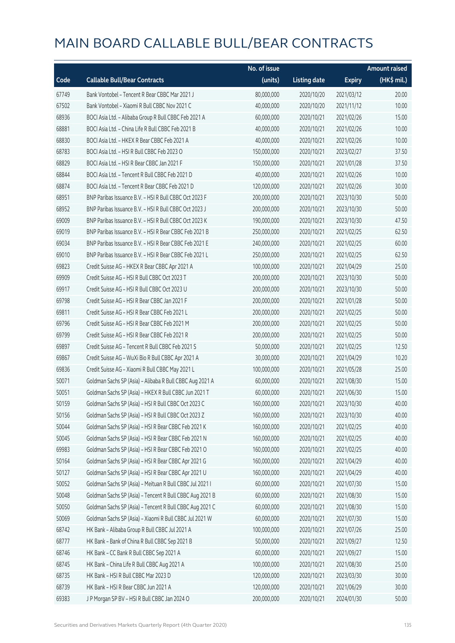|       |                                                          | No. of issue |                     |               | <b>Amount raised</b> |
|-------|----------------------------------------------------------|--------------|---------------------|---------------|----------------------|
| Code  | <b>Callable Bull/Bear Contracts</b>                      | (units)      | <b>Listing date</b> | <b>Expiry</b> | (HK\$ mil.)          |
| 67749 | Bank Vontobel - Tencent R Bear CBBC Mar 2021 J           | 80,000,000   | 2020/10/20          | 2021/03/12    | 20.00                |
| 67502 | Bank Vontobel - Xiaomi R Bull CBBC Nov 2021 C            | 40,000,000   | 2020/10/20          | 2021/11/12    | 10.00                |
| 68936 | BOCI Asia Ltd. - Alibaba Group R Bull CBBC Feb 2021 A    | 60,000,000   | 2020/10/21          | 2021/02/26    | 15.00                |
| 68881 | BOCI Asia Ltd. - China Life R Bull CBBC Feb 2021 B       | 40,000,000   | 2020/10/21          | 2021/02/26    | 10.00                |
| 68830 | BOCI Asia Ltd. - HKEX R Bear CBBC Feb 2021 A             | 40,000,000   | 2020/10/21          | 2021/02/26    | 10.00                |
| 68783 | BOCI Asia Ltd. - HSI R Bull CBBC Feb 2023 O              | 150,000,000  | 2020/10/21          | 2023/02/27    | 37.50                |
| 68829 | BOCI Asia Ltd. - HSI R Bear CBBC Jan 2021 F              | 150,000,000  | 2020/10/21          | 2021/01/28    | 37.50                |
| 68844 | BOCI Asia Ltd. - Tencent R Bull CBBC Feb 2021 D          | 40,000,000   | 2020/10/21          | 2021/02/26    | 10.00                |
| 68874 | BOCI Asia Ltd. - Tencent R Bear CBBC Feb 2021 D          | 120,000,000  | 2020/10/21          | 2021/02/26    | 30.00                |
| 68951 | BNP Paribas Issuance B.V. - HSI R Bull CBBC Oct 2023 F   | 200,000,000  | 2020/10/21          | 2023/10/30    | 50.00                |
| 68952 | BNP Paribas Issuance B.V. - HSI R Bull CBBC Oct 2023 J   | 200,000,000  | 2020/10/21          | 2023/10/30    | 50.00                |
| 69009 | BNP Paribas Issuance B.V. - HSI R Bull CBBC Oct 2023 K   | 190,000,000  | 2020/10/21          | 2023/10/30    | 47.50                |
| 69019 | BNP Paribas Issuance B.V. - HSI R Bear CBBC Feb 2021 B   | 250,000,000  | 2020/10/21          | 2021/02/25    | 62.50                |
| 69034 | BNP Paribas Issuance B.V. - HSI R Bear CBBC Feb 2021 E   | 240,000,000  | 2020/10/21          | 2021/02/25    | 60.00                |
| 69010 | BNP Paribas Issuance B.V. - HSI R Bear CBBC Feb 2021 L   | 250,000,000  | 2020/10/21          | 2021/02/25    | 62.50                |
| 69823 | Credit Suisse AG - HKEX R Bear CBBC Apr 2021 A           | 100,000,000  | 2020/10/21          | 2021/04/29    | 25.00                |
| 69909 | Credit Suisse AG - HSI R Bull CBBC Oct 2023 T            | 200,000,000  | 2020/10/21          | 2023/10/30    | 50.00                |
| 69917 | Credit Suisse AG - HSI R Bull CBBC Oct 2023 U            | 200,000,000  | 2020/10/21          | 2023/10/30    | 50.00                |
| 69798 | Credit Suisse AG - HSI R Bear CBBC Jan 2021 F            | 200,000,000  | 2020/10/21          | 2021/01/28    | 50.00                |
| 69811 | Credit Suisse AG - HSI R Bear CBBC Feb 2021 L            | 200,000,000  | 2020/10/21          | 2021/02/25    | 50.00                |
| 69796 | Credit Suisse AG - HSI R Bear CBBC Feb 2021 M            | 200,000,000  | 2020/10/21          | 2021/02/25    | 50.00                |
| 69799 | Credit Suisse AG - HSI R Bear CBBC Feb 2021 R            | 200,000,000  | 2020/10/21          | 2021/02/25    | 50.00                |
| 69897 | Credit Suisse AG - Tencent R Bull CBBC Feb 2021 S        | 50,000,000   | 2020/10/21          | 2021/02/25    | 12.50                |
| 69867 | Credit Suisse AG - WuXi Bio R Bull CBBC Apr 2021 A       | 30,000,000   | 2020/10/21          | 2021/04/29    | 10.20                |
| 69836 | Credit Suisse AG - Xiaomi R Bull CBBC May 2021 L         | 100,000,000  | 2020/10/21          | 2021/05/28    | 25.00                |
| 50071 | Goldman Sachs SP (Asia) - Alibaba R Bull CBBC Aug 2021 A | 60,000,000   | 2020/10/21          | 2021/08/30    | 15.00                |
| 50051 | Goldman Sachs SP (Asia) - HKEX R Bull CBBC Jun 2021 T    | 60,000,000   | 2020/10/21          | 2021/06/30    | 15.00                |
| 50159 | Goldman Sachs SP (Asia) - HSI R Bull CBBC Oct 2023 C     | 160,000,000  | 2020/10/21          | 2023/10/30    | 40.00                |
| 50156 | Goldman Sachs SP (Asia) - HSI R Bull CBBC Oct 2023 Z     | 160,000,000  | 2020/10/21          | 2023/10/30    | 40.00                |
| 50044 | Goldman Sachs SP (Asia) - HSI R Bear CBBC Feb 2021 K     | 160,000,000  | 2020/10/21          | 2021/02/25    | 40.00                |
| 50045 | Goldman Sachs SP (Asia) - HSI R Bear CBBC Feb 2021 N     | 160,000,000  | 2020/10/21          | 2021/02/25    | 40.00                |
| 69983 | Goldman Sachs SP (Asia) - HSI R Bear CBBC Feb 2021 O     | 160,000,000  | 2020/10/21          | 2021/02/25    | 40.00                |
| 50164 | Goldman Sachs SP (Asia) - HSI R Bear CBBC Apr 2021 G     | 160,000,000  | 2020/10/21          | 2021/04/29    | 40.00                |
| 50127 | Goldman Sachs SP (Asia) - HSI R Bear CBBC Apr 2021 U     | 160,000,000  | 2020/10/21          | 2021/04/29    | 40.00                |
| 50052 | Goldman Sachs SP (Asia) - Meituan R Bull CBBC Jul 2021 I | 60,000,000   | 2020/10/21          | 2021/07/30    | 15.00                |
| 50048 | Goldman Sachs SP (Asia) - Tencent R Bull CBBC Aug 2021 B | 60,000,000   | 2020/10/21          | 2021/08/30    | 15.00                |
| 50050 | Goldman Sachs SP (Asia) - Tencent R Bull CBBC Aug 2021 C | 60,000,000   | 2020/10/21          | 2021/08/30    | 15.00                |
| 50069 | Goldman Sachs SP (Asia) - Xiaomi R Bull CBBC Jul 2021 W  | 60,000,000   | 2020/10/21          | 2021/07/30    | 15.00                |
| 68742 | HK Bank - Alibaba Group R Bull CBBC Jul 2021 A           | 100,000,000  | 2020/10/21          | 2021/07/26    | 25.00                |
| 68777 | HK Bank - Bank of China R Bull CBBC Sep 2021 B           | 50,000,000   | 2020/10/21          | 2021/09/27    | 12.50                |
| 68746 | HK Bank - CC Bank R Bull CBBC Sep 2021 A                 | 60,000,000   | 2020/10/21          | 2021/09/27    | 15.00                |
| 68745 | HK Bank - China Life R Bull CBBC Aug 2021 A              | 100,000,000  | 2020/10/21          | 2021/08/30    | 25.00                |
| 68735 | HK Bank - HSI R Bull CBBC Mar 2023 D                     | 120,000,000  | 2020/10/21          | 2023/03/30    | 30.00                |
| 68739 | HK Bank - HSI R Bear CBBC Jun 2021 A                     | 120,000,000  | 2020/10/21          | 2021/06/29    | 30.00                |
| 69383 | J P Morgan SP BV - HSI R Bull CBBC Jan 2024 O            | 200,000,000  | 2020/10/21          | 2024/01/30    | 50.00                |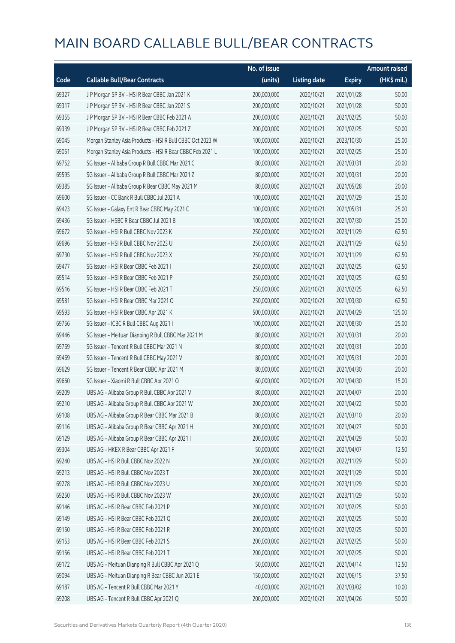|       |                                                           | No. of issue |                     |               | <b>Amount raised</b> |
|-------|-----------------------------------------------------------|--------------|---------------------|---------------|----------------------|
| Code  | <b>Callable Bull/Bear Contracts</b>                       | (units)      | <b>Listing date</b> | <b>Expiry</b> | (HK\$ mil.)          |
| 69327 | J P Morgan SP BV - HSI R Bear CBBC Jan 2021 K             | 200,000,000  | 2020/10/21          | 2021/01/28    | 50.00                |
| 69317 | JP Morgan SP BV - HSIR Bear CBBC Jan 2021 S               | 200,000,000  | 2020/10/21          | 2021/01/28    | 50.00                |
| 69355 | JP Morgan SP BV - HSIR Bear CBBC Feb 2021 A               | 200,000,000  | 2020/10/21          | 2021/02/25    | 50.00                |
| 69339 | J P Morgan SP BV - HSI R Bear CBBC Feb 2021 Z             | 200,000,000  | 2020/10/21          | 2021/02/25    | 50.00                |
| 69045 | Morgan Stanley Asia Products - HSI R Bull CBBC Oct 2023 W | 100,000,000  | 2020/10/21          | 2023/10/30    | 25.00                |
| 69051 | Morgan Stanley Asia Products - HSI R Bear CBBC Feb 2021 L | 100,000,000  | 2020/10/21          | 2021/02/25    | 25.00                |
| 69752 | SG Issuer - Alibaba Group R Bull CBBC Mar 2021 C          | 80,000,000   | 2020/10/21          | 2021/03/31    | 20.00                |
| 69595 | SG Issuer - Alibaba Group R Bull CBBC Mar 2021 Z          | 80,000,000   | 2020/10/21          | 2021/03/31    | 20.00                |
| 69385 | SG Issuer - Alibaba Group R Bear CBBC May 2021 M          | 80,000,000   | 2020/10/21          | 2021/05/28    | 20.00                |
| 69600 | SG Issuer - CC Bank R Bull CBBC Jul 2021 A                | 100,000,000  | 2020/10/21          | 2021/07/29    | 25.00                |
| 69423 | SG Issuer - Galaxy Ent R Bear CBBC May 2021 C             | 100,000,000  | 2020/10/21          | 2021/05/31    | 25.00                |
| 69436 | SG Issuer - HSBC R Bear CBBC Jul 2021 B                   | 100,000,000  | 2020/10/21          | 2021/07/30    | 25.00                |
| 69672 | SG Issuer - HSI R Bull CBBC Nov 2023 K                    | 250,000,000  | 2020/10/21          | 2023/11/29    | 62.50                |
| 69696 | SG Issuer - HSI R Bull CBBC Nov 2023 U                    | 250,000,000  | 2020/10/21          | 2023/11/29    | 62.50                |
| 69730 | SG Issuer - HSI R Bull CBBC Nov 2023 X                    | 250,000,000  | 2020/10/21          | 2023/11/29    | 62.50                |
| 69477 | SG Issuer - HSI R Bear CBBC Feb 2021 I                    | 250,000,000  | 2020/10/21          | 2021/02/25    | 62.50                |
| 69514 | SG Issuer - HSI R Bear CBBC Feb 2021 P                    | 250,000,000  | 2020/10/21          | 2021/02/25    | 62.50                |
| 69516 | SG Issuer - HSI R Bear CBBC Feb 2021 T                    | 250,000,000  | 2020/10/21          | 2021/02/25    | 62.50                |
| 69581 | SG Issuer - HSI R Bear CBBC Mar 2021 O                    | 250,000,000  | 2020/10/21          | 2021/03/30    | 62.50                |
| 69593 | SG Issuer - HSI R Bear CBBC Apr 2021 K                    | 500,000,000  | 2020/10/21          | 2021/04/29    | 125.00               |
| 69756 | SG Issuer - ICBC R Bull CBBC Aug 2021 I                   | 100,000,000  | 2020/10/21          | 2021/08/30    | 25.00                |
| 69446 | SG Issuer - Meituan Dianping R Bull CBBC Mar 2021 M       | 80,000,000   | 2020/10/21          | 2021/03/31    | 20.00                |
| 69769 | SG Issuer - Tencent R Bull CBBC Mar 2021 N                | 80,000,000   | 2020/10/21          | 2021/03/31    | 20.00                |
| 69469 | SG Issuer - Tencent R Bull CBBC May 2021 V                | 80,000,000   | 2020/10/21          | 2021/05/31    | 20.00                |
| 69629 | SG Issuer - Tencent R Bear CBBC Apr 2021 M                | 80,000,000   | 2020/10/21          | 2021/04/30    | 20.00                |
| 69660 | SG Issuer - Xiaomi R Bull CBBC Apr 2021 O                 | 60,000,000   | 2020/10/21          | 2021/04/30    | 15.00                |
| 69209 | UBS AG - Alibaba Group R Bull CBBC Apr 2021 V             | 80,000,000   | 2020/10/21          | 2021/04/07    | 20.00                |
| 69210 | UBS AG - Alibaba Group R Bull CBBC Apr 2021 W             | 200,000,000  | 2020/10/21          | 2021/04/22    | 50.00                |
| 69108 | UBS AG - Alibaba Group R Bear CBBC Mar 2021 B             | 80,000,000   | 2020/10/21          | 2021/03/10    | 20.00                |
| 69116 | UBS AG - Alibaba Group R Bear CBBC Apr 2021 H             | 200,000,000  | 2020/10/21          | 2021/04/27    | 50.00                |
| 69129 | UBS AG - Alibaba Group R Bear CBBC Apr 2021 I             | 200,000,000  | 2020/10/21          | 2021/04/29    | 50.00                |
| 69304 | UBS AG - HKEX R Bear CBBC Apr 2021 F                      | 50,000,000   | 2020/10/21          | 2021/04/07    | 12.50                |
| 69240 | UBS AG - HSI R Bull CBBC Nov 2022 N                       | 200,000,000  | 2020/10/21          | 2022/11/29    | 50.00                |
| 69213 | UBS AG - HSI R Bull CBBC Nov 2023 T                       | 200,000,000  | 2020/10/21          | 2023/11/29    | 50.00                |
| 69278 | UBS AG - HSI R Bull CBBC Nov 2023 U                       | 200,000,000  | 2020/10/21          | 2023/11/29    | 50.00                |
| 69250 | UBS AG - HSI R Bull CBBC Nov 2023 W                       | 200,000,000  | 2020/10/21          | 2023/11/29    | 50.00                |
| 69146 | UBS AG - HSI R Bear CBBC Feb 2021 P                       | 200,000,000  | 2020/10/21          | 2021/02/25    | 50.00                |
| 69149 | UBS AG - HSI R Bear CBBC Feb 2021 Q                       | 200,000,000  | 2020/10/21          | 2021/02/25    | 50.00                |
| 69150 | UBS AG - HSI R Bear CBBC Feb 2021 R                       | 200,000,000  | 2020/10/21          | 2021/02/25    | 50.00                |
| 69153 | UBS AG - HSI R Bear CBBC Feb 2021 S                       | 200,000,000  | 2020/10/21          | 2021/02/25    | 50.00                |
| 69156 | UBS AG - HSI R Bear CBBC Feb 2021 T                       | 200,000,000  | 2020/10/21          | 2021/02/25    | 50.00                |
| 69172 | UBS AG - Meituan Dianping R Bull CBBC Apr 2021 Q          | 50,000,000   | 2020/10/21          | 2021/04/14    | 12.50                |
| 69094 | UBS AG - Meituan Dianping R Bear CBBC Jun 2021 E          | 150,000,000  | 2020/10/21          | 2021/06/15    | 37.50                |
| 69187 | UBS AG - Tencent R Bull CBBC Mar 2021 Y                   | 40,000,000   | 2020/10/21          | 2021/03/02    | 10.00                |
| 69208 | UBS AG - Tencent R Bull CBBC Apr 2021 Q                   | 200,000,000  | 2020/10/21          | 2021/04/26    | 50.00                |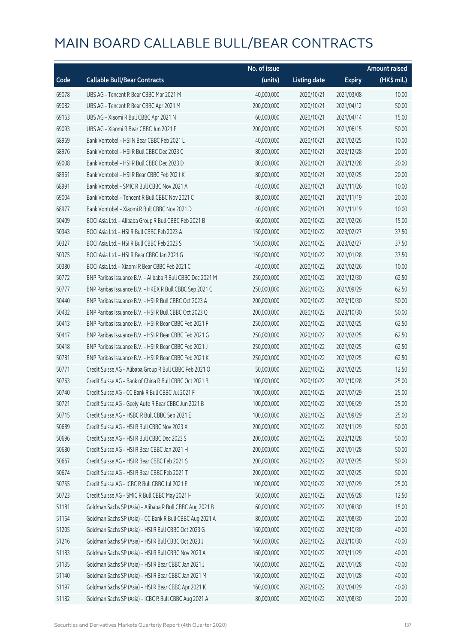|       |                                                            | No. of issue |                     |               | <b>Amount raised</b> |
|-------|------------------------------------------------------------|--------------|---------------------|---------------|----------------------|
| Code  | <b>Callable Bull/Bear Contracts</b>                        | (units)      | <b>Listing date</b> | <b>Expiry</b> | (HK\$ mil.)          |
| 69078 | UBS AG - Tencent R Bear CBBC Mar 2021 M                    | 40,000,000   | 2020/10/21          | 2021/03/08    | 10.00                |
| 69082 | UBS AG - Tencent R Bear CBBC Apr 2021 M                    | 200,000,000  | 2020/10/21          | 2021/04/12    | 50.00                |
| 69163 | UBS AG - Xiaomi R Bull CBBC Apr 2021 N                     | 60,000,000   | 2020/10/21          | 2021/04/14    | 15.00                |
| 69093 | UBS AG - Xiaomi R Bear CBBC Jun 2021 F                     | 200,000,000  | 2020/10/21          | 2021/06/15    | 50.00                |
| 68969 | Bank Vontobel - HSI N Bear CBBC Feb 2021 L                 | 40,000,000   | 2020/10/21          | 2021/02/25    | 10.00                |
| 68976 | Bank Vontobel - HSI R Bull CBBC Dec 2023 C                 | 80,000,000   | 2020/10/21          | 2023/12/28    | 20.00                |
| 69008 | Bank Vontobel - HSI R Bull CBBC Dec 2023 D                 | 80,000,000   | 2020/10/21          | 2023/12/28    | 20.00                |
| 68961 | Bank Vontobel - HSI R Bear CBBC Feb 2021 K                 | 80,000,000   | 2020/10/21          | 2021/02/25    | 20.00                |
| 68991 | Bank Vontobel - SMIC R Bull CBBC Nov 2021 A                | 40,000,000   | 2020/10/21          | 2021/11/26    | 10.00                |
| 69004 | Bank Vontobel - Tencent R Bull CBBC Nov 2021 C             | 80,000,000   | 2020/10/21          | 2021/11/19    | 20.00                |
| 68977 | Bank Vontobel - Xiaomi R Bull CBBC Nov 2021 D              | 40,000,000   | 2020/10/21          | 2021/11/19    | 10.00                |
| 50409 | BOCI Asia Ltd. - Alibaba Group R Bull CBBC Feb 2021 B      | 60,000,000   | 2020/10/22          | 2021/02/26    | 15.00                |
| 50343 | BOCI Asia Ltd. - HSI R Bull CBBC Feb 2023 A                | 150,000,000  | 2020/10/22          | 2023/02/27    | 37.50                |
| 50327 | BOCI Asia Ltd. - HSI R Bull CBBC Feb 2023 S                | 150,000,000  | 2020/10/22          | 2023/02/27    | 37.50                |
| 50375 | BOCI Asia Ltd. - HSI R Bear CBBC Jan 2021 G                | 150,000,000  | 2020/10/22          | 2021/01/28    | 37.50                |
| 50380 | BOCI Asia Ltd. - Xiaomi R Bear CBBC Feb 2021 C             | 40,000,000   | 2020/10/22          | 2021/02/26    | 10.00                |
| 50772 | BNP Paribas Issuance B.V. - Alibaba R Bull CBBC Dec 2021 M | 250,000,000  | 2020/10/22          | 2021/12/30    | 62.50                |
| 50777 | BNP Paribas Issuance B.V. - HKEX R Bull CBBC Sep 2021 C    | 250,000,000  | 2020/10/22          | 2021/09/29    | 62.50                |
| 50440 | BNP Paribas Issuance B.V. - HSI R Bull CBBC Oct 2023 A     | 200,000,000  | 2020/10/22          | 2023/10/30    | 50.00                |
| 50432 | BNP Paribas Issuance B.V. - HSI R Bull CBBC Oct 2023 Q     | 200,000,000  | 2020/10/22          | 2023/10/30    | 50.00                |
| 50413 | BNP Paribas Issuance B.V. - HSI R Bear CBBC Feb 2021 F     | 250,000,000  | 2020/10/22          | 2021/02/25    | 62.50                |
| 50417 | BNP Paribas Issuance B.V. - HSI R Bear CBBC Feb 2021 G     | 250,000,000  | 2020/10/22          | 2021/02/25    | 62.50                |
| 50418 | BNP Paribas Issuance B.V. - HSI R Bear CBBC Feb 2021 J     | 250,000,000  | 2020/10/22          | 2021/02/25    | 62.50                |
| 50781 | BNP Paribas Issuance B.V. - HSI R Bear CBBC Feb 2021 K     | 250,000,000  | 2020/10/22          | 2021/02/25    | 62.50                |
| 50771 | Credit Suisse AG - Alibaba Group R Bull CBBC Feb 2021 O    | 50,000,000   | 2020/10/22          | 2021/02/25    | 12.50                |
| 50763 | Credit Suisse AG - Bank of China R Bull CBBC Oct 2021 B    | 100,000,000  | 2020/10/22          | 2021/10/28    | 25.00                |
| 50740 | Credit Suisse AG - CC Bank R Bull CBBC Jul 2021 F          | 100,000,000  | 2020/10/22          | 2021/07/29    | 25.00                |
| 50721 | Credit Suisse AG - Geely Auto R Bear CBBC Jun 2021 B       | 100,000,000  | 2020/10/22          | 2021/06/29    | 25.00                |
| 50715 | Credit Suisse AG - HSBC R Bull CBBC Sep 2021 E             | 100,000,000  | 2020/10/22          | 2021/09/29    | 25.00                |
| 50689 | Credit Suisse AG - HSI R Bull CBBC Nov 2023 X              | 200,000,000  | 2020/10/22          | 2023/11/29    | 50.00                |
| 50696 | Credit Suisse AG - HSI R Bull CBBC Dec 2023 S              | 200,000,000  | 2020/10/22          | 2023/12/28    | 50.00                |
| 50680 | Credit Suisse AG - HSI R Bear CBBC Jan 2021 H              | 200,000,000  | 2020/10/22          | 2021/01/28    | 50.00                |
| 50667 | Credit Suisse AG - HSI R Bear CBBC Feb 2021 S              | 200,000,000  | 2020/10/22          | 2021/02/25    | 50.00                |
| 50674 | Credit Suisse AG - HSI R Bear CBBC Feb 2021 T              | 200,000,000  | 2020/10/22          | 2021/02/25    | 50.00                |
| 50755 | Credit Suisse AG - ICBC R Bull CBBC Jul 2021 E             | 100,000,000  | 2020/10/22          | 2021/07/29    | 25.00                |
| 50723 | Credit Suisse AG - SMIC R Bull CBBC May 2021 H             | 50,000,000   | 2020/10/22          | 2021/05/28    | 12.50                |
| 51181 | Goldman Sachs SP (Asia) - Alibaba R Bull CBBC Aug 2021 B   | 60,000,000   | 2020/10/22          | 2021/08/30    | 15.00                |
| 51164 | Goldman Sachs SP (Asia) - CC Bank R Bull CBBC Aug 2021 A   | 80,000,000   | 2020/10/22          | 2021/08/30    | 20.00                |
| 51205 | Goldman Sachs SP (Asia) - HSI R Bull CBBC Oct 2023 G       | 160,000,000  | 2020/10/22          | 2023/10/30    | 40.00                |
| 51216 | Goldman Sachs SP (Asia) - HSI R Bull CBBC Oct 2023 J       | 160,000,000  | 2020/10/22          | 2023/10/30    | 40.00                |
| 51183 | Goldman Sachs SP (Asia) - HSI R Bull CBBC Nov 2023 A       | 160,000,000  | 2020/10/22          | 2023/11/29    | 40.00                |
| 51135 | Goldman Sachs SP (Asia) - HSI R Bear CBBC Jan 2021 J       | 160,000,000  | 2020/10/22          | 2021/01/28    | 40.00                |
| 51140 | Goldman Sachs SP (Asia) - HSI R Bear CBBC Jan 2021 M       | 160,000,000  | 2020/10/22          | 2021/01/28    | 40.00                |
| 51197 | Goldman Sachs SP (Asia) - HSI R Bear CBBC Apr 2021 K       | 160,000,000  | 2020/10/22          | 2021/04/29    | 40.00                |
| 51182 | Goldman Sachs SP (Asia) - ICBC R Bull CBBC Aug 2021 A      | 80,000,000   | 2020/10/22          | 2021/08/30    | 20.00                |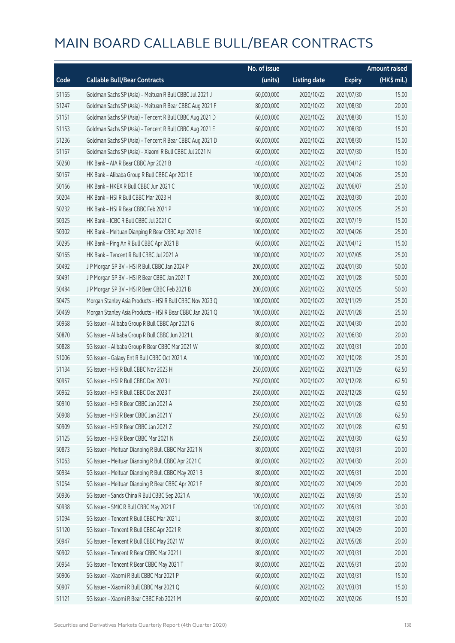|       |                                                           | No. of issue |                     |               | <b>Amount raised</b>  |
|-------|-----------------------------------------------------------|--------------|---------------------|---------------|-----------------------|
| Code  | <b>Callable Bull/Bear Contracts</b>                       | (units)      | <b>Listing date</b> | <b>Expiry</b> | $(HK\frac{1}{2}mil.)$ |
| 51165 | Goldman Sachs SP (Asia) - Meituan R Bull CBBC Jul 2021 J  | 60,000,000   | 2020/10/22          | 2021/07/30    | 15.00                 |
| 51247 | Goldman Sachs SP (Asia) - Meituan R Bear CBBC Aug 2021 F  | 80,000,000   | 2020/10/22          | 2021/08/30    | 20.00                 |
| 51151 | Goldman Sachs SP (Asia) - Tencent R Bull CBBC Aug 2021 D  | 60,000,000   | 2020/10/22          | 2021/08/30    | 15.00                 |
| 51153 | Goldman Sachs SP (Asia) - Tencent R Bull CBBC Aug 2021 E  | 60,000,000   | 2020/10/22          | 2021/08/30    | 15.00                 |
| 51236 | Goldman Sachs SP (Asia) - Tencent R Bear CBBC Aug 2021 D  | 60,000,000   | 2020/10/22          | 2021/08/30    | 15.00                 |
| 51167 | Goldman Sachs SP (Asia) - Xiaomi R Bull CBBC Jul 2021 N   | 60,000,000   | 2020/10/22          | 2021/07/30    | 15.00                 |
| 50260 | HK Bank - AIA R Bear CBBC Apr 2021 B                      | 40,000,000   | 2020/10/22          | 2021/04/12    | 10.00                 |
| 50167 | HK Bank - Alibaba Group R Bull CBBC Apr 2021 E            | 100,000,000  | 2020/10/22          | 2021/04/26    | 25.00                 |
| 50166 | HK Bank - HKEX R Bull CBBC Jun 2021 C                     | 100,000,000  | 2020/10/22          | 2021/06/07    | 25.00                 |
| 50204 | HK Bank - HSI R Bull CBBC Mar 2023 H                      | 80,000,000   | 2020/10/22          | 2023/03/30    | 20.00                 |
| 50232 | HK Bank - HSI R Bear CBBC Feb 2021 P                      | 100,000,000  | 2020/10/22          | 2021/02/25    | 25.00                 |
| 50325 | HK Bank - ICBC R Bull CBBC Jul 2021 C                     | 60,000,000   | 2020/10/22          | 2021/07/19    | 15.00                 |
| 50302 | HK Bank - Meituan Dianping R Bear CBBC Apr 2021 E         | 100,000,000  | 2020/10/22          | 2021/04/26    | 25.00                 |
| 50295 | HK Bank - Ping An R Bull CBBC Apr 2021 B                  | 60,000,000   | 2020/10/22          | 2021/04/12    | 15.00                 |
| 50165 | HK Bank - Tencent R Bull CBBC Jul 2021 A                  | 100,000,000  | 2020/10/22          | 2021/07/05    | 25.00                 |
| 50492 | J P Morgan SP BV - HSI R Bull CBBC Jan 2024 P             | 200,000,000  | 2020/10/22          | 2024/01/30    | 50.00                 |
| 50491 | J P Morgan SP BV - HSI R Bear CBBC Jan 2021 T             | 200,000,000  | 2020/10/22          | 2021/01/28    | 50.00                 |
| 50484 | J P Morgan SP BV - HSI R Bear CBBC Feb 2021 B             | 200,000,000  | 2020/10/22          | 2021/02/25    | 50.00                 |
| 50475 | Morgan Stanley Asia Products - HSI R Bull CBBC Nov 2023 Q | 100,000,000  | 2020/10/22          | 2023/11/29    | 25.00                 |
| 50469 | Morgan Stanley Asia Products - HSI R Bear CBBC Jan 2021 Q | 100,000,000  | 2020/10/22          | 2021/01/28    | 25.00                 |
| 50968 | SG Issuer - Alibaba Group R Bull CBBC Apr 2021 G          | 80,000,000   | 2020/10/22          | 2021/04/30    | 20.00                 |
| 50870 | SG Issuer - Alibaba Group R Bull CBBC Jun 2021 L          | 80,000,000   | 2020/10/22          | 2021/06/30    | 20.00                 |
| 50828 | SG Issuer - Alibaba Group R Bear CBBC Mar 2021 W          | 80,000,000   | 2020/10/22          | 2021/03/31    | 20.00                 |
| 51006 | SG Issuer - Galaxy Ent R Bull CBBC Oct 2021 A             | 100,000,000  | 2020/10/22          | 2021/10/28    | 25.00                 |
| 51134 | SG Issuer - HSI R Bull CBBC Nov 2023 H                    | 250,000,000  | 2020/10/22          | 2023/11/29    | 62.50                 |
| 50957 | SG Issuer - HSI R Bull CBBC Dec 2023 I                    | 250,000,000  | 2020/10/22          | 2023/12/28    | 62.50                 |
| 50962 | SG Issuer - HSI R Bull CBBC Dec 2023 T                    | 250,000,000  | 2020/10/22          | 2023/12/28    | 62.50                 |
| 50910 | SG Issuer - HSI R Bear CBBC Jan 2021 A                    | 250,000,000  | 2020/10/22          | 2021/01/28    | 62.50                 |
| 50908 | SG Issuer - HSI R Bear CBBC Jan 2021 Y                    | 250,000,000  | 2020/10/22          | 2021/01/28    | 62.50                 |
| 50909 | SG Issuer - HSI R Bear CBBC Jan 2021 Z                    | 250,000,000  | 2020/10/22          | 2021/01/28    | 62.50                 |
| 51125 | SG Issuer - HSI R Bear CBBC Mar 2021 N                    | 250,000,000  | 2020/10/22          | 2021/03/30    | 62.50                 |
| 50873 | SG Issuer - Meituan Dianping R Bull CBBC Mar 2021 N       | 80,000,000   | 2020/10/22          | 2021/03/31    | 20.00                 |
| 51063 | SG Issuer - Meituan Dianping R Bull CBBC Apr 2021 C       | 80,000,000   | 2020/10/22          | 2021/04/30    | 20.00                 |
| 50934 | SG Issuer - Meituan Dianping R Bull CBBC May 2021 B       | 80,000,000   | 2020/10/22          | 2021/05/31    | 20.00                 |
| 51054 | SG Issuer - Meituan Dianping R Bear CBBC Apr 2021 F       | 80,000,000   | 2020/10/22          | 2021/04/29    | 20.00                 |
| 50936 | SG Issuer - Sands China R Bull CBBC Sep 2021 A            | 100,000,000  | 2020/10/22          | 2021/09/30    | 25.00                 |
| 50938 | SG Issuer - SMIC R Bull CBBC May 2021 F                   | 120,000,000  | 2020/10/22          | 2021/05/31    | 30.00                 |
| 51094 | SG Issuer - Tencent R Bull CBBC Mar 2021 J                | 80,000,000   | 2020/10/22          | 2021/03/31    | 20.00                 |
| 51120 | SG Issuer - Tencent R Bull CBBC Apr 2021 R                | 80,000,000   | 2020/10/22          | 2021/04/29    | 20.00                 |
| 50947 | SG Issuer - Tencent R Bull CBBC May 2021 W                | 80,000,000   | 2020/10/22          | 2021/05/28    | 20.00                 |
| 50902 | SG Issuer - Tencent R Bear CBBC Mar 2021 I                | 80,000,000   | 2020/10/22          | 2021/03/31    | 20.00                 |
| 50954 | SG Issuer - Tencent R Bear CBBC May 2021 T                | 80,000,000   | 2020/10/22          | 2021/05/31    | 20.00                 |
| 50906 | SG Issuer - Xiaomi R Bull CBBC Mar 2021 P                 | 60,000,000   | 2020/10/22          | 2021/03/31    | 15.00                 |
| 50907 | SG Issuer - Xiaomi R Bull CBBC Mar 2021 Q                 | 60,000,000   | 2020/10/22          | 2021/03/31    | 15.00                 |
| 51121 | SG Issuer - Xiaomi R Bear CBBC Feb 2021 M                 | 60,000,000   | 2020/10/22          | 2021/02/26    | 15.00                 |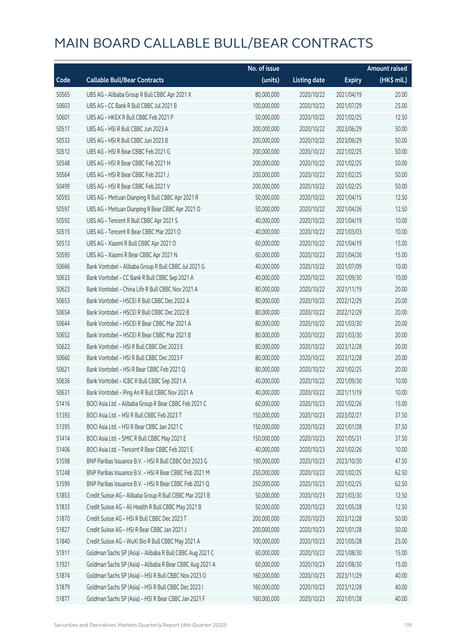|       |                                                          | No. of issue |                     |               | <b>Amount raised</b> |
|-------|----------------------------------------------------------|--------------|---------------------|---------------|----------------------|
| Code  | <b>Callable Bull/Bear Contracts</b>                      | (units)      | <b>Listing date</b> | <b>Expiry</b> | (HK\$ mil.)          |
| 50565 | UBS AG - Alibaba Group R Bull CBBC Apr 2021 X            | 80,000,000   | 2020/10/22          | 2021/04/19    | 20.00                |
| 50603 | UBS AG - CC Bank R Bull CBBC Jul 2021 B                  | 100,000,000  | 2020/10/22          | 2021/07/29    | 25.00                |
| 50601 | UBS AG - HKEX R Bull CBBC Feb 2021 P                     | 50,000,000   | 2020/10/22          | 2021/02/25    | 12.50                |
| 50517 | UBS AG - HSI R Bull CBBC Jun 2023 A                      | 200,000,000  | 2020/10/22          | 2023/06/29    | 50.00                |
| 50533 | UBS AG - HSI R Bull CBBC Jun 2023 B                      | 200,000,000  | 2020/10/22          | 2023/06/29    | 50.00                |
| 50512 | UBS AG - HSI R Bear CBBC Feb 2021 G                      | 200,000,000  | 2020/10/22          | 2021/02/25    | 50.00                |
| 50548 | UBS AG - HSI R Bear CBBC Feb 2021 H                      | 200,000,000  | 2020/10/22          | 2021/02/25    | 50.00                |
| 50564 | UBS AG - HSI R Bear CBBC Feb 2021 J                      | 200,000,000  | 2020/10/22          | 2021/02/25    | 50.00                |
| 50499 | UBS AG - HSI R Bear CBBC Feb 2021 V                      | 200,000,000  | 2020/10/22          | 2021/02/25    | 50.00                |
| 50593 | UBS AG - Meituan Dianping R Bull CBBC Apr 2021 R         | 50,000,000   | 2020/10/22          | 2021/04/15    | 12.50                |
| 50597 | UBS AG - Meituan Dianping R Bear CBBC Apr 2021 O         | 50,000,000   | 2020/10/22          | 2021/04/26    | 12.50                |
| 50592 | UBS AG - Tencent R Bull CBBC Apr 2021 S                  | 40,000,000   | 2020/10/22          | 2021/04/19    | 10.00                |
| 50515 | UBS AG - Tencent R Bear CBBC Mar 2021 O                  | 40,000,000   | 2020/10/22          | 2021/03/03    | 10.00                |
| 50513 | UBS AG - Xiaomi R Bull CBBC Apr 2021 O                   | 60,000,000   | 2020/10/22          | 2021/04/19    | 15.00                |
| 50595 | UBS AG - Xiaomi R Bear CBBC Apr 2021 N                   | 60,000,000   | 2020/10/22          | 2021/04/26    | 15.00                |
| 50666 | Bank Vontobel - Alibaba Group R Bull CBBC Jul 2021 G     | 40,000,000   | 2020/10/22          | 2021/07/09    | 10.00                |
| 50633 | Bank Vontobel - CC Bank R Bull CBBC Sep 2021 A           | 40,000,000   | 2020/10/22          | 2021/09/30    | 10.00                |
| 50623 | Bank Vontobel - China Life R Bull CBBC Nov 2021 A        | 80,000,000   | 2020/10/22          | 2021/11/19    | 20.00                |
| 50653 | Bank Vontobel - HSCEI R Bull CBBC Dec 2022 A             | 80,000,000   | 2020/10/22          | 2022/12/29    | 20.00                |
| 50654 | Bank Vontobel - HSCEI R Bull CBBC Dec 2022 B             | 80,000,000   | 2020/10/22          | 2022/12/29    | 20.00                |
| 50644 | Bank Vontobel - HSCEI R Bear CBBC Mar 2021 A             | 80,000,000   | 2020/10/22          | 2021/03/30    | 20.00                |
| 50652 | Bank Vontobel - HSCEI R Bear CBBC Mar 2021 B             | 80,000,000   | 2020/10/22          | 2021/03/30    | 20.00                |
| 50622 | Bank Vontobel - HSI R Bull CBBC Dec 2023 E               | 80,000,000   | 2020/10/22          | 2023/12/28    | 20.00                |
| 50660 | Bank Vontobel - HSI R Bull CBBC Dec 2023 F               | 80,000,000   | 2020/10/22          | 2023/12/28    | 20.00                |
| 50621 | Bank Vontobel - HSI R Bear CBBC Feb 2021 Q               | 80,000,000   | 2020/10/22          | 2021/02/25    | 20.00                |
| 50636 | Bank Vontobel - ICBC R Bull CBBC Sep 2021 A              | 40,000,000   | 2020/10/22          | 2021/09/30    | 10.00                |
| 50631 | Bank Vontobel - Ping An R Bull CBBC Nov 2021 A           | 40,000,000   | 2020/10/22          | 2021/11/19    | 10.00                |
| 51416 | BOCI Asia Ltd. - Alibaba Group R Bear CBBC Feb 2021 C    | 60,000,000   | 2020/10/23          | 2021/02/26    | 15.00                |
| 51393 | BOCI Asia Ltd. - HSI R Bull CBBC Feb 2023 T              | 150,000,000  | 2020/10/23          | 2023/02/27    | 37.50                |
| 51395 | BOCI Asia Ltd. - HSI R Bear CBBC Jan 2021 C              | 150,000,000  | 2020/10/23          | 2021/01/28    | 37.50                |
| 51414 | BOCI Asia Ltd. - SMIC R Bull CBBC May 2021 E             | 150,000,000  | 2020/10/23          | 2021/05/31    | 37.50                |
| 51406 | BOCI Asia Ltd. - Tencent R Bear CBBC Feb 2021 E          | 40,000,000   | 2020/10/23          | 2021/02/26    | 10.00                |
| 51598 | BNP Paribas Issuance B.V. - HSI R Bull CBBC Oct 2023 G   | 190,000,000  | 2020/10/23          | 2023/10/30    | 47.50                |
| 51248 | BNP Paribas Issuance B.V. - HSI R Bear CBBC Feb 2021 M   | 250,000,000  | 2020/10/23          | 2021/02/25    | 62.50                |
| 51599 | BNP Paribas Issuance B.V. - HSI R Bear CBBC Feb 2021 Q   | 250,000,000  | 2020/10/23          | 2021/02/25    | 62.50                |
| 51853 | Credit Suisse AG - Alibaba Group R Bull CBBC Mar 2021 B  | 50,000,000   | 2020/10/23          | 2021/03/30    | 12.50                |
| 51833 | Credit Suisse AG - Ali Health R Bull CBBC May 2021 B     | 50,000,000   | 2020/10/23          | 2021/05/28    | 12.50                |
| 51870 | Credit Suisse AG - HSI R Bull CBBC Dec 2023 T            | 200,000,000  | 2020/10/23          | 2023/12/28    | 50.00                |
| 51827 | Credit Suisse AG - HSI R Bear CBBC Jan 2021 J            | 200,000,000  | 2020/10/23          | 2021/01/28    | 50.00                |
| 51840 | Credit Suisse AG - WuXi Bio R Bull CBBC May 2021 A       | 100,000,000  | 2020/10/23          | 2021/05/28    | 25.00                |
| 51911 | Goldman Sachs SP (Asia) - Alibaba R Bull CBBC Aug 2021 C | 60,000,000   | 2020/10/23          | 2021/08/30    | 15.00                |
| 51921 | Goldman Sachs SP (Asia) - Alibaba R Bear CBBC Aug 2021 A | 60,000,000   | 2020/10/23          | 2021/08/30    | 15.00                |
| 51874 | Goldman Sachs SP (Asia) - HSI R Bull CBBC Nov 2023 O     | 160,000,000  | 2020/10/23          | 2023/11/29    | 40.00                |
| 51879 | Goldman Sachs SP (Asia) - HSI R Bull CBBC Dec 2023 I     | 160,000,000  | 2020/10/23          | 2023/12/28    | 40.00                |
| 51877 | Goldman Sachs SP (Asia) - HSI R Bear CBBC Jan 2021 F     | 160,000,000  | 2020/10/23          | 2021/01/28    | 40.00                |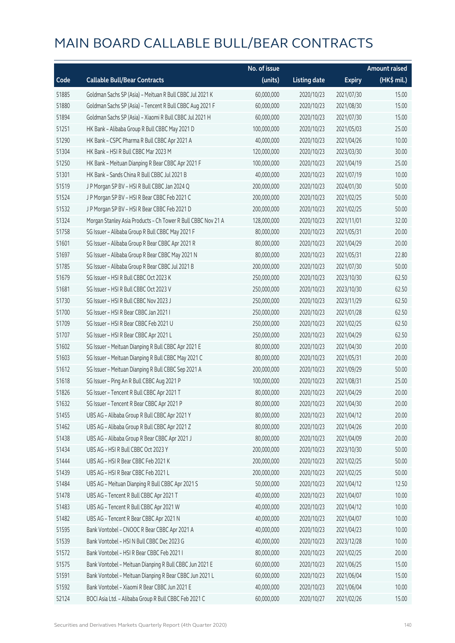|       |                                                              | No. of issue |                     |               | <b>Amount raised</b> |
|-------|--------------------------------------------------------------|--------------|---------------------|---------------|----------------------|
| Code  | <b>Callable Bull/Bear Contracts</b>                          | (units)      | <b>Listing date</b> | <b>Expiry</b> | (HK\$ mil.)          |
| 51885 | Goldman Sachs SP (Asia) - Meituan R Bull CBBC Jul 2021 K     | 60,000,000   | 2020/10/23          | 2021/07/30    | 15.00                |
| 51880 | Goldman Sachs SP (Asia) - Tencent R Bull CBBC Aug 2021 F     | 60,000,000   | 2020/10/23          | 2021/08/30    | 15.00                |
| 51894 | Goldman Sachs SP (Asia) - Xiaomi R Bull CBBC Jul 2021 H      | 60,000,000   | 2020/10/23          | 2021/07/30    | 15.00                |
| 51251 | HK Bank - Alibaba Group R Bull CBBC May 2021 D               | 100,000,000  | 2020/10/23          | 2021/05/03    | 25.00                |
| 51290 | HK Bank - CSPC Pharma R Bull CBBC Apr 2021 A                 | 40,000,000   | 2020/10/23          | 2021/04/26    | 10.00                |
| 51304 | HK Bank - HSI R Bull CBBC Mar 2023 M                         | 120,000,000  | 2020/10/23          | 2023/03/30    | 30.00                |
| 51250 | HK Bank - Meituan Dianping R Bear CBBC Apr 2021 F            | 100,000,000  | 2020/10/23          | 2021/04/19    | 25.00                |
| 51301 | HK Bank - Sands China R Bull CBBC Jul 2021 B                 | 40,000,000   | 2020/10/23          | 2021/07/19    | 10.00                |
| 51519 | J P Morgan SP BV - HSI R Bull CBBC Jan 2024 Q                | 200,000,000  | 2020/10/23          | 2024/01/30    | 50.00                |
| 51524 | J P Morgan SP BV - HSI R Bear CBBC Feb 2021 C                | 200,000,000  | 2020/10/23          | 2021/02/25    | 50.00                |
| 51532 | J P Morgan SP BV - HSI R Bear CBBC Feb 2021 D                | 200,000,000  | 2020/10/23          | 2021/02/25    | 50.00                |
| 51324 | Morgan Stanley Asia Products - Ch Tower R Bull CBBC Nov 21 A | 128,000,000  | 2020/10/23          | 2021/11/01    | 32.00                |
| 51758 | SG Issuer - Alibaba Group R Bull CBBC May 2021 F             | 80,000,000   | 2020/10/23          | 2021/05/31    | 20.00                |
| 51601 | SG Issuer - Alibaba Group R Bear CBBC Apr 2021 R             | 80,000,000   | 2020/10/23          | 2021/04/29    | 20.00                |
| 51697 | SG Issuer - Alibaba Group R Bear CBBC May 2021 N             | 80,000,000   | 2020/10/23          | 2021/05/31    | 22.80                |
| 51785 | SG Issuer - Alibaba Group R Bear CBBC Jul 2021 B             | 200,000,000  | 2020/10/23          | 2021/07/30    | 50.00                |
| 51679 | SG Issuer - HSI R Bull CBBC Oct 2023 K                       | 250,000,000  | 2020/10/23          | 2023/10/30    | 62.50                |
| 51681 | SG Issuer - HSI R Bull CBBC Oct 2023 V                       | 250,000,000  | 2020/10/23          | 2023/10/30    | 62.50                |
| 51730 | SG Issuer - HSI R Bull CBBC Nov 2023 J                       | 250,000,000  | 2020/10/23          | 2023/11/29    | 62.50                |
| 51700 | SG Issuer - HSI R Bear CBBC Jan 2021 I                       | 250,000,000  | 2020/10/23          | 2021/01/28    | 62.50                |
| 51709 | SG Issuer - HSI R Bear CBBC Feb 2021 U                       | 250,000,000  | 2020/10/23          | 2021/02/25    | 62.50                |
| 51707 | SG Issuer - HSI R Bear CBBC Apr 2021 L                       | 250,000,000  | 2020/10/23          | 2021/04/29    | 62.50                |
| 51602 | SG Issuer - Meituan Dianping R Bull CBBC Apr 2021 E          | 80,000,000   | 2020/10/23          | 2021/04/30    | 20.00                |
| 51603 | SG Issuer - Meituan Dianping R Bull CBBC May 2021 C          | 80,000,000   | 2020/10/23          | 2021/05/31    | 20.00                |
| 51612 | SG Issuer - Meituan Dianping R Bull CBBC Sep 2021 A          | 200,000,000  | 2020/10/23          | 2021/09/29    | 50.00                |
| 51618 | SG Issuer - Ping An R Bull CBBC Aug 2021 P                   | 100,000,000  | 2020/10/23          | 2021/08/31    | 25.00                |
| 51826 | SG Issuer - Tencent R Bull CBBC Apr 2021 T                   | 80,000,000   | 2020/10/23          | 2021/04/29    | 20.00                |
| 51632 | SG Issuer - Tencent R Bear CBBC Apr 2021 P                   | 80,000,000   | 2020/10/23          | 2021/04/30    | 20.00                |
| 51455 | UBS AG - Alibaba Group R Bull CBBC Apr 2021 Y                | 80,000,000   | 2020/10/23          | 2021/04/12    | 20.00                |
| 51462 | UBS AG - Alibaba Group R Bull CBBC Apr 2021 Z                | 80,000,000   | 2020/10/23          | 2021/04/26    | 20.00                |
| 51438 | UBS AG - Alibaba Group R Bear CBBC Apr 2021 J                | 80,000,000   | 2020/10/23          | 2021/04/09    | 20.00                |
| 51434 | UBS AG - HSI R Bull CBBC Oct 2023 Y                          | 200,000,000  | 2020/10/23          | 2023/10/30    | 50.00                |
| 51444 | UBS AG - HSI R Bear CBBC Feb 2021 K                          | 200,000,000  | 2020/10/23          | 2021/02/25    | 50.00                |
| 51439 | UBS AG - HSI R Bear CBBC Feb 2021 L                          | 200,000,000  | 2020/10/23          | 2021/02/25    | 50.00                |
| 51484 | UBS AG - Meituan Dianping R Bull CBBC Apr 2021 S             | 50,000,000   | 2020/10/23          | 2021/04/12    | 12.50                |
| 51478 | UBS AG - Tencent R Bull CBBC Apr 2021 T                      | 40,000,000   | 2020/10/23          | 2021/04/07    | 10.00                |
| 51483 | UBS AG - Tencent R Bull CBBC Apr 2021 W                      | 40,000,000   | 2020/10/23          | 2021/04/12    | 10.00                |
| 51482 | UBS AG - Tencent R Bear CBBC Apr 2021 N                      | 40,000,000   | 2020/10/23          | 2021/04/07    | 10.00                |
| 51595 | Bank Vontobel - CNOOC R Bear CBBC Apr 2021 A                 | 40,000,000   | 2020/10/23          | 2021/04/23    | 10.00                |
| 51539 | Bank Vontobel - HSI N Bull CBBC Dec 2023 G                   | 40,000,000   | 2020/10/23          | 2023/12/28    | 10.00                |
| 51572 | Bank Vontobel - HSI R Bear CBBC Feb 2021 I                   | 80,000,000   | 2020/10/23          | 2021/02/25    | 20.00                |
| 51575 | Bank Vontobel - Meituan Dianping R Bull CBBC Jun 2021 E      | 60,000,000   | 2020/10/23          | 2021/06/25    | 15.00                |
| 51591 | Bank Vontobel - Meituan Dianping R Bear CBBC Jun 2021 L      | 60,000,000   | 2020/10/23          | 2021/06/04    | 15.00                |
| 51592 | Bank Vontobel - Xiaomi R Bear CBBC Jun 2021 E                | 40,000,000   | 2020/10/23          | 2021/06/04    | 10.00                |
| 52124 | BOCI Asia Ltd. - Alibaba Group R Bull CBBC Feb 2021 C        | 60,000,000   | 2020/10/27          | 2021/02/26    | 15.00                |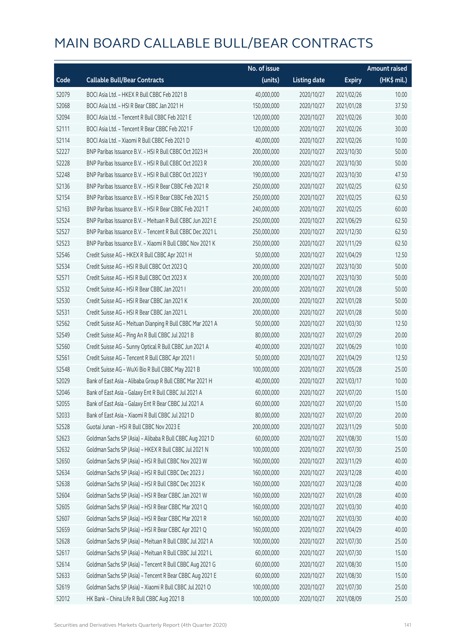|       |                                                            | No. of issue |                     |               | <b>Amount raised</b> |
|-------|------------------------------------------------------------|--------------|---------------------|---------------|----------------------|
| Code  | <b>Callable Bull/Bear Contracts</b>                        | (units)      | <b>Listing date</b> | <b>Expiry</b> | (HK\$ mil.)          |
| 52079 | BOCI Asia Ltd. - HKEX R Bull CBBC Feb 2021 B               | 40,000,000   | 2020/10/27          | 2021/02/26    | 10.00                |
| 52068 | BOCI Asia Ltd. - HSI R Bear CBBC Jan 2021 H                | 150,000,000  | 2020/10/27          | 2021/01/28    | 37.50                |
| 52094 | BOCI Asia Ltd. - Tencent R Bull CBBC Feb 2021 E            | 120,000,000  | 2020/10/27          | 2021/02/26    | 30.00                |
| 52111 | BOCI Asia Ltd. - Tencent R Bear CBBC Feb 2021 F            | 120,000,000  | 2020/10/27          | 2021/02/26    | 30.00                |
| 52114 | BOCI Asia Ltd. - Xiaomi R Bull CBBC Feb 2021 D             | 40,000,000   | 2020/10/27          | 2021/02/26    | 10.00                |
| 52227 | BNP Paribas Issuance B.V. - HSI R Bull CBBC Oct 2023 H     | 200,000,000  | 2020/10/27          | 2023/10/30    | 50.00                |
| 52228 | BNP Paribas Issuance B.V. - HSI R Bull CBBC Oct 2023 R     | 200,000,000  | 2020/10/27          | 2023/10/30    | 50.00                |
| 52248 | BNP Paribas Issuance B.V. - HSI R Bull CBBC Oct 2023 Y     | 190,000,000  | 2020/10/27          | 2023/10/30    | 47.50                |
| 52136 | BNP Paribas Issuance B.V. - HSI R Bear CBBC Feb 2021 R     | 250,000,000  | 2020/10/27          | 2021/02/25    | 62.50                |
| 52154 | BNP Paribas Issuance B.V. - HSI R Bear CBBC Feb 2021 S     | 250,000,000  | 2020/10/27          | 2021/02/25    | 62.50                |
| 52163 | BNP Paribas Issuance B.V. - HSI R Bear CBBC Feb 2021 T     | 240,000,000  | 2020/10/27          | 2021/02/25    | 60.00                |
| 52524 | BNP Paribas Issuance B.V. - Meituan R Bull CBBC Jun 2021 E | 250,000,000  | 2020/10/27          | 2021/06/29    | 62.50                |
| 52527 | BNP Paribas Issuance B.V. - Tencent R Bull CBBC Dec 2021 L | 250,000,000  | 2020/10/27          | 2021/12/30    | 62.50                |
| 52523 | BNP Paribas Issuance B.V. - Xiaomi R Bull CBBC Nov 2021 K  | 250,000,000  | 2020/10/27          | 2021/11/29    | 62.50                |
| 52546 | Credit Suisse AG - HKEX R Bull CBBC Apr 2021 H             | 50,000,000   | 2020/10/27          | 2021/04/29    | 12.50                |
| 52534 | Credit Suisse AG - HSI R Bull CBBC Oct 2023 Q              | 200,000,000  | 2020/10/27          | 2023/10/30    | 50.00                |
| 52571 | Credit Suisse AG - HSI R Bull CBBC Oct 2023 X              | 200,000,000  | 2020/10/27          | 2023/10/30    | 50.00                |
| 52532 | Credit Suisse AG - HSI R Bear CBBC Jan 2021 I              | 200,000,000  | 2020/10/27          | 2021/01/28    | 50.00                |
| 52530 | Credit Suisse AG - HSI R Bear CBBC Jan 2021 K              | 200,000,000  | 2020/10/27          | 2021/01/28    | 50.00                |
| 52531 | Credit Suisse AG - HSI R Bear CBBC Jan 2021 L              | 200,000,000  | 2020/10/27          | 2021/01/28    | 50.00                |
| 52562 | Credit Suisse AG - Meituan Dianping R Bull CBBC Mar 2021 A | 50,000,000   | 2020/10/27          | 2021/03/30    | 12.50                |
| 52549 | Credit Suisse AG - Ping An R Bull CBBC Jul 2021 B          | 80,000,000   | 2020/10/27          | 2021/07/29    | 20.00                |
| 52560 | Credit Suisse AG - Sunny Optical R Bull CBBC Jun 2021 A    | 40,000,000   | 2020/10/27          | 2021/06/29    | 10.00                |
| 52561 | Credit Suisse AG - Tencent R Bull CBBC Apr 2021 I          | 50,000,000   | 2020/10/27          | 2021/04/29    | 12.50                |
| 52548 | Credit Suisse AG - WuXi Bio R Bull CBBC May 2021 B         | 100,000,000  | 2020/10/27          | 2021/05/28    | 25.00                |
| 52029 | Bank of East Asia - Alibaba Group R Bull CBBC Mar 2021 H   | 40,000,000   | 2020/10/27          | 2021/03/17    | 10.00                |
| 52046 | Bank of East Asia - Galaxy Ent R Bull CBBC Jul 2021 A      | 60,000,000   | 2020/10/27          | 2021/07/20    | 15.00                |
| 52055 | Bank of East Asia - Galaxy Ent R Bear CBBC Jul 2021 A      | 60,000,000   | 2020/10/27          | 2021/07/20    | 15.00                |
| 52033 | Bank of East Asia - Xiaomi R Bull CBBC Jul 2021 D          | 80,000,000   | 2020/10/27          | 2021/07/20    | 20.00                |
| 52528 | Guotai Junan - HSI R Bull CBBC Nov 2023 E                  | 200,000,000  | 2020/10/27          | 2023/11/29    | 50.00                |
| 52623 | Goldman Sachs SP (Asia) - Alibaba R Bull CBBC Aug 2021 D   | 60,000,000   | 2020/10/27          | 2021/08/30    | 15.00                |
| 52632 | Goldman Sachs SP (Asia) - HKEX R Bull CBBC Jul 2021 N      | 100,000,000  | 2020/10/27          | 2021/07/30    | 25.00                |
| 52650 | Goldman Sachs SP (Asia) - HSI R Bull CBBC Nov 2023 W       | 160,000,000  | 2020/10/27          | 2023/11/29    | 40.00                |
| 52634 | Goldman Sachs SP (Asia) - HSI R Bull CBBC Dec 2023 J       | 160,000,000  | 2020/10/27          | 2023/12/28    | 40.00                |
| 52638 | Goldman Sachs SP (Asia) - HSI R Bull CBBC Dec 2023 K       | 160,000,000  | 2020/10/27          | 2023/12/28    | 40.00                |
| 52604 | Goldman Sachs SP (Asia) - HSI R Bear CBBC Jan 2021 W       | 160,000,000  | 2020/10/27          | 2021/01/28    | 40.00                |
| 52605 | Goldman Sachs SP (Asia) - HSI R Bear CBBC Mar 2021 Q       | 160,000,000  | 2020/10/27          | 2021/03/30    | 40.00                |
| 52607 | Goldman Sachs SP (Asia) - HSI R Bear CBBC Mar 2021 R       | 160,000,000  | 2020/10/27          | 2021/03/30    | 40.00                |
| 52659 | Goldman Sachs SP (Asia) - HSI R Bear CBBC Apr 2021 Q       | 160,000,000  | 2020/10/27          | 2021/04/29    | 40.00                |
| 52628 | Goldman Sachs SP (Asia) - Meituan R Bull CBBC Jul 2021 A   | 100,000,000  | 2020/10/27          | 2021/07/30    | 25.00                |
| 52617 | Goldman Sachs SP (Asia) - Meituan R Bull CBBC Jul 2021 L   | 60,000,000   | 2020/10/27          | 2021/07/30    | 15.00                |
| 52614 | Goldman Sachs SP (Asia) - Tencent R Bull CBBC Aug 2021 G   | 60,000,000   | 2020/10/27          | 2021/08/30    | 15.00                |
| 52633 | Goldman Sachs SP (Asia) - Tencent R Bear CBBC Aug 2021 E   | 60,000,000   | 2020/10/27          | 2021/08/30    | 15.00                |
| 52619 | Goldman Sachs SP (Asia) - Xiaomi R Bull CBBC Jul 2021 O    | 100,000,000  | 2020/10/27          | 2021/07/30    | 25.00                |
| 52012 | HK Bank - China Life R Bull CBBC Aug 2021 B                | 100,000,000  | 2020/10/27          | 2021/08/09    | 25.00                |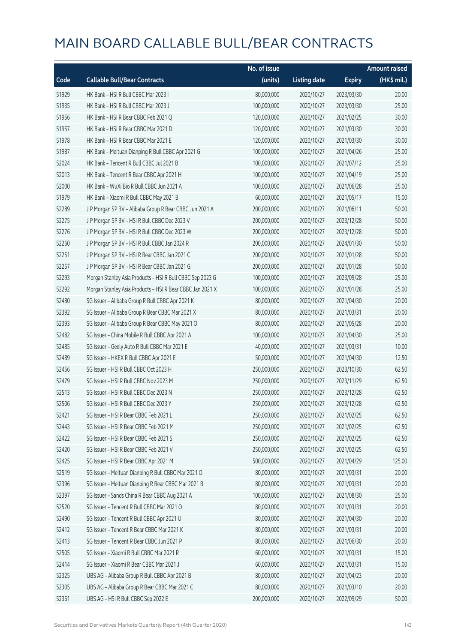|       |                                                           | No. of issue |                     |               | <b>Amount raised</b> |
|-------|-----------------------------------------------------------|--------------|---------------------|---------------|----------------------|
| Code  | <b>Callable Bull/Bear Contracts</b>                       | (units)      | <b>Listing date</b> | <b>Expiry</b> | (HK\$ mil.)          |
| 51929 | HK Bank - HSI R Bull CBBC Mar 2023 I                      | 80,000,000   | 2020/10/27          | 2023/03/30    | 20.00                |
| 51935 | HK Bank - HSI R Bull CBBC Mar 2023 J                      | 100,000,000  | 2020/10/27          | 2023/03/30    | 25.00                |
| 51956 | HK Bank - HSI R Bear CBBC Feb 2021 Q                      | 120,000,000  | 2020/10/27          | 2021/02/25    | 30.00                |
| 51957 | HK Bank - HSI R Bear CBBC Mar 2021 D                      | 120,000,000  | 2020/10/27          | 2021/03/30    | 30.00                |
| 51978 | HK Bank - HSI R Bear CBBC Mar 2021 E                      | 120,000,000  | 2020/10/27          | 2021/03/30    | 30.00                |
| 51987 | HK Bank - Meituan Dianping R Bull CBBC Apr 2021 G         | 100,000,000  | 2020/10/27          | 2021/04/26    | 25.00                |
| 52024 | HK Bank - Tencent R Bull CBBC Jul 2021 B                  | 100,000,000  | 2020/10/27          | 2021/07/12    | 25.00                |
| 52013 | HK Bank - Tencent R Bear CBBC Apr 2021 H                  | 100,000,000  | 2020/10/27          | 2021/04/19    | 25.00                |
| 52000 | HK Bank - WuXi Bio R Bull CBBC Jun 2021 A                 | 100,000,000  | 2020/10/27          | 2021/06/28    | 25.00                |
| 51979 | HK Bank - Xiaomi R Bull CBBC May 2021 B                   | 60,000,000   | 2020/10/27          | 2021/05/17    | 15.00                |
| 52289 | J P Morgan SP BV - Alibaba Group R Bear CBBC Jun 2021 A   | 200,000,000  | 2020/10/27          | 2021/06/11    | 50.00                |
| 52275 | J P Morgan SP BV - HSI R Bull CBBC Dec 2023 V             | 200,000,000  | 2020/10/27          | 2023/12/28    | 50.00                |
| 52276 | J P Morgan SP BV - HSI R Bull CBBC Dec 2023 W             | 200,000,000  | 2020/10/27          | 2023/12/28    | 50.00                |
| 52260 | J P Morgan SP BV - HSI R Bull CBBC Jan 2024 R             | 200,000,000  | 2020/10/27          | 2024/01/30    | 50.00                |
| 52251 | J P Morgan SP BV - HSI R Bear CBBC Jan 2021 C             | 200,000,000  | 2020/10/27          | 2021/01/28    | 50.00                |
| 52257 | J P Morgan SP BV - HSI R Bear CBBC Jan 2021 G             | 200,000,000  | 2020/10/27          | 2021/01/28    | 50.00                |
| 52293 | Morgan Stanley Asia Products - HSI R Bull CBBC Sep 2023 G | 100,000,000  | 2020/10/27          | 2023/09/28    | 25.00                |
| 52292 | Morgan Stanley Asia Products - HSI R Bear CBBC Jan 2021 X | 100,000,000  | 2020/10/27          | 2021/01/28    | 25.00                |
| 52480 | SG Issuer - Alibaba Group R Bull CBBC Apr 2021 K          | 80,000,000   | 2020/10/27          | 2021/04/30    | 20.00                |
| 52392 | SG Issuer - Alibaba Group R Bear CBBC Mar 2021 X          | 80,000,000   | 2020/10/27          | 2021/03/31    | 20.00                |
| 52393 | SG Issuer - Alibaba Group R Bear CBBC May 2021 O          | 80,000,000   | 2020/10/27          | 2021/05/28    | 20.00                |
| 52482 | SG Issuer - China Mobile R Bull CBBC Apr 2021 A           | 100,000,000  | 2020/10/27          | 2021/04/30    | 25.00                |
| 52485 | SG Issuer - Geely Auto R Bull CBBC Mar 2021 E             | 40,000,000   | 2020/10/27          | 2021/03/31    | 10.00                |
| 52489 | SG Issuer - HKEX R Bull CBBC Apr 2021 E                   | 50,000,000   | 2020/10/27          | 2021/04/30    | 12.50                |
| 52456 | SG Issuer - HSI R Bull CBBC Oct 2023 H                    | 250,000,000  | 2020/10/27          | 2023/10/30    | 62.50                |
| 52479 | SG Issuer - HSI R Bull CBBC Nov 2023 M                    | 250,000,000  | 2020/10/27          | 2023/11/29    | 62.50                |
| 52513 | SG Issuer - HSI R Bull CBBC Dec 2023 N                    | 250,000,000  | 2020/10/27          | 2023/12/28    | 62.50                |
| 52506 | SG Issuer - HSI R Bull CBBC Dec 2023 Y                    | 250,000,000  | 2020/10/27          | 2023/12/28    | 62.50                |
| 52421 | SG Issuer - HSI R Bear CBBC Feb 2021 L                    | 250,000,000  | 2020/10/27          | 2021/02/25    | 62.50                |
| 52443 | SG Issuer - HSI R Bear CBBC Feb 2021 M                    | 250,000,000  | 2020/10/27          | 2021/02/25    | 62.50                |
| 52422 | SG Issuer - HSI R Bear CBBC Feb 2021 S                    | 250,000,000  | 2020/10/27          | 2021/02/25    | 62.50                |
| 52420 | SG Issuer - HSI R Bear CBBC Feb 2021 V                    | 250,000,000  | 2020/10/27          | 2021/02/25    | 62.50                |
| 52425 | SG Issuer - HSI R Bear CBBC Apr 2021 M                    | 500,000,000  | 2020/10/27          | 2021/04/29    | 125.00               |
| 52519 | SG Issuer - Meituan Dianping R Bull CBBC Mar 2021 O       | 80,000,000   | 2020/10/27          | 2021/03/31    | 20.00                |
| 52396 | SG Issuer - Meituan Dianping R Bear CBBC Mar 2021 B       | 80,000,000   | 2020/10/27          | 2021/03/31    | 20.00                |
| 52397 | SG Issuer - Sands China R Bear CBBC Aug 2021 A            | 100,000,000  | 2020/10/27          | 2021/08/30    | 25.00                |
| 52520 | SG Issuer - Tencent R Bull CBBC Mar 2021 O                | 80,000,000   | 2020/10/27          | 2021/03/31    | 20.00                |
| 52490 | SG Issuer - Tencent R Bull CBBC Apr 2021 U                | 80,000,000   | 2020/10/27          | 2021/04/30    | 20.00                |
| 52412 | SG Issuer - Tencent R Bear CBBC Mar 2021 K                | 80,000,000   | 2020/10/27          | 2021/03/31    | 20.00                |
| 52413 | SG Issuer - Tencent R Bear CBBC Jun 2021 P                | 80,000,000   | 2020/10/27          | 2021/06/30    | 20.00                |
| 52505 | SG Issuer - Xiaomi R Bull CBBC Mar 2021 R                 | 60,000,000   | 2020/10/27          | 2021/03/31    | 15.00                |
| 52414 | SG Issuer - Xiaomi R Bear CBBC Mar 2021 J                 | 60,000,000   | 2020/10/27          | 2021/03/31    | 15.00                |
| 52325 | UBS AG - Alibaba Group R Bull CBBC Apr 2021 B             | 80,000,000   | 2020/10/27          | 2021/04/23    | 20.00                |
| 52305 | UBS AG - Alibaba Group R Bear CBBC Mar 2021 C             | 80,000,000   | 2020/10/27          | 2021/03/10    | 20.00                |
| 52361 | UBS AG - HSI R Bull CBBC Sep 2022 E                       | 200,000,000  | 2020/10/27          | 2022/09/29    | 50.00                |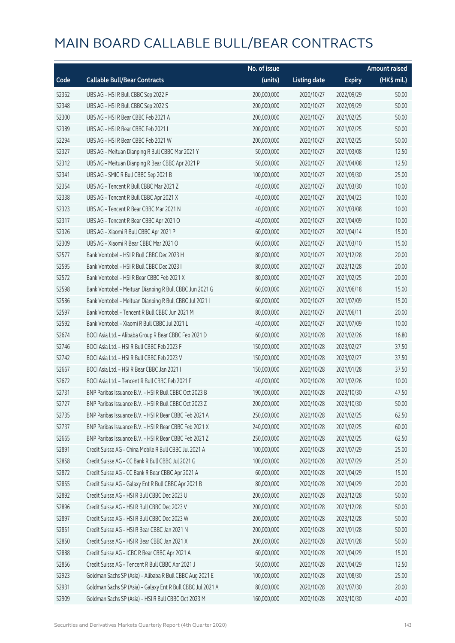|       |                                                             | No. of issue |                     |               | <b>Amount raised</b> |
|-------|-------------------------------------------------------------|--------------|---------------------|---------------|----------------------|
| Code  | <b>Callable Bull/Bear Contracts</b>                         | (units)      | <b>Listing date</b> | <b>Expiry</b> | (HK\$ mil.)          |
| 52362 | UBS AG - HSI R Bull CBBC Sep 2022 F                         | 200,000,000  | 2020/10/27          | 2022/09/29    | 50.00                |
| 52348 | UBS AG - HSI R Bull CBBC Sep 2022 S                         | 200,000,000  | 2020/10/27          | 2022/09/29    | 50.00                |
| 52300 | UBS AG - HSI R Bear CBBC Feb 2021 A                         | 200,000,000  | 2020/10/27          | 2021/02/25    | 50.00                |
| 52389 | UBS AG - HSI R Bear CBBC Feb 2021 I                         | 200,000,000  | 2020/10/27          | 2021/02/25    | 50.00                |
| 52294 | UBS AG - HSI R Bear CBBC Feb 2021 W                         | 200,000,000  | 2020/10/27          | 2021/02/25    | 50.00                |
| 52327 | UBS AG - Meituan Dianping R Bull CBBC Mar 2021 Y            | 50,000,000   | 2020/10/27          | 2021/03/08    | 12.50                |
| 52312 | UBS AG - Meituan Dianping R Bear CBBC Apr 2021 P            | 50,000,000   | 2020/10/27          | 2021/04/08    | 12.50                |
| 52341 | UBS AG - SMIC R Bull CBBC Sep 2021 B                        | 100,000,000  | 2020/10/27          | 2021/09/30    | 25.00                |
| 52354 | UBS AG - Tencent R Bull CBBC Mar 2021 Z                     | 40,000,000   | 2020/10/27          | 2021/03/30    | 10.00                |
| 52338 | UBS AG - Tencent R Bull CBBC Apr 2021 X                     | 40,000,000   | 2020/10/27          | 2021/04/23    | 10.00                |
| 52323 | UBS AG - Tencent R Bear CBBC Mar 2021 N                     | 40,000,000   | 2020/10/27          | 2021/03/08    | 10.00                |
| 52317 | UBS AG - Tencent R Bear CBBC Apr 2021 O                     | 40,000,000   | 2020/10/27          | 2021/04/09    | 10.00                |
| 52326 | UBS AG - Xiaomi R Bull CBBC Apr 2021 P                      | 60,000,000   | 2020/10/27          | 2021/04/14    | 15.00                |
| 52309 | UBS AG - Xiaomi R Bear CBBC Mar 2021 O                      | 60,000,000   | 2020/10/27          | 2021/03/10    | 15.00                |
| 52577 | Bank Vontobel - HSI R Bull CBBC Dec 2023 H                  | 80,000,000   | 2020/10/27          | 2023/12/28    | 20.00                |
| 52595 | Bank Vontobel - HSI R Bull CBBC Dec 2023 I                  | 80,000,000   | 2020/10/27          | 2023/12/28    | 20.00                |
| 52572 | Bank Vontobel - HSI R Bear CBBC Feb 2021 X                  | 80,000,000   | 2020/10/27          | 2021/02/25    | 20.00                |
| 52598 | Bank Vontobel - Meituan Dianping R Bull CBBC Jun 2021 G     | 60,000,000   | 2020/10/27          | 2021/06/18    | 15.00                |
| 52586 | Bank Vontobel - Meituan Dianping R Bull CBBC Jul 2021 I     | 60,000,000   | 2020/10/27          | 2021/07/09    | 15.00                |
| 52597 | Bank Vontobel - Tencent R Bull CBBC Jun 2021 M              | 80,000,000   | 2020/10/27          | 2021/06/11    | 20.00                |
| 52592 | Bank Vontobel - Xiaomi R Bull CBBC Jul 2021 L               | 40,000,000   | 2020/10/27          | 2021/07/09    | 10.00                |
| 52674 | BOCI Asia Ltd. - Alibaba Group R Bear CBBC Feb 2021 D       | 60,000,000   | 2020/10/28          | 2021/02/26    | 16.80                |
| 52746 | BOCI Asia Ltd. - HSI R Bull CBBC Feb 2023 F                 | 150,000,000  | 2020/10/28          | 2023/02/27    | 37.50                |
| 52742 | BOCI Asia Ltd. - HSI R Bull CBBC Feb 2023 V                 | 150,000,000  | 2020/10/28          | 2023/02/27    | 37.50                |
| 52667 | BOCI Asia Ltd. - HSI R Bear CBBC Jan 2021 I                 | 150,000,000  | 2020/10/28          | 2021/01/28    | 37.50                |
| 52672 | BOCI Asia Ltd. - Tencent R Bull CBBC Feb 2021 F             | 40,000,000   | 2020/10/28          | 2021/02/26    | 10.00                |
| 52731 | BNP Paribas Issuance B.V. - HSI R Bull CBBC Oct 2023 B      | 190,000,000  | 2020/10/28          | 2023/10/30    | 47.50                |
| 52727 | BNP Paribas Issuance B.V. - HSI R Bull CBBC Oct 2023 Z      | 200,000,000  | 2020/10/28          | 2023/10/30    | 50.00                |
| 52735 | BNP Paribas Issuance B.V. - HSI R Bear CBBC Feb 2021 A      | 250,000,000  | 2020/10/28          | 2021/02/25    | 62.50                |
| 52737 | BNP Paribas Issuance B.V. - HSI R Bear CBBC Feb 2021 X      | 240,000,000  | 2020/10/28          | 2021/02/25    | 60.00                |
| 52665 | BNP Paribas Issuance B.V. - HSI R Bear CBBC Feb 2021 Z      | 250,000,000  | 2020/10/28          | 2021/02/25    | 62.50                |
| 52891 | Credit Suisse AG - China Mobile R Bull CBBC Jul 2021 A      | 100,000,000  | 2020/10/28          | 2021/07/29    | 25.00                |
| 52858 | Credit Suisse AG - CC Bank R Bull CBBC Jul 2021 G           | 100,000,000  | 2020/10/28          | 2021/07/29    | 25.00                |
| 52872 | Credit Suisse AG - CC Bank R Bear CBBC Apr 2021 A           | 60,000,000   | 2020/10/28          | 2021/04/29    | 15.00                |
| 52855 | Credit Suisse AG - Galaxy Ent R Bull CBBC Apr 2021 B        | 80,000,000   | 2020/10/28          | 2021/04/29    | 20.00                |
| 52892 | Credit Suisse AG - HSI R Bull CBBC Dec 2023 U               | 200,000,000  | 2020/10/28          | 2023/12/28    | 50.00                |
| 52896 | Credit Suisse AG - HSI R Bull CBBC Dec 2023 V               | 200,000,000  | 2020/10/28          | 2023/12/28    | 50.00                |
| 52897 | Credit Suisse AG - HSI R Bull CBBC Dec 2023 W               | 200,000,000  | 2020/10/28          | 2023/12/28    | 50.00                |
| 52851 | Credit Suisse AG - HSI R Bear CBBC Jan 2021 N               | 200,000,000  | 2020/10/28          | 2021/01/28    | 50.00                |
| 52850 | Credit Suisse AG - HSI R Bear CBBC Jan 2021 X               | 200,000,000  | 2020/10/28          | 2021/01/28    | 50.00                |
| 52888 | Credit Suisse AG - ICBC R Bear CBBC Apr 2021 A              | 60,000,000   | 2020/10/28          | 2021/04/29    | 15.00                |
| 52856 | Credit Suisse AG - Tencent R Bull CBBC Apr 2021 J           | 50,000,000   | 2020/10/28          | 2021/04/29    | 12.50                |
| 52923 | Goldman Sachs SP (Asia) - Alibaba R Bull CBBC Aug 2021 E    | 100,000,000  | 2020/10/28          | 2021/08/30    | 25.00                |
| 52931 | Goldman Sachs SP (Asia) - Galaxy Ent R Bull CBBC Jul 2021 A | 80,000,000   | 2020/10/28          | 2021/07/30    | 20.00                |
| 52909 | Goldman Sachs SP (Asia) - HSI R Bull CBBC Oct 2023 M        | 160,000,000  | 2020/10/28          | 2023/10/30    | 40.00                |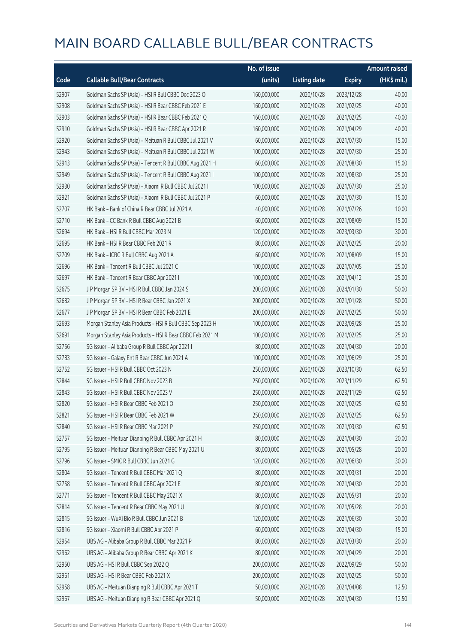|       |                                                           | No. of issue |                     |               | <b>Amount raised</b> |
|-------|-----------------------------------------------------------|--------------|---------------------|---------------|----------------------|
| Code  | <b>Callable Bull/Bear Contracts</b>                       | (units)      | <b>Listing date</b> | <b>Expiry</b> | (HK\$ mil.)          |
| 52907 | Goldman Sachs SP (Asia) - HSI R Bull CBBC Dec 2023 O      | 160,000,000  | 2020/10/28          | 2023/12/28    | 40.00                |
| 52908 | Goldman Sachs SP (Asia) - HSI R Bear CBBC Feb 2021 E      | 160,000,000  | 2020/10/28          | 2021/02/25    | 40.00                |
| 52903 | Goldman Sachs SP (Asia) - HSI R Bear CBBC Feb 2021 Q      | 160,000,000  | 2020/10/28          | 2021/02/25    | 40.00                |
| 52910 | Goldman Sachs SP (Asia) - HSI R Bear CBBC Apr 2021 R      | 160,000,000  | 2020/10/28          | 2021/04/29    | 40.00                |
| 52920 | Goldman Sachs SP (Asia) - Meituan R Bull CBBC Jul 2021 V  | 60,000,000   | 2020/10/28          | 2021/07/30    | 15.00                |
| 52943 | Goldman Sachs SP (Asia) - Meituan R Bull CBBC Jul 2021 W  | 100,000,000  | 2020/10/28          | 2021/07/30    | 25.00                |
| 52913 | Goldman Sachs SP (Asia) - Tencent R Bull CBBC Aug 2021 H  | 60,000,000   | 2020/10/28          | 2021/08/30    | 15.00                |
| 52949 | Goldman Sachs SP (Asia) - Tencent R Bull CBBC Aug 2021 I  | 100,000,000  | 2020/10/28          | 2021/08/30    | 25.00                |
| 52930 | Goldman Sachs SP (Asia) - Xiaomi R Bull CBBC Jul 2021 I   | 100,000,000  | 2020/10/28          | 2021/07/30    | 25.00                |
| 52921 | Goldman Sachs SP (Asia) - Xiaomi R Bull CBBC Jul 2021 P   | 60,000,000   | 2020/10/28          | 2021/07/30    | 15.00                |
| 52707 | HK Bank - Bank of China R Bear CBBC Jul 2021 A            | 40,000,000   | 2020/10/28          | 2021/07/26    | 10.00                |
| 52710 | HK Bank - CC Bank R Bull CBBC Aug 2021 B                  | 60,000,000   | 2020/10/28          | 2021/08/09    | 15.00                |
| 52694 | HK Bank - HSI R Bull CBBC Mar 2023 N                      | 120,000,000  | 2020/10/28          | 2023/03/30    | 30.00                |
| 52695 | HK Bank - HSI R Bear CBBC Feb 2021 R                      | 80,000,000   | 2020/10/28          | 2021/02/25    | 20.00                |
| 52709 | HK Bank - ICBC R Bull CBBC Aug 2021 A                     | 60,000,000   | 2020/10/28          | 2021/08/09    | 15.00                |
| 52696 | HK Bank - Tencent R Bull CBBC Jul 2021 C                  | 100,000,000  | 2020/10/28          | 2021/07/05    | 25.00                |
| 52697 | HK Bank - Tencent R Bear CBBC Apr 2021 I                  | 100,000,000  | 2020/10/28          | 2021/04/12    | 25.00                |
| 52675 | J P Morgan SP BV - HSI R Bull CBBC Jan 2024 S             | 200,000,000  | 2020/10/28          | 2024/01/30    | 50.00                |
| 52682 | J P Morgan SP BV - HSI R Bear CBBC Jan 2021 X             | 200,000,000  | 2020/10/28          | 2021/01/28    | 50.00                |
| 52677 | J P Morgan SP BV - HSI R Bear CBBC Feb 2021 E             | 200,000,000  | 2020/10/28          | 2021/02/25    | 50.00                |
| 52693 | Morgan Stanley Asia Products - HSI R Bull CBBC Sep 2023 H | 100,000,000  | 2020/10/28          | 2023/09/28    | 25.00                |
| 52691 | Morgan Stanley Asia Products - HSI R Bear CBBC Feb 2021 M | 100,000,000  | 2020/10/28          | 2021/02/25    | 25.00                |
| 52756 | SG Issuer - Alibaba Group R Bull CBBC Apr 2021 I          | 80,000,000   | 2020/10/28          | 2021/04/30    | 20.00                |
| 52783 | SG Issuer - Galaxy Ent R Bear CBBC Jun 2021 A             | 100,000,000  | 2020/10/28          | 2021/06/29    | 25.00                |
| 52752 | SG Issuer - HSI R Bull CBBC Oct 2023 N                    | 250,000,000  | 2020/10/28          | 2023/10/30    | 62.50                |
| 52844 | SG Issuer - HSI R Bull CBBC Nov 2023 B                    | 250,000,000  | 2020/10/28          | 2023/11/29    | 62.50                |
| 52843 | SG Issuer - HSI R Bull CBBC Nov 2023 V                    | 250,000,000  | 2020/10/28          | 2023/11/29    | 62.50                |
| 52820 | SG Issuer - HSI R Bear CBBC Feb 2021 O                    | 250,000,000  | 2020/10/28          | 2021/02/25    | 62.50                |
| 52821 | SG Issuer - HSI R Bear CBBC Feb 2021 W                    | 250,000,000  | 2020/10/28          | 2021/02/25    | 62.50                |
| 52840 | SG Issuer - HSI R Bear CBBC Mar 2021 P                    | 250,000,000  | 2020/10/28          | 2021/03/30    | 62.50                |
| 52757 | SG Issuer - Meituan Dianping R Bull CBBC Apr 2021 H       | 80,000,000   | 2020/10/28          | 2021/04/30    | 20.00                |
| 52795 | SG Issuer - Meituan Dianping R Bear CBBC May 2021 U       | 80,000,000   | 2020/10/28          | 2021/05/28    | 20.00                |
| 52796 | SG Issuer - SMIC R Bull CBBC Jun 2021 G                   | 120,000,000  | 2020/10/28          | 2021/06/30    | 30.00                |
| 52804 | SG Issuer - Tencent R Bull CBBC Mar 2021 Q                | 80,000,000   | 2020/10/28          | 2021/03/31    | 20.00                |
| 52758 | SG Issuer - Tencent R Bull CBBC Apr 2021 E                | 80,000,000   | 2020/10/28          | 2021/04/30    | 20.00                |
| 52771 | SG Issuer - Tencent R Bull CBBC May 2021 X                | 80,000,000   | 2020/10/28          | 2021/05/31    | 20.00                |
| 52814 | SG Issuer - Tencent R Bear CBBC May 2021 U                | 80,000,000   | 2020/10/28          | 2021/05/28    | 20.00                |
| 52815 | SG Issuer - WuXi Bio R Bull CBBC Jun 2021 B               | 120,000,000  | 2020/10/28          | 2021/06/30    | 30.00                |
| 52816 | SG Issuer - Xiaomi R Bull CBBC Apr 2021 P                 | 60,000,000   | 2020/10/28          | 2021/04/30    | 15.00                |
| 52954 | UBS AG - Alibaba Group R Bull CBBC Mar 2021 P             | 80,000,000   | 2020/10/28          | 2021/03/30    | 20.00                |
| 52962 | UBS AG - Alibaba Group R Bear CBBC Apr 2021 K             | 80,000,000   | 2020/10/28          | 2021/04/29    | 20.00                |
| 52950 | UBS AG - HSI R Bull CBBC Sep 2022 Q                       | 200,000,000  | 2020/10/28          | 2022/09/29    | 50.00                |
| 52961 | UBS AG - HSI R Bear CBBC Feb 2021 X                       | 200,000,000  | 2020/10/28          | 2021/02/25    | 50.00                |
| 52958 | UBS AG - Meituan Dianping R Bull CBBC Apr 2021 T          | 50,000,000   | 2020/10/28          | 2021/04/08    | 12.50                |
| 52967 | UBS AG - Meituan Dianping R Bear CBBC Apr 2021 Q          | 50,000,000   | 2020/10/28          | 2021/04/30    | 12.50                |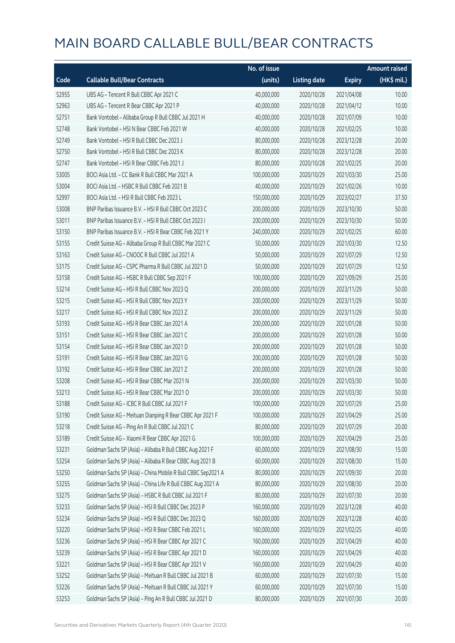|       |                                                              | No. of issue |                     |               | <b>Amount raised</b> |
|-------|--------------------------------------------------------------|--------------|---------------------|---------------|----------------------|
| Code  | <b>Callable Bull/Bear Contracts</b>                          | (units)      | <b>Listing date</b> | <b>Expiry</b> | (HK\$ mil.)          |
| 52955 | UBS AG - Tencent R Bull CBBC Apr 2021 C                      | 40,000,000   | 2020/10/28          | 2021/04/08    | 10.00                |
| 52963 | UBS AG - Tencent R Bear CBBC Apr 2021 P                      | 40,000,000   | 2020/10/28          | 2021/04/12    | 10.00                |
| 52751 | Bank Vontobel - Alibaba Group R Bull CBBC Jul 2021 H         | 40,000,000   | 2020/10/28          | 2021/07/09    | 10.00                |
| 52748 | Bank Vontobel - HSI N Bear CBBC Feb 2021 W                   | 40,000,000   | 2020/10/28          | 2021/02/25    | 10.00                |
| 52749 | Bank Vontobel - HSI R Bull CBBC Dec 2023 J                   | 80,000,000   | 2020/10/28          | 2023/12/28    | 20.00                |
| 52750 | Bank Vontobel - HSI R Bull CBBC Dec 2023 K                   | 80,000,000   | 2020/10/28          | 2023/12/28    | 20.00                |
| 52747 | Bank Vontobel - HSI R Bear CBBC Feb 2021 J                   | 80,000,000   | 2020/10/28          | 2021/02/25    | 20.00                |
| 53005 | BOCI Asia Ltd. - CC Bank R Bull CBBC Mar 2021 A              | 100,000,000  | 2020/10/29          | 2021/03/30    | 25.00                |
| 53004 | BOCI Asia Ltd. - HSBC R Bull CBBC Feb 2021 B                 | 40,000,000   | 2020/10/29          | 2021/02/26    | 10.00                |
| 52997 | BOCI Asia Ltd. - HSI R Bull CBBC Feb 2023 L                  | 150,000,000  | 2020/10/29          | 2023/02/27    | 37.50                |
| 53008 | BNP Paribas Issuance B.V. - HSI R Bull CBBC Oct 2023 C       | 200,000,000  | 2020/10/29          | 2023/10/30    | 50.00                |
| 53011 | BNP Paribas Issuance B.V. - HSI R Bull CBBC Oct 2023 I       | 200,000,000  | 2020/10/29          | 2023/10/30    | 50.00                |
| 53150 | BNP Paribas Issuance B.V. - HSI R Bear CBBC Feb 2021 Y       | 240,000,000  | 2020/10/29          | 2021/02/25    | 60.00                |
| 53155 | Credit Suisse AG - Alibaba Group R Bull CBBC Mar 2021 C      | 50,000,000   | 2020/10/29          | 2021/03/30    | 12.50                |
| 53163 | Credit Suisse AG - CNOOC R Bull CBBC Jul 2021 A              | 50,000,000   | 2020/10/29          | 2021/07/29    | 12.50                |
| 53175 | Credit Suisse AG - CSPC Pharma R Bull CBBC Jul 2021 D        | 50,000,000   | 2020/10/29          | 2021/07/29    | 12.50                |
| 53158 | Credit Suisse AG - HSBC R Bull CBBC Sep 2021 F               | 100,000,000  | 2020/10/29          | 2021/09/29    | 25.00                |
| 53214 | Credit Suisse AG - HSI R Bull CBBC Nov 2023 Q                | 200,000,000  | 2020/10/29          | 2023/11/29    | 50.00                |
| 53215 | Credit Suisse AG - HSI R Bull CBBC Nov 2023 Y                | 200,000,000  | 2020/10/29          | 2023/11/29    | 50.00                |
| 53217 | Credit Suisse AG - HSI R Bull CBBC Nov 2023 Z                | 200,000,000  | 2020/10/29          | 2023/11/29    | 50.00                |
| 53193 | Credit Suisse AG - HSI R Bear CBBC Jan 2021 A                | 200,000,000  | 2020/10/29          | 2021/01/28    | 50.00                |
| 53151 | Credit Suisse AG - HSI R Bear CBBC Jan 2021 C                | 200,000,000  | 2020/10/29          | 2021/01/28    | 50.00                |
| 53154 | Credit Suisse AG - HSI R Bear CBBC Jan 2021 D                | 200,000,000  | 2020/10/29          | 2021/01/28    | 50.00                |
| 53191 | Credit Suisse AG - HSI R Bear CBBC Jan 2021 G                | 200,000,000  | 2020/10/29          | 2021/01/28    | 50.00                |
| 53192 | Credit Suisse AG - HSI R Bear CBBC Jan 2021 Z                | 200,000,000  | 2020/10/29          | 2021/01/28    | 50.00                |
| 53208 | Credit Suisse AG - HSI R Bear CBBC Mar 2021 N                | 200,000,000  | 2020/10/29          | 2021/03/30    | 50.00                |
| 53213 | Credit Suisse AG - HSI R Bear CBBC Mar 2021 O                | 200,000,000  | 2020/10/29          | 2021/03/30    | 50.00                |
| 53188 | Credit Suisse AG - ICBC R Bull CBBC Jul 2021 F               | 100,000,000  | 2020/10/29          | 2021/07/29    | 25.00                |
| 53190 | Credit Suisse AG - Meituan Dianping R Bear CBBC Apr 2021 F   | 100,000,000  | 2020/10/29          | 2021/04/29    | 25.00                |
| 53218 | Credit Suisse AG - Ping An R Bull CBBC Jul 2021 C            | 80,000,000   | 2020/10/29          | 2021/07/29    | 20.00                |
| 53189 | Credit Suisse AG - Xiaomi R Bear CBBC Apr 2021 G             | 100,000,000  | 2020/10/29          | 2021/04/29    | 25.00                |
| 53231 | Goldman Sachs SP (Asia) - Alibaba R Bull CBBC Aug 2021 F     | 60,000,000   | 2020/10/29          | 2021/08/30    | 15.00                |
| 53254 | Goldman Sachs SP (Asia) - Alibaba R Bear CBBC Aug 2021 B     | 60,000,000   | 2020/10/29          | 2021/08/30    | 15.00                |
| 53250 | Goldman Sachs SP (Asia) - China Mobile R Bull CBBC Sep2021 A | 80,000,000   | 2020/10/29          | 2021/09/30    | 20.00                |
| 53255 | Goldman Sachs SP (Asia) - China Life R Bull CBBC Aug 2021 A  | 80,000,000   | 2020/10/29          | 2021/08/30    | 20.00                |
| 53275 | Goldman Sachs SP (Asia) - HSBC R Bull CBBC Jul 2021 F        | 80,000,000   | 2020/10/29          | 2021/07/30    | 20.00                |
| 53233 | Goldman Sachs SP (Asia) - HSI R Bull CBBC Dec 2023 P         | 160,000,000  | 2020/10/29          | 2023/12/28    | 40.00                |
| 53234 | Goldman Sachs SP (Asia) - HSI R Bull CBBC Dec 2023 Q         | 160,000,000  | 2020/10/29          | 2023/12/28    | 40.00                |
| 53220 | Goldman Sachs SP (Asia) - HSI R Bear CBBC Feb 2021 L         | 160,000,000  | 2020/10/29          | 2021/02/25    | 40.00                |
| 53236 | Goldman Sachs SP (Asia) - HSI R Bear CBBC Apr 2021 C         | 160,000,000  | 2020/10/29          | 2021/04/29    | 40.00                |
| 53239 | Goldman Sachs SP (Asia) - HSI R Bear CBBC Apr 2021 D         | 160,000,000  | 2020/10/29          | 2021/04/29    | 40.00                |
| 53221 | Goldman Sachs SP (Asia) - HSI R Bear CBBC Apr 2021 V         | 160,000,000  | 2020/10/29          | 2021/04/29    | 40.00                |
| 53252 | Goldman Sachs SP (Asia) - Meituan R Bull CBBC Jul 2021 B     | 60,000,000   | 2020/10/29          | 2021/07/30    | 15.00                |
| 53226 | Goldman Sachs SP (Asia) - Meituan R Bull CBBC Jul 2021 Y     | 60,000,000   | 2020/10/29          | 2021/07/30    | 15.00                |
| 53253 | Goldman Sachs SP (Asia) - Ping An R Bull CBBC Jul 2021 D     | 80,000,000   | 2020/10/29          | 2021/07/30    | 20.00                |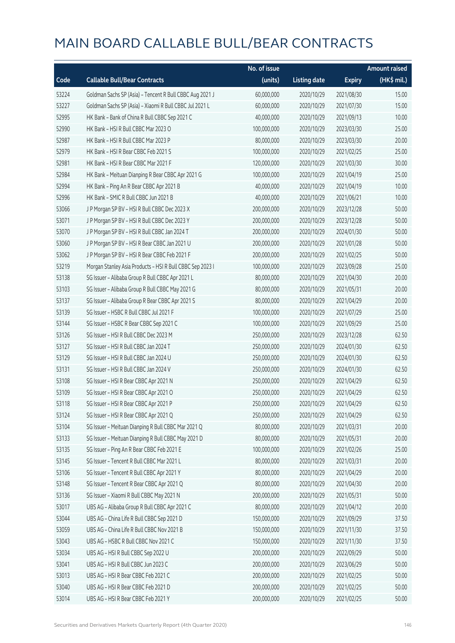|       |                                                           | No. of issue |                     |               | <b>Amount raised</b> |
|-------|-----------------------------------------------------------|--------------|---------------------|---------------|----------------------|
| Code  | <b>Callable Bull/Bear Contracts</b>                       | (units)      | <b>Listing date</b> | <b>Expiry</b> | $(HK\$ mil.)         |
| 53224 | Goldman Sachs SP (Asia) - Tencent R Bull CBBC Aug 2021 J  | 60,000,000   | 2020/10/29          | 2021/08/30    | 15.00                |
| 53227 | Goldman Sachs SP (Asia) - Xiaomi R Bull CBBC Jul 2021 L   | 60,000,000   | 2020/10/29          | 2021/07/30    | 15.00                |
| 52995 | HK Bank - Bank of China R Bull CBBC Sep 2021 C            | 40,000,000   | 2020/10/29          | 2021/09/13    | 10.00                |
| 52990 | HK Bank - HSI R Bull CBBC Mar 2023 O                      | 100,000,000  | 2020/10/29          | 2023/03/30    | 25.00                |
| 52987 | HK Bank - HSI R Bull CBBC Mar 2023 P                      | 80,000,000   | 2020/10/29          | 2023/03/30    | 20.00                |
| 52979 | HK Bank - HSI R Bear CBBC Feb 2021 S                      | 100,000,000  | 2020/10/29          | 2021/02/25    | 25.00                |
| 52981 | HK Bank - HSI R Bear CBBC Mar 2021 F                      | 120,000,000  | 2020/10/29          | 2021/03/30    | 30.00                |
| 52984 | HK Bank - Meituan Dianping R Bear CBBC Apr 2021 G         | 100,000,000  | 2020/10/29          | 2021/04/19    | 25.00                |
| 52994 | HK Bank - Ping An R Bear CBBC Apr 2021 B                  | 40,000,000   | 2020/10/29          | 2021/04/19    | 10.00                |
| 52996 | HK Bank - SMIC R Bull CBBC Jun 2021 B                     | 40,000,000   | 2020/10/29          | 2021/06/21    | 10.00                |
| 53066 | J P Morgan SP BV - HSI R Bull CBBC Dec 2023 X             | 200,000,000  | 2020/10/29          | 2023/12/28    | 50.00                |
| 53071 | J P Morgan SP BV - HSI R Bull CBBC Dec 2023 Y             | 200,000,000  | 2020/10/29          | 2023/12/28    | 50.00                |
| 53070 | J P Morgan SP BV - HSI R Bull CBBC Jan 2024 T             | 200,000,000  | 2020/10/29          | 2024/01/30    | 50.00                |
| 53060 | J P Morgan SP BV - HSI R Bear CBBC Jan 2021 U             | 200,000,000  | 2020/10/29          | 2021/01/28    | 50.00                |
| 53062 | J P Morgan SP BV - HSI R Bear CBBC Feb 2021 F             | 200,000,000  | 2020/10/29          | 2021/02/25    | 50.00                |
| 53219 | Morgan Stanley Asia Products - HSI R Bull CBBC Sep 2023 I | 100,000,000  | 2020/10/29          | 2023/09/28    | 25.00                |
| 53138 | SG Issuer - Alibaba Group R Bull CBBC Apr 2021 L          | 80,000,000   | 2020/10/29          | 2021/04/30    | 20.00                |
| 53103 | SG Issuer - Alibaba Group R Bull CBBC May 2021 G          | 80,000,000   | 2020/10/29          | 2021/05/31    | 20.00                |
| 53137 | SG Issuer - Alibaba Group R Bear CBBC Apr 2021 S          | 80,000,000   | 2020/10/29          | 2021/04/29    | 20.00                |
| 53139 | SG Issuer - HSBC R Bull CBBC Jul 2021 F                   | 100,000,000  | 2020/10/29          | 2021/07/29    | 25.00                |
| 53144 | SG Issuer - HSBC R Bear CBBC Sep 2021 C                   | 100,000,000  | 2020/10/29          | 2021/09/29    | 25.00                |
| 53126 | SG Issuer - HSI R Bull CBBC Dec 2023 M                    | 250,000,000  | 2020/10/29          | 2023/12/28    | 62.50                |
| 53127 | SG Issuer - HSI R Bull CBBC Jan 2024 T                    | 250,000,000  | 2020/10/29          | 2024/01/30    | 62.50                |
| 53129 | SG Issuer - HSI R Bull CBBC Jan 2024 U                    | 250,000,000  | 2020/10/29          | 2024/01/30    | 62.50                |
| 53131 | SG Issuer - HSI R Bull CBBC Jan 2024 V                    | 250,000,000  | 2020/10/29          | 2024/01/30    | 62.50                |
| 53108 | SG Issuer - HSI R Bear CBBC Apr 2021 N                    | 250,000,000  | 2020/10/29          | 2021/04/29    | 62.50                |
| 53109 | SG Issuer - HSI R Bear CBBC Apr 2021 O                    | 250,000,000  | 2020/10/29          | 2021/04/29    | 62.50                |
| 53118 | SG Issuer - HSI R Bear CBBC Apr 2021 P                    | 250,000,000  | 2020/10/29          | 2021/04/29    | 62.50                |
| 53124 | SG Issuer - HSI R Bear CBBC Apr 2021 Q                    | 250,000,000  | 2020/10/29          | 2021/04/29    | 62.50                |
| 53104 | SG Issuer - Meituan Dianping R Bull CBBC Mar 2021 Q       | 80,000,000   | 2020/10/29          | 2021/03/31    | 20.00                |
| 53133 | SG Issuer - Meituan Dianping R Bull CBBC May 2021 D       | 80,000,000   | 2020/10/29          | 2021/05/31    | 20.00                |
| 53135 | SG Issuer - Ping An R Bear CBBC Feb 2021 E                | 100,000,000  | 2020/10/29          | 2021/02/26    | 25.00                |
| 53145 | SG Issuer - Tencent R Bull CBBC Mar 2021 L                | 80,000,000   | 2020/10/29          | 2021/03/31    | 20.00                |
| 53106 | SG Issuer - Tencent R Bull CBBC Apr 2021 Y                | 80,000,000   | 2020/10/29          | 2021/04/29    | 20.00                |
| 53148 | SG Issuer - Tencent R Bear CBBC Apr 2021 Q                | 80,000,000   | 2020/10/29          | 2021/04/30    | 20.00                |
| 53136 | SG Issuer - Xiaomi R Bull CBBC May 2021 N                 | 200,000,000  | 2020/10/29          | 2021/05/31    | 50.00                |
| 53017 | UBS AG - Alibaba Group R Bull CBBC Apr 2021 C             | 80,000,000   | 2020/10/29          | 2021/04/12    | 20.00                |
| 53044 | UBS AG - China Life R Bull CBBC Sep 2021 D                | 150,000,000  | 2020/10/29          | 2021/09/29    | 37.50                |
| 53059 | UBS AG - China Life R Bull CBBC Nov 2021 B                | 150,000,000  | 2020/10/29          | 2021/11/30    | 37.50                |
| 53043 | UBS AG - HSBC R Bull CBBC Nov 2021 C                      | 150,000,000  | 2020/10/29          | 2021/11/30    | 37.50                |
| 53034 | UBS AG - HSI R Bull CBBC Sep 2022 U                       | 200,000,000  | 2020/10/29          | 2022/09/29    | 50.00                |
| 53041 | UBS AG - HSI R Bull CBBC Jun 2023 C                       | 200,000,000  | 2020/10/29          | 2023/06/29    | 50.00                |
| 53013 | UBS AG - HSI R Bear CBBC Feb 2021 C                       | 200,000,000  | 2020/10/29          | 2021/02/25    | 50.00                |
| 53040 | UBS AG - HSI R Bear CBBC Feb 2021 D                       | 200,000,000  | 2020/10/29          | 2021/02/25    | 50.00                |
| 53014 | UBS AG - HSI R Bear CBBC Feb 2021 Y                       | 200,000,000  | 2020/10/29          | 2021/02/25    | 50.00                |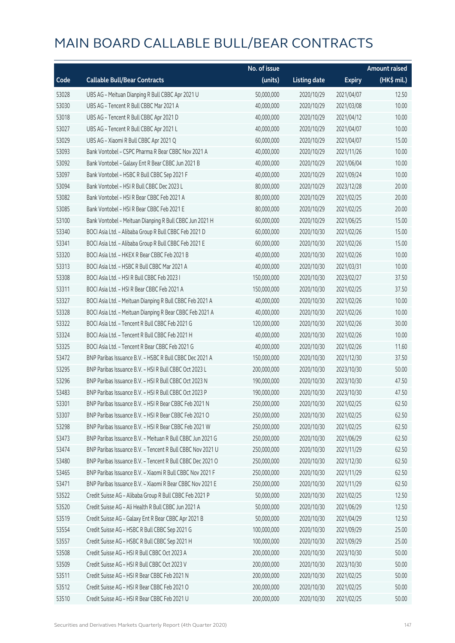|       |                                                            | No. of issue |                     |               | <b>Amount raised</b> |
|-------|------------------------------------------------------------|--------------|---------------------|---------------|----------------------|
| Code  | <b>Callable Bull/Bear Contracts</b>                        | (units)      | <b>Listing date</b> | <b>Expiry</b> | (HK\$ mil.)          |
| 53028 | UBS AG - Meituan Dianping R Bull CBBC Apr 2021 U           | 50,000,000   | 2020/10/29          | 2021/04/07    | 12.50                |
| 53030 | UBS AG - Tencent R Bull CBBC Mar 2021 A                    | 40,000,000   | 2020/10/29          | 2021/03/08    | 10.00                |
| 53018 | UBS AG - Tencent R Bull CBBC Apr 2021 D                    | 40,000,000   | 2020/10/29          | 2021/04/12    | 10.00                |
| 53027 | UBS AG - Tencent R Bull CBBC Apr 2021 L                    | 40,000,000   | 2020/10/29          | 2021/04/07    | 10.00                |
| 53029 | UBS AG - Xiaomi R Bull CBBC Apr 2021 Q                     | 60,000,000   | 2020/10/29          | 2021/04/07    | 15.00                |
| 53093 | Bank Vontobel - CSPC Pharma R Bear CBBC Nov 2021 A         | 40,000,000   | 2020/10/29          | 2021/11/26    | 10.00                |
| 53092 | Bank Vontobel - Galaxy Ent R Bear CBBC Jun 2021 B          | 40,000,000   | 2020/10/29          | 2021/06/04    | 10.00                |
| 53097 | Bank Vontobel - HSBC R Bull CBBC Sep 2021 F                | 40,000,000   | 2020/10/29          | 2021/09/24    | 10.00                |
| 53094 | Bank Vontobel - HSI R Bull CBBC Dec 2023 L                 | 80,000,000   | 2020/10/29          | 2023/12/28    | 20.00                |
| 53082 | Bank Vontobel - HSI R Bear CBBC Feb 2021 A                 | 80,000,000   | 2020/10/29          | 2021/02/25    | 20.00                |
| 53085 | Bank Vontobel - HSI R Bear CBBC Feb 2021 E                 | 80,000,000   | 2020/10/29          | 2021/02/25    | 20.00                |
| 53100 | Bank Vontobel - Meituan Dianping R Bull CBBC Jun 2021 H    | 60,000,000   | 2020/10/29          | 2021/06/25    | 15.00                |
| 53340 | BOCI Asia Ltd. - Alibaba Group R Bull CBBC Feb 2021 D      | 60,000,000   | 2020/10/30          | 2021/02/26    | 15.00                |
| 53341 | BOCI Asia Ltd. - Alibaba Group R Bull CBBC Feb 2021 E      | 60,000,000   | 2020/10/30          | 2021/02/26    | 15.00                |
| 53320 | BOCI Asia Ltd. - HKEX R Bear CBBC Feb 2021 B               | 40,000,000   | 2020/10/30          | 2021/02/26    | 10.00                |
| 53313 | BOCI Asia Ltd. - HSBC R Bull CBBC Mar 2021 A               | 40,000,000   | 2020/10/30          | 2021/03/31    | 10.00                |
| 53308 | BOCI Asia Ltd. - HSI R Bull CBBC Feb 2023 I                | 150,000,000  | 2020/10/30          | 2023/02/27    | 37.50                |
| 53311 | BOCI Asia Ltd. - HSI R Bear CBBC Feb 2021 A                | 150,000,000  | 2020/10/30          | 2021/02/25    | 37.50                |
| 53327 | BOCI Asia Ltd. - Meituan Dianping R Bull CBBC Feb 2021 A   | 40,000,000   | 2020/10/30          | 2021/02/26    | 10.00                |
| 53328 | BOCI Asia Ltd. - Meituan Dianping R Bear CBBC Feb 2021 A   | 40,000,000   | 2020/10/30          | 2021/02/26    | 10.00                |
| 53322 | BOCI Asia Ltd. - Tencent R Bull CBBC Feb 2021 G            | 120,000,000  | 2020/10/30          | 2021/02/26    | 30.00                |
| 53324 | BOCI Asia Ltd. - Tencent R Bull CBBC Feb 2021 H            | 40,000,000   | 2020/10/30          | 2021/02/26    | 10.00                |
| 53325 | BOCI Asia Ltd. - Tencent R Bear CBBC Feb 2021 G            | 40,000,000   | 2020/10/30          | 2021/02/26    | 11.60                |
| 53472 | BNP Paribas Issuance B.V. - HSBC R Bull CBBC Dec 2021 A    | 150,000,000  | 2020/10/30          | 2021/12/30    | 37.50                |
| 53295 | BNP Paribas Issuance B.V. - HSI R Bull CBBC Oct 2023 L     | 200,000,000  | 2020/10/30          | 2023/10/30    | 50.00                |
| 53296 | BNP Paribas Issuance B.V. - HSI R Bull CBBC Oct 2023 N     | 190,000,000  | 2020/10/30          | 2023/10/30    | 47.50                |
| 53483 | BNP Paribas Issuance B.V. - HSI R Bull CBBC Oct 2023 P     | 190,000,000  | 2020/10/30          | 2023/10/30    | 47.50                |
| 53301 | BNP Paribas Issuance B.V. - HSI R Bear CBBC Feb 2021 N     | 250,000,000  | 2020/10/30          | 2021/02/25    | 62.50                |
| 53307 | BNP Paribas Issuance B.V. - HSI R Bear CBBC Feb 2021 O     | 250,000,000  | 2020/10/30          | 2021/02/25    | 62.50                |
| 53298 | BNP Paribas Issuance B.V. - HSI R Bear CBBC Feb 2021 W     | 250,000,000  | 2020/10/30          | 2021/02/25    | 62.50                |
| 53473 | BNP Paribas Issuance B.V. - Meituan R Bull CBBC Jun 2021 G | 250,000,000  | 2020/10/30          | 2021/06/29    | 62.50                |
| 53474 | BNP Paribas Issuance B.V. - Tencent R Bull CBBC Nov 2021 U | 250,000,000  | 2020/10/30          | 2021/11/29    | 62.50                |
| 53480 | BNP Paribas Issuance B.V. - Tencent R Bull CBBC Dec 2021 O | 250,000,000  | 2020/10/30          | 2021/12/30    | 62.50                |
| 53465 | BNP Paribas Issuance B.V. - Xiaomi R Bull CBBC Nov 2021 F  | 250,000,000  | 2020/10/30          | 2021/11/29    | 62.50                |
| 53471 | BNP Paribas Issuance B.V. - Xiaomi R Bear CBBC Nov 2021 E  | 250,000,000  | 2020/10/30          | 2021/11/29    | 62.50                |
| 53522 | Credit Suisse AG - Alibaba Group R Bull CBBC Feb 2021 P    | 50,000,000   | 2020/10/30          | 2021/02/25    | 12.50                |
| 53520 | Credit Suisse AG - Ali Health R Bull CBBC Jun 2021 A       | 50,000,000   | 2020/10/30          | 2021/06/29    | 12.50                |
| 53519 | Credit Suisse AG - Galaxy Ent R Bear CBBC Apr 2021 B       | 50,000,000   | 2020/10/30          | 2021/04/29    | 12.50                |
| 53554 | Credit Suisse AG - HSBC R Bull CBBC Sep 2021 G             | 100,000,000  | 2020/10/30          | 2021/09/29    | 25.00                |
| 53557 | Credit Suisse AG - HSBC R Bull CBBC Sep 2021 H             | 100,000,000  | 2020/10/30          | 2021/09/29    | 25.00                |
| 53508 | Credit Suisse AG - HSI R Bull CBBC Oct 2023 A              | 200,000,000  | 2020/10/30          | 2023/10/30    | 50.00                |
| 53509 | Credit Suisse AG - HSI R Bull CBBC Oct 2023 V              | 200,000,000  | 2020/10/30          | 2023/10/30    | 50.00                |
| 53511 | Credit Suisse AG - HSI R Bear CBBC Feb 2021 N              | 200,000,000  | 2020/10/30          | 2021/02/25    | 50.00                |
| 53512 | Credit Suisse AG - HSI R Bear CBBC Feb 2021 O              | 200,000,000  | 2020/10/30          | 2021/02/25    | 50.00                |
| 53510 | Credit Suisse AG - HSI R Bear CBBC Feb 2021 U              | 200,000,000  | 2020/10/30          | 2021/02/25    | 50.00                |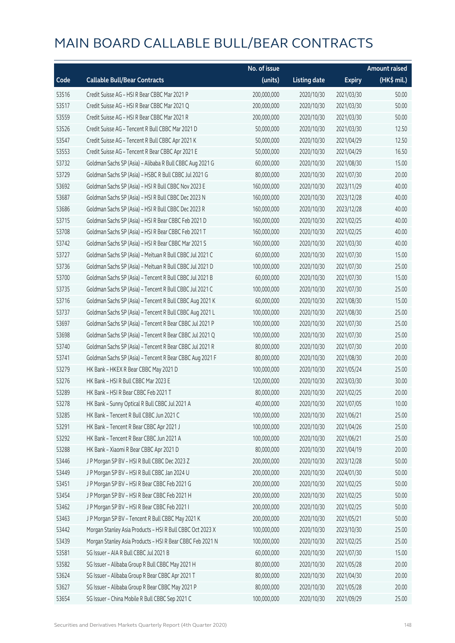|       |                                                           | No. of issue |                     |               | <b>Amount raised</b> |
|-------|-----------------------------------------------------------|--------------|---------------------|---------------|----------------------|
| Code  | <b>Callable Bull/Bear Contracts</b>                       | (units)      | <b>Listing date</b> | <b>Expiry</b> | (HK\$ mil.)          |
| 53516 | Credit Suisse AG - HSI R Bear CBBC Mar 2021 P             | 200,000,000  | 2020/10/30          | 2021/03/30    | 50.00                |
| 53517 | Credit Suisse AG - HSI R Bear CBBC Mar 2021 Q             | 200,000,000  | 2020/10/30          | 2021/03/30    | 50.00                |
| 53559 | Credit Suisse AG - HSI R Bear CBBC Mar 2021 R             | 200,000,000  | 2020/10/30          | 2021/03/30    | 50.00                |
| 53526 | Credit Suisse AG - Tencent R Bull CBBC Mar 2021 D         | 50,000,000   | 2020/10/30          | 2021/03/30    | 12.50                |
| 53547 | Credit Suisse AG - Tencent R Bull CBBC Apr 2021 K         | 50,000,000   | 2020/10/30          | 2021/04/29    | 12.50                |
| 53553 | Credit Suisse AG - Tencent R Bear CBBC Apr 2021 E         | 50,000,000   | 2020/10/30          | 2021/04/29    | 16.50                |
| 53732 | Goldman Sachs SP (Asia) - Alibaba R Bull CBBC Aug 2021 G  | 60,000,000   | 2020/10/30          | 2021/08/30    | 15.00                |
| 53729 | Goldman Sachs SP (Asia) - HSBC R Bull CBBC Jul 2021 G     | 80,000,000   | 2020/10/30          | 2021/07/30    | 20.00                |
| 53692 | Goldman Sachs SP (Asia) - HSI R Bull CBBC Nov 2023 E      | 160,000,000  | 2020/10/30          | 2023/11/29    | 40.00                |
| 53687 | Goldman Sachs SP (Asia) - HSI R Bull CBBC Dec 2023 N      | 160,000,000  | 2020/10/30          | 2023/12/28    | 40.00                |
| 53686 | Goldman Sachs SP (Asia) - HSI R Bull CBBC Dec 2023 R      | 160,000,000  | 2020/10/30          | 2023/12/28    | 40.00                |
| 53715 | Goldman Sachs SP (Asia) - HSI R Bear CBBC Feb 2021 D      | 160,000,000  | 2020/10/30          | 2021/02/25    | 40.00                |
| 53708 | Goldman Sachs SP (Asia) - HSI R Bear CBBC Feb 2021 T      | 160,000,000  | 2020/10/30          | 2021/02/25    | 40.00                |
| 53742 | Goldman Sachs SP (Asia) - HSI R Bear CBBC Mar 2021 S      | 160,000,000  | 2020/10/30          | 2021/03/30    | 40.00                |
| 53727 | Goldman Sachs SP (Asia) - Meituan R Bull CBBC Jul 2021 C  | 60,000,000   | 2020/10/30          | 2021/07/30    | 15.00                |
| 53736 | Goldman Sachs SP (Asia) - Meituan R Bull CBBC Jul 2021 D  | 100,000,000  | 2020/10/30          | 2021/07/30    | 25.00                |
| 53700 | Goldman Sachs SP (Asia) - Tencent R Bull CBBC Jul 2021 B  | 60,000,000   | 2020/10/30          | 2021/07/30    | 15.00                |
| 53735 | Goldman Sachs SP (Asia) - Tencent R Bull CBBC Jul 2021 C  | 100,000,000  | 2020/10/30          | 2021/07/30    | 25.00                |
| 53716 | Goldman Sachs SP (Asia) - Tencent R Bull CBBC Aug 2021 K  | 60,000,000   | 2020/10/30          | 2021/08/30    | 15.00                |
| 53737 | Goldman Sachs SP (Asia) - Tencent R Bull CBBC Aug 2021 L  | 100,000,000  | 2020/10/30          | 2021/08/30    | 25.00                |
| 53697 | Goldman Sachs SP (Asia) - Tencent R Bear CBBC Jul 2021 P  | 100,000,000  | 2020/10/30          | 2021/07/30    | 25.00                |
| 53698 | Goldman Sachs SP (Asia) - Tencent R Bear CBBC Jul 2021 Q  | 100,000,000  | 2020/10/30          | 2021/07/30    | 25.00                |
| 53740 | Goldman Sachs SP (Asia) - Tencent R Bear CBBC Jul 2021 R  | 80,000,000   | 2020/10/30          | 2021/07/30    | 20.00                |
| 53741 | Goldman Sachs SP (Asia) - Tencent R Bear CBBC Aug 2021 F  | 80,000,000   | 2020/10/30          | 2021/08/30    | 20.00                |
| 53279 | HK Bank - HKEX R Bear CBBC May 2021 D                     | 100,000,000  | 2020/10/30          | 2021/05/24    | 25.00                |
| 53276 | HK Bank - HSI R Bull CBBC Mar 2023 E                      | 120,000,000  | 2020/10/30          | 2023/03/30    | 30.00                |
| 53289 | HK Bank - HSI R Bear CBBC Feb 2021 T                      | 80,000,000   | 2020/10/30          | 2021/02/25    | 20.00                |
| 53278 | HK Bank - Sunny Optical R Bull CBBC Jul 2021 A            | 40,000,000   | 2020/10/30          | 2021/07/05    | 10.00                |
| 53285 | HK Bank - Tencent R Bull CBBC Jun 2021 C                  | 100,000,000  | 2020/10/30          | 2021/06/21    | 25.00                |
| 53291 | HK Bank - Tencent R Bear CBBC Apr 2021 J                  | 100,000,000  | 2020/10/30          | 2021/04/26    | 25.00                |
| 53292 | HK Bank - Tencent R Bear CBBC Jun 2021 A                  | 100,000,000  | 2020/10/30          | 2021/06/21    | 25.00                |
| 53288 | HK Bank - Xiaomi R Bear CBBC Apr 2021 D                   | 80,000,000   | 2020/10/30          | 2021/04/19    | 20.00                |
| 53446 | J P Morgan SP BV - HSI R Bull CBBC Dec 2023 Z             | 200,000,000  | 2020/10/30          | 2023/12/28    | 50.00                |
| 53449 | J P Morgan SP BV - HSI R Bull CBBC Jan 2024 U             | 200,000,000  | 2020/10/30          | 2024/01/30    | 50.00                |
| 53451 | J P Morgan SP BV - HSI R Bear CBBC Feb 2021 G             | 200,000,000  | 2020/10/30          | 2021/02/25    | 50.00                |
| 53454 | J P Morgan SP BV - HSI R Bear CBBC Feb 2021 H             | 200,000,000  | 2020/10/30          | 2021/02/25    | 50.00                |
| 53462 | J P Morgan SP BV - HSI R Bear CBBC Feb 2021 I             | 200,000,000  | 2020/10/30          | 2021/02/25    | 50.00                |
| 53463 | J P Morgan SP BV - Tencent R Bull CBBC May 2021 K         | 200,000,000  | 2020/10/30          | 2021/05/21    | 50.00                |
| 53442 | Morgan Stanley Asia Products - HSI R Bull CBBC Oct 2023 X | 100,000,000  | 2020/10/30          | 2023/10/30    | 25.00                |
| 53439 | Morgan Stanley Asia Products - HSI R Bear CBBC Feb 2021 N | 100,000,000  | 2020/10/30          | 2021/02/25    | 25.00                |
| 53581 | SG Issuer - AIA R Bull CBBC Jul 2021 B                    | 60,000,000   | 2020/10/30          | 2021/07/30    | 15.00                |
| 53582 | SG Issuer - Alibaba Group R Bull CBBC May 2021 H          | 80,000,000   | 2020/10/30          | 2021/05/28    | 20.00                |
| 53624 | SG Issuer - Alibaba Group R Bear CBBC Apr 2021 T          | 80,000,000   | 2020/10/30          | 2021/04/30    | 20.00                |
| 53627 | SG Issuer - Alibaba Group R Bear CBBC May 2021 P          | 80,000,000   | 2020/10/30          | 2021/05/28    | 20.00                |
| 53654 | SG Issuer - China Mobile R Bull CBBC Sep 2021 C           | 100,000,000  | 2020/10/30          | 2021/09/29    | 25.00                |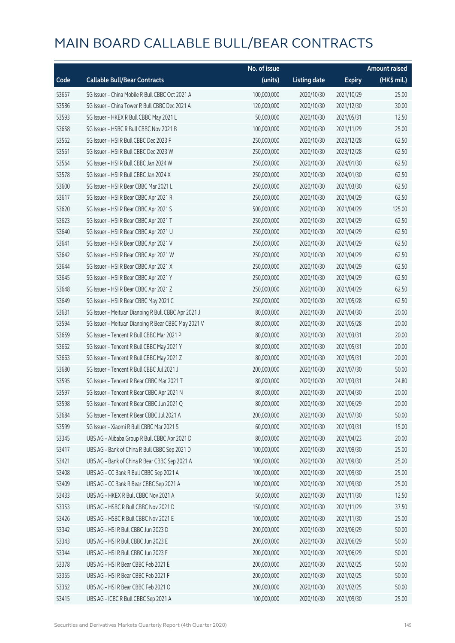|       |                                                     | No. of issue |                     |               | <b>Amount raised</b> |
|-------|-----------------------------------------------------|--------------|---------------------|---------------|----------------------|
| Code  | <b>Callable Bull/Bear Contracts</b>                 | (units)      | <b>Listing date</b> | <b>Expiry</b> | (HK\$ mil.)          |
| 53657 | SG Issuer - China Mobile R Bull CBBC Oct 2021 A     | 100,000,000  | 2020/10/30          | 2021/10/29    | 25.00                |
| 53586 | SG Issuer - China Tower R Bull CBBC Dec 2021 A      | 120,000,000  | 2020/10/30          | 2021/12/30    | 30.00                |
| 53593 | SG Issuer - HKEX R Bull CBBC May 2021 L             | 50,000,000   | 2020/10/30          | 2021/05/31    | 12.50                |
| 53658 | SG Issuer - HSBC R Bull CBBC Nov 2021 B             | 100,000,000  | 2020/10/30          | 2021/11/29    | 25.00                |
| 53562 | SG Issuer - HSI R Bull CBBC Dec 2023 F              | 250,000,000  | 2020/10/30          | 2023/12/28    | 62.50                |
| 53561 | SG Issuer - HSI R Bull CBBC Dec 2023 W              | 250,000,000  | 2020/10/30          | 2023/12/28    | 62.50                |
| 53564 | SG Issuer - HSI R Bull CBBC Jan 2024 W              | 250,000,000  | 2020/10/30          | 2024/01/30    | 62.50                |
| 53578 | SG Issuer - HSI R Bull CBBC Jan 2024 X              | 250,000,000  | 2020/10/30          | 2024/01/30    | 62.50                |
| 53600 | SG Issuer - HSI R Bear CBBC Mar 2021 L              | 250,000,000  | 2020/10/30          | 2021/03/30    | 62.50                |
| 53617 | SG Issuer - HSI R Bear CBBC Apr 2021 R              | 250,000,000  | 2020/10/30          | 2021/04/29    | 62.50                |
| 53620 | SG Issuer - HSI R Bear CBBC Apr 2021 S              | 500,000,000  | 2020/10/30          | 2021/04/29    | 125.00               |
| 53623 | SG Issuer - HSI R Bear CBBC Apr 2021 T              | 250,000,000  | 2020/10/30          | 2021/04/29    | 62.50                |
| 53640 | SG Issuer - HSI R Bear CBBC Apr 2021 U              | 250,000,000  | 2020/10/30          | 2021/04/29    | 62.50                |
| 53641 | SG Issuer - HSI R Bear CBBC Apr 2021 V              | 250,000,000  | 2020/10/30          | 2021/04/29    | 62.50                |
| 53642 | SG Issuer - HSI R Bear CBBC Apr 2021 W              | 250,000,000  | 2020/10/30          | 2021/04/29    | 62.50                |
| 53644 | SG Issuer - HSI R Bear CBBC Apr 2021 X              | 250,000,000  | 2020/10/30          | 2021/04/29    | 62.50                |
| 53645 | SG Issuer - HSI R Bear CBBC Apr 2021 Y              | 250,000,000  | 2020/10/30          | 2021/04/29    | 62.50                |
| 53648 | SG Issuer - HSI R Bear CBBC Apr 2021 Z              | 250,000,000  | 2020/10/30          | 2021/04/29    | 62.50                |
| 53649 | SG Issuer - HSI R Bear CBBC May 2021 C              | 250,000,000  | 2020/10/30          | 2021/05/28    | 62.50                |
| 53631 | SG Issuer - Meituan Dianping R Bull CBBC Apr 2021 J | 80,000,000   | 2020/10/30          | 2021/04/30    | 20.00                |
| 53594 | SG Issuer - Meituan Dianping R Bear CBBC May 2021 V | 80,000,000   | 2020/10/30          | 2021/05/28    | 20.00                |
| 53659 | SG Issuer - Tencent R Bull CBBC Mar 2021 P          | 80,000,000   | 2020/10/30          | 2021/03/31    | 20.00                |
| 53662 | SG Issuer - Tencent R Bull CBBC May 2021 Y          | 80,000,000   | 2020/10/30          | 2021/05/31    | 20.00                |
| 53663 | SG Issuer - Tencent R Bull CBBC May 2021 Z          | 80,000,000   | 2020/10/30          | 2021/05/31    | 20.00                |
| 53680 | SG Issuer - Tencent R Bull CBBC Jul 2021 J          | 200,000,000  | 2020/10/30          | 2021/07/30    | 50.00                |
| 53595 | SG Issuer - Tencent R Bear CBBC Mar 2021 T          | 80,000,000   | 2020/10/30          | 2021/03/31    | 24.80                |
| 53597 | SG Issuer - Tencent R Bear CBBC Apr 2021 N          | 80,000,000   | 2020/10/30          | 2021/04/30    | 20.00                |
| 53598 | SG Issuer - Tencent R Bear CBBC Jun 2021 Q          | 80,000,000   | 2020/10/30          | 2021/06/29    | 20.00                |
| 53684 | SG Issuer - Tencent R Bear CBBC Jul 2021 A          | 200,000,000  | 2020/10/30          | 2021/07/30    | 50.00                |
| 53599 | SG Issuer - Xiaomi R Bull CBBC Mar 2021 S           | 60,000,000   | 2020/10/30          | 2021/03/31    | 15.00                |
| 53345 | UBS AG - Alibaba Group R Bull CBBC Apr 2021 D       | 80,000,000   | 2020/10/30          | 2021/04/23    | 20.00                |
| 53417 | UBS AG - Bank of China R Bull CBBC Sep 2021 D       | 100,000,000  | 2020/10/30          | 2021/09/30    | 25.00                |
| 53421 | UBS AG - Bank of China R Bear CBBC Sep 2021 A       | 100,000,000  | 2020/10/30          | 2021/09/30    | 25.00                |
| 53408 | UBS AG - CC Bank R Bull CBBC Sep 2021 A             | 100,000,000  | 2020/10/30          | 2021/09/30    | 25.00                |
| 53409 | UBS AG - CC Bank R Bear CBBC Sep 2021 A             | 100,000,000  | 2020/10/30          | 2021/09/30    | 25.00                |
| 53433 | UBS AG - HKEX R Bull CBBC Nov 2021 A                | 50,000,000   | 2020/10/30          | 2021/11/30    | 12.50                |
| 53353 | UBS AG - HSBC R Bull CBBC Nov 2021 D                | 150,000,000  | 2020/10/30          | 2021/11/29    | 37.50                |
| 53426 | UBS AG - HSBC R Bull CBBC Nov 2021 E                | 100,000,000  | 2020/10/30          | 2021/11/30    | 25.00                |
| 53342 | UBS AG - HSI R Bull CBBC Jun 2023 D                 | 200,000,000  | 2020/10/30          | 2023/06/29    | 50.00                |
| 53343 | UBS AG - HSI R Bull CBBC Jun 2023 E                 | 200,000,000  | 2020/10/30          | 2023/06/29    | 50.00                |
| 53344 | UBS AG - HSI R Bull CBBC Jun 2023 F                 | 200,000,000  | 2020/10/30          | 2023/06/29    | 50.00                |
| 53378 | UBS AG - HSI R Bear CBBC Feb 2021 E                 | 200,000,000  | 2020/10/30          | 2021/02/25    | 50.00                |
| 53355 | UBS AG - HSI R Bear CBBC Feb 2021 F                 | 200,000,000  | 2020/10/30          | 2021/02/25    | 50.00                |
| 53362 | UBS AG - HSI R Bear CBBC Feb 2021 O                 | 200,000,000  | 2020/10/30          | 2021/02/25    | 50.00                |
| 53415 | UBS AG - ICBC R Bull CBBC Sep 2021 A                | 100,000,000  | 2020/10/30          | 2021/09/30    | 25.00                |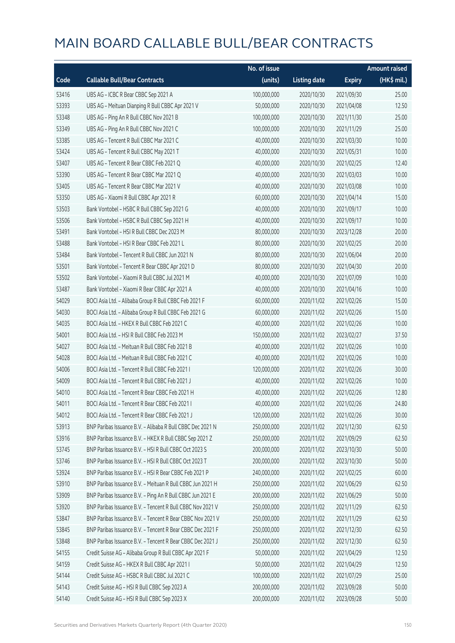|       |                                                            | No. of issue |                     |               | <b>Amount raised</b> |
|-------|------------------------------------------------------------|--------------|---------------------|---------------|----------------------|
| Code  | <b>Callable Bull/Bear Contracts</b>                        | (units)      | <b>Listing date</b> | <b>Expiry</b> | (HK\$ mil.)          |
| 53416 | UBS AG - ICBC R Bear CBBC Sep 2021 A                       | 100,000,000  | 2020/10/30          | 2021/09/30    | 25.00                |
| 53393 | UBS AG - Meituan Dianping R Bull CBBC Apr 2021 V           | 50,000,000   | 2020/10/30          | 2021/04/08    | 12.50                |
| 53348 | UBS AG - Ping An R Bull CBBC Nov 2021 B                    | 100,000,000  | 2020/10/30          | 2021/11/30    | 25.00                |
| 53349 | UBS AG - Ping An R Bull CBBC Nov 2021 C                    | 100,000,000  | 2020/10/30          | 2021/11/29    | 25.00                |
| 53385 | UBS AG - Tencent R Bull CBBC Mar 2021 C                    | 40,000,000   | 2020/10/30          | 2021/03/30    | 10.00                |
| 53424 | UBS AG - Tencent R Bull CBBC May 2021 T                    | 40,000,000   | 2020/10/30          | 2021/05/31    | 10.00                |
| 53407 | UBS AG - Tencent R Bear CBBC Feb 2021 Q                    | 40,000,000   | 2020/10/30          | 2021/02/25    | 12.40                |
| 53390 | UBS AG - Tencent R Bear CBBC Mar 2021 Q                    | 40,000,000   | 2020/10/30          | 2021/03/03    | 10.00                |
| 53405 | UBS AG - Tencent R Bear CBBC Mar 2021 V                    | 40,000,000   | 2020/10/30          | 2021/03/08    | 10.00                |
| 53350 | UBS AG - Xiaomi R Bull CBBC Apr 2021 R                     | 60,000,000   | 2020/10/30          | 2021/04/14    | 15.00                |
| 53503 | Bank Vontobel - HSBC R Bull CBBC Sep 2021 G                | 40,000,000   | 2020/10/30          | 2021/09/17    | 10.00                |
| 53506 | Bank Vontobel - HSBC R Bull CBBC Sep 2021 H                | 40,000,000   | 2020/10/30          | 2021/09/17    | 10.00                |
| 53491 | Bank Vontobel - HSI R Bull CBBC Dec 2023 M                 | 80,000,000   | 2020/10/30          | 2023/12/28    | 20.00                |
| 53488 | Bank Vontobel - HSI R Bear CBBC Feb 2021 L                 | 80,000,000   | 2020/10/30          | 2021/02/25    | 20.00                |
| 53484 | Bank Vontobel - Tencent R Bull CBBC Jun 2021 N             | 80,000,000   | 2020/10/30          | 2021/06/04    | 20.00                |
| 53501 | Bank Vontobel - Tencent R Bear CBBC Apr 2021 D             | 80,000,000   | 2020/10/30          | 2021/04/30    | 20.00                |
| 53502 | Bank Vontobel - Xiaomi R Bull CBBC Jul 2021 M              | 40,000,000   | 2020/10/30          | 2021/07/09    | 10.00                |
| 53487 | Bank Vontobel - Xiaomi R Bear CBBC Apr 2021 A              | 40,000,000   | 2020/10/30          | 2021/04/16    | 10.00                |
| 54029 | BOCI Asia Ltd. - Alibaba Group R Bull CBBC Feb 2021 F      | 60,000,000   | 2020/11/02          | 2021/02/26    | 15.00                |
| 54030 | BOCI Asia Ltd. - Alibaba Group R Bull CBBC Feb 2021 G      | 60,000,000   | 2020/11/02          | 2021/02/26    | 15.00                |
| 54035 | BOCI Asia Ltd. - HKEX R Bull CBBC Feb 2021 C               | 40,000,000   | 2020/11/02          | 2021/02/26    | 10.00                |
| 54001 | BOCI Asia Ltd. - HSI R Bull CBBC Feb 2023 M                | 150,000,000  | 2020/11/02          | 2023/02/27    | 37.50                |
| 54027 | BOCI Asia Ltd. - Meituan R Bull CBBC Feb 2021 B            | 40,000,000   | 2020/11/02          | 2021/02/26    | 10.00                |
| 54028 | BOCI Asia Ltd. - Meituan R Bull CBBC Feb 2021 C            | 40,000,000   | 2020/11/02          | 2021/02/26    | 10.00                |
| 54006 | BOCI Asia Ltd. - Tencent R Bull CBBC Feb 2021 I            | 120,000,000  | 2020/11/02          | 2021/02/26    | 30.00                |
| 54009 | BOCI Asia Ltd. - Tencent R Bull CBBC Feb 2021 J            | 40,000,000   | 2020/11/02          | 2021/02/26    | 10.00                |
| 54010 | BOCI Asia Ltd. - Tencent R Bear CBBC Feb 2021 H            | 40,000,000   | 2020/11/02          | 2021/02/26    | 12.80                |
| 54011 | BOCI Asia Ltd. - Tencent R Bear CBBC Feb 2021 I            | 40,000,000   | 2020/11/02          | 2021/02/26    | 24.80                |
| 54012 | BOCI Asia Ltd. - Tencent R Bear CBBC Feb 2021 J            | 120,000,000  | 2020/11/02          | 2021/02/26    | 30.00                |
| 53913 | BNP Paribas Issuance B.V. - Alibaba R Bull CBBC Dec 2021 N | 250,000,000  | 2020/11/02          | 2021/12/30    | 62.50                |
| 53916 | BNP Paribas Issuance B.V. - HKEX R Bull CBBC Sep 2021 Z    | 250,000,000  | 2020/11/02          | 2021/09/29    | 62.50                |
| 53745 | BNP Paribas Issuance B.V. - HSI R Bull CBBC Oct 2023 S     | 200,000,000  | 2020/11/02          | 2023/10/30    | 50.00                |
| 53746 | BNP Paribas Issuance B.V. - HSI R Bull CBBC Oct 2023 T     | 200,000,000  | 2020/11/02          | 2023/10/30    | 50.00                |
| 53924 | BNP Paribas Issuance B.V. - HSI R Bear CBBC Feb 2021 P     | 240,000,000  | 2020/11/02          | 2021/02/25    | 60.00                |
| 53910 | BNP Paribas Issuance B.V. - Meituan R Bull CBBC Jun 2021 H | 250,000,000  | 2020/11/02          | 2021/06/29    | 62.50                |
| 53909 | BNP Paribas Issuance B.V. - Ping An R Bull CBBC Jun 2021 E | 200,000,000  | 2020/11/02          | 2021/06/29    | 50.00                |
| 53920 | BNP Paribas Issuance B.V. - Tencent R Bull CBBC Nov 2021 V | 250,000,000  | 2020/11/02          | 2021/11/29    | 62.50                |
| 53847 | BNP Paribas Issuance B.V. - Tencent R Bear CBBC Nov 2021 V | 250,000,000  | 2020/11/02          | 2021/11/29    | 62.50                |
| 53845 | BNP Paribas Issuance B.V. - Tencent R Bear CBBC Dec 2021 F | 250,000,000  | 2020/11/02          | 2021/12/30    | 62.50                |
| 53848 | BNP Paribas Issuance B.V. - Tencent R Bear CBBC Dec 2021 J | 250,000,000  | 2020/11/02          | 2021/12/30    | 62.50                |
| 54155 | Credit Suisse AG - Alibaba Group R Bull CBBC Apr 2021 F    | 50,000,000   | 2020/11/02          | 2021/04/29    | 12.50                |
| 54159 | Credit Suisse AG - HKEX R Bull CBBC Apr 2021 I             | 50,000,000   | 2020/11/02          | 2021/04/29    | 12.50                |
| 54144 | Credit Suisse AG - HSBC R Bull CBBC Jul 2021 C             | 100,000,000  | 2020/11/02          | 2021/07/29    | 25.00                |
| 54143 | Credit Suisse AG - HSI R Bull CBBC Sep 2023 A              | 200,000,000  | 2020/11/02          | 2023/09/28    | 50.00                |
| 54140 | Credit Suisse AG - HSI R Bull CBBC Sep 2023 X              | 200,000,000  | 2020/11/02          | 2023/09/28    | 50.00                |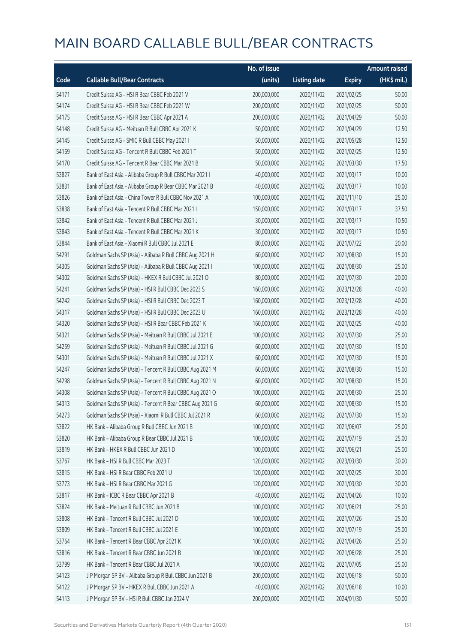|       |                                                          | No. of issue |                     |               | <b>Amount raised</b> |
|-------|----------------------------------------------------------|--------------|---------------------|---------------|----------------------|
| Code  | <b>Callable Bull/Bear Contracts</b>                      | (units)      | <b>Listing date</b> | <b>Expiry</b> | (HK\$ mil.)          |
| 54171 | Credit Suisse AG - HSI R Bear CBBC Feb 2021 V            | 200,000,000  | 2020/11/02          | 2021/02/25    | 50.00                |
| 54174 | Credit Suisse AG - HSI R Bear CBBC Feb 2021 W            | 200,000,000  | 2020/11/02          | 2021/02/25    | 50.00                |
| 54175 | Credit Suisse AG - HSI R Bear CBBC Apr 2021 A            | 200,000,000  | 2020/11/02          | 2021/04/29    | 50.00                |
| 54148 | Credit Suisse AG - Meituan R Bull CBBC Apr 2021 K        | 50,000,000   | 2020/11/02          | 2021/04/29    | 12.50                |
| 54145 | Credit Suisse AG - SMIC R Bull CBBC May 2021 I           | 50,000,000   | 2020/11/02          | 2021/05/28    | 12.50                |
| 54169 | Credit Suisse AG - Tencent R Bull CBBC Feb 2021 T        | 50,000,000   | 2020/11/02          | 2021/02/25    | 12.50                |
| 54170 | Credit Suisse AG - Tencent R Bear CBBC Mar 2021 B        | 50,000,000   | 2020/11/02          | 2021/03/30    | 17.50                |
| 53827 | Bank of East Asia - Alibaba Group R Bull CBBC Mar 2021 I | 40,000,000   | 2020/11/02          | 2021/03/17    | 10.00                |
| 53831 | Bank of East Asia - Alibaba Group R Bear CBBC Mar 2021 B | 40,000,000   | 2020/11/02          | 2021/03/17    | 10.00                |
| 53826 | Bank of East Asia - China Tower R Bull CBBC Nov 2021 A   | 100,000,000  | 2020/11/02          | 2021/11/10    | 25.00                |
| 53838 | Bank of East Asia - Tencent R Bull CBBC Mar 2021 I       | 150,000,000  | 2020/11/02          | 2021/03/17    | 37.50                |
| 53842 | Bank of East Asia - Tencent R Bull CBBC Mar 2021 J       | 30,000,000   | 2020/11/02          | 2021/03/17    | 10.50                |
| 53843 | Bank of East Asia - Tencent R Bull CBBC Mar 2021 K       | 30,000,000   | 2020/11/02          | 2021/03/17    | 10.50                |
| 53844 | Bank of East Asia - Xiaomi R Bull CBBC Jul 2021 E        | 80,000,000   | 2020/11/02          | 2021/07/22    | 20.00                |
| 54291 | Goldman Sachs SP (Asia) - Alibaba R Bull CBBC Aug 2021 H | 60,000,000   | 2020/11/02          | 2021/08/30    | 15.00                |
| 54305 | Goldman Sachs SP (Asia) - Alibaba R Bull CBBC Aug 2021 I | 100,000,000  | 2020/11/02          | 2021/08/30    | 25.00                |
| 54302 | Goldman Sachs SP (Asia) - HKEX R Bull CBBC Jul 2021 O    | 80,000,000   | 2020/11/02          | 2021/07/30    | 20.00                |
| 54241 | Goldman Sachs SP (Asia) - HSI R Bull CBBC Dec 2023 S     | 160,000,000  | 2020/11/02          | 2023/12/28    | 40.00                |
| 54242 | Goldman Sachs SP (Asia) - HSI R Bull CBBC Dec 2023 T     | 160,000,000  | 2020/11/02          | 2023/12/28    | 40.00                |
| 54317 | Goldman Sachs SP (Asia) - HSI R Bull CBBC Dec 2023 U     | 160,000,000  | 2020/11/02          | 2023/12/28    | 40.00                |
| 54320 | Goldman Sachs SP (Asia) - HSI R Bear CBBC Feb 2021 K     | 160,000,000  | 2020/11/02          | 2021/02/25    | 40.00                |
| 54321 | Goldman Sachs SP (Asia) - Meituan R Bull CBBC Jul 2021 E | 100,000,000  | 2020/11/02          | 2021/07/30    | 25.00                |
| 54259 | Goldman Sachs SP (Asia) - Meituan R Bull CBBC Jul 2021 G | 60,000,000   | 2020/11/02          | 2021/07/30    | 15.00                |
| 54301 | Goldman Sachs SP (Asia) - Meituan R Bull CBBC Jul 2021 X | 60,000,000   | 2020/11/02          | 2021/07/30    | 15.00                |
| 54247 | Goldman Sachs SP (Asia) - Tencent R Bull CBBC Aug 2021 M | 60,000,000   | 2020/11/02          | 2021/08/30    | 15.00                |
| 54298 | Goldman Sachs SP (Asia) - Tencent R Bull CBBC Aug 2021 N | 60,000,000   | 2020/11/02          | 2021/08/30    | 15.00                |
| 54308 | Goldman Sachs SP (Asia) - Tencent R Bull CBBC Aug 2021 O | 100,000,000  | 2020/11/02          | 2021/08/30    | 25.00                |
| 54313 | Goldman Sachs SP (Asia) - Tencent R Bear CBBC Aug 2021 G | 60,000,000   | 2020/11/02          | 2021/08/30    | 15.00                |
| 54273 | Goldman Sachs SP (Asia) - Xiaomi R Bull CBBC Jul 2021 R  | 60,000,000   | 2020/11/02          | 2021/07/30    | 15.00                |
| 53822 | HK Bank - Alibaba Group R Bull CBBC Jun 2021 B           | 100,000,000  | 2020/11/02          | 2021/06/07    | 25.00                |
| 53820 | HK Bank - Alibaba Group R Bear CBBC Jul 2021 B           | 100,000,000  | 2020/11/02          | 2021/07/19    | 25.00                |
| 53819 | HK Bank - HKEX R Bull CBBC Jun 2021 D                    | 100,000,000  | 2020/11/02          | 2021/06/21    | 25.00                |
| 53767 | HK Bank - HSI R Bull CBBC Mar 2023 T                     | 120,000,000  | 2020/11/02          | 2023/03/30    | 30.00                |
| 53815 | HK Bank - HSI R Bear CBBC Feb 2021 U                     | 120,000,000  | 2020/11/02          | 2021/02/25    | 30.00                |
| 53773 | HK Bank - HSI R Bear CBBC Mar 2021 G                     | 120,000,000  | 2020/11/02          | 2021/03/30    | 30.00                |
| 53817 | HK Bank - ICBC R Bear CBBC Apr 2021 B                    | 40,000,000   | 2020/11/02          | 2021/04/26    | 10.00                |
| 53824 | HK Bank - Meituan R Bull CBBC Jun 2021 B                 | 100,000,000  | 2020/11/02          | 2021/06/21    | 25.00                |
| 53808 | HK Bank - Tencent R Bull CBBC Jul 2021 D                 | 100,000,000  | 2020/11/02          | 2021/07/26    | 25.00                |
| 53809 | HK Bank - Tencent R Bull CBBC Jul 2021 E                 | 100,000,000  | 2020/11/02          | 2021/07/19    | 25.00                |
| 53764 | HK Bank - Tencent R Bear CBBC Apr 2021 K                 | 100,000,000  | 2020/11/02          | 2021/04/26    | 25.00                |
| 53816 | HK Bank - Tencent R Bear CBBC Jun 2021 B                 | 100,000,000  | 2020/11/02          | 2021/06/28    | 25.00                |
| 53799 | HK Bank - Tencent R Bear CBBC Jul 2021 A                 | 100,000,000  | 2020/11/02          | 2021/07/05    | 25.00                |
| 54123 | J P Morgan SP BV - Alibaba Group R Bull CBBC Jun 2021 B  | 200,000,000  | 2020/11/02          | 2021/06/18    | 50.00                |
| 54122 | J P Morgan SP BV - HKEX R Bull CBBC Jun 2021 A           | 40,000,000   | 2020/11/02          | 2021/06/18    | 10.00                |
| 54113 | J P Morgan SP BV - HSI R Bull CBBC Jan 2024 V            | 200,000,000  | 2020/11/02          | 2024/01/30    | 50.00                |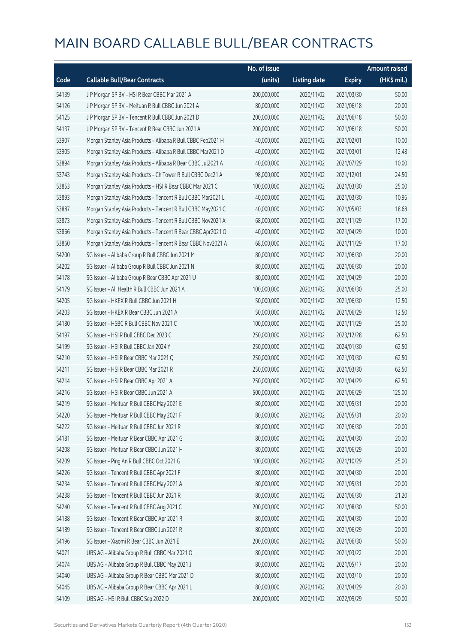|       |                                                              | No. of issue |                     |               | <b>Amount raised</b> |
|-------|--------------------------------------------------------------|--------------|---------------------|---------------|----------------------|
| Code  | <b>Callable Bull/Bear Contracts</b>                          | (units)      | <b>Listing date</b> | <b>Expiry</b> | (HK\$ mil.)          |
| 54139 | J P Morgan SP BV - HSI R Bear CBBC Mar 2021 A                | 200,000,000  | 2020/11/02          | 2021/03/30    | 50.00                |
| 54126 | J P Morgan SP BV - Meituan R Bull CBBC Jun 2021 A            | 80,000,000   | 2020/11/02          | 2021/06/18    | 20.00                |
| 54125 | J P Morgan SP BV - Tencent R Bull CBBC Jun 2021 D            | 200,000,000  | 2020/11/02          | 2021/06/18    | 50.00                |
| 54137 | J P Morgan SP BV - Tencent R Bear CBBC Jun 2021 A            | 200,000,000  | 2020/11/02          | 2021/06/18    | 50.00                |
| 53907 | Morgan Stanley Asia Products - Alibaba R Bull CBBC Feb2021 H | 40,000,000   | 2020/11/02          | 2021/02/01    | 10.00                |
| 53905 | Morgan Stanley Asia Products - Alibaba R Bull CBBC Mar2021 D | 40,000,000   | 2020/11/02          | 2021/03/01    | 12.48                |
| 53894 | Morgan Stanley Asia Products - Alibaba R Bear CBBC Jul2021 A | 40,000,000   | 2020/11/02          | 2021/07/29    | 10.00                |
| 53743 | Morgan Stanley Asia Products - Ch Tower R Bull CBBC Dec21 A  | 98,000,000   | 2020/11/02          | 2021/12/01    | 24.50                |
| 53853 | Morgan Stanley Asia Products - HSI R Bear CBBC Mar 2021 C    | 100,000,000  | 2020/11/02          | 2021/03/30    | 25.00                |
| 53893 | Morgan Stanley Asia Products - Tencent R Bull CBBC Mar2021 L | 40,000,000   | 2020/11/02          | 2021/03/30    | 10.96                |
| 53887 | Morgan Stanley Asia Products - Tencent R Bull CBBC May2021 C | 40,000,000   | 2020/11/02          | 2021/05/03    | 18.68                |
| 53873 | Morgan Stanley Asia Products - Tencent R Bull CBBC Nov2021 A | 68,000,000   | 2020/11/02          | 2021/11/29    | 17.00                |
| 53866 | Morgan Stanley Asia Products - Tencent R Bear CBBC Apr2021 O | 40,000,000   | 2020/11/02          | 2021/04/29    | 10.00                |
| 53860 | Morgan Stanley Asia Products - Tencent R Bear CBBC Nov2021 A | 68,000,000   | 2020/11/02          | 2021/11/29    | 17.00                |
| 54200 | SG Issuer - Alibaba Group R Bull CBBC Jun 2021 M             | 80,000,000   | 2020/11/02          | 2021/06/30    | 20.00                |
| 54202 | SG Issuer - Alibaba Group R Bull CBBC Jun 2021 N             | 80,000,000   | 2020/11/02          | 2021/06/30    | 20.00                |
| 54178 | SG Issuer - Alibaba Group R Bear CBBC Apr 2021 U             | 80,000,000   | 2020/11/02          | 2021/04/29    | 20.00                |
| 54179 | SG Issuer - Ali Health R Bull CBBC Jun 2021 A                | 100,000,000  | 2020/11/02          | 2021/06/30    | 25.00                |
| 54205 | SG Issuer - HKEX R Bull CBBC Jun 2021 H                      | 50,000,000   | 2020/11/02          | 2021/06/30    | 12.50                |
| 54203 | SG Issuer - HKEX R Bear CBBC Jun 2021 A                      | 50,000,000   | 2020/11/02          | 2021/06/29    | 12.50                |
| 54180 | SG Issuer - HSBC R Bull CBBC Nov 2021 C                      | 100,000,000  | 2020/11/02          | 2021/11/29    | 25.00                |
| 54197 | SG Issuer - HSI R Bull CBBC Dec 2023 C                       | 250,000,000  | 2020/11/02          | 2023/12/28    | 62.50                |
| 54199 | SG Issuer - HSI R Bull CBBC Jan 2024 Y                       | 250,000,000  | 2020/11/02          | 2024/01/30    | 62.50                |
| 54210 | SG Issuer - HSI R Bear CBBC Mar 2021 Q                       | 250,000,000  | 2020/11/02          | 2021/03/30    | 62.50                |
| 54211 | SG Issuer - HSI R Bear CBBC Mar 2021 R                       | 250,000,000  | 2020/11/02          | 2021/03/30    | 62.50                |
| 54214 | SG Issuer - HSI R Bear CBBC Apr 2021 A                       | 250,000,000  | 2020/11/02          | 2021/04/29    | 62.50                |
| 54216 | SG Issuer - HSI R Bear CBBC Jun 2021 A                       | 500,000,000  | 2020/11/02          | 2021/06/29    | 125.00               |
| 54219 | SG Issuer - Meituan R Bull CBBC May 2021 E                   | 80,000,000   | 2020/11/02          | 2021/05/31    | 20.00                |
| 54220 | SG Issuer - Meituan R Bull CBBC May 2021 F                   | 80,000,000   | 2020/11/02          | 2021/05/31    | 20.00                |
| 54222 | SG Issuer - Meituan R Bull CBBC Jun 2021 R                   | 80,000,000   | 2020/11/02          | 2021/06/30    | 20.00                |
| 54181 | SG Issuer - Meituan R Bear CBBC Apr 2021 G                   | 80,000,000   | 2020/11/02          | 2021/04/30    | 20.00                |
| 54208 | SG Issuer - Meituan R Bear CBBC Jun 2021 H                   | 80,000,000   | 2020/11/02          | 2021/06/29    | 20.00                |
| 54209 | SG Issuer - Ping An R Bull CBBC Oct 2021 G                   | 100,000,000  | 2020/11/02          | 2021/10/29    | 25.00                |
| 54226 | SG Issuer - Tencent R Bull CBBC Apr 2021 F                   | 80,000,000   | 2020/11/02          | 2021/04/30    | 20.00                |
| 54234 | SG Issuer - Tencent R Bull CBBC May 2021 A                   | 80,000,000   | 2020/11/02          | 2021/05/31    | 20.00                |
| 54238 | SG Issuer - Tencent R Bull CBBC Jun 2021 R                   | 80,000,000   | 2020/11/02          | 2021/06/30    | 21.20                |
| 54240 | SG Issuer - Tencent R Bull CBBC Aug 2021 C                   | 200,000,000  | 2020/11/02          | 2021/08/30    | 50.00                |
| 54188 | SG Issuer - Tencent R Bear CBBC Apr 2021 R                   | 80,000,000   | 2020/11/02          | 2021/04/30    | 20.00                |
| 54189 | SG Issuer - Tencent R Bear CBBC Jun 2021 R                   | 80,000,000   | 2020/11/02          | 2021/06/29    | 20.00                |
| 54196 | SG Issuer - Xiaomi R Bear CBBC Jun 2021 E                    | 200,000,000  | 2020/11/02          | 2021/06/30    | 50.00                |
| 54071 | UBS AG - Alibaba Group R Bull CBBC Mar 2021 O                | 80,000,000   | 2020/11/02          | 2021/03/22    | 20.00                |
| 54074 | UBS AG - Alibaba Group R Bull CBBC May 2021 J                | 80,000,000   | 2020/11/02          | 2021/05/17    | 20.00                |
| 54040 | UBS AG - Alibaba Group R Bear CBBC Mar 2021 D                | 80,000,000   | 2020/11/02          | 2021/03/10    | 20.00                |
| 54045 | UBS AG - Alibaba Group R Bear CBBC Apr 2021 L                | 80,000,000   | 2020/11/02          | 2021/04/29    | 20.00                |
| 54109 | UBS AG - HSI R Bull CBBC Sep 2022 D                          | 200,000,000  | 2020/11/02          | 2022/09/29    | 50.00                |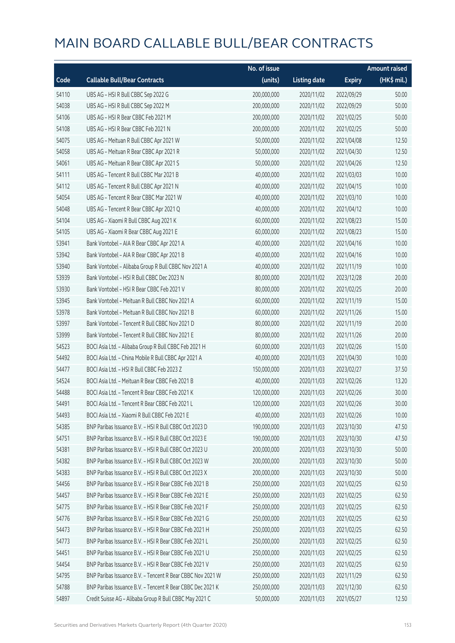|       |                                                            | No. of issue |                     |               | <b>Amount raised</b> |
|-------|------------------------------------------------------------|--------------|---------------------|---------------|----------------------|
| Code  | <b>Callable Bull/Bear Contracts</b>                        | (units)      | <b>Listing date</b> | <b>Expiry</b> | (HK\$ mil.)          |
| 54110 | UBS AG - HSI R Bull CBBC Sep 2022 G                        | 200,000,000  | 2020/11/02          | 2022/09/29    | 50.00                |
| 54038 | UBS AG - HSI R Bull CBBC Sep 2022 M                        | 200,000,000  | 2020/11/02          | 2022/09/29    | 50.00                |
| 54106 | UBS AG - HSI R Bear CBBC Feb 2021 M                        | 200,000,000  | 2020/11/02          | 2021/02/25    | 50.00                |
| 54108 | UBS AG - HSI R Bear CBBC Feb 2021 N                        | 200,000,000  | 2020/11/02          | 2021/02/25    | 50.00                |
| 54075 | UBS AG - Meituan R Bull CBBC Apr 2021 W                    | 50,000,000   | 2020/11/02          | 2021/04/08    | 12.50                |
| 54058 | UBS AG - Meituan R Bear CBBC Apr 2021 R                    | 50,000,000   | 2020/11/02          | 2021/04/30    | 12.50                |
| 54061 | UBS AG - Meituan R Bear CBBC Apr 2021 S                    | 50,000,000   | 2020/11/02          | 2021/04/26    | 12.50                |
| 54111 | UBS AG - Tencent R Bull CBBC Mar 2021 B                    | 40,000,000   | 2020/11/02          | 2021/03/03    | 10.00                |
| 54112 | UBS AG - Tencent R Bull CBBC Apr 2021 N                    | 40,000,000   | 2020/11/02          | 2021/04/15    | 10.00                |
| 54054 | UBS AG - Tencent R Bear CBBC Mar 2021 W                    | 40,000,000   | 2020/11/02          | 2021/03/10    | 10.00                |
| 54048 | UBS AG - Tencent R Bear CBBC Apr 2021 Q                    | 40,000,000   | 2020/11/02          | 2021/04/12    | 10.00                |
| 54104 | UBS AG - Xiaomi R Bull CBBC Aug 2021 K                     | 60,000,000   | 2020/11/02          | 2021/08/23    | 15.00                |
| 54105 | UBS AG - Xiaomi R Bear CBBC Aug 2021 E                     | 60,000,000   | 2020/11/02          | 2021/08/23    | 15.00                |
| 53941 | Bank Vontobel - AIA R Bear CBBC Apr 2021 A                 | 40,000,000   | 2020/11/02          | 2021/04/16    | 10.00                |
| 53942 | Bank Vontobel - AIA R Bear CBBC Apr 2021 B                 | 40,000,000   | 2020/11/02          | 2021/04/16    | 10.00                |
| 53940 | Bank Vontobel - Alibaba Group R Bull CBBC Nov 2021 A       | 40,000,000   | 2020/11/02          | 2021/11/19    | 10.00                |
| 53939 | Bank Vontobel - HSI R Bull CBBC Dec 2023 N                 | 80,000,000   | 2020/11/02          | 2023/12/28    | 20.00                |
| 53930 | Bank Vontobel - HSI R Bear CBBC Feb 2021 V                 | 80,000,000   | 2020/11/02          | 2021/02/25    | 20.00                |
| 53945 | Bank Vontobel - Meituan R Bull CBBC Nov 2021 A             | 60,000,000   | 2020/11/02          | 2021/11/19    | 15.00                |
| 53978 | Bank Vontobel - Meituan R Bull CBBC Nov 2021 B             | 60,000,000   | 2020/11/02          | 2021/11/26    | 15.00                |
| 53997 | Bank Vontobel - Tencent R Bull CBBC Nov 2021 D             | 80,000,000   | 2020/11/02          | 2021/11/19    | 20.00                |
| 53999 | Bank Vontobel - Tencent R Bull CBBC Nov 2021 E             | 80,000,000   | 2020/11/02          | 2021/11/26    | 20.00                |
| 54523 | BOCI Asia Ltd. - Alibaba Group R Bull CBBC Feb 2021 H      | 60,000,000   | 2020/11/03          | 2021/02/26    | 15.00                |
| 54492 | BOCI Asia Ltd. - China Mobile R Bull CBBC Apr 2021 A       | 40,000,000   | 2020/11/03          | 2021/04/30    | 10.00                |
| 54477 | BOCI Asia Ltd. - HSI R Bull CBBC Feb 2023 Z                | 150,000,000  | 2020/11/03          | 2023/02/27    | 37.50                |
| 54524 | BOCI Asia Ltd. - Meituan R Bear CBBC Feb 2021 B            | 40,000,000   | 2020/11/03          | 2021/02/26    | 13.20                |
| 54488 | BOCI Asia Ltd. - Tencent R Bear CBBC Feb 2021 K            | 120,000,000  | 2020/11/03          | 2021/02/26    | 30.00                |
| 54491 | BOCI Asia Ltd. - Tencent R Bear CBBC Feb 2021 L            | 120,000,000  | 2020/11/03          | 2021/02/26    | 30.00                |
| 54493 | BOCI Asia Ltd. - Xiaomi R Bull CBBC Feb 2021 E             | 40,000,000   | 2020/11/03          | 2021/02/26    | 10.00                |
| 54385 | BNP Paribas Issuance B.V. - HSI R Bull CBBC Oct 2023 D     | 190,000,000  | 2020/11/03          | 2023/10/30    | 47.50                |
| 54751 | BNP Paribas Issuance B.V. - HSI R Bull CBBC Oct 2023 E     | 190,000,000  | 2020/11/03          | 2023/10/30    | 47.50                |
| 54381 | BNP Paribas Issuance B.V. - HSI R Bull CBBC Oct 2023 U     | 200,000,000  | 2020/11/03          | 2023/10/30    | 50.00                |
| 54382 | BNP Paribas Issuance B.V. - HSI R Bull CBBC Oct 2023 W     | 200,000,000  | 2020/11/03          | 2023/10/30    | 50.00                |
| 54383 | BNP Paribas Issuance B.V. - HSI R Bull CBBC Oct 2023 X     | 200,000,000  | 2020/11/03          | 2023/10/30    | 50.00                |
| 54456 | BNP Paribas Issuance B.V. - HSI R Bear CBBC Feb 2021 B     | 250,000,000  | 2020/11/03          | 2021/02/25    | 62.50                |
| 54457 | BNP Paribas Issuance B.V. - HSI R Bear CBBC Feb 2021 E     | 250,000,000  | 2020/11/03          | 2021/02/25    | 62.50                |
| 54775 | BNP Paribas Issuance B.V. - HSI R Bear CBBC Feb 2021 F     | 250,000,000  | 2020/11/03          | 2021/02/25    | 62.50                |
| 54776 | BNP Paribas Issuance B.V. - HSI R Bear CBBC Feb 2021 G     | 250,000,000  | 2020/11/03          | 2021/02/25    | 62.50                |
| 54473 | BNP Paribas Issuance B.V. - HSI R Bear CBBC Feb 2021 H     | 250,000,000  | 2020/11/03          | 2021/02/25    | 62.50                |
| 54773 | BNP Paribas Issuance B.V. - HSI R Bear CBBC Feb 2021 L     | 250,000,000  | 2020/11/03          | 2021/02/25    | 62.50                |
| 54451 | BNP Paribas Issuance B.V. - HSI R Bear CBBC Feb 2021 U     | 250,000,000  | 2020/11/03          | 2021/02/25    | 62.50                |
| 54454 | BNP Paribas Issuance B.V. - HSI R Bear CBBC Feb 2021 V     | 250,000,000  | 2020/11/03          | 2021/02/25    | 62.50                |
| 54795 | BNP Paribas Issuance B.V. - Tencent R Bear CBBC Nov 2021 W | 250,000,000  | 2020/11/03          | 2021/11/29    | 62.50                |
| 54788 | BNP Paribas Issuance B.V. - Tencent R Bear CBBC Dec 2021 K | 250,000,000  | 2020/11/03          | 2021/12/30    | 62.50                |
| 54897 | Credit Suisse AG - Alibaba Group R Bull CBBC May 2021 C    | 50,000,000   | 2020/11/03          | 2021/05/27    | 12.50                |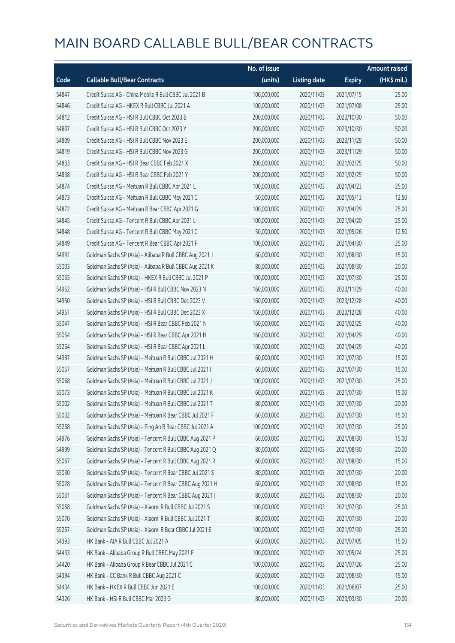|       |                                                          | No. of issue |                     |               | <b>Amount raised</b> |
|-------|----------------------------------------------------------|--------------|---------------------|---------------|----------------------|
| Code  | <b>Callable Bull/Bear Contracts</b>                      | (units)      | <b>Listing date</b> | <b>Expiry</b> | (HK\$ mil.)          |
| 54847 | Credit Suisse AG - China Mobile R Bull CBBC Jul 2021 B   | 100,000,000  | 2020/11/03          | 2021/07/15    | 25.00                |
| 54846 | Credit Suisse AG - HKEX R Bull CBBC Jul 2021 A           | 100,000,000  | 2020/11/03          | 2021/07/08    | 25.00                |
| 54812 | Credit Suisse AG - HSI R Bull CBBC Oct 2023 B            | 200,000,000  | 2020/11/03          | 2023/10/30    | 50.00                |
| 54807 | Credit Suisse AG - HSI R Bull CBBC Oct 2023 Y            | 200,000,000  | 2020/11/03          | 2023/10/30    | 50.00                |
| 54809 | Credit Suisse AG - HSI R Bull CBBC Nov 2023 E            | 200,000,000  | 2020/11/03          | 2023/11/29    | 50.00                |
| 54819 | Credit Suisse AG - HSI R Bull CBBC Nov 2023 G            | 200,000,000  | 2020/11/03          | 2023/11/29    | 50.00                |
| 54833 | Credit Suisse AG - HSI R Bear CBBC Feb 2021 X            | 200,000,000  | 2020/11/03          | 2021/02/25    | 50.00                |
| 54838 | Credit Suisse AG - HSI R Bear CBBC Feb 2021 Y            | 200,000,000  | 2020/11/03          | 2021/02/25    | 50.00                |
| 54874 | Credit Suisse AG - Meituan R Bull CBBC Apr 2021 L        | 100,000,000  | 2020/11/03          | 2021/04/23    | 25.00                |
| 54873 | Credit Suisse AG - Meituan R Bull CBBC May 2021 C        | 50,000,000   | 2020/11/03          | 2021/05/13    | 12.50                |
| 54872 | Credit Suisse AG - Meituan R Bear CBBC Apr 2021 G        | 100,000,000  | 2020/11/03          | 2021/04/29    | 25.00                |
| 54845 | Credit Suisse AG - Tencent R Bull CBBC Apr 2021 L        | 100,000,000  | 2020/11/03          | 2021/04/20    | 25.00                |
| 54848 | Credit Suisse AG - Tencent R Bull CBBC May 2021 C        | 50,000,000   | 2020/11/03          | 2021/05/26    | 12.50                |
| 54849 | Credit Suisse AG - Tencent R Bear CBBC Apr 2021 F        | 100,000,000  | 2020/11/03          | 2021/04/30    | 25.00                |
| 54991 | Goldman Sachs SP (Asia) - Alibaba R Bull CBBC Aug 2021 J | 60,000,000   | 2020/11/03          | 2021/08/30    | 15.00                |
| 55003 | Goldman Sachs SP (Asia) - Alibaba R Bull CBBC Aug 2021 K | 80,000,000   | 2020/11/03          | 2021/08/30    | 20.00                |
| 55055 | Goldman Sachs SP (Asia) - HKEX R Bull CBBC Jul 2021 P    | 100,000,000  | 2020/11/03          | 2021/07/30    | 25.00                |
| 54952 | Goldman Sachs SP (Asia) - HSI R Bull CBBC Nov 2023 N     | 160,000,000  | 2020/11/03          | 2023/11/29    | 40.00                |
| 54950 | Goldman Sachs SP (Asia) - HSI R Bull CBBC Dec 2023 V     | 160,000,000  | 2020/11/03          | 2023/12/28    | 40.00                |
| 54951 | Goldman Sachs SP (Asia) - HSI R Bull CBBC Dec 2023 X     | 160,000,000  | 2020/11/03          | 2023/12/28    | 40.00                |
| 55047 | Goldman Sachs SP (Asia) - HSI R Bear CBBC Feb 2021 N     | 160,000,000  | 2020/11/03          | 2021/02/25    | 40.00                |
| 55054 | Goldman Sachs SP (Asia) - HSI R Bear CBBC Apr 2021 H     | 160,000,000  | 2020/11/03          | 2021/04/29    | 40.00                |
| 55264 | Goldman Sachs SP (Asia) - HSI R Bear CBBC Apr 2021 L     | 160,000,000  | 2020/11/03          | 2021/04/29    | 40.00                |
| 54987 | Goldman Sachs SP (Asia) - Meituan R Bull CBBC Jul 2021 H | 60,000,000   | 2020/11/03          | 2021/07/30    | 15.00                |
| 55057 | Goldman Sachs SP (Asia) - Meituan R Bull CBBC Jul 2021 I | 60,000,000   | 2020/11/03          | 2021/07/30    | 15.00                |
| 55068 | Goldman Sachs SP (Asia) - Meituan R Bull CBBC Jul 2021 J | 100,000,000  | 2020/11/03          | 2021/07/30    | 25.00                |
| 55073 | Goldman Sachs SP (Asia) - Meituan R Bull CBBC Jul 2021 K | 60,000,000   | 2020/11/03          | 2021/07/30    | 15.00                |
| 55002 | Goldman Sachs SP (Asia) - Meituan R Bull CBBC Jul 2021 T | 80,000,000   | 2020/11/03          | 2021/07/30    | 20.00                |
| 55032 | Goldman Sachs SP (Asia) - Meituan R Bear CBBC Jul 2021 F | 60,000,000   | 2020/11/03          | 2021/07/30    | 15.00                |
| 55268 | Goldman Sachs SP (Asia) - Ping An R Bear CBBC Jul 2021 A | 100,000,000  | 2020/11/03          | 2021/07/30    | 25.00                |
| 54976 | Goldman Sachs SP (Asia) - Tencent R Bull CBBC Aug 2021 P | 60,000,000   | 2020/11/03          | 2021/08/30    | 15.00                |
| 54999 | Goldman Sachs SP (Asia) - Tencent R Bull CBBC Aug 2021 Q | 80,000,000   | 2020/11/03          | 2021/08/30    | 20.00                |
| 55067 | Goldman Sachs SP (Asia) - Tencent R Bull CBBC Aug 2021 R | 60,000,000   | 2020/11/03          | 2021/08/30    | 15.00                |
| 55030 | Goldman Sachs SP (Asia) - Tencent R Bear CBBC Jul 2021 S | 80,000,000   | 2020/11/03          | 2021/07/30    | 20.00                |
| 55028 | Goldman Sachs SP (Asia) - Tencent R Bear CBBC Aug 2021 H | 60,000,000   | 2020/11/03          | 2021/08/30    | 15.00                |
| 55031 | Goldman Sachs SP (Asia) - Tencent R Bear CBBC Aug 2021 I | 80,000,000   | 2020/11/03          | 2021/08/30    | 20.00                |
| 55058 | Goldman Sachs SP (Asia) - Xiaomi R Bull CBBC Jul 2021 S  | 100,000,000  | 2020/11/03          | 2021/07/30    | 25.00                |
| 55070 | Goldman Sachs SP (Asia) - Xiaomi R Bull CBBC Jul 2021 T  | 80,000,000   | 2020/11/03          | 2021/07/30    | 20.00                |
| 55267 | Goldman Sachs SP (Asia) - Xiaomi R Bear CBBC Jul 2021 E  | 100,000,000  | 2020/11/03          | 2021/07/30    | 25.00                |
| 54393 | HK Bank - AIA R Bull CBBC Jul 2021 A                     | 60,000,000   | 2020/11/03          | 2021/07/05    | 15.00                |
| 54433 | HK Bank - Alibaba Group R Bull CBBC May 2021 E           | 100,000,000  | 2020/11/03          | 2021/05/24    | 25.00                |
| 54420 | HK Bank - Alibaba Group R Bear CBBC Jul 2021 C           | 100,000,000  | 2020/11/03          | 2021/07/26    | 25.00                |
| 54394 | HK Bank - CC Bank R Bull CBBC Aug 2021 C                 | 60,000,000   | 2020/11/03          | 2021/08/30    | 15.00                |
| 54434 | HK Bank - HKEX R Bull CBBC Jun 2021 E                    | 100,000,000  | 2020/11/03          | 2021/06/07    | 25.00                |
| 54326 | HK Bank - HSI R Bull CBBC Mar 2023 G                     | 80,000,000   | 2020/11/03          | 2023/03/30    | 20.00                |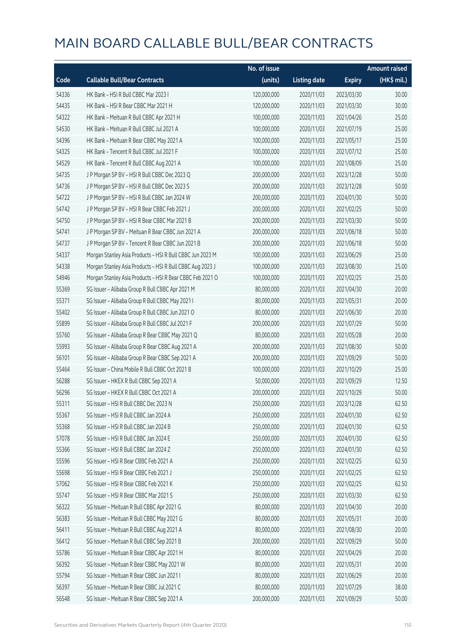|       |                                                           | No. of issue |                     |               | <b>Amount raised</b> |
|-------|-----------------------------------------------------------|--------------|---------------------|---------------|----------------------|
| Code  | <b>Callable Bull/Bear Contracts</b>                       | (units)      | <b>Listing date</b> | <b>Expiry</b> | (HK\$ mil.)          |
| 54336 | HK Bank - HSI R Bull CBBC Mar 2023 I                      | 120,000,000  | 2020/11/03          | 2023/03/30    | 30.00                |
| 54435 | HK Bank - HSI R Bear CBBC Mar 2021 H                      | 120,000,000  | 2020/11/03          | 2021/03/30    | 30.00                |
| 54322 | HK Bank - Meituan R Bull CBBC Apr 2021 H                  | 100,000,000  | 2020/11/03          | 2021/04/26    | 25.00                |
| 54530 | HK Bank - Meituan R Bull CBBC Jul 2021 A                  | 100,000,000  | 2020/11/03          | 2021/07/19    | 25.00                |
| 54396 | HK Bank - Meituan R Bear CBBC May 2021 A                  | 100,000,000  | 2020/11/03          | 2021/05/17    | 25.00                |
| 54325 | HK Bank - Tencent R Bull CBBC Jul 2021 F                  | 100,000,000  | 2020/11/03          | 2021/07/12    | 25.00                |
| 54529 | HK Bank - Tencent R Bull CBBC Aug 2021 A                  | 100,000,000  | 2020/11/03          | 2021/08/09    | 25.00                |
| 54735 | J P Morgan SP BV - HSI R Bull CBBC Dec 2023 Q             | 200,000,000  | 2020/11/03          | 2023/12/28    | 50.00                |
| 54736 | J P Morgan SP BV - HSI R Bull CBBC Dec 2023 S             | 200,000,000  | 2020/11/03          | 2023/12/28    | 50.00                |
| 54722 | J P Morgan SP BV - HSI R Bull CBBC Jan 2024 W             | 200,000,000  | 2020/11/03          | 2024/01/30    | 50.00                |
| 54742 | J P Morgan SP BV - HSI R Bear CBBC Feb 2021 J             | 200,000,000  | 2020/11/03          | 2021/02/25    | 50.00                |
| 54750 | J P Morgan SP BV - HSI R Bear CBBC Mar 2021 B             | 200,000,000  | 2020/11/03          | 2021/03/30    | 50.00                |
| 54741 | J P Morgan SP BV - Meituan R Bear CBBC Jun 2021 A         | 200,000,000  | 2020/11/03          | 2021/06/18    | 50.00                |
| 54737 | J P Morgan SP BV - Tencent R Bear CBBC Jun 2021 B         | 200,000,000  | 2020/11/03          | 2021/06/18    | 50.00                |
| 54337 | Morgan Stanley Asia Products - HSI R Bull CBBC Jun 2023 M | 100,000,000  | 2020/11/03          | 2023/06/29    | 25.00                |
| 54338 | Morgan Stanley Asia Products - HSI R Bull CBBC Aug 2023 J | 100,000,000  | 2020/11/03          | 2023/08/30    | 25.00                |
| 54946 | Morgan Stanley Asia Products - HSI R Bear CBBC Feb 2021 O | 100,000,000  | 2020/11/03          | 2021/02/25    | 25.00                |
| 55369 | SG Issuer - Alibaba Group R Bull CBBC Apr 2021 M          | 80,000,000   | 2020/11/03          | 2021/04/30    | 20.00                |
| 55371 | SG Issuer - Alibaba Group R Bull CBBC May 2021 I          | 80,000,000   | 2020/11/03          | 2021/05/31    | 20.00                |
| 55402 | SG Issuer - Alibaba Group R Bull CBBC Jun 2021 O          | 80,000,000   | 2020/11/03          | 2021/06/30    | 20.00                |
| 55899 | SG Issuer - Alibaba Group R Bull CBBC Jul 2021 F          | 200,000,000  | 2020/11/03          | 2021/07/29    | 50.00                |
| 55760 | SG Issuer - Alibaba Group R Bear CBBC May 2021 Q          | 80,000,000   | 2020/11/03          | 2021/05/28    | 20.00                |
| 55993 | SG Issuer - Alibaba Group R Bear CBBC Aug 2021 A          | 200,000,000  | 2020/11/03          | 2021/08/30    | 50.00                |
| 56101 | SG Issuer - Alibaba Group R Bear CBBC Sep 2021 A          | 200,000,000  | 2020/11/03          | 2021/09/29    | 50.00                |
| 55464 | SG Issuer - China Mobile R Bull CBBC Oct 2021 B           | 100,000,000  | 2020/11/03          | 2021/10/29    | 25.00                |
| 56288 | SG Issuer - HKEX R Bull CBBC Sep 2021 A                   | 50,000,000   | 2020/11/03          | 2021/09/29    | 12.50                |
| 56296 | SG Issuer - HKEX R Bull CBBC Oct 2021 A                   | 200,000,000  | 2020/11/03          | 2021/10/29    | 50.00                |
| 55311 | SG Issuer - HSI R Bull CBBC Dec 2023 N                    | 250,000,000  | 2020/11/03          | 2023/12/28    | 62.50                |
| 55367 | SG Issuer - HSI R Bull CBBC Jan 2024 A                    | 250,000,000  | 2020/11/03          | 2024/01/30    | 62.50                |
| 55368 | SG Issuer - HSI R Bull CBBC Jan 2024 B                    | 250,000,000  | 2020/11/03          | 2024/01/30    | 62.50                |
| 57078 | SG Issuer - HSI R Bull CBBC Jan 2024 E                    | 250,000,000  | 2020/11/03          | 2024/01/30    | 62.50                |
| 55366 | SG Issuer - HSI R Bull CBBC Jan 2024 Z                    | 250,000,000  | 2020/11/03          | 2024/01/30    | 62.50                |
| 55596 | SG Issuer - HSI R Bear CBBC Feb 2021 A                    | 250,000,000  | 2020/11/03          | 2021/02/25    | 62.50                |
| 55698 | SG Issuer - HSI R Bear CBBC Feb 2021 J                    | 250,000,000  | 2020/11/03          | 2021/02/25    | 62.50                |
| 57062 | SG Issuer - HSI R Bear CBBC Feb 2021 K                    | 250,000,000  | 2020/11/03          | 2021/02/25    | 62.50                |
| 55747 | SG Issuer - HSI R Bear CBBC Mar 2021 S                    | 250,000,000  | 2020/11/03          | 2021/03/30    | 62.50                |
| 56322 | SG Issuer - Meituan R Bull CBBC Apr 2021 G                | 80,000,000   | 2020/11/03          | 2021/04/30    | 20.00                |
| 56383 | SG Issuer - Meituan R Bull CBBC May 2021 G                | 80,000,000   | 2020/11/03          | 2021/05/31    | 20.00                |
| 56411 | SG Issuer - Meituan R Bull CBBC Aug 2021 A                | 80,000,000   | 2020/11/03          | 2021/08/30    | 20.00                |
| 56412 | SG Issuer - Meituan R Bull CBBC Sep 2021 B                | 200,000,000  | 2020/11/03          | 2021/09/29    | 50.00                |
| 55786 | SG Issuer - Meituan R Bear CBBC Apr 2021 H                | 80,000,000   | 2020/11/03          | 2021/04/29    | 20.00                |
| 56392 | SG Issuer - Meituan R Bear CBBC May 2021 W                | 80,000,000   | 2020/11/03          | 2021/05/31    | 20.00                |
| 55794 | SG Issuer - Meituan R Bear CBBC Jun 2021 I                | 80,000,000   | 2020/11/03          | 2021/06/29    | 20.00                |
| 56397 | SG Issuer - Meituan R Bear CBBC Jul 2021 C                | 80,000,000   | 2020/11/03          | 2021/07/29    | 38.00                |
| 56548 | SG Issuer - Meituan R Bear CBBC Sep 2021 A                | 200,000,000  | 2020/11/03          | 2021/09/29    | 50.00                |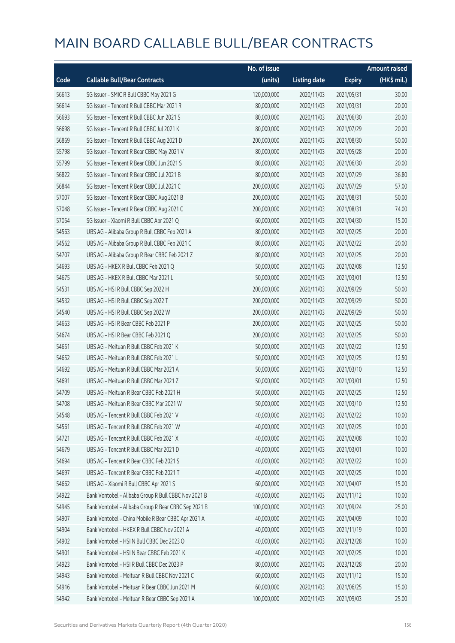|       |                                                      | No. of issue |                     |               | <b>Amount raised</b> |
|-------|------------------------------------------------------|--------------|---------------------|---------------|----------------------|
| Code  | <b>Callable Bull/Bear Contracts</b>                  | (units)      | <b>Listing date</b> | <b>Expiry</b> | (HK\$ mil.)          |
| 56613 | SG Issuer - SMIC R Bull CBBC May 2021 G              | 120,000,000  | 2020/11/03          | 2021/05/31    | 30.00                |
| 56614 | SG Issuer - Tencent R Bull CBBC Mar 2021 R           | 80,000,000   | 2020/11/03          | 2021/03/31    | 20.00                |
| 56693 | SG Issuer - Tencent R Bull CBBC Jun 2021 S           | 80,000,000   | 2020/11/03          | 2021/06/30    | 20.00                |
| 56698 | SG Issuer - Tencent R Bull CBBC Jul 2021 K           | 80,000,000   | 2020/11/03          | 2021/07/29    | 20.00                |
| 56869 | SG Issuer - Tencent R Bull CBBC Aug 2021 D           | 200,000,000  | 2020/11/03          | 2021/08/30    | 50.00                |
| 55798 | SG Issuer - Tencent R Bear CBBC May 2021 V           | 80,000,000   | 2020/11/03          | 2021/05/28    | 20.00                |
| 55799 | SG Issuer - Tencent R Bear CBBC Jun 2021 S           | 80,000,000   | 2020/11/03          | 2021/06/30    | 20.00                |
| 56822 | SG Issuer - Tencent R Bear CBBC Jul 2021 B           | 80,000,000   | 2020/11/03          | 2021/07/29    | 36.80                |
| 56844 | SG Issuer - Tencent R Bear CBBC Jul 2021 C           | 200,000,000  | 2020/11/03          | 2021/07/29    | 57.00                |
| 57007 | SG Issuer - Tencent R Bear CBBC Aug 2021 B           | 200,000,000  | 2020/11/03          | 2021/08/31    | 50.00                |
| 57048 | SG Issuer - Tencent R Bear CBBC Aug 2021 C           | 200,000,000  | 2020/11/03          | 2021/08/31    | 74.00                |
| 57054 | SG Issuer - Xiaomi R Bull CBBC Apr 2021 Q            | 60,000,000   | 2020/11/03          | 2021/04/30    | 15.00                |
| 54563 | UBS AG - Alibaba Group R Bull CBBC Feb 2021 A        | 80,000,000   | 2020/11/03          | 2021/02/25    | 20.00                |
| 54562 | UBS AG - Alibaba Group R Bull CBBC Feb 2021 C        | 80,000,000   | 2020/11/03          | 2021/02/22    | 20.00                |
| 54707 | UBS AG - Alibaba Group R Bear CBBC Feb 2021 Z        | 80,000,000   | 2020/11/03          | 2021/02/25    | 20.00                |
| 54693 | UBS AG - HKEX R Bull CBBC Feb 2021 Q                 | 50,000,000   | 2020/11/03          | 2021/02/08    | 12.50                |
| 54675 | UBS AG - HKEX R Bull CBBC Mar 2021 L                 | 50,000,000   | 2020/11/03          | 2021/03/01    | 12.50                |
| 54531 | UBS AG - HSI R Bull CBBC Sep 2022 H                  | 200,000,000  | 2020/11/03          | 2022/09/29    | 50.00                |
| 54532 | UBS AG - HSI R Bull CBBC Sep 2022 T                  | 200,000,000  | 2020/11/03          | 2022/09/29    | 50.00                |
| 54540 | UBS AG - HSI R Bull CBBC Sep 2022 W                  | 200,000,000  | 2020/11/03          | 2022/09/29    | 50.00                |
| 54663 | UBS AG - HSI R Bear CBBC Feb 2021 P                  | 200,000,000  | 2020/11/03          | 2021/02/25    | 50.00                |
| 54674 | UBS AG - HSI R Bear CBBC Feb 2021 Q                  | 200,000,000  | 2020/11/03          | 2021/02/25    | 50.00                |
| 54651 | UBS AG - Meituan R Bull CBBC Feb 2021 K              | 50,000,000   | 2020/11/03          | 2021/02/22    | 12.50                |
| 54652 | UBS AG - Meituan R Bull CBBC Feb 2021 L              | 50,000,000   | 2020/11/03          | 2021/02/25    | 12.50                |
| 54692 | UBS AG - Meituan R Bull CBBC Mar 2021 A              | 50,000,000   | 2020/11/03          | 2021/03/10    | 12.50                |
| 54691 | UBS AG - Meituan R Bull CBBC Mar 2021 Z              | 50,000,000   | 2020/11/03          | 2021/03/01    | 12.50                |
| 54709 | UBS AG - Meituan R Bear CBBC Feb 2021 H              | 50,000,000   | 2020/11/03          | 2021/02/25    | 12.50                |
| 54708 | UBS AG - Meituan R Bear CBBC Mar 2021 W              | 50,000,000   | 2020/11/03          | 2021/03/10    | 12.50                |
| 54548 | UBS AG - Tencent R Bull CBBC Feb 2021 V              | 40,000,000   | 2020/11/03          | 2021/02/22    | 10.00                |
| 54561 | UBS AG - Tencent R Bull CBBC Feb 2021 W              | 40,000,000   | 2020/11/03          | 2021/02/25    | 10.00                |
| 54721 | UBS AG - Tencent R Bull CBBC Feb 2021 X              | 40,000,000   | 2020/11/03          | 2021/02/08    | 10.00                |
| 54679 | UBS AG - Tencent R Bull CBBC Mar 2021 D              | 40,000,000   | 2020/11/03          | 2021/03/01    | 10.00                |
| 54694 | UBS AG - Tencent R Bear CBBC Feb 2021 S              | 40,000,000   | 2020/11/03          | 2021/02/22    | 10.00                |
| 54697 | UBS AG - Tencent R Bear CBBC Feb 2021 T              | 40,000,000   | 2020/11/03          | 2021/02/25    | 10.00                |
| 54662 | UBS AG - Xiaomi R Bull CBBC Apr 2021 S               | 60,000,000   | 2020/11/03          | 2021/04/07    | 15.00                |
| 54922 | Bank Vontobel - Alibaba Group R Bull CBBC Nov 2021 B | 40,000,000   | 2020/11/03          | 2021/11/12    | 10.00                |
| 54945 | Bank Vontobel - Alibaba Group R Bear CBBC Sep 2021 B | 100,000,000  | 2020/11/03          | 2021/09/24    | 25.00                |
| 54907 | Bank Vontobel - China Mobile R Bear CBBC Apr 2021 A  | 40,000,000   | 2020/11/03          | 2021/04/09    | 10.00                |
| 54904 | Bank Vontobel - HKEX R Bull CBBC Nov 2021 A          | 40,000,000   | 2020/11/03          | 2021/11/19    | 10.00                |
| 54902 | Bank Vontobel - HSI N Bull CBBC Dec 2023 O           | 40,000,000   | 2020/11/03          | 2023/12/28    | 10.00                |
| 54901 | Bank Vontobel - HSI N Bear CBBC Feb 2021 K           | 40,000,000   | 2020/11/03          | 2021/02/25    | 10.00                |
| 54923 | Bank Vontobel - HSI R Bull CBBC Dec 2023 P           | 80,000,000   | 2020/11/03          | 2023/12/28    | 20.00                |
| 54943 | Bank Vontobel - Meituan R Bull CBBC Nov 2021 C       | 60,000,000   | 2020/11/03          | 2021/11/12    | 15.00                |
| 54916 | Bank Vontobel - Meituan R Bear CBBC Jun 2021 M       | 60,000,000   | 2020/11/03          | 2021/06/25    | 15.00                |
| 54942 | Bank Vontobel - Meituan R Bear CBBC Sep 2021 A       | 100,000,000  | 2020/11/03          | 2021/09/03    | 25.00                |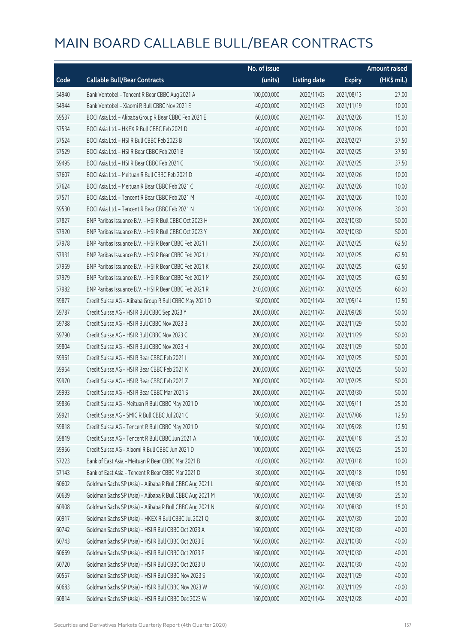|       |                                                          | No. of issue |                     |               | <b>Amount raised</b> |
|-------|----------------------------------------------------------|--------------|---------------------|---------------|----------------------|
| Code  | <b>Callable Bull/Bear Contracts</b>                      | (units)      | <b>Listing date</b> | <b>Expiry</b> | (HK\$ mil.)          |
| 54940 | Bank Vontobel - Tencent R Bear CBBC Aug 2021 A           | 100,000,000  | 2020/11/03          | 2021/08/13    | 27.00                |
| 54944 | Bank Vontobel - Xiaomi R Bull CBBC Nov 2021 E            | 40,000,000   | 2020/11/03          | 2021/11/19    | 10.00                |
| 59537 | BOCI Asia Ltd. - Alibaba Group R Bear CBBC Feb 2021 E    | 60,000,000   | 2020/11/04          | 2021/02/26    | 15.00                |
| 57534 | BOCI Asia Ltd. - HKEX R Bull CBBC Feb 2021 D             | 40,000,000   | 2020/11/04          | 2021/02/26    | 10.00                |
| 57524 | BOCI Asia Ltd. - HSI R Bull CBBC Feb 2023 B              | 150,000,000  | 2020/11/04          | 2023/02/27    | 37.50                |
| 57529 | BOCI Asia Ltd. - HSI R Bear CBBC Feb 2021 B              | 150,000,000  | 2020/11/04          | 2021/02/25    | 37.50                |
| 59495 | BOCI Asia Ltd. - HSI R Bear CBBC Feb 2021 C              | 150,000,000  | 2020/11/04          | 2021/02/25    | 37.50                |
| 57607 | BOCI Asia Ltd. - Meituan R Bull CBBC Feb 2021 D          | 40,000,000   | 2020/11/04          | 2021/02/26    | 10.00                |
| 57624 | BOCI Asia Ltd. - Meituan R Bear CBBC Feb 2021 C          | 40,000,000   | 2020/11/04          | 2021/02/26    | 10.00                |
| 57571 | BOCI Asia Ltd. - Tencent R Bear CBBC Feb 2021 M          | 40,000,000   | 2020/11/04          | 2021/02/26    | 10.00                |
| 59530 | BOCI Asia Ltd. - Tencent R Bear CBBC Feb 2021 N          | 120,000,000  | 2020/11/04          | 2021/02/26    | 30.00                |
| 57827 | BNP Paribas Issuance B.V. - HSI R Bull CBBC Oct 2023 H   | 200,000,000  | 2020/11/04          | 2023/10/30    | 50.00                |
| 57920 | BNP Paribas Issuance B.V. - HSI R Bull CBBC Oct 2023 Y   | 200,000,000  | 2020/11/04          | 2023/10/30    | 50.00                |
| 57978 | BNP Paribas Issuance B.V. - HSI R Bear CBBC Feb 2021 I   | 250,000,000  | 2020/11/04          | 2021/02/25    | 62.50                |
| 57931 | BNP Paribas Issuance B.V. - HSI R Bear CBBC Feb 2021 J   | 250,000,000  | 2020/11/04          | 2021/02/25    | 62.50                |
| 57969 | BNP Paribas Issuance B.V. - HSI R Bear CBBC Feb 2021 K   | 250,000,000  | 2020/11/04          | 2021/02/25    | 62.50                |
| 57979 | BNP Paribas Issuance B.V. - HSI R Bear CBBC Feb 2021 M   | 250,000,000  | 2020/11/04          | 2021/02/25    | 62.50                |
| 57982 | BNP Paribas Issuance B.V. - HSI R Bear CBBC Feb 2021 R   | 240,000,000  | 2020/11/04          | 2021/02/25    | 60.00                |
| 59877 | Credit Suisse AG - Alibaba Group R Bull CBBC May 2021 D  | 50,000,000   | 2020/11/04          | 2021/05/14    | 12.50                |
| 59787 | Credit Suisse AG - HSI R Bull CBBC Sep 2023 Y            | 200,000,000  | 2020/11/04          | 2023/09/28    | 50.00                |
| 59788 | Credit Suisse AG - HSI R Bull CBBC Nov 2023 B            | 200,000,000  | 2020/11/04          | 2023/11/29    | 50.00                |
| 59790 | Credit Suisse AG - HSI R Bull CBBC Nov 2023 C            | 200,000,000  | 2020/11/04          | 2023/11/29    | 50.00                |
| 59804 | Credit Suisse AG - HSI R Bull CBBC Nov 2023 H            | 200,000,000  | 2020/11/04          | 2023/11/29    | 50.00                |
| 59961 | Credit Suisse AG - HSI R Bear CBBC Feb 2021 I            | 200,000,000  | 2020/11/04          | 2021/02/25    | 50.00                |
| 59964 | Credit Suisse AG - HSI R Bear CBBC Feb 2021 K            | 200,000,000  | 2020/11/04          | 2021/02/25    | 50.00                |
| 59970 | Credit Suisse AG - HSI R Bear CBBC Feb 2021 Z            | 200,000,000  | 2020/11/04          | 2021/02/25    | 50.00                |
| 59993 | Credit Suisse AG - HSI R Bear CBBC Mar 2021 S            | 200,000,000  | 2020/11/04          | 2021/03/30    | 50.00                |
| 59836 | Credit Suisse AG - Meituan R Bull CBBC May 2021 D        | 100,000,000  | 2020/11/04          | 2021/05/11    | 25.00                |
| 59921 | Credit Suisse AG - SMIC R Bull CBBC Jul 2021 C           | 50,000,000   | 2020/11/04          | 2021/07/06    | 12.50                |
| 59818 | Credit Suisse AG - Tencent R Bull CBBC May 2021 D        | 50,000,000   | 2020/11/04          | 2021/05/28    | 12.50                |
| 59819 | Credit Suisse AG - Tencent R Bull CBBC Jun 2021 A        | 100,000,000  | 2020/11/04          | 2021/06/18    | 25.00                |
| 59956 | Credit Suisse AG - Xiaomi R Bull CBBC Jun 2021 D         | 100,000,000  | 2020/11/04          | 2021/06/23    | 25.00                |
| 57223 | Bank of East Asia - Meituan R Bear CBBC Mar 2021 B       | 40,000,000   | 2020/11/04          | 2021/03/18    | 10.00                |
| 57143 | Bank of East Asia - Tencent R Bear CBBC Mar 2021 D       | 30,000,000   | 2020/11/04          | 2021/03/18    | 10.50                |
| 60602 | Goldman Sachs SP (Asia) - Alibaba R Bull CBBC Aug 2021 L | 60,000,000   | 2020/11/04          | 2021/08/30    | 15.00                |
| 60639 | Goldman Sachs SP (Asia) - Alibaba R Bull CBBC Aug 2021 M | 100,000,000  | 2020/11/04          | 2021/08/30    | 25.00                |
| 60908 | Goldman Sachs SP (Asia) - Alibaba R Bull CBBC Aug 2021 N | 60,000,000   | 2020/11/04          | 2021/08/30    | 15.00                |
| 60917 | Goldman Sachs SP (Asia) - HKEX R Bull CBBC Jul 2021 Q    | 80,000,000   | 2020/11/04          | 2021/07/30    | 20.00                |
| 60742 | Goldman Sachs SP (Asia) - HSI R Bull CBBC Oct 2023 A     | 160,000,000  | 2020/11/04          | 2023/10/30    | 40.00                |
| 60743 | Goldman Sachs SP (Asia) - HSI R Bull CBBC Oct 2023 E     | 160,000,000  | 2020/11/04          | 2023/10/30    | 40.00                |
| 60669 | Goldman Sachs SP (Asia) - HSI R Bull CBBC Oct 2023 P     | 160,000,000  | 2020/11/04          | 2023/10/30    | 40.00                |
| 60720 | Goldman Sachs SP (Asia) - HSI R Bull CBBC Oct 2023 U     | 160,000,000  | 2020/11/04          | 2023/10/30    | 40.00                |
| 60567 | Goldman Sachs SP (Asia) - HSI R Bull CBBC Nov 2023 S     | 160,000,000  | 2020/11/04          | 2023/11/29    | 40.00                |
| 60683 | Goldman Sachs SP (Asia) - HSI R Bull CBBC Nov 2023 W     | 160,000,000  | 2020/11/04          | 2023/11/29    | 40.00                |
| 60814 | Goldman Sachs SP (Asia) - HSI R Bull CBBC Dec 2023 W     | 160,000,000  | 2020/11/04          | 2023/12/28    | 40.00                |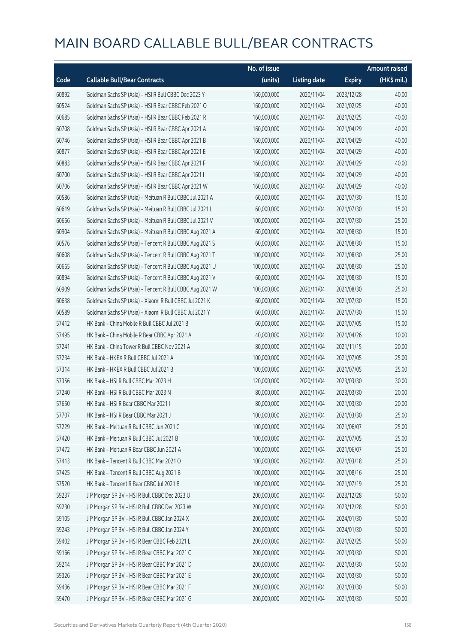|       |                                                          | No. of issue |                     |               | <b>Amount raised</b>  |
|-------|----------------------------------------------------------|--------------|---------------------|---------------|-----------------------|
| Code  | <b>Callable Bull/Bear Contracts</b>                      | (units)      | <b>Listing date</b> | <b>Expiry</b> | $(HK\frac{1}{2}mil.)$ |
| 60892 | Goldman Sachs SP (Asia) - HSI R Bull CBBC Dec 2023 Y     | 160,000,000  | 2020/11/04          | 2023/12/28    | 40.00                 |
| 60524 | Goldman Sachs SP (Asia) - HSI R Bear CBBC Feb 2021 O     | 160,000,000  | 2020/11/04          | 2021/02/25    | 40.00                 |
| 60685 | Goldman Sachs SP (Asia) - HSI R Bear CBBC Feb 2021 R     | 160,000,000  | 2020/11/04          | 2021/02/25    | 40.00                 |
| 60708 | Goldman Sachs SP (Asia) - HSI R Bear CBBC Apr 2021 A     | 160,000,000  | 2020/11/04          | 2021/04/29    | 40.00                 |
| 60746 | Goldman Sachs SP (Asia) - HSI R Bear CBBC Apr 2021 B     | 160,000,000  | 2020/11/04          | 2021/04/29    | 40.00                 |
| 60877 | Goldman Sachs SP (Asia) - HSI R Bear CBBC Apr 2021 E     | 160,000,000  | 2020/11/04          | 2021/04/29    | 40.00                 |
| 60883 | Goldman Sachs SP (Asia) - HSI R Bear CBBC Apr 2021 F     | 160,000,000  | 2020/11/04          | 2021/04/29    | 40.00                 |
| 60700 | Goldman Sachs SP (Asia) - HSI R Bear CBBC Apr 2021 I     | 160,000,000  | 2020/11/04          | 2021/04/29    | 40.00                 |
| 60706 | Goldman Sachs SP (Asia) - HSI R Bear CBBC Apr 2021 W     | 160,000,000  | 2020/11/04          | 2021/04/29    | 40.00                 |
| 60586 | Goldman Sachs SP (Asia) - Meituan R Bull CBBC Jul 2021 A | 60,000,000   | 2020/11/04          | 2021/07/30    | 15.00                 |
| 60619 | Goldman Sachs SP (Asia) - Meituan R Bull CBBC Jul 2021 L | 60,000,000   | 2020/11/04          | 2021/07/30    | 15.00                 |
| 60666 | Goldman Sachs SP (Asia) - Meituan R Bull CBBC Jul 2021 V | 100,000,000  | 2020/11/04          | 2021/07/30    | 25.00                 |
| 60904 | Goldman Sachs SP (Asia) - Meituan R Bull CBBC Aug 2021 A | 60,000,000   | 2020/11/04          | 2021/08/30    | 15.00                 |
| 60576 | Goldman Sachs SP (Asia) - Tencent R Bull CBBC Aug 2021 S | 60,000,000   | 2020/11/04          | 2021/08/30    | 15.00                 |
| 60608 | Goldman Sachs SP (Asia) - Tencent R Bull CBBC Aug 2021 T | 100,000,000  | 2020/11/04          | 2021/08/30    | 25.00                 |
| 60665 | Goldman Sachs SP (Asia) - Tencent R Bull CBBC Aug 2021 U | 100,000,000  | 2020/11/04          | 2021/08/30    | 25.00                 |
| 60894 | Goldman Sachs SP (Asia) - Tencent R Bull CBBC Aug 2021 V | 60,000,000   | 2020/11/04          | 2021/08/30    | 15.00                 |
| 60909 | Goldman Sachs SP (Asia) - Tencent R Bull CBBC Aug 2021 W | 100,000,000  | 2020/11/04          | 2021/08/30    | 25.00                 |
| 60638 | Goldman Sachs SP (Asia) - Xiaomi R Bull CBBC Jul 2021 K  | 60,000,000   | 2020/11/04          | 2021/07/30    | 15.00                 |
| 60589 | Goldman Sachs SP (Asia) - Xiaomi R Bull CBBC Jul 2021 Y  | 60,000,000   | 2020/11/04          | 2021/07/30    | 15.00                 |
| 57412 | HK Bank - China Mobile R Bull CBBC Jul 2021 B            | 60,000,000   | 2020/11/04          | 2021/07/05    | 15.00                 |
| 57495 | HK Bank - China Mobile R Bear CBBC Apr 2021 A            | 40,000,000   | 2020/11/04          | 2021/04/26    | 10.00                 |
| 57241 | HK Bank - China Tower R Bull CBBC Nov 2021 A             | 80,000,000   | 2020/11/04          | 2021/11/15    | 20.00                 |
| 57234 | HK Bank - HKEX R Bull CBBC Jul 2021 A                    | 100,000,000  | 2020/11/04          | 2021/07/05    | 25.00                 |
| 57314 | HK Bank - HKEX R Bull CBBC Jul 2021 B                    | 100,000,000  | 2020/11/04          | 2021/07/05    | 25.00                 |
| 57356 | HK Bank - HSI R Bull CBBC Mar 2023 H                     | 120,000,000  | 2020/11/04          | 2023/03/30    | 30.00                 |
| 57240 | HK Bank - HSI R Bull CBBC Mar 2023 N                     | 80,000,000   | 2020/11/04          | 2023/03/30    | 20.00                 |
| 57650 | HK Bank - HSI R Bear CBBC Mar 2021 I                     | 80,000,000   | 2020/11/04          | 2021/03/30    | 20.00                 |
| 57707 | HK Bank - HSI R Bear CBBC Mar 2021 J                     | 100,000,000  | 2020/11/04          | 2021/03/30    | 25.00                 |
| 57229 | HK Bank - Meituan R Bull CBBC Jun 2021 C                 | 100,000,000  | 2020/11/04          | 2021/06/07    | 25.00                 |
| 57420 | HK Bank - Meituan R Bull CBBC Jul 2021 B                 | 100,000,000  | 2020/11/04          | 2021/07/05    | 25.00                 |
| 57472 | HK Bank - Meituan R Bear CBBC Jun 2021 A                 | 100,000,000  | 2020/11/04          | 2021/06/07    | 25.00                 |
| 57413 | HK Bank - Tencent R Bull CBBC Mar 2021 O                 | 100,000,000  | 2020/11/04          | 2021/03/18    | 25.00                 |
| 57425 | HK Bank - Tencent R Bull CBBC Aug 2021 B                 | 100,000,000  | 2020/11/04          | 2021/08/16    | 25.00                 |
| 57520 | HK Bank - Tencent R Bear CBBC Jul 2021 B                 | 100,000,000  | 2020/11/04          | 2021/07/19    | 25.00                 |
| 59237 | J P Morgan SP BV - HSI R Bull CBBC Dec 2023 U            | 200,000,000  | 2020/11/04          | 2023/12/28    | 50.00                 |
| 59230 | J P Morgan SP BV - HSI R Bull CBBC Dec 2023 W            | 200,000,000  | 2020/11/04          | 2023/12/28    | 50.00                 |
| 59105 | J P Morgan SP BV - HSI R Bull CBBC Jan 2024 X            | 200,000,000  | 2020/11/04          | 2024/01/30    | 50.00                 |
| 59243 | J P Morgan SP BV - HSI R Bull CBBC Jan 2024 Y            | 200,000,000  | 2020/11/04          | 2024/01/30    | 50.00                 |
| 59402 | J P Morgan SP BV - HSI R Bear CBBC Feb 2021 L            | 200,000,000  | 2020/11/04          | 2021/02/25    | 50.00                 |
| 59166 | J P Morgan SP BV - HSI R Bear CBBC Mar 2021 C            | 200,000,000  | 2020/11/04          | 2021/03/30    | 50.00                 |
| 59214 | J P Morgan SP BV - HSI R Bear CBBC Mar 2021 D            | 200,000,000  | 2020/11/04          | 2021/03/30    | 50.00                 |
| 59326 | J P Morgan SP BV - HSI R Bear CBBC Mar 2021 E            | 200,000,000  | 2020/11/04          | 2021/03/30    | 50.00                 |
| 59436 | J P Morgan SP BV - HSI R Bear CBBC Mar 2021 F            | 200,000,000  | 2020/11/04          | 2021/03/30    | 50.00                 |
| 59470 | J P Morgan SP BV - HSI R Bear CBBC Mar 2021 G            | 200,000,000  | 2020/11/04          | 2021/03/30    | 50.00                 |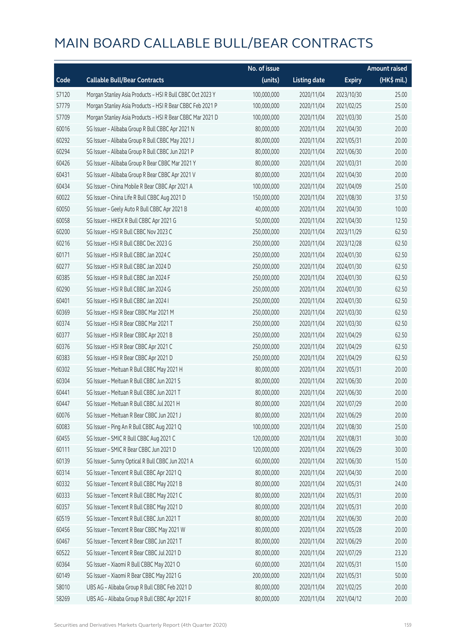|       |                                                           | No. of issue |                     |               | <b>Amount raised</b>  |
|-------|-----------------------------------------------------------|--------------|---------------------|---------------|-----------------------|
| Code  | <b>Callable Bull/Bear Contracts</b>                       | (units)      | <b>Listing date</b> | <b>Expiry</b> | $(HK\frac{1}{2}mil.)$ |
| 57120 | Morgan Stanley Asia Products - HSI R Bull CBBC Oct 2023 Y | 100,000,000  | 2020/11/04          | 2023/10/30    | 25.00                 |
| 57779 | Morgan Stanley Asia Products - HSI R Bear CBBC Feb 2021 P | 100,000,000  | 2020/11/04          | 2021/02/25    | 25.00                 |
| 57709 | Morgan Stanley Asia Products - HSI R Bear CBBC Mar 2021 D | 100,000,000  | 2020/11/04          | 2021/03/30    | 25.00                 |
| 60016 | SG Issuer - Alibaba Group R Bull CBBC Apr 2021 N          | 80,000,000   | 2020/11/04          | 2021/04/30    | 20.00                 |
| 60292 | SG Issuer - Alibaba Group R Bull CBBC May 2021 J          | 80,000,000   | 2020/11/04          | 2021/05/31    | 20.00                 |
| 60294 | SG Issuer - Alibaba Group R Bull CBBC Jun 2021 P          | 80,000,000   | 2020/11/04          | 2021/06/30    | 20.00                 |
| 60426 | SG Issuer - Alibaba Group R Bear CBBC Mar 2021 Y          | 80,000,000   | 2020/11/04          | 2021/03/31    | 20.00                 |
| 60431 | SG Issuer - Alibaba Group R Bear CBBC Apr 2021 V          | 80,000,000   | 2020/11/04          | 2021/04/30    | 20.00                 |
| 60434 | SG Issuer - China Mobile R Bear CBBC Apr 2021 A           | 100,000,000  | 2020/11/04          | 2021/04/09    | 25.00                 |
| 60022 | SG Issuer - China Life R Bull CBBC Aug 2021 D             | 150,000,000  | 2020/11/04          | 2021/08/30    | 37.50                 |
| 60050 | SG Issuer - Geely Auto R Bull CBBC Apr 2021 B             | 40,000,000   | 2020/11/04          | 2021/04/30    | 10.00                 |
| 60058 | SG Issuer - HKEX R Bull CBBC Apr 2021 G                   | 50,000,000   | 2020/11/04          | 2021/04/30    | 12.50                 |
| 60200 | SG Issuer - HSI R Bull CBBC Nov 2023 C                    | 250,000,000  | 2020/11/04          | 2023/11/29    | 62.50                 |
| 60216 | SG Issuer - HSI R Bull CBBC Dec 2023 G                    | 250,000,000  | 2020/11/04          | 2023/12/28    | 62.50                 |
| 60171 | SG Issuer - HSI R Bull CBBC Jan 2024 C                    | 250,000,000  | 2020/11/04          | 2024/01/30    | 62.50                 |
| 60277 | SG Issuer - HSI R Bull CBBC Jan 2024 D                    | 250,000,000  | 2020/11/04          | 2024/01/30    | 62.50                 |
| 60385 | SG Issuer - HSI R Bull CBBC Jan 2024 F                    | 250,000,000  | 2020/11/04          | 2024/01/30    | 62.50                 |
| 60290 | SG Issuer - HSI R Bull CBBC Jan 2024 G                    | 250,000,000  | 2020/11/04          | 2024/01/30    | 62.50                 |
| 60401 | SG Issuer - HSI R Bull CBBC Jan 2024 I                    | 250,000,000  | 2020/11/04          | 2024/01/30    | 62.50                 |
| 60369 | SG Issuer - HSI R Bear CBBC Mar 2021 M                    | 250,000,000  | 2020/11/04          | 2021/03/30    | 62.50                 |
| 60374 | SG Issuer - HSI R Bear CBBC Mar 2021 T                    | 250,000,000  | 2020/11/04          | 2021/03/30    | 62.50                 |
| 60377 | SG Issuer - HSI R Bear CBBC Apr 2021 B                    | 250,000,000  | 2020/11/04          | 2021/04/29    | 62.50                 |
| 60376 | SG Issuer - HSI R Bear CBBC Apr 2021 C                    | 250,000,000  | 2020/11/04          | 2021/04/29    | 62.50                 |
| 60383 | SG Issuer - HSI R Bear CBBC Apr 2021 D                    | 250,000,000  | 2020/11/04          | 2021/04/29    | 62.50                 |
| 60302 | SG Issuer - Meituan R Bull CBBC May 2021 H                | 80,000,000   | 2020/11/04          | 2021/05/31    | 20.00                 |
| 60304 | SG Issuer - Meituan R Bull CBBC Jun 2021 S                | 80,000,000   | 2020/11/04          | 2021/06/30    | 20.00                 |
| 60441 | SG Issuer - Meituan R Bull CBBC Jun 2021 T                | 80,000,000   | 2020/11/04          | 2021/06/30    | 20.00                 |
| 60447 | SG Issuer - Meituan R Bull CBBC Jul 2021 H                | 80,000,000   | 2020/11/04          | 2021/07/29    | 20.00                 |
| 60076 | SG Issuer - Meituan R Bear CBBC Jun 2021 J                | 80,000,000   | 2020/11/04          | 2021/06/29    | 20.00                 |
| 60083 | SG Issuer - Ping An R Bull CBBC Aug 2021 Q                | 100,000,000  | 2020/11/04          | 2021/08/30    | 25.00                 |
| 60455 | SG Issuer - SMIC R Bull CBBC Aug 2021 C                   | 120,000,000  | 2020/11/04          | 2021/08/31    | 30.00                 |
| 60111 | SG Issuer - SMIC R Bear CBBC Jun 2021 D                   | 120,000,000  | 2020/11/04          | 2021/06/29    | 30.00                 |
| 60139 | SG Issuer - Sunny Optical R Bull CBBC Jun 2021 A          | 60,000,000   | 2020/11/04          | 2021/06/30    | 15.00                 |
| 60314 | SG Issuer - Tencent R Bull CBBC Apr 2021 Q                | 80,000,000   | 2020/11/04          | 2021/04/30    | 20.00                 |
| 60332 | SG Issuer - Tencent R Bull CBBC May 2021 B                | 80,000,000   | 2020/11/04          | 2021/05/31    | 24.00                 |
| 60333 | SG Issuer - Tencent R Bull CBBC May 2021 C                | 80,000,000   | 2020/11/04          | 2021/05/31    | 20.00                 |
| 60357 | SG Issuer - Tencent R Bull CBBC May 2021 D                | 80,000,000   | 2020/11/04          | 2021/05/31    | 20.00                 |
| 60519 | SG Issuer - Tencent R Bull CBBC Jun 2021 T                | 80,000,000   | 2020/11/04          | 2021/06/30    | 20.00                 |
| 60456 | SG Issuer - Tencent R Bear CBBC May 2021 W                | 80,000,000   | 2020/11/04          | 2021/05/28    | 20.00                 |
| 60467 | SG Issuer - Tencent R Bear CBBC Jun 2021 T                | 80,000,000   | 2020/11/04          | 2021/06/29    | 20.00                 |
| 60522 | SG Issuer - Tencent R Bear CBBC Jul 2021 D                | 80,000,000   | 2020/11/04          | 2021/07/29    | 23.20                 |
| 60364 | SG Issuer - Xiaomi R Bull CBBC May 2021 O                 | 60,000,000   | 2020/11/04          | 2021/05/31    | 15.00                 |
| 60149 | SG Issuer - Xiaomi R Bear CBBC May 2021 G                 | 200,000,000  | 2020/11/04          | 2021/05/31    | 50.00                 |
| 58010 | UBS AG - Alibaba Group R Bull CBBC Feb 2021 D             | 80,000,000   | 2020/11/04          | 2021/02/25    | 20.00                 |
| 58269 | UBS AG - Alibaba Group R Bull CBBC Apr 2021 F             | 80,000,000   | 2020/11/04          | 2021/04/12    | 20.00                 |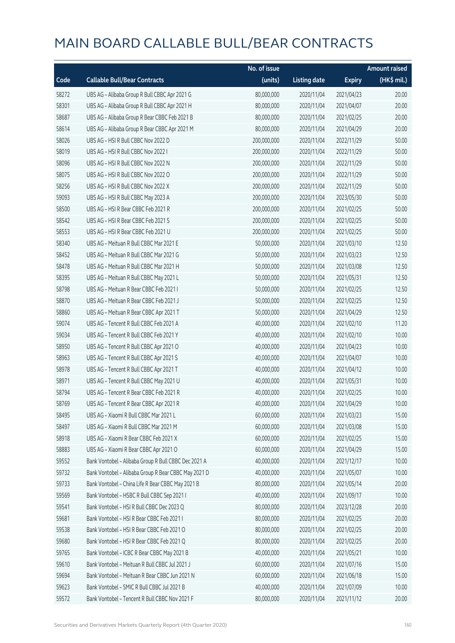|       |                                                      | No. of issue |                     |               | <b>Amount raised</b> |
|-------|------------------------------------------------------|--------------|---------------------|---------------|----------------------|
| Code  | <b>Callable Bull/Bear Contracts</b>                  | (units)      | <b>Listing date</b> | <b>Expiry</b> | (HK\$ mil.)          |
| 58272 | UBS AG - Alibaba Group R Bull CBBC Apr 2021 G        | 80,000,000   | 2020/11/04          | 2021/04/23    | 20.00                |
| 58301 | UBS AG - Alibaba Group R Bull CBBC Apr 2021 H        | 80,000,000   | 2020/11/04          | 2021/04/07    | 20.00                |
| 58687 | UBS AG - Alibaba Group R Bear CBBC Feb 2021 B        | 80,000,000   | 2020/11/04          | 2021/02/25    | 20.00                |
| 58614 | UBS AG - Alibaba Group R Bear CBBC Apr 2021 M        | 80,000,000   | 2020/11/04          | 2021/04/29    | 20.00                |
| 58026 | UBS AG - HSI R Bull CBBC Nov 2022 D                  | 200,000,000  | 2020/11/04          | 2022/11/29    | 50.00                |
| 58019 | UBS AG - HSI R Bull CBBC Nov 2022 I                  | 200,000,000  | 2020/11/04          | 2022/11/29    | 50.00                |
| 58096 | UBS AG - HSI R Bull CBBC Nov 2022 N                  | 200,000,000  | 2020/11/04          | 2022/11/29    | 50.00                |
| 58075 | UBS AG - HSI R Bull CBBC Nov 2022 O                  | 200,000,000  | 2020/11/04          | 2022/11/29    | 50.00                |
| 58256 | UBS AG - HSI R Bull CBBC Nov 2022 X                  | 200,000,000  | 2020/11/04          | 2022/11/29    | 50.00                |
| 59093 | UBS AG - HSI R Bull CBBC May 2023 A                  | 200,000,000  | 2020/11/04          | 2023/05/30    | 50.00                |
| 58500 | UBS AG - HSI R Bear CBBC Feb 2021 R                  | 200,000,000  | 2020/11/04          | 2021/02/25    | 50.00                |
| 58542 | UBS AG - HSI R Bear CBBC Feb 2021 S                  | 200,000,000  | 2020/11/04          | 2021/02/25    | 50.00                |
| 58553 | UBS AG - HSI R Bear CBBC Feb 2021 U                  | 200,000,000  | 2020/11/04          | 2021/02/25    | 50.00                |
| 58340 | UBS AG - Meituan R Bull CBBC Mar 2021 E              | 50,000,000   | 2020/11/04          | 2021/03/10    | 12.50                |
| 58452 | UBS AG - Meituan R Bull CBBC Mar 2021 G              | 50,000,000   | 2020/11/04          | 2021/03/23    | 12.50                |
| 58478 | UBS AG - Meituan R Bull CBBC Mar 2021 H              | 50,000,000   | 2020/11/04          | 2021/03/08    | 12.50                |
| 58395 | UBS AG - Meituan R Bull CBBC May 2021 L              | 50,000,000   | 2020/11/04          | 2021/05/31    | 12.50                |
| 58798 | UBS AG - Meituan R Bear CBBC Feb 2021 I              | 50,000,000   | 2020/11/04          | 2021/02/25    | 12.50                |
| 58870 | UBS AG - Meituan R Bear CBBC Feb 2021 J              | 50,000,000   | 2020/11/04          | 2021/02/25    | 12.50                |
| 58860 | UBS AG - Meituan R Bear CBBC Apr 2021 T              | 50,000,000   | 2020/11/04          | 2021/04/29    | 12.50                |
| 59074 | UBS AG - Tencent R Bull CBBC Feb 2021 A              | 40,000,000   | 2020/11/04          | 2021/02/10    | 11.20                |
| 59034 | UBS AG - Tencent R Bull CBBC Feb 2021 Y              | 40,000,000   | 2020/11/04          | 2021/02/10    | 10.00                |
| 58950 | UBS AG - Tencent R Bull CBBC Apr 2021 O              | 40,000,000   | 2020/11/04          | 2021/04/23    | 10.00                |
| 58963 | UBS AG - Tencent R Bull CBBC Apr 2021 S              | 40,000,000   | 2020/11/04          | 2021/04/07    | 10.00                |
| 58978 | UBS AG - Tencent R Bull CBBC Apr 2021 T              | 40,000,000   | 2020/11/04          | 2021/04/12    | 10.00                |
| 58971 | UBS AG - Tencent R Bull CBBC May 2021 U              | 40,000,000   | 2020/11/04          | 2021/05/31    | 10.00                |
| 58794 | UBS AG - Tencent R Bear CBBC Feb 2021 R              | 40,000,000   | 2020/11/04          | 2021/02/25    | 10.00                |
| 58769 | UBS AG - Tencent R Bear CBBC Apr 2021 R              | 40,000,000   | 2020/11/04          | 2021/04/29    | 10.00                |
| 58495 | UBS AG - Xiaomi R Bull CBBC Mar 2021 L               | 60,000,000   | 2020/11/04          | 2021/03/23    | 15.00                |
| 58497 | UBS AG - Xiaomi R Bull CBBC Mar 2021 M               | 60,000,000   | 2020/11/04          | 2021/03/08    | 15.00                |
| 58918 | UBS AG - Xiaomi R Bear CBBC Feb 2021 X               | 60,000,000   | 2020/11/04          | 2021/02/25    | 15.00                |
| 58883 | UBS AG - Xiaomi R Bear CBBC Apr 2021 O               | 60,000,000   | 2020/11/04          | 2021/04/29    | 15.00                |
| 59552 | Bank Vontobel - Alibaba Group R Bull CBBC Dec 2021 A | 40,000,000   | 2020/11/04          | 2021/12/17    | 10.00                |
| 59732 | Bank Vontobel - Alibaba Group R Bear CBBC May 2021 D | 40,000,000   | 2020/11/04          | 2021/05/07    | 10.00                |
| 59733 | Bank Vontobel - China Life R Bear CBBC May 2021 B    | 80,000,000   | 2020/11/04          | 2021/05/14    | 20.00                |
| 59569 | Bank Vontobel - HSBC R Bull CBBC Sep 2021 I          | 40,000,000   | 2020/11/04          | 2021/09/17    | 10.00                |
| 59541 | Bank Vontobel - HSI R Bull CBBC Dec 2023 Q           | 80,000,000   | 2020/11/04          | 2023/12/28    | 20.00                |
| 59681 | Bank Vontobel - HSI R Bear CBBC Feb 2021 I           | 80,000,000   | 2020/11/04          | 2021/02/25    | 20.00                |
| 59538 | Bank Vontobel - HSI R Bear CBBC Feb 2021 O           | 80,000,000   | 2020/11/04          | 2021/02/25    | 20.00                |
| 59680 | Bank Vontobel - HSI R Bear CBBC Feb 2021 Q           | 80,000,000   | 2020/11/04          | 2021/02/25    | 20.00                |
| 59765 | Bank Vontobel - ICBC R Bear CBBC May 2021 B          | 40,000,000   | 2020/11/04          | 2021/05/21    | 10.00                |
| 59610 | Bank Vontobel - Meituan R Bull CBBC Jul 2021 J       | 60,000,000   | 2020/11/04          | 2021/07/16    | 15.00                |
| 59694 | Bank Vontobel - Meituan R Bear CBBC Jun 2021 N       | 60,000,000   | 2020/11/04          | 2021/06/18    | 15.00                |
| 59623 | Bank Vontobel - SMIC R Bull CBBC Jul 2021 B          | 40,000,000   | 2020/11/04          | 2021/07/09    | 10.00                |
| 59572 | Bank Vontobel - Tencent R Bull CBBC Nov 2021 F       | 80,000,000   | 2020/11/04          | 2021/11/12    | 20.00                |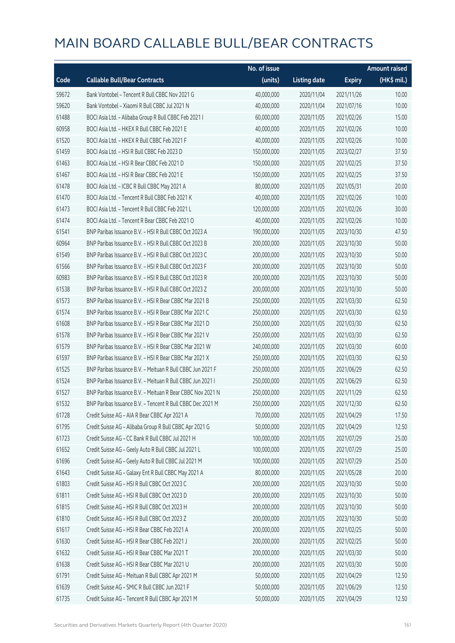|       |                                                            | No. of issue |                     |               | <b>Amount raised</b> |
|-------|------------------------------------------------------------|--------------|---------------------|---------------|----------------------|
| Code  | <b>Callable Bull/Bear Contracts</b>                        | (units)      | <b>Listing date</b> | <b>Expiry</b> | (HK\$ mil.)          |
| 59672 | Bank Vontobel - Tencent R Bull CBBC Nov 2021 G             | 40,000,000   | 2020/11/04          | 2021/11/26    | 10.00                |
| 59620 | Bank Vontobel - Xiaomi R Bull CBBC Jul 2021 N              | 40,000,000   | 2020/11/04          | 2021/07/16    | 10.00                |
| 61488 | BOCI Asia Ltd. - Alibaba Group R Bull CBBC Feb 2021 I      | 60,000,000   | 2020/11/05          | 2021/02/26    | 15.00                |
| 60958 | BOCI Asia Ltd. - HKEX R Bull CBBC Feb 2021 E               | 40,000,000   | 2020/11/05          | 2021/02/26    | 10.00                |
| 61520 | BOCI Asia Ltd. - HKEX R Bull CBBC Feb 2021 F               | 40,000,000   | 2020/11/05          | 2021/02/26    | 10.00                |
| 61459 | BOCI Asia Ltd. - HSI R Bull CBBC Feb 2023 D                | 150,000,000  | 2020/11/05          | 2023/02/27    | 37.50                |
| 61463 | BOCI Asia Ltd. - HSI R Bear CBBC Feb 2021 D                | 150,000,000  | 2020/11/05          | 2021/02/25    | 37.50                |
| 61467 | BOCI Asia Ltd. - HSI R Bear CBBC Feb 2021 E                | 150,000,000  | 2020/11/05          | 2021/02/25    | 37.50                |
| 61478 | BOCI Asia Ltd. - ICBC R Bull CBBC May 2021 A               | 80,000,000   | 2020/11/05          | 2021/05/31    | 20.00                |
| 61470 | BOCI Asia Ltd. - Tencent R Bull CBBC Feb 2021 K            | 40,000,000   | 2020/11/05          | 2021/02/26    | 10.00                |
| 61473 | BOCI Asia Ltd. - Tencent R Bull CBBC Feb 2021 L            | 120,000,000  | 2020/11/05          | 2021/02/26    | 30.00                |
| 61474 | BOCI Asia Ltd. - Tencent R Bear CBBC Feb 2021 O            | 40,000,000   | 2020/11/05          | 2021/02/26    | 10.00                |
| 61541 | BNP Paribas Issuance B.V. - HSI R Bull CBBC Oct 2023 A     | 190,000,000  | 2020/11/05          | 2023/10/30    | 47.50                |
| 60964 | BNP Paribas Issuance B.V. - HSI R Bull CBBC Oct 2023 B     | 200,000,000  | 2020/11/05          | 2023/10/30    | 50.00                |
| 61549 | BNP Paribas Issuance B.V. - HSI R Bull CBBC Oct 2023 C     | 200,000,000  | 2020/11/05          | 2023/10/30    | 50.00                |
| 61566 | BNP Paribas Issuance B.V. - HSI R Bull CBBC Oct 2023 F     | 200,000,000  | 2020/11/05          | 2023/10/30    | 50.00                |
| 60983 | BNP Paribas Issuance B.V. - HSI R Bull CBBC Oct 2023 R     | 200,000,000  | 2020/11/05          | 2023/10/30    | 50.00                |
| 61538 | BNP Paribas Issuance B.V. - HSI R Bull CBBC Oct 2023 Z     | 200,000,000  | 2020/11/05          | 2023/10/30    | 50.00                |
| 61573 | BNP Paribas Issuance B.V. - HSI R Bear CBBC Mar 2021 B     | 250,000,000  | 2020/11/05          | 2021/03/30    | 62.50                |
| 61574 | BNP Paribas Issuance B.V. - HSI R Bear CBBC Mar 2021 C     | 250,000,000  | 2020/11/05          | 2021/03/30    | 62.50                |
| 61608 | BNP Paribas Issuance B.V. - HSI R Bear CBBC Mar 2021 D     | 250,000,000  | 2020/11/05          | 2021/03/30    | 62.50                |
| 61578 | BNP Paribas Issuance B.V. - HSI R Bear CBBC Mar 2021 V     | 250,000,000  | 2020/11/05          | 2021/03/30    | 62.50                |
| 61579 | BNP Paribas Issuance B.V. - HSI R Bear CBBC Mar 2021 W     | 240,000,000  | 2020/11/05          | 2021/03/30    | 60.00                |
| 61597 | BNP Paribas Issuance B.V. - HSI R Bear CBBC Mar 2021 X     | 250,000,000  | 2020/11/05          | 2021/03/30    | 62.50                |
| 61525 | BNP Paribas Issuance B.V. - Meituan R Bull CBBC Jun 2021 F | 250,000,000  | 2020/11/05          | 2021/06/29    | 62.50                |
| 61524 | BNP Paribas Issuance B.V. - Meituan R Bull CBBC Jun 2021 I | 250,000,000  | 2020/11/05          | 2021/06/29    | 62.50                |
| 61527 | BNP Paribas Issuance B.V. - Meituan R Bear CBBC Nov 2021 N | 250,000,000  | 2020/11/05          | 2021/11/29    | 62.50                |
| 61532 | BNP Paribas Issuance B.V. - Tencent R Bull CBBC Dec 2021 M | 250,000,000  | 2020/11/05          | 2021/12/30    | 62.50                |
| 61728 | Credit Suisse AG - AIA R Bear CBBC Apr 2021 A              | 70,000,000   | 2020/11/05          | 2021/04/29    | 17.50                |
| 61795 | Credit Suisse AG - Alibaba Group R Bull CBBC Apr 2021 G    | 50,000,000   | 2020/11/05          | 2021/04/29    | 12.50                |
| 61723 | Credit Suisse AG - CC Bank R Bull CBBC Jul 2021 H          | 100,000,000  | 2020/11/05          | 2021/07/29    | 25.00                |
| 61652 | Credit Suisse AG - Geely Auto R Bull CBBC Jul 2021 L       | 100,000,000  | 2020/11/05          | 2021/07/29    | 25.00                |
| 61696 | Credit Suisse AG - Geely Auto R Bull CBBC Jul 2021 M       | 100,000,000  | 2020/11/05          | 2021/07/29    | 25.00                |
| 61643 | Credit Suisse AG - Galaxy Ent R Bull CBBC May 2021 A       | 80,000,000   | 2020/11/05          | 2021/05/28    | 20.00                |
| 61803 | Credit Suisse AG - HSI R Bull CBBC Oct 2023 C              | 200,000,000  | 2020/11/05          | 2023/10/30    | 50.00                |
| 61811 | Credit Suisse AG - HSI R Bull CBBC Oct 2023 D              | 200,000,000  | 2020/11/05          | 2023/10/30    | 50.00                |
| 61815 | Credit Suisse AG - HSI R Bull CBBC Oct 2023 H              | 200,000,000  | 2020/11/05          | 2023/10/30    | 50.00                |
| 61810 | Credit Suisse AG - HSI R Bull CBBC Oct 2023 Z              | 200,000,000  | 2020/11/05          | 2023/10/30    | 50.00                |
| 61617 | Credit Suisse AG - HSI R Bear CBBC Feb 2021 A              | 200,000,000  | 2020/11/05          | 2021/02/25    | 50.00                |
| 61630 | Credit Suisse AG - HSI R Bear CBBC Feb 2021 J              | 200,000,000  | 2020/11/05          | 2021/02/25    | 50.00                |
| 61632 | Credit Suisse AG - HSI R Bear CBBC Mar 2021 T              | 200,000,000  | 2020/11/05          | 2021/03/30    | 50.00                |
| 61638 | Credit Suisse AG - HSI R Bear CBBC Mar 2021 U              | 200,000,000  | 2020/11/05          | 2021/03/30    | 50.00                |
| 61791 | Credit Suisse AG - Meituan R Bull CBBC Apr 2021 M          | 50,000,000   | 2020/11/05          | 2021/04/29    | 12.50                |
| 61639 | Credit Suisse AG - SMIC R Bull CBBC Jun 2021 F             | 50,000,000   | 2020/11/05          | 2021/06/29    | 12.50                |
| 61735 | Credit Suisse AG - Tencent R Bull CBBC Apr 2021 M          | 50,000,000   | 2020/11/05          | 2021/04/29    | 12.50                |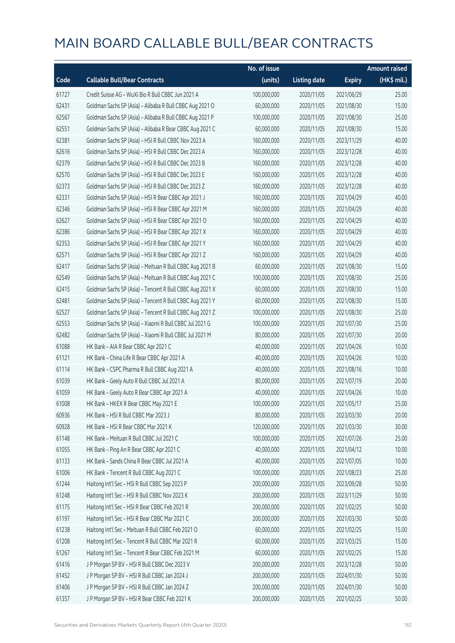|       |                                                          | No. of issue |                     |               | <b>Amount raised</b> |
|-------|----------------------------------------------------------|--------------|---------------------|---------------|----------------------|
| Code  | <b>Callable Bull/Bear Contracts</b>                      | (units)      | <b>Listing date</b> | <b>Expiry</b> | (HK\$ mil.)          |
| 61727 | Credit Suisse AG - WuXi Bio R Bull CBBC Jun 2021 A       | 100,000,000  | 2020/11/05          | 2021/06/29    | 25.00                |
| 62431 | Goldman Sachs SP (Asia) - Alibaba R Bull CBBC Aug 2021 O | 60,000,000   | 2020/11/05          | 2021/08/30    | 15.00                |
| 62567 | Goldman Sachs SP (Asia) - Alibaba R Bull CBBC Aug 2021 P | 100,000,000  | 2020/11/05          | 2021/08/30    | 25.00                |
| 62551 | Goldman Sachs SP (Asia) - Alibaba R Bear CBBC Aug 2021 C | 60,000,000   | 2020/11/05          | 2021/08/30    | 15.00                |
| 62381 | Goldman Sachs SP (Asia) - HSI R Bull CBBC Nov 2023 A     | 160,000,000  | 2020/11/05          | 2023/11/29    | 40.00                |
| 62616 | Goldman Sachs SP (Asia) - HSI R Bull CBBC Dec 2023 A     | 160,000,000  | 2020/11/05          | 2023/12/28    | 40.00                |
| 62379 | Goldman Sachs SP (Asia) - HSI R Bull CBBC Dec 2023 B     | 160,000,000  | 2020/11/05          | 2023/12/28    | 40.00                |
| 62570 | Goldman Sachs SP (Asia) - HSI R Bull CBBC Dec 2023 E     | 160,000,000  | 2020/11/05          | 2023/12/28    | 40.00                |
| 62373 | Goldman Sachs SP (Asia) - HSI R Bull CBBC Dec 2023 Z     | 160,000,000  | 2020/11/05          | 2023/12/28    | 40.00                |
| 62331 | Goldman Sachs SP (Asia) - HSI R Bear CBBC Apr 2021 J     | 160,000,000  | 2020/11/05          | 2021/04/29    | 40.00                |
| 62346 | Goldman Sachs SP (Asia) - HSI R Bear CBBC Apr 2021 M     | 160,000,000  | 2020/11/05          | 2021/04/29    | 40.00                |
| 62627 | Goldman Sachs SP (Asia) - HSI R Bear CBBC Apr 2021 O     | 160,000,000  | 2020/11/05          | 2021/04/29    | 40.00                |
| 62386 | Goldman Sachs SP (Asia) - HSI R Bear CBBC Apr 2021 X     | 160,000,000  | 2020/11/05          | 2021/04/29    | 40.00                |
| 62353 | Goldman Sachs SP (Asia) - HSI R Bear CBBC Apr 2021 Y     | 160,000,000  | 2020/11/05          | 2021/04/29    | 40.00                |
| 62571 | Goldman Sachs SP (Asia) - HSI R Bear CBBC Apr 2021 Z     | 160,000,000  | 2020/11/05          | 2021/04/29    | 40.00                |
| 62417 | Goldman Sachs SP (Asia) - Meituan R Bull CBBC Aug 2021 B | 60,000,000   | 2020/11/05          | 2021/08/30    | 15.00                |
| 62549 | Goldman Sachs SP (Asia) - Meituan R Bull CBBC Aug 2021 C | 100,000,000  | 2020/11/05          | 2021/08/30    | 25.00                |
| 62415 | Goldman Sachs SP (Asia) - Tencent R Bull CBBC Aug 2021 X | 60,000,000   | 2020/11/05          | 2021/08/30    | 15.00                |
| 62481 | Goldman Sachs SP (Asia) - Tencent R Bull CBBC Aug 2021 Y | 60,000,000   | 2020/11/05          | 2021/08/30    | 15.00                |
| 62527 | Goldman Sachs SP (Asia) - Tencent R Bull CBBC Aug 2021 Z | 100,000,000  | 2020/11/05          | 2021/08/30    | 25.00                |
| 62553 | Goldman Sachs SP (Asia) - Xiaomi R Bull CBBC Jul 2021 G  | 100,000,000  | 2020/11/05          | 2021/07/30    | 25.00                |
| 62482 | Goldman Sachs SP (Asia) - Xiaomi R Bull CBBC Jul 2021 M  | 80,000,000   | 2020/11/05          | 2021/07/30    | 20.00                |
| 61088 | HK Bank - AIA R Bear CBBC Apr 2021 C                     | 40,000,000   | 2020/11/05          | 2021/04/26    | 10.00                |
| 61121 | HK Bank - China Life R Bear CBBC Apr 2021 A              | 40,000,000   | 2020/11/05          | 2021/04/26    | 10.00                |
| 61114 | HK Bank - CSPC Pharma R Bull CBBC Aug 2021 A             | 40,000,000   | 2020/11/05          | 2021/08/16    | 10.00                |
| 61039 | HK Bank - Geely Auto R Bull CBBC Jul 2021 A              | 80,000,000   | 2020/11/05          | 2021/07/19    | 20.00                |
| 61059 | HK Bank - Geely Auto R Bear CBBC Apr 2021 A              | 40,000,000   | 2020/11/05          | 2021/04/26    | 10.00                |
| 61008 | HK Bank - HKEX R Bear CBBC May 2021 E                    | 100,000,000  | 2020/11/05          | 2021/05/17    | 25.00                |
| 60936 | HK Bank - HSI R Bull CBBC Mar 2023 J                     | 80,000,000   | 2020/11/05          | 2023/03/30    | 20.00                |
| 60928 | HK Bank - HSI R Bear CBBC Mar 2021 K                     | 120,000,000  | 2020/11/05          | 2021/03/30    | 30.00                |
| 61148 | HK Bank - Meituan R Bull CBBC Jul 2021 C                 | 100,000,000  | 2020/11/05          | 2021/07/26    | 25.00                |
| 61055 | HK Bank - Ping An R Bear CBBC Apr 2021 C                 | 40,000,000   | 2020/11/05          | 2021/04/12    | 10.00                |
| 61133 | HK Bank - Sands China R Bear CBBC Jul 2021 A             | 40,000,000   | 2020/11/05          | 2021/07/05    | 10.00                |
| 61006 | HK Bank - Tencent R Bull CBBC Aug 2021 C                 | 100,000,000  | 2020/11/05          | 2021/08/23    | 25.00                |
| 61244 | Haitong Int'l Sec - HSI R Bull CBBC Sep 2023 P           | 200,000,000  | 2020/11/05          | 2023/09/28    | 50.00                |
| 61248 | Haitong Int'l Sec - HSI R Bull CBBC Nov 2023 K           | 200,000,000  | 2020/11/05          | 2023/11/29    | 50.00                |
| 61175 | Haitong Int'l Sec - HSI R Bear CBBC Feb 2021 R           | 200,000,000  | 2020/11/05          | 2021/02/25    | 50.00                |
| 61197 | Haitong Int'l Sec - HSI R Bear CBBC Mar 2021 C           | 200,000,000  | 2020/11/05          | 2021/03/30    | 50.00                |
| 61238 | Haitong Int'l Sec - Meituan R Bull CBBC Feb 2021 O       | 60,000,000   | 2020/11/05          | 2021/02/25    | 15.00                |
| 61208 | Haitong Int'l Sec - Tencent R Bull CBBC Mar 2021 R       | 60,000,000   | 2020/11/05          | 2021/03/25    | 15.00                |
| 61267 | Haitong Int'l Sec - Tencent R Bear CBBC Feb 2021 M       | 60,000,000   | 2020/11/05          | 2021/02/25    | 15.00                |
| 61416 | J P Morgan SP BV - HSI R Bull CBBC Dec 2023 V            | 200,000,000  | 2020/11/05          | 2023/12/28    | 50.00                |
| 61452 | J P Morgan SP BV - HSI R Bull CBBC Jan 2024 J            | 200,000,000  | 2020/11/05          | 2024/01/30    | 50.00                |
| 61406 | J P Morgan SP BV - HSI R Bull CBBC Jan 2024 Z            | 200,000,000  | 2020/11/05          | 2024/01/30    | 50.00                |
| 61357 | J P Morgan SP BV - HSI R Bear CBBC Feb 2021 K            | 200,000,000  | 2020/11/05          | 2021/02/25    | 50.00                |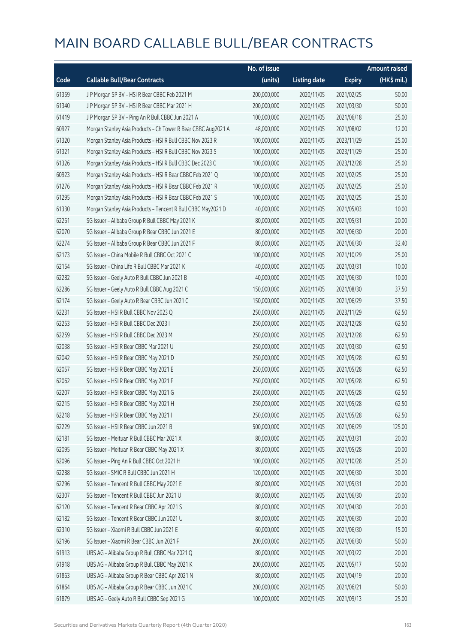|       |                                                               | No. of issue |                     |               | <b>Amount raised</b> |
|-------|---------------------------------------------------------------|--------------|---------------------|---------------|----------------------|
| Code  | <b>Callable Bull/Bear Contracts</b>                           | (units)      | <b>Listing date</b> | <b>Expiry</b> | (HK\$ mil.)          |
| 61359 | J P Morgan SP BV - HSI R Bear CBBC Feb 2021 M                 | 200,000,000  | 2020/11/05          | 2021/02/25    | 50.00                |
| 61340 | J P Morgan SP BV - HSI R Bear CBBC Mar 2021 H                 | 200,000,000  | 2020/11/05          | 2021/03/30    | 50.00                |
| 61419 | J P Morgan SP BV - Ping An R Bull CBBC Jun 2021 A             | 100,000,000  | 2020/11/05          | 2021/06/18    | 25.00                |
| 60927 | Morgan Stanley Asia Products - Ch Tower R Bear CBBC Aug2021 A | 48,000,000   | 2020/11/05          | 2021/08/02    | 12.00                |
| 61320 | Morgan Stanley Asia Products - HSI R Bull CBBC Nov 2023 R     | 100,000,000  | 2020/11/05          | 2023/11/29    | 25.00                |
| 61321 | Morgan Stanley Asia Products - HSI R Bull CBBC Nov 2023 S     | 100,000,000  | 2020/11/05          | 2023/11/29    | 25.00                |
| 61326 | Morgan Stanley Asia Products - HSI R Bull CBBC Dec 2023 C     | 100,000,000  | 2020/11/05          | 2023/12/28    | 25.00                |
| 60923 | Morgan Stanley Asia Products - HSI R Bear CBBC Feb 2021 Q     | 100,000,000  | 2020/11/05          | 2021/02/25    | 25.00                |
| 61276 | Morgan Stanley Asia Products - HSI R Bear CBBC Feb 2021 R     | 100,000,000  | 2020/11/05          | 2021/02/25    | 25.00                |
| 61295 | Morgan Stanley Asia Products - HSI R Bear CBBC Feb 2021 S     | 100,000,000  | 2020/11/05          | 2021/02/25    | 25.00                |
| 61330 | Morgan Stanley Asia Products - Tencent R Bull CBBC May2021 D  | 40,000,000   | 2020/11/05          | 2021/05/03    | 10.00                |
| 62261 | SG Issuer - Alibaba Group R Bull CBBC May 2021 K              | 80,000,000   | 2020/11/05          | 2021/05/31    | 20.00                |
| 62070 | SG Issuer - Alibaba Group R Bear CBBC Jun 2021 E              | 80,000,000   | 2020/11/05          | 2021/06/30    | 20.00                |
| 62274 | SG Issuer - Alibaba Group R Bear CBBC Jun 2021 F              | 80,000,000   | 2020/11/05          | 2021/06/30    | 32.40                |
| 62173 | SG Issuer - China Mobile R Bull CBBC Oct 2021 C               | 100,000,000  | 2020/11/05          | 2021/10/29    | 25.00                |
| 62154 | SG Issuer - China Life R Bull CBBC Mar 2021 K                 | 40,000,000   | 2020/11/05          | 2021/03/31    | 10.00                |
| 62282 | SG Issuer - Geely Auto R Bull CBBC Jun 2021 B                 | 40,000,000   | 2020/11/05          | 2021/06/30    | 10.00                |
| 62286 | SG Issuer - Geely Auto R Bull CBBC Aug 2021 C                 | 150,000,000  | 2020/11/05          | 2021/08/30    | 37.50                |
| 62174 | SG Issuer - Geely Auto R Bear CBBC Jun 2021 C                 | 150,000,000  | 2020/11/05          | 2021/06/29    | 37.50                |
| 62231 | SG Issuer - HSI R Bull CBBC Nov 2023 Q                        | 250,000,000  | 2020/11/05          | 2023/11/29    | 62.50                |
| 62253 | SG Issuer - HSI R Bull CBBC Dec 2023 I                        | 250,000,000  | 2020/11/05          | 2023/12/28    | 62.50                |
| 62259 | SG Issuer - HSI R Bull CBBC Dec 2023 M                        | 250,000,000  | 2020/11/05          | 2023/12/28    | 62.50                |
| 62038 | SG Issuer - HSI R Bear CBBC Mar 2021 U                        | 250,000,000  | 2020/11/05          | 2021/03/30    | 62.50                |
| 62042 | SG Issuer - HSI R Bear CBBC May 2021 D                        | 250,000,000  | 2020/11/05          | 2021/05/28    | 62.50                |
| 62057 | SG Issuer - HSI R Bear CBBC May 2021 E                        | 250,000,000  | 2020/11/05          | 2021/05/28    | 62.50                |
| 62062 | SG Issuer - HSI R Bear CBBC May 2021 F                        | 250,000,000  | 2020/11/05          | 2021/05/28    | 62.50                |
| 62207 | SG Issuer - HSI R Bear CBBC May 2021 G                        | 250,000,000  | 2020/11/05          | 2021/05/28    | 62.50                |
| 62215 | SG Issuer - HSI R Bear CBBC May 2021 H                        | 250,000,000  | 2020/11/05          | 2021/05/28    | 62.50                |
| 62218 | SG Issuer - HSI R Bear CBBC May 2021 I                        | 250,000,000  | 2020/11/05          | 2021/05/28    | 62.50                |
| 62229 | SG Issuer - HSI R Bear CBBC Jun 2021 B                        | 500,000,000  | 2020/11/05          | 2021/06/29    | 125.00               |
| 62181 | SG Issuer - Meituan R Bull CBBC Mar 2021 X                    | 80,000,000   | 2020/11/05          | 2021/03/31    | 20.00                |
| 62095 | SG Issuer - Meituan R Bear CBBC May 2021 X                    | 80,000,000   | 2020/11/05          | 2021/05/28    | 20.00                |
| 62096 | SG Issuer - Ping An R Bull CBBC Oct 2021 H                    | 100,000,000  | 2020/11/05          | 2021/10/28    | 25.00                |
| 62288 | SG Issuer - SMIC R Bull CBBC Jun 2021 H                       | 120,000,000  | 2020/11/05          | 2021/06/30    | 30.00                |
| 62296 | SG Issuer - Tencent R Bull CBBC May 2021 E                    | 80,000,000   | 2020/11/05          | 2021/05/31    | 20.00                |
| 62307 | SG Issuer - Tencent R Bull CBBC Jun 2021 U                    | 80,000,000   | 2020/11/05          | 2021/06/30    | 20.00                |
| 62120 | SG Issuer - Tencent R Bear CBBC Apr 2021 S                    | 80,000,000   | 2020/11/05          | 2021/04/30    | 20.00                |
| 62182 | SG Issuer - Tencent R Bear CBBC Jun 2021 U                    | 80,000,000   | 2020/11/05          | 2021/06/30    | 20.00                |
| 62310 | SG Issuer - Xiaomi R Bull CBBC Jun 2021 E                     | 60,000,000   | 2020/11/05          | 2021/06/30    | 15.00                |
| 62196 | SG Issuer - Xiaomi R Bear CBBC Jun 2021 F                     | 200,000,000  | 2020/11/05          | 2021/06/30    | 50.00                |
| 61913 | UBS AG - Alibaba Group R Bull CBBC Mar 2021 Q                 | 80,000,000   | 2020/11/05          | 2021/03/22    | 20.00                |
| 61918 | UBS AG - Alibaba Group R Bull CBBC May 2021 K                 | 200,000,000  | 2020/11/05          | 2021/05/17    | 50.00                |
| 61863 | UBS AG - Alibaba Group R Bear CBBC Apr 2021 N                 | 80,000,000   | 2020/11/05          | 2021/04/19    | 20.00                |
| 61864 | UBS AG - Alibaba Group R Bear CBBC Jun 2021 C                 | 200,000,000  | 2020/11/05          | 2021/06/21    | 50.00                |
| 61879 | UBS AG - Geely Auto R Bull CBBC Sep 2021 G                    | 100,000,000  | 2020/11/05          | 2021/09/13    | 25.00                |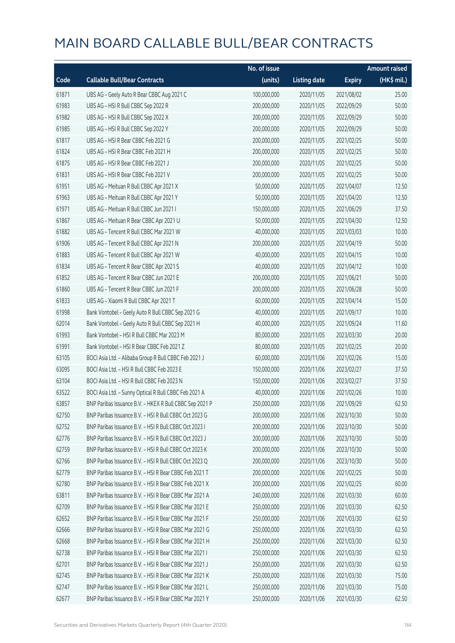|       |                                                         | No. of issue |                     |               | <b>Amount raised</b> |
|-------|---------------------------------------------------------|--------------|---------------------|---------------|----------------------|
| Code  | <b>Callable Bull/Bear Contracts</b>                     | (units)      | <b>Listing date</b> | <b>Expiry</b> | $(HK\$ mil.)         |
| 61871 | UBS AG - Geely Auto R Bear CBBC Aug 2021 C              | 100,000,000  | 2020/11/05          | 2021/08/02    | 25.00                |
| 61983 | UBS AG - HSI R Bull CBBC Sep 2022 R                     | 200,000,000  | 2020/11/05          | 2022/09/29    | 50.00                |
| 61982 | UBS AG - HSI R Bull CBBC Sep 2022 X                     | 200,000,000  | 2020/11/05          | 2022/09/29    | 50.00                |
| 61985 | UBS AG - HSI R Bull CBBC Sep 2022 Y                     | 200,000,000  | 2020/11/05          | 2022/09/29    | 50.00                |
| 61817 | UBS AG - HSI R Bear CBBC Feb 2021 G                     | 200,000,000  | 2020/11/05          | 2021/02/25    | 50.00                |
| 61824 | UBS AG - HSI R Bear CBBC Feb 2021 H                     | 200,000,000  | 2020/11/05          | 2021/02/25    | 50.00                |
| 61875 | UBS AG - HSI R Bear CBBC Feb 2021 J                     | 200,000,000  | 2020/11/05          | 2021/02/25    | 50.00                |
| 61831 | UBS AG - HSI R Bear CBBC Feb 2021 V                     | 200,000,000  | 2020/11/05          | 2021/02/25    | 50.00                |
| 61951 | UBS AG - Meituan R Bull CBBC Apr 2021 X                 | 50,000,000   | 2020/11/05          | 2021/04/07    | 12.50                |
| 61963 | UBS AG - Meituan R Bull CBBC Apr 2021 Y                 | 50,000,000   | 2020/11/05          | 2021/04/20    | 12.50                |
| 61971 | UBS AG - Meituan R Bull CBBC Jun 2021 I                 | 150,000,000  | 2020/11/05          | 2021/06/29    | 37.50                |
| 61867 | UBS AG - Meituan R Bear CBBC Apr 2021 U                 | 50,000,000   | 2020/11/05          | 2021/04/30    | 12.50                |
| 61882 | UBS AG - Tencent R Bull CBBC Mar 2021 W                 | 40,000,000   | 2020/11/05          | 2021/03/03    | 10.00                |
| 61906 | UBS AG - Tencent R Bull CBBC Apr 2021 N                 | 200,000,000  | 2020/11/05          | 2021/04/19    | 50.00                |
| 61883 | UBS AG - Tencent R Bull CBBC Apr 2021 W                 | 40,000,000   | 2020/11/05          | 2021/04/15    | 10.00                |
| 61834 | UBS AG - Tencent R Bear CBBC Apr 2021 S                 | 40,000,000   | 2020/11/05          | 2021/04/12    | 10.00                |
| 61852 | UBS AG - Tencent R Bear CBBC Jun 2021 E                 | 200,000,000  | 2020/11/05          | 2021/06/21    | 50.00                |
| 61860 | UBS AG - Tencent R Bear CBBC Jun 2021 F                 | 200,000,000  | 2020/11/05          | 2021/06/28    | 50.00                |
| 61833 | UBS AG - Xiaomi R Bull CBBC Apr 2021 T                  | 60,000,000   | 2020/11/05          | 2021/04/14    | 15.00                |
| 61998 | Bank Vontobel - Geely Auto R Bull CBBC Sep 2021 G       | 40,000,000   | 2020/11/05          | 2021/09/17    | 10.00                |
| 62014 | Bank Vontobel - Geely Auto R Bull CBBC Sep 2021 H       | 40,000,000   | 2020/11/05          | 2021/09/24    | 11.60                |
| 61993 | Bank Vontobel - HSI R Bull CBBC Mar 2023 M              | 80,000,000   | 2020/11/05          | 2023/03/30    | 20.00                |
| 61991 | Bank Vontobel - HSI R Bear CBBC Feb 2021 Z              | 80,000,000   | 2020/11/05          | 2021/02/25    | 20.00                |
| 63105 | BOCI Asia Ltd. - Alibaba Group R Bull CBBC Feb 2021 J   | 60,000,000   | 2020/11/06          | 2021/02/26    | 15.00                |
| 63095 | BOCI Asia Ltd. - HSI R Bull CBBC Feb 2023 E             | 150,000,000  | 2020/11/06          | 2023/02/27    | 37.50                |
| 63104 | BOCI Asia Ltd. - HSI R Bull CBBC Feb 2023 N             | 150,000,000  | 2020/11/06          | 2023/02/27    | 37.50                |
| 63522 | BOCI Asia Ltd. - Sunny Optical R Bull CBBC Feb 2021 A   | 40,000,000   | 2020/11/06          | 2021/02/26    | 10.00                |
| 63857 | BNP Paribas Issuance B.V. - HKEX R Bull CBBC Sep 2021 P | 250,000,000  | 2020/11/06          | 2021/09/29    | 62.50                |
| 62750 | BNP Paribas Issuance B.V. - HSI R Bull CBBC Oct 2023 G  | 200,000,000  | 2020/11/06          | 2023/10/30    | 50.00                |
| 62752 | BNP Paribas Issuance B.V. - HSI R Bull CBBC Oct 2023 I  | 200,000,000  | 2020/11/06          | 2023/10/30    | 50.00                |
| 62776 | BNP Paribas Issuance B.V. - HSI R Bull CBBC Oct 2023 J  | 200,000,000  | 2020/11/06          | 2023/10/30    | 50.00                |
| 62759 | BNP Paribas Issuance B.V. - HSI R Bull CBBC Oct 2023 K  | 200,000,000  | 2020/11/06          | 2023/10/30    | 50.00                |
| 62766 | BNP Paribas Issuance B.V. - HSI R Bull CBBC Oct 2023 Q  | 200,000,000  | 2020/11/06          | 2023/10/30    | 50.00                |
| 62779 | BNP Paribas Issuance B.V. - HSI R Bear CBBC Feb 2021 T  | 200,000,000  | 2020/11/06          | 2021/02/25    | 50.00                |
| 62780 | BNP Paribas Issuance B.V. - HSI R Bear CBBC Feb 2021 X  | 200,000,000  | 2020/11/06          | 2021/02/25    | 60.00                |
| 63811 | BNP Paribas Issuance B.V. - HSI R Bear CBBC Mar 2021 A  | 240,000,000  | 2020/11/06          | 2021/03/30    | 60.00                |
| 62709 | BNP Paribas Issuance B.V. - HSI R Bear CBBC Mar 2021 E  | 250,000,000  | 2020/11/06          | 2021/03/30    | 62.50                |
| 62652 | BNP Paribas Issuance B.V. - HSI R Bear CBBC Mar 2021 F  | 250,000,000  | 2020/11/06          | 2021/03/30    | 62.50                |
| 62666 | BNP Paribas Issuance B.V. - HSI R Bear CBBC Mar 2021 G  | 250,000,000  | 2020/11/06          | 2021/03/30    | 62.50                |
| 62668 | BNP Paribas Issuance B.V. - HSI R Bear CBBC Mar 2021 H  | 250,000,000  | 2020/11/06          | 2021/03/30    | 62.50                |
| 62738 | BNP Paribas Issuance B.V. - HSI R Bear CBBC Mar 2021 I  | 250,000,000  | 2020/11/06          | 2021/03/30    | 62.50                |
| 62701 | BNP Paribas Issuance B.V. - HSI R Bear CBBC Mar 2021 J  | 250,000,000  | 2020/11/06          | 2021/03/30    | 62.50                |
| 62745 | BNP Paribas Issuance B.V. - HSI R Bear CBBC Mar 2021 K  | 250,000,000  | 2020/11/06          | 2021/03/30    | 75.00                |
| 62747 | BNP Paribas Issuance B.V. - HSI R Bear CBBC Mar 2021 L  | 250,000,000  | 2020/11/06          | 2021/03/30    | 75.00                |
| 62677 | BNP Paribas Issuance B.V. - HSI R Bear CBBC Mar 2021 Y  | 250,000,000  | 2020/11/06          | 2021/03/30    | 62.50                |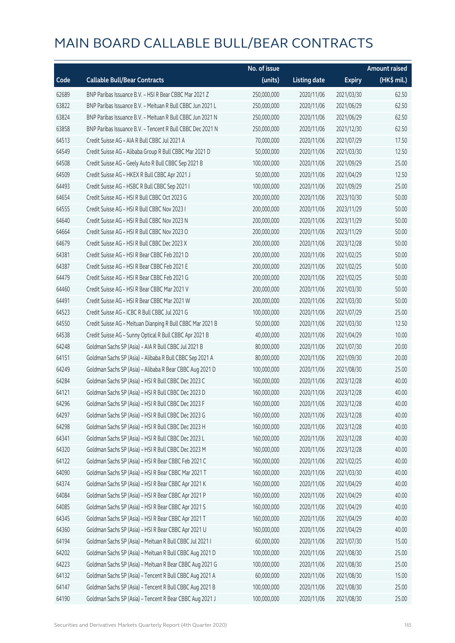|       |                                                            | No. of issue |                     |               | <b>Amount raised</b> |
|-------|------------------------------------------------------------|--------------|---------------------|---------------|----------------------|
| Code  | <b>Callable Bull/Bear Contracts</b>                        | (units)      | <b>Listing date</b> | <b>Expiry</b> | $(HK$$ mil.)         |
| 62689 | BNP Paribas Issuance B.V. - HSI R Bear CBBC Mar 2021 Z     | 250,000,000  | 2020/11/06          | 2021/03/30    | 62.50                |
| 63822 | BNP Paribas Issuance B.V. - Meituan R Bull CBBC Jun 2021 L | 250,000,000  | 2020/11/06          | 2021/06/29    | 62.50                |
| 63824 | BNP Paribas Issuance B.V. - Meituan R Bull CBBC Jun 2021 N | 250,000,000  | 2020/11/06          | 2021/06/29    | 62.50                |
| 63858 | BNP Paribas Issuance B.V. - Tencent R Bull CBBC Dec 2021 N | 250,000,000  | 2020/11/06          | 2021/12/30    | 62.50                |
| 64513 | Credit Suisse AG - AIA R Bull CBBC Jul 2021 A              | 70,000,000   | 2020/11/06          | 2021/07/29    | 17.50                |
| 64549 | Credit Suisse AG - Alibaba Group R Bull CBBC Mar 2021 D    | 50,000,000   | 2020/11/06          | 2021/03/30    | 12.50                |
| 64508 | Credit Suisse AG - Geely Auto R Bull CBBC Sep 2021 B       | 100,000,000  | 2020/11/06          | 2021/09/29    | 25.00                |
| 64509 | Credit Suisse AG - HKEX R Bull CBBC Apr 2021 J             | 50,000,000   | 2020/11/06          | 2021/04/29    | 12.50                |
| 64493 | Credit Suisse AG - HSBC R Bull CBBC Sep 2021 I             | 100,000,000  | 2020/11/06          | 2021/09/29    | 25.00                |
| 64654 | Credit Suisse AG - HSI R Bull CBBC Oct 2023 G              | 200,000,000  | 2020/11/06          | 2023/10/30    | 50.00                |
| 64555 | Credit Suisse AG - HSI R Bull CBBC Nov 2023 I              | 200,000,000  | 2020/11/06          | 2023/11/29    | 50.00                |
| 64640 | Credit Suisse AG - HSI R Bull CBBC Nov 2023 N              | 200,000,000  | 2020/11/06          | 2023/11/29    | 50.00                |
| 64664 | Credit Suisse AG - HSI R Bull CBBC Nov 2023 O              | 200,000,000  | 2020/11/06          | 2023/11/29    | 50.00                |
| 64679 | Credit Suisse AG - HSI R Bull CBBC Dec 2023 X              | 200,000,000  | 2020/11/06          | 2023/12/28    | 50.00                |
| 64381 | Credit Suisse AG - HSI R Bear CBBC Feb 2021 D              | 200,000,000  | 2020/11/06          | 2021/02/25    | 50.00                |
| 64387 | Credit Suisse AG - HSI R Bear CBBC Feb 2021 E              | 200,000,000  | 2020/11/06          | 2021/02/25    | 50.00                |
| 64479 | Credit Suisse AG - HSI R Bear CBBC Feb 2021 G              | 200,000,000  | 2020/11/06          | 2021/02/25    | 50.00                |
| 64460 | Credit Suisse AG - HSI R Bear CBBC Mar 2021 V              | 200,000,000  | 2020/11/06          | 2021/03/30    | 50.00                |
| 64491 | Credit Suisse AG - HSI R Bear CBBC Mar 2021 W              | 200,000,000  | 2020/11/06          | 2021/03/30    | 50.00                |
| 64523 | Credit Suisse AG - ICBC R Bull CBBC Jul 2021 G             | 100,000,000  | 2020/11/06          | 2021/07/29    | 25.00                |
| 64550 | Credit Suisse AG - Meituan Dianping R Bull CBBC Mar 2021 B | 50,000,000   | 2020/11/06          | 2021/03/30    | 12.50                |
| 64538 | Credit Suisse AG - Sunny Optical R Bull CBBC Apr 2021 B    | 40,000,000   | 2020/11/06          | 2021/04/29    | 10.00                |
| 64248 | Goldman Sachs SP (Asia) - AIA R Bull CBBC Jul 2021 B       | 80,000,000   | 2020/11/06          | 2021/07/30    | 20.00                |
| 64151 | Goldman Sachs SP (Asia) - Alibaba R Bull CBBC Sep 2021 A   | 80,000,000   | 2020/11/06          | 2021/09/30    | 20.00                |
| 64249 | Goldman Sachs SP (Asia) - Alibaba R Bear CBBC Aug 2021 D   | 100,000,000  | 2020/11/06          | 2021/08/30    | 25.00                |
| 64284 | Goldman Sachs SP (Asia) - HSI R Bull CBBC Dec 2023 C       | 160,000,000  | 2020/11/06          | 2023/12/28    | 40.00                |
| 64121 | Goldman Sachs SP (Asia) - HSI R Bull CBBC Dec 2023 D       | 160,000,000  | 2020/11/06          | 2023/12/28    | 40.00                |
| 64296 | Goldman Sachs SP (Asia) - HSI R Bull CBBC Dec 2023 F       | 160,000,000  | 2020/11/06          | 2023/12/28    | 40.00                |
| 64297 | Goldman Sachs SP (Asia) - HSI R Bull CBBC Dec 2023 G       | 160,000,000  | 2020/11/06          | 2023/12/28    | 40.00                |
| 64298 | Goldman Sachs SP (Asia) - HSI R Bull CBBC Dec 2023 H       | 160,000,000  | 2020/11/06          | 2023/12/28    | 40.00                |
| 64341 | Goldman Sachs SP (Asia) - HSI R Bull CBBC Dec 2023 L       | 160,000,000  | 2020/11/06          | 2023/12/28    | 40.00                |
| 64320 | Goldman Sachs SP (Asia) - HSI R Bull CBBC Dec 2023 M       | 160,000,000  | 2020/11/06          | 2023/12/28    | 40.00                |
| 64122 | Goldman Sachs SP (Asia) - HSI R Bear CBBC Feb 2021 C       | 160,000,000  | 2020/11/06          | 2021/02/25    | 40.00                |
| 64090 | Goldman Sachs SP (Asia) - HSI R Bear CBBC Mar 2021 T       | 160,000,000  | 2020/11/06          | 2021/03/30    | 40.00                |
| 64374 | Goldman Sachs SP (Asia) - HSI R Bear CBBC Apr 2021 K       | 160,000,000  | 2020/11/06          | 2021/04/29    | 40.00                |
| 64084 | Goldman Sachs SP (Asia) - HSI R Bear CBBC Apr 2021 P       | 160,000,000  | 2020/11/06          | 2021/04/29    | 40.00                |
| 64085 | Goldman Sachs SP (Asia) - HSI R Bear CBBC Apr 2021 S       | 160,000,000  | 2020/11/06          | 2021/04/29    | 40.00                |
| 64345 | Goldman Sachs SP (Asia) - HSI R Bear CBBC Apr 2021 T       | 160,000,000  | 2020/11/06          | 2021/04/29    | 40.00                |
| 64360 | Goldman Sachs SP (Asia) - HSI R Bear CBBC Apr 2021 U       | 160,000,000  | 2020/11/06          | 2021/04/29    | 40.00                |
| 64194 | Goldman Sachs SP (Asia) - Meituan R Bull CBBC Jul 2021 I   | 60,000,000   | 2020/11/06          | 2021/07/30    | 15.00                |
| 64202 | Goldman Sachs SP (Asia) - Meituan R Bull CBBC Aug 2021 D   | 100,000,000  | 2020/11/06          | 2021/08/30    | 25.00                |
| 64223 | Goldman Sachs SP (Asia) - Meituan R Bear CBBC Aug 2021 G   | 100,000,000  | 2020/11/06          | 2021/08/30    | 25.00                |
| 64132 | Goldman Sachs SP (Asia) - Tencent R Bull CBBC Aug 2021 A   | 60,000,000   | 2020/11/06          | 2021/08/30    | 15.00                |
| 64147 | Goldman Sachs SP (Asia) - Tencent R Bull CBBC Aug 2021 B   | 100,000,000  | 2020/11/06          | 2021/08/30    | 25.00                |
| 64190 | Goldman Sachs SP (Asia) - Tencent R Bear CBBC Aug 2021 J   | 100,000,000  | 2020/11/06          | 2021/08/30    | 25.00                |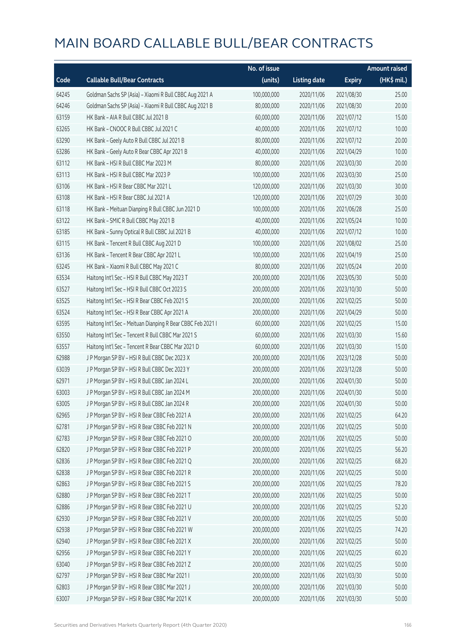|       |                                                             | No. of issue |                     |               | <b>Amount raised</b> |
|-------|-------------------------------------------------------------|--------------|---------------------|---------------|----------------------|
| Code  | <b>Callable Bull/Bear Contracts</b>                         | (units)      | <b>Listing date</b> | <b>Expiry</b> | (HK\$ mil.)          |
| 64245 | Goldman Sachs SP (Asia) - Xiaomi R Bull CBBC Aug 2021 A     | 100,000,000  | 2020/11/06          | 2021/08/30    | 25.00                |
| 64246 | Goldman Sachs SP (Asia) - Xiaomi R Bull CBBC Aug 2021 B     | 80,000,000   | 2020/11/06          | 2021/08/30    | 20.00                |
| 63159 | HK Bank - AIA R Bull CBBC Jul 2021 B                        | 60,000,000   | 2020/11/06          | 2021/07/12    | 15.00                |
| 63265 | HK Bank - CNOOC R Bull CBBC Jul 2021 C                      | 40,000,000   | 2020/11/06          | 2021/07/12    | 10.00                |
| 63290 | HK Bank - Geely Auto R Bull CBBC Jul 2021 B                 | 80,000,000   | 2020/11/06          | 2021/07/12    | 20.00                |
| 63286 | HK Bank - Geely Auto R Bear CBBC Apr 2021 B                 | 40,000,000   | 2020/11/06          | 2021/04/29    | 10.00                |
| 63112 | HK Bank - HSI R Bull CBBC Mar 2023 M                        | 80,000,000   | 2020/11/06          | 2023/03/30    | 20.00                |
| 63113 | HK Bank - HSI R Bull CBBC Mar 2023 P                        | 100,000,000  | 2020/11/06          | 2023/03/30    | 25.00                |
| 63106 | HK Bank - HSI R Bear CBBC Mar 2021 L                        | 120,000,000  | 2020/11/06          | 2021/03/30    | 30.00                |
| 63108 | HK Bank - HSI R Bear CBBC Jul 2021 A                        | 120,000,000  | 2020/11/06          | 2021/07/29    | 30.00                |
| 63118 | HK Bank - Meituan Dianping R Bull CBBC Jun 2021 D           | 100,000,000  | 2020/11/06          | 2021/06/28    | 25.00                |
| 63122 | HK Bank - SMIC R Bull CBBC May 2021 B                       | 40,000,000   | 2020/11/06          | 2021/05/24    | 10.00                |
| 63185 | HK Bank - Sunny Optical R Bull CBBC Jul 2021 B              | 40,000,000   | 2020/11/06          | 2021/07/12    | 10.00                |
| 63115 | HK Bank - Tencent R Bull CBBC Aug 2021 D                    | 100,000,000  | 2020/11/06          | 2021/08/02    | 25.00                |
| 63136 | HK Bank - Tencent R Bear CBBC Apr 2021 L                    | 100,000,000  | 2020/11/06          | 2021/04/19    | 25.00                |
| 63245 | HK Bank - Xiaomi R Bull CBBC May 2021 C                     | 80,000,000   | 2020/11/06          | 2021/05/24    | 20.00                |
| 63534 | Haitong Int'l Sec - HSI R Bull CBBC May 2023 T              | 200,000,000  | 2020/11/06          | 2023/05/30    | 50.00                |
| 63527 | Haitong Int'l Sec - HSI R Bull CBBC Oct 2023 S              | 200,000,000  | 2020/11/06          | 2023/10/30    | 50.00                |
| 63525 | Haitong Int'l Sec - HSI R Bear CBBC Feb 2021 S              | 200,000,000  | 2020/11/06          | 2021/02/25    | 50.00                |
| 63524 | Haitong Int'l Sec - HSI R Bear CBBC Apr 2021 A              | 200,000,000  | 2020/11/06          | 2021/04/29    | 50.00                |
| 63595 | Haitong Int'l Sec - Meituan Dianping R Bear CBBC Feb 2021 I | 60,000,000   | 2020/11/06          | 2021/02/25    | 15.00                |
| 63550 | Haitong Int'l Sec - Tencent R Bull CBBC Mar 2021 S          | 60,000,000   | 2020/11/06          | 2021/03/30    | 15.60                |
| 63557 | Haitong Int'l Sec - Tencent R Bear CBBC Mar 2021 D          | 60,000,000   | 2020/11/06          | 2021/03/30    | 15.00                |
| 62988 | J P Morgan SP BV - HSI R Bull CBBC Dec 2023 X               | 200,000,000  | 2020/11/06          | 2023/12/28    | 50.00                |
| 63039 | J P Morgan SP BV - HSI R Bull CBBC Dec 2023 Y               | 200,000,000  | 2020/11/06          | 2023/12/28    | 50.00                |
| 62971 | J P Morgan SP BV - HSI R Bull CBBC Jan 2024 L               | 200,000,000  | 2020/11/06          | 2024/01/30    | 50.00                |
| 63003 | J P Morgan SP BV - HSI R Bull CBBC Jan 2024 M               | 200,000,000  | 2020/11/06          | 2024/01/30    | 50.00                |
| 63005 | J P Morgan SP BV - HSI R Bull CBBC Jan 2024 R               | 200,000,000  | 2020/11/06          | 2024/01/30    | 50.00                |
| 62965 | J P Morgan SP BV - HSI R Bear CBBC Feb 2021 A               | 200,000,000  | 2020/11/06          | 2021/02/25    | 64.20                |
| 62781 | J P Morgan SP BV - HSI R Bear CBBC Feb 2021 N               | 200,000,000  | 2020/11/06          | 2021/02/25    | 50.00                |
| 62783 | J P Morgan SP BV - HSI R Bear CBBC Feb 2021 O               | 200,000,000  | 2020/11/06          | 2021/02/25    | 50.00                |
| 62820 | J P Morgan SP BV - HSI R Bear CBBC Feb 2021 P               | 200,000,000  | 2020/11/06          | 2021/02/25    | 56.20                |
| 62836 | J P Morgan SP BV - HSI R Bear CBBC Feb 2021 Q               | 200,000,000  | 2020/11/06          | 2021/02/25    | 68.20                |
| 62838 | J P Morgan SP BV - HSI R Bear CBBC Feb 2021 R               | 200,000,000  | 2020/11/06          | 2021/02/25    | 50.00                |
| 62863 | J P Morgan SP BV - HSI R Bear CBBC Feb 2021 S               | 200,000,000  | 2020/11/06          | 2021/02/25    | 78.20                |
| 62880 | J P Morgan SP BV - HSI R Bear CBBC Feb 2021 T               | 200,000,000  | 2020/11/06          | 2021/02/25    | 50.00                |
| 62886 | J P Morgan SP BV - HSI R Bear CBBC Feb 2021 U               | 200,000,000  | 2020/11/06          | 2021/02/25    | 52.20                |
| 62930 | J P Morgan SP BV - HSI R Bear CBBC Feb 2021 V               | 200,000,000  | 2020/11/06          | 2021/02/25    | 50.00                |
| 62938 | J P Morgan SP BV - HSI R Bear CBBC Feb 2021 W               | 200,000,000  | 2020/11/06          | 2021/02/25    | 74.20                |
| 62940 | J P Morgan SP BV - HSI R Bear CBBC Feb 2021 X               | 200,000,000  | 2020/11/06          | 2021/02/25    | 50.00                |
| 62956 | J P Morgan SP BV - HSI R Bear CBBC Feb 2021 Y               | 200,000,000  | 2020/11/06          | 2021/02/25    | 60.20                |
| 63040 | J P Morgan SP BV - HSI R Bear CBBC Feb 2021 Z               | 200,000,000  | 2020/11/06          | 2021/02/25    | 50.00                |
| 62797 | J P Morgan SP BV - HSI R Bear CBBC Mar 2021 I               | 200,000,000  | 2020/11/06          | 2021/03/30    | 50.00                |
| 62803 | J P Morgan SP BV - HSI R Bear CBBC Mar 2021 J               | 200,000,000  | 2020/11/06          | 2021/03/30    | 50.00                |
| 63007 | J P Morgan SP BV - HSI R Bear CBBC Mar 2021 K               | 200,000,000  | 2020/11/06          | 2021/03/30    | 50.00                |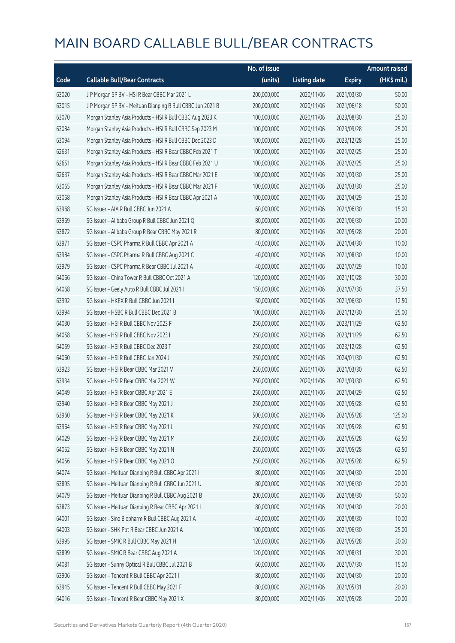|       |                                                            | No. of issue |                     |               | Amount raised |
|-------|------------------------------------------------------------|--------------|---------------------|---------------|---------------|
| Code  | <b>Callable Bull/Bear Contracts</b>                        | (units)      | <b>Listing date</b> | <b>Expiry</b> | (HK\$ mil.)   |
| 63020 | J P Morgan SP BV - HSI R Bear CBBC Mar 2021 L              | 200,000,000  | 2020/11/06          | 2021/03/30    | 50.00         |
| 63015 | J P Morgan SP BV - Meituan Dianping R Bull CBBC Jun 2021 B | 200,000,000  | 2020/11/06          | 2021/06/18    | 50.00         |
| 63070 | Morgan Stanley Asia Products - HSI R Bull CBBC Aug 2023 K  | 100,000,000  | 2020/11/06          | 2023/08/30    | 25.00         |
| 63084 | Morgan Stanley Asia Products - HSI R Bull CBBC Sep 2023 M  | 100,000,000  | 2020/11/06          | 2023/09/28    | 25.00         |
| 63094 | Morgan Stanley Asia Products - HSI R Bull CBBC Dec 2023 D  | 100,000,000  | 2020/11/06          | 2023/12/28    | 25.00         |
| 62631 | Morgan Stanley Asia Products - HSI R Bear CBBC Feb 2021 T  | 100,000,000  | 2020/11/06          | 2021/02/25    | 25.00         |
| 62651 | Morgan Stanley Asia Products - HSI R Bear CBBC Feb 2021 U  | 100,000,000  | 2020/11/06          | 2021/02/25    | 25.00         |
| 62637 | Morgan Stanley Asia Products - HSI R Bear CBBC Mar 2021 E  | 100,000,000  | 2020/11/06          | 2021/03/30    | 25.00         |
| 63065 | Morgan Stanley Asia Products - HSI R Bear CBBC Mar 2021 F  | 100,000,000  | 2020/11/06          | 2021/03/30    | 25.00         |
| 63068 | Morgan Stanley Asia Products - HSI R Bear CBBC Apr 2021 A  | 100,000,000  | 2020/11/06          | 2021/04/29    | 25.00         |
| 63968 | SG Issuer - AIA R Bull CBBC Jun 2021 A                     | 60,000,000   | 2020/11/06          | 2021/06/30    | 15.00         |
| 63969 | SG Issuer - Alibaba Group R Bull CBBC Jun 2021 Q           | 80,000,000   | 2020/11/06          | 2021/06/30    | 20.00         |
| 63872 | SG Issuer - Alibaba Group R Bear CBBC May 2021 R           | 80,000,000   | 2020/11/06          | 2021/05/28    | 20.00         |
| 63971 | SG Issuer - CSPC Pharma R Bull CBBC Apr 2021 A             | 40,000,000   | 2020/11/06          | 2021/04/30    | 10.00         |
| 63984 | SG Issuer - CSPC Pharma R Bull CBBC Aug 2021 C             | 40,000,000   | 2020/11/06          | 2021/08/30    | 10.00         |
| 63979 | SG Issuer - CSPC Pharma R Bear CBBC Jul 2021 A             | 40,000,000   | 2020/11/06          | 2021/07/29    | 10.00         |
| 64066 | SG Issuer - China Tower R Bull CBBC Oct 2021 A             | 120,000,000  | 2020/11/06          | 2021/10/28    | 30.00         |
| 64068 | SG Issuer - Geely Auto R Bull CBBC Jul 2021 I              | 150,000,000  | 2020/11/06          | 2021/07/30    | 37.50         |
| 63992 | SG Issuer - HKEX R Bull CBBC Jun 2021 I                    | 50,000,000   | 2020/11/06          | 2021/06/30    | 12.50         |
| 63994 | SG Issuer - HSBC R Bull CBBC Dec 2021 B                    | 100,000,000  | 2020/11/06          | 2021/12/30    | 25.00         |
| 64030 | SG Issuer - HSI R Bull CBBC Nov 2023 F                     | 250,000,000  | 2020/11/06          | 2023/11/29    | 62.50         |
| 64058 | SG Issuer - HSI R Bull CBBC Nov 2023 I                     | 250,000,000  | 2020/11/06          | 2023/11/29    | 62.50         |
| 64059 | SG Issuer - HSI R Bull CBBC Dec 2023 T                     | 250,000,000  | 2020/11/06          | 2023/12/28    | 62.50         |
| 64060 | SG Issuer - HSI R Bull CBBC Jan 2024 J                     | 250,000,000  | 2020/11/06          | 2024/01/30    | 62.50         |
| 63923 | SG Issuer - HSI R Bear CBBC Mar 2021 V                     | 250,000,000  | 2020/11/06          | 2021/03/30    | 62.50         |
| 63934 | SG Issuer - HSI R Bear CBBC Mar 2021 W                     | 250,000,000  | 2020/11/06          | 2021/03/30    | 62.50         |
| 64049 | SG Issuer - HSI R Bear CBBC Apr 2021 E                     | 250,000,000  | 2020/11/06          | 2021/04/29    | 62.50         |
| 63940 | SG Issuer - HSI R Bear CBBC May 2021 J                     | 250,000,000  | 2020/11/06          | 2021/05/28    | 62.50         |
| 63960 | SG Issuer - HSI R Bear CBBC May 2021 K                     | 500,000,000  | 2020/11/06          | 2021/05/28    | 125.00        |
| 63964 | SG Issuer - HSI R Bear CBBC May 2021 L                     | 250,000,000  | 2020/11/06          | 2021/05/28    | 62.50         |
| 64029 | SG Issuer - HSI R Bear CBBC May 2021 M                     | 250,000,000  | 2020/11/06          | 2021/05/28    | 62.50         |
| 64052 | SG Issuer - HSI R Bear CBBC May 2021 N                     | 250,000,000  | 2020/11/06          | 2021/05/28    | 62.50         |
| 64056 | SG Issuer - HSI R Bear CBBC May 2021 O                     | 250,000,000  | 2020/11/06          | 2021/05/28    | 62.50         |
| 64074 | SG Issuer - Meituan Dianping R Bull CBBC Apr 2021 I        | 80,000,000   | 2020/11/06          | 2021/04/30    | 20.00         |
| 63895 | SG Issuer - Meituan Dianping R Bull CBBC Jun 2021 U        | 80,000,000   | 2020/11/06          | 2021/06/30    | 20.00         |
| 64079 | SG Issuer - Meituan Dianping R Bull CBBC Aug 2021 B        | 200,000,000  | 2020/11/06          | 2021/08/30    | 50.00         |
| 63873 | SG Issuer - Meituan Dianping R Bear CBBC Apr 2021 I        | 80,000,000   | 2020/11/06          | 2021/04/30    | 20.00         |
| 64001 | SG Issuer - Sino Biopharm R Bull CBBC Aug 2021 A           | 40,000,000   | 2020/11/06          | 2021/08/30    | 10.00         |
| 64003 | SG Issuer - SHK Ppt R Bear CBBC Jun 2021 A                 | 100,000,000  | 2020/11/06          | 2021/06/30    | 25.00         |
| 63995 | SG Issuer - SMIC R Bull CBBC May 2021 H                    | 120,000,000  | 2020/11/06          | 2021/05/28    | 30.00         |
| 63899 | SG Issuer - SMIC R Bear CBBC Aug 2021 A                    | 120,000,000  | 2020/11/06          | 2021/08/31    | 30.00         |
| 64081 | SG Issuer - Sunny Optical R Bull CBBC Jul 2021 B           | 60,000,000   | 2020/11/06          | 2021/07/30    | 15.00         |
| 63906 | SG Issuer - Tencent R Bull CBBC Apr 2021 I                 | 80,000,000   | 2020/11/06          | 2021/04/30    | 20.00         |
| 63915 | SG Issuer - Tencent R Bull CBBC May 2021 F                 | 80,000,000   | 2020/11/06          | 2021/05/31    | 20.00         |
| 64016 | SG Issuer - Tencent R Bear CBBC May 2021 X                 | 80,000,000   | 2020/11/06          | 2021/05/28    | 20.00         |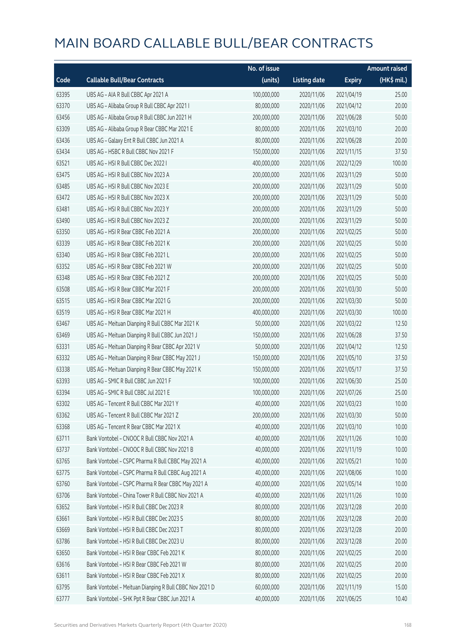|       |                                                         | No. of issue |                     |               | <b>Amount raised</b> |
|-------|---------------------------------------------------------|--------------|---------------------|---------------|----------------------|
| Code  | <b>Callable Bull/Bear Contracts</b>                     | (units)      | <b>Listing date</b> | <b>Expiry</b> | (HK\$ mil.)          |
| 63395 | UBS AG - AIA R Bull CBBC Apr 2021 A                     | 100,000,000  | 2020/11/06          | 2021/04/19    | 25.00                |
| 63370 | UBS AG - Alibaba Group R Bull CBBC Apr 2021 I           | 80,000,000   | 2020/11/06          | 2021/04/12    | 20.00                |
| 63456 | UBS AG - Alibaba Group R Bull CBBC Jun 2021 H           | 200,000,000  | 2020/11/06          | 2021/06/28    | 50.00                |
| 63309 | UBS AG - Alibaba Group R Bear CBBC Mar 2021 E           | 80,000,000   | 2020/11/06          | 2021/03/10    | 20.00                |
| 63436 | UBS AG - Galaxy Ent R Bull CBBC Jun 2021 A              | 80,000,000   | 2020/11/06          | 2021/06/28    | 20.00                |
| 63434 | UBS AG - HSBC R Bull CBBC Nov 2021 F                    | 150,000,000  | 2020/11/06          | 2021/11/15    | 37.50                |
| 63521 | UBS AG - HSI R Bull CBBC Dec 2022 I                     | 400,000,000  | 2020/11/06          | 2022/12/29    | 100.00               |
| 63475 | UBS AG - HSI R Bull CBBC Nov 2023 A                     | 200,000,000  | 2020/11/06          | 2023/11/29    | 50.00                |
| 63485 | UBS AG - HSI R Bull CBBC Nov 2023 E                     | 200,000,000  | 2020/11/06          | 2023/11/29    | 50.00                |
| 63472 | UBS AG - HSI R Bull CBBC Nov 2023 X                     | 200,000,000  | 2020/11/06          | 2023/11/29    | 50.00                |
| 63481 | UBS AG - HSI R Bull CBBC Nov 2023 Y                     | 200,000,000  | 2020/11/06          | 2023/11/29    | 50.00                |
| 63490 | UBS AG - HSI R Bull CBBC Nov 2023 Z                     | 200,000,000  | 2020/11/06          | 2023/11/29    | 50.00                |
| 63350 | UBS AG - HSI R Bear CBBC Feb 2021 A                     | 200,000,000  | 2020/11/06          | 2021/02/25    | 50.00                |
| 63339 | UBS AG - HSI R Bear CBBC Feb 2021 K                     | 200,000,000  | 2020/11/06          | 2021/02/25    | 50.00                |
| 63340 | UBS AG - HSI R Bear CBBC Feb 2021 L                     | 200,000,000  | 2020/11/06          | 2021/02/25    | 50.00                |
| 63352 | UBS AG - HSI R Bear CBBC Feb 2021 W                     | 200,000,000  | 2020/11/06          | 2021/02/25    | 50.00                |
| 63348 | UBS AG - HSI R Bear CBBC Feb 2021 Z                     | 200,000,000  | 2020/11/06          | 2021/02/25    | 50.00                |
| 63508 | UBS AG - HSI R Bear CBBC Mar 2021 F                     | 200,000,000  | 2020/11/06          | 2021/03/30    | 50.00                |
| 63515 | UBS AG - HSI R Bear CBBC Mar 2021 G                     | 200,000,000  | 2020/11/06          | 2021/03/30    | 50.00                |
| 63519 | UBS AG - HSI R Bear CBBC Mar 2021 H                     | 400,000,000  | 2020/11/06          | 2021/03/30    | 100.00               |
| 63467 | UBS AG - Meituan Dianping R Bull CBBC Mar 2021 K        | 50,000,000   | 2020/11/06          | 2021/03/22    | 12.50                |
| 63469 | UBS AG - Meituan Dianping R Bull CBBC Jun 2021 J        | 150,000,000  | 2020/11/06          | 2021/06/28    | 37.50                |
| 63331 | UBS AG - Meituan Dianping R Bear CBBC Apr 2021 V        | 50,000,000   | 2020/11/06          | 2021/04/12    | 12.50                |
| 63332 | UBS AG - Meituan Dianping R Bear CBBC May 2021 J        | 150,000,000  | 2020/11/06          | 2021/05/10    | 37.50                |
| 63338 | UBS AG - Meituan Dianping R Bear CBBC May 2021 K        | 150,000,000  | 2020/11/06          | 2021/05/17    | 37.50                |
| 63393 | UBS AG - SMIC R Bull CBBC Jun 2021 F                    | 100,000,000  | 2020/11/06          | 2021/06/30    | 25.00                |
| 63394 | UBS AG - SMIC R Bull CBBC Jul 2021 E                    | 100,000,000  | 2020/11/06          | 2021/07/26    | 25.00                |
| 63302 | UBS AG - Tencent R Bull CBBC Mar 2021 Y                 | 40,000,000   | 2020/11/06          | 2021/03/23    | 10.00                |
| 63362 | UBS AG - Tencent R Bull CBBC Mar 2021 Z                 | 200,000,000  | 2020/11/06          | 2021/03/30    | 50.00                |
| 63368 | UBS AG - Tencent R Bear CBBC Mar 2021 X                 | 40,000,000   | 2020/11/06          | 2021/03/10    | 10.00                |
| 63711 | Bank Vontobel - CNOOC R Bull CBBC Nov 2021 A            | 40,000,000   | 2020/11/06          | 2021/11/26    | 10.00                |
| 63737 | Bank Vontobel - CNOOC R Bull CBBC Nov 2021 B            | 40,000,000   | 2020/11/06          | 2021/11/19    | 10.00                |
| 63765 | Bank Vontobel - CSPC Pharma R Bull CBBC May 2021 A      | 40,000,000   | 2020/11/06          | 2021/05/21    | 10.00                |
| 63775 | Bank Vontobel - CSPC Pharma R Bull CBBC Aug 2021 A      | 40,000,000   | 2020/11/06          | 2021/08/06    | 10.00                |
| 63760 | Bank Vontobel - CSPC Pharma R Bear CBBC May 2021 A      | 40,000,000   | 2020/11/06          | 2021/05/14    | 10.00                |
| 63706 | Bank Vontobel - China Tower R Bull CBBC Nov 2021 A      | 40,000,000   | 2020/11/06          | 2021/11/26    | 10.00                |
| 63652 | Bank Vontobel - HSI R Bull CBBC Dec 2023 R              | 80,000,000   | 2020/11/06          | 2023/12/28    | 20.00                |
| 63661 | Bank Vontobel - HSI R Bull CBBC Dec 2023 S              | 80,000,000   | 2020/11/06          | 2023/12/28    | 20.00                |
| 63669 | Bank Vontobel - HSI R Bull CBBC Dec 2023 T              | 80,000,000   | 2020/11/06          | 2023/12/28    | 20.00                |
| 63786 | Bank Vontobel - HSI R Bull CBBC Dec 2023 U              | 80,000,000   | 2020/11/06          | 2023/12/28    | 20.00                |
| 63650 | Bank Vontobel - HSI R Bear CBBC Feb 2021 K              | 80,000,000   | 2020/11/06          | 2021/02/25    | 20.00                |
| 63616 | Bank Vontobel - HSI R Bear CBBC Feb 2021 W              | 80,000,000   | 2020/11/06          | 2021/02/25    | 20.00                |
| 63611 | Bank Vontobel - HSI R Bear CBBC Feb 2021 X              | 80,000,000   | 2020/11/06          | 2021/02/25    | 20.00                |
| 63795 | Bank Vontobel - Meituan Dianping R Bull CBBC Nov 2021 D | 60,000,000   | 2020/11/06          | 2021/11/19    | 15.00                |
| 63777 | Bank Vontobel - SHK Ppt R Bear CBBC Jun 2021 A          | 40,000,000   | 2020/11/06          | 2021/06/25    | 10.40                |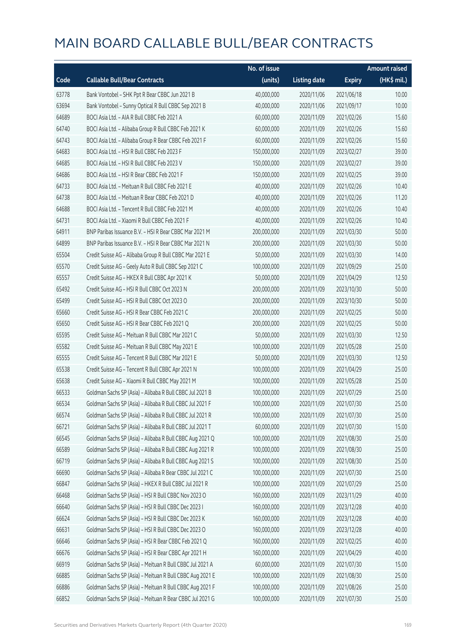|       |                                                          | No. of issue |                     |               | <b>Amount raised</b> |
|-------|----------------------------------------------------------|--------------|---------------------|---------------|----------------------|
| Code  | <b>Callable Bull/Bear Contracts</b>                      | (units)      | <b>Listing date</b> | <b>Expiry</b> | (HK\$ mil.)          |
| 63778 | Bank Vontobel - SHK Ppt R Bear CBBC Jun 2021 B           | 40,000,000   | 2020/11/06          | 2021/06/18    | 10.00                |
| 63694 | Bank Vontobel - Sunny Optical R Bull CBBC Sep 2021 B     | 40,000,000   | 2020/11/06          | 2021/09/17    | 10.00                |
| 64689 | BOCI Asia Ltd. - AIA R Bull CBBC Feb 2021 A              | 60,000,000   | 2020/11/09          | 2021/02/26    | 15.60                |
| 64740 | BOCI Asia Ltd. - Alibaba Group R Bull CBBC Feb 2021 K    | 60,000,000   | 2020/11/09          | 2021/02/26    | 15.60                |
| 64743 | BOCI Asia Ltd. - Alibaba Group R Bear CBBC Feb 2021 F    | 60,000,000   | 2020/11/09          | 2021/02/26    | 15.60                |
| 64683 | BOCI Asia Ltd. - HSI R Bull CBBC Feb 2023 F              | 150,000,000  | 2020/11/09          | 2023/02/27    | 39.00                |
| 64685 | BOCI Asia Ltd. - HSI R Bull CBBC Feb 2023 V              | 150,000,000  | 2020/11/09          | 2023/02/27    | 39.00                |
| 64686 | BOCI Asia Ltd. - HSI R Bear CBBC Feb 2021 F              | 150,000,000  | 2020/11/09          | 2021/02/25    | 39.00                |
| 64733 | BOCI Asia Ltd. - Meituan R Bull CBBC Feb 2021 E          | 40,000,000   | 2020/11/09          | 2021/02/26    | 10.40                |
| 64738 | BOCI Asia Ltd. - Meituan R Bear CBBC Feb 2021 D          | 40,000,000   | 2020/11/09          | 2021/02/26    | 11.20                |
| 64688 | BOCI Asia Ltd. - Tencent R Bull CBBC Feb 2021 M          | 40,000,000   | 2020/11/09          | 2021/02/26    | 10.40                |
| 64731 | BOCI Asia Ltd. - Xiaomi R Bull CBBC Feb 2021 F           | 40,000,000   | 2020/11/09          | 2021/02/26    | 10.40                |
| 64911 | BNP Paribas Issuance B.V. - HSI R Bear CBBC Mar 2021 M   | 200,000,000  | 2020/11/09          | 2021/03/30    | 50.00                |
| 64899 | BNP Paribas Issuance B.V. - HSI R Bear CBBC Mar 2021 N   | 200,000,000  | 2020/11/09          | 2021/03/30    | 50.00                |
| 65504 | Credit Suisse AG - Alibaba Group R Bull CBBC Mar 2021 E  | 50,000,000   | 2020/11/09          | 2021/03/30    | 14.00                |
| 65570 | Credit Suisse AG - Geely Auto R Bull CBBC Sep 2021 C     | 100,000,000  | 2020/11/09          | 2021/09/29    | 25.00                |
| 65557 | Credit Suisse AG - HKEX R Bull CBBC Apr 2021 K           | 50,000,000   | 2020/11/09          | 2021/04/29    | 12.50                |
| 65492 | Credit Suisse AG - HSI R Bull CBBC Oct 2023 N            | 200,000,000  | 2020/11/09          | 2023/10/30    | 50.00                |
| 65499 | Credit Suisse AG - HSI R Bull CBBC Oct 2023 O            | 200,000,000  | 2020/11/09          | 2023/10/30    | 50.00                |
| 65660 | Credit Suisse AG - HSI R Bear CBBC Feb 2021 C            | 200,000,000  | 2020/11/09          | 2021/02/25    | 50.00                |
| 65650 | Credit Suisse AG - HSI R Bear CBBC Feb 2021 Q            | 200,000,000  | 2020/11/09          | 2021/02/25    | 50.00                |
| 65595 | Credit Suisse AG - Meituan R Bull CBBC Mar 2021 C        | 50,000,000   | 2020/11/09          | 2021/03/30    | 12.50                |
| 65582 | Credit Suisse AG - Meituan R Bull CBBC May 2021 E        | 100,000,000  | 2020/11/09          | 2021/05/28    | 25.00                |
| 65555 | Credit Suisse AG - Tencent R Bull CBBC Mar 2021 E        | 50,000,000   | 2020/11/09          | 2021/03/30    | 12.50                |
| 65538 | Credit Suisse AG - Tencent R Bull CBBC Apr 2021 N        | 100,000,000  | 2020/11/09          | 2021/04/29    | 25.00                |
| 65638 | Credit Suisse AG - Xiaomi R Bull CBBC May 2021 M         | 100,000,000  | 2020/11/09          | 2021/05/28    | 25.00                |
| 66533 | Goldman Sachs SP (Asia) - Alibaba R Bull CBBC Jul 2021 B | 100,000,000  | 2020/11/09          | 2021/07/29    | 25.00                |
| 66534 | Goldman Sachs SP (Asia) - Alibaba R Bull CBBC Jul 2021 F | 100,000,000  | 2020/11/09          | 2021/07/30    | 25.00                |
| 66574 | Goldman Sachs SP (Asia) - Alibaba R Bull CBBC Jul 2021 R | 100,000,000  | 2020/11/09          | 2021/07/30    | 25.00                |
| 66721 | Goldman Sachs SP (Asia) - Alibaba R Bull CBBC Jul 2021 T | 60,000,000   | 2020/11/09          | 2021/07/30    | 15.00                |
| 66545 | Goldman Sachs SP (Asia) - Alibaba R Bull CBBC Aug 2021 Q | 100,000,000  | 2020/11/09          | 2021/08/30    | 25.00                |
| 66589 | Goldman Sachs SP (Asia) - Alibaba R Bull CBBC Aug 2021 R | 100,000,000  | 2020/11/09          | 2021/08/30    | 25.00                |
| 66719 | Goldman Sachs SP (Asia) - Alibaba R Bull CBBC Aug 2021 S | 100,000,000  | 2020/11/09          | 2021/08/30    | 25.00                |
| 66690 | Goldman Sachs SP (Asia) - Alibaba R Bear CBBC Jul 2021 C | 100,000,000  | 2020/11/09          | 2021/07/30    | 25.00                |
| 66847 | Goldman Sachs SP (Asia) - HKEX R Bull CBBC Jul 2021 R    | 100,000,000  | 2020/11/09          | 2021/07/29    | 25.00                |
| 66468 | Goldman Sachs SP (Asia) - HSI R Bull CBBC Nov 2023 O     | 160,000,000  | 2020/11/09          | 2023/11/29    | 40.00                |
| 66640 | Goldman Sachs SP (Asia) - HSI R Bull CBBC Dec 2023 I     | 160,000,000  | 2020/11/09          | 2023/12/28    | 40.00                |
| 66624 | Goldman Sachs SP (Asia) - HSI R Bull CBBC Dec 2023 K     | 160,000,000  | 2020/11/09          | 2023/12/28    | 40.00                |
| 66631 | Goldman Sachs SP (Asia) - HSI R Bull CBBC Dec 2023 O     | 160,000,000  | 2020/11/09          | 2023/12/28    | 40.00                |
| 66646 | Goldman Sachs SP (Asia) - HSI R Bear CBBC Feb 2021 Q     | 160,000,000  | 2020/11/09          | 2021/02/25    | 40.00                |
| 66676 | Goldman Sachs SP (Asia) - HSI R Bear CBBC Apr 2021 H     | 160,000,000  | 2020/11/09          | 2021/04/29    | 40.00                |
| 66919 | Goldman Sachs SP (Asia) - Meituan R Bull CBBC Jul 2021 A | 60,000,000   | 2020/11/09          | 2021/07/30    | 15.00                |
| 66885 | Goldman Sachs SP (Asia) - Meituan R Bull CBBC Aug 2021 E | 100,000,000  | 2020/11/09          | 2021/08/30    | 25.00                |
| 66886 | Goldman Sachs SP (Asia) - Meituan R Bull CBBC Aug 2021 F | 100,000,000  | 2020/11/09          | 2021/08/26    | 25.00                |
| 66852 | Goldman Sachs SP (Asia) - Meituan R Bear CBBC Jul 2021 G | 100,000,000  | 2020/11/09          | 2021/07/30    | 25.00                |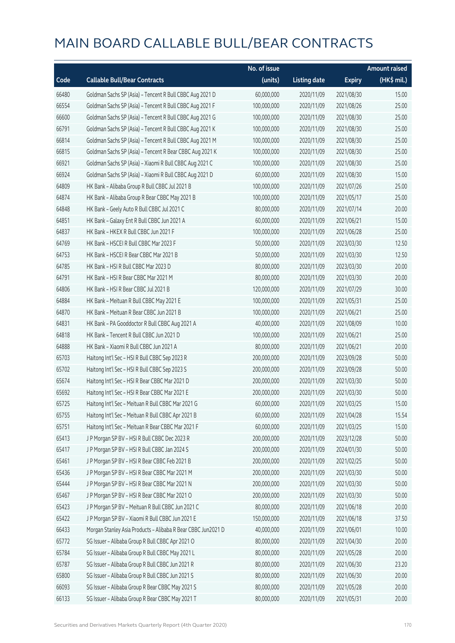|       |                                                              | No. of issue |                     |               | <b>Amount raised</b>  |
|-------|--------------------------------------------------------------|--------------|---------------------|---------------|-----------------------|
| Code  | <b>Callable Bull/Bear Contracts</b>                          | (units)      | <b>Listing date</b> | <b>Expiry</b> | $(HK\frac{1}{2}mil.)$ |
| 66480 | Goldman Sachs SP (Asia) - Tencent R Bull CBBC Aug 2021 D     | 60,000,000   | 2020/11/09          | 2021/08/30    | 15.00                 |
| 66554 | Goldman Sachs SP (Asia) - Tencent R Bull CBBC Aug 2021 F     | 100,000,000  | 2020/11/09          | 2021/08/26    | 25.00                 |
| 66600 | Goldman Sachs SP (Asia) - Tencent R Bull CBBC Aug 2021 G     | 100,000,000  | 2020/11/09          | 2021/08/30    | 25.00                 |
| 66791 | Goldman Sachs SP (Asia) - Tencent R Bull CBBC Aug 2021 K     | 100,000,000  | 2020/11/09          | 2021/08/30    | 25.00                 |
| 66814 | Goldman Sachs SP (Asia) - Tencent R Bull CBBC Aug 2021 M     | 100,000,000  | 2020/11/09          | 2021/08/30    | 25.00                 |
| 66815 | Goldman Sachs SP (Asia) - Tencent R Bear CBBC Aug 2021 K     | 100,000,000  | 2020/11/09          | 2021/08/30    | 25.00                 |
| 66921 | Goldman Sachs SP (Asia) - Xiaomi R Bull CBBC Aug 2021 C      | 100,000,000  | 2020/11/09          | 2021/08/30    | 25.00                 |
| 66924 | Goldman Sachs SP (Asia) - Xiaomi R Bull CBBC Aug 2021 D      | 60,000,000   | 2020/11/09          | 2021/08/30    | 15.00                 |
| 64809 | HK Bank - Alibaba Group R Bull CBBC Jul 2021 B               | 100,000,000  | 2020/11/09          | 2021/07/26    | 25.00                 |
| 64874 | HK Bank - Alibaba Group R Bear CBBC May 2021 B               | 100,000,000  | 2020/11/09          | 2021/05/17    | 25.00                 |
| 64848 | HK Bank - Geely Auto R Bull CBBC Jul 2021 C                  | 80,000,000   | 2020/11/09          | 2021/07/14    | 20.00                 |
| 64851 | HK Bank - Galaxy Ent R Bull CBBC Jun 2021 A                  | 60,000,000   | 2020/11/09          | 2021/06/21    | 15.00                 |
| 64837 | HK Bank - HKEX R Bull CBBC Jun 2021 F                        | 100,000,000  | 2020/11/09          | 2021/06/28    | 25.00                 |
| 64769 | HK Bank - HSCEI R Bull CBBC Mar 2023 F                       | 50,000,000   | 2020/11/09          | 2023/03/30    | 12.50                 |
| 64753 | HK Bank - HSCEI R Bear CBBC Mar 2021 B                       | 50,000,000   | 2020/11/09          | 2021/03/30    | 12.50                 |
| 64785 | HK Bank - HSI R Bull CBBC Mar 2023 D                         | 80,000,000   | 2020/11/09          | 2023/03/30    | 20.00                 |
| 64791 | HK Bank - HSI R Bear CBBC Mar 2021 M                         | 80,000,000   | 2020/11/09          | 2021/03/30    | 20.00                 |
| 64806 | HK Bank - HSI R Bear CBBC Jul 2021 B                         | 120,000,000  | 2020/11/09          | 2021/07/29    | 30.00                 |
| 64884 | HK Bank - Meituan R Bull CBBC May 2021 E                     | 100,000,000  | 2020/11/09          | 2021/05/31    | 25.00                 |
| 64870 | HK Bank - Meituan R Bear CBBC Jun 2021 B                     | 100,000,000  | 2020/11/09          | 2021/06/21    | 25.00                 |
| 64831 | HK Bank - PA Gooddoctor R Bull CBBC Aug 2021 A               | 40,000,000   | 2020/11/09          | 2021/08/09    | 10.00                 |
| 64818 | HK Bank - Tencent R Bull CBBC Jun 2021 D                     | 100,000,000  | 2020/11/09          | 2021/06/21    | 25.00                 |
| 64888 | HK Bank - Xiaomi R Bull CBBC Jun 2021 A                      | 80,000,000   | 2020/11/09          | 2021/06/21    | 20.00                 |
| 65703 | Haitong Int'l Sec - HSI R Bull CBBC Sep 2023 R               | 200,000,000  | 2020/11/09          | 2023/09/28    | 50.00                 |
| 65702 | Haitong Int'l Sec - HSI R Bull CBBC Sep 2023 S               | 200,000,000  | 2020/11/09          | 2023/09/28    | 50.00                 |
| 65674 | Haitong Int'l Sec - HSI R Bear CBBC Mar 2021 D               | 200,000,000  | 2020/11/09          | 2021/03/30    | 50.00                 |
| 65692 | Haitong Int'l Sec - HSI R Bear CBBC Mar 2021 E               | 200,000,000  | 2020/11/09          | 2021/03/30    | 50.00                 |
| 65725 | Haitong Int'l Sec - Meituan R Bull CBBC Mar 2021 G           | 60,000,000   | 2020/11/09          | 2021/03/25    | 15.00                 |
| 65755 | Haitong Int'l Sec - Meituan R Bull CBBC Apr 2021 B           | 60,000,000   | 2020/11/09          | 2021/04/28    | 15.54                 |
| 65751 | Haitong Int'l Sec - Meituan R Bear CBBC Mar 2021 F           | 60,000,000   | 2020/11/09          | 2021/03/25    | 15.00                 |
| 65413 | J P Morgan SP BV - HSI R Bull CBBC Dec 2023 R                | 200,000,000  | 2020/11/09          | 2023/12/28    | 50.00                 |
| 65417 | J P Morgan SP BV - HSI R Bull CBBC Jan 2024 S                | 200,000,000  | 2020/11/09          | 2024/01/30    | 50.00                 |
| 65461 | J P Morgan SP BV - HSI R Bear CBBC Feb 2021 B                | 200,000,000  | 2020/11/09          | 2021/02/25    | 50.00                 |
| 65436 | J P Morgan SP BV - HSI R Bear CBBC Mar 2021 M                | 200,000,000  | 2020/11/09          | 2021/03/30    | 50.00                 |
| 65444 | J P Morgan SP BV - HSI R Bear CBBC Mar 2021 N                | 200,000,000  | 2020/11/09          | 2021/03/30    | 50.00                 |
| 65467 | J P Morgan SP BV - HSI R Bear CBBC Mar 2021 O                | 200,000,000  | 2020/11/09          | 2021/03/30    | 50.00                 |
| 65423 | J P Morgan SP BV - Meituan R Bull CBBC Jun 2021 C            | 80,000,000   | 2020/11/09          | 2021/06/18    | 20.00                 |
| 65422 | J P Morgan SP BV - Xiaomi R Bull CBBC Jun 2021 E             | 150,000,000  | 2020/11/09          | 2021/06/18    | 37.50                 |
| 66433 | Morgan Stanley Asia Products - Alibaba R Bear CBBC Jun2021 D | 40,000,000   | 2020/11/09          | 2021/06/01    | 10.00                 |
| 65772 | SG Issuer - Alibaba Group R Bull CBBC Apr 2021 O             | 80,000,000   | 2020/11/09          | 2021/04/30    | 20.00                 |
| 65784 | SG Issuer - Alibaba Group R Bull CBBC May 2021 L             | 80,000,000   | 2020/11/09          | 2021/05/28    | 20.00                 |
| 65787 | SG Issuer - Alibaba Group R Bull CBBC Jun 2021 R             | 80,000,000   | 2020/11/09          | 2021/06/30    | 23.20                 |
| 65800 | SG Issuer - Alibaba Group R Bull CBBC Jun 2021 S             | 80,000,000   | 2020/11/09          | 2021/06/30    | 20.00                 |
| 66093 | SG Issuer - Alibaba Group R Bear CBBC May 2021 S             | 80,000,000   | 2020/11/09          | 2021/05/28    | 20.00                 |
| 66133 | SG Issuer - Alibaba Group R Bear CBBC May 2021 T             | 80,000,000   | 2020/11/09          | 2021/05/31    | 20.00                 |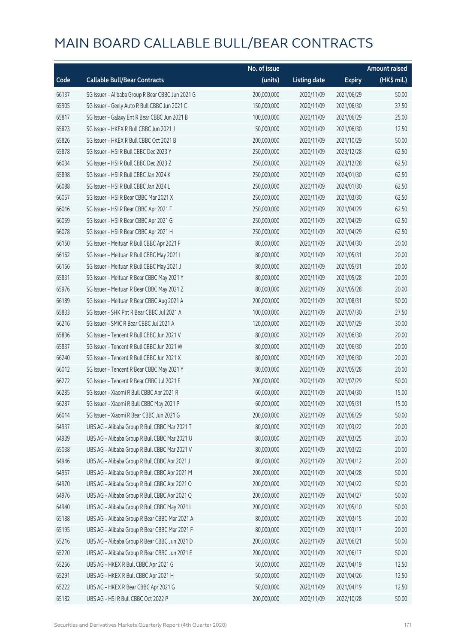|       |                                                  | No. of issue |                     |               | <b>Amount raised</b> |
|-------|--------------------------------------------------|--------------|---------------------|---------------|----------------------|
| Code  | <b>Callable Bull/Bear Contracts</b>              | (units)      | <b>Listing date</b> | <b>Expiry</b> | (HK\$ mil.)          |
| 66137 | SG Issuer - Alibaba Group R Bear CBBC Jun 2021 G | 200,000,000  | 2020/11/09          | 2021/06/29    | 50.00                |
| 65905 | SG Issuer - Geely Auto R Bull CBBC Jun 2021 C    | 150,000,000  | 2020/11/09          | 2021/06/30    | 37.50                |
| 65817 | SG Issuer - Galaxy Ent R Bear CBBC Jun 2021 B    | 100,000,000  | 2020/11/09          | 2021/06/29    | 25.00                |
| 65823 | SG Issuer - HKEX R Bull CBBC Jun 2021 J          | 50,000,000   | 2020/11/09          | 2021/06/30    | 12.50                |
| 65826 | SG Issuer - HKEX R Bull CBBC Oct 2021 B          | 200,000,000  | 2020/11/09          | 2021/10/29    | 50.00                |
| 65878 | SG Issuer - HSI R Bull CBBC Dec 2023 Y           | 250,000,000  | 2020/11/09          | 2023/12/28    | 62.50                |
| 66034 | SG Issuer - HSI R Bull CBBC Dec 2023 Z           | 250,000,000  | 2020/11/09          | 2023/12/28    | 62.50                |
| 65898 | SG Issuer - HSI R Bull CBBC Jan 2024 K           | 250,000,000  | 2020/11/09          | 2024/01/30    | 62.50                |
| 66088 | SG Issuer - HSI R Bull CBBC Jan 2024 L           | 250,000,000  | 2020/11/09          | 2024/01/30    | 62.50                |
| 66057 | SG Issuer - HSI R Bear CBBC Mar 2021 X           | 250,000,000  | 2020/11/09          | 2021/03/30    | 62.50                |
| 66016 | SG Issuer - HSI R Bear CBBC Apr 2021 F           | 250,000,000  | 2020/11/09          | 2021/04/29    | 62.50                |
| 66059 | SG Issuer - HSI R Bear CBBC Apr 2021 G           | 250,000,000  | 2020/11/09          | 2021/04/29    | 62.50                |
| 66078 | SG Issuer - HSI R Bear CBBC Apr 2021 H           | 250,000,000  | 2020/11/09          | 2021/04/29    | 62.50                |
| 66150 | SG Issuer - Meituan R Bull CBBC Apr 2021 F       | 80,000,000   | 2020/11/09          | 2021/04/30    | 20.00                |
| 66162 | SG Issuer - Meituan R Bull CBBC May 2021 I       | 80,000,000   | 2020/11/09          | 2021/05/31    | 20.00                |
| 66166 | SG Issuer - Meituan R Bull CBBC May 2021 J       | 80,000,000   | 2020/11/09          | 2021/05/31    | 20.00                |
| 65831 | SG Issuer - Meituan R Bear CBBC May 2021 Y       | 80,000,000   | 2020/11/09          | 2021/05/28    | 20.00                |
| 65976 | SG Issuer - Meituan R Bear CBBC May 2021 Z       | 80,000,000   | 2020/11/09          | 2021/05/28    | 20.00                |
| 66189 | SG Issuer - Meituan R Bear CBBC Aug 2021 A       | 200,000,000  | 2020/11/09          | 2021/08/31    | 50.00                |
| 65833 | SG Issuer - SHK Ppt R Bear CBBC Jul 2021 A       | 100,000,000  | 2020/11/09          | 2021/07/30    | 27.50                |
| 66216 | SG Issuer - SMIC R Bear CBBC Jul 2021 A          | 120,000,000  | 2020/11/09          | 2021/07/29    | 30.00                |
| 65836 | SG Issuer - Tencent R Bull CBBC Jun 2021 V       | 80,000,000   | 2020/11/09          | 2021/06/30    | 20.00                |
| 65837 | SG Issuer - Tencent R Bull CBBC Jun 2021 W       | 80,000,000   | 2020/11/09          | 2021/06/30    | 20.00                |
| 66240 | SG Issuer - Tencent R Bull CBBC Jun 2021 X       | 80,000,000   | 2020/11/09          | 2021/06/30    | 20.00                |
| 66012 | SG Issuer - Tencent R Bear CBBC May 2021 Y       | 80,000,000   | 2020/11/09          | 2021/05/28    | 20.00                |
| 66272 | SG Issuer - Tencent R Bear CBBC Jul 2021 E       | 200,000,000  | 2020/11/09          | 2021/07/29    | 50.00                |
| 66285 | SG Issuer - Xiaomi R Bull CBBC Apr 2021 R        | 60,000,000   | 2020/11/09          | 2021/04/30    | 15.00                |
| 66287 | SG Issuer - Xiaomi R Bull CBBC May 2021 P        | 60,000,000   | 2020/11/09          | 2021/05/31    | 15.00                |
| 66014 | SG Issuer - Xiaomi R Bear CBBC Jun 2021 G        | 200,000,000  | 2020/11/09          | 2021/06/29    | 50.00                |
| 64937 | UBS AG - Alibaba Group R Bull CBBC Mar 2021 T    | 80,000,000   | 2020/11/09          | 2021/03/22    | 20.00                |
| 64939 | UBS AG - Alibaba Group R Bull CBBC Mar 2021 U    | 80,000,000   | 2020/11/09          | 2021/03/25    | 20.00                |
| 65038 | UBS AG - Alibaba Group R Bull CBBC Mar 2021 V    | 80,000,000   | 2020/11/09          | 2021/03/22    | 20.00                |
| 64946 | UBS AG - Alibaba Group R Bull CBBC Apr 2021 J    | 80,000,000   | 2020/11/09          | 2021/04/12    | 20.00                |
| 64957 | UBS AG - Alibaba Group R Bull CBBC Apr 2021 M    | 200,000,000  | 2020/11/09          | 2021/04/28    | 50.00                |
| 64970 | UBS AG - Alibaba Group R Bull CBBC Apr 2021 O    | 200,000,000  | 2020/11/09          | 2021/04/22    | 50.00                |
| 64976 | UBS AG - Alibaba Group R Bull CBBC Apr 2021 Q    | 200,000,000  | 2020/11/09          | 2021/04/27    | 50.00                |
| 64940 | UBS AG - Alibaba Group R Bull CBBC May 2021 L    | 200,000,000  | 2020/11/09          | 2021/05/10    | 50.00                |
| 65188 | UBS AG - Alibaba Group R Bear CBBC Mar 2021 A    | 80,000,000   | 2020/11/09          | 2021/03/15    | 20.00                |
| 65195 | UBS AG - Alibaba Group R Bear CBBC Mar 2021 F    | 80,000,000   | 2020/11/09          | 2021/03/17    | 20.00                |
| 65216 | UBS AG - Alibaba Group R Bear CBBC Jun 2021 D    | 200,000,000  | 2020/11/09          | 2021/06/21    | 50.00                |
| 65220 | UBS AG - Alibaba Group R Bear CBBC Jun 2021 E    | 200,000,000  | 2020/11/09          | 2021/06/17    | 50.00                |
| 65266 | UBS AG - HKEX R Bull CBBC Apr 2021 G             | 50,000,000   | 2020/11/09          | 2021/04/19    | 12.50                |
| 65291 | UBS AG - HKEX R Bull CBBC Apr 2021 H             | 50,000,000   | 2020/11/09          | 2021/04/26    | 12.50                |
| 65222 | UBS AG - HKEX R Bear CBBC Apr 2021 G             | 50,000,000   | 2020/11/09          | 2021/04/19    | 12.50                |
| 65182 | UBS AG - HSI R Bull CBBC Oct 2022 P              | 200,000,000  | 2020/11/09          | 2022/10/28    | 50.00                |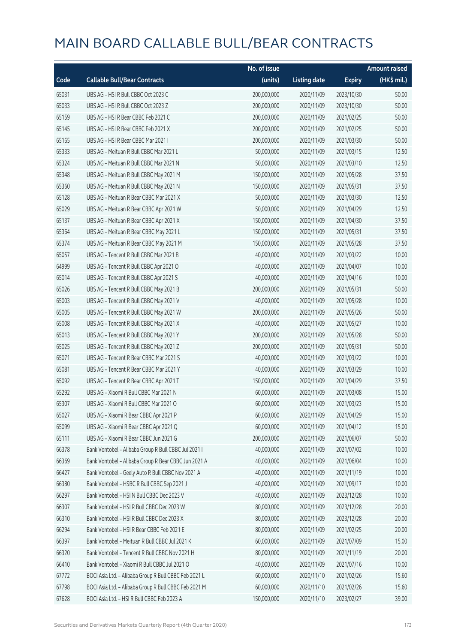|       |                                                       | No. of issue |                     |               | <b>Amount raised</b> |
|-------|-------------------------------------------------------|--------------|---------------------|---------------|----------------------|
| Code  | <b>Callable Bull/Bear Contracts</b>                   | (units)      | <b>Listing date</b> | <b>Expiry</b> | (HK\$ mil.)          |
| 65031 | UBS AG - HSI R Bull CBBC Oct 2023 C                   | 200,000,000  | 2020/11/09          | 2023/10/30    | 50.00                |
| 65033 | UBS AG - HSI R Bull CBBC Oct 2023 Z                   | 200,000,000  | 2020/11/09          | 2023/10/30    | 50.00                |
| 65159 | UBS AG - HSI R Bear CBBC Feb 2021 C                   | 200,000,000  | 2020/11/09          | 2021/02/25    | 50.00                |
| 65145 | UBS AG - HSI R Bear CBBC Feb 2021 X                   | 200,000,000  | 2020/11/09          | 2021/02/25    | 50.00                |
| 65165 | UBS AG - HSI R Bear CBBC Mar 2021 I                   | 200,000,000  | 2020/11/09          | 2021/03/30    | 50.00                |
| 65333 | UBS AG - Meituan R Bull CBBC Mar 2021 L               | 50,000,000   | 2020/11/09          | 2021/03/15    | 12.50                |
| 65324 | UBS AG - Meituan R Bull CBBC Mar 2021 N               | 50,000,000   | 2020/11/09          | 2021/03/10    | 12.50                |
| 65348 | UBS AG - Meituan R Bull CBBC May 2021 M               | 150,000,000  | 2020/11/09          | 2021/05/28    | 37.50                |
| 65360 | UBS AG - Meituan R Bull CBBC May 2021 N               | 150,000,000  | 2020/11/09          | 2021/05/31    | 37.50                |
| 65128 | UBS AG - Meituan R Bear CBBC Mar 2021 X               | 50,000,000   | 2020/11/09          | 2021/03/30    | 12.50                |
| 65029 | UBS AG - Meituan R Bear CBBC Apr 2021 W               | 50,000,000   | 2020/11/09          | 2021/04/29    | 12.50                |
| 65137 | UBS AG - Meituan R Bear CBBC Apr 2021 X               | 150,000,000  | 2020/11/09          | 2021/04/30    | 37.50                |
| 65364 | UBS AG - Meituan R Bear CBBC May 2021 L               | 150,000,000  | 2020/11/09          | 2021/05/31    | 37.50                |
| 65374 | UBS AG - Meituan R Bear CBBC May 2021 M               | 150,000,000  | 2020/11/09          | 2021/05/28    | 37.50                |
| 65057 | UBS AG - Tencent R Bull CBBC Mar 2021 B               | 40,000,000   | 2020/11/09          | 2021/03/22    | 10.00                |
| 64999 | UBS AG - Tencent R Bull CBBC Apr 2021 O               | 40,000,000   | 2020/11/09          | 2021/04/07    | 10.00                |
| 65014 | UBS AG - Tencent R Bull CBBC Apr 2021 S               | 40,000,000   | 2020/11/09          | 2021/04/16    | 10.00                |
| 65026 | UBS AG - Tencent R Bull CBBC May 2021 B               | 200,000,000  | 2020/11/09          | 2021/05/31    | 50.00                |
| 65003 | UBS AG - Tencent R Bull CBBC May 2021 V               | 40,000,000   | 2020/11/09          | 2021/05/28    | 10.00                |
| 65005 | UBS AG - Tencent R Bull CBBC May 2021 W               | 200,000,000  | 2020/11/09          | 2021/05/26    | 50.00                |
| 65008 | UBS AG - Tencent R Bull CBBC May 2021 X               | 40,000,000   | 2020/11/09          | 2021/05/27    | 10.00                |
| 65013 | UBS AG - Tencent R Bull CBBC May 2021 Y               | 200,000,000  | 2020/11/09          | 2021/05/28    | 50.00                |
| 65025 | UBS AG - Tencent R Bull CBBC May 2021 Z               | 200,000,000  | 2020/11/09          | 2021/05/31    | 50.00                |
| 65071 | UBS AG - Tencent R Bear CBBC Mar 2021 S               | 40,000,000   | 2020/11/09          | 2021/03/22    | 10.00                |
| 65081 | UBS AG - Tencent R Bear CBBC Mar 2021 Y               | 40,000,000   | 2020/11/09          | 2021/03/29    | 10.00                |
| 65092 | UBS AG - Tencent R Bear CBBC Apr 2021 T               | 150,000,000  | 2020/11/09          | 2021/04/29    | 37.50                |
| 65292 | UBS AG - Xiaomi R Bull CBBC Mar 2021 N                | 60,000,000   | 2020/11/09          | 2021/03/08    | 15.00                |
| 65307 | UBS AG - Xiaomi R Bull CBBC Mar 2021 O                | 60,000,000   | 2020/11/09          | 2021/03/23    | 15.00                |
| 65027 | UBS AG - Xiaomi R Bear CBBC Apr 2021 P                | 60,000,000   | 2020/11/09          | 2021/04/29    | 15.00                |
| 65099 | UBS AG - Xiaomi R Bear CBBC Apr 2021 Q                | 60,000,000   | 2020/11/09          | 2021/04/12    | 15.00                |
| 65111 | UBS AG - Xiaomi R Bear CBBC Jun 2021 G                | 200,000,000  | 2020/11/09          | 2021/06/07    | 50.00                |
| 66378 | Bank Vontobel - Alibaba Group R Bull CBBC Jul 2021 I  | 40,000,000   | 2020/11/09          | 2021/07/02    | 10.00                |
| 66369 | Bank Vontobel - Alibaba Group R Bear CBBC Jun 2021 A  | 40,000,000   | 2020/11/09          | 2021/06/04    | 10.00                |
| 66427 | Bank Vontobel - Geely Auto R Bull CBBC Nov 2021 A     | 40,000,000   | 2020/11/09          | 2021/11/19    | 10.00                |
| 66380 | Bank Vontobel - HSBC R Bull CBBC Sep 2021 J           | 40,000,000   | 2020/11/09          | 2021/09/17    | 10.00                |
| 66297 | Bank Vontobel - HSI N Bull CBBC Dec 2023 V            | 40,000,000   | 2020/11/09          | 2023/12/28    | 10.00                |
| 66307 | Bank Vontobel - HSI R Bull CBBC Dec 2023 W            | 80,000,000   | 2020/11/09          | 2023/12/28    | 20.00                |
| 66310 | Bank Vontobel - HSI R Bull CBBC Dec 2023 X            | 80,000,000   | 2020/11/09          | 2023/12/28    | 20.00                |
| 66294 | Bank Vontobel - HSI R Bear CBBC Feb 2021 E            | 80,000,000   | 2020/11/09          | 2021/02/25    | 20.00                |
| 66397 | Bank Vontobel - Meituan R Bull CBBC Jul 2021 K        | 60,000,000   | 2020/11/09          | 2021/07/09    | 15.00                |
| 66320 | Bank Vontobel - Tencent R Bull CBBC Nov 2021 H        | 80,000,000   | 2020/11/09          | 2021/11/19    | 20.00                |
| 66410 | Bank Vontobel - Xiaomi R Bull CBBC Jul 2021 O         | 40,000,000   | 2020/11/09          | 2021/07/16    | 10.00                |
| 67772 | BOCI Asia Ltd. - Alibaba Group R Bull CBBC Feb 2021 L | 60,000,000   | 2020/11/10          | 2021/02/26    | 15.60                |
| 67798 | BOCI Asia Ltd. - Alibaba Group R Bull CBBC Feb 2021 M | 60,000,000   | 2020/11/10          | 2021/02/26    | 15.60                |
| 67628 | BOCI Asia Ltd. - HSI R Bull CBBC Feb 2023 A           | 150,000,000  | 2020/11/10          | 2023/02/27    | 39.00                |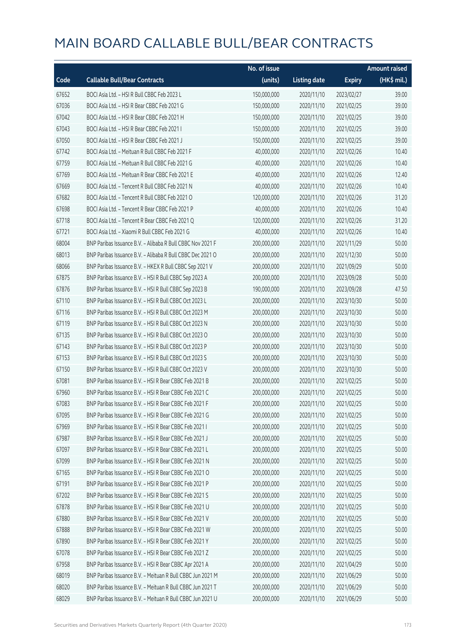|       |                                                            | No. of issue |                     |               | <b>Amount raised</b> |
|-------|------------------------------------------------------------|--------------|---------------------|---------------|----------------------|
| Code  | <b>Callable Bull/Bear Contracts</b>                        | (units)      | <b>Listing date</b> | <b>Expiry</b> | (HK\$ mil.)          |
| 67652 | BOCI Asia Ltd. - HSI R Bull CBBC Feb 2023 L                | 150,000,000  | 2020/11/10          | 2023/02/27    | 39.00                |
| 67036 | BOCI Asia Ltd. - HSI R Bear CBBC Feb 2021 G                | 150,000,000  | 2020/11/10          | 2021/02/25    | 39.00                |
| 67042 | BOCI Asia Ltd. - HSI R Bear CBBC Feb 2021 H                | 150,000,000  | 2020/11/10          | 2021/02/25    | 39.00                |
| 67043 | BOCI Asia Ltd. - HSI R Bear CBBC Feb 2021 I                | 150,000,000  | 2020/11/10          | 2021/02/25    | 39.00                |
| 67050 | BOCI Asia Ltd. - HSI R Bear CBBC Feb 2021 J                | 150,000,000  | 2020/11/10          | 2021/02/25    | 39.00                |
| 67742 | BOCI Asia Ltd. - Meituan R Bull CBBC Feb 2021 F            | 40,000,000   | 2020/11/10          | 2021/02/26    | 10.40                |
| 67759 | BOCI Asia Ltd. - Meituan R Bull CBBC Feb 2021 G            | 40,000,000   | 2020/11/10          | 2021/02/26    | 10.40                |
| 67769 | BOCI Asia Ltd. - Meituan R Bear CBBC Feb 2021 E            | 40,000,000   | 2020/11/10          | 2021/02/26    | 12.40                |
| 67669 | BOCI Asia Ltd. - Tencent R Bull CBBC Feb 2021 N            | 40,000,000   | 2020/11/10          | 2021/02/26    | 10.40                |
| 67682 | BOCI Asia Ltd. - Tencent R Bull CBBC Feb 2021 O            | 120,000,000  | 2020/11/10          | 2021/02/26    | 31.20                |
| 67698 | BOCI Asia Ltd. - Tencent R Bear CBBC Feb 2021 P            | 40,000,000   | 2020/11/10          | 2021/02/26    | 10.40                |
| 67718 | BOCI Asia Ltd. - Tencent R Bear CBBC Feb 2021 Q            | 120,000,000  | 2020/11/10          | 2021/02/26    | 31.20                |
| 67721 | BOCI Asia Ltd. - Xiaomi R Bull CBBC Feb 2021 G             | 40,000,000   | 2020/11/10          | 2021/02/26    | 10.40                |
| 68004 | BNP Paribas Issuance B.V. - Alibaba R Bull CBBC Nov 2021 F | 200,000,000  | 2020/11/10          | 2021/11/29    | 50.00                |
| 68013 | BNP Paribas Issuance B.V. - Alibaba R Bull CBBC Dec 2021 O | 200,000,000  | 2020/11/10          | 2021/12/30    | 50.00                |
| 68066 | BNP Paribas Issuance B.V. - HKEX R Bull CBBC Sep 2021 V    | 200,000,000  | 2020/11/10          | 2021/09/29    | 50.00                |
| 67875 | BNP Paribas Issuance B.V. - HSI R Bull CBBC Sep 2023 A     | 200,000,000  | 2020/11/10          | 2023/09/28    | 50.00                |
| 67876 | BNP Paribas Issuance B.V. - HSI R Bull CBBC Sep 2023 B     | 190,000,000  | 2020/11/10          | 2023/09/28    | 47.50                |
| 67110 | BNP Paribas Issuance B.V. - HSI R Bull CBBC Oct 2023 L     | 200,000,000  | 2020/11/10          | 2023/10/30    | 50.00                |
| 67116 | BNP Paribas Issuance B.V. - HSI R Bull CBBC Oct 2023 M     | 200,000,000  | 2020/11/10          | 2023/10/30    | 50.00                |
| 67119 | BNP Paribas Issuance B.V. - HSI R Bull CBBC Oct 2023 N     | 200,000,000  | 2020/11/10          | 2023/10/30    | 50.00                |
| 67135 | BNP Paribas Issuance B.V. - HSI R Bull CBBC Oct 2023 O     | 200,000,000  | 2020/11/10          | 2023/10/30    | 50.00                |
| 67143 | BNP Paribas Issuance B.V. - HSI R Bull CBBC Oct 2023 P     | 200,000,000  | 2020/11/10          | 2023/10/30    | 50.00                |
| 67153 | BNP Paribas Issuance B.V. - HSI R Bull CBBC Oct 2023 S     | 200,000,000  | 2020/11/10          | 2023/10/30    | 50.00                |
| 67150 | BNP Paribas Issuance B.V. - HSI R Bull CBBC Oct 2023 V     | 200,000,000  | 2020/11/10          | 2023/10/30    | 50.00                |
| 67081 | BNP Paribas Issuance B.V. - HSI R Bear CBBC Feb 2021 B     | 200,000,000  | 2020/11/10          | 2021/02/25    | 50.00                |
| 67960 | BNP Paribas Issuance B.V. - HSI R Bear CBBC Feb 2021 C     | 200,000,000  | 2020/11/10          | 2021/02/25    | 50.00                |
| 67083 | BNP Paribas Issuance B.V. - HSI R Bear CBBC Feb 2021 F     | 200,000,000  | 2020/11/10          | 2021/02/25    | 50.00                |
| 67095 | BNP Paribas Issuance B.V. - HSI R Bear CBBC Feb 2021 G     | 200,000,000  | 2020/11/10          | 2021/02/25    | 50.00                |
| 67969 | BNP Paribas Issuance B.V. - HSI R Bear CBBC Feb 2021 I     | 200,000,000  | 2020/11/10          | 2021/02/25    | 50.00                |
| 67987 | BNP Paribas Issuance B.V. - HSI R Bear CBBC Feb 2021 J     | 200,000,000  | 2020/11/10          | 2021/02/25    | 50.00                |
| 67097 | BNP Paribas Issuance B.V. - HSI R Bear CBBC Feb 2021 L     | 200,000,000  | 2020/11/10          | 2021/02/25    | 50.00                |
| 67099 | BNP Paribas Issuance B.V. - HSI R Bear CBBC Feb 2021 N     | 200,000,000  | 2020/11/10          | 2021/02/25    | 50.00                |
| 67165 | BNP Paribas Issuance B.V. - HSI R Bear CBBC Feb 2021 O     | 200,000,000  | 2020/11/10          | 2021/02/25    | 50.00                |
| 67191 | BNP Paribas Issuance B.V. - HSI R Bear CBBC Feb 2021 P     | 200,000,000  | 2020/11/10          | 2021/02/25    | 50.00                |
| 67202 | BNP Paribas Issuance B.V. - HSI R Bear CBBC Feb 2021 S     | 200,000,000  | 2020/11/10          | 2021/02/25    | 50.00                |
| 67878 | BNP Paribas Issuance B.V. - HSI R Bear CBBC Feb 2021 U     | 200,000,000  | 2020/11/10          | 2021/02/25    | 50.00                |
| 67880 | BNP Paribas Issuance B.V. - HSI R Bear CBBC Feb 2021 V     | 200,000,000  | 2020/11/10          | 2021/02/25    | 50.00                |
| 67888 | BNP Paribas Issuance B.V. - HSI R Bear CBBC Feb 2021 W     | 200,000,000  | 2020/11/10          | 2021/02/25    | 50.00                |
| 67890 | BNP Paribas Issuance B.V. - HSI R Bear CBBC Feb 2021 Y     | 200,000,000  | 2020/11/10          | 2021/02/25    | 50.00                |
| 67078 | BNP Paribas Issuance B.V. - HSI R Bear CBBC Feb 2021 Z     | 200,000,000  | 2020/11/10          | 2021/02/25    | 50.00                |
| 67958 | BNP Paribas Issuance B.V. - HSI R Bear CBBC Apr 2021 A     | 200,000,000  | 2020/11/10          | 2021/04/29    | 50.00                |
| 68019 | BNP Paribas Issuance B.V. - Meituan R Bull CBBC Jun 2021 M | 200,000,000  | 2020/11/10          | 2021/06/29    | 50.00                |
| 68020 | BNP Paribas Issuance B.V. - Meituan R Bull CBBC Jun 2021 T | 200,000,000  | 2020/11/10          | 2021/06/29    | 50.00                |
| 68029 | BNP Paribas Issuance B.V. - Meituan R Bull CBBC Jun 2021 U | 200,000,000  | 2020/11/10          | 2021/06/29    | 50.00                |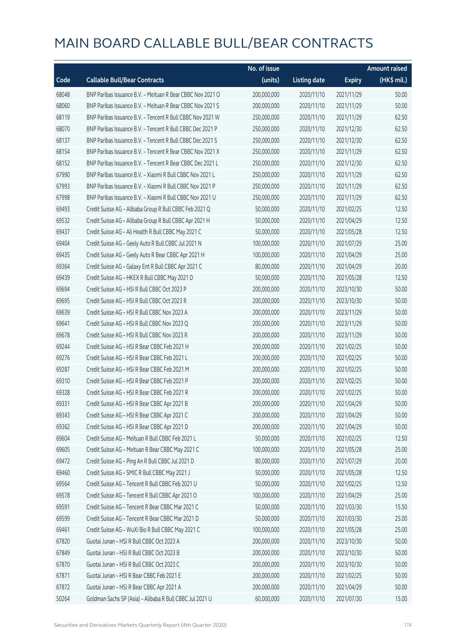|       |                                                            | No. of issue |                     |               | <b>Amount raised</b> |
|-------|------------------------------------------------------------|--------------|---------------------|---------------|----------------------|
| Code  | <b>Callable Bull/Bear Contracts</b>                        | (units)      | <b>Listing date</b> | <b>Expiry</b> | (HK\$ mil.)          |
| 68048 | BNP Paribas Issuance B.V. - Meituan R Bear CBBC Nov 2021 O | 200,000,000  | 2020/11/10          | 2021/11/29    | 50.00                |
| 68060 | BNP Paribas Issuance B.V. - Meituan R Bear CBBC Nov 2021 S | 200,000,000  | 2020/11/10          | 2021/11/29    | 50.00                |
| 68119 | BNP Paribas Issuance B.V. - Tencent R Bull CBBC Nov 2021 W | 250,000,000  | 2020/11/10          | 2021/11/29    | 62.50                |
| 68070 | BNP Paribas Issuance B.V. - Tencent R Bull CBBC Dec 2021 P | 250,000,000  | 2020/11/10          | 2021/12/30    | 62.50                |
| 68137 | BNP Paribas Issuance B.V. - Tencent R Bull CBBC Dec 2021 S | 250,000,000  | 2020/11/10          | 2021/12/30    | 62.50                |
| 68154 | BNP Paribas Issuance B.V. - Tencent R Bear CBBC Nov 2021 X | 250,000,000  | 2020/11/10          | 2021/11/29    | 62.50                |
| 68152 | BNP Paribas Issuance B.V. - Tencent R Bear CBBC Dec 2021 L | 250,000,000  | 2020/11/10          | 2021/12/30    | 62.50                |
| 67990 | BNP Paribas Issuance B.V. - Xiaomi R Bull CBBC Nov 2021 L  | 250,000,000  | 2020/11/10          | 2021/11/29    | 62.50                |
| 67993 | BNP Paribas Issuance B.V. - Xiaomi R Bull CBBC Nov 2021 P  | 250,000,000  | 2020/11/10          | 2021/11/29    | 62.50                |
| 67998 | BNP Paribas Issuance B.V. - Xiaomi R Bull CBBC Nov 2021 U  | 250,000,000  | 2020/11/10          | 2021/11/29    | 62.50                |
| 69493 | Credit Suisse AG - Alibaba Group R Bull CBBC Feb 2021 Q    | 50,000,000   | 2020/11/10          | 2021/02/25    | 12.50                |
| 69532 | Credit Suisse AG - Alibaba Group R Bull CBBC Apr 2021 H    | 50,000,000   | 2020/11/10          | 2021/04/29    | 12.50                |
| 69437 | Credit Suisse AG - Ali Health R Bull CBBC May 2021 C       | 50,000,000   | 2020/11/10          | 2021/05/28    | 12.50                |
| 69404 | Credit Suisse AG - Geely Auto R Bull CBBC Jul 2021 N       | 100,000,000  | 2020/11/10          | 2021/07/29    | 25.00                |
| 69435 | Credit Suisse AG - Geely Auto R Bear CBBC Apr 2021 H       | 100,000,000  | 2020/11/10          | 2021/04/29    | 25.00                |
| 69364 | Credit Suisse AG - Galaxy Ent R Bull CBBC Apr 2021 C       | 80,000,000   | 2020/11/10          | 2021/04/29    | 20.00                |
| 69439 | Credit Suisse AG - HKEX R Bull CBBC May 2021 D             | 50,000,000   | 2020/11/10          | 2021/05/28    | 12.50                |
| 69694 | Credit Suisse AG - HSI R Bull CBBC Oct 2023 P              | 200,000,000  | 2020/11/10          | 2023/10/30    | 50.00                |
| 69695 | Credit Suisse AG - HSI R Bull CBBC Oct 2023 R              | 200,000,000  | 2020/11/10          | 2023/10/30    | 50.00                |
| 69639 | Credit Suisse AG - HSI R Bull CBBC Nov 2023 A              | 200,000,000  | 2020/11/10          | 2023/11/29    | 50.00                |
| 69641 | Credit Suisse AG - HSI R Bull CBBC Nov 2023 Q              | 200,000,000  | 2020/11/10          | 2023/11/29    | 50.00                |
| 69678 | Credit Suisse AG - HSI R Bull CBBC Nov 2023 R              | 200,000,000  | 2020/11/10          | 2023/11/29    | 50.00                |
| 69244 | Credit Suisse AG - HSI R Bear CBBC Feb 2021 H              | 200,000,000  | 2020/11/10          | 2021/02/25    | 50.00                |
| 69276 | Credit Suisse AG - HSI R Bear CBBC Feb 2021 L              | 200,000,000  | 2020/11/10          | 2021/02/25    | 50.00                |
| 69287 | Credit Suisse AG - HSI R Bear CBBC Feb 2021 M              | 200,000,000  | 2020/11/10          | 2021/02/25    | 50.00                |
| 69310 | Credit Suisse AG - HSI R Bear CBBC Feb 2021 P              | 200,000,000  | 2020/11/10          | 2021/02/25    | 50.00                |
| 69328 | Credit Suisse AG - HSI R Bear CBBC Feb 2021 R              | 200,000,000  | 2020/11/10          | 2021/02/25    | 50.00                |
| 69331 | Credit Suisse AG - HSI R Bear CBBC Apr 2021 B              | 200,000,000  | 2020/11/10          | 2021/04/29    | 50.00                |
| 69343 | Credit Suisse AG - HSI R Bear CBBC Apr 2021 C              | 200,000,000  | 2020/11/10          | 2021/04/29    | 50.00                |
| 69362 | Credit Suisse AG - HSI R Bear CBBC Apr 2021 D              | 200,000,000  | 2020/11/10          | 2021/04/29    | 50.00                |
| 69604 | Credit Suisse AG - Meituan R Bull CBBC Feb 2021 L          | 50,000,000   | 2020/11/10          | 2021/02/25    | 12.50                |
| 69605 | Credit Suisse AG - Meituan R Bear CBBC May 2021 C          | 100,000,000  | 2020/11/10          | 2021/05/28    | 25.00                |
| 69472 | Credit Suisse AG - Ping An R Bull CBBC Jul 2021 D          | 80,000,000   | 2020/11/10          | 2021/07/29    | 20.00                |
| 69460 | Credit Suisse AG - SMIC R Bull CBBC May 2021 J             | 50,000,000   | 2020/11/10          | 2021/05/28    | 12.50                |
| 69564 | Credit Suisse AG - Tencent R Bull CBBC Feb 2021 U          | 50,000,000   | 2020/11/10          | 2021/02/25    | 12.50                |
| 69578 | Credit Suisse AG - Tencent R Bull CBBC Apr 2021 O          | 100,000,000  | 2020/11/10          | 2021/04/29    | 25.00                |
| 69591 | Credit Suisse AG - Tencent R Bear CBBC Mar 2021 C          | 50,000,000   | 2020/11/10          | 2021/03/30    | 15.50                |
| 69599 | Credit Suisse AG - Tencent R Bear CBBC Mar 2021 D          | 50,000,000   | 2020/11/10          | 2021/03/30    | 25.00                |
| 69461 | Credit Suisse AG - WuXi Bio R Bull CBBC May 2021 C         | 100,000,000  | 2020/11/10          | 2021/05/28    | 25.00                |
| 67820 | Guotai Junan - HSI R Bull CBBC Oct 2023 A                  | 200,000,000  | 2020/11/10          | 2023/10/30    | 50.00                |
| 67849 | Guotai Junan - HSI R Bull CBBC Oct 2023 B                  | 200,000,000  | 2020/11/10          | 2023/10/30    | 50.00                |
| 67870 | Guotai Junan - HSI R Bull CBBC Oct 2023 C                  | 200,000,000  | 2020/11/10          | 2023/10/30    | 50.00                |
| 67871 | Guotai Junan - HSI R Bear CBBC Feb 2021 E                  | 200,000,000  | 2020/11/10          | 2021/02/25    | 50.00                |
| 67872 | Guotai Junan - HSI R Bear CBBC Apr 2021 A                  | 200,000,000  | 2020/11/10          | 2021/04/29    | 50.00                |
| 50264 | Goldman Sachs SP (Asia) - Alibaba R Bull CBBC Jul 2021 U   | 60,000,000   | 2020/11/10          | 2021/07/30    | 15.00                |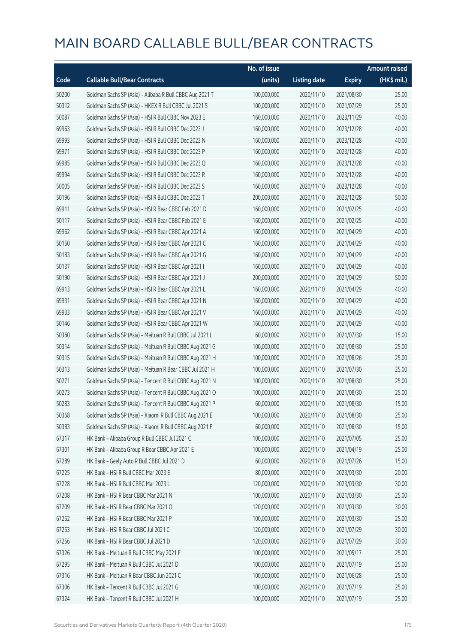|       |                                                          | No. of issue |                     |               | <b>Amount raised</b> |
|-------|----------------------------------------------------------|--------------|---------------------|---------------|----------------------|
| Code  | <b>Callable Bull/Bear Contracts</b>                      | (units)      | <b>Listing date</b> | <b>Expiry</b> | $(HK$$ mil.)         |
| 50200 | Goldman Sachs SP (Asia) - Alibaba R Bull CBBC Aug 2021 T | 100,000,000  | 2020/11/10          | 2021/08/30    | 25.00                |
| 50312 | Goldman Sachs SP (Asia) - HKEX R Bull CBBC Jul 2021 S    | 100,000,000  | 2020/11/10          | 2021/07/29    | 25.00                |
| 50087 | Goldman Sachs SP (Asia) - HSI R Bull CBBC Nov 2023 E     | 160,000,000  | 2020/11/10          | 2023/11/29    | 40.00                |
| 69963 | Goldman Sachs SP (Asia) - HSI R Bull CBBC Dec 2023 J     | 160,000,000  | 2020/11/10          | 2023/12/28    | 40.00                |
| 69993 | Goldman Sachs SP (Asia) - HSI R Bull CBBC Dec 2023 N     | 160,000,000  | 2020/11/10          | 2023/12/28    | 40.00                |
| 69971 | Goldman Sachs SP (Asia) - HSI R Bull CBBC Dec 2023 P     | 160,000,000  | 2020/11/10          | 2023/12/28    | 40.00                |
| 69985 | Goldman Sachs SP (Asia) - HSI R Bull CBBC Dec 2023 Q     | 160,000,000  | 2020/11/10          | 2023/12/28    | 40.00                |
| 69994 | Goldman Sachs SP (Asia) - HSI R Bull CBBC Dec 2023 R     | 160,000,000  | 2020/11/10          | 2023/12/28    | 40.00                |
| 50005 | Goldman Sachs SP (Asia) - HSI R Bull CBBC Dec 2023 S     | 160,000,000  | 2020/11/10          | 2023/12/28    | 40.00                |
| 50196 | Goldman Sachs SP (Asia) - HSI R Bull CBBC Dec 2023 T     | 200,000,000  | 2020/11/10          | 2023/12/28    | 50.00                |
| 69911 | Goldman Sachs SP (Asia) - HSI R Bear CBBC Feb 2021 D     | 160,000,000  | 2020/11/10          | 2021/02/25    | 40.00                |
| 50117 | Goldman Sachs SP (Asia) - HSI R Bear CBBC Feb 2021 E     | 160,000,000  | 2020/11/10          | 2021/02/25    | 40.00                |
| 69962 | Goldman Sachs SP (Asia) - HSI R Bear CBBC Apr 2021 A     | 160,000,000  | 2020/11/10          | 2021/04/29    | 40.00                |
| 50150 | Goldman Sachs SP (Asia) - HSI R Bear CBBC Apr 2021 C     | 160,000,000  | 2020/11/10          | 2021/04/29    | 40.00                |
| 50183 | Goldman Sachs SP (Asia) - HSI R Bear CBBC Apr 2021 G     | 160,000,000  | 2020/11/10          | 2021/04/29    | 40.00                |
| 50137 | Goldman Sachs SP (Asia) - HSI R Bear CBBC Apr 2021 I     | 160,000,000  | 2020/11/10          | 2021/04/29    | 40.00                |
| 50190 | Goldman Sachs SP (Asia) - HSI R Bear CBBC Apr 2021 J     | 200,000,000  | 2020/11/10          | 2021/04/29    | 50.00                |
| 69913 | Goldman Sachs SP (Asia) - HSI R Bear CBBC Apr 2021 L     | 160,000,000  | 2020/11/10          | 2021/04/29    | 40.00                |
| 69931 | Goldman Sachs SP (Asia) - HSI R Bear CBBC Apr 2021 N     | 160,000,000  | 2020/11/10          | 2021/04/29    | 40.00                |
| 69933 | Goldman Sachs SP (Asia) - HSI R Bear CBBC Apr 2021 V     | 160,000,000  | 2020/11/10          | 2021/04/29    | 40.00                |
| 50146 | Goldman Sachs SP (Asia) - HSI R Bear CBBC Apr 2021 W     | 160,000,000  | 2020/11/10          | 2021/04/29    | 40.00                |
| 50360 | Goldman Sachs SP (Asia) - Meituan R Bull CBBC Jul 2021 L | 60,000,000   | 2020/11/10          | 2021/07/30    | 15.00                |
| 50314 | Goldman Sachs SP (Asia) - Meituan R Bull CBBC Aug 2021 G | 100,000,000  | 2020/11/10          | 2021/08/30    | 25.00                |
| 50315 | Goldman Sachs SP (Asia) - Meituan R Bull CBBC Aug 2021 H | 100,000,000  | 2020/11/10          | 2021/08/26    | 25.00                |
| 50313 | Goldman Sachs SP (Asia) - Meituan R Bear CBBC Jul 2021 H | 100,000,000  | 2020/11/10          | 2021/07/30    | 25.00                |
| 50271 | Goldman Sachs SP (Asia) - Tencent R Bull CBBC Aug 2021 N | 100,000,000  | 2020/11/10          | 2021/08/30    | 25.00                |
| 50273 | Goldman Sachs SP (Asia) - Tencent R Bull CBBC Aug 2021 O | 100,000,000  | 2020/11/10          | 2021/08/30    | 25.00                |
| 50283 | Goldman Sachs SP (Asia) - Tencent R Bull CBBC Aug 2021 P | 60,000,000   | 2020/11/10          | 2021/08/30    | 15.00                |
| 50368 | Goldman Sachs SP (Asia) - Xiaomi R Bull CBBC Aug 2021 E  | 100,000,000  | 2020/11/10          | 2021/08/30    | 25.00                |
| 50383 | Goldman Sachs SP (Asia) - Xiaomi R Bull CBBC Aug 2021 F  | 60,000,000   | 2020/11/10          | 2021/08/30    | 15.00                |
| 67317 | HK Bank - Alibaba Group R Bull CBBC Jul 2021 C           | 100,000,000  | 2020/11/10          | 2021/07/05    | 25.00                |
| 67301 | HK Bank - Alibaba Group R Bear CBBC Apr 2021 E           | 100,000,000  | 2020/11/10          | 2021/04/19    | 25.00                |
| 67289 | HK Bank - Geely Auto R Bull CBBC Jul 2021 D              | 60,000,000   | 2020/11/10          | 2021/07/26    | 15.00                |
| 67225 | HK Bank - HSI R Bull CBBC Mar 2023 E                     | 80,000,000   | 2020/11/10          | 2023/03/30    | 20.00                |
| 67228 | HK Bank - HSI R Bull CBBC Mar 2023 L                     | 120,000,000  | 2020/11/10          | 2023/03/30    | 30.00                |
| 67208 | HK Bank - HSI R Bear CBBC Mar 2021 N                     | 100,000,000  | 2020/11/10          | 2021/03/30    | 25.00                |
| 67209 | HK Bank - HSI R Bear CBBC Mar 2021 O                     | 120,000,000  | 2020/11/10          | 2021/03/30    | 30.00                |
| 67262 | HK Bank - HSI R Bear CBBC Mar 2021 P                     | 100,000,000  | 2020/11/10          | 2021/03/30    | 25.00                |
| 67253 | HK Bank - HSI R Bear CBBC Jul 2021 C                     | 120,000,000  | 2020/11/10          | 2021/07/29    | 30.00                |
| 67256 | HK Bank - HSI R Bear CBBC Jul 2021 D                     | 120,000,000  | 2020/11/10          | 2021/07/29    | 30.00                |
| 67326 | HK Bank - Meituan R Bull CBBC May 2021 F                 | 100,000,000  | 2020/11/10          | 2021/05/17    | 25.00                |
| 67295 | HK Bank - Meituan R Bull CBBC Jul 2021 D                 | 100,000,000  | 2020/11/10          | 2021/07/19    | 25.00                |
| 67316 | HK Bank - Meituan R Bear CBBC Jun 2021 C                 | 100,000,000  | 2020/11/10          | 2021/06/28    | 25.00                |
| 67306 | HK Bank - Tencent R Bull CBBC Jul 2021 G                 | 100,000,000  | 2020/11/10          | 2021/07/19    | 25.00                |
| 67324 | HK Bank - Tencent R Bull CBBC Jul 2021 H                 | 100,000,000  | 2020/11/10          | 2021/07/19    | 25.00                |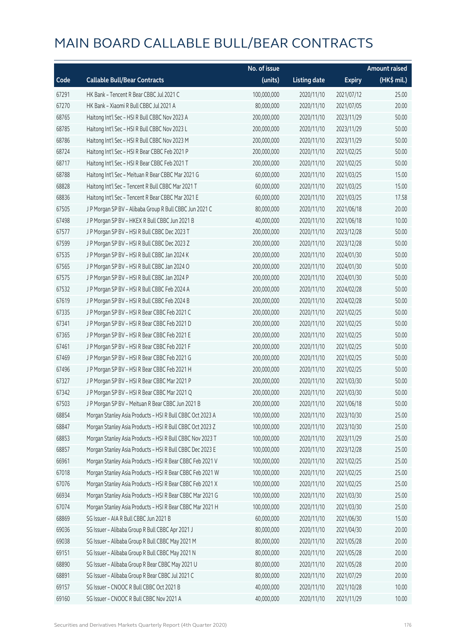|       |                                                           | No. of issue |                     |               | <b>Amount raised</b> |
|-------|-----------------------------------------------------------|--------------|---------------------|---------------|----------------------|
| Code  | <b>Callable Bull/Bear Contracts</b>                       | (units)      | <b>Listing date</b> | <b>Expiry</b> | (HK\$ mil.)          |
| 67291 | HK Bank - Tencent R Bear CBBC Jul 2021 C                  | 100,000,000  | 2020/11/10          | 2021/07/12    | 25.00                |
| 67270 | HK Bank - Xiaomi R Bull CBBC Jul 2021 A                   | 80,000,000   | 2020/11/10          | 2021/07/05    | 20.00                |
| 68765 | Haitong Int'l Sec - HSI R Bull CBBC Nov 2023 A            | 200,000,000  | 2020/11/10          | 2023/11/29    | 50.00                |
| 68785 | Haitong Int'l Sec - HSI R Bull CBBC Nov 2023 L            | 200,000,000  | 2020/11/10          | 2023/11/29    | 50.00                |
| 68786 | Haitong Int'l Sec - HSI R Bull CBBC Nov 2023 M            | 200,000,000  | 2020/11/10          | 2023/11/29    | 50.00                |
| 68724 | Haitong Int'l Sec - HSI R Bear CBBC Feb 2021 P            | 200,000,000  | 2020/11/10          | 2021/02/25    | 50.00                |
| 68717 | Haitong Int'l Sec - HSI R Bear CBBC Feb 2021 T            | 200,000,000  | 2020/11/10          | 2021/02/25    | 50.00                |
| 68788 | Haitong Int'l Sec - Meituan R Bear CBBC Mar 2021 G        | 60,000,000   | 2020/11/10          | 2021/03/25    | 15.00                |
| 68828 | Haitong Int'l Sec - Tencent R Bull CBBC Mar 2021 T        | 60,000,000   | 2020/11/10          | 2021/03/25    | 15.00                |
| 68836 | Haitong Int'l Sec - Tencent R Bear CBBC Mar 2021 E        | 60,000,000   | 2020/11/10          | 2021/03/25    | 17.58                |
| 67505 | J P Morgan SP BV - Alibaba Group R Bull CBBC Jun 2021 C   | 80,000,000   | 2020/11/10          | 2021/06/18    | 20.00                |
| 67498 | J P Morgan SP BV - HKEX R Bull CBBC Jun 2021 B            | 40,000,000   | 2020/11/10          | 2021/06/18    | 10.00                |
| 67577 | J P Morgan SP BV - HSI R Bull CBBC Dec 2023 T             | 200,000,000  | 2020/11/10          | 2023/12/28    | 50.00                |
| 67599 | J P Morgan SP BV - HSI R Bull CBBC Dec 2023 Z             | 200,000,000  | 2020/11/10          | 2023/12/28    | 50.00                |
| 67535 | J P Morgan SP BV - HSI R Bull CBBC Jan 2024 K             | 200,000,000  | 2020/11/10          | 2024/01/30    | 50.00                |
| 67565 | J P Morgan SP BV - HSI R Bull CBBC Jan 2024 O             | 200,000,000  | 2020/11/10          | 2024/01/30    | 50.00                |
| 67575 | J P Morgan SP BV - HSI R Bull CBBC Jan 2024 P             | 200,000,000  | 2020/11/10          | 2024/01/30    | 50.00                |
| 67532 | J P Morgan SP BV - HSI R Bull CBBC Feb 2024 A             | 200,000,000  | 2020/11/10          | 2024/02/28    | 50.00                |
| 67619 | J P Morgan SP BV - HSI R Bull CBBC Feb 2024 B             | 200,000,000  | 2020/11/10          | 2024/02/28    | 50.00                |
| 67335 | J P Morgan SP BV - HSI R Bear CBBC Feb 2021 C             | 200,000,000  | 2020/11/10          | 2021/02/25    | 50.00                |
| 67341 | J P Morgan SP BV - HSI R Bear CBBC Feb 2021 D             | 200,000,000  | 2020/11/10          | 2021/02/25    | 50.00                |
| 67365 | J P Morgan SP BV - HSI R Bear CBBC Feb 2021 E             | 200,000,000  | 2020/11/10          | 2021/02/25    | 50.00                |
| 67461 | J P Morgan SP BV - HSI R Bear CBBC Feb 2021 F             | 200,000,000  | 2020/11/10          | 2021/02/25    | 50.00                |
| 67469 | J P Morgan SP BV - HSI R Bear CBBC Feb 2021 G             | 200,000,000  | 2020/11/10          | 2021/02/25    | 50.00                |
| 67496 | J P Morgan SP BV - HSI R Bear CBBC Feb 2021 H             | 200,000,000  | 2020/11/10          | 2021/02/25    | 50.00                |
| 67327 | J P Morgan SP BV - HSI R Bear CBBC Mar 2021 P             | 200,000,000  | 2020/11/10          | 2021/03/30    | 50.00                |
| 67342 | J P Morgan SP BV - HSI R Bear CBBC Mar 2021 Q             | 200,000,000  | 2020/11/10          | 2021/03/30    | 50.00                |
| 67503 | J P Morgan SP BV - Meituan R Bear CBBC Jun 2021 B         | 200,000,000  | 2020/11/10          | 2021/06/18    | 50.00                |
| 68854 | Morgan Stanley Asia Products - HSI R Bull CBBC Oct 2023 A | 100,000,000  | 2020/11/10          | 2023/10/30    | 25.00                |
| 68847 | Morgan Stanley Asia Products - HSI R Bull CBBC Oct 2023 Z | 100,000,000  | 2020/11/10          | 2023/10/30    | 25.00                |
| 68853 | Morgan Stanley Asia Products - HSI R Bull CBBC Nov 2023 T | 100,000,000  | 2020/11/10          | 2023/11/29    | 25.00                |
| 68857 | Morgan Stanley Asia Products - HSI R Bull CBBC Dec 2023 E | 100,000,000  | 2020/11/10          | 2023/12/28    | 25.00                |
| 66961 | Morgan Stanley Asia Products - HSI R Bear CBBC Feb 2021 V | 100,000,000  | 2020/11/10          | 2021/02/25    | 25.00                |
| 67018 | Morgan Stanley Asia Products - HSI R Bear CBBC Feb 2021 W | 100,000,000  | 2020/11/10          | 2021/02/25    | 25.00                |
| 67076 | Morgan Stanley Asia Products - HSI R Bear CBBC Feb 2021 X | 100,000,000  | 2020/11/10          | 2021/02/25    | 25.00                |
| 66934 | Morgan Stanley Asia Products - HSI R Bear CBBC Mar 2021 G | 100,000,000  | 2020/11/10          | 2021/03/30    | 25.00                |
| 67074 | Morgan Stanley Asia Products - HSI R Bear CBBC Mar 2021 H | 100,000,000  | 2020/11/10          | 2021/03/30    | 25.00                |
| 68869 | SG Issuer - AIA R Bull CBBC Jun 2021 B                    | 60,000,000   | 2020/11/10          | 2021/06/30    | 15.00                |
| 69036 | SG Issuer - Alibaba Group R Bull CBBC Apr 2021 J          | 80,000,000   | 2020/11/10          | 2021/04/30    | 20.00                |
| 69038 | SG Issuer - Alibaba Group R Bull CBBC May 2021 M          | 80,000,000   | 2020/11/10          | 2021/05/28    | 20.00                |
| 69151 | SG Issuer - Alibaba Group R Bull CBBC May 2021 N          | 80,000,000   | 2020/11/10          | 2021/05/28    | 20.00                |
| 68890 | SG Issuer - Alibaba Group R Bear CBBC May 2021 U          | 80,000,000   | 2020/11/10          | 2021/05/28    | 20.00                |
| 68891 | SG Issuer - Alibaba Group R Bear CBBC Jul 2021 C          | 80,000,000   | 2020/11/10          | 2021/07/29    | 20.00                |
| 69157 | SG Issuer - CNOOC R Bull CBBC Oct 2021 B                  | 40,000,000   | 2020/11/10          | 2021/10/28    | 10.00                |
| 69160 | SG Issuer - CNOOC R Bull CBBC Nov 2021 A                  | 40,000,000   | 2020/11/10          | 2021/11/29    | 10.00                |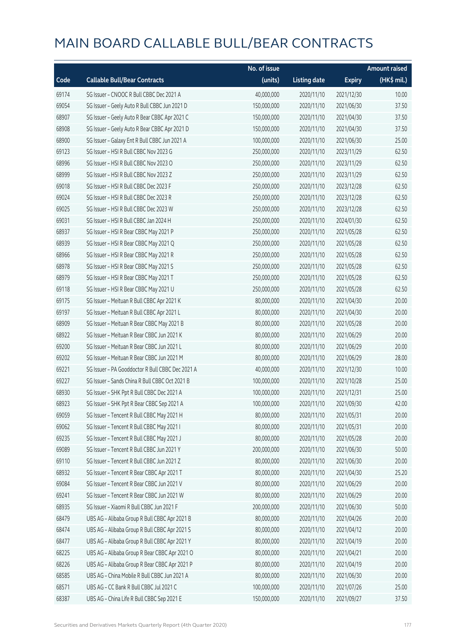|       |                                                  | No. of issue |                     |               | <b>Amount raised</b> |
|-------|--------------------------------------------------|--------------|---------------------|---------------|----------------------|
| Code  | <b>Callable Bull/Bear Contracts</b>              | (units)      | <b>Listing date</b> | <b>Expiry</b> | (HK\$ mil.)          |
| 69174 | SG Issuer - CNOOC R Bull CBBC Dec 2021 A         | 40,000,000   | 2020/11/10          | 2021/12/30    | 10.00                |
| 69054 | SG Issuer - Geely Auto R Bull CBBC Jun 2021 D    | 150,000,000  | 2020/11/10          | 2021/06/30    | 37.50                |
| 68907 | SG Issuer - Geely Auto R Bear CBBC Apr 2021 C    | 150,000,000  | 2020/11/10          | 2021/04/30    | 37.50                |
| 68908 | SG Issuer - Geely Auto R Bear CBBC Apr 2021 D    | 150,000,000  | 2020/11/10          | 2021/04/30    | 37.50                |
| 68900 | SG Issuer - Galaxy Ent R Bull CBBC Jun 2021 A    | 100,000,000  | 2020/11/10          | 2021/06/30    | 25.00                |
| 69123 | SG Issuer - HSI R Bull CBBC Nov 2023 G           | 250,000,000  | 2020/11/10          | 2023/11/29    | 62.50                |
| 68996 | SG Issuer - HSI R Bull CBBC Nov 2023 O           | 250,000,000  | 2020/11/10          | 2023/11/29    | 62.50                |
| 68999 | SG Issuer - HSI R Bull CBBC Nov 2023 Z           | 250,000,000  | 2020/11/10          | 2023/11/29    | 62.50                |
| 69018 | SG Issuer - HSI R Bull CBBC Dec 2023 F           | 250,000,000  | 2020/11/10          | 2023/12/28    | 62.50                |
| 69024 | SG Issuer - HSI R Bull CBBC Dec 2023 R           | 250,000,000  | 2020/11/10          | 2023/12/28    | 62.50                |
| 69025 | SG Issuer - HSI R Bull CBBC Dec 2023 W           | 250,000,000  | 2020/11/10          | 2023/12/28    | 62.50                |
| 69031 | SG Issuer - HSI R Bull CBBC Jan 2024 H           | 250,000,000  | 2020/11/10          | 2024/01/30    | 62.50                |
| 68937 | SG Issuer - HSI R Bear CBBC May 2021 P           | 250,000,000  | 2020/11/10          | 2021/05/28    | 62.50                |
| 68939 | SG Issuer - HSI R Bear CBBC May 2021 Q           | 250,000,000  | 2020/11/10          | 2021/05/28    | 62.50                |
| 68966 | SG Issuer - HSI R Bear CBBC May 2021 R           | 250,000,000  | 2020/11/10          | 2021/05/28    | 62.50                |
| 68978 | SG Issuer - HSI R Bear CBBC May 2021 S           | 250,000,000  | 2020/11/10          | 2021/05/28    | 62.50                |
| 68979 | SG Issuer - HSI R Bear CBBC May 2021 T           | 250,000,000  | 2020/11/10          | 2021/05/28    | 62.50                |
| 69118 | SG Issuer - HSI R Bear CBBC May 2021 U           | 250,000,000  | 2020/11/10          | 2021/05/28    | 62.50                |
| 69175 | SG Issuer - Meituan R Bull CBBC Apr 2021 K       | 80,000,000   | 2020/11/10          | 2021/04/30    | 20.00                |
| 69197 | SG Issuer - Meituan R Bull CBBC Apr 2021 L       | 80,000,000   | 2020/11/10          | 2021/04/30    | 20.00                |
| 68909 | SG Issuer - Meituan R Bear CBBC May 2021 B       | 80,000,000   | 2020/11/10          | 2021/05/28    | 20.00                |
| 68922 | SG Issuer - Meituan R Bear CBBC Jun 2021 K       | 80,000,000   | 2020/11/10          | 2021/06/29    | 20.00                |
| 69200 | SG Issuer - Meituan R Bear CBBC Jun 2021 L       | 80,000,000   | 2020/11/10          | 2021/06/29    | 20.00                |
| 69202 | SG Issuer - Meituan R Bear CBBC Jun 2021 M       | 80,000,000   | 2020/11/10          | 2021/06/29    | 28.00                |
| 69221 | SG Issuer - PA Gooddoctor R Bull CBBC Dec 2021 A | 40,000,000   | 2020/11/10          | 2021/12/30    | 10.00                |
| 69227 | SG Issuer - Sands China R Bull CBBC Oct 2021 B   | 100,000,000  | 2020/11/10          | 2021/10/28    | 25.00                |
| 68930 | SG Issuer - SHK Ppt R Bull CBBC Dec 2021 A       | 100,000,000  | 2020/11/10          | 2021/12/31    | 25.00                |
| 68923 | SG Issuer - SHK Ppt R Bear CBBC Sep 2021 A       | 100,000,000  | 2020/11/10          | 2021/09/30    | 42.00                |
| 69059 | SG Issuer - Tencent R Bull CBBC May 2021 H       | 80,000,000   | 2020/11/10          | 2021/05/31    | 20.00                |
| 69062 | SG Issuer - Tencent R Bull CBBC May 2021 I       | 80,000,000   | 2020/11/10          | 2021/05/31    | 20.00                |
| 69235 | SG Issuer - Tencent R Bull CBBC May 2021 J       | 80,000,000   | 2020/11/10          | 2021/05/28    | 20.00                |
| 69089 | SG Issuer - Tencent R Bull CBBC Jun 2021 Y       | 200,000,000  | 2020/11/10          | 2021/06/30    | 50.00                |
| 69110 | SG Issuer - Tencent R Bull CBBC Jun 2021 Z       | 80,000,000   | 2020/11/10          | 2021/06/30    | 20.00                |
| 68932 | SG Issuer - Tencent R Bear CBBC Apr 2021 T       | 80,000,000   | 2020/11/10          | 2021/04/30    | 25.20                |
| 69084 | SG Issuer - Tencent R Bear CBBC Jun 2021 V       | 80,000,000   | 2020/11/10          | 2021/06/29    | 20.00                |
| 69241 | SG Issuer - Tencent R Bear CBBC Jun 2021 W       | 80,000,000   | 2020/11/10          | 2021/06/29    | 20.00                |
| 68935 | SG Issuer - Xiaomi R Bull CBBC Jun 2021 F        | 200,000,000  | 2020/11/10          | 2021/06/30    | 50.00                |
| 68479 | UBS AG - Alibaba Group R Bull CBBC Apr 2021 B    | 80,000,000   | 2020/11/10          | 2021/04/26    | 20.00                |
| 68474 | UBS AG - Alibaba Group R Bull CBBC Apr 2021 S    | 80,000,000   | 2020/11/10          | 2021/04/12    | 20.00                |
| 68477 | UBS AG - Alibaba Group R Bull CBBC Apr 2021 Y    | 80,000,000   | 2020/11/10          | 2021/04/19    | 20.00                |
| 68225 | UBS AG - Alibaba Group R Bear CBBC Apr 2021 O    | 80,000,000   | 2020/11/10          | 2021/04/21    | 20.00                |
| 68226 | UBS AG - Alibaba Group R Bear CBBC Apr 2021 P    | 80,000,000   | 2020/11/10          | 2021/04/19    | 20.00                |
| 68585 | UBS AG - China Mobile R Bull CBBC Jun 2021 A     | 80,000,000   | 2020/11/10          | 2021/06/30    | 20.00                |
| 68571 | UBS AG - CC Bank R Bull CBBC Jul 2021 C          | 100,000,000  | 2020/11/10          | 2021/07/26    | 25.00                |
| 68387 | UBS AG - China Life R Bull CBBC Sep 2021 E       | 150,000,000  | 2020/11/10          | 2021/09/27    | 37.50                |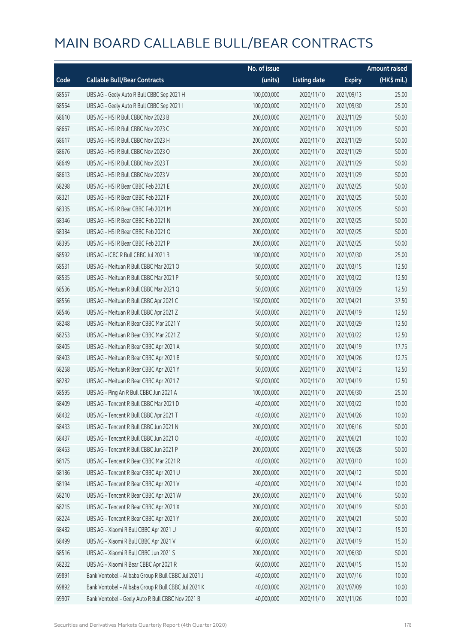|       |                                                      | No. of issue |                     |               | <b>Amount raised</b> |
|-------|------------------------------------------------------|--------------|---------------------|---------------|----------------------|
| Code  | <b>Callable Bull/Bear Contracts</b>                  | (units)      | <b>Listing date</b> | <b>Expiry</b> | (HK\$ mil.)          |
| 68557 | UBS AG - Geely Auto R Bull CBBC Sep 2021 H           | 100,000,000  | 2020/11/10          | 2021/09/13    | 25.00                |
| 68564 | UBS AG - Geely Auto R Bull CBBC Sep 2021 I           | 100,000,000  | 2020/11/10          | 2021/09/30    | 25.00                |
| 68610 | UBS AG - HSI R Bull CBBC Nov 2023 B                  | 200,000,000  | 2020/11/10          | 2023/11/29    | 50.00                |
| 68667 | UBS AG - HSI R Bull CBBC Nov 2023 C                  | 200,000,000  | 2020/11/10          | 2023/11/29    | 50.00                |
| 68617 | UBS AG - HSI R Bull CBBC Nov 2023 H                  | 200,000,000  | 2020/11/10          | 2023/11/29    | 50.00                |
| 68676 | UBS AG - HSI R Bull CBBC Nov 2023 O                  | 200,000,000  | 2020/11/10          | 2023/11/29    | 50.00                |
| 68649 | UBS AG - HSI R Bull CBBC Nov 2023 T                  | 200,000,000  | 2020/11/10          | 2023/11/29    | 50.00                |
| 68613 | UBS AG - HSI R Bull CBBC Nov 2023 V                  | 200,000,000  | 2020/11/10          | 2023/11/29    | 50.00                |
| 68298 | UBS AG - HSI R Bear CBBC Feb 2021 E                  | 200,000,000  | 2020/11/10          | 2021/02/25    | 50.00                |
| 68321 | UBS AG - HSI R Bear CBBC Feb 2021 F                  | 200,000,000  | 2020/11/10          | 2021/02/25    | 50.00                |
| 68335 | UBS AG - HSI R Bear CBBC Feb 2021 M                  | 200,000,000  | 2020/11/10          | 2021/02/25    | 50.00                |
| 68346 | UBS AG - HSI R Bear CBBC Feb 2021 N                  | 200,000,000  | 2020/11/10          | 2021/02/25    | 50.00                |
| 68384 | UBS AG - HSI R Bear CBBC Feb 2021 O                  | 200,000,000  | 2020/11/10          | 2021/02/25    | 50.00                |
| 68395 | UBS AG - HSI R Bear CBBC Feb 2021 P                  | 200,000,000  | 2020/11/10          | 2021/02/25    | 50.00                |
| 68592 | UBS AG - ICBC R Bull CBBC Jul 2021 B                 | 100,000,000  | 2020/11/10          | 2021/07/30    | 25.00                |
| 68531 | UBS AG - Meituan R Bull CBBC Mar 2021 O              | 50,000,000   | 2020/11/10          | 2021/03/15    | 12.50                |
| 68535 | UBS AG - Meituan R Bull CBBC Mar 2021 P              | 50,000,000   | 2020/11/10          | 2021/03/22    | 12.50                |
| 68536 | UBS AG - Meituan R Bull CBBC Mar 2021 Q              | 50,000,000   | 2020/11/10          | 2021/03/29    | 12.50                |
| 68556 | UBS AG - Meituan R Bull CBBC Apr 2021 C              | 150,000,000  | 2020/11/10          | 2021/04/21    | 37.50                |
| 68546 | UBS AG - Meituan R Bull CBBC Apr 2021 Z              | 50,000,000   | 2020/11/10          | 2021/04/19    | 12.50                |
| 68248 | UBS AG - Meituan R Bear CBBC Mar 2021 Y              | 50,000,000   | 2020/11/10          | 2021/03/29    | 12.50                |
| 68253 | UBS AG - Meituan R Bear CBBC Mar 2021 Z              | 50,000,000   | 2020/11/10          | 2021/03/22    | 12.50                |
| 68405 | UBS AG - Meituan R Bear CBBC Apr 2021 A              | 50,000,000   | 2020/11/10          | 2021/04/19    | 17.75                |
| 68403 | UBS AG - Meituan R Bear CBBC Apr 2021 B              | 50,000,000   | 2020/11/10          | 2021/04/26    | 12.75                |
| 68268 | UBS AG - Meituan R Bear CBBC Apr 2021 Y              | 50,000,000   | 2020/11/10          | 2021/04/12    | 12.50                |
| 68282 | UBS AG - Meituan R Bear CBBC Apr 2021 Z              | 50,000,000   | 2020/11/10          | 2021/04/19    | 12.50                |
| 68595 | UBS AG - Ping An R Bull CBBC Jun 2021 A              | 100,000,000  | 2020/11/10          | 2021/06/30    | 25.00                |
| 68409 | UBS AG - Tencent R Bull CBBC Mar 2021 D              | 40,000,000   | 2020/11/10          | 2021/03/22    | 10.00                |
| 68432 | UBS AG - Tencent R Bull CBBC Apr 2021 T              | 40,000,000   | 2020/11/10          | 2021/04/26    | 10.00                |
| 68433 | UBS AG - Tencent R Bull CBBC Jun 2021 N              | 200,000,000  | 2020/11/10          | 2021/06/16    | 50.00                |
| 68437 | UBS AG - Tencent R Bull CBBC Jun 2021 O              | 40,000,000   | 2020/11/10          | 2021/06/21    | 10.00                |
| 68463 | UBS AG - Tencent R Bull CBBC Jun 2021 P              | 200,000,000  | 2020/11/10          | 2021/06/28    | 50.00                |
| 68175 | UBS AG - Tencent R Bear CBBC Mar 2021 R              | 40,000,000   | 2020/11/10          | 2021/03/10    | 10.00                |
| 68186 | UBS AG - Tencent R Bear CBBC Apr 2021 U              | 200,000,000  | 2020/11/10          | 2021/04/12    | 50.00                |
| 68194 | UBS AG - Tencent R Bear CBBC Apr 2021 V              | 40,000,000   | 2020/11/10          | 2021/04/14    | 10.00                |
| 68210 | UBS AG - Tencent R Bear CBBC Apr 2021 W              | 200,000,000  | 2020/11/10          | 2021/04/16    | 50.00                |
| 68215 | UBS AG - Tencent R Bear CBBC Apr 2021 X              | 200,000,000  | 2020/11/10          | 2021/04/19    | 50.00                |
| 68224 | UBS AG - Tencent R Bear CBBC Apr 2021 Y              | 200,000,000  | 2020/11/10          | 2021/04/21    | 50.00                |
| 68482 | UBS AG - Xiaomi R Bull CBBC Apr 2021 U               | 60,000,000   | 2020/11/10          | 2021/04/12    | 15.00                |
| 68499 | UBS AG - Xiaomi R Bull CBBC Apr 2021 V               | 60,000,000   | 2020/11/10          | 2021/04/19    | 15.00                |
| 68516 | UBS AG - Xiaomi R Bull CBBC Jun 2021 S               | 200,000,000  | 2020/11/10          | 2021/06/30    | 50.00                |
| 68232 | UBS AG - Xiaomi R Bear CBBC Apr 2021 R               | 60,000,000   | 2020/11/10          | 2021/04/15    | 15.00                |
| 69891 | Bank Vontobel - Alibaba Group R Bull CBBC Jul 2021 J | 40,000,000   | 2020/11/10          | 2021/07/16    | 10.00                |
| 69892 | Bank Vontobel - Alibaba Group R Bull CBBC Jul 2021 K | 40,000,000   | 2020/11/10          | 2021/07/09    | 10.00                |
| 69907 | Bank Vontobel - Geely Auto R Bull CBBC Nov 2021 B    | 40,000,000   | 2020/11/10          | 2021/11/26    | 10.00                |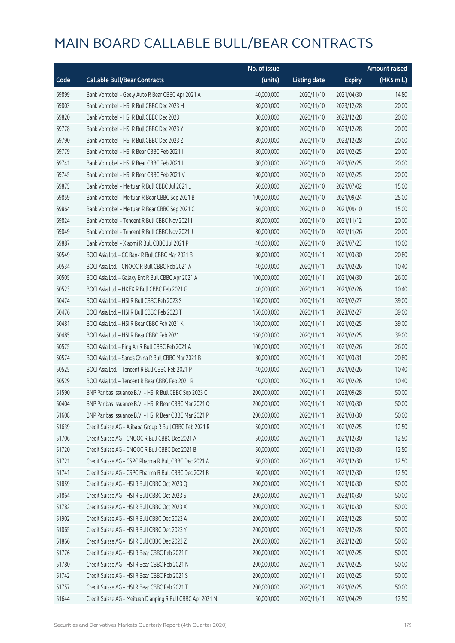|       |                                                            | No. of issue |                     |               | <b>Amount raised</b> |
|-------|------------------------------------------------------------|--------------|---------------------|---------------|----------------------|
| Code  | <b>Callable Bull/Bear Contracts</b>                        | (units)      | <b>Listing date</b> | <b>Expiry</b> | (HK\$ mil.)          |
| 69899 | Bank Vontobel - Geely Auto R Bear CBBC Apr 2021 A          | 40,000,000   | 2020/11/10          | 2021/04/30    | 14.80                |
| 69803 | Bank Vontobel - HSI R Bull CBBC Dec 2023 H                 | 80,000,000   | 2020/11/10          | 2023/12/28    | 20.00                |
| 69820 | Bank Vontobel - HSI R Bull CBBC Dec 2023 I                 | 80,000,000   | 2020/11/10          | 2023/12/28    | 20.00                |
| 69778 | Bank Vontobel - HSI R Bull CBBC Dec 2023 Y                 | 80,000,000   | 2020/11/10          | 2023/12/28    | 20.00                |
| 69790 | Bank Vontobel - HSI R Bull CBBC Dec 2023 Z                 | 80,000,000   | 2020/11/10          | 2023/12/28    | 20.00                |
| 69779 | Bank Vontobel - HSI R Bear CBBC Feb 2021 I                 | 80,000,000   | 2020/11/10          | 2021/02/25    | 20.00                |
| 69741 | Bank Vontobel - HSI R Bear CBBC Feb 2021 L                 | 80,000,000   | 2020/11/10          | 2021/02/25    | 20.00                |
| 69745 | Bank Vontobel - HSI R Bear CBBC Feb 2021 V                 | 80,000,000   | 2020/11/10          | 2021/02/25    | 20.00                |
| 69875 | Bank Vontobel - Meituan R Bull CBBC Jul 2021 L             | 60,000,000   | 2020/11/10          | 2021/07/02    | 15.00                |
| 69859 | Bank Vontobel - Meituan R Bear CBBC Sep 2021 B             | 100,000,000  | 2020/11/10          | 2021/09/24    | 25.00                |
| 69864 | Bank Vontobel - Meituan R Bear CBBC Sep 2021 C             | 60,000,000   | 2020/11/10          | 2021/09/10    | 15.00                |
| 69824 | Bank Vontobel - Tencent R Bull CBBC Nov 2021 I             | 80,000,000   | 2020/11/10          | 2021/11/12    | 20.00                |
| 69849 | Bank Vontobel - Tencent R Bull CBBC Nov 2021 J             | 80,000,000   | 2020/11/10          | 2021/11/26    | 20.00                |
| 69887 | Bank Vontobel - Xiaomi R Bull CBBC Jul 2021 P              | 40,000,000   | 2020/11/10          | 2021/07/23    | 10.00                |
| 50549 | BOCI Asia Ltd. - CC Bank R Bull CBBC Mar 2021 B            | 80,000,000   | 2020/11/11          | 2021/03/30    | 20.80                |
| 50534 | BOCI Asia Ltd. - CNOOC R Bull CBBC Feb 2021 A              | 40,000,000   | 2020/11/11          | 2021/02/26    | 10.40                |
| 50505 | BOCI Asia Ltd. - Galaxy Ent R Bull CBBC Apr 2021 A         | 100,000,000  | 2020/11/11          | 2021/04/30    | 26.00                |
| 50523 | BOCI Asia Ltd. - HKEX R Bull CBBC Feb 2021 G               | 40,000,000   | 2020/11/11          | 2021/02/26    | 10.40                |
| 50474 | BOCI Asia Ltd. - HSI R Bull CBBC Feb 2023 S                | 150,000,000  | 2020/11/11          | 2023/02/27    | 39.00                |
| 50476 | BOCI Asia Ltd. - HSI R Bull CBBC Feb 2023 T                | 150,000,000  | 2020/11/11          | 2023/02/27    | 39.00                |
| 50481 | BOCI Asia Ltd. - HSI R Bear CBBC Feb 2021 K                | 150,000,000  | 2020/11/11          | 2021/02/25    | 39.00                |
| 50485 | BOCI Asia Ltd. - HSI R Bear CBBC Feb 2021 L                | 150,000,000  | 2020/11/11          | 2021/02/25    | 39.00                |
| 50575 | BOCI Asia Ltd. - Ping An R Bull CBBC Feb 2021 A            | 100,000,000  | 2020/11/11          | 2021/02/26    | 26.00                |
| 50574 | BOCI Asia Ltd. - Sands China R Bull CBBC Mar 2021 B        | 80,000,000   | 2020/11/11          | 2021/03/31    | 20.80                |
| 50525 | BOCI Asia Ltd. - Tencent R Bull CBBC Feb 2021 P            | 40,000,000   | 2020/11/11          | 2021/02/26    | 10.40                |
| 50529 | BOCI Asia Ltd. - Tencent R Bear CBBC Feb 2021 R            | 40,000,000   | 2020/11/11          | 2021/02/26    | 10.40                |
| 51590 | BNP Paribas Issuance B.V. - HSI R Bull CBBC Sep 2023 C     | 200,000,000  | 2020/11/11          | 2023/09/28    | 50.00                |
| 50404 | BNP Paribas Issuance B.V. - HSLR Bear CBBC Mar 2021 O      | 200,000,000  | 2020/11/11          | 2021/03/30    | 50.00                |
| 51608 | BNP Paribas Issuance B.V. - HSI R Bear CBBC Mar 2021 P     | 200,000,000  | 2020/11/11          | 2021/03/30    | 50.00                |
| 51639 | Credit Suisse AG - Alibaba Group R Bull CBBC Feb 2021 R    | 50,000,000   | 2020/11/11          | 2021/02/25    | 12.50                |
| 51706 | Credit Suisse AG - CNOOC R Bull CBBC Dec 2021 A            | 50,000,000   | 2020/11/11          | 2021/12/30    | 12.50                |
| 51720 | Credit Suisse AG - CNOOC R Bull CBBC Dec 2021 B            | 50,000,000   | 2020/11/11          | 2021/12/30    | 12.50                |
| 51721 | Credit Suisse AG - CSPC Pharma R Bull CBBC Dec 2021 A      | 50,000,000   | 2020/11/11          | 2021/12/30    | 12.50                |
| 51741 | Credit Suisse AG - CSPC Pharma R Bull CBBC Dec 2021 B      | 50,000,000   | 2020/11/11          | 2021/12/30    | 12.50                |
| 51859 | Credit Suisse AG - HSI R Bull CBBC Oct 2023 Q              | 200,000,000  | 2020/11/11          | 2023/10/30    | 50.00                |
| 51864 | Credit Suisse AG - HSI R Bull CBBC Oct 2023 S              | 200,000,000  | 2020/11/11          | 2023/10/30    | 50.00                |
| 51782 | Credit Suisse AG - HSI R Bull CBBC Oct 2023 X              | 200,000,000  | 2020/11/11          | 2023/10/30    | 50.00                |
| 51902 | Credit Suisse AG - HSI R Bull CBBC Dec 2023 A              | 200,000,000  | 2020/11/11          | 2023/12/28    | 50.00                |
| 51865 | Credit Suisse AG - HSI R Bull CBBC Dec 2023 Y              | 200,000,000  | 2020/11/11          | 2023/12/28    | 50.00                |
| 51866 | Credit Suisse AG - HSI R Bull CBBC Dec 2023 Z              | 200,000,000  | 2020/11/11          | 2023/12/28    | 50.00                |
| 51776 | Credit Suisse AG - HSI R Bear CBBC Feb 2021 F              | 200,000,000  | 2020/11/11          | 2021/02/25    | 50.00                |
| 51780 | Credit Suisse AG - HSI R Bear CBBC Feb 2021 N              | 200,000,000  | 2020/11/11          | 2021/02/25    | 50.00                |
| 51742 | Credit Suisse AG - HSI R Bear CBBC Feb 2021 S              | 200,000,000  | 2020/11/11          | 2021/02/25    | 50.00                |
| 51757 | Credit Suisse AG - HSI R Bear CBBC Feb 2021 T              | 200,000,000  | 2020/11/11          | 2021/02/25    | 50.00                |
| 51644 | Credit Suisse AG - Meituan Dianping R Bull CBBC Apr 2021 N | 50,000,000   | 2020/11/11          | 2021/04/29    | 12.50                |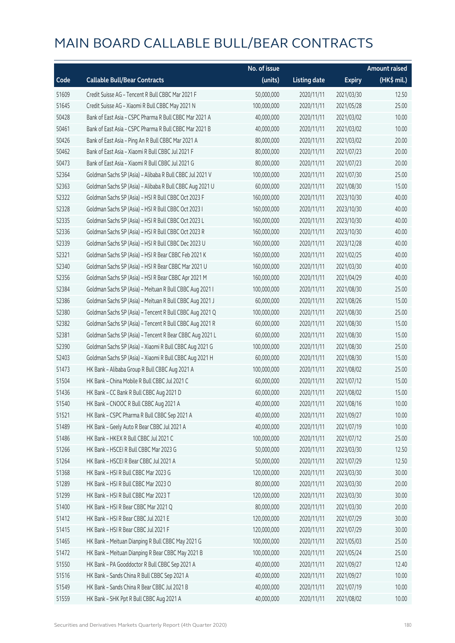|       |                                                          | No. of issue |                     |               | <b>Amount raised</b> |
|-------|----------------------------------------------------------|--------------|---------------------|---------------|----------------------|
| Code  | <b>Callable Bull/Bear Contracts</b>                      | (units)      | <b>Listing date</b> | <b>Expiry</b> | (HK\$ mil.)          |
| 51609 | Credit Suisse AG - Tencent R Bull CBBC Mar 2021 F        | 50,000,000   | 2020/11/11          | 2021/03/30    | 12.50                |
| 51645 | Credit Suisse AG - Xiaomi R Bull CBBC May 2021 N         | 100,000,000  | 2020/11/11          | 2021/05/28    | 25.00                |
| 50428 | Bank of East Asia - CSPC Pharma R Bull CBBC Mar 2021 A   | 40,000,000   | 2020/11/11          | 2021/03/02    | 10.00                |
| 50461 | Bank of East Asia - CSPC Pharma R Bull CBBC Mar 2021 B   | 40,000,000   | 2020/11/11          | 2021/03/02    | 10.00                |
| 50426 | Bank of East Asia - Ping An R Bull CBBC Mar 2021 A       | 80,000,000   | 2020/11/11          | 2021/03/02    | 20.00                |
| 50462 | Bank of East Asia - Xiaomi R Bull CBBC Jul 2021 F        | 80,000,000   | 2020/11/11          | 2021/07/23    | 20.00                |
| 50473 | Bank of East Asia - Xiaomi R Bull CBBC Jul 2021 G        | 80,000,000   | 2020/11/11          | 2021/07/23    | 20.00                |
| 52364 | Goldman Sachs SP (Asia) - Alibaba R Bull CBBC Jul 2021 V | 100,000,000  | 2020/11/11          | 2021/07/30    | 25.00                |
| 52363 | Goldman Sachs SP (Asia) - Alibaba R Bull CBBC Aug 2021 U | 60,000,000   | 2020/11/11          | 2021/08/30    | 15.00                |
| 52322 | Goldman Sachs SP (Asia) - HSI R Bull CBBC Oct 2023 F     | 160,000,000  | 2020/11/11          | 2023/10/30    | 40.00                |
| 52328 | Goldman Sachs SP (Asia) - HSI R Bull CBBC Oct 2023 I     | 160,000,000  | 2020/11/11          | 2023/10/30    | 40.00                |
| 52335 | Goldman Sachs SP (Asia) - HSI R Bull CBBC Oct 2023 L     | 160,000,000  | 2020/11/11          | 2023/10/30    | 40.00                |
| 52336 | Goldman Sachs SP (Asia) - HSI R Bull CBBC Oct 2023 R     | 160,000,000  | 2020/11/11          | 2023/10/30    | 40.00                |
| 52339 | Goldman Sachs SP (Asia) - HSI R Bull CBBC Dec 2023 U     | 160,000,000  | 2020/11/11          | 2023/12/28    | 40.00                |
| 52321 | Goldman Sachs SP (Asia) - HSI R Bear CBBC Feb 2021 K     | 160,000,000  | 2020/11/11          | 2021/02/25    | 40.00                |
| 52340 | Goldman Sachs SP (Asia) - HSI R Bear CBBC Mar 2021 U     | 160,000,000  | 2020/11/11          | 2021/03/30    | 40.00                |
| 52356 | Goldman Sachs SP (Asia) - HSI R Bear CBBC Apr 2021 M     | 160,000,000  | 2020/11/11          | 2021/04/29    | 40.00                |
| 52384 | Goldman Sachs SP (Asia) - Meituan R Bull CBBC Aug 2021 I | 100,000,000  | 2020/11/11          | 2021/08/30    | 25.00                |
| 52386 | Goldman Sachs SP (Asia) - Meituan R Bull CBBC Aug 2021 J | 60,000,000   | 2020/11/11          | 2021/08/26    | 15.00                |
| 52380 | Goldman Sachs SP (Asia) - Tencent R Bull CBBC Aug 2021 Q | 100,000,000  | 2020/11/11          | 2021/08/30    | 25.00                |
| 52382 | Goldman Sachs SP (Asia) - Tencent R Bull CBBC Aug 2021 R | 60,000,000   | 2020/11/11          | 2021/08/30    | 15.00                |
| 52381 | Goldman Sachs SP (Asia) - Tencent R Bear CBBC Aug 2021 L | 60,000,000   | 2020/11/11          | 2021/08/30    | 15.00                |
| 52390 | Goldman Sachs SP (Asia) - Xiaomi R Bull CBBC Aug 2021 G  | 100,000,000  | 2020/11/11          | 2021/08/30    | 25.00                |
| 52403 | Goldman Sachs SP (Asia) - Xiaomi R Bull CBBC Aug 2021 H  | 60,000,000   | 2020/11/11          | 2021/08/30    | 15.00                |
| 51473 | HK Bank - Alibaba Group R Bull CBBC Aug 2021 A           | 100,000,000  | 2020/11/11          | 2021/08/02    | 25.00                |
| 51504 | HK Bank - China Mobile R Bull CBBC Jul 2021 C            | 60,000,000   | 2020/11/11          | 2021/07/12    | 15.00                |
| 51436 | HK Bank - CC Bank R Bull CBBC Aug 2021 D                 | 60,000,000   | 2020/11/11          | 2021/08/02    | 15.00                |
| 51540 | HK Bank - CNOOC R Bull CBBC Aug 2021 A                   | 40,000,000   | 2020/11/11          | 2021/08/16    | 10.00                |
| 51521 | HK Bank - CSPC Pharma R Bull CBBC Sep 2021 A             | 40,000,000   | 2020/11/11          | 2021/09/27    | 10.00                |
| 51489 | HK Bank - Geely Auto R Bear CBBC Jul 2021 A              | 40,000,000   | 2020/11/11          | 2021/07/19    | 10.00                |
| 51486 | HK Bank - HKEX R Bull CBBC Jul 2021 C                    | 100,000,000  | 2020/11/11          | 2021/07/12    | 25.00                |
| 51266 | HK Bank - HSCEI R Bull CBBC Mar 2023 G                   | 50,000,000   | 2020/11/11          | 2023/03/30    | 12.50                |
| 51264 | HK Bank - HSCEI R Bear CBBC Jul 2021 A                   | 50,000,000   | 2020/11/11          | 2021/07/29    | 12.50                |
| 51368 | HK Bank - HSI R Bull CBBC Mar 2023 G                     | 120,000,000  | 2020/11/11          | 2023/03/30    | 30.00                |
| 51289 | HK Bank - HSI R Bull CBBC Mar 2023 O                     | 80,000,000   | 2020/11/11          | 2023/03/30    | 20.00                |
| 51299 | HK Bank - HSI R Bull CBBC Mar 2023 T                     | 120,000,000  | 2020/11/11          | 2023/03/30    | 30.00                |
| 51400 | HK Bank - HSI R Bear CBBC Mar 2021 Q                     | 80,000,000   | 2020/11/11          | 2021/03/30    | 20.00                |
| 51412 | HK Bank - HSI R Bear CBBC Jul 2021 E                     | 120,000,000  | 2020/11/11          | 2021/07/29    | 30.00                |
| 51415 | HK Bank - HSI R Bear CBBC Jul 2021 F                     | 120,000,000  | 2020/11/11          | 2021/07/29    | 30.00                |
| 51465 | HK Bank - Meituan Dianping R Bull CBBC May 2021 G        | 100,000,000  | 2020/11/11          | 2021/05/03    | 25.00                |
| 51472 | HK Bank - Meituan Dianping R Bear CBBC May 2021 B        | 100,000,000  | 2020/11/11          | 2021/05/24    | 25.00                |
| 51550 | HK Bank - PA Gooddoctor R Bull CBBC Sep 2021 A           | 40,000,000   | 2020/11/11          | 2021/09/27    | 12.40                |
| 51516 | HK Bank - Sands China R Bull CBBC Sep 2021 A             | 40,000,000   | 2020/11/11          | 2021/09/27    | 10.00                |
| 51549 | HK Bank - Sands China R Bear CBBC Jul 2021 B             | 40,000,000   | 2020/11/11          | 2021/07/19    | 10.00                |
| 51559 | HK Bank - SHK Ppt R Bull CBBC Aug 2021 A                 | 40,000,000   | 2020/11/11          | 2021/08/02    | 10.00                |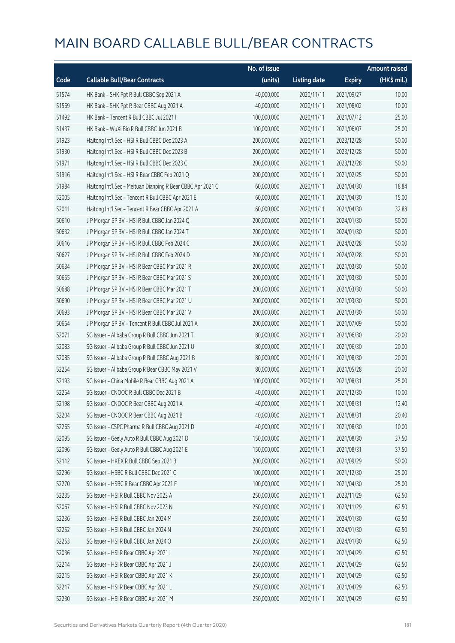|       |                                                             | No. of issue |                     |               | <b>Amount raised</b> |
|-------|-------------------------------------------------------------|--------------|---------------------|---------------|----------------------|
| Code  | <b>Callable Bull/Bear Contracts</b>                         | (units)      | <b>Listing date</b> | <b>Expiry</b> | (HK\$ mil.)          |
| 51574 | HK Bank - SHK Ppt R Bull CBBC Sep 2021 A                    | 40,000,000   | 2020/11/11          | 2021/09/27    | 10.00                |
| 51569 | HK Bank - SHK Ppt R Bear CBBC Aug 2021 A                    | 40,000,000   | 2020/11/11          | 2021/08/02    | 10.00                |
| 51492 | HK Bank - Tencent R Bull CBBC Jul 2021 I                    | 100,000,000  | 2020/11/11          | 2021/07/12    | 25.00                |
| 51437 | HK Bank - WuXi Bio R Bull CBBC Jun 2021 B                   | 100,000,000  | 2020/11/11          | 2021/06/07    | 25.00                |
| 51923 | Haitong Int'l Sec - HSI R Bull CBBC Dec 2023 A              | 200,000,000  | 2020/11/11          | 2023/12/28    | 50.00                |
| 51930 | Haitong Int'l Sec - HSI R Bull CBBC Dec 2023 B              | 200,000,000  | 2020/11/11          | 2023/12/28    | 50.00                |
| 51971 | Haitong Int'l Sec - HSI R Bull CBBC Dec 2023 C              | 200,000,000  | 2020/11/11          | 2023/12/28    | 50.00                |
| 51916 | Haitong Int'l Sec - HSI R Bear CBBC Feb 2021 Q              | 200,000,000  | 2020/11/11          | 2021/02/25    | 50.00                |
| 51984 | Haitong Int'l Sec - Meituan Dianping R Bear CBBC Apr 2021 C | 60,000,000   | 2020/11/11          | 2021/04/30    | 18.84                |
| 52005 | Haitong Int'l Sec - Tencent R Bull CBBC Apr 2021 E          | 60,000,000   | 2020/11/11          | 2021/04/30    | 15.00                |
| 52011 | Haitong Int'l Sec - Tencent R Bear CBBC Apr 2021 A          | 60,000,000   | 2020/11/11          | 2021/04/30    | 32.88                |
| 50610 | J P Morgan SP BV - HSI R Bull CBBC Jan 2024 Q               | 200,000,000  | 2020/11/11          | 2024/01/30    | 50.00                |
| 50632 | J P Morgan SP BV - HSI R Bull CBBC Jan 2024 T               | 200,000,000  | 2020/11/11          | 2024/01/30    | 50.00                |
| 50616 | J P Morgan SP BV - HSI R Bull CBBC Feb 2024 C               | 200,000,000  | 2020/11/11          | 2024/02/28    | 50.00                |
| 50627 | J P Morgan SP BV - HSI R Bull CBBC Feb 2024 D               | 200,000,000  | 2020/11/11          | 2024/02/28    | 50.00                |
| 50634 | J P Morgan SP BV - HSI R Bear CBBC Mar 2021 R               | 200,000,000  | 2020/11/11          | 2021/03/30    | 50.00                |
| 50655 | J P Morgan SP BV - HSI R Bear CBBC Mar 2021 S               | 200,000,000  | 2020/11/11          | 2021/03/30    | 50.00                |
| 50688 | J P Morgan SP BV - HSI R Bear CBBC Mar 2021 T               | 200,000,000  | 2020/11/11          | 2021/03/30    | 50.00                |
| 50690 | J P Morgan SP BV - HSI R Bear CBBC Mar 2021 U               | 200,000,000  | 2020/11/11          | 2021/03/30    | 50.00                |
| 50693 | J P Morgan SP BV - HSI R Bear CBBC Mar 2021 V               | 200,000,000  | 2020/11/11          | 2021/03/30    | 50.00                |
| 50664 | J P Morgan SP BV - Tencent R Bull CBBC Jul 2021 A           | 200,000,000  | 2020/11/11          | 2021/07/09    | 50.00                |
| 52071 | SG Issuer - Alibaba Group R Bull CBBC Jun 2021 T            | 80,000,000   | 2020/11/11          | 2021/06/30    | 20.00                |
| 52083 | SG Issuer - Alibaba Group R Bull CBBC Jun 2021 U            | 80,000,000   | 2020/11/11          | 2021/06/30    | 20.00                |
| 52085 | SG Issuer - Alibaba Group R Bull CBBC Aug 2021 B            | 80,000,000   | 2020/11/11          | 2021/08/30    | 20.00                |
| 52254 | SG Issuer - Alibaba Group R Bear CBBC May 2021 V            | 80,000,000   | 2020/11/11          | 2021/05/28    | 20.00                |
| 52193 | SG Issuer - China Mobile R Bear CBBC Aug 2021 A             | 100,000,000  | 2020/11/11          | 2021/08/31    | 25.00                |
| 52264 | SG Issuer - CNOOC R Bull CBBC Dec 2021 B                    | 40,000,000   | 2020/11/11          | 2021/12/30    | 10.00                |
| 52198 | SG Issuer - CNOOC R Bear CBBC Aug 2021 A                    | 40,000,000   | 2020/11/11          | 2021/08/31    | 12.40                |
| 52204 | SG Issuer - CNOOC R Bear CBBC Aug 2021 B                    | 40,000,000   | 2020/11/11          | 2021/08/31    | 20.40                |
| 52265 | SG Issuer - CSPC Pharma R Bull CBBC Aug 2021 D              | 40,000,000   | 2020/11/11          | 2021/08/30    | 10.00                |
| 52095 | SG Issuer - Geely Auto R Bull CBBC Aug 2021 D               | 150,000,000  | 2020/11/11          | 2021/08/30    | 37.50                |
| 52096 | SG Issuer - Geely Auto R Bull CBBC Aug 2021 E               | 150,000,000  | 2020/11/11          | 2021/08/31    | 37.50                |
| 52112 | SG Issuer - HKEX R Bull CBBC Sep 2021 B                     | 200,000,000  | 2020/11/11          | 2021/09/29    | 50.00                |
| 52296 | SG Issuer - HSBC R Bull CBBC Dec 2021 C                     | 100,000,000  | 2020/11/11          | 2021/12/30    | 25.00                |
| 52270 | SG Issuer - HSBC R Bear CBBC Apr 2021 F                     | 100,000,000  | 2020/11/11          | 2021/04/30    | 25.00                |
| 52235 | SG Issuer - HSI R Bull CBBC Nov 2023 A                      | 250,000,000  | 2020/11/11          | 2023/11/29    | 62.50                |
| 52067 | SG Issuer - HSI R Bull CBBC Nov 2023 N                      | 250,000,000  | 2020/11/11          | 2023/11/29    | 62.50                |
| 52236 | SG Issuer - HSI R Bull CBBC Jan 2024 M                      | 250,000,000  | 2020/11/11          | 2024/01/30    | 62.50                |
| 52252 | SG Issuer - HSI R Bull CBBC Jan 2024 N                      | 250,000,000  | 2020/11/11          | 2024/01/30    | 62.50                |
| 52253 | SG Issuer - HSI R Bull CBBC Jan 2024 O                      | 250,000,000  | 2020/11/11          | 2024/01/30    | 62.50                |
| 52036 | SG Issuer - HSI R Bear CBBC Apr 2021 I                      | 250,000,000  | 2020/11/11          | 2021/04/29    | 62.50                |
| 52214 | SG Issuer - HSI R Bear CBBC Apr 2021 J                      | 250,000,000  | 2020/11/11          | 2021/04/29    | 62.50                |
| 52215 | SG Issuer - HSI R Bear CBBC Apr 2021 K                      | 250,000,000  | 2020/11/11          | 2021/04/29    | 62.50                |
| 52217 | SG Issuer - HSI R Bear CBBC Apr 2021 L                      | 250,000,000  | 2020/11/11          | 2021/04/29    | 62.50                |
| 52230 | SG Issuer - HSI R Bear CBBC Apr 2021 M                      | 250,000,000  | 2020/11/11          | 2021/04/29    | 62.50                |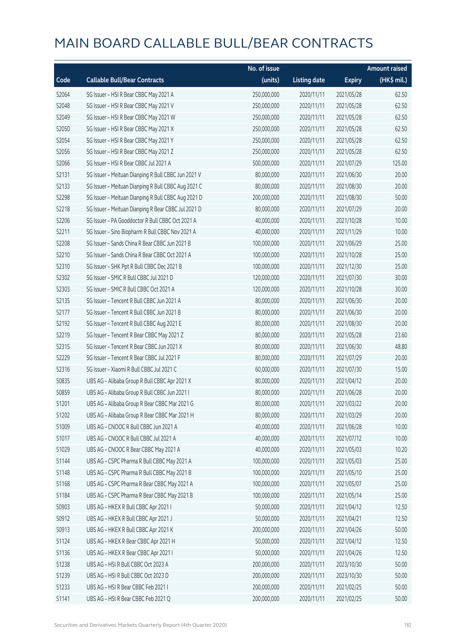|       |                                                     | No. of issue |                     |               | <b>Amount raised</b>  |
|-------|-----------------------------------------------------|--------------|---------------------|---------------|-----------------------|
| Code  | <b>Callable Bull/Bear Contracts</b>                 | (units)      | <b>Listing date</b> | <b>Expiry</b> | $(HK\frac{1}{2}mil.)$ |
| 52064 | SG Issuer - HSI R Bear CBBC May 2021 A              | 250,000,000  | 2020/11/11          | 2021/05/28    | 62.50                 |
| 52048 | SG Issuer - HSI R Bear CBBC May 2021 V              | 250,000,000  | 2020/11/11          | 2021/05/28    | 62.50                 |
| 52049 | SG Issuer - HSI R Bear CBBC May 2021 W              | 250,000,000  | 2020/11/11          | 2021/05/28    | 62.50                 |
| 52050 | SG Issuer - HSI R Bear CBBC May 2021 X              | 250,000,000  | 2020/11/11          | 2021/05/28    | 62.50                 |
| 52054 | SG Issuer - HSI R Bear CBBC May 2021 Y              | 250,000,000  | 2020/11/11          | 2021/05/28    | 62.50                 |
| 52056 | SG Issuer - HSI R Bear CBBC May 2021 Z              | 250,000,000  | 2020/11/11          | 2021/05/28    | 62.50                 |
| 52066 | SG Issuer - HSI R Bear CBBC Jul 2021 A              | 500,000,000  | 2020/11/11          | 2021/07/29    | 125.00                |
| 52131 | SG Issuer - Meituan Dianping R Bull CBBC Jun 2021 V | 80,000,000   | 2020/11/11          | 2021/06/30    | 20.00                 |
| 52133 | SG Issuer - Meituan Dianping R Bull CBBC Aug 2021 C | 80,000,000   | 2020/11/11          | 2021/08/30    | 20.00                 |
| 52298 | SG Issuer - Meituan Dianping R Bull CBBC Aug 2021 D | 200,000,000  | 2020/11/11          | 2021/08/30    | 50.00                 |
| 52218 | SG Issuer - Meituan Dianping R Bear CBBC Jul 2021 D | 80,000,000   | 2020/11/11          | 2021/07/29    | 20.00                 |
| 52206 | SG Issuer - PA Gooddoctor R Bull CBBC Oct 2021 A    | 40,000,000   | 2020/11/11          | 2021/10/28    | 10.00                 |
| 52211 | SG Issuer - Sino Biopharm R Bull CBBC Nov 2021 A    | 40,000,000   | 2020/11/11          | 2021/11/29    | 10.00                 |
| 52208 | SG Issuer - Sands China R Bear CBBC Jun 2021 B      | 100,000,000  | 2020/11/11          | 2021/06/29    | 25.00                 |
| 52210 | SG Issuer - Sands China R Bear CBBC Oct 2021 A      | 100,000,000  | 2020/11/11          | 2021/10/28    | 25.00                 |
| 52310 | SG Issuer - SHK Ppt R Bull CBBC Dec 2021 B          | 100,000,000  | 2020/11/11          | 2021/12/30    | 25.00                 |
| 52302 | SG Issuer - SMIC R Bull CBBC Jul 2021 D             | 120,000,000  | 2020/11/11          | 2021/07/30    | 30.00                 |
| 52303 | SG Issuer - SMIC R Bull CBBC Oct 2021 A             | 120,000,000  | 2020/11/11          | 2021/10/28    | 30.00                 |
| 52135 | SG Issuer - Tencent R Bull CBBC Jun 2021 A          | 80,000,000   | 2020/11/11          | 2021/06/30    | 20.00                 |
| 52177 | SG Issuer - Tencent R Bull CBBC Jun 2021 B          | 80,000,000   | 2020/11/11          | 2021/06/30    | 20.00                 |
| 52192 | SG Issuer - Tencent R Bull CBBC Aug 2021 E          | 80,000,000   | 2020/11/11          | 2021/08/30    | 20.00                 |
| 52219 | SG Issuer - Tencent R Bear CBBC May 2021 Z          | 80,000,000   | 2020/11/11          | 2021/05/28    | 23.60                 |
| 52315 | SG Issuer - Tencent R Bear CBBC Jun 2021 X          | 80,000,000   | 2020/11/11          | 2021/06/30    | 48.80                 |
| 52229 | SG Issuer - Tencent R Bear CBBC Jul 2021 F          | 80,000,000   | 2020/11/11          | 2021/07/29    | 20.00                 |
| 52316 | SG Issuer - Xiaomi R Bull CBBC Jul 2021 C           | 60,000,000   | 2020/11/11          | 2021/07/30    | 15.00                 |
| 50835 | UBS AG - Alibaba Group R Bull CBBC Apr 2021 X       | 80,000,000   | 2020/11/11          | 2021/04/12    | 20.00                 |
| 50859 | UBS AG - Alibaba Group R Bull CBBC Jun 2021 I       | 80,000,000   | 2020/11/11          | 2021/06/28    | 20.00                 |
| 51201 | UBS AG - Alibaba Group R Bear CBBC Mar 2021 G       | 80,000,000   | 2020/11/11          | 2021/03/22    | 20.00                 |
| 51202 | UBS AG - Alibaba Group R Bear CBBC Mar 2021 H       | 80,000,000   | 2020/11/11          | 2021/03/29    | 20.00                 |
| 51009 | UBS AG - CNOOC R Bull CBBC Jun 2021 A               | 40,000,000   | 2020/11/11          | 2021/06/28    | 10.00                 |
| 51017 | UBS AG - CNOOC R Bull CBBC Jul 2021 A               | 40,000,000   | 2020/11/11          | 2021/07/12    | 10.00                 |
| 51029 | UBS AG - CNOOC R Bear CBBC May 2021 A               | 40,000,000   | 2020/11/11          | 2021/05/03    | 10.20                 |
| 51144 | UBS AG - CSPC Pharma R Bull CBBC May 2021 A         | 100,000,000  | 2020/11/11          | 2021/05/03    | 25.00                 |
| 51148 | UBS AG - CSPC Pharma R Bull CBBC May 2021 B         | 100,000,000  | 2020/11/11          | 2021/05/10    | 25.00                 |
| 51168 | UBS AG - CSPC Pharma R Bear CBBC May 2021 A         | 100,000,000  | 2020/11/11          | 2021/05/07    | 25.00                 |
| 51184 | UBS AG - CSPC Pharma R Bear CBBC May 2021 B         | 100,000,000  | 2020/11/11          | 2021/05/14    | 25.00                 |
| 50903 | UBS AG - HKEX R Bull CBBC Apr 2021 I                | 50,000,000   | 2020/11/11          | 2021/04/12    | 12.50                 |
| 50912 | UBS AG - HKEX R Bull CBBC Apr 2021 J                | 50,000,000   | 2020/11/11          | 2021/04/21    | 12.50                 |
| 50913 | UBS AG - HKEX R Bull CBBC Apr 2021 K                | 200,000,000  | 2020/11/11          | 2021/04/26    | 50.00                 |
| 51124 | UBS AG - HKEX R Bear CBBC Apr 2021 H                | 50,000,000   | 2020/11/11          | 2021/04/12    | 12.50                 |
| 51136 | UBS AG - HKEX R Bear CBBC Apr 2021 I                | 50,000,000   | 2020/11/11          | 2021/04/26    | 12.50                 |
| 51238 | UBS AG - HSI R Bull CBBC Oct 2023 A                 | 200,000,000  | 2020/11/11          | 2023/10/30    | 50.00                 |
| 51239 | UBS AG - HSI R Bull CBBC Oct 2023 D                 | 200,000,000  | 2020/11/11          | 2023/10/30    | 50.00                 |
| 51233 | UBS AG - HSI R Bear CBBC Feb 2021 I                 | 200,000,000  | 2020/11/11          | 2021/02/25    | 50.00                 |
| 51141 | UBS AG - HSI R Bear CBBC Feb 2021 Q                 | 200,000,000  | 2020/11/11          | 2021/02/25    | 50.00                 |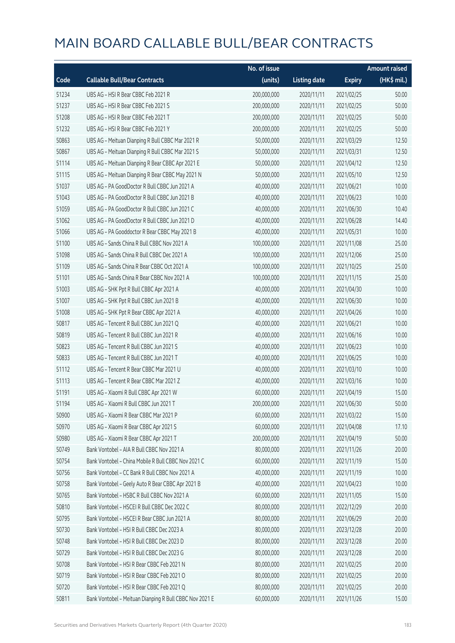|       |                                                         | No. of issue |                     |               | <b>Amount raised</b> |
|-------|---------------------------------------------------------|--------------|---------------------|---------------|----------------------|
| Code  | <b>Callable Bull/Bear Contracts</b>                     | (units)      | <b>Listing date</b> | <b>Expiry</b> | (HK\$ mil.)          |
| 51234 | UBS AG - HSI R Bear CBBC Feb 2021 R                     | 200,000,000  | 2020/11/11          | 2021/02/25    | 50.00                |
| 51237 | UBS AG - HSI R Bear CBBC Feb 2021 S                     | 200,000,000  | 2020/11/11          | 2021/02/25    | 50.00                |
| 51208 | UBS AG - HSI R Bear CBBC Feb 2021 T                     | 200,000,000  | 2020/11/11          | 2021/02/25    | 50.00                |
| 51232 | UBS AG - HSI R Bear CBBC Feb 2021 Y                     | 200,000,000  | 2020/11/11          | 2021/02/25    | 50.00                |
| 50863 | UBS AG - Meituan Dianping R Bull CBBC Mar 2021 R        | 50,000,000   | 2020/11/11          | 2021/03/29    | 12.50                |
| 50867 | UBS AG - Meituan Dianping R Bull CBBC Mar 2021 S        | 50,000,000   | 2020/11/11          | 2021/03/31    | 12.50                |
| 51114 | UBS AG - Meituan Dianping R Bear CBBC Apr 2021 E        | 50,000,000   | 2020/11/11          | 2021/04/12    | 12.50                |
| 51115 | UBS AG - Meituan Dianping R Bear CBBC May 2021 N        | 50,000,000   | 2020/11/11          | 2021/05/10    | 12.50                |
| 51037 | UBS AG - PA GoodDoctor R Bull CBBC Jun 2021 A           | 40,000,000   | 2020/11/11          | 2021/06/21    | 10.00                |
| 51043 | UBS AG - PA GoodDoctor R Bull CBBC Jun 2021 B           | 40,000,000   | 2020/11/11          | 2021/06/23    | 10.00                |
| 51059 | UBS AG - PA GoodDoctor R Bull CBBC Jun 2021 C           | 40,000,000   | 2020/11/11          | 2021/06/30    | 10.40                |
| 51062 | UBS AG - PA GoodDoctor R Bull CBBC Jun 2021 D           | 40,000,000   | 2020/11/11          | 2021/06/28    | 14.40                |
| 51066 | UBS AG - PA Gooddoctor R Bear CBBC May 2021 B           | 40,000,000   | 2020/11/11          | 2021/05/31    | 10.00                |
| 51100 | UBS AG - Sands China R Bull CBBC Nov 2021 A             | 100,000,000  | 2020/11/11          | 2021/11/08    | 25.00                |
| 51098 | UBS AG - Sands China R Bull CBBC Dec 2021 A             | 100,000,000  | 2020/11/11          | 2021/12/06    | 25.00                |
| 51109 | UBS AG - Sands China R Bear CBBC Oct 2021 A             | 100,000,000  | 2020/11/11          | 2021/10/25    | 25.00                |
| 51101 | UBS AG - Sands China R Bear CBBC Nov 2021 A             | 100,000,000  | 2020/11/11          | 2021/11/15    | 25.00                |
| 51003 | UBS AG - SHK Ppt R Bull CBBC Apr 2021 A                 | 40,000,000   | 2020/11/11          | 2021/04/30    | 10.00                |
| 51007 | UBS AG - SHK Ppt R Bull CBBC Jun 2021 B                 | 40,000,000   | 2020/11/11          | 2021/06/30    | 10.00                |
| 51008 | UBS AG - SHK Ppt R Bear CBBC Apr 2021 A                 | 40,000,000   | 2020/11/11          | 2021/04/26    | 10.00                |
| 50817 | UBS AG - Tencent R Bull CBBC Jun 2021 Q                 | 40,000,000   | 2020/11/11          | 2021/06/21    | 10.00                |
| 50819 | UBS AG - Tencent R Bull CBBC Jun 2021 R                 | 40,000,000   | 2020/11/11          | 2021/06/16    | 10.00                |
| 50823 | UBS AG - Tencent R Bull CBBC Jun 2021 S                 | 40,000,000   | 2020/11/11          | 2021/06/23    | 10.00                |
| 50833 | UBS AG - Tencent R Bull CBBC Jun 2021 T                 | 40,000,000   | 2020/11/11          | 2021/06/25    | 10.00                |
| 51112 | UBS AG - Tencent R Bear CBBC Mar 2021 U                 | 40,000,000   | 2020/11/11          | 2021/03/10    | 10.00                |
| 51113 | UBS AG - Tencent R Bear CBBC Mar 2021 Z                 | 40,000,000   | 2020/11/11          | 2021/03/16    | 10.00                |
| 51191 | UBS AG - Xiaomi R Bull CBBC Apr 2021 W                  | 60,000,000   | 2020/11/11          | 2021/04/19    | 15.00                |
| 51194 | UBS AG - Xiaomi R Bull CBBC Jun 2021 T                  | 200,000,000  | 2020/11/11          | 2021/06/30    | 50.00                |
| 50900 | UBS AG - Xiaomi R Bear CBBC Mar 2021 P                  | 60,000,000   | 2020/11/11          | 2021/03/22    | 15.00                |
| 50970 | UBS AG - Xiaomi R Bear CBBC Apr 2021 S                  | 60,000,000   | 2020/11/11          | 2021/04/08    | 17.10                |
| 50980 | UBS AG - Xiaomi R Bear CBBC Apr 2021 T                  | 200,000,000  | 2020/11/11          | 2021/04/19    | 50.00                |
| 50749 | Bank Vontobel - AIA R Bull CBBC Nov 2021 A              | 80,000,000   | 2020/11/11          | 2021/11/26    | 20.00                |
| 50754 | Bank Vontobel - China Mobile R Bull CBBC Nov 2021 C     | 60,000,000   | 2020/11/11          | 2021/11/19    | 15.00                |
| 50756 | Bank Vontobel - CC Bank R Bull CBBC Nov 2021 A          | 40,000,000   | 2020/11/11          | 2021/11/19    | 10.00                |
| 50758 | Bank Vontobel - Geely Auto R Bear CBBC Apr 2021 B       | 40,000,000   | 2020/11/11          | 2021/04/23    | 10.00                |
| 50765 | Bank Vontobel - HSBC R Bull CBBC Nov 2021 A             | 60,000,000   | 2020/11/11          | 2021/11/05    | 15.00                |
| 50810 | Bank Vontobel - HSCEI R Bull CBBC Dec 2022 C            | 80,000,000   | 2020/11/11          | 2022/12/29    | 20.00                |
| 50795 | Bank Vontobel - HSCEI R Bear CBBC Jun 2021 A            | 80,000,000   | 2020/11/11          | 2021/06/29    | 20.00                |
| 50730 | Bank Vontobel - HSI R Bull CBBC Dec 2023 A              | 80,000,000   | 2020/11/11          | 2023/12/28    | 20.00                |
| 50748 | Bank Vontobel - HSI R Bull CBBC Dec 2023 D              | 80,000,000   | 2020/11/11          | 2023/12/28    | 20.00                |
| 50729 | Bank Vontobel - HSI R Bull CBBC Dec 2023 G              | 80,000,000   | 2020/11/11          | 2023/12/28    | 20.00                |
| 50708 | Bank Vontobel - HSI R Bear CBBC Feb 2021 N              | 80,000,000   | 2020/11/11          | 2021/02/25    | 20.00                |
| 50719 | Bank Vontobel - HSI R Bear CBBC Feb 2021 O              | 80,000,000   | 2020/11/11          | 2021/02/25    | 20.00                |
| 50720 | Bank Vontobel - HSI R Bear CBBC Feb 2021 Q              | 80,000,000   | 2020/11/11          | 2021/02/25    | 20.00                |
| 50811 | Bank Vontobel - Meituan Dianping R Bull CBBC Nov 2021 E | 60,000,000   | 2020/11/11          | 2021/11/26    | 15.00                |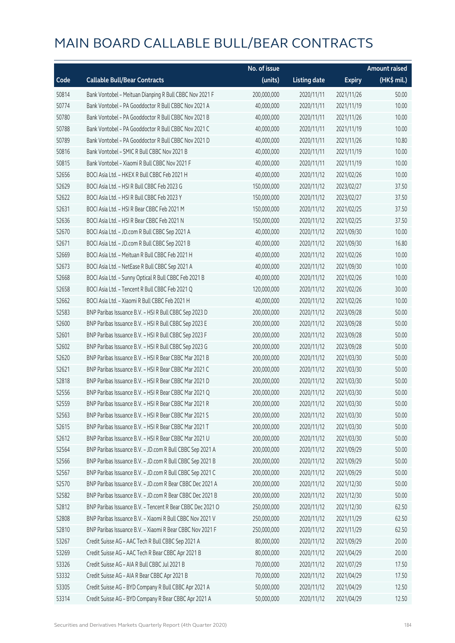|       |                                                            | No. of issue |                     |               | <b>Amount raised</b>  |
|-------|------------------------------------------------------------|--------------|---------------------|---------------|-----------------------|
| Code  | <b>Callable Bull/Bear Contracts</b>                        | (units)      | <b>Listing date</b> | <b>Expiry</b> | $(HK\frac{1}{2}mil.)$ |
| 50814 | Bank Vontobel - Meituan Dianping R Bull CBBC Nov 2021 F    | 200,000,000  | 2020/11/11          | 2021/11/26    | 50.00                 |
| 50774 | Bank Vontobel - PA Gooddoctor R Bull CBBC Nov 2021 A       | 40,000,000   | 2020/11/11          | 2021/11/19    | 10.00                 |
| 50780 | Bank Vontobel - PA Gooddoctor R Bull CBBC Nov 2021 B       | 40,000,000   | 2020/11/11          | 2021/11/26    | 10.00                 |
| 50788 | Bank Vontobel - PA Gooddoctor R Bull CBBC Nov 2021 C       | 40,000,000   | 2020/11/11          | 2021/11/19    | 10.00                 |
| 50789 | Bank Vontobel - PA Gooddoctor R Bull CBBC Nov 2021 D       | 40,000,000   | 2020/11/11          | 2021/11/26    | 10.80                 |
| 50816 | Bank Vontobel - SMIC R Bull CBBC Nov 2021 B                | 40,000,000   | 2020/11/11          | 2021/11/19    | 10.00                 |
| 50815 | Bank Vontobel - Xiaomi R Bull CBBC Nov 2021 F              | 40,000,000   | 2020/11/11          | 2021/11/19    | 10.00                 |
| 52656 | BOCI Asia Ltd. - HKEX R Bull CBBC Feb 2021 H               | 40,000,000   | 2020/11/12          | 2021/02/26    | 10.00                 |
| 52629 | BOCI Asia Ltd. - HSI R Bull CBBC Feb 2023 G                | 150,000,000  | 2020/11/12          | 2023/02/27    | 37.50                 |
| 52622 | BOCI Asia Ltd. - HSI R Bull CBBC Feb 2023 Y                | 150,000,000  | 2020/11/12          | 2023/02/27    | 37.50                 |
| 52631 | BOCI Asia Ltd. - HSI R Bear CBBC Feb 2021 M                | 150,000,000  | 2020/11/12          | 2021/02/25    | 37.50                 |
| 52636 | BOCI Asia Ltd. - HSI R Bear CBBC Feb 2021 N                | 150,000,000  | 2020/11/12          | 2021/02/25    | 37.50                 |
| 52670 | BOCI Asia Ltd. - JD.com R Bull CBBC Sep 2021 A             | 40,000,000   | 2020/11/12          | 2021/09/30    | 10.00                 |
| 52671 | BOCI Asia Ltd. - JD.com R Bull CBBC Sep 2021 B             | 40,000,000   | 2020/11/12          | 2021/09/30    | 16.80                 |
| 52669 | BOCI Asia Ltd. - Meituan R Bull CBBC Feb 2021 H            | 40,000,000   | 2020/11/12          | 2021/02/26    | 10.00                 |
| 52673 | BOCI Asia Ltd. - NetEase R Bull CBBC Sep 2021 A            | 40,000,000   | 2020/11/12          | 2021/09/30    | 10.00                 |
| 52668 | BOCI Asia Ltd. - Sunny Optical R Bull CBBC Feb 2021 B      | 40,000,000   | 2020/11/12          | 2021/02/26    | 10.00                 |
| 52658 | BOCI Asia Ltd. - Tencent R Bull CBBC Feb 2021 Q            | 120,000,000  | 2020/11/12          | 2021/02/26    | 30.00                 |
| 52662 | BOCI Asia Ltd. - Xiaomi R Bull CBBC Feb 2021 H             | 40,000,000   | 2020/11/12          | 2021/02/26    | 10.00                 |
| 52583 | BNP Paribas Issuance B.V. - HSI R Bull CBBC Sep 2023 D     | 200,000,000  | 2020/11/12          | 2023/09/28    | 50.00                 |
| 52600 | BNP Paribas Issuance B.V. - HSI R Bull CBBC Sep 2023 E     | 200,000,000  | 2020/11/12          | 2023/09/28    | 50.00                 |
| 52601 | BNP Paribas Issuance B.V. - HSI R Bull CBBC Sep 2023 F     | 200,000,000  | 2020/11/12          | 2023/09/28    | 50.00                 |
| 52602 | BNP Paribas Issuance B.V. - HSI R Bull CBBC Sep 2023 G     | 200,000,000  | 2020/11/12          | 2023/09/28    | 50.00                 |
| 52620 | BNP Paribas Issuance B.V. - HSI R Bear CBBC Mar 2021 B     | 200,000,000  | 2020/11/12          | 2021/03/30    | 50.00                 |
| 52621 | BNP Paribas Issuance B.V. - HSI R Bear CBBC Mar 2021 C     | 200,000,000  | 2020/11/12          | 2021/03/30    | 50.00                 |
| 52818 | BNP Paribas Issuance B.V. - HSI R Bear CBBC Mar 2021 D     | 200,000,000  | 2020/11/12          | 2021/03/30    | 50.00                 |
| 52556 | BNP Paribas Issuance B.V. - HSI R Bear CBBC Mar 2021 Q     | 200,000,000  | 2020/11/12          | 2021/03/30    | 50.00                 |
| 52559 | BNP Paribas Issuance B.V. - HSI R Bear CBBC Mar 2021 R     | 200,000,000  | 2020/11/12          | 2021/03/30    | 50.00                 |
| 52563 | BNP Paribas Issuance B.V. - HSI R Bear CBBC Mar 2021 S     | 200,000,000  | 2020/11/12          | 2021/03/30    | 50.00                 |
| 52615 | BNP Paribas Issuance B.V. - HSI R Bear CBBC Mar 2021 T     | 200,000,000  | 2020/11/12          | 2021/03/30    | 50.00                 |
| 52612 | BNP Paribas Issuance B.V. - HSI R Bear CBBC Mar 2021 U     | 200,000,000  | 2020/11/12          | 2021/03/30    | 50.00                 |
| 52564 | BNP Paribas Issuance B.V. - JD.com R Bull CBBC Sep 2021 A  | 200,000,000  | 2020/11/12          | 2021/09/29    | 50.00                 |
| 52566 | BNP Paribas Issuance B.V. - JD.com R Bull CBBC Sep 2021 B  | 200,000,000  | 2020/11/12          | 2021/09/29    | 50.00                 |
| 52567 | BNP Paribas Issuance B.V. - JD.com R Bull CBBC Sep 2021 C  | 200,000,000  | 2020/11/12          | 2021/09/29    | 50.00                 |
| 52570 | BNP Paribas Issuance B.V. - JD.com R Bear CBBC Dec 2021 A  | 200,000,000  | 2020/11/12          | 2021/12/30    | 50.00                 |
| 52582 | BNP Paribas Issuance B.V. - JD.com R Bear CBBC Dec 2021 B  | 200,000,000  | 2020/11/12          | 2021/12/30    | 50.00                 |
| 52812 | BNP Paribas Issuance B.V. - Tencent R Bear CBBC Dec 2021 O | 250,000,000  | 2020/11/12          | 2021/12/30    | 62.50                 |
| 52808 | BNP Paribas Issuance B.V. - Xiaomi R Bull CBBC Nov 2021 V  | 250,000,000  | 2020/11/12          | 2021/11/29    | 62.50                 |
| 52810 | BNP Paribas Issuance B.V. - Xiaomi R Bear CBBC Nov 2021 F  | 250,000,000  | 2020/11/12          | 2021/11/29    | 62.50                 |
| 53267 | Credit Suisse AG - AAC Tech R Bull CBBC Sep 2021 A         | 80,000,000   | 2020/11/12          | 2021/09/29    | 20.00                 |
| 53269 | Credit Suisse AG - AAC Tech R Bear CBBC Apr 2021 B         | 80,000,000   | 2020/11/12          | 2021/04/29    | 20.00                 |
| 53326 | Credit Suisse AG - AIA R Bull CBBC Jul 2021 B              | 70,000,000   | 2020/11/12          | 2021/07/29    | 17.50                 |
| 53332 | Credit Suisse AG - AIA R Bear CBBC Apr 2021 B              | 70,000,000   | 2020/11/12          | 2021/04/29    | 17.50                 |
| 53305 | Credit Suisse AG - BYD Company R Bull CBBC Apr 2021 A      | 50,000,000   | 2020/11/12          | 2021/04/29    | 12.50                 |
| 53314 | Credit Suisse AG - BYD Company R Bear CBBC Apr 2021 A      | 50,000,000   | 2020/11/12          | 2021/04/29    | 12.50                 |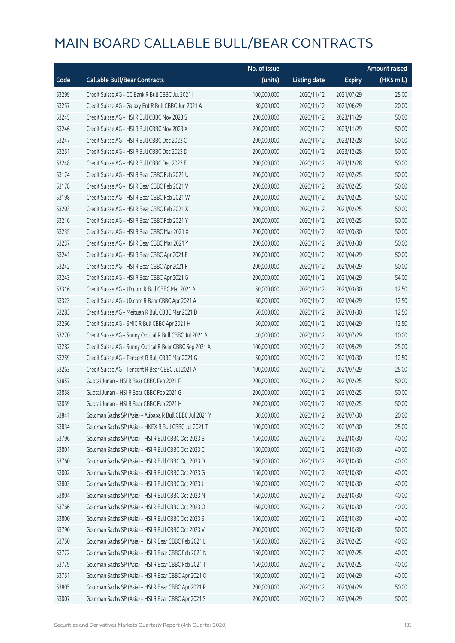|       |                                                          | No. of issue |                     |               | <b>Amount raised</b> |
|-------|----------------------------------------------------------|--------------|---------------------|---------------|----------------------|
| Code  | <b>Callable Bull/Bear Contracts</b>                      | (units)      | <b>Listing date</b> | <b>Expiry</b> | (HK\$ mil.)          |
| 53299 | Credit Suisse AG - CC Bank R Bull CBBC Jul 2021 I        | 100,000,000  | 2020/11/12          | 2021/07/29    | 25.00                |
| 53257 | Credit Suisse AG - Galaxy Ent R Bull CBBC Jun 2021 A     | 80,000,000   | 2020/11/12          | 2021/06/29    | 20.00                |
| 53245 | Credit Suisse AG - HSI R Bull CBBC Nov 2023 S            | 200,000,000  | 2020/11/12          | 2023/11/29    | 50.00                |
| 53246 | Credit Suisse AG - HSI R Bull CBBC Nov 2023 X            | 200,000,000  | 2020/11/12          | 2023/11/29    | 50.00                |
| 53247 | Credit Suisse AG - HSI R Bull CBBC Dec 2023 C            | 200,000,000  | 2020/11/12          | 2023/12/28    | 50.00                |
| 53251 | Credit Suisse AG - HSI R Bull CBBC Dec 2023 D            | 200,000,000  | 2020/11/12          | 2023/12/28    | 50.00                |
| 53248 | Credit Suisse AG - HSI R Bull CBBC Dec 2023 E            | 200,000,000  | 2020/11/12          | 2023/12/28    | 50.00                |
| 53174 | Credit Suisse AG - HSI R Bear CBBC Feb 2021 U            | 200,000,000  | 2020/11/12          | 2021/02/25    | 50.00                |
| 53178 | Credit Suisse AG - HSI R Bear CBBC Feb 2021 V            | 200,000,000  | 2020/11/12          | 2021/02/25    | 50.00                |
| 53198 | Credit Suisse AG - HSI R Bear CBBC Feb 2021 W            | 200,000,000  | 2020/11/12          | 2021/02/25    | 50.00                |
| 53203 | Credit Suisse AG - HSI R Bear CBBC Feb 2021 X            | 200,000,000  | 2020/11/12          | 2021/02/25    | 50.00                |
| 53216 | Credit Suisse AG - HSI R Bear CBBC Feb 2021 Y            | 200,000,000  | 2020/11/12          | 2021/02/25    | 50.00                |
| 53235 | Credit Suisse AG - HSI R Bear CBBC Mar 2021 X            | 200,000,000  | 2020/11/12          | 2021/03/30    | 50.00                |
| 53237 | Credit Suisse AG - HSI R Bear CBBC Mar 2021 Y            | 200,000,000  | 2020/11/12          | 2021/03/30    | 50.00                |
| 53241 | Credit Suisse AG - HSI R Bear CBBC Apr 2021 E            | 200,000,000  | 2020/11/12          | 2021/04/29    | 50.00                |
| 53242 | Credit Suisse AG - HSI R Bear CBBC Apr 2021 F            | 200,000,000  | 2020/11/12          | 2021/04/29    | 50.00                |
| 53243 | Credit Suisse AG - HSI R Bear CBBC Apr 2021 G            | 200,000,000  | 2020/11/12          | 2021/04/29    | 54.00                |
| 53316 | Credit Suisse AG - JD.com R Bull CBBC Mar 2021 A         | 50,000,000   | 2020/11/12          | 2021/03/30    | 12.50                |
| 53323 | Credit Suisse AG - JD.com R Bear CBBC Apr 2021 A         | 50,000,000   | 2020/11/12          | 2021/04/29    | 12.50                |
| 53283 | Credit Suisse AG - Meituan R Bull CBBC Mar 2021 D        | 50,000,000   | 2020/11/12          | 2021/03/30    | 12.50                |
| 53266 | Credit Suisse AG - SMIC R Bull CBBC Apr 2021 H           | 50,000,000   | 2020/11/12          | 2021/04/29    | 12.50                |
| 53270 | Credit Suisse AG - Sunny Optical R Bull CBBC Jul 2021 A  | 40,000,000   | 2020/11/12          | 2021/07/29    | 10.00                |
| 53282 | Credit Suisse AG - Sunny Optical R Bear CBBC Sep 2021 A  | 100,000,000  | 2020/11/12          | 2021/09/29    | 25.00                |
| 53259 | Credit Suisse AG - Tencent R Bull CBBC Mar 2021 G        | 50,000,000   | 2020/11/12          | 2021/03/30    | 12.50                |
| 53263 | Credit Suisse AG - Tencent R Bear CBBC Jul 2021 A        | 100,000,000  | 2020/11/12          | 2021/07/29    | 25.00                |
| 53857 | Guotai Junan - HSI R Bear CBBC Feb 2021 F                | 200,000,000  | 2020/11/12          | 2021/02/25    | 50.00                |
| 53858 | Guotai Junan - HSI R Bear CBBC Feb 2021 G                | 200,000,000  | 2020/11/12          | 2021/02/25    | 50.00                |
| 53859 | Guotai Junan - HSI R Bear CBBC Feb 2021 H                | 200,000,000  | 2020/11/12          | 2021/02/25    | 50.00                |
| 53841 | Goldman Sachs SP (Asia) - Alibaba R Bull CBBC Jul 2021 Y | 80,000,000   | 2020/11/12          | 2021/07/30    | 20.00                |
| 53834 | Goldman Sachs SP (Asia) - HKEX R Bull CBBC Jul 2021 T    | 100,000,000  | 2020/11/12          | 2021/07/30    | 25.00                |
| 53796 | Goldman Sachs SP (Asia) - HSI R Bull CBBC Oct 2023 B     | 160,000,000  | 2020/11/12          | 2023/10/30    | 40.00                |
| 53801 | Goldman Sachs SP (Asia) - HSI R Bull CBBC Oct 2023 C     | 160,000,000  | 2020/11/12          | 2023/10/30    | 40.00                |
| 53760 | Goldman Sachs SP (Asia) - HSI R Bull CBBC Oct 2023 D     | 160,000,000  | 2020/11/12          | 2023/10/30    | 40.00                |
| 53802 | Goldman Sachs SP (Asia) - HSI R Bull CBBC Oct 2023 G     | 160,000,000  | 2020/11/12          | 2023/10/30    | 40.00                |
| 53803 | Goldman Sachs SP (Asia) - HSI R Bull CBBC Oct 2023 J     | 160,000,000  | 2020/11/12          | 2023/10/30    | 40.00                |
| 53804 | Goldman Sachs SP (Asia) - HSI R Bull CBBC Oct 2023 N     | 160,000,000  | 2020/11/12          | 2023/10/30    | 40.00                |
| 53766 | Goldman Sachs SP (Asia) - HSI R Bull CBBC Oct 2023 O     | 160,000,000  | 2020/11/12          | 2023/10/30    | 40.00                |
| 53800 | Goldman Sachs SP (Asia) - HSI R Bull CBBC Oct 2023 S     | 160,000,000  | 2020/11/12          | 2023/10/30    | 40.00                |
| 53790 | Goldman Sachs SP (Asia) - HSI R Bull CBBC Oct 2023 V     | 200,000,000  | 2020/11/12          | 2023/10/30    | 50.00                |
| 53750 | Goldman Sachs SP (Asia) - HSI R Bear CBBC Feb 2021 L     | 160,000,000  | 2020/11/12          | 2021/02/25    | 40.00                |
| 53772 | Goldman Sachs SP (Asia) - HSI R Bear CBBC Feb 2021 N     | 160,000,000  | 2020/11/12          | 2021/02/25    | 40.00                |
| 53779 | Goldman Sachs SP (Asia) - HSI R Bear CBBC Feb 2021 T     | 160,000,000  | 2020/11/12          | 2021/02/25    | 40.00                |
| 53751 | Goldman Sachs SP (Asia) - HSI R Bear CBBC Apr 2021 O     | 160,000,000  | 2020/11/12          | 2021/04/29    | 40.00                |
| 53805 | Goldman Sachs SP (Asia) - HSI R Bear CBBC Apr 2021 P     | 200,000,000  | 2020/11/12          | 2021/04/29    | 50.00                |
| 53807 | Goldman Sachs SP (Asia) - HSI R Bear CBBC Apr 2021 S     | 200,000,000  | 2020/11/12          | 2021/04/29    | 50.00                |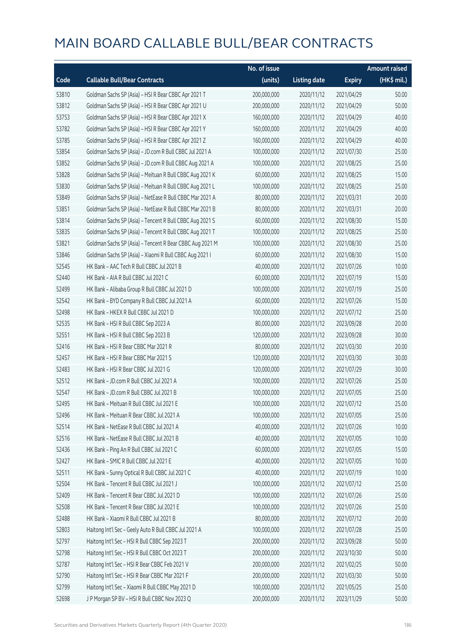|       |                                                          | No. of issue |                     |               | <b>Amount raised</b> |
|-------|----------------------------------------------------------|--------------|---------------------|---------------|----------------------|
| Code  | <b>Callable Bull/Bear Contracts</b>                      | (units)      | <b>Listing date</b> | <b>Expiry</b> | (HK\$ mil.)          |
| 53810 | Goldman Sachs SP (Asia) - HSI R Bear CBBC Apr 2021 T     | 200,000,000  | 2020/11/12          | 2021/04/29    | 50.00                |
| 53812 | Goldman Sachs SP (Asia) - HSI R Bear CBBC Apr 2021 U     | 200,000,000  | 2020/11/12          | 2021/04/29    | 50.00                |
| 53753 | Goldman Sachs SP (Asia) - HSI R Bear CBBC Apr 2021 X     | 160,000,000  | 2020/11/12          | 2021/04/29    | 40.00                |
| 53782 | Goldman Sachs SP (Asia) - HSI R Bear CBBC Apr 2021 Y     | 160,000,000  | 2020/11/12          | 2021/04/29    | 40.00                |
| 53785 | Goldman Sachs SP (Asia) - HSI R Bear CBBC Apr 2021 Z     | 160,000,000  | 2020/11/12          | 2021/04/29    | 40.00                |
| 53854 | Goldman Sachs SP (Asia) - JD.com R Bull CBBC Jul 2021 A  | 100,000,000  | 2020/11/12          | 2021/07/30    | 25.00                |
| 53852 | Goldman Sachs SP (Asia) - JD.com R Bull CBBC Aug 2021 A  | 100,000,000  | 2020/11/12          | 2021/08/25    | 25.00                |
| 53828 | Goldman Sachs SP (Asia) - Meituan R Bull CBBC Aug 2021 K | 60,000,000   | 2020/11/12          | 2021/08/25    | 15.00                |
| 53830 | Goldman Sachs SP (Asia) - Meituan R Bull CBBC Aug 2021 L | 100,000,000  | 2020/11/12          | 2021/08/25    | 25.00                |
| 53849 | Goldman Sachs SP (Asia) - NetEase R Bull CBBC Mar 2021 A | 80,000,000   | 2020/11/12          | 2021/03/31    | 20.00                |
| 53851 | Goldman Sachs SP (Asia) - NetEase R Bull CBBC Mar 2021 B | 80,000,000   | 2020/11/12          | 2021/03/31    | 20.00                |
| 53814 | Goldman Sachs SP (Asia) - Tencent R Bull CBBC Aug 2021 S | 60,000,000   | 2020/11/12          | 2021/08/30    | 15.00                |
| 53835 | Goldman Sachs SP (Asia) - Tencent R Bull CBBC Aug 2021 T | 100,000,000  | 2020/11/12          | 2021/08/25    | 25.00                |
| 53821 | Goldman Sachs SP (Asia) - Tencent R Bear CBBC Aug 2021 M | 100,000,000  | 2020/11/12          | 2021/08/30    | 25.00                |
| 53846 | Goldman Sachs SP (Asia) - Xiaomi R Bull CBBC Aug 2021 I  | 60,000,000   | 2020/11/12          | 2021/08/30    | 15.00                |
| 52545 | HK Bank - AAC Tech R Bull CBBC Jul 2021 B                | 40,000,000   | 2020/11/12          | 2021/07/26    | 10.00                |
| 52440 | HK Bank - AIA R Bull CBBC Jul 2021 C                     | 60,000,000   | 2020/11/12          | 2021/07/19    | 15.00                |
| 52499 | HK Bank - Alibaba Group R Bull CBBC Jul 2021 D           | 100,000,000  | 2020/11/12          | 2021/07/19    | 25.00                |
| 52542 | HK Bank - BYD Company R Bull CBBC Jul 2021 A             | 60,000,000   | 2020/11/12          | 2021/07/26    | 15.00                |
| 52498 | HK Bank - HKEX R Bull CBBC Jul 2021 D                    | 100,000,000  | 2020/11/12          | 2021/07/12    | 25.00                |
| 52535 | HK Bank - HSI R Bull CBBC Sep 2023 A                     | 80,000,000   | 2020/11/12          | 2023/09/28    | 20.00                |
| 52551 | HK Bank - HSI R Bull CBBC Sep 2023 B                     | 120,000,000  | 2020/11/12          | 2023/09/28    | 30.00                |
| 52416 | HK Bank - HSI R Bear CBBC Mar 2021 R                     | 80,000,000   | 2020/11/12          | 2021/03/30    | 20.00                |
| 52457 | HK Bank - HSI R Bear CBBC Mar 2021 S                     | 120,000,000  | 2020/11/12          | 2021/03/30    | 30.00                |
| 52483 | HK Bank - HSI R Bear CBBC Jul 2021 G                     | 120,000,000  | 2020/11/12          | 2021/07/29    | 30.00                |
| 52512 | HK Bank - JD.com R Bull CBBC Jul 2021 A                  | 100,000,000  | 2020/11/12          | 2021/07/26    | 25.00                |
| 52547 | HK Bank - JD.com R Bull CBBC Jul 2021 B                  | 100,000,000  | 2020/11/12          | 2021/07/05    | 25.00                |
| 52495 | HK Bank - Meituan R Bull CBBC Jul 2021 E                 | 100,000,000  | 2020/11/12          | 2021/07/12    | 25.00                |
| 52496 | HK Bank - Meituan R Bear CBBC Jul 2021 A                 | 100,000,000  | 2020/11/12          | 2021/07/05    | 25.00                |
| 52514 | HK Bank - NetEase R Bull CBBC Jul 2021 A                 | 40,000,000   | 2020/11/12          | 2021/07/26    | 10.00                |
| 52516 | HK Bank - NetEase R Bull CBBC Jul 2021 B                 | 40,000,000   | 2020/11/12          | 2021/07/05    | 10.00                |
| 52436 | HK Bank - Ping An R Bull CBBC Jul 2021 C                 | 60,000,000   | 2020/11/12          | 2021/07/05    | 15.00                |
| 52427 | HK Bank - SMIC R Bull CBBC Jul 2021 E                    | 40,000,000   | 2020/11/12          | 2021/07/05    | 10.00                |
| 52511 | HK Bank - Sunny Optical R Bull CBBC Jul 2021 C           | 40,000,000   | 2020/11/12          | 2021/07/19    | 10.00                |
| 52504 | HK Bank - Tencent R Bull CBBC Jul 2021 J                 | 100,000,000  | 2020/11/12          | 2021/07/12    | 25.00                |
| 52409 | HK Bank - Tencent R Bear CBBC Jul 2021 D                 | 100,000,000  | 2020/11/12          | 2021/07/26    | 25.00                |
| 52508 | HK Bank - Tencent R Bear CBBC Jul 2021 E                 | 100,000,000  | 2020/11/12          | 2021/07/26    | 25.00                |
| 52488 | HK Bank - Xiaomi R Bull CBBC Jul 2021 B                  | 80,000,000   | 2020/11/12          | 2021/07/12    | 20.00                |
| 52803 | Haitong Int'l Sec - Geely Auto R Bull CBBC Jul 2021 A    | 100,000,000  | 2020/11/12          | 2021/07/28    | 25.00                |
| 52797 | Haitong Int'l Sec - HSI R Bull CBBC Sep 2023 T           | 200,000,000  | 2020/11/12          | 2023/09/28    | 50.00                |
| 52798 | Haitong Int'l Sec - HSI R Bull CBBC Oct 2023 T           | 200,000,000  | 2020/11/12          | 2023/10/30    | 50.00                |
| 52787 | Haitong Int'l Sec - HSI R Bear CBBC Feb 2021 V           | 200,000,000  | 2020/11/12          | 2021/02/25    | 50.00                |
| 52790 | Haitong Int'l Sec - HSI R Bear CBBC Mar 2021 F           | 200,000,000  | 2020/11/12          | 2021/03/30    | 50.00                |
| 52799 | Haitong Int'l Sec - Xiaomi R Bull CBBC May 2021 D        | 100,000,000  | 2020/11/12          | 2021/05/25    | 25.00                |
| 52698 | J P Morgan SP BV - HSI R Bull CBBC Nov 2023 Q            | 200,000,000  | 2020/11/12          | 2023/11/29    | 50.00                |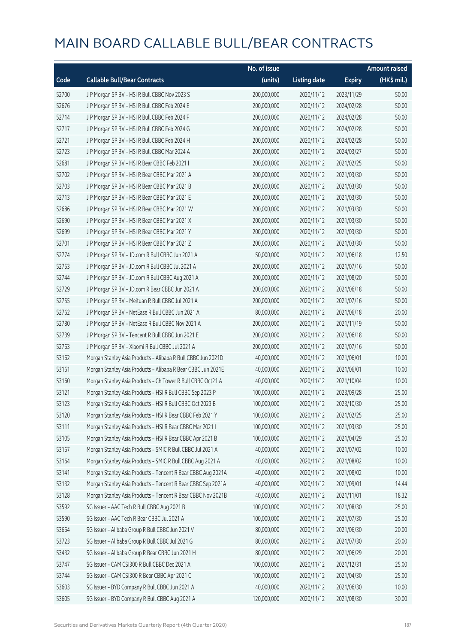|       |                                                              | No. of issue |                     |               | <b>Amount raised</b> |
|-------|--------------------------------------------------------------|--------------|---------------------|---------------|----------------------|
| Code  | <b>Callable Bull/Bear Contracts</b>                          | (units)      | <b>Listing date</b> | <b>Expiry</b> | (HK\$ mil.)          |
| 52700 | J P Morgan SP BV - HSI R Bull CBBC Nov 2023 S                | 200,000,000  | 2020/11/12          | 2023/11/29    | 50.00                |
| 52676 | J P Morgan SP BV - HSI R Bull CBBC Feb 2024 E                | 200,000,000  | 2020/11/12          | 2024/02/28    | 50.00                |
| 52714 | J P Morgan SP BV - HSI R Bull CBBC Feb 2024 F                | 200,000,000  | 2020/11/12          | 2024/02/28    | 50.00                |
| 52717 | J P Morgan SP BV - HSI R Bull CBBC Feb 2024 G                | 200,000,000  | 2020/11/12          | 2024/02/28    | 50.00                |
| 52721 | J P Morgan SP BV - HSI R Bull CBBC Feb 2024 H                | 200,000,000  | 2020/11/12          | 2024/02/28    | 50.00                |
| 52723 | J P Morgan SP BV - HSI R Bull CBBC Mar 2024 A                | 200,000,000  | 2020/11/12          | 2024/03/27    | 50.00                |
| 52681 | J P Morgan SP BV - HSI R Bear CBBC Feb 2021 I                | 200,000,000  | 2020/11/12          | 2021/02/25    | 50.00                |
| 52702 | J P Morgan SP BV - HSI R Bear CBBC Mar 2021 A                | 200,000,000  | 2020/11/12          | 2021/03/30    | 50.00                |
| 52703 | J P Morgan SP BV - HSI R Bear CBBC Mar 2021 B                | 200,000,000  | 2020/11/12          | 2021/03/30    | 50.00                |
| 52713 | J P Morgan SP BV - HSI R Bear CBBC Mar 2021 E                | 200,000,000  | 2020/11/12          | 2021/03/30    | 50.00                |
| 52686 | J P Morgan SP BV - HSI R Bear CBBC Mar 2021 W                | 200,000,000  | 2020/11/12          | 2021/03/30    | 50.00                |
| 52690 | J P Morgan SP BV - HSI R Bear CBBC Mar 2021 X                | 200,000,000  | 2020/11/12          | 2021/03/30    | 50.00                |
| 52699 | J P Morgan SP BV - HSI R Bear CBBC Mar 2021 Y                | 200,000,000  | 2020/11/12          | 2021/03/30    | 50.00                |
| 52701 | J P Morgan SP BV - HSI R Bear CBBC Mar 2021 Z                | 200,000,000  | 2020/11/12          | 2021/03/30    | 50.00                |
| 52774 | J P Morgan SP BV - JD.com R Bull CBBC Jun 2021 A             | 50,000,000   | 2020/11/12          | 2021/06/18    | 12.50                |
| 52753 | J P Morgan SP BV - JD.com R Bull CBBC Jul 2021 A             | 200,000,000  | 2020/11/12          | 2021/07/16    | 50.00                |
| 52744 | J P Morgan SP BV - JD.com R Bull CBBC Aug 2021 A             | 200,000,000  | 2020/11/12          | 2021/08/20    | 50.00                |
| 52729 | J P Morgan SP BV - JD.com R Bear CBBC Jun 2021 A             | 200,000,000  | 2020/11/12          | 2021/06/18    | 50.00                |
| 52755 | J P Morgan SP BV - Meituan R Bull CBBC Jul 2021 A            | 200,000,000  | 2020/11/12          | 2021/07/16    | 50.00                |
| 52762 | J P Morgan SP BV - NetEase R Bull CBBC Jun 2021 A            | 80,000,000   | 2020/11/12          | 2021/06/18    | 20.00                |
| 52780 | J P Morgan SP BV - NetEase R Bull CBBC Nov 2021 A            | 200,000,000  | 2020/11/12          | 2021/11/19    | 50.00                |
| 52739 | J P Morgan SP BV - Tencent R Bull CBBC Jun 2021 E            | 200,000,000  | 2020/11/12          | 2021/06/18    | 50.00                |
| 52763 | J P Morgan SP BV - Xiaomi R Bull CBBC Jul 2021 A             | 200,000,000  | 2020/11/12          | 2021/07/16    | 50.00                |
| 53162 | Morgan Stanley Asia Products - Alibaba R Bull CBBC Jun 2021D | 40,000,000   | 2020/11/12          | 2021/06/01    | 10.00                |
| 53161 | Morgan Stanley Asia Products - Alibaba R Bear CBBC Jun 2021E | 40,000,000   | 2020/11/12          | 2021/06/01    | 10.00                |
| 53160 | Morgan Stanley Asia Products - Ch Tower R Bull CBBC Oct21 A  | 40,000,000   | 2020/11/12          | 2021/10/04    | 10.00                |
| 53121 | Morgan Stanley Asia Products - HSI R Bull CBBC Sep 2023 P    | 100,000,000  | 2020/11/12          | 2023/09/28    | 25.00                |
| 53123 | Morgan Stanley Asia Products - HSI R Bull CBBC Oct 2023 B    | 100,000,000  | 2020/11/12          | 2023/10/30    | 25.00                |
| 53120 | Morgan Stanley Asia Products - HSI R Bear CBBC Feb 2021 Y    | 100,000,000  | 2020/11/12          | 2021/02/25    | 25.00                |
| 53111 | Morgan Stanley Asia Products - HSI R Bear CBBC Mar 2021 I    | 100,000,000  | 2020/11/12          | 2021/03/30    | 25.00                |
| 53105 | Morgan Stanley Asia Products - HSI R Bear CBBC Apr 2021 B    | 100,000,000  | 2020/11/12          | 2021/04/29    | 25.00                |
| 53167 | Morgan Stanley Asia Products - SMIC R Bull CBBC Jul 2021 A   | 40,000,000   | 2020/11/12          | 2021/07/02    | 10.00                |
| 53164 | Morgan Stanley Asia Products - SMIC R Bull CBBC Aug 2021 A   | 40,000,000   | 2020/11/12          | 2021/08/02    | 10.00                |
| 53141 | Morgan Stanley Asia Products - Tencent R Bear CBBC Aug 2021A | 40,000,000   | 2020/11/12          | 2021/08/02    | 10.00                |
| 53132 | Morgan Stanley Asia Products - Tencent R Bear CBBC Sep 2021A | 40,000,000   | 2020/11/12          | 2021/09/01    | 14.44                |
| 53128 | Morgan Stanley Asia Products - Tencent R Bear CBBC Nov 2021B | 40,000,000   | 2020/11/12          | 2021/11/01    | 18.32                |
| 53592 | SG Issuer - AAC Tech R Bull CBBC Aug 2021 B                  | 100,000,000  | 2020/11/12          | 2021/08/30    | 25.00                |
| 53590 | SG Issuer - AAC Tech R Bear CBBC Jul 2021 A                  | 100,000,000  | 2020/11/12          | 2021/07/30    | 25.00                |
| 53664 | SG Issuer - Alibaba Group R Bull CBBC Jun 2021 V             | 80,000,000   | 2020/11/12          | 2021/06/30    | 20.00                |
| 53723 | SG Issuer - Alibaba Group R Bull CBBC Jul 2021 G             | 80,000,000   | 2020/11/12          | 2021/07/30    | 20.00                |
| 53432 | SG Issuer - Alibaba Group R Bear CBBC Jun 2021 H             | 80,000,000   | 2020/11/12          | 2021/06/29    | 20.00                |
| 53747 | SG Issuer - CAM CSI300 R Bull CBBC Dec 2021 A                | 100,000,000  | 2020/11/12          | 2021/12/31    | 25.00                |
| 53744 | SG Issuer - CAM CSI300 R Bear CBBC Apr 2021 C                | 100,000,000  | 2020/11/12          | 2021/04/30    | 25.00                |
| 53603 | SG Issuer - BYD Company R Bull CBBC Jun 2021 A               | 40,000,000   | 2020/11/12          | 2021/06/30    | 10.00                |
| 53605 | SG Issuer - BYD Company R Bull CBBC Aug 2021 A               | 120,000,000  | 2020/11/12          | 2021/08/30    | 30.00                |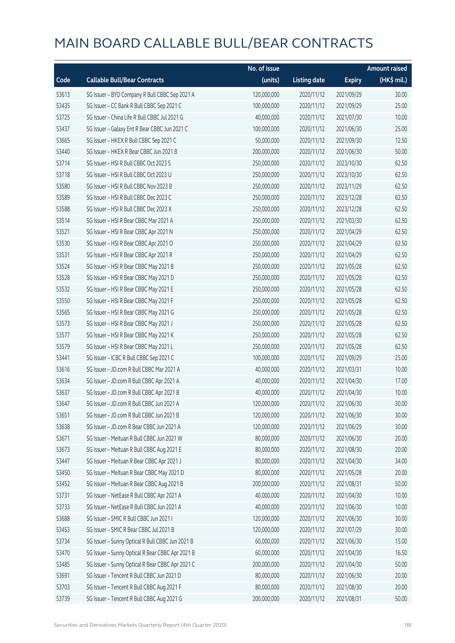|       |                                                  | No. of issue |                     |               | <b>Amount raised</b> |
|-------|--------------------------------------------------|--------------|---------------------|---------------|----------------------|
| Code  | <b>Callable Bull/Bear Contracts</b>              | (units)      | <b>Listing date</b> | <b>Expiry</b> | (HK\$ mil.)          |
| 53613 | SG Issuer - BYD Company R Bull CBBC Sep 2021 A   | 120,000,000  | 2020/11/12          | 2021/09/29    | 30.00                |
| 53435 | SG Issuer - CC Bank R Bull CBBC Sep 2021 C       | 100,000,000  | 2020/11/12          | 2021/09/29    | 25.00                |
| 53725 | SG Issuer - China Life R Bull CBBC Jul 2021 G    | 40,000,000   | 2020/11/12          | 2021/07/30    | 10.00                |
| 53437 | SG Issuer - Galaxy Ent R Bear CBBC Jun 2021 C    | 100,000,000  | 2020/11/12          | 2021/06/30    | 25.00                |
| 53665 | SG Issuer - HKEX R Bull CBBC Sep 2021 C          | 50,000,000   | 2020/11/12          | 2021/09/30    | 12.50                |
| 53440 | SG Issuer - HKEX R Bear CBBC Jun 2021 B          | 200,000,000  | 2020/11/12          | 2021/06/30    | 50.00                |
| 53714 | SG Issuer - HSI R Bull CBBC Oct 2023 S           | 250,000,000  | 2020/11/12          | 2023/10/30    | 62.50                |
| 53718 | SG Issuer - HSI R Bull CBBC Oct 2023 U           | 250,000,000  | 2020/11/12          | 2023/10/30    | 62.50                |
| 53580 | SG Issuer - HSI R Bull CBBC Nov 2023 B           | 250,000,000  | 2020/11/12          | 2023/11/29    | 62.50                |
| 53589 | SG Issuer - HSI R Bull CBBC Dec 2023 C           | 250,000,000  | 2020/11/12          | 2023/12/28    | 62.50                |
| 53588 | SG Issuer - HSI R Bull CBBC Dec 2023 X           | 250,000,000  | 2020/11/12          | 2023/12/28    | 62.50                |
| 53514 | SG Issuer - HSI R Bear CBBC Mar 2021 A           | 250,000,000  | 2020/11/12          | 2021/03/30    | 62.50                |
| 53521 | SG Issuer - HSI R Bear CBBC Apr 2021 N           | 250,000,000  | 2020/11/12          | 2021/04/29    | 62.50                |
| 53530 | SG Issuer - HSI R Bear CBBC Apr 2021 O           | 250,000,000  | 2020/11/12          | 2021/04/29    | 62.50                |
| 53531 | SG Issuer - HSI R Bear CBBC Apr 2021 R           | 250,000,000  | 2020/11/12          | 2021/04/29    | 62.50                |
| 53524 | SG Issuer - HSI R Bear CBBC May 2021 B           | 250,000,000  | 2020/11/12          | 2021/05/28    | 62.50                |
| 53528 | SG Issuer - HSI R Bear CBBC May 2021 D           | 250,000,000  | 2020/11/12          | 2021/05/28    | 62.50                |
| 53532 | SG Issuer - HSI R Bear CBBC May 2021 E           | 250,000,000  | 2020/11/12          | 2021/05/28    | 62.50                |
| 53550 | SG Issuer - HSI R Bear CBBC May 2021 F           | 250,000,000  | 2020/11/12          | 2021/05/28    | 62.50                |
| 53565 | SG Issuer - HSI R Bear CBBC May 2021 G           | 250,000,000  | 2020/11/12          | 2021/05/28    | 62.50                |
| 53573 | SG Issuer - HSI R Bear CBBC May 2021 J           | 250,000,000  | 2020/11/12          | 2021/05/28    | 62.50                |
| 53577 | SG Issuer - HSI R Bear CBBC May 2021 K           | 250,000,000  | 2020/11/12          | 2021/05/28    | 62.50                |
| 53579 | SG Issuer - HSI R Bear CBBC May 2021 L           | 250,000,000  | 2020/11/12          | 2021/05/28    | 62.50                |
| 53441 | SG Issuer - ICBC R Bull CBBC Sep 2021 C          | 100,000,000  | 2020/11/12          | 2021/09/29    | 25.00                |
| 53616 | SG Issuer - JD.com R Bull CBBC Mar 2021 A        | 40,000,000   | 2020/11/12          | 2021/03/31    | 10.00                |
| 53634 | SG Issuer - JD.com R Bull CBBC Apr 2021 A        | 40,000,000   | 2020/11/12          | 2021/04/30    | 17.00                |
| 53637 | SG Issuer - JD.com R Bull CBBC Apr 2021 B        | 40,000,000   | 2020/11/12          | 2021/04/30    | 10.00                |
| 53647 | SG Issuer - JD.com R Bull CBBC Jun 2021 A        | 120,000,000  | 2020/11/12          | 2021/06/30    | 30.00                |
| 53651 | SG Issuer - JD.com R Bull CBBC Jun 2021 B        | 120,000,000  | 2020/11/12          | 2021/06/30    | 30.00                |
| 53638 | SG Issuer - JD.com R Bear CBBC Jun 2021 A        | 120,000,000  | 2020/11/12          | 2021/06/29    | 30.00                |
| 53671 | SG Issuer - Meituan R Bull CBBC Jun 2021 W       | 80,000,000   | 2020/11/12          | 2021/06/30    | 20.00                |
| 53673 | SG Issuer - Meituan R Bull CBBC Aug 2021 E       | 80,000,000   | 2020/11/12          | 2021/08/30    | 20.00                |
| 53447 | SG Issuer - Meituan R Bear CBBC Apr 2021 J       | 80,000,000   | 2020/11/12          | 2021/04/30    | 34.00                |
| 53450 | SG Issuer - Meituan R Bear CBBC May 2021 D       | 80,000,000   | 2020/11/12          | 2021/05/28    | 20.00                |
| 53452 | SG Issuer - Meituan R Bear CBBC Aug 2021 B       | 200,000,000  | 2020/11/12          | 2021/08/31    | 50.00                |
| 53731 | SG Issuer - NetEase R Bull CBBC Apr 2021 A       | 40,000,000   | 2020/11/12          | 2021/04/30    | 10.00                |
| 53733 | SG Issuer - NetEase R Bull CBBC Jun 2021 A       | 40,000,000   | 2020/11/12          | 2021/06/30    | 10.00                |
| 53688 | SG Issuer - SMIC R Bull CBBC Jun 2021 I          | 120,000,000  | 2020/11/12          | 2021/06/30    | 30.00                |
| 53453 | SG Issuer - SMIC R Bear CBBC Jul 2021 B          | 120,000,000  | 2020/11/12          | 2021/07/29    | 30.00                |
| 53734 | SG Issuer - Sunny Optical R Bull CBBC Jun 2021 B | 60,000,000   | 2020/11/12          | 2021/06/30    | 15.00                |
| 53470 | SG Issuer - Sunny Optical R Bear CBBC Apr 2021 B | 60,000,000   | 2020/11/12          | 2021/04/30    | 16.50                |
| 53485 | SG Issuer - Sunny Optical R Bear CBBC Apr 2021 C | 200,000,000  | 2020/11/12          | 2021/04/30    | 50.00                |
| 53691 | SG Issuer - Tencent R Bull CBBC Jun 2021 D       | 80,000,000   | 2020/11/12          | 2021/06/30    | 20.00                |
| 53703 | SG Issuer - Tencent R Bull CBBC Aug 2021 F       | 80,000,000   | 2020/11/12          | 2021/08/30    | 20.00                |
| 53739 | SG Issuer - Tencent R Bull CBBC Aug 2021 G       | 200,000,000  | 2020/11/12          | 2021/08/31    | 50.00                |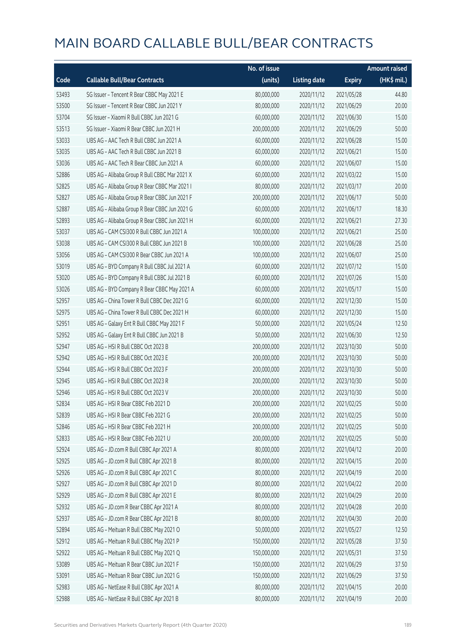|       |                                               | No. of issue |                     |               | <b>Amount raised</b> |
|-------|-----------------------------------------------|--------------|---------------------|---------------|----------------------|
| Code  | <b>Callable Bull/Bear Contracts</b>           | (units)      | <b>Listing date</b> | <b>Expiry</b> | (HK\$ mil.)          |
| 53493 | SG Issuer - Tencent R Bear CBBC May 2021 E    | 80,000,000   | 2020/11/12          | 2021/05/28    | 44.80                |
| 53500 | SG Issuer - Tencent R Bear CBBC Jun 2021 Y    | 80,000,000   | 2020/11/12          | 2021/06/29    | 20.00                |
| 53704 | SG Issuer - Xiaomi R Bull CBBC Jun 2021 G     | 60,000,000   | 2020/11/12          | 2021/06/30    | 15.00                |
| 53513 | SG Issuer - Xiaomi R Bear CBBC Jun 2021 H     | 200,000,000  | 2020/11/12          | 2021/06/29    | 50.00                |
| 53033 | UBS AG - AAC Tech R Bull CBBC Jun 2021 A      | 60,000,000   | 2020/11/12          | 2021/06/28    | 15.00                |
| 53035 | UBS AG - AAC Tech R Bull CBBC Jun 2021 B      | 60,000,000   | 2020/11/12          | 2021/06/21    | 15.00                |
| 53036 | UBS AG - AAC Tech R Bear CBBC Jun 2021 A      | 60,000,000   | 2020/11/12          | 2021/06/07    | 15.00                |
| 52886 | UBS AG - Alibaba Group R Bull CBBC Mar 2021 X | 60,000,000   | 2020/11/12          | 2021/03/22    | 15.00                |
| 52825 | UBS AG - Alibaba Group R Bear CBBC Mar 2021 I | 80,000,000   | 2020/11/12          | 2021/03/17    | 20.00                |
| 52827 | UBS AG - Alibaba Group R Bear CBBC Jun 2021 F | 200,000,000  | 2020/11/12          | 2021/06/17    | 50.00                |
| 52887 | UBS AG - Alibaba Group R Bear CBBC Jun 2021 G | 60,000,000   | 2020/11/12          | 2021/06/17    | 18.30                |
| 52893 | UBS AG - Alibaba Group R Bear CBBC Jun 2021 H | 60,000,000   | 2020/11/12          | 2021/06/21    | 27.30                |
| 53037 | UBS AG - CAM CSI300 R Bull CBBC Jun 2021 A    | 100,000,000  | 2020/11/12          | 2021/06/21    | 25.00                |
| 53038 | UBS AG - CAM CSI300 R Bull CBBC Jun 2021 B    | 100,000,000  | 2020/11/12          | 2021/06/28    | 25.00                |
| 53056 | UBS AG - CAM CSI300 R Bear CBBC Jun 2021 A    | 100,000,000  | 2020/11/12          | 2021/06/07    | 25.00                |
| 53019 | UBS AG - BYD Company R Bull CBBC Jul 2021 A   | 60,000,000   | 2020/11/12          | 2021/07/12    | 15.00                |
| 53020 | UBS AG - BYD Company R Bull CBBC Jul 2021 B   | 60,000,000   | 2020/11/12          | 2021/07/26    | 15.00                |
| 53026 | UBS AG - BYD Company R Bear CBBC May 2021 A   | 60,000,000   | 2020/11/12          | 2021/05/17    | 15.00                |
| 52957 | UBS AG - China Tower R Bull CBBC Dec 2021 G   | 60,000,000   | 2020/11/12          | 2021/12/30    | 15.00                |
| 52975 | UBS AG - China Tower R Bull CBBC Dec 2021 H   | 60,000,000   | 2020/11/12          | 2021/12/30    | 15.00                |
| 52951 | UBS AG - Galaxy Ent R Bull CBBC May 2021 F    | 50,000,000   | 2020/11/12          | 2021/05/24    | 12.50                |
| 52952 | UBS AG - Galaxy Ent R Bull CBBC Jun 2021 B    | 50,000,000   | 2020/11/12          | 2021/06/30    | 12.50                |
| 52947 | UBS AG - HSI R Bull CBBC Oct 2023 B           | 200,000,000  | 2020/11/12          | 2023/10/30    | 50.00                |
| 52942 | UBS AG - HSI R Bull CBBC Oct 2023 E           | 200,000,000  | 2020/11/12          | 2023/10/30    | 50.00                |
| 52944 | UBS AG - HSI R Bull CBBC Oct 2023 F           | 200,000,000  | 2020/11/12          | 2023/10/30    | 50.00                |
| 52945 | UBS AG - HSI R Bull CBBC Oct 2023 R           | 200,000,000  | 2020/11/12          | 2023/10/30    | 50.00                |
| 52946 | UBS AG - HSI R Bull CBBC Oct 2023 V           | 200,000,000  | 2020/11/12          | 2023/10/30    | 50.00                |
| 52834 | UBS AG - HSI R Bear CBBC Feb 2021 D           | 200,000,000  | 2020/11/12          | 2021/02/25    | 50.00                |
| 52839 | UBS AG - HSI R Bear CBBC Feb 2021 G           | 200,000,000  | 2020/11/12          | 2021/02/25    | 50.00                |
| 52846 | UBS AG - HSI R Bear CBBC Feb 2021 H           | 200,000,000  | 2020/11/12          | 2021/02/25    | 50.00                |
| 52833 | UBS AG - HSI R Bear CBBC Feb 2021 U           | 200,000,000  | 2020/11/12          | 2021/02/25    | 50.00                |
| 52924 | UBS AG - JD.com R Bull CBBC Apr 2021 A        | 80,000,000   | 2020/11/12          | 2021/04/12    | 20.00                |
| 52925 | UBS AG - JD.com R Bull CBBC Apr 2021 B        | 80,000,000   | 2020/11/12          | 2021/04/15    | 20.00                |
| 52926 | UBS AG - JD.com R Bull CBBC Apr 2021 C        | 80,000,000   | 2020/11/12          | 2021/04/19    | 20.00                |
| 52927 | UBS AG - JD.com R Bull CBBC Apr 2021 D        | 80,000,000   | 2020/11/12          | 2021/04/22    | 20.00                |
| 52929 | UBS AG - JD.com R Bull CBBC Apr 2021 E        | 80,000,000   | 2020/11/12          | 2021/04/29    | 20.00                |
| 52932 | UBS AG - JD.com R Bear CBBC Apr 2021 A        | 80,000,000   | 2020/11/12          | 2021/04/28    | 20.00                |
| 52937 | UBS AG - JD.com R Bear CBBC Apr 2021 B        | 80,000,000   | 2020/11/12          | 2021/04/30    | 20.00                |
| 52894 | UBS AG - Meituan R Bull CBBC May 2021 O       | 50,000,000   | 2020/11/12          | 2021/05/27    | 12.50                |
| 52912 | UBS AG - Meituan R Bull CBBC May 2021 P       | 150,000,000  | 2020/11/12          | 2021/05/28    | 37.50                |
| 52922 | UBS AG - Meituan R Bull CBBC May 2021 Q       | 150,000,000  | 2020/11/12          | 2021/05/31    | 37.50                |
| 53089 | UBS AG - Meituan R Bear CBBC Jun 2021 F       | 150,000,000  | 2020/11/12          | 2021/06/29    | 37.50                |
| 53091 | UBS AG - Meituan R Bear CBBC Jun 2021 G       | 150,000,000  | 2020/11/12          | 2021/06/29    | 37.50                |
| 52983 | UBS AG - NetEase R Bull CBBC Apr 2021 A       | 80,000,000   | 2020/11/12          | 2021/04/15    | 20.00                |
| 52988 | UBS AG - NetEase R Bull CBBC Apr 2021 B       | 80,000,000   | 2020/11/12          | 2021/04/19    | 20.00                |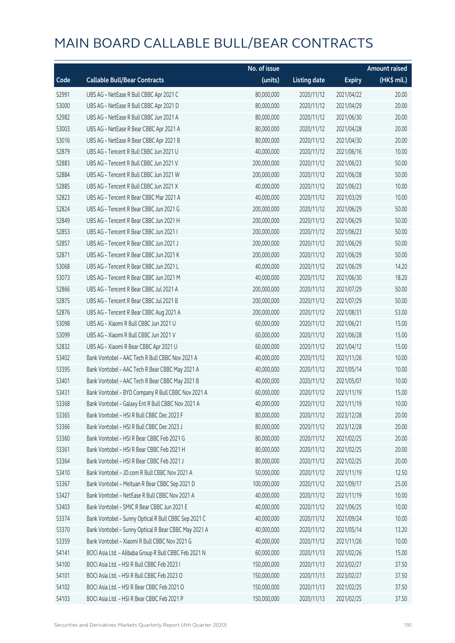|       |                                                       | No. of issue |                     |               | <b>Amount raised</b> |
|-------|-------------------------------------------------------|--------------|---------------------|---------------|----------------------|
| Code  | <b>Callable Bull/Bear Contracts</b>                   | (units)      | <b>Listing date</b> | <b>Expiry</b> | (HK\$ mil.)          |
| 52991 | UBS AG - NetEase R Bull CBBC Apr 2021 C               | 80,000,000   | 2020/11/12          | 2021/04/22    | 20.00                |
| 53000 | UBS AG - NetEase R Bull CBBC Apr 2021 D               | 80,000,000   | 2020/11/12          | 2021/04/29    | 20.00                |
| 52982 | UBS AG - NetEase R Bull CBBC Jun 2021 A               | 80,000,000   | 2020/11/12          | 2021/06/30    | 20.00                |
| 53003 | UBS AG - NetEase R Bear CBBC Apr 2021 A               | 80,000,000   | 2020/11/12          | 2021/04/28    | 20.00                |
| 53016 | UBS AG - NetEase R Bear CBBC Apr 2021 B               | 80,000,000   | 2020/11/12          | 2021/04/30    | 20.00                |
| 52879 | UBS AG - Tencent R Bull CBBC Jun 2021 U               | 40,000,000   | 2020/11/12          | 2021/06/16    | 10.00                |
| 52883 | UBS AG - Tencent R Bull CBBC Jun 2021 V               | 200,000,000  | 2020/11/12          | 2021/06/23    | 50.00                |
| 52884 | UBS AG - Tencent R Bull CBBC Jun 2021 W               | 200,000,000  | 2020/11/12          | 2021/06/28    | 50.00                |
| 52885 | UBS AG - Tencent R Bull CBBC Jun 2021 X               | 40,000,000   | 2020/11/12          | 2021/06/23    | 10.00                |
| 52823 | UBS AG - Tencent R Bear CBBC Mar 2021 A               | 40,000,000   | 2020/11/12          | 2021/03/29    | 10.00                |
| 52824 | UBS AG - Tencent R Bear CBBC Jun 2021 G               | 200,000,000  | 2020/11/12          | 2021/06/29    | 50.00                |
| 52849 | UBS AG - Tencent R Bear CBBC Jun 2021 H               | 200,000,000  | 2020/11/12          | 2021/06/29    | 50.00                |
| 52853 | UBS AG - Tencent R Bear CBBC Jun 2021 I               | 200,000,000  | 2020/11/12          | 2021/06/23    | 50.00                |
| 52857 | UBS AG - Tencent R Bear CBBC Jun 2021 J               | 200,000,000  | 2020/11/12          | 2021/06/29    | 50.00                |
| 52871 | UBS AG - Tencent R Bear CBBC Jun 2021 K               | 200,000,000  | 2020/11/12          | 2021/06/29    | 50.00                |
| 53068 | UBS AG - Tencent R Bear CBBC Jun 2021 L               | 40,000,000   | 2020/11/12          | 2021/06/29    | 14.20                |
| 53073 | UBS AG - Tencent R Bear CBBC Jun 2021 M               | 40,000,000   | 2020/11/12          | 2021/06/30    | 18.20                |
| 52866 | UBS AG - Tencent R Bear CBBC Jul 2021 A               | 200,000,000  | 2020/11/12          | 2021/07/29    | 50.00                |
| 52875 | UBS AG - Tencent R Bear CBBC Jul 2021 B               | 200,000,000  | 2020/11/12          | 2021/07/29    | 50.00                |
| 52876 | UBS AG - Tencent R Bear CBBC Aug 2021 A               | 200,000,000  | 2020/11/12          | 2021/08/31    | 53.00                |
| 53098 | UBS AG - Xiaomi R Bull CBBC Jun 2021 U                | 60,000,000   | 2020/11/12          | 2021/06/21    | 15.00                |
| 53099 | UBS AG - Xiaomi R Bull CBBC Jun 2021 V                | 60,000,000   | 2020/11/12          | 2021/06/28    | 15.00                |
| 52832 | UBS AG - Xiaomi R Bear CBBC Apr 2021 U                | 60,000,000   | 2020/11/12          | 2021/04/12    | 15.00                |
| 53402 | Bank Vontobel - AAC Tech R Bull CBBC Nov 2021 A       | 40,000,000   | 2020/11/12          | 2021/11/26    | 10.00                |
| 53395 | Bank Vontobel - AAC Tech R Bear CBBC May 2021 A       | 40,000,000   | 2020/11/12          | 2021/05/14    | 10.00                |
| 53401 | Bank Vontobel - AAC Tech R Bear CBBC May 2021 B       | 40,000,000   | 2020/11/12          | 2021/05/07    | 10.00                |
| 53431 | Bank Vontobel - BYD Company R Bull CBBC Nov 2021 A    | 60,000,000   | 2020/11/12          | 2021/11/19    | 15.00                |
| 53368 | Bank Vontobel - Galaxy Ent R Bull CBBC Nov 2021 A     | 40,000,000   | 2020/11/12          | 2021/11/19    | 10.00                |
| 53365 | Bank Vontobel - HSI R Bull CBBC Dec 2023 F            | 80,000,000   | 2020/11/12          | 2023/12/28    | 20.00                |
| 53366 | Bank Vontobel - HSI R Bull CBBC Dec 2023 J            | 80,000,000   | 2020/11/12          | 2023/12/28    | 20.00                |
| 53360 | Bank Vontobel - HSI R Bear CBBC Feb 2021 G            | 80,000,000   | 2020/11/12          | 2021/02/25    | 20.00                |
| 53361 | Bank Vontobel - HSI R Bear CBBC Feb 2021 H            | 80,000,000   | 2020/11/12          | 2021/02/25    | 20.00                |
| 53364 | Bank Vontobel - HSI R Bear CBBC Feb 2021 J            | 80,000,000   | 2020/11/12          | 2021/02/25    | 20.00                |
| 53410 | Bank Vontobel - JD.com R Bull CBBC Nov 2021 A         | 50,000,000   | 2020/11/12          | 2021/11/19    | 12.50                |
| 53367 | Bank Vontobel - Meituan R Bear CBBC Sep 2021 D        | 100,000,000  | 2020/11/12          | 2021/09/17    | 25.00                |
| 53427 | Bank Vontobel - NetEase R Bull CBBC Nov 2021 A        | 40,000,000   | 2020/11/12          | 2021/11/19    | 10.00                |
| 53403 | Bank Vontobel - SMIC R Bear CBBC Jun 2021 E           | 40,000,000   | 2020/11/12          | 2021/06/25    | 10.00                |
| 53374 | Bank Vontobel - Sunny Optical R Bull CBBC Sep 2021 C  | 40,000,000   | 2020/11/12          | 2021/09/24    | 10.00                |
| 53370 | Bank Vontobel - Sunny Optical R Bear CBBC May 2021 A  | 40,000,000   | 2020/11/12          | 2021/05/14    | 13.20                |
| 53359 | Bank Vontobel - Xiaomi R Bull CBBC Nov 2021 G         | 40,000,000   | 2020/11/12          | 2021/11/26    | 10.00                |
| 54141 | BOCI Asia Ltd. - Alibaba Group R Bull CBBC Feb 2021 N | 60,000,000   | 2020/11/13          | 2021/02/26    | 15.00                |
| 54100 | BOCI Asia Ltd. - HSI R Bull CBBC Feb 2023 I           | 150,000,000  | 2020/11/13          | 2023/02/27    | 37.50                |
| 54101 | BOCI Asia Ltd. - HSI R Bull CBBC Feb 2023 O           | 150,000,000  | 2020/11/13          | 2023/02/27    | 37.50                |
| 54102 | BOCI Asia Ltd. - HSI R Bear CBBC Feb 2021 O           | 150,000,000  | 2020/11/13          | 2021/02/25    | 37.50                |
| 54103 | BOCI Asia Ltd. - HSI R Bear CBBC Feb 2021 P           | 150,000,000  | 2020/11/13          | 2021/02/25    | 37.50                |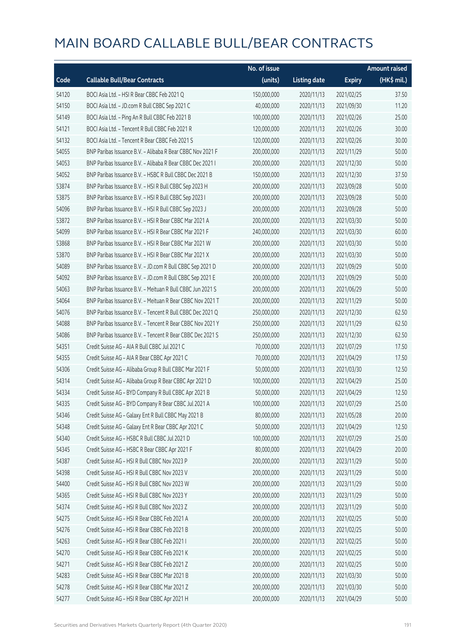|       |                                                            | No. of issue |                     |               | <b>Amount raised</b> |
|-------|------------------------------------------------------------|--------------|---------------------|---------------|----------------------|
| Code  | <b>Callable Bull/Bear Contracts</b>                        | (units)      | <b>Listing date</b> | <b>Expiry</b> | (HK\$ mil.)          |
| 54120 | BOCI Asia Ltd. - HSI R Bear CBBC Feb 2021 Q                | 150,000,000  | 2020/11/13          | 2021/02/25    | 37.50                |
| 54150 | BOCI Asia Ltd. - JD.com R Bull CBBC Sep 2021 C             | 40,000,000   | 2020/11/13          | 2021/09/30    | 11.20                |
| 54149 | BOCI Asia Ltd. - Ping An R Bull CBBC Feb 2021 B            | 100,000,000  | 2020/11/13          | 2021/02/26    | 25.00                |
| 54121 | BOCI Asia Ltd. - Tencent R Bull CBBC Feb 2021 R            | 120,000,000  | 2020/11/13          | 2021/02/26    | 30.00                |
| 54132 | BOCI Asia Ltd. - Tencent R Bear CBBC Feb 2021 S            | 120,000,000  | 2020/11/13          | 2021/02/26    | 30.00                |
| 54055 | BNP Paribas Issuance B.V. - Alibaba R Bear CBBC Nov 2021 F | 200,000,000  | 2020/11/13          | 2021/11/29    | 50.00                |
| 54053 | BNP Paribas Issuance B.V. - Alibaba R Bear CBBC Dec 2021 I | 200,000,000  | 2020/11/13          | 2021/12/30    | 50.00                |
| 54052 | BNP Paribas Issuance B.V. - HSBC R Bull CBBC Dec 2021 B    | 150,000,000  | 2020/11/13          | 2021/12/30    | 37.50                |
| 53874 | BNP Paribas Issuance B.V. - HSI R Bull CBBC Sep 2023 H     | 200,000,000  | 2020/11/13          | 2023/09/28    | 50.00                |
| 53875 | BNP Paribas Issuance B.V. - HSI R Bull CBBC Sep 2023 I     | 200,000,000  | 2020/11/13          | 2023/09/28    | 50.00                |
| 54096 | BNP Paribas Issuance B.V. - HSI R Bull CBBC Sep 2023 J     | 200,000,000  | 2020/11/13          | 2023/09/28    | 50.00                |
| 53872 | BNP Paribas Issuance B.V. - HSI R Bear CBBC Mar 2021 A     | 200,000,000  | 2020/11/13          | 2021/03/30    | 50.00                |
| 54099 | BNP Paribas Issuance B.V. - HSI R Bear CBBC Mar 2021 F     | 240,000,000  | 2020/11/13          | 2021/03/30    | 60.00                |
| 53868 | BNP Paribas Issuance B.V. - HSI R Bear CBBC Mar 2021 W     | 200,000,000  | 2020/11/13          | 2021/03/30    | 50.00                |
| 53870 | BNP Paribas Issuance B.V. - HSI R Bear CBBC Mar 2021 X     | 200,000,000  | 2020/11/13          | 2021/03/30    | 50.00                |
| 54089 | BNP Paribas Issuance B.V. - JD.com R Bull CBBC Sep 2021 D  | 200,000,000  | 2020/11/13          | 2021/09/29    | 50.00                |
| 54092 | BNP Paribas Issuance B.V. - JD.com R Bull CBBC Sep 2021 E  | 200,000,000  | 2020/11/13          | 2021/09/29    | 50.00                |
| 54063 | BNP Paribas Issuance B.V. - Meituan R Bull CBBC Jun 2021 S | 200,000,000  | 2020/11/13          | 2021/06/29    | 50.00                |
| 54064 | BNP Paribas Issuance B.V. - Meituan R Bear CBBC Nov 2021 T | 200,000,000  | 2020/11/13          | 2021/11/29    | 50.00                |
| 54076 | BNP Paribas Issuance B.V. - Tencent R Bull CBBC Dec 2021 Q | 250,000,000  | 2020/11/13          | 2021/12/30    | 62.50                |
| 54088 | BNP Paribas Issuance B.V. - Tencent R Bear CBBC Nov 2021 Y | 250,000,000  | 2020/11/13          | 2021/11/29    | 62.50                |
| 54086 | BNP Paribas Issuance B.V. - Tencent R Bear CBBC Dec 2021 S | 250,000,000  | 2020/11/13          | 2021/12/30    | 62.50                |
| 54351 | Credit Suisse AG - AIA R Bull CBBC Jul 2021 C              | 70,000,000   | 2020/11/13          | 2021/07/29    | 17.50                |
| 54355 | Credit Suisse AG - AIA R Bear CBBC Apr 2021 C              | 70,000,000   | 2020/11/13          | 2021/04/29    | 17.50                |
| 54306 | Credit Suisse AG - Alibaba Group R Bull CBBC Mar 2021 F    | 50,000,000   | 2020/11/13          | 2021/03/30    | 12.50                |
| 54314 | Credit Suisse AG - Alibaba Group R Bear CBBC Apr 2021 D    | 100,000,000  | 2020/11/13          | 2021/04/29    | 25.00                |
| 54334 | Credit Suisse AG - BYD Company R Bull CBBC Apr 2021 B      | 50,000,000   | 2020/11/13          | 2021/04/29    | 12.50                |
| 54335 | Credit Suisse AG - BYD Company R Bear CBBC Jul 2021 A      | 100,000,000  | 2020/11/13          | 2021/07/29    | 25.00                |
| 54346 | Credit Suisse AG - Galaxy Ent R Bull CBBC May 2021 B       | 80,000,000   | 2020/11/13          | 2021/05/28    | 20.00                |
| 54348 | Credit Suisse AG - Galaxy Ent R Bear CBBC Apr 2021 C       | 50,000,000   | 2020/11/13          | 2021/04/29    | 12.50                |
| 54340 | Credit Suisse AG - HSBC R Bull CBBC Jul 2021 D             | 100,000,000  | 2020/11/13          | 2021/07/29    | 25.00                |
| 54345 | Credit Suisse AG - HSBC R Bear CBBC Apr 2021 F             | 80,000,000   | 2020/11/13          | 2021/04/29    | 20.00                |
| 54387 | Credit Suisse AG - HSI R Bull CBBC Nov 2023 P              | 200,000,000  | 2020/11/13          | 2023/11/29    | 50.00                |
| 54398 | Credit Suisse AG - HSI R Bull CBBC Nov 2023 V              | 200,000,000  | 2020/11/13          | 2023/11/29    | 50.00                |
| 54400 | Credit Suisse AG - HSI R Bull CBBC Nov 2023 W              | 200,000,000  | 2020/11/13          | 2023/11/29    | 50.00                |
| 54365 | Credit Suisse AG - HSI R Bull CBBC Nov 2023 Y              | 200,000,000  | 2020/11/13          | 2023/11/29    | 50.00                |
| 54374 | Credit Suisse AG - HSI R Bull CBBC Nov 2023 Z              | 200,000,000  | 2020/11/13          | 2023/11/29    | 50.00                |
| 54275 | Credit Suisse AG - HSI R Bear CBBC Feb 2021 A              | 200,000,000  | 2020/11/13          | 2021/02/25    | 50.00                |
| 54276 | Credit Suisse AG - HSI R Bear CBBC Feb 2021 B              | 200,000,000  | 2020/11/13          | 2021/02/25    | 50.00                |
| 54263 | Credit Suisse AG - HSI R Bear CBBC Feb 2021 I              | 200,000,000  | 2020/11/13          | 2021/02/25    | 50.00                |
| 54270 | Credit Suisse AG - HSI R Bear CBBC Feb 2021 K              | 200,000,000  | 2020/11/13          | 2021/02/25    | 50.00                |
| 54271 | Credit Suisse AG - HSI R Bear CBBC Feb 2021 Z              | 200,000,000  | 2020/11/13          | 2021/02/25    | 50.00                |
| 54283 | Credit Suisse AG - HSI R Bear CBBC Mar 2021 B              | 200,000,000  | 2020/11/13          | 2021/03/30    | 50.00                |
| 54278 | Credit Suisse AG - HSI R Bear CBBC Mar 2021 Z              | 200,000,000  | 2020/11/13          | 2021/03/30    | 50.00                |
| 54277 | Credit Suisse AG - HSI R Bear CBBC Apr 2021 H              | 200,000,000  | 2020/11/13          | 2021/04/29    | 50.00                |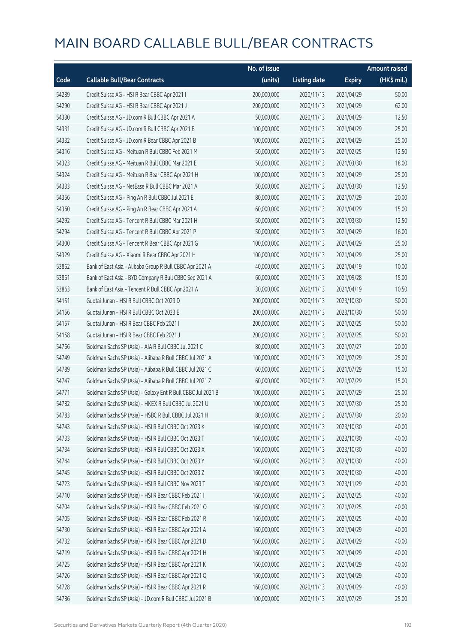|       |                                                             | No. of issue |                     |               | <b>Amount raised</b> |
|-------|-------------------------------------------------------------|--------------|---------------------|---------------|----------------------|
| Code  | <b>Callable Bull/Bear Contracts</b>                         | (units)      | <b>Listing date</b> | <b>Expiry</b> | (HK\$ mil.)          |
| 54289 | Credit Suisse AG - HSI R Bear CBBC Apr 2021 I               | 200,000,000  | 2020/11/13          | 2021/04/29    | 50.00                |
| 54290 | Credit Suisse AG - HSI R Bear CBBC Apr 2021 J               | 200,000,000  | 2020/11/13          | 2021/04/29    | 62.00                |
| 54330 | Credit Suisse AG - JD.com R Bull CBBC Apr 2021 A            | 50,000,000   | 2020/11/13          | 2021/04/29    | 12.50                |
| 54331 | Credit Suisse AG - JD.com R Bull CBBC Apr 2021 B            | 100,000,000  | 2020/11/13          | 2021/04/29    | 25.00                |
| 54332 | Credit Suisse AG - JD.com R Bear CBBC Apr 2021 B            | 100,000,000  | 2020/11/13          | 2021/04/29    | 25.00                |
| 54316 | Credit Suisse AG - Meituan R Bull CBBC Feb 2021 M           | 50,000,000   | 2020/11/13          | 2021/02/25    | 12.50                |
| 54323 | Credit Suisse AG - Meituan R Bull CBBC Mar 2021 E           | 50,000,000   | 2020/11/13          | 2021/03/30    | 18.00                |
| 54324 | Credit Suisse AG - Meituan R Bear CBBC Apr 2021 H           | 100,000,000  | 2020/11/13          | 2021/04/29    | 25.00                |
| 54333 | Credit Suisse AG - NetEase R Bull CBBC Mar 2021 A           | 50,000,000   | 2020/11/13          | 2021/03/30    | 12.50                |
| 54356 | Credit Suisse AG - Ping An R Bull CBBC Jul 2021 E           | 80,000,000   | 2020/11/13          | 2021/07/29    | 20.00                |
| 54360 | Credit Suisse AG - Ping An R Bear CBBC Apr 2021 A           | 60,000,000   | 2020/11/13          | 2021/04/29    | 15.00                |
| 54292 | Credit Suisse AG - Tencent R Bull CBBC Mar 2021 H           | 50,000,000   | 2020/11/13          | 2021/03/30    | 12.50                |
| 54294 | Credit Suisse AG - Tencent R Bull CBBC Apr 2021 P           | 50,000,000   | 2020/11/13          | 2021/04/29    | 16.00                |
| 54300 | Credit Suisse AG - Tencent R Bear CBBC Apr 2021 G           | 100,000,000  | 2020/11/13          | 2021/04/29    | 25.00                |
| 54329 | Credit Suisse AG - Xiaomi R Bear CBBC Apr 2021 H            | 100,000,000  | 2020/11/13          | 2021/04/29    | 25.00                |
| 53862 | Bank of East Asia - Alibaba Group R Bull CBBC Apr 2021 A    | 40,000,000   | 2020/11/13          | 2021/04/19    | 10.00                |
| 53861 | Bank of East Asia - BYD Company R Bull CBBC Sep 2021 A      | 60,000,000   | 2020/11/13          | 2021/09/28    | 15.00                |
| 53863 | Bank of East Asia - Tencent R Bull CBBC Apr 2021 A          | 30,000,000   | 2020/11/13          | 2021/04/19    | 10.50                |
| 54151 | Guotai Junan - HSI R Bull CBBC Oct 2023 D                   | 200,000,000  | 2020/11/13          | 2023/10/30    | 50.00                |
| 54156 | Guotai Junan - HSI R Bull CBBC Oct 2023 E                   | 200,000,000  | 2020/11/13          | 2023/10/30    | 50.00                |
| 54157 | Guotai Junan - HSI R Bear CBBC Feb 2021 I                   | 200,000,000  | 2020/11/13          | 2021/02/25    | 50.00                |
| 54158 | Guotai Junan - HSI R Bear CBBC Feb 2021 J                   | 200,000,000  | 2020/11/13          | 2021/02/25    | 50.00                |
| 54766 | Goldman Sachs SP (Asia) - AIA R Bull CBBC Jul 2021 C        | 80,000,000   | 2020/11/13          | 2021/07/27    | 20.00                |
| 54749 | Goldman Sachs SP (Asia) - Alibaba R Bull CBBC Jul 2021 A    | 100,000,000  | 2020/11/13          | 2021/07/29    | 25.00                |
| 54789 | Goldman Sachs SP (Asia) - Alibaba R Bull CBBC Jul 2021 C    | 60,000,000   | 2020/11/13          | 2021/07/29    | 15.00                |
| 54747 | Goldman Sachs SP (Asia) - Alibaba R Bull CBBC Jul 2021 Z    | 60,000,000   | 2020/11/13          | 2021/07/29    | 15.00                |
| 54771 | Goldman Sachs SP (Asia) - Galaxy Ent R Bull CBBC Jul 2021 B | 100,000,000  | 2020/11/13          | 2021/07/29    | 25.00                |
| 54782 | Goldman Sachs SP (Asia) - HKEX R Bull CBBC Jul 2021 U       | 100,000,000  | 2020/11/13          | 2021/07/30    | 25.00                |
| 54783 | Goldman Sachs SP (Asia) - HSBC R Bull CBBC Jul 2021 H       | 80,000,000   | 2020/11/13          | 2021/07/30    | 20.00                |
| 54743 | Goldman Sachs SP (Asia) - HSI R Bull CBBC Oct 2023 K        | 160,000,000  | 2020/11/13          | 2023/10/30    | 40.00                |
| 54733 | Goldman Sachs SP (Asia) - HSI R Bull CBBC Oct 2023 T        | 160,000,000  | 2020/11/13          | 2023/10/30    | 40.00                |
| 54734 | Goldman Sachs SP (Asia) - HSI R Bull CBBC Oct 2023 X        | 160,000,000  | 2020/11/13          | 2023/10/30    | 40.00                |
| 54744 | Goldman Sachs SP (Asia) - HSI R Bull CBBC Oct 2023 Y        | 160,000,000  | 2020/11/13          | 2023/10/30    | 40.00                |
| 54745 | Goldman Sachs SP (Asia) - HSI R Bull CBBC Oct 2023 Z        | 160,000,000  | 2020/11/13          | 2023/10/30    | 40.00                |
| 54723 | Goldman Sachs SP (Asia) - HSI R Bull CBBC Nov 2023 T        | 160,000,000  | 2020/11/13          | 2023/11/29    | 40.00                |
| 54710 | Goldman Sachs SP (Asia) - HSI R Bear CBBC Feb 2021 I        | 160,000,000  | 2020/11/13          | 2021/02/25    | 40.00                |
| 54704 | Goldman Sachs SP (Asia) - HSI R Bear CBBC Feb 2021 O        | 160,000,000  | 2020/11/13          | 2021/02/25    | 40.00                |
| 54705 | Goldman Sachs SP (Asia) - HSI R Bear CBBC Feb 2021 R        | 160,000,000  | 2020/11/13          | 2021/02/25    | 40.00                |
| 54730 | Goldman Sachs SP (Asia) - HSI R Bear CBBC Apr 2021 A        | 160,000,000  | 2020/11/13          | 2021/04/29    | 40.00                |
| 54732 | Goldman Sachs SP (Asia) - HSI R Bear CBBC Apr 2021 D        | 160,000,000  | 2020/11/13          | 2021/04/29    | 40.00                |
| 54719 | Goldman Sachs SP (Asia) - HSI R Bear CBBC Apr 2021 H        | 160,000,000  | 2020/11/13          | 2021/04/29    | 40.00                |
| 54725 | Goldman Sachs SP (Asia) - HSI R Bear CBBC Apr 2021 K        | 160,000,000  | 2020/11/13          | 2021/04/29    | 40.00                |
| 54726 | Goldman Sachs SP (Asia) - HSI R Bear CBBC Apr 2021 Q        | 160,000,000  | 2020/11/13          | 2021/04/29    | 40.00                |
| 54728 | Goldman Sachs SP (Asia) - HSI R Bear CBBC Apr 2021 R        | 160,000,000  | 2020/11/13          | 2021/04/29    | 40.00                |
| 54786 | Goldman Sachs SP (Asia) - JD.com R Bull CBBC Jul 2021 B     | 100,000,000  | 2020/11/13          | 2021/07/29    | 25.00                |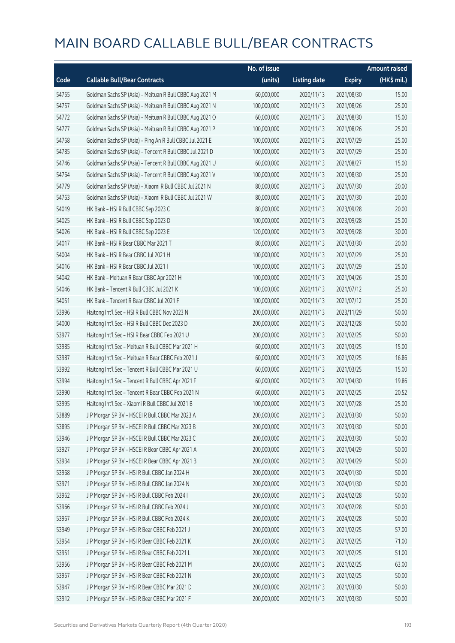|       |                                                          | No. of issue |                     |               | <b>Amount raised</b> |
|-------|----------------------------------------------------------|--------------|---------------------|---------------|----------------------|
| Code  | <b>Callable Bull/Bear Contracts</b>                      | (units)      | <b>Listing date</b> | <b>Expiry</b> | (HK\$ mil.)          |
| 54755 | Goldman Sachs SP (Asia) - Meituan R Bull CBBC Aug 2021 M | 60,000,000   | 2020/11/13          | 2021/08/30    | 15.00                |
| 54757 | Goldman Sachs SP (Asia) - Meituan R Bull CBBC Aug 2021 N | 100,000,000  | 2020/11/13          | 2021/08/26    | 25.00                |
| 54772 | Goldman Sachs SP (Asia) - Meituan R Bull CBBC Aug 2021 O | 60,000,000   | 2020/11/13          | 2021/08/30    | 15.00                |
| 54777 | Goldman Sachs SP (Asia) - Meituan R Bull CBBC Aug 2021 P | 100,000,000  | 2020/11/13          | 2021/08/26    | 25.00                |
| 54768 | Goldman Sachs SP (Asia) - Ping An R Bull CBBC Jul 2021 E | 100,000,000  | 2020/11/13          | 2021/07/29    | 25.00                |
| 54785 | Goldman Sachs SP (Asia) - Tencent R Bull CBBC Jul 2021 D | 100,000,000  | 2020/11/13          | 2021/07/29    | 25.00                |
| 54746 | Goldman Sachs SP (Asia) - Tencent R Bull CBBC Aug 2021 U | 60,000,000   | 2020/11/13          | 2021/08/27    | 15.00                |
| 54764 | Goldman Sachs SP (Asia) - Tencent R Bull CBBC Aug 2021 V | 100,000,000  | 2020/11/13          | 2021/08/30    | 25.00                |
| 54779 | Goldman Sachs SP (Asia) - Xiaomi R Bull CBBC Jul 2021 N  | 80,000,000   | 2020/11/13          | 2021/07/30    | 20.00                |
| 54763 | Goldman Sachs SP (Asia) - Xiaomi R Bull CBBC Jul 2021 W  | 80,000,000   | 2020/11/13          | 2021/07/30    | 20.00                |
| 54019 | HK Bank - HSI R Bull CBBC Sep 2023 C                     | 80,000,000   | 2020/11/13          | 2023/09/28    | 20.00                |
| 54025 | HK Bank - HSI R Bull CBBC Sep 2023 D                     | 100,000,000  | 2020/11/13          | 2023/09/28    | 25.00                |
| 54026 | HK Bank - HSI R Bull CBBC Sep 2023 E                     | 120,000,000  | 2020/11/13          | 2023/09/28    | 30.00                |
| 54017 | HK Bank - HSI R Bear CBBC Mar 2021 T                     | 80,000,000   | 2020/11/13          | 2021/03/30    | 20.00                |
| 54004 | HK Bank - HSI R Bear CBBC Jul 2021 H                     | 100,000,000  | 2020/11/13          | 2021/07/29    | 25.00                |
| 54016 | HK Bank - HSI R Bear CBBC Jul 2021 I                     | 100,000,000  | 2020/11/13          | 2021/07/29    | 25.00                |
| 54042 | HK Bank - Meituan R Bear CBBC Apr 2021 H                 | 100,000,000  | 2020/11/13          | 2021/04/26    | 25.00                |
| 54046 | HK Bank - Tencent R Bull CBBC Jul 2021 K                 | 100,000,000  | 2020/11/13          | 2021/07/12    | 25.00                |
| 54051 | HK Bank - Tencent R Bear CBBC Jul 2021 F                 | 100,000,000  | 2020/11/13          | 2021/07/12    | 25.00                |
| 53996 | Haitong Int'l Sec - HSI R Bull CBBC Nov 2023 N           | 200,000,000  | 2020/11/13          | 2023/11/29    | 50.00                |
| 54000 | Haitong Int'l Sec - HSI R Bull CBBC Dec 2023 D           | 200,000,000  | 2020/11/13          | 2023/12/28    | 50.00                |
| 53977 | Haitong Int'l Sec - HSI R Bear CBBC Feb 2021 U           | 200,000,000  | 2020/11/13          | 2021/02/25    | 50.00                |
| 53985 | Haitong Int'l Sec - Meituan R Bull CBBC Mar 2021 H       | 60,000,000   | 2020/11/13          | 2021/03/25    | 15.00                |
| 53987 | Haitong Int'l Sec - Meituan R Bear CBBC Feb 2021 J       | 60,000,000   | 2020/11/13          | 2021/02/25    | 16.86                |
| 53992 | Haitong Int'l Sec - Tencent R Bull CBBC Mar 2021 U       | 60,000,000   | 2020/11/13          | 2021/03/25    | 15.00                |
| 53994 | Haitong Int'l Sec - Tencent R Bull CBBC Apr 2021 F       | 60,000,000   | 2020/11/13          | 2021/04/30    | 19.86                |
| 53990 | Haitong Int'l Sec - Tencent R Bear CBBC Feb 2021 N       | 60,000,000   | 2020/11/13          | 2021/02/25    | 20.52                |
| 53995 | Haitong Int'l Sec - Xiaomi R Bull CBBC Jul 2021 B        | 100,000,000  | 2020/11/13          | 2021/07/28    | 25.00                |
| 53889 | J P Morgan SP BV - HSCEI R Bull CBBC Mar 2023 A          | 200,000,000  | 2020/11/13          | 2023/03/30    | 50.00                |
| 53895 | J P Morgan SP BV - HSCEI R Bull CBBC Mar 2023 B          | 200,000,000  | 2020/11/13          | 2023/03/30    | 50.00                |
| 53946 | J P Morgan SP BV - HSCEI R Bull CBBC Mar 2023 C          | 200,000,000  | 2020/11/13          | 2023/03/30    | 50.00                |
| 53927 | J P Morgan SP BV - HSCEI R Bear CBBC Apr 2021 A          | 200,000,000  | 2020/11/13          | 2021/04/29    | 50.00                |
| 53934 | J P Morgan SP BV - HSCEI R Bear CBBC Apr 2021 B          | 200,000,000  | 2020/11/13          | 2021/04/29    | 50.00                |
| 53968 | J P Morgan SP BV - HSI R Bull CBBC Jan 2024 H            | 200,000,000  | 2020/11/13          | 2024/01/30    | 50.00                |
| 53971 | J P Morgan SP BV - HSI R Bull CBBC Jan 2024 N            | 200,000,000  | 2020/11/13          | 2024/01/30    | 50.00                |
| 53962 | J P Morgan SP BV - HSI R Bull CBBC Feb 2024 I            | 200,000,000  | 2020/11/13          | 2024/02/28    | 50.00                |
| 53966 | J P Morgan SP BV - HSI R Bull CBBC Feb 2024 J            | 200,000,000  | 2020/11/13          | 2024/02/28    | 50.00                |
| 53967 | J P Morgan SP BV - HSI R Bull CBBC Feb 2024 K            | 200,000,000  | 2020/11/13          | 2024/02/28    | 50.00                |
| 53949 | J P Morgan SP BV - HSI R Bear CBBC Feb 2021 J            | 200,000,000  | 2020/11/13          | 2021/02/25    | 57.00                |
| 53954 | J P Morgan SP BV - HSI R Bear CBBC Feb 2021 K            | 200,000,000  | 2020/11/13          | 2021/02/25    | 71.00                |
| 53951 | J P Morgan SP BV - HSI R Bear CBBC Feb 2021 L            | 200,000,000  | 2020/11/13          | 2021/02/25    | 51.00                |
| 53956 | J P Morgan SP BV - HSI R Bear CBBC Feb 2021 M            | 200,000,000  | 2020/11/13          | 2021/02/25    | 63.00                |
| 53957 | J P Morgan SP BV - HSI R Bear CBBC Feb 2021 N            | 200,000,000  | 2020/11/13          | 2021/02/25    | 50.00                |
| 53947 | J P Morgan SP BV - HSI R Bear CBBC Mar 2021 D            | 200,000,000  | 2020/11/13          | 2021/03/30    | 50.00                |
| 53912 | J P Morgan SP BV - HSI R Bear CBBC Mar 2021 F            | 200,000,000  | 2020/11/13          | 2021/03/30    | 50.00                |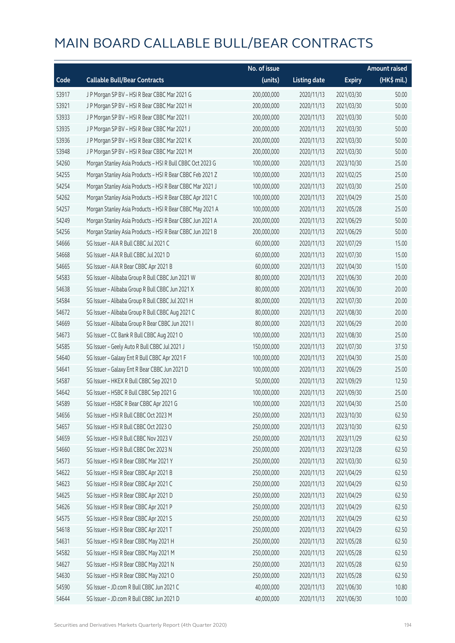|       |                                                           | No. of issue |                     |               | <b>Amount raised</b> |
|-------|-----------------------------------------------------------|--------------|---------------------|---------------|----------------------|
| Code  | <b>Callable Bull/Bear Contracts</b>                       | (units)      | <b>Listing date</b> | <b>Expiry</b> | (HK\$ mil.)          |
| 53917 | J P Morgan SP BV - HSI R Bear CBBC Mar 2021 G             | 200,000,000  | 2020/11/13          | 2021/03/30    | 50.00                |
| 53921 | J P Morgan SP BV - HSI R Bear CBBC Mar 2021 H             | 200,000,000  | 2020/11/13          | 2021/03/30    | 50.00                |
| 53933 | J P Morgan SP BV - HSI R Bear CBBC Mar 2021 I             | 200,000,000  | 2020/11/13          | 2021/03/30    | 50.00                |
| 53935 | J P Morgan SP BV - HSI R Bear CBBC Mar 2021 J             | 200,000,000  | 2020/11/13          | 2021/03/30    | 50.00                |
| 53936 | J P Morgan SP BV - HSI R Bear CBBC Mar 2021 K             | 200,000,000  | 2020/11/13          | 2021/03/30    | 50.00                |
| 53948 | J P Morgan SP BV - HSI R Bear CBBC Mar 2021 M             | 200,000,000  | 2020/11/13          | 2021/03/30    | 50.00                |
| 54260 | Morgan Stanley Asia Products - HSI R Bull CBBC Oct 2023 G | 100,000,000  | 2020/11/13          | 2023/10/30    | 25.00                |
| 54255 | Morgan Stanley Asia Products - HSI R Bear CBBC Feb 2021 Z | 100,000,000  | 2020/11/13          | 2021/02/25    | 25.00                |
| 54254 | Morgan Stanley Asia Products - HSI R Bear CBBC Mar 2021 J | 100,000,000  | 2020/11/13          | 2021/03/30    | 25.00                |
| 54262 | Morgan Stanley Asia Products - HSI R Bear CBBC Apr 2021 C | 100,000,000  | 2020/11/13          | 2021/04/29    | 25.00                |
| 54257 | Morgan Stanley Asia Products - HSI R Bear CBBC May 2021 A | 100,000,000  | 2020/11/13          | 2021/05/28    | 25.00                |
| 54249 | Morgan Stanley Asia Products - HSI R Bear CBBC Jun 2021 A | 200,000,000  | 2020/11/13          | 2021/06/29    | 50.00                |
| 54256 | Morgan Stanley Asia Products - HSI R Bear CBBC Jun 2021 B | 200,000,000  | 2020/11/13          | 2021/06/29    | 50.00                |
| 54666 | SG Issuer - AIA R Bull CBBC Jul 2021 C                    | 60,000,000   | 2020/11/13          | 2021/07/29    | 15.00                |
| 54668 | SG Issuer - AIA R Bull CBBC Jul 2021 D                    | 60,000,000   | 2020/11/13          | 2021/07/30    | 15.00                |
| 54665 | SG Issuer - AIA R Bear CBBC Apr 2021 B                    | 60,000,000   | 2020/11/13          | 2021/04/30    | 15.00                |
| 54583 | SG Issuer - Alibaba Group R Bull CBBC Jun 2021 W          | 80,000,000   | 2020/11/13          | 2021/06/30    | 20.00                |
| 54638 | SG Issuer - Alibaba Group R Bull CBBC Jun 2021 X          | 80,000,000   | 2020/11/13          | 2021/06/30    | 20.00                |
| 54584 | SG Issuer - Alibaba Group R Bull CBBC Jul 2021 H          | 80,000,000   | 2020/11/13          | 2021/07/30    | 20.00                |
| 54672 | SG Issuer - Alibaba Group R Bull CBBC Aug 2021 C          | 80,000,000   | 2020/11/13          | 2021/08/30    | 20.00                |
| 54669 | SG Issuer - Alibaba Group R Bear CBBC Jun 2021 I          | 80,000,000   | 2020/11/13          | 2021/06/29    | 20.00                |
| 54673 | SG Issuer - CC Bank R Bull CBBC Aug 2021 O                | 100,000,000  | 2020/11/13          | 2021/08/30    | 25.00                |
| 54585 | SG Issuer - Geely Auto R Bull CBBC Jul 2021 J             | 150,000,000  | 2020/11/13          | 2021/07/30    | 37.50                |
| 54640 | SG Issuer - Galaxy Ent R Bull CBBC Apr 2021 F             | 100,000,000  | 2020/11/13          | 2021/04/30    | 25.00                |
| 54641 | SG Issuer - Galaxy Ent R Bear CBBC Jun 2021 D             | 100,000,000  | 2020/11/13          | 2021/06/29    | 25.00                |
| 54587 | SG Issuer - HKEX R Bull CBBC Sep 2021 D                   | 50,000,000   | 2020/11/13          | 2021/09/29    | 12.50                |
| 54642 | SG Issuer - HSBC R Bull CBBC Sep 2021 G                   | 100,000,000  | 2020/11/13          | 2021/09/30    | 25.00                |
| 54589 | SG Issuer - HSBC R Bear CBBC Apr 2021 G                   | 100,000,000  | 2020/11/13          | 2021/04/30    | 25.00                |
| 54656 | SG Issuer - HSI R Bull CBBC Oct 2023 M                    | 250,000,000  | 2020/11/13          | 2023/10/30    | 62.50                |
| 54657 | SG Issuer - HSI R Bull CBBC Oct 2023 O                    | 250,000,000  | 2020/11/13          | 2023/10/30    | 62.50                |
| 54659 | SG Issuer - HSI R Bull CBBC Nov 2023 V                    | 250,000,000  | 2020/11/13          | 2023/11/29    | 62.50                |
| 54660 | SG Issuer - HSI R Bull CBBC Dec 2023 N                    | 250,000,000  | 2020/11/13          | 2023/12/28    | 62.50                |
| 54573 | SG Issuer - HSI R Bear CBBC Mar 2021 Y                    | 250,000,000  | 2020/11/13          | 2021/03/30    | 62.50                |
| 54622 | SG Issuer - HSI R Bear CBBC Apr 2021 B                    | 250,000,000  | 2020/11/13          | 2021/04/29    | 62.50                |
| 54623 | SG Issuer - HSI R Bear CBBC Apr 2021 C                    | 250,000,000  | 2020/11/13          | 2021/04/29    | 62.50                |
| 54625 | SG Issuer - HSI R Bear CBBC Apr 2021 D                    | 250,000,000  | 2020/11/13          | 2021/04/29    | 62.50                |
| 54626 | SG Issuer - HSI R Bear CBBC Apr 2021 P                    | 250,000,000  | 2020/11/13          | 2021/04/29    | 62.50                |
| 54575 | SG Issuer - HSI R Bear CBBC Apr 2021 S                    | 250,000,000  | 2020/11/13          | 2021/04/29    | 62.50                |
| 54618 | SG Issuer - HSI R Bear CBBC Apr 2021 T                    | 250,000,000  | 2020/11/13          | 2021/04/29    | 62.50                |
| 54631 | SG Issuer - HSI R Bear CBBC May 2021 H                    | 250,000,000  | 2020/11/13          | 2021/05/28    | 62.50                |
| 54582 | SG Issuer - HSI R Bear CBBC May 2021 M                    | 250,000,000  | 2020/11/13          | 2021/05/28    | 62.50                |
| 54627 | SG Issuer - HSI R Bear CBBC May 2021 N                    | 250,000,000  | 2020/11/13          | 2021/05/28    | 62.50                |
| 54630 | SG Issuer - HSI R Bear CBBC May 2021 O                    | 250,000,000  | 2020/11/13          | 2021/05/28    | 62.50                |
| 54590 | SG Issuer - JD.com R Bull CBBC Jun 2021 C                 | 40,000,000   | 2020/11/13          | 2021/06/30    | 10.80                |
| 54644 | SG Issuer - JD.com R Bull CBBC Jun 2021 D                 | 40,000,000   | 2020/11/13          | 2021/06/30    | 10.00                |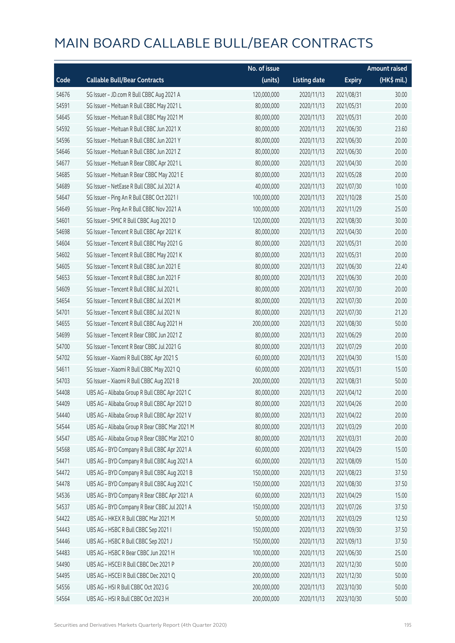|       |                                               | No. of issue |                     |               | <b>Amount raised</b> |
|-------|-----------------------------------------------|--------------|---------------------|---------------|----------------------|
| Code  | <b>Callable Bull/Bear Contracts</b>           | (units)      | <b>Listing date</b> | <b>Expiry</b> | (HK\$ mil.)          |
| 54676 | SG Issuer - JD.com R Bull CBBC Aug 2021 A     | 120,000,000  | 2020/11/13          | 2021/08/31    | 30.00                |
| 54591 | SG Issuer - Meituan R Bull CBBC May 2021 L    | 80,000,000   | 2020/11/13          | 2021/05/31    | 20.00                |
| 54645 | SG Issuer - Meituan R Bull CBBC May 2021 M    | 80,000,000   | 2020/11/13          | 2021/05/31    | 20.00                |
| 54592 | SG Issuer - Meituan R Bull CBBC Jun 2021 X    | 80,000,000   | 2020/11/13          | 2021/06/30    | 23.60                |
| 54596 | SG Issuer - Meituan R Bull CBBC Jun 2021 Y    | 80,000,000   | 2020/11/13          | 2021/06/30    | 20.00                |
| 54646 | SG Issuer - Meituan R Bull CBBC Jun 2021 Z    | 80,000,000   | 2020/11/13          | 2021/06/30    | 20.00                |
| 54677 | SG Issuer - Meituan R Bear CBBC Apr 2021 L    | 80,000,000   | 2020/11/13          | 2021/04/30    | 20.00                |
| 54685 | SG Issuer - Meituan R Bear CBBC May 2021 E    | 80,000,000   | 2020/11/13          | 2021/05/28    | 20.00                |
| 54689 | SG Issuer - NetEase R Bull CBBC Jul 2021 A    | 40,000,000   | 2020/11/13          | 2021/07/30    | 10.00                |
| 54647 | SG Issuer - Ping An R Bull CBBC Oct 2021 I    | 100,000,000  | 2020/11/13          | 2021/10/28    | 25.00                |
| 54649 | SG Issuer - Ping An R Bull CBBC Nov 2021 A    | 100,000,000  | 2020/11/13          | 2021/11/29    | 25.00                |
| 54601 | SG Issuer - SMIC R Bull CBBC Aug 2021 D       | 120,000,000  | 2020/11/13          | 2021/08/30    | 30.00                |
| 54698 | SG Issuer - Tencent R Bull CBBC Apr 2021 K    | 80,000,000   | 2020/11/13          | 2021/04/30    | 20.00                |
| 54604 | SG Issuer - Tencent R Bull CBBC May 2021 G    | 80,000,000   | 2020/11/13          | 2021/05/31    | 20.00                |
| 54602 | SG Issuer - Tencent R Bull CBBC May 2021 K    | 80,000,000   | 2020/11/13          | 2021/05/31    | 20.00                |
| 54605 | SG Issuer - Tencent R Bull CBBC Jun 2021 E    | 80,000,000   | 2020/11/13          | 2021/06/30    | 22.40                |
| 54653 | SG Issuer - Tencent R Bull CBBC Jun 2021 F    | 80,000,000   | 2020/11/13          | 2021/06/30    | 20.00                |
| 54609 | SG Issuer - Tencent R Bull CBBC Jul 2021 L    | 80,000,000   | 2020/11/13          | 2021/07/30    | 20.00                |
| 54654 | SG Issuer - Tencent R Bull CBBC Jul 2021 M    | 80,000,000   | 2020/11/13          | 2021/07/30    | 20.00                |
| 54701 | SG Issuer - Tencent R Bull CBBC Jul 2021 N    | 80,000,000   | 2020/11/13          | 2021/07/30    | 21.20                |
| 54655 | SG Issuer - Tencent R Bull CBBC Aug 2021 H    | 200,000,000  | 2020/11/13          | 2021/08/30    | 50.00                |
| 54699 | SG Issuer - Tencent R Bear CBBC Jun 2021 Z    | 80,000,000   | 2020/11/13          | 2021/06/29    | 20.00                |
| 54700 | SG Issuer - Tencent R Bear CBBC Jul 2021 G    | 80,000,000   | 2020/11/13          | 2021/07/29    | 20.00                |
| 54702 | SG Issuer - Xiaomi R Bull CBBC Apr 2021 S     | 60,000,000   | 2020/11/13          | 2021/04/30    | 15.00                |
| 54611 | SG Issuer - Xiaomi R Bull CBBC May 2021 Q     | 60,000,000   | 2020/11/13          | 2021/05/31    | 15.00                |
| 54703 | SG Issuer - Xiaomi R Bull CBBC Aug 2021 B     | 200,000,000  | 2020/11/13          | 2021/08/31    | 50.00                |
| 54408 | UBS AG - Alibaba Group R Bull CBBC Apr 2021 C | 80,000,000   | 2020/11/13          | 2021/04/12    | 20.00                |
| 54409 | UBS AG - Alibaba Group R Bull CBBC Apr 2021 D | 80,000,000   | 2020/11/13          | 2021/04/26    | 20.00                |
| 54440 | UBS AG - Alibaba Group R Bull CBBC Apr 2021 V | 80,000,000   | 2020/11/13          | 2021/04/22    | 20.00                |
| 54544 | UBS AG - Alibaba Group R Bear CBBC Mar 2021 M | 80,000,000   | 2020/11/13          | 2021/03/29    | 20.00                |
| 54547 | UBS AG - Alibaba Group R Bear CBBC Mar 2021 O | 80,000,000   | 2020/11/13          | 2021/03/31    | 20.00                |
| 54568 | UBS AG - BYD Company R Bull CBBC Apr 2021 A   | 60,000,000   | 2020/11/13          | 2021/04/29    | 15.00                |
| 54471 | UBS AG - BYD Company R Bull CBBC Aug 2021 A   | 60,000,000   | 2020/11/13          | 2021/08/09    | 15.00                |
| 54472 | UBS AG - BYD Company R Bull CBBC Aug 2021 B   | 150,000,000  | 2020/11/13          | 2021/08/23    | 37.50                |
| 54478 | UBS AG - BYD Company R Bull CBBC Aug 2021 C   | 150,000,000  | 2020/11/13          | 2021/08/30    | 37.50                |
| 54536 | UBS AG - BYD Company R Bear CBBC Apr 2021 A   | 60,000,000   | 2020/11/13          | 2021/04/29    | 15.00                |
| 54537 | UBS AG - BYD Company R Bear CBBC Jul 2021 A   | 150,000,000  | 2020/11/13          | 2021/07/26    | 37.50                |
| 54422 | UBS AG - HKEX R Bull CBBC Mar 2021 M          | 50,000,000   | 2020/11/13          | 2021/03/29    | 12.50                |
| 54443 | UBS AG - HSBC R Bull CBBC Sep 2021 I          | 150,000,000  | 2020/11/13          | 2021/09/30    | 37.50                |
| 54446 | UBS AG - HSBC R Bull CBBC Sep 2021 J          | 150,000,000  | 2020/11/13          | 2021/09/13    | 37.50                |
| 54483 | UBS AG - HSBC R Bear CBBC Jun 2021 H          | 100,000,000  | 2020/11/13          | 2021/06/30    | 25.00                |
| 54490 | UBS AG - HSCEI R Bull CBBC Dec 2021 P         | 200,000,000  | 2020/11/13          | 2021/12/30    | 50.00                |
| 54495 | UBS AG - HSCEI R Bull CBBC Dec 2021 Q         | 200,000,000  | 2020/11/13          | 2021/12/30    | 50.00                |
| 54556 | UBS AG - HSI R Bull CBBC Oct 2023 G           | 200,000,000  | 2020/11/13          | 2023/10/30    | 50.00                |
| 54564 | UBS AG - HSI R Bull CBBC Oct 2023 H           | 200,000,000  | 2020/11/13          | 2023/10/30    | 50.00                |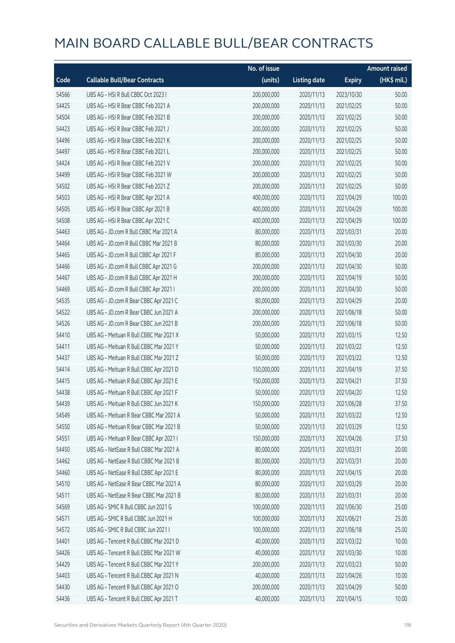|       |                                         | No. of issue |                     |               | <b>Amount raised</b> |
|-------|-----------------------------------------|--------------|---------------------|---------------|----------------------|
| Code  | <b>Callable Bull/Bear Contracts</b>     | (units)      | <b>Listing date</b> | <b>Expiry</b> | $(HK$$ mil.)         |
| 54566 | UBS AG - HSI R Bull CBBC Oct 2023 I     | 200,000,000  | 2020/11/13          | 2023/10/30    | 50.00                |
| 54425 | UBS AG - HSI R Bear CBBC Feb 2021 A     | 200,000,000  | 2020/11/13          | 2021/02/25    | 50.00                |
| 54504 | UBS AG - HSI R Bear CBBC Feb 2021 B     | 200,000,000  | 2020/11/13          | 2021/02/25    | 50.00                |
| 54423 | UBS AG - HSI R Bear CBBC Feb 2021 J     | 200,000,000  | 2020/11/13          | 2021/02/25    | 50.00                |
| 54496 | UBS AG - HSI R Bear CBBC Feb 2021 K     | 200,000,000  | 2020/11/13          | 2021/02/25    | 50.00                |
| 54497 | UBS AG - HSI R Bear CBBC Feb 2021 L     | 200,000,000  | 2020/11/13          | 2021/02/25    | 50.00                |
| 54424 | UBS AG - HSI R Bear CBBC Feb 2021 V     | 200,000,000  | 2020/11/13          | 2021/02/25    | 50.00                |
| 54499 | UBS AG - HSI R Bear CBBC Feb 2021 W     | 200,000,000  | 2020/11/13          | 2021/02/25    | 50.00                |
| 54502 | UBS AG - HSI R Bear CBBC Feb 2021 Z     | 200,000,000  | 2020/11/13          | 2021/02/25    | 50.00                |
| 54503 | UBS AG - HSI R Bear CBBC Apr 2021 A     | 400,000,000  | 2020/11/13          | 2021/04/29    | 100.00               |
| 54505 | UBS AG - HSI R Bear CBBC Apr 2021 B     | 400,000,000  | 2020/11/13          | 2021/04/29    | 100.00               |
| 54508 | UBS AG - HSI R Bear CBBC Apr 2021 C     | 400,000,000  | 2020/11/13          | 2021/04/29    | 100.00               |
| 54463 | UBS AG - JD.com R Bull CBBC Mar 2021 A  | 80,000,000   | 2020/11/13          | 2021/03/31    | 20.00                |
| 54464 | UBS AG - JD.com R Bull CBBC Mar 2021 B  | 80,000,000   | 2020/11/13          | 2021/03/30    | 20.00                |
| 54465 | UBS AG - JD.com R Bull CBBC Apr 2021 F  | 80,000,000   | 2020/11/13          | 2021/04/30    | 20.00                |
| 54466 | UBS AG - JD.com R Bull CBBC Apr 2021 G  | 200,000,000  | 2020/11/13          | 2021/04/30    | 50.00                |
| 54467 | UBS AG - JD.com R Bull CBBC Apr 2021 H  | 200,000,000  | 2020/11/13          | 2021/04/19    | 50.00                |
| 54469 | UBS AG - JD.com R Bull CBBC Apr 2021 I  | 200,000,000  | 2020/11/13          | 2021/04/30    | 50.00                |
| 54535 | UBS AG - JD.com R Bear CBBC Apr 2021 C  | 80,000,000   | 2020/11/13          | 2021/04/29    | 20.00                |
| 54522 | UBS AG - JD.com R Bear CBBC Jun 2021 A  | 200,000,000  | 2020/11/13          | 2021/06/18    | 50.00                |
| 54526 | UBS AG - JD.com R Bear CBBC Jun 2021 B  | 200,000,000  | 2020/11/13          | 2021/06/18    | 50.00                |
| 54410 | UBS AG - Meituan R Bull CBBC Mar 2021 X | 50,000,000   | 2020/11/13          | 2021/03/15    | 12.50                |
| 54411 | UBS AG - Meituan R Bull CBBC Mar 2021 Y | 50,000,000   | 2020/11/13          | 2021/03/22    | 12.50                |
| 54437 | UBS AG - Meituan R Bull CBBC Mar 2021 Z | 50,000,000   | 2020/11/13          | 2021/03/22    | 12.50                |
| 54414 | UBS AG - Meituan R Bull CBBC Apr 2021 D | 150,000,000  | 2020/11/13          | 2021/04/19    | 37.50                |
| 54415 | UBS AG - Meituan R Bull CBBC Apr 2021 E | 150,000,000  | 2020/11/13          | 2021/04/21    | 37.50                |
| 54438 | UBS AG - Meituan R Bull CBBC Apr 2021 F | 50,000,000   | 2020/11/13          | 2021/04/20    | 12.50                |
| 54439 | UBS AG - Meituan R Bull CBBC Jun 2021 K | 150,000,000  | 2020/11/13          | 2021/06/28    | 37.50                |
| 54549 | UBS AG - Meituan R Bear CBBC Mar 2021 A | 50,000,000   | 2020/11/13          | 2021/03/22    | 12.50                |
| 54550 | UBS AG - Meituan R Bear CBBC Mar 2021 B | 50,000,000   | 2020/11/13          | 2021/03/29    | 12.50                |
| 54551 | UBS AG - Meituan R Bear CBBC Apr 2021 I | 150,000,000  | 2020/11/13          | 2021/04/26    | 37.50                |
| 54450 | UBS AG - NetEase R Bull CBBC Mar 2021 A | 80,000,000   | 2020/11/13          | 2021/03/31    | 20.00                |
| 54462 | UBS AG - NetEase R Bull CBBC Mar 2021 B | 80,000,000   | 2020/11/13          | 2021/03/31    | 20.00                |
| 54460 | UBS AG - NetEase R Bull CBBC Apr 2021 E | 80,000,000   | 2020/11/13          | 2021/04/15    | 20.00                |
| 54510 | UBS AG - NetEase R Bear CBBC Mar 2021 A | 80,000,000   | 2020/11/13          | 2021/03/29    | 20.00                |
| 54511 | UBS AG - NetEase R Bear CBBC Mar 2021 B | 80,000,000   | 2020/11/13          | 2021/03/31    | 20.00                |
| 54569 | UBS AG - SMIC R Bull CBBC Jun 2021 G    | 100,000,000  | 2020/11/13          | 2021/06/30    | 25.00                |
| 54571 | UBS AG - SMIC R Bull CBBC Jun 2021 H    | 100,000,000  | 2020/11/13          | 2021/06/21    | 25.00                |
| 54572 | UBS AG - SMIC R Bull CBBC Jun 2021 I    | 100,000,000  | 2020/11/13          | 2021/06/18    | 25.00                |
| 54401 | UBS AG - Tencent R Bull CBBC Mar 2021 D | 40,000,000   | 2020/11/13          | 2021/03/22    | 10.00                |
| 54426 | UBS AG - Tencent R Bull CBBC Mar 2021 W | 40,000,000   | 2020/11/13          | 2021/03/30    | 10.00                |
| 54429 | UBS AG - Tencent R Bull CBBC Mar 2021 Y | 200,000,000  | 2020/11/13          | 2021/03/23    | 50.00                |
| 54403 | UBS AG - Tencent R Bull CBBC Apr 2021 N | 40,000,000   | 2020/11/13          | 2021/04/26    | 10.00                |
| 54430 | UBS AG - Tencent R Bull CBBC Apr 2021 O | 200,000,000  | 2020/11/13          | 2021/04/29    | 50.00                |
| 54436 | UBS AG - Tencent R Bull CBBC Apr 2021 T | 40,000,000   | 2020/11/13          | 2021/04/15    | 10.00                |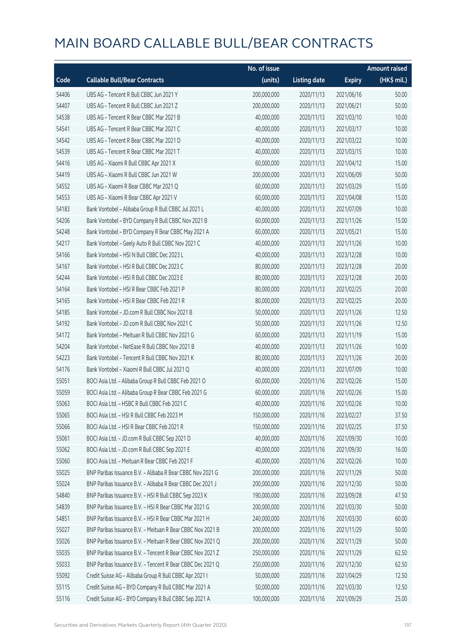|       |                                                            | No. of issue |                     |               | <b>Amount raised</b> |
|-------|------------------------------------------------------------|--------------|---------------------|---------------|----------------------|
| Code  | <b>Callable Bull/Bear Contracts</b>                        | (units)      | <b>Listing date</b> | <b>Expiry</b> | (HK\$ mil.)          |
| 54406 | UBS AG - Tencent R Bull CBBC Jun 2021 Y                    | 200,000,000  | 2020/11/13          | 2021/06/16    | 50.00                |
| 54407 | UBS AG - Tencent R Bull CBBC Jun 2021 Z                    | 200,000,000  | 2020/11/13          | 2021/06/21    | 50.00                |
| 54538 | UBS AG - Tencent R Bear CBBC Mar 2021 B                    | 40,000,000   | 2020/11/13          | 2021/03/10    | 10.00                |
| 54541 | UBS AG - Tencent R Bear CBBC Mar 2021 C                    | 40,000,000   | 2020/11/13          | 2021/03/17    | 10.00                |
| 54542 | UBS AG - Tencent R Bear CBBC Mar 2021 D                    | 40,000,000   | 2020/11/13          | 2021/03/22    | 10.00                |
| 54539 | UBS AG - Tencent R Bear CBBC Mar 2021 T                    | 40,000,000   | 2020/11/13          | 2021/03/15    | 10.00                |
| 54416 | UBS AG - Xiaomi R Bull CBBC Apr 2021 X                     | 60,000,000   | 2020/11/13          | 2021/04/12    | 15.00                |
| 54419 | UBS AG - Xiaomi R Bull CBBC Jun 2021 W                     | 200,000,000  | 2020/11/13          | 2021/06/09    | 50.00                |
| 54552 | UBS AG - Xiaomi R Bear CBBC Mar 2021 Q                     | 60,000,000   | 2020/11/13          | 2021/03/29    | 15.00                |
| 54553 | UBS AG - Xiaomi R Bear CBBC Apr 2021 V                     | 60,000,000   | 2020/11/13          | 2021/04/08    | 15.00                |
| 54183 | Bank Vontobel - Alibaba Group R Bull CBBC Jul 2021 L       | 40,000,000   | 2020/11/13          | 2021/07/09    | 10.00                |
| 54206 | Bank Vontobel - BYD Company R Bull CBBC Nov 2021 B         | 60,000,000   | 2020/11/13          | 2021/11/26    | 15.00                |
| 54248 | Bank Vontobel - BYD Company R Bear CBBC May 2021 A         | 60,000,000   | 2020/11/13          | 2021/05/21    | 15.00                |
| 54217 | Bank Vontobel - Geely Auto R Bull CBBC Nov 2021 C          | 40,000,000   | 2020/11/13          | 2021/11/26    | 10.00                |
| 54166 | Bank Vontobel - HSI N Bull CBBC Dec 2023 L                 | 40,000,000   | 2020/11/13          | 2023/12/28    | 10.00                |
| 54167 | Bank Vontobel - HSI R Bull CBBC Dec 2023 C                 | 80,000,000   | 2020/11/13          | 2023/12/28    | 20.00                |
| 54244 | Bank Vontobel - HSI R Bull CBBC Dec 2023 E                 | 80,000,000   | 2020/11/13          | 2023/12/28    | 20.00                |
| 54164 | Bank Vontobel - HSI R Bear CBBC Feb 2021 P                 | 80,000,000   | 2020/11/13          | 2021/02/25    | 20.00                |
| 54165 | Bank Vontobel - HSI R Bear CBBC Feb 2021 R                 | 80,000,000   | 2020/11/13          | 2021/02/25    | 20.00                |
| 54185 | Bank Vontobel - JD.com R Bull CBBC Nov 2021 B              | 50,000,000   | 2020/11/13          | 2021/11/26    | 12.50                |
| 54192 | Bank Vontobel - JD.com R Bull CBBC Nov 2021 C              | 50,000,000   | 2020/11/13          | 2021/11/26    | 12.50                |
| 54172 | Bank Vontobel - Meituan R Bull CBBC Nov 2021 G             | 60,000,000   | 2020/11/13          | 2021/11/19    | 15.00                |
| 54204 | Bank Vontobel - NetEase R Bull CBBC Nov 2021 B             | 40,000,000   | 2020/11/13          | 2021/11/26    | 10.00                |
| 54223 | Bank Vontobel - Tencent R Bull CBBC Nov 2021 K             | 80,000,000   | 2020/11/13          | 2021/11/26    | 20.00                |
| 54176 | Bank Vontobel - Xiaomi R Bull CBBC Jul 2021 Q              | 40,000,000   | 2020/11/13          | 2021/07/09    | 10.00                |
| 55051 | BOCI Asia Ltd. - Alibaba Group R Bull CBBC Feb 2021 O      | 60,000,000   | 2020/11/16          | 2021/02/26    | 15.00                |
| 55059 | BOCI Asia Ltd. - Alibaba Group R Bear CBBC Feb 2021 G      | 60,000,000   | 2020/11/16          | 2021/02/26    | 15.00                |
| 55063 | BOCI Asia Ltd. - HSBC R Bull CBBC Feb 2021 C               | 40,000,000   | 2020/11/16          | 2021/02/26    | 10.00                |
| 55065 | BOCI Asia Ltd. - HSI R Bull CBBC Feb 2023 M                | 150,000,000  | 2020/11/16          | 2023/02/27    | 37.50                |
| 55066 | BOCI Asia Ltd. - HSI R Bear CBBC Feb 2021 R                | 150,000,000  | 2020/11/16          | 2021/02/25    | 37.50                |
| 55061 | BOCI Asia Ltd. - JD.com R Bull CBBC Sep 2021 D             | 40,000,000   | 2020/11/16          | 2021/09/30    | 10.00                |
| 55062 | BOCI Asia Ltd. - JD.com R Bull CBBC Sep 2021 E             | 40,000,000   | 2020/11/16          | 2021/09/30    | 16.00                |
| 55060 | BOCI Asia Ltd. - Meituan R Bear CBBC Feb 2021 F            | 40,000,000   | 2020/11/16          | 2021/02/26    | 10.00                |
| 55025 | BNP Paribas Issuance B.V. - Alibaba R Bear CBBC Nov 2021 G | 200,000,000  | 2020/11/16          | 2021/11/29    | 50.00                |
| 55024 | BNP Paribas Issuance B.V. - Alibaba R Bear CBBC Dec 2021 J | 200,000,000  | 2020/11/16          | 2021/12/30    | 50.00                |
| 54840 | BNP Paribas Issuance B.V. - HSI R Bull CBBC Sep 2023 K     | 190,000,000  | 2020/11/16          | 2023/09/28    | 47.50                |
| 54839 | BNP Paribas Issuance B.V. - HSI R Bear CBBC Mar 2021 G     | 200,000,000  | 2020/11/16          | 2021/03/30    | 50.00                |
| 54851 | BNP Paribas Issuance B.V. - HSI R Bear CBBC Mar 2021 H     | 240,000,000  | 2020/11/16          | 2021/03/30    | 60.00                |
| 55027 | BNP Paribas Issuance B.V. - Meituan R Bear CBBC Nov 2021 B | 200,000,000  | 2020/11/16          | 2021/11/29    | 50.00                |
| 55026 | BNP Paribas Issuance B.V. - Meituan R Bear CBBC Nov 2021 Q | 200,000,000  | 2020/11/16          | 2021/11/29    | 50.00                |
| 55035 | BNP Paribas Issuance B.V. - Tencent R Bear CBBC Nov 2021 Z | 250,000,000  | 2020/11/16          | 2021/11/29    | 62.50                |
| 55033 | BNP Paribas Issuance B.V. - Tencent R Bear CBBC Dec 2021 Q | 250,000,000  | 2020/11/16          | 2021/12/30    | 62.50                |
| 55092 | Credit Suisse AG - Alibaba Group R Bull CBBC Apr 2021 I    | 50,000,000   | 2020/11/16          | 2021/04/29    | 12.50                |
| 55115 | Credit Suisse AG - BYD Company R Bull CBBC Mar 2021 A      | 50,000,000   | 2020/11/16          | 2021/03/30    | 12.50                |
| 55116 | Credit Suisse AG - BYD Company R Bull CBBC Sep 2021 A      | 100,000,000  | 2020/11/16          | 2021/09/29    | 25.00                |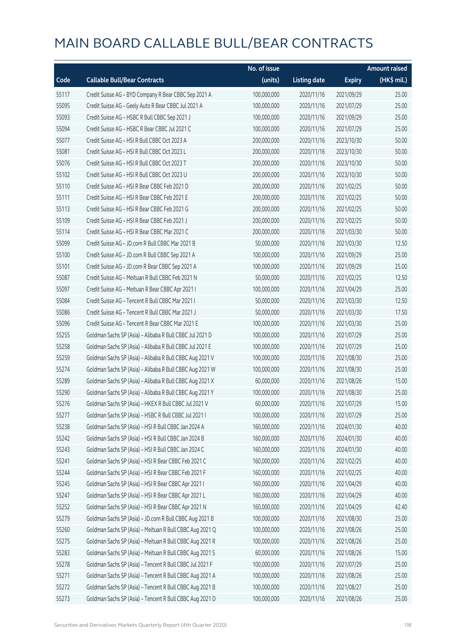|       |                                                          | No. of issue |                     |               | <b>Amount raised</b> |
|-------|----------------------------------------------------------|--------------|---------------------|---------------|----------------------|
| Code  | <b>Callable Bull/Bear Contracts</b>                      | (units)      | <b>Listing date</b> | <b>Expiry</b> | (HK\$ mil.)          |
| 55117 | Credit Suisse AG - BYD Company R Bear CBBC Sep 2021 A    | 100,000,000  | 2020/11/16          | 2021/09/29    | 25.00                |
| 55095 | Credit Suisse AG - Geely Auto R Bear CBBC Jul 2021 A     | 100,000,000  | 2020/11/16          | 2021/07/29    | 25.00                |
| 55093 | Credit Suisse AG - HSBC R Bull CBBC Sep 2021 J           | 100,000,000  | 2020/11/16          | 2021/09/29    | 25.00                |
| 55094 | Credit Suisse AG - HSBC R Bear CBBC Jul 2021 C           | 100,000,000  | 2020/11/16          | 2021/07/29    | 25.00                |
| 55077 | Credit Suisse AG - HSI R Bull CBBC Oct 2023 A            | 200,000,000  | 2020/11/16          | 2023/10/30    | 50.00                |
| 55081 | Credit Suisse AG - HSI R Bull CBBC Oct 2023 L            | 200,000,000  | 2020/11/16          | 2023/10/30    | 50.00                |
| 55076 | Credit Suisse AG - HSI R Bull CBBC Oct 2023 T            | 200,000,000  | 2020/11/16          | 2023/10/30    | 50.00                |
| 55102 | Credit Suisse AG - HSI R Bull CBBC Oct 2023 U            | 200,000,000  | 2020/11/16          | 2023/10/30    | 50.00                |
| 55110 | Credit Suisse AG - HSI R Bear CBBC Feb 2021 D            | 200,000,000  | 2020/11/16          | 2021/02/25    | 50.00                |
| 55111 | Credit Suisse AG - HSI R Bear CBBC Feb 2021 E            | 200,000,000  | 2020/11/16          | 2021/02/25    | 50.00                |
| 55113 | Credit Suisse AG - HSI R Bear CBBC Feb 2021 G            | 200,000,000  | 2020/11/16          | 2021/02/25    | 50.00                |
| 55109 | Credit Suisse AG - HSI R Bear CBBC Feb 2021 J            | 200,000,000  | 2020/11/16          | 2021/02/25    | 50.00                |
| 55114 | Credit Suisse AG - HSI R Bear CBBC Mar 2021 C            | 200,000,000  | 2020/11/16          | 2021/03/30    | 50.00                |
| 55099 | Credit Suisse AG - JD.com R Bull CBBC Mar 2021 B         | 50,000,000   | 2020/11/16          | 2021/03/30    | 12.50                |
| 55100 | Credit Suisse AG - JD.com R Bull CBBC Sep 2021 A         | 100,000,000  | 2020/11/16          | 2021/09/29    | 25.00                |
| 55101 | Credit Suisse AG - JD.com R Bear CBBC Sep 2021 A         | 100,000,000  | 2020/11/16          | 2021/09/29    | 25.00                |
| 55087 | Credit Suisse AG - Meituan R Bull CBBC Feb 2021 N        | 50,000,000   | 2020/11/16          | 2021/02/25    | 12.50                |
| 55097 | Credit Suisse AG - Meituan R Bear CBBC Apr 2021 I        | 100,000,000  | 2020/11/16          | 2021/04/29    | 25.00                |
| 55084 | Credit Suisse AG - Tencent R Bull CBBC Mar 2021 I        | 50,000,000   | 2020/11/16          | 2021/03/30    | 12.50                |
| 55086 | Credit Suisse AG - Tencent R Bull CBBC Mar 2021 J        | 50,000,000   | 2020/11/16          | 2021/03/30    | 17.50                |
| 55096 | Credit Suisse AG - Tencent R Bear CBBC Mar 2021 E        | 100,000,000  | 2020/11/16          | 2021/03/30    | 25.00                |
| 55255 | Goldman Sachs SP (Asia) - Alibaba R Bull CBBC Jul 2021 D | 100,000,000  | 2020/11/16          | 2021/07/29    | 25.00                |
| 55258 | Goldman Sachs SP (Asia) - Alibaba R Bull CBBC Jul 2021 E | 100,000,000  | 2020/11/16          | 2021/07/29    | 25.00                |
| 55259 | Goldman Sachs SP (Asia) - Alibaba R Bull CBBC Aug 2021 V | 100,000,000  | 2020/11/16          | 2021/08/30    | 25.00                |
| 55274 | Goldman Sachs SP (Asia) - Alibaba R Bull CBBC Aug 2021 W | 100,000,000  | 2020/11/16          | 2021/08/30    | 25.00                |
| 55289 | Goldman Sachs SP (Asia) - Alibaba R Bull CBBC Aug 2021 X | 60,000,000   | 2020/11/16          | 2021/08/26    | 15.00                |
| 55290 | Goldman Sachs SP (Asia) - Alibaba R Bull CBBC Aug 2021 Y | 100,000,000  | 2020/11/16          | 2021/08/30    | 25.00                |
| 55276 | Goldman Sachs SP (Asia) - HKEX R Bull CBBC Jul 2021 V    | 60,000,000   | 2020/11/16          | 2021/07/29    | 15.00                |
| 55277 | Goldman Sachs SP (Asia) - HSBC R Bull CBBC Jul 2021 I    | 100,000,000  | 2020/11/16          | 2021/07/29    | 25.00                |
| 55238 | Goldman Sachs SP (Asia) - HSI R Bull CBBC Jan 2024 A     | 160,000,000  | 2020/11/16          | 2024/01/30    | 40.00                |
| 55242 | Goldman Sachs SP (Asia) - HSI R Bull CBBC Jan 2024 B     | 160,000,000  | 2020/11/16          | 2024/01/30    | 40.00                |
| 55243 | Goldman Sachs SP (Asia) - HSI R Bull CBBC Jan 2024 C     | 160,000,000  | 2020/11/16          | 2024/01/30    | 40.00                |
| 55241 | Goldman Sachs SP (Asia) - HSI R Bear CBBC Feb 2021 C     | 160,000,000  | 2020/11/16          | 2021/02/25    | 40.00                |
| 55244 | Goldman Sachs SP (Asia) - HSI R Bear CBBC Feb 2021 F     | 160,000,000  | 2020/11/16          | 2021/02/25    | 40.00                |
| 55245 | Goldman Sachs SP (Asia) - HSI R Bear CBBC Apr 2021 I     | 160,000,000  | 2020/11/16          | 2021/04/29    | 40.00                |
| 55247 | Goldman Sachs SP (Asia) - HSI R Bear CBBC Apr 2021 L     | 160,000,000  | 2020/11/16          | 2021/04/29    | 40.00                |
| 55252 | Goldman Sachs SP (Asia) - HSI R Bear CBBC Apr 2021 N     | 160,000,000  | 2020/11/16          | 2021/04/29    | 42.40                |
| 55279 | Goldman Sachs SP (Asia) - JD.com R Bull CBBC Aug 2021 B  | 100,000,000  | 2020/11/16          | 2021/08/30    | 25.00                |
| 55260 | Goldman Sachs SP (Asia) - Meituan R Bull CBBC Aug 2021 Q | 100,000,000  | 2020/11/16          | 2021/08/26    | 25.00                |
| 55275 | Goldman Sachs SP (Asia) - Meituan R Bull CBBC Aug 2021 R | 100,000,000  | 2020/11/16          | 2021/08/26    | 25.00                |
| 55283 | Goldman Sachs SP (Asia) - Meituan R Bull CBBC Aug 2021 S | 60,000,000   | 2020/11/16          | 2021/08/26    | 15.00                |
| 55278 | Goldman Sachs SP (Asia) - Tencent R Bull CBBC Jul 2021 F | 100,000,000  | 2020/11/16          | 2021/07/29    | 25.00                |
| 55271 | Goldman Sachs SP (Asia) - Tencent R Bull CBBC Aug 2021 A | 100,000,000  | 2020/11/16          | 2021/08/26    | 25.00                |
| 55272 | Goldman Sachs SP (Asia) - Tencent R Bull CBBC Aug 2021 B | 100,000,000  | 2020/11/16          | 2021/08/27    | 25.00                |
| 55273 | Goldman Sachs SP (Asia) - Tencent R Bull CBBC Aug 2021 D | 100,000,000  | 2020/11/16          | 2021/08/26    | 25.00                |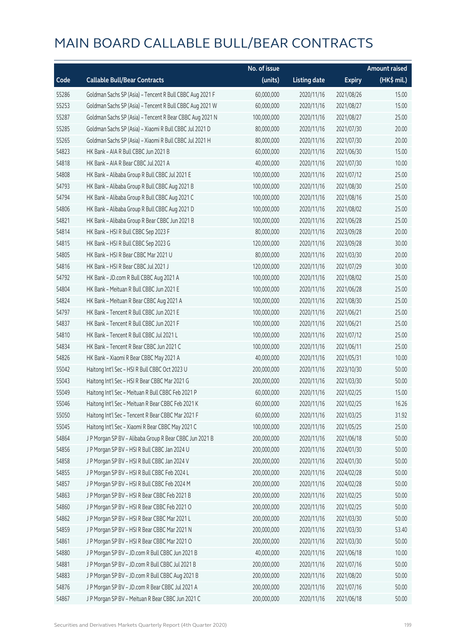|       |                                                          | No. of issue |                     |               | <b>Amount raised</b>  |
|-------|----------------------------------------------------------|--------------|---------------------|---------------|-----------------------|
| Code  | <b>Callable Bull/Bear Contracts</b>                      | (units)      | <b>Listing date</b> | <b>Expiry</b> | $(HK\frac{1}{2}mil.)$ |
| 55286 | Goldman Sachs SP (Asia) - Tencent R Bull CBBC Aug 2021 F | 60,000,000   | 2020/11/16          | 2021/08/26    | 15.00                 |
| 55253 | Goldman Sachs SP (Asia) - Tencent R Bull CBBC Aug 2021 W | 60,000,000   | 2020/11/16          | 2021/08/27    | 15.00                 |
| 55287 | Goldman Sachs SP (Asia) - Tencent R Bear CBBC Aug 2021 N | 100,000,000  | 2020/11/16          | 2021/08/27    | 25.00                 |
| 55285 | Goldman Sachs SP (Asia) - Xiaomi R Bull CBBC Jul 2021 D  | 80,000,000   | 2020/11/16          | 2021/07/30    | 20.00                 |
| 55265 | Goldman Sachs SP (Asia) - Xiaomi R Bull CBBC Jul 2021 H  | 80,000,000   | 2020/11/16          | 2021/07/30    | 20.00                 |
| 54823 | HK Bank - AIA R Bull CBBC Jun 2021 B                     | 60,000,000   | 2020/11/16          | 2021/06/30    | 15.00                 |
| 54818 | HK Bank - AIA R Bear CBBC Jul 2021 A                     | 40,000,000   | 2020/11/16          | 2021/07/30    | 10.00                 |
| 54808 | HK Bank - Alibaba Group R Bull CBBC Jul 2021 E           | 100,000,000  | 2020/11/16          | 2021/07/12    | 25.00                 |
| 54793 | HK Bank - Alibaba Group R Bull CBBC Aug 2021 B           | 100,000,000  | 2020/11/16          | 2021/08/30    | 25.00                 |
| 54794 | HK Bank - Alibaba Group R Bull CBBC Aug 2021 C           | 100,000,000  | 2020/11/16          | 2021/08/16    | 25.00                 |
| 54806 | HK Bank - Alibaba Group R Bull CBBC Aug 2021 D           | 100,000,000  | 2020/11/16          | 2021/08/02    | 25.00                 |
| 54821 | HK Bank - Alibaba Group R Bear CBBC Jun 2021 B           | 100,000,000  | 2020/11/16          | 2021/06/28    | 25.00                 |
| 54814 | HK Bank - HSI R Bull CBBC Sep 2023 F                     | 80,000,000   | 2020/11/16          | 2023/09/28    | 20.00                 |
| 54815 | HK Bank - HSI R Bull CBBC Sep 2023 G                     | 120,000,000  | 2020/11/16          | 2023/09/28    | 30.00                 |
| 54805 | HK Bank - HSI R Bear CBBC Mar 2021 U                     | 80,000,000   | 2020/11/16          | 2021/03/30    | 20.00                 |
| 54816 | HK Bank - HSI R Bear CBBC Jul 2021 J                     | 120,000,000  | 2020/11/16          | 2021/07/29    | 30.00                 |
| 54792 | HK Bank - JD.com R Bull CBBC Aug 2021 A                  | 100,000,000  | 2020/11/16          | 2021/08/02    | 25.00                 |
| 54804 | HK Bank - Meituan R Bull CBBC Jun 2021 E                 | 100,000,000  | 2020/11/16          | 2021/06/28    | 25.00                 |
| 54824 | HK Bank - Meituan R Bear CBBC Aug 2021 A                 | 100,000,000  | 2020/11/16          | 2021/08/30    | 25.00                 |
| 54797 | HK Bank - Tencent R Bull CBBC Jun 2021 E                 | 100,000,000  | 2020/11/16          | 2021/06/21    | 25.00                 |
| 54837 | HK Bank - Tencent R Bull CBBC Jun 2021 F                 | 100,000,000  | 2020/11/16          | 2021/06/21    | 25.00                 |
| 54810 | HK Bank - Tencent R Bull CBBC Jul 2021 L                 | 100,000,000  | 2020/11/16          | 2021/07/12    | 25.00                 |
| 54834 | HK Bank - Tencent R Bear CBBC Jun 2021 C                 | 100,000,000  | 2020/11/16          | 2021/06/11    | 25.00                 |
| 54826 | HK Bank - Xiaomi R Bear CBBC May 2021 A                  | 40,000,000   | 2020/11/16          | 2021/05/31    | 10.00                 |
| 55042 | Haitong Int'l Sec - HSI R Bull CBBC Oct 2023 U           | 200,000,000  | 2020/11/16          | 2023/10/30    | 50.00                 |
| 55043 | Haitong Int'l Sec - HSI R Bear CBBC Mar 2021 G           | 200,000,000  | 2020/11/16          | 2021/03/30    | 50.00                 |
| 55049 | Haitong Int'l Sec - Meituan R Bull CBBC Feb 2021 P       | 60,000,000   | 2020/11/16          | 2021/02/25    | 15.00                 |
| 55046 | Haitong Int'l Sec - Meituan R Bear CBBC Feb 2021 K       | 60,000,000   | 2020/11/16          | 2021/02/25    | 16.26                 |
| 55050 | Haitong Int'l Sec - Tencent R Bear CBBC Mar 2021 F       | 60,000,000   | 2020/11/16          | 2021/03/25    | 31.92                 |
| 55045 | Haitong Int'l Sec - Xiaomi R Bear CBBC May 2021 C        | 100,000,000  | 2020/11/16          | 2021/05/25    | 25.00                 |
| 54864 | J P Morgan SP BV - Alibaba Group R Bear CBBC Jun 2021 B  | 200,000,000  | 2020/11/16          | 2021/06/18    | 50.00                 |
| 54856 | J P Morgan SP BV - HSI R Bull CBBC Jan 2024 U            | 200,000,000  | 2020/11/16          | 2024/01/30    | 50.00                 |
| 54858 | J P Morgan SP BV - HSI R Bull CBBC Jan 2024 V            | 200,000,000  | 2020/11/16          | 2024/01/30    | 50.00                 |
| 54855 | J P Morgan SP BV - HSI R Bull CBBC Feb 2024 L            | 200,000,000  | 2020/11/16          | 2024/02/28    | 50.00                 |
| 54857 | J P Morgan SP BV - HSI R Bull CBBC Feb 2024 M            | 200,000,000  | 2020/11/16          | 2024/02/28    | 50.00                 |
| 54863 | J P Morgan SP BV - HSI R Bear CBBC Feb 2021 B            | 200,000,000  | 2020/11/16          | 2021/02/25    | 50.00                 |
| 54860 | J P Morgan SP BV - HSI R Bear CBBC Feb 2021 O            | 200,000,000  | 2020/11/16          | 2021/02/25    | 50.00                 |
| 54862 | J P Morgan SP BV - HSI R Bear CBBC Mar 2021 L            | 200,000,000  | 2020/11/16          | 2021/03/30    | 50.00                 |
| 54859 | J P Morgan SP BV - HSI R Bear CBBC Mar 2021 N            | 200,000,000  | 2020/11/16          | 2021/03/30    | 53.40                 |
| 54861 | J P Morgan SP BV - HSI R Bear CBBC Mar 2021 O            | 200,000,000  | 2020/11/16          | 2021/03/30    | 50.00                 |
| 54880 | J P Morgan SP BV - JD.com R Bull CBBC Jun 2021 B         | 40,000,000   | 2020/11/16          | 2021/06/18    | 10.00                 |
| 54881 | J P Morgan SP BV - JD.com R Bull CBBC Jul 2021 B         | 200,000,000  | 2020/11/16          | 2021/07/16    | 50.00                 |
| 54883 | J P Morgan SP BV - JD.com R Bull CBBC Aug 2021 B         | 200,000,000  | 2020/11/16          | 2021/08/20    | 50.00                 |
| 54876 | J P Morgan SP BV - JD.com R Bear CBBC Jul 2021 A         | 200,000,000  | 2020/11/16          | 2021/07/16    | 50.00                 |
| 54867 | J P Morgan SP BV - Meituan R Bear CBBC Jun 2021 C        | 200,000,000  | 2020/11/16          | 2021/06/18    | 50.00                 |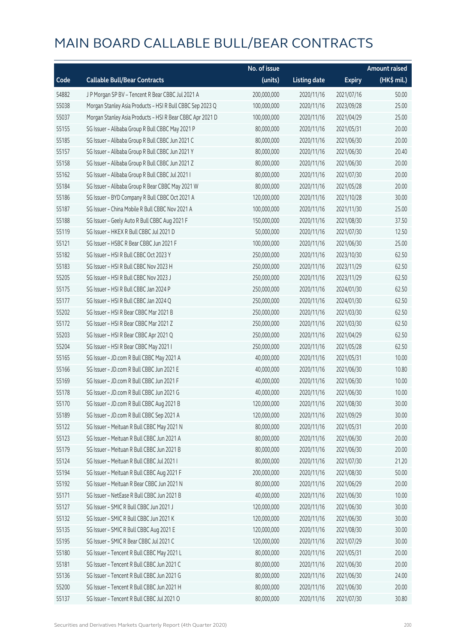|       |                                                           | No. of issue |                     |               | <b>Amount raised</b> |
|-------|-----------------------------------------------------------|--------------|---------------------|---------------|----------------------|
| Code  | <b>Callable Bull/Bear Contracts</b>                       | (units)      | <b>Listing date</b> | <b>Expiry</b> | (HK\$ mil.)          |
| 54882 | J P Morgan SP BV - Tencent R Bear CBBC Jul 2021 A         | 200,000,000  | 2020/11/16          | 2021/07/16    | 50.00                |
| 55038 | Morgan Stanley Asia Products - HSI R Bull CBBC Sep 2023 Q | 100,000,000  | 2020/11/16          | 2023/09/28    | 25.00                |
| 55037 | Morgan Stanley Asia Products - HSI R Bear CBBC Apr 2021 D | 100,000,000  | 2020/11/16          | 2021/04/29    | 25.00                |
| 55155 | SG Issuer - Alibaba Group R Bull CBBC May 2021 P          | 80,000,000   | 2020/11/16          | 2021/05/31    | 20.00                |
| 55185 | SG Issuer - Alibaba Group R Bull CBBC Jun 2021 C          | 80,000,000   | 2020/11/16          | 2021/06/30    | 20.00                |
| 55157 | SG Issuer - Alibaba Group R Bull CBBC Jun 2021 Y          | 80,000,000   | 2020/11/16          | 2021/06/30    | 20.40                |
| 55158 | SG Issuer - Alibaba Group R Bull CBBC Jun 2021 Z          | 80,000,000   | 2020/11/16          | 2021/06/30    | 20.00                |
| 55162 | SG Issuer - Alibaba Group R Bull CBBC Jul 2021 I          | 80,000,000   | 2020/11/16          | 2021/07/30    | 20.00                |
| 55184 | SG Issuer - Alibaba Group R Bear CBBC May 2021 W          | 80,000,000   | 2020/11/16          | 2021/05/28    | 20.00                |
| 55186 | SG Issuer - BYD Company R Bull CBBC Oct 2021 A            | 120,000,000  | 2020/11/16          | 2021/10/28    | 30.00                |
| 55187 | SG Issuer - China Mobile R Bull CBBC Nov 2021 A           | 100,000,000  | 2020/11/16          | 2021/11/30    | 25.00                |
| 55188 | SG Issuer - Geely Auto R Bull CBBC Aug 2021 F             | 150,000,000  | 2020/11/16          | 2021/08/30    | 37.50                |
| 55119 | SG Issuer - HKEX R Bull CBBC Jul 2021 D                   | 50,000,000   | 2020/11/16          | 2021/07/30    | 12.50                |
| 55121 | SG Issuer - HSBC R Bear CBBC Jun 2021 F                   | 100,000,000  | 2020/11/16          | 2021/06/30    | 25.00                |
| 55182 | SG Issuer - HSI R Bull CBBC Oct 2023 Y                    | 250,000,000  | 2020/11/16          | 2023/10/30    | 62.50                |
| 55183 | SG Issuer - HSI R Bull CBBC Nov 2023 H                    | 250,000,000  | 2020/11/16          | 2023/11/29    | 62.50                |
| 55205 | SG Issuer - HSI R Bull CBBC Nov 2023 J                    | 250,000,000  | 2020/11/16          | 2023/11/29    | 62.50                |
| 55175 | SG Issuer - HSI R Bull CBBC Jan 2024 P                    | 250,000,000  | 2020/11/16          | 2024/01/30    | 62.50                |
| 55177 | SG Issuer - HSI R Bull CBBC Jan 2024 Q                    | 250,000,000  | 2020/11/16          | 2024/01/30    | 62.50                |
| 55202 | SG Issuer - HSI R Bear CBBC Mar 2021 B                    | 250,000,000  | 2020/11/16          | 2021/03/30    | 62.50                |
| 55172 | SG Issuer - HSI R Bear CBBC Mar 2021 Z                    | 250,000,000  | 2020/11/16          | 2021/03/30    | 62.50                |
| 55203 | SG Issuer - HSI R Bear CBBC Apr 2021 Q                    | 250,000,000  | 2020/11/16          | 2021/04/29    | 62.50                |
| 55204 | SG Issuer - HSI R Bear CBBC May 2021 I                    | 250,000,000  | 2020/11/16          | 2021/05/28    | 62.50                |
| 55165 | SG Issuer - JD.com R Bull CBBC May 2021 A                 | 40,000,000   | 2020/11/16          | 2021/05/31    | 10.00                |
| 55166 | SG Issuer - JD.com R Bull CBBC Jun 2021 E                 | 40,000,000   | 2020/11/16          | 2021/06/30    | 10.80                |
| 55169 | SG Issuer - JD.com R Bull CBBC Jun 2021 F                 | 40,000,000   | 2020/11/16          | 2021/06/30    | 10.00                |
| 55178 | SG Issuer - JD.com R Bull CBBC Jun 2021 G                 | 40,000,000   | 2020/11/16          | 2021/06/30    | 10.00                |
| 55170 | SG Issuer - JD.com R Bull CBBC Aug 2021 B                 | 120,000,000  | 2020/11/16          | 2021/08/30    | 30.00                |
| 55189 | SG Issuer - JD.com R Bull CBBC Sep 2021 A                 | 120,000,000  | 2020/11/16          | 2021/09/29    | 30.00                |
| 55122 | SG Issuer - Meituan R Bull CBBC May 2021 N                | 80,000,000   | 2020/11/16          | 2021/05/31    | 20.00                |
| 55123 | SG Issuer - Meituan R Bull CBBC Jun 2021 A                | 80,000,000   | 2020/11/16          | 2021/06/30    | 20.00                |
| 55179 | SG Issuer - Meituan R Bull CBBC Jun 2021 B                | 80,000,000   | 2020/11/16          | 2021/06/30    | 20.00                |
| 55124 | SG Issuer - Meituan R Bull CBBC Jul 2021 I                | 80,000,000   | 2020/11/16          | 2021/07/30    | 21.20                |
| 55194 | SG Issuer - Meituan R Bull CBBC Aug 2021 F                | 200,000,000  | 2020/11/16          | 2021/08/30    | 50.00                |
| 55192 | SG Issuer - Meituan R Bear CBBC Jun 2021 N                | 80,000,000   | 2020/11/16          | 2021/06/29    | 20.00                |
| 55171 | SG Issuer - NetEase R Bull CBBC Jun 2021 B                | 40,000,000   | 2020/11/16          | 2021/06/30    | 10.00                |
| 55127 | SG Issuer - SMIC R Bull CBBC Jun 2021 J                   | 120,000,000  | 2020/11/16          | 2021/06/30    | 30.00                |
| 55132 | SG Issuer - SMIC R Bull CBBC Jun 2021 K                   | 120,000,000  | 2020/11/16          | 2021/06/30    | 30.00                |
| 55135 | SG Issuer - SMIC R Bull CBBC Aug 2021 E                   | 120,000,000  | 2020/11/16          | 2021/08/30    | 30.00                |
| 55195 | SG Issuer - SMIC R Bear CBBC Jul 2021 C                   | 120,000,000  | 2020/11/16          | 2021/07/29    | 30.00                |
| 55180 | SG Issuer - Tencent R Bull CBBC May 2021 L                | 80,000,000   | 2020/11/16          | 2021/05/31    | 20.00                |
| 55181 | SG Issuer - Tencent R Bull CBBC Jun 2021 C                | 80,000,000   | 2020/11/16          | 2021/06/30    | 20.00                |
| 55136 | SG Issuer - Tencent R Bull CBBC Jun 2021 G                | 80,000,000   | 2020/11/16          | 2021/06/30    | 24.00                |
| 55200 | SG Issuer - Tencent R Bull CBBC Jun 2021 H                | 80,000,000   | 2020/11/16          | 2021/06/30    | 20.00                |
| 55137 | SG Issuer - Tencent R Bull CBBC Jul 2021 O                | 80,000,000   | 2020/11/16          | 2021/07/30    | 30.80                |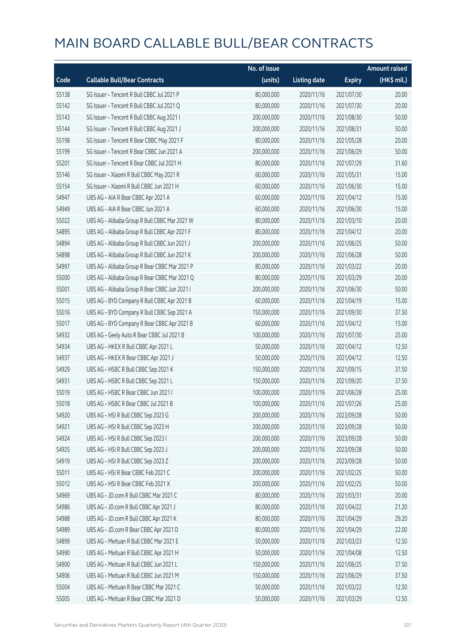|       |                                               | No. of issue |                     |               | <b>Amount raised</b> |
|-------|-----------------------------------------------|--------------|---------------------|---------------|----------------------|
| Code  | <b>Callable Bull/Bear Contracts</b>           | (units)      | <b>Listing date</b> | <b>Expiry</b> | (HK\$ mil.)          |
| 55138 | SG Issuer - Tencent R Bull CBBC Jul 2021 P    | 80,000,000   | 2020/11/16          | 2021/07/30    | 20.00                |
| 55142 | SG Issuer - Tencent R Bull CBBC Jul 2021 Q    | 80,000,000   | 2020/11/16          | 2021/07/30    | 20.00                |
| 55143 | SG Issuer - Tencent R Bull CBBC Aug 2021 I    | 200,000,000  | 2020/11/16          | 2021/08/30    | 50.00                |
| 55144 | SG Issuer - Tencent R Bull CBBC Aug 2021 J    | 200,000,000  | 2020/11/16          | 2021/08/31    | 50.00                |
| 55198 | SG Issuer - Tencent R Bear CBBC May 2021 F    | 80,000,000   | 2020/11/16          | 2021/05/28    | 20.00                |
| 55199 | SG Issuer - Tencent R Bear CBBC Jun 2021 A    | 200,000,000  | 2020/11/16          | 2021/06/29    | 50.00                |
| 55201 | SG Issuer - Tencent R Bear CBBC Jul 2021 H    | 80,000,000   | 2020/11/16          | 2021/07/29    | 31.60                |
| 55146 | SG Issuer - Xiaomi R Bull CBBC May 2021 R     | 60,000,000   | 2020/11/16          | 2021/05/31    | 15.00                |
| 55154 | SG Issuer - Xiaomi R Bull CBBC Jun 2021 H     | 60,000,000   | 2020/11/16          | 2021/06/30    | 15.00                |
| 54947 | UBS AG - AIA R Bear CBBC Apr 2021 A           | 60,000,000   | 2020/11/16          | 2021/04/12    | 15.00                |
| 54949 | UBS AG - AIA R Bear CBBC Jun 2021 A           | 60,000,000   | 2020/11/16          | 2021/06/30    | 15.00                |
| 55022 | UBS AG - Alibaba Group R Bull CBBC Mar 2021 W | 80,000,000   | 2020/11/16          | 2021/03/10    | 20.00                |
| 54895 | UBS AG - Alibaba Group R Bull CBBC Apr 2021 F | 80,000,000   | 2020/11/16          | 2021/04/12    | 20.00                |
| 54894 | UBS AG - Alibaba Group R Bull CBBC Jun 2021 J | 200,000,000  | 2020/11/16          | 2021/06/25    | 50.00                |
| 54898 | UBS AG - Alibaba Group R Bull CBBC Jun 2021 K | 200,000,000  | 2020/11/16          | 2021/06/28    | 50.00                |
| 54997 | UBS AG - Alibaba Group R Bear CBBC Mar 2021 P | 80,000,000   | 2020/11/16          | 2021/03/22    | 20.00                |
| 55000 | UBS AG - Alibaba Group R Bear CBBC Mar 2021 Q | 80,000,000   | 2020/11/16          | 2021/03/29    | 20.00                |
| 55001 | UBS AG - Alibaba Group R Bear CBBC Jun 2021 I | 200,000,000  | 2020/11/16          | 2021/06/30    | 50.00                |
| 55015 | UBS AG - BYD Company R Bull CBBC Apr 2021 B   | 60,000,000   | 2020/11/16          | 2021/04/19    | 15.00                |
| 55016 | UBS AG - BYD Company R Bull CBBC Sep 2021 A   | 150,000,000  | 2020/11/16          | 2021/09/30    | 37.50                |
| 55017 | UBS AG - BYD Company R Bear CBBC Apr 2021 B   | 60,000,000   | 2020/11/16          | 2021/04/12    | 15.00                |
| 54932 | UBS AG - Geely Auto R Bear CBBC Jul 2021 B    | 100,000,000  | 2020/11/16          | 2021/07/30    | 25.00                |
| 54934 | UBS AG - HKEX R Bull CBBC Apr 2021 L          | 50,000,000   | 2020/11/16          | 2021/04/12    | 12.50                |
| 54937 | UBS AG - HKEX R Bear CBBC Apr 2021 J          | 50,000,000   | 2020/11/16          | 2021/04/12    | 12.50                |
| 54929 | UBS AG - HSBC R Bull CBBC Sep 2021 K          | 150,000,000  | 2020/11/16          | 2021/09/15    | 37.50                |
| 54931 | UBS AG - HSBC R Bull CBBC Sep 2021 L          | 150,000,000  | 2020/11/16          | 2021/09/20    | 37.50                |
| 55019 | UBS AG - HSBC R Bear CBBC Jun 2021 I          | 100,000,000  | 2020/11/16          | 2021/06/28    | 25.00                |
| 55018 | UBS AG - HSBC R Bear CBBC Jul 2021 B          | 100,000,000  | 2020/11/16          | 2021/07/26    | 25.00                |
| 54920 | UBS AG - HSI R Bull CBBC Sep 2023 G           | 200,000,000  | 2020/11/16          | 2023/09/28    | 50.00                |
| 54921 | UBS AG - HSI R Bull CBBC Sep 2023 H           | 200,000,000  | 2020/11/16          | 2023/09/28    | 50.00                |
| 54924 | UBS AG - HSI R Bull CBBC Sep 2023 I           | 200,000,000  | 2020/11/16          | 2023/09/28    | 50.00                |
| 54925 | UBS AG - HSI R Bull CBBC Sep 2023 J           | 200,000,000  | 2020/11/16          | 2023/09/28    | 50.00                |
| 54919 | UBS AG - HSI R Bull CBBC Sep 2023 Z           | 200,000,000  | 2020/11/16          | 2023/09/28    | 50.00                |
| 55011 | UBS AG - HSI R Bear CBBC Feb 2021 C           | 200,000,000  | 2020/11/16          | 2021/02/25    | 50.00                |
| 55012 | UBS AG - HSI R Bear CBBC Feb 2021 X           | 200,000,000  | 2020/11/16          | 2021/02/25    | 50.00                |
| 54969 | UBS AG - JD.com R Bull CBBC Mar 2021 C        | 80,000,000   | 2020/11/16          | 2021/03/31    | 20.00                |
| 54986 | UBS AG - JD.com R Bull CBBC Apr 2021 J        | 80,000,000   | 2020/11/16          | 2021/04/22    | 21.20                |
| 54988 | UBS AG - JD.com R Bull CBBC Apr 2021 K        | 80,000,000   | 2020/11/16          | 2021/04/29    | 29.20                |
| 54989 | UBS AG - JD.com R Bear CBBC Apr 2021 D        | 80,000,000   | 2020/11/16          | 2021/04/29    | 22.00                |
| 54899 | UBS AG - Meituan R Bull CBBC Mar 2021 E       | 50,000,000   | 2020/11/16          | 2021/03/23    | 12.50                |
| 54990 | UBS AG - Meituan R Bull CBBC Apr 2021 H       | 50,000,000   | 2020/11/16          | 2021/04/08    | 12.50                |
| 54900 | UBS AG - Meituan R Bull CBBC Jun 2021 L       | 150,000,000  | 2020/11/16          | 2021/06/25    | 37.50                |
| 54906 | UBS AG - Meituan R Bull CBBC Jun 2021 M       | 150,000,000  | 2020/11/16          | 2021/06/29    | 37.50                |
| 55004 | UBS AG - Meituan R Bear CBBC Mar 2021 C       | 50,000,000   | 2020/11/16          | 2021/03/22    | 12.50                |
| 55005 | UBS AG - Meituan R Bear CBBC Mar 2021 D       | 50,000,000   | 2020/11/16          | 2021/03/29    | 12.50                |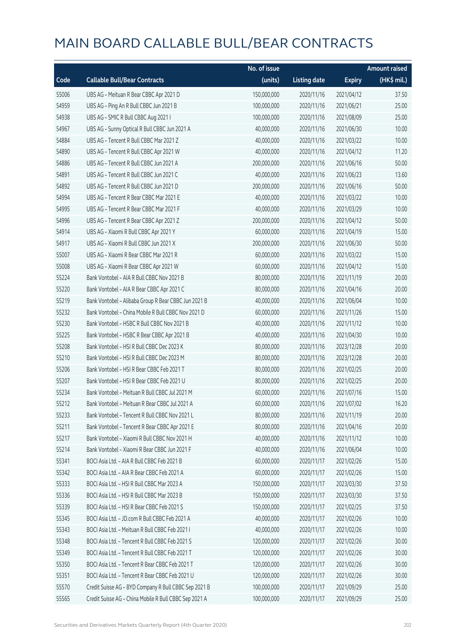|       |                                                        | No. of issue |                     |               | <b>Amount raised</b> |
|-------|--------------------------------------------------------|--------------|---------------------|---------------|----------------------|
| Code  | <b>Callable Bull/Bear Contracts</b>                    | (units)      | <b>Listing date</b> | <b>Expiry</b> | (HK\$ mil.)          |
| 55006 | UBS AG - Meituan R Bear CBBC Apr 2021 D                | 150,000,000  | 2020/11/16          | 2021/04/12    | 37.50                |
| 54959 | UBS AG - Ping An R Bull CBBC Jun 2021 B                | 100,000,000  | 2020/11/16          | 2021/06/21    | 25.00                |
| 54938 | UBS AG - SMIC R Bull CBBC Aug 2021 I                   | 100,000,000  | 2020/11/16          | 2021/08/09    | 25.00                |
| 54967 | UBS AG - Sunny Optical R Bull CBBC Jun 2021 A          | 40,000,000   | 2020/11/16          | 2021/06/30    | 10.00                |
| 54884 | UBS AG - Tencent R Bull CBBC Mar 2021 Z                | 40,000,000   | 2020/11/16          | 2021/03/22    | 10.00                |
| 54890 | UBS AG - Tencent R Bull CBBC Apr 2021 W                | 40,000,000   | 2020/11/16          | 2021/04/12    | 11.20                |
| 54886 | UBS AG - Tencent R Bull CBBC Jun 2021 A                | 200,000,000  | 2020/11/16          | 2021/06/16    | 50.00                |
| 54891 | UBS AG - Tencent R Bull CBBC Jun 2021 C                | 40,000,000   | 2020/11/16          | 2021/06/23    | 13.60                |
| 54892 | UBS AG - Tencent R Bull CBBC Jun 2021 D                | 200,000,000  | 2020/11/16          | 2021/06/16    | 50.00                |
| 54994 | UBS AG - Tencent R Bear CBBC Mar 2021 E                | 40,000,000   | 2020/11/16          | 2021/03/22    | 10.00                |
| 54995 | UBS AG - Tencent R Bear CBBC Mar 2021 F                | 40,000,000   | 2020/11/16          | 2021/03/29    | 10.00                |
| 54996 | UBS AG - Tencent R Bear CBBC Apr 2021 Z                | 200,000,000  | 2020/11/16          | 2021/04/12    | 50.00                |
| 54914 | UBS AG - Xiaomi R Bull CBBC Apr 2021 Y                 | 60,000,000   | 2020/11/16          | 2021/04/19    | 15.00                |
| 54917 | UBS AG - Xiaomi R Bull CBBC Jun 2021 X                 | 200,000,000  | 2020/11/16          | 2021/06/30    | 50.00                |
| 55007 | UBS AG - Xiaomi R Bear CBBC Mar 2021 R                 | 60,000,000   | 2020/11/16          | 2021/03/22    | 15.00                |
| 55008 | UBS AG - Xiaomi R Bear CBBC Apr 2021 W                 | 60,000,000   | 2020/11/16          | 2021/04/12    | 15.00                |
| 55224 | Bank Vontobel - AIA R Bull CBBC Nov 2021 B             | 80,000,000   | 2020/11/16          | 2021/11/19    | 20.00                |
| 55220 | Bank Vontobel - AIA R Bear CBBC Apr 2021 C             | 80,000,000   | 2020/11/16          | 2021/04/16    | 20.00                |
| 55219 | Bank Vontobel - Alibaba Group R Bear CBBC Jun 2021 B   | 40,000,000   | 2020/11/16          | 2021/06/04    | 10.00                |
| 55232 | Bank Vontobel - China Mobile R Bull CBBC Nov 2021 D    | 60,000,000   | 2020/11/16          | 2021/11/26    | 15.00                |
| 55230 | Bank Vontobel - HSBC R Bull CBBC Nov 2021 B            | 40,000,000   | 2020/11/16          | 2021/11/12    | 10.00                |
| 55225 | Bank Vontobel - HSBC R Bear CBBC Apr 2021 B            | 40,000,000   | 2020/11/16          | 2021/04/30    | 10.00                |
| 55208 | Bank Vontobel - HSI R Bull CBBC Dec 2023 K             | 80,000,000   | 2020/11/16          | 2023/12/28    | 20.00                |
| 55210 | Bank Vontobel - HSI R Bull CBBC Dec 2023 M             | 80,000,000   | 2020/11/16          | 2023/12/28    | 20.00                |
| 55206 | Bank Vontobel - HSI R Bear CBBC Feb 2021 T             | 80,000,000   | 2020/11/16          | 2021/02/25    | 20.00                |
| 55207 | Bank Vontobel - HSI R Bear CBBC Feb 2021 U             | 80,000,000   | 2020/11/16          | 2021/02/25    | 20.00                |
| 55234 | Bank Vontobel - Meituan R Bull CBBC Jul 2021 M         | 60,000,000   | 2020/11/16          | 2021/07/16    | 15.00                |
| 55212 | Bank Vontobel - Meituan R Bear CBBC Jul 2021 A         | 60,000,000   | 2020/11/16          | 2021/07/02    | 16.20                |
| 55233 | Bank Vontobel - Tencent R Bull CBBC Nov 2021 L         | 80,000,000   | 2020/11/16          | 2021/11/19    | 20.00                |
| 55211 | Bank Vontobel - Tencent R Bear CBBC Apr 2021 E         | 80,000,000   | 2020/11/16          | 2021/04/16    | 20.00                |
| 55217 | Bank Vontobel - Xiaomi R Bull CBBC Nov 2021 H          | 40,000,000   | 2020/11/16          | 2021/11/12    | 10.00                |
| 55214 | Bank Vontobel - Xiaomi R Bear CBBC Jun 2021 F          | 40,000,000   | 2020/11/16          | 2021/06/04    | 10.00                |
| 55341 | BOCI Asia Ltd. - AIA R Bull CBBC Feb 2021 B            | 60,000,000   | 2020/11/17          | 2021/02/26    | 15.00                |
| 55342 | BOCI Asia Ltd. - AIA R Bear CBBC Feb 2021 A            | 60,000,000   | 2020/11/17          | 2021/02/26    | 15.00                |
| 55333 | BOCI Asia Ltd. - HSI R Bull CBBC Mar 2023 A            | 150,000,000  | 2020/11/17          | 2023/03/30    | 37.50                |
| 55336 | BOCI Asia Ltd. - HSI R Bull CBBC Mar 2023 B            | 150,000,000  | 2020/11/17          | 2023/03/30    | 37.50                |
| 55339 | BOCI Asia Ltd. - HSI R Bear CBBC Feb 2021 S            | 150,000,000  | 2020/11/17          | 2021/02/25    | 37.50                |
| 55345 | BOCI Asia Ltd. - JD.com R Bull CBBC Feb 2021 A         | 40,000,000   | 2020/11/17          | 2021/02/26    | 10.00                |
| 55343 | BOCI Asia Ltd. - Meituan R Bull CBBC Feb 2021 I        | 40,000,000   | 2020/11/17          | 2021/02/26    | 10.00                |
| 55348 | BOCI Asia Ltd. - Tencent R Bull CBBC Feb 2021 S        | 120,000,000  | 2020/11/17          | 2021/02/26    | 30.00                |
| 55349 | BOCI Asia Ltd. - Tencent R Bull CBBC Feb 2021 T        | 120,000,000  | 2020/11/17          | 2021/02/26    | 30.00                |
| 55350 | BOCI Asia Ltd. - Tencent R Bear CBBC Feb 2021 T        | 120,000,000  | 2020/11/17          | 2021/02/26    | 30.00                |
| 55351 | BOCI Asia Ltd. - Tencent R Bear CBBC Feb 2021 U        | 120,000,000  | 2020/11/17          | 2021/02/26    | 30.00                |
| 55570 | Credit Suisse AG - BYD Company R Bull CBBC Sep 2021 B  | 100,000,000  | 2020/11/17          | 2021/09/29    | 25.00                |
| 55565 | Credit Suisse AG - China Mobile R Bull CBBC Sep 2021 A | 100,000,000  | 2020/11/17          | 2021/09/29    | 25.00                |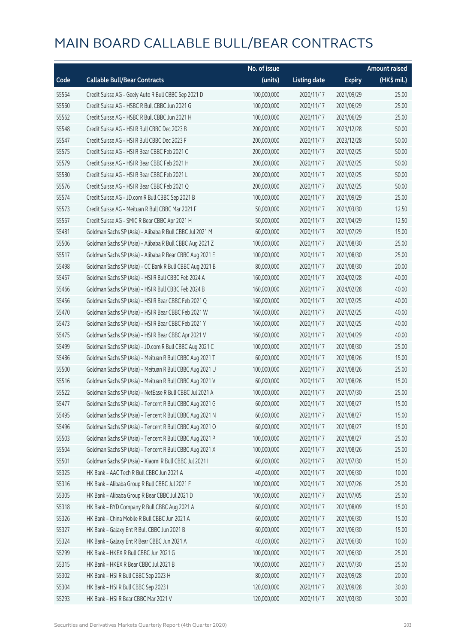|       |                                                          | No. of issue |                     |               | <b>Amount raised</b> |
|-------|----------------------------------------------------------|--------------|---------------------|---------------|----------------------|
| Code  | <b>Callable Bull/Bear Contracts</b>                      | (units)      | <b>Listing date</b> | <b>Expiry</b> | (HK\$ mil.)          |
| 55564 | Credit Suisse AG - Geely Auto R Bull CBBC Sep 2021 D     | 100,000,000  | 2020/11/17          | 2021/09/29    | 25.00                |
| 55560 | Credit Suisse AG - HSBC R Bull CBBC Jun 2021 G           | 100,000,000  | 2020/11/17          | 2021/06/29    | 25.00                |
| 55562 | Credit Suisse AG - HSBC R Bull CBBC Jun 2021 H           | 100,000,000  | 2020/11/17          | 2021/06/29    | 25.00                |
| 55548 | Credit Suisse AG - HSI R Bull CBBC Dec 2023 B            | 200,000,000  | 2020/11/17          | 2023/12/28    | 50.00                |
| 55547 | Credit Suisse AG - HSI R Bull CBBC Dec 2023 F            | 200,000,000  | 2020/11/17          | 2023/12/28    | 50.00                |
| 55575 | Credit Suisse AG - HSI R Bear CBBC Feb 2021 C            | 200,000,000  | 2020/11/17          | 2021/02/25    | 50.00                |
| 55579 | Credit Suisse AG - HSI R Bear CBBC Feb 2021 H            | 200,000,000  | 2020/11/17          | 2021/02/25    | 50.00                |
| 55580 | Credit Suisse AG - HSI R Bear CBBC Feb 2021 L            | 200,000,000  | 2020/11/17          | 2021/02/25    | 50.00                |
| 55576 | Credit Suisse AG - HSI R Bear CBBC Feb 2021 Q            | 200,000,000  | 2020/11/17          | 2021/02/25    | 50.00                |
| 55574 | Credit Suisse AG - JD.com R Bull CBBC Sep 2021 B         | 100,000,000  | 2020/11/17          | 2021/09/29    | 25.00                |
| 55573 | Credit Suisse AG - Meituan R Bull CBBC Mar 2021 F        | 50,000,000   | 2020/11/17          | 2021/03/30    | 12.50                |
| 55567 | Credit Suisse AG - SMIC R Bear CBBC Apr 2021 H           | 50,000,000   | 2020/11/17          | 2021/04/29    | 12.50                |
| 55481 | Goldman Sachs SP (Asia) - Alibaba R Bull CBBC Jul 2021 M | 60,000,000   | 2020/11/17          | 2021/07/29    | 15.00                |
| 55506 | Goldman Sachs SP (Asia) - Alibaba R Bull CBBC Aug 2021 Z | 100,000,000  | 2020/11/17          | 2021/08/30    | 25.00                |
| 55517 | Goldman Sachs SP (Asia) - Alibaba R Bear CBBC Aug 2021 E | 100,000,000  | 2020/11/17          | 2021/08/30    | 25.00                |
| 55498 | Goldman Sachs SP (Asia) - CC Bank R Bull CBBC Aug 2021 B | 80,000,000   | 2020/11/17          | 2021/08/30    | 20.00                |
| 55457 | Goldman Sachs SP (Asia) - HSI R Bull CBBC Feb 2024 A     | 160,000,000  | 2020/11/17          | 2024/02/28    | 40.00                |
| 55466 | Goldman Sachs SP (Asia) - HSI R Bull CBBC Feb 2024 B     | 160,000,000  | 2020/11/17          | 2024/02/28    | 40.00                |
| 55456 | Goldman Sachs SP (Asia) - HSI R Bear CBBC Feb 2021 Q     | 160,000,000  | 2020/11/17          | 2021/02/25    | 40.00                |
| 55470 | Goldman Sachs SP (Asia) - HSI R Bear CBBC Feb 2021 W     | 160,000,000  | 2020/11/17          | 2021/02/25    | 40.00                |
| 55473 | Goldman Sachs SP (Asia) - HSI R Bear CBBC Feb 2021 Y     | 160,000,000  | 2020/11/17          | 2021/02/25    | 40.00                |
| 55475 | Goldman Sachs SP (Asia) - HSI R Bear CBBC Apr 2021 V     | 160,000,000  | 2020/11/17          | 2021/04/29    | 40.00                |
| 55499 | Goldman Sachs SP (Asia) - JD.com R Bull CBBC Aug 2021 C  | 100,000,000  | 2020/11/17          | 2021/08/30    | 25.00                |
| 55486 | Goldman Sachs SP (Asia) - Meituan R Bull CBBC Aug 2021 T | 60,000,000   | 2020/11/17          | 2021/08/26    | 15.00                |
| 55500 | Goldman Sachs SP (Asia) - Meituan R Bull CBBC Aug 2021 U | 100,000,000  | 2020/11/17          | 2021/08/26    | 25.00                |
| 55516 | Goldman Sachs SP (Asia) - Meituan R Bull CBBC Aug 2021 V | 60,000,000   | 2020/11/17          | 2021/08/26    | 15.00                |
| 55522 | Goldman Sachs SP (Asia) - NetEase R Bull CBBC Jul 2021 A | 100,000,000  | 2020/11/17          | 2021/07/30    | 25.00                |
| 55477 | Goldman Sachs SP (Asia) - Tencent R Bull CBBC Aug 2021 G | 60,000,000   | 2020/11/17          | 2021/08/27    | 15.00                |
| 55495 | Goldman Sachs SP (Asia) - Tencent R Bull CBBC Aug 2021 N | 60,000,000   | 2020/11/17          | 2021/08/27    | 15.00                |
| 55496 | Goldman Sachs SP (Asia) - Tencent R Bull CBBC Aug 2021 O | 60,000,000   | 2020/11/17          | 2021/08/27    | 15.00                |
| 55503 | Goldman Sachs SP (Asia) - Tencent R Bull CBBC Aug 2021 P | 100,000,000  | 2020/11/17          | 2021/08/27    | 25.00                |
| 55504 | Goldman Sachs SP (Asia) - Tencent R Bull CBBC Aug 2021 X | 100,000,000  | 2020/11/17          | 2021/08/26    | 25.00                |
| 55501 | Goldman Sachs SP (Asia) - Xiaomi R Bull CBBC Jul 2021 I  | 60,000,000   | 2020/11/17          | 2021/07/30    | 15.00                |
| 55325 | HK Bank - AAC Tech R Bull CBBC Jun 2021 A                | 40,000,000   | 2020/11/17          | 2021/06/30    | 10.00                |
| 55316 | HK Bank - Alibaba Group R Bull CBBC Jul 2021 F           | 100,000,000  | 2020/11/17          | 2021/07/26    | 25.00                |
| 55305 | HK Bank - Alibaba Group R Bear CBBC Jul 2021 D           | 100,000,000  | 2020/11/17          | 2021/07/05    | 25.00                |
| 55318 | HK Bank - BYD Company R Bull CBBC Aug 2021 A             | 60,000,000   | 2020/11/17          | 2021/08/09    | 15.00                |
| 55326 | HK Bank - China Mobile R Bull CBBC Jun 2021 A            | 60,000,000   | 2020/11/17          | 2021/06/30    | 15.00                |
| 55327 | HK Bank - Galaxy Ent R Bull CBBC Jun 2021 B              | 60,000,000   | 2020/11/17          | 2021/06/30    | 15.00                |
| 55324 | HK Bank - Galaxy Ent R Bear CBBC Jun 2021 A              | 40,000,000   | 2020/11/17          | 2021/06/30    | 10.00                |
| 55299 | HK Bank - HKEX R Bull CBBC Jun 2021 G                    | 100,000,000  | 2020/11/17          | 2021/06/30    | 25.00                |
| 55315 | HK Bank - HKEX R Bear CBBC Jul 2021 B                    | 100,000,000  | 2020/11/17          | 2021/07/30    | 25.00                |
| 55302 | HK Bank - HSI R Bull CBBC Sep 2023 H                     | 80,000,000   | 2020/11/17          | 2023/09/28    | 20.00                |
| 55304 | HK Bank - HSI R Bull CBBC Sep 2023 I                     | 120,000,000  | 2020/11/17          | 2023/09/28    | 30.00                |
| 55293 | HK Bank - HSI R Bear CBBC Mar 2021 V                     | 120,000,000  | 2020/11/17          | 2021/03/30    | 30.00                |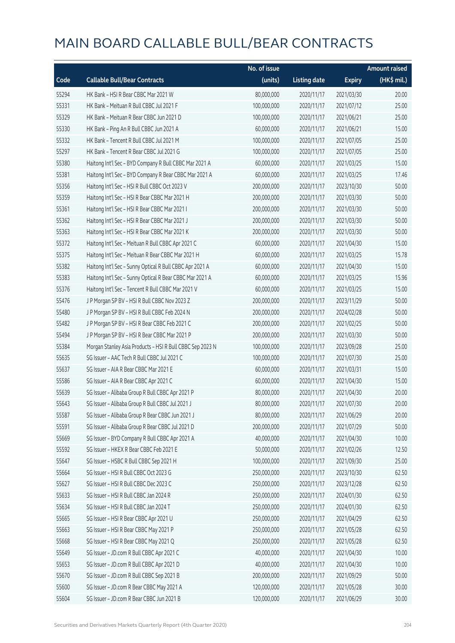|       |                                                           | No. of issue |                     |               | <b>Amount raised</b> |
|-------|-----------------------------------------------------------|--------------|---------------------|---------------|----------------------|
| Code  | <b>Callable Bull/Bear Contracts</b>                       | (units)      | <b>Listing date</b> | <b>Expiry</b> | (HK\$ mil.)          |
| 55294 | HK Bank - HSI R Bear CBBC Mar 2021 W                      | 80,000,000   | 2020/11/17          | 2021/03/30    | 20.00                |
| 55331 | HK Bank - Meituan R Bull CBBC Jul 2021 F                  | 100,000,000  | 2020/11/17          | 2021/07/12    | 25.00                |
| 55329 | HK Bank - Meituan R Bear CBBC Jun 2021 D                  | 100,000,000  | 2020/11/17          | 2021/06/21    | 25.00                |
| 55330 | HK Bank - Ping An R Bull CBBC Jun 2021 A                  | 60,000,000   | 2020/11/17          | 2021/06/21    | 15.00                |
| 55332 | HK Bank - Tencent R Bull CBBC Jul 2021 M                  | 100,000,000  | 2020/11/17          | 2021/07/05    | 25.00                |
| 55297 | HK Bank - Tencent R Bear CBBC Jul 2021 G                  | 100,000,000  | 2020/11/17          | 2021/07/05    | 25.00                |
| 55380 | Haitong Int'l Sec - BYD Company R Bull CBBC Mar 2021 A    | 60,000,000   | 2020/11/17          | 2021/03/25    | 15.00                |
| 55381 | Haitong Int'l Sec - BYD Company R Bear CBBC Mar 2021 A    | 60,000,000   | 2020/11/17          | 2021/03/25    | 17.46                |
| 55356 | Haitong Int'l Sec - HSI R Bull CBBC Oct 2023 V            | 200,000,000  | 2020/11/17          | 2023/10/30    | 50.00                |
| 55359 | Haitong Int'l Sec - HSI R Bear CBBC Mar 2021 H            | 200,000,000  | 2020/11/17          | 2021/03/30    | 50.00                |
| 55361 | Haitong Int'l Sec - HSI R Bear CBBC Mar 2021 I            | 200,000,000  | 2020/11/17          | 2021/03/30    | 50.00                |
| 55362 | Haitong Int'l Sec - HSI R Bear CBBC Mar 2021 J            | 200,000,000  | 2020/11/17          | 2021/03/30    | 50.00                |
| 55363 | Haitong Int'l Sec - HSI R Bear CBBC Mar 2021 K            | 200,000,000  | 2020/11/17          | 2021/03/30    | 50.00                |
| 55372 | Haitong Int'l Sec - Meituan R Bull CBBC Apr 2021 C        | 60,000,000   | 2020/11/17          | 2021/04/30    | 15.00                |
| 55375 | Haitong Int'l Sec - Meituan R Bear CBBC Mar 2021 H        | 60,000,000   | 2020/11/17          | 2021/03/25    | 15.78                |
| 55382 | Haitong Int'l Sec - Sunny Optical R Bull CBBC Apr 2021 A  | 60,000,000   | 2020/11/17          | 2021/04/30    | 15.00                |
| 55383 | Haitong Int'l Sec - Sunny Optical R Bear CBBC Mar 2021 A  | 60,000,000   | 2020/11/17          | 2021/03/25    | 15.96                |
| 55376 | Haitong Int'l Sec - Tencent R Bull CBBC Mar 2021 V        | 60,000,000   | 2020/11/17          | 2021/03/25    | 15.00                |
| 55476 | J P Morgan SP BV - HSI R Bull CBBC Nov 2023 Z             | 200,000,000  | 2020/11/17          | 2023/11/29    | 50.00                |
| 55480 | J P Morgan SP BV - HSI R Bull CBBC Feb 2024 N             | 200,000,000  | 2020/11/17          | 2024/02/28    | 50.00                |
| 55482 | J P Morgan SP BV - HSI R Bear CBBC Feb 2021 C             | 200,000,000  | 2020/11/17          | 2021/02/25    | 50.00                |
| 55494 | J P Morgan SP BV - HSI R Bear CBBC Mar 2021 P             | 200,000,000  | 2020/11/17          | 2021/03/30    | 50.00                |
| 55384 | Morgan Stanley Asia Products - HSI R Bull CBBC Sep 2023 N | 100,000,000  | 2020/11/17          | 2023/09/28    | 25.00                |
| 55635 | SG Issuer - AAC Tech R Bull CBBC Jul 2021 C               | 100,000,000  | 2020/11/17          | 2021/07/30    | 25.00                |
| 55637 | SG Issuer - AIA R Bear CBBC Mar 2021 E                    | 60,000,000   | 2020/11/17          | 2021/03/31    | 15.00                |
| 55586 | SG Issuer - AIA R Bear CBBC Apr 2021 C                    | 60,000,000   | 2020/11/17          | 2021/04/30    | 15.00                |
| 55639 | SG Issuer - Alibaba Group R Bull CBBC Apr 2021 P          | 80,000,000   | 2020/11/17          | 2021/04/30    | 20.00                |
| 55643 | SG Issuer - Alibaba Group R Bull CBBC Jul 2021 J          | 80,000,000   | 2020/11/17          | 2021/07/30    | 20.00                |
| 55587 | SG Issuer - Alibaba Group R Bear CBBC Jun 2021 J          | 80,000,000   | 2020/11/17          | 2021/06/29    | 20.00                |
| 55591 | SG Issuer - Alibaba Group R Bear CBBC Jul 2021 D          | 200,000,000  | 2020/11/17          | 2021/07/29    | 50.00                |
| 55669 | SG Issuer - BYD Company R Bull CBBC Apr 2021 A            | 40,000,000   | 2020/11/17          | 2021/04/30    | 10.00                |
| 55592 | SG Issuer - HKEX R Bear CBBC Feb 2021 E                   | 50,000,000   | 2020/11/17          | 2021/02/26    | 12.50                |
| 55647 | SG Issuer - HSBC R Bull CBBC Sep 2021 H                   | 100,000,000  | 2020/11/17          | 2021/09/30    | 25.00                |
| 55664 | SG Issuer - HSI R Bull CBBC Oct 2023 G                    | 250,000,000  | 2020/11/17          | 2023/10/30    | 62.50                |
| 55627 | SG Issuer - HSI R Bull CBBC Dec 2023 C                    | 250,000,000  | 2020/11/17          | 2023/12/28    | 62.50                |
| 55633 | SG Issuer - HSI R Bull CBBC Jan 2024 R                    | 250,000,000  | 2020/11/17          | 2024/01/30    | 62.50                |
| 55634 | SG Issuer - HSI R Bull CBBC Jan 2024 T                    | 250,000,000  | 2020/11/17          | 2024/01/30    | 62.50                |
| 55665 | SG Issuer - HSI R Bear CBBC Apr 2021 U                    | 250,000,000  | 2020/11/17          | 2021/04/29    | 62.50                |
| 55663 | SG Issuer - HSI R Bear CBBC May 2021 P                    | 250,000,000  | 2020/11/17          | 2021/05/28    | 62.50                |
| 55668 | SG Issuer - HSI R Bear CBBC May 2021 Q                    | 250,000,000  | 2020/11/17          | 2021/05/28    | 62.50                |
| 55649 | SG Issuer - JD.com R Bull CBBC Apr 2021 C                 | 40,000,000   | 2020/11/17          | 2021/04/30    | 10.00                |
| 55653 | SG Issuer - JD.com R Bull CBBC Apr 2021 D                 | 40,000,000   | 2020/11/17          | 2021/04/30    | 10.00                |
| 55670 | SG Issuer - JD.com R Bull CBBC Sep 2021 B                 | 200,000,000  | 2020/11/17          | 2021/09/29    | 50.00                |
| 55600 | SG Issuer - JD.com R Bear CBBC May 2021 A                 | 120,000,000  | 2020/11/17          | 2021/05/28    | 30.00                |
| 55604 | SG Issuer - JD.com R Bear CBBC Jun 2021 B                 | 120,000,000  | 2020/11/17          | 2021/06/29    | 30.00                |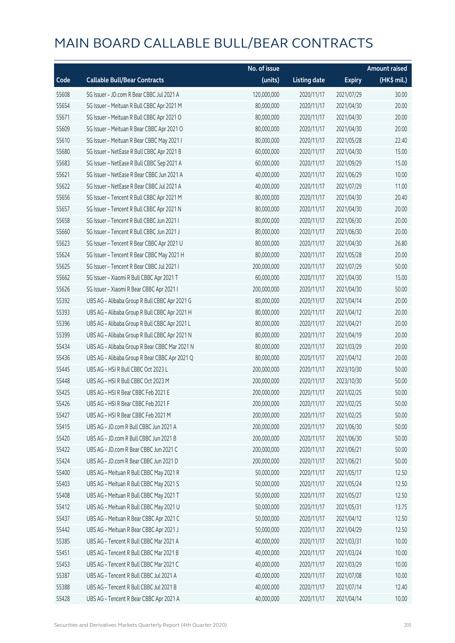|       |                                               | No. of issue |                     |               | <b>Amount raised</b> |
|-------|-----------------------------------------------|--------------|---------------------|---------------|----------------------|
| Code  | <b>Callable Bull/Bear Contracts</b>           | (units)      | <b>Listing date</b> | <b>Expiry</b> | (HK\$ mil.)          |
| 55608 | SG Issuer - JD.com R Bear CBBC Jul 2021 A     | 120,000,000  | 2020/11/17          | 2021/07/29    | 30.00                |
| 55654 | SG Issuer - Meituan R Bull CBBC Apr 2021 M    | 80,000,000   | 2020/11/17          | 2021/04/30    | 20.00                |
| 55671 | SG Issuer - Meituan R Bull CBBC Apr 2021 O    | 80,000,000   | 2020/11/17          | 2021/04/30    | 20.00                |
| 55609 | SG Issuer - Meituan R Bear CBBC Apr 2021 O    | 80,000,000   | 2020/11/17          | 2021/04/30    | 20.00                |
| 55610 | SG Issuer - Meituan R Bear CBBC May 2021 I    | 80,000,000   | 2020/11/17          | 2021/05/28    | 22.40                |
| 55680 | SG Issuer - NetEase R Bull CBBC Apr 2021 B    | 60,000,000   | 2020/11/17          | 2021/04/30    | 15.00                |
| 55683 | SG Issuer - NetEase R Bull CBBC Sep 2021 A    | 60,000,000   | 2020/11/17          | 2021/09/29    | 15.00                |
| 55621 | SG Issuer - NetEase R Bear CBBC Jun 2021 A    | 40,000,000   | 2020/11/17          | 2021/06/29    | 10.00                |
| 55622 | SG Issuer - NetEase R Bear CBBC Jul 2021 A    | 40,000,000   | 2020/11/17          | 2021/07/29    | 11.00                |
| 55656 | SG Issuer - Tencent R Bull CBBC Apr 2021 M    | 80,000,000   | 2020/11/17          | 2021/04/30    | 20.40                |
| 55657 | SG Issuer - Tencent R Bull CBBC Apr 2021 N    | 80,000,000   | 2020/11/17          | 2021/04/30    | 20.00                |
| 55658 | SG Issuer - Tencent R Bull CBBC Jun 2021 I    | 80,000,000   | 2020/11/17          | 2021/06/30    | 20.00                |
| 55660 | SG Issuer - Tencent R Bull CBBC Jun 2021 J    | 80,000,000   | 2020/11/17          | 2021/06/30    | 20.00                |
| 55623 | SG Issuer - Tencent R Bear CBBC Apr 2021 U    | 80,000,000   | 2020/11/17          | 2021/04/30    | 26.80                |
| 55624 | SG Issuer - Tencent R Bear CBBC May 2021 H    | 80,000,000   | 2020/11/17          | 2021/05/28    | 20.00                |
| 55625 | SG Issuer - Tencent R Bear CBBC Jul 2021 I    | 200,000,000  | 2020/11/17          | 2021/07/29    | 50.00                |
| 55662 | SG Issuer - Xiaomi R Bull CBBC Apr 2021 T     | 60,000,000   | 2020/11/17          | 2021/04/30    | 15.00                |
| 55626 | SG Issuer - Xiaomi R Bear CBBC Apr 2021 I     | 200,000,000  | 2020/11/17          | 2021/04/30    | 50.00                |
| 55392 | UBS AG - Alibaba Group R Bull CBBC Apr 2021 G | 80,000,000   | 2020/11/17          | 2021/04/14    | 20.00                |
| 55393 | UBS AG - Alibaba Group R Bull CBBC Apr 2021 H | 80,000,000   | 2020/11/17          | 2021/04/12    | 20.00                |
| 55396 | UBS AG - Alibaba Group R Bull CBBC Apr 2021 L | 80,000,000   | 2020/11/17          | 2021/04/21    | 20.00                |
| 55399 | UBS AG - Alibaba Group R Bull CBBC Apr 2021 N | 80,000,000   | 2020/11/17          | 2021/04/19    | 20.00                |
| 55434 | UBS AG - Alibaba Group R Bear CBBC Mar 2021 N | 80,000,000   | 2020/11/17          | 2021/03/29    | 20.00                |
| 55436 | UBS AG - Alibaba Group R Bear CBBC Apr 2021 Q | 80,000,000   | 2020/11/17          | 2021/04/12    | 20.00                |
| 55445 | UBS AG - HSI R Bull CBBC Oct 2023 L           | 200,000,000  | 2020/11/17          | 2023/10/30    | 50.00                |
| 55448 | UBS AG - HSI R Bull CBBC Oct 2023 M           | 200,000,000  | 2020/11/17          | 2023/10/30    | 50.00                |
| 55425 | UBS AG - HSI R Bear CBBC Feb 2021 E           | 200,000,000  | 2020/11/17          | 2021/02/25    | 50.00                |
| 55426 | UBS AG - HSLR Bear CBBC Feb 2021 F            | 200,000,000  | 2020/11/17          | 2021/02/25    | 50.00                |
| 55427 | UBS AG - HSI R Bear CBBC Feb 2021 M           | 200,000,000  | 2020/11/17          | 2021/02/25    | 50.00                |
| 55415 | UBS AG - JD.com R Bull CBBC Jun 2021 A        | 200,000,000  | 2020/11/17          | 2021/06/30    | 50.00                |
| 55420 | UBS AG - JD.com R Bull CBBC Jun 2021 B        | 200,000,000  | 2020/11/17          | 2021/06/30    | 50.00                |
| 55422 | UBS AG - JD.com R Bear CBBC Jun 2021 C        | 200,000,000  | 2020/11/17          | 2021/06/21    | 50.00                |
| 55424 | UBS AG - JD.com R Bear CBBC Jun 2021 D        | 200,000,000  | 2020/11/17          | 2021/06/21    | 50.00                |
| 55400 | UBS AG - Meituan R Bull CBBC May 2021 R       | 50,000,000   | 2020/11/17          | 2021/05/17    | 12.50                |
| 55403 | UBS AG - Meituan R Bull CBBC May 2021 S       | 50,000,000   | 2020/11/17          | 2021/05/24    | 12.50                |
| 55408 | UBS AG - Meituan R Bull CBBC May 2021 T       | 50,000,000   | 2020/11/17          | 2021/05/27    | 12.50                |
| 55412 | UBS AG - Meituan R Bull CBBC May 2021 U       | 50,000,000   | 2020/11/17          | 2021/05/31    | 13.75                |
| 55437 | UBS AG - Meituan R Bear CBBC Apr 2021 C       | 50,000,000   | 2020/11/17          | 2021/04/12    | 12.50                |
| 55442 | UBS AG - Meituan R Bear CBBC Apr 2021 J       | 50,000,000   | 2020/11/17          | 2021/04/29    | 12.50                |
| 55385 | UBS AG - Tencent R Bull CBBC Mar 2021 A       | 40,000,000   | 2020/11/17          | 2021/03/31    | 10.00                |
| 55451 | UBS AG - Tencent R Bull CBBC Mar 2021 B       | 40,000,000   | 2020/11/17          | 2021/03/24    | 10.00                |
| 55453 | UBS AG - Tencent R Bull CBBC Mar 2021 C       | 40,000,000   | 2020/11/17          | 2021/03/29    | 10.00                |
| 55387 | UBS AG - Tencent R Bull CBBC Jul 2021 A       | 40,000,000   | 2020/11/17          | 2021/07/08    | 10.00                |
| 55388 | UBS AG - Tencent R Bull CBBC Jul 2021 B       | 40,000,000   | 2020/11/17          | 2021/07/14    | 12.40                |
| 55428 | UBS AG - Tencent R Bear CBBC Apr 2021 A       | 40,000,000   | 2020/11/17          | 2021/04/14    | 10.00                |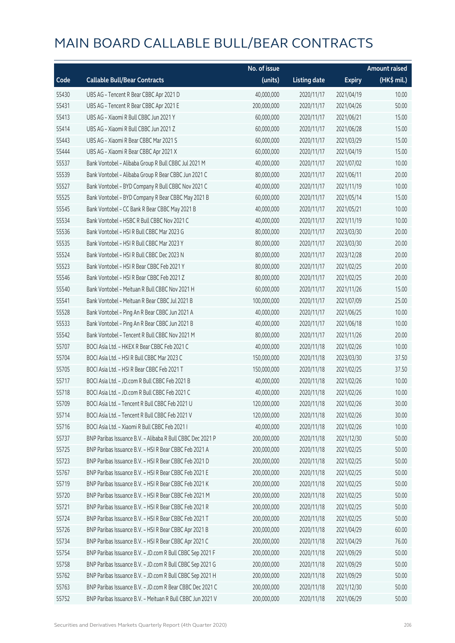|       |                                                            | No. of issue |                     |               | <b>Amount raised</b> |
|-------|------------------------------------------------------------|--------------|---------------------|---------------|----------------------|
| Code  | <b>Callable Bull/Bear Contracts</b>                        | (units)      | <b>Listing date</b> | <b>Expiry</b> | (HK\$ mil.)          |
| 55430 | UBS AG - Tencent R Bear CBBC Apr 2021 D                    | 40,000,000   | 2020/11/17          | 2021/04/19    | 10.00                |
| 55431 | UBS AG - Tencent R Bear CBBC Apr 2021 E                    | 200,000,000  | 2020/11/17          | 2021/04/26    | 50.00                |
| 55413 | UBS AG - Xiaomi R Bull CBBC Jun 2021 Y                     | 60,000,000   | 2020/11/17          | 2021/06/21    | 15.00                |
| 55414 | UBS AG - Xiaomi R Bull CBBC Jun 2021 Z                     | 60,000,000   | 2020/11/17          | 2021/06/28    | 15.00                |
| 55443 | UBS AG - Xiaomi R Bear CBBC Mar 2021 S                     | 60,000,000   | 2020/11/17          | 2021/03/29    | 15.00                |
| 55444 | UBS AG - Xiaomi R Bear CBBC Apr 2021 X                     | 60,000,000   | 2020/11/17          | 2021/04/19    | 15.00                |
| 55537 | Bank Vontobel - Alibaba Group R Bull CBBC Jul 2021 M       | 40,000,000   | 2020/11/17          | 2021/07/02    | 10.00                |
| 55539 | Bank Vontobel - Alibaba Group R Bear CBBC Jun 2021 C       | 80,000,000   | 2020/11/17          | 2021/06/11    | 20.00                |
| 55527 | Bank Vontobel - BYD Company R Bull CBBC Nov 2021 C         | 40,000,000   | 2020/11/17          | 2021/11/19    | 10.00                |
| 55525 | Bank Vontobel - BYD Company R Bear CBBC May 2021 B         | 60,000,000   | 2020/11/17          | 2021/05/14    | 15.00                |
| 55545 | Bank Vontobel - CC Bank R Bear CBBC May 2021 B             | 40,000,000   | 2020/11/17          | 2021/05/21    | 10.00                |
| 55534 | Bank Vontobel - HSBC R Bull CBBC Nov 2021 C                | 40,000,000   | 2020/11/17          | 2021/11/19    | 10.00                |
| 55536 | Bank Vontobel - HSI R Bull CBBC Mar 2023 G                 | 80,000,000   | 2020/11/17          | 2023/03/30    | 20.00                |
| 55535 | Bank Vontobel - HSI R Bull CBBC Mar 2023 Y                 | 80,000,000   | 2020/11/17          | 2023/03/30    | 20.00                |
| 55524 | Bank Vontobel - HSI R Bull CBBC Dec 2023 N                 | 80,000,000   | 2020/11/17          | 2023/12/28    | 20.00                |
| 55523 | Bank Vontobel - HSI R Bear CBBC Feb 2021 Y                 | 80,000,000   | 2020/11/17          | 2021/02/25    | 20.00                |
| 55546 | Bank Vontobel - HSI R Bear CBBC Feb 2021 Z                 | 80,000,000   | 2020/11/17          | 2021/02/25    | 20.00                |
| 55540 | Bank Vontobel - Meituan R Bull CBBC Nov 2021 H             | 60,000,000   | 2020/11/17          | 2021/11/26    | 15.00                |
| 55541 | Bank Vontobel - Meituan R Bear CBBC Jul 2021 B             | 100,000,000  | 2020/11/17          | 2021/07/09    | 25.00                |
| 55528 | Bank Vontobel - Ping An R Bear CBBC Jun 2021 A             | 40,000,000   | 2020/11/17          | 2021/06/25    | 10.00                |
| 55533 | Bank Vontobel - Ping An R Bear CBBC Jun 2021 B             | 40,000,000   | 2020/11/17          | 2021/06/18    | 10.00                |
| 55542 | Bank Vontobel - Tencent R Bull CBBC Nov 2021 M             | 80,000,000   | 2020/11/17          | 2021/11/26    | 20.00                |
| 55707 | BOCI Asia Ltd. - HKEX R Bear CBBC Feb 2021 C               | 40,000,000   | 2020/11/18          | 2021/02/26    | 10.00                |
| 55704 | BOCI Asia Ltd. - HSI R Bull CBBC Mar 2023 C                | 150,000,000  | 2020/11/18          | 2023/03/30    | 37.50                |
| 55705 | BOCI Asia Ltd. - HSI R Bear CBBC Feb 2021 T                | 150,000,000  | 2020/11/18          | 2021/02/25    | 37.50                |
| 55717 | BOCI Asia Ltd. - JD.com R Bull CBBC Feb 2021 B             | 40,000,000   | 2020/11/18          | 2021/02/26    | 10.00                |
| 55718 | BOCI Asia Ltd. - JD.com R Bull CBBC Feb 2021 C             | 40,000,000   | 2020/11/18          | 2021/02/26    | 10.00                |
| 55709 | BOCI Asia Ltd. - Tencent R Bull CBBC Feb 2021 U            | 120,000,000  | 2020/11/18          | 2021/02/26    | 30.00                |
| 55714 | BOCI Asia Ltd. - Tencent R Bull CBBC Feb 2021 V            | 120,000,000  | 2020/11/18          | 2021/02/26    | 30.00                |
| 55716 | BOCI Asia Ltd. - Xiaomi R Bull CBBC Feb 2021 I             | 40,000,000   | 2020/11/18          | 2021/02/26    | 10.00                |
| 55737 | BNP Paribas Issuance B.V. - Alibaba R Bull CBBC Dec 2021 P | 200,000,000  | 2020/11/18          | 2021/12/30    | 50.00                |
| 55725 | BNP Paribas Issuance B.V. - HSI R Bear CBBC Feb 2021 A     | 200,000,000  | 2020/11/18          | 2021/02/25    | 50.00                |
| 55723 | BNP Paribas Issuance B.V. - HSI R Bear CBBC Feb 2021 D     | 200,000,000  | 2020/11/18          | 2021/02/25    | 50.00                |
| 55767 | BNP Paribas Issuance B.V. - HSI R Bear CBBC Feb 2021 E     | 200,000,000  | 2020/11/18          | 2021/02/25    | 50.00                |
| 55719 | BNP Paribas Issuance B.V. - HSI R Bear CBBC Feb 2021 K     | 200,000,000  | 2020/11/18          | 2021/02/25    | 50.00                |
| 55720 | BNP Paribas Issuance B.V. - HSI R Bear CBBC Feb 2021 M     | 200,000,000  | 2020/11/18          | 2021/02/25    | 50.00                |
| 55721 | BNP Paribas Issuance B.V. - HSI R Bear CBBC Feb 2021 R     | 200,000,000  | 2020/11/18          | 2021/02/25    | 50.00                |
| 55724 | BNP Paribas Issuance B.V. - HSI R Bear CBBC Feb 2021 T     | 200,000,000  | 2020/11/18          | 2021/02/25    | 50.00                |
| 55726 | BNP Paribas Issuance B.V. - HSI R Bear CBBC Apr 2021 B     | 200,000,000  | 2020/11/18          | 2021/04/29    | 60.00                |
| 55734 | BNP Paribas Issuance B.V. - HSI R Bear CBBC Apr 2021 C     | 200,000,000  | 2020/11/18          | 2021/04/29    | 76.00                |
| 55754 | BNP Paribas Issuance B.V. - JD.com R Bull CBBC Sep 2021 F  | 200,000,000  | 2020/11/18          | 2021/09/29    | 50.00                |
| 55758 | BNP Paribas Issuance B.V. - JD.com R Bull CBBC Sep 2021 G  | 200,000,000  | 2020/11/18          | 2021/09/29    | 50.00                |
| 55762 | BNP Paribas Issuance B.V. - JD.com R Bull CBBC Sep 2021 H  | 200,000,000  | 2020/11/18          | 2021/09/29    | 50.00                |
| 55763 | BNP Paribas Issuance B.V. - JD.com R Bear CBBC Dec 2021 C  | 200,000,000  | 2020/11/18          | 2021/12/30    | 50.00                |
| 55752 | BNP Paribas Issuance B.V. - Meituan R Bull CBBC Jun 2021 V | 200,000,000  | 2020/11/18          | 2021/06/29    | 50.00                |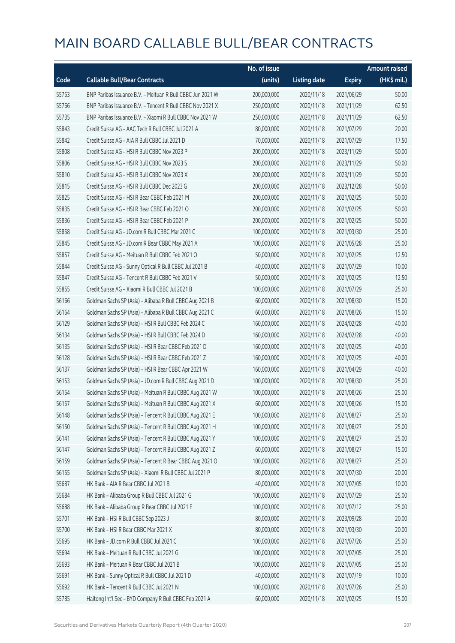|       |                                                            | No. of issue |                     |               | <b>Amount raised</b> |
|-------|------------------------------------------------------------|--------------|---------------------|---------------|----------------------|
| Code  | <b>Callable Bull/Bear Contracts</b>                        | (units)      | <b>Listing date</b> | <b>Expiry</b> | $(HK$$ mil.)         |
| 55753 | BNP Paribas Issuance B.V. - Meituan R Bull CBBC Jun 2021 W | 200,000,000  | 2020/11/18          | 2021/06/29    | 50.00                |
| 55766 | BNP Paribas Issuance B.V. - Tencent R Bull CBBC Nov 2021 X | 250,000,000  | 2020/11/18          | 2021/11/29    | 62.50                |
| 55735 | BNP Paribas Issuance B.V. - Xiaomi R Bull CBBC Nov 2021 W  | 250,000,000  | 2020/11/18          | 2021/11/29    | 62.50                |
| 55843 | Credit Suisse AG - AAC Tech R Bull CBBC Jul 2021 A         | 80,000,000   | 2020/11/18          | 2021/07/29    | 20.00                |
| 55842 | Credit Suisse AG - AIA R Bull CBBC Jul 2021 D              | 70,000,000   | 2020/11/18          | 2021/07/29    | 17.50                |
| 55808 | Credit Suisse AG - HSI R Bull CBBC Nov 2023 P              | 200,000,000  | 2020/11/18          | 2023/11/29    | 50.00                |
| 55806 | Credit Suisse AG - HSI R Bull CBBC Nov 2023 S              | 200,000,000  | 2020/11/18          | 2023/11/29    | 50.00                |
| 55810 | Credit Suisse AG - HSI R Bull CBBC Nov 2023 X              | 200,000,000  | 2020/11/18          | 2023/11/29    | 50.00                |
| 55815 | Credit Suisse AG - HSI R Bull CBBC Dec 2023 G              | 200,000,000  | 2020/11/18          | 2023/12/28    | 50.00                |
| 55825 | Credit Suisse AG - HSI R Bear CBBC Feb 2021 M              | 200,000,000  | 2020/11/18          | 2021/02/25    | 50.00                |
| 55835 | Credit Suisse AG - HSI R Bear CBBC Feb 2021 O              | 200,000,000  | 2020/11/18          | 2021/02/25    | 50.00                |
| 55836 | Credit Suisse AG - HSI R Bear CBBC Feb 2021 P              | 200,000,000  | 2020/11/18          | 2021/02/25    | 50.00                |
| 55858 | Credit Suisse AG - JD.com R Bull CBBC Mar 2021 C           | 100,000,000  | 2020/11/18          | 2021/03/30    | 25.00                |
| 55845 | Credit Suisse AG - JD.com R Bear CBBC May 2021 A           | 100,000,000  | 2020/11/18          | 2021/05/28    | 25.00                |
| 55857 | Credit Suisse AG - Meituan R Bull CBBC Feb 2021 O          | 50,000,000   | 2020/11/18          | 2021/02/25    | 12.50                |
| 55844 | Credit Suisse AG - Sunny Optical R Bull CBBC Jul 2021 B    | 40,000,000   | 2020/11/18          | 2021/07/29    | 10.00                |
| 55847 | Credit Suisse AG - Tencent R Bull CBBC Feb 2021 V          | 50,000,000   | 2020/11/18          | 2021/02/25    | 12.50                |
| 55855 | Credit Suisse AG - Xiaomi R Bull CBBC Jul 2021 B           | 100,000,000  | 2020/11/18          | 2021/07/29    | 25.00                |
| 56166 | Goldman Sachs SP (Asia) - Alibaba R Bull CBBC Aug 2021 B   | 60,000,000   | 2020/11/18          | 2021/08/30    | 15.00                |
| 56164 | Goldman Sachs SP (Asia) - Alibaba R Bull CBBC Aug 2021 C   | 60,000,000   | 2020/11/18          | 2021/08/26    | 15.00                |
| 56129 | Goldman Sachs SP (Asia) - HSI R Bull CBBC Feb 2024 C       | 160,000,000  | 2020/11/18          | 2024/02/28    | 40.00                |
| 56134 | Goldman Sachs SP (Asia) - HSI R Bull CBBC Feb 2024 D       | 160,000,000  | 2020/11/18          | 2024/02/28    | 40.00                |
| 56135 | Goldman Sachs SP (Asia) - HSI R Bear CBBC Feb 2021 D       | 160,000,000  | 2020/11/18          | 2021/02/25    | 40.00                |
| 56128 | Goldman Sachs SP (Asia) - HSI R Bear CBBC Feb 2021 Z       | 160,000,000  | 2020/11/18          | 2021/02/25    | 40.00                |
| 56137 | Goldman Sachs SP (Asia) - HSI R Bear CBBC Apr 2021 W       | 160,000,000  | 2020/11/18          | 2021/04/29    | 40.00                |
| 56153 | Goldman Sachs SP (Asia) - JD.com R Bull CBBC Aug 2021 D    | 100,000,000  | 2020/11/18          | 2021/08/30    | 25.00                |
| 56154 | Goldman Sachs SP (Asia) - Meituan R Bull CBBC Aug 2021 W   | 100,000,000  | 2020/11/18          | 2021/08/26    | 25.00                |
| 56157 | Goldman Sachs SP (Asia) - Meituan R Bull CBBC Aug 2021 X   | 60,000,000   | 2020/11/18          | 2021/08/26    | 15.00                |
| 56148 | Goldman Sachs SP (Asia) - Tencent R Bull CBBC Aug 2021 E   | 100,000,000  | 2020/11/18          | 2021/08/27    | 25.00                |
| 56150 | Goldman Sachs SP (Asia) - Tencent R Bull CBBC Aug 2021 H   | 100,000,000  | 2020/11/18          | 2021/08/27    | 25.00                |
| 56141 | Goldman Sachs SP (Asia) - Tencent R Bull CBBC Aug 2021 Y   | 100,000,000  | 2020/11/18          | 2021/08/27    | 25.00                |
| 56147 | Goldman Sachs SP (Asia) - Tencent R Bull CBBC Aug 2021 Z   | 60,000,000   | 2020/11/18          | 2021/08/27    | 15.00                |
| 56159 | Goldman Sachs SP (Asia) - Tencent R Bear CBBC Aug 2021 O   | 100,000,000  | 2020/11/18          | 2021/08/27    | 25.00                |
| 56155 | Goldman Sachs SP (Asia) - Xiaomi R Bull CBBC Jul 2021 P    | 80,000,000   | 2020/11/18          | 2021/07/30    | 20.00                |
| 55687 | HK Bank - AIA R Bear CBBC Jul 2021 B                       | 40,000,000   | 2020/11/18          | 2021/07/05    | 10.00                |
| 55684 | HK Bank - Alibaba Group R Bull CBBC Jul 2021 G             | 100,000,000  | 2020/11/18          | 2021/07/29    | 25.00                |
| 55688 | HK Bank - Alibaba Group R Bear CBBC Jul 2021 E             | 100,000,000  | 2020/11/18          | 2021/07/12    | 25.00                |
| 55701 | HK Bank - HSI R Bull CBBC Sep 2023 J                       | 80,000,000   | 2020/11/18          | 2023/09/28    | 20.00                |
| 55700 | HK Bank - HSI R Bear CBBC Mar 2021 X                       | 80,000,000   | 2020/11/18          | 2021/03/30    | 20.00                |
| 55695 | HK Bank - JD.com R Bull CBBC Jul 2021 C                    | 100,000,000  | 2020/11/18          | 2021/07/26    | 25.00                |
| 55694 | HK Bank - Meituan R Bull CBBC Jul 2021 G                   | 100,000,000  | 2020/11/18          | 2021/07/05    | 25.00                |
| 55693 | HK Bank - Meituan R Bear CBBC Jul 2021 B                   | 100,000,000  | 2020/11/18          | 2021/07/05    | 25.00                |
| 55691 | HK Bank - Sunny Optical R Bull CBBC Jul 2021 D             | 40,000,000   | 2020/11/18          | 2021/07/19    | 10.00                |
| 55692 | HK Bank - Tencent R Bull CBBC Jul 2021 N                   | 100,000,000  | 2020/11/18          | 2021/07/26    | 25.00                |
| 55785 | Haitong Int'l Sec - BYD Company R Bull CBBC Feb 2021 A     | 60,000,000   | 2020/11/18          | 2021/02/25    | 15.00                |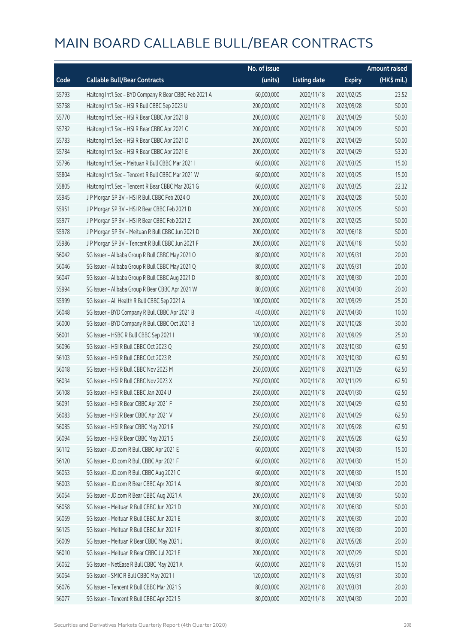|       |                                                        | No. of issue |                     |               | <b>Amount raised</b> |
|-------|--------------------------------------------------------|--------------|---------------------|---------------|----------------------|
| Code  | <b>Callable Bull/Bear Contracts</b>                    | (units)      | <b>Listing date</b> | <b>Expiry</b> | (HK\$ mil.)          |
| 55793 | Haitong Int'l Sec - BYD Company R Bear CBBC Feb 2021 A | 60,000,000   | 2020/11/18          | 2021/02/25    | 23.52                |
| 55768 | Haitong Int'l Sec - HSI R Bull CBBC Sep 2023 U         | 200,000,000  | 2020/11/18          | 2023/09/28    | 50.00                |
| 55770 | Haitong Int'l Sec - HSI R Bear CBBC Apr 2021 B         | 200,000,000  | 2020/11/18          | 2021/04/29    | 50.00                |
| 55782 | Haitong Int'l Sec - HSI R Bear CBBC Apr 2021 C         | 200,000,000  | 2020/11/18          | 2021/04/29    | 50.00                |
| 55783 | Haitong Int'l Sec - HSI R Bear CBBC Apr 2021 D         | 200,000,000  | 2020/11/18          | 2021/04/29    | 50.00                |
| 55784 | Haitong Int'l Sec - HSI R Bear CBBC Apr 2021 E         | 200,000,000  | 2020/11/18          | 2021/04/29    | 53.20                |
| 55796 | Haitong Int'l Sec - Meituan R Bull CBBC Mar 2021 I     | 60,000,000   | 2020/11/18          | 2021/03/25    | 15.00                |
| 55804 | Haitong Int'l Sec - Tencent R Bull CBBC Mar 2021 W     | 60,000,000   | 2020/11/18          | 2021/03/25    | 15.00                |
| 55805 | Haitong Int'l Sec - Tencent R Bear CBBC Mar 2021 G     | 60,000,000   | 2020/11/18          | 2021/03/25    | 22.32                |
| 55945 | J P Morgan SP BV - HSI R Bull CBBC Feb 2024 O          | 200,000,000  | 2020/11/18          | 2024/02/28    | 50.00                |
| 55951 | J P Morgan SP BV - HSI R Bear CBBC Feb 2021 D          | 200,000,000  | 2020/11/18          | 2021/02/25    | 50.00                |
| 55977 | JP Morgan SP BV - HSIR Bear CBBC Feb 2021 Z            | 200,000,000  | 2020/11/18          | 2021/02/25    | 50.00                |
| 55978 | J P Morgan SP BV - Meituan R Bull CBBC Jun 2021 D      | 200,000,000  | 2020/11/18          | 2021/06/18    | 50.00                |
| 55986 | J P Morgan SP BV - Tencent R Bull CBBC Jun 2021 F      | 200,000,000  | 2020/11/18          | 2021/06/18    | 50.00                |
| 56042 | SG Issuer - Alibaba Group R Bull CBBC May 2021 O       | 80,000,000   | 2020/11/18          | 2021/05/31    | 20.00                |
| 56046 | SG Issuer - Alibaba Group R Bull CBBC May 2021 Q       | 80,000,000   | 2020/11/18          | 2021/05/31    | 20.00                |
| 56047 | SG Issuer - Alibaba Group R Bull CBBC Aug 2021 D       | 80,000,000   | 2020/11/18          | 2021/08/30    | 20.00                |
| 55994 | SG Issuer - Alibaba Group R Bear CBBC Apr 2021 W       | 80,000,000   | 2020/11/18          | 2021/04/30    | 20.00                |
| 55999 | SG Issuer - Ali Health R Bull CBBC Sep 2021 A          | 100,000,000  | 2020/11/18          | 2021/09/29    | 25.00                |
| 56048 | SG Issuer - BYD Company R Bull CBBC Apr 2021 B         | 40,000,000   | 2020/11/18          | 2021/04/30    | 10.00                |
| 56000 | SG Issuer - BYD Company R Bull CBBC Oct 2021 B         | 120,000,000  | 2020/11/18          | 2021/10/28    | 30.00                |
| 56001 | SG Issuer - HSBC R Bull CBBC Sep 2021 I                | 100,000,000  | 2020/11/18          | 2021/09/29    | 25.00                |
| 56096 | SG Issuer - HSI R Bull CBBC Oct 2023 Q                 | 250,000,000  | 2020/11/18          | 2023/10/30    | 62.50                |
| 56103 | SG Issuer - HSI R Bull CBBC Oct 2023 R                 | 250,000,000  | 2020/11/18          | 2023/10/30    | 62.50                |
| 56018 | SG Issuer - HSI R Bull CBBC Nov 2023 M                 | 250,000,000  | 2020/11/18          | 2023/11/29    | 62.50                |
| 56034 | SG Issuer - HSI R Bull CBBC Nov 2023 X                 | 250,000,000  | 2020/11/18          | 2023/11/29    | 62.50                |
| 56108 | SG Issuer - HSI R Bull CBBC Jan 2024 U                 | 250,000,000  | 2020/11/18          | 2024/01/30    | 62.50                |
| 56091 | SG Issuer - HSI R Bear CBBC Apr 2021 F                 | 250,000,000  | 2020/11/18          | 2021/04/29    | 62.50                |
| 56083 | SG Issuer - HSI R Bear CBBC Apr 2021 V                 | 250,000,000  | 2020/11/18          | 2021/04/29    | 62.50                |
| 56085 | SG Issuer - HSI R Bear CBBC May 2021 R                 | 250,000,000  | 2020/11/18          | 2021/05/28    | 62.50                |
| 56094 | SG Issuer - HSI R Bear CBBC May 2021 S                 | 250,000,000  | 2020/11/18          | 2021/05/28    | 62.50                |
| 56112 | SG Issuer - JD.com R Bull CBBC Apr 2021 E              | 60,000,000   | 2020/11/18          | 2021/04/30    | 15.00                |
| 56120 | SG Issuer - JD.com R Bull CBBC Apr 2021 F              | 60,000,000   | 2020/11/18          | 2021/04/30    | 15.00                |
| 56053 | SG Issuer - JD.com R Bull CBBC Aug 2021 C              | 60,000,000   | 2020/11/18          | 2021/08/30    | 15.00                |
| 56003 | SG Issuer - JD.com R Bear CBBC Apr 2021 A              | 80,000,000   | 2020/11/18          | 2021/04/30    | 20.00                |
| 56054 | SG Issuer - JD.com R Bear CBBC Aug 2021 A              | 200,000,000  | 2020/11/18          | 2021/08/30    | 50.00                |
| 56058 | SG Issuer - Meituan R Bull CBBC Jun 2021 D             | 200,000,000  | 2020/11/18          | 2021/06/30    | 50.00                |
| 56059 | SG Issuer - Meituan R Bull CBBC Jun 2021 E             | 80,000,000   | 2020/11/18          | 2021/06/30    | 20.00                |
| 56125 | SG Issuer - Meituan R Bull CBBC Jun 2021 F             | 80,000,000   | 2020/11/18          | 2021/06/30    | 20.00                |
| 56009 | SG Issuer - Meituan R Bear CBBC May 2021 J             | 80,000,000   | 2020/11/18          | 2021/05/28    | 20.00                |
| 56010 | SG Issuer - Meituan R Bear CBBC Jul 2021 E             | 200,000,000  | 2020/11/18          | 2021/07/29    | 50.00                |
| 56062 | SG Issuer - NetEase R Bull CBBC May 2021 A             | 60,000,000   | 2020/11/18          | 2021/05/31    | 15.00                |
| 56064 | SG Issuer - SMIC R Bull CBBC May 2021 I                | 120,000,000  | 2020/11/18          | 2021/05/31    | 30.00                |
| 56076 | SG Issuer - Tencent R Bull CBBC Mar 2021 S             | 80,000,000   | 2020/11/18          | 2021/03/31    | 20.00                |
| 56077 | SG Issuer - Tencent R Bull CBBC Apr 2021 S             | 80,000,000   | 2020/11/18          | 2021/04/30    | 20.00                |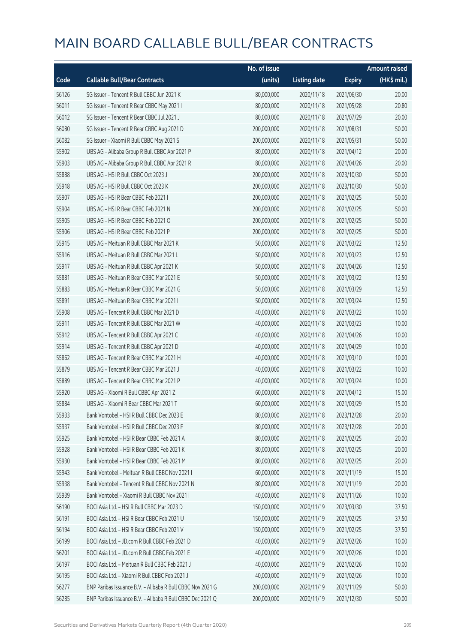|       |                                                            | No. of issue |                     |               | <b>Amount raised</b> |
|-------|------------------------------------------------------------|--------------|---------------------|---------------|----------------------|
| Code  | <b>Callable Bull/Bear Contracts</b>                        | (units)      | <b>Listing date</b> | <b>Expiry</b> | (HK\$ mil.)          |
| 56126 | SG Issuer - Tencent R Bull CBBC Jun 2021 K                 | 80,000,000   | 2020/11/18          | 2021/06/30    | 20.00                |
| 56011 | SG Issuer - Tencent R Bear CBBC May 2021 I                 | 80,000,000   | 2020/11/18          | 2021/05/28    | 20.80                |
| 56012 | SG Issuer - Tencent R Bear CBBC Jul 2021 J                 | 80,000,000   | 2020/11/18          | 2021/07/29    | 20.00                |
| 56080 | SG Issuer - Tencent R Bear CBBC Aug 2021 D                 | 200,000,000  | 2020/11/18          | 2021/08/31    | 50.00                |
| 56082 | SG Issuer - Xiaomi R Bull CBBC May 2021 S                  | 200,000,000  | 2020/11/18          | 2021/05/31    | 50.00                |
| 55902 | UBS AG - Alibaba Group R Bull CBBC Apr 2021 P              | 80,000,000   | 2020/11/18          | 2021/04/12    | 20.00                |
| 55903 | UBS AG - Alibaba Group R Bull CBBC Apr 2021 R              | 80,000,000   | 2020/11/18          | 2021/04/26    | 20.00                |
| 55888 | UBS AG - HSI R Bull CBBC Oct 2023 J                        | 200,000,000  | 2020/11/18          | 2023/10/30    | 50.00                |
| 55918 | UBS AG - HSI R Bull CBBC Oct 2023 K                        | 200,000,000  | 2020/11/18          | 2023/10/30    | 50.00                |
| 55907 | UBS AG - HSI R Bear CBBC Feb 2021 I                        | 200,000,000  | 2020/11/18          | 2021/02/25    | 50.00                |
| 55904 | UBS AG - HSI R Bear CBBC Feb 2021 N                        | 200,000,000  | 2020/11/18          | 2021/02/25    | 50.00                |
| 55905 | UBS AG - HSI R Bear CBBC Feb 2021 O                        | 200,000,000  | 2020/11/18          | 2021/02/25    | 50.00                |
| 55906 | UBS AG - HSI R Bear CBBC Feb 2021 P                        | 200,000,000  | 2020/11/18          | 2021/02/25    | 50.00                |
| 55915 | UBS AG - Meituan R Bull CBBC Mar 2021 K                    | 50,000,000   | 2020/11/18          | 2021/03/22    | 12.50                |
| 55916 | UBS AG - Meituan R Bull CBBC Mar 2021 L                    | 50,000,000   | 2020/11/18          | 2021/03/23    | 12.50                |
| 55917 | UBS AG - Meituan R Bull CBBC Apr 2021 K                    | 50,000,000   | 2020/11/18          | 2021/04/26    | 12.50                |
| 55881 | UBS AG - Meituan R Bear CBBC Mar 2021 E                    | 50,000,000   | 2020/11/18          | 2021/03/22    | 12.50                |
| 55883 | UBS AG - Meituan R Bear CBBC Mar 2021 G                    | 50,000,000   | 2020/11/18          | 2021/03/29    | 12.50                |
| 55891 | UBS AG - Meituan R Bear CBBC Mar 2021                      | 50,000,000   | 2020/11/18          | 2021/03/24    | 12.50                |
| 55908 | UBS AG - Tencent R Bull CBBC Mar 2021 D                    | 40,000,000   | 2020/11/18          | 2021/03/22    | 10.00                |
| 55911 | UBS AG - Tencent R Bull CBBC Mar 2021 W                    | 40,000,000   | 2020/11/18          | 2021/03/23    | 10.00                |
| 55912 | UBS AG - Tencent R Bull CBBC Apr 2021 C                    | 40,000,000   | 2020/11/18          | 2021/04/26    | 10.00                |
| 55914 | UBS AG - Tencent R Bull CBBC Apr 2021 D                    | 40,000,000   | 2020/11/18          | 2021/04/29    | 10.00                |
| 55862 | UBS AG - Tencent R Bear CBBC Mar 2021 H                    | 40,000,000   | 2020/11/18          | 2021/03/10    | 10.00                |
| 55879 | UBS AG - Tencent R Bear CBBC Mar 2021 J                    | 40,000,000   | 2020/11/18          | 2021/03/22    | 10.00                |
| 55889 | UBS AG - Tencent R Bear CBBC Mar 2021 P                    | 40,000,000   | 2020/11/18          | 2021/03/24    | 10.00                |
| 55920 | UBS AG - Xiaomi R Bull CBBC Apr 2021 Z                     | 60,000,000   | 2020/11/18          | 2021/04/12    | 15.00                |
| 55884 | UBS AG - Xiaomi R Bear CBBC Mar 2021 T                     | 60,000,000   | 2020/11/18          | 2021/03/29    | 15.00                |
| 55933 | Bank Vontobel - HSI R Bull CBBC Dec 2023 E                 | 80,000,000   | 2020/11/18          | 2023/12/28    | 20.00                |
| 55937 | Bank Vontobel - HSI R Bull CBBC Dec 2023 F                 | 80,000,000   | 2020/11/18          | 2023/12/28    | 20.00                |
| 55925 | Bank Vontobel - HSI R Bear CBBC Feb 2021 A                 | 80,000,000   | 2020/11/18          | 2021/02/25    | 20.00                |
| 55928 | Bank Vontobel - HSI R Bear CBBC Feb 2021 K                 | 80,000,000   | 2020/11/18          | 2021/02/25    | 20.00                |
| 55930 | Bank Vontobel - HSI R Bear CBBC Feb 2021 M                 | 80,000,000   | 2020/11/18          | 2021/02/25    | 20.00                |
| 55943 | Bank Vontobel - Meituan R Bull CBBC Nov 2021 I             | 60,000,000   | 2020/11/18          | 2021/11/19    | 15.00                |
| 55938 | Bank Vontobel - Tencent R Bull CBBC Nov 2021 N             | 80,000,000   | 2020/11/18          | 2021/11/19    | 20.00                |
| 55939 | Bank Vontobel - Xiaomi R Bull CBBC Nov 2021 I              | 40,000,000   | 2020/11/18          | 2021/11/26    | 10.00                |
| 56190 | BOCI Asia Ltd. - HSI R Bull CBBC Mar 2023 D                | 150,000,000  | 2020/11/19          | 2023/03/30    | 37.50                |
| 56191 | BOCI Asia Ltd. - HSI R Bear CBBC Feb 2021 U                | 150,000,000  | 2020/11/19          | 2021/02/25    | 37.50                |
| 56194 | BOCI Asia Ltd. - HSI R Bear CBBC Feb 2021 V                | 150,000,000  | 2020/11/19          | 2021/02/25    | 37.50                |
| 56199 | BOCI Asia Ltd. - JD.com R Bull CBBC Feb 2021 D             | 40,000,000   | 2020/11/19          | 2021/02/26    | 10.00                |
| 56201 | BOCI Asia Ltd. - JD.com R Bull CBBC Feb 2021 E             | 40,000,000   | 2020/11/19          | 2021/02/26    | 10.00                |
| 56197 | BOCI Asia Ltd. - Meituan R Bull CBBC Feb 2021 J            | 40,000,000   | 2020/11/19          | 2021/02/26    | 10.00                |
| 56195 | BOCI Asia Ltd. - Xiaomi R Bull CBBC Feb 2021 J             | 40,000,000   | 2020/11/19          | 2021/02/26    | 10.00                |
| 56277 | BNP Paribas Issuance B.V. - Alibaba R Bull CBBC Nov 2021 G | 200,000,000  | 2020/11/19          | 2021/11/29    | 50.00                |
| 56285 | BNP Paribas Issuance B.V. - Alibaba R Bull CBBC Dec 2021 Q | 200,000,000  | 2020/11/19          | 2021/12/30    | 50.00                |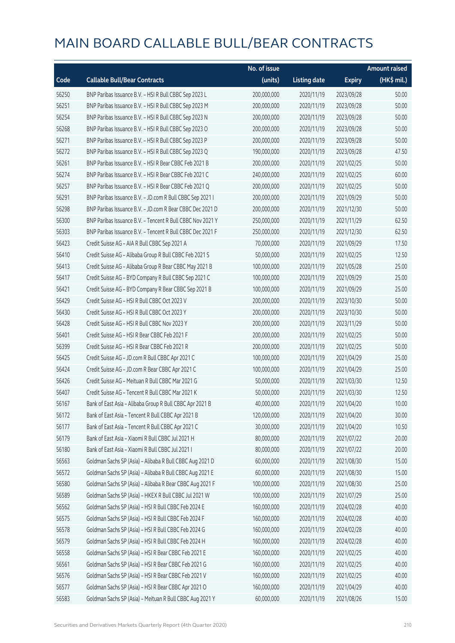|       |                                                            | No. of issue |                     |               | <b>Amount raised</b>  |
|-------|------------------------------------------------------------|--------------|---------------------|---------------|-----------------------|
| Code  | <b>Callable Bull/Bear Contracts</b>                        | (units)      | <b>Listing date</b> | <b>Expiry</b> | $(HK\frac{1}{2}mil.)$ |
| 56250 | BNP Paribas Issuance B.V. - HSI R Bull CBBC Sep 2023 L     | 200,000,000  | 2020/11/19          | 2023/09/28    | 50.00                 |
| 56251 | BNP Paribas Issuance B.V. - HSI R Bull CBBC Sep 2023 M     | 200,000,000  | 2020/11/19          | 2023/09/28    | 50.00                 |
| 56254 | BNP Paribas Issuance B.V. - HSI R Bull CBBC Sep 2023 N     | 200,000,000  | 2020/11/19          | 2023/09/28    | 50.00                 |
| 56268 | BNP Paribas Issuance B.V. - HSI R Bull CBBC Sep 2023 O     | 200,000,000  | 2020/11/19          | 2023/09/28    | 50.00                 |
| 56271 | BNP Paribas Issuance B.V. - HSI R Bull CBBC Sep 2023 P     | 200,000,000  | 2020/11/19          | 2023/09/28    | 50.00                 |
| 56272 | BNP Paribas Issuance B.V. - HSI R Bull CBBC Sep 2023 Q     | 190,000,000  | 2020/11/19          | 2023/09/28    | 47.50                 |
| 56261 | BNP Paribas Issuance B.V. - HSI R Bear CBBC Feb 2021 B     | 200,000,000  | 2020/11/19          | 2021/02/25    | 50.00                 |
| 56274 | BNP Paribas Issuance B.V. - HSI R Bear CBBC Feb 2021 C     | 240,000,000  | 2020/11/19          | 2021/02/25    | 60.00                 |
| 56257 | BNP Paribas Issuance B.V. - HSI R Bear CBBC Feb 2021 Q     | 200,000,000  | 2020/11/19          | 2021/02/25    | 50.00                 |
| 56291 | BNP Paribas Issuance B.V. - JD.com R Bull CBBC Sep 2021 I  | 200,000,000  | 2020/11/19          | 2021/09/29    | 50.00                 |
| 56298 | BNP Paribas Issuance B.V. - JD.com R Bear CBBC Dec 2021 D  | 200,000,000  | 2020/11/19          | 2021/12/30    | 50.00                 |
| 56300 | BNP Paribas Issuance B.V. - Tencent R Bull CBBC Nov 2021 Y | 250,000,000  | 2020/11/19          | 2021/11/29    | 62.50                 |
| 56303 | BNP Paribas Issuance B.V. - Tencent R Bull CBBC Dec 2021 F | 250,000,000  | 2020/11/19          | 2021/12/30    | 62.50                 |
| 56423 | Credit Suisse AG - AIA R Bull CBBC Sep 2021 A              | 70,000,000   | 2020/11/19          | 2021/09/29    | 17.50                 |
| 56410 | Credit Suisse AG - Alibaba Group R Bull CBBC Feb 2021 S    | 50,000,000   | 2020/11/19          | 2021/02/25    | 12.50                 |
| 56413 | Credit Suisse AG - Alibaba Group R Bear CBBC May 2021 B    | 100,000,000  | 2020/11/19          | 2021/05/28    | 25.00                 |
| 56417 | Credit Suisse AG - BYD Company R Bull CBBC Sep 2021 C      | 100,000,000  | 2020/11/19          | 2021/09/29    | 25.00                 |
| 56421 | Credit Suisse AG - BYD Company R Bear CBBC Sep 2021 B      | 100,000,000  | 2020/11/19          | 2021/09/29    | 25.00                 |
| 56429 | Credit Suisse AG - HSI R Bull CBBC Oct 2023 V              | 200,000,000  | 2020/11/19          | 2023/10/30    | 50.00                 |
| 56430 | Credit Suisse AG - HSI R Bull CBBC Oct 2023 Y              | 200,000,000  | 2020/11/19          | 2023/10/30    | 50.00                 |
| 56428 | Credit Suisse AG - HSI R Bull CBBC Nov 2023 Y              | 200,000,000  | 2020/11/19          | 2023/11/29    | 50.00                 |
| 56401 | Credit Suisse AG - HSI R Bear CBBC Feb 2021 F              | 200,000,000  | 2020/11/19          | 2021/02/25    | 50.00                 |
| 56399 | Credit Suisse AG - HSI R Bear CBBC Feb 2021 R              | 200,000,000  | 2020/11/19          | 2021/02/25    | 50.00                 |
| 56425 | Credit Suisse AG - JD.com R Bull CBBC Apr 2021 C           | 100,000,000  | 2020/11/19          | 2021/04/29    | 25.00                 |
| 56424 | Credit Suisse AG - JD.com R Bear CBBC Apr 2021 C           | 100,000,000  | 2020/11/19          | 2021/04/29    | 25.00                 |
| 56426 | Credit Suisse AG - Meituan R Bull CBBC Mar 2021 G          | 50,000,000   | 2020/11/19          | 2021/03/30    | 12.50                 |
| 56407 | Credit Suisse AG - Tencent R Bull CBBC Mar 2021 K          | 50,000,000   | 2020/11/19          | 2021/03/30    | 12.50                 |
| 56167 | Bank of East Asia - Alibaba Group R Bull CBBC Apr 2021 B   | 40,000,000   | 2020/11/19          | 2021/04/20    | 10.00                 |
| 56172 | Bank of East Asia - Tencent R Bull CBBC Apr 2021 B         | 120,000,000  | 2020/11/19          | 2021/04/20    | 30.00                 |
| 56177 | Bank of East Asia - Tencent R Bull CBBC Apr 2021 C         | 30,000,000   | 2020/11/19          | 2021/04/20    | 10.50                 |
| 56179 | Bank of East Asia - Xiaomi R Bull CBBC Jul 2021 H          | 80,000,000   | 2020/11/19          | 2021/07/22    | 20.00                 |
| 56180 | Bank of East Asia - Xiaomi R Bull CBBC Jul 2021 I          | 80,000,000   | 2020/11/19          | 2021/07/22    | 20.00                 |
| 56563 | Goldman Sachs SP (Asia) - Alibaba R Bull CBBC Aug 2021 D   | 60,000,000   | 2020/11/19          | 2021/08/30    | 15.00                 |
| 56572 | Goldman Sachs SP (Asia) - Alibaba R Bull CBBC Aug 2021 E   | 60,000,000   | 2020/11/19          | 2021/08/30    | 15.00                 |
| 56580 | Goldman Sachs SP (Asia) - Alibaba R Bear CBBC Aug 2021 F   | 100,000,000  | 2020/11/19          | 2021/08/30    | 25.00                 |
| 56589 | Goldman Sachs SP (Asia) - HKEX R Bull CBBC Jul 2021 W      | 100,000,000  | 2020/11/19          | 2021/07/29    | 25.00                 |
| 56562 | Goldman Sachs SP (Asia) - HSI R Bull CBBC Feb 2024 E       | 160,000,000  | 2020/11/19          | 2024/02/28    | 40.00                 |
| 56575 | Goldman Sachs SP (Asia) - HSI R Bull CBBC Feb 2024 F       | 160,000,000  | 2020/11/19          | 2024/02/28    | 40.00                 |
| 56578 | Goldman Sachs SP (Asia) - HSI R Bull CBBC Feb 2024 G       | 160,000,000  | 2020/11/19          | 2024/02/28    | 40.00                 |
| 56579 | Goldman Sachs SP (Asia) - HSI R Bull CBBC Feb 2024 H       | 160,000,000  | 2020/11/19          | 2024/02/28    | 40.00                 |
| 56558 | Goldman Sachs SP (Asia) - HSI R Bear CBBC Feb 2021 E       | 160,000,000  | 2020/11/19          | 2021/02/25    | 40.00                 |
| 56561 | Goldman Sachs SP (Asia) - HSI R Bear CBBC Feb 2021 G       | 160,000,000  | 2020/11/19          | 2021/02/25    | 40.00                 |
| 56576 | Goldman Sachs SP (Asia) - HSI R Bear CBBC Feb 2021 V       | 160,000,000  | 2020/11/19          | 2021/02/25    | 40.00                 |
| 56577 | Goldman Sachs SP (Asia) - HSI R Bear CBBC Apr 2021 O       | 160,000,000  | 2020/11/19          | 2021/04/29    | 40.00                 |
| 56583 | Goldman Sachs SP (Asia) - Meituan R Bull CBBC Aug 2021 Y   | 60,000,000   | 2020/11/19          | 2021/08/26    | 15.00                 |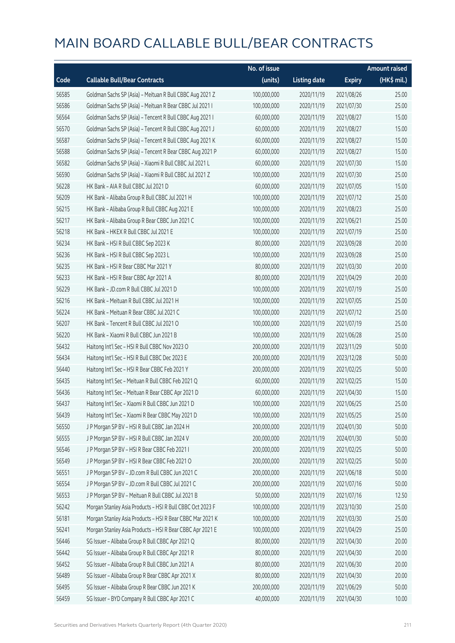|       |                                                           | No. of issue |                     |               | <b>Amount raised</b>  |
|-------|-----------------------------------------------------------|--------------|---------------------|---------------|-----------------------|
| Code  | <b>Callable Bull/Bear Contracts</b>                       | (units)      | <b>Listing date</b> | <b>Expiry</b> | $(HK\frac{1}{2}mil.)$ |
| 56585 | Goldman Sachs SP (Asia) - Meituan R Bull CBBC Aug 2021 Z  | 100,000,000  | 2020/11/19          | 2021/08/26    | 25.00                 |
| 56586 | Goldman Sachs SP (Asia) - Meituan R Bear CBBC Jul 2021 I  | 100,000,000  | 2020/11/19          | 2021/07/30    | 25.00                 |
| 56564 | Goldman Sachs SP (Asia) - Tencent R Bull CBBC Aug 2021 I  | 60,000,000   | 2020/11/19          | 2021/08/27    | 15.00                 |
| 56570 | Goldman Sachs SP (Asia) - Tencent R Bull CBBC Aug 2021 J  | 60,000,000   | 2020/11/19          | 2021/08/27    | 15.00                 |
| 56587 | Goldman Sachs SP (Asia) - Tencent R Bull CBBC Aug 2021 K  | 60,000,000   | 2020/11/19          | 2021/08/27    | 15.00                 |
| 56588 | Goldman Sachs SP (Asia) - Tencent R Bear CBBC Aug 2021 P  | 60,000,000   | 2020/11/19          | 2021/08/27    | 15.00                 |
| 56582 | Goldman Sachs SP (Asia) - Xiaomi R Bull CBBC Jul 2021 L   | 60,000,000   | 2020/11/19          | 2021/07/30    | 15.00                 |
| 56590 | Goldman Sachs SP (Asia) - Xiaomi R Bull CBBC Jul 2021 Z   | 100,000,000  | 2020/11/19          | 2021/07/30    | 25.00                 |
| 56228 | HK Bank - AIA R Bull CBBC Jul 2021 D                      | 60,000,000   | 2020/11/19          | 2021/07/05    | 15.00                 |
| 56209 | HK Bank - Alibaba Group R Bull CBBC Jul 2021 H            | 100,000,000  | 2020/11/19          | 2021/07/12    | 25.00                 |
| 56215 | HK Bank - Alibaba Group R Bull CBBC Aug 2021 E            | 100,000,000  | 2020/11/19          | 2021/08/23    | 25.00                 |
| 56217 | HK Bank - Alibaba Group R Bear CBBC Jun 2021 C            | 100,000,000  | 2020/11/19          | 2021/06/21    | 25.00                 |
| 56218 | HK Bank - HKEX R Bull CBBC Jul 2021 E                     | 100,000,000  | 2020/11/19          | 2021/07/19    | 25.00                 |
| 56234 | HK Bank - HSI R Bull CBBC Sep 2023 K                      | 80,000,000   | 2020/11/19          | 2023/09/28    | 20.00                 |
| 56236 | HK Bank - HSI R Bull CBBC Sep 2023 L                      | 100,000,000  | 2020/11/19          | 2023/09/28    | 25.00                 |
| 56235 | HK Bank - HSI R Bear CBBC Mar 2021 Y                      | 80,000,000   | 2020/11/19          | 2021/03/30    | 20.00                 |
| 56233 | HK Bank - HSI R Bear CBBC Apr 2021 A                      | 80,000,000   | 2020/11/19          | 2021/04/29    | 20.00                 |
| 56229 | HK Bank - JD.com R Bull CBBC Jul 2021 D                   | 100,000,000  | 2020/11/19          | 2021/07/19    | 25.00                 |
| 56216 | HK Bank - Meituan R Bull CBBC Jul 2021 H                  | 100,000,000  | 2020/11/19          | 2021/07/05    | 25.00                 |
| 56224 | HK Bank - Meituan R Bear CBBC Jul 2021 C                  | 100,000,000  | 2020/11/19          | 2021/07/12    | 25.00                 |
| 56207 | HK Bank - Tencent R Bull CBBC Jul 2021 O                  | 100,000,000  | 2020/11/19          | 2021/07/19    | 25.00                 |
| 56220 | HK Bank - Xiaomi R Bull CBBC Jun 2021 B                   | 100,000,000  | 2020/11/19          | 2021/06/28    | 25.00                 |
| 56432 | Haitong Int'l Sec - HSI R Bull CBBC Nov 2023 O            | 200,000,000  | 2020/11/19          | 2023/11/29    | 50.00                 |
| 56434 | Haitong Int'l Sec - HSI R Bull CBBC Dec 2023 E            | 200,000,000  | 2020/11/19          | 2023/12/28    | 50.00                 |
| 56440 | Haitong Int'l Sec - HSI R Bear CBBC Feb 2021 Y            | 200,000,000  | 2020/11/19          | 2021/02/25    | 50.00                 |
| 56435 | Haitong Int'l Sec - Meituan R Bull CBBC Feb 2021 Q        | 60,000,000   | 2020/11/19          | 2021/02/25    | 15.00                 |
| 56436 | Haitong Int'l Sec - Meituan R Bear CBBC Apr 2021 D        | 60,000,000   | 2020/11/19          | 2021/04/30    | 15.00                 |
| 56437 | Haitong Int'l Sec - Xiaomi R Bull CBBC Jun 2021 D         | 100,000,000  | 2020/11/19          | 2021/06/25    | 25.00                 |
| 56439 | Haitong Int'l Sec - Xiaomi R Bear CBBC May 2021 D         | 100,000,000  | 2020/11/19          | 2021/05/25    | 25.00                 |
| 56550 | J P Morgan SP BV - HSI R Bull CBBC Jan 2024 H             | 200,000,000  | 2020/11/19          | 2024/01/30    | 50.00                 |
| 56555 | J P Morgan SP BV - HSI R Bull CBBC Jan 2024 V             | 200,000,000  | 2020/11/19          | 2024/01/30    | 50.00                 |
| 56546 | J P Morgan SP BV - HSI R Bear CBBC Feb 2021 I             | 200,000,000  | 2020/11/19          | 2021/02/25    | 50.00                 |
| 56549 | J P Morgan SP BV - HSI R Bear CBBC Feb 2021 O             | 200,000,000  | 2020/11/19          | 2021/02/25    | 50.00                 |
| 56551 | J P Morgan SP BV - JD.com R Bull CBBC Jun 2021 C          | 200,000,000  | 2020/11/19          | 2021/06/18    | 50.00                 |
| 56554 | J P Morgan SP BV - JD.com R Bull CBBC Jul 2021 C          | 200,000,000  | 2020/11/19          | 2021/07/16    | 50.00                 |
| 56553 | J P Morgan SP BV - Meituan R Bull CBBC Jul 2021 B         | 50,000,000   | 2020/11/19          | 2021/07/16    | 12.50                 |
| 56242 | Morgan Stanley Asia Products - HSI R Bull CBBC Oct 2023 F | 100,000,000  | 2020/11/19          | 2023/10/30    | 25.00                 |
| 56181 | Morgan Stanley Asia Products - HSI R Bear CBBC Mar 2021 K | 100,000,000  | 2020/11/19          | 2021/03/30    | 25.00                 |
| 56241 | Morgan Stanley Asia Products - HSI R Bear CBBC Apr 2021 E | 100,000,000  | 2020/11/19          | 2021/04/29    | 25.00                 |
| 56446 | SG Issuer - Alibaba Group R Bull CBBC Apr 2021 Q          | 80,000,000   | 2020/11/19          | 2021/04/30    | 20.00                 |
| 56442 | SG Issuer - Alibaba Group R Bull CBBC Apr 2021 R          | 80,000,000   | 2020/11/19          | 2021/04/30    | 20.00                 |
| 56452 | SG Issuer - Alibaba Group R Bull CBBC Jun 2021 A          | 80,000,000   | 2020/11/19          | 2021/06/30    | 20.00                 |
| 56489 | SG Issuer - Alibaba Group R Bear CBBC Apr 2021 X          | 80,000,000   | 2020/11/19          | 2021/04/30    | 20.00                 |
| 56495 | SG Issuer - Alibaba Group R Bear CBBC Jun 2021 K          | 200,000,000  | 2020/11/19          | 2021/06/29    | 50.00                 |
| 56459 | SG Issuer - BYD Company R Bull CBBC Apr 2021 C            | 40,000,000   | 2020/11/19          | 2021/04/30    | 10.00                 |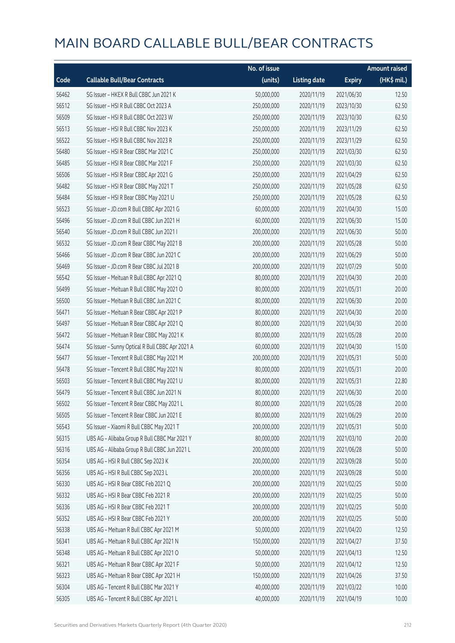|       |                                                  | No. of issue |                     |               | <b>Amount raised</b> |
|-------|--------------------------------------------------|--------------|---------------------|---------------|----------------------|
| Code  | <b>Callable Bull/Bear Contracts</b>              | (units)      | <b>Listing date</b> | <b>Expiry</b> | (HK\$ mil.)          |
| 56462 | SG Issuer - HKEX R Bull CBBC Jun 2021 K          | 50,000,000   | 2020/11/19          | 2021/06/30    | 12.50                |
| 56512 | SG Issuer - HSI R Bull CBBC Oct 2023 A           | 250,000,000  | 2020/11/19          | 2023/10/30    | 62.50                |
| 56509 | SG Issuer - HSI R Bull CBBC Oct 2023 W           | 250,000,000  | 2020/11/19          | 2023/10/30    | 62.50                |
| 56513 | SG Issuer - HSI R Bull CBBC Nov 2023 K           | 250,000,000  | 2020/11/19          | 2023/11/29    | 62.50                |
| 56522 | SG Issuer - HSI R Bull CBBC Nov 2023 R           | 250,000,000  | 2020/11/19          | 2023/11/29    | 62.50                |
| 56480 | SG Issuer - HSI R Bear CBBC Mar 2021 C           | 250,000,000  | 2020/11/19          | 2021/03/30    | 62.50                |
| 56485 | SG Issuer - HSI R Bear CBBC Mar 2021 F           | 250,000,000  | 2020/11/19          | 2021/03/30    | 62.50                |
| 56506 | SG Issuer - HSI R Bear CBBC Apr 2021 G           | 250,000,000  | 2020/11/19          | 2021/04/29    | 62.50                |
| 56482 | SG Issuer - HSI R Bear CBBC May 2021 T           | 250,000,000  | 2020/11/19          | 2021/05/28    | 62.50                |
| 56484 | SG Issuer - HSI R Bear CBBC May 2021 U           | 250,000,000  | 2020/11/19          | 2021/05/28    | 62.50                |
| 56523 | SG Issuer - JD.com R Bull CBBC Apr 2021 G        | 60,000,000   | 2020/11/19          | 2021/04/30    | 15.00                |
| 56496 | SG Issuer - JD.com R Bull CBBC Jun 2021 H        | 60,000,000   | 2020/11/19          | 2021/06/30    | 15.00                |
| 56540 | SG Issuer - JD.com R Bull CBBC Jun 2021 I        | 200,000,000  | 2020/11/19          | 2021/06/30    | 50.00                |
| 56532 | SG Issuer - JD.com R Bear CBBC May 2021 B        | 200,000,000  | 2020/11/19          | 2021/05/28    | 50.00                |
| 56466 | SG Issuer - JD.com R Bear CBBC Jun 2021 C        | 200,000,000  | 2020/11/19          | 2021/06/29    | 50.00                |
| 56469 | SG Issuer - JD.com R Bear CBBC Jul 2021 B        | 200,000,000  | 2020/11/19          | 2021/07/29    | 50.00                |
| 56542 | SG Issuer - Meituan R Bull CBBC Apr 2021 Q       | 80,000,000   | 2020/11/19          | 2021/04/30    | 20.00                |
| 56499 | SG Issuer - Meituan R Bull CBBC May 2021 O       | 80,000,000   | 2020/11/19          | 2021/05/31    | 20.00                |
| 56500 | SG Issuer - Meituan R Bull CBBC Jun 2021 C       | 80,000,000   | 2020/11/19          | 2021/06/30    | 20.00                |
| 56471 | SG Issuer - Meituan R Bear CBBC Apr 2021 P       | 80,000,000   | 2020/11/19          | 2021/04/30    | 20.00                |
| 56497 | SG Issuer - Meituan R Bear CBBC Apr 2021 Q       | 80,000,000   | 2020/11/19          | 2021/04/30    | 20.00                |
| 56472 | SG Issuer - Meituan R Bear CBBC May 2021 K       | 80,000,000   | 2020/11/19          | 2021/05/28    | 20.00                |
| 56474 | SG Issuer - Sunny Optical R Bull CBBC Apr 2021 A | 60,000,000   | 2020/11/19          | 2021/04/30    | 15.00                |
| 56477 | SG Issuer - Tencent R Bull CBBC May 2021 M       | 200,000,000  | 2020/11/19          | 2021/05/31    | 50.00                |
| 56478 | SG Issuer - Tencent R Bull CBBC May 2021 N       | 80,000,000   | 2020/11/19          | 2021/05/31    | 20.00                |
| 56503 | SG Issuer - Tencent R Bull CBBC May 2021 U       | 80,000,000   | 2020/11/19          | 2021/05/31    | 22.80                |
| 56479 | SG Issuer - Tencent R Bull CBBC Jun 2021 N       | 80,000,000   | 2020/11/19          | 2021/06/30    | 20.00                |
| 56502 | SG Issuer - Tencent R Bear CBBC May 2021 L       | 80,000,000   | 2020/11/19          | 2021/05/28    | 20.00                |
| 56505 | SG Issuer - Tencent R Bear CBBC Jun 2021 E       | 80,000,000   | 2020/11/19          | 2021/06/29    | 20.00                |
| 56543 | SG Issuer - Xiaomi R Bull CBBC May 2021 T        | 200,000,000  | 2020/11/19          | 2021/05/31    | 50.00                |
| 56315 | UBS AG - Alibaba Group R Bull CBBC Mar 2021 Y    | 80,000,000   | 2020/11/19          | 2021/03/10    | 20.00                |
| 56316 | UBS AG - Alibaba Group R Bull CBBC Jun 2021 L    | 200,000,000  | 2020/11/19          | 2021/06/28    | 50.00                |
| 56354 | UBS AG - HSI R Bull CBBC Sep 2023 K              | 200,000,000  | 2020/11/19          | 2023/09/28    | 50.00                |
| 56356 | UBS AG - HSI R Bull CBBC Sep 2023 L              | 200,000,000  | 2020/11/19          | 2023/09/28    | 50.00                |
| 56330 | UBS AG - HSI R Bear CBBC Feb 2021 Q              | 200,000,000  | 2020/11/19          | 2021/02/25    | 50.00                |
| 56332 | UBS AG - HSI R Bear CBBC Feb 2021 R              | 200,000,000  | 2020/11/19          | 2021/02/25    | 50.00                |
| 56336 | UBS AG - HSI R Bear CBBC Feb 2021 T              | 200,000,000  | 2020/11/19          | 2021/02/25    | 50.00                |
| 56352 | UBS AG - HSI R Bear CBBC Feb 2021 Y              | 200,000,000  | 2020/11/19          | 2021/02/25    | 50.00                |
| 56338 | UBS AG - Meituan R Bull CBBC Apr 2021 M          | 50,000,000   | 2020/11/19          | 2021/04/20    | 12.50                |
| 56341 | UBS AG - Meituan R Bull CBBC Apr 2021 N          | 150,000,000  | 2020/11/19          | 2021/04/27    | 37.50                |
| 56348 | UBS AG - Meituan R Bull CBBC Apr 2021 O          | 50,000,000   | 2020/11/19          | 2021/04/13    | 12.50                |
| 56321 | UBS AG - Meituan R Bear CBBC Apr 2021 F          | 50,000,000   | 2020/11/19          | 2021/04/12    | 12.50                |
| 56323 | UBS AG - Meituan R Bear CBBC Apr 2021 H          | 150,000,000  | 2020/11/19          | 2021/04/26    | 37.50                |
| 56304 | UBS AG - Tencent R Bull CBBC Mar 2021 Y          | 40,000,000   | 2020/11/19          | 2021/03/22    | 10.00                |
| 56305 | UBS AG - Tencent R Bull CBBC Apr 2021 L          | 40,000,000   | 2020/11/19          | 2021/04/19    | 10.00                |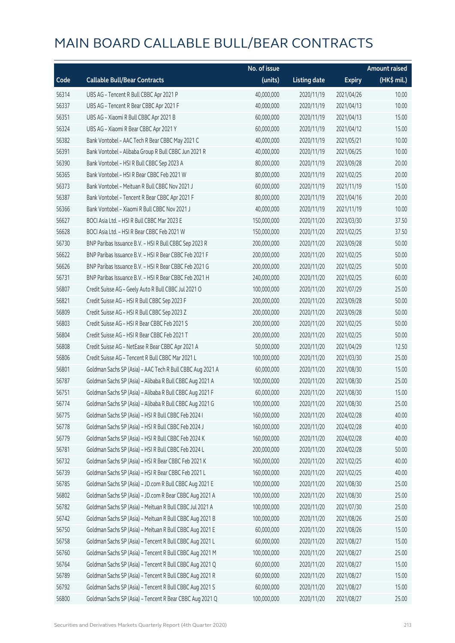|       |                                                           | No. of issue |                     |               | <b>Amount raised</b> |
|-------|-----------------------------------------------------------|--------------|---------------------|---------------|----------------------|
| Code  | <b>Callable Bull/Bear Contracts</b>                       | (units)      | <b>Listing date</b> | <b>Expiry</b> | (HK\$ mil.)          |
| 56314 | UBS AG - Tencent R Bull CBBC Apr 2021 P                   | 40,000,000   | 2020/11/19          | 2021/04/26    | 10.00                |
| 56337 | UBS AG - Tencent R Bear CBBC Apr 2021 F                   | 40,000,000   | 2020/11/19          | 2021/04/13    | 10.00                |
| 56351 | UBS AG - Xiaomi R Bull CBBC Apr 2021 B                    | 60,000,000   | 2020/11/19          | 2021/04/13    | 15.00                |
| 56324 | UBS AG - Xiaomi R Bear CBBC Apr 2021 Y                    | 60,000,000   | 2020/11/19          | 2021/04/12    | 15.00                |
| 56382 | Bank Vontobel - AAC Tech R Bear CBBC May 2021 C           | 40,000,000   | 2020/11/19          | 2021/05/21    | 10.00                |
| 56391 | Bank Vontobel - Alibaba Group R Bull CBBC Jun 2021 R      | 40,000,000   | 2020/11/19          | 2021/06/25    | 10.00                |
| 56390 | Bank Vontobel - HSI R Bull CBBC Sep 2023 A                | 80,000,000   | 2020/11/19          | 2023/09/28    | 20.00                |
| 56365 | Bank Vontobel - HSI R Bear CBBC Feb 2021 W                | 80,000,000   | 2020/11/19          | 2021/02/25    | 20.00                |
| 56373 | Bank Vontobel - Meituan R Bull CBBC Nov 2021 J            | 60,000,000   | 2020/11/19          | 2021/11/19    | 15.00                |
| 56387 | Bank Vontobel - Tencent R Bear CBBC Apr 2021 F            | 80,000,000   | 2020/11/19          | 2021/04/16    | 20.00                |
| 56366 | Bank Vontobel - Xiaomi R Bull CBBC Nov 2021 J             | 40,000,000   | 2020/11/19          | 2021/11/19    | 10.00                |
| 56627 | BOCI Asia Ltd. - HSI R Bull CBBC Mar 2023 E               | 150,000,000  | 2020/11/20          | 2023/03/30    | 37.50                |
| 56628 | BOCI Asia Ltd. - HSI R Bear CBBC Feb 2021 W               | 150,000,000  | 2020/11/20          | 2021/02/25    | 37.50                |
| 56730 | BNP Paribas Issuance B.V. - HSI R Bull CBBC Sep 2023 R    | 200,000,000  | 2020/11/20          | 2023/09/28    | 50.00                |
| 56622 | BNP Paribas Issuance B.V. - HSI R Bear CBBC Feb 2021 F    | 200,000,000  | 2020/11/20          | 2021/02/25    | 50.00                |
| 56626 | BNP Paribas Issuance B.V. - HSI R Bear CBBC Feb 2021 G    | 200,000,000  | 2020/11/20          | 2021/02/25    | 50.00                |
| 56731 | BNP Paribas Issuance B.V. - HSI R Bear CBBC Feb 2021 H    | 240,000,000  | 2020/11/20          | 2021/02/25    | 60.00                |
| 56807 | Credit Suisse AG - Geely Auto R Bull CBBC Jul 2021 O      | 100,000,000  | 2020/11/20          | 2021/07/29    | 25.00                |
| 56821 | Credit Suisse AG - HSI R Bull CBBC Sep 2023 F             | 200,000,000  | 2020/11/20          | 2023/09/28    | 50.00                |
| 56809 | Credit Suisse AG - HSI R Bull CBBC Sep 2023 Z             | 200,000,000  | 2020/11/20          | 2023/09/28    | 50.00                |
| 56803 | Credit Suisse AG - HSI R Bear CBBC Feb 2021 S             | 200,000,000  | 2020/11/20          | 2021/02/25    | 50.00                |
| 56804 | Credit Suisse AG - HSI R Bear CBBC Feb 2021 T             | 200,000,000  | 2020/11/20          | 2021/02/25    | 50.00                |
| 56808 | Credit Suisse AG - NetEase R Bear CBBC Apr 2021 A         | 50,000,000   | 2020/11/20          | 2021/04/29    | 12.50                |
| 56806 | Credit Suisse AG - Tencent R Bull CBBC Mar 2021 L         | 100,000,000  | 2020/11/20          | 2021/03/30    | 25.00                |
| 56801 | Goldman Sachs SP (Asia) - AAC Tech R Bull CBBC Aug 2021 A | 60,000,000   | 2020/11/20          | 2021/08/30    | 15.00                |
| 56787 | Goldman Sachs SP (Asia) - Alibaba R Bull CBBC Aug 2021 A  | 100,000,000  | 2020/11/20          | 2021/08/30    | 25.00                |
| 56751 | Goldman Sachs SP (Asia) - Alibaba R Bull CBBC Aug 2021 F  | 60,000,000   | 2020/11/20          | 2021/08/30    | 15.00                |
| 56774 | Goldman Sachs SP (Asia) - Alibaba R Bull CBBC Aug 2021 G  | 100,000,000  | 2020/11/20          | 2021/08/30    | 25.00                |
| 56775 | Goldman Sachs SP (Asia) - HSI R Bull CBBC Feb 2024 I      | 160,000,000  | 2020/11/20          | 2024/02/28    | 40.00                |
| 56778 | Goldman Sachs SP (Asia) - HSI R Bull CBBC Feb 2024 J      | 160,000,000  | 2020/11/20          | 2024/02/28    | 40.00                |
| 56779 | Goldman Sachs SP (Asia) - HSI R Bull CBBC Feb 2024 K      | 160,000,000  | 2020/11/20          | 2024/02/28    | 40.00                |
| 56781 | Goldman Sachs SP (Asia) - HSI R Bull CBBC Feb 2024 L      | 200,000,000  | 2020/11/20          | 2024/02/28    | 50.00                |
| 56732 | Goldman Sachs SP (Asia) - HSI R Bear CBBC Feb 2021 K      | 160,000,000  | 2020/11/20          | 2021/02/25    | 40.00                |
| 56739 | Goldman Sachs SP (Asia) - HSI R Bear CBBC Feb 2021 L      | 160,000,000  | 2020/11/20          | 2021/02/25    | 40.00                |
| 56785 | Goldman Sachs SP (Asia) - JD.com R Bull CBBC Aug 2021 E   | 100,000,000  | 2020/11/20          | 2021/08/30    | 25.00                |
| 56802 | Goldman Sachs SP (Asia) - JD.com R Bear CBBC Aug 2021 A   | 100,000,000  | 2020/11/20          | 2021/08/30    | 25.00                |
| 56782 | Goldman Sachs SP (Asia) - Meituan R Bull CBBC Jul 2021 A  | 100,000,000  | 2020/11/20          | 2021/07/30    | 25.00                |
| 56742 | Goldman Sachs SP (Asia) - Meituan R Bull CBBC Aug 2021 B  | 100,000,000  | 2020/11/20          | 2021/08/26    | 25.00                |
| 56750 | Goldman Sachs SP (Asia) - Meituan R Bull CBBC Aug 2021 E  | 60,000,000   | 2020/11/20          | 2021/08/26    | 15.00                |
| 56758 | Goldman Sachs SP (Asia) - Tencent R Bull CBBC Aug 2021 L  | 60,000,000   | 2020/11/20          | 2021/08/27    | 15.00                |
| 56760 | Goldman Sachs SP (Asia) - Tencent R Bull CBBC Aug 2021 M  | 100,000,000  | 2020/11/20          | 2021/08/27    | 25.00                |
| 56764 | Goldman Sachs SP (Asia) - Tencent R Bull CBBC Aug 2021 Q  | 60,000,000   | 2020/11/20          | 2021/08/27    | 15.00                |
| 56789 | Goldman Sachs SP (Asia) - Tencent R Bull CBBC Aug 2021 R  | 60,000,000   | 2020/11/20          | 2021/08/27    | 15.00                |
| 56792 | Goldman Sachs SP (Asia) - Tencent R Bull CBBC Aug 2021 S  | 60,000,000   | 2020/11/20          | 2021/08/27    | 15.00                |
| 56800 | Goldman Sachs SP (Asia) - Tencent R Bear CBBC Aug 2021 Q  | 100,000,000  | 2020/11/20          | 2021/08/27    | 25.00                |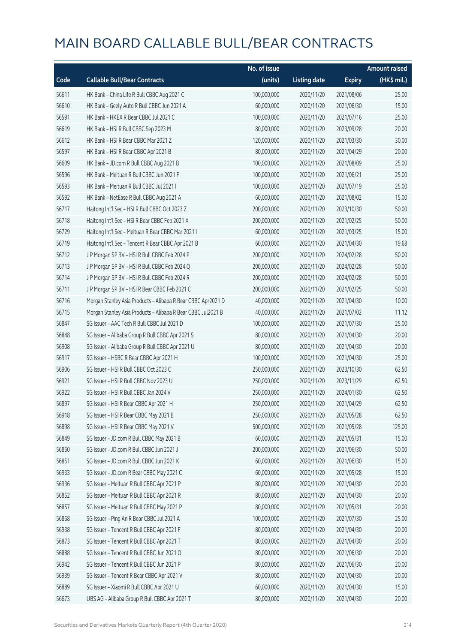|       |                                                              | No. of issue |                     |               | <b>Amount raised</b> |
|-------|--------------------------------------------------------------|--------------|---------------------|---------------|----------------------|
| Code  | <b>Callable Bull/Bear Contracts</b>                          | (units)      | <b>Listing date</b> | <b>Expiry</b> | (HK\$ mil.)          |
| 56611 | HK Bank - China Life R Bull CBBC Aug 2021 C                  | 100,000,000  | 2020/11/20          | 2021/08/06    | 25.00                |
| 56610 | HK Bank - Geely Auto R Bull CBBC Jun 2021 A                  | 60,000,000   | 2020/11/20          | 2021/06/30    | 15.00                |
| 56591 | HK Bank - HKEX R Bear CBBC Jul 2021 C                        | 100,000,000  | 2020/11/20          | 2021/07/16    | 25.00                |
| 56619 | HK Bank - HSI R Bull CBBC Sep 2023 M                         | 80,000,000   | 2020/11/20          | 2023/09/28    | 20.00                |
| 56612 | HK Bank - HSI R Bear CBBC Mar 2021 Z                         | 120,000,000  | 2020/11/20          | 2021/03/30    | 30.00                |
| 56597 | HK Bank - HSI R Bear CBBC Apr 2021 B                         | 80,000,000   | 2020/11/20          | 2021/04/29    | 20.00                |
| 56609 | HK Bank - JD.com R Bull CBBC Aug 2021 B                      | 100,000,000  | 2020/11/20          | 2021/08/09    | 25.00                |
| 56596 | HK Bank - Meituan R Bull CBBC Jun 2021 F                     | 100,000,000  | 2020/11/20          | 2021/06/21    | 25.00                |
| 56593 | HK Bank - Meituan R Bull CBBC Jul 2021 I                     | 100,000,000  | 2020/11/20          | 2021/07/19    | 25.00                |
| 56592 | HK Bank - NetEase R Bull CBBC Aug 2021 A                     | 60,000,000   | 2020/11/20          | 2021/08/02    | 15.00                |
| 56717 | Haitong Int'l Sec - HSI R Bull CBBC Oct 2023 Z               | 200,000,000  | 2020/11/20          | 2023/10/30    | 50.00                |
| 56718 | Haitong Int'l Sec - HSI R Bear CBBC Feb 2021 X               | 200,000,000  | 2020/11/20          | 2021/02/25    | 50.00                |
| 56729 | Haitong Int'l Sec - Meituan R Bear CBBC Mar 2021 I           | 60,000,000   | 2020/11/20          | 2021/03/25    | 15.00                |
| 56719 | Haitong Int'l Sec - Tencent R Bear CBBC Apr 2021 B           | 60,000,000   | 2020/11/20          | 2021/04/30    | 19.68                |
| 56712 | J P Morgan SP BV - HSI R Bull CBBC Feb 2024 P                | 200,000,000  | 2020/11/20          | 2024/02/28    | 50.00                |
| 56713 | J P Morgan SP BV - HSI R Bull CBBC Feb 2024 Q                | 200,000,000  | 2020/11/20          | 2024/02/28    | 50.00                |
| 56714 | J P Morgan SP BV - HSI R Bull CBBC Feb 2024 R                | 200,000,000  | 2020/11/20          | 2024/02/28    | 50.00                |
| 56711 | J P Morgan SP BV - HSI R Bear CBBC Feb 2021 C                | 200,000,000  | 2020/11/20          | 2021/02/25    | 50.00                |
| 56716 | Morgan Stanley Asia Products - Alibaba R Bear CBBC Apr2021 D | 40,000,000   | 2020/11/20          | 2021/04/30    | 10.00                |
| 56715 | Morgan Stanley Asia Products - Alibaba R Bear CBBC Jul2021 B | 40,000,000   | 2020/11/20          | 2021/07/02    | 11.12                |
| 56847 | SG Issuer - AAC Tech R Bull CBBC Jul 2021 D                  | 100,000,000  | 2020/11/20          | 2021/07/30    | 25.00                |
| 56848 | SG Issuer - Alibaba Group R Bull CBBC Apr 2021 S             | 80,000,000   | 2020/11/20          | 2021/04/30    | 20.00                |
| 56908 | SG Issuer - Alibaba Group R Bull CBBC Apr 2021 U             | 80,000,000   | 2020/11/20          | 2021/04/30    | 20.00                |
| 56917 | SG Issuer - HSBC R Bear CBBC Apr 2021 H                      | 100,000,000  | 2020/11/20          | 2021/04/30    | 25.00                |
| 56906 | SG Issuer - HSI R Bull CBBC Oct 2023 C                       | 250,000,000  | 2020/11/20          | 2023/10/30    | 62.50                |
| 56921 | SG Issuer - HSI R Bull CBBC Nov 2023 U                       | 250,000,000  | 2020/11/20          | 2023/11/29    | 62.50                |
| 56922 | SG Issuer - HSI R Bull CBBC Jan 2024 V                       | 250,000,000  | 2020/11/20          | 2024/01/30    | 62.50                |
| 56897 | SG Issuer - HSI R Bear CBBC Apr 2021 H                       | 250,000,000  | 2020/11/20          | 2021/04/29    | 62.50                |
| 56918 | SG Issuer - HSI R Bear CBBC May 2021 B                       | 250,000,000  | 2020/11/20          | 2021/05/28    | 62.50                |
| 56898 | SG Issuer - HSI R Bear CBBC May 2021 V                       | 500,000,000  | 2020/11/20          | 2021/05/28    | 125.00               |
| 56849 | SG Issuer - JD.com R Bull CBBC May 2021 B                    | 60,000,000   | 2020/11/20          | 2021/05/31    | 15.00                |
| 56850 | SG Issuer - JD.com R Bull CBBC Jun 2021 J                    | 200,000,000  | 2020/11/20          | 2021/06/30    | 50.00                |
| 56851 | SG Issuer - JD.com R Bull CBBC Jun 2021 K                    | 60,000,000   | 2020/11/20          | 2021/06/30    | 15.00                |
| 56933 | SG Issuer - JD.com R Bear CBBC May 2021 C                    | 60,000,000   | 2020/11/20          | 2021/05/28    | 15.00                |
| 56936 | SG Issuer - Meituan R Bull CBBC Apr 2021 P                   | 80,000,000   | 2020/11/20          | 2021/04/30    | 20.00                |
| 56852 | SG Issuer - Meituan R Bull CBBC Apr 2021 R                   | 80,000,000   | 2020/11/20          | 2021/04/30    | 20.00                |
| 56857 | SG Issuer - Meituan R Bull CBBC May 2021 P                   | 80,000,000   | 2020/11/20          | 2021/05/31    | 20.00                |
| 56868 | SG Issuer - Ping An R Bear CBBC Jul 2021 A                   | 100,000,000  | 2020/11/20          | 2021/07/30    | 25.00                |
| 56938 | SG Issuer - Tencent R Bull CBBC Apr 2021 F                   | 80,000,000   | 2020/11/20          | 2021/04/30    | 20.00                |
| 56873 | SG Issuer - Tencent R Bull CBBC Apr 2021 T                   | 80,000,000   | 2020/11/20          | 2021/04/30    | 20.00                |
| 56888 | SG Issuer - Tencent R Bull CBBC Jun 2021 O                   | 80,000,000   | 2020/11/20          | 2021/06/30    | 20.00                |
| 56942 | SG Issuer - Tencent R Bull CBBC Jun 2021 P                   | 80,000,000   | 2020/11/20          | 2021/06/30    | 20.00                |
| 56939 | SG Issuer - Tencent R Bear CBBC Apr 2021 V                   | 80,000,000   | 2020/11/20          | 2021/04/30    | 20.00                |
| 56889 | SG Issuer - Xiaomi R Bull CBBC Apr 2021 U                    | 60,000,000   | 2020/11/20          | 2021/04/30    | 15.00                |
| 56673 | UBS AG - Alibaba Group R Bull CBBC Apr 2021 T                | 80,000,000   | 2020/11/20          | 2021/04/30    | 20.00                |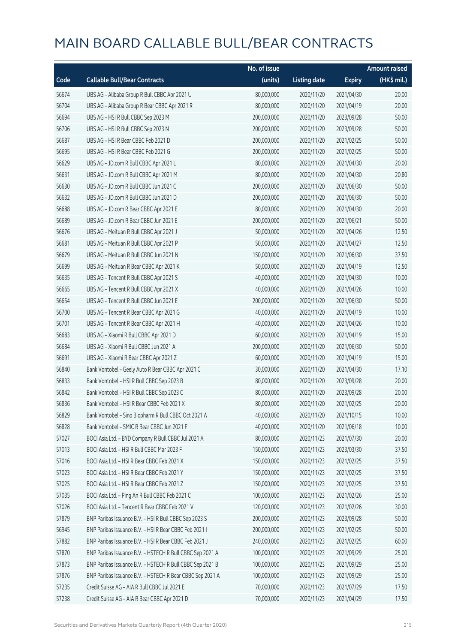|       |                                                           | No. of issue |                     |               | <b>Amount raised</b>  |
|-------|-----------------------------------------------------------|--------------|---------------------|---------------|-----------------------|
| Code  | <b>Callable Bull/Bear Contracts</b>                       | (units)      | <b>Listing date</b> | <b>Expiry</b> | $(HK\frac{1}{2}mil.)$ |
| 56674 | UBS AG - Alibaba Group R Bull CBBC Apr 2021 U             | 80,000,000   | 2020/11/20          | 2021/04/30    | 20.00                 |
| 56704 | UBS AG - Alibaba Group R Bear CBBC Apr 2021 R             | 80,000,000   | 2020/11/20          | 2021/04/19    | 20.00                 |
| 56694 | UBS AG - HSI R Bull CBBC Sep 2023 M                       | 200,000,000  | 2020/11/20          | 2023/09/28    | 50.00                 |
| 56706 | UBS AG - HSI R Bull CBBC Sep 2023 N                       | 200,000,000  | 2020/11/20          | 2023/09/28    | 50.00                 |
| 56687 | UBS AG - HSI R Bear CBBC Feb 2021 D                       | 200,000,000  | 2020/11/20          | 2021/02/25    | 50.00                 |
| 56695 | UBS AG - HSI R Bear CBBC Feb 2021 G                       | 200,000,000  | 2020/11/20          | 2021/02/25    | 50.00                 |
| 56629 | UBS AG - JD.com R Bull CBBC Apr 2021 L                    | 80,000,000   | 2020/11/20          | 2021/04/30    | 20.00                 |
| 56631 | UBS AG - JD.com R Bull CBBC Apr 2021 M                    | 80,000,000   | 2020/11/20          | 2021/04/30    | 20.80                 |
| 56630 | UBS AG - JD.com R Bull CBBC Jun 2021 C                    | 200,000,000  | 2020/11/20          | 2021/06/30    | 50.00                 |
| 56632 | UBS AG - JD.com R Bull CBBC Jun 2021 D                    | 200,000,000  | 2020/11/20          | 2021/06/30    | 50.00                 |
| 56688 | UBS AG - JD.com R Bear CBBC Apr 2021 E                    | 80,000,000   | 2020/11/20          | 2021/04/30    | 20.00                 |
| 56689 | UBS AG - JD.com R Bear CBBC Jun 2021 E                    | 200,000,000  | 2020/11/20          | 2021/06/21    | 50.00                 |
| 56676 | UBS AG - Meituan R Bull CBBC Apr 2021 J                   | 50,000,000   | 2020/11/20          | 2021/04/26    | 12.50                 |
| 56681 | UBS AG - Meituan R Bull CBBC Apr 2021 P                   | 50,000,000   | 2020/11/20          | 2021/04/27    | 12.50                 |
| 56679 | UBS AG - Meituan R Bull CBBC Jun 2021 N                   | 150,000,000  | 2020/11/20          | 2021/06/30    | 37.50                 |
| 56699 | UBS AG - Meituan R Bear CBBC Apr 2021 K                   | 50,000,000   | 2020/11/20          | 2021/04/19    | 12.50                 |
| 56635 | UBS AG - Tencent R Bull CBBC Apr 2021 S                   | 40,000,000   | 2020/11/20          | 2021/04/30    | 10.00                 |
| 56665 | UBS AG - Tencent R Bull CBBC Apr 2021 X                   | 40,000,000   | 2020/11/20          | 2021/04/26    | 10.00                 |
| 56654 | UBS AG - Tencent R Bull CBBC Jun 2021 E                   | 200,000,000  | 2020/11/20          | 2021/06/30    | 50.00                 |
| 56700 | UBS AG - Tencent R Bear CBBC Apr 2021 G                   | 40,000,000   | 2020/11/20          | 2021/04/19    | 10.00                 |
| 56701 | UBS AG - Tencent R Bear CBBC Apr 2021 H                   | 40,000,000   | 2020/11/20          | 2021/04/26    | 10.00                 |
| 56683 | UBS AG - Xiaomi R Bull CBBC Apr 2021 D                    | 60,000,000   | 2020/11/20          | 2021/04/19    | 15.00                 |
| 56684 | UBS AG - Xiaomi R Bull CBBC Jun 2021 A                    | 200,000,000  | 2020/11/20          | 2021/06/30    | 50.00                 |
| 56691 | UBS AG - Xiaomi R Bear CBBC Apr 2021 Z                    | 60,000,000   | 2020/11/20          | 2021/04/19    | 15.00                 |
| 56840 | Bank Vontobel - Geely Auto R Bear CBBC Apr 2021 C         | 30,000,000   | 2020/11/20          | 2021/04/30    | 17.10                 |
| 56833 | Bank Vontobel - HSI R Bull CBBC Sep 2023 B                | 80,000,000   | 2020/11/20          | 2023/09/28    | 20.00                 |
| 56842 | Bank Vontobel - HSI R Bull CBBC Sep 2023 C                | 80,000,000   | 2020/11/20          | 2023/09/28    | 20.00                 |
| 56836 | Bank Vontobel - HSI R Bear CBBC Feb 2021 X                | 80,000,000   | 2020/11/20          | 2021/02/25    | 20.00                 |
| 56829 | Bank Vontobel - Sino Biopharm R Bull CBBC Oct 2021 A      | 40,000,000   | 2020/11/20          | 2021/10/15    | 10.00                 |
| 56828 | Bank Vontobel - SMIC R Bear CBBC Jun 2021 F               | 40,000,000   | 2020/11/20          | 2021/06/18    | 10.00                 |
| 57027 | BOCI Asia Ltd. - BYD Company R Bull CBBC Jul 2021 A       | 80,000,000   | 2020/11/23          | 2021/07/30    | 20.00                 |
| 57013 | BOCI Asia Ltd. - HSI R Bull CBBC Mar 2023 F               | 150,000,000  | 2020/11/23          | 2023/03/30    | 37.50                 |
| 57016 | BOCI Asia Ltd. - HSI R Bear CBBC Feb 2021 X               | 150,000,000  | 2020/11/23          | 2021/02/25    | 37.50                 |
| 57023 | BOCI Asia Ltd. - HSI R Bear CBBC Feb 2021 Y               | 150,000,000  | 2020/11/23          | 2021/02/25    | 37.50                 |
| 57025 | BOCI Asia Ltd. - HSI R Bear CBBC Feb 2021 Z               | 150,000,000  | 2020/11/23          | 2021/02/25    | 37.50                 |
| 57035 | BOCI Asia Ltd. - Ping An R Bull CBBC Feb 2021 C           | 100,000,000  | 2020/11/23          | 2021/02/26    | 25.00                 |
| 57026 | BOCI Asia Ltd. - Tencent R Bear CBBC Feb 2021 V           | 120,000,000  | 2020/11/23          | 2021/02/26    | 30.00                 |
| 57879 | BNP Paribas Issuance B.V. - HSI R Bull CBBC Sep 2023 S    | 200,000,000  | 2020/11/23          | 2023/09/28    | 50.00                 |
| 56945 | BNP Paribas Issuance B.V. - HSI R Bear CBBC Feb 2021 I    | 200,000,000  | 2020/11/23          | 2021/02/25    | 50.00                 |
| 57882 | BNP Paribas Issuance B.V. - HSI R Bear CBBC Feb 2021 J    | 240,000,000  | 2020/11/23          | 2021/02/25    | 60.00                 |
| 57870 | BNP Paribas Issuance B.V. - HSTECH R Bull CBBC Sep 2021 A | 100,000,000  | 2020/11/23          | 2021/09/29    | 25.00                 |
| 57873 | BNP Paribas Issuance B.V. - HSTECH R Bull CBBC Sep 2021 B | 100,000,000  | 2020/11/23          | 2021/09/29    | 25.00                 |
| 57876 | BNP Paribas Issuance B.V. - HSTECH R Bear CBBC Sep 2021 A | 100,000,000  | 2020/11/23          | 2021/09/29    | 25.00                 |
| 57235 | Credit Suisse AG - AIA R Bull CBBC Jul 2021 E             | 70,000,000   | 2020/11/23          | 2021/07/29    | 17.50                 |
| 57238 | Credit Suisse AG - AIA R Bear CBBC Apr 2021 D             | 70,000,000   | 2020/11/23          | 2021/04/29    | 17.50                 |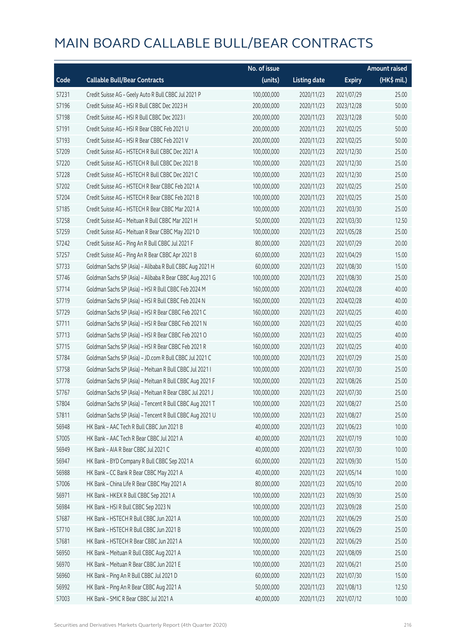|       |                                                          | No. of issue |                     |               | <b>Amount raised</b> |
|-------|----------------------------------------------------------|--------------|---------------------|---------------|----------------------|
| Code  | <b>Callable Bull/Bear Contracts</b>                      | (units)      | <b>Listing date</b> | <b>Expiry</b> | (HK\$ mil.)          |
| 57231 | Credit Suisse AG - Geely Auto R Bull CBBC Jul 2021 P     | 100,000,000  | 2020/11/23          | 2021/07/29    | 25.00                |
| 57196 | Credit Suisse AG - HSI R Bull CBBC Dec 2023 H            | 200,000,000  | 2020/11/23          | 2023/12/28    | 50.00                |
| 57198 | Credit Suisse AG - HSI R Bull CBBC Dec 2023 I            | 200,000,000  | 2020/11/23          | 2023/12/28    | 50.00                |
| 57191 | Credit Suisse AG - HSI R Bear CBBC Feb 2021 U            | 200,000,000  | 2020/11/23          | 2021/02/25    | 50.00                |
| 57193 | Credit Suisse AG - HSI R Bear CBBC Feb 2021 V            | 200,000,000  | 2020/11/23          | 2021/02/25    | 50.00                |
| 57209 | Credit Suisse AG - HSTECH R Bull CBBC Dec 2021 A         | 100,000,000  | 2020/11/23          | 2021/12/30    | 25.00                |
| 57220 | Credit Suisse AG - HSTECH R Bull CBBC Dec 2021 B         | 100,000,000  | 2020/11/23          | 2021/12/30    | 25.00                |
| 57228 | Credit Suisse AG - HSTECH R Bull CBBC Dec 2021 C         | 100,000,000  | 2020/11/23          | 2021/12/30    | 25.00                |
| 57202 | Credit Suisse AG - HSTECH R Bear CBBC Feb 2021 A         | 100,000,000  | 2020/11/23          | 2021/02/25    | 25.00                |
| 57204 | Credit Suisse AG - HSTECH R Bear CBBC Feb 2021 B         | 100,000,000  | 2020/11/23          | 2021/02/25    | 25.00                |
| 57185 | Credit Suisse AG - HSTECH R Bear CBBC Mar 2021 A         | 100,000,000  | 2020/11/23          | 2021/03/30    | 25.00                |
| 57258 | Credit Suisse AG - Meituan R Bull CBBC Mar 2021 H        | 50,000,000   | 2020/11/23          | 2021/03/30    | 12.50                |
| 57259 | Credit Suisse AG - Meituan R Bear CBBC May 2021 D        | 100,000,000  | 2020/11/23          | 2021/05/28    | 25.00                |
| 57242 | Credit Suisse AG - Ping An R Bull CBBC Jul 2021 F        | 80,000,000   | 2020/11/23          | 2021/07/29    | 20.00                |
| 57257 | Credit Suisse AG - Ping An R Bear CBBC Apr 2021 B        | 60,000,000   | 2020/11/23          | 2021/04/29    | 15.00                |
| 57733 | Goldman Sachs SP (Asia) - Alibaba R Bull CBBC Aug 2021 H | 60,000,000   | 2020/11/23          | 2021/08/30    | 15.00                |
| 57746 | Goldman Sachs SP (Asia) - Alibaba R Bear CBBC Aug 2021 G | 100,000,000  | 2020/11/23          | 2021/08/30    | 25.00                |
| 57714 | Goldman Sachs SP (Asia) - HSI R Bull CBBC Feb 2024 M     | 160,000,000  | 2020/11/23          | 2024/02/28    | 40.00                |
| 57719 | Goldman Sachs SP (Asia) - HSI R Bull CBBC Feb 2024 N     | 160,000,000  | 2020/11/23          | 2024/02/28    | 40.00                |
| 57729 | Goldman Sachs SP (Asia) - HSI R Bear CBBC Feb 2021 C     | 160,000,000  | 2020/11/23          | 2021/02/25    | 40.00                |
| 57711 | Goldman Sachs SP (Asia) - HSI R Bear CBBC Feb 2021 N     | 160,000,000  | 2020/11/23          | 2021/02/25    | 40.00                |
| 57713 | Goldman Sachs SP (Asia) - HSI R Bear CBBC Feb 2021 O     | 160,000,000  | 2020/11/23          | 2021/02/25    | 40.00                |
| 57715 | Goldman Sachs SP (Asia) - HSI R Bear CBBC Feb 2021 R     | 160,000,000  | 2020/11/23          | 2021/02/25    | 40.00                |
| 57784 | Goldman Sachs SP (Asia) - JD.com R Bull CBBC Jul 2021 C  | 100,000,000  | 2020/11/23          | 2021/07/29    | 25.00                |
| 57758 | Goldman Sachs SP (Asia) - Meituan R Bull CBBC Jul 2021 I | 100,000,000  | 2020/11/23          | 2021/07/30    | 25.00                |
| 57778 | Goldman Sachs SP (Asia) - Meituan R Bull CBBC Aug 2021 F | 100,000,000  | 2020/11/23          | 2021/08/26    | 25.00                |
| 57767 | Goldman Sachs SP (Asia) - Meituan R Bear CBBC Jul 2021 J | 100,000,000  | 2020/11/23          | 2021/07/30    | 25.00                |
| 57804 | Goldman Sachs SP (Asia) - Tencent R Bull CBBC Aug 2021 T | 100,000,000  | 2020/11/23          | 2021/08/27    | 25.00                |
| 57811 | Goldman Sachs SP (Asia) - Tencent R Bull CBBC Aug 2021 U | 100,000,000  | 2020/11/23          | 2021/08/27    | 25.00                |
| 56948 | HK Bank - AAC Tech R Bull CBBC Jun 2021 B                | 40,000,000   | 2020/11/23          | 2021/06/23    | 10.00                |
| 57005 | HK Bank - AAC Tech R Bear CBBC Jul 2021 A                | 40,000,000   | 2020/11/23          | 2021/07/19    | 10.00                |
| 56949 | HK Bank - AIA R Bear CBBC Jul 2021 C                     | 40,000,000   | 2020/11/23          | 2021/07/30    | 10.00                |
| 56947 | HK Bank - BYD Company R Bull CBBC Sep 2021 A             | 60,000,000   | 2020/11/23          | 2021/09/30    | 15.00                |
| 56988 | HK Bank - CC Bank R Bear CBBC May 2021 A                 | 40,000,000   | 2020/11/23          | 2021/05/14    | 10.00                |
| 57006 | HK Bank - China Life R Bear CBBC May 2021 A              | 80,000,000   | 2020/11/23          | 2021/05/10    | 20.00                |
| 56971 | HK Bank - HKEX R Bull CBBC Sep 2021 A                    | 100,000,000  | 2020/11/23          | 2021/09/30    | 25.00                |
| 56984 | HK Bank - HSI R Bull CBBC Sep 2023 N                     | 100,000,000  | 2020/11/23          | 2023/09/28    | 25.00                |
| 57687 | HK Bank - HSTECH R Bull CBBC Jun 2021 A                  | 100,000,000  | 2020/11/23          | 2021/06/29    | 25.00                |
| 57710 | HK Bank - HSTECH R Bull CBBC Jun 2021 B                  | 100,000,000  | 2020/11/23          | 2021/06/29    | 25.00                |
| 57681 | HK Bank - HSTECH R Bear CBBC Jun 2021 A                  | 100,000,000  | 2020/11/23          | 2021/06/29    | 25.00                |
| 56950 | HK Bank - Meituan R Bull CBBC Aug 2021 A                 | 100,000,000  | 2020/11/23          | 2021/08/09    | 25.00                |
| 56970 | HK Bank - Meituan R Bear CBBC Jun 2021 E                 | 100,000,000  | 2020/11/23          | 2021/06/21    | 25.00                |
| 56960 | HK Bank - Ping An R Bull CBBC Jul 2021 D                 | 60,000,000   | 2020/11/23          | 2021/07/30    | 15.00                |
| 56992 | HK Bank - Ping An R Bear CBBC Aug 2021 A                 | 50,000,000   | 2020/11/23          | 2021/08/13    | 12.50                |
| 57003 | HK Bank - SMIC R Bear CBBC Jul 2021 A                    | 40,000,000   | 2020/11/23          | 2021/07/12    | 10.00                |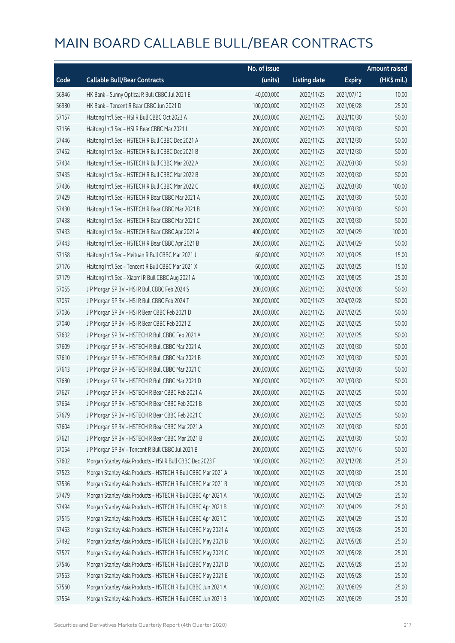|       |                                                              | No. of issue |                     |               | <b>Amount raised</b> |
|-------|--------------------------------------------------------------|--------------|---------------------|---------------|----------------------|
| Code  | <b>Callable Bull/Bear Contracts</b>                          | (units)      | <b>Listing date</b> | <b>Expiry</b> | (HK\$ mil.)          |
| 56946 | HK Bank - Sunny Optical R Bull CBBC Jul 2021 E               | 40,000,000   | 2020/11/23          | 2021/07/12    | 10.00                |
| 56980 | HK Bank - Tencent R Bear CBBC Jun 2021 D                     | 100,000,000  | 2020/11/23          | 2021/06/28    | 25.00                |
| 57157 | Haitong Int'l Sec - HSI R Bull CBBC Oct 2023 A               | 200,000,000  | 2020/11/23          | 2023/10/30    | 50.00                |
| 57156 | Haitong Int'l Sec - HSI R Bear CBBC Mar 2021 L               | 200,000,000  | 2020/11/23          | 2021/03/30    | 50.00                |
| 57446 | Haitong Int'l Sec - HSTECH R Bull CBBC Dec 2021 A            | 200,000,000  | 2020/11/23          | 2021/12/30    | 50.00                |
| 57452 | Haitong Int'l Sec - HSTECH R Bull CBBC Dec 2021 B            | 200,000,000  | 2020/11/23          | 2021/12/30    | 50.00                |
| 57434 | Haitong Int'l Sec - HSTECH R Bull CBBC Mar 2022 A            | 200,000,000  | 2020/11/23          | 2022/03/30    | 50.00                |
| 57435 | Haitong Int'l Sec - HSTECH R Bull CBBC Mar 2022 B            | 200,000,000  | 2020/11/23          | 2022/03/30    | 50.00                |
| 57436 | Haitong Int'l Sec - HSTECH R Bull CBBC Mar 2022 C            | 400,000,000  | 2020/11/23          | 2022/03/30    | 100.00               |
| 57429 | Haitong Int'l Sec - HSTECH R Bear CBBC Mar 2021 A            | 200,000,000  | 2020/11/23          | 2021/03/30    | 50.00                |
| 57430 | Haitong Int'l Sec - HSTECH R Bear CBBC Mar 2021 B            | 200,000,000  | 2020/11/23          | 2021/03/30    | 50.00                |
| 57438 | Haitong Int'l Sec - HSTECH R Bear CBBC Mar 2021 C            | 200,000,000  | 2020/11/23          | 2021/03/30    | 50.00                |
| 57433 | Haitong Int'l Sec - HSTECH R Bear CBBC Apr 2021 A            | 400,000,000  | 2020/11/23          | 2021/04/29    | 100.00               |
| 57443 | Haitong Int'l Sec - HSTECH R Bear CBBC Apr 2021 B            | 200,000,000  | 2020/11/23          | 2021/04/29    | 50.00                |
| 57158 | Haitong Int'l Sec - Meituan R Bull CBBC Mar 2021 J           | 60,000,000   | 2020/11/23          | 2021/03/25    | 15.00                |
| 57176 | Haitong Int'l Sec - Tencent R Bull CBBC Mar 2021 X           | 60,000,000   | 2020/11/23          | 2021/03/25    | 15.00                |
| 57179 | Haitong Int'l Sec - Xiaomi R Bull CBBC Aug 2021 A            | 100,000,000  | 2020/11/23          | 2021/08/25    | 25.00                |
| 57055 | J P Morgan SP BV - HSI R Bull CBBC Feb 2024 S                | 200,000,000  | 2020/11/23          | 2024/02/28    | 50.00                |
| 57057 | J P Morgan SP BV - HSI R Bull CBBC Feb 2024 T                | 200,000,000  | 2020/11/23          | 2024/02/28    | 50.00                |
| 57036 | J P Morgan SP BV - HSI R Bear CBBC Feb 2021 D                | 200,000,000  | 2020/11/23          | 2021/02/25    | 50.00                |
| 57040 | J P Morgan SP BV - HSI R Bear CBBC Feb 2021 Z                | 200,000,000  | 2020/11/23          | 2021/02/25    | 50.00                |
| 57632 | J P Morgan SP BV - HSTECH R Bull CBBC Feb 2021 A             | 200,000,000  | 2020/11/23          | 2021/02/25    | 50.00                |
| 57609 | J P Morgan SP BV - HSTECH R Bull CBBC Mar 2021 A             | 200,000,000  | 2020/11/23          | 2021/03/30    | 50.00                |
| 57610 | J P Morgan SP BV - HSTECH R Bull CBBC Mar 2021 B             | 200,000,000  | 2020/11/23          | 2021/03/30    | 50.00                |
| 57613 | J P Morgan SP BV - HSTECH R Bull CBBC Mar 2021 C             | 200,000,000  | 2020/11/23          | 2021/03/30    | 50.00                |
| 57680 | J P Morgan SP BV - HSTECH R Bull CBBC Mar 2021 D             | 200,000,000  | 2020/11/23          | 2021/03/30    | 50.00                |
| 57627 | J P Morgan SP BV - HSTECH R Bear CBBC Feb 2021 A             | 200,000,000  | 2020/11/23          | 2021/02/25    | 50.00                |
| 57664 | J P Morgan SP BV - HSTECH R Bear CBBC Feb 2021 B             | 200,000,000  | 2020/11/23          | 2021/02/25    | 50.00                |
| 57679 | J P Morgan SP BV - HSTECH R Bear CBBC Feb 2021 C             | 200,000,000  | 2020/11/23          | 2021/02/25    | 50.00                |
| 57604 | J P Morgan SP BV - HSTECH R Bear CBBC Mar 2021 A             | 200,000,000  | 2020/11/23          | 2021/03/30    | 50.00                |
| 57621 | J P Morgan SP BV - HSTECH R Bear CBBC Mar 2021 B             | 200,000,000  | 2020/11/23          | 2021/03/30    | 50.00                |
| 57064 | J P Morgan SP BV - Tencent R Bull CBBC Jul 2021 B            | 200,000,000  | 2020/11/23          | 2021/07/16    | 50.00                |
| 57602 | Morgan Stanley Asia Products - HSI R Bull CBBC Dec 2023 F    | 100,000,000  | 2020/11/23          | 2023/12/28    | 25.00                |
| 57523 | Morgan Stanley Asia Products - HSTECH R Bull CBBC Mar 2021 A | 100,000,000  | 2020/11/23          | 2021/03/30    | 25.00                |
| 57536 | Morgan Stanley Asia Products - HSTECH R Bull CBBC Mar 2021 B | 100,000,000  | 2020/11/23          | 2021/03/30    | 25.00                |
| 57479 | Morgan Stanley Asia Products - HSTECH R Bull CBBC Apr 2021 A | 100,000,000  | 2020/11/23          | 2021/04/29    | 25.00                |
| 57494 | Morgan Stanley Asia Products - HSTECH R Bull CBBC Apr 2021 B | 100,000,000  | 2020/11/23          | 2021/04/29    | 25.00                |
| 57515 | Morgan Stanley Asia Products - HSTECH R Bull CBBC Apr 2021 C | 100,000,000  | 2020/11/23          | 2021/04/29    | 25.00                |
| 57463 | Morgan Stanley Asia Products - HSTECH R Bull CBBC May 2021 A | 100,000,000  | 2020/11/23          | 2021/05/28    | 25.00                |
| 57492 | Morgan Stanley Asia Products - HSTECH R Bull CBBC May 2021 B | 100,000,000  | 2020/11/23          | 2021/05/28    | 25.00                |
| 57527 | Morgan Stanley Asia Products - HSTECH R Bull CBBC May 2021 C | 100,000,000  | 2020/11/23          | 2021/05/28    | 25.00                |
| 57546 | Morgan Stanley Asia Products - HSTECH R Bull CBBC May 2021 D | 100,000,000  | 2020/11/23          | 2021/05/28    | 25.00                |
| 57563 | Morgan Stanley Asia Products - HSTECH R Bull CBBC May 2021 E | 100,000,000  | 2020/11/23          | 2021/05/28    | 25.00                |
| 57560 | Morgan Stanley Asia Products - HSTECH R Bull CBBC Jun 2021 A | 100,000,000  | 2020/11/23          | 2021/06/29    | 25.00                |
| 57564 | Morgan Stanley Asia Products - HSTECH R Bull CBBC Jun 2021 B | 100,000,000  | 2020/11/23          | 2021/06/29    | 25.00                |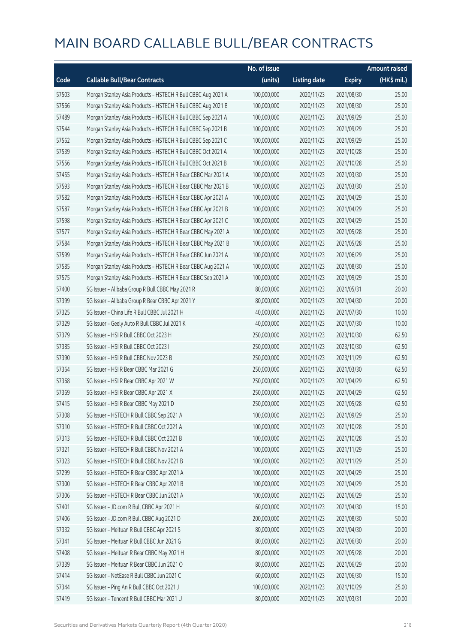|       |                                                              | No. of issue |                     |               | <b>Amount raised</b> |
|-------|--------------------------------------------------------------|--------------|---------------------|---------------|----------------------|
| Code  | <b>Callable Bull/Bear Contracts</b>                          | (units)      | <b>Listing date</b> | <b>Expiry</b> | $(HK\$ mil.)         |
| 57503 | Morgan Stanley Asia Products - HSTECH R Bull CBBC Aug 2021 A | 100,000,000  | 2020/11/23          | 2021/08/30    | 25.00                |
| 57566 | Morgan Stanley Asia Products - HSTECH R Bull CBBC Aug 2021 B | 100,000,000  | 2020/11/23          | 2021/08/30    | 25.00                |
| 57489 | Morgan Stanley Asia Products - HSTECH R Bull CBBC Sep 2021 A | 100,000,000  | 2020/11/23          | 2021/09/29    | 25.00                |
| 57544 | Morgan Stanley Asia Products - HSTECH R Bull CBBC Sep 2021 B | 100,000,000  | 2020/11/23          | 2021/09/29    | 25.00                |
| 57562 | Morgan Stanley Asia Products - HSTECH R Bull CBBC Sep 2021 C | 100,000,000  | 2020/11/23          | 2021/09/29    | 25.00                |
| 57539 | Morgan Stanley Asia Products - HSTECH R Bull CBBC Oct 2021 A | 100,000,000  | 2020/11/23          | 2021/10/28    | 25.00                |
| 57556 | Morgan Stanley Asia Products - HSTECH R Bull CBBC Oct 2021 B | 100,000,000  | 2020/11/23          | 2021/10/28    | 25.00                |
| 57455 | Morgan Stanley Asia Products - HSTECH R Bear CBBC Mar 2021 A | 100,000,000  | 2020/11/23          | 2021/03/30    | 25.00                |
| 57593 | Morgan Stanley Asia Products - HSTECH R Bear CBBC Mar 2021 B | 100,000,000  | 2020/11/23          | 2021/03/30    | 25.00                |
| 57582 | Morgan Stanley Asia Products - HSTECH R Bear CBBC Apr 2021 A | 100,000,000  | 2020/11/23          | 2021/04/29    | 25.00                |
| 57587 | Morgan Stanley Asia Products - HSTECH R Bear CBBC Apr 2021 B | 100,000,000  | 2020/11/23          | 2021/04/29    | 25.00                |
| 57598 | Morgan Stanley Asia Products - HSTECH R Bear CBBC Apr 2021 C | 100,000,000  | 2020/11/23          | 2021/04/29    | 25.00                |
| 57577 | Morgan Stanley Asia Products - HSTECH R Bear CBBC May 2021 A | 100,000,000  | 2020/11/23          | 2021/05/28    | 25.00                |
| 57584 | Morgan Stanley Asia Products - HSTECH R Bear CBBC May 2021 B | 100,000,000  | 2020/11/23          | 2021/05/28    | 25.00                |
| 57599 | Morgan Stanley Asia Products - HSTECH R Bear CBBC Jun 2021 A | 100,000,000  | 2020/11/23          | 2021/06/29    | 25.00                |
| 57585 | Morgan Stanley Asia Products - HSTECH R Bear CBBC Aug 2021 A | 100,000,000  | 2020/11/23          | 2021/08/30    | 25.00                |
| 57575 | Morgan Stanley Asia Products - HSTECH R Bear CBBC Sep 2021 A | 100,000,000  | 2020/11/23          | 2021/09/29    | 25.00                |
| 57400 | SG Issuer - Alibaba Group R Bull CBBC May 2021 R             | 80,000,000   | 2020/11/23          | 2021/05/31    | 20.00                |
| 57399 | SG Issuer - Alibaba Group R Bear CBBC Apr 2021 Y             | 80,000,000   | 2020/11/23          | 2021/04/30    | 20.00                |
| 57325 | SG Issuer - China Life R Bull CBBC Jul 2021 H                | 40,000,000   | 2020/11/23          | 2021/07/30    | 10.00                |
| 57329 | SG Issuer - Geely Auto R Bull CBBC Jul 2021 K                | 40,000,000   | 2020/11/23          | 2021/07/30    | 10.00                |
| 57379 | SG Issuer - HSI R Bull CBBC Oct 2023 H                       | 250,000,000  | 2020/11/23          | 2023/10/30    | 62.50                |
| 57385 | SG Issuer - HSI R Bull CBBC Oct 2023 I                       | 250,000,000  | 2020/11/23          | 2023/10/30    | 62.50                |
| 57390 | SG Issuer - HSI R Bull CBBC Nov 2023 B                       | 250,000,000  | 2020/11/23          | 2023/11/29    | 62.50                |
| 57364 | SG Issuer - HSI R Bear CBBC Mar 2021 G                       | 250,000,000  | 2020/11/23          | 2021/03/30    | 62.50                |
| 57368 | SG Issuer - HSI R Bear CBBC Apr 2021 W                       | 250,000,000  | 2020/11/23          | 2021/04/29    | 62.50                |
| 57369 | SG Issuer - HSI R Bear CBBC Apr 2021 X                       | 250,000,000  | 2020/11/23          | 2021/04/29    | 62.50                |
| 57415 | SG Issuer - HSI R Bear CBBC May 2021 D                       | 250,000,000  | 2020/11/23          | 2021/05/28    | 62.50                |
| 57308 | SG Issuer - HSTECH R Bull CBBC Sep 2021 A                    | 100,000,000  | 2020/11/23          | 2021/09/29    | 25.00                |
| 57310 | SG Issuer - HSTECH R Bull CBBC Oct 2021 A                    | 100,000,000  | 2020/11/23          | 2021/10/28    | 25.00                |
| 57313 | SG Issuer - HSTECH R Bull CBBC Oct 2021 B                    | 100,000,000  | 2020/11/23          | 2021/10/28    | 25.00                |
| 57321 | SG Issuer - HSTECH R Bull CBBC Nov 2021 A                    | 100,000,000  | 2020/11/23          | 2021/11/29    | 25.00                |
| 57323 | SG Issuer - HSTECH R Bull CBBC Nov 2021 B                    | 100,000,000  | 2020/11/23          | 2021/11/29    | 25.00                |
| 57299 | SG Issuer - HSTECH R Bear CBBC Apr 2021 A                    | 100,000,000  | 2020/11/23          | 2021/04/29    | 25.00                |
| 57300 | SG Issuer - HSTECH R Bear CBBC Apr 2021 B                    | 100,000,000  | 2020/11/23          | 2021/04/29    | 25.00                |
| 57306 | SG Issuer - HSTECH R Bear CBBC Jun 2021 A                    | 100,000,000  | 2020/11/23          | 2021/06/29    | 25.00                |
| 57401 | SG Issuer - JD.com R Bull CBBC Apr 2021 H                    | 60,000,000   | 2020/11/23          | 2021/04/30    | 15.00                |
| 57406 | SG Issuer - JD.com R Bull CBBC Aug 2021 D                    | 200,000,000  | 2020/11/23          | 2021/08/30    | 50.00                |
| 57332 | SG Issuer - Meituan R Bull CBBC Apr 2021 S                   | 80,000,000   | 2020/11/23          | 2021/04/30    | 20.00                |
| 57341 | SG Issuer - Meituan R Bull CBBC Jun 2021 G                   | 80,000,000   | 2020/11/23          | 2021/06/30    | 20.00                |
| 57408 | SG Issuer - Meituan R Bear CBBC May 2021 H                   | 80,000,000   | 2020/11/23          | 2021/05/28    | 20.00                |
| 57339 | SG Issuer - Meituan R Bear CBBC Jun 2021 O                   | 80,000,000   | 2020/11/23          | 2021/06/29    | 20.00                |
| 57414 | SG Issuer - NetEase R Bull CBBC Jun 2021 C                   | 60,000,000   | 2020/11/23          | 2021/06/30    | 15.00                |
| 57344 | SG Issuer - Ping An R Bull CBBC Oct 2021 J                   | 100,000,000  | 2020/11/23          | 2021/10/29    | 25.00                |
| 57419 | SG Issuer - Tencent R Bull CBBC Mar 2021 U                   | 80,000,000   | 2020/11/23          | 2021/03/31    | 20.00                |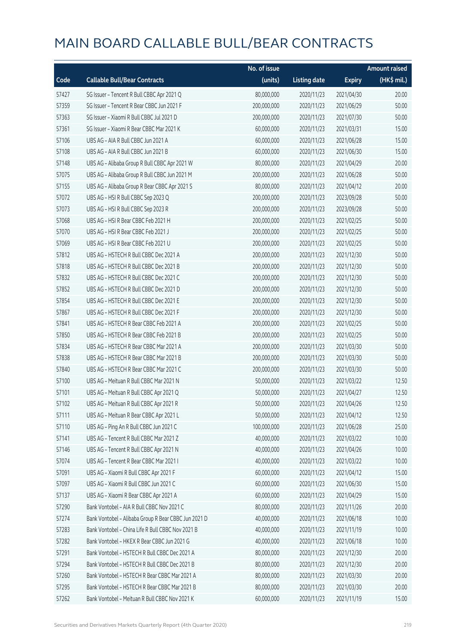|       |                                                      | No. of issue |                     |               | <b>Amount raised</b> |
|-------|------------------------------------------------------|--------------|---------------------|---------------|----------------------|
| Code  | <b>Callable Bull/Bear Contracts</b>                  | (units)      | <b>Listing date</b> | <b>Expiry</b> | (HK\$ mil.)          |
| 57427 | SG Issuer - Tencent R Bull CBBC Apr 2021 Q           | 80,000,000   | 2020/11/23          | 2021/04/30    | 20.00                |
| 57359 | SG Issuer - Tencent R Bear CBBC Jun 2021 F           | 200,000,000  | 2020/11/23          | 2021/06/29    | 50.00                |
| 57363 | SG Issuer - Xiaomi R Bull CBBC Jul 2021 D            | 200,000,000  | 2020/11/23          | 2021/07/30    | 50.00                |
| 57361 | SG Issuer - Xiaomi R Bear CBBC Mar 2021 K            | 60,000,000   | 2020/11/23          | 2021/03/31    | 15.00                |
| 57106 | UBS AG - AIA R Bull CBBC Jun 2021 A                  | 60,000,000   | 2020/11/23          | 2021/06/28    | 15.00                |
| 57108 | UBS AG - AIA R Bull CBBC Jun 2021 B                  | 60,000,000   | 2020/11/23          | 2021/06/30    | 15.00                |
| 57148 | UBS AG - Alibaba Group R Bull CBBC Apr 2021 W        | 80,000,000   | 2020/11/23          | 2021/04/29    | 20.00                |
| 57075 | UBS AG - Alibaba Group R Bull CBBC Jun 2021 M        | 200,000,000  | 2020/11/23          | 2021/06/28    | 50.00                |
| 57155 | UBS AG - Alibaba Group R Bear CBBC Apr 2021 S        | 80,000,000   | 2020/11/23          | 2021/04/12    | 20.00                |
| 57072 | UBS AG - HSI R Bull CBBC Sep 2023 Q                  | 200,000,000  | 2020/11/23          | 2023/09/28    | 50.00                |
| 57073 | UBS AG - HSI R Bull CBBC Sep 2023 R                  | 200,000,000  | 2020/11/23          | 2023/09/28    | 50.00                |
| 57068 | UBS AG - HSI R Bear CBBC Feb 2021 H                  | 200,000,000  | 2020/11/23          | 2021/02/25    | 50.00                |
| 57070 | UBS AG - HSI R Bear CBBC Feb 2021 J                  | 200,000,000  | 2020/11/23          | 2021/02/25    | 50.00                |
| 57069 | UBS AG - HSI R Bear CBBC Feb 2021 U                  | 200,000,000  | 2020/11/23          | 2021/02/25    | 50.00                |
| 57812 | UBS AG - HSTECH R Bull CBBC Dec 2021 A               | 200,000,000  | 2020/11/23          | 2021/12/30    | 50.00                |
| 57818 | UBS AG - HSTECH R Bull CBBC Dec 2021 B               | 200,000,000  | 2020/11/23          | 2021/12/30    | 50.00                |
| 57832 | UBS AG - HSTECH R Bull CBBC Dec 2021 C               | 200,000,000  | 2020/11/23          | 2021/12/30    | 50.00                |
| 57852 | UBS AG - HSTECH R Bull CBBC Dec 2021 D               | 200,000,000  | 2020/11/23          | 2021/12/30    | 50.00                |
| 57854 | UBS AG - HSTECH R Bull CBBC Dec 2021 E               | 200,000,000  | 2020/11/23          | 2021/12/30    | 50.00                |
| 57867 | UBS AG - HSTECH R Bull CBBC Dec 2021 F               | 200,000,000  | 2020/11/23          | 2021/12/30    | 50.00                |
| 57841 | UBS AG - HSTECH R Bear CBBC Feb 2021 A               | 200,000,000  | 2020/11/23          | 2021/02/25    | 50.00                |
| 57850 | UBS AG - HSTECH R Bear CBBC Feb 2021 B               | 200,000,000  | 2020/11/23          | 2021/02/25    | 50.00                |
| 57834 | UBS AG - HSTECH R Bear CBBC Mar 2021 A               | 200,000,000  | 2020/11/23          | 2021/03/30    | 50.00                |
| 57838 | UBS AG - HSTECH R Bear CBBC Mar 2021 B               | 200,000,000  | 2020/11/23          | 2021/03/30    | 50.00                |
| 57840 | UBS AG - HSTECH R Bear CBBC Mar 2021 C               | 200,000,000  | 2020/11/23          | 2021/03/30    | 50.00                |
| 57100 | UBS AG - Meituan R Bull CBBC Mar 2021 N              | 50,000,000   | 2020/11/23          | 2021/03/22    | 12.50                |
| 57101 | UBS AG - Meituan R Bull CBBC Apr 2021 Q              | 50,000,000   | 2020/11/23          | 2021/04/27    | 12.50                |
| 57102 | UBS AG - Meituan R Bull CBBC Apr 2021 R              | 50,000,000   | 2020/11/23          | 2021/04/26    | 12.50                |
| 57111 | UBS AG - Meituan R Bear CBBC Apr 2021 L              | 50,000,000   | 2020/11/23          | 2021/04/12    | 12.50                |
| 57110 | UBS AG - Ping An R Bull CBBC Jun 2021 C              | 100,000,000  | 2020/11/23          | 2021/06/28    | 25.00                |
| 57141 | UBS AG - Tencent R Bull CBBC Mar 2021 Z              | 40,000,000   | 2020/11/23          | 2021/03/22    | 10.00                |
| 57146 | UBS AG - Tencent R Bull CBBC Apr 2021 N              | 40,000,000   | 2020/11/23          | 2021/04/26    | 10.00                |
| 57074 | UBS AG - Tencent R Bear CBBC Mar 2021 I              | 40,000,000   | 2020/11/23          | 2021/03/22    | 10.00                |
| 57091 | UBS AG - Xiaomi R Bull CBBC Apr 2021 F               | 60,000,000   | 2020/11/23          | 2021/04/12    | 15.00                |
| 57097 | UBS AG - Xiaomi R Bull CBBC Jun 2021 C               | 60,000,000   | 2020/11/23          | 2021/06/30    | 15.00                |
| 57137 | UBS AG - Xiaomi R Bear CBBC Apr 2021 A               | 60,000,000   | 2020/11/23          | 2021/04/29    | 15.00                |
| 57290 | Bank Vontobel - AIA R Bull CBBC Nov 2021 C           | 80,000,000   | 2020/11/23          | 2021/11/26    | 20.00                |
| 57274 | Bank Vontobel - Alibaba Group R Bear CBBC Jun 2021 D | 40,000,000   | 2020/11/23          | 2021/06/18    | 10.00                |
| 57283 | Bank Vontobel - China Life R Bull CBBC Nov 2021 B    | 40,000,000   | 2020/11/23          | 2021/11/19    | 10.00                |
| 57282 | Bank Vontobel - HKEX R Bear CBBC Jun 2021 G          | 40,000,000   | 2020/11/23          | 2021/06/18    | 10.00                |
| 57291 | Bank Vontobel - HSTECH R Bull CBBC Dec 2021 A        | 80,000,000   | 2020/11/23          | 2021/12/30    | 20.00                |
| 57294 | Bank Vontobel - HSTECH R Bull CBBC Dec 2021 B        | 80,000,000   | 2020/11/23          | 2021/12/30    | 20.00                |
| 57260 | Bank Vontobel - HSTECH R Bear CBBC Mar 2021 A        | 80,000,000   | 2020/11/23          | 2021/03/30    | 20.00                |
| 57295 | Bank Vontobel - HSTECH R Bear CBBC Mar 2021 B        | 80,000,000   | 2020/11/23          | 2021/03/30    | 20.00                |
| 57262 | Bank Vontobel - Meituan R Bull CBBC Nov 2021 K       | 60,000,000   | 2020/11/23          | 2021/11/19    | 15.00                |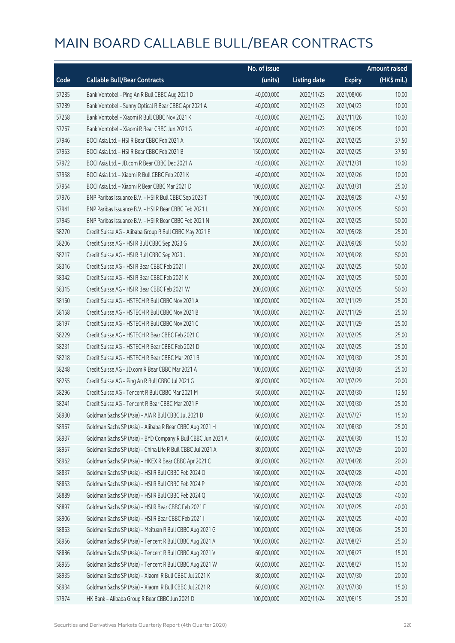|       |                                                              | No. of issue |                     |               | <b>Amount raised</b> |
|-------|--------------------------------------------------------------|--------------|---------------------|---------------|----------------------|
| Code  | <b>Callable Bull/Bear Contracts</b>                          | (units)      | <b>Listing date</b> | <b>Expiry</b> | (HK\$ mil.)          |
| 57285 | Bank Vontobel - Ping An R Bull CBBC Aug 2021 D               | 40,000,000   | 2020/11/23          | 2021/08/06    | 10.00                |
| 57289 | Bank Vontobel - Sunny Optical R Bear CBBC Apr 2021 A         | 40,000,000   | 2020/11/23          | 2021/04/23    | 10.00                |
| 57268 | Bank Vontobel - Xiaomi R Bull CBBC Nov 2021 K                | 40,000,000   | 2020/11/23          | 2021/11/26    | 10.00                |
| 57267 | Bank Vontobel - Xiaomi R Bear CBBC Jun 2021 G                | 40,000,000   | 2020/11/23          | 2021/06/25    | 10.00                |
| 57946 | BOCI Asia Ltd. - HSI R Bear CBBC Feb 2021 A                  | 150,000,000  | 2020/11/24          | 2021/02/25    | 37.50                |
| 57953 | BOCI Asia Ltd. - HSI R Bear CBBC Feb 2021 B                  | 150,000,000  | 2020/11/24          | 2021/02/25    | 37.50                |
| 57972 | BOCI Asia Ltd. - JD.com R Bear CBBC Dec 2021 A               | 40,000,000   | 2020/11/24          | 2021/12/31    | 10.00                |
| 57958 | BOCI Asia Ltd. - Xiaomi R Bull CBBC Feb 2021 K               | 40,000,000   | 2020/11/24          | 2021/02/26    | 10.00                |
| 57964 | BOCI Asia Ltd. - Xiaomi R Bear CBBC Mar 2021 D               | 100,000,000  | 2020/11/24          | 2021/03/31    | 25.00                |
| 57976 | BNP Paribas Issuance B.V. - HSI R Bull CBBC Sep 2023 T       | 190,000,000  | 2020/11/24          | 2023/09/28    | 47.50                |
| 57941 | BNP Paribas Issuance B.V. - HSI R Bear CBBC Feb 2021 L       | 200,000,000  | 2020/11/24          | 2021/02/25    | 50.00                |
| 57945 | BNP Paribas Issuance B.V. - HSI R Bear CBBC Feb 2021 N       | 200,000,000  | 2020/11/24          | 2021/02/25    | 50.00                |
| 58270 | Credit Suisse AG - Alibaba Group R Bull CBBC May 2021 E      | 100,000,000  | 2020/11/24          | 2021/05/28    | 25.00                |
| 58206 | Credit Suisse AG - HSI R Bull CBBC Sep 2023 G                | 200,000,000  | 2020/11/24          | 2023/09/28    | 50.00                |
| 58217 | Credit Suisse AG - HSI R Bull CBBC Sep 2023 J                | 200,000,000  | 2020/11/24          | 2023/09/28    | 50.00                |
| 58316 | Credit Suisse AG - HSI R Bear CBBC Feb 2021 I                | 200,000,000  | 2020/11/24          | 2021/02/25    | 50.00                |
| 58342 | Credit Suisse AG - HSI R Bear CBBC Feb 2021 K                | 200,000,000  | 2020/11/24          | 2021/02/25    | 50.00                |
| 58315 | Credit Suisse AG - HSI R Bear CBBC Feb 2021 W                | 200,000,000  | 2020/11/24          | 2021/02/25    | 50.00                |
| 58160 | Credit Suisse AG - HSTECH R Bull CBBC Nov 2021 A             | 100,000,000  | 2020/11/24          | 2021/11/29    | 25.00                |
| 58168 | Credit Suisse AG - HSTECH R Bull CBBC Nov 2021 B             | 100,000,000  | 2020/11/24          | 2021/11/29    | 25.00                |
| 58197 | Credit Suisse AG - HSTECH R Bull CBBC Nov 2021 C             | 100,000,000  | 2020/11/24          | 2021/11/29    | 25.00                |
| 58229 | Credit Suisse AG - HSTECH R Bear CBBC Feb 2021 C             | 100,000,000  | 2020/11/24          | 2021/02/25    | 25.00                |
| 58231 | Credit Suisse AG - HSTECH R Bear CBBC Feb 2021 D             | 100,000,000  | 2020/11/24          | 2021/02/25    | 25.00                |
| 58218 | Credit Suisse AG - HSTECH R Bear CBBC Mar 2021 B             | 100,000,000  | 2020/11/24          | 2021/03/30    | 25.00                |
| 58248 | Credit Suisse AG - JD.com R Bear CBBC Mar 2021 A             | 100,000,000  | 2020/11/24          | 2021/03/30    | 25.00                |
| 58255 | Credit Suisse AG - Ping An R Bull CBBC Jul 2021 G            | 80,000,000   | 2020/11/24          | 2021/07/29    | 20.00                |
| 58296 | Credit Suisse AG - Tencent R Bull CBBC Mar 2021 M            | 50,000,000   | 2020/11/24          | 2021/03/30    | 12.50                |
| 58241 | Credit Suisse AG - Tencent R Bear CBBC Mar 2021 F            | 100,000,000  | 2020/11/24          | 2021/03/30    | 25.00                |
| 58930 | Goldman Sachs SP (Asia) - AIA R Bull CBBC Jul 2021 D         | 60,000,000   | 2020/11/24          | 2021/07/27    | 15.00                |
| 58967 | Goldman Sachs SP (Asia) - Alibaba R Bear CBBC Aug 2021 H     | 100,000,000  | 2020/11/24          | 2021/08/30    | 25.00                |
| 58937 | Goldman Sachs SP (Asia) - BYD Company R Bull CBBC Jun 2021 A | 60,000,000   | 2020/11/24          | 2021/06/30    | 15.00                |
| 58957 | Goldman Sachs SP (Asia) - China Life R Bull CBBC Jul 2021 A  | 80,000,000   | 2020/11/24          | 2021/07/29    | 20.00                |
| 58962 | Goldman Sachs SP (Asia) - HKEX R Bear CBBC Apr 2021 C        | 80,000,000   | 2020/11/24          | 2021/04/28    | 20.00                |
| 58837 | Goldman Sachs SP (Asia) - HSI R Bull CBBC Feb 2024 O         | 160,000,000  | 2020/11/24          | 2024/02/28    | 40.00                |
| 58853 | Goldman Sachs SP (Asia) - HSI R Bull CBBC Feb 2024 P         | 160,000,000  | 2020/11/24          | 2024/02/28    | 40.00                |
| 58889 | Goldman Sachs SP (Asia) - HSI R Bull CBBC Feb 2024 Q         | 160,000,000  | 2020/11/24          | 2024/02/28    | 40.00                |
| 58897 | Goldman Sachs SP (Asia) - HSI R Bear CBBC Feb 2021 F         | 160,000,000  | 2020/11/24          | 2021/02/25    | 40.00                |
| 58906 | Goldman Sachs SP (Asia) - HSI R Bear CBBC Feb 2021 I         | 160,000,000  | 2020/11/24          | 2021/02/25    | 40.00                |
| 58863 | Goldman Sachs SP (Asia) - Meituan R Bull CBBC Aug 2021 G     | 100,000,000  | 2020/11/24          | 2021/08/26    | 25.00                |
| 58956 | Goldman Sachs SP (Asia) - Tencent R Bull CBBC Aug 2021 A     | 100,000,000  | 2020/11/24          | 2021/08/27    | 25.00                |
| 58886 | Goldman Sachs SP (Asia) - Tencent R Bull CBBC Aug 2021 V     | 60,000,000   | 2020/11/24          | 2021/08/27    | 15.00                |
| 58955 | Goldman Sachs SP (Asia) - Tencent R Bull CBBC Aug 2021 W     | 60,000,000   | 2020/11/24          | 2021/08/27    | 15.00                |
| 58935 | Goldman Sachs SP (Asia) - Xiaomi R Bull CBBC Jul 2021 K      | 80,000,000   | 2020/11/24          | 2021/07/30    | 20.00                |
| 58934 | Goldman Sachs SP (Asia) - Xiaomi R Bull CBBC Jul 2021 R      | 60,000,000   | 2020/11/24          | 2021/07/30    | 15.00                |
| 57974 | HK Bank - Alibaba Group R Bear CBBC Jun 2021 D               | 100,000,000  | 2020/11/24          | 2021/06/15    | 25.00                |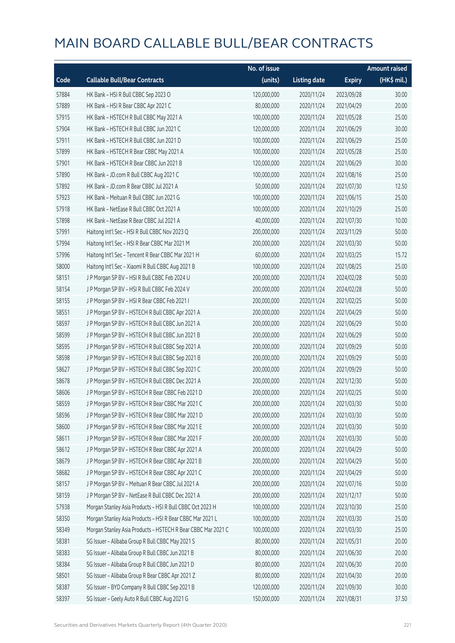|       |                                                              | No. of issue |                     |               | <b>Amount raised</b> |
|-------|--------------------------------------------------------------|--------------|---------------------|---------------|----------------------|
| Code  | <b>Callable Bull/Bear Contracts</b>                          | (units)      | <b>Listing date</b> | <b>Expiry</b> | (HK\$ mil.)          |
| 57884 | HK Bank - HSI R Bull CBBC Sep 2023 O                         | 120,000,000  | 2020/11/24          | 2023/09/28    | 30.00                |
| 57889 | HK Bank - HSI R Bear CBBC Apr 2021 C                         | 80,000,000   | 2020/11/24          | 2021/04/29    | 20.00                |
| 57915 | HK Bank - HSTECH R Bull CBBC May 2021 A                      | 100,000,000  | 2020/11/24          | 2021/05/28    | 25.00                |
| 57904 | HK Bank - HSTECH R Bull CBBC Jun 2021 C                      | 120,000,000  | 2020/11/24          | 2021/06/29    | 30.00                |
| 57911 | HK Bank - HSTECH R Bull CBBC Jun 2021 D                      | 100,000,000  | 2020/11/24          | 2021/06/29    | 25.00                |
| 57899 | HK Bank - HSTECH R Bear CBBC May 2021 A                      | 100,000,000  | 2020/11/24          | 2021/05/28    | 25.00                |
| 57901 | HK Bank - HSTECH R Bear CBBC Jun 2021 B                      | 120,000,000  | 2020/11/24          | 2021/06/29    | 30.00                |
| 57890 | HK Bank - JD.com R Bull CBBC Aug 2021 C                      | 100,000,000  | 2020/11/24          | 2021/08/16    | 25.00                |
| 57892 | HK Bank - JD.com R Bear CBBC Jul 2021 A                      | 50,000,000   | 2020/11/24          | 2021/07/30    | 12.50                |
| 57923 | HK Bank - Meituan R Bull CBBC Jun 2021 G                     | 100,000,000  | 2020/11/24          | 2021/06/15    | 25.00                |
| 57918 | HK Bank - NetEase R Bull CBBC Oct 2021 A                     | 100,000,000  | 2020/11/24          | 2021/10/29    | 25.00                |
| 57898 | HK Bank - NetEase R Bear CBBC Jul 2021 A                     | 40,000,000   | 2020/11/24          | 2021/07/30    | 10.00                |
| 57991 | Haitong Int'l Sec - HSI R Bull CBBC Nov 2023 Q               | 200,000,000  | 2020/11/24          | 2023/11/29    | 50.00                |
| 57994 | Haitong Int'l Sec - HSI R Bear CBBC Mar 2021 M               | 200,000,000  | 2020/11/24          | 2021/03/30    | 50.00                |
| 57996 | Haitong Int'l Sec - Tencent R Bear CBBC Mar 2021 H           | 60,000,000   | 2020/11/24          | 2021/03/25    | 15.72                |
| 58000 | Haitong Int'l Sec - Xiaomi R Bull CBBC Aug 2021 B            | 100,000,000  | 2020/11/24          | 2021/08/25    | 25.00                |
| 58151 | J P Morgan SP BV - HSI R Bull CBBC Feb 2024 U                | 200,000,000  | 2020/11/24          | 2024/02/28    | 50.00                |
| 58154 | J P Morgan SP BV - HSI R Bull CBBC Feb 2024 V                | 200,000,000  | 2020/11/24          | 2024/02/28    | 50.00                |
| 58155 | J P Morgan SP BV - HSI R Bear CBBC Feb 2021 I                | 200,000,000  | 2020/11/24          | 2021/02/25    | 50.00                |
| 58551 | J P Morgan SP BV - HSTECH R Bull CBBC Apr 2021 A             | 200,000,000  | 2020/11/24          | 2021/04/29    | 50.00                |
| 58597 | J P Morgan SP BV - HSTECH R Bull CBBC Jun 2021 A             | 200,000,000  | 2020/11/24          | 2021/06/29    | 50.00                |
| 58599 | J P Morgan SP BV - HSTECH R Bull CBBC Jun 2021 B             | 200,000,000  | 2020/11/24          | 2021/06/29    | 50.00                |
| 58595 | J P Morgan SP BV - HSTECH R Bull CBBC Sep 2021 A             | 200,000,000  | 2020/11/24          | 2021/09/29    | 50.00                |
| 58598 | J P Morgan SP BV - HSTECH R Bull CBBC Sep 2021 B             | 200,000,000  | 2020/11/24          | 2021/09/29    | 50.00                |
| 58627 | J P Morgan SP BV - HSTECH R Bull CBBC Sep 2021 C             | 200,000,000  | 2020/11/24          | 2021/09/29    | 50.00                |
| 58678 | J P Morgan SP BV - HSTECH R Bull CBBC Dec 2021 A             | 200,000,000  | 2020/11/24          | 2021/12/30    | 50.00                |
| 58606 | J P Morgan SP BV - HSTECH R Bear CBBC Feb 2021 D             | 200,000,000  | 2020/11/24          | 2021/02/25    | 50.00                |
| 58559 | J P Morgan SP BV - HSTECH R Bear CBBC Mar 2021 C             | 200,000,000  | 2020/11/24          | 2021/03/30    | 50.00                |
| 58596 | J P Morgan SP BV - HSTECH R Bear CBBC Mar 2021 D             | 200,000,000  | 2020/11/24          | 2021/03/30    | 50.00                |
| 58600 | J P Morgan SP BV - HSTECH R Bear CBBC Mar 2021 E             | 200,000,000  | 2020/11/24          | 2021/03/30    | 50.00                |
| 58611 | J P Morgan SP BV - HSTECH R Bear CBBC Mar 2021 F             | 200,000,000  | 2020/11/24          | 2021/03/30    | 50.00                |
| 58612 | J P Morgan SP BV - HSTECH R Bear CBBC Apr 2021 A             | 200,000,000  | 2020/11/24          | 2021/04/29    | 50.00                |
| 58679 | J P Morgan SP BV - HSTECH R Bear CBBC Apr 2021 B             | 200,000,000  | 2020/11/24          | 2021/04/29    | 50.00                |
| 58682 | J P Morgan SP BV - HSTECH R Bear CBBC Apr 2021 C             | 200,000,000  | 2020/11/24          | 2021/04/29    | 50.00                |
| 58157 | J P Morgan SP BV - Meituan R Bear CBBC Jul 2021 A            | 200,000,000  | 2020/11/24          | 2021/07/16    | 50.00                |
| 58159 | J P Morgan SP BV - NetEase R Bull CBBC Dec 2021 A            | 200,000,000  | 2020/11/24          | 2021/12/17    | 50.00                |
| 57938 | Morgan Stanley Asia Products - HSI R Bull CBBC Oct 2023 H    | 100,000,000  | 2020/11/24          | 2023/10/30    | 25.00                |
| 58350 | Morgan Stanley Asia Products - HSI R Bear CBBC Mar 2021 L    | 100,000,000  | 2020/11/24          | 2021/03/30    | 25.00                |
| 58349 | Morgan Stanley Asia Products - HSTECH R Bear CBBC Mar 2021 C | 100,000,000  | 2020/11/24          | 2021/03/30    | 25.00                |
| 58381 | SG Issuer - Alibaba Group R Bull CBBC May 2021 S             | 80,000,000   | 2020/11/24          | 2021/05/31    | 20.00                |
| 58383 | SG Issuer - Alibaba Group R Bull CBBC Jun 2021 B             | 80,000,000   | 2020/11/24          | 2021/06/30    | 20.00                |
| 58384 | SG Issuer - Alibaba Group R Bull CBBC Jun 2021 D             | 80,000,000   | 2020/11/24          | 2021/06/30    | 20.00                |
| 58501 | SG Issuer - Alibaba Group R Bear CBBC Apr 2021 Z             | 80,000,000   | 2020/11/24          | 2021/04/30    | 20.00                |
| 58387 | SG Issuer - BYD Company R Bull CBBC Sep 2021 B               | 120,000,000  | 2020/11/24          | 2021/09/30    | 30.00                |
| 58397 | SG Issuer - Geely Auto R Bull CBBC Aug 2021 G                | 150,000,000  | 2020/11/24          | 2021/08/31    | 37.50                |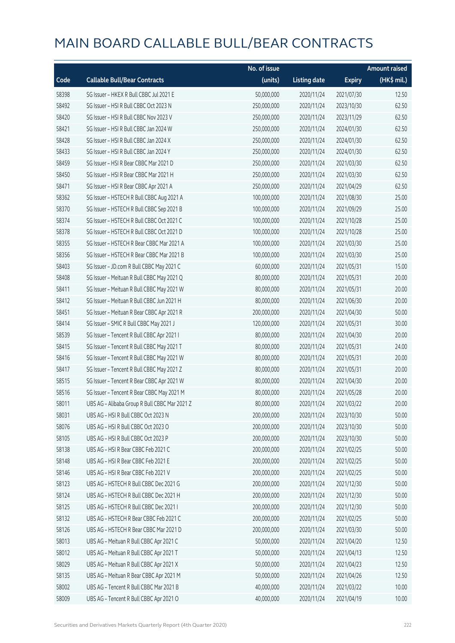|       |                                               | No. of issue |                     |               | <b>Amount raised</b> |
|-------|-----------------------------------------------|--------------|---------------------|---------------|----------------------|
| Code  | <b>Callable Bull/Bear Contracts</b>           | (units)      | <b>Listing date</b> | <b>Expiry</b> | (HK\$ mil.)          |
| 58398 | SG Issuer - HKEX R Bull CBBC Jul 2021 E       | 50,000,000   | 2020/11/24          | 2021/07/30    | 12.50                |
| 58492 | SG Issuer - HSI R Bull CBBC Oct 2023 N        | 250,000,000  | 2020/11/24          | 2023/10/30    | 62.50                |
| 58420 | SG Issuer - HSI R Bull CBBC Nov 2023 V        | 250,000,000  | 2020/11/24          | 2023/11/29    | 62.50                |
| 58421 | SG Issuer - HSI R Bull CBBC Jan 2024 W        | 250,000,000  | 2020/11/24          | 2024/01/30    | 62.50                |
| 58428 | SG Issuer - HSI R Bull CBBC Jan 2024 X        | 250,000,000  | 2020/11/24          | 2024/01/30    | 62.50                |
| 58433 | SG Issuer - HSI R Bull CBBC Jan 2024 Y        | 250,000,000  | 2020/11/24          | 2024/01/30    | 62.50                |
| 58459 | SG Issuer - HSI R Bear CBBC Mar 2021 D        | 250,000,000  | 2020/11/24          | 2021/03/30    | 62.50                |
| 58450 | SG Issuer - HSI R Bear CBBC Mar 2021 H        | 250,000,000  | 2020/11/24          | 2021/03/30    | 62.50                |
| 58471 | SG Issuer - HSI R Bear CBBC Apr 2021 A        | 250,000,000  | 2020/11/24          | 2021/04/29    | 62.50                |
| 58362 | SG Issuer - HSTECH R Bull CBBC Aug 2021 A     | 100,000,000  | 2020/11/24          | 2021/08/30    | 25.00                |
| 58370 | SG Issuer - HSTECH R Bull CBBC Sep 2021 B     | 100,000,000  | 2020/11/24          | 2021/09/29    | 25.00                |
| 58374 | SG Issuer - HSTECH R Bull CBBC Oct 2021 C     | 100,000,000  | 2020/11/24          | 2021/10/28    | 25.00                |
| 58378 | SG Issuer - HSTECH R Bull CBBC Oct 2021 D     | 100,000,000  | 2020/11/24          | 2021/10/28    | 25.00                |
| 58355 | SG Issuer - HSTECH R Bear CBBC Mar 2021 A     | 100,000,000  | 2020/11/24          | 2021/03/30    | 25.00                |
| 58356 | SG Issuer - HSTECH R Bear CBBC Mar 2021 B     | 100,000,000  | 2020/11/24          | 2021/03/30    | 25.00                |
| 58403 | SG Issuer - JD.com R Bull CBBC May 2021 C     | 60,000,000   | 2020/11/24          | 2021/05/31    | 15.00                |
| 58408 | SG Issuer - Meituan R Bull CBBC May 2021 Q    | 80,000,000   | 2020/11/24          | 2021/05/31    | 20.00                |
| 58411 | SG Issuer - Meituan R Bull CBBC May 2021 W    | 80,000,000   | 2020/11/24          | 2021/05/31    | 20.00                |
| 58412 | SG Issuer - Meituan R Bull CBBC Jun 2021 H    | 80,000,000   | 2020/11/24          | 2021/06/30    | 20.00                |
| 58451 | SG Issuer - Meituan R Bear CBBC Apr 2021 R    | 200,000,000  | 2020/11/24          | 2021/04/30    | 50.00                |
| 58414 | SG Issuer - SMIC R Bull CBBC May 2021 J       | 120,000,000  | 2020/11/24          | 2021/05/31    | 30.00                |
| 58539 | SG Issuer - Tencent R Bull CBBC Apr 2021 I    | 80,000,000   | 2020/11/24          | 2021/04/30    | 20.00                |
| 58415 | SG Issuer - Tencent R Bull CBBC May 2021 T    | 80,000,000   | 2020/11/24          | 2021/05/31    | 24.00                |
| 58416 | SG Issuer - Tencent R Bull CBBC May 2021 W    | 80,000,000   | 2020/11/24          | 2021/05/31    | 20.00                |
| 58417 | SG Issuer - Tencent R Bull CBBC May 2021 Z    | 80,000,000   | 2020/11/24          | 2021/05/31    | 20.00                |
| 58515 | SG Issuer - Tencent R Bear CBBC Apr 2021 W    | 80,000,000   | 2020/11/24          | 2021/04/30    | 20.00                |
| 58516 | SG Issuer - Tencent R Bear CBBC May 2021 M    | 80,000,000   | 2020/11/24          | 2021/05/28    | 20.00                |
| 58011 | UBS AG - Alibaba Group R Bull CBBC Mar 2021 Z | 80,000,000   | 2020/11/24          | 2021/03/22    | 20.00                |
| 58031 | UBS AG - HSI R Bull CBBC Oct 2023 N           | 200,000,000  | 2020/11/24          | 2023/10/30    | 50.00                |
| 58076 | UBS AG - HSI R Bull CBBC Oct 2023 O           | 200,000,000  | 2020/11/24          | 2023/10/30    | 50.00                |
| 58105 | UBS AG - HSI R Bull CBBC Oct 2023 P           | 200,000,000  | 2020/11/24          | 2023/10/30    | 50.00                |
| 58138 | UBS AG - HSI R Bear CBBC Feb 2021 C           | 200,000,000  | 2020/11/24          | 2021/02/25    | 50.00                |
| 58148 | UBS AG - HSI R Bear CBBC Feb 2021 E           | 200,000,000  | 2020/11/24          | 2021/02/25    | 50.00                |
| 58146 | UBS AG - HSI R Bear CBBC Feb 2021 V           | 200,000,000  | 2020/11/24          | 2021/02/25    | 50.00                |
| 58123 | UBS AG - HSTECH R Bull CBBC Dec 2021 G        | 200,000,000  | 2020/11/24          | 2021/12/30    | 50.00                |
| 58124 | UBS AG - HSTECH R Bull CBBC Dec 2021 H        | 200,000,000  | 2020/11/24          | 2021/12/30    | 50.00                |
| 58125 | UBS AG - HSTECH R Bull CBBC Dec 2021 I        | 200,000,000  | 2020/11/24          | 2021/12/30    | 50.00                |
| 58132 | UBS AG - HSTECH R Bear CBBC Feb 2021 C        | 200,000,000  | 2020/11/24          | 2021/02/25    | 50.00                |
| 58126 | UBS AG - HSTECH R Bear CBBC Mar 2021 D        | 200,000,000  | 2020/11/24          | 2021/03/30    | 50.00                |
| 58013 | UBS AG - Meituan R Bull CBBC Apr 2021 C       | 50,000,000   | 2020/11/24          | 2021/04/20    | 12.50                |
| 58012 | UBS AG - Meituan R Bull CBBC Apr 2021 T       | 50,000,000   | 2020/11/24          | 2021/04/13    | 12.50                |
| 58029 | UBS AG - Meituan R Bull CBBC Apr 2021 X       | 50,000,000   | 2020/11/24          | 2021/04/23    | 12.50                |
| 58135 | UBS AG - Meituan R Bear CBBC Apr 2021 M       | 50,000,000   | 2020/11/24          | 2021/04/26    | 12.50                |
| 58002 | UBS AG - Tencent R Bull CBBC Mar 2021 B       | 40,000,000   | 2020/11/24          | 2021/03/22    | 10.00                |
| 58009 | UBS AG - Tencent R Bull CBBC Apr 2021 O       | 40,000,000   | 2020/11/24          | 2021/04/19    | 10.00                |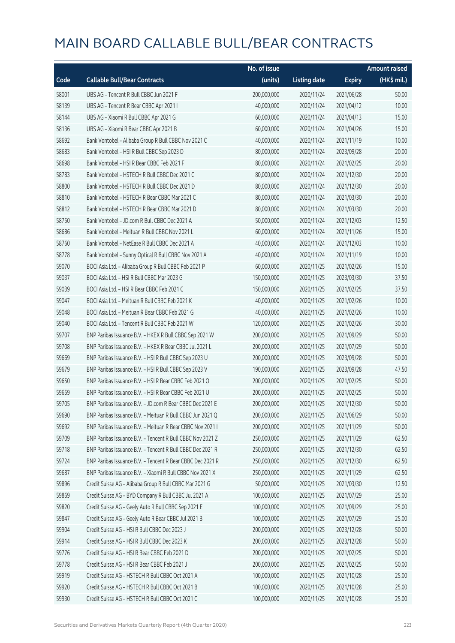|       |                                                            | No. of issue |                     |               | <b>Amount raised</b> |
|-------|------------------------------------------------------------|--------------|---------------------|---------------|----------------------|
| Code  | <b>Callable Bull/Bear Contracts</b>                        | (units)      | <b>Listing date</b> | <b>Expiry</b> | (HK\$ mil.)          |
| 58001 | UBS AG - Tencent R Bull CBBC Jun 2021 F                    | 200,000,000  | 2020/11/24          | 2021/06/28    | 50.00                |
| 58139 | UBS AG - Tencent R Bear CBBC Apr 2021 I                    | 40,000,000   | 2020/11/24          | 2021/04/12    | 10.00                |
| 58144 | UBS AG - Xiaomi R Bull CBBC Apr 2021 G                     | 60,000,000   | 2020/11/24          | 2021/04/13    | 15.00                |
| 58136 | UBS AG - Xiaomi R Bear CBBC Apr 2021 B                     | 60,000,000   | 2020/11/24          | 2021/04/26    | 15.00                |
| 58692 | Bank Vontobel - Alibaba Group R Bull CBBC Nov 2021 C       | 40,000,000   | 2020/11/24          | 2021/11/19    | 10.00                |
| 58683 | Bank Vontobel - HSI R Bull CBBC Sep 2023 D                 | 80,000,000   | 2020/11/24          | 2023/09/28    | 20.00                |
| 58698 | Bank Vontobel - HSI R Bear CBBC Feb 2021 F                 | 80,000,000   | 2020/11/24          | 2021/02/25    | 20.00                |
| 58783 | Bank Vontobel - HSTECH R Bull CBBC Dec 2021 C              | 80,000,000   | 2020/11/24          | 2021/12/30    | 20.00                |
| 58800 | Bank Vontobel - HSTECH R Bull CBBC Dec 2021 D              | 80,000,000   | 2020/11/24          | 2021/12/30    | 20.00                |
| 58810 | Bank Vontobel - HSTECH R Bear CBBC Mar 2021 C              | 80,000,000   | 2020/11/24          | 2021/03/30    | 20.00                |
| 58812 | Bank Vontobel - HSTECH R Bear CBBC Mar 2021 D              | 80,000,000   | 2020/11/24          | 2021/03/30    | 20.00                |
| 58750 | Bank Vontobel - JD.com R Bull CBBC Dec 2021 A              | 50,000,000   | 2020/11/24          | 2021/12/03    | 12.50                |
| 58686 | Bank Vontobel - Meituan R Bull CBBC Nov 2021 L             | 60,000,000   | 2020/11/24          | 2021/11/26    | 15.00                |
| 58760 | Bank Vontobel - NetEase R Bull CBBC Dec 2021 A             | 40,000,000   | 2020/11/24          | 2021/12/03    | 10.00                |
| 58778 | Bank Vontobel - Sunny Optical R Bull CBBC Nov 2021 A       | 40,000,000   | 2020/11/24          | 2021/11/19    | 10.00                |
| 59070 | BOCI Asia Ltd. - Alibaba Group R Bull CBBC Feb 2021 P      | 60,000,000   | 2020/11/25          | 2021/02/26    | 15.00                |
| 59037 | BOCI Asia Ltd. - HSI R Bull CBBC Mar 2023 G                | 150,000,000  | 2020/11/25          | 2023/03/30    | 37.50                |
| 59039 | BOCI Asia Ltd. - HSI R Bear CBBC Feb 2021 C                | 150,000,000  | 2020/11/25          | 2021/02/25    | 37.50                |
| 59047 | BOCI Asia Ltd. - Meituan R Bull CBBC Feb 2021 K            | 40,000,000   | 2020/11/25          | 2021/02/26    | 10.00                |
| 59048 | BOCI Asia Ltd. - Meituan R Bear CBBC Feb 2021 G            | 40,000,000   | 2020/11/25          | 2021/02/26    | 10.00                |
| 59040 | BOCI Asia Ltd. - Tencent R Bull CBBC Feb 2021 W            | 120,000,000  | 2020/11/25          | 2021/02/26    | 30.00                |
| 59707 | BNP Paribas Issuance B.V. - HKEX R Bull CBBC Sep 2021 W    | 200,000,000  | 2020/11/25          | 2021/09/29    | 50.00                |
| 59708 | BNP Paribas Issuance B.V. - HKEX R Bear CBBC Jul 2021 L    | 200,000,000  | 2020/11/25          | 2021/07/29    | 50.00                |
| 59669 | BNP Paribas Issuance B.V. - HSI R Bull CBBC Sep 2023 U     | 200,000,000  | 2020/11/25          | 2023/09/28    | 50.00                |
| 59679 | BNP Paribas Issuance B.V. - HSI R Bull CBBC Sep 2023 V     | 190,000,000  | 2020/11/25          | 2023/09/28    | 47.50                |
| 59650 | BNP Paribas Issuance B.V. - HSI R Bear CBBC Feb 2021 O     | 200,000,000  | 2020/11/25          | 2021/02/25    | 50.00                |
| 59659 | BNP Paribas Issuance B.V. - HSI R Bear CBBC Feb 2021 U     | 200,000,000  | 2020/11/25          | 2021/02/25    | 50.00                |
| 59705 | BNP Paribas Issuance B.V. - JD.com R Bear CBBC Dec 2021 F  | 200,000,000  | 2020/11/25          | 2021/12/30    | 50.00                |
| 59690 | BNP Paribas Issuance B.V. - Meituan R Bull CBBC Jun 2021 Q | 200,000,000  | 2020/11/25          | 2021/06/29    | 50.00                |
| 59692 | BNP Paribas Issuance B.V. - Meituan R Bear CBBC Nov 2021 I | 200,000,000  | 2020/11/25          | 2021/11/29    | 50.00                |
| 59709 | BNP Paribas Issuance B.V. - Tencent R Bull CBBC Nov 2021 Z | 250,000,000  | 2020/11/25          | 2021/11/29    | 62.50                |
| 59718 | BNP Paribas Issuance B.V. - Tencent R Bull CBBC Dec 2021 R | 250,000,000  | 2020/11/25          | 2021/12/30    | 62.50                |
| 59724 | BNP Paribas Issuance B.V. - Tencent R Bear CBBC Dec 2021 R | 250,000,000  | 2020/11/25          | 2021/12/30    | 62.50                |
| 59687 | BNP Paribas Issuance B.V. - Xiaomi R Bull CBBC Nov 2021 X  | 250,000,000  | 2020/11/25          | 2021/11/29    | 62.50                |
| 59896 | Credit Suisse AG - Alibaba Group R Bull CBBC Mar 2021 G    | 50,000,000   | 2020/11/25          | 2021/03/30    | 12.50                |
| 59869 | Credit Suisse AG - BYD Company R Bull CBBC Jul 2021 A      | 100,000,000  | 2020/11/25          | 2021/07/29    | 25.00                |
| 59820 | Credit Suisse AG - Geely Auto R Bull CBBC Sep 2021 E       | 100,000,000  | 2020/11/25          | 2021/09/29    | 25.00                |
| 59847 | Credit Suisse AG - Geely Auto R Bear CBBC Jul 2021 B       | 100,000,000  | 2020/11/25          | 2021/07/29    | 25.00                |
| 59904 | Credit Suisse AG - HSI R Bull CBBC Dec 2023 J              | 200,000,000  | 2020/11/25          | 2023/12/28    | 50.00                |
| 59914 | Credit Suisse AG - HSI R Bull CBBC Dec 2023 K              | 200,000,000  | 2020/11/25          | 2023/12/28    | 50.00                |
| 59776 | Credit Suisse AG - HSI R Bear CBBC Feb 2021 D              | 200,000,000  | 2020/11/25          | 2021/02/25    | 50.00                |
| 59778 | Credit Suisse AG - HSI R Bear CBBC Feb 2021 J              | 200,000,000  | 2020/11/25          | 2021/02/25    | 50.00                |
| 59919 | Credit Suisse AG - HSTECH R Bull CBBC Oct 2021 A           | 100,000,000  | 2020/11/25          | 2021/10/28    | 25.00                |
| 59920 | Credit Suisse AG - HSTECH R Bull CBBC Oct 2021 B           | 100,000,000  | 2020/11/25          | 2021/10/28    | 25.00                |
| 59930 | Credit Suisse AG - HSTECH R Bull CBBC Oct 2021 C           | 100,000,000  | 2020/11/25          | 2021/10/28    | 25.00                |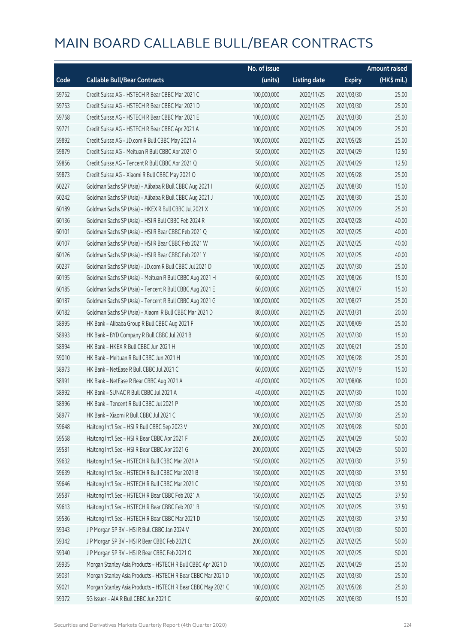|       |                                                              | No. of issue |                     |               | <b>Amount raised</b> |
|-------|--------------------------------------------------------------|--------------|---------------------|---------------|----------------------|
| Code  | <b>Callable Bull/Bear Contracts</b>                          | (units)      | <b>Listing date</b> | <b>Expiry</b> | (HK\$ mil.)          |
| 59752 | Credit Suisse AG - HSTECH R Bear CBBC Mar 2021 C             | 100,000,000  | 2020/11/25          | 2021/03/30    | 25.00                |
| 59753 | Credit Suisse AG - HSTECH R Bear CBBC Mar 2021 D             | 100,000,000  | 2020/11/25          | 2021/03/30    | 25.00                |
| 59768 | Credit Suisse AG - HSTECH R Bear CBBC Mar 2021 E             | 100,000,000  | 2020/11/25          | 2021/03/30    | 25.00                |
| 59771 | Credit Suisse AG - HSTECH R Bear CBBC Apr 2021 A             | 100,000,000  | 2020/11/25          | 2021/04/29    | 25.00                |
| 59892 | Credit Suisse AG - JD.com R Bull CBBC May 2021 A             | 100,000,000  | 2020/11/25          | 2021/05/28    | 25.00                |
| 59879 | Credit Suisse AG - Meituan R Bull CBBC Apr 2021 O            | 50,000,000   | 2020/11/25          | 2021/04/29    | 12.50                |
| 59856 | Credit Suisse AG - Tencent R Bull CBBC Apr 2021 Q            | 50,000,000   | 2020/11/25          | 2021/04/29    | 12.50                |
| 59873 | Credit Suisse AG - Xiaomi R Bull CBBC May 2021 O             | 100,000,000  | 2020/11/25          | 2021/05/28    | 25.00                |
| 60227 | Goldman Sachs SP (Asia) - Alibaba R Bull CBBC Aug 2021 I     | 60,000,000   | 2020/11/25          | 2021/08/30    | 15.00                |
| 60242 | Goldman Sachs SP (Asia) - Alibaba R Bull CBBC Aug 2021 J     | 100,000,000  | 2020/11/25          | 2021/08/30    | 25.00                |
| 60189 | Goldman Sachs SP (Asia) - HKEX R Bull CBBC Jul 2021 X        | 100,000,000  | 2020/11/25          | 2021/07/29    | 25.00                |
| 60136 | Goldman Sachs SP (Asia) - HSI R Bull CBBC Feb 2024 R         | 160,000,000  | 2020/11/25          | 2024/02/28    | 40.00                |
| 60101 | Goldman Sachs SP (Asia) - HSI R Bear CBBC Feb 2021 Q         | 160,000,000  | 2020/11/25          | 2021/02/25    | 40.00                |
| 60107 | Goldman Sachs SP (Asia) - HSI R Bear CBBC Feb 2021 W         | 160,000,000  | 2020/11/25          | 2021/02/25    | 40.00                |
| 60126 | Goldman Sachs SP (Asia) - HSI R Bear CBBC Feb 2021 Y         | 160,000,000  | 2020/11/25          | 2021/02/25    | 40.00                |
| 60237 | Goldman Sachs SP (Asia) - JD.com R Bull CBBC Jul 2021 D      | 100,000,000  | 2020/11/25          | 2021/07/30    | 25.00                |
| 60195 | Goldman Sachs SP (Asia) - Meituan R Bull CBBC Aug 2021 H     | 60,000,000   | 2020/11/25          | 2021/08/26    | 15.00                |
| 60185 | Goldman Sachs SP (Asia) - Tencent R Bull CBBC Aug 2021 E     | 60,000,000   | 2020/11/25          | 2021/08/27    | 15.00                |
| 60187 | Goldman Sachs SP (Asia) - Tencent R Bull CBBC Aug 2021 G     | 100,000,000  | 2020/11/25          | 2021/08/27    | 25.00                |
| 60182 | Goldman Sachs SP (Asia) - Xiaomi R Bull CBBC Mar 2021 D      | 80,000,000   | 2020/11/25          | 2021/03/31    | 20.00                |
| 58995 | HK Bank - Alibaba Group R Bull CBBC Aug 2021 F               | 100,000,000  | 2020/11/25          | 2021/08/09    | 25.00                |
| 58993 | HK Bank - BYD Company R Bull CBBC Jul 2021 B                 | 60,000,000   | 2020/11/25          | 2021/07/30    | 15.00                |
| 58994 | HK Bank - HKEX R Bull CBBC Jun 2021 H                        | 100,000,000  | 2020/11/25          | 2021/06/21    | 25.00                |
| 59010 | HK Bank - Meituan R Bull CBBC Jun 2021 H                     | 100,000,000  | 2020/11/25          | 2021/06/28    | 25.00                |
| 58973 | HK Bank - NetEase R Bull CBBC Jul 2021 C                     | 60,000,000   | 2020/11/25          | 2021/07/19    | 15.00                |
| 58991 | HK Bank - NetEase R Bear CBBC Aug 2021 A                     | 40,000,000   | 2020/11/25          | 2021/08/06    | 10.00                |
| 58992 | HK Bank - SUNAC R Bull CBBC Jul 2021 A                       | 40,000,000   | 2020/11/25          | 2021/07/30    | 10.00                |
| 58996 | HK Bank - Tencent R Bull CBBC Jul 2021 P                     | 100,000,000  | 2020/11/25          | 2021/07/30    | 25.00                |
| 58977 | HK Bank - Xiaomi R Bull CBBC Jul 2021 C                      | 100,000,000  | 2020/11/25          | 2021/07/30    | 25.00                |
| 59648 | Haitong Int'l Sec - HSI R Bull CBBC Sep 2023 V               | 200,000,000  | 2020/11/25          | 2023/09/28    | 50.00                |
| 59568 | Haitong Int'l Sec - HSI R Bear CBBC Apr 2021 F               | 200,000,000  | 2020/11/25          | 2021/04/29    | 50.00                |
| 59581 | Haitong Int'l Sec - HSI R Bear CBBC Apr 2021 G               | 200,000,000  | 2020/11/25          | 2021/04/29    | 50.00                |
| 59632 | Haitong Int'l Sec - HSTECH R Bull CBBC Mar 2021 A            | 150,000,000  | 2020/11/25          | 2021/03/30    | 37.50                |
| 59639 | Haitong Int'l Sec - HSTECH R Bull CBBC Mar 2021 B            | 150,000,000  | 2020/11/25          | 2021/03/30    | 37.50                |
| 59646 | Haitong Int'l Sec - HSTECH R Bull CBBC Mar 2021 C            | 150,000,000  | 2020/11/25          | 2021/03/30    | 37.50                |
| 59587 | Haitong Int'l Sec - HSTECH R Bear CBBC Feb 2021 A            | 150,000,000  | 2020/11/25          | 2021/02/25    | 37.50                |
| 59613 | Haitong Int'l Sec - HSTECH R Bear CBBC Feb 2021 B            | 150,000,000  | 2020/11/25          | 2021/02/25    | 37.50                |
| 59586 | Haitong Int'l Sec - HSTECH R Bear CBBC Mar 2021 D            | 150,000,000  | 2020/11/25          | 2021/03/30    | 37.50                |
| 59343 | J P Morgan SP BV - HSI R Bull CBBC Jan 2024 V                | 200,000,000  | 2020/11/25          | 2024/01/30    | 50.00                |
| 59342 | J P Morgan SP BV - HSI R Bear CBBC Feb 2021 C                | 200,000,000  | 2020/11/25          | 2021/02/25    | 50.00                |
| 59340 | J P Morgan SP BV - HSI R Bear CBBC Feb 2021 O                | 200,000,000  | 2020/11/25          | 2021/02/25    | 50.00                |
| 59935 | Morgan Stanley Asia Products - HSTECH R Bull CBBC Apr 2021 D | 100,000,000  | 2020/11/25          | 2021/04/29    | 25.00                |
| 59031 | Morgan Stanley Asia Products - HSTECH R Bear CBBC Mar 2021 D | 100,000,000  | 2020/11/25          | 2021/03/30    | 25.00                |
| 59021 | Morgan Stanley Asia Products - HSTECH R Bear CBBC May 2021 C | 100,000,000  | 2020/11/25          | 2021/05/28    | 25.00                |
| 59372 | SG Issuer - AIA R Bull CBBC Jun 2021 C                       | 60,000,000   | 2020/11/25          | 2021/06/30    | 15.00                |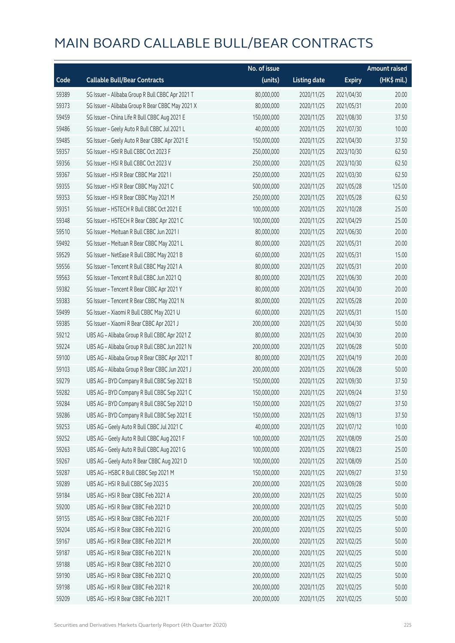|       |                                                  | No. of issue |                     |               | <b>Amount raised</b> |
|-------|--------------------------------------------------|--------------|---------------------|---------------|----------------------|
| Code  | <b>Callable Bull/Bear Contracts</b>              | (units)      | <b>Listing date</b> | <b>Expiry</b> | (HK\$ mil.)          |
| 59389 | SG Issuer - Alibaba Group R Bull CBBC Apr 2021 T | 80,000,000   | 2020/11/25          | 2021/04/30    | 20.00                |
| 59373 | SG Issuer - Alibaba Group R Bear CBBC May 2021 X | 80,000,000   | 2020/11/25          | 2021/05/31    | 20.00                |
| 59459 | SG Issuer - China Life R Bull CBBC Aug 2021 E    | 150,000,000  | 2020/11/25          | 2021/08/30    | 37.50                |
| 59486 | SG Issuer - Geely Auto R Bull CBBC Jul 2021 L    | 40,000,000   | 2020/11/25          | 2021/07/30    | 10.00                |
| 59485 | SG Issuer - Geely Auto R Bear CBBC Apr 2021 E    | 150,000,000  | 2020/11/25          | 2021/04/30    | 37.50                |
| 59357 | SG Issuer - HSI R Bull CBBC Oct 2023 F           | 250,000,000  | 2020/11/25          | 2023/10/30    | 62.50                |
| 59356 | SG Issuer - HSI R Bull CBBC Oct 2023 V           | 250,000,000  | 2020/11/25          | 2023/10/30    | 62.50                |
| 59367 | SG Issuer - HSI R Bear CBBC Mar 2021 I           | 250,000,000  | 2020/11/25          | 2021/03/30    | 62.50                |
| 59355 | SG Issuer - HSI R Bear CBBC May 2021 C           | 500,000,000  | 2020/11/25          | 2021/05/28    | 125.00               |
| 59353 | SG Issuer - HSI R Bear CBBC May 2021 M           | 250,000,000  | 2020/11/25          | 2021/05/28    | 62.50                |
| 59351 | SG Issuer - HSTECH R Bull CBBC Oct 2021 E        | 100,000,000  | 2020/11/25          | 2021/10/28    | 25.00                |
| 59348 | SG Issuer - HSTECH R Bear CBBC Apr 2021 C        | 100,000,000  | 2020/11/25          | 2021/04/29    | 25.00                |
| 59510 | SG Issuer - Meituan R Bull CBBC Jun 2021 I       | 80,000,000   | 2020/11/25          | 2021/06/30    | 20.00                |
| 59492 | SG Issuer - Meituan R Bear CBBC May 2021 L       | 80,000,000   | 2020/11/25          | 2021/05/31    | 20.00                |
| 59529 | SG Issuer - NetEase R Bull CBBC May 2021 B       | 60,000,000   | 2020/11/25          | 2021/05/31    | 15.00                |
| 59556 | SG Issuer - Tencent R Bull CBBC May 2021 A       | 80,000,000   | 2020/11/25          | 2021/05/31    | 20.00                |
| 59563 | SG Issuer - Tencent R Bull CBBC Jun 2021 Q       | 80,000,000   | 2020/11/25          | 2021/06/30    | 20.00                |
| 59382 | SG Issuer - Tencent R Bear CBBC Apr 2021 Y       | 80,000,000   | 2020/11/25          | 2021/04/30    | 20.00                |
| 59383 | SG Issuer - Tencent R Bear CBBC May 2021 N       | 80,000,000   | 2020/11/25          | 2021/05/28    | 20.00                |
| 59499 | SG Issuer - Xiaomi R Bull CBBC May 2021 U        | 60,000,000   | 2020/11/25          | 2021/05/31    | 15.00                |
| 59385 | SG Issuer - Xiaomi R Bear CBBC Apr 2021 J        | 200,000,000  | 2020/11/25          | 2021/04/30    | 50.00                |
| 59212 | UBS AG - Alibaba Group R Bull CBBC Apr 2021 Z    | 80,000,000   | 2020/11/25          | 2021/04/30    | 20.00                |
| 59224 | UBS AG - Alibaba Group R Bull CBBC Jun 2021 N    | 200,000,000  | 2020/11/25          | 2021/06/28    | 50.00                |
| 59100 | UBS AG - Alibaba Group R Bear CBBC Apr 2021 T    | 80,000,000   | 2020/11/25          | 2021/04/19    | 20.00                |
| 59103 | UBS AG - Alibaba Group R Bear CBBC Jun 2021 J    | 200,000,000  | 2020/11/25          | 2021/06/28    | 50.00                |
| 59279 | UBS AG - BYD Company R Bull CBBC Sep 2021 B      | 150,000,000  | 2020/11/25          | 2021/09/30    | 37.50                |
| 59282 | UBS AG - BYD Company R Bull CBBC Sep 2021 C      | 150,000,000  | 2020/11/25          | 2021/09/24    | 37.50                |
| 59284 | UBS AG - BYD Company R Bull CBBC Sep 2021 D      | 150,000,000  | 2020/11/25          | 2021/09/27    | 37.50                |
| 59286 | UBS AG - BYD Company R Bull CBBC Sep 2021 E      | 150,000,000  | 2020/11/25          | 2021/09/13    | 37.50                |
| 59253 | UBS AG - Geely Auto R Bull CBBC Jul 2021 C       | 40,000,000   | 2020/11/25          | 2021/07/12    | 10.00                |
| 59252 | UBS AG - Geely Auto R Bull CBBC Aug 2021 F       | 100,000,000  | 2020/11/25          | 2021/08/09    | 25.00                |
| 59263 | UBS AG - Geely Auto R Bull CBBC Aug 2021 G       | 100,000,000  | 2020/11/25          | 2021/08/23    | 25.00                |
| 59267 | UBS AG - Geely Auto R Bear CBBC Aug 2021 D       | 100,000,000  | 2020/11/25          | 2021/08/09    | 25.00                |
| 59287 | UBS AG - HSBC R Bull CBBC Sep 2021 M             | 150,000,000  | 2020/11/25          | 2021/09/27    | 37.50                |
| 59289 | UBS AG - HSI R Bull CBBC Sep 2023 S              | 200,000,000  | 2020/11/25          | 2023/09/28    | 50.00                |
| 59184 | UBS AG - HSI R Bear CBBC Feb 2021 A              | 200,000,000  | 2020/11/25          | 2021/02/25    | 50.00                |
| 59200 | UBS AG - HSI R Bear CBBC Feb 2021 D              | 200,000,000  | 2020/11/25          | 2021/02/25    | 50.00                |
| 59155 | UBS AG - HSI R Bear CBBC Feb 2021 F              | 200,000,000  | 2020/11/25          | 2021/02/25    | 50.00                |
| 59204 | UBS AG - HSI R Bear CBBC Feb 2021 G              | 200,000,000  | 2020/11/25          | 2021/02/25    | 50.00                |
| 59167 | UBS AG - HSI R Bear CBBC Feb 2021 M              | 200,000,000  | 2020/11/25          | 2021/02/25    | 50.00                |
| 59187 | UBS AG - HSI R Bear CBBC Feb 2021 N              | 200,000,000  | 2020/11/25          | 2021/02/25    | 50.00                |
| 59188 | UBS AG - HSI R Bear CBBC Feb 2021 O              | 200,000,000  | 2020/11/25          | 2021/02/25    | 50.00                |
| 59190 | UBS AG - HSI R Bear CBBC Feb 2021 Q              | 200,000,000  | 2020/11/25          | 2021/02/25    | 50.00                |
| 59198 | UBS AG - HSI R Bear CBBC Feb 2021 R              | 200,000,000  | 2020/11/25          | 2021/02/25    | 50.00                |
| 59209 | UBS AG - HSI R Bear CBBC Feb 2021 T              | 200,000,000  | 2020/11/25          | 2021/02/25    | 50.00                |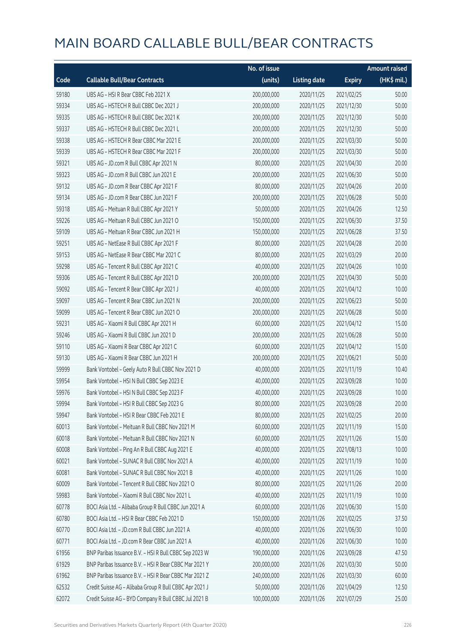|       |                                                         | No. of issue |                     |               | <b>Amount raised</b> |
|-------|---------------------------------------------------------|--------------|---------------------|---------------|----------------------|
| Code  | <b>Callable Bull/Bear Contracts</b>                     | (units)      | <b>Listing date</b> | <b>Expiry</b> | (HK\$ mil.)          |
| 59180 | UBS AG - HSI R Bear CBBC Feb 2021 X                     | 200,000,000  | 2020/11/25          | 2021/02/25    | 50.00                |
| 59334 | UBS AG - HSTECH R Bull CBBC Dec 2021 J                  | 200,000,000  | 2020/11/25          | 2021/12/30    | 50.00                |
| 59335 | UBS AG - HSTECH R Bull CBBC Dec 2021 K                  | 200,000,000  | 2020/11/25          | 2021/12/30    | 50.00                |
| 59337 | UBS AG - HSTECH R Bull CBBC Dec 2021 L                  | 200,000,000  | 2020/11/25          | 2021/12/30    | 50.00                |
| 59338 | UBS AG - HSTECH R Bear CBBC Mar 2021 E                  | 200,000,000  | 2020/11/25          | 2021/03/30    | 50.00                |
| 59339 | UBS AG - HSTECH R Bear CBBC Mar 2021 F                  | 200,000,000  | 2020/11/25          | 2021/03/30    | 50.00                |
| 59321 | UBS AG - JD.com R Bull CBBC Apr 2021 N                  | 80,000,000   | 2020/11/25          | 2021/04/30    | 20.00                |
| 59323 | UBS AG - JD.com R Bull CBBC Jun 2021 E                  | 200,000,000  | 2020/11/25          | 2021/06/30    | 50.00                |
| 59132 | UBS AG - JD.com R Bear CBBC Apr 2021 F                  | 80,000,000   | 2020/11/25          | 2021/04/26    | 20.00                |
| 59134 | UBS AG - JD.com R Bear CBBC Jun 2021 F                  | 200,000,000  | 2020/11/25          | 2021/06/28    | 50.00                |
| 59318 | UBS AG - Meituan R Bull CBBC Apr 2021 Y                 | 50,000,000   | 2020/11/25          | 2021/04/26    | 12.50                |
| 59226 | UBS AG - Meituan R Bull CBBC Jun 2021 O                 | 150,000,000  | 2020/11/25          | 2021/06/30    | 37.50                |
| 59109 | UBS AG - Meituan R Bear CBBC Jun 2021 H                 | 150,000,000  | 2020/11/25          | 2021/06/28    | 37.50                |
| 59251 | UBS AG - NetEase R Bull CBBC Apr 2021 F                 | 80,000,000   | 2020/11/25          | 2021/04/28    | 20.00                |
| 59153 | UBS AG - NetEase R Bear CBBC Mar 2021 C                 | 80,000,000   | 2020/11/25          | 2021/03/29    | 20.00                |
| 59298 | UBS AG - Tencent R Bull CBBC Apr 2021 C                 | 40,000,000   | 2020/11/25          | 2021/04/26    | 10.00                |
| 59306 | UBS AG - Tencent R Bull CBBC Apr 2021 D                 | 200,000,000  | 2020/11/25          | 2021/04/30    | 50.00                |
| 59092 | UBS AG - Tencent R Bear CBBC Apr 2021 J                 | 40,000,000   | 2020/11/25          | 2021/04/12    | 10.00                |
| 59097 | UBS AG - Tencent R Bear CBBC Jun 2021 N                 | 200,000,000  | 2020/11/25          | 2021/06/23    | 50.00                |
| 59099 | UBS AG - Tencent R Bear CBBC Jun 2021 O                 | 200,000,000  | 2020/11/25          | 2021/06/28    | 50.00                |
| 59231 | UBS AG - Xiaomi R Bull CBBC Apr 2021 H                  | 60,000,000   | 2020/11/25          | 2021/04/12    | 15.00                |
| 59246 | UBS AG - Xiaomi R Bull CBBC Jun 2021 D                  | 200,000,000  | 2020/11/25          | 2021/06/28    | 50.00                |
| 59110 | UBS AG - Xiaomi R Bear CBBC Apr 2021 C                  | 60,000,000   | 2020/11/25          | 2021/04/12    | 15.00                |
| 59130 | UBS AG - Xiaomi R Bear CBBC Jun 2021 H                  | 200,000,000  | 2020/11/25          | 2021/06/21    | 50.00                |
| 59999 | Bank Vontobel - Geely Auto R Bull CBBC Nov 2021 D       | 40,000,000   | 2020/11/25          | 2021/11/19    | 10.40                |
| 59954 | Bank Vontobel - HSI N Bull CBBC Sep 2023 E              | 40,000,000   | 2020/11/25          | 2023/09/28    | 10.00                |
| 59976 | Bank Vontobel - HSI N Bull CBBC Sep 2023 F              | 40,000,000   | 2020/11/25          | 2023/09/28    | 10.00                |
| 59994 | Bank Vontobel - HSI R Bull CBBC Sep 2023 G              | 80,000,000   | 2020/11/25          | 2023/09/28    | 20.00                |
| 59947 | Bank Vontobel - HSI R Bear CBBC Feb 2021 E              | 80,000,000   | 2020/11/25          | 2021/02/25    | 20.00                |
| 60013 | Bank Vontobel - Meituan R Bull CBBC Nov 2021 M          | 60,000,000   | 2020/11/25          | 2021/11/19    | 15.00                |
| 60018 | Bank Vontobel - Meituan R Bull CBBC Nov 2021 N          | 60,000,000   | 2020/11/25          | 2021/11/26    | 15.00                |
| 60008 | Bank Vontobel - Ping An R Bull CBBC Aug 2021 E          | 40,000,000   | 2020/11/25          | 2021/08/13    | 10.00                |
| 60021 | Bank Vontobel - SUNAC R Bull CBBC Nov 2021 A            | 40,000,000   | 2020/11/25          | 2021/11/19    | 10.00                |
| 60081 | Bank Vontobel - SUNAC R Bull CBBC Nov 2021 B            | 40,000,000   | 2020/11/25          | 2021/11/26    | 10.00                |
| 60009 | Bank Vontobel - Tencent R Bull CBBC Nov 2021 O          | 80,000,000   | 2020/11/25          | 2021/11/26    | 20.00                |
| 59983 | Bank Vontobel - Xiaomi R Bull CBBC Nov 2021 L           | 40,000,000   | 2020/11/25          | 2021/11/19    | 10.00                |
| 60778 | BOCI Asia Ltd. - Alibaba Group R Bull CBBC Jun 2021 A   | 60,000,000   | 2020/11/26          | 2021/06/30    | 15.00                |
| 60780 | BOCI Asia Ltd. - HSI R Bear CBBC Feb 2021 D             | 150,000,000  | 2020/11/26          | 2021/02/25    | 37.50                |
| 60770 | BOCI Asia Ltd. - JD.com R Bull CBBC Jun 2021 A          | 40,000,000   | 2020/11/26          | 2021/06/30    | 10.00                |
| 60771 | BOCI Asia Ltd. - JD.com R Bear CBBC Jun 2021 A          | 40,000,000   | 2020/11/26          | 2021/06/30    | 10.00                |
| 61956 | BNP Paribas Issuance B.V. - HSI R Bull CBBC Sep 2023 W  | 190,000,000  | 2020/11/26          | 2023/09/28    | 47.50                |
| 61929 | BNP Paribas Issuance B.V. - HSI R Bear CBBC Mar 2021 Y  | 200,000,000  | 2020/11/26          | 2021/03/30    | 50.00                |
| 61962 | BNP Paribas Issuance B.V. - HSI R Bear CBBC Mar 2021 Z  | 240,000,000  | 2020/11/26          | 2021/03/30    | 60.00                |
| 62532 | Credit Suisse AG - Alibaba Group R Bull CBBC Apr 2021 J | 50,000,000   | 2020/11/26          | 2021/04/29    | 12.50                |
| 62072 | Credit Suisse AG - BYD Company R Bull CBBC Jul 2021 B   | 100,000,000  | 2020/11/26          | 2021/07/29    | 25.00                |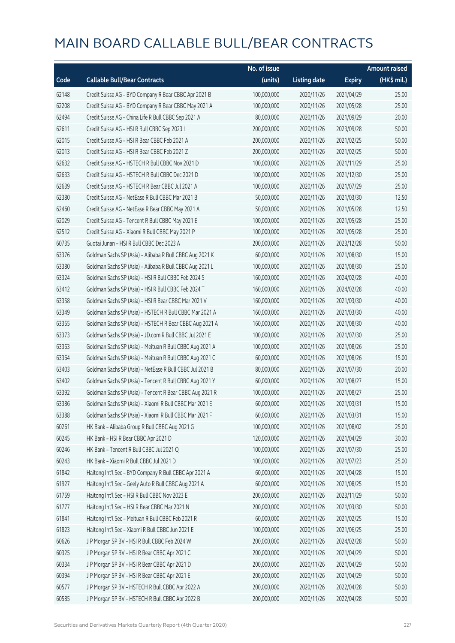|       |                                                          | No. of issue |                     |               | <b>Amount raised</b> |
|-------|----------------------------------------------------------|--------------|---------------------|---------------|----------------------|
| Code  | <b>Callable Bull/Bear Contracts</b>                      | (units)      | <b>Listing date</b> | <b>Expiry</b> | (HK\$ mil.)          |
| 62148 | Credit Suisse AG - BYD Company R Bear CBBC Apr 2021 B    | 100,000,000  | 2020/11/26          | 2021/04/29    | 25.00                |
| 62208 | Credit Suisse AG - BYD Company R Bear CBBC May 2021 A    | 100,000,000  | 2020/11/26          | 2021/05/28    | 25.00                |
| 62494 | Credit Suisse AG - China Life R Bull CBBC Sep 2021 A     | 80,000,000   | 2020/11/26          | 2021/09/29    | 20.00                |
| 62611 | Credit Suisse AG - HSI R Bull CBBC Sep 2023 I            | 200,000,000  | 2020/11/26          | 2023/09/28    | 50.00                |
| 62015 | Credit Suisse AG - HSI R Bear CBBC Feb 2021 A            | 200,000,000  | 2020/11/26          | 2021/02/25    | 50.00                |
| 62013 | Credit Suisse AG - HSI R Bear CBBC Feb 2021 Z            | 200,000,000  | 2020/11/26          | 2021/02/25    | 50.00                |
| 62632 | Credit Suisse AG - HSTECH R Bull CBBC Nov 2021 D         | 100,000,000  | 2020/11/26          | 2021/11/29    | 25.00                |
| 62633 | Credit Suisse AG - HSTECH R Bull CBBC Dec 2021 D         | 100,000,000  | 2020/11/26          | 2021/12/30    | 25.00                |
| 62639 | Credit Suisse AG - HSTECH R Bear CBBC Jul 2021 A         | 100,000,000  | 2020/11/26          | 2021/07/29    | 25.00                |
| 62380 | Credit Suisse AG - NetEase R Bull CBBC Mar 2021 B        | 50,000,000   | 2020/11/26          | 2021/03/30    | 12.50                |
| 62460 | Credit Suisse AG - NetEase R Bear CBBC May 2021 A        | 50,000,000   | 2020/11/26          | 2021/05/28    | 12.50                |
| 62029 | Credit Suisse AG - Tencent R Bull CBBC May 2021 E        | 100,000,000  | 2020/11/26          | 2021/05/28    | 25.00                |
| 62512 | Credit Suisse AG - Xiaomi R Bull CBBC May 2021 P         | 100,000,000  | 2020/11/26          | 2021/05/28    | 25.00                |
| 60735 | Guotai Junan - HSI R Bull CBBC Dec 2023 A                | 200,000,000  | 2020/11/26          | 2023/12/28    | 50.00                |
| 63376 | Goldman Sachs SP (Asia) - Alibaba R Bull CBBC Aug 2021 K | 60,000,000   | 2020/11/26          | 2021/08/30    | 15.00                |
| 63380 | Goldman Sachs SP (Asia) - Alibaba R Bull CBBC Aug 2021 L | 100,000,000  | 2020/11/26          | 2021/08/30    | 25.00                |
| 63324 | Goldman Sachs SP (Asia) - HSI R Bull CBBC Feb 2024 S     | 160,000,000  | 2020/11/26          | 2024/02/28    | 40.00                |
| 63412 | Goldman Sachs SP (Asia) - HSI R Bull CBBC Feb 2024 T     | 160,000,000  | 2020/11/26          | 2024/02/28    | 40.00                |
| 63358 | Goldman Sachs SP (Asia) - HSI R Bear CBBC Mar 2021 V     | 160,000,000  | 2020/11/26          | 2021/03/30    | 40.00                |
| 63349 | Goldman Sachs SP (Asia) - HSTECH R Bull CBBC Mar 2021 A  | 160,000,000  | 2020/11/26          | 2021/03/30    | 40.00                |
| 63355 | Goldman Sachs SP (Asia) - HSTECH R Bear CBBC Aug 2021 A  | 160,000,000  | 2020/11/26          | 2021/08/30    | 40.00                |
| 63373 | Goldman Sachs SP (Asia) - JD.com R Bull CBBC Jul 2021 E  | 100,000,000  | 2020/11/26          | 2021/07/30    | 25.00                |
| 63363 | Goldman Sachs SP (Asia) - Meituan R Bull CBBC Aug 2021 A | 100,000,000  | 2020/11/26          | 2021/08/26    | 25.00                |
| 63364 | Goldman Sachs SP (Asia) - Meituan R Bull CBBC Aug 2021 C | 60,000,000   | 2020/11/26          | 2021/08/26    | 15.00                |
| 63403 | Goldman Sachs SP (Asia) - NetEase R Bull CBBC Jul 2021 B | 80,000,000   | 2020/11/26          | 2021/07/30    | 20.00                |
| 63402 | Goldman Sachs SP (Asia) - Tencent R Bull CBBC Aug 2021 Y | 60,000,000   | 2020/11/26          | 2021/08/27    | 15.00                |
| 63392 | Goldman Sachs SP (Asia) - Tencent R Bear CBBC Aug 2021 R | 100,000,000  | 2020/11/26          | 2021/08/27    | 25.00                |
| 63386 | Goldman Sachs SP (Asia) - Xiaomi R Bull CBBC Mar 2021 E  | 60,000,000   | 2020/11/26          | 2021/03/31    | 15.00                |
| 63388 | Goldman Sachs SP (Asia) - Xiaomi R Bull CBBC Mar 2021 F  | 60,000,000   | 2020/11/26          | 2021/03/31    | 15.00                |
| 60261 | HK Bank - Alibaba Group R Bull CBBC Aug 2021 G           | 100,000,000  | 2020/11/26          | 2021/08/02    | 25.00                |
| 60245 | HK Bank - HSI R Bear CBBC Apr 2021 D                     | 120,000,000  | 2020/11/26          | 2021/04/29    | 30.00                |
| 60246 | HK Bank - Tencent R Bull CBBC Jul 2021 Q                 | 100,000,000  | 2020/11/26          | 2021/07/30    | 25.00                |
| 60243 | HK Bank - Xiaomi R Bull CBBC Jul 2021 D                  | 100,000,000  | 2020/11/26          | 2021/07/23    | 25.00                |
| 61842 | Haitong Int'l Sec - BYD Company R Bull CBBC Apr 2021 A   | 60,000,000   | 2020/11/26          | 2021/04/28    | 15.00                |
| 61927 | Haitong Int'l Sec - Geely Auto R Bull CBBC Aug 2021 A    | 60,000,000   | 2020/11/26          | 2021/08/25    | 15.00                |
| 61759 | Haitong Int'l Sec - HSI R Bull CBBC Nov 2023 E           | 200,000,000  | 2020/11/26          | 2023/11/29    | 50.00                |
| 61777 | Haitong Int'l Sec - HSI R Bear CBBC Mar 2021 N           | 200,000,000  | 2020/11/26          | 2021/03/30    | 50.00                |
| 61841 | Haitong Int'l Sec - Meituan R Bull CBBC Feb 2021 R       | 60,000,000   | 2020/11/26          | 2021/02/25    | 15.00                |
| 61823 | Haitong Int'l Sec - Xiaomi R Bull CBBC Jun 2021 E        | 100,000,000  | 2020/11/26          | 2021/06/25    | 25.00                |
| 60626 | J P Morgan SP BV - HSI R Bull CBBC Feb 2024 W            | 200,000,000  | 2020/11/26          | 2024/02/28    | 50.00                |
| 60325 | J P Morgan SP BV - HSI R Bear CBBC Apr 2021 C            | 200,000,000  | 2020/11/26          | 2021/04/29    | 50.00                |
| 60334 | J P Morgan SP BV - HSI R Bear CBBC Apr 2021 D            | 200,000,000  | 2020/11/26          | 2021/04/29    | 50.00                |
| 60394 | J P Morgan SP BV - HSI R Bear CBBC Apr 2021 E            | 200,000,000  | 2020/11/26          | 2021/04/29    | 50.00                |
| 60577 | J P Morgan SP BV - HSTECH R Bull CBBC Apr 2022 A         | 200,000,000  | 2020/11/26          | 2022/04/28    | 50.00                |
| 60585 | J P Morgan SP BV - HSTECH R Bull CBBC Apr 2022 B         | 200,000,000  | 2020/11/26          | 2022/04/28    | 50.00                |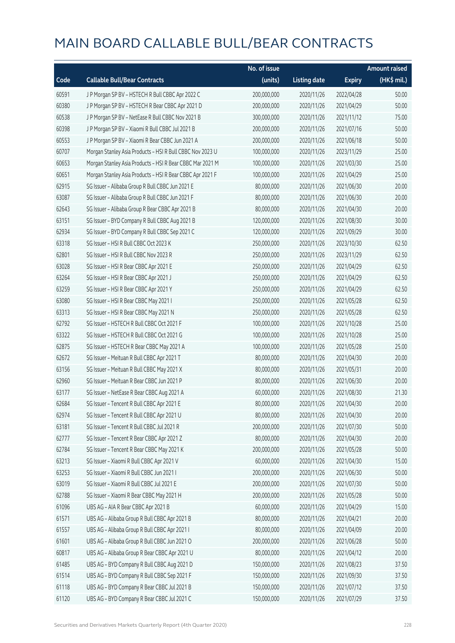|       |                                                           | No. of issue |                     |               | <b>Amount raised</b> |
|-------|-----------------------------------------------------------|--------------|---------------------|---------------|----------------------|
| Code  | <b>Callable Bull/Bear Contracts</b>                       | (units)      | <b>Listing date</b> | <b>Expiry</b> | (HK\$ mil.)          |
| 60591 | J P Morgan SP BV - HSTECH R Bull CBBC Apr 2022 C          | 200,000,000  | 2020/11/26          | 2022/04/28    | 50.00                |
| 60380 | J P Morgan SP BV - HSTECH R Bear CBBC Apr 2021 D          | 200,000,000  | 2020/11/26          | 2021/04/29    | 50.00                |
| 60538 | J P Morgan SP BV - NetEase R Bull CBBC Nov 2021 B         | 300,000,000  | 2020/11/26          | 2021/11/12    | 75.00                |
| 60398 | J P Morgan SP BV - Xiaomi R Bull CBBC Jul 2021 B          | 200,000,000  | 2020/11/26          | 2021/07/16    | 50.00                |
| 60553 | J P Morgan SP BV - Xiaomi R Bear CBBC Jun 2021 A          | 200,000,000  | 2020/11/26          | 2021/06/18    | 50.00                |
| 60707 | Morgan Stanley Asia Products - HSI R Bull CBBC Nov 2023 U | 100,000,000  | 2020/11/26          | 2023/11/29    | 25.00                |
| 60653 | Morgan Stanley Asia Products - HSI R Bear CBBC Mar 2021 M | 100,000,000  | 2020/11/26          | 2021/03/30    | 25.00                |
| 60651 | Morgan Stanley Asia Products - HSI R Bear CBBC Apr 2021 F | 100,000,000  | 2020/11/26          | 2021/04/29    | 25.00                |
| 62915 | SG Issuer - Alibaba Group R Bull CBBC Jun 2021 E          | 80,000,000   | 2020/11/26          | 2021/06/30    | 20.00                |
| 63087 | SG Issuer - Alibaba Group R Bull CBBC Jun 2021 F          | 80,000,000   | 2020/11/26          | 2021/06/30    | 20.00                |
| 62643 | SG Issuer - Alibaba Group R Bear CBBC Apr 2021 B          | 80,000,000   | 2020/11/26          | 2021/04/30    | 20.00                |
| 63151 | SG Issuer - BYD Company R Bull CBBC Aug 2021 B            | 120,000,000  | 2020/11/26          | 2021/08/30    | 30.00                |
| 62934 | SG Issuer - BYD Company R Bull CBBC Sep 2021 C            | 120,000,000  | 2020/11/26          | 2021/09/29    | 30.00                |
| 63318 | SG Issuer - HSI R Bull CBBC Oct 2023 K                    | 250,000,000  | 2020/11/26          | 2023/10/30    | 62.50                |
| 62801 | SG Issuer - HSI R Bull CBBC Nov 2023 R                    | 250,000,000  | 2020/11/26          | 2023/11/29    | 62.50                |
| 63028 | SG Issuer - HSI R Bear CBBC Apr 2021 E                    | 250,000,000  | 2020/11/26          | 2021/04/29    | 62.50                |
| 63264 | SG Issuer - HSI R Bear CBBC Apr 2021 J                    | 250,000,000  | 2020/11/26          | 2021/04/29    | 62.50                |
| 63259 | SG Issuer - HSI R Bear CBBC Apr 2021 Y                    | 250,000,000  | 2020/11/26          | 2021/04/29    | 62.50                |
| 63080 | SG Issuer - HSI R Bear CBBC May 2021 I                    | 250,000,000  | 2020/11/26          | 2021/05/28    | 62.50                |
| 63313 | SG Issuer - HSI R Bear CBBC May 2021 N                    | 250,000,000  | 2020/11/26          | 2021/05/28    | 62.50                |
| 62792 | SG Issuer - HSTECH R Bull CBBC Oct 2021 F                 | 100,000,000  | 2020/11/26          | 2021/10/28    | 25.00                |
| 63322 | SG Issuer - HSTECH R Bull CBBC Oct 2021 G                 | 100,000,000  | 2020/11/26          | 2021/10/28    | 25.00                |
| 62875 | SG Issuer - HSTECH R Bear CBBC May 2021 A                 | 100,000,000  | 2020/11/26          | 2021/05/28    | 25.00                |
| 62672 | SG Issuer - Meituan R Bull CBBC Apr 2021 T                | 80,000,000   | 2020/11/26          | 2021/04/30    | 20.00                |
| 63156 | SG Issuer - Meituan R Bull CBBC May 2021 X                | 80,000,000   | 2020/11/26          | 2021/05/31    | 20.00                |
| 62960 | SG Issuer - Meituan R Bear CBBC Jun 2021 P                | 80,000,000   | 2020/11/26          | 2021/06/30    | 20.00                |
| 63177 | SG Issuer - NetEase R Bear CBBC Aug 2021 A                | 60,000,000   | 2020/11/26          | 2021/08/30    | 21.30                |
| 62684 | SG Issuer - Tencent R Bull CBBC Apr 2021 E                | 80,000,000   | 2020/11/26          | 2021/04/30    | 20.00                |
| 62974 | SG Issuer - Tencent R Bull CBBC Apr 2021 U                | 80,000,000   | 2020/11/26          | 2021/04/30    | 20.00                |
| 63181 | SG Issuer - Tencent R Bull CBBC Jul 2021 R                | 200,000,000  | 2020/11/26          | 2021/07/30    | 50.00                |
| 62777 | SG Issuer - Tencent R Bear CBBC Apr 2021 Z                | 80,000,000   | 2020/11/26          | 2021/04/30    | 20.00                |
| 62784 | SG Issuer - Tencent R Bear CBBC May 2021 K                | 200,000,000  | 2020/11/26          | 2021/05/28    | 50.00                |
| 63213 | SG Issuer - Xiaomi R Bull CBBC Apr 2021 V                 | 60,000,000   | 2020/11/26          | 2021/04/30    | 15.00                |
| 63253 | SG Issuer - Xiaomi R Bull CBBC Jun 2021 I                 | 200,000,000  | 2020/11/26          | 2021/06/30    | 50.00                |
| 63019 | SG Issuer - Xiaomi R Bull CBBC Jul 2021 E                 | 200,000,000  | 2020/11/26          | 2021/07/30    | 50.00                |
| 62788 | SG Issuer - Xiaomi R Bear CBBC May 2021 H                 | 200,000,000  | 2020/11/26          | 2021/05/28    | 50.00                |
| 61096 | UBS AG - AIA R Bear CBBC Apr 2021 B                       | 60,000,000   | 2020/11/26          | 2021/04/29    | 15.00                |
| 61571 | UBS AG - Alibaba Group R Bull CBBC Apr 2021 B             | 80,000,000   | 2020/11/26          | 2021/04/21    | 20.00                |
| 61557 | UBS AG - Alibaba Group R Bull CBBC Apr 2021 I             | 80,000,000   | 2020/11/26          | 2021/04/09    | 20.00                |
| 61601 | UBS AG - Alibaba Group R Bull CBBC Jun 2021 O             | 200,000,000  | 2020/11/26          | 2021/06/28    | 50.00                |
| 60817 | UBS AG - Alibaba Group R Bear CBBC Apr 2021 U             | 80,000,000   | 2020/11/26          | 2021/04/12    | 20.00                |
| 61485 | UBS AG - BYD Company R Bull CBBC Aug 2021 D               | 150,000,000  | 2020/11/26          | 2021/08/23    | 37.50                |
| 61514 | UBS AG - BYD Company R Bull CBBC Sep 2021 F               | 150,000,000  | 2020/11/26          | 2021/09/30    | 37.50                |
| 61118 | UBS AG - BYD Company R Bear CBBC Jul 2021 B               | 150,000,000  | 2020/11/26          | 2021/07/12    | 37.50                |
| 61120 | UBS AG - BYD Company R Bear CBBC Jul 2021 C               | 150,000,000  | 2020/11/26          | 2021/07/29    | 37.50                |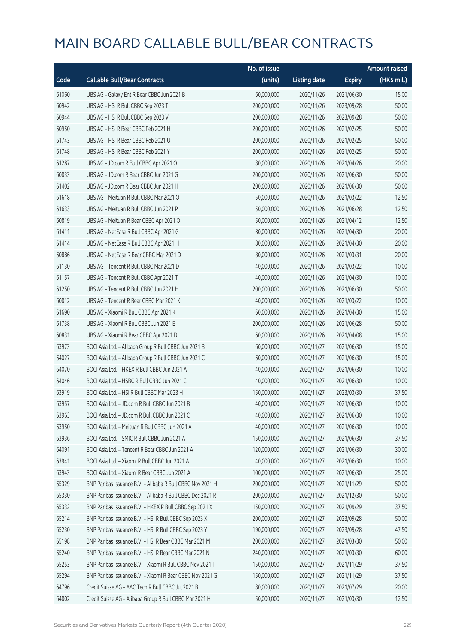|       |                                                            | No. of issue |                     |               | <b>Amount raised</b> |
|-------|------------------------------------------------------------|--------------|---------------------|---------------|----------------------|
| Code  | <b>Callable Bull/Bear Contracts</b>                        | (units)      | <b>Listing date</b> | <b>Expiry</b> | (HK\$ mil.)          |
| 61060 | UBS AG - Galaxy Ent R Bear CBBC Jun 2021 B                 | 60,000,000   | 2020/11/26          | 2021/06/30    | 15.00                |
| 60942 | UBS AG - HSI R Bull CBBC Sep 2023 T                        | 200,000,000  | 2020/11/26          | 2023/09/28    | 50.00                |
| 60944 | UBS AG - HSI R Bull CBBC Sep 2023 V                        | 200,000,000  | 2020/11/26          | 2023/09/28    | 50.00                |
| 60950 | UBS AG - HSI R Bear CBBC Feb 2021 H                        | 200,000,000  | 2020/11/26          | 2021/02/25    | 50.00                |
| 61743 | UBS AG - HSI R Bear CBBC Feb 2021 U                        | 200,000,000  | 2020/11/26          | 2021/02/25    | 50.00                |
| 61748 | UBS AG - HSI R Bear CBBC Feb 2021 Y                        | 200,000,000  | 2020/11/26          | 2021/02/25    | 50.00                |
| 61287 | UBS AG - JD.com R Bull CBBC Apr 2021 O                     | 80,000,000   | 2020/11/26          | 2021/04/26    | 20.00                |
| 60833 | UBS AG - JD.com R Bear CBBC Jun 2021 G                     | 200,000,000  | 2020/11/26          | 2021/06/30    | 50.00                |
| 61402 | UBS AG - JD.com R Bear CBBC Jun 2021 H                     | 200,000,000  | 2020/11/26          | 2021/06/30    | 50.00                |
| 61618 | UBS AG - Meituan R Bull CBBC Mar 2021 O                    | 50,000,000   | 2020/11/26          | 2021/03/22    | 12.50                |
| 61633 | UBS AG - Meituan R Bull CBBC Jun 2021 P                    | 50,000,000   | 2020/11/26          | 2021/06/28    | 12.50                |
| 60819 | UBS AG - Meituan R Bear CBBC Apr 2021 O                    | 50,000,000   | 2020/11/26          | 2021/04/12    | 12.50                |
| 61411 | UBS AG - NetEase R Bull CBBC Apr 2021 G                    | 80,000,000   | 2020/11/26          | 2021/04/30    | 20.00                |
| 61414 | UBS AG - NetEase R Bull CBBC Apr 2021 H                    | 80,000,000   | 2020/11/26          | 2021/04/30    | 20.00                |
| 60886 | UBS AG - NetEase R Bear CBBC Mar 2021 D                    | 80,000,000   | 2020/11/26          | 2021/03/31    | 20.00                |
| 61130 | UBS AG - Tencent R Bull CBBC Mar 2021 D                    | 40,000,000   | 2020/11/26          | 2021/03/22    | 10.00                |
| 61157 | UBS AG - Tencent R Bull CBBC Apr 2021 T                    | 40,000,000   | 2020/11/26          | 2021/04/30    | 10.00                |
| 61250 | UBS AG - Tencent R Bull CBBC Jun 2021 H                    | 200,000,000  | 2020/11/26          | 2021/06/30    | 50.00                |
| 60812 | UBS AG - Tencent R Bear CBBC Mar 2021 K                    | 40,000,000   | 2020/11/26          | 2021/03/22    | 10.00                |
| 61690 | UBS AG - Xiaomi R Bull CBBC Apr 2021 K                     | 60,000,000   | 2020/11/26          | 2021/04/30    | 15.00                |
| 61738 | UBS AG - Xiaomi R Bull CBBC Jun 2021 E                     | 200,000,000  | 2020/11/26          | 2021/06/28    | 50.00                |
| 60831 | UBS AG - Xiaomi R Bear CBBC Apr 2021 D                     | 60,000,000   | 2020/11/26          | 2021/04/08    | 15.00                |
| 63973 | BOCI Asia Ltd. - Alibaba Group R Bull CBBC Jun 2021 B      | 60,000,000   | 2020/11/27          | 2021/06/30    | 15.00                |
| 64027 | BOCI Asia Ltd. - Alibaba Group R Bull CBBC Jun 2021 C      | 60,000,000   | 2020/11/27          | 2021/06/30    | 15.00                |
| 64070 | BOCI Asia Ltd. - HKEX R Bull CBBC Jun 2021 A               | 40,000,000   | 2020/11/27          | 2021/06/30    | 10.00                |
| 64046 | BOCI Asia Ltd. - HSBC R Bull CBBC Jun 2021 C               | 40,000,000   | 2020/11/27          | 2021/06/30    | 10.00                |
| 63919 | BOCI Asia Ltd. - HSI R Bull CBBC Mar 2023 H                | 150,000,000  | 2020/11/27          | 2023/03/30    | 37.50                |
| 63957 | BOCI Asia Ltd. - JD.com R Bull CBBC Jun 2021 B             | 40,000,000   | 2020/11/27          | 2021/06/30    | 10.00                |
| 63963 | BOCI Asia Ltd. - JD.com R Bull CBBC Jun 2021 C             | 40,000,000   | 2020/11/27          | 2021/06/30    | 10.00                |
| 63950 | BOCI Asia Ltd. - Meituan R Bull CBBC Jun 2021 A            | 40,000,000   | 2020/11/27          | 2021/06/30    | 10.00                |
| 63936 | BOCI Asia Ltd. - SMIC R Bull CBBC Jun 2021 A               | 150,000,000  | 2020/11/27          | 2021/06/30    | 37.50                |
| 64091 | BOCI Asia Ltd. - Tencent R Bear CBBC Jun 2021 A            | 120,000,000  | 2020/11/27          | 2021/06/30    | 30.00                |
| 63941 | BOCI Asia Ltd. - Xiaomi R Bull CBBC Jun 2021 A             | 40,000,000   | 2020/11/27          | 2021/06/30    | 10.00                |
| 63943 | BOCI Asia Ltd. - Xiaomi R Bear CBBC Jun 2021 A             | 100,000,000  | 2020/11/27          | 2021/06/30    | 25.00                |
| 65329 | BNP Paribas Issuance B.V. - Alibaba R Bull CBBC Nov 2021 H | 200,000,000  | 2020/11/27          | 2021/11/29    | 50.00                |
| 65330 | BNP Paribas Issuance B.V. - Alibaba R Bull CBBC Dec 2021 R | 200,000,000  | 2020/11/27          | 2021/12/30    | 50.00                |
| 65332 | BNP Paribas Issuance B.V. - HKEX R Bull CBBC Sep 2021 X    | 150,000,000  | 2020/11/27          | 2021/09/29    | 37.50                |
| 65214 | BNP Paribas Issuance B.V. - HSI R Bull CBBC Sep 2023 X     | 200,000,000  | 2020/11/27          | 2023/09/28    | 50.00                |
| 65230 | BNP Paribas Issuance B.V. - HSI R Bull CBBC Sep 2023 Y     | 190,000,000  | 2020/11/27          | 2023/09/28    | 47.50                |
| 65198 | BNP Paribas Issuance B.V. - HSI R Bear CBBC Mar 2021 M     | 200,000,000  | 2020/11/27          | 2021/03/30    | 50.00                |
| 65240 | BNP Paribas Issuance B.V. - HSI R Bear CBBC Mar 2021 N     | 240,000,000  | 2020/11/27          | 2021/03/30    | 60.00                |
| 65253 | BNP Paribas Issuance B.V. - Xiaomi R Bull CBBC Nov 2021 T  | 150,000,000  | 2020/11/27          | 2021/11/29    | 37.50                |
| 65294 | BNP Paribas Issuance B.V. - Xiaomi R Bear CBBC Nov 2021 G  | 150,000,000  | 2020/11/27          | 2021/11/29    | 37.50                |
| 64796 | Credit Suisse AG - AAC Tech R Bull CBBC Jul 2021 B         | 80,000,000   | 2020/11/27          | 2021/07/29    | 20.00                |
| 64802 | Credit Suisse AG - Alibaba Group R Bull CBBC Mar 2021 H    | 50,000,000   | 2020/11/27          | 2021/03/30    | 12.50                |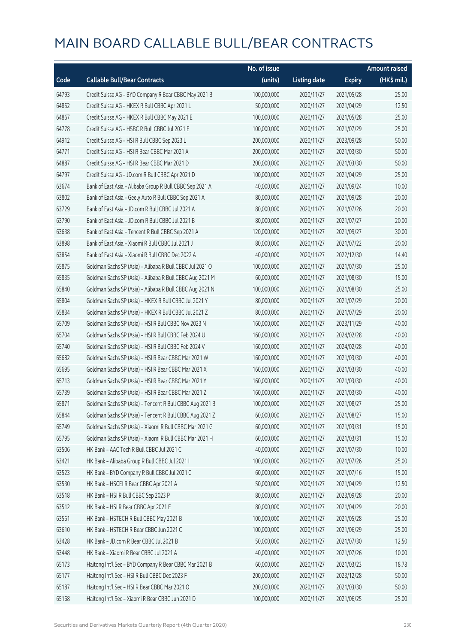|       |                                                          | No. of issue |                     |               | <b>Amount raised</b> |
|-------|----------------------------------------------------------|--------------|---------------------|---------------|----------------------|
| Code  | <b>Callable Bull/Bear Contracts</b>                      | (units)      | <b>Listing date</b> | <b>Expiry</b> | (HK\$ mil.)          |
| 64793 | Credit Suisse AG - BYD Company R Bear CBBC May 2021 B    | 100,000,000  | 2020/11/27          | 2021/05/28    | 25.00                |
| 64852 | Credit Suisse AG - HKEX R Bull CBBC Apr 2021 L           | 50,000,000   | 2020/11/27          | 2021/04/29    | 12.50                |
| 64867 | Credit Suisse AG - HKEX R Bull CBBC May 2021 E           | 100,000,000  | 2020/11/27          | 2021/05/28    | 25.00                |
| 64778 | Credit Suisse AG - HSBC R Bull CBBC Jul 2021 E           | 100,000,000  | 2020/11/27          | 2021/07/29    | 25.00                |
| 64912 | Credit Suisse AG - HSI R Bull CBBC Sep 2023 L            | 200,000,000  | 2020/11/27          | 2023/09/28    | 50.00                |
| 64771 | Credit Suisse AG - HSI R Bear CBBC Mar 2021 A            | 200,000,000  | 2020/11/27          | 2021/03/30    | 50.00                |
| 64887 | Credit Suisse AG - HSI R Bear CBBC Mar 2021 D            | 200,000,000  | 2020/11/27          | 2021/03/30    | 50.00                |
| 64797 | Credit Suisse AG - JD.com R Bull CBBC Apr 2021 D         | 100,000,000  | 2020/11/27          | 2021/04/29    | 25.00                |
| 63674 | Bank of East Asia - Alibaba Group R Bull CBBC Sep 2021 A | 40,000,000   | 2020/11/27          | 2021/09/24    | 10.00                |
| 63802 | Bank of East Asia - Geely Auto R Bull CBBC Sep 2021 A    | 80,000,000   | 2020/11/27          | 2021/09/28    | 20.00                |
| 63729 | Bank of East Asia - JD.com R Bull CBBC Jul 2021 A        | 80,000,000   | 2020/11/27          | 2021/07/26    | 20.00                |
| 63790 | Bank of East Asia - JD.com R Bull CBBC Jul 2021 B        | 80,000,000   | 2020/11/27          | 2021/07/27    | 20.00                |
| 63638 | Bank of East Asia - Tencent R Bull CBBC Sep 2021 A       | 120,000,000  | 2020/11/27          | 2021/09/27    | 30.00                |
| 63898 | Bank of East Asia - Xiaomi R Bull CBBC Jul 2021 J        | 80,000,000   | 2020/11/27          | 2021/07/22    | 20.00                |
| 63854 | Bank of East Asia - Xiaomi R Bull CBBC Dec 2022 A        | 40,000,000   | 2020/11/27          | 2022/12/30    | 14.40                |
| 65875 | Goldman Sachs SP (Asia) - Alibaba R Bull CBBC Jul 2021 O | 100,000,000  | 2020/11/27          | 2021/07/30    | 25.00                |
| 65835 | Goldman Sachs SP (Asia) - Alibaba R Bull CBBC Aug 2021 M | 60,000,000   | 2020/11/27          | 2021/08/30    | 15.00                |
| 65840 | Goldman Sachs SP (Asia) - Alibaba R Bull CBBC Aug 2021 N | 100,000,000  | 2020/11/27          | 2021/08/30    | 25.00                |
| 65804 | Goldman Sachs SP (Asia) - HKEX R Bull CBBC Jul 2021 Y    | 80,000,000   | 2020/11/27          | 2021/07/29    | 20.00                |
| 65834 | Goldman Sachs SP (Asia) - HKEX R Bull CBBC Jul 2021 Z    | 80,000,000   | 2020/11/27          | 2021/07/29    | 20.00                |
| 65709 | Goldman Sachs SP (Asia) - HSI R Bull CBBC Nov 2023 N     | 160,000,000  | 2020/11/27          | 2023/11/29    | 40.00                |
| 65704 | Goldman Sachs SP (Asia) - HSI R Bull CBBC Feb 2024 U     | 160,000,000  | 2020/11/27          | 2024/02/28    | 40.00                |
| 65740 | Goldman Sachs SP (Asia) - HSI R Bull CBBC Feb 2024 V     | 160,000,000  | 2020/11/27          | 2024/02/28    | 40.00                |
| 65682 | Goldman Sachs SP (Asia) - HSI R Bear CBBC Mar 2021 W     | 160,000,000  | 2020/11/27          | 2021/03/30    | 40.00                |
| 65695 | Goldman Sachs SP (Asia) - HSI R Bear CBBC Mar 2021 X     | 160,000,000  | 2020/11/27          | 2021/03/30    | 40.00                |
| 65713 | Goldman Sachs SP (Asia) - HSI R Bear CBBC Mar 2021 Y     | 160,000,000  | 2020/11/27          | 2021/03/30    | 40.00                |
| 65739 | Goldman Sachs SP (Asia) - HSI R Bear CBBC Mar 2021 Z     | 160,000,000  | 2020/11/27          | 2021/03/30    | 40.00                |
| 65871 | Goldman Sachs SP (Asia) - Tencent R Bull CBBC Aug 2021 B | 100,000,000  | 2020/11/27          | 2021/08/27    | 25.00                |
| 65844 | Goldman Sachs SP (Asia) - Tencent R Bull CBBC Aug 2021 Z | 60,000,000   | 2020/11/27          | 2021/08/27    | 15.00                |
| 65749 | Goldman Sachs SP (Asia) - Xiaomi R Bull CBBC Mar 2021 G  | 60,000,000   | 2020/11/27          | 2021/03/31    | 15.00                |
| 65795 | Goldman Sachs SP (Asia) - Xiaomi R Bull CBBC Mar 2021 H  | 60,000,000   | 2020/11/27          | 2021/03/31    | 15.00                |
| 63506 | HK Bank - AAC Tech R Bull CBBC Jul 2021 C                | 40,000,000   | 2020/11/27          | 2021/07/30    | 10.00                |
| 63421 | HK Bank - Alibaba Group R Bull CBBC Jul 2021 I           | 100,000,000  | 2020/11/27          | 2021/07/26    | 25.00                |
| 63523 | HK Bank - BYD Company R Bull CBBC Jul 2021 C             | 60,000,000   | 2020/11/27          | 2021/07/16    | 15.00                |
| 63530 | HK Bank - HSCEI R Bear CBBC Apr 2021 A                   | 50,000,000   | 2020/11/27          | 2021/04/29    | 12.50                |
| 63518 | HK Bank - HSI R Bull CBBC Sep 2023 P                     | 80,000,000   | 2020/11/27          | 2023/09/28    | 20.00                |
| 63512 | HK Bank - HSI R Bear CBBC Apr 2021 E                     | 80,000,000   | 2020/11/27          | 2021/04/29    | 20.00                |
| 63561 | HK Bank - HSTECH R Bull CBBC May 2021 B                  | 100,000,000  | 2020/11/27          | 2021/05/28    | 25.00                |
| 63610 | HK Bank - HSTECH R Bear CBBC Jun 2021 C                  | 100,000,000  | 2020/11/27          | 2021/06/29    | 25.00                |
| 63428 | HK Bank - JD.com R Bear CBBC Jul 2021 B                  | 50,000,000   | 2020/11/27          | 2021/07/30    | 12.50                |
| 63448 | HK Bank - Xiaomi R Bear CBBC Jul 2021 A                  | 40,000,000   | 2020/11/27          | 2021/07/26    | 10.00                |
| 65173 | Haitong Int'l Sec - BYD Company R Bear CBBC Mar 2021 B   | 60,000,000   | 2020/11/27          | 2021/03/23    | 18.78                |
| 65177 | Haitong Int'l Sec - HSI R Bull CBBC Dec 2023 F           | 200,000,000  | 2020/11/27          | 2023/12/28    | 50.00                |
| 65187 | Haitong Int'l Sec - HSI R Bear CBBC Mar 2021 O           | 200,000,000  | 2020/11/27          | 2021/03/30    | 50.00                |
| 65168 | Haitong Int'l Sec - Xiaomi R Bear CBBC Jun 2021 D        | 100,000,000  | 2020/11/27          | 2021/06/25    | 25.00                |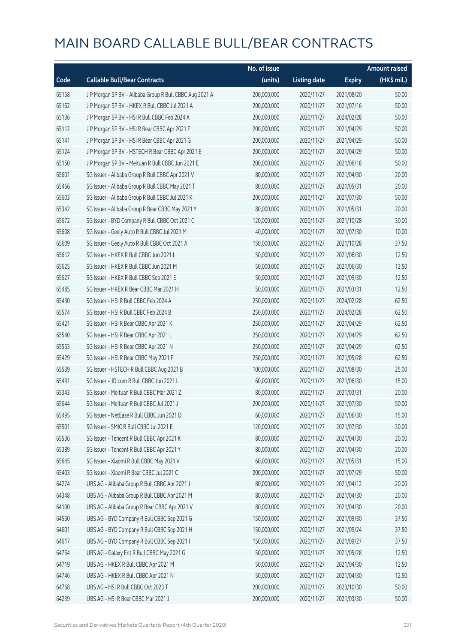|       |                                                         | No. of issue |                     |               | <b>Amount raised</b> |
|-------|---------------------------------------------------------|--------------|---------------------|---------------|----------------------|
| Code  | <b>Callable Bull/Bear Contracts</b>                     | (units)      | <b>Listing date</b> | <b>Expiry</b> | (HK\$ mil.)          |
| 65158 | J P Morgan SP BV - Alibaba Group R Bull CBBC Aug 2021 A | 200,000,000  | 2020/11/27          | 2021/08/20    | 50.00                |
| 65162 | J P Morgan SP BV - HKEX R Bull CBBC Jul 2021 A          | 200,000,000  | 2020/11/27          | 2021/07/16    | 50.00                |
| 65136 | J P Morgan SP BV - HSI R Bull CBBC Feb 2024 X           | 200,000,000  | 2020/11/27          | 2024/02/28    | 50.00                |
| 65112 | J P Morgan SP BV - HSI R Bear CBBC Apr 2021 F           | 200,000,000  | 2020/11/27          | 2021/04/29    | 50.00                |
| 65141 | J P Morgan SP BV - HSI R Bear CBBC Apr 2021 G           | 200,000,000  | 2020/11/27          | 2021/04/29    | 50.00                |
| 65124 | J P Morgan SP BV - HSTECH R Bear CBBC Apr 2021 E        | 200,000,000  | 2020/11/27          | 2021/04/29    | 50.00                |
| 65150 | J P Morgan SP BV - Meituan R Bull CBBC Jun 2021 E       | 200,000,000  | 2020/11/27          | 2021/06/18    | 50.00                |
| 65601 | SG Issuer - Alibaba Group R Bull CBBC Apr 2021 V        | 80,000,000   | 2020/11/27          | 2021/04/30    | 20.00                |
| 65466 | SG Issuer - Alibaba Group R Bull CBBC May 2021 T        | 80,000,000   | 2020/11/27          | 2021/05/31    | 20.00                |
| 65603 | SG Issuer - Alibaba Group R Bull CBBC Jul 2021 K        | 200,000,000  | 2020/11/27          | 2021/07/30    | 50.00                |
| 65342 | SG Issuer - Alibaba Group R Bear CBBC May 2021 Y        | 80,000,000   | 2020/11/27          | 2021/05/31    | 20.00                |
| 65672 | SG Issuer - BYD Company R Bull CBBC Oct 2021 C          | 120,000,000  | 2020/11/27          | 2021/10/28    | 30.00                |
| 65608 | SG Issuer - Geely Auto R Bull CBBC Jul 2021 M           | 40,000,000   | 2020/11/27          | 2021/07/30    | 10.00                |
| 65609 | SG Issuer - Geely Auto R Bull CBBC Oct 2021 A           | 150,000,000  | 2020/11/27          | 2021/10/28    | 37.50                |
| 65612 | SG Issuer - HKEX R Bull CBBC Jun 2021 L                 | 50,000,000   | 2020/11/27          | 2021/06/30    | 12.50                |
| 65625 | SG Issuer - HKEX R Bull CBBC Jun 2021 M                 | 50,000,000   | 2020/11/27          | 2021/06/30    | 12.50                |
| 65627 | SG Issuer - HKEX R Bull CBBC Sep 2021 E                 | 50,000,000   | 2020/11/27          | 2021/09/30    | 12.50                |
| 65485 | SG Issuer - HKEX R Bear CBBC Mar 2021 H                 | 50,000,000   | 2020/11/27          | 2021/03/31    | 12.50                |
| 65430 | SG Issuer - HSI R Bull CBBC Feb 2024 A                  | 250,000,000  | 2020/11/27          | 2024/02/28    | 62.50                |
| 65574 | SG Issuer - HSI R Bull CBBC Feb 2024 B                  | 250,000,000  | 2020/11/27          | 2024/02/28    | 62.50                |
| 65421 | SG Issuer - HSI R Bear CBBC Apr 2021 K                  | 250,000,000  | 2020/11/27          | 2021/04/29    | 62.50                |
| 65540 | SG Issuer - HSI R Bear CBBC Apr 2021 L                  | 250,000,000  | 2020/11/27          | 2021/04/29    | 62.50                |
| 65553 | SG Issuer - HSI R Bear CBBC Apr 2021 N                  | 250,000,000  | 2020/11/27          | 2021/04/29    | 62.50                |
| 65429 | SG Issuer - HSI R Bear CBBC May 2021 P                  | 250,000,000  | 2020/11/27          | 2021/05/28    | 62.50                |
| 65539 | SG Issuer - HSTECH R Bull CBBC Aug 2021 B               | 100,000,000  | 2020/11/27          | 2021/08/30    | 25.00                |
| 65491 | SG Issuer - JD.com R Bull CBBC Jun 2021 L               | 60,000,000   | 2020/11/27          | 2021/06/30    | 15.00                |
| 65343 | SG Issuer - Meituan R Bull CBBC Mar 2021 Z              | 80,000,000   | 2020/11/27          | 2021/03/31    | 20.00                |
| 65644 | SG Issuer - Meituan R Bull CBBC Jul 2021 J              | 200,000,000  | 2020/11/27          | 2021/07/30    | 50.00                |
| 65495 | SG Issuer - NetEase R Bull CBBC Jun 2021 D              | 60,000,000   | 2020/11/27          | 2021/06/30    | 15.00                |
| 65501 | SG Issuer - SMIC R Bull CBBC Jul 2021 E                 | 120,000,000  | 2020/11/27          | 2021/07/30    | 30.00                |
| 65536 | SG Issuer - Tencent R Bull CBBC Apr 2021 K              | 80,000,000   | 2020/11/27          | 2021/04/30    | 20.00                |
| 65389 | SG Issuer - Tencent R Bull CBBC Apr 2021 Y              | 80,000,000   | 2020/11/27          | 2021/04/30    | 20.00                |
| 65645 | SG Issuer - Xiaomi R Bull CBBC May 2021 V               | 60,000,000   | 2020/11/27          | 2021/05/31    | 15.00                |
| 65403 | SG Issuer - Xiaomi R Bear CBBC Jul 2021 C               | 200,000,000  | 2020/11/27          | 2021/07/29    | 50.00                |
| 64274 | UBS AG - Alibaba Group R Bull CBBC Apr 2021 J           | 80,000,000   | 2020/11/27          | 2021/04/12    | 20.00                |
| 64348 | UBS AG - Alibaba Group R Bull CBBC Apr 2021 M           | 80,000,000   | 2020/11/27          | 2021/04/30    | 20.00                |
| 64100 | UBS AG - Alibaba Group R Bear CBBC Apr 2021 V           | 80,000,000   | 2020/11/27          | 2021/04/30    | 20.00                |
| 64560 | UBS AG - BYD Company R Bull CBBC Sep 2021 G             | 150,000,000  | 2020/11/27          | 2021/09/30    | 37.50                |
| 64601 | UBS AG - BYD Company R Bull CBBC Sep 2021 H             | 150,000,000  | 2020/11/27          | 2021/09/24    | 37.50                |
| 64617 | UBS AG - BYD Company R Bull CBBC Sep 2021 I             | 150,000,000  | 2020/11/27          | 2021/09/27    | 37.50                |
| 64754 | UBS AG - Galaxy Ent R Bull CBBC May 2021 G              | 50,000,000   | 2020/11/27          | 2021/05/28    | 12.50                |
| 64719 | UBS AG - HKEX R Bull CBBC Apr 2021 M                    | 50,000,000   | 2020/11/27          | 2021/04/30    | 12.50                |
| 64746 | UBS AG - HKEX R Bull CBBC Apr 2021 N                    | 50,000,000   | 2020/11/27          | 2021/04/30    | 12.50                |
| 64768 | UBS AG - HSI R Bull CBBC Oct 2023 T                     | 200,000,000  | 2020/11/27          | 2023/10/30    | 50.00                |
| 64239 | UBS AG - HSI R Bear CBBC Mar 2021 J                     | 200,000,000  | 2020/11/27          | 2021/03/30    | 50.00                |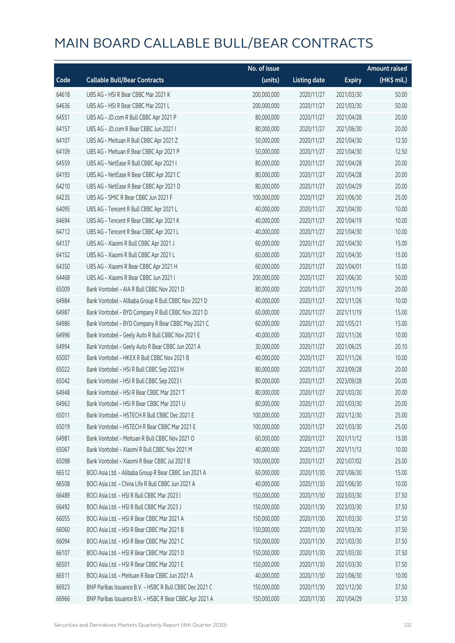|       |                                                         | No. of issue |                     |               | <b>Amount raised</b> |
|-------|---------------------------------------------------------|--------------|---------------------|---------------|----------------------|
| Code  | <b>Callable Bull/Bear Contracts</b>                     | (units)      | <b>Listing date</b> | <b>Expiry</b> | (HK\$ mil.)          |
| 64618 | UBS AG - HSI R Bear CBBC Mar 2021 K                     | 200,000,000  | 2020/11/27          | 2021/03/30    | 50.00                |
| 64636 | UBS AG - HSI R Bear CBBC Mar 2021 L                     | 200,000,000  | 2020/11/27          | 2021/03/30    | 50.00                |
| 64551 | UBS AG - JD.com R Bull CBBC Apr 2021 P                  | 80,000,000   | 2020/11/27          | 2021/04/28    | 20.00                |
| 64157 | UBS AG - JD.com R Bear CBBC Jun 2021 I                  | 80,000,000   | 2020/11/27          | 2021/06/30    | 20.00                |
| 64107 | UBS AG - Meituan R Bull CBBC Apr 2021 Z                 | 50,000,000   | 2020/11/27          | 2021/04/30    | 12.50                |
| 64109 | UBS AG - Meituan R Bear CBBC Apr 2021 P                 | 50,000,000   | 2020/11/27          | 2021/04/30    | 12.50                |
| 64559 | UBS AG - NetEase R Bull CBBC Apr 2021 I                 | 80,000,000   | 2020/11/27          | 2021/04/28    | 20.00                |
| 64193 | UBS AG - NetEase R Bear CBBC Apr 2021 C                 | 80,000,000   | 2020/11/27          | 2021/04/28    | 20.00                |
| 64210 | UBS AG - NetEase R Bear CBBC Apr 2021 D                 | 80,000,000   | 2020/11/27          | 2021/04/29    | 20.00                |
| 64235 | UBS AG - SMIC R Bear CBBC Jun 2021 F                    | 100,000,000  | 2020/11/27          | 2021/06/30    | 25.00                |
| 64095 | UBS AG - Tencent R Bull CBBC Apr 2021 L                 | 40,000,000   | 2020/11/27          | 2021/04/30    | 10.00                |
| 64694 | UBS AG - Tencent R Bear CBBC Apr 2021 K                 | 40,000,000   | 2020/11/27          | 2021/04/19    | 10.00                |
| 64712 | UBS AG - Tencent R Bear CBBC Apr 2021 L                 | 40,000,000   | 2020/11/27          | 2021/04/30    | 10.00                |
| 64137 | UBS AG - Xiaomi R Bull CBBC Apr 2021 J                  | 60,000,000   | 2020/11/27          | 2021/04/30    | 15.00                |
| 64152 | UBS AG - Xiaomi R Bull CBBC Apr 2021 L                  | 60,000,000   | 2020/11/27          | 2021/04/30    | 15.00                |
| 64350 | UBS AG - Xiaomi R Bear CBBC Apr 2021 H                  | 60,000,000   | 2020/11/27          | 2021/04/01    | 15.00                |
| 64468 | UBS AG - Xiaomi R Bear CBBC Jun 2021 I                  | 200,000,000  | 2020/11/27          | 2021/06/30    | 50.00                |
| 65009 | Bank Vontobel - AIA R Bull CBBC Nov 2021 D              | 80,000,000   | 2020/11/27          | 2021/11/19    | 20.00                |
| 64984 | Bank Vontobel - Alibaba Group R Bull CBBC Nov 2021 D    | 40,000,000   | 2020/11/27          | 2021/11/26    | 10.00                |
| 64987 | Bank Vontobel - BYD Company R Bull CBBC Nov 2021 D      | 60,000,000   | 2020/11/27          | 2021/11/19    | 15.00                |
| 64986 | Bank Vontobel - BYD Company R Bear CBBC May 2021 C      | 60,000,000   | 2020/11/27          | 2021/05/21    | 15.00                |
| 64996 | Bank Vontobel - Geely Auto R Bull CBBC Nov 2021 E       | 40,000,000   | 2020/11/27          | 2021/11/26    | 10.00                |
| 64994 | Bank Vontobel - Geely Auto R Bear CBBC Jun 2021 A       | 30,000,000   | 2020/11/27          | 2021/06/25    | 20.10                |
| 65007 | Bank Vontobel - HKEX R Bull CBBC Nov 2021 B             | 40,000,000   | 2020/11/27          | 2021/11/26    | 10.00                |
| 65022 | Bank Vontobel - HSI R Bull CBBC Sep 2023 H              | 80,000,000   | 2020/11/27          | 2023/09/28    | 20.00                |
| 65042 | Bank Vontobel - HSI R Bull CBBC Sep 2023 I              | 80,000,000   | 2020/11/27          | 2023/09/28    | 20.00                |
| 64948 | Bank Vontobel - HSI R Bear CBBC Mar 2021 T              | 80,000,000   | 2020/11/27          | 2021/03/30    | 20.00                |
| 64963 | Bank Vontobel - HSI R Bear CBBC Mar 2021 U              | 80,000,000   | 2020/11/27          | 2021/03/30    | 20.00                |
| 65011 | Bank Vontobel - HSTECH R Bull CBBC Dec 2021 E           | 100,000,000  | 2020/11/27          | 2021/12/30    | 25.00                |
| 65019 | Bank Vontobel - HSTECH R Bear CBBC Mar 2021 E           | 100,000,000  | 2020/11/27          | 2021/03/30    | 25.00                |
| 64981 | Bank Vontobel - Meituan R Bull CBBC Nov 2021 O          | 60,000,000   | 2020/11/27          | 2021/11/12    | 15.00                |
| 65067 | Bank Vontobel - Xiaomi R Bull CBBC Nov 2021 M           | 40,000,000   | 2020/11/27          | 2021/11/12    | 10.00                |
| 65098 | Bank Vontobel - Xiaomi R Bear CBBC Jul 2021 B           | 100,000,000  | 2020/11/27          | 2021/07/02    | 25.00                |
| 66512 | BOCI Asia Ltd. - Alibaba Group R Bear CBBC Jun 2021 A   | 60,000,000   | 2020/11/30          | 2021/06/30    | 15.00                |
| 66508 | BOCI Asia Ltd. - China Life R Bull CBBC Jun 2021 A      | 40,000,000   | 2020/11/30          | 2021/06/30    | 10.00                |
| 66489 | BOCI Asia Ltd. - HSI R Bull CBBC Mar 2023 I             | 150,000,000  | 2020/11/30          | 2023/03/30    | 37.50                |
| 66492 | BOCI Asia Ltd. - HSI R Bull CBBC Mar 2023 J             | 150,000,000  | 2020/11/30          | 2023/03/30    | 37.50                |
| 66055 | BOCI Asia Ltd. - HSI R Bear CBBC Mar 2021 A             | 150,000,000  | 2020/11/30          | 2021/03/30    | 37.50                |
| 66060 | BOCI Asia Ltd. - HSI R Bear CBBC Mar 2021 B             | 150,000,000  | 2020/11/30          | 2021/03/30    | 37.50                |
| 66094 | BOCI Asia Ltd. - HSI R Bear CBBC Mar 2021 C             | 150,000,000  | 2020/11/30          | 2021/03/30    | 37.50                |
| 66107 | BOCI Asia Ltd. - HSI R Bear CBBC Mar 2021 D             | 150,000,000  | 2020/11/30          | 2021/03/30    | 37.50                |
| 66501 | BOCI Asia Ltd. - HSI R Bear CBBC Mar 2021 E             | 150,000,000  | 2020/11/30          | 2021/03/30    | 37.50                |
| 66511 | BOCI Asia Ltd. - Meituan R Bear CBBC Jun 2021 A         | 40,000,000   | 2020/11/30          | 2021/06/30    | 10.00                |
| 66923 | BNP Paribas Issuance B.V. - HSBC R Bull CBBC Dec 2021 C | 150,000,000  | 2020/11/30          | 2021/12/30    | 37.50                |
| 66966 | BNP Paribas Issuance B.V. - HSBC R Bear CBBC Apr 2021 A | 150,000,000  | 2020/11/30          | 2021/04/29    | 37.50                |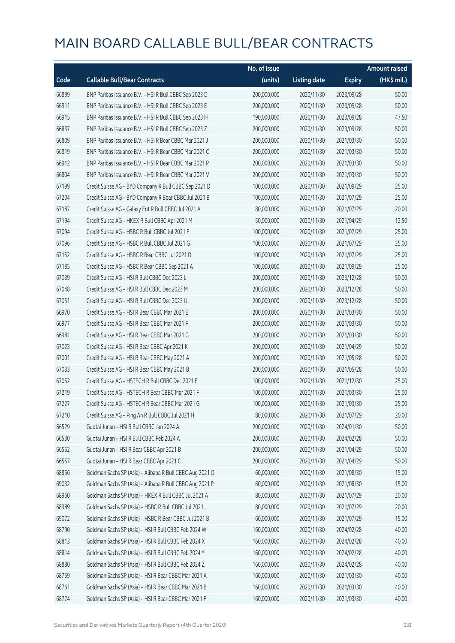|       |                                                          | No. of issue |                     |               | <b>Amount raised</b>  |
|-------|----------------------------------------------------------|--------------|---------------------|---------------|-----------------------|
| Code  | <b>Callable Bull/Bear Contracts</b>                      | (units)      | <b>Listing date</b> | <b>Expiry</b> | $(HK\frac{1}{2}mil.)$ |
| 66899 | BNP Paribas Issuance B.V. - HSI R Bull CBBC Sep 2023 D   | 200,000,000  | 2020/11/30          | 2023/09/28    | 50.00                 |
| 66911 | BNP Paribas Issuance B.V. - HSI R Bull CBBC Sep 2023 E   | 200,000,000  | 2020/11/30          | 2023/09/28    | 50.00                 |
| 66915 | BNP Paribas Issuance B.V. - HSI R Bull CBBC Sep 2023 H   | 190,000,000  | 2020/11/30          | 2023/09/28    | 47.50                 |
| 66837 | BNP Paribas Issuance B.V. - HSI R Bull CBBC Sep 2023 Z   | 200,000,000  | 2020/11/30          | 2023/09/28    | 50.00                 |
| 66809 | BNP Paribas Issuance B.V. - HSI R Bear CBBC Mar 2021 J   | 200,000,000  | 2020/11/30          | 2021/03/30    | 50.00                 |
| 66819 | BNP Paribas Issuance B.V. - HSI R Bear CBBC Mar 2021 O   | 200,000,000  | 2020/11/30          | 2021/03/30    | 50.00                 |
| 66912 | BNP Paribas Issuance B.V. - HSI R Bear CBBC Mar 2021 P   | 200,000,000  | 2020/11/30          | 2021/03/30    | 50.00                 |
| 66804 | BNP Paribas Issuance B.V. - HSI R Bear CBBC Mar 2021 V   | 200,000,000  | 2020/11/30          | 2021/03/30    | 50.00                 |
| 67199 | Credit Suisse AG - BYD Company R Bull CBBC Sep 2021 D    | 100,000,000  | 2020/11/30          | 2021/09/29    | 25.00                 |
| 67204 | Credit Suisse AG - BYD Company R Bear CBBC Jul 2021 B    | 100,000,000  | 2020/11/30          | 2021/07/29    | 25.00                 |
| 67187 | Credit Suisse AG - Galaxy Ent R Bull CBBC Jul 2021 A     | 80,000,000   | 2020/11/30          | 2021/07/29    | 20.00                 |
| 67194 | Credit Suisse AG - HKEX R Bull CBBC Apr 2021 M           | 50,000,000   | 2020/11/30          | 2021/04/29    | 12.50                 |
| 67094 | Credit Suisse AG - HSBC R Bull CBBC Jul 2021 F           | 100,000,000  | 2020/11/30          | 2021/07/29    | 25.00                 |
| 67096 | Credit Suisse AG - HSBC R Bull CBBC Jul 2021 G           | 100,000,000  | 2020/11/30          | 2021/07/29    | 25.00                 |
| 67152 | Credit Suisse AG - HSBC R Bear CBBC Jul 2021 D           | 100,000,000  | 2020/11/30          | 2021/07/29    | 25.00                 |
| 67185 | Credit Suisse AG - HSBC R Bear CBBC Sep 2021 A           | 100,000,000  | 2020/11/30          | 2021/09/29    | 25.00                 |
| 67039 | Credit Suisse AG - HSI R Bull CBBC Dec 2023 L            | 200,000,000  | 2020/11/30          | 2023/12/28    | 50.00                 |
| 67048 | Credit Suisse AG - HSI R Bull CBBC Dec 2023 M            | 200,000,000  | 2020/11/30          | 2023/12/28    | 50.00                 |
| 67051 | Credit Suisse AG - HSI R Bull CBBC Dec 2023 U            | 200,000,000  | 2020/11/30          | 2023/12/28    | 50.00                 |
| 66970 | Credit Suisse AG - HSI R Bear CBBC Mar 2021 E            | 200,000,000  | 2020/11/30          | 2021/03/30    | 50.00                 |
| 66977 | Credit Suisse AG - HSI R Bear CBBC Mar 2021 F            | 200,000,000  | 2020/11/30          | 2021/03/30    | 50.00                 |
| 66981 | Credit Suisse AG - HSI R Bear CBBC Mar 2021 G            | 200,000,000  | 2020/11/30          | 2021/03/30    | 50.00                 |
| 67023 | Credit Suisse AG - HSI R Bear CBBC Apr 2021 K            | 200,000,000  | 2020/11/30          | 2021/04/29    | 50.00                 |
| 67001 | Credit Suisse AG - HSI R Bear CBBC May 2021 A            | 200,000,000  | 2020/11/30          | 2021/05/28    | 50.00                 |
| 67033 | Credit Suisse AG - HSI R Bear CBBC May 2021 B            | 200,000,000  | 2020/11/30          | 2021/05/28    | 50.00                 |
| 67052 | Credit Suisse AG - HSTECH R Bull CBBC Dec 2021 E         | 100,000,000  | 2020/11/30          | 2021/12/30    | 25.00                 |
| 67219 | Credit Suisse AG - HSTECH R Bear CBBC Mar 2021 F         | 100,000,000  | 2020/11/30          | 2021/03/30    | 25.00                 |
| 67227 | Credit Suisse AG - HSTECH R Bear CBBC Mar 2021 G         | 100,000,000  | 2020/11/30          | 2021/03/30    | 25.00                 |
| 67210 | Credit Suisse AG - Ping An R Bull CBBC Jul 2021 H        | 80,000,000   | 2020/11/30          | 2021/07/29    | 20.00                 |
| 66529 | Guotai Junan - HSI R Bull CBBC Jan 2024 A                | 200,000,000  | 2020/11/30          | 2024/01/30    | 50.00                 |
| 66530 | Guotai Junan - HSI R Bull CBBC Feb 2024 A                | 200,000,000  | 2020/11/30          | 2024/02/28    | 50.00                 |
| 66552 | Guotai Junan - HSI R Bear CBBC Apr 2021 B                | 200,000,000  | 2020/11/30          | 2021/04/29    | 50.00                 |
| 66557 | Guotai Junan - HSI R Bear CBBC Apr 2021 C                | 200,000,000  | 2020/11/30          | 2021/04/29    | 50.00                 |
| 68856 | Goldman Sachs SP (Asia) - Alibaba R Bull CBBC Aug 2021 O | 60,000,000   | 2020/11/30          | 2021/08/30    | 15.00                 |
| 69032 | Goldman Sachs SP (Asia) - Alibaba R Bull CBBC Aug 2021 P | 60,000,000   | 2020/11/30          | 2021/08/30    | 15.00                 |
| 68960 | Goldman Sachs SP (Asia) - HKEX R Bull CBBC Jul 2021 A    | 80,000,000   | 2020/11/30          | 2021/07/29    | 20.00                 |
| 68989 | Goldman Sachs SP (Asia) - HSBC R Bull CBBC Jul 2021 J    | 80,000,000   | 2020/11/30          | 2021/07/29    | 20.00                 |
| 69072 | Goldman Sachs SP (Asia) - HSBC R Bear CBBC Jul 2021 B    | 60,000,000   | 2020/11/30          | 2021/07/29    | 15.00                 |
| 68790 | Goldman Sachs SP (Asia) - HSI R Bull CBBC Feb 2024 W     | 160,000,000  | 2020/11/30          | 2024/02/28    | 40.00                 |
| 68813 | Goldman Sachs SP (Asia) - HSI R Bull CBBC Feb 2024 X     | 160,000,000  | 2020/11/30          | 2024/02/28    | 40.00                 |
| 68814 | Goldman Sachs SP (Asia) - HSI R Bull CBBC Feb 2024 Y     | 160,000,000  | 2020/11/30          | 2024/02/28    | 40.00                 |
| 68880 | Goldman Sachs SP (Asia) - HSI R Bull CBBC Feb 2024 Z     | 160,000,000  | 2020/11/30          | 2024/02/28    | 40.00                 |
| 68759 | Goldman Sachs SP (Asia) - HSI R Bear CBBC Mar 2021 A     | 160,000,000  | 2020/11/30          | 2021/03/30    | 40.00                 |
| 68761 | Goldman Sachs SP (Asia) - HSI R Bear CBBC Mar 2021 B     | 160,000,000  | 2020/11/30          | 2021/03/30    | 40.00                 |
| 68774 | Goldman Sachs SP (Asia) - HSI R Bear CBBC Mar 2021 F     | 160,000,000  | 2020/11/30          | 2021/03/30    | 40.00                 |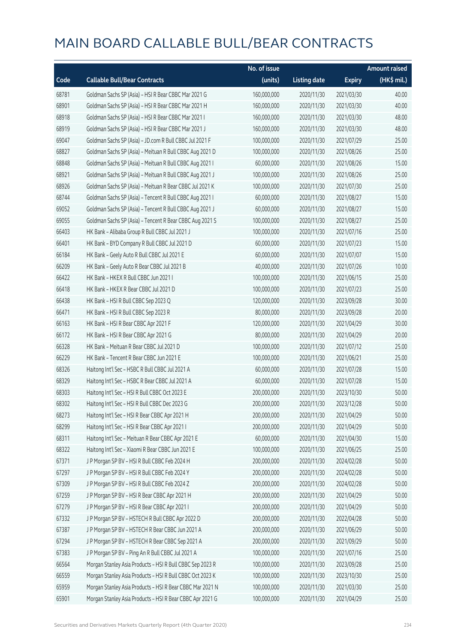|       |                                                           | No. of issue |                     |               | <b>Amount raised</b> |
|-------|-----------------------------------------------------------|--------------|---------------------|---------------|----------------------|
| Code  | <b>Callable Bull/Bear Contracts</b>                       | (units)      | <b>Listing date</b> | <b>Expiry</b> | (HK\$ mil.)          |
| 68781 | Goldman Sachs SP (Asia) - HSI R Bear CBBC Mar 2021 G      | 160,000,000  | 2020/11/30          | 2021/03/30    | 40.00                |
| 68901 | Goldman Sachs SP (Asia) - HSI R Bear CBBC Mar 2021 H      | 160,000,000  | 2020/11/30          | 2021/03/30    | 40.00                |
| 68918 | Goldman Sachs SP (Asia) - HSI R Bear CBBC Mar 2021 I      | 160,000,000  | 2020/11/30          | 2021/03/30    | 48.00                |
| 68919 | Goldman Sachs SP (Asia) - HSI R Bear CBBC Mar 2021 J      | 160,000,000  | 2020/11/30          | 2021/03/30    | 48.00                |
| 69047 | Goldman Sachs SP (Asia) - JD.com R Bull CBBC Jul 2021 F   | 100,000,000  | 2020/11/30          | 2021/07/29    | 25.00                |
| 68827 | Goldman Sachs SP (Asia) - Meituan R Bull CBBC Aug 2021 D  | 100,000,000  | 2020/11/30          | 2021/08/26    | 25.00                |
| 68848 | Goldman Sachs SP (Asia) - Meituan R Bull CBBC Aug 2021 I  | 60,000,000   | 2020/11/30          | 2021/08/26    | 15.00                |
| 68921 | Goldman Sachs SP (Asia) - Meituan R Bull CBBC Aug 2021 J  | 100,000,000  | 2020/11/30          | 2021/08/26    | 25.00                |
| 68926 | Goldman Sachs SP (Asia) - Meituan R Bear CBBC Jul 2021 K  | 100,000,000  | 2020/11/30          | 2021/07/30    | 25.00                |
| 68744 | Goldman Sachs SP (Asia) - Tencent R Bull CBBC Aug 2021 I  | 60,000,000   | 2020/11/30          | 2021/08/27    | 15.00                |
| 69052 | Goldman Sachs SP (Asia) - Tencent R Bull CBBC Aug 2021 J  | 60,000,000   | 2020/11/30          | 2021/08/27    | 15.00                |
| 69055 | Goldman Sachs SP (Asia) - Tencent R Bear CBBC Aug 2021 S  | 100,000,000  | 2020/11/30          | 2021/08/27    | 25.00                |
| 66403 | HK Bank - Alibaba Group R Bull CBBC Jul 2021 J            | 100,000,000  | 2020/11/30          | 2021/07/16    | 25.00                |
| 66401 | HK Bank - BYD Company R Bull CBBC Jul 2021 D              | 60,000,000   | 2020/11/30          | 2021/07/23    | 15.00                |
| 66184 | HK Bank - Geely Auto R Bull CBBC Jul 2021 E               | 60,000,000   | 2020/11/30          | 2021/07/07    | 15.00                |
| 66209 | HK Bank - Geely Auto R Bear CBBC Jul 2021 B               | 40,000,000   | 2020/11/30          | 2021/07/26    | 10.00                |
| 66422 | HK Bank - HKEX R Bull CBBC Jun 2021 I                     | 100,000,000  | 2020/11/30          | 2021/06/15    | 25.00                |
| 66418 | HK Bank - HKEX R Bear CBBC Jul 2021 D                     | 100,000,000  | 2020/11/30          | 2021/07/23    | 25.00                |
| 66438 | HK Bank - HSI R Bull CBBC Sep 2023 Q                      | 120,000,000  | 2020/11/30          | 2023/09/28    | 30.00                |
| 66471 | HK Bank - HSI R Bull CBBC Sep 2023 R                      | 80,000,000   | 2020/11/30          | 2023/09/28    | 20.00                |
| 66163 | HK Bank - HSI R Bear CBBC Apr 2021 F                      | 120,000,000  | 2020/11/30          | 2021/04/29    | 30.00                |
| 66172 | HK Bank - HSI R Bear CBBC Apr 2021 G                      | 80,000,000   | 2020/11/30          | 2021/04/29    | 20.00                |
| 66328 | HK Bank - Meituan R Bear CBBC Jul 2021 D                  | 100,000,000  | 2020/11/30          | 2021/07/12    | 25.00                |
| 66229 | HK Bank - Tencent R Bear CBBC Jun 2021 E                  | 100,000,000  | 2020/11/30          | 2021/06/21    | 25.00                |
| 68326 | Haitong Int'l Sec - HSBC R Bull CBBC Jul 2021 A           | 60,000,000   | 2020/11/30          | 2021/07/28    | 15.00                |
| 68329 | Haitong Int'l Sec - HSBC R Bear CBBC Jul 2021 A           | 60,000,000   | 2020/11/30          | 2021/07/28    | 15.00                |
| 68303 | Haitong Int'l Sec - HSI R Bull CBBC Oct 2023 E            | 200,000,000  | 2020/11/30          | 2023/10/30    | 50.00                |
| 68302 | Haitong Int'l Sec - HSI R Bull CBBC Dec 2023 G            | 200,000,000  | 2020/11/30          | 2023/12/28    | 50.00                |
| 68273 | Haitong Int'l Sec - HSI R Bear CBBC Apr 2021 H            | 200,000,000  | 2020/11/30          | 2021/04/29    | 50.00                |
| 68299 | Haitong Int'l Sec - HSI R Bear CBBC Apr 2021 I            | 200,000,000  | 2020/11/30          | 2021/04/29    | 50.00                |
| 68311 | Haitong Int'l Sec - Meituan R Bear CBBC Apr 2021 E        | 60,000,000   | 2020/11/30          | 2021/04/30    | 15.00                |
| 68322 | Haitong Int'l Sec - Xiaomi R Bear CBBC Jun 2021 E         | 100,000,000  | 2020/11/30          | 2021/06/25    | 25.00                |
| 67371 | J P Morgan SP BV - HSI R Bull CBBC Feb 2024 H             | 200,000,000  | 2020/11/30          | 2024/02/28    | 50.00                |
| 67297 | J P Morgan SP BV - HSI R Bull CBBC Feb 2024 Y             | 200,000,000  | 2020/11/30          | 2024/02/28    | 50.00                |
| 67309 | J P Morgan SP BV - HSI R Bull CBBC Feb 2024 Z             | 200,000,000  | 2020/11/30          | 2024/02/28    | 50.00                |
| 67259 | J P Morgan SP BV - HSI R Bear CBBC Apr 2021 H             | 200,000,000  | 2020/11/30          | 2021/04/29    | 50.00                |
| 67279 | J P Morgan SP BV - HSI R Bear CBBC Apr 2021 I             | 200,000,000  | 2020/11/30          | 2021/04/29    | 50.00                |
| 67332 | J P Morgan SP BV - HSTECH R Bull CBBC Apr 2022 D          | 200,000,000  | 2020/11/30          | 2022/04/28    | 50.00                |
| 67387 | J P Morgan SP BV - HSTECH R Bear CBBC Jun 2021 A          | 200,000,000  | 2020/11/30          | 2021/06/29    | 50.00                |
| 67294 | J P Morgan SP BV - HSTECH R Bear CBBC Sep 2021 A          | 200,000,000  | 2020/11/30          | 2021/09/29    | 50.00                |
| 67383 | J P Morgan SP BV - Ping An R Bull CBBC Jul 2021 A         | 100,000,000  | 2020/11/30          | 2021/07/16    | 25.00                |
| 66564 | Morgan Stanley Asia Products - HSI R Bull CBBC Sep 2023 R | 100,000,000  | 2020/11/30          | 2023/09/28    | 25.00                |
| 66559 | Morgan Stanley Asia Products - HSI R Bull CBBC Oct 2023 K | 100,000,000  | 2020/11/30          | 2023/10/30    | 25.00                |
| 65959 | Morgan Stanley Asia Products - HSI R Bear CBBC Mar 2021 N | 100,000,000  | 2020/11/30          | 2021/03/30    | 25.00                |
| 65901 | Morgan Stanley Asia Products - HSI R Bear CBBC Apr 2021 G | 100,000,000  | 2020/11/30          | 2021/04/29    | 25.00                |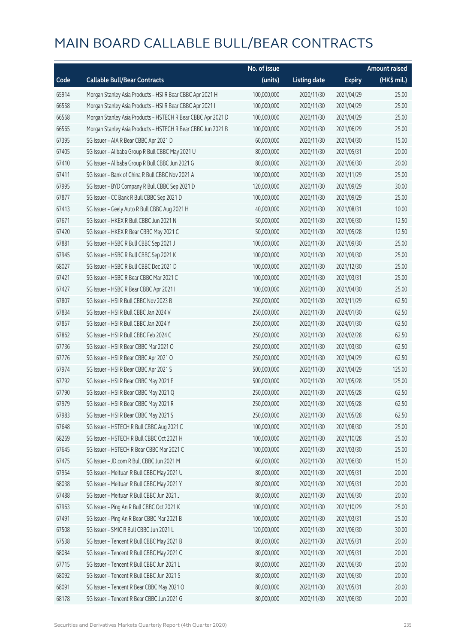|       |                                                              | No. of issue |                     |               | <b>Amount raised</b>  |
|-------|--------------------------------------------------------------|--------------|---------------------|---------------|-----------------------|
| Code  | <b>Callable Bull/Bear Contracts</b>                          | (units)      | <b>Listing date</b> | <b>Expiry</b> | $(HK\frac{1}{2}mil.)$ |
| 65914 | Morgan Stanley Asia Products - HSI R Bear CBBC Apr 2021 H    | 100,000,000  | 2020/11/30          | 2021/04/29    | 25.00                 |
| 66558 | Morgan Stanley Asia Products - HSI R Bear CBBC Apr 2021 I    | 100,000,000  | 2020/11/30          | 2021/04/29    | 25.00                 |
| 66568 | Morgan Stanley Asia Products - HSTECH R Bear CBBC Apr 2021 D | 100,000,000  | 2020/11/30          | 2021/04/29    | 25.00                 |
| 66565 | Morgan Stanley Asia Products - HSTECH R Bear CBBC Jun 2021 B | 100,000,000  | 2020/11/30          | 2021/06/29    | 25.00                 |
| 67395 | SG Issuer - AIA R Bear CBBC Apr 2021 D                       | 60,000,000   | 2020/11/30          | 2021/04/30    | 15.00                 |
| 67405 | SG Issuer - Alibaba Group R Bull CBBC May 2021 U             | 80,000,000   | 2020/11/30          | 2021/05/31    | 20.00                 |
| 67410 | SG Issuer - Alibaba Group R Bull CBBC Jun 2021 G             | 80,000,000   | 2020/11/30          | 2021/06/30    | 20.00                 |
| 67411 | SG Issuer - Bank of China R Bull CBBC Nov 2021 A             | 100,000,000  | 2020/11/30          | 2021/11/29    | 25.00                 |
| 67995 | SG Issuer - BYD Company R Bull CBBC Sep 2021 D               | 120,000,000  | 2020/11/30          | 2021/09/29    | 30.00                 |
| 67877 | SG Issuer - CC Bank R Bull CBBC Sep 2021 D                   | 100,000,000  | 2020/11/30          | 2021/09/29    | 25.00                 |
| 67413 | SG Issuer - Geely Auto R Bull CBBC Aug 2021 H                | 40,000,000   | 2020/11/30          | 2021/08/31    | 10.00                 |
| 67671 | SG Issuer - HKEX R Bull CBBC Jun 2021 N                      | 50,000,000   | 2020/11/30          | 2021/06/30    | 12.50                 |
| 67420 | SG Issuer - HKEX R Bear CBBC May 2021 C                      | 50,000,000   | 2020/11/30          | 2021/05/28    | 12.50                 |
| 67881 | SG Issuer - HSBC R Bull CBBC Sep 2021 J                      | 100,000,000  | 2020/11/30          | 2021/09/30    | 25.00                 |
| 67945 | SG Issuer - HSBC R Bull CBBC Sep 2021 K                      | 100,000,000  | 2020/11/30          | 2021/09/30    | 25.00                 |
| 68027 | SG Issuer - HSBC R Bull CBBC Dec 2021 D                      | 100,000,000  | 2020/11/30          | 2021/12/30    | 25.00                 |
| 67421 | SG Issuer - HSBC R Bear CBBC Mar 2021 C                      | 100,000,000  | 2020/11/30          | 2021/03/31    | 25.00                 |
| 67427 | SG Issuer - HSBC R Bear CBBC Apr 2021 I                      | 100,000,000  | 2020/11/30          | 2021/04/30    | 25.00                 |
| 67807 | SG Issuer - HSI R Bull CBBC Nov 2023 B                       | 250,000,000  | 2020/11/30          | 2023/11/29    | 62.50                 |
| 67834 | SG Issuer - HSI R Bull CBBC Jan 2024 V                       | 250,000,000  | 2020/11/30          | 2024/01/30    | 62.50                 |
| 67857 | SG Issuer - HSI R Bull CBBC Jan 2024 Y                       | 250,000,000  | 2020/11/30          | 2024/01/30    | 62.50                 |
| 67862 | SG Issuer - HSI R Bull CBBC Feb 2024 C                       | 250,000,000  | 2020/11/30          | 2024/02/28    | 62.50                 |
| 67736 | SG Issuer - HSI R Bear CBBC Mar 2021 O                       | 250,000,000  | 2020/11/30          | 2021/03/30    | 62.50                 |
| 67776 | SG Issuer - HSI R Bear CBBC Apr 2021 O                       | 250,000,000  | 2020/11/30          | 2021/04/29    | 62.50                 |
| 67974 | SG Issuer - HSI R Bear CBBC Apr 2021 S                       | 500,000,000  | 2020/11/30          | 2021/04/29    | 125.00                |
| 67792 | SG Issuer - HSI R Bear CBBC May 2021 E                       | 500,000,000  | 2020/11/30          | 2021/05/28    | 125.00                |
| 67790 | SG Issuer - HSI R Bear CBBC May 2021 Q                       | 250,000,000  | 2020/11/30          | 2021/05/28    | 62.50                 |
| 67979 | SG Issuer - HSI R Bear CBBC May 2021 R                       | 250,000,000  | 2020/11/30          | 2021/05/28    | 62.50                 |
| 67983 | SG Issuer - HSI R Bear CBBC May 2021 S                       | 250,000,000  | 2020/11/30          | 2021/05/28    | 62.50                 |
| 67648 | SG Issuer - HSTECH R Bull CBBC Aug 2021 C                    | 100,000,000  | 2020/11/30          | 2021/08/30    | 25.00                 |
| 68269 | SG Issuer - HSTECH R Bull CBBC Oct 2021 H                    | 100,000,000  | 2020/11/30          | 2021/10/28    | 25.00                 |
| 67645 | SG Issuer - HSTECH R Bear CBBC Mar 2021 C                    | 100,000,000  | 2020/11/30          | 2021/03/30    | 25.00                 |
| 67475 | SG Issuer - JD.com R Bull CBBC Jun 2021 M                    | 60,000,000   | 2020/11/30          | 2021/06/30    | 15.00                 |
| 67954 | SG Issuer - Meituan R Bull CBBC May 2021 U                   | 80,000,000   | 2020/11/30          | 2021/05/31    | 20.00                 |
| 68038 | SG Issuer - Meituan R Bull CBBC May 2021 Y                   | 80,000,000   | 2020/11/30          | 2021/05/31    | 20.00                 |
| 67488 | SG Issuer - Meituan R Bull CBBC Jun 2021 J                   | 80,000,000   | 2020/11/30          | 2021/06/30    | 20.00                 |
| 67963 | SG Issuer - Ping An R Bull CBBC Oct 2021 K                   | 100,000,000  | 2020/11/30          | 2021/10/29    | 25.00                 |
| 67491 | SG Issuer - Ping An R Bear CBBC Mar 2021 B                   | 100,000,000  | 2020/11/30          | 2021/03/31    | 25.00                 |
| 67508 | SG Issuer - SMIC R Bull CBBC Jun 2021 L                      | 120,000,000  | 2020/11/30          | 2021/06/30    | 30.00                 |
| 67538 | SG Issuer - Tencent R Bull CBBC May 2021 B                   | 80,000,000   | 2020/11/30          | 2021/05/31    | 20.00                 |
| 68084 | SG Issuer - Tencent R Bull CBBC May 2021 C                   | 80,000,000   | 2020/11/30          | 2021/05/31    | 20.00                 |
| 67715 | SG Issuer - Tencent R Bull CBBC Jun 2021 L                   | 80,000,000   | 2020/11/30          | 2021/06/30    | 20.00                 |
| 68092 | SG Issuer - Tencent R Bull CBBC Jun 2021 S                   | 80,000,000   | 2020/11/30          | 2021/06/30    | 20.00                 |
| 68091 | SG Issuer - Tencent R Bear CBBC May 2021 O                   | 80,000,000   | 2020/11/30          | 2021/05/31    | 20.00                 |
| 68178 | SG Issuer - Tencent R Bear CBBC Jun 2021 G                   | 80,000,000   | 2020/11/30          | 2021/06/30    | 20.00                 |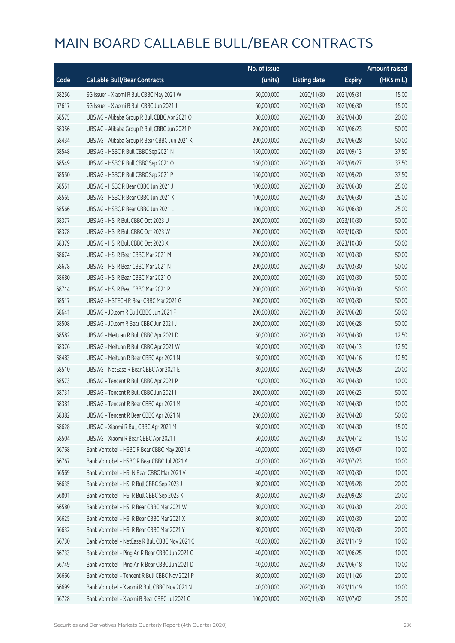|       |                                                | No. of issue |                     |               | <b>Amount raised</b> |
|-------|------------------------------------------------|--------------|---------------------|---------------|----------------------|
| Code  | <b>Callable Bull/Bear Contracts</b>            | (units)      | <b>Listing date</b> | <b>Expiry</b> | (HK\$ mil.)          |
| 68256 | SG Issuer - Xiaomi R Bull CBBC May 2021 W      | 60,000,000   | 2020/11/30          | 2021/05/31    | 15.00                |
| 67617 | SG Issuer - Xiaomi R Bull CBBC Jun 2021 J      | 60,000,000   | 2020/11/30          | 2021/06/30    | 15.00                |
| 68575 | UBS AG - Alibaba Group R Bull CBBC Apr 2021 O  | 80,000,000   | 2020/11/30          | 2021/04/30    | 20.00                |
| 68356 | UBS AG - Alibaba Group R Bull CBBC Jun 2021 P  | 200,000,000  | 2020/11/30          | 2021/06/23    | 50.00                |
| 68434 | UBS AG - Alibaba Group R Bear CBBC Jun 2021 K  | 200,000,000  | 2020/11/30          | 2021/06/28    | 50.00                |
| 68548 | UBS AG - HSBC R Bull CBBC Sep 2021 N           | 150,000,000  | 2020/11/30          | 2021/09/13    | 37.50                |
| 68549 | UBS AG - HSBC R Bull CBBC Sep 2021 O           | 150,000,000  | 2020/11/30          | 2021/09/27    | 37.50                |
| 68550 | UBS AG - HSBC R Bull CBBC Sep 2021 P           | 150,000,000  | 2020/11/30          | 2021/09/20    | 37.50                |
| 68551 | UBS AG - HSBC R Bear CBBC Jun 2021 J           | 100,000,000  | 2020/11/30          | 2021/06/30    | 25.00                |
| 68565 | UBS AG - HSBC R Bear CBBC Jun 2021 K           | 100,000,000  | 2020/11/30          | 2021/06/30    | 25.00                |
| 68566 | UBS AG - HSBC R Bear CBBC Jun 2021 L           | 100,000,000  | 2020/11/30          | 2021/06/30    | 25.00                |
| 68377 | UBS AG - HSI R Bull CBBC Oct 2023 U            | 200,000,000  | 2020/11/30          | 2023/10/30    | 50.00                |
| 68378 | UBS AG - HSI R Bull CBBC Oct 2023 W            | 200,000,000  | 2020/11/30          | 2023/10/30    | 50.00                |
| 68379 | UBS AG - HSI R Bull CBBC Oct 2023 X            | 200,000,000  | 2020/11/30          | 2023/10/30    | 50.00                |
| 68674 | UBS AG - HSI R Bear CBBC Mar 2021 M            | 200,000,000  | 2020/11/30          | 2021/03/30    | 50.00                |
| 68678 | UBS AG - HSI R Bear CBBC Mar 2021 N            | 200,000,000  | 2020/11/30          | 2021/03/30    | 50.00                |
| 68680 | UBS AG - HSI R Bear CBBC Mar 2021 O            | 200,000,000  | 2020/11/30          | 2021/03/30    | 50.00                |
| 68714 | UBS AG - HSI R Bear CBBC Mar 2021 P            | 200,000,000  | 2020/11/30          | 2021/03/30    | 50.00                |
| 68517 | UBS AG - HSTECH R Bear CBBC Mar 2021 G         | 200,000,000  | 2020/11/30          | 2021/03/30    | 50.00                |
| 68641 | UBS AG - JD.com R Bull CBBC Jun 2021 F         | 200,000,000  | 2020/11/30          | 2021/06/28    | 50.00                |
| 68508 | UBS AG - JD.com R Bear CBBC Jun 2021 J         | 200,000,000  | 2020/11/30          | 2021/06/28    | 50.00                |
| 68582 | UBS AG - Meituan R Bull CBBC Apr 2021 D        | 50,000,000   | 2020/11/30          | 2021/04/30    | 12.50                |
| 68376 | UBS AG - Meituan R Bull CBBC Apr 2021 W        | 50,000,000   | 2020/11/30          | 2021/04/13    | 12.50                |
| 68483 | UBS AG - Meituan R Bear CBBC Apr 2021 N        | 50,000,000   | 2020/11/30          | 2021/04/16    | 12.50                |
| 68510 | UBS AG - NetEase R Bear CBBC Apr 2021 E        | 80,000,000   | 2020/11/30          | 2021/04/28    | 20.00                |
| 68573 | UBS AG - Tencent R Bull CBBC Apr 2021 P        | 40,000,000   | 2020/11/30          | 2021/04/30    | 10.00                |
| 68731 | UBS AG - Tencent R Bull CBBC Jun 2021 I        | 200,000,000  | 2020/11/30          | 2021/06/23    | 50.00                |
| 68381 | UBS AG - Tencent R Bear CBBC Apr 2021 M        | 40,000,000   | 2020/11/30          | 2021/04/30    | 10.00                |
| 68382 | UBS AG - Tencent R Bear CBBC Apr 2021 N        | 200,000,000  | 2020/11/30          | 2021/04/28    | 50.00                |
| 68628 | UBS AG - Xiaomi R Bull CBBC Apr 2021 M         | 60,000,000   | 2020/11/30          | 2021/04/30    | 15.00                |
| 68504 | UBS AG - Xiaomi R Bear CBBC Apr 2021 I         | 60,000,000   | 2020/11/30          | 2021/04/12    | 15.00                |
| 66768 | Bank Vontobel - HSBC R Bear CBBC May 2021 A    | 40,000,000   | 2020/11/30          | 2021/05/07    | 10.00                |
| 66767 | Bank Vontobel - HSBC R Bear CBBC Jul 2021 A    | 40,000,000   | 2020/11/30          | 2021/07/23    | 10.00                |
| 66569 | Bank Vontobel - HSI N Bear CBBC Mar 2021 V     | 40,000,000   | 2020/11/30          | 2021/03/30    | 10.00                |
| 66635 | Bank Vontobel - HSI R Bull CBBC Sep 2023 J     | 80,000,000   | 2020/11/30          | 2023/09/28    | 20.00                |
| 66801 | Bank Vontobel - HSI R Bull CBBC Sep 2023 K     | 80,000,000   | 2020/11/30          | 2023/09/28    | 20.00                |
| 66580 | Bank Vontobel - HSI R Bear CBBC Mar 2021 W     | 80,000,000   | 2020/11/30          | 2021/03/30    | 20.00                |
| 66625 | Bank Vontobel - HSI R Bear CBBC Mar 2021 X     | 80,000,000   | 2020/11/30          | 2021/03/30    | 20.00                |
| 66632 | Bank Vontobel - HSI R Bear CBBC Mar 2021 Y     | 80,000,000   | 2020/11/30          | 2021/03/30    | 20.00                |
| 66730 | Bank Vontobel - NetEase R Bull CBBC Nov 2021 C | 40,000,000   | 2020/11/30          | 2021/11/19    | 10.00                |
| 66733 | Bank Vontobel - Ping An R Bear CBBC Jun 2021 C | 40,000,000   | 2020/11/30          | 2021/06/25    | 10.00                |
| 66749 | Bank Vontobel - Ping An R Bear CBBC Jun 2021 D | 40,000,000   | 2020/11/30          | 2021/06/18    | 10.00                |
| 66666 | Bank Vontobel - Tencent R Bull CBBC Nov 2021 P | 80,000,000   | 2020/11/30          | 2021/11/26    | 20.00                |
| 66699 | Bank Vontobel - Xiaomi R Bull CBBC Nov 2021 N  | 40,000,000   | 2020/11/30          | 2021/11/19    | 10.00                |
| 66728 | Bank Vontobel - Xiaomi R Bear CBBC Jul 2021 C  | 100,000,000  | 2020/11/30          | 2021/07/02    | 25.00                |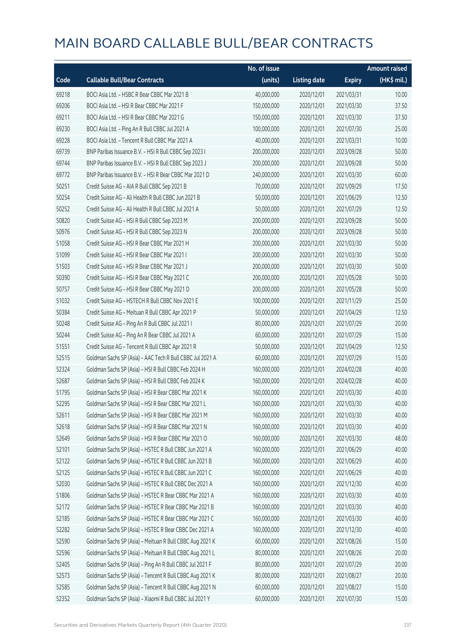|       |                                                           | No. of issue |                     |               | <b>Amount raised</b> |
|-------|-----------------------------------------------------------|--------------|---------------------|---------------|----------------------|
| Code  | <b>Callable Bull/Bear Contracts</b>                       | (units)      | <b>Listing date</b> | <b>Expiry</b> | (HK\$ mil.)          |
| 69218 | BOCI Asia Ltd. - HSBC R Bear CBBC Mar 2021 B              | 40,000,000   | 2020/12/01          | 2021/03/31    | 10.00                |
| 69206 | BOCI Asia Ltd. - HSI R Bear CBBC Mar 2021 F               | 150,000,000  | 2020/12/01          | 2021/03/30    | 37.50                |
| 69211 | BOCI Asia Ltd. - HSI R Bear CBBC Mar 2021 G               | 150,000,000  | 2020/12/01          | 2021/03/30    | 37.50                |
| 69230 | BOCI Asia Ltd. - Ping An R Bull CBBC Jul 2021 A           | 100,000,000  | 2020/12/01          | 2021/07/30    | 25.00                |
| 69228 | BOCI Asia Ltd. - Tencent R Bull CBBC Mar 2021 A           | 40,000,000   | 2020/12/01          | 2021/03/31    | 10.00                |
| 69739 | BNP Paribas Issuance B.V. - HSI R Bull CBBC Sep 2023 I    | 200,000,000  | 2020/12/01          | 2023/09/28    | 50.00                |
| 69744 | BNP Paribas Issuance B.V. - HSI R Bull CBBC Sep 2023 J    | 200,000,000  | 2020/12/01          | 2023/09/28    | 50.00                |
| 69772 | BNP Paribas Issuance B.V. - HSI R Bear CBBC Mar 2021 D    | 240,000,000  | 2020/12/01          | 2021/03/30    | 60.00                |
| 50251 | Credit Suisse AG - AIA R Bull CBBC Sep 2021 B             | 70,000,000   | 2020/12/01          | 2021/09/29    | 17.50                |
| 50254 | Credit Suisse AG - Ali Health R Bull CBBC Jun 2021 B      | 50,000,000   | 2020/12/01          | 2021/06/29    | 12.50                |
| 50252 | Credit Suisse AG - Ali Health R Bull CBBC Jul 2021 A      | 50,000,000   | 2020/12/01          | 2021/07/29    | 12.50                |
| 50820 | Credit Suisse AG - HSI R Bull CBBC Sep 2023 M             | 200,000,000  | 2020/12/01          | 2023/09/28    | 50.00                |
| 50976 | Credit Suisse AG - HSI R Bull CBBC Sep 2023 N             | 200,000,000  | 2020/12/01          | 2023/09/28    | 50.00                |
| 51058 | Credit Suisse AG - HSI R Bear CBBC Mar 2021 H             | 200,000,000  | 2020/12/01          | 2021/03/30    | 50.00                |
| 51099 | Credit Suisse AG - HSI R Bear CBBC Mar 2021 I             | 200,000,000  | 2020/12/01          | 2021/03/30    | 50.00                |
| 51503 | Credit Suisse AG - HSI R Bear CBBC Mar 2021 J             | 200,000,000  | 2020/12/01          | 2021/03/30    | 50.00                |
| 50390 | Credit Suisse AG - HSI R Bear CBBC May 2021 C             | 200,000,000  | 2020/12/01          | 2021/05/28    | 50.00                |
| 50757 | Credit Suisse AG - HSI R Bear CBBC May 2021 D             | 200,000,000  | 2020/12/01          | 2021/05/28    | 50.00                |
| 51032 | Credit Suisse AG - HSTECH R Bull CBBC Nov 2021 E          | 100,000,000  | 2020/12/01          | 2021/11/29    | 25.00                |
| 50384 | Credit Suisse AG - Meituan R Bull CBBC Apr 2021 P         | 50,000,000   | 2020/12/01          | 2021/04/29    | 12.50                |
| 50248 | Credit Suisse AG - Ping An R Bull CBBC Jul 2021 I         | 80,000,000   | 2020/12/01          | 2021/07/29    | 20.00                |
| 50244 | Credit Suisse AG - Ping An R Bear CBBC Jul 2021 A         | 60,000,000   | 2020/12/01          | 2021/07/29    | 15.00                |
| 51551 | Credit Suisse AG - Tencent R Bull CBBC Apr 2021 R         | 50,000,000   | 2020/12/01          | 2021/04/29    | 12.50                |
| 52515 | Goldman Sachs SP (Asia) - AAC Tech R Bull CBBC Jul 2021 A | 60,000,000   | 2020/12/01          | 2021/07/29    | 15.00                |
| 52324 | Goldman Sachs SP (Asia) - HSI R Bull CBBC Feb 2024 H      | 160,000,000  | 2020/12/01          | 2024/02/28    | 40.00                |
| 52687 | Goldman Sachs SP (Asia) - HSI R Bull CBBC Feb 2024 K      | 160,000,000  | 2020/12/01          | 2024/02/28    | 40.00                |
| 51795 | Goldman Sachs SP (Asia) - HSI R Bear CBBC Mar 2021 K      | 160,000,000  | 2020/12/01          | 2021/03/30    | 40.00                |
| 52295 | Goldman Sachs SP (Asia) - HSI R Bear CBBC Mar 2021 L      | 160,000,000  | 2020/12/01          | 2021/03/30    | 40.00                |
| 52611 | Goldman Sachs SP (Asia) - HSI R Bear CBBC Mar 2021 M      | 160,000,000  | 2020/12/01          | 2021/03/30    | 40.00                |
| 52618 | Goldman Sachs SP (Asia) - HSI R Bear CBBC Mar 2021 N      | 160,000,000  | 2020/12/01          | 2021/03/30    | 40.00                |
| 52649 | Goldman Sachs SP (Asia) - HSI R Bear CBBC Mar 2021 O      | 160,000,000  | 2020/12/01          | 2021/03/30    | 48.00                |
| 52101 | Goldman Sachs SP (Asia) - HSTEC R Bull CBBC Jun 2021 A    | 160,000,000  | 2020/12/01          | 2021/06/29    | 40.00                |
| 52122 | Goldman Sachs SP (Asia) - HSTEC R Bull CBBC Jun 2021 B    | 160,000,000  | 2020/12/01          | 2021/06/29    | 40.00                |
| 52125 | Goldman Sachs SP (Asia) - HSTEC R Bull CBBC Jun 2021 C    | 160,000,000  | 2020/12/01          | 2021/06/29    | 40.00                |
| 52030 | Goldman Sachs SP (Asia) - HSTEC R Bull CBBC Dec 2021 A    | 160,000,000  | 2020/12/01          | 2021/12/30    | 40.00                |
| 51806 | Goldman Sachs SP (Asia) - HSTEC R Bear CBBC Mar 2021 A    | 160,000,000  | 2020/12/01          | 2021/03/30    | 40.00                |
| 52172 | Goldman Sachs SP (Asia) - HSTEC R Bear CBBC Mar 2021 B    | 160,000,000  | 2020/12/01          | 2021/03/30    | 40.00                |
| 52185 | Goldman Sachs SP (Asia) - HSTEC R Bear CBBC Mar 2021 C    | 160,000,000  | 2020/12/01          | 2021/03/30    | 40.00                |
| 52282 | Goldman Sachs SP (Asia) - HSTEC R Bear CBBC Dec 2021 A    | 160,000,000  | 2020/12/01          | 2021/12/30    | 40.00                |
| 52590 | Goldman Sachs SP (Asia) - Meituan R Bull CBBC Aug 2021 K  | 60,000,000   | 2020/12/01          | 2021/08/26    | 15.00                |
| 52596 | Goldman Sachs SP (Asia) - Meituan R Bull CBBC Aug 2021 L  | 80,000,000   | 2020/12/01          | 2021/08/26    | 20.00                |
| 52405 | Goldman Sachs SP (Asia) - Ping An R Bull CBBC Jul 2021 F  | 80,000,000   | 2020/12/01          | 2021/07/29    | 20.00                |
| 52573 | Goldman Sachs SP (Asia) - Tencent R Bull CBBC Aug 2021 K  | 80,000,000   | 2020/12/01          | 2021/08/27    | 20.00                |
| 52585 | Goldman Sachs SP (Asia) - Tencent R Bull CBBC Aug 2021 N  | 60,000,000   | 2020/12/01          | 2021/08/27    | 15.00                |
| 52352 | Goldman Sachs SP (Asia) - Xiaomi R Bull CBBC Jul 2021 Y   | 60,000,000   | 2020/12/01          | 2021/07/30    | 15.00                |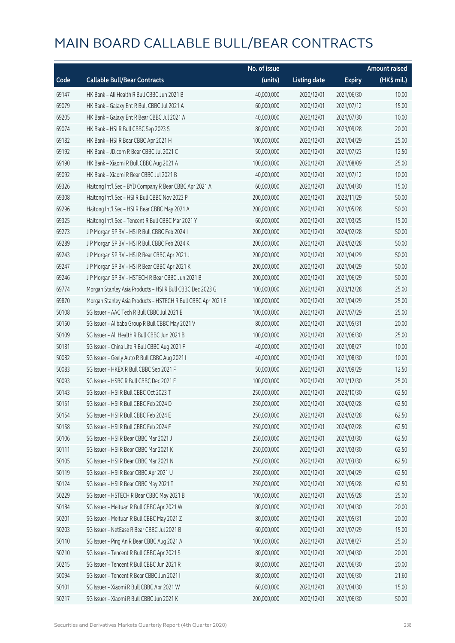|       |                                                              | No. of issue |                     |               | <b>Amount raised</b> |
|-------|--------------------------------------------------------------|--------------|---------------------|---------------|----------------------|
| Code  | <b>Callable Bull/Bear Contracts</b>                          | (units)      | <b>Listing date</b> | <b>Expiry</b> | (HK\$ mil.)          |
| 69147 | HK Bank - Ali Health R Bull CBBC Jun 2021 B                  | 40,000,000   | 2020/12/01          | 2021/06/30    | 10.00                |
| 69079 | HK Bank - Galaxy Ent R Bull CBBC Jul 2021 A                  | 60,000,000   | 2020/12/01          | 2021/07/12    | 15.00                |
| 69205 | HK Bank - Galaxy Ent R Bear CBBC Jul 2021 A                  | 40,000,000   | 2020/12/01          | 2021/07/30    | 10.00                |
| 69074 | HK Bank - HSI R Bull CBBC Sep 2023 S                         | 80,000,000   | 2020/12/01          | 2023/09/28    | 20.00                |
| 69182 | HK Bank - HSI R Bear CBBC Apr 2021 H                         | 100,000,000  | 2020/12/01          | 2021/04/29    | 25.00                |
| 69192 | HK Bank - JD.com R Bear CBBC Jul 2021 C                      | 50,000,000   | 2020/12/01          | 2021/07/23    | 12.50                |
| 69190 | HK Bank - Xiaomi R Bull CBBC Aug 2021 A                      | 100,000,000  | 2020/12/01          | 2021/08/09    | 25.00                |
| 69092 | HK Bank - Xiaomi R Bear CBBC Jul 2021 B                      | 40,000,000   | 2020/12/01          | 2021/07/12    | 10.00                |
| 69326 | Haitong Int'l Sec - BYD Company R Bear CBBC Apr 2021 A       | 60,000,000   | 2020/12/01          | 2021/04/30    | 15.00                |
| 69308 | Haitong Int'l Sec - HSI R Bull CBBC Nov 2023 P               | 200,000,000  | 2020/12/01          | 2023/11/29    | 50.00                |
| 69296 | Haitong Int'l Sec - HSI R Bear CBBC May 2021 A               | 200,000,000  | 2020/12/01          | 2021/05/28    | 50.00                |
| 69325 | Haitong Int'l Sec - Tencent R Bull CBBC Mar 2021 Y           | 60,000,000   | 2020/12/01          | 2021/03/25    | 15.00                |
| 69273 | J P Morgan SP BV - HSI R Bull CBBC Feb 2024 I                | 200,000,000  | 2020/12/01          | 2024/02/28    | 50.00                |
| 69289 | J P Morgan SP BV - HSI R Bull CBBC Feb 2024 K                | 200,000,000  | 2020/12/01          | 2024/02/28    | 50.00                |
| 69243 | J P Morgan SP BV - HSI R Bear CBBC Apr 2021 J                | 200,000,000  | 2020/12/01          | 2021/04/29    | 50.00                |
| 69247 | J P Morgan SP BV - HSI R Bear CBBC Apr 2021 K                | 200,000,000  | 2020/12/01          | 2021/04/29    | 50.00                |
| 69246 | J P Morgan SP BV - HSTECH R Bear CBBC Jun 2021 B             | 200,000,000  | 2020/12/01          | 2021/06/29    | 50.00                |
| 69774 | Morgan Stanley Asia Products - HSI R Bull CBBC Dec 2023 G    | 100,000,000  | 2020/12/01          | 2023/12/28    | 25.00                |
| 69870 | Morgan Stanley Asia Products - HSTECH R Bull CBBC Apr 2021 E | 100,000,000  | 2020/12/01          | 2021/04/29    | 25.00                |
| 50108 | SG Issuer - AAC Tech R Bull CBBC Jul 2021 E                  | 100,000,000  | 2020/12/01          | 2021/07/29    | 25.00                |
| 50160 | SG Issuer - Alibaba Group R Bull CBBC May 2021 V             | 80,000,000   | 2020/12/01          | 2021/05/31    | 20.00                |
| 50109 | SG Issuer - Ali Health R Bull CBBC Jun 2021 B                | 100,000,000  | 2020/12/01          | 2021/06/30    | 25.00                |
| 50181 | SG Issuer - China Life R Bull CBBC Aug 2021 F                | 40,000,000   | 2020/12/01          | 2021/08/27    | 10.00                |
| 50082 | SG Issuer - Geely Auto R Bull CBBC Aug 2021 I                | 40,000,000   | 2020/12/01          | 2021/08/30    | 10.00                |
| 50083 | SG Issuer - HKEX R Bull CBBC Sep 2021 F                      | 50,000,000   | 2020/12/01          | 2021/09/29    | 12.50                |
| 50093 | SG Issuer - HSBC R Bull CBBC Dec 2021 E                      | 100,000,000  | 2020/12/01          | 2021/12/30    | 25.00                |
| 50143 | SG Issuer - HSI R Bull CBBC Oct 2023 T                       | 250,000,000  | 2020/12/01          | 2023/10/30    | 62.50                |
| 50151 | SG Issuer – HSI R Bull CBBC Feb 2024 D                       | 250,000,000  | 2020/12/01          | 2024/02/28    | 62.50                |
| 50154 | SG Issuer - HSI R Bull CBBC Feb 2024 E                       | 250,000,000  | 2020/12/01          | 2024/02/28    | 62.50                |
| 50158 | SG Issuer - HSI R Bull CBBC Feb 2024 F                       | 250,000,000  | 2020/12/01          | 2024/02/28    | 62.50                |
| 50106 | SG Issuer - HSI R Bear CBBC Mar 2021 J                       | 250,000,000  | 2020/12/01          | 2021/03/30    | 62.50                |
| 50111 | SG Issuer - HSI R Bear CBBC Mar 2021 K                       | 250,000,000  | 2020/12/01          | 2021/03/30    | 62.50                |
| 50105 | SG Issuer - HSI R Bear CBBC Mar 2021 N                       | 250,000,000  | 2020/12/01          | 2021/03/30    | 62.50                |
| 50119 | SG Issuer - HSI R Bear CBBC Apr 2021 U                       | 250,000,000  | 2020/12/01          | 2021/04/29    | 62.50                |
| 50124 | SG Issuer - HSI R Bear CBBC May 2021 T                       | 250,000,000  | 2020/12/01          | 2021/05/28    | 62.50                |
| 50229 | SG Issuer - HSTECH R Bear CBBC May 2021 B                    | 100,000,000  | 2020/12/01          | 2021/05/28    | 25.00                |
| 50184 | SG Issuer - Meituan R Bull CBBC Apr 2021 W                   | 80,000,000   | 2020/12/01          | 2021/04/30    | 20.00                |
| 50201 | SG Issuer - Meituan R Bull CBBC May 2021 Z                   | 80,000,000   | 2020/12/01          | 2021/05/31    | 20.00                |
| 50203 | SG Issuer - NetEase R Bear CBBC Jul 2021 B                   | 60,000,000   | 2020/12/01          | 2021/07/29    | 15.00                |
| 50110 | SG Issuer - Ping An R Bear CBBC Aug 2021 A                   | 100,000,000  | 2020/12/01          | 2021/08/27    | 25.00                |
| 50210 | SG Issuer - Tencent R Bull CBBC Apr 2021 S                   | 80,000,000   | 2020/12/01          | 2021/04/30    | 20.00                |
| 50215 | SG Issuer - Tencent R Bull CBBC Jun 2021 R                   | 80,000,000   | 2020/12/01          | 2021/06/30    | 20.00                |
| 50094 | SG Issuer - Tencent R Bear CBBC Jun 2021 I                   | 80,000,000   | 2020/12/01          | 2021/06/30    | 21.60                |
| 50101 | SG Issuer - Xiaomi R Bull CBBC Apr 2021 W                    | 60,000,000   | 2020/12/01          | 2021/04/30    | 15.00                |
| 50217 | SG Issuer - Xiaomi R Bull CBBC Jun 2021 K                    | 200,000,000  | 2020/12/01          | 2021/06/30    | 50.00                |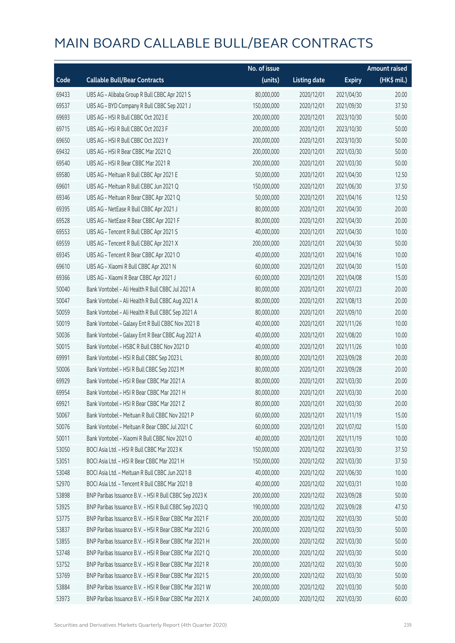|       |                                                        | No. of issue |                     |               | <b>Amount raised</b> |
|-------|--------------------------------------------------------|--------------|---------------------|---------------|----------------------|
| Code  | <b>Callable Bull/Bear Contracts</b>                    | (units)      | <b>Listing date</b> | <b>Expiry</b> | $(HK\$ mil.)         |
| 69433 | UBS AG - Alibaba Group R Bull CBBC Apr 2021 S          | 80,000,000   | 2020/12/01          | 2021/04/30    | 20.00                |
| 69537 | UBS AG - BYD Company R Bull CBBC Sep 2021 J            | 150,000,000  | 2020/12/01          | 2021/09/30    | 37.50                |
| 69693 | UBS AG - HSI R Bull CBBC Oct 2023 E                    | 200,000,000  | 2020/12/01          | 2023/10/30    | 50.00                |
| 69715 | UBS AG - HSI R Bull CBBC Oct 2023 F                    | 200,000,000  | 2020/12/01          | 2023/10/30    | 50.00                |
| 69650 | UBS AG - HSI R Bull CBBC Oct 2023 Y                    | 200,000,000  | 2020/12/01          | 2023/10/30    | 50.00                |
| 69432 | UBS AG - HSI R Bear CBBC Mar 2021 Q                    | 200,000,000  | 2020/12/01          | 2021/03/30    | 50.00                |
| 69540 | UBS AG - HSI R Bear CBBC Mar 2021 R                    | 200,000,000  | 2020/12/01          | 2021/03/30    | 50.00                |
| 69580 | UBS AG - Meituan R Bull CBBC Apr 2021 E                | 50,000,000   | 2020/12/01          | 2021/04/30    | 12.50                |
| 69601 | UBS AG - Meituan R Bull CBBC Jun 2021 Q                | 150,000,000  | 2020/12/01          | 2021/06/30    | 37.50                |
| 69346 | UBS AG - Meituan R Bear CBBC Apr 2021 Q                | 50,000,000   | 2020/12/01          | 2021/04/16    | 12.50                |
| 69395 | UBS AG - NetEase R Bull CBBC Apr 2021 J                | 80,000,000   | 2020/12/01          | 2021/04/30    | 20.00                |
| 69528 | UBS AG - NetEase R Bear CBBC Apr 2021 F                | 80,000,000   | 2020/12/01          | 2021/04/30    | 20.00                |
| 69553 | UBS AG - Tencent R Bull CBBC Apr 2021 S                | 40,000,000   | 2020/12/01          | 2021/04/30    | 10.00                |
| 69559 | UBS AG - Tencent R Bull CBBC Apr 2021 X                | 200,000,000  | 2020/12/01          | 2021/04/30    | 50.00                |
| 69345 | UBS AG - Tencent R Bear CBBC Apr 2021 O                | 40,000,000   | 2020/12/01          | 2021/04/16    | 10.00                |
| 69610 | UBS AG - Xiaomi R Bull CBBC Apr 2021 N                 | 60,000,000   | 2020/12/01          | 2021/04/30    | 15.00                |
| 69366 | UBS AG - Xiaomi R Bear CBBC Apr 2021 J                 | 60,000,000   | 2020/12/01          | 2021/04/08    | 15.00                |
| 50040 | Bank Vontobel - Ali Health R Bull CBBC Jul 2021 A      | 80,000,000   | 2020/12/01          | 2021/07/23    | 20.00                |
| 50047 | Bank Vontobel - Ali Health R Bull CBBC Aug 2021 A      | 80,000,000   | 2020/12/01          | 2021/08/13    | 20.00                |
| 50059 | Bank Vontobel - Ali Health R Bull CBBC Sep 2021 A      | 80,000,000   | 2020/12/01          | 2021/09/10    | 20.00                |
| 50019 | Bank Vontobel - Galaxy Ent R Bull CBBC Nov 2021 B      | 40,000,000   | 2020/12/01          | 2021/11/26    | 10.00                |
| 50036 | Bank Vontobel - Galaxy Ent R Bear CBBC Aug 2021 A      | 40,000,000   | 2020/12/01          | 2021/08/20    | 10.00                |
| 50015 | Bank Vontobel - HSBC R Bull CBBC Nov 2021 D            | 40,000,000   | 2020/12/01          | 2021/11/26    | 10.00                |
| 69991 | Bank Vontobel - HSI R Bull CBBC Sep 2023 L             | 80,000,000   | 2020/12/01          | 2023/09/28    | 20.00                |
| 50006 | Bank Vontobel - HSI R Bull CBBC Sep 2023 M             | 80,000,000   | 2020/12/01          | 2023/09/28    | 20.00                |
| 69929 | Bank Vontobel - HSI R Bear CBBC Mar 2021 A             | 80,000,000   | 2020/12/01          | 2021/03/30    | 20.00                |
| 69954 | Bank Vontobel - HSI R Bear CBBC Mar 2021 H             | 80,000,000   | 2020/12/01          | 2021/03/30    | 20.00                |
| 69921 | Bank Vontobel - HSI R Bear CBBC Mar 2021 Z             | 80,000,000   | 2020/12/01          | 2021/03/30    | 20.00                |
| 50067 | Bank Vontobel - Meituan R Bull CBBC Nov 2021 P         | 60,000,000   | 2020/12/01          | 2021/11/19    | 15.00                |
| 50076 | Bank Vontobel - Meituan R Bear CBBC Jul 2021 C         | 60,000,000   | 2020/12/01          | 2021/07/02    | 15.00                |
| 50011 | Bank Vontobel - Xiaomi R Bull CBBC Nov 2021 O          | 40,000,000   | 2020/12/01          | 2021/11/19    | 10.00                |
| 53050 | BOCI Asia Ltd. - HSI R Bull CBBC Mar 2023 K            | 150,000,000  | 2020/12/02          | 2023/03/30    | 37.50                |
| 53051 | BOCI Asia Ltd. - HSI R Bear CBBC Mar 2021 H            | 150,000,000  | 2020/12/02          | 2021/03/30    | 37.50                |
| 53048 | BOCI Asia Ltd. - Meituan R Bull CBBC Jun 2021 B        | 40,000,000   | 2020/12/02          | 2021/06/30    | 10.00                |
| 52970 | BOCI Asia Ltd. - Tencent R Bull CBBC Mar 2021 B        | 40,000,000   | 2020/12/02          | 2021/03/31    | 10.00                |
| 53898 | BNP Paribas Issuance B.V. - HSI R Bull CBBC Sep 2023 K | 200,000,000  | 2020/12/02          | 2023/09/28    | 50.00                |
| 53925 | BNP Paribas Issuance B.V. - HSI R Bull CBBC Sep 2023 Q | 190,000,000  | 2020/12/02          | 2023/09/28    | 47.50                |
| 53775 | BNP Paribas Issuance B.V. - HSI R Bear CBBC Mar 2021 F | 200,000,000  | 2020/12/02          | 2021/03/30    | 50.00                |
| 53837 | BNP Paribas Issuance B.V. - HSI R Bear CBBC Mar 2021 G | 200,000,000  | 2020/12/02          | 2021/03/30    | 50.00                |
| 53855 | BNP Paribas Issuance B.V. - HSI R Bear CBBC Mar 2021 H | 200,000,000  | 2020/12/02          | 2021/03/30    | 50.00                |
| 53748 | BNP Paribas Issuance B.V. - HSI R Bear CBBC Mar 2021 Q | 200,000,000  | 2020/12/02          | 2021/03/30    | 50.00                |
| 53752 | BNP Paribas Issuance B.V. - HSI R Bear CBBC Mar 2021 R | 200,000,000  | 2020/12/02          | 2021/03/30    | 50.00                |
| 53769 | BNP Paribas Issuance B.V. - HSI R Bear CBBC Mar 2021 S | 200,000,000  | 2020/12/02          | 2021/03/30    | 50.00                |
| 53884 | BNP Paribas Issuance B.V. - HSI R Bear CBBC Mar 2021 W | 200,000,000  | 2020/12/02          | 2021/03/30    | 50.00                |
| 53973 | BNP Paribas Issuance B.V. - HSI R Bear CBBC Mar 2021 X | 240,000,000  | 2020/12/02          | 2021/03/30    | 60.00                |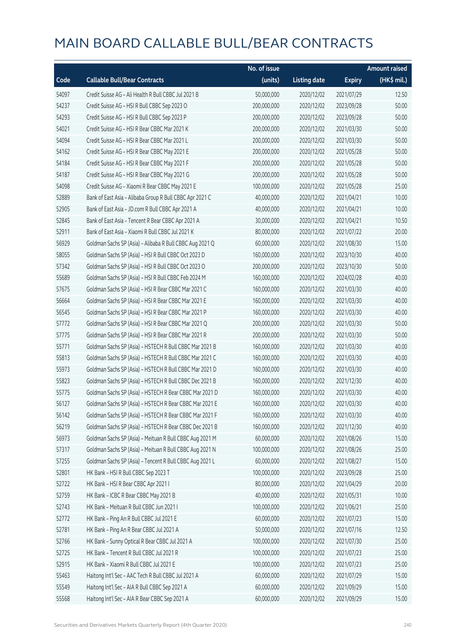|       |                                                          | No. of issue |                     |               | <b>Amount raised</b> |
|-------|----------------------------------------------------------|--------------|---------------------|---------------|----------------------|
| Code  | <b>Callable Bull/Bear Contracts</b>                      | (units)      | <b>Listing date</b> | <b>Expiry</b> | (HK\$ mil.)          |
| 54097 | Credit Suisse AG - Ali Health R Bull CBBC Jul 2021 B     | 50,000,000   | 2020/12/02          | 2021/07/29    | 12.50                |
| 54237 | Credit Suisse AG - HSI R Bull CBBC Sep 2023 O            | 200,000,000  | 2020/12/02          | 2023/09/28    | 50.00                |
| 54293 | Credit Suisse AG - HSI R Bull CBBC Sep 2023 P            | 200,000,000  | 2020/12/02          | 2023/09/28    | 50.00                |
| 54021 | Credit Suisse AG - HSI R Bear CBBC Mar 2021 K            | 200,000,000  | 2020/12/02          | 2021/03/30    | 50.00                |
| 54094 | Credit Suisse AG - HSI R Bear CBBC Mar 2021 L            | 200,000,000  | 2020/12/02          | 2021/03/30    | 50.00                |
| 54162 | Credit Suisse AG - HSI R Bear CBBC May 2021 E            | 200,000,000  | 2020/12/02          | 2021/05/28    | 50.00                |
| 54184 | Credit Suisse AG - HSI R Bear CBBC May 2021 F            | 200,000,000  | 2020/12/02          | 2021/05/28    | 50.00                |
| 54187 | Credit Suisse AG - HSI R Bear CBBC May 2021 G            | 200,000,000  | 2020/12/02          | 2021/05/28    | 50.00                |
| 54098 | Credit Suisse AG - Xiaomi R Bear CBBC May 2021 E         | 100,000,000  | 2020/12/02          | 2021/05/28    | 25.00                |
| 52889 | Bank of East Asia - Alibaba Group R Bull CBBC Apr 2021 C | 40,000,000   | 2020/12/02          | 2021/04/21    | 10.00                |
| 52905 | Bank of East Asia - JD.com R Bull CBBC Apr 2021 A        | 40,000,000   | 2020/12/02          | 2021/04/21    | 10.00                |
| 52845 | Bank of East Asia - Tencent R Bear CBBC Apr 2021 A       | 30,000,000   | 2020/12/02          | 2021/04/21    | 10.50                |
| 52911 | Bank of East Asia - Xiaomi R Bull CBBC Jul 2021 K        | 80,000,000   | 2020/12/02          | 2021/07/22    | 20.00                |
| 56929 | Goldman Sachs SP (Asia) - Alibaba R Bull CBBC Aug 2021 Q | 60,000,000   | 2020/12/02          | 2021/08/30    | 15.00                |
| 58055 | Goldman Sachs SP (Asia) - HSI R Bull CBBC Oct 2023 D     | 160,000,000  | 2020/12/02          | 2023/10/30    | 40.00                |
| 57342 | Goldman Sachs SP (Asia) - HSI R Bull CBBC Oct 2023 O     | 200,000,000  | 2020/12/02          | 2023/10/30    | 50.00                |
| 55689 | Goldman Sachs SP (Asia) - HSI R Bull CBBC Feb 2024 M     | 160,000,000  | 2020/12/02          | 2024/02/28    | 40.00                |
| 57675 | Goldman Sachs SP (Asia) - HSI R Bear CBBC Mar 2021 C     | 160,000,000  | 2020/12/02          | 2021/03/30    | 40.00                |
| 56664 | Goldman Sachs SP (Asia) - HSI R Bear CBBC Mar 2021 E     | 160,000,000  | 2020/12/02          | 2021/03/30    | 40.00                |
| 56545 | Goldman Sachs SP (Asia) - HSI R Bear CBBC Mar 2021 P     | 160,000,000  | 2020/12/02          | 2021/03/30    | 40.00                |
| 57772 | Goldman Sachs SP (Asia) - HSI R Bear CBBC Mar 2021 Q     | 200,000,000  | 2020/12/02          | 2021/03/30    | 50.00                |
| 57775 | Goldman Sachs SP (Asia) - HSI R Bear CBBC Mar 2021 R     | 200,000,000  | 2020/12/02          | 2021/03/30    | 50.00                |
| 55771 | Goldman Sachs SP (Asia) - HSTECH R Bull CBBC Mar 2021 B  | 160,000,000  | 2020/12/02          | 2021/03/30    | 40.00                |
| 55813 | Goldman Sachs SP (Asia) - HSTECH R Bull CBBC Mar 2021 C  | 160,000,000  | 2020/12/02          | 2021/03/30    | 40.00                |
| 55973 | Goldman Sachs SP (Asia) - HSTECH R Bull CBBC Mar 2021 D  | 160,000,000  | 2020/12/02          | 2021/03/30    | 40.00                |
| 55823 | Goldman Sachs SP (Asia) - HSTECH R Bull CBBC Dec 2021 B  | 160,000,000  | 2020/12/02          | 2021/12/30    | 40.00                |
| 55775 | Goldman Sachs SP (Asia) - HSTECH R Bear CBBC Mar 2021 D  | 160,000,000  | 2020/12/02          | 2021/03/30    | 40.00                |
| 56127 | Goldman Sachs SP (Asia) - HSTECH R Bear CBBC Mar 2021 E  | 160,000,000  | 2020/12/02          | 2021/03/30    | 40.00                |
| 56142 | Goldman Sachs SP (Asia) - HSTECH R Bear CBBC Mar 2021 F  | 160,000,000  | 2020/12/02          | 2021/03/30    | 40.00                |
| 56219 | Goldman Sachs SP (Asia) - HSTECH R Bear CBBC Dec 2021 B  | 160,000,000  | 2020/12/02          | 2021/12/30    | 40.00                |
| 56973 | Goldman Sachs SP (Asia) - Meituan R Bull CBBC Aug 2021 M | 60,000,000   | 2020/12/02          | 2021/08/26    | 15.00                |
| 57317 | Goldman Sachs SP (Asia) - Meituan R Bull CBBC Aug 2021 N | 100,000,000  | 2020/12/02          | 2021/08/26    | 25.00                |
| 57255 | Goldman Sachs SP (Asia) - Tencent R Bull CBBC Aug 2021 L | 60,000,000   | 2020/12/02          | 2021/08/27    | 15.00                |
| 52801 | HK Bank - HSI R Bull CBBC Sep 2023 T                     | 100,000,000  | 2020/12/02          | 2023/09/28    | 25.00                |
| 52722 | HK Bank - HSI R Bear CBBC Apr 2021 I                     | 80,000,000   | 2020/12/02          | 2021/04/29    | 20.00                |
| 52759 | HK Bank - ICBC R Bear CBBC May 2021 B                    | 40,000,000   | 2020/12/02          | 2021/05/31    | 10.00                |
| 52743 | HK Bank - Meituan R Bull CBBC Jun 2021 I                 | 100,000,000  | 2020/12/02          | 2021/06/21    | 25.00                |
| 52772 | HK Bank - Ping An R Bull CBBC Jul 2021 E                 | 60,000,000   | 2020/12/02          | 2021/07/23    | 15.00                |
| 52781 | HK Bank - Ping An R Bear CBBC Jul 2021 A                 | 50,000,000   | 2020/12/02          | 2021/07/16    | 12.50                |
| 52766 | HK Bank - Sunny Optical R Bear CBBC Jul 2021 A           | 100,000,000  | 2020/12/02          | 2021/07/30    | 25.00                |
| 52725 | HK Bank - Tencent R Bull CBBC Jul 2021 R                 | 100,000,000  | 2020/12/02          | 2021/07/23    | 25.00                |
| 52915 | HK Bank - Xiaomi R Bull CBBC Jul 2021 E                  | 100,000,000  | 2020/12/02          | 2021/07/23    | 25.00                |
| 55463 | Haitong Int'l Sec - AAC Tech R Bull CBBC Jul 2021 A      | 60,000,000   | 2020/12/02          | 2021/07/29    | 15.00                |
| 55549 | Haitong Int'l Sec - AIA R Bull CBBC Sep 2021 A           | 60,000,000   | 2020/12/02          | 2021/09/29    | 15.00                |
| 55568 | Haitong Int'l Sec - AIA R Bear CBBC Sep 2021 A           | 60,000,000   | 2020/12/02          | 2021/09/29    | 15.00                |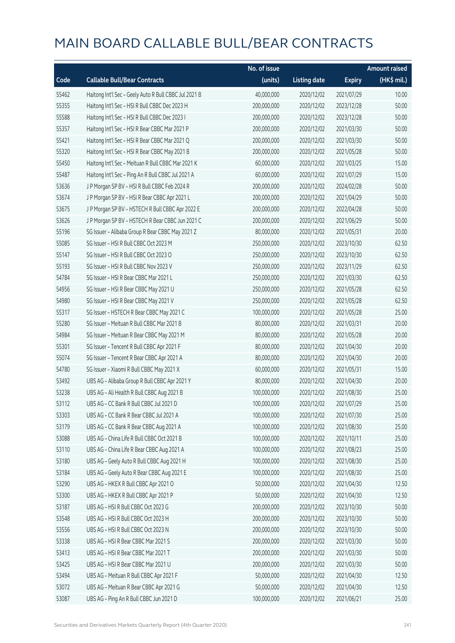|       |                                                       | No. of issue |                     |               | <b>Amount raised</b> |
|-------|-------------------------------------------------------|--------------|---------------------|---------------|----------------------|
| Code  | <b>Callable Bull/Bear Contracts</b>                   | (units)      | <b>Listing date</b> | <b>Expiry</b> | (HK\$ mil.)          |
| 55462 | Haitong Int'l Sec - Geely Auto R Bull CBBC Jul 2021 B | 40,000,000   | 2020/12/02          | 2021/07/29    | 10.00                |
| 55355 | Haitong Int'l Sec - HSI R Bull CBBC Dec 2023 H        | 200,000,000  | 2020/12/02          | 2023/12/28    | 50.00                |
| 55588 | Haitong Int'l Sec - HSI R Bull CBBC Dec 2023 I        | 200,000,000  | 2020/12/02          | 2023/12/28    | 50.00                |
| 55357 | Haitong Int'l Sec - HSI R Bear CBBC Mar 2021 P        | 200,000,000  | 2020/12/02          | 2021/03/30    | 50.00                |
| 55421 | Haitong Int'l Sec - HSI R Bear CBBC Mar 2021 Q        | 200,000,000  | 2020/12/02          | 2021/03/30    | 50.00                |
| 55320 | Haitong Int'l Sec - HSI R Bear CBBC May 2021 B        | 200,000,000  | 2020/12/02          | 2021/05/28    | 50.00                |
| 55450 | Haitong Int'l Sec - Meituan R Bull CBBC Mar 2021 K    | 60,000,000   | 2020/12/02          | 2021/03/25    | 15.00                |
| 55487 | Haitong Int'l Sec - Ping An R Bull CBBC Jul 2021 A    | 60,000,000   | 2020/12/02          | 2021/07/29    | 15.00                |
| 53636 | J P Morgan SP BV - HSI R Bull CBBC Feb 2024 R         | 200,000,000  | 2020/12/02          | 2024/02/28    | 50.00                |
| 53674 | JP Morgan SP BV - HSIR Bear CBBC Apr 2021 L           | 200,000,000  | 2020/12/02          | 2021/04/29    | 50.00                |
| 53675 | J P Morgan SP BV - HSTECH R Bull CBBC Apr 2022 E      | 200,000,000  | 2020/12/02          | 2022/04/28    | 50.00                |
| 53626 | J P Morgan SP BV - HSTECH R Bear CBBC Jun 2021 C      | 200,000,000  | 2020/12/02          | 2021/06/29    | 50.00                |
| 55196 | SG Issuer - Alibaba Group R Bear CBBC May 2021 Z      | 80,000,000   | 2020/12/02          | 2021/05/31    | 20.00                |
| 55085 | SG Issuer - HSI R Bull CBBC Oct 2023 M                | 250,000,000  | 2020/12/02          | 2023/10/30    | 62.50                |
| 55147 | SG Issuer - HSI R Bull CBBC Oct 2023 O                | 250,000,000  | 2020/12/02          | 2023/10/30    | 62.50                |
| 55193 | SG Issuer - HSI R Bull CBBC Nov 2023 V                | 250,000,000  | 2020/12/02          | 2023/11/29    | 62.50                |
| 54784 | SG Issuer - HSI R Bear CBBC Mar 2021 L                | 250,000,000  | 2020/12/02          | 2021/03/30    | 62.50                |
| 54956 | SG Issuer - HSI R Bear CBBC May 2021 U                | 250,000,000  | 2020/12/02          | 2021/05/28    | 62.50                |
| 54980 | SG Issuer - HSI R Bear CBBC May 2021 V                | 250,000,000  | 2020/12/02          | 2021/05/28    | 62.50                |
| 55317 | SG Issuer - HSTECH R Bear CBBC May 2021 C             | 100,000,000  | 2020/12/02          | 2021/05/28    | 25.00                |
| 55280 | SG Issuer - Meituan R Bull CBBC Mar 2021 B            | 80,000,000   | 2020/12/02          | 2021/03/31    | 20.00                |
| 54984 | SG Issuer - Meituan R Bear CBBC May 2021 M            | 80,000,000   | 2020/12/02          | 2021/05/28    | 20.00                |
| 55301 | SG Issuer - Tencent R Bull CBBC Apr 2021 F            | 80,000,000   | 2020/12/02          | 2021/04/30    | 20.00                |
| 55074 | SG Issuer - Tencent R Bear CBBC Apr 2021 A            | 80,000,000   | 2020/12/02          | 2021/04/30    | 20.00                |
| 54780 | SG Issuer - Xiaomi R Bull CBBC May 2021 X             | 60,000,000   | 2020/12/02          | 2021/05/31    | 15.00                |
| 53492 | UBS AG - Alibaba Group R Bull CBBC Apr 2021 Y         | 80,000,000   | 2020/12/02          | 2021/04/30    | 20.00                |
| 53238 | UBS AG - Ali Health R Bull CBBC Aug 2021 B            | 100,000,000  | 2020/12/02          | 2021/08/30    | 25.00                |
| 53112 | UBS AG – CC Bank R Bull CBBC Jul 2021 D               | 100,000,000  | 2020/12/02          | 2021/07/29    | 25.00                |
| 53303 | UBS AG - CC Bank R Bear CBBC Jul 2021 A               | 100,000,000  | 2020/12/02          | 2021/07/30    | 25.00                |
| 53179 | UBS AG - CC Bank R Bear CBBC Aug 2021 A               | 100,000,000  | 2020/12/02          | 2021/08/30    | 25.00                |
| 53088 | UBS AG - China Life R Bull CBBC Oct 2021 B            | 100,000,000  | 2020/12/02          | 2021/10/11    | 25.00                |
| 53110 | UBS AG - China Life R Bear CBBC Aug 2021 A            | 100,000,000  | 2020/12/02          | 2021/08/23    | 25.00                |
| 53180 | UBS AG - Geely Auto R Bull CBBC Aug 2021 H            | 100,000,000  | 2020/12/02          | 2021/08/30    | 25.00                |
| 53184 | UBS AG - Geely Auto R Bear CBBC Aug 2021 E            | 100,000,000  | 2020/12/02          | 2021/08/30    | 25.00                |
| 53290 | UBS AG - HKEX R Bull CBBC Apr 2021 O                  | 50,000,000   | 2020/12/02          | 2021/04/30    | 12.50                |
| 53300 | UBS AG - HKEX R Bull CBBC Apr 2021 P                  | 50,000,000   | 2020/12/02          | 2021/04/30    | 12.50                |
| 53187 | UBS AG - HSI R Bull CBBC Oct 2023 G                   | 200,000,000  | 2020/12/02          | 2023/10/30    | 50.00                |
| 53548 | UBS AG - HSI R Bull CBBC Oct 2023 H                   | 200,000,000  | 2020/12/02          | 2023/10/30    | 50.00                |
| 53556 | UBS AG - HSI R Bull CBBC Oct 2023 N                   | 200,000,000  | 2020/12/02          | 2023/10/30    | 50.00                |
| 53338 | UBS AG - HSI R Bear CBBC Mar 2021 S                   | 200,000,000  | 2020/12/02          | 2021/03/30    | 50.00                |
| 53413 | UBS AG - HSI R Bear CBBC Mar 2021 T                   | 200,000,000  | 2020/12/02          | 2021/03/30    | 50.00                |
| 53425 | UBS AG - HSI R Bear CBBC Mar 2021 U                   | 200,000,000  | 2020/12/02          | 2021/03/30    | 50.00                |
| 53494 | UBS AG - Meituan R Bull CBBC Apr 2021 F               | 50,000,000   | 2020/12/02          | 2021/04/30    | 12.50                |
| 53072 | UBS AG - Meituan R Bear CBBC Apr 2021 G               | 50,000,000   | 2020/12/02          | 2021/04/30    | 12.50                |
| 53087 | UBS AG - Ping An R Bull CBBC Jun 2021 D               | 100,000,000  | 2020/12/02          | 2021/06/21    | 25.00                |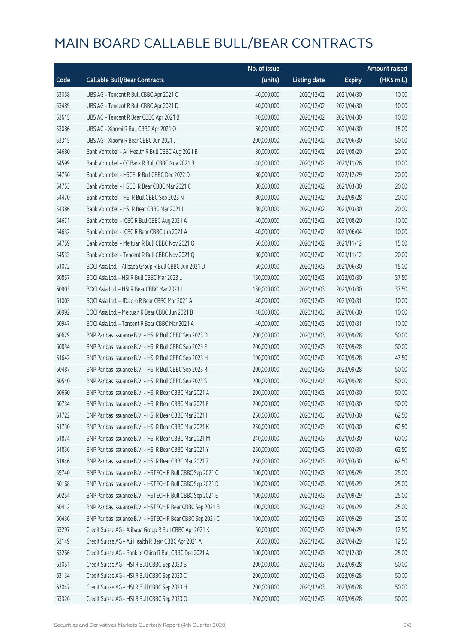|       |                                                           | No. of issue |                     |               | <b>Amount raised</b> |
|-------|-----------------------------------------------------------|--------------|---------------------|---------------|----------------------|
| Code  | <b>Callable Bull/Bear Contracts</b>                       | (units)      | <b>Listing date</b> | <b>Expiry</b> | (HK\$ mil.)          |
| 53058 | UBS AG - Tencent R Bull CBBC Apr 2021 C                   | 40,000,000   | 2020/12/02          | 2021/04/30    | 10.00                |
| 53489 | UBS AG - Tencent R Bull CBBC Apr 2021 D                   | 40,000,000   | 2020/12/02          | 2021/04/30    | 10.00                |
| 53615 | UBS AG - Tencent R Bear CBBC Apr 2021 B                   | 40,000,000   | 2020/12/02          | 2021/04/30    | 10.00                |
| 53086 | UBS AG - Xiaomi R Bull CBBC Apr 2021 O                    | 60,000,000   | 2020/12/02          | 2021/04/30    | 15.00                |
| 53315 | UBS AG - Xiaomi R Bear CBBC Jun 2021 J                    | 200,000,000  | 2020/12/02          | 2021/06/30    | 50.00                |
| 54680 | Bank Vontobel - Ali Health R Bull CBBC Aug 2021 B         | 80,000,000   | 2020/12/02          | 2021/08/20    | 20.00                |
| 54599 | Bank Vontobel - CC Bank R Bull CBBC Nov 2021 B            | 40,000,000   | 2020/12/02          | 2021/11/26    | 10.00                |
| 54756 | Bank Vontobel - HSCEI R Bull CBBC Dec 2022 D              | 80,000,000   | 2020/12/02          | 2022/12/29    | 20.00                |
| 54753 | Bank Vontobel - HSCEI R Bear CBBC Mar 2021 C              | 80,000,000   | 2020/12/02          | 2021/03/30    | 20.00                |
| 54470 | Bank Vontobel - HSI R Bull CBBC Sep 2023 N                | 80,000,000   | 2020/12/02          | 2023/09/28    | 20.00                |
| 54386 | Bank Vontobel - HSI R Bear CBBC Mar 2021 I                | 80,000,000   | 2020/12/02          | 2021/03/30    | 20.00                |
| 54671 | Bank Vontobel - ICBC R Bull CBBC Aug 2021 A               | 40,000,000   | 2020/12/02          | 2021/08/20    | 10.00                |
| 54632 | Bank Vontobel - ICBC R Bear CBBC Jun 2021 A               | 40,000,000   | 2020/12/02          | 2021/06/04    | 10.00                |
| 54759 | Bank Vontobel - Meituan R Bull CBBC Nov 2021 Q            | 60,000,000   | 2020/12/02          | 2021/11/12    | 15.00                |
| 54533 | Bank Vontobel - Tencent R Bull CBBC Nov 2021 Q            | 80,000,000   | 2020/12/02          | 2021/11/12    | 20.00                |
| 61072 | BOCI Asia Ltd. - Alibaba Group R Bull CBBC Jun 2021 D     | 60,000,000   | 2020/12/03          | 2021/06/30    | 15.00                |
| 60857 | BOCI Asia Ltd. - HSI R Bull CBBC Mar 2023 L               | 150,000,000  | 2020/12/03          | 2023/03/30    | 37.50                |
| 60903 | BOCI Asia Ltd. - HSI R Bear CBBC Mar 2021 I               | 150,000,000  | 2020/12/03          | 2021/03/30    | 37.50                |
| 61003 | BOCI Asia Ltd. - JD.com R Bear CBBC Mar 2021 A            | 40,000,000   | 2020/12/03          | 2021/03/31    | 10.00                |
| 60992 | BOCI Asia Ltd. - Meituan R Bear CBBC Jun 2021 B           | 40,000,000   | 2020/12/03          | 2021/06/30    | 10.00                |
| 60947 | BOCI Asia Ltd. - Tencent R Bear CBBC Mar 2021 A           | 40,000,000   | 2020/12/03          | 2021/03/31    | 10.00                |
| 60629 | BNP Paribas Issuance B.V. - HSI R Bull CBBC Sep 2023 D    | 200,000,000  | 2020/12/03          | 2023/09/28    | 50.00                |
| 60834 | BNP Paribas Issuance B.V. - HSI R Bull CBBC Sep 2023 E    | 200,000,000  | 2020/12/03          | 2023/09/28    | 50.00                |
| 61642 | BNP Paribas Issuance B.V. - HSI R Bull CBBC Sep 2023 H    | 190,000,000  | 2020/12/03          | 2023/09/28    | 47.50                |
| 60487 | BNP Paribas Issuance B.V. - HSI R Bull CBBC Sep 2023 R    | 200,000,000  | 2020/12/03          | 2023/09/28    | 50.00                |
| 60540 | BNP Paribas Issuance B.V. - HSI R Bull CBBC Sep 2023 S    | 200,000,000  | 2020/12/03          | 2023/09/28    | 50.00                |
| 60660 | BNP Paribas Issuance B.V. - HSI R Bear CBBC Mar 2021 A    | 200,000,000  | 2020/12/03          | 2021/03/30    | 50.00                |
| 60734 | BNP Paribas Issuance B.V. - HSI R Bear CBBC Mar 2021 E    | 200,000,000  | 2020/12/03          | 2021/03/30    | 50.00                |
| 61722 | BNP Paribas Issuance B.V. - HSI R Bear CBBC Mar 2021 I    | 250,000,000  | 2020/12/03          | 2021/03/30    | 62.50                |
| 61730 | BNP Paribas Issuance B.V. - HSI R Bear CBBC Mar 2021 K    | 250,000,000  | 2020/12/03          | 2021/03/30    | 62.50                |
| 61874 | BNP Paribas Issuance B.V. - HSI R Bear CBBC Mar 2021 M    | 240,000,000  | 2020/12/03          | 2021/03/30    | 60.00                |
| 61836 | BNP Paribas Issuance B.V. - HSI R Bear CBBC Mar 2021 Y    | 250,000,000  | 2020/12/03          | 2021/03/30    | 62.50                |
| 61846 | BNP Paribas Issuance B.V. - HSI R Bear CBBC Mar 2021 Z    | 250,000,000  | 2020/12/03          | 2021/03/30    | 62.50                |
| 59740 | BNP Paribas Issuance B.V. - HSTECH R Bull CBBC Sep 2021 C | 100,000,000  | 2020/12/03          | 2021/09/29    | 25.00                |
| 60168 | BNP Paribas Issuance B.V. - HSTECH R Bull CBBC Sep 2021 D | 100,000,000  | 2020/12/03          | 2021/09/29    | 25.00                |
| 60254 | BNP Paribas Issuance B.V. - HSTECH R Bull CBBC Sep 2021 E | 100,000,000  | 2020/12/03          | 2021/09/29    | 25.00                |
| 60412 | BNP Paribas Issuance B.V. - HSTECH R Bear CBBC Sep 2021 B | 100,000,000  | 2020/12/03          | 2021/09/29    | 25.00                |
| 60436 | BNP Paribas Issuance B.V. - HSTECH R Bear CBBC Sep 2021 C | 100,000,000  | 2020/12/03          | 2021/09/29    | 25.00                |
| 63297 | Credit Suisse AG - Alibaba Group R Bull CBBC Apr 2021 K   | 50,000,000   | 2020/12/03          | 2021/04/29    | 12.50                |
| 63149 | Credit Suisse AG - Ali Health R Bear CBBC Apr 2021 A      | 50,000,000   | 2020/12/03          | 2021/04/29    | 12.50                |
| 63266 | Credit Suisse AG - Bank of China R Bull CBBC Dec 2021 A   | 100,000,000  | 2020/12/03          | 2021/12/30    | 25.00                |
| 63051 | Credit Suisse AG - HSI R Bull CBBC Sep 2023 B             | 200,000,000  | 2020/12/03          | 2023/09/28    | 50.00                |
| 63134 | Credit Suisse AG - HSI R Bull CBBC Sep 2023 C             | 200,000,000  | 2020/12/03          | 2023/09/28    | 50.00                |
| 63047 | Credit Suisse AG - HSI R Bull CBBC Sep 2023 H             | 200,000,000  | 2020/12/03          | 2023/09/28    | 50.00                |
| 63326 | Credit Suisse AG - HSI R Bull CBBC Sep 2023 Q             | 200,000,000  | 2020/12/03          | 2023/09/28    | 50.00                |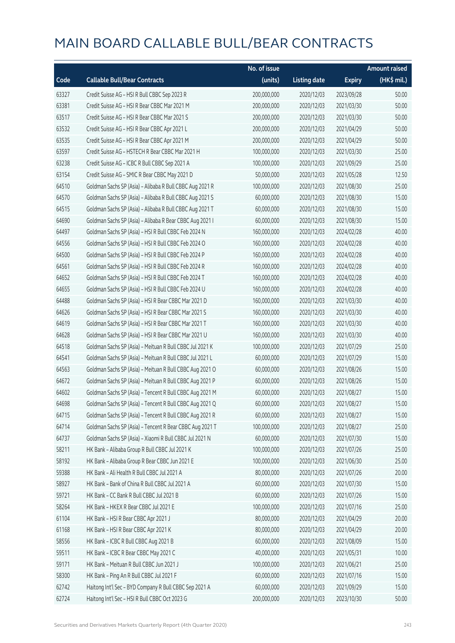|       |                                                          | No. of issue |                     |               | <b>Amount raised</b> |
|-------|----------------------------------------------------------|--------------|---------------------|---------------|----------------------|
| Code  | <b>Callable Bull/Bear Contracts</b>                      | (units)      | <b>Listing date</b> | <b>Expiry</b> | (HK\$ mil.)          |
| 63327 | Credit Suisse AG - HSI R Bull CBBC Sep 2023 R            | 200,000,000  | 2020/12/03          | 2023/09/28    | 50.00                |
| 63381 | Credit Suisse AG - HSI R Bear CBBC Mar 2021 M            | 200,000,000  | 2020/12/03          | 2021/03/30    | 50.00                |
| 63517 | Credit Suisse AG - HSI R Bear CBBC Mar 2021 S            | 200,000,000  | 2020/12/03          | 2021/03/30    | 50.00                |
| 63532 | Credit Suisse AG - HSI R Bear CBBC Apr 2021 L            | 200,000,000  | 2020/12/03          | 2021/04/29    | 50.00                |
| 63535 | Credit Suisse AG - HSI R Bear CBBC Apr 2021 M            | 200,000,000  | 2020/12/03          | 2021/04/29    | 50.00                |
| 63597 | Credit Suisse AG - HSTECH R Bear CBBC Mar 2021 H         | 100,000,000  | 2020/12/03          | 2021/03/30    | 25.00                |
| 63238 | Credit Suisse AG - ICBC R Bull CBBC Sep 2021 A           | 100,000,000  | 2020/12/03          | 2021/09/29    | 25.00                |
| 63154 | Credit Suisse AG - SMIC R Bear CBBC May 2021 D           | 50,000,000   | 2020/12/03          | 2021/05/28    | 12.50                |
| 64510 | Goldman Sachs SP (Asia) - Alibaba R Bull CBBC Aug 2021 R | 100,000,000  | 2020/12/03          | 2021/08/30    | 25.00                |
| 64570 | Goldman Sachs SP (Asia) - Alibaba R Bull CBBC Aug 2021 S | 60,000,000   | 2020/12/03          | 2021/08/30    | 15.00                |
| 64515 | Goldman Sachs SP (Asia) - Alibaba R Bull CBBC Aug 2021 T | 60,000,000   | 2020/12/03          | 2021/08/30    | 15.00                |
| 64690 | Goldman Sachs SP (Asia) - Alibaba R Bear CBBC Aug 2021 I | 60,000,000   | 2020/12/03          | 2021/08/30    | 15.00                |
| 64497 | Goldman Sachs SP (Asia) - HSI R Bull CBBC Feb 2024 N     | 160,000,000  | 2020/12/03          | 2024/02/28    | 40.00                |
| 64556 | Goldman Sachs SP (Asia) - HSI R Bull CBBC Feb 2024 O     | 160,000,000  | 2020/12/03          | 2024/02/28    | 40.00                |
| 64500 | Goldman Sachs SP (Asia) - HSI R Bull CBBC Feb 2024 P     | 160,000,000  | 2020/12/03          | 2024/02/28    | 40.00                |
| 64561 | Goldman Sachs SP (Asia) - HSI R Bull CBBC Feb 2024 R     | 160,000,000  | 2020/12/03          | 2024/02/28    | 40.00                |
| 64652 | Goldman Sachs SP (Asia) - HSI R Bull CBBC Feb 2024 T     | 160,000,000  | 2020/12/03          | 2024/02/28    | 40.00                |
| 64655 | Goldman Sachs SP (Asia) - HSI R Bull CBBC Feb 2024 U     | 160,000,000  | 2020/12/03          | 2024/02/28    | 40.00                |
| 64488 | Goldman Sachs SP (Asia) - HSI R Bear CBBC Mar 2021 D     | 160,000,000  | 2020/12/03          | 2021/03/30    | 40.00                |
| 64626 | Goldman Sachs SP (Asia) - HSI R Bear CBBC Mar 2021 S     | 160,000,000  | 2020/12/03          | 2021/03/30    | 40.00                |
| 64619 | Goldman Sachs SP (Asia) - HSI R Bear CBBC Mar 2021 T     | 160,000,000  | 2020/12/03          | 2021/03/30    | 40.00                |
| 64628 | Goldman Sachs SP (Asia) - HSI R Bear CBBC Mar 2021 U     | 160,000,000  | 2020/12/03          | 2021/03/30    | 40.00                |
| 64518 | Goldman Sachs SP (Asia) - Meituan R Bull CBBC Jul 2021 K | 100,000,000  | 2020/12/03          | 2021/07/29    | 25.00                |
| 64541 | Goldman Sachs SP (Asia) - Meituan R Bull CBBC Jul 2021 L | 60,000,000   | 2020/12/03          | 2021/07/29    | 15.00                |
| 64563 | Goldman Sachs SP (Asia) - Meituan R Bull CBBC Aug 2021 O | 60,000,000   | 2020/12/03          | 2021/08/26    | 15.00                |
| 64672 | Goldman Sachs SP (Asia) - Meituan R Bull CBBC Aug 2021 P | 60,000,000   | 2020/12/03          | 2021/08/26    | 15.00                |
| 64602 | Goldman Sachs SP (Asia) - Tencent R Bull CBBC Aug 2021 M | 60,000,000   | 2020/12/03          | 2021/08/27    | 15.00                |
| 64698 | Goldman Sachs SP (Asia) - Tencent R Bull CBBC Aug 2021 Q | 60,000,000   | 2020/12/03          | 2021/08/27    | 15.00                |
| 64715 | Goldman Sachs SP (Asia) - Tencent R Bull CBBC Aug 2021 R | 60,000,000   | 2020/12/03          | 2021/08/27    | 15.00                |
| 64714 | Goldman Sachs SP (Asia) - Tencent R Bear CBBC Aug 2021 T | 100,000,000  | 2020/12/03          | 2021/08/27    | 25.00                |
| 64737 | Goldman Sachs SP (Asia) - Xiaomi R Bull CBBC Jul 2021 N  | 60,000,000   | 2020/12/03          | 2021/07/30    | 15.00                |
| 58211 | HK Bank - Alibaba Group R Bull CBBC Jul 2021 K           | 100,000,000  | 2020/12/03          | 2021/07/26    | 25.00                |
| 58192 | HK Bank - Alibaba Group R Bear CBBC Jun 2021 E           | 100,000,000  | 2020/12/03          | 2021/06/30    | 25.00                |
| 59388 | HK Bank - Ali Health R Bull CBBC Jul 2021 A              | 80,000,000   | 2020/12/03          | 2021/07/26    | 20.00                |
| 58927 | HK Bank - Bank of China R Bull CBBC Jul 2021 A           | 60,000,000   | 2020/12/03          | 2021/07/30    | 15.00                |
| 59721 | HK Bank - CC Bank R Bull CBBC Jul 2021 B                 | 60,000,000   | 2020/12/03          | 2021/07/26    | 15.00                |
| 58264 | HK Bank - HKEX R Bear CBBC Jul 2021 E                    | 100,000,000  | 2020/12/03          | 2021/07/16    | 25.00                |
| 61104 | HK Bank - HSI R Bear CBBC Apr 2021 J                     | 80,000,000   | 2020/12/03          | 2021/04/29    | 20.00                |
| 61168 | HK Bank - HSI R Bear CBBC Apr 2021 K                     | 80,000,000   | 2020/12/03          | 2021/04/29    | 20.00                |
| 58556 | HK Bank - ICBC R Bull CBBC Aug 2021 B                    | 60,000,000   | 2020/12/03          | 2021/08/09    | 15.00                |
| 59511 | HK Bank - ICBC R Bear CBBC May 2021 C                    | 40,000,000   | 2020/12/03          | 2021/05/31    | 10.00                |
| 59171 | HK Bank - Meituan R Bull CBBC Jun 2021 J                 | 100,000,000  | 2020/12/03          | 2021/06/21    | 25.00                |
| 58300 | HK Bank - Ping An R Bull CBBC Jul 2021 F                 | 60,000,000   | 2020/12/03          | 2021/07/16    | 15.00                |
| 62742 | Haitong Int'l Sec - BYD Company R Bull CBBC Sep 2021 A   | 60,000,000   | 2020/12/03          | 2021/09/29    | 15.00                |
| 62724 | Haitong Int'l Sec - HSI R Bull CBBC Oct 2023 G           | 200,000,000  | 2020/12/03          | 2023/10/30    | 50.00                |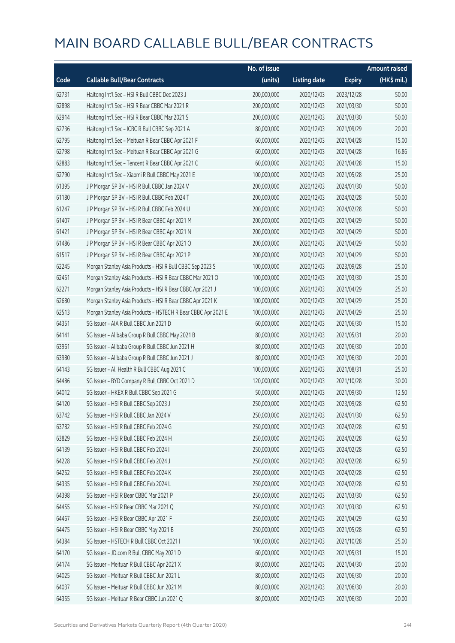|       |                                                              | No. of issue |                     |               | <b>Amount raised</b> |
|-------|--------------------------------------------------------------|--------------|---------------------|---------------|----------------------|
| Code  | <b>Callable Bull/Bear Contracts</b>                          | (units)      | <b>Listing date</b> | <b>Expiry</b> | (HK\$ mil.)          |
| 62731 | Haitong Int'l Sec - HSI R Bull CBBC Dec 2023 J               | 200,000,000  | 2020/12/03          | 2023/12/28    | 50.00                |
| 62898 | Haitong Int'l Sec - HSI R Bear CBBC Mar 2021 R               | 200,000,000  | 2020/12/03          | 2021/03/30    | 50.00                |
| 62914 | Haitong Int'l Sec - HSI R Bear CBBC Mar 2021 S               | 200,000,000  | 2020/12/03          | 2021/03/30    | 50.00                |
| 62736 | Haitong Int'l Sec - ICBC R Bull CBBC Sep 2021 A              | 80,000,000   | 2020/12/03          | 2021/09/29    | 20.00                |
| 62795 | Haitong Int'l Sec - Meituan R Bear CBBC Apr 2021 F           | 60,000,000   | 2020/12/03          | 2021/04/28    | 15.00                |
| 62798 | Haitong Int'l Sec - Meituan R Bear CBBC Apr 2021 G           | 60,000,000   | 2020/12/03          | 2021/04/28    | 16.86                |
| 62883 | Haitong Int'l Sec - Tencent R Bear CBBC Apr 2021 C           | 60,000,000   | 2020/12/03          | 2021/04/28    | 15.00                |
| 62790 | Haitong Int'l Sec - Xiaomi R Bull CBBC May 2021 E            | 100,000,000  | 2020/12/03          | 2021/05/28    | 25.00                |
| 61395 | J P Morgan SP BV - HSI R Bull CBBC Jan 2024 V                | 200,000,000  | 2020/12/03          | 2024/01/30    | 50.00                |
| 61180 | J P Morgan SP BV - HSI R Bull CBBC Feb 2024 T                | 200,000,000  | 2020/12/03          | 2024/02/28    | 50.00                |
| 61247 | J P Morgan SP BV - HSI R Bull CBBC Feb 2024 U                | 200,000,000  | 2020/12/03          | 2024/02/28    | 50.00                |
| 61407 | J P Morgan SP BV - HSI R Bear CBBC Apr 2021 M                | 200,000,000  | 2020/12/03          | 2021/04/29    | 50.00                |
| 61421 | J P Morgan SP BV - HSI R Bear CBBC Apr 2021 N                | 200,000,000  | 2020/12/03          | 2021/04/29    | 50.00                |
| 61486 | J P Morgan SP BV - HSI R Bear CBBC Apr 2021 O                | 200,000,000  | 2020/12/03          | 2021/04/29    | 50.00                |
| 61517 | J P Morgan SP BV - HSI R Bear CBBC Apr 2021 P                | 200,000,000  | 2020/12/03          | 2021/04/29    | 50.00                |
| 62245 | Morgan Stanley Asia Products - HSI R Bull CBBC Sep 2023 S    | 100,000,000  | 2020/12/03          | 2023/09/28    | 25.00                |
| 62451 | Morgan Stanley Asia Products - HSI R Bear CBBC Mar 2021 O    | 100,000,000  | 2020/12/03          | 2021/03/30    | 25.00                |
| 62271 | Morgan Stanley Asia Products - HSI R Bear CBBC Apr 2021 J    | 100,000,000  | 2020/12/03          | 2021/04/29    | 25.00                |
| 62680 | Morgan Stanley Asia Products - HSI R Bear CBBC Apr 2021 K    | 100,000,000  | 2020/12/03          | 2021/04/29    | 25.00                |
| 62513 | Morgan Stanley Asia Products - HSTECH R Bear CBBC Apr 2021 E | 100,000,000  | 2020/12/03          | 2021/04/29    | 25.00                |
| 64351 | SG Issuer - AIA R Bull CBBC Jun 2021 D                       | 60,000,000   | 2020/12/03          | 2021/06/30    | 15.00                |
| 64141 | SG Issuer - Alibaba Group R Bull CBBC May 2021 B             | 80,000,000   | 2020/12/03          | 2021/05/31    | 20.00                |
| 63961 | SG Issuer - Alibaba Group R Bull CBBC Jun 2021 H             | 80,000,000   | 2020/12/03          | 2021/06/30    | 20.00                |
| 63980 | SG Issuer - Alibaba Group R Bull CBBC Jun 2021 J             | 80,000,000   | 2020/12/03          | 2021/06/30    | 20.00                |
| 64143 | SG Issuer - Ali Health R Bull CBBC Aug 2021 C                | 100,000,000  | 2020/12/03          | 2021/08/31    | 25.00                |
| 64486 | SG Issuer - BYD Company R Bull CBBC Oct 2021 D               | 120,000,000  | 2020/12/03          | 2021/10/28    | 30.00                |
| 64012 | SG Issuer - HKEX R Bull CBBC Sep 2021 G                      | 50,000,000   | 2020/12/03          | 2021/09/30    | 12.50                |
| 64120 | SG Issuer - HSI R Bull CBBC Sep 2023 J                       | 250,000,000  | 2020/12/03          | 2023/09/28    | 62.50                |
| 63742 | SG Issuer - HSI R Bull CBBC Jan 2024 V                       | 250,000,000  | 2020/12/03          | 2024/01/30    | 62.50                |
| 63782 | SG Issuer - HSI R Bull CBBC Feb 2024 G                       | 250,000,000  | 2020/12/03          | 2024/02/28    | 62.50                |
| 63829 | SG Issuer - HSI R Bull CBBC Feb 2024 H                       | 250,000,000  | 2020/12/03          | 2024/02/28    | 62.50                |
| 64139 | SG Issuer - HSI R Bull CBBC Feb 2024 I                       | 250,000,000  | 2020/12/03          | 2024/02/28    | 62.50                |
| 64228 | SG Issuer - HSI R Bull CBBC Feb 2024 J                       | 250,000,000  | 2020/12/03          | 2024/02/28    | 62.50                |
| 64252 | SG Issuer - HSI R Bull CBBC Feb 2024 K                       | 250,000,000  | 2020/12/03          | 2024/02/28    | 62.50                |
| 64335 | SG Issuer - HSI R Bull CBBC Feb 2024 L                       | 250,000,000  | 2020/12/03          | 2024/02/28    | 62.50                |
| 64398 | SG Issuer - HSI R Bear CBBC Mar 2021 P                       | 250,000,000  | 2020/12/03          | 2021/03/30    | 62.50                |
| 64455 | SG Issuer - HSI R Bear CBBC Mar 2021 Q                       | 250,000,000  | 2020/12/03          | 2021/03/30    | 62.50                |
| 64467 | SG Issuer - HSI R Bear CBBC Apr 2021 F                       | 250,000,000  | 2020/12/03          | 2021/04/29    | 62.50                |
| 64475 | SG Issuer - HSI R Bear CBBC May 2021 B                       | 250,000,000  | 2020/12/03          | 2021/05/28    | 62.50                |
| 64384 | SG Issuer - HSTECH R Bull CBBC Oct 2021 I                    | 100,000,000  | 2020/12/03          | 2021/10/28    | 25.00                |
| 64170 | SG Issuer - JD.com R Bull CBBC May 2021 D                    | 60,000,000   | 2020/12/03          | 2021/05/31    | 15.00                |
| 64174 | SG Issuer - Meituan R Bull CBBC Apr 2021 X                   | 80,000,000   | 2020/12/03          | 2021/04/30    | 20.00                |
| 64025 | SG Issuer - Meituan R Bull CBBC Jun 2021 L                   | 80,000,000   | 2020/12/03          | 2021/06/30    | 20.00                |
| 64037 | SG Issuer - Meituan R Bull CBBC Jun 2021 M                   | 80,000,000   | 2020/12/03          | 2021/06/30    | 20.00                |
| 64355 | SG Issuer - Meituan R Bear CBBC Jun 2021 Q                   | 80,000,000   | 2020/12/03          | 2021/06/30    | 20.00                |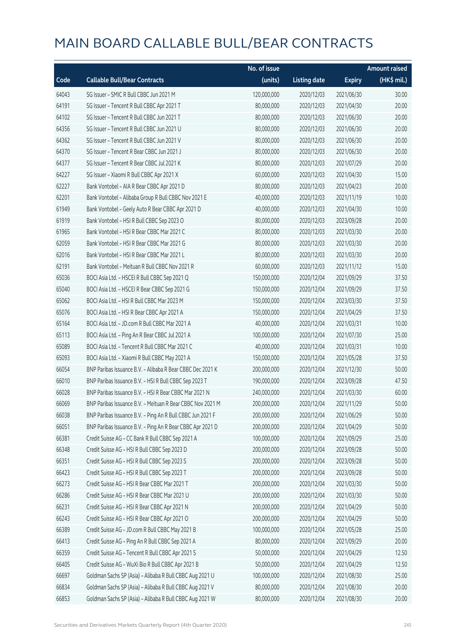|       |                                                            | No. of issue |                     |               | <b>Amount raised</b> |
|-------|------------------------------------------------------------|--------------|---------------------|---------------|----------------------|
| Code  | <b>Callable Bull/Bear Contracts</b>                        | (units)      | <b>Listing date</b> | <b>Expiry</b> | (HK\$ mil.)          |
| 64043 | SG Issuer - SMIC R Bull CBBC Jun 2021 M                    | 120,000,000  | 2020/12/03          | 2021/06/30    | 30.00                |
| 64191 | SG Issuer - Tencent R Bull CBBC Apr 2021 T                 | 80,000,000   | 2020/12/03          | 2021/04/30    | 20.00                |
| 64102 | SG Issuer - Tencent R Bull CBBC Jun 2021 T                 | 80,000,000   | 2020/12/03          | 2021/06/30    | 20.00                |
| 64356 | SG Issuer - Tencent R Bull CBBC Jun 2021 U                 | 80,000,000   | 2020/12/03          | 2021/06/30    | 20.00                |
| 64362 | SG Issuer - Tencent R Bull CBBC Jun 2021 V                 | 80,000,000   | 2020/12/03          | 2021/06/30    | 20.00                |
| 64370 | SG Issuer - Tencent R Bear CBBC Jun 2021 J                 | 80,000,000   | 2020/12/03          | 2021/06/30    | 20.00                |
| 64377 | SG Issuer - Tencent R Bear CBBC Jul 2021 K                 | 80,000,000   | 2020/12/03          | 2021/07/29    | 20.00                |
| 64227 | SG Issuer - Xiaomi R Bull CBBC Apr 2021 X                  | 60,000,000   | 2020/12/03          | 2021/04/30    | 15.00                |
| 62227 | Bank Vontobel - AIA R Bear CBBC Apr 2021 D                 | 80,000,000   | 2020/12/03          | 2021/04/23    | 20.00                |
| 62201 | Bank Vontobel - Alibaba Group R Bull CBBC Nov 2021 E       | 40,000,000   | 2020/12/03          | 2021/11/19    | 10.00                |
| 61949 | Bank Vontobel - Geely Auto R Bear CBBC Apr 2021 D          | 40,000,000   | 2020/12/03          | 2021/04/30    | 10.00                |
| 61919 | Bank Vontobel - HSI R Bull CBBC Sep 2023 O                 | 80,000,000   | 2020/12/03          | 2023/09/28    | 20.00                |
| 61965 | Bank Vontobel - HSI R Bear CBBC Mar 2021 C                 | 80,000,000   | 2020/12/03          | 2021/03/30    | 20.00                |
| 62059 | Bank Vontobel - HSI R Bear CBBC Mar 2021 G                 | 80,000,000   | 2020/12/03          | 2021/03/30    | 20.00                |
| 62016 | Bank Vontobel - HSI R Bear CBBC Mar 2021 L                 | 80,000,000   | 2020/12/03          | 2021/03/30    | 20.00                |
| 62191 | Bank Vontobel - Meituan R Bull CBBC Nov 2021 R             | 60,000,000   | 2020/12/03          | 2021/11/12    | 15.00                |
| 65036 | BOCI Asia Ltd. - HSCEI R Bull CBBC Sep 2021 Q              | 150,000,000  | 2020/12/04          | 2021/09/29    | 37.50                |
| 65040 | BOCI Asia Ltd. - HSCEI R Bear CBBC Sep 2021 G              | 150,000,000  | 2020/12/04          | 2021/09/29    | 37.50                |
| 65062 | BOCI Asia Ltd. - HSI R Bull CBBC Mar 2023 M                | 150,000,000  | 2020/12/04          | 2023/03/30    | 37.50                |
| 65076 | BOCI Asia Ltd. - HSI R Bear CBBC Apr 2021 A                | 150,000,000  | 2020/12/04          | 2021/04/29    | 37.50                |
| 65164 | BOCI Asia Ltd. - JD.com R Bull CBBC Mar 2021 A             | 40,000,000   | 2020/12/04          | 2021/03/31    | 10.00                |
| 65113 | BOCI Asia Ltd. - Ping An R Bear CBBC Jul 2021 A            | 100,000,000  | 2020/12/04          | 2021/07/30    | 25.00                |
| 65089 | BOCI Asia Ltd. - Tencent R Bull CBBC Mar 2021 C            | 40,000,000   | 2020/12/04          | 2021/03/31    | 10.00                |
| 65093 | BOCI Asia Ltd. - Xiaomi R Bull CBBC May 2021 A             | 150,000,000  | 2020/12/04          | 2021/05/28    | 37.50                |
| 66054 | BNP Paribas Issuance B.V. - Alibaba R Bear CBBC Dec 2021 K | 200,000,000  | 2020/12/04          | 2021/12/30    | 50.00                |
| 66010 | BNP Paribas Issuance B.V. - HSI R Bull CBBC Sep 2023 T     | 190,000,000  | 2020/12/04          | 2023/09/28    | 47.50                |
| 66028 | BNP Paribas Issuance B.V. - HSI R Bear CBBC Mar 2021 N     | 240,000,000  | 2020/12/04          | 2021/03/30    | 60.00                |
| 66069 | BNP Paribas Issuance B.V. - Meituan R Bear CBBC Nov 2021 M | 200,000,000  | 2020/12/04          | 2021/11/29    | 50.00                |
| 66038 | BNP Paribas Issuance B.V. - Ping An R Bull CBBC Jun 2021 F | 200,000,000  | 2020/12/04          | 2021/06/29    | 50.00                |
| 66051 | BNP Paribas Issuance B.V. - Ping An R Bear CBBC Apr 2021 D | 200,000,000  | 2020/12/04          | 2021/04/29    | 50.00                |
| 66381 | Credit Suisse AG - CC Bank R Bull CBBC Sep 2021 A          | 100,000,000  | 2020/12/04          | 2021/09/29    | 25.00                |
| 66348 | Credit Suisse AG - HSI R Bull CBBC Sep 2023 D              | 200,000,000  | 2020/12/04          | 2023/09/28    | 50.00                |
| 66351 | Credit Suisse AG - HSI R Bull CBBC Sep 2023 S              | 200,000,000  | 2020/12/04          | 2023/09/28    | 50.00                |
| 66423 | Credit Suisse AG - HSI R Bull CBBC Sep 2023 T              | 200,000,000  | 2020/12/04          | 2023/09/28    | 50.00                |
| 66273 | Credit Suisse AG - HSI R Bear CBBC Mar 2021 T              | 200,000,000  | 2020/12/04          | 2021/03/30    | 50.00                |
| 66286 | Credit Suisse AG - HSI R Bear CBBC Mar 2021 U              | 200,000,000  | 2020/12/04          | 2021/03/30    | 50.00                |
| 66231 | Credit Suisse AG - HSI R Bear CBBC Apr 2021 N              | 200,000,000  | 2020/12/04          | 2021/04/29    | 50.00                |
| 66243 | Credit Suisse AG - HSI R Bear CBBC Apr 2021 O              | 200,000,000  | 2020/12/04          | 2021/04/29    | 50.00                |
| 66389 | Credit Suisse AG - JD.com R Bull CBBC May 2021 B           | 100,000,000  | 2020/12/04          | 2021/05/28    | 25.00                |
| 66413 | Credit Suisse AG - Ping An R Bull CBBC Sep 2021 A          | 80,000,000   | 2020/12/04          | 2021/09/29    | 20.00                |
| 66359 | Credit Suisse AG - Tencent R Bull CBBC Apr 2021 S          | 50,000,000   | 2020/12/04          | 2021/04/29    | 12.50                |
| 66405 | Credit Suisse AG - WuXi Bio R Bull CBBC Apr 2021 B         | 50,000,000   | 2020/12/04          | 2021/04/29    | 12.50                |
| 66697 | Goldman Sachs SP (Asia) - Alibaba R Bull CBBC Aug 2021 U   | 100,000,000  | 2020/12/04          | 2021/08/30    | 25.00                |
| 66834 | Goldman Sachs SP (Asia) - Alibaba R Bull CBBC Aug 2021 V   | 80,000,000   | 2020/12/04          | 2021/08/30    | 20.00                |
| 66853 | Goldman Sachs SP (Asia) - Alibaba R Bull CBBC Aug 2021 W   | 80,000,000   | 2020/12/04          | 2021/08/30    | 20.00                |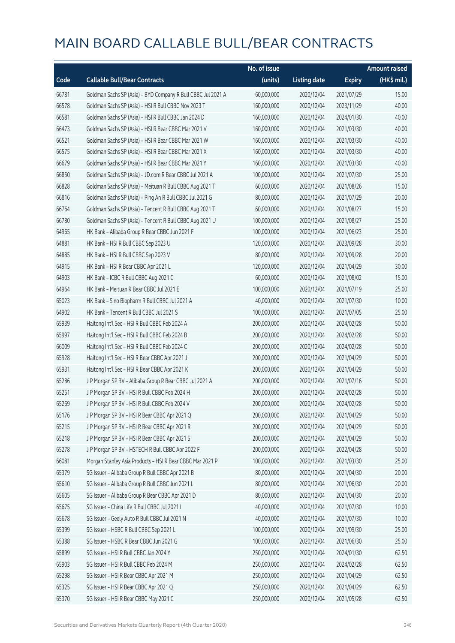|       |                                                              | No. of issue |                     |               | <b>Amount raised</b> |
|-------|--------------------------------------------------------------|--------------|---------------------|---------------|----------------------|
| Code  | <b>Callable Bull/Bear Contracts</b>                          | (units)      | <b>Listing date</b> | <b>Expiry</b> | (HK\$ mil.)          |
| 66781 | Goldman Sachs SP (Asia) - BYD Company R Bull CBBC Jul 2021 A | 60,000,000   | 2020/12/04          | 2021/07/29    | 15.00                |
| 66578 | Goldman Sachs SP (Asia) - HSI R Bull CBBC Nov 2023 T         | 160,000,000  | 2020/12/04          | 2023/11/29    | 40.00                |
| 66581 | Goldman Sachs SP (Asia) - HSI R Bull CBBC Jan 2024 D         | 160,000,000  | 2020/12/04          | 2024/01/30    | 40.00                |
| 66473 | Goldman Sachs SP (Asia) - HSI R Bear CBBC Mar 2021 V         | 160,000,000  | 2020/12/04          | 2021/03/30    | 40.00                |
| 66521 | Goldman Sachs SP (Asia) - HSI R Bear CBBC Mar 2021 W         | 160,000,000  | 2020/12/04          | 2021/03/30    | 40.00                |
| 66575 | Goldman Sachs SP (Asia) - HSI R Bear CBBC Mar 2021 X         | 160,000,000  | 2020/12/04          | 2021/03/30    | 40.00                |
| 66679 | Goldman Sachs SP (Asia) - HSI R Bear CBBC Mar 2021 Y         | 160,000,000  | 2020/12/04          | 2021/03/30    | 40.00                |
| 66850 | Goldman Sachs SP (Asia) - JD.com R Bear CBBC Jul 2021 A      | 100,000,000  | 2020/12/04          | 2021/07/30    | 25.00                |
| 66828 | Goldman Sachs SP (Asia) - Meituan R Bull CBBC Aug 2021 T     | 60,000,000   | 2020/12/04          | 2021/08/26    | 15.00                |
| 66816 | Goldman Sachs SP (Asia) - Ping An R Bull CBBC Jul 2021 G     | 80,000,000   | 2020/12/04          | 2021/07/29    | 20.00                |
| 66764 | Goldman Sachs SP (Asia) - Tencent R Bull CBBC Aug 2021 T     | 60,000,000   | 2020/12/04          | 2021/08/27    | 15.00                |
| 66780 | Goldman Sachs SP (Asia) - Tencent R Bull CBBC Aug 2021 U     | 100,000,000  | 2020/12/04          | 2021/08/27    | 25.00                |
| 64965 | HK Bank - Alibaba Group R Bear CBBC Jun 2021 F               | 100,000,000  | 2020/12/04          | 2021/06/23    | 25.00                |
| 64881 | HK Bank - HSI R Bull CBBC Sep 2023 U                         | 120,000,000  | 2020/12/04          | 2023/09/28    | 30.00                |
| 64885 | HK Bank - HSI R Bull CBBC Sep 2023 V                         | 80,000,000   | 2020/12/04          | 2023/09/28    | 20.00                |
| 64915 | HK Bank - HSI R Bear CBBC Apr 2021 L                         | 120,000,000  | 2020/12/04          | 2021/04/29    | 30.00                |
| 64903 | HK Bank - ICBC R Bull CBBC Aug 2021 C                        | 60,000,000   | 2020/12/04          | 2021/08/02    | 15.00                |
| 64964 | HK Bank - Meituan R Bear CBBC Jul 2021 E                     | 100,000,000  | 2020/12/04          | 2021/07/19    | 25.00                |
| 65023 | HK Bank - Sino Biopharm R Bull CBBC Jul 2021 A               | 40,000,000   | 2020/12/04          | 2021/07/30    | 10.00                |
| 64902 | HK Bank - Tencent R Bull CBBC Jul 2021 S                     | 100,000,000  | 2020/12/04          | 2021/07/05    | 25.00                |
| 65939 | Haitong Int'l Sec - HSI R Bull CBBC Feb 2024 A               | 200,000,000  | 2020/12/04          | 2024/02/28    | 50.00                |
| 65997 | Haitong Int'l Sec - HSI R Bull CBBC Feb 2024 B               | 200,000,000  | 2020/12/04          | 2024/02/28    | 50.00                |
| 66009 | Haitong Int'l Sec - HSI R Bull CBBC Feb 2024 C               | 200,000,000  | 2020/12/04          | 2024/02/28    | 50.00                |
| 65928 | Haitong Int'l Sec - HSI R Bear CBBC Apr 2021 J               | 200,000,000  | 2020/12/04          | 2021/04/29    | 50.00                |
| 65931 | Haitong Int'l Sec - HSI R Bear CBBC Apr 2021 K               | 200,000,000  | 2020/12/04          | 2021/04/29    | 50.00                |
| 65286 | J P Morgan SP BV - Alibaba Group R Bear CBBC Jul 2021 A      | 200,000,000  | 2020/12/04          | 2021/07/16    | 50.00                |
| 65251 | J P Morgan SP BV - HSI R Bull CBBC Feb 2024 H                | 200,000,000  | 2020/12/04          | 2024/02/28    | 50.00                |
| 65269 | J P Morgan SP BV - HSI R Bull CBBC Feb 2024 V                | 200,000,000  | 2020/12/04          | 2024/02/28    | 50.00                |
| 65176 | J P Morgan SP BV - HSI R Bear CBBC Apr 2021 Q                | 200,000,000  | 2020/12/04          | 2021/04/29    | 50.00                |
| 65215 | J P Morgan SP BV - HSI R Bear CBBC Apr 2021 R                | 200,000,000  | 2020/12/04          | 2021/04/29    | 50.00                |
| 65218 | J P Morgan SP BV - HSI R Bear CBBC Apr 2021 S                | 200,000,000  | 2020/12/04          | 2021/04/29    | 50.00                |
| 65278 | J P Morgan SP BV - HSTECH R Bull CBBC Apr 2022 F             | 200,000,000  | 2020/12/04          | 2022/04/28    | 50.00                |
| 66081 | Morgan Stanley Asia Products - HSI R Bear CBBC Mar 2021 P    | 100,000,000  | 2020/12/04          | 2021/03/30    | 25.00                |
| 65379 | SG Issuer - Alibaba Group R Bull CBBC Apr 2021 B             | 80,000,000   | 2020/12/04          | 2021/04/30    | 20.00                |
| 65610 | SG Issuer - Alibaba Group R Bull CBBC Jun 2021 L             | 80,000,000   | 2020/12/04          | 2021/06/30    | 20.00                |
| 65605 | SG Issuer - Alibaba Group R Bear CBBC Apr 2021 D             | 80,000,000   | 2020/12/04          | 2021/04/30    | 20.00                |
| 65675 | SG Issuer - China Life R Bull CBBC Jul 2021 I                | 40,000,000   | 2020/12/04          | 2021/07/30    | 10.00                |
| 65678 | SG Issuer - Geely Auto R Bull CBBC Jul 2021 N                | 40,000,000   | 2020/12/04          | 2021/07/30    | 10.00                |
| 65399 | SG Issuer - HSBC R Bull CBBC Sep 2021 L                      | 100,000,000  | 2020/12/04          | 2021/09/30    | 25.00                |
| 65388 | SG Issuer - HSBC R Bear CBBC Jun 2021 G                      | 100,000,000  | 2020/12/04          | 2021/06/30    | 25.00                |
| 65899 | SG Issuer - HSI R Bull CBBC Jan 2024 Y                       | 250,000,000  | 2020/12/04          | 2024/01/30    | 62.50                |
| 65903 | SG Issuer - HSI R Bull CBBC Feb 2024 M                       | 250,000,000  | 2020/12/04          | 2024/02/28    | 62.50                |
| 65298 | SG Issuer - HSI R Bear CBBC Apr 2021 M                       | 250,000,000  | 2020/12/04          | 2021/04/29    | 62.50                |
| 65325 | SG Issuer - HSI R Bear CBBC Apr 2021 Q                       | 250,000,000  | 2020/12/04          | 2021/04/29    | 62.50                |
| 65370 | SG Issuer - HSI R Bear CBBC May 2021 C                       | 250,000,000  | 2020/12/04          | 2021/05/28    | 62.50                |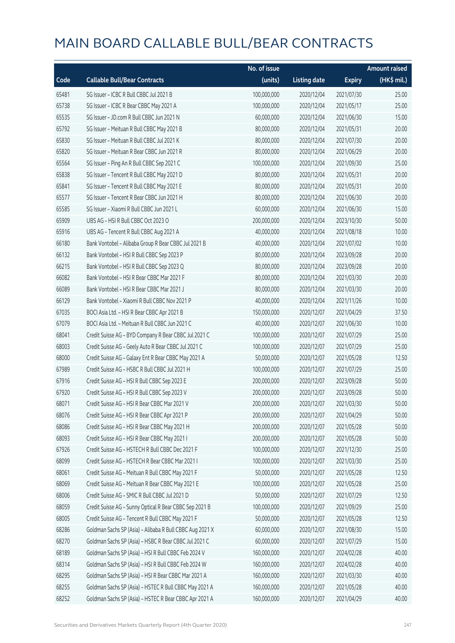|       |                                                          | No. of issue |                     |               | <b>Amount raised</b> |
|-------|----------------------------------------------------------|--------------|---------------------|---------------|----------------------|
| Code  | <b>Callable Bull/Bear Contracts</b>                      | (units)      | <b>Listing date</b> | <b>Expiry</b> | (HK\$ mil.)          |
| 65481 | SG Issuer - ICBC R Bull CBBC Jul 2021 B                  | 100,000,000  | 2020/12/04          | 2021/07/30    | 25.00                |
| 65738 | SG Issuer - ICBC R Bear CBBC May 2021 A                  | 100,000,000  | 2020/12/04          | 2021/05/17    | 25.00                |
| 65535 | SG Issuer - JD.com R Bull CBBC Jun 2021 N                | 60,000,000   | 2020/12/04          | 2021/06/30    | 15.00                |
| 65792 | SG Issuer - Meituan R Bull CBBC May 2021 B               | 80,000,000   | 2020/12/04          | 2021/05/31    | 20.00                |
| 65830 | SG Issuer - Meituan R Bull CBBC Jul 2021 K               | 80,000,000   | 2020/12/04          | 2021/07/30    | 20.00                |
| 65820 | SG Issuer - Meituan R Bear CBBC Jun 2021 R               | 80,000,000   | 2020/12/04          | 2021/06/29    | 20.00                |
| 65564 | SG Issuer - Ping An R Bull CBBC Sep 2021 C               | 100,000,000  | 2020/12/04          | 2021/09/30    | 25.00                |
| 65838 | SG Issuer - Tencent R Bull CBBC May 2021 D               | 80,000,000   | 2020/12/04          | 2021/05/31    | 20.00                |
| 65841 | SG Issuer - Tencent R Bull CBBC May 2021 E               | 80,000,000   | 2020/12/04          | 2021/05/31    | 20.00                |
| 65577 | SG Issuer - Tencent R Bear CBBC Jun 2021 H               | 80,000,000   | 2020/12/04          | 2021/06/30    | 20.00                |
| 65585 | SG Issuer - Xiaomi R Bull CBBC Jun 2021 L                | 60,000,000   | 2020/12/04          | 2021/06/30    | 15.00                |
| 65909 | UBS AG - HSI R Bull CBBC Oct 2023 O                      | 200,000,000  | 2020/12/04          | 2023/10/30    | 50.00                |
| 65916 | UBS AG - Tencent R Bull CBBC Aug 2021 A                  | 40,000,000   | 2020/12/04          | 2021/08/18    | 10.00                |
| 66180 | Bank Vontobel - Alibaba Group R Bear CBBC Jul 2021 B     | 40,000,000   | 2020/12/04          | 2021/07/02    | 10.00                |
| 66132 | Bank Vontobel - HSI R Bull CBBC Sep 2023 P               | 80,000,000   | 2020/12/04          | 2023/09/28    | 20.00                |
| 66215 | Bank Vontobel - HSI R Bull CBBC Sep 2023 Q               | 80,000,000   | 2020/12/04          | 2023/09/28    | 20.00                |
| 66082 | Bank Vontobel - HSI R Bear CBBC Mar 2021 F               | 80,000,000   | 2020/12/04          | 2021/03/30    | 20.00                |
| 66089 | Bank Vontobel - HSI R Bear CBBC Mar 2021 J               | 80,000,000   | 2020/12/04          | 2021/03/30    | 20.00                |
| 66129 | Bank Vontobel - Xiaomi R Bull CBBC Nov 2021 P            | 40,000,000   | 2020/12/04          | 2021/11/26    | 10.00                |
| 67035 | BOCI Asia Ltd. - HSI R Bear CBBC Apr 2021 B              | 150,000,000  | 2020/12/07          | 2021/04/29    | 37.50                |
| 67079 | BOCI Asia Ltd. - Meituan R Bull CBBC Jun 2021 C          | 40,000,000   | 2020/12/07          | 2021/06/30    | 10.00                |
| 68041 | Credit Suisse AG - BYD Company R Bear CBBC Jul 2021 C    | 100,000,000  | 2020/12/07          | 2021/07/29    | 25.00                |
| 68003 | Credit Suisse AG - Geely Auto R Bear CBBC Jul 2021 C     | 100,000,000  | 2020/12/07          | 2021/07/29    | 25.00                |
| 68000 | Credit Suisse AG - Galaxy Ent R Bear CBBC May 2021 A     | 50,000,000   | 2020/12/07          | 2021/05/28    | 12.50                |
| 67989 | Credit Suisse AG - HSBC R Bull CBBC Jul 2021 H           | 100,000,000  | 2020/12/07          | 2021/07/29    | 25.00                |
| 67916 | Credit Suisse AG - HSI R Bull CBBC Sep 2023 E            | 200,000,000  | 2020/12/07          | 2023/09/28    | 50.00                |
| 67920 | Credit Suisse AG - HSI R Bull CBBC Sep 2023 V            | 200,000,000  | 2020/12/07          | 2023/09/28    | 50.00                |
| 68071 | Credit Suisse AG - HSI R Bear CBBC Mar 2021 V            | 200,000,000  | 2020/12/07          | 2021/03/30    | 50.00                |
| 68076 | Credit Suisse AG - HSI R Bear CBBC Apr 2021 P            | 200,000,000  | 2020/12/07          | 2021/04/29    | 50.00                |
| 68086 | Credit Suisse AG - HSI R Bear CBBC May 2021 H            | 200,000,000  | 2020/12/07          | 2021/05/28    | 50.00                |
| 68093 | Credit Suisse AG - HSI R Bear CBBC May 2021 I            | 200,000,000  | 2020/12/07          | 2021/05/28    | 50.00                |
| 67926 | Credit Suisse AG - HSTECH R Bull CBBC Dec 2021 F         | 100,000,000  | 2020/12/07          | 2021/12/30    | 25.00                |
| 68099 | Credit Suisse AG - HSTECH R Bear CBBC Mar 2021 I         | 100,000,000  | 2020/12/07          | 2021/03/30    | 25.00                |
| 68061 | Credit Suisse AG - Meituan R Bull CBBC May 2021 F        | 50,000,000   | 2020/12/07          | 2021/05/28    | 12.50                |
| 68069 | Credit Suisse AG - Meituan R Bear CBBC May 2021 E        | 100,000,000  | 2020/12/07          | 2021/05/28    | 25.00                |
| 68006 | Credit Suisse AG - SMIC R Bull CBBC Jul 2021 D           | 50,000,000   | 2020/12/07          | 2021/07/29    | 12.50                |
| 68059 | Credit Suisse AG - Sunny Optical R Bear CBBC Sep 2021 B  | 100,000,000  | 2020/12/07          | 2021/09/29    | 25.00                |
| 68005 | Credit Suisse AG - Tencent R Bull CBBC May 2021 F        | 50,000,000   | 2020/12/07          | 2021/05/28    | 12.50                |
| 68286 | Goldman Sachs SP (Asia) - Alibaba R Bull CBBC Aug 2021 X | 60,000,000   | 2020/12/07          | 2021/08/30    | 15.00                |
| 68270 | Goldman Sachs SP (Asia) - HSBC R Bear CBBC Jul 2021 C    | 60,000,000   | 2020/12/07          | 2021/07/29    | 15.00                |
| 68189 | Goldman Sachs SP (Asia) - HSI R Bull CBBC Feb 2024 V     | 160,000,000  | 2020/12/07          | 2024/02/28    | 40.00                |
| 68314 | Goldman Sachs SP (Asia) - HSI R Bull CBBC Feb 2024 W     | 160,000,000  | 2020/12/07          | 2024/02/28    | 40.00                |
| 68295 | Goldman Sachs SP (Asia) - HSI R Bear CBBC Mar 2021 A     | 160,000,000  | 2020/12/07          | 2021/03/30    | 40.00                |
| 68255 | Goldman Sachs SP (Asia) - HSTEC R Bull CBBC May 2021 A   | 160,000,000  | 2020/12/07          | 2021/05/28    | 40.00                |
| 68252 | Goldman Sachs SP (Asia) - HSTEC R Bear CBBC Apr 2021 A   | 160,000,000  | 2020/12/07          | 2021/04/29    | 40.00                |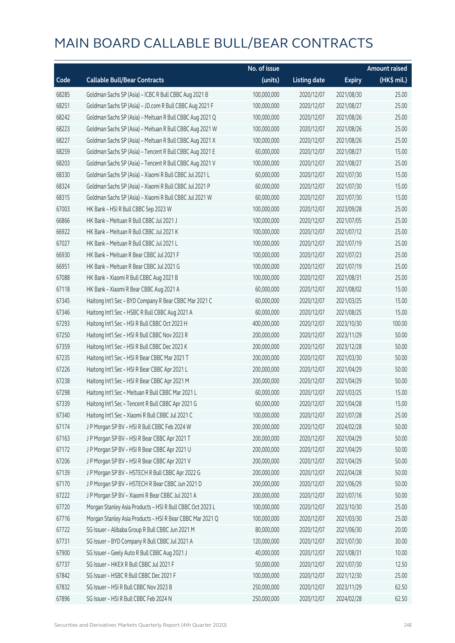|       |                                                           | No. of issue |                     |               | <b>Amount raised</b> |
|-------|-----------------------------------------------------------|--------------|---------------------|---------------|----------------------|
| Code  | <b>Callable Bull/Bear Contracts</b>                       | (units)      | <b>Listing date</b> | <b>Expiry</b> | $(HK$$ mil.)         |
| 68285 | Goldman Sachs SP (Asia) - ICBC R Bull CBBC Aug 2021 B     | 100,000,000  | 2020/12/07          | 2021/08/30    | 25.00                |
| 68251 | Goldman Sachs SP (Asia) - JD.com R Bull CBBC Aug 2021 F   | 100,000,000  | 2020/12/07          | 2021/08/27    | 25.00                |
| 68242 | Goldman Sachs SP (Asia) - Meituan R Bull CBBC Aug 2021 Q  | 100,000,000  | 2020/12/07          | 2021/08/26    | 25.00                |
| 68223 | Goldman Sachs SP (Asia) - Meituan R Bull CBBC Aug 2021 W  | 100,000,000  | 2020/12/07          | 2021/08/26    | 25.00                |
| 68227 | Goldman Sachs SP (Asia) - Meituan R Bull CBBC Aug 2021 X  | 100,000,000  | 2020/12/07          | 2021/08/26    | 25.00                |
| 68259 | Goldman Sachs SP (Asia) - Tencent R Bull CBBC Aug 2021 E  | 60,000,000   | 2020/12/07          | 2021/08/27    | 15.00                |
| 68203 | Goldman Sachs SP (Asia) - Tencent R Bull CBBC Aug 2021 V  | 100,000,000  | 2020/12/07          | 2021/08/27    | 25.00                |
| 68330 | Goldman Sachs SP (Asia) - Xiaomi R Bull CBBC Jul 2021 L   | 60,000,000   | 2020/12/07          | 2021/07/30    | 15.00                |
| 68324 | Goldman Sachs SP (Asia) - Xiaomi R Bull CBBC Jul 2021 P   | 60,000,000   | 2020/12/07          | 2021/07/30    | 15.00                |
| 68315 | Goldman Sachs SP (Asia) - Xiaomi R Bull CBBC Jul 2021 W   | 60,000,000   | 2020/12/07          | 2021/07/30    | 15.00                |
| 67003 | HK Bank - HSI R Bull CBBC Sep 2023 W                      | 100,000,000  | 2020/12/07          | 2023/09/28    | 25.00                |
| 66866 | HK Bank - Meituan R Bull CBBC Jul 2021 J                  | 100,000,000  | 2020/12/07          | 2021/07/05    | 25.00                |
| 66922 | HK Bank - Meituan R Bull CBBC Jul 2021 K                  | 100,000,000  | 2020/12/07          | 2021/07/12    | 25.00                |
| 67027 | HK Bank - Meituan R Bull CBBC Jul 2021 L                  | 100,000,000  | 2020/12/07          | 2021/07/19    | 25.00                |
| 66930 | HK Bank - Meituan R Bear CBBC Jul 2021 F                  | 100,000,000  | 2020/12/07          | 2021/07/23    | 25.00                |
| 66951 | HK Bank - Meituan R Bear CBBC Jul 2021 G                  | 100,000,000  | 2020/12/07          | 2021/07/19    | 25.00                |
| 67088 | HK Bank - Xiaomi R Bull CBBC Aug 2021 B                   | 100,000,000  | 2020/12/07          | 2021/08/31    | 25.00                |
| 67118 | HK Bank - Xiaomi R Bear CBBC Aug 2021 A                   | 60,000,000   | 2020/12/07          | 2021/08/02    | 15.00                |
| 67345 | Haitong Int'l Sec - BYD Company R Bear CBBC Mar 2021 C    | 60,000,000   | 2020/12/07          | 2021/03/25    | 15.00                |
| 67346 | Haitong Int'l Sec - HSBC R Bull CBBC Aug 2021 A           | 60,000,000   | 2020/12/07          | 2021/08/25    | 15.00                |
| 67293 | Haitong Int'l Sec - HSI R Bull CBBC Oct 2023 H            | 400,000,000  | 2020/12/07          | 2023/10/30    | 100.00               |
| 67250 | Haitong Int'l Sec - HSI R Bull CBBC Nov 2023 R            | 200,000,000  | 2020/12/07          | 2023/11/29    | 50.00                |
| 67359 | Haitong Int'l Sec - HSI R Bull CBBC Dec 2023 K            | 200,000,000  | 2020/12/07          | 2023/12/28    | 50.00                |
| 67235 | Haitong Int'l Sec - HSI R Bear CBBC Mar 2021 T            | 200,000,000  | 2020/12/07          | 2021/03/30    | 50.00                |
| 67226 | Haitong Int'l Sec - HSI R Bear CBBC Apr 2021 L            | 200,000,000  | 2020/12/07          | 2021/04/29    | 50.00                |
| 67238 | Haitong Int'l Sec - HSI R Bear CBBC Apr 2021 M            | 200,000,000  | 2020/12/07          | 2021/04/29    | 50.00                |
| 67298 | Haitong Int'l Sec - Meituan R Bull CBBC Mar 2021 L        | 60,000,000   | 2020/12/07          | 2021/03/25    | 15.00                |
| 67339 | Haitong Int'l Sec - Tencent R Bull CBBC Apr 2021 G        | 60,000,000   | 2020/12/07          | 2021/04/28    | 15.00                |
| 67340 | Haitong Int'l Sec - Xiaomi R Bull CBBC Jul 2021 C         | 100,000,000  | 2020/12/07          | 2021/07/28    | 25.00                |
| 67174 | J P Morgan SP BV - HSI R Bull CBBC Feb 2024 W             | 200,000,000  | 2020/12/07          | 2024/02/28    | 50.00                |
| 67163 | J P Morgan SP BV - HSI R Bear CBBC Apr 2021 T             | 200,000,000  | 2020/12/07          | 2021/04/29    | 50.00                |
| 67172 | J P Morgan SP BV - HSI R Bear CBBC Apr 2021 U             | 200,000,000  | 2020/12/07          | 2021/04/29    | 50.00                |
| 67206 | J P Morgan SP BV - HSI R Bear CBBC Apr 2021 V             | 200,000,000  | 2020/12/07          | 2021/04/29    | 50.00                |
| 67139 | J P Morgan SP BV - HSTECH R Bull CBBC Apr 2022 G          | 200,000,000  | 2020/12/07          | 2022/04/28    | 50.00                |
| 67170 | J P Morgan SP BV - HSTECH R Bear CBBC Jun 2021 D          | 200,000,000  | 2020/12/07          | 2021/06/29    | 50.00                |
| 67222 | J P Morgan SP BV - Xiaomi R Bear CBBC Jul 2021 A          | 200,000,000  | 2020/12/07          | 2021/07/16    | 50.00                |
| 67720 | Morgan Stanley Asia Products - HSI R Bull CBBC Oct 2023 L | 100,000,000  | 2020/12/07          | 2023/10/30    | 25.00                |
| 67716 | Morgan Stanley Asia Products - HSI R Bear CBBC Mar 2021 Q | 100,000,000  | 2020/12/07          | 2021/03/30    | 25.00                |
| 67722 | SG Issuer - Alibaba Group R Bull CBBC Jun 2021 M          | 80,000,000   | 2020/12/07          | 2021/06/30    | 20.00                |
| 67731 | SG Issuer - BYD Company R Bull CBBC Jul 2021 A            | 120,000,000  | 2020/12/07          | 2021/07/30    | 30.00                |
| 67900 | SG Issuer - Geely Auto R Bull CBBC Aug 2021 J             | 40,000,000   | 2020/12/07          | 2021/08/31    | 10.00                |
| 67737 | SG Issuer - HKEX R Bull CBBC Jul 2021 F                   | 50,000,000   | 2020/12/07          | 2021/07/30    | 12.50                |
| 67842 | SG Issuer - HSBC R Bull CBBC Dec 2021 F                   | 100,000,000  | 2020/12/07          | 2021/12/30    | 25.00                |
| 67832 | SG Issuer - HSI R Bull CBBC Nov 2023 B                    | 250,000,000  | 2020/12/07          | 2023/11/29    | 62.50                |
| 67896 | SG Issuer - HSI R Bull CBBC Feb 2024 N                    | 250,000,000  | 2020/12/07          | 2024/02/28    | 62.50                |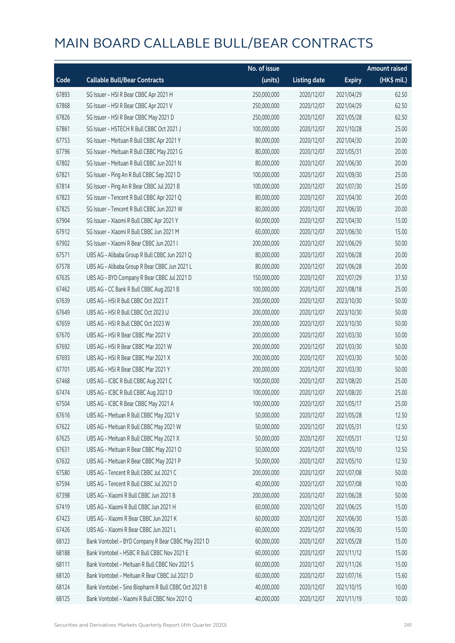|       |                                                      | No. of issue |                     |               | <b>Amount raised</b> |
|-------|------------------------------------------------------|--------------|---------------------|---------------|----------------------|
| Code  | <b>Callable Bull/Bear Contracts</b>                  | (units)      | <b>Listing date</b> | <b>Expiry</b> | (HK\$ mil.)          |
| 67893 | SG Issuer - HSI R Bear CBBC Apr 2021 H               | 250,000,000  | 2020/12/07          | 2021/04/29    | 62.50                |
| 67868 | SG Issuer - HSI R Bear CBBC Apr 2021 V               | 250,000,000  | 2020/12/07          | 2021/04/29    | 62.50                |
| 67826 | SG Issuer - HSI R Bear CBBC May 2021 D               | 250,000,000  | 2020/12/07          | 2021/05/28    | 62.50                |
| 67861 | SG Issuer - HSTECH R Bull CBBC Oct 2021 J            | 100,000,000  | 2020/12/07          | 2021/10/28    | 25.00                |
| 67753 | SG Issuer - Meituan R Bull CBBC Apr 2021 Y           | 80,000,000   | 2020/12/07          | 2021/04/30    | 20.00                |
| 67796 | SG Issuer - Meituan R Bull CBBC May 2021 G           | 80,000,000   | 2020/12/07          | 2021/05/31    | 20.00                |
| 67802 | SG Issuer - Meituan R Bull CBBC Jun 2021 N           | 80,000,000   | 2020/12/07          | 2021/06/30    | 20.00                |
| 67821 | SG Issuer - Ping An R Bull CBBC Sep 2021 D           | 100,000,000  | 2020/12/07          | 2021/09/30    | 25.00                |
| 67814 | SG Issuer - Ping An R Bear CBBC Jul 2021 B           | 100,000,000  | 2020/12/07          | 2021/07/30    | 25.00                |
| 67823 | SG Issuer - Tencent R Bull CBBC Apr 2021 Q           | 80,000,000   | 2020/12/07          | 2021/04/30    | 20.00                |
| 67825 | SG Issuer - Tencent R Bull CBBC Jun 2021 W           | 80,000,000   | 2020/12/07          | 2021/06/30    | 20.00                |
| 67904 | SG Issuer - Xiaomi R Bull CBBC Apr 2021 Y            | 60,000,000   | 2020/12/07          | 2021/04/30    | 15.00                |
| 67912 | SG Issuer - Xiaomi R Bull CBBC Jun 2021 M            | 60,000,000   | 2020/12/07          | 2021/06/30    | 15.00                |
| 67902 | SG Issuer - Xiaomi R Bear CBBC Jun 2021 I            | 200,000,000  | 2020/12/07          | 2021/06/29    | 50.00                |
| 67571 | UBS AG - Alibaba Group R Bull CBBC Jun 2021 Q        | 80,000,000   | 2020/12/07          | 2021/06/28    | 20.00                |
| 67578 | UBS AG - Alibaba Group R Bear CBBC Jun 2021 L        | 80,000,000   | 2020/12/07          | 2021/06/28    | 20.00                |
| 67635 | UBS AG - BYD Company R Bear CBBC Jul 2021 D          | 150,000,000  | 2020/12/07          | 2021/07/29    | 37.50                |
| 67462 | UBS AG - CC Bank R Bull CBBC Aug 2021 B              | 100,000,000  | 2020/12/07          | 2021/08/18    | 25.00                |
| 67639 | UBS AG - HSI R Bull CBBC Oct 2023 T                  | 200,000,000  | 2020/12/07          | 2023/10/30    | 50.00                |
| 67649 | UBS AG - HSI R Bull CBBC Oct 2023 U                  | 200,000,000  | 2020/12/07          | 2023/10/30    | 50.00                |
| 67659 | UBS AG - HSI R Bull CBBC Oct 2023 W                  | 200,000,000  | 2020/12/07          | 2023/10/30    | 50.00                |
| 67670 | UBS AG - HSI R Bear CBBC Mar 2021 V                  | 200,000,000  | 2020/12/07          | 2021/03/30    | 50.00                |
| 67692 | UBS AG - HSI R Bear CBBC Mar 2021 W                  | 200,000,000  | 2020/12/07          | 2021/03/30    | 50.00                |
| 67693 | UBS AG - HSI R Bear CBBC Mar 2021 X                  | 200,000,000  | 2020/12/07          | 2021/03/30    | 50.00                |
| 67701 | UBS AG - HSI R Bear CBBC Mar 2021 Y                  | 200,000,000  | 2020/12/07          | 2021/03/30    | 50.00                |
| 67468 | UBS AG - ICBC R Bull CBBC Aug 2021 C                 | 100,000,000  | 2020/12/07          | 2021/08/20    | 25.00                |
| 67474 | UBS AG - ICBC R Bull CBBC Aug 2021 D                 | 100,000,000  | 2020/12/07          | 2021/08/20    | 25.00                |
| 67504 | UBS AG - ICBC R Bear CBBC May 2021 A                 | 100,000,000  | 2020/12/07          | 2021/05/17    | 25.00                |
| 67616 | UBS AG - Meituan R Bull CBBC May 2021 V              | 50,000,000   | 2020/12/07          | 2021/05/28    | 12.50                |
| 67622 | UBS AG - Meituan R Bull CBBC May 2021 W              | 50,000,000   | 2020/12/07          | 2021/05/31    | 12.50                |
| 67625 | UBS AG - Meituan R Bull CBBC May 2021 X              | 50,000,000   | 2020/12/07          | 2021/05/31    | 12.50                |
| 67631 | UBS AG - Meituan R Bear CBBC May 2021 O              | 50,000,000   | 2020/12/07          | 2021/05/10    | 12.50                |
| 67632 | UBS AG - Meituan R Bear CBBC May 2021 P              | 50,000,000   | 2020/12/07          | 2021/05/10    | 12.50                |
| 67580 | UBS AG - Tencent R Bull CBBC Jul 2021 C              | 200,000,000  | 2020/12/07          | 2021/07/08    | 50.00                |
| 67594 | UBS AG - Tencent R Bull CBBC Jul 2021 D              | 40,000,000   | 2020/12/07          | 2021/07/08    | 10.00                |
| 67398 | UBS AG - Xiaomi R Bull CBBC Jun 2021 B               | 200,000,000  | 2020/12/07          | 2021/06/28    | 50.00                |
| 67419 | UBS AG - Xiaomi R Bull CBBC Jun 2021 H               | 60,000,000   | 2020/12/07          | 2021/06/25    | 15.00                |
| 67423 | UBS AG - Xiaomi R Bear CBBC Jun 2021 K               | 60,000,000   | 2020/12/07          | 2021/06/30    | 15.00                |
| 67426 | UBS AG - Xiaomi R Bear CBBC Jun 2021 L               | 60,000,000   | 2020/12/07          | 2021/06/30    | 15.00                |
| 68123 | Bank Vontobel - BYD Company R Bear CBBC May 2021 D   | 60,000,000   | 2020/12/07          | 2021/05/28    | 15.00                |
| 68188 | Bank Vontobel - HSBC R Bull CBBC Nov 2021 E          | 60,000,000   | 2020/12/07          | 2021/11/12    | 15.00                |
| 68111 | Bank Vontobel - Meituan R Bull CBBC Nov 2021 S       | 60,000,000   | 2020/12/07          | 2021/11/26    | 15.00                |
| 68120 | Bank Vontobel - Meituan R Bear CBBC Jul 2021 D       | 60,000,000   | 2020/12/07          | 2021/07/16    | 15.60                |
| 68124 | Bank Vontobel - Sino Biopharm R Bull CBBC Oct 2021 B | 40,000,000   | 2020/12/07          | 2021/10/15    | 10.00                |
| 68125 | Bank Vontobel - Xiaomi R Bull CBBC Nov 2021 Q        | 40,000,000   | 2020/12/07          | 2021/11/19    | 10.00                |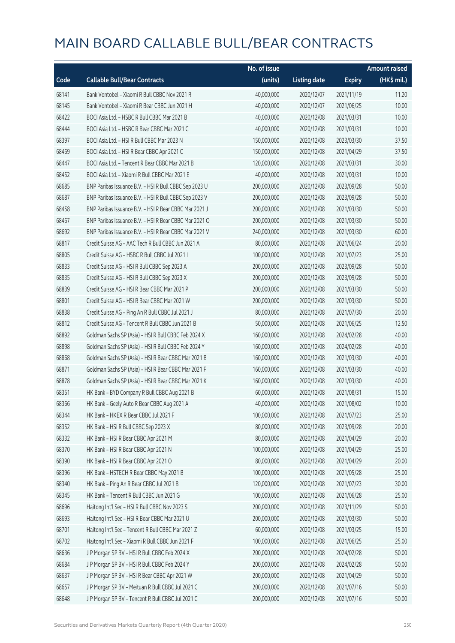|       |                                                        | No. of issue |                     |               | <b>Amount raised</b> |
|-------|--------------------------------------------------------|--------------|---------------------|---------------|----------------------|
| Code  | <b>Callable Bull/Bear Contracts</b>                    | (units)      | <b>Listing date</b> | <b>Expiry</b> | (HK\$ mil.)          |
| 68141 | Bank Vontobel - Xiaomi R Bull CBBC Nov 2021 R          | 40,000,000   | 2020/12/07          | 2021/11/19    | 11.20                |
| 68145 | Bank Vontobel - Xiaomi R Bear CBBC Jun 2021 H          | 40,000,000   | 2020/12/07          | 2021/06/25    | 10.00                |
| 68422 | BOCI Asia Ltd. - HSBC R Bull CBBC Mar 2021 B           | 40,000,000   | 2020/12/08          | 2021/03/31    | 10.00                |
| 68444 | BOCI Asia Ltd. - HSBC R Bear CBBC Mar 2021 C           | 40,000,000   | 2020/12/08          | 2021/03/31    | 10.00                |
| 68397 | BOCI Asia Ltd. - HSI R Bull CBBC Mar 2023 N            | 150,000,000  | 2020/12/08          | 2023/03/30    | 37.50                |
| 68469 | BOCI Asia Ltd. - HSI R Bear CBBC Apr 2021 C            | 150,000,000  | 2020/12/08          | 2021/04/29    | 37.50                |
| 68447 | BOCI Asia Ltd. - Tencent R Bear CBBC Mar 2021 B        | 120,000,000  | 2020/12/08          | 2021/03/31    | 30.00                |
| 68452 | BOCI Asia Ltd. - Xiaomi R Bull CBBC Mar 2021 E         | 40,000,000   | 2020/12/08          | 2021/03/31    | 10.00                |
| 68685 | BNP Paribas Issuance B.V. - HSI R Bull CBBC Sep 2023 U | 200,000,000  | 2020/12/08          | 2023/09/28    | 50.00                |
| 68687 | BNP Paribas Issuance B.V. - HSI R Bull CBBC Sep 2023 V | 200,000,000  | 2020/12/08          | 2023/09/28    | 50.00                |
| 68458 | BNP Paribas Issuance B.V. - HSI R Bear CBBC Mar 2021 J | 200,000,000  | 2020/12/08          | 2021/03/30    | 50.00                |
| 68467 | BNP Paribas Issuance B.V. - HSI R Bear CBBC Mar 2021 O | 200,000,000  | 2020/12/08          | 2021/03/30    | 50.00                |
| 68692 | BNP Paribas Issuance B.V. - HSI R Bear CBBC Mar 2021 V | 240,000,000  | 2020/12/08          | 2021/03/30    | 60.00                |
| 68817 | Credit Suisse AG - AAC Tech R Bull CBBC Jun 2021 A     | 80,000,000   | 2020/12/08          | 2021/06/24    | 20.00                |
| 68805 | Credit Suisse AG - HSBC R Bull CBBC Jul 2021 I         | 100,000,000  | 2020/12/08          | 2021/07/23    | 25.00                |
| 68833 | Credit Suisse AG - HSI R Bull CBBC Sep 2023 A          | 200,000,000  | 2020/12/08          | 2023/09/28    | 50.00                |
| 68835 | Credit Suisse AG - HSI R Bull CBBC Sep 2023 X          | 200,000,000  | 2020/12/08          | 2023/09/28    | 50.00                |
| 68839 | Credit Suisse AG - HSI R Bear CBBC Mar 2021 P          | 200,000,000  | 2020/12/08          | 2021/03/30    | 50.00                |
| 68801 | Credit Suisse AG - HSI R Bear CBBC Mar 2021 W          | 200,000,000  | 2020/12/08          | 2021/03/30    | 50.00                |
| 68838 | Credit Suisse AG - Ping An R Bull CBBC Jul 2021 J      | 80,000,000   | 2020/12/08          | 2021/07/30    | 20.00                |
| 68812 | Credit Suisse AG - Tencent R Bull CBBC Jun 2021 B      | 50,000,000   | 2020/12/08          | 2021/06/25    | 12.50                |
| 68892 | Goldman Sachs SP (Asia) - HSI R Bull CBBC Feb 2024 X   | 160,000,000  | 2020/12/08          | 2024/02/28    | 40.00                |
| 68898 | Goldman Sachs SP (Asia) - HSI R Bull CBBC Feb 2024 Y   | 160,000,000  | 2020/12/08          | 2024/02/28    | 40.00                |
| 68868 | Goldman Sachs SP (Asia) - HSI R Bear CBBC Mar 2021 B   | 160,000,000  | 2020/12/08          | 2021/03/30    | 40.00                |
| 68871 | Goldman Sachs SP (Asia) - HSI R Bear CBBC Mar 2021 F   | 160,000,000  | 2020/12/08          | 2021/03/30    | 40.00                |
| 68878 | Goldman Sachs SP (Asia) - HSI R Bear CBBC Mar 2021 K   | 160,000,000  | 2020/12/08          | 2021/03/30    | 40.00                |
| 68351 | HK Bank - BYD Company R Bull CBBC Aug 2021 B           | 60,000,000   | 2020/12/08          | 2021/08/31    | 15.00                |
| 68366 | HK Bank - Geely Auto R Bear CBBC Aug 2021 A            | 40,000,000   | 2020/12/08          | 2021/08/02    | 10.00                |
| 68344 | HK Bank - HKEX R Bear CBBC Jul 2021 F                  | 100,000,000  | 2020/12/08          | 2021/07/23    | 25.00                |
| 68352 | HK Bank - HSI R Bull CBBC Sep 2023 X                   | 80,000,000   | 2020/12/08          | 2023/09/28    | 20.00                |
| 68332 | HK Bank - HSI R Bear CBBC Apr 2021 M                   | 80,000,000   | 2020/12/08          | 2021/04/29    | 20.00                |
| 68370 | HK Bank - HSI R Bear CBBC Apr 2021 N                   | 100,000,000  | 2020/12/08          | 2021/04/29    | 25.00                |
| 68390 | HK Bank - HSI R Bear CBBC Apr 2021 O                   | 80,000,000   | 2020/12/08          | 2021/04/29    | 20.00                |
| 68396 | HK Bank - HSTECH R Bear CBBC May 2021 B                | 100,000,000  | 2020/12/08          | 2021/05/28    | 25.00                |
| 68340 | HK Bank - Ping An R Bear CBBC Jul 2021 B               | 120,000,000  | 2020/12/08          | 2021/07/23    | 30.00                |
| 68345 | HK Bank - Tencent R Bull CBBC Jun 2021 G               | 100,000,000  | 2020/12/08          | 2021/06/28    | 25.00                |
| 68696 | Haitong Int'l Sec - HSI R Bull CBBC Nov 2023 S         | 200,000,000  | 2020/12/08          | 2023/11/29    | 50.00                |
| 68693 | Haitong Int'l Sec - HSI R Bear CBBC Mar 2021 U         | 200,000,000  | 2020/12/08          | 2021/03/30    | 50.00                |
| 68701 | Haitong Int'l Sec - Tencent R Bull CBBC Mar 2021 Z     | 60,000,000   | 2020/12/08          | 2021/03/25    | 15.00                |
| 68702 | Haitong Int'l Sec - Xiaomi R Bull CBBC Jun 2021 F      | 100,000,000  | 2020/12/08          | 2021/06/25    | 25.00                |
| 68636 | J P Morgan SP BV - HSI R Bull CBBC Feb 2024 X          | 200,000,000  | 2020/12/08          | 2024/02/28    | 50.00                |
| 68684 | J P Morgan SP BV - HSI R Bull CBBC Feb 2024 Y          | 200,000,000  | 2020/12/08          | 2024/02/28    | 50.00                |
| 68637 | J P Morgan SP BV - HSI R Bear CBBC Apr 2021 W          | 200,000,000  | 2020/12/08          | 2021/04/29    | 50.00                |
| 68657 | J P Morgan SP BV - Meituan R Bull CBBC Jul 2021 C      | 200,000,000  | 2020/12/08          | 2021/07/16    | 50.00                |
| 68648 | J P Morgan SP BV - Tencent R Bull CBBC Jul 2021 C      | 200,000,000  | 2020/12/08          | 2021/07/16    | 50.00                |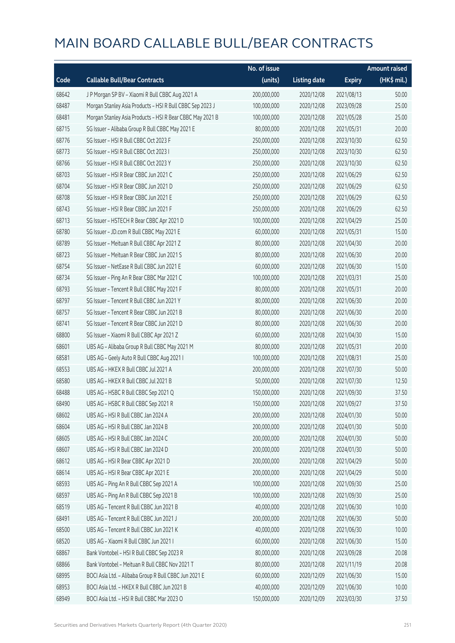|       |                                                           | No. of issue |                     |               | <b>Amount raised</b> |
|-------|-----------------------------------------------------------|--------------|---------------------|---------------|----------------------|
| Code  | <b>Callable Bull/Bear Contracts</b>                       | (units)      | <b>Listing date</b> | <b>Expiry</b> | (HK\$ mil.)          |
| 68642 | J P Morgan SP BV - Xiaomi R Bull CBBC Aug 2021 A          | 200,000,000  | 2020/12/08          | 2021/08/13    | 50.00                |
| 68487 | Morgan Stanley Asia Products - HSI R Bull CBBC Sep 2023 J | 100,000,000  | 2020/12/08          | 2023/09/28    | 25.00                |
| 68481 | Morgan Stanley Asia Products - HSI R Bear CBBC May 2021 B | 100,000,000  | 2020/12/08          | 2021/05/28    | 25.00                |
| 68715 | SG Issuer - Alibaba Group R Bull CBBC May 2021 E          | 80,000,000   | 2020/12/08          | 2021/05/31    | 20.00                |
| 68776 | SG Issuer - HSI R Bull CBBC Oct 2023 F                    | 250,000,000  | 2020/12/08          | 2023/10/30    | 62.50                |
| 68773 | SG Issuer - HSI R Bull CBBC Oct 2023 I                    | 250,000,000  | 2020/12/08          | 2023/10/30    | 62.50                |
| 68766 | SG Issuer - HSI R Bull CBBC Oct 2023 Y                    | 250,000,000  | 2020/12/08          | 2023/10/30    | 62.50                |
| 68703 | SG Issuer - HSI R Bear CBBC Jun 2021 C                    | 250,000,000  | 2020/12/08          | 2021/06/29    | 62.50                |
| 68704 | SG Issuer - HSI R Bear CBBC Jun 2021 D                    | 250,000,000  | 2020/12/08          | 2021/06/29    | 62.50                |
| 68708 | SG Issuer - HSI R Bear CBBC Jun 2021 E                    | 250,000,000  | 2020/12/08          | 2021/06/29    | 62.50                |
| 68743 | SG Issuer - HSI R Bear CBBC Jun 2021 F                    | 250,000,000  | 2020/12/08          | 2021/06/29    | 62.50                |
| 68713 | SG Issuer - HSTECH R Bear CBBC Apr 2021 D                 | 100,000,000  | 2020/12/08          | 2021/04/29    | 25.00                |
| 68780 | SG Issuer - JD.com R Bull CBBC May 2021 E                 | 60,000,000   | 2020/12/08          | 2021/05/31    | 15.00                |
| 68789 | SG Issuer - Meituan R Bull CBBC Apr 2021 Z                | 80,000,000   | 2020/12/08          | 2021/04/30    | 20.00                |
| 68723 | SG Issuer - Meituan R Bear CBBC Jun 2021 S                | 80,000,000   | 2020/12/08          | 2021/06/30    | 20.00                |
| 68754 | SG Issuer - NetEase R Bull CBBC Jun 2021 E                | 60,000,000   | 2020/12/08          | 2021/06/30    | 15.00                |
| 68734 | SG Issuer - Ping An R Bear CBBC Mar 2021 C                | 100,000,000  | 2020/12/08          | 2021/03/31    | 25.00                |
| 68793 | SG Issuer - Tencent R Bull CBBC May 2021 F                | 80,000,000   | 2020/12/08          | 2021/05/31    | 20.00                |
| 68797 | SG Issuer - Tencent R Bull CBBC Jun 2021 Y                | 80,000,000   | 2020/12/08          | 2021/06/30    | 20.00                |
| 68757 | SG Issuer - Tencent R Bear CBBC Jun 2021 B                | 80,000,000   | 2020/12/08          | 2021/06/30    | 20.00                |
| 68741 | SG Issuer - Tencent R Bear CBBC Jun 2021 D                | 80,000,000   | 2020/12/08          | 2021/06/30    | 20.00                |
| 68800 | SG Issuer - Xiaomi R Bull CBBC Apr 2021 Z                 | 60,000,000   | 2020/12/08          | 2021/04/30    | 15.00                |
| 68601 | UBS AG - Alibaba Group R Bull CBBC May 2021 M             | 80,000,000   | 2020/12/08          | 2021/05/31    | 20.00                |
| 68581 | UBS AG - Geely Auto R Bull CBBC Aug 2021 I                | 100,000,000  | 2020/12/08          | 2021/08/31    | 25.00                |
| 68553 | UBS AG - HKEX R Bull CBBC Jul 2021 A                      | 200,000,000  | 2020/12/08          | 2021/07/30    | 50.00                |
| 68580 | UBS AG - HKEX R Bull CBBC Jul 2021 B                      | 50,000,000   | 2020/12/08          | 2021/07/30    | 12.50                |
| 68488 | UBS AG - HSBC R Bull CBBC Sep 2021 Q                      | 150,000,000  | 2020/12/08          | 2021/09/30    | 37.50                |
| 68490 | UBS AG - HSBC R Bull CBBC Sep 2021 R                      | 150,000,000  | 2020/12/08          | 2021/09/27    | 37.50                |
| 68602 | UBS AG - HSI R Bull CBBC Jan 2024 A                       | 200,000,000  | 2020/12/08          | 2024/01/30    | 50.00                |
| 68604 | UBS AG - HSI R Bull CBBC Jan 2024 B                       | 200,000,000  | 2020/12/08          | 2024/01/30    | 50.00                |
| 68605 | UBS AG - HSI R Bull CBBC Jan 2024 C                       | 200,000,000  | 2020/12/08          | 2024/01/30    | 50.00                |
| 68607 | UBS AG - HSI R Bull CBBC Jan 2024 D                       | 200,000,000  | 2020/12/08          | 2024/01/30    | 50.00                |
| 68612 | UBS AG - HSI R Bear CBBC Apr 2021 D                       | 200,000,000  | 2020/12/08          | 2021/04/29    | 50.00                |
| 68614 | UBS AG - HSI R Bear CBBC Apr 2021 E                       | 200,000,000  | 2020/12/08          | 2021/04/29    | 50.00                |
| 68593 | UBS AG - Ping An R Bull CBBC Sep 2021 A                   | 100,000,000  | 2020/12/08          | 2021/09/30    | 25.00                |
| 68597 | UBS AG - Ping An R Bull CBBC Sep 2021 B                   | 100,000,000  | 2020/12/08          | 2021/09/30    | 25.00                |
| 68519 | UBS AG - Tencent R Bull CBBC Jun 2021 B                   | 40,000,000   | 2020/12/08          | 2021/06/30    | 10.00                |
| 68491 | UBS AG - Tencent R Bull CBBC Jun 2021 J                   | 200,000,000  | 2020/12/08          | 2021/06/30    | 50.00                |
| 68500 | UBS AG - Tencent R Bull CBBC Jun 2021 K                   | 40,000,000   | 2020/12/08          | 2021/06/30    | 10.00                |
| 68520 | UBS AG - Xiaomi R Bull CBBC Jun 2021 I                    | 60,000,000   | 2020/12/08          | 2021/06/30    | 15.00                |
| 68867 | Bank Vontobel - HSI R Bull CBBC Sep 2023 R                | 80,000,000   | 2020/12/08          | 2023/09/28    | 20.08                |
| 68866 | Bank Vontobel - Meituan R Bull CBBC Nov 2021 T            | 80,000,000   | 2020/12/08          | 2021/11/19    | 20.08                |
| 68995 | BOCI Asia Ltd. - Alibaba Group R Bull CBBC Jun 2021 E     | 60,000,000   | 2020/12/09          | 2021/06/30    | 15.00                |
| 68953 | BOCI Asia Ltd. - HKEX R Bull CBBC Jun 2021 B              | 40,000,000   | 2020/12/09          | 2021/06/30    | 10.00                |
| 68949 | BOCI Asia Ltd. - HSI R Bull CBBC Mar 2023 O               | 150,000,000  | 2020/12/09          | 2023/03/30    | 37.50                |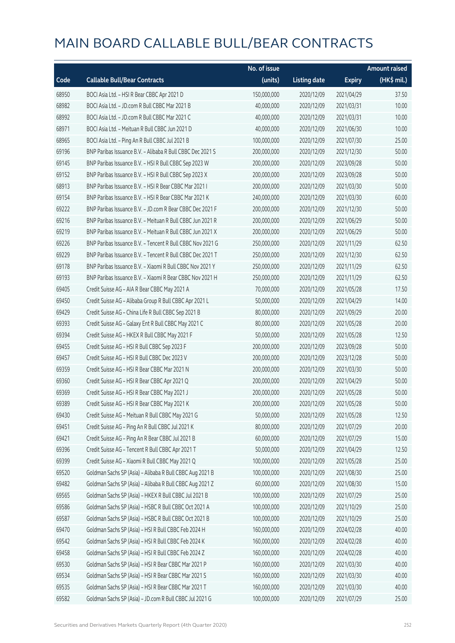|       |                                                            | No. of issue |                     |               | <b>Amount raised</b> |
|-------|------------------------------------------------------------|--------------|---------------------|---------------|----------------------|
| Code  | <b>Callable Bull/Bear Contracts</b>                        | (units)      | <b>Listing date</b> | <b>Expiry</b> | (HK\$ mil.)          |
| 68950 | BOCI Asia Ltd. - HSI R Bear CBBC Apr 2021 D                | 150,000,000  | 2020/12/09          | 2021/04/29    | 37.50                |
| 68982 | BOCI Asia Ltd. - JD.com R Bull CBBC Mar 2021 B             | 40,000,000   | 2020/12/09          | 2021/03/31    | 10.00                |
| 68992 | BOCI Asia Ltd. - JD.com R Bull CBBC Mar 2021 C             | 40,000,000   | 2020/12/09          | 2021/03/31    | 10.00                |
| 68971 | BOCI Asia Ltd. - Meituan R Bull CBBC Jun 2021 D            | 40,000,000   | 2020/12/09          | 2021/06/30    | 10.00                |
| 68965 | BOCI Asia Ltd. - Ping An R Bull CBBC Jul 2021 B            | 100,000,000  | 2020/12/09          | 2021/07/30    | 25.00                |
| 69196 | BNP Paribas Issuance B.V. - Alibaba R Bull CBBC Dec 2021 S | 200,000,000  | 2020/12/09          | 2021/12/30    | 50.00                |
| 69145 | BNP Paribas Issuance B.V. - HSI R Bull CBBC Sep 2023 W     | 200,000,000  | 2020/12/09          | 2023/09/28    | 50.00                |
| 69152 | BNP Paribas Issuance B.V. - HSI R Bull CBBC Sep 2023 X     | 200,000,000  | 2020/12/09          | 2023/09/28    | 50.00                |
| 68913 | BNP Paribas Issuance B.V. - HSI R Bear CBBC Mar 2021 I     | 200,000,000  | 2020/12/09          | 2021/03/30    | 50.00                |
| 69154 | BNP Paribas Issuance B.V. - HSI R Bear CBBC Mar 2021 K     | 240,000,000  | 2020/12/09          | 2021/03/30    | 60.00                |
| 69222 | BNP Paribas Issuance B.V. - JD.com R Bear CBBC Dec 2021 F  | 200,000,000  | 2020/12/09          | 2021/12/30    | 50.00                |
| 69216 | BNP Paribas Issuance B.V. - Meituan R Bull CBBC Jun 2021 R | 200,000,000  | 2020/12/09          | 2021/06/29    | 50.00                |
| 69219 | BNP Paribas Issuance B.V. - Meituan R Bull CBBC Jun 2021 X | 200,000,000  | 2020/12/09          | 2021/06/29    | 50.00                |
| 69226 | BNP Paribas Issuance B.V. - Tencent R Bull CBBC Nov 2021 G | 250,000,000  | 2020/12/09          | 2021/11/29    | 62.50                |
| 69229 | BNP Paribas Issuance B.V. - Tencent R Bull CBBC Dec 2021 T | 250,000,000  | 2020/12/09          | 2021/12/30    | 62.50                |
| 69178 | BNP Paribas Issuance B.V. - Xiaomi R Bull CBBC Nov 2021 Y  | 250,000,000  | 2020/12/09          | 2021/11/29    | 62.50                |
| 69193 | BNP Paribas Issuance B.V. - Xiaomi R Bear CBBC Nov 2021 H  | 250,000,000  | 2020/12/09          | 2021/11/29    | 62.50                |
| 69405 | Credit Suisse AG - AIA R Bear CBBC May 2021 A              | 70,000,000   | 2020/12/09          | 2021/05/28    | 17.50                |
| 69450 | Credit Suisse AG - Alibaba Group R Bull CBBC Apr 2021 L    | 50,000,000   | 2020/12/09          | 2021/04/29    | 14.00                |
| 69429 | Credit Suisse AG - China Life R Bull CBBC Sep 2021 B       | 80,000,000   | 2020/12/09          | 2021/09/29    | 20.00                |
| 69393 | Credit Suisse AG - Galaxy Ent R Bull CBBC May 2021 C       | 80,000,000   | 2020/12/09          | 2021/05/28    | 20.00                |
| 69394 | Credit Suisse AG - HKEX R Bull CBBC May 2021 F             | 50,000,000   | 2020/12/09          | 2021/05/28    | 12.50                |
| 69455 | Credit Suisse AG - HSI R Bull CBBC Sep 2023 F              | 200,000,000  | 2020/12/09          | 2023/09/28    | 50.00                |
| 69457 | Credit Suisse AG - HSI R Bull CBBC Dec 2023 V              | 200,000,000  | 2020/12/09          | 2023/12/28    | 50.00                |
| 69359 | Credit Suisse AG - HSI R Bear CBBC Mar 2021 N              | 200,000,000  | 2020/12/09          | 2021/03/30    | 50.00                |
| 69360 | Credit Suisse AG - HSI R Bear CBBC Apr 2021 Q              | 200,000,000  | 2020/12/09          | 2021/04/29    | 50.00                |
| 69369 | Credit Suisse AG - HSI R Bear CBBC May 2021 J              | 200,000,000  | 2020/12/09          | 2021/05/28    | 50.00                |
| 69389 | Credit Suisse AG - HSI R Bear CBBC May 2021 K              | 200,000,000  | 2020/12/09          | 2021/05/28    | 50.00                |
| 69430 | Credit Suisse AG - Meituan R Bull CBBC May 2021 G          | 50,000,000   | 2020/12/09          | 2021/05/28    | 12.50                |
| 69451 | Credit Suisse AG - Ping An R Bull CBBC Jul 2021 K          | 80,000,000   | 2020/12/09          | 2021/07/29    | 20.00                |
| 69421 | Credit Suisse AG - Ping An R Bear CBBC Jul 2021 B          | 60,000,000   | 2020/12/09          | 2021/07/29    | 15.00                |
| 69396 | Credit Suisse AG - Tencent R Bull CBBC Apr 2021 T          | 50,000,000   | 2020/12/09          | 2021/04/29    | 12.50                |
| 69399 | Credit Suisse AG - Xiaomi R Bull CBBC May 2021 Q           | 100,000,000  | 2020/12/09          | 2021/05/28    | 25.00                |
| 69520 | Goldman Sachs SP (Asia) - Alibaba R Bull CBBC Aug 2021 B   | 100,000,000  | 2020/12/09          | 2021/08/30    | 25.00                |
| 69482 | Goldman Sachs SP (Asia) - Alibaba R Bull CBBC Aug 2021 Z   | 60,000,000   | 2020/12/09          | 2021/08/30    | 15.00                |
| 69565 | Goldman Sachs SP (Asia) - HKEX R Bull CBBC Jul 2021 B      | 100,000,000  | 2020/12/09          | 2021/07/29    | 25.00                |
| 69586 | Goldman Sachs SP (Asia) - HSBC R Bull CBBC Oct 2021 A      | 100,000,000  | 2020/12/09          | 2021/10/29    | 25.00                |
| 69587 | Goldman Sachs SP (Asia) - HSBC R Bull CBBC Oct 2021 B      | 100,000,000  | 2020/12/09          | 2021/10/29    | 25.00                |
| 69470 | Goldman Sachs SP (Asia) - HSI R Bull CBBC Feb 2024 H       | 160,000,000  | 2020/12/09          | 2024/02/28    | 40.00                |
| 69542 | Goldman Sachs SP (Asia) - HSI R Bull CBBC Feb 2024 K       | 160,000,000  | 2020/12/09          | 2024/02/28    | 40.00                |
| 69458 | Goldman Sachs SP (Asia) - HSI R Bull CBBC Feb 2024 Z       | 160,000,000  | 2020/12/09          | 2024/02/28    | 40.00                |
| 69530 | Goldman Sachs SP (Asia) - HSI R Bear CBBC Mar 2021 P       | 160,000,000  | 2020/12/09          | 2021/03/30    | 40.00                |
| 69534 | Goldman Sachs SP (Asia) - HSI R Bear CBBC Mar 2021 S       | 160,000,000  | 2020/12/09          | 2021/03/30    | 40.00                |
| 69535 | Goldman Sachs SP (Asia) - HSI R Bear CBBC Mar 2021 T       | 160,000,000  | 2020/12/09          | 2021/03/30    | 40.00                |
| 69582 | Goldman Sachs SP (Asia) - JD.com R Bull CBBC Jul 2021 G    | 100,000,000  | 2020/12/09          | 2021/07/29    | 25.00                |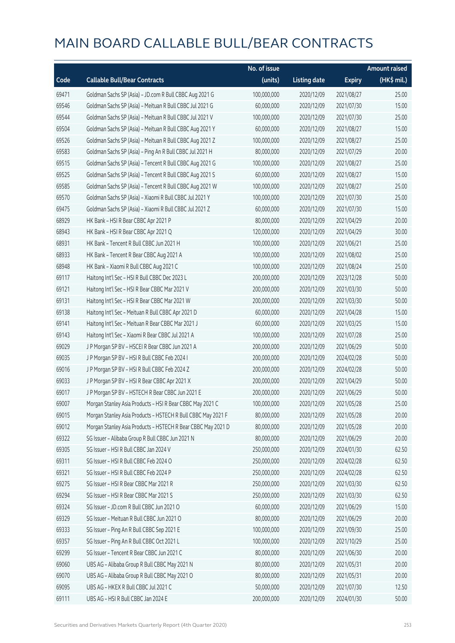|       |                                                              | No. of issue |                     |               | <b>Amount raised</b> |
|-------|--------------------------------------------------------------|--------------|---------------------|---------------|----------------------|
| Code  | <b>Callable Bull/Bear Contracts</b>                          | (units)      | <b>Listing date</b> | <b>Expiry</b> | (HK\$ mil.)          |
| 69471 | Goldman Sachs SP (Asia) - JD.com R Bull CBBC Aug 2021 G      | 100,000,000  | 2020/12/09          | 2021/08/27    | 25.00                |
| 69546 | Goldman Sachs SP (Asia) - Meituan R Bull CBBC Jul 2021 G     | 60,000,000   | 2020/12/09          | 2021/07/30    | 15.00                |
| 69544 | Goldman Sachs SP (Asia) - Meituan R Bull CBBC Jul 2021 V     | 100,000,000  | 2020/12/09          | 2021/07/30    | 25.00                |
| 69504 | Goldman Sachs SP (Asia) - Meituan R Bull CBBC Aug 2021 Y     | 60,000,000   | 2020/12/09          | 2021/08/27    | 15.00                |
| 69526 | Goldman Sachs SP (Asia) - Meituan R Bull CBBC Aug 2021 Z     | 100,000,000  | 2020/12/09          | 2021/08/27    | 25.00                |
| 69583 | Goldman Sachs SP (Asia) - Ping An R Bull CBBC Jul 2021 H     | 80,000,000   | 2020/12/09          | 2021/07/29    | 20.00                |
| 69515 | Goldman Sachs SP (Asia) - Tencent R Bull CBBC Aug 2021 G     | 100,000,000  | 2020/12/09          | 2021/08/27    | 25.00                |
| 69525 | Goldman Sachs SP (Asia) - Tencent R Bull CBBC Aug 2021 S     | 60,000,000   | 2020/12/09          | 2021/08/27    | 15.00                |
| 69585 | Goldman Sachs SP (Asia) - Tencent R Bull CBBC Aug 2021 W     | 100,000,000  | 2020/12/09          | 2021/08/27    | 25.00                |
| 69570 | Goldman Sachs SP (Asia) - Xiaomi R Bull CBBC Jul 2021 Y      | 100,000,000  | 2020/12/09          | 2021/07/30    | 25.00                |
| 69475 | Goldman Sachs SP (Asia) - Xiaomi R Bull CBBC Jul 2021 Z      | 60,000,000   | 2020/12/09          | 2021/07/30    | 15.00                |
| 68929 | HK Bank - HSI R Bear CBBC Apr 2021 P                         | 80,000,000   | 2020/12/09          | 2021/04/29    | 20.00                |
| 68943 | HK Bank - HSI R Bear CBBC Apr 2021 Q                         | 120,000,000  | 2020/12/09          | 2021/04/29    | 30.00                |
| 68931 | HK Bank - Tencent R Bull CBBC Jun 2021 H                     | 100,000,000  | 2020/12/09          | 2021/06/21    | 25.00                |
| 68933 | HK Bank - Tencent R Bear CBBC Aug 2021 A                     | 100,000,000  | 2020/12/09          | 2021/08/02    | 25.00                |
| 68948 | HK Bank - Xiaomi R Bull CBBC Aug 2021 C                      | 100,000,000  | 2020/12/09          | 2021/08/24    | 25.00                |
| 69117 | Haitong Int'l Sec - HSI R Bull CBBC Dec 2023 L               | 200,000,000  | 2020/12/09          | 2023/12/28    | 50.00                |
| 69121 | Haitong Int'l Sec - HSI R Bear CBBC Mar 2021 V               | 200,000,000  | 2020/12/09          | 2021/03/30    | 50.00                |
| 69131 | Haitong Int'l Sec - HSI R Bear CBBC Mar 2021 W               | 200,000,000  | 2020/12/09          | 2021/03/30    | 50.00                |
| 69138 | Haitong Int'l Sec - Meituan R Bull CBBC Apr 2021 D           | 60,000,000   | 2020/12/09          | 2021/04/28    | 15.00                |
| 69141 | Haitong Int'l Sec - Meituan R Bear CBBC Mar 2021 J           | 60,000,000   | 2020/12/09          | 2021/03/25    | 15.00                |
| 69143 | Haitong Int'l Sec - Xiaomi R Bear CBBC Jul 2021 A            | 100,000,000  | 2020/12/09          | 2021/07/28    | 25.00                |
| 69029 | J P Morgan SP BV - HSCEI R Bear CBBC Jun 2021 A              | 200,000,000  | 2020/12/09          | 2021/06/29    | 50.00                |
| 69035 | J P Morgan SP BV - HSI R Bull CBBC Feb 2024 I                | 200,000,000  | 2020/12/09          | 2024/02/28    | 50.00                |
| 69016 | J P Morgan SP BV - HSI R Bull CBBC Feb 2024 Z                | 200,000,000  | 2020/12/09          | 2024/02/28    | 50.00                |
| 69033 | J P Morgan SP BV - HSI R Bear CBBC Apr 2021 X                | 200,000,000  | 2020/12/09          | 2021/04/29    | 50.00                |
| 69017 | J P Morgan SP BV - HSTECH R Bear CBBC Jun 2021 E             | 200,000,000  | 2020/12/09          | 2021/06/29    | 50.00                |
| 69007 | Morgan Stanley Asia Products - HSI R Bear CBBC May 2021 C    | 100,000,000  | 2020/12/09          | 2021/05/28    | 25.00                |
| 69015 | Morgan Stanley Asia Products - HSTECH R Bull CBBC May 2021 F | 80,000,000   | 2020/12/09          | 2021/05/28    | 20.00                |
| 69012 | Morgan Stanley Asia Products - HSTECH R Bear CBBC May 2021 D | 80,000,000   | 2020/12/09          | 2021/05/28    | 20.00                |
| 69322 | SG Issuer - Alibaba Group R Bull CBBC Jun 2021 N             | 80,000,000   | 2020/12/09          | 2021/06/29    | 20.00                |
| 69305 | SG Issuer - HSI R Bull CBBC Jan 2024 V                       | 250,000,000  | 2020/12/09          | 2024/01/30    | 62.50                |
| 69311 | SG Issuer - HSI R Bull CBBC Feb 2024 O                       | 250,000,000  | 2020/12/09          | 2024/02/28    | 62.50                |
| 69321 | SG Issuer - HSI R Bull CBBC Feb 2024 P                       | 250,000,000  | 2020/12/09          | 2024/02/28    | 62.50                |
| 69275 | SG Issuer - HSI R Bear CBBC Mar 2021 R                       | 250,000,000  | 2020/12/09          | 2021/03/30    | 62.50                |
| 69294 | SG Issuer - HSI R Bear CBBC Mar 2021 S                       | 250,000,000  | 2020/12/09          | 2021/03/30    | 62.50                |
| 69324 | SG Issuer - JD.com R Bull CBBC Jun 2021 O                    | 60,000,000   | 2020/12/09          | 2021/06/29    | 15.00                |
| 69329 | SG Issuer - Meituan R Bull CBBC Jun 2021 O                   | 80,000,000   | 2020/12/09          | 2021/06/29    | 20.00                |
| 69333 | SG Issuer - Ping An R Bull CBBC Sep 2021 E                   | 100,000,000  | 2020/12/09          | 2021/09/30    | 25.00                |
| 69357 | SG Issuer - Ping An R Bull CBBC Oct 2021 L                   | 100,000,000  | 2020/12/09          | 2021/10/29    | 25.00                |
| 69299 | SG Issuer - Tencent R Bear CBBC Jun 2021 C                   | 80,000,000   | 2020/12/09          | 2021/06/30    | 20.00                |
| 69060 | UBS AG - Alibaba Group R Bull CBBC May 2021 N                | 80,000,000   | 2020/12/09          | 2021/05/31    | 20.00                |
| 69070 | UBS AG - Alibaba Group R Bull CBBC May 2021 O                | 80,000,000   | 2020/12/09          | 2021/05/31    | 20.00                |
| 69095 | UBS AG - HKEX R Bull CBBC Jul 2021 C                         | 50,000,000   | 2020/12/09          | 2021/07/30    | 12.50                |
| 69111 | UBS AG - HSI R Bull CBBC Jan 2024 E                          | 200,000,000  | 2020/12/09          | 2024/01/30    | 50.00                |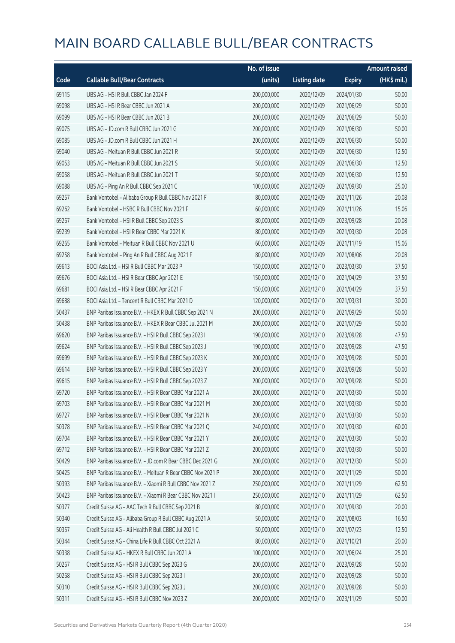|       |                                                            | No. of issue |                     |               | <b>Amount raised</b> |
|-------|------------------------------------------------------------|--------------|---------------------|---------------|----------------------|
| Code  | <b>Callable Bull/Bear Contracts</b>                        | (units)      | <b>Listing date</b> | <b>Expiry</b> | (HK\$ mil.)          |
| 69115 | UBS AG - HSI R Bull CBBC Jan 2024 F                        | 200,000,000  | 2020/12/09          | 2024/01/30    | 50.00                |
| 69098 | UBS AG - HSI R Bear CBBC Jun 2021 A                        | 200,000,000  | 2020/12/09          | 2021/06/29    | 50.00                |
| 69099 | UBS AG - HSI R Bear CBBC Jun 2021 B                        | 200,000,000  | 2020/12/09          | 2021/06/29    | 50.00                |
| 69075 | UBS AG - JD.com R Bull CBBC Jun 2021 G                     | 200,000,000  | 2020/12/09          | 2021/06/30    | 50.00                |
| 69085 | UBS AG - JD.com R Bull CBBC Jun 2021 H                     | 200,000,000  | 2020/12/09          | 2021/06/30    | 50.00                |
| 69040 | UBS AG - Meituan R Bull CBBC Jun 2021 R                    | 50,000,000   | 2020/12/09          | 2021/06/30    | 12.50                |
| 69053 | UBS AG - Meituan R Bull CBBC Jun 2021 S                    | 50,000,000   | 2020/12/09          | 2021/06/30    | 12.50                |
| 69058 | UBS AG - Meituan R Bull CBBC Jun 2021 T                    | 50,000,000   | 2020/12/09          | 2021/06/30    | 12.50                |
| 69088 | UBS AG - Ping An R Bull CBBC Sep 2021 C                    | 100,000,000  | 2020/12/09          | 2021/09/30    | 25.00                |
| 69257 | Bank Vontobel - Alibaba Group R Bull CBBC Nov 2021 F       | 80,000,000   | 2020/12/09          | 2021/11/26    | 20.08                |
| 69262 | Bank Vontobel - HSBC R Bull CBBC Nov 2021 F                | 60,000,000   | 2020/12/09          | 2021/11/26    | 15.06                |
| 69267 | Bank Vontobel - HSI R Bull CBBC Sep 2023 S                 | 80,000,000   | 2020/12/09          | 2023/09/28    | 20.08                |
| 69239 | Bank Vontobel - HSI R Bear CBBC Mar 2021 K                 | 80,000,000   | 2020/12/09          | 2021/03/30    | 20.08                |
| 69265 | Bank Vontobel - Meituan R Bull CBBC Nov 2021 U             | 60,000,000   | 2020/12/09          | 2021/11/19    | 15.06                |
| 69258 | Bank Vontobel - Ping An R Bull CBBC Aug 2021 F             | 80,000,000   | 2020/12/09          | 2021/08/06    | 20.08                |
| 69613 | BOCI Asia Ltd. - HSI R Bull CBBC Mar 2023 P                | 150,000,000  | 2020/12/10          | 2023/03/30    | 37.50                |
| 69676 | BOCI Asia Ltd. - HSI R Bear CBBC Apr 2021 E                | 150,000,000  | 2020/12/10          | 2021/04/29    | 37.50                |
| 69681 | BOCI Asia Ltd. - HSI R Bear CBBC Apr 2021 F                | 150,000,000  | 2020/12/10          | 2021/04/29    | 37.50                |
| 69688 | BOCI Asia Ltd. - Tencent R Bull CBBC Mar 2021 D            | 120,000,000  | 2020/12/10          | 2021/03/31    | 30.00                |
| 50437 | BNP Paribas Issuance B.V. - HKEX R Bull CBBC Sep 2021 N    | 200,000,000  | 2020/12/10          | 2021/09/29    | 50.00                |
| 50438 | BNP Paribas Issuance B.V. - HKEX R Bear CBBC Jul 2021 M    | 200,000,000  | 2020/12/10          | 2021/07/29    | 50.00                |
| 69620 | BNP Paribas Issuance B.V. - HSI R Bull CBBC Sep 2023 I     | 190,000,000  | 2020/12/10          | 2023/09/28    | 47.50                |
| 69624 | BNP Paribas Issuance B.V. - HSI R Bull CBBC Sep 2023 J     | 190,000,000  | 2020/12/10          | 2023/09/28    | 47.50                |
| 69699 | BNP Paribas Issuance B.V. - HSI R Bull CBBC Sep 2023 K     | 200,000,000  | 2020/12/10          | 2023/09/28    | 50.00                |
| 69614 | BNP Paribas Issuance B.V. - HSI R Bull CBBC Sep 2023 Y     | 200,000,000  | 2020/12/10          | 2023/09/28    | 50.00                |
| 69615 | BNP Paribas Issuance B.V. - HSI R Bull CBBC Sep 2023 Z     | 200,000,000  | 2020/12/10          | 2023/09/28    | 50.00                |
| 69720 | BNP Paribas Issuance B.V. - HSI R Bear CBBC Mar 2021 A     | 200,000,000  | 2020/12/10          | 2021/03/30    | 50.00                |
| 69703 | BNP Paribas Issuance B.V. - HSI R Bear CBBC Mar 2021 M     | 200,000,000  | 2020/12/10          | 2021/03/30    | 50.00                |
| 69727 | BNP Paribas Issuance B.V. - HSI R Bear CBBC Mar 2021 N     | 200,000,000  | 2020/12/10          | 2021/03/30    | 50.00                |
| 50378 | BNP Paribas Issuance B.V. - HSI R Bear CBBC Mar 2021 Q     | 240,000,000  | 2020/12/10          | 2021/03/30    | 60.00                |
| 69704 | BNP Paribas Issuance B.V. - HSI R Bear CBBC Mar 2021 Y     | 200,000,000  | 2020/12/10          | 2021/03/30    | 50.00                |
| 69712 | BNP Paribas Issuance B.V. - HSI R Bear CBBC Mar 2021 Z     | 200,000,000  | 2020/12/10          | 2021/03/30    | 50.00                |
| 50429 | BNP Paribas Issuance B.V. - JD.com R Bear CBBC Dec 2021 G  | 200,000,000  | 2020/12/10          | 2021/12/30    | 50.00                |
| 50425 | BNP Paribas Issuance B.V. - Meituan R Bear CBBC Nov 2021 P | 200,000,000  | 2020/12/10          | 2021/11/29    | 50.00                |
| 50393 | BNP Paribas Issuance B.V. - Xiaomi R Bull CBBC Nov 2021 Z  | 250,000,000  | 2020/12/10          | 2021/11/29    | 62.50                |
| 50423 | BNP Paribas Issuance B.V. - Xiaomi R Bear CBBC Nov 2021 I  | 250,000,000  | 2020/12/10          | 2021/11/29    | 62.50                |
| 50377 | Credit Suisse AG - AAC Tech R Bull CBBC Sep 2021 B         | 80,000,000   | 2020/12/10          | 2021/09/30    | 20.00                |
| 50340 | Credit Suisse AG - Alibaba Group R Bull CBBC Aug 2021 A    | 50,000,000   | 2020/12/10          | 2021/08/03    | 16.50                |
| 50357 | Credit Suisse AG - Ali Health R Bull CBBC Jul 2021 C       | 50,000,000   | 2020/12/10          | 2021/07/23    | 12.50                |
| 50344 | Credit Suisse AG - China Life R Bull CBBC Oct 2021 A       | 80,000,000   | 2020/12/10          | 2021/10/21    | 20.00                |
| 50338 | Credit Suisse AG - HKEX R Bull CBBC Jun 2021 A             | 100,000,000  | 2020/12/10          | 2021/06/24    | 25.00                |
| 50267 | Credit Suisse AG - HSI R Bull CBBC Sep 2023 G              | 200,000,000  | 2020/12/10          | 2023/09/28    | 50.00                |
| 50268 | Credit Suisse AG - HSI R Bull CBBC Sep 2023 I              | 200,000,000  | 2020/12/10          | 2023/09/28    | 50.00                |
| 50310 | Credit Suisse AG - HSI R Bull CBBC Sep 2023 J              | 200,000,000  | 2020/12/10          | 2023/09/28    | 50.00                |
| 50311 | Credit Suisse AG - HSI R Bull CBBC Nov 2023 Z              | 200,000,000  | 2020/12/10          | 2023/11/29    | 50.00                |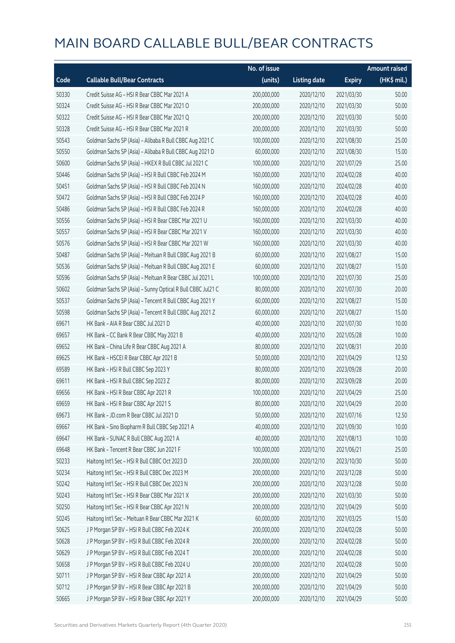|       |                                                             | No. of issue |                     |               | <b>Amount raised</b> |
|-------|-------------------------------------------------------------|--------------|---------------------|---------------|----------------------|
| Code  | <b>Callable Bull/Bear Contracts</b>                         | (units)      | <b>Listing date</b> | <b>Expiry</b> | (HK\$ mil.)          |
| 50330 | Credit Suisse AG - HSI R Bear CBBC Mar 2021 A               | 200,000,000  | 2020/12/10          | 2021/03/30    | 50.00                |
| 50324 | Credit Suisse AG - HSI R Bear CBBC Mar 2021 O               | 200,000,000  | 2020/12/10          | 2021/03/30    | 50.00                |
| 50322 | Credit Suisse AG - HSI R Bear CBBC Mar 2021 Q               | 200,000,000  | 2020/12/10          | 2021/03/30    | 50.00                |
| 50328 | Credit Suisse AG - HSI R Bear CBBC Mar 2021 R               | 200,000,000  | 2020/12/10          | 2021/03/30    | 50.00                |
| 50543 | Goldman Sachs SP (Asia) - Alibaba R Bull CBBC Aug 2021 C    | 100,000,000  | 2020/12/10          | 2021/08/30    | 25.00                |
| 50550 | Goldman Sachs SP (Asia) - Alibaba R Bull CBBC Aug 2021 D    | 60,000,000   | 2020/12/10          | 2021/08/30    | 15.00                |
| 50600 | Goldman Sachs SP (Asia) - HKEX R Bull CBBC Jul 2021 C       | 100,000,000  | 2020/12/10          | 2021/07/29    | 25.00                |
| 50446 | Goldman Sachs SP (Asia) - HSI R Bull CBBC Feb 2024 M        | 160,000,000  | 2020/12/10          | 2024/02/28    | 40.00                |
| 50451 | Goldman Sachs SP (Asia) - HSI R Bull CBBC Feb 2024 N        | 160,000,000  | 2020/12/10          | 2024/02/28    | 40.00                |
| 50472 | Goldman Sachs SP (Asia) - HSI R Bull CBBC Feb 2024 P        | 160,000,000  | 2020/12/10          | 2024/02/28    | 40.00                |
| 50486 | Goldman Sachs SP (Asia) - HSI R Bull CBBC Feb 2024 R        | 160,000,000  | 2020/12/10          | 2024/02/28    | 40.00                |
| 50556 | Goldman Sachs SP (Asia) - HSI R Bear CBBC Mar 2021 U        | 160,000,000  | 2020/12/10          | 2021/03/30    | 40.00                |
| 50557 | Goldman Sachs SP (Asia) - HSI R Bear CBBC Mar 2021 V        | 160,000,000  | 2020/12/10          | 2021/03/30    | 40.00                |
| 50576 | Goldman Sachs SP (Asia) - HSI R Bear CBBC Mar 2021 W        | 160,000,000  | 2020/12/10          | 2021/03/30    | 40.00                |
| 50487 | Goldman Sachs SP (Asia) - Meituan R Bull CBBC Aug 2021 B    | 60,000,000   | 2020/12/10          | 2021/08/27    | 15.00                |
| 50536 | Goldman Sachs SP (Asia) - Meituan R Bull CBBC Aug 2021 E    | 60,000,000   | 2020/12/10          | 2021/08/27    | 15.00                |
| 50596 | Goldman Sachs SP (Asia) - Meituan R Bear CBBC Jul 2021 L    | 100,000,000  | 2020/12/10          | 2021/07/30    | 25.00                |
| 50602 | Goldman Sachs SP (Asia) - Sunny Optical R Bull CBBC Jul21 C | 80,000,000   | 2020/12/10          | 2021/07/30    | 20.00                |
| 50537 | Goldman Sachs SP (Asia) - Tencent R Bull CBBC Aug 2021 Y    | 60,000,000   | 2020/12/10          | 2021/08/27    | 15.00                |
| 50598 | Goldman Sachs SP (Asia) - Tencent R Bull CBBC Aug 2021 Z    | 60,000,000   | 2020/12/10          | 2021/08/27    | 15.00                |
| 69671 | HK Bank - AIA R Bear CBBC Jul 2021 D                        | 40,000,000   | 2020/12/10          | 2021/07/30    | 10.00                |
| 69657 | HK Bank - CC Bank R Bear CBBC May 2021 B                    | 40,000,000   | 2020/12/10          | 2021/05/28    | 10.00                |
| 69652 | HK Bank - China Life R Bear CBBC Aug 2021 A                 | 80,000,000   | 2020/12/10          | 2021/08/31    | 20.00                |
| 69625 | HK Bank - HSCEI R Bear CBBC Apr 2021 B                      | 50,000,000   | 2020/12/10          | 2021/04/29    | 12.50                |
| 69589 | HK Bank - HSI R Bull CBBC Sep 2023 Y                        | 80,000,000   | 2020/12/10          | 2023/09/28    | 20.00                |
| 69611 | HK Bank - HSI R Bull CBBC Sep 2023 Z                        | 80,000,000   | 2020/12/10          | 2023/09/28    | 20.00                |
| 69656 | HK Bank - HSI R Bear CBBC Apr 2021 R                        | 100,000,000  | 2020/12/10          | 2021/04/29    | 25.00                |
| 69659 | HK Bank - HSI R Bear CBBC Apr 2021 S                        | 80,000,000   | 2020/12/10          | 2021/04/29    | 20.00                |
| 69673 | HK Bank - JD.com R Bear CBBC Jul 2021 D                     | 50,000,000   | 2020/12/10          | 2021/07/16    | 12.50                |
| 69667 | HK Bank - Sino Biopharm R Bull CBBC Sep 2021 A              | 40,000,000   | 2020/12/10          | 2021/09/30    | 10.00                |
| 69647 | HK Bank - SUNAC R Bull CBBC Aug 2021 A                      | 40,000,000   | 2020/12/10          | 2021/08/13    | 10.00                |
| 69648 | HK Bank - Tencent R Bear CBBC Jun 2021 F                    | 100,000,000  | 2020/12/10          | 2021/06/21    | 25.00                |
| 50233 | Haitong Int'l Sec - HSI R Bull CBBC Oct 2023 D              | 200,000,000  | 2020/12/10          | 2023/10/30    | 50.00                |
| 50234 | Haitong Int'l Sec - HSI R Bull CBBC Dec 2023 M              | 200,000,000  | 2020/12/10          | 2023/12/28    | 50.00                |
| 50242 | Haitong Int'l Sec - HSI R Bull CBBC Dec 2023 N              | 200,000,000  | 2020/12/10          | 2023/12/28    | 50.00                |
| 50243 | Haitong Int'l Sec - HSI R Bear CBBC Mar 2021 X              | 200,000,000  | 2020/12/10          | 2021/03/30    | 50.00                |
| 50250 | Haitong Int'l Sec - HSI R Bear CBBC Apr 2021 N              | 200,000,000  | 2020/12/10          | 2021/04/29    | 50.00                |
| 50245 | Haitong Int'l Sec - Meituan R Bear CBBC Mar 2021 K          | 60,000,000   | 2020/12/10          | 2021/03/25    | 15.00                |
| 50625 | J P Morgan SP BV - HSI R Bull CBBC Feb 2024 K               | 200,000,000  | 2020/12/10          | 2024/02/28    | 50.00                |
| 50628 | J P Morgan SP BV - HSI R Bull CBBC Feb 2024 R               | 200,000,000  | 2020/12/10          | 2024/02/28    | 50.00                |
| 50629 | J P Morgan SP BV - HSI R Bull CBBC Feb 2024 T               | 200,000,000  | 2020/12/10          | 2024/02/28    | 50.00                |
| 50658 | J P Morgan SP BV - HSI R Bull CBBC Feb 2024 U               | 200,000,000  | 2020/12/10          | 2024/02/28    | 50.00                |
| 50711 | J P Morgan SP BV - HSI R Bear CBBC Apr 2021 A               | 200,000,000  | 2020/12/10          | 2021/04/29    | 50.00                |
| 50712 | J P Morgan SP BV - HSI R Bear CBBC Apr 2021 B               | 200,000,000  | 2020/12/10          | 2021/04/29    | 50.00                |
| 50665 | J P Morgan SP BV - HSI R Bear CBBC Apr 2021 Y               | 200,000,000  | 2020/12/10          | 2021/04/29    | 50.00                |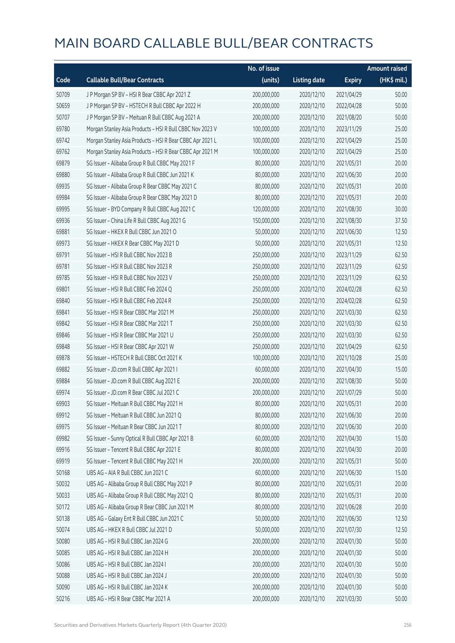|       |                                                           | No. of issue |                     |               | <b>Amount raised</b> |
|-------|-----------------------------------------------------------|--------------|---------------------|---------------|----------------------|
| Code  | <b>Callable Bull/Bear Contracts</b>                       | (units)      | <b>Listing date</b> | <b>Expiry</b> | (HK\$ mil.)          |
| 50709 | JP Morgan SP BV - HSIR Bear CBBC Apr 2021 Z               | 200,000,000  | 2020/12/10          | 2021/04/29    | 50.00                |
| 50659 | J P Morgan SP BV - HSTECH R Bull CBBC Apr 2022 H          | 200,000,000  | 2020/12/10          | 2022/04/28    | 50.00                |
| 50707 | J P Morgan SP BV - Meituan R Bull CBBC Aug 2021 A         | 200,000,000  | 2020/12/10          | 2021/08/20    | 50.00                |
| 69780 | Morgan Stanley Asia Products - HSI R Bull CBBC Nov 2023 V | 100,000,000  | 2020/12/10          | 2023/11/29    | 25.00                |
| 69742 | Morgan Stanley Asia Products - HSI R Bear CBBC Apr 2021 L | 100,000,000  | 2020/12/10          | 2021/04/29    | 25.00                |
| 69762 | Morgan Stanley Asia Products - HSI R Bear CBBC Apr 2021 M | 100,000,000  | 2020/12/10          | 2021/04/29    | 25.00                |
| 69879 | SG Issuer - Alibaba Group R Bull CBBC May 2021 F          | 80,000,000   | 2020/12/10          | 2021/05/31    | 20.00                |
| 69880 | SG Issuer - Alibaba Group R Bull CBBC Jun 2021 K          | 80,000,000   | 2020/12/10          | 2021/06/30    | 20.00                |
| 69935 | SG Issuer - Alibaba Group R Bear CBBC May 2021 C          | 80,000,000   | 2020/12/10          | 2021/05/31    | 20.00                |
| 69984 | SG Issuer - Alibaba Group R Bear CBBC May 2021 D          | 80,000,000   | 2020/12/10          | 2021/05/31    | 20.00                |
| 69995 | SG Issuer - BYD Company R Bull CBBC Aug 2021 C            | 120,000,000  | 2020/12/10          | 2021/08/30    | 30.00                |
| 69936 | SG Issuer - China Life R Bull CBBC Aug 2021 G             | 150,000,000  | 2020/12/10          | 2021/08/30    | 37.50                |
| 69881 | SG Issuer - HKEX R Bull CBBC Jun 2021 O                   | 50,000,000   | 2020/12/10          | 2021/06/30    | 12.50                |
| 69973 | SG Issuer - HKEX R Bear CBBC May 2021 D                   | 50,000,000   | 2020/12/10          | 2021/05/31    | 12.50                |
| 69791 | SG Issuer - HSI R Bull CBBC Nov 2023 B                    | 250,000,000  | 2020/12/10          | 2023/11/29    | 62.50                |
| 69781 | SG Issuer - HSI R Bull CBBC Nov 2023 R                    | 250,000,000  | 2020/12/10          | 2023/11/29    | 62.50                |
| 69785 | SG Issuer - HSI R Bull CBBC Nov 2023 V                    | 250,000,000  | 2020/12/10          | 2023/11/29    | 62.50                |
| 69801 | SG Issuer - HSI R Bull CBBC Feb 2024 Q                    | 250,000,000  | 2020/12/10          | 2024/02/28    | 62.50                |
| 69840 | SG Issuer - HSI R Bull CBBC Feb 2024 R                    | 250,000,000  | 2020/12/10          | 2024/02/28    | 62.50                |
| 69841 | SG Issuer - HSI R Bear CBBC Mar 2021 M                    | 250,000,000  | 2020/12/10          | 2021/03/30    | 62.50                |
| 69842 | SG Issuer - HSI R Bear CBBC Mar 2021 T                    | 250,000,000  | 2020/12/10          | 2021/03/30    | 62.50                |
| 69846 | SG Issuer - HSI R Bear CBBC Mar 2021 U                    | 250,000,000  | 2020/12/10          | 2021/03/30    | 62.50                |
| 69848 | SG Issuer - HSI R Bear CBBC Apr 2021 W                    | 250,000,000  | 2020/12/10          | 2021/04/29    | 62.50                |
| 69878 | SG Issuer - HSTECH R Bull CBBC Oct 2021 K                 | 100,000,000  | 2020/12/10          | 2021/10/28    | 25.00                |
| 69882 | SG Issuer - JD.com R Bull CBBC Apr 2021 I                 | 60,000,000   | 2020/12/10          | 2021/04/30    | 15.00                |
| 69884 | SG Issuer - JD.com R Bull CBBC Aug 2021 E                 | 200,000,000  | 2020/12/10          | 2021/08/30    | 50.00                |
| 69974 | SG Issuer - JD.com R Bear CBBC Jul 2021 C                 | 200,000,000  | 2020/12/10          | 2021/07/29    | 50.00                |
| 69903 | SG Issuer - Meituan R Bull CBBC May 2021 H                | 80,000,000   | 2020/12/10          | 2021/05/31    | 20.00                |
| 69912 | SG Issuer - Meituan R Bull CBBC Jun 2021 Q                | 80,000,000   | 2020/12/10          | 2021/06/30    | 20.00                |
| 69975 | SG Issuer - Meituan R Bear CBBC Jun 2021 T                | 80,000,000   | 2020/12/10          | 2021/06/30    | 20.00                |
| 69982 | SG Issuer - Sunny Optical R Bull CBBC Apr 2021 B          | 60,000,000   | 2020/12/10          | 2021/04/30    | 15.00                |
| 69916 | SG Issuer - Tencent R Bull CBBC Apr 2021 E                | 80,000,000   | 2020/12/10          | 2021/04/30    | 20.00                |
| 69919 | SG Issuer - Tencent R Bull CBBC May 2021 H                | 200,000,000  | 2020/12/10          | 2021/05/31    | 50.00                |
| 50168 | UBS AG - AIA R Bull CBBC Jun 2021 C                       | 60,000,000   | 2020/12/10          | 2021/06/30    | 15.00                |
| 50032 | UBS AG - Alibaba Group R Bull CBBC May 2021 P             | 80,000,000   | 2020/12/10          | 2021/05/31    | 20.00                |
| 50033 | UBS AG - Alibaba Group R Bull CBBC May 2021 Q             | 80,000,000   | 2020/12/10          | 2021/05/31    | 20.00                |
| 50172 | UBS AG - Alibaba Group R Bear CBBC Jun 2021 M             | 80,000,000   | 2020/12/10          | 2021/06/28    | 20.00                |
| 50138 | UBS AG - Galaxy Ent R Bull CBBC Jun 2021 C                | 50,000,000   | 2020/12/10          | 2021/06/30    | 12.50                |
| 50074 | UBS AG - HKEX R Bull CBBC Jul 2021 D                      | 50,000,000   | 2020/12/10          | 2021/07/30    | 12.50                |
| 50080 | UBS AG - HSI R Bull CBBC Jan 2024 G                       | 200,000,000  | 2020/12/10          | 2024/01/30    | 50.00                |
| 50085 | UBS AG - HSI R Bull CBBC Jan 2024 H                       | 200,000,000  | 2020/12/10          | 2024/01/30    | 50.00                |
| 50086 | UBS AG - HSI R Bull CBBC Jan 2024 I                       | 200,000,000  | 2020/12/10          | 2024/01/30    | 50.00                |
| 50088 | UBS AG - HSI R Bull CBBC Jan 2024 J                       | 200,000,000  | 2020/12/10          | 2024/01/30    | 50.00                |
| 50090 | UBS AG - HSI R Bull CBBC Jan 2024 K                       | 200,000,000  | 2020/12/10          | 2024/01/30    | 50.00                |
| 50216 | UBS AG - HSI R Bear CBBC Mar 2021 A                       | 200,000,000  | 2020/12/10          | 2021/03/30    | 50.00                |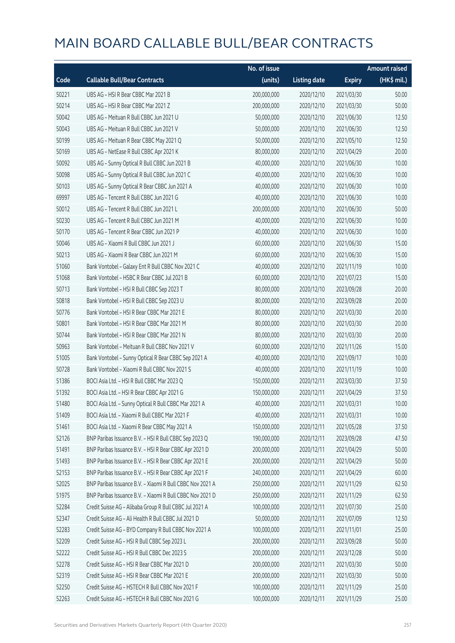|       |                                                           | No. of issue |                     |               | <b>Amount raised</b>  |
|-------|-----------------------------------------------------------|--------------|---------------------|---------------|-----------------------|
| Code  | <b>Callable Bull/Bear Contracts</b>                       | (units)      | <b>Listing date</b> | <b>Expiry</b> | $(HK\frac{1}{2}mil.)$ |
| 50221 | UBS AG - HSI R Bear CBBC Mar 2021 B                       | 200,000,000  | 2020/12/10          | 2021/03/30    | 50.00                 |
| 50214 | UBS AG - HSI R Bear CBBC Mar 2021 Z                       | 200,000,000  | 2020/12/10          | 2021/03/30    | 50.00                 |
| 50042 | UBS AG - Meituan R Bull CBBC Jun 2021 U                   | 50,000,000   | 2020/12/10          | 2021/06/30    | 12.50                 |
| 50043 | UBS AG - Meituan R Bull CBBC Jun 2021 V                   | 50,000,000   | 2020/12/10          | 2021/06/30    | 12.50                 |
| 50199 | UBS AG - Meituan R Bear CBBC May 2021 Q                   | 50,000,000   | 2020/12/10          | 2021/05/10    | 12.50                 |
| 50169 | UBS AG - NetEase R Bull CBBC Apr 2021 K                   | 80,000,000   | 2020/12/10          | 2021/04/29    | 20.00                 |
| 50092 | UBS AG - Sunny Optical R Bull CBBC Jun 2021 B             | 40,000,000   | 2020/12/10          | 2021/06/30    | 10.00                 |
| 50098 | UBS AG - Sunny Optical R Bull CBBC Jun 2021 C             | 40,000,000   | 2020/12/10          | 2021/06/30    | 10.00                 |
| 50103 | UBS AG - Sunny Optical R Bear CBBC Jun 2021 A             | 40,000,000   | 2020/12/10          | 2021/06/30    | 10.00                 |
| 69997 | UBS AG - Tencent R Bull CBBC Jun 2021 G                   | 40,000,000   | 2020/12/10          | 2021/06/30    | 10.00                 |
| 50012 | UBS AG - Tencent R Bull CBBC Jun 2021 L                   | 200,000,000  | 2020/12/10          | 2021/06/30    | 50.00                 |
| 50230 | UBS AG - Tencent R Bull CBBC Jun 2021 M                   | 40,000,000   | 2020/12/10          | 2021/06/30    | 10.00                 |
| 50170 | UBS AG - Tencent R Bear CBBC Jun 2021 P                   | 40,000,000   | 2020/12/10          | 2021/06/30    | 10.00                 |
| 50046 | UBS AG - Xiaomi R Bull CBBC Jun 2021 J                    | 60,000,000   | 2020/12/10          | 2021/06/30    | 15.00                 |
| 50213 | UBS AG - Xiaomi R Bear CBBC Jun 2021 M                    | 60,000,000   | 2020/12/10          | 2021/06/30    | 15.00                 |
| 51060 | Bank Vontobel - Galaxy Ent R Bull CBBC Nov 2021 C         | 40,000,000   | 2020/12/10          | 2021/11/19    | 10.00                 |
| 51068 | Bank Vontobel - HSBC R Bear CBBC Jul 2021 B               | 60,000,000   | 2020/12/10          | 2021/07/23    | 15.00                 |
| 50713 | Bank Vontobel - HSI R Bull CBBC Sep 2023 T                | 80,000,000   | 2020/12/10          | 2023/09/28    | 20.00                 |
| 50818 | Bank Vontobel - HSI R Bull CBBC Sep 2023 U                | 80,000,000   | 2020/12/10          | 2023/09/28    | 20.00                 |
| 50776 | Bank Vontobel - HSI R Bear CBBC Mar 2021 E                | 80,000,000   | 2020/12/10          | 2021/03/30    | 20.00                 |
| 50801 | Bank Vontobel - HSI R Bear CBBC Mar 2021 M                | 80,000,000   | 2020/12/10          | 2021/03/30    | 20.00                 |
| 50744 | Bank Vontobel - HSI R Bear CBBC Mar 2021 N                | 80,000,000   | 2020/12/10          | 2021/03/30    | 20.00                 |
| 50963 | Bank Vontobel - Meituan R Bull CBBC Nov 2021 V            | 60,000,000   | 2020/12/10          | 2021/11/26    | 15.00                 |
| 51005 | Bank Vontobel - Sunny Optical R Bear CBBC Sep 2021 A      | 40,000,000   | 2020/12/10          | 2021/09/17    | 10.00                 |
| 50728 | Bank Vontobel - Xiaomi R Bull CBBC Nov 2021 S             | 40,000,000   | 2020/12/10          | 2021/11/19    | 10.00                 |
| 51386 | BOCI Asia Ltd. - HSI R Bull CBBC Mar 2023 Q               | 150,000,000  | 2020/12/11          | 2023/03/30    | 37.50                 |
| 51392 | BOCI Asia Ltd. - HSI R Bear CBBC Apr 2021 G               | 150,000,000  | 2020/12/11          | 2021/04/29    | 37.50                 |
| 51480 | BOCI Asia Ltd. - Sunny Optical R Bull CBBC Mar 2021 A     | 40,000,000   | 2020/12/11          | 2021/03/31    | 10.00                 |
| 51409 | BOCI Asia Ltd. - Xiaomi R Bull CBBC Mar 2021 F            | 40,000,000   | 2020/12/11          | 2021/03/31    | 10.00                 |
| 51461 | BOCI Asia Ltd. - Xiaomi R Bear CBBC May 2021 A            | 150,000,000  | 2020/12/11          | 2021/05/28    | 37.50                 |
| 52126 | BNP Paribas Issuance B.V. - HSI R Bull CBBC Sep 2023 Q    | 190,000,000  | 2020/12/11          | 2023/09/28    | 47.50                 |
| 51491 | BNP Paribas Issuance B.V. - HSI R Bear CBBC Apr 2021 D    | 200,000,000  | 2020/12/11          | 2021/04/29    | 50.00                 |
| 51493 | BNP Paribas Issuance B.V. - HSI R Bear CBBC Apr 2021 E    | 200,000,000  | 2020/12/11          | 2021/04/29    | 50.00                 |
| 52153 | BNP Paribas Issuance B.V. - HSI R Bear CBBC Apr 2021 F    | 240,000,000  | 2020/12/11          | 2021/04/29    | 60.00                 |
| 52025 | BNP Paribas Issuance B.V. - Xiaomi R Bull CBBC Nov 2021 A | 250,000,000  | 2020/12/11          | 2021/11/29    | 62.50                 |
| 51975 | BNP Paribas Issuance B.V. - Xiaomi R Bull CBBC Nov 2021 D | 250,000,000  | 2020/12/11          | 2021/11/29    | 62.50                 |
| 52284 | Credit Suisse AG - Alibaba Group R Bull CBBC Jul 2021 A   | 100,000,000  | 2020/12/11          | 2021/07/30    | 25.00                 |
| 52347 | Credit Suisse AG - Ali Health R Bull CBBC Jul 2021 D      | 50,000,000   | 2020/12/11          | 2021/07/09    | 12.50                 |
| 52283 | Credit Suisse AG - BYD Company R Bull CBBC Nov 2021 A     | 100,000,000  | 2020/12/11          | 2021/11/01    | 25.00                 |
| 52209 | Credit Suisse AG - HSI R Bull CBBC Sep 2023 L             | 200,000,000  | 2020/12/11          | 2023/09/28    | 50.00                 |
| 52222 | Credit Suisse AG - HSI R Bull CBBC Dec 2023 S             | 200,000,000  | 2020/12/11          | 2023/12/28    | 50.00                 |
| 52278 | Credit Suisse AG - HSI R Bear CBBC Mar 2021 D             | 200,000,000  | 2020/12/11          | 2021/03/30    | 50.00                 |
| 52319 | Credit Suisse AG - HSI R Bear CBBC Mar 2021 E             | 200,000,000  | 2020/12/11          | 2021/03/30    | 50.00                 |
| 52250 | Credit Suisse AG - HSTECH R Bull CBBC Nov 2021 F          | 100,000,000  | 2020/12/11          | 2021/11/29    | 25.00                 |
| 52263 | Credit Suisse AG - HSTECH R Bull CBBC Nov 2021 G          | 100,000,000  | 2020/12/11          | 2021/11/29    | 25.00                 |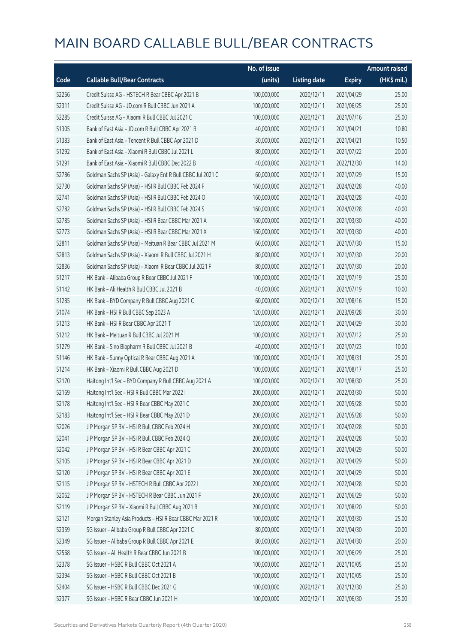|       |                                                             | No. of issue |                     |               | <b>Amount raised</b> |
|-------|-------------------------------------------------------------|--------------|---------------------|---------------|----------------------|
| Code  | <b>Callable Bull/Bear Contracts</b>                         | (units)      | <b>Listing date</b> | <b>Expiry</b> | (HK\$ mil.)          |
| 52266 | Credit Suisse AG - HSTECH R Bear CBBC Apr 2021 B            | 100,000,000  | 2020/12/11          | 2021/04/29    | 25.00                |
| 52311 | Credit Suisse AG - JD.com R Bull CBBC Jun 2021 A            | 100,000,000  | 2020/12/11          | 2021/06/25    | 25.00                |
| 52285 | Credit Suisse AG - Xiaomi R Bull CBBC Jul 2021 C            | 100,000,000  | 2020/12/11          | 2021/07/16    | 25.00                |
| 51305 | Bank of East Asia - JD.com R Bull CBBC Apr 2021 B           | 40,000,000   | 2020/12/11          | 2021/04/21    | 10.80                |
| 51383 | Bank of East Asia - Tencent R Bull CBBC Apr 2021 D          | 30,000,000   | 2020/12/11          | 2021/04/21    | 10.50                |
| 51292 | Bank of East Asia - Xiaomi R Bull CBBC Jul 2021 L           | 80,000,000   | 2020/12/11          | 2021/07/22    | 20.00                |
| 51291 | Bank of East Asia - Xiaomi R Bull CBBC Dec 2022 B           | 40,000,000   | 2020/12/11          | 2022/12/30    | 14.00                |
| 52786 | Goldman Sachs SP (Asia) - Galaxy Ent R Bull CBBC Jul 2021 C | 60,000,000   | 2020/12/11          | 2021/07/29    | 15.00                |
| 52730 | Goldman Sachs SP (Asia) - HSI R Bull CBBC Feb 2024 F        | 160,000,000  | 2020/12/11          | 2024/02/28    | 40.00                |
| 52741 | Goldman Sachs SP (Asia) - HSI R Bull CBBC Feb 2024 O        | 160,000,000  | 2020/12/11          | 2024/02/28    | 40.00                |
| 52782 | Goldman Sachs SP (Asia) - HSI R Bull CBBC Feb 2024 S        | 160,000,000  | 2020/12/11          | 2024/02/28    | 40.00                |
| 52785 | Goldman Sachs SP (Asia) - HSI R Bear CBBC Mar 2021 A        | 160,000,000  | 2020/12/11          | 2021/03/30    | 40.00                |
| 52773 | Goldman Sachs SP (Asia) - HSI R Bear CBBC Mar 2021 X        | 160,000,000  | 2020/12/11          | 2021/03/30    | 40.00                |
| 52811 | Goldman Sachs SP (Asia) - Meituan R Bear CBBC Jul 2021 M    | 60,000,000   | 2020/12/11          | 2021/07/30    | 15.00                |
| 52813 | Goldman Sachs SP (Asia) - Xiaomi R Bull CBBC Jul 2021 H     | 80,000,000   | 2020/12/11          | 2021/07/30    | 20.00                |
| 52836 | Goldman Sachs SP (Asia) - Xiaomi R Bear CBBC Jul 2021 F     | 80,000,000   | 2020/12/11          | 2021/07/30    | 20.00                |
| 51217 | HK Bank - Alibaba Group R Bear CBBC Jul 2021 F              | 100,000,000  | 2020/12/11          | 2021/07/19    | 25.00                |
| 51142 | HK Bank - Ali Health R Bull CBBC Jul 2021 B                 | 40,000,000   | 2020/12/11          | 2021/07/19    | 10.00                |
| 51285 | HK Bank - BYD Company R Bull CBBC Aug 2021 C                | 60,000,000   | 2020/12/11          | 2021/08/16    | 15.00                |
| 51074 | HK Bank - HSI R Bull CBBC Sep 2023 A                        | 120,000,000  | 2020/12/11          | 2023/09/28    | 30.00                |
| 51213 | HK Bank - HSI R Bear CBBC Apr 2021 T                        | 120,000,000  | 2020/12/11          | 2021/04/29    | 30.00                |
| 51212 | HK Bank - Meituan R Bull CBBC Jul 2021 M                    | 100,000,000  | 2020/12/11          | 2021/07/12    | 25.00                |
| 51279 | HK Bank - Sino Biopharm R Bull CBBC Jul 2021 B              | 40,000,000   | 2020/12/11          | 2021/07/23    | 10.00                |
| 51146 | HK Bank - Sunny Optical R Bear CBBC Aug 2021 A              | 100,000,000  | 2020/12/11          | 2021/08/31    | 25.00                |
| 51214 | HK Bank - Xiaomi R Bull CBBC Aug 2021 D                     | 100,000,000  | 2020/12/11          | 2021/08/17    | 25.00                |
| 52170 | Haitong Int'l Sec - BYD Company R Bull CBBC Aug 2021 A      | 100,000,000  | 2020/12/11          | 2021/08/30    | 25.00                |
| 52169 | Haitong Int'l Sec - HSI R Bull CBBC Mar 2022 I              | 200,000,000  | 2020/12/11          | 2022/03/30    | 50.00                |
| 52178 | Haitong Int'l Sec - HSI R Bear CBBC May 2021 C              | 200,000,000  | 2020/12/11          | 2021/05/28    | 50.00                |
| 52183 | Haitong Int'l Sec - HSI R Bear CBBC May 2021 D              | 200,000,000  | 2020/12/11          | 2021/05/28    | 50.00                |
| 52026 | J P Morgan SP BV - HSI R Bull CBBC Feb 2024 H               | 200,000,000  | 2020/12/11          | 2024/02/28    | 50.00                |
| 52041 | J P Morgan SP BV - HSI R Bull CBBC Feb 2024 Q               | 200,000,000  | 2020/12/11          | 2024/02/28    | 50.00                |
| 52042 | J P Morgan SP BV - HSI R Bear CBBC Apr 2021 C               | 200,000,000  | 2020/12/11          | 2021/04/29    | 50.00                |
| 52105 | J P Morgan SP BV - HSI R Bear CBBC Apr 2021 D               | 200,000,000  | 2020/12/11          | 2021/04/29    | 50.00                |
| 52120 | J P Morgan SP BV - HSI R Bear CBBC Apr 2021 E               | 200,000,000  | 2020/12/11          | 2021/04/29    | 50.00                |
| 52115 | JP Morgan SP BV - HSTECH R Bull CBBC Apr 2022 I             | 200,000,000  | 2020/12/11          | 2022/04/28    | 50.00                |
| 52062 | JP Morgan SP BV - HSTECH R Bear CBBC Jun 2021 F             | 200,000,000  | 2020/12/11          | 2021/06/29    | 50.00                |
| 52119 | J P Morgan SP BV - Xiaomi R Bull CBBC Aug 2021 B            | 200,000,000  | 2020/12/11          | 2021/08/20    | 50.00                |
| 52121 | Morgan Stanley Asia Products - HSI R Bear CBBC Mar 2021 R   | 100,000,000  | 2020/12/11          | 2021/03/30    | 25.00                |
| 52359 | SG Issuer - Alibaba Group R Bull CBBC Apr 2021 C            | 80,000,000   | 2020/12/11          | 2021/04/30    | 20.00                |
| 52349 | SG Issuer - Alibaba Group R Bull CBBC Apr 2021 E            | 80,000,000   | 2020/12/11          | 2021/04/30    | 20.00                |
| 52568 | SG Issuer - Ali Health R Bear CBBC Jun 2021 B               | 100,000,000  | 2020/12/11          | 2021/06/29    | 25.00                |
| 52378 | SG Issuer - HSBC R Bull CBBC Oct 2021 A                     | 100,000,000  | 2020/12/11          | 2021/10/05    | 25.00                |
| 52394 | SG Issuer - HSBC R Bull CBBC Oct 2021 B                     | 100,000,000  | 2020/12/11          | 2021/10/05    | 25.00                |
| 52404 | SG Issuer - HSBC R Bull CBBC Dec 2021 G                     | 100,000,000  | 2020/12/11          | 2021/12/30    | 25.00                |
| 52377 | SG Issuer - HSBC R Bear CBBC Jun 2021 H                     | 100,000,000  | 2020/12/11          | 2021/06/30    | 25.00                |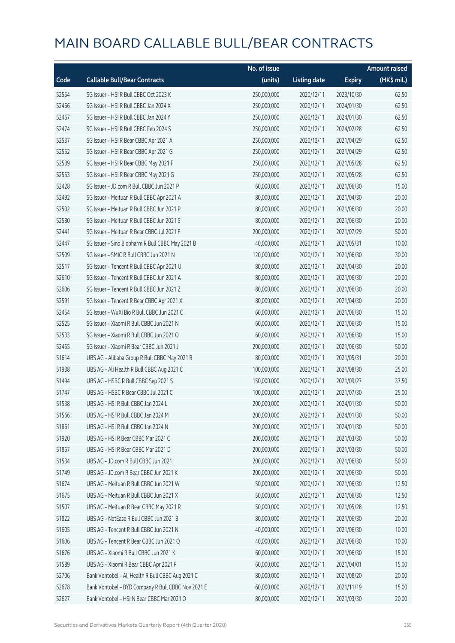|       |                                                    | No. of issue |                     |               | <b>Amount raised</b> |
|-------|----------------------------------------------------|--------------|---------------------|---------------|----------------------|
| Code  | <b>Callable Bull/Bear Contracts</b>                | (units)      | <b>Listing date</b> | <b>Expiry</b> | (HK\$ mil.)          |
| 52554 | SG Issuer - HSI R Bull CBBC Oct 2023 K             | 250,000,000  | 2020/12/11          | 2023/10/30    | 62.50                |
| 52466 | SG Issuer - HSI R Bull CBBC Jan 2024 X             | 250,000,000  | 2020/12/11          | 2024/01/30    | 62.50                |
| 52467 | SG Issuer - HSI R Bull CBBC Jan 2024 Y             | 250,000,000  | 2020/12/11          | 2024/01/30    | 62.50                |
| 52474 | SG Issuer - HSI R Bull CBBC Feb 2024 S             | 250,000,000  | 2020/12/11          | 2024/02/28    | 62.50                |
| 52537 | SG Issuer - HSI R Bear CBBC Apr 2021 A             | 250,000,000  | 2020/12/11          | 2021/04/29    | 62.50                |
| 52552 | SG Issuer - HSI R Bear CBBC Apr 2021 G             | 250,000,000  | 2020/12/11          | 2021/04/29    | 62.50                |
| 52539 | SG Issuer - HSI R Bear CBBC May 2021 F             | 250,000,000  | 2020/12/11          | 2021/05/28    | 62.50                |
| 52553 | SG Issuer - HSI R Bear CBBC May 2021 G             | 250,000,000  | 2020/12/11          | 2021/05/28    | 62.50                |
| 52428 | SG Issuer - JD.com R Bull CBBC Jun 2021 P          | 60,000,000   | 2020/12/11          | 2021/06/30    | 15.00                |
| 52492 | SG Issuer - Meituan R Bull CBBC Apr 2021 A         | 80,000,000   | 2020/12/11          | 2021/04/30    | 20.00                |
| 52502 | SG Issuer - Meituan R Bull CBBC Jun 2021 P         | 80,000,000   | 2020/12/11          | 2021/06/30    | 20.00                |
| 52580 | SG Issuer - Meituan R Bull CBBC Jun 2021 S         | 80,000,000   | 2020/12/11          | 2021/06/30    | 20.00                |
| 52441 | SG Issuer - Meituan R Bear CBBC Jul 2021 F         | 200,000,000  | 2020/12/11          | 2021/07/29    | 50.00                |
| 52447 | SG Issuer - Sino Biopharm R Bull CBBC May 2021 B   | 40,000,000   | 2020/12/11          | 2021/05/31    | 10.00                |
| 52509 | SG Issuer - SMIC R Bull CBBC Jun 2021 N            | 120,000,000  | 2020/12/11          | 2021/06/30    | 30.00                |
| 52517 | SG Issuer - Tencent R Bull CBBC Apr 2021 U         | 80,000,000   | 2020/12/11          | 2021/04/30    | 20.00                |
| 52610 | SG Issuer - Tencent R Bull CBBC Jun 2021 A         | 80,000,000   | 2020/12/11          | 2021/06/30    | 20.00                |
| 52606 | SG Issuer - Tencent R Bull CBBC Jun 2021 Z         | 80,000,000   | 2020/12/11          | 2021/06/30    | 20.00                |
| 52591 | SG Issuer - Tencent R Bear CBBC Apr 2021 X         | 80,000,000   | 2020/12/11          | 2021/04/30    | 20.00                |
| 52454 | SG Issuer - WuXi Bio R Bull CBBC Jun 2021 C        | 60,000,000   | 2020/12/11          | 2021/06/30    | 15.00                |
| 52525 | SG Issuer - Xiaomi R Bull CBBC Jun 2021 N          | 60,000,000   | 2020/12/11          | 2021/06/30    | 15.00                |
| 52533 | SG Issuer - Xiaomi R Bull CBBC Jun 2021 O          | 60,000,000   | 2020/12/11          | 2021/06/30    | 15.00                |
| 52455 | SG Issuer - Xiaomi R Bear CBBC Jun 2021 J          | 200,000,000  | 2020/12/11          | 2021/06/30    | 50.00                |
| 51614 | UBS AG - Alibaba Group R Bull CBBC May 2021 R      | 80,000,000   | 2020/12/11          | 2021/05/31    | 20.00                |
| 51938 | UBS AG - Ali Health R Bull CBBC Aug 2021 C         | 100,000,000  | 2020/12/11          | 2021/08/30    | 25.00                |
| 51494 | UBS AG - HSBC R Bull CBBC Sep 2021 S               | 150,000,000  | 2020/12/11          | 2021/09/27    | 37.50                |
| 51747 | UBS AG - HSBC R Bear CBBC Jul 2021 C               | 100,000,000  | 2020/12/11          | 2021/07/30    | 25.00                |
| 51538 | UBS AG - HSLR Bull CBBC Jan 2024 L                 | 200,000,000  | 2020/12/11          | 2024/01/30    | 50.00                |
| 51566 | UBS AG - HSI R Bull CBBC Jan 2024 M                | 200,000,000  | 2020/12/11          | 2024/01/30    | 50.00                |
| 51861 | UBS AG - HSI R Bull CBBC Jan 2024 N                | 200,000,000  | 2020/12/11          | 2024/01/30    | 50.00                |
| 51920 | UBS AG - HSI R Bear CBBC Mar 2021 C                | 200,000,000  | 2020/12/11          | 2021/03/30    | 50.00                |
| 51867 | UBS AG - HSI R Bear CBBC Mar 2021 D                | 200,000,000  | 2020/12/11          | 2021/03/30    | 50.00                |
| 51534 | UBS AG - JD.com R Bull CBBC Jun 2021 I             | 200,000,000  | 2020/12/11          | 2021/06/30    | 50.00                |
| 51749 | UBS AG - JD.com R Bear CBBC Jun 2021 K             | 200,000,000  | 2020/12/11          | 2021/06/30    | 50.00                |
| 51674 | UBS AG - Meituan R Bull CBBC Jun 2021 W            | 50,000,000   | 2020/12/11          | 2021/06/30    | 12.50                |
| 51675 | UBS AG - Meituan R Bull CBBC Jun 2021 X            | 50,000,000   | 2020/12/11          | 2021/06/30    | 12.50                |
| 51507 | UBS AG - Meituan R Bear CBBC May 2021 R            | 50,000,000   | 2020/12/11          | 2021/05/28    | 12.50                |
| 51822 | UBS AG - NetEase R Bull CBBC Jun 2021 B            | 80,000,000   | 2020/12/11          | 2021/06/30    | 20.00                |
| 51605 | UBS AG - Tencent R Bull CBBC Jun 2021 N            | 40,000,000   | 2020/12/11          | 2021/06/30    | 10.00                |
| 51606 | UBS AG - Tencent R Bear CBBC Jun 2021 Q            | 40,000,000   | 2020/12/11          | 2021/06/30    | 10.00                |
| 51676 | UBS AG - Xiaomi R Bull CBBC Jun 2021 K             | 60,000,000   | 2020/12/11          | 2021/06/30    | 15.00                |
| 51589 | UBS AG - Xiaomi R Bear CBBC Apr 2021 F             | 60,000,000   | 2020/12/11          | 2021/04/01    | 15.00                |
| 52706 | Bank Vontobel - Ali Health R Bull CBBC Aug 2021 C  | 80,000,000   | 2020/12/11          | 2021/08/20    | 20.00                |
| 52678 | Bank Vontobel - BYD Company R Bull CBBC Nov 2021 E | 60,000,000   | 2020/12/11          | 2021/11/19    | 15.00                |
| 52627 | Bank Vontobel - HSI N Bear CBBC Mar 2021 O         | 80,000,000   | 2020/12/11          | 2021/03/30    | 20.00                |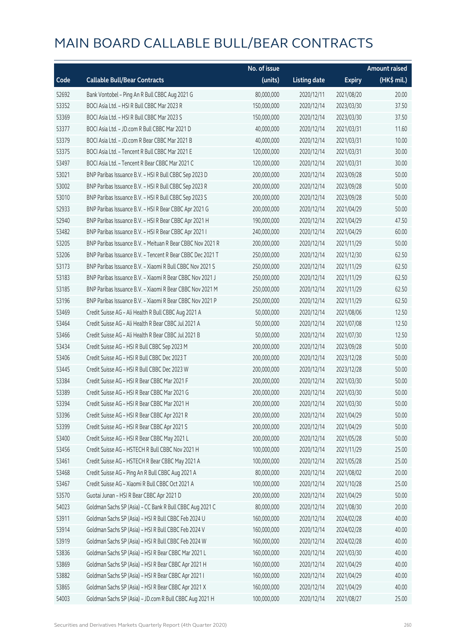|       |                                                            | No. of issue |                     |               | <b>Amount raised</b> |
|-------|------------------------------------------------------------|--------------|---------------------|---------------|----------------------|
| Code  | <b>Callable Bull/Bear Contracts</b>                        | (units)      | <b>Listing date</b> | <b>Expiry</b> | (HK\$ mil.)          |
| 52692 | Bank Vontobel - Ping An R Bull CBBC Aug 2021 G             | 80,000,000   | 2020/12/11          | 2021/08/20    | 20.00                |
| 53352 | BOCI Asia Ltd. - HSI R Bull CBBC Mar 2023 R                | 150,000,000  | 2020/12/14          | 2023/03/30    | 37.50                |
| 53369 | BOCI Asia Ltd. - HSI R Bull CBBC Mar 2023 S                | 150,000,000  | 2020/12/14          | 2023/03/30    | 37.50                |
| 53377 | BOCI Asia Ltd. - JD.com R Bull CBBC Mar 2021 D             | 40,000,000   | 2020/12/14          | 2021/03/31    | 11.60                |
| 53379 | BOCI Asia Ltd. - JD.com R Bear CBBC Mar 2021 B             | 40,000,000   | 2020/12/14          | 2021/03/31    | 10.00                |
| 53375 | BOCI Asia Ltd. - Tencent R Bull CBBC Mar 2021 E            | 120,000,000  | 2020/12/14          | 2021/03/31    | 30.00                |
| 53497 | BOCI Asia Ltd. - Tencent R Bear CBBC Mar 2021 C            | 120,000,000  | 2020/12/14          | 2021/03/31    | 30.00                |
| 53021 | BNP Paribas Issuance B.V. - HSI R Bull CBBC Sep 2023 D     | 200,000,000  | 2020/12/14          | 2023/09/28    | 50.00                |
| 53002 | BNP Paribas Issuance B.V. - HSI R Bull CBBC Sep 2023 R     | 200,000,000  | 2020/12/14          | 2023/09/28    | 50.00                |
| 53010 | BNP Paribas Issuance B.V. - HSI R Bull CBBC Sep 2023 S     | 200,000,000  | 2020/12/14          | 2023/09/28    | 50.00                |
| 52933 | BNP Paribas Issuance B.V. - HSI R Bear CBBC Apr 2021 G     | 200,000,000  | 2020/12/14          | 2021/04/29    | 50.00                |
| 52940 | BNP Paribas Issuance B.V. - HSI R Bear CBBC Apr 2021 H     | 190,000,000  | 2020/12/14          | 2021/04/29    | 47.50                |
| 53482 | BNP Paribas Issuance B.V. - HSI R Bear CBBC Apr 2021 I     | 240,000,000  | 2020/12/14          | 2021/04/29    | 60.00                |
| 53205 | BNP Paribas Issuance B.V. - Meituan R Bear CBBC Nov 2021 R | 200,000,000  | 2020/12/14          | 2021/11/29    | 50.00                |
| 53206 | BNP Paribas Issuance B.V. - Tencent R Bear CBBC Dec 2021 T | 250,000,000  | 2020/12/14          | 2021/12/30    | 62.50                |
| 53173 | BNP Paribas Issuance B.V. - Xiaomi R Bull CBBC Nov 2021 S  | 250,000,000  | 2020/12/14          | 2021/11/29    | 62.50                |
| 53183 | BNP Paribas Issuance B.V. - Xiaomi R Bear CBBC Nov 2021 J  | 250,000,000  | 2020/12/14          | 2021/11/29    | 62.50                |
| 53185 | BNP Paribas Issuance B.V. - Xiaomi R Bear CBBC Nov 2021 M  | 250,000,000  | 2020/12/14          | 2021/11/29    | 62.50                |
| 53196 | BNP Paribas Issuance B.V. - Xiaomi R Bear CBBC Nov 2021 P  | 250,000,000  | 2020/12/14          | 2021/11/29    | 62.50                |
| 53469 | Credit Suisse AG - Ali Health R Bull CBBC Aug 2021 A       | 50,000,000   | 2020/12/14          | 2021/08/06    | 12.50                |
| 53464 | Credit Suisse AG - Ali Health R Bear CBBC Jul 2021 A       | 50,000,000   | 2020/12/14          | 2021/07/08    | 12.50                |
| 53466 | Credit Suisse AG - Ali Health R Bear CBBC Jul 2021 B       | 50,000,000   | 2020/12/14          | 2021/07/30    | 12.50                |
| 53434 | Credit Suisse AG - HSI R Bull CBBC Sep 2023 M              | 200,000,000  | 2020/12/14          | 2023/09/28    | 50.00                |
| 53406 | Credit Suisse AG - HSI R Bull CBBC Dec 2023 T              | 200,000,000  | 2020/12/14          | 2023/12/28    | 50.00                |
| 53445 | Credit Suisse AG - HSI R Bull CBBC Dec 2023 W              | 200,000,000  | 2020/12/14          | 2023/12/28    | 50.00                |
| 53384 | Credit Suisse AG - HSI R Bear CBBC Mar 2021 F              | 200,000,000  | 2020/12/14          | 2021/03/30    | 50.00                |
| 53389 | Credit Suisse AG - HSI R Bear CBBC Mar 2021 G              | 200,000,000  | 2020/12/14          | 2021/03/30    | 50.00                |
| 53394 | Credit Suisse AG - HSI R Bear CBBC Mar 2021 H              | 200,000,000  | 2020/12/14          | 2021/03/30    | 50.00                |
| 53396 | Credit Suisse AG - HSI R Bear CBBC Apr 2021 R              | 200,000,000  | 2020/12/14          | 2021/04/29    | 50.00                |
| 53399 | Credit Suisse AG - HSI R Bear CBBC Apr 2021 S              | 200,000,000  | 2020/12/14          | 2021/04/29    | 50.00                |
| 53400 | Credit Suisse AG - HSI R Bear CBBC May 2021 L              | 200,000,000  | 2020/12/14          | 2021/05/28    | 50.00                |
| 53456 | Credit Suisse AG - HSTECH R Bull CBBC Nov 2021 H           | 100,000,000  | 2020/12/14          | 2021/11/29    | 25.00                |
| 53461 | Credit Suisse AG - HSTECH R Bear CBBC May 2021 A           | 100,000,000  | 2020/12/14          | 2021/05/28    | 25.00                |
| 53468 | Credit Suisse AG - Ping An R Bull CBBC Aug 2021 A          | 80,000,000   | 2020/12/14          | 2021/08/02    | 20.00                |
| 53467 | Credit Suisse AG - Xiaomi R Bull CBBC Oct 2021 A           | 100,000,000  | 2020/12/14          | 2021/10/28    | 25.00                |
| 53570 | Guotai Junan - HSI R Bear CBBC Apr 2021 D                  | 200,000,000  | 2020/12/14          | 2021/04/29    | 50.00                |
| 54023 | Goldman Sachs SP (Asia) - CC Bank R Bull CBBC Aug 2021 C   | 80,000,000   | 2020/12/14          | 2021/08/30    | 20.00                |
| 53911 | Goldman Sachs SP (Asia) - HSI R Bull CBBC Feb 2024 U       | 160,000,000  | 2020/12/14          | 2024/02/28    | 40.00                |
| 53914 | Goldman Sachs SP (Asia) - HSI R Bull CBBC Feb 2024 V       | 160,000,000  | 2020/12/14          | 2024/02/28    | 40.00                |
| 53919 | Goldman Sachs SP (Asia) - HSI R Bull CBBC Feb 2024 W       | 160,000,000  | 2020/12/14          | 2024/02/28    | 40.00                |
| 53836 | Goldman Sachs SP (Asia) - HSI R Bear CBBC Mar 2021 L       | 160,000,000  | 2020/12/14          | 2021/03/30    | 40.00                |
| 53869 | Goldman Sachs SP (Asia) - HSI R Bear CBBC Apr 2021 H       | 160,000,000  | 2020/12/14          | 2021/04/29    | 40.00                |
| 53882 | Goldman Sachs SP (Asia) - HSI R Bear CBBC Apr 2021 I       | 160,000,000  | 2020/12/14          | 2021/04/29    | 40.00                |
| 53865 | Goldman Sachs SP (Asia) - HSI R Bear CBBC Apr 2021 X       | 160,000,000  | 2020/12/14          | 2021/04/29    | 40.00                |
| 54003 | Goldman Sachs SP (Asia) - JD.com R Bull CBBC Aug 2021 H    | 100,000,000  | 2020/12/14          | 2021/08/27    | 25.00                |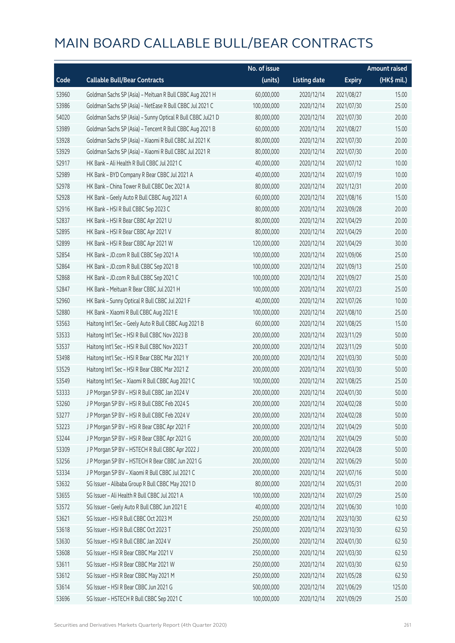|       |                                                             | No. of issue |                     |               | <b>Amount raised</b> |
|-------|-------------------------------------------------------------|--------------|---------------------|---------------|----------------------|
| Code  | <b>Callable Bull/Bear Contracts</b>                         | (units)      | <b>Listing date</b> | <b>Expiry</b> | $(HK$$ mil.)         |
| 53960 | Goldman Sachs SP (Asia) - Meituan R Bull CBBC Aug 2021 H    | 60,000,000   | 2020/12/14          | 2021/08/27    | 15.00                |
| 53986 | Goldman Sachs SP (Asia) - NetEase R Bull CBBC Jul 2021 C    | 100,000,000  | 2020/12/14          | 2021/07/30    | 25.00                |
| 54020 | Goldman Sachs SP (Asia) - Sunny Optical R Bull CBBC Jul21 D | 80,000,000   | 2020/12/14          | 2021/07/30    | 20.00                |
| 53989 | Goldman Sachs SP (Asia) - Tencent R Bull CBBC Aug 2021 B    | 60,000,000   | 2020/12/14          | 2021/08/27    | 15.00                |
| 53928 | Goldman Sachs SP (Asia) - Xiaomi R Bull CBBC Jul 2021 K     | 80,000,000   | 2020/12/14          | 2021/07/30    | 20.00                |
| 53929 | Goldman Sachs SP (Asia) - Xiaomi R Bull CBBC Jul 2021 R     | 80,000,000   | 2020/12/14          | 2021/07/30    | 20.00                |
| 52917 | HK Bank - Ali Health R Bull CBBC Jul 2021 C                 | 40,000,000   | 2020/12/14          | 2021/07/12    | 10.00                |
| 52989 | HK Bank - BYD Company R Bear CBBC Jul 2021 A                | 40,000,000   | 2020/12/14          | 2021/07/19    | 10.00                |
| 52978 | HK Bank - China Tower R Bull CBBC Dec 2021 A                | 80,000,000   | 2020/12/14          | 2021/12/31    | 20.00                |
| 52928 | HK Bank - Geely Auto R Bull CBBC Aug 2021 A                 | 60,000,000   | 2020/12/14          | 2021/08/16    | 15.00                |
| 52916 | HK Bank - HSI R Bull CBBC Sep 2023 C                        | 80,000,000   | 2020/12/14          | 2023/09/28    | 20.00                |
| 52837 | HK Bank - HSI R Bear CBBC Apr 2021 U                        | 80,000,000   | 2020/12/14          | 2021/04/29    | 20.00                |
| 52895 | HK Bank - HSI R Bear CBBC Apr 2021 V                        | 80,000,000   | 2020/12/14          | 2021/04/29    | 20.00                |
| 52899 | HK Bank - HSI R Bear CBBC Apr 2021 W                        | 120,000,000  | 2020/12/14          | 2021/04/29    | 30.00                |
| 52854 | HK Bank - JD.com R Bull CBBC Sep 2021 A                     | 100,000,000  | 2020/12/14          | 2021/09/06    | 25.00                |
| 52864 | HK Bank - JD.com R Bull CBBC Sep 2021 B                     | 100,000,000  | 2020/12/14          | 2021/09/13    | 25.00                |
| 52868 | HK Bank - JD.com R Bull CBBC Sep 2021 C                     | 100,000,000  | 2020/12/14          | 2021/09/27    | 25.00                |
| 52847 | HK Bank - Meituan R Bear CBBC Jul 2021 H                    | 100,000,000  | 2020/12/14          | 2021/07/23    | 25.00                |
| 52960 | HK Bank - Sunny Optical R Bull CBBC Jul 2021 F              | 40,000,000   | 2020/12/14          | 2021/07/26    | 10.00                |
| 52880 | HK Bank - Xiaomi R Bull CBBC Aug 2021 E                     | 100,000,000  | 2020/12/14          | 2021/08/10    | 25.00                |
| 53563 | Haitong Int'l Sec - Geely Auto R Bull CBBC Aug 2021 B       | 60,000,000   | 2020/12/14          | 2021/08/25    | 15.00                |
| 53533 | Haitong Int'l Sec - HSI R Bull CBBC Nov 2023 B              | 200,000,000  | 2020/12/14          | 2023/11/29    | 50.00                |
| 53537 | Haitong Int'l Sec - HSI R Bull CBBC Nov 2023 T              | 200,000,000  | 2020/12/14          | 2023/11/29    | 50.00                |
| 53498 | Haitong Int'l Sec - HSI R Bear CBBC Mar 2021 Y              | 200,000,000  | 2020/12/14          | 2021/03/30    | 50.00                |
| 53529 | Haitong Int'l Sec - HSI R Bear CBBC Mar 2021 Z              | 200,000,000  | 2020/12/14          | 2021/03/30    | 50.00                |
| 53549 | Haitong Int'l Sec - Xiaomi R Bull CBBC Aug 2021 C           | 100,000,000  | 2020/12/14          | 2021/08/25    | 25.00                |
| 53333 | J P Morgan SP BV - HSI R Bull CBBC Jan 2024 V               | 200,000,000  | 2020/12/14          | 2024/01/30    | 50.00                |
| 53260 | J P Morgan SP BV - HSI R Bull CBBC Feb 2024 S               | 200,000,000  | 2020/12/14          | 2024/02/28    | 50.00                |
| 53277 | J P Morgan SP BV - HSI R Bull CBBC Feb 2024 V               | 200,000,000  | 2020/12/14          | 2024/02/28    | 50.00                |
| 53223 | J P Morgan SP BV - HSI R Bear CBBC Apr 2021 F               | 200,000,000  | 2020/12/14          | 2021/04/29    | 50.00                |
| 53244 | J P Morgan SP BV - HSI R Bear CBBC Apr 2021 G               | 200,000,000  | 2020/12/14          | 2021/04/29    | 50.00                |
| 53309 | J P Morgan SP BV - HSTECH R Bull CBBC Apr 2022 J            | 200,000,000  | 2020/12/14          | 2022/04/28    | 50.00                |
| 53256 | J P Morgan SP BV - HSTECH R Bear CBBC Jun 2021 G            | 200,000,000  | 2020/12/14          | 2021/06/29    | 50.00                |
| 53334 | J P Morgan SP BV - Xiaomi R Bull CBBC Jul 2021 C            | 200,000,000  | 2020/12/14          | 2021/07/16    | 50.00                |
| 53632 | SG Issuer - Alibaba Group R Bull CBBC May 2021 D            | 80,000,000   | 2020/12/14          | 2021/05/31    | 20.00                |
| 53655 | SG Issuer - Ali Health R Bull CBBC Jul 2021 A               | 100,000,000  | 2020/12/14          | 2021/07/29    | 25.00                |
| 53572 | SG Issuer - Geely Auto R Bull CBBC Jun 2021 E               | 40,000,000   | 2020/12/14          | 2021/06/30    | 10.00                |
| 53621 | SG Issuer - HSI R Bull CBBC Oct 2023 M                      | 250,000,000  | 2020/12/14          | 2023/10/30    | 62.50                |
| 53618 | SG Issuer - HSI R Bull CBBC Oct 2023 T                      | 250,000,000  | 2020/12/14          | 2023/10/30    | 62.50                |
| 53630 | SG Issuer - HSI R Bull CBBC Jan 2024 V                      | 250,000,000  | 2020/12/14          | 2024/01/30    | 62.50                |
| 53608 | SG Issuer - HSI R Bear CBBC Mar 2021 V                      | 250,000,000  | 2020/12/14          | 2021/03/30    | 62.50                |
| 53611 | SG Issuer - HSI R Bear CBBC Mar 2021 W                      | 250,000,000  | 2020/12/14          | 2021/03/30    | 62.50                |
| 53612 | SG Issuer - HSI R Bear CBBC May 2021 M                      | 250,000,000  | 2020/12/14          | 2021/05/28    | 62.50                |
| 53614 | SG Issuer - HSI R Bear CBBC Jun 2021 G                      | 500,000,000  | 2020/12/14          | 2021/06/29    | 125.00               |
| 53696 | SG Issuer - HSTECH R Bull CBBC Sep 2021 C                   | 100,000,000  | 2020/12/14          | 2021/09/29    | 25.00                |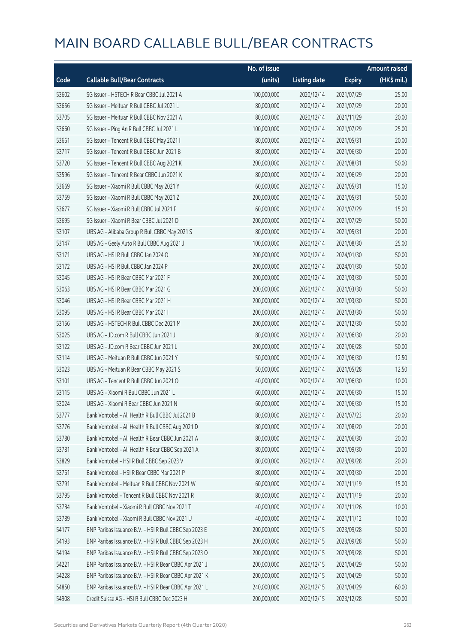|       |                                                        | No. of issue |                     |               | <b>Amount raised</b> |
|-------|--------------------------------------------------------|--------------|---------------------|---------------|----------------------|
| Code  | <b>Callable Bull/Bear Contracts</b>                    | (units)      | <b>Listing date</b> | <b>Expiry</b> | $(HK\$ mil.)         |
| 53602 | SG Issuer - HSTECH R Bear CBBC Jul 2021 A              | 100,000,000  | 2020/12/14          | 2021/07/29    | 25.00                |
| 53656 | SG Issuer - Meituan R Bull CBBC Jul 2021 L             | 80,000,000   | 2020/12/14          | 2021/07/29    | 20.00                |
| 53705 | SG Issuer - Meituan R Bull CBBC Nov 2021 A             | 80,000,000   | 2020/12/14          | 2021/11/29    | 20.00                |
| 53660 | SG Issuer - Ping An R Bull CBBC Jul 2021 L             | 100,000,000  | 2020/12/14          | 2021/07/29    | 25.00                |
| 53661 | SG Issuer - Tencent R Bull CBBC May 2021 I             | 80,000,000   | 2020/12/14          | 2021/05/31    | 20.00                |
| 53717 | SG Issuer - Tencent R Bull CBBC Jun 2021 B             | 80,000,000   | 2020/12/14          | 2021/06/30    | 20.00                |
| 53720 | SG Issuer - Tencent R Bull CBBC Aug 2021 K             | 200,000,000  | 2020/12/14          | 2021/08/31    | 50.00                |
| 53596 | SG Issuer - Tencent R Bear CBBC Jun 2021 K             | 80,000,000   | 2020/12/14          | 2021/06/29    | 20.00                |
| 53669 | SG Issuer - Xiaomi R Bull CBBC May 2021 Y              | 60,000,000   | 2020/12/14          | 2021/05/31    | 15.00                |
| 53759 | SG Issuer - Xiaomi R Bull CBBC May 2021 Z              | 200,000,000  | 2020/12/14          | 2021/05/31    | 50.00                |
| 53677 | SG Issuer - Xiaomi R Bull CBBC Jul 2021 F              | 60,000,000   | 2020/12/14          | 2021/07/29    | 15.00                |
| 53695 | SG Issuer - Xiaomi R Bear CBBC Jul 2021 D              | 200,000,000  | 2020/12/14          | 2021/07/29    | 50.00                |
| 53107 | UBS AG - Alibaba Group R Bull CBBC May 2021 S          | 80,000,000   | 2020/12/14          | 2021/05/31    | 20.00                |
| 53147 | UBS AG - Geely Auto R Bull CBBC Aug 2021 J             | 100,000,000  | 2020/12/14          | 2021/08/30    | 25.00                |
| 53171 | UBS AG - HSI R Bull CBBC Jan 2024 O                    | 200,000,000  | 2020/12/14          | 2024/01/30    | 50.00                |
| 53172 | UBS AG - HSI R Bull CBBC Jan 2024 P                    | 200,000,000  | 2020/12/14          | 2024/01/30    | 50.00                |
| 53045 | UBS AG - HSI R Bear CBBC Mar 2021 F                    | 200,000,000  | 2020/12/14          | 2021/03/30    | 50.00                |
| 53063 | UBS AG - HSI R Bear CBBC Mar 2021 G                    | 200,000,000  | 2020/12/14          | 2021/03/30    | 50.00                |
| 53046 | UBS AG - HSI R Bear CBBC Mar 2021 H                    | 200,000,000  | 2020/12/14          | 2021/03/30    | 50.00                |
| 53095 | UBS AG - HSI R Bear CBBC Mar 2021 I                    | 200,000,000  | 2020/12/14          | 2021/03/30    | 50.00                |
| 53156 | UBS AG - HSTECH R Bull CBBC Dec 2021 M                 | 200,000,000  | 2020/12/14          | 2021/12/30    | 50.00                |
| 53025 | UBS AG - JD.com R Bull CBBC Jun 2021 J                 | 80,000,000   | 2020/12/14          | 2021/06/30    | 20.00                |
| 53122 | UBS AG - JD.com R Bear CBBC Jun 2021 L                 | 200,000,000  | 2020/12/14          | 2021/06/28    | 50.00                |
| 53114 | UBS AG - Meituan R Bull CBBC Jun 2021 Y                | 50,000,000   | 2020/12/14          | 2021/06/30    | 12.50                |
| 53023 | UBS AG - Meituan R Bear CBBC May 2021 S                | 50,000,000   | 2020/12/14          | 2021/05/28    | 12.50                |
| 53101 | UBS AG - Tencent R Bull CBBC Jun 2021 O                | 40,000,000   | 2020/12/14          | 2021/06/30    | 10.00                |
| 53115 | UBS AG - Xiaomi R Bull CBBC Jun 2021 L                 | 60,000,000   | 2020/12/14          | 2021/06/30    | 15.00                |
| 53024 | UBS AG - Xiaomi R Bear CBBC Jun 2021 N                 | 60,000,000   | 2020/12/14          | 2021/06/30    | 15.00                |
| 53777 | Bank Vontobel - Ali Health R Bull CBBC Jul 2021 B      | 80,000,000   | 2020/12/14          | 2021/07/23    | 20.00                |
| 53776 | Bank Vontobel - Ali Health R Bull CBBC Aug 2021 D      | 80,000,000   | 2020/12/14          | 2021/08/20    | 20.00                |
| 53780 | Bank Vontobel - Ali Health R Bear CBBC Jun 2021 A      | 80,000,000   | 2020/12/14          | 2021/06/30    | 20.00                |
| 53781 | Bank Vontobel - Ali Health R Bear CBBC Sep 2021 A      | 80,000,000   | 2020/12/14          | 2021/09/30    | 20.00                |
| 53829 | Bank Vontobel - HSI R Bull CBBC Sep 2023 V             | 80,000,000   | 2020/12/14          | 2023/09/28    | 20.00                |
| 53761 | Bank Vontobel - HSI R Bear CBBC Mar 2021 P             | 80,000,000   | 2020/12/14          | 2021/03/30    | 20.00                |
| 53791 | Bank Vontobel - Meituan R Bull CBBC Nov 2021 W         | 60,000,000   | 2020/12/14          | 2021/11/19    | 15.00                |
| 53795 | Bank Vontobel - Tencent R Bull CBBC Nov 2021 R         | 80,000,000   | 2020/12/14          | 2021/11/19    | 20.00                |
| 53784 | Bank Vontobel - Xiaomi R Bull CBBC Nov 2021 T          | 40,000,000   | 2020/12/14          | 2021/11/26    | 10.00                |
| 53789 | Bank Vontobel - Xiaomi R Bull CBBC Nov 2021 U          | 40,000,000   | 2020/12/14          | 2021/11/12    | 10.00                |
| 54177 | BNP Paribas Issuance B.V. - HSI R Bull CBBC Sep 2023 E | 200,000,000  | 2020/12/15          | 2023/09/28    | 50.00                |
| 54193 | BNP Paribas Issuance B.V. - HSI R Bull CBBC Sep 2023 H | 200,000,000  | 2020/12/15          | 2023/09/28    | 50.00                |
| 54194 | BNP Paribas Issuance B.V. - HSI R Bull CBBC Sep 2023 O | 200,000,000  | 2020/12/15          | 2023/09/28    | 50.00                |
| 54221 | BNP Paribas Issuance B.V. - HSI R Bear CBBC Apr 2021 J | 200,000,000  | 2020/12/15          | 2021/04/29    | 50.00                |
| 54228 | BNP Paribas Issuance B.V. - HSI R Bear CBBC Apr 2021 K | 200,000,000  | 2020/12/15          | 2021/04/29    | 50.00                |
| 54850 | BNP Paribas Issuance B.V. - HSI R Bear CBBC Apr 2021 L | 240,000,000  | 2020/12/15          | 2021/04/29    | 60.00                |
| 54908 | Credit Suisse AG - HSI R Bull CBBC Dec 2023 H          | 200,000,000  | 2020/12/15          | 2023/12/28    | 50.00                |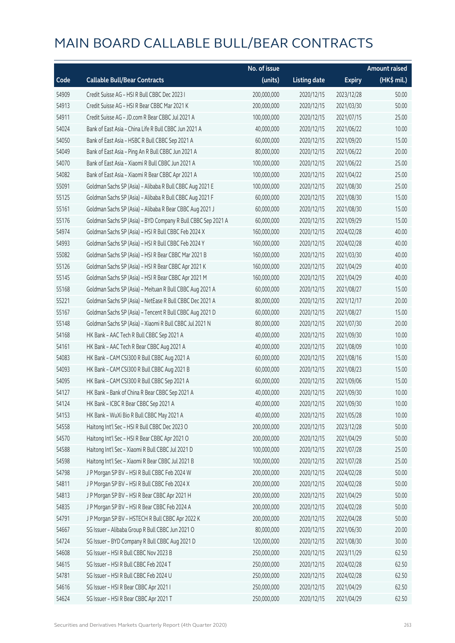|       |                                                              | No. of issue |                     |               | <b>Amount raised</b> |
|-------|--------------------------------------------------------------|--------------|---------------------|---------------|----------------------|
| Code  | <b>Callable Bull/Bear Contracts</b>                          | (units)      | <b>Listing date</b> | <b>Expiry</b> | (HK\$ mil.)          |
| 54909 | Credit Suisse AG - HSI R Bull CBBC Dec 2023 I                | 200,000,000  | 2020/12/15          | 2023/12/28    | 50.00                |
| 54913 | Credit Suisse AG - HSI R Bear CBBC Mar 2021 K                | 200,000,000  | 2020/12/15          | 2021/03/30    | 50.00                |
| 54911 | Credit Suisse AG - JD.com R Bear CBBC Jul 2021 A             | 100,000,000  | 2020/12/15          | 2021/07/15    | 25.00                |
| 54024 | Bank of East Asia - China Life R Bull CBBC Jun 2021 A        | 40,000,000   | 2020/12/15          | 2021/06/22    | 10.00                |
| 54050 | Bank of East Asia - HSBC R Bull CBBC Sep 2021 A              | 60,000,000   | 2020/12/15          | 2021/09/20    | 15.00                |
| 54049 | Bank of East Asia - Ping An R Bull CBBC Jun 2021 A           | 80,000,000   | 2020/12/15          | 2021/06/22    | 20.00                |
| 54070 | Bank of East Asia - Xiaomi R Bull CBBC Jun 2021 A            | 100,000,000  | 2020/12/15          | 2021/06/22    | 25.00                |
| 54082 | Bank of East Asia - Xiaomi R Bear CBBC Apr 2021 A            | 100,000,000  | 2020/12/15          | 2021/04/22    | 25.00                |
| 55091 | Goldman Sachs SP (Asia) - Alibaba R Bull CBBC Aug 2021 E     | 100,000,000  | 2020/12/15          | 2021/08/30    | 25.00                |
| 55125 | Goldman Sachs SP (Asia) - Alibaba R Bull CBBC Aug 2021 F     | 60,000,000   | 2020/12/15          | 2021/08/30    | 15.00                |
| 55161 | Goldman Sachs SP (Asia) - Alibaba R Bear CBBC Aug 2021 J     | 60,000,000   | 2020/12/15          | 2021/08/30    | 15.00                |
| 55176 | Goldman Sachs SP (Asia) - BYD Company R Bull CBBC Sep 2021 A | 60,000,000   | 2020/12/15          | 2021/09/29    | 15.00                |
| 54974 | Goldman Sachs SP (Asia) - HSI R Bull CBBC Feb 2024 X         | 160,000,000  | 2020/12/15          | 2024/02/28    | 40.00                |
| 54993 | Goldman Sachs SP (Asia) - HSI R Bull CBBC Feb 2024 Y         | 160,000,000  | 2020/12/15          | 2024/02/28    | 40.00                |
| 55082 | Goldman Sachs SP (Asia) - HSI R Bear CBBC Mar 2021 B         | 160,000,000  | 2020/12/15          | 2021/03/30    | 40.00                |
| 55126 | Goldman Sachs SP (Asia) - HSI R Bear CBBC Apr 2021 K         | 160,000,000  | 2020/12/15          | 2021/04/29    | 40.00                |
| 55145 | Goldman Sachs SP (Asia) - HSI R Bear CBBC Apr 2021 M         | 160,000,000  | 2020/12/15          | 2021/04/29    | 40.00                |
| 55168 | Goldman Sachs SP (Asia) - Meituan R Bull CBBC Aug 2021 A     | 60,000,000   | 2020/12/15          | 2021/08/27    | 15.00                |
| 55221 | Goldman Sachs SP (Asia) - NetEase R Bull CBBC Dec 2021 A     | 80,000,000   | 2020/12/15          | 2021/12/17    | 20.00                |
| 55167 | Goldman Sachs SP (Asia) - Tencent R Bull CBBC Aug 2021 D     | 60,000,000   | 2020/12/15          | 2021/08/27    | 15.00                |
| 55148 | Goldman Sachs SP (Asia) - Xiaomi R Bull CBBC Jul 2021 N      | 80,000,000   | 2020/12/15          | 2021/07/30    | 20.00                |
| 54168 | HK Bank - AAC Tech R Bull CBBC Sep 2021 A                    | 40,000,000   | 2020/12/15          | 2021/09/30    | 10.00                |
| 54161 | HK Bank - AAC Tech R Bear CBBC Aug 2021 A                    | 40,000,000   | 2020/12/15          | 2021/08/09    | 10.00                |
| 54083 | HK Bank - CAM CSI300 R Bull CBBC Aug 2021 A                  | 60,000,000   | 2020/12/15          | 2021/08/16    | 15.00                |
| 54093 | HK Bank - CAM CSI300 R Bull CBBC Aug 2021 B                  | 60,000,000   | 2020/12/15          | 2021/08/23    | 15.00                |
| 54095 | HK Bank - CAM CSI300 R Bull CBBC Sep 2021 A                  | 60,000,000   | 2020/12/15          | 2021/09/06    | 15.00                |
| 54127 | HK Bank - Bank of China R Bear CBBC Sep 2021 A               | 40,000,000   | 2020/12/15          | 2021/09/30    | 10.00                |
| 54124 | HK Bank - ICBC R Bear CBBC Sep 2021 A                        | 40,000,000   | 2020/12/15          | 2021/09/30    | 10.00                |
| 54153 | HK Bank - WuXi Bio R Bull CBBC May 2021 A                    | 40,000,000   | 2020/12/15          | 2021/05/28    | 10.00                |
| 54558 | Haitong Int'l Sec - HSI R Bull CBBC Dec 2023 O               | 200,000,000  | 2020/12/15          | 2023/12/28    | 50.00                |
| 54570 | Haitong Int'l Sec - HSI R Bear CBBC Apr 2021 O               | 200,000,000  | 2020/12/15          | 2021/04/29    | 50.00                |
| 54588 | Haitong Int'l Sec - Xiaomi R Bull CBBC Jul 2021 D            | 100,000,000  | 2020/12/15          | 2021/07/28    | 25.00                |
| 54598 | Haitong Int'l Sec - Xiaomi R Bear CBBC Jul 2021 B            | 100,000,000  | 2020/12/15          | 2021/07/28    | 25.00                |
| 54798 | J P Morgan SP BV - HSI R Bull CBBC Feb 2024 W                | 200,000,000  | 2020/12/15          | 2024/02/28    | 50.00                |
| 54811 | J P Morgan SP BV - HSI R Bull CBBC Feb 2024 X                | 200,000,000  | 2020/12/15          | 2024/02/28    | 50.00                |
| 54813 | J P Morgan SP BV - HSI R Bear CBBC Apr 2021 H                | 200,000,000  | 2020/12/15          | 2021/04/29    | 50.00                |
| 54835 | J P Morgan SP BV - HSI R Bear CBBC Feb 2024 A                | 200,000,000  | 2020/12/15          | 2024/02/28    | 50.00                |
| 54791 | J P Morgan SP BV - HSTECH R Bull CBBC Apr 2022 K             | 200,000,000  | 2020/12/15          | 2022/04/28    | 50.00                |
| 54667 | SG Issuer - Alibaba Group R Bull CBBC Jun 2021 O             | 80,000,000   | 2020/12/15          | 2021/06/30    | 20.00                |
| 54724 | SG Issuer - BYD Company R Bull CBBC Aug 2021 D               | 120,000,000  | 2020/12/15          | 2021/08/30    | 30.00                |
| 54608 | SG Issuer - HSI R Bull CBBC Nov 2023 B                       | 250,000,000  | 2020/12/15          | 2023/11/29    | 62.50                |
| 54615 | SG Issuer - HSI R Bull CBBC Feb 2024 T                       | 250,000,000  | 2020/12/15          | 2024/02/28    | 62.50                |
| 54781 | SG Issuer - HSI R Bull CBBC Feb 2024 U                       | 250,000,000  | 2020/12/15          | 2024/02/28    | 62.50                |
| 54616 | SG Issuer - HSI R Bear CBBC Apr 2021 I                       | 250,000,000  | 2020/12/15          | 2021/04/29    | 62.50                |
| 54624 | SG Issuer - HSI R Bear CBBC Apr 2021 T                       | 250,000,000  | 2020/12/15          | 2021/04/29    | 62.50                |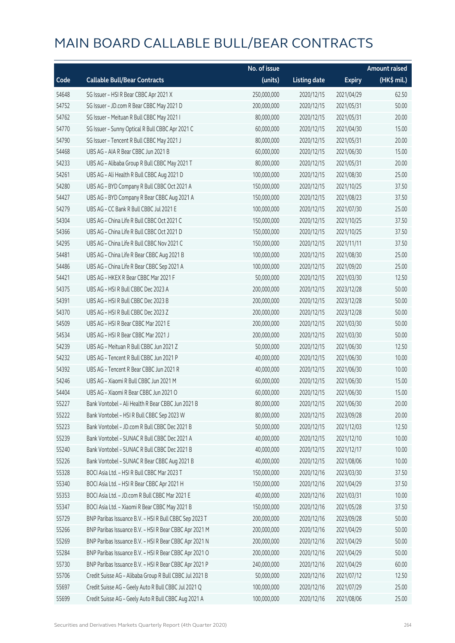|       |                                                         | No. of issue |                     |               | <b>Amount raised</b> |
|-------|---------------------------------------------------------|--------------|---------------------|---------------|----------------------|
| Code  | <b>Callable Bull/Bear Contracts</b>                     | (units)      | <b>Listing date</b> | <b>Expiry</b> | (HK\$ mil.)          |
| 54648 | SG Issuer - HSI R Bear CBBC Apr 2021 X                  | 250,000,000  | 2020/12/15          | 2021/04/29    | 62.50                |
| 54752 | SG Issuer - JD.com R Bear CBBC May 2021 D               | 200,000,000  | 2020/12/15          | 2021/05/31    | 50.00                |
| 54762 | SG Issuer - Meituan R Bull CBBC May 2021 I              | 80,000,000   | 2020/12/15          | 2021/05/31    | 20.00                |
| 54770 | SG Issuer - Sunny Optical R Bull CBBC Apr 2021 C        | 60,000,000   | 2020/12/15          | 2021/04/30    | 15.00                |
| 54790 | SG Issuer - Tencent R Bull CBBC May 2021 J              | 80,000,000   | 2020/12/15          | 2021/05/31    | 20.00                |
| 54468 | UBS AG - AIA R Bear CBBC Jun 2021 B                     | 60,000,000   | 2020/12/15          | 2021/06/30    | 15.00                |
| 54233 | UBS AG - Alibaba Group R Bull CBBC May 2021 T           | 80,000,000   | 2020/12/15          | 2021/05/31    | 20.00                |
| 54261 | UBS AG - Ali Health R Bull CBBC Aug 2021 D              | 100,000,000  | 2020/12/15          | 2021/08/30    | 25.00                |
| 54280 | UBS AG - BYD Company R Bull CBBC Oct 2021 A             | 150,000,000  | 2020/12/15          | 2021/10/25    | 37.50                |
| 54427 | UBS AG - BYD Company R Bear CBBC Aug 2021 A             | 150,000,000  | 2020/12/15          | 2021/08/23    | 37.50                |
| 54279 | UBS AG - CC Bank R Bull CBBC Jul 2021 E                 | 100,000,000  | 2020/12/15          | 2021/07/30    | 25.00                |
| 54304 | UBS AG - China Life R Bull CBBC Oct 2021 C              | 150,000,000  | 2020/12/15          | 2021/10/25    | 37.50                |
| 54366 | UBS AG - China Life R Bull CBBC Oct 2021 D              | 150,000,000  | 2020/12/15          | 2021/10/25    | 37.50                |
| 54295 | UBS AG - China Life R Bull CBBC Nov 2021 C              | 150,000,000  | 2020/12/15          | 2021/11/11    | 37.50                |
| 54481 | UBS AG - China Life R Bear CBBC Aug 2021 B              | 100,000,000  | 2020/12/15          | 2021/08/30    | 25.00                |
| 54486 | UBS AG - China Life R Bear CBBC Sep 2021 A              | 100,000,000  | 2020/12/15          | 2021/09/20    | 25.00                |
| 54421 | UBS AG - HKEX R Bear CBBC Mar 2021 F                    | 50,000,000   | 2020/12/15          | 2021/03/30    | 12.50                |
| 54375 | UBS AG - HSI R Bull CBBC Dec 2023 A                     | 200,000,000  | 2020/12/15          | 2023/12/28    | 50.00                |
| 54391 | UBS AG - HSI R Bull CBBC Dec 2023 B                     | 200,000,000  | 2020/12/15          | 2023/12/28    | 50.00                |
| 54370 | UBS AG - HSI R Bull CBBC Dec 2023 Z                     | 200,000,000  | 2020/12/15          | 2023/12/28    | 50.00                |
| 54509 | UBS AG - HSI R Bear CBBC Mar 2021 E                     | 200,000,000  | 2020/12/15          | 2021/03/30    | 50.00                |
| 54534 | UBS AG - HSI R Bear CBBC Mar 2021 J                     | 200,000,000  | 2020/12/15          | 2021/03/30    | 50.00                |
| 54239 | UBS AG - Meituan R Bull CBBC Jun 2021 Z                 | 50,000,000   | 2020/12/15          | 2021/06/30    | 12.50                |
| 54232 | UBS AG - Tencent R Bull CBBC Jun 2021 P                 | 40,000,000   | 2020/12/15          | 2021/06/30    | 10.00                |
| 54392 | UBS AG - Tencent R Bear CBBC Jun 2021 R                 | 40,000,000   | 2020/12/15          | 2021/06/30    | 10.00                |
| 54246 | UBS AG - Xiaomi R Bull CBBC Jun 2021 M                  | 60,000,000   | 2020/12/15          | 2021/06/30    | 15.00                |
| 54404 | UBS AG - Xiaomi R Bear CBBC Jun 2021 O                  | 60,000,000   | 2020/12/15          | 2021/06/30    | 15.00                |
| 55227 | Bank Vontobel - Ali Health R Bear CBBC Jun 2021 B       | 80,000,000   | 2020/12/15          | 2021/06/30    | 20.00                |
| 55222 | Bank Vontobel - HSI R Bull CBBC Sep 2023 W              | 80,000,000   | 2020/12/15          | 2023/09/28    | 20.00                |
| 55223 | Bank Vontobel - JD.com R Bull CBBC Dec 2021 B           | 50,000,000   | 2020/12/15          | 2021/12/03    | 12.50                |
| 55239 | Bank Vontobel - SUNAC R Bull CBBC Dec 2021 A            | 40,000,000   | 2020/12/15          | 2021/12/10    | 10.00                |
| 55240 | Bank Vontobel - SUNAC R Bull CBBC Dec 2021 B            | 40,000,000   | 2020/12/15          | 2021/12/17    | 10.00                |
| 55226 | Bank Vontobel - SUNAC R Bear CBBC Aug 2021 B            | 40,000,000   | 2020/12/15          | 2021/08/06    | 10.00                |
| 55328 | BOCI Asia Ltd. - HSI R Bull CBBC Mar 2023 T             | 150,000,000  | 2020/12/16          | 2023/03/30    | 37.50                |
| 55340 | BOCI Asia Ltd. - HSI R Bear CBBC Apr 2021 H             | 150,000,000  | 2020/12/16          | 2021/04/29    | 37.50                |
| 55353 | BOCI Asia Ltd. - JD.com R Bull CBBC Mar 2021 E          | 40,000,000   | 2020/12/16          | 2021/03/31    | 10.00                |
| 55347 | BOCI Asia Ltd. - Xiaomi R Bear CBBC May 2021 B          | 150,000,000  | 2020/12/16          | 2021/05/28    | 37.50                |
| 55729 | BNP Paribas Issuance B.V. - HSI R Bull CBBC Sep 2023 T  | 200,000,000  | 2020/12/16          | 2023/09/28    | 50.00                |
| 55266 | BNP Paribas Issuance B.V. - HSI R Bear CBBC Apr 2021 M  | 200,000,000  | 2020/12/16          | 2021/04/29    | 50.00                |
| 55269 | BNP Paribas Issuance B.V. - HSI R Bear CBBC Apr 2021 N  | 200,000,000  | 2020/12/16          | 2021/04/29    | 50.00                |
| 55284 | BNP Paribas Issuance B.V. - HSI R Bear CBBC Apr 2021 O  | 200,000,000  | 2020/12/16          | 2021/04/29    | 50.00                |
| 55730 | BNP Paribas Issuance B.V. - HSI R Bear CBBC Apr 2021 P  | 240,000,000  | 2020/12/16          | 2021/04/29    | 60.00                |
| 55706 | Credit Suisse AG - Alibaba Group R Bull CBBC Jul 2021 B | 50,000,000   | 2020/12/16          | 2021/07/12    | 12.50                |
| 55697 | Credit Suisse AG - Geely Auto R Bull CBBC Jul 2021 Q    | 100,000,000  | 2020/12/16          | 2021/07/29    | 25.00                |
| 55699 | Credit Suisse AG - Geely Auto R Bull CBBC Aug 2021 A    | 100,000,000  | 2020/12/16          | 2021/08/06    | 25.00                |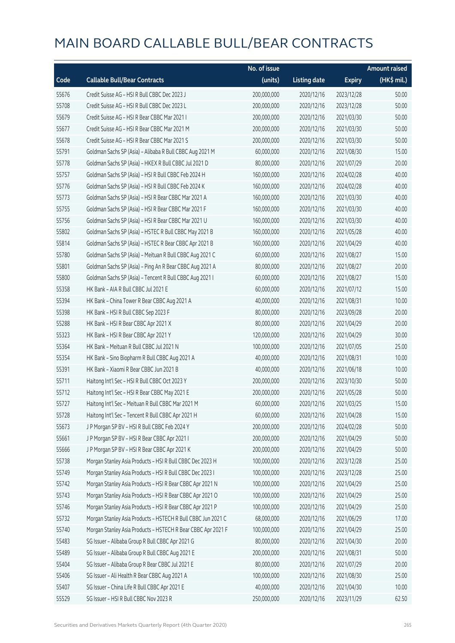|       |                                                              | No. of issue |                     |               | <b>Amount raised</b> |
|-------|--------------------------------------------------------------|--------------|---------------------|---------------|----------------------|
| Code  | <b>Callable Bull/Bear Contracts</b>                          | (units)      | <b>Listing date</b> | <b>Expiry</b> | (HK\$ mil.)          |
| 55676 | Credit Suisse AG - HSI R Bull CBBC Dec 2023 J                | 200,000,000  | 2020/12/16          | 2023/12/28    | 50.00                |
| 55708 | Credit Suisse AG - HSI R Bull CBBC Dec 2023 L                | 200,000,000  | 2020/12/16          | 2023/12/28    | 50.00                |
| 55679 | Credit Suisse AG - HSI R Bear CBBC Mar 2021 I                | 200,000,000  | 2020/12/16          | 2021/03/30    | 50.00                |
| 55677 | Credit Suisse AG - HSI R Bear CBBC Mar 2021 M                | 200,000,000  | 2020/12/16          | 2021/03/30    | 50.00                |
| 55678 | Credit Suisse AG - HSI R Bear CBBC Mar 2021 S                | 200,000,000  | 2020/12/16          | 2021/03/30    | 50.00                |
| 55791 | Goldman Sachs SP (Asia) - Alibaba R Bull CBBC Aug 2021 M     | 60,000,000   | 2020/12/16          | 2021/08/30    | 15.00                |
| 55778 | Goldman Sachs SP (Asia) - HKEX R Bull CBBC Jul 2021 D        | 80,000,000   | 2020/12/16          | 2021/07/29    | 20.00                |
| 55757 | Goldman Sachs SP (Asia) - HSI R Bull CBBC Feb 2024 H         | 160,000,000  | 2020/12/16          | 2024/02/28    | 40.00                |
| 55776 | Goldman Sachs SP (Asia) - HSI R Bull CBBC Feb 2024 K         | 160,000,000  | 2020/12/16          | 2024/02/28    | 40.00                |
| 55773 | Goldman Sachs SP (Asia) - HSI R Bear CBBC Mar 2021 A         | 160,000,000  | 2020/12/16          | 2021/03/30    | 40.00                |
| 55755 | Goldman Sachs SP (Asia) - HSI R Bear CBBC Mar 2021 F         | 160,000,000  | 2020/12/16          | 2021/03/30    | 40.00                |
| 55756 | Goldman Sachs SP (Asia) - HSI R Bear CBBC Mar 2021 U         | 160,000,000  | 2020/12/16          | 2021/03/30    | 40.00                |
| 55802 | Goldman Sachs SP (Asia) - HSTEC R Bull CBBC May 2021 B       | 160,000,000  | 2020/12/16          | 2021/05/28    | 40.00                |
| 55814 | Goldman Sachs SP (Asia) - HSTEC R Bear CBBC Apr 2021 B       | 160,000,000  | 2020/12/16          | 2021/04/29    | 40.00                |
| 55780 | Goldman Sachs SP (Asia) - Meituan R Bull CBBC Aug 2021 C     | 60,000,000   | 2020/12/16          | 2021/08/27    | 15.00                |
| 55801 | Goldman Sachs SP (Asia) - Ping An R Bear CBBC Aug 2021 A     | 80,000,000   | 2020/12/16          | 2021/08/27    | 20.00                |
| 55800 | Goldman Sachs SP (Asia) - Tencent R Bull CBBC Aug 2021 I     | 60,000,000   | 2020/12/16          | 2021/08/27    | 15.00                |
| 55358 | HK Bank - AIA R Bull CBBC Jul 2021 E                         | 60,000,000   | 2020/12/16          | 2021/07/12    | 15.00                |
| 55394 | HK Bank - China Tower R Bear CBBC Aug 2021 A                 | 40,000,000   | 2020/12/16          | 2021/08/31    | 10.00                |
| 55398 | HK Bank - HSI R Bull CBBC Sep 2023 F                         | 80,000,000   | 2020/12/16          | 2023/09/28    | 20.00                |
| 55288 | HK Bank - HSI R Bear CBBC Apr 2021 X                         | 80,000,000   | 2020/12/16          | 2021/04/29    | 20.00                |
| 55323 | HK Bank - HSI R Bear CBBC Apr 2021 Y                         | 120,000,000  | 2020/12/16          | 2021/04/29    | 30.00                |
| 55364 | HK Bank - Meituan R Bull CBBC Jul 2021 N                     | 100,000,000  | 2020/12/16          | 2021/07/05    | 25.00                |
| 55354 | HK Bank - Sino Biopharm R Bull CBBC Aug 2021 A               | 40,000,000   | 2020/12/16          | 2021/08/31    | 10.00                |
| 55391 | HK Bank - Xiaomi R Bear CBBC Jun 2021 B                      | 40,000,000   | 2020/12/16          | 2021/06/18    | 10.00                |
| 55711 | Haitong Int'l Sec - HSI R Bull CBBC Oct 2023 Y               | 200,000,000  | 2020/12/16          | 2023/10/30    | 50.00                |
| 55712 | Haitong Int'l Sec - HSI R Bear CBBC May 2021 E               | 200,000,000  | 2020/12/16          | 2021/05/28    | 50.00                |
| 55727 | Haitong Int'l Sec - Meituan R Bull CBBC Mar 2021 M           | 60,000,000   | 2020/12/16          | 2021/03/25    | 15.00                |
| 55728 | Haitong Int'l Sec - Tencent R Bull CBBC Apr 2021 H           | 60,000,000   | 2020/12/16          | 2021/04/28    | 15.00                |
| 55673 | J P Morgan SP BV - HSI R Bull CBBC Feb 2024 Y                | 200,000,000  | 2020/12/16          | 2024/02/28    | 50.00                |
| 55661 | J P Morgan SP BV - HSI R Bear CBBC Apr 2021 I                | 200,000,000  | 2020/12/16          | 2021/04/29    | 50.00                |
| 55666 | J P Morgan SP BV - HSI R Bear CBBC Apr 2021 K                | 200,000,000  | 2020/12/16          | 2021/04/29    | 50.00                |
| 55738 | Morgan Stanley Asia Products - HSI R Bull CBBC Dec 2023 H    | 100,000,000  | 2020/12/16          | 2023/12/28    | 25.00                |
| 55749 | Morgan Stanley Asia Products - HSI R Bull CBBC Dec 2023 I    | 100,000,000  | 2020/12/16          | 2023/12/28    | 25.00                |
| 55742 | Morgan Stanley Asia Products - HSI R Bear CBBC Apr 2021 N    | 100,000,000  | 2020/12/16          | 2021/04/29    | 25.00                |
| 55743 | Morgan Stanley Asia Products - HSI R Bear CBBC Apr 2021 O    | 100,000,000  | 2020/12/16          | 2021/04/29    | 25.00                |
| 55746 | Morgan Stanley Asia Products - HSI R Bear CBBC Apr 2021 P    | 100,000,000  | 2020/12/16          | 2021/04/29    | 25.00                |
| 55732 | Morgan Stanley Asia Products - HSTECH R Bull CBBC Jun 2021 C | 68,000,000   | 2020/12/16          | 2021/06/29    | 17.00                |
| 55740 | Morgan Stanley Asia Products - HSTECH R Bear CBBC Apr 2021 F | 100,000,000  | 2020/12/16          | 2021/04/29    | 25.00                |
| 55483 | SG Issuer - Alibaba Group R Bull CBBC Apr 2021 G             | 80,000,000   | 2020/12/16          | 2021/04/30    | 20.00                |
| 55489 | SG Issuer - Alibaba Group R Bull CBBC Aug 2021 E             | 200,000,000  | 2020/12/16          | 2021/08/31    | 50.00                |
| 55404 | SG Issuer - Alibaba Group R Bear CBBC Jul 2021 E             | 80,000,000   | 2020/12/16          | 2021/07/29    | 20.00                |
| 55406 | SG Issuer - Ali Health R Bear CBBC Aug 2021 A                | 100,000,000  | 2020/12/16          | 2021/08/30    | 25.00                |
| 55407 | SG Issuer - China Life R Bull CBBC Apr 2021 E                | 40,000,000   | 2020/12/16          | 2021/04/30    | 10.00                |
| 55529 | SG Issuer - HSI R Bull CBBC Nov 2023 R                       | 250,000,000  | 2020/12/16          | 2023/11/29    | 62.50                |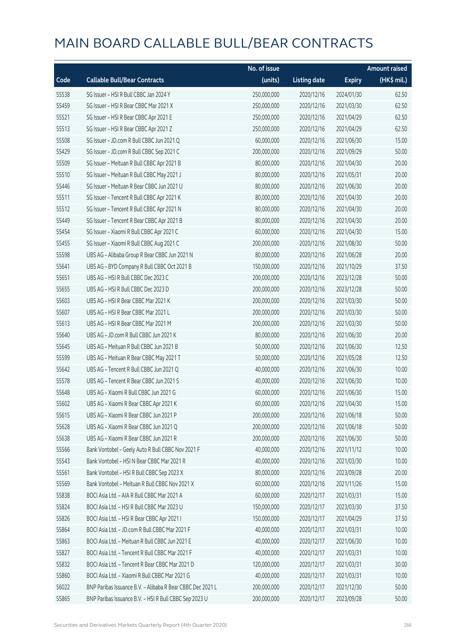|       |                                                            | No. of issue |                     |               | <b>Amount raised</b> |
|-------|------------------------------------------------------------|--------------|---------------------|---------------|----------------------|
| Code  | <b>Callable Bull/Bear Contracts</b>                        | (units)      | <b>Listing date</b> | <b>Expiry</b> | (HK\$ mil.)          |
| 55538 | SG Issuer - HSI R Bull CBBC Jan 2024 Y                     | 250,000,000  | 2020/12/16          | 2024/01/30    | 62.50                |
| 55459 | SG Issuer - HSI R Bear CBBC Mar 2021 X                     | 250,000,000  | 2020/12/16          | 2021/03/30    | 62.50                |
| 55521 | SG Issuer - HSI R Bear CBBC Apr 2021 E                     | 250,000,000  | 2020/12/16          | 2021/04/29    | 62.50                |
| 55513 | SG Issuer - HSI R Bear CBBC Apr 2021 Z                     | 250,000,000  | 2020/12/16          | 2021/04/29    | 62.50                |
| 55508 | SG Issuer - JD.com R Bull CBBC Jun 2021 Q                  | 60,000,000   | 2020/12/16          | 2021/06/30    | 15.00                |
| 55429 | SG Issuer - JD.com R Bull CBBC Sep 2021 C                  | 200,000,000  | 2020/12/16          | 2021/09/29    | 50.00                |
| 55509 | SG Issuer - Meituan R Bull CBBC Apr 2021 B                 | 80,000,000   | 2020/12/16          | 2021/04/30    | 20.00                |
| 55510 | SG Issuer - Meituan R Bull CBBC May 2021 J                 | 80,000,000   | 2020/12/16          | 2021/05/31    | 20.00                |
| 55446 | SG Issuer - Meituan R Bear CBBC Jun 2021 U                 | 80,000,000   | 2020/12/16          | 2021/06/30    | 20.00                |
| 55511 | SG Issuer - Tencent R Bull CBBC Apr 2021 K                 | 80,000,000   | 2020/12/16          | 2021/04/30    | 20.00                |
| 55512 | SG Issuer - Tencent R Bull CBBC Apr 2021 N                 | 80,000,000   | 2020/12/16          | 2021/04/30    | 20.00                |
| 55449 | SG Issuer - Tencent R Bear CBBC Apr 2021 B                 | 80,000,000   | 2020/12/16          | 2021/04/30    | 20.00                |
| 55454 | SG Issuer - Xiaomi R Bull CBBC Apr 2021 C                  | 60,000,000   | 2020/12/16          | 2021/04/30    | 15.00                |
| 55455 | SG Issuer - Xiaomi R Bull CBBC Aug 2021 C                  | 200,000,000  | 2020/12/16          | 2021/08/30    | 50.00                |
| 55598 | UBS AG - Alibaba Group R Bear CBBC Jun 2021 N              | 80,000,000   | 2020/12/16          | 2021/06/28    | 20.00                |
| 55641 | UBS AG - BYD Company R Bull CBBC Oct 2021 B                | 150,000,000  | 2020/12/16          | 2021/10/29    | 37.50                |
| 55651 | UBS AG - HSI R Bull CBBC Dec 2023 C                        | 200,000,000  | 2020/12/16          | 2023/12/28    | 50.00                |
| 55655 | UBS AG - HSI R Bull CBBC Dec 2023 D                        | 200,000,000  | 2020/12/16          | 2023/12/28    | 50.00                |
| 55603 | UBS AG - HSI R Bear CBBC Mar 2021 K                        | 200,000,000  | 2020/12/16          | 2021/03/30    | 50.00                |
| 55607 | UBS AG - HSI R Bear CBBC Mar 2021 L                        | 200,000,000  | 2020/12/16          | 2021/03/30    | 50.00                |
| 55613 | UBS AG - HSI R Bear CBBC Mar 2021 M                        | 200,000,000  | 2020/12/16          | 2021/03/30    | 50.00                |
| 55640 | UBS AG - JD.com R Bull CBBC Jun 2021 K                     | 80,000,000   | 2020/12/16          | 2021/06/30    | 20.00                |
| 55645 | UBS AG - Meituan R Bull CBBC Jun 2021 B                    | 50,000,000   | 2020/12/16          | 2021/06/30    | 12.50                |
| 55599 | UBS AG - Meituan R Bear CBBC May 2021 T                    | 50,000,000   | 2020/12/16          | 2021/05/28    | 12.50                |
| 55642 | UBS AG - Tencent R Bull CBBC Jun 2021 Q                    | 40,000,000   | 2020/12/16          | 2021/06/30    | 10.00                |
| 55578 | UBS AG - Tencent R Bear CBBC Jun 2021 S                    | 40,000,000   | 2020/12/16          | 2021/06/30    | 10.00                |
| 55648 | UBS AG - Xiaomi R Bull CBBC Jun 2021 G                     | 60,000,000   | 2020/12/16          | 2021/06/30    | 15.00                |
| 55602 | UBS AG - Xiaomi R Bear CBBC Apr 2021 K                     | 60,000,000   | 2020/12/16          | 2021/04/30    | 15.00                |
| 55615 | UBS AG - Xiaomi R Bear CBBC Jun 2021 P                     | 200,000,000  | 2020/12/16          | 2021/06/18    | 50.00                |
| 55628 | UBS AG - Xiaomi R Bear CBBC Jun 2021 Q                     | 200,000,000  | 2020/12/16          | 2021/06/18    | 50.00                |
| 55638 | UBS AG - Xiaomi R Bear CBBC Jun 2021 R                     | 200,000,000  | 2020/12/16          | 2021/06/30    | 50.00                |
| 55566 | Bank Vontobel - Geely Auto R Bull CBBC Nov 2021 F          | 40,000,000   | 2020/12/16          | 2021/11/12    | 10.00                |
| 55543 | Bank Vontobel - HSI N Bear CBBC Mar 2021 R                 | 40,000,000   | 2020/12/16          | 2021/03/30    | 10.00                |
| 55561 | Bank Vontobel - HSI R Bull CBBC Sep 2023 X                 | 80,000,000   | 2020/12/16          | 2023/09/28    | 20.00                |
| 55569 | Bank Vontobel - Meituan R Bull CBBC Nov 2021 X             | 60,000,000   | 2020/12/16          | 2021/11/26    | 15.00                |
| 55838 | BOCI Asia Ltd. - AIA R Bull CBBC Mar 2021 A                | 60,000,000   | 2020/12/17          | 2021/03/31    | 15.00                |
| 55824 | BOCI Asia Ltd. - HSI R Bull CBBC Mar 2023 U                | 150,000,000  | 2020/12/17          | 2023/03/30    | 37.50                |
| 55826 | BOCI Asia Ltd. - HSI R Bear CBBC Apr 2021 I                | 150,000,000  | 2020/12/17          | 2021/04/29    | 37.50                |
| 55864 | BOCI Asia Ltd. - JD.com R Bull CBBC Mar 2021 F             | 40,000,000   | 2020/12/17          | 2021/03/31    | 10.00                |
| 55863 | BOCI Asia Ltd. - Meituan R Bull CBBC Jun 2021 E            | 40,000,000   | 2020/12/17          | 2021/06/30    | 10.00                |
| 55827 | BOCI Asia Ltd. - Tencent R Bull CBBC Mar 2021 F            | 40,000,000   | 2020/12/17          | 2021/03/31    | 10.00                |
| 55832 | BOCI Asia Ltd. - Tencent R Bear CBBC Mar 2021 D            | 120,000,000  | 2020/12/17          | 2021/03/31    | 30.00                |
| 55860 | BOCI Asia Ltd. - Xiaomi R Bull CBBC Mar 2021 G             | 40,000,000   | 2020/12/17          | 2021/03/31    | 10.00                |
| 56022 | BNP Paribas Issuance B.V. - Alibaba R Bear CBBC Dec 2021 L | 200,000,000  | 2020/12/17          | 2021/12/30    | 50.00                |
| 55865 | BNP Paribas Issuance B.V. - HSI R Bull CBBC Sep 2023 U     | 200,000,000  | 2020/12/17          | 2023/09/28    | 50.00                |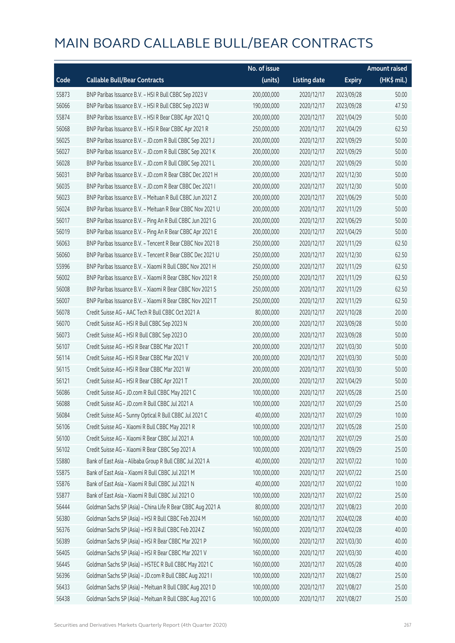|       |                                                             | No. of issue |                     |               | <b>Amount raised</b> |
|-------|-------------------------------------------------------------|--------------|---------------------|---------------|----------------------|
| Code  | <b>Callable Bull/Bear Contracts</b>                         | (units)      | <b>Listing date</b> | <b>Expiry</b> | (HK\$ mil.)          |
| 55873 | BNP Paribas Issuance B.V. - HSI R Bull CBBC Sep 2023 V      | 200,000,000  | 2020/12/17          | 2023/09/28    | 50.00                |
| 56066 | BNP Paribas Issuance B.V. - HSI R Bull CBBC Sep 2023 W      | 190,000,000  | 2020/12/17          | 2023/09/28    | 47.50                |
| 55874 | BNP Paribas Issuance B.V. - HSI R Bear CBBC Apr 2021 Q      | 200,000,000  | 2020/12/17          | 2021/04/29    | 50.00                |
| 56068 | BNP Paribas Issuance B.V. - HSI R Bear CBBC Apr 2021 R      | 250,000,000  | 2020/12/17          | 2021/04/29    | 62.50                |
| 56025 | BNP Paribas Issuance B.V. - JD.com R Bull CBBC Sep 2021 J   | 200,000,000  | 2020/12/17          | 2021/09/29    | 50.00                |
| 56027 | BNP Paribas Issuance B.V. - JD.com R Bull CBBC Sep 2021 K   | 200,000,000  | 2020/12/17          | 2021/09/29    | 50.00                |
| 56028 | BNP Paribas Issuance B.V. - JD.com R Bull CBBC Sep 2021 L   | 200,000,000  | 2020/12/17          | 2021/09/29    | 50.00                |
| 56031 | BNP Paribas Issuance B.V. - JD.com R Bear CBBC Dec 2021 H   | 200,000,000  | 2020/12/17          | 2021/12/30    | 50.00                |
| 56035 | BNP Paribas Issuance B.V. - JD.com R Bear CBBC Dec 2021 I   | 200,000,000  | 2020/12/17          | 2021/12/30    | 50.00                |
| 56023 | BNP Paribas Issuance B.V. - Meituan R Bull CBBC Jun 2021 Z  | 200,000,000  | 2020/12/17          | 2021/06/29    | 50.00                |
| 56024 | BNP Paribas Issuance B.V. - Meituan R Bear CBBC Nov 2021 U  | 200,000,000  | 2020/12/17          | 2021/11/29    | 50.00                |
| 56017 | BNP Paribas Issuance B.V. - Ping An R Bull CBBC Jun 2021 G  | 200,000,000  | 2020/12/17          | 2021/06/29    | 50.00                |
| 56019 | BNP Paribas Issuance B.V. - Ping An R Bear CBBC Apr 2021 E  | 200,000,000  | 2020/12/17          | 2021/04/29    | 50.00                |
| 56063 | BNP Paribas Issuance B.V. - Tencent R Bear CBBC Nov 2021 B  | 250,000,000  | 2020/12/17          | 2021/11/29    | 62.50                |
| 56060 | BNP Paribas Issuance B.V. - Tencent R Bear CBBC Dec 2021 U  | 250,000,000  | 2020/12/17          | 2021/12/30    | 62.50                |
| 55996 | BNP Paribas Issuance B.V. - Xiaomi R Bull CBBC Nov 2021 H   | 250,000,000  | 2020/12/17          | 2021/11/29    | 62.50                |
| 56002 | BNP Paribas Issuance B.V. - Xiaomi R Bear CBBC Nov 2021 R   | 250,000,000  | 2020/12/17          | 2021/11/29    | 62.50                |
| 56008 | BNP Paribas Issuance B.V. - Xiaomi R Bear CBBC Nov 2021 S   | 250,000,000  | 2020/12/17          | 2021/11/29    | 62.50                |
| 56007 | BNP Paribas Issuance B.V. - Xiaomi R Bear CBBC Nov 2021 T   | 250,000,000  | 2020/12/17          | 2021/11/29    | 62.50                |
| 56078 | Credit Suisse AG - AAC Tech R Bull CBBC Oct 2021 A          | 80,000,000   | 2020/12/17          | 2021/10/28    | 20.00                |
| 56070 | Credit Suisse AG - HSI R Bull CBBC Sep 2023 N               | 200,000,000  | 2020/12/17          | 2023/09/28    | 50.00                |
| 56073 | Credit Suisse AG - HSI R Bull CBBC Sep 2023 O               | 200,000,000  | 2020/12/17          | 2023/09/28    | 50.00                |
| 56107 | Credit Suisse AG - HSI R Bear CBBC Mar 2021 T               | 200,000,000  | 2020/12/17          | 2021/03/30    | 50.00                |
| 56114 | Credit Suisse AG - HSI R Bear CBBC Mar 2021 V               | 200,000,000  | 2020/12/17          | 2021/03/30    | 50.00                |
| 56115 | Credit Suisse AG - HSI R Bear CBBC Mar 2021 W               | 200,000,000  | 2020/12/17          | 2021/03/30    | 50.00                |
| 56121 | Credit Suisse AG - HSI R Bear CBBC Apr 2021 T               | 200,000,000  | 2020/12/17          | 2021/04/29    | 50.00                |
| 56086 | Credit Suisse AG - JD.com R Bull CBBC May 2021 C            | 100,000,000  | 2020/12/17          | 2021/05/28    | 25.00                |
| 56088 | Credit Suisse AG - JD.com R Bull CBBC Jul 2021 A            | 100,000,000  | 2020/12/17          | 2021/07/29    | 25.00                |
| 56084 | Credit Suisse AG - Sunny Optical R Bull CBBC Jul 2021 C     | 40,000,000   | 2020/12/17          | 2021/07/29    | 10.00                |
| 56106 | Credit Suisse AG - Xiaomi R Bull CBBC May 2021 R            | 100,000,000  | 2020/12/17          | 2021/05/28    | 25.00                |
| 56100 | Credit Suisse AG - Xiaomi R Bear CBBC Jul 2021 A            | 100,000,000  | 2020/12/17          | 2021/07/29    | 25.00                |
| 56102 | Credit Suisse AG - Xiaomi R Bear CBBC Sep 2021 A            | 100,000,000  | 2020/12/17          | 2021/09/29    | 25.00                |
| 55880 | Bank of East Asia - Alibaba Group R Bull CBBC Jul 2021 A    | 40,000,000   | 2020/12/17          | 2021/07/22    | 10.00                |
| 55875 | Bank of East Asia - Xiaomi R Bull CBBC Jul 2021 M           | 100,000,000  | 2020/12/17          | 2021/07/22    | 25.00                |
| 55876 | Bank of East Asia - Xiaomi R Bull CBBC Jul 2021 N           | 40,000,000   | 2020/12/17          | 2021/07/22    | 10.00                |
| 55877 | Bank of East Asia - Xiaomi R Bull CBBC Jul 2021 O           | 100,000,000  | 2020/12/17          | 2021/07/22    | 25.00                |
| 56444 | Goldman Sachs SP (Asia) - China Life R Bear CBBC Aug 2021 A | 80,000,000   | 2020/12/17          | 2021/08/23    | 20.00                |
| 56380 | Goldman Sachs SP (Asia) - HSI R Bull CBBC Feb 2024 M        | 160,000,000  | 2020/12/17          | 2024/02/28    | 40.00                |
| 56376 | Goldman Sachs SP (Asia) - HSI R Bull CBBC Feb 2024 Z        | 160,000,000  | 2020/12/17          | 2024/02/28    | 40.00                |
| 56389 | Goldman Sachs SP (Asia) - HSI R Bear CBBC Mar 2021 P        | 160,000,000  | 2020/12/17          | 2021/03/30    | 40.00                |
| 56405 | Goldman Sachs SP (Asia) - HSI R Bear CBBC Mar 2021 V        | 160,000,000  | 2020/12/17          | 2021/03/30    | 40.00                |
| 56445 | Goldman Sachs SP (Asia) - HSTEC R Bull CBBC May 2021 C      | 160,000,000  | 2020/12/17          | 2021/05/28    | 40.00                |
| 56396 | Goldman Sachs SP (Asia) - JD.com R Bull CBBC Aug 2021 I     | 100,000,000  | 2020/12/17          | 2021/08/27    | 25.00                |
| 56433 | Goldman Sachs SP (Asia) - Meituan R Bull CBBC Aug 2021 D    | 100,000,000  | 2020/12/17          | 2021/08/27    | 25.00                |
| 56438 | Goldman Sachs SP (Asia) - Meituan R Bull CBBC Aug 2021 G    | 100,000,000  | 2020/12/17          | 2021/08/27    | 25.00                |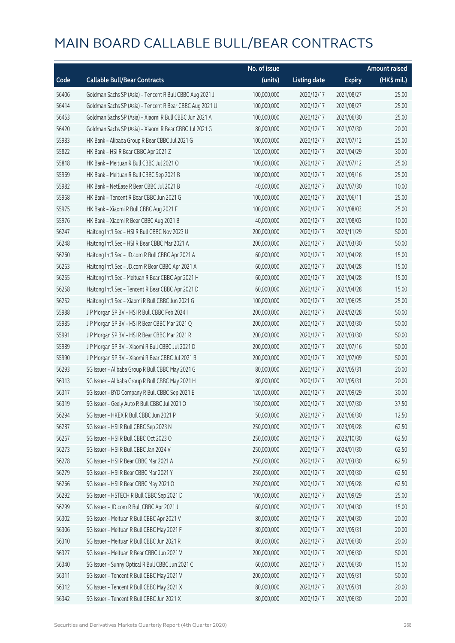|       |                                                          | No. of issue |                     |               | <b>Amount raised</b> |
|-------|----------------------------------------------------------|--------------|---------------------|---------------|----------------------|
| Code  | <b>Callable Bull/Bear Contracts</b>                      | (units)      | <b>Listing date</b> | <b>Expiry</b> | (HK\$ mil.)          |
| 56406 | Goldman Sachs SP (Asia) - Tencent R Bull CBBC Aug 2021 J | 100,000,000  | 2020/12/17          | 2021/08/27    | 25.00                |
| 56414 | Goldman Sachs SP (Asia) - Tencent R Bear CBBC Aug 2021 U | 100,000,000  | 2020/12/17          | 2021/08/27    | 25.00                |
| 56453 | Goldman Sachs SP (Asia) - Xiaomi R Bull CBBC Jun 2021 A  | 100,000,000  | 2020/12/17          | 2021/06/30    | 25.00                |
| 56420 | Goldman Sachs SP (Asia) - Xiaomi R Bear CBBC Jul 2021 G  | 80,000,000   | 2020/12/17          | 2021/07/30    | 20.00                |
| 55983 | HK Bank - Alibaba Group R Bear CBBC Jul 2021 G           | 100,000,000  | 2020/12/17          | 2021/07/12    | 25.00                |
| 55822 | HK Bank - HSI R Bear CBBC Apr 2021 Z                     | 120,000,000  | 2020/12/17          | 2021/04/29    | 30.00                |
| 55818 | HK Bank - Meituan R Bull CBBC Jul 2021 O                 | 100,000,000  | 2020/12/17          | 2021/07/12    | 25.00                |
| 55969 | HK Bank - Meituan R Bull CBBC Sep 2021 B                 | 100,000,000  | 2020/12/17          | 2021/09/16    | 25.00                |
| 55982 | HK Bank - NetEase R Bear CBBC Jul 2021 B                 | 40,000,000   | 2020/12/17          | 2021/07/30    | 10.00                |
| 55968 | HK Bank - Tencent R Bear CBBC Jun 2021 G                 | 100,000,000  | 2020/12/17          | 2021/06/11    | 25.00                |
| 55975 | HK Bank - Xiaomi R Bull CBBC Aug 2021 F                  | 100,000,000  | 2020/12/17          | 2021/08/03    | 25.00                |
| 55976 | HK Bank - Xiaomi R Bear CBBC Aug 2021 B                  | 40,000,000   | 2020/12/17          | 2021/08/03    | 10.00                |
| 56247 | Haitong Int'l Sec - HSI R Bull CBBC Nov 2023 U           | 200,000,000  | 2020/12/17          | 2023/11/29    | 50.00                |
| 56248 | Haitong Int'l Sec - HSI R Bear CBBC Mar 2021 A           | 200,000,000  | 2020/12/17          | 2021/03/30    | 50.00                |
| 56260 | Haitong Int'l Sec - JD.com R Bull CBBC Apr 2021 A        | 60,000,000   | 2020/12/17          | 2021/04/28    | 15.00                |
| 56263 | Haitong Int'l Sec - JD.com R Bear CBBC Apr 2021 A        | 60,000,000   | 2020/12/17          | 2021/04/28    | 15.00                |
| 56255 | Haitong Int'l Sec - Meituan R Bear CBBC Apr 2021 H       | 60,000,000   | 2020/12/17          | 2021/04/28    | 15.00                |
| 56258 | Haitong Int'l Sec - Tencent R Bear CBBC Apr 2021 D       | 60,000,000   | 2020/12/17          | 2021/04/28    | 15.00                |
| 56252 | Haitong Int'l Sec - Xiaomi R Bull CBBC Jun 2021 G        | 100,000,000  | 2020/12/17          | 2021/06/25    | 25.00                |
| 55988 | J P Morgan SP BV - HSI R Bull CBBC Feb 2024 I            | 200,000,000  | 2020/12/17          | 2024/02/28    | 50.00                |
| 55985 | J P Morgan SP BV - HSI R Bear CBBC Mar 2021 Q            | 200,000,000  | 2020/12/17          | 2021/03/30    | 50.00                |
| 55991 | J P Morgan SP BV - HSI R Bear CBBC Mar 2021 R            | 200,000,000  | 2020/12/17          | 2021/03/30    | 50.00                |
| 55989 | J P Morgan SP BV - Xiaomi R Bull CBBC Jul 2021 D         | 200,000,000  | 2020/12/17          | 2021/07/16    | 50.00                |
| 55990 | J P Morgan SP BV - Xiaomi R Bear CBBC Jul 2021 B         | 200,000,000  | 2020/12/17          | 2021/07/09    | 50.00                |
| 56293 | SG Issuer - Alibaba Group R Bull CBBC May 2021 G         | 80,000,000   | 2020/12/17          | 2021/05/31    | 20.00                |
| 56313 | SG Issuer - Alibaba Group R Bull CBBC May 2021 H         | 80,000,000   | 2020/12/17          | 2021/05/31    | 20.00                |
| 56317 | SG Issuer - BYD Company R Bull CBBC Sep 2021 E           | 120,000,000  | 2020/12/17          | 2021/09/29    | 30.00                |
| 56319 | SG Issuer - Geely Auto R Bull CBBC Jul 2021 O            | 150,000,000  | 2020/12/17          | 2021/07/30    | 37.50                |
| 56294 | SG Issuer - HKEX R Bull CBBC Jun 2021 P                  | 50,000,000   | 2020/12/17          | 2021/06/30    | 12.50                |
| 56287 | SG Issuer - HSI R Bull CBBC Sep 2023 N                   | 250,000,000  | 2020/12/17          | 2023/09/28    | 62.50                |
| 56267 | SG Issuer - HSI R Bull CBBC Oct 2023 O                   | 250,000,000  | 2020/12/17          | 2023/10/30    | 62.50                |
| 56273 | SG Issuer - HSI R Bull CBBC Jan 2024 V                   | 250,000,000  | 2020/12/17          | 2024/01/30    | 62.50                |
| 56278 | SG Issuer - HSI R Bear CBBC Mar 2021 A                   | 250,000,000  | 2020/12/17          | 2021/03/30    | 62.50                |
| 56279 | SG Issuer - HSI R Bear CBBC Mar 2021 Y                   | 250,000,000  | 2020/12/17          | 2021/03/30    | 62.50                |
| 56266 | SG Issuer - HSI R Bear CBBC May 2021 O                   | 250,000,000  | 2020/12/17          | 2021/05/28    | 62.50                |
| 56292 | SG Issuer - HSTECH R Bull CBBC Sep 2021 D                | 100,000,000  | 2020/12/17          | 2021/09/29    | 25.00                |
| 56299 | SG Issuer - JD.com R Bull CBBC Apr 2021 J                | 60,000,000   | 2020/12/17          | 2021/04/30    | 15.00                |
| 56302 | SG Issuer - Meituan R Bull CBBC Apr 2021 V               | 80,000,000   | 2020/12/17          | 2021/04/30    | 20.00                |
| 56306 | SG Issuer - Meituan R Bull CBBC May 2021 F               | 80,000,000   | 2020/12/17          | 2021/05/31    | 20.00                |
| 56310 | SG Issuer - Meituan R Bull CBBC Jun 2021 R               | 80,000,000   | 2020/12/17          | 2021/06/30    | 20.00                |
| 56327 | SG Issuer - Meituan R Bear CBBC Jun 2021 V               | 200,000,000  | 2020/12/17          | 2021/06/30    | 50.00                |
| 56340 | SG Issuer - Sunny Optical R Bull CBBC Jun 2021 C         | 60,000,000   | 2020/12/17          | 2021/06/30    | 15.00                |
| 56311 | SG Issuer - Tencent R Bull CBBC May 2021 V               | 200,000,000  | 2020/12/17          | 2021/05/31    | 50.00                |
| 56312 | SG Issuer - Tencent R Bull CBBC May 2021 X               | 80,000,000   | 2020/12/17          | 2021/05/31    | 20.00                |
| 56342 | SG Issuer - Tencent R Bull CBBC Jun 2021 X               | 80,000,000   | 2020/12/17          | 2021/06/30    | 20.00                |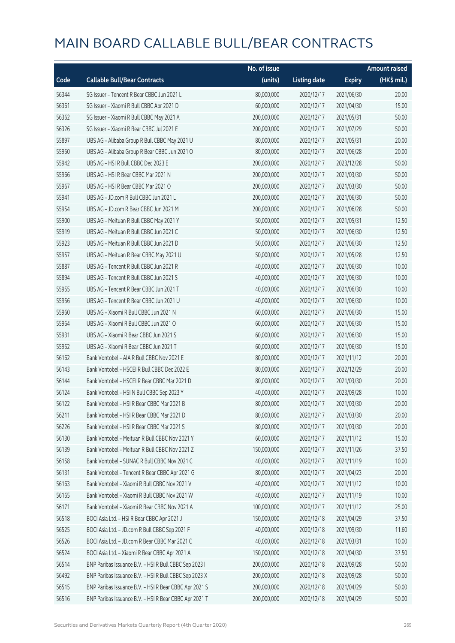|       |                                                        | No. of issue |                     |               | <b>Amount raised</b> |
|-------|--------------------------------------------------------|--------------|---------------------|---------------|----------------------|
| Code  | <b>Callable Bull/Bear Contracts</b>                    | (units)      | <b>Listing date</b> | <b>Expiry</b> | (HK\$ mil.)          |
| 56344 | SG Issuer - Tencent R Bear CBBC Jun 2021 L             | 80,000,000   | 2020/12/17          | 2021/06/30    | 20.00                |
| 56361 | SG Issuer - Xiaomi R Bull CBBC Apr 2021 D              | 60,000,000   | 2020/12/17          | 2021/04/30    | 15.00                |
| 56362 | SG Issuer - Xiaomi R Bull CBBC May 2021 A              | 200,000,000  | 2020/12/17          | 2021/05/31    | 50.00                |
| 56326 | SG Issuer - Xiaomi R Bear CBBC Jul 2021 E              | 200,000,000  | 2020/12/17          | 2021/07/29    | 50.00                |
| 55897 | UBS AG - Alibaba Group R Bull CBBC May 2021 U          | 80,000,000   | 2020/12/17          | 2021/05/31    | 20.00                |
| 55950 | UBS AG - Alibaba Group R Bear CBBC Jun 2021 O          | 80,000,000   | 2020/12/17          | 2021/06/28    | 20.00                |
| 55942 | UBS AG - HSI R Bull CBBC Dec 2023 E                    | 200,000,000  | 2020/12/17          | 2023/12/28    | 50.00                |
| 55966 | UBS AG - HSI R Bear CBBC Mar 2021 N                    | 200,000,000  | 2020/12/17          | 2021/03/30    | 50.00                |
| 55967 | UBS AG - HSI R Bear CBBC Mar 2021 O                    | 200,000,000  | 2020/12/17          | 2021/03/30    | 50.00                |
| 55941 | UBS AG - JD.com R Bull CBBC Jun 2021 L                 | 200,000,000  | 2020/12/17          | 2021/06/30    | 50.00                |
| 55954 | UBS AG - JD.com R Bear CBBC Jun 2021 M                 | 200,000,000  | 2020/12/17          | 2021/06/28    | 50.00                |
| 55900 | UBS AG - Meituan R Bull CBBC May 2021 Y                | 50,000,000   | 2020/12/17          | 2021/05/31    | 12.50                |
| 55919 | UBS AG - Meituan R Bull CBBC Jun 2021 C                | 50,000,000   | 2020/12/17          | 2021/06/30    | 12.50                |
| 55923 | UBS AG - Meituan R Bull CBBC Jun 2021 D                | 50,000,000   | 2020/12/17          | 2021/06/30    | 12.50                |
| 55957 | UBS AG - Meituan R Bear CBBC May 2021 U                | 50,000,000   | 2020/12/17          | 2021/05/28    | 12.50                |
| 55887 | UBS AG - Tencent R Bull CBBC Jun 2021 R                | 40,000,000   | 2020/12/17          | 2021/06/30    | 10.00                |
| 55894 | UBS AG - Tencent R Bull CBBC Jun 2021 S                | 40,000,000   | 2020/12/17          | 2021/06/30    | 10.00                |
| 55955 | UBS AG - Tencent R Bear CBBC Jun 2021 T                | 40,000,000   | 2020/12/17          | 2021/06/30    | 10.00                |
| 55956 | UBS AG - Tencent R Bear CBBC Jun 2021 U                | 40,000,000   | 2020/12/17          | 2021/06/30    | 10.00                |
| 55960 | UBS AG - Xiaomi R Bull CBBC Jun 2021 N                 | 60,000,000   | 2020/12/17          | 2021/06/30    | 15.00                |
| 55964 | UBS AG - Xiaomi R Bull CBBC Jun 2021 O                 | 60,000,000   | 2020/12/17          | 2021/06/30    | 15.00                |
| 55931 | UBS AG - Xiaomi R Bear CBBC Jun 2021 S                 | 60,000,000   | 2020/12/17          | 2021/06/30    | 15.00                |
| 55952 | UBS AG - Xiaomi R Bear CBBC Jun 2021 T                 | 60,000,000   | 2020/12/17          | 2021/06/30    | 15.00                |
| 56162 | Bank Vontobel - AIA R Bull CBBC Nov 2021 E             | 80,000,000   | 2020/12/17          | 2021/11/12    | 20.00                |
| 56143 | Bank Vontobel - HSCEI R Bull CBBC Dec 2022 E           | 80,000,000   | 2020/12/17          | 2022/12/29    | 20.00                |
| 56144 | Bank Vontobel - HSCEI R Bear CBBC Mar 2021 D           | 80,000,000   | 2020/12/17          | 2021/03/30    | 20.00                |
| 56124 | Bank Vontobel - HSI N Bull CBBC Sep 2023 Y             | 40,000,000   | 2020/12/17          | 2023/09/28    | 10.00                |
| 56122 | Bank Vontobel - HSI R Bear CBBC Mar 2021 B             | 80,000,000   | 2020/12/17          | 2021/03/30    | 20.00                |
| 56211 | Bank Vontobel - HSI R Bear CBBC Mar 2021 D             | 80,000,000   | 2020/12/17          | 2021/03/30    | 20.00                |
| 56226 | Bank Vontobel - HSI R Bear CBBC Mar 2021 S             | 80,000,000   | 2020/12/17          | 2021/03/30    | 20.00                |
| 56130 | Bank Vontobel - Meituan R Bull CBBC Nov 2021 Y         | 60,000,000   | 2020/12/17          | 2021/11/12    | 15.00                |
| 56139 | Bank Vontobel - Meituan R Bull CBBC Nov 2021 Z         | 150,000,000  | 2020/12/17          | 2021/11/26    | 37.50                |
| 56158 | Bank Vontobel - SUNAC R Bull CBBC Nov 2021 C           | 40,000,000   | 2020/12/17          | 2021/11/19    | 10.00                |
| 56131 | Bank Vontobel - Tencent R Bear CBBC Apr 2021 G         | 80,000,000   | 2020/12/17          | 2021/04/23    | 20.00                |
| 56163 | Bank Vontobel - Xiaomi R Bull CBBC Nov 2021 V          | 40,000,000   | 2020/12/17          | 2021/11/12    | 10.00                |
| 56165 | Bank Vontobel - Xiaomi R Bull CBBC Nov 2021 W          | 40,000,000   | 2020/12/17          | 2021/11/19    | 10.00                |
| 56171 | Bank Vontobel - Xiaomi R Bear CBBC Nov 2021 A          | 100,000,000  | 2020/12/17          | 2021/11/12    | 25.00                |
| 56518 | BOCI Asia Ltd. - HSI R Bear CBBC Apr 2021 J            | 150,000,000  | 2020/12/18          | 2021/04/29    | 37.50                |
| 56525 | BOCI Asia Ltd. - JD.com R Bull CBBC Sep 2021 F         | 40,000,000   | 2020/12/18          | 2021/09/30    | 11.60                |
| 56526 | BOCI Asia Ltd. - JD.com R Bear CBBC Mar 2021 C         | 40,000,000   | 2020/12/18          | 2021/03/31    | 10.00                |
| 56524 | BOCI Asia Ltd. - Xiaomi R Bear CBBC Apr 2021 A         | 150,000,000  | 2020/12/18          | 2021/04/30    | 37.50                |
| 56514 | BNP Paribas Issuance B.V. - HSI R Bull CBBC Sep 2023 I | 200,000,000  | 2020/12/18          | 2023/09/28    | 50.00                |
| 56492 | BNP Paribas Issuance B.V. - HSI R Bull CBBC Sep 2023 X | 200,000,000  | 2020/12/18          | 2023/09/28    | 50.00                |
| 56515 | BNP Paribas Issuance B.V. - HSI R Bear CBBC Apr 2021 S | 200,000,000  | 2020/12/18          | 2021/04/29    | 50.00                |
| 56516 | BNP Paribas Issuance B.V. - HSI R Bear CBBC Apr 2021 T | 200,000,000  | 2020/12/18          | 2021/04/29    | 50.00                |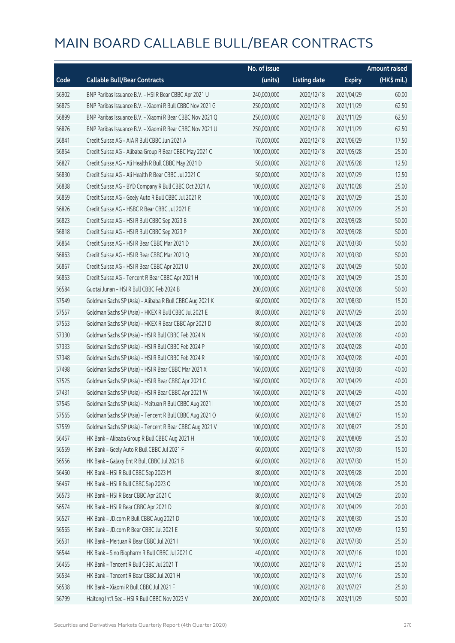|       |                                                           | No. of issue |                     |               | <b>Amount raised</b> |
|-------|-----------------------------------------------------------|--------------|---------------------|---------------|----------------------|
| Code  | <b>Callable Bull/Bear Contracts</b>                       | (units)      | <b>Listing date</b> | <b>Expiry</b> | $(HK$$ mil.)         |
| 56902 | BNP Paribas Issuance B.V. - HSI R Bear CBBC Apr 2021 U    | 240,000,000  | 2020/12/18          | 2021/04/29    | 60.00                |
| 56875 | BNP Paribas Issuance B.V. - Xiaomi R Bull CBBC Nov 2021 G | 250,000,000  | 2020/12/18          | 2021/11/29    | 62.50                |
| 56899 | BNP Paribas Issuance B.V. - Xiaomi R Bear CBBC Nov 2021 Q | 250,000,000  | 2020/12/18          | 2021/11/29    | 62.50                |
| 56876 | BNP Paribas Issuance B.V. - Xiaomi R Bear CBBC Nov 2021 U | 250,000,000  | 2020/12/18          | 2021/11/29    | 62.50                |
| 56841 | Credit Suisse AG - AIA R Bull CBBC Jun 2021 A             | 70,000,000   | 2020/12/18          | 2021/06/29    | 17.50                |
| 56854 | Credit Suisse AG - Alibaba Group R Bear CBBC May 2021 C   | 100,000,000  | 2020/12/18          | 2021/05/28    | 25.00                |
| 56827 | Credit Suisse AG - Ali Health R Bull CBBC May 2021 D      | 50,000,000   | 2020/12/18          | 2021/05/28    | 12.50                |
| 56830 | Credit Suisse AG - Ali Health R Bear CBBC Jul 2021 C      | 50,000,000   | 2020/12/18          | 2021/07/29    | 12.50                |
| 56838 | Credit Suisse AG - BYD Company R Bull CBBC Oct 2021 A     | 100,000,000  | 2020/12/18          | 2021/10/28    | 25.00                |
| 56859 | Credit Suisse AG - Geely Auto R Bull CBBC Jul 2021 R      | 100,000,000  | 2020/12/18          | 2021/07/29    | 25.00                |
| 56826 | Credit Suisse AG - HSBC R Bear CBBC Jul 2021 E            | 100,000,000  | 2020/12/18          | 2021/07/29    | 25.00                |
| 56823 | Credit Suisse AG - HSI R Bull CBBC Sep 2023 B             | 200,000,000  | 2020/12/18          | 2023/09/28    | 50.00                |
| 56818 | Credit Suisse AG - HSI R Bull CBBC Sep 2023 P             | 200,000,000  | 2020/12/18          | 2023/09/28    | 50.00                |
| 56864 | Credit Suisse AG - HSI R Bear CBBC Mar 2021 D             | 200,000,000  | 2020/12/18          | 2021/03/30    | 50.00                |
| 56863 | Credit Suisse AG - HSI R Bear CBBC Mar 2021 Q             | 200,000,000  | 2020/12/18          | 2021/03/30    | 50.00                |
| 56867 | Credit Suisse AG - HSI R Bear CBBC Apr 2021 U             | 200,000,000  | 2020/12/18          | 2021/04/29    | 50.00                |
| 56853 | Credit Suisse AG - Tencent R Bear CBBC Apr 2021 H         | 100,000,000  | 2020/12/18          | 2021/04/29    | 25.00                |
| 56584 | Guotai Junan - HSI R Bull CBBC Feb 2024 B                 | 200,000,000  | 2020/12/18          | 2024/02/28    | 50.00                |
| 57549 | Goldman Sachs SP (Asia) - Alibaba R Bull CBBC Aug 2021 K  | 60,000,000   | 2020/12/18          | 2021/08/30    | 15.00                |
| 57557 | Goldman Sachs SP (Asia) - HKEX R Bull CBBC Jul 2021 E     | 80,000,000   | 2020/12/18          | 2021/07/29    | 20.00                |
| 57553 | Goldman Sachs SP (Asia) - HKEX R Bear CBBC Apr 2021 D     | 80,000,000   | 2020/12/18          | 2021/04/28    | 20.00                |
| 57330 | Goldman Sachs SP (Asia) - HSI R Bull CBBC Feb 2024 N      | 160,000,000  | 2020/12/18          | 2024/02/28    | 40.00                |
| 57333 | Goldman Sachs SP (Asia) - HSI R Bull CBBC Feb 2024 P      | 160,000,000  | 2020/12/18          | 2024/02/28    | 40.00                |
| 57348 | Goldman Sachs SP (Asia) - HSI R Bull CBBC Feb 2024 R      | 160,000,000  | 2020/12/18          | 2024/02/28    | 40.00                |
| 57498 | Goldman Sachs SP (Asia) - HSI R Bear CBBC Mar 2021 X      | 160,000,000  | 2020/12/18          | 2021/03/30    | 40.00                |
| 57525 | Goldman Sachs SP (Asia) - HSI R Bear CBBC Apr 2021 C      | 160,000,000  | 2020/12/18          | 2021/04/29    | 40.00                |
| 57431 | Goldman Sachs SP (Asia) - HSI R Bear CBBC Apr 2021 W      | 160,000,000  | 2020/12/18          | 2021/04/29    | 40.00                |
| 57545 | Goldman Sachs SP (Asia) - Meituan R Bull CBBC Aug 2021 I  | 100,000,000  | 2020/12/18          | 2021/08/27    | 25.00                |
| 57565 | Goldman Sachs SP (Asia) - Tencent R Bull CBBC Aug 2021 O  | 60,000,000   | 2020/12/18          | 2021/08/27    | 15.00                |
| 57559 | Goldman Sachs SP (Asia) - Tencent R Bear CBBC Aug 2021 V  | 100,000,000  | 2020/12/18          | 2021/08/27    | 25.00                |
| 56457 | HK Bank - Alibaba Group R Bull CBBC Aug 2021 H            | 100,000,000  | 2020/12/18          | 2021/08/09    | 25.00                |
| 56559 | HK Bank - Geely Auto R Bull CBBC Jul 2021 F               | 60,000,000   | 2020/12/18          | 2021/07/30    | 15.00                |
| 56556 | HK Bank - Galaxy Ent R Bull CBBC Jul 2021 B               | 60,000,000   | 2020/12/18          | 2021/07/30    | 15.00                |
| 56460 | HK Bank - HSI R Bull CBBC Sep 2023 M                      | 80,000,000   | 2020/12/18          | 2023/09/28    | 20.00                |
| 56467 | HK Bank - HSI R Bull CBBC Sep 2023 O                      | 100,000,000  | 2020/12/18          | 2023/09/28    | 25.00                |
| 56573 | HK Bank - HSI R Bear CBBC Apr 2021 C                      | 80,000,000   | 2020/12/18          | 2021/04/29    | 20.00                |
| 56574 | HK Bank - HSI R Bear CBBC Apr 2021 D                      | 80,000,000   | 2020/12/18          | 2021/04/29    | 20.00                |
| 56527 | HK Bank - JD.com R Bull CBBC Aug 2021 D                   | 100,000,000  | 2020/12/18          | 2021/08/30    | 25.00                |
| 56565 | HK Bank - JD.com R Bear CBBC Jul 2021 E                   | 50,000,000   | 2020/12/18          | 2021/07/09    | 12.50                |
| 56531 | HK Bank - Meituan R Bear CBBC Jul 2021 I                  | 100,000,000  | 2020/12/18          | 2021/07/30    | 25.00                |
| 56544 | HK Bank - Sino Biopharm R Bull CBBC Jul 2021 C            | 40,000,000   | 2020/12/18          | 2021/07/16    | 10.00                |
| 56455 | HK Bank - Tencent R Bull CBBC Jul 2021 T                  | 100,000,000  | 2020/12/18          | 2021/07/12    | 25.00                |
| 56534 | HK Bank - Tencent R Bear CBBC Jul 2021 H                  | 100,000,000  | 2020/12/18          | 2021/07/16    | 25.00                |
| 56538 | HK Bank - Xiaomi R Bull CBBC Jul 2021 F                   | 100,000,000  | 2020/12/18          | 2021/07/27    | 25.00                |
| 56799 | Haitong Int'l Sec - HSI R Bull CBBC Nov 2023 V            | 200,000,000  | 2020/12/18          | 2023/11/29    | 50.00                |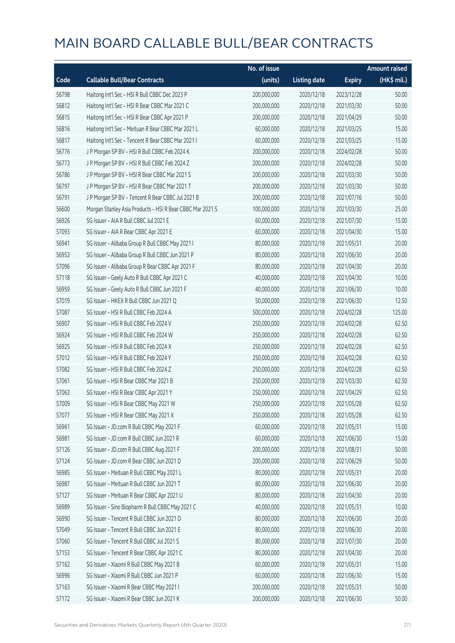|       |                                                           | No. of issue |                     |               | <b>Amount raised</b> |
|-------|-----------------------------------------------------------|--------------|---------------------|---------------|----------------------|
| Code  | <b>Callable Bull/Bear Contracts</b>                       | (units)      | <b>Listing date</b> | <b>Expiry</b> | (HK\$ mil.)          |
| 56798 | Haitong Int'l Sec - HSI R Bull CBBC Dec 2023 P            | 200,000,000  | 2020/12/18          | 2023/12/28    | 50.00                |
| 56812 | Haitong Int'l Sec - HSI R Bear CBBC Mar 2021 C            | 200,000,000  | 2020/12/18          | 2021/03/30    | 50.00                |
| 56815 | Haitong Int'l Sec - HSI R Bear CBBC Apr 2021 P            | 200,000,000  | 2020/12/18          | 2021/04/29    | 50.00                |
| 56816 | Haitong Int'l Sec - Meituan R Bear CBBC Mar 2021 L        | 60,000,000   | 2020/12/18          | 2021/03/25    | 15.00                |
| 56817 | Haitong Int'l Sec - Tencent R Bear CBBC Mar 2021 I        | 60,000,000   | 2020/12/18          | 2021/03/25    | 15.00                |
| 56776 | J P Morgan SP BV - HSI R Bull CBBC Feb 2024 K             | 200,000,000  | 2020/12/18          | 2024/02/28    | 50.00                |
| 56773 | J P Morgan SP BV - HSI R Bull CBBC Feb 2024 Z             | 200,000,000  | 2020/12/18          | 2024/02/28    | 50.00                |
| 56786 | J P Morgan SP BV - HSI R Bear CBBC Mar 2021 S             | 200,000,000  | 2020/12/18          | 2021/03/30    | 50.00                |
| 56797 | J P Morgan SP BV - HSI R Bear CBBC Mar 2021 T             | 200,000,000  | 2020/12/18          | 2021/03/30    | 50.00                |
| 56791 | J P Morgan SP BV - Tencent R Bear CBBC Jul 2021 B         | 200,000,000  | 2020/12/18          | 2021/07/16    | 50.00                |
| 56600 | Morgan Stanley Asia Products - HSI R Bear CBBC Mar 2021 S | 100,000,000  | 2020/12/18          | 2021/03/30    | 25.00                |
| 56926 | SG Issuer - AIA R Bull CBBC Jul 2021 E                    | 60,000,000   | 2020/12/18          | 2021/07/30    | 15.00                |
| 57093 | SG Issuer - AIA R Bear CBBC Apr 2021 E                    | 60,000,000   | 2020/12/18          | 2021/04/30    | 15.00                |
| 56941 | SG Issuer - Alibaba Group R Bull CBBC May 2021 I          | 80,000,000   | 2020/12/18          | 2021/05/31    | 20.00                |
| 56953 | SG Issuer - Alibaba Group R Bull CBBC Jun 2021 P          | 80,000,000   | 2020/12/18          | 2021/06/30    | 20.00                |
| 57096 | SG Issuer - Alibaba Group R Bear CBBC Apr 2021 F          | 80,000,000   | 2020/12/18          | 2021/04/30    | 20.00                |
| 57118 | SG Issuer - Geely Auto R Bull CBBC Apr 2021 C             | 40,000,000   | 2020/12/18          | 2021/04/30    | 10.00                |
| 56959 | SG Issuer - Geely Auto R Bull CBBC Jun 2021 F             | 40,000,000   | 2020/12/18          | 2021/06/30    | 10.00                |
| 57019 | SG Issuer - HKEX R Bull CBBC Jun 2021 Q                   | 50,000,000   | 2020/12/18          | 2021/06/30    | 12.50                |
| 57087 | SG Issuer - HSI R Bull CBBC Feb 2024 A                    | 500,000,000  | 2020/12/18          | 2024/02/28    | 125.00               |
| 56907 | SG Issuer - HSI R Bull CBBC Feb 2024 V                    | 250,000,000  | 2020/12/18          | 2024/02/28    | 62.50                |
| 56924 | SG Issuer - HSI R Bull CBBC Feb 2024 W                    | 250,000,000  | 2020/12/18          | 2024/02/28    | 62.50                |
| 56925 | SG Issuer - HSI R Bull CBBC Feb 2024 X                    | 250,000,000  | 2020/12/18          | 2024/02/28    | 62.50                |
| 57012 | SG Issuer - HSI R Bull CBBC Feb 2024 Y                    | 250,000,000  | 2020/12/18          | 2024/02/28    | 62.50                |
| 57082 | SG Issuer - HSI R Bull CBBC Feb 2024 Z                    | 250,000,000  | 2020/12/18          | 2024/02/28    | 62.50                |
| 57061 | SG Issuer - HSI R Bear CBBC Mar 2021 B                    | 250,000,000  | 2020/12/18          | 2021/03/30    | 62.50                |
| 57063 | SG Issuer - HSI R Bear CBBC Apr 2021 Y                    | 250,000,000  | 2020/12/18          | 2021/04/29    | 62.50                |
| 57009 | SG Issuer - HSI R Bear CBBC May 2021 W                    | 250,000,000  | 2020/12/18          | 2021/05/28    | 62.50                |
| 57077 | SG Issuer - HSI R Bear CBBC May 2021 X                    | 250,000,000  | 2020/12/18          | 2021/05/28    | 62.50                |
| 56961 | SG Issuer - JD.com R Bull CBBC May 2021 F                 | 60,000,000   | 2020/12/18          | 2021/05/31    | 15.00                |
| 56981 | SG Issuer - JD.com R Bull CBBC Jun 2021 R                 | 60,000,000   | 2020/12/18          | 2021/06/30    | 15.00                |
| 57126 | SG Issuer - JD.com R Bull CBBC Aug 2021 F                 | 200,000,000  | 2020/12/18          | 2021/08/31    | 50.00                |
| 57124 | SG Issuer - JD.com R Bear CBBC Jun 2021 D                 | 200,000,000  | 2020/12/18          | 2021/06/29    | 50.00                |
| 56985 | SG Issuer - Meituan R Bull CBBC May 2021 L                | 80,000,000   | 2020/12/18          | 2021/05/31    | 20.00                |
| 56987 | SG Issuer - Meituan R Bull CBBC Jun 2021 T                | 80,000,000   | 2020/12/18          | 2021/06/30    | 20.00                |
| 57127 | SG Issuer - Meituan R Bear CBBC Apr 2021 U                | 80,000,000   | 2020/12/18          | 2021/04/30    | 20.00                |
| 56989 | SG Issuer - Sino Biopharm R Bull CBBC May 2021 C          | 40,000,000   | 2020/12/18          | 2021/05/31    | 10.00                |
| 56990 | SG Issuer - Tencent R Bull CBBC Jun 2021 D                | 80,000,000   | 2020/12/18          | 2021/06/30    | 20.00                |
| 57049 | SG Issuer - Tencent R Bull CBBC Jun 2021 E                | 80,000,000   | 2020/12/18          | 2021/06/30    | 20.00                |
| 57060 | SG Issuer - Tencent R Bull CBBC Jul 2021 S                | 80,000,000   | 2020/12/18          | 2021/07/30    | 20.00                |
| 57153 | SG Issuer - Tencent R Bear CBBC Apr 2021 C                | 80,000,000   | 2020/12/18          | 2021/04/30    | 20.00                |
| 57162 | SG Issuer - Xiaomi R Bull CBBC May 2021 B                 | 60,000,000   | 2020/12/18          | 2021/05/31    | 15.00                |
| 56996 | SG Issuer - Xiaomi R Bull CBBC Jun 2021 P                 | 60,000,000   | 2020/12/18          | 2021/06/30    | 15.00                |
| 57163 | SG Issuer - Xiaomi R Bear CBBC May 2021 I                 | 200,000,000  | 2020/12/18          | 2021/05/31    | 50.00                |
| 57172 | SG Issuer - Xiaomi R Bear CBBC Jun 2021 K                 | 200,000,000  | 2020/12/18          | 2021/06/30    | 50.00                |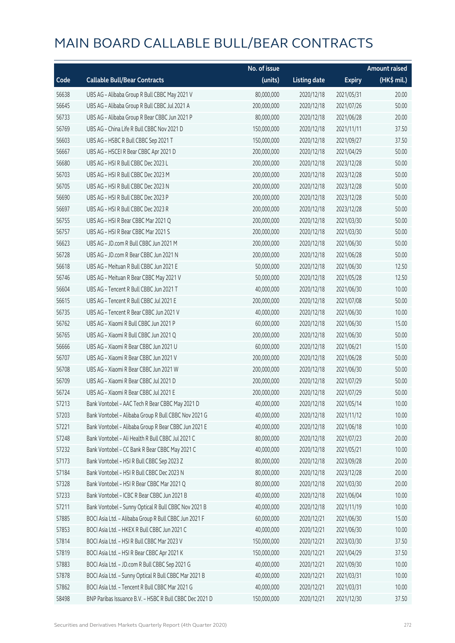|       |                                                         | No. of issue |                     |               | <b>Amount raised</b> |
|-------|---------------------------------------------------------|--------------|---------------------|---------------|----------------------|
| Code  | <b>Callable Bull/Bear Contracts</b>                     | (units)      | <b>Listing date</b> | <b>Expiry</b> | (HK\$ mil.)          |
| 56638 | UBS AG - Alibaba Group R Bull CBBC May 2021 V           | 80,000,000   | 2020/12/18          | 2021/05/31    | 20.00                |
| 56645 | UBS AG - Alibaba Group R Bull CBBC Jul 2021 A           | 200,000,000  | 2020/12/18          | 2021/07/26    | 50.00                |
| 56733 | UBS AG - Alibaba Group R Bear CBBC Jun 2021 P           | 80,000,000   | 2020/12/18          | 2021/06/28    | 20.00                |
| 56769 | UBS AG - China Life R Bull CBBC Nov 2021 D              | 150,000,000  | 2020/12/18          | 2021/11/11    | 37.50                |
| 56603 | UBS AG - HSBC R Bull CBBC Sep 2021 T                    | 150,000,000  | 2020/12/18          | 2021/09/27    | 37.50                |
| 56667 | UBS AG - HSCEI R Bear CBBC Apr 2021 D                   | 200,000,000  | 2020/12/18          | 2021/04/29    | 50.00                |
| 56680 | UBS AG - HSI R Bull CBBC Dec 2023 L                     | 200,000,000  | 2020/12/18          | 2023/12/28    | 50.00                |
| 56703 | UBS AG - HSI R Bull CBBC Dec 2023 M                     | 200,000,000  | 2020/12/18          | 2023/12/28    | 50.00                |
| 56705 | UBS AG - HSI R Bull CBBC Dec 2023 N                     | 200,000,000  | 2020/12/18          | 2023/12/28    | 50.00                |
| 56690 | UBS AG - HSI R Bull CBBC Dec 2023 P                     | 200,000,000  | 2020/12/18          | 2023/12/28    | 50.00                |
| 56697 | UBS AG - HSI R Bull CBBC Dec 2023 R                     | 200,000,000  | 2020/12/18          | 2023/12/28    | 50.00                |
| 56755 | UBS AG - HSI R Bear CBBC Mar 2021 Q                     | 200,000,000  | 2020/12/18          | 2021/03/30    | 50.00                |
| 56757 | UBS AG - HSI R Bear CBBC Mar 2021 S                     | 200,000,000  | 2020/12/18          | 2021/03/30    | 50.00                |
| 56623 | UBS AG - JD.com R Bull CBBC Jun 2021 M                  | 200,000,000  | 2020/12/18          | 2021/06/30    | 50.00                |
| 56728 | UBS AG - JD.com R Bear CBBC Jun 2021 N                  | 200,000,000  | 2020/12/18          | 2021/06/28    | 50.00                |
| 56618 | UBS AG - Meituan R Bull CBBC Jun 2021 E                 | 50,000,000   | 2020/12/18          | 2021/06/30    | 12.50                |
| 56746 | UBS AG - Meituan R Bear CBBC May 2021 V                 | 50,000,000   | 2020/12/18          | 2021/05/28    | 12.50                |
| 56604 | UBS AG - Tencent R Bull CBBC Jun 2021 T                 | 40,000,000   | 2020/12/18          | 2021/06/30    | 10.00                |
| 56615 | UBS AG - Tencent R Bull CBBC Jul 2021 E                 | 200,000,000  | 2020/12/18          | 2021/07/08    | 50.00                |
| 56735 | UBS AG - Tencent R Bear CBBC Jun 2021 V                 | 40,000,000   | 2020/12/18          | 2021/06/30    | 10.00                |
| 56762 | UBS AG - Xiaomi R Bull CBBC Jun 2021 P                  | 60,000,000   | 2020/12/18          | 2021/06/30    | 15.00                |
| 56765 | UBS AG - Xiaomi R Bull CBBC Jun 2021 Q                  | 200,000,000  | 2020/12/18          | 2021/06/30    | 50.00                |
| 56666 | UBS AG - Xiaomi R Bear CBBC Jun 2021 U                  | 60,000,000   | 2020/12/18          | 2021/06/21    | 15.00                |
| 56707 | UBS AG - Xiaomi R Bear CBBC Jun 2021 V                  | 200,000,000  | 2020/12/18          | 2021/06/28    | 50.00                |
| 56708 | UBS AG - Xiaomi R Bear CBBC Jun 2021 W                  | 200,000,000  | 2020/12/18          | 2021/06/30    | 50.00                |
| 56709 | UBS AG - Xiaomi R Bear CBBC Jul 2021 D                  | 200,000,000  | 2020/12/18          | 2021/07/29    | 50.00                |
| 56724 | UBS AG - Xiaomi R Bear CBBC Jul 2021 E                  | 200,000,000  | 2020/12/18          | 2021/07/29    | 50.00                |
| 57213 | Bank Vontobel - AAC Tech R Bear CBBC May 2021 D         | 40,000,000   | 2020/12/18          | 2021/05/14    | 10.00                |
| 57203 | Bank Vontobel - Alibaba Group R Bull CBBC Nov 2021 G    | 40,000,000   | 2020/12/18          | 2021/11/12    | 10.00                |
| 57221 | Bank Vontobel - Alibaba Group R Bear CBBC Jun 2021 E    | 40,000,000   | 2020/12/18          | 2021/06/18    | 10.00                |
| 57248 | Bank Vontobel - Ali Health R Bull CBBC Jul 2021 C       | 80,000,000   | 2020/12/18          | 2021/07/23    | 20.00                |
| 57232 | Bank Vontobel - CC Bank R Bear CBBC May 2021 C          | 40,000,000   | 2020/12/18          | 2021/05/21    | 10.00                |
| 57173 | Bank Vontobel - HSI R Bull CBBC Sep 2023 Z              | 80,000,000   | 2020/12/18          | 2023/09/28    | 20.00                |
| 57184 | Bank Vontobel - HSI R Bull CBBC Dec 2023 N              | 80,000,000   | 2020/12/18          | 2023/12/28    | 20.00                |
| 57328 | Bank Vontobel - HSI R Bear CBBC Mar 2021 Q              | 80,000,000   | 2020/12/18          | 2021/03/30    | 20.00                |
| 57233 | Bank Vontobel - ICBC R Bear CBBC Jun 2021 B             | 40,000,000   | 2020/12/18          | 2021/06/04    | 10.00                |
| 57211 | Bank Vontobel - Sunny Optical R Bull CBBC Nov 2021 B    | 40,000,000   | 2020/12/18          | 2021/11/19    | 10.00                |
| 57885 | BOCI Asia Ltd. - Alibaba Group R Bull CBBC Jun 2021 F   | 60,000,000   | 2020/12/21          | 2021/06/30    | 15.00                |
| 57853 | BOCI Asia Ltd. - HKEX R Bull CBBC Jun 2021 C            | 40,000,000   | 2020/12/21          | 2021/06/30    | 10.00                |
| 57814 | BOCI Asia Ltd. - HSI R Bull CBBC Mar 2023 V             | 150,000,000  | 2020/12/21          | 2023/03/30    | 37.50                |
| 57819 | BOCI Asia Ltd. - HSI R Bear CBBC Apr 2021 K             | 150,000,000  | 2020/12/21          | 2021/04/29    | 37.50                |
| 57883 | BOCI Asia Ltd. - JD.com R Bull CBBC Sep 2021 G          | 40,000,000   | 2020/12/21          | 2021/09/30    | 10.00                |
| 57878 | BOCI Asia Ltd. - Sunny Optical R Bull CBBC Mar 2021 B   | 40,000,000   | 2020/12/21          | 2021/03/31    | 10.00                |
| 57862 | BOCI Asia Ltd. - Tencent R Bull CBBC Mar 2021 G         | 40,000,000   | 2020/12/21          | 2021/03/31    | 10.00                |
| 58498 | BNP Paribas Issuance B.V. - HSBC R Bull CBBC Dec 2021 D | 150,000,000  | 2020/12/21          | 2021/12/30    | 37.50                |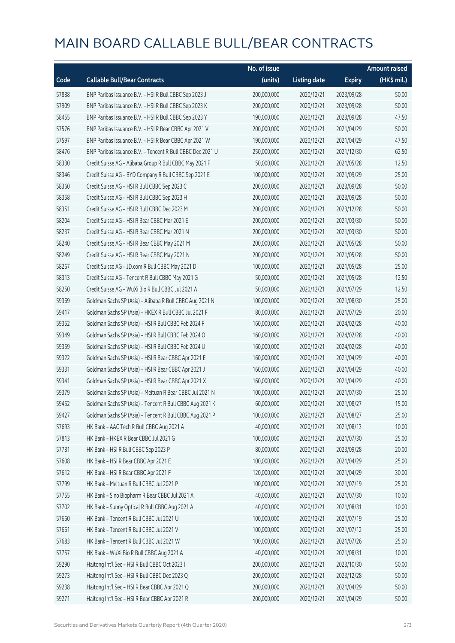|       |                                                            | No. of issue |                     |               | <b>Amount raised</b> |
|-------|------------------------------------------------------------|--------------|---------------------|---------------|----------------------|
| Code  | <b>Callable Bull/Bear Contracts</b>                        | (units)      | <b>Listing date</b> | <b>Expiry</b> | (HK\$ mil.)          |
| 57888 | BNP Paribas Issuance B.V. - HSI R Bull CBBC Sep 2023 J     | 200,000,000  | 2020/12/21          | 2023/09/28    | 50.00                |
| 57909 | BNP Paribas Issuance B.V. - HSI R Bull CBBC Sep 2023 K     | 200,000,000  | 2020/12/21          | 2023/09/28    | 50.00                |
| 58455 | BNP Paribas Issuance B.V. - HSI R Bull CBBC Sep 2023 Y     | 190,000,000  | 2020/12/21          | 2023/09/28    | 47.50                |
| 57576 | BNP Paribas Issuance B.V. - HSI R Bear CBBC Apr 2021 V     | 200,000,000  | 2020/12/21          | 2021/04/29    | 50.00                |
| 57597 | BNP Paribas Issuance B.V. - HSI R Bear CBBC Apr 2021 W     | 190,000,000  | 2020/12/21          | 2021/04/29    | 47.50                |
| 58476 | BNP Paribas Issuance B.V. - Tencent R Bull CBBC Dec 2021 U | 250,000,000  | 2020/12/21          | 2021/12/30    | 62.50                |
| 58330 | Credit Suisse AG - Alibaba Group R Bull CBBC May 2021 F    | 50,000,000   | 2020/12/21          | 2021/05/28    | 12.50                |
| 58346 | Credit Suisse AG - BYD Company R Bull CBBC Sep 2021 E      | 100,000,000  | 2020/12/21          | 2021/09/29    | 25.00                |
| 58360 | Credit Suisse AG - HSI R Bull CBBC Sep 2023 C              | 200,000,000  | 2020/12/21          | 2023/09/28    | 50.00                |
| 58358 | Credit Suisse AG - HSI R Bull CBBC Sep 2023 H              | 200,000,000  | 2020/12/21          | 2023/09/28    | 50.00                |
| 58351 | Credit Suisse AG - HSI R Bull CBBC Dec 2023 M              | 200,000,000  | 2020/12/21          | 2023/12/28    | 50.00                |
| 58204 | Credit Suisse AG - HSI R Bear CBBC Mar 2021 E              | 200,000,000  | 2020/12/21          | 2021/03/30    | 50.00                |
| 58237 | Credit Suisse AG - HSI R Bear CBBC Mar 2021 N              | 200,000,000  | 2020/12/21          | 2021/03/30    | 50.00                |
| 58240 | Credit Suisse AG - HSI R Bear CBBC May 2021 M              | 200,000,000  | 2020/12/21          | 2021/05/28    | 50.00                |
| 58249 | Credit Suisse AG - HSI R Bear CBBC May 2021 N              | 200,000,000  | 2020/12/21          | 2021/05/28    | 50.00                |
| 58267 | Credit Suisse AG - JD.com R Bull CBBC May 2021 D           | 100,000,000  | 2020/12/21          | 2021/05/28    | 25.00                |
| 58313 | Credit Suisse AG - Tencent R Bull CBBC May 2021 G          | 50,000,000   | 2020/12/21          | 2021/05/28    | 12.50                |
| 58250 | Credit Suisse AG - WuXi Bio R Bull CBBC Jul 2021 A         | 50,000,000   | 2020/12/21          | 2021/07/29    | 12.50                |
| 59369 | Goldman Sachs SP (Asia) - Alibaba R Bull CBBC Aug 2021 N   | 100,000,000  | 2020/12/21          | 2021/08/30    | 25.00                |
| 59417 | Goldman Sachs SP (Asia) - HKEX R Bull CBBC Jul 2021 F      | 80,000,000   | 2020/12/21          | 2021/07/29    | 20.00                |
| 59352 | Goldman Sachs SP (Asia) - HSI R Bull CBBC Feb 2024 F       | 160,000,000  | 2020/12/21          | 2024/02/28    | 40.00                |
| 59349 | Goldman Sachs SP (Asia) - HSI R Bull CBBC Feb 2024 O       | 160,000,000  | 2020/12/21          | 2024/02/28    | 40.00                |
| 59359 | Goldman Sachs SP (Asia) - HSI R Bull CBBC Feb 2024 U       | 160,000,000  | 2020/12/21          | 2024/02/28    | 40.00                |
| 59322 | Goldman Sachs SP (Asia) - HSI R Bear CBBC Apr 2021 E       | 160,000,000  | 2020/12/21          | 2021/04/29    | 40.00                |
| 59331 | Goldman Sachs SP (Asia) - HSI R Bear CBBC Apr 2021 J       | 160,000,000  | 2020/12/21          | 2021/04/29    | 40.00                |
| 59341 | Goldman Sachs SP (Asia) - HSI R Bear CBBC Apr 2021 X       | 160,000,000  | 2020/12/21          | 2021/04/29    | 40.00                |
| 59379 | Goldman Sachs SP (Asia) - Meituan R Bear CBBC Jul 2021 N   | 100,000,000  | 2020/12/21          | 2021/07/30    | 25.00                |
| 59452 | Goldman Sachs SP (Asia) - Tencent R Bull CBBC Aug 2021 K   | 60,000,000   | 2020/12/21          | 2021/08/27    | 15.00                |
| 59427 | Goldman Sachs SP (Asia) - Tencent R Bull CBBC Aug 2021 P   | 100,000,000  | 2020/12/21          | 2021/08/27    | 25.00                |
| 57693 | HK Bank - AAC Tech R Bull CBBC Aug 2021 A                  | 40,000,000   | 2020/12/21          | 2021/08/13    | 10.00                |
| 57813 | HK Bank - HKEX R Bear CBBC Jul 2021 G                      | 100,000,000  | 2020/12/21          | 2021/07/30    | 25.00                |
| 57781 | HK Bank - HSI R Bull CBBC Sep 2023 P                       | 80,000,000   | 2020/12/21          | 2023/09/28    | 20.00                |
| 57608 | HK Bank - HSI R Bear CBBC Apr 2021 E                       | 100,000,000  | 2020/12/21          | 2021/04/29    | 25.00                |
| 57612 | HK Bank - HSI R Bear CBBC Apr 2021 F                       | 120,000,000  | 2020/12/21          | 2021/04/29    | 30.00                |
| 57799 | HK Bank - Meituan R Bull CBBC Jul 2021 P                   | 100,000,000  | 2020/12/21          | 2021/07/19    | 25.00                |
| 57755 | HK Bank - Sino Biopharm R Bear CBBC Jul 2021 A             | 40,000,000   | 2020/12/21          | 2021/07/30    | 10.00                |
| 57702 | HK Bank - Sunny Optical R Bull CBBC Aug 2021 A             | 40,000,000   | 2020/12/21          | 2021/08/31    | 10.00                |
| 57660 | HK Bank - Tencent R Bull CBBC Jul 2021 U                   | 100,000,000  | 2020/12/21          | 2021/07/19    | 25.00                |
| 57661 | HK Bank - Tencent R Bull CBBC Jul 2021 V                   | 100,000,000  | 2020/12/21          | 2021/07/12    | 25.00                |
| 57683 | HK Bank - Tencent R Bull CBBC Jul 2021 W                   | 100,000,000  | 2020/12/21          | 2021/07/26    | 25.00                |
| 57757 | HK Bank - WuXi Bio R Bull CBBC Aug 2021 A                  | 40,000,000   | 2020/12/21          | 2021/08/31    | 10.00                |
| 59290 | Haitong Int'l Sec - HSI R Bull CBBC Oct 2023 I             | 200,000,000  | 2020/12/21          | 2023/10/30    | 50.00                |
| 59273 | Haitong Int'l Sec - HSI R Bull CBBC Dec 2023 Q             | 200,000,000  | 2020/12/21          | 2023/12/28    | 50.00                |
| 59238 | Haitong Int'l Sec - HSI R Bear CBBC Apr 2021 Q             | 200,000,000  | 2020/12/21          | 2021/04/29    | 50.00                |
| 59271 | Haitong Int'l Sec - HSI R Bear CBBC Apr 2021 R             | 200,000,000  | 2020/12/21          | 2021/04/29    | 50.00                |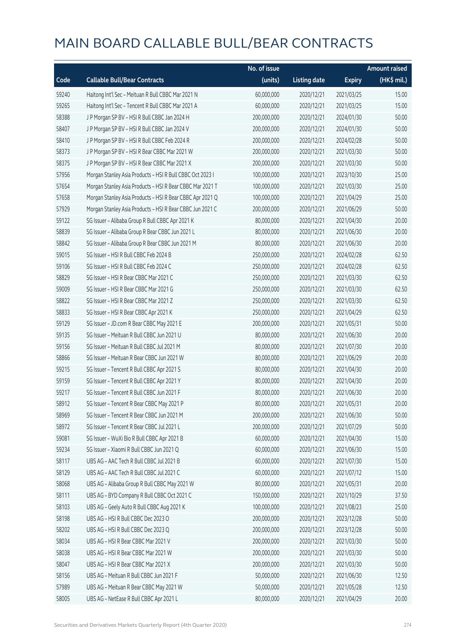|       |                                                           | No. of issue |                     |               | <b>Amount raised</b> |
|-------|-----------------------------------------------------------|--------------|---------------------|---------------|----------------------|
| Code  | <b>Callable Bull/Bear Contracts</b>                       | (units)      | <b>Listing date</b> | <b>Expiry</b> | (HK\$ mil.)          |
| 59240 | Haitong Int'l Sec - Meituan R Bull CBBC Mar 2021 N        | 60,000,000   | 2020/12/21          | 2021/03/25    | 15.00                |
| 59265 | Haitong Int'l Sec - Tencent R Bull CBBC Mar 2021 A        | 60,000,000   | 2020/12/21          | 2021/03/25    | 15.00                |
| 58388 | J P Morgan SP BV - HSI R Bull CBBC Jan 2024 H             | 200,000,000  | 2020/12/21          | 2024/01/30    | 50.00                |
| 58407 | J P Morgan SP BV - HSI R Bull CBBC Jan 2024 V             | 200,000,000  | 2020/12/21          | 2024/01/30    | 50.00                |
| 58410 | J P Morgan SP BV - HSI R Bull CBBC Feb 2024 R             | 200,000,000  | 2020/12/21          | 2024/02/28    | 50.00                |
| 58373 | J P Morgan SP BV - HSI R Bear CBBC Mar 2021 W             | 200,000,000  | 2020/12/21          | 2021/03/30    | 50.00                |
| 58375 | J P Morgan SP BV - HSI R Bear CBBC Mar 2021 X             | 200,000,000  | 2020/12/21          | 2021/03/30    | 50.00                |
| 57956 | Morgan Stanley Asia Products - HSI R Bull CBBC Oct 2023 I | 100,000,000  | 2020/12/21          | 2023/10/30    | 25.00                |
| 57654 | Morgan Stanley Asia Products - HSI R Bear CBBC Mar 2021 T | 100,000,000  | 2020/12/21          | 2021/03/30    | 25.00                |
| 57658 | Morgan Stanley Asia Products - HSI R Bear CBBC Apr 2021 Q | 100,000,000  | 2020/12/21          | 2021/04/29    | 25.00                |
| 57929 | Morgan Stanley Asia Products - HSI R Bear CBBC Jun 2021 C | 200,000,000  | 2020/12/21          | 2021/06/29    | 50.00                |
| 59122 | SG Issuer - Alibaba Group R Bull CBBC Apr 2021 K          | 80,000,000   | 2020/12/21          | 2021/04/30    | 20.00                |
| 58839 | SG Issuer - Alibaba Group R Bear CBBC Jun 2021 L          | 80,000,000   | 2020/12/21          | 2021/06/30    | 20.00                |
| 58842 | SG Issuer - Alibaba Group R Bear CBBC Jun 2021 M          | 80,000,000   | 2020/12/21          | 2021/06/30    | 20.00                |
| 59015 | SG Issuer - HSI R Bull CBBC Feb 2024 B                    | 250,000,000  | 2020/12/21          | 2024/02/28    | 62.50                |
| 59106 | SG Issuer - HSI R Bull CBBC Feb 2024 C                    | 250,000,000  | 2020/12/21          | 2024/02/28    | 62.50                |
| 58829 | SG Issuer - HSI R Bear CBBC Mar 2021 C                    | 250,000,000  | 2020/12/21          | 2021/03/30    | 62.50                |
| 59009 | SG Issuer - HSI R Bear CBBC Mar 2021 G                    | 250,000,000  | 2020/12/21          | 2021/03/30    | 62.50                |
| 58822 | SG Issuer - HSI R Bear CBBC Mar 2021 Z                    | 250,000,000  | 2020/12/21          | 2021/03/30    | 62.50                |
| 58833 | SG Issuer - HSI R Bear CBBC Apr 2021 K                    | 250,000,000  | 2020/12/21          | 2021/04/29    | 62.50                |
| 59129 | SG Issuer - JD.com R Bear CBBC May 2021 E                 | 200,000,000  | 2020/12/21          | 2021/05/31    | 50.00                |
| 59135 | SG Issuer - Meituan R Bull CBBC Jun 2021 U                | 80,000,000   | 2020/12/21          | 2021/06/30    | 20.00                |
| 59156 | SG Issuer - Meituan R Bull CBBC Jul 2021 M                | 80,000,000   | 2020/12/21          | 2021/07/30    | 20.00                |
| 58866 | SG Issuer - Meituan R Bear CBBC Jun 2021 W                | 80,000,000   | 2020/12/21          | 2021/06/29    | 20.00                |
| 59215 | SG Issuer - Tencent R Bull CBBC Apr 2021 S                | 80,000,000   | 2020/12/21          | 2021/04/30    | 20.00                |
| 59159 | SG Issuer - Tencent R Bull CBBC Apr 2021 Y                | 80,000,000   | 2020/12/21          | 2021/04/30    | 20.00                |
| 59217 | SG Issuer - Tencent R Bull CBBC Jun 2021 F                | 80,000,000   | 2020/12/21          | 2021/06/30    | 20.00                |
| 58912 | SG Issuer - Tencent R Bear CBBC May 2021 P                | 80,000,000   | 2020/12/21          | 2021/05/31    | 20.00                |
| 58969 | SG Issuer - Tencent R Bear CBBC Jun 2021 M                | 200,000,000  | 2020/12/21          | 2021/06/30    | 50.00                |
| 58972 | SG Issuer - Tencent R Bear CBBC Jul 2021 L                | 200,000,000  | 2020/12/21          | 2021/07/29    | 50.00                |
| 59081 | SG Issuer - WuXi Bio R Bull CBBC Apr 2021 B               | 60,000,000   | 2020/12/21          | 2021/04/30    | 15.00                |
| 59234 | SG Issuer - Xiaomi R Bull CBBC Jun 2021 Q                 | 60,000,000   | 2020/12/21          | 2021/06/30    | 15.00                |
| 58117 | UBS AG - AAC Tech R Bull CBBC Jul 2021 B                  | 60,000,000   | 2020/12/21          | 2021/07/30    | 15.00                |
| 58129 | UBS AG - AAC Tech R Bull CBBC Jul 2021 C                  | 60,000,000   | 2020/12/21          | 2021/07/12    | 15.00                |
| 58068 | UBS AG - Alibaba Group R Bull CBBC May 2021 W             | 80,000,000   | 2020/12/21          | 2021/05/31    | 20.00                |
| 58111 | UBS AG - BYD Company R Bull CBBC Oct 2021 C               | 150,000,000  | 2020/12/21          | 2021/10/29    | 37.50                |
| 58103 | UBS AG - Geely Auto R Bull CBBC Aug 2021 K                | 100,000,000  | 2020/12/21          | 2021/08/23    | 25.00                |
| 58198 | UBS AG - HSI R Bull CBBC Dec 2023 O                       | 200,000,000  | 2020/12/21          | 2023/12/28    | 50.00                |
| 58202 | UBS AG - HSI R Bull CBBC Dec 2023 Q                       | 200,000,000  | 2020/12/21          | 2023/12/28    | 50.00                |
| 58034 | UBS AG - HSI R Bear CBBC Mar 2021 V                       | 200,000,000  | 2020/12/21          | 2021/03/30    | 50.00                |
| 58038 | UBS AG - HSI R Bear CBBC Mar 2021 W                       | 200,000,000  | 2020/12/21          | 2021/03/30    | 50.00                |
| 58047 | UBS AG - HSI R Bear CBBC Mar 2021 X                       | 200,000,000  | 2020/12/21          | 2021/03/30    | 50.00                |
| 58156 | UBS AG - Meituan R Bull CBBC Jun 2021 F                   | 50,000,000   | 2020/12/21          | 2021/06/30    | 12.50                |
| 57989 | UBS AG - Meituan R Bear CBBC May 2021 W                   | 50,000,000   | 2020/12/21          | 2021/05/28    | 12.50                |
| 58005 | UBS AG - NetEase R Bull CBBC Apr 2021 L                   | 80,000,000   | 2020/12/21          | 2021/04/29    | 20.00                |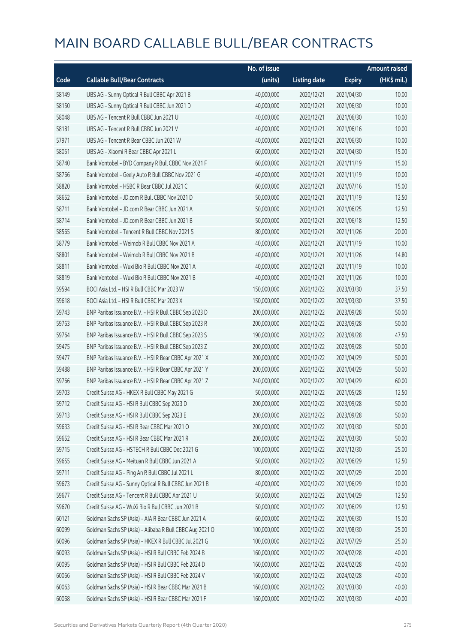|       |                                                          | No. of issue |                     |               | <b>Amount raised</b> |
|-------|----------------------------------------------------------|--------------|---------------------|---------------|----------------------|
| Code  | <b>Callable Bull/Bear Contracts</b>                      | (units)      | <b>Listing date</b> | <b>Expiry</b> | (HK\$ mil.)          |
| 58149 | UBS AG - Sunny Optical R Bull CBBC Apr 2021 B            | 40,000,000   | 2020/12/21          | 2021/04/30    | 10.00                |
| 58150 | UBS AG - Sunny Optical R Bull CBBC Jun 2021 D            | 40,000,000   | 2020/12/21          | 2021/06/30    | 10.00                |
| 58048 | UBS AG - Tencent R Bull CBBC Jun 2021 U                  | 40,000,000   | 2020/12/21          | 2021/06/30    | 10.00                |
| 58181 | UBS AG - Tencent R Bull CBBC Jun 2021 V                  | 40,000,000   | 2020/12/21          | 2021/06/16    | 10.00                |
| 57971 | UBS AG - Tencent R Bear CBBC Jun 2021 W                  | 40,000,000   | 2020/12/21          | 2021/06/30    | 10.00                |
| 58051 | UBS AG - Xiaomi R Bear CBBC Apr 2021 L                   | 60,000,000   | 2020/12/21          | 2021/04/30    | 15.00                |
| 58740 | Bank Vontobel - BYD Company R Bull CBBC Nov 2021 F       | 60,000,000   | 2020/12/21          | 2021/11/19    | 15.00                |
| 58766 | Bank Vontobel - Geely Auto R Bull CBBC Nov 2021 G        | 40,000,000   | 2020/12/21          | 2021/11/19    | 10.00                |
| 58820 | Bank Vontobel - HSBC R Bear CBBC Jul 2021 C              | 60,000,000   | 2020/12/21          | 2021/07/16    | 15.00                |
| 58652 | Bank Vontobel - JD.com R Bull CBBC Nov 2021 D            | 50,000,000   | 2020/12/21          | 2021/11/19    | 12.50                |
| 58711 | Bank Vontobel - JD.com R Bear CBBC Jun 2021 A            | 50,000,000   | 2020/12/21          | 2021/06/25    | 12.50                |
| 58714 | Bank Vontobel - JD.com R Bear CBBC Jun 2021 B            | 50,000,000   | 2020/12/21          | 2021/06/18    | 12.50                |
| 58565 | Bank Vontobel - Tencent R Bull CBBC Nov 2021 S           | 80,000,000   | 2020/12/21          | 2021/11/26    | 20.00                |
| 58779 | Bank Vontobel - Weimob R Bull CBBC Nov 2021 A            | 40,000,000   | 2020/12/21          | 2021/11/19    | 10.00                |
| 58801 | Bank Vontobel - Weimob R Bull CBBC Nov 2021 B            | 40,000,000   | 2020/12/21          | 2021/11/26    | 14.80                |
| 58811 | Bank Vontobel - Wuxi Bio R Bull CBBC Nov 2021 A          | 40,000,000   | 2020/12/21          | 2021/11/19    | 10.00                |
| 58819 | Bank Vontobel - Wuxi Bio R Bull CBBC Nov 2021 B          | 40,000,000   | 2020/12/21          | 2021/11/26    | 10.00                |
| 59594 | BOCI Asia Ltd. - HSI R Bull CBBC Mar 2023 W              | 150,000,000  | 2020/12/22          | 2023/03/30    | 37.50                |
| 59618 | BOCI Asia Ltd. - HSI R Bull CBBC Mar 2023 X              | 150,000,000  | 2020/12/22          | 2023/03/30    | 37.50                |
| 59743 | BNP Paribas Issuance B.V. - HSI R Bull CBBC Sep 2023 D   | 200,000,000  | 2020/12/22          | 2023/09/28    | 50.00                |
| 59763 | BNP Paribas Issuance B.V. - HSI R Bull CBBC Sep 2023 R   | 200,000,000  | 2020/12/22          | 2023/09/28    | 50.00                |
| 59764 | BNP Paribas Issuance B.V. - HSI R Bull CBBC Sep 2023 S   | 190,000,000  | 2020/12/22          | 2023/09/28    | 47.50                |
| 59475 | BNP Paribas Issuance B.V. - HSI R Bull CBBC Sep 2023 Z   | 200,000,000  | 2020/12/22          | 2023/09/28    | 50.00                |
| 59477 | BNP Paribas Issuance B.V. - HSI R Bear CBBC Apr 2021 X   | 200,000,000  | 2020/12/22          | 2021/04/29    | 50.00                |
| 59488 | BNP Paribas Issuance B.V. - HSI R Bear CBBC Apr 2021 Y   | 200,000,000  | 2020/12/22          | 2021/04/29    | 50.00                |
| 59766 | BNP Paribas Issuance B.V. - HSI R Bear CBBC Apr 2021 Z   | 240,000,000  | 2020/12/22          | 2021/04/29    | 60.00                |
| 59703 | Credit Suisse AG - HKEX R Bull CBBC May 2021 G           | 50,000,000   | 2020/12/22          | 2021/05/28    | 12.50                |
| 59712 | Credit Suisse AG - HSI R Bull CBBC Sep 2023 D            | 200,000,000  | 2020/12/22          | 2023/09/28    | 50.00                |
| 59713 | Credit Suisse AG - HSI R Bull CBBC Sep 2023 E            | 200,000,000  | 2020/12/22          | 2023/09/28    | 50.00                |
| 59633 | Credit Suisse AG - HSI R Bear CBBC Mar 2021 O            | 200,000,000  | 2020/12/22          | 2021/03/30    | 50.00                |
| 59652 | Credit Suisse AG - HSI R Bear CBBC Mar 2021 R            | 200,000,000  | 2020/12/22          | 2021/03/30    | 50.00                |
| 59715 | Credit Suisse AG - HSTECH R Bull CBBC Dec 2021 G         | 100,000,000  | 2020/12/22          | 2021/12/30    | 25.00                |
| 59655 | Credit Suisse AG - Meituan R Bull CBBC Jun 2021 A        | 50,000,000   | 2020/12/22          | 2021/06/29    | 12.50                |
| 59711 | Credit Suisse AG - Ping An R Bull CBBC Jul 2021 L        | 80,000,000   | 2020/12/22          | 2021/07/29    | 20.00                |
| 59673 | Credit Suisse AG - Sunny Optical R Bull CBBC Jun 2021 B  | 40,000,000   | 2020/12/22          | 2021/06/29    | 10.00                |
| 59677 | Credit Suisse AG - Tencent R Bull CBBC Apr 2021 U        | 50,000,000   | 2020/12/22          | 2021/04/29    | 12.50                |
| 59670 | Credit Suisse AG - WuXi Bio R Bull CBBC Jun 2021 B       | 50,000,000   | 2020/12/22          | 2021/06/29    | 12.50                |
| 60121 | Goldman Sachs SP (Asia) - AIA R Bear CBBC Jun 2021 A     | 60,000,000   | 2020/12/22          | 2021/06/30    | 15.00                |
| 60099 | Goldman Sachs SP (Asia) - Alibaba R Bull CBBC Aug 2021 O | 100,000,000  | 2020/12/22          | 2021/08/30    | 25.00                |
| 60096 | Goldman Sachs SP (Asia) - HKEX R Bull CBBC Jul 2021 G    | 100,000,000  | 2020/12/22          | 2021/07/29    | 25.00                |
| 60093 | Goldman Sachs SP (Asia) - HSI R Bull CBBC Feb 2024 B     | 160,000,000  | 2020/12/22          | 2024/02/28    | 40.00                |
| 60095 | Goldman Sachs SP (Asia) - HSI R Bull CBBC Feb 2024 D     | 160,000,000  | 2020/12/22          | 2024/02/28    | 40.00                |
| 60066 | Goldman Sachs SP (Asia) - HSI R Bull CBBC Feb 2024 V     | 160,000,000  | 2020/12/22          | 2024/02/28    | 40.00                |
| 60063 | Goldman Sachs SP (Asia) - HSI R Bear CBBC Mar 2021 B     | 160,000,000  | 2020/12/22          | 2021/03/30    | 40.00                |
| 60068 | Goldman Sachs SP (Asia) - HSI R Bear CBBC Mar 2021 F     | 160,000,000  | 2020/12/22          | 2021/03/30    | 40.00                |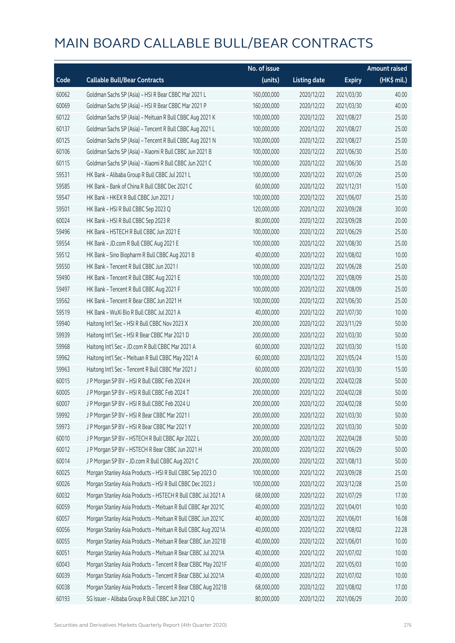|       |                                                              | No. of issue |                     |               | <b>Amount raised</b>  |
|-------|--------------------------------------------------------------|--------------|---------------------|---------------|-----------------------|
| Code  | <b>Callable Bull/Bear Contracts</b>                          | (units)      | <b>Listing date</b> | <b>Expiry</b> | $(HK\frac{1}{2}mil.)$ |
| 60062 | Goldman Sachs SP (Asia) - HSI R Bear CBBC Mar 2021 L         | 160,000,000  | 2020/12/22          | 2021/03/30    | 40.00                 |
| 60069 | Goldman Sachs SP (Asia) - HSI R Bear CBBC Mar 2021 P         | 160,000,000  | 2020/12/22          | 2021/03/30    | 40.00                 |
| 60122 | Goldman Sachs SP (Asia) - Meituan R Bull CBBC Aug 2021 K     | 100,000,000  | 2020/12/22          | 2021/08/27    | 25.00                 |
| 60137 | Goldman Sachs SP (Asia) - Tencent R Bull CBBC Aug 2021 L     | 100,000,000  | 2020/12/22          | 2021/08/27    | 25.00                 |
| 60125 | Goldman Sachs SP (Asia) - Tencent R Bull CBBC Aug 2021 N     | 100,000,000  | 2020/12/22          | 2021/08/27    | 25.00                 |
| 60106 | Goldman Sachs SP (Asia) - Xiaomi R Bull CBBC Jun 2021 B      | 100,000,000  | 2020/12/22          | 2021/06/30    | 25.00                 |
| 60115 | Goldman Sachs SP (Asia) - Xiaomi R Bull CBBC Jun 2021 C      | 100,000,000  | 2020/12/22          | 2021/06/30    | 25.00                 |
| 59531 | HK Bank - Alibaba Group R Bull CBBC Jul 2021 L               | 100,000,000  | 2020/12/22          | 2021/07/26    | 25.00                 |
| 59585 | HK Bank - Bank of China R Bull CBBC Dec 2021 C               | 60,000,000   | 2020/12/22          | 2021/12/31    | 15.00                 |
| 59547 | HK Bank - HKEX R Bull CBBC Jun 2021 J                        | 100,000,000  | 2020/12/22          | 2021/06/07    | 25.00                 |
| 59501 | HK Bank - HSI R Bull CBBC Sep 2023 Q                         | 120,000,000  | 2020/12/22          | 2023/09/28    | 30.00                 |
| 60024 | HK Bank - HSI R Bull CBBC Sep 2023 R                         | 80,000,000   | 2020/12/22          | 2023/09/28    | 20.00                 |
| 59496 | HK Bank - HSTECH R Bull CBBC Jun 2021 E                      | 100,000,000  | 2020/12/22          | 2021/06/29    | 25.00                 |
| 59554 | HK Bank - JD.com R Bull CBBC Aug 2021 E                      | 100,000,000  | 2020/12/22          | 2021/08/30    | 25.00                 |
| 59512 | HK Bank - Sino Biopharm R Bull CBBC Aug 2021 B               | 40,000,000   | 2020/12/22          | 2021/08/02    | 10.00                 |
| 59550 | HK Bank - Tencent R Bull CBBC Jun 2021 I                     | 100,000,000  | 2020/12/22          | 2021/06/28    | 25.00                 |
| 59490 | HK Bank - Tencent R Bull CBBC Aug 2021 E                     | 100,000,000  | 2020/12/22          | 2021/08/09    | 25.00                 |
| 59497 | HK Bank - Tencent R Bull CBBC Aug 2021 F                     | 100,000,000  | 2020/12/22          | 2021/08/09    | 25.00                 |
| 59562 | HK Bank - Tencent R Bear CBBC Jun 2021 H                     | 100,000,000  | 2020/12/22          | 2021/06/30    | 25.00                 |
| 59519 | HK Bank - WuXi Bio R Bull CBBC Jul 2021 A                    | 40,000,000   | 2020/12/22          | 2021/07/30    | 10.00                 |
| 59940 | Haitong Int'l Sec - HSI R Bull CBBC Nov 2023 X               | 200,000,000  | 2020/12/22          | 2023/11/29    | 50.00                 |
| 59939 | Haitong Int'l Sec - HSI R Bear CBBC Mar 2021 D               | 200,000,000  | 2020/12/22          | 2021/03/30    | 50.00                 |
| 59968 | Haitong Int'l Sec - JD.com R Bull CBBC Mar 2021 A            | 60,000,000   | 2020/12/22          | 2021/03/30    | 15.00                 |
| 59962 | Haitong Int'l Sec - Meituan R Bull CBBC May 2021 A           | 60,000,000   | 2020/12/22          | 2021/05/24    | 15.00                 |
| 59963 | Haitong Int'l Sec - Tencent R Bull CBBC Mar 2021 J           | 60,000,000   | 2020/12/22          | 2021/03/30    | 15.00                 |
| 60015 | J P Morgan SP BV - HSI R Bull CBBC Feb 2024 H                | 200,000,000  | 2020/12/22          | 2024/02/28    | 50.00                 |
| 60005 | J P Morgan SP BV - HSI R Bull CBBC Feb 2024 T                | 200,000,000  | 2020/12/22          | 2024/02/28    | 50.00                 |
| 60007 | J P Morgan SP BV - HSI R Bull CBBC Feb 2024 U                | 200,000,000  | 2020/12/22          | 2024/02/28    | 50.00                 |
| 59992 | J P Morgan SP BV - HSI R Bear CBBC Mar 2021 I                | 200,000,000  | 2020/12/22          | 2021/03/30    | 50.00                 |
| 59973 | J P Morgan SP BV - HSI R Bear CBBC Mar 2021 Y                | 200,000,000  | 2020/12/22          | 2021/03/30    | 50.00                 |
| 60010 | J P Morgan SP BV - HSTECH R Bull CBBC Apr 2022 L             | 200,000,000  | 2020/12/22          | 2022/04/28    | 50.00                 |
| 60012 | J P Morgan SP BV - HSTECH R Bear CBBC Jun 2021 H             | 200,000,000  | 2020/12/22          | 2021/06/29    | 50.00                 |
| 60014 | J P Morgan SP BV - JD.com R Bull CBBC Aug 2021 C             | 200,000,000  | 2020/12/22          | 2021/08/13    | 50.00                 |
| 60025 | Morgan Stanley Asia Products - HSI R Bull CBBC Sep 2023 O    | 100,000,000  | 2020/12/22          | 2023/09/28    | 25.00                 |
| 60026 | Morgan Stanley Asia Products - HSI R Bull CBBC Dec 2023 J    | 100,000,000  | 2020/12/22          | 2023/12/28    | 25.00                 |
| 60032 | Morgan Stanley Asia Products - HSTECH R Bull CBBC Jul 2021 A | 68,000,000   | 2020/12/22          | 2021/07/29    | 17.00                 |
| 60059 | Morgan Stanley Asia Products - Meituan R Bull CBBC Apr 2021C | 40,000,000   | 2020/12/22          | 2021/04/01    | 10.00                 |
| 60057 | Morgan Stanley Asia Products - Meituan R Bull CBBC Jun 2021C | 40,000,000   | 2020/12/22          | 2021/06/01    | 16.08                 |
| 60056 | Morgan Stanley Asia Products - Meituan R Bull CBBC Aug 2021A | 40,000,000   | 2020/12/22          | 2021/08/02    | 22.28                 |
| 60055 | Morgan Stanley Asia Products - Meituan R Bear CBBC Jun 2021B | 40,000,000   | 2020/12/22          | 2021/06/01    | 10.00                 |
| 60051 | Morgan Stanley Asia Products - Meituan R Bear CBBC Jul 2021A | 40,000,000   | 2020/12/22          | 2021/07/02    | 10.00                 |
| 60043 | Morgan Stanley Asia Products - Tencent R Bear CBBC May 2021F | 40,000,000   | 2020/12/22          | 2021/05/03    | 10.00                 |
| 60039 | Morgan Stanley Asia Products - Tencent R Bear CBBC Jul 2021A | 40,000,000   | 2020/12/22          | 2021/07/02    | 10.00                 |
| 60038 | Morgan Stanley Asia Products - Tencent R Bear CBBC Aug 2021B | 68,000,000   | 2020/12/22          | 2021/08/02    | 17.00                 |
| 60193 | SG Issuer - Alibaba Group R Bull CBBC Jun 2021 Q             | 80,000,000   | 2020/12/22          | 2021/06/29    | 20.00                 |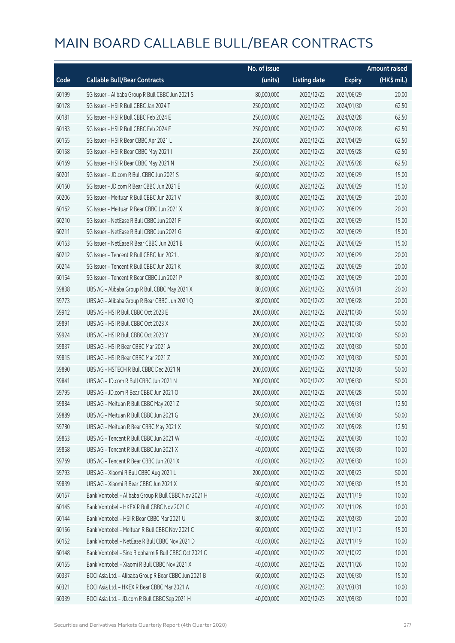|       |                                                       | No. of issue |                     |               | <b>Amount raised</b> |
|-------|-------------------------------------------------------|--------------|---------------------|---------------|----------------------|
| Code  | <b>Callable Bull/Bear Contracts</b>                   | (units)      | <b>Listing date</b> | <b>Expiry</b> | (HK\$ mil.)          |
| 60199 | SG Issuer - Alibaba Group R Bull CBBC Jun 2021 S      | 80,000,000   | 2020/12/22          | 2021/06/29    | 20.00                |
| 60178 | SG Issuer - HSI R Bull CBBC Jan 2024 T                | 250,000,000  | 2020/12/22          | 2024/01/30    | 62.50                |
| 60181 | SG Issuer - HSI R Bull CBBC Feb 2024 E                | 250,000,000  | 2020/12/22          | 2024/02/28    | 62.50                |
| 60183 | SG Issuer - HSI R Bull CBBC Feb 2024 F                | 250,000,000  | 2020/12/22          | 2024/02/28    | 62.50                |
| 60165 | SG Issuer - HSI R Bear CBBC Apr 2021 L                | 250,000,000  | 2020/12/22          | 2021/04/29    | 62.50                |
| 60158 | SG Issuer - HSI R Bear CBBC May 2021 I                | 250,000,000  | 2020/12/22          | 2021/05/28    | 62.50                |
| 60169 | SG Issuer - HSI R Bear CBBC May 2021 N                | 250,000,000  | 2020/12/22          | 2021/05/28    | 62.50                |
| 60201 | SG Issuer - JD.com R Bull CBBC Jun 2021 S             | 60,000,000   | 2020/12/22          | 2021/06/29    | 15.00                |
| 60160 | SG Issuer - JD.com R Bear CBBC Jun 2021 E             | 60,000,000   | 2020/12/22          | 2021/06/29    | 15.00                |
| 60206 | SG Issuer - Meituan R Bull CBBC Jun 2021 V            | 80,000,000   | 2020/12/22          | 2021/06/29    | 20.00                |
| 60162 | SG Issuer - Meituan R Bear CBBC Jun 2021 X            | 80,000,000   | 2020/12/22          | 2021/06/29    | 20.00                |
| 60210 | SG Issuer - NetEase R Bull CBBC Jun 2021 F            | 60,000,000   | 2020/12/22          | 2021/06/29    | 15.00                |
| 60211 | SG Issuer - NetEase R Bull CBBC Jun 2021 G            | 60,000,000   | 2020/12/22          | 2021/06/29    | 15.00                |
| 60163 | SG Issuer - NetEase R Bear CBBC Jun 2021 B            | 60,000,000   | 2020/12/22          | 2021/06/29    | 15.00                |
| 60212 | SG Issuer - Tencent R Bull CBBC Jun 2021 J            | 80,000,000   | 2020/12/22          | 2021/06/29    | 20.00                |
| 60214 | SG Issuer - Tencent R Bull CBBC Jun 2021 K            | 80,000,000   | 2020/12/22          | 2021/06/29    | 20.00                |
| 60164 | SG Issuer - Tencent R Bear CBBC Jun 2021 P            | 80,000,000   | 2020/12/22          | 2021/06/29    | 20.00                |
| 59838 | UBS AG - Alibaba Group R Bull CBBC May 2021 X         | 80,000,000   | 2020/12/22          | 2021/05/31    | 20.00                |
| 59773 | UBS AG - Alibaba Group R Bear CBBC Jun 2021 Q         | 80,000,000   | 2020/12/22          | 2021/06/28    | 20.00                |
| 59912 | UBS AG - HSI R Bull CBBC Oct 2023 E                   | 200,000,000  | 2020/12/22          | 2023/10/30    | 50.00                |
| 59891 | UBS AG - HSI R Bull CBBC Oct 2023 X                   | 200,000,000  | 2020/12/22          | 2023/10/30    | 50.00                |
| 59924 | UBS AG - HSI R Bull CBBC Oct 2023 Y                   | 200,000,000  | 2020/12/22          | 2023/10/30    | 50.00                |
| 59837 | UBS AG - HSI R Bear CBBC Mar 2021 A                   | 200,000,000  | 2020/12/22          | 2021/03/30    | 50.00                |
| 59815 | UBS AG - HSI R Bear CBBC Mar 2021 Z                   | 200,000,000  | 2020/12/22          | 2021/03/30    | 50.00                |
| 59890 | UBS AG - HSTECH R Bull CBBC Dec 2021 N                | 200,000,000  | 2020/12/22          | 2021/12/30    | 50.00                |
| 59841 | UBS AG - JD.com R Bull CBBC Jun 2021 N                | 200,000,000  | 2020/12/22          | 2021/06/30    | 50.00                |
| 59795 | UBS AG - JD.com R Bear CBBC Jun 2021 O                | 200,000,000  | 2020/12/22          | 2021/06/28    | 50.00                |
| 59884 | UBS AG - Meituan R Bull CBBC May 2021 Z               | 50,000,000   | 2020/12/22          | 2021/05/31    | 12.50                |
| 59889 | UBS AG - Meituan R Bull CBBC Jun 2021 G               | 200,000,000  | 2020/12/22          | 2021/06/30    | 50.00                |
| 59780 | UBS AG - Meituan R Bear CBBC May 2021 X               | 50,000,000   | 2020/12/22          | 2021/05/28    | 12.50                |
| 59863 | UBS AG - Tencent R Bull CBBC Jun 2021 W               | 40,000,000   | 2020/12/22          | 2021/06/30    | 10.00                |
| 59868 | UBS AG - Tencent R Bull CBBC Jun 2021 X               | 40,000,000   | 2020/12/22          | 2021/06/30    | 10.00                |
| 59769 | UBS AG - Tencent R Bear CBBC Jun 2021 X               | 40,000,000   | 2020/12/22          | 2021/06/30    | 10.00                |
| 59793 | UBS AG - Xiaomi R Bull CBBC Aug 2021 L                | 200,000,000  | 2020/12/22          | 2021/08/23    | 50.00                |
| 59839 | UBS AG - Xiaomi R Bear CBBC Jun 2021 X                | 60,000,000   | 2020/12/22          | 2021/06/30    | 15.00                |
| 60157 | Bank Vontobel - Alibaba Group R Bull CBBC Nov 2021 H  | 40,000,000   | 2020/12/22          | 2021/11/19    | 10.00                |
| 60145 | Bank Vontobel - HKEX R Bull CBBC Nov 2021 C           | 40,000,000   | 2020/12/22          | 2021/11/26    | 10.00                |
| 60144 | Bank Vontobel - HSI R Bear CBBC Mar 2021 U            | 80,000,000   | 2020/12/22          | 2021/03/30    | 20.00                |
| 60156 | Bank Vontobel - Meituan R Bull CBBC Nov 2021 C        | 60,000,000   | 2020/12/22          | 2021/11/12    | 15.00                |
| 60152 | Bank Vontobel - NetEase R Bull CBBC Nov 2021 D        | 40,000,000   | 2020/12/22          | 2021/11/19    | 10.00                |
| 60148 | Bank Vontobel - Sino Biopharm R Bull CBBC Oct 2021 C  | 40,000,000   | 2020/12/22          | 2021/10/22    | 10.00                |
| 60155 | Bank Vontobel - Xiaomi R Bull CBBC Nov 2021 X         | 40,000,000   | 2020/12/22          | 2021/11/26    | 10.00                |
| 60337 | BOCI Asia Ltd. - Alibaba Group R Bear CBBC Jun 2021 B | 60,000,000   | 2020/12/23          | 2021/06/30    | 15.00                |
| 60321 | BOCI Asia Ltd. - HKEX R Bear CBBC Mar 2021 A          | 40,000,000   | 2020/12/23          | 2021/03/31    | 10.00                |
| 60339 | BOCI Asia Ltd. - JD.com R Bull CBBC Sep 2021 H        | 40,000,000   | 2020/12/23          | 2021/09/30    | 10.00                |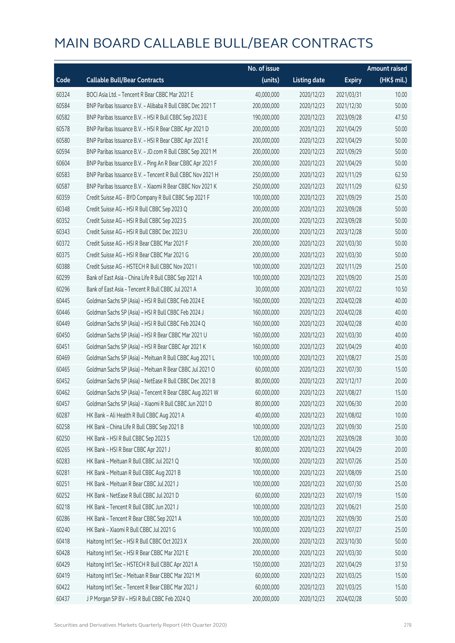|       |                                                            | No. of issue |                     |               | <b>Amount raised</b> |
|-------|------------------------------------------------------------|--------------|---------------------|---------------|----------------------|
| Code  | <b>Callable Bull/Bear Contracts</b>                        | (units)      | <b>Listing date</b> | <b>Expiry</b> | (HK\$ mil.)          |
| 60324 | BOCI Asia Ltd. - Tencent R Bear CBBC Mar 2021 E            | 40,000,000   | 2020/12/23          | 2021/03/31    | 10.00                |
| 60584 | BNP Paribas Issuance B.V. - Alibaba R Bull CBBC Dec 2021 T | 200,000,000  | 2020/12/23          | 2021/12/30    | 50.00                |
| 60582 | BNP Paribas Issuance B.V. - HSI R Bull CBBC Sep 2023 E     | 190,000,000  | 2020/12/23          | 2023/09/28    | 47.50                |
| 60578 | BNP Paribas Issuance B.V. - HSI R Bear CBBC Apr 2021 D     | 200,000,000  | 2020/12/23          | 2021/04/29    | 50.00                |
| 60580 | BNP Paribas Issuance B.V. - HSI R Bear CBBC Apr 2021 E     | 200,000,000  | 2020/12/23          | 2021/04/29    | 50.00                |
| 60594 | BNP Paribas Issuance B.V. - JD.com R Bull CBBC Sep 2021 M  | 200,000,000  | 2020/12/23          | 2021/09/29    | 50.00                |
| 60604 | BNP Paribas Issuance B.V. - Ping An R Bear CBBC Apr 2021 F | 200,000,000  | 2020/12/23          | 2021/04/29    | 50.00                |
| 60583 | BNP Paribas Issuance B.V. - Tencent R Bull CBBC Nov 2021 H | 250,000,000  | 2020/12/23          | 2021/11/29    | 62.50                |
| 60587 | BNP Paribas Issuance B.V. - Xiaomi R Bear CBBC Nov 2021 K  | 250,000,000  | 2020/12/23          | 2021/11/29    | 62.50                |
| 60359 | Credit Suisse AG - BYD Company R Bull CBBC Sep 2021 F      | 100,000,000  | 2020/12/23          | 2021/09/29    | 25.00                |
| 60348 | Credit Suisse AG - HSI R Bull CBBC Sep 2023 Q              | 200,000,000  | 2020/12/23          | 2023/09/28    | 50.00                |
| 60352 | Credit Suisse AG - HSI R Bull CBBC Sep 2023 S              | 200,000,000  | 2020/12/23          | 2023/09/28    | 50.00                |
| 60343 | Credit Suisse AG - HSI R Bull CBBC Dec 2023 U              | 200,000,000  | 2020/12/23          | 2023/12/28    | 50.00                |
| 60372 | Credit Suisse AG - HSI R Bear CBBC Mar 2021 F              | 200,000,000  | 2020/12/23          | 2021/03/30    | 50.00                |
| 60375 | Credit Suisse AG - HSI R Bear CBBC Mar 2021 G              | 200,000,000  | 2020/12/23          | 2021/03/30    | 50.00                |
| 60388 | Credit Suisse AG - HSTECH R Bull CBBC Nov 2021 I           | 100,000,000  | 2020/12/23          | 2021/11/29    | 25.00                |
| 60299 | Bank of East Asia - China Life R Bull CBBC Sep 2021 A      | 100,000,000  | 2020/12/23          | 2021/09/20    | 25.00                |
| 60296 | Bank of East Asia - Tencent R Bull CBBC Jul 2021 A         | 30,000,000   | 2020/12/23          | 2021/07/22    | 10.50                |
| 60445 | Goldman Sachs SP (Asia) - HSI R Bull CBBC Feb 2024 E       | 160,000,000  | 2020/12/23          | 2024/02/28    | 40.00                |
| 60446 | Goldman Sachs SP (Asia) - HSI R Bull CBBC Feb 2024 J       | 160,000,000  | 2020/12/23          | 2024/02/28    | 40.00                |
| 60449 | Goldman Sachs SP (Asia) - HSI R Bull CBBC Feb 2024 Q       | 160,000,000  | 2020/12/23          | 2024/02/28    | 40.00                |
| 60450 | Goldman Sachs SP (Asia) - HSI R Bear CBBC Mar 2021 U       | 160,000,000  | 2020/12/23          | 2021/03/30    | 40.00                |
| 60451 | Goldman Sachs SP (Asia) - HSI R Bear CBBC Apr 2021 K       | 160,000,000  | 2020/12/23          | 2021/04/29    | 40.00                |
| 60469 | Goldman Sachs SP (Asia) - Meituan R Bull CBBC Aug 2021 L   | 100,000,000  | 2020/12/23          | 2021/08/27    | 25.00                |
| 60465 | Goldman Sachs SP (Asia) - Meituan R Bear CBBC Jul 2021 O   | 60,000,000   | 2020/12/23          | 2021/07/30    | 15.00                |
| 60452 | Goldman Sachs SP (Asia) - NetEase R Bull CBBC Dec 2021 B   | 80,000,000   | 2020/12/23          | 2021/12/17    | 20.00                |
| 60462 | Goldman Sachs SP (Asia) - Tencent R Bear CBBC Aug 2021 W   | 60,000,000   | 2020/12/23          | 2021/08/27    | 15.00                |
| 60457 | Goldman Sachs SP (Asia) - Xiaomi R Bull CBBC Jun 2021 D    | 80,000,000   | 2020/12/23          | 2021/06/30    | 20.00                |
| 60287 | HK Bank - Ali Health R Bull CBBC Aug 2021 A                | 40,000,000   | 2020/12/23          | 2021/08/02    | 10.00                |
| 60258 | HK Bank - China Life R Bull CBBC Sep 2021 B                | 100,000,000  | 2020/12/23          | 2021/09/30    | 25.00                |
| 60250 | HK Bank - HSI R Bull CBBC Sep 2023 S                       | 120,000,000  | 2020/12/23          | 2023/09/28    | 30.00                |
| 60265 | HK Bank - HSI R Bear CBBC Apr 2021 J                       | 80,000,000   | 2020/12/23          | 2021/04/29    | 20.00                |
| 60283 | HK Bank - Meituan R Bull CBBC Jul 2021 Q                   | 100,000,000  | 2020/12/23          | 2021/07/26    | 25.00                |
| 60281 | HK Bank - Meituan R Bull CBBC Aug 2021 B                   | 100,000,000  | 2020/12/23          | 2021/08/09    | 25.00                |
| 60251 | HK Bank - Meituan R Bear CBBC Jul 2021 J                   | 100,000,000  | 2020/12/23          | 2021/07/30    | 25.00                |
| 60252 | HK Bank - NetEase R Bull CBBC Jul 2021 D                   | 60,000,000   | 2020/12/23          | 2021/07/19    | 15.00                |
| 60218 | HK Bank - Tencent R Bull CBBC Jun 2021 J                   | 100,000,000  | 2020/12/23          | 2021/06/21    | 25.00                |
| 60286 | HK Bank - Tencent R Bear CBBC Sep 2021 A                   | 100,000,000  | 2020/12/23          | 2021/09/30    | 25.00                |
| 60240 | HK Bank - Xiaomi R Bull CBBC Jul 2021 G                    | 100,000,000  | 2020/12/23          | 2021/07/27    | 25.00                |
| 60418 | Haitong Int'l Sec - HSI R Bull CBBC Oct 2023 X             | 200,000,000  | 2020/12/23          | 2023/10/30    | 50.00                |
| 60428 | Haitong Int'l Sec - HSI R Bear CBBC Mar 2021 E             | 200,000,000  | 2020/12/23          | 2021/03/30    | 50.00                |
| 60429 | Haitong Int'l Sec - HSTECH R Bull CBBC Apr 2021 A          | 150,000,000  | 2020/12/23          | 2021/04/29    | 37.50                |
| 60419 | Haitong Int'l Sec - Meituan R Bear CBBC Mar 2021 M         | 60,000,000   | 2020/12/23          | 2021/03/25    | 15.00                |
| 60422 | Haitong Int'l Sec - Tencent R Bear CBBC Mar 2021 J         | 60,000,000   | 2020/12/23          | 2021/03/25    | 15.00                |
| 60437 | J P Morgan SP BV - HSI R Bull CBBC Feb 2024 Q              | 200,000,000  | 2020/12/23          | 2024/02/28    | 50.00                |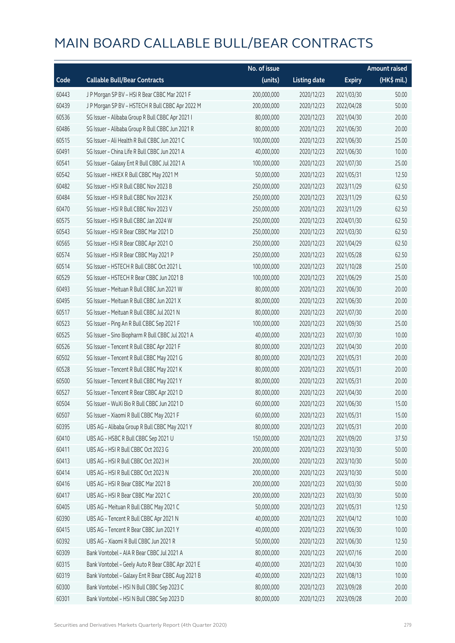|       |                                                   | No. of issue |                     |               | <b>Amount raised</b> |
|-------|---------------------------------------------------|--------------|---------------------|---------------|----------------------|
| Code  | <b>Callable Bull/Bear Contracts</b>               | (units)      | <b>Listing date</b> | <b>Expiry</b> | (HK\$ mil.)          |
| 60443 | J P Morgan SP BV - HSI R Bear CBBC Mar 2021 F     | 200,000,000  | 2020/12/23          | 2021/03/30    | 50.00                |
| 60439 | J P Morgan SP BV - HSTECH R Bull CBBC Apr 2022 M  | 200,000,000  | 2020/12/23          | 2022/04/28    | 50.00                |
| 60536 | SG Issuer - Alibaba Group R Bull CBBC Apr 2021 I  | 80,000,000   | 2020/12/23          | 2021/04/30    | 20.00                |
| 60486 | SG Issuer - Alibaba Group R Bull CBBC Jun 2021 R  | 80,000,000   | 2020/12/23          | 2021/06/30    | 20.00                |
| 60515 | SG Issuer - Ali Health R Bull CBBC Jun 2021 C     | 100,000,000  | 2020/12/23          | 2021/06/30    | 25.00                |
| 60491 | SG Issuer - China Life R Bull CBBC Jun 2021 A     | 40,000,000   | 2020/12/23          | 2021/06/30    | 10.00                |
| 60541 | SG Issuer - Galaxy Ent R Bull CBBC Jul 2021 A     | 100,000,000  | 2020/12/23          | 2021/07/30    | 25.00                |
| 60542 | SG Issuer - HKEX R Bull CBBC May 2021 M           | 50,000,000   | 2020/12/23          | 2021/05/31    | 12.50                |
| 60482 | SG Issuer - HSI R Bull CBBC Nov 2023 B            | 250,000,000  | 2020/12/23          | 2023/11/29    | 62.50                |
| 60484 | SG Issuer - HSI R Bull CBBC Nov 2023 K            | 250,000,000  | 2020/12/23          | 2023/11/29    | 62.50                |
| 60470 | SG Issuer - HSI R Bull CBBC Nov 2023 V            | 250,000,000  | 2020/12/23          | 2023/11/29    | 62.50                |
| 60575 | SG Issuer - HSI R Bull CBBC Jan 2024 W            | 250,000,000  | 2020/12/23          | 2024/01/30    | 62.50                |
| 60543 | SG Issuer - HSI R Bear CBBC Mar 2021 D            | 250,000,000  | 2020/12/23          | 2021/03/30    | 62.50                |
| 60565 | SG Issuer - HSI R Bear CBBC Apr 2021 O            | 250,000,000  | 2020/12/23          | 2021/04/29    | 62.50                |
| 60574 | SG Issuer - HSI R Bear CBBC May 2021 P            | 250,000,000  | 2020/12/23          | 2021/05/28    | 62.50                |
| 60514 | SG Issuer - HSTECH R Bull CBBC Oct 2021 L         | 100,000,000  | 2020/12/23          | 2021/10/28    | 25.00                |
| 60529 | SG Issuer - HSTECH R Bear CBBC Jun 2021 B         | 100,000,000  | 2020/12/23          | 2021/06/29    | 25.00                |
| 60493 | SG Issuer - Meituan R Bull CBBC Jun 2021 W        | 80,000,000   | 2020/12/23          | 2021/06/30    | 20.00                |
| 60495 | SG Issuer - Meituan R Bull CBBC Jun 2021 X        | 80,000,000   | 2020/12/23          | 2021/06/30    | 20.00                |
| 60517 | SG Issuer - Meituan R Bull CBBC Jul 2021 N        | 80,000,000   | 2020/12/23          | 2021/07/30    | 20.00                |
| 60523 | SG Issuer - Ping An R Bull CBBC Sep 2021 F        | 100,000,000  | 2020/12/23          | 2021/09/30    | 25.00                |
| 60525 | SG Issuer - Sino Biopharm R Bull CBBC Jul 2021 A  | 40,000,000   | 2020/12/23          | 2021/07/30    | 10.00                |
| 60526 | SG Issuer - Tencent R Bull CBBC Apr 2021 F        | 80,000,000   | 2020/12/23          | 2021/04/30    | 20.00                |
| 60502 | SG Issuer - Tencent R Bull CBBC May 2021 G        | 80,000,000   | 2020/12/23          | 2021/05/31    | 20.00                |
| 60528 | SG Issuer - Tencent R Bull CBBC May 2021 K        | 80,000,000   | 2020/12/23          | 2021/05/31    | 20.00                |
| 60500 | SG Issuer - Tencent R Bull CBBC May 2021 Y        | 80,000,000   | 2020/12/23          | 2021/05/31    | 20.00                |
| 60527 | SG Issuer - Tencent R Bear CBBC Apr 2021 D        | 80,000,000   | 2020/12/23          | 2021/04/30    | 20.00                |
| 60504 | SG Issuer - WuXi Bio R Bull CBBC Jun 2021 D       | 60,000,000   | 2020/12/23          | 2021/06/30    | 15.00                |
| 60507 | SG Issuer - Xiaomi R Bull CBBC May 2021 F         | 60,000,000   | 2020/12/23          | 2021/05/31    | 15.00                |
| 60395 | UBS AG - Alibaba Group R Bull CBBC May 2021 Y     | 80,000,000   | 2020/12/23          | 2021/05/31    | 20.00                |
| 60410 | UBS AG - HSBC R Bull CBBC Sep 2021 U              | 150,000,000  | 2020/12/23          | 2021/09/20    | 37.50                |
| 60411 | UBS AG - HSI R Bull CBBC Oct 2023 G               | 200,000,000  | 2020/12/23          | 2023/10/30    | 50.00                |
| 60413 | UBS AG - HSI R Bull CBBC Oct 2023 H               | 200,000,000  | 2020/12/23          | 2023/10/30    | 50.00                |
| 60414 | UBS AG - HSI R Bull CBBC Oct 2023 N               | 200,000,000  | 2020/12/23          | 2023/10/30    | 50.00                |
| 60416 | UBS AG - HSI R Bear CBBC Mar 2021 B               | 200,000,000  | 2020/12/23          | 2021/03/30    | 50.00                |
| 60417 | UBS AG - HSI R Bear CBBC Mar 2021 C               | 200,000,000  | 2020/12/23          | 2021/03/30    | 50.00                |
| 60405 | UBS AG - Meituan R Bull CBBC May 2021 C           | 50,000,000   | 2020/12/23          | 2021/05/31    | 12.50                |
| 60390 | UBS AG - Tencent R Bull CBBC Apr 2021 N           | 40,000,000   | 2020/12/23          | 2021/04/12    | 10.00                |
| 60415 | UBS AG - Tencent R Bear CBBC Jun 2021 Y           | 40,000,000   | 2020/12/23          | 2021/06/30    | 10.00                |
| 60392 | UBS AG - Xiaomi R Bull CBBC Jun 2021 R            | 50,000,000   | 2020/12/23          | 2021/06/30    | 12.50                |
| 60309 | Bank Vontobel - AIA R Bear CBBC Jul 2021 A        | 80,000,000   | 2020/12/23          | 2021/07/16    | 20.00                |
| 60315 | Bank Vontobel - Geely Auto R Bear CBBC Apr 2021 E | 40,000,000   | 2020/12/23          | 2021/04/30    | 10.00                |
| 60319 | Bank Vontobel - Galaxy Ent R Bear CBBC Aug 2021 B | 40,000,000   | 2020/12/23          | 2021/08/13    | 10.00                |
| 60300 | Bank Vontobel - HSI N Bull CBBC Sep 2023 C        | 80,000,000   | 2020/12/23          | 2023/09/28    | 20.00                |
| 60301 | Bank Vontobel - HSI N Bull CBBC Sep 2023 D        | 80,000,000   | 2020/12/23          | 2023/09/28    | 20.00                |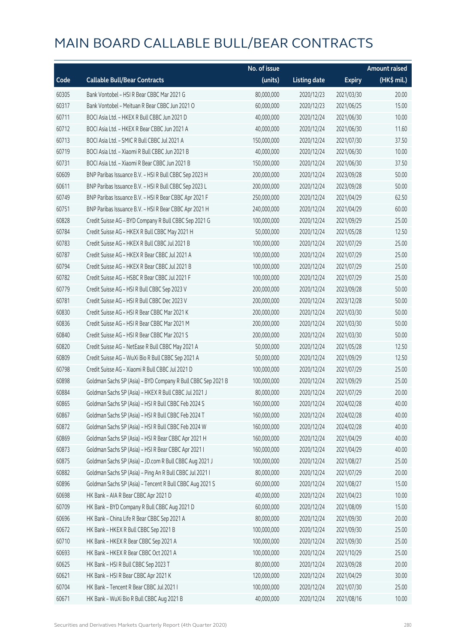|       |                                                              | No. of issue |                     |               | <b>Amount raised</b> |
|-------|--------------------------------------------------------------|--------------|---------------------|---------------|----------------------|
| Code  | <b>Callable Bull/Bear Contracts</b>                          | (units)      | <b>Listing date</b> | <b>Expiry</b> | (HK\$ mil.)          |
| 60305 | Bank Vontobel - HSI R Bear CBBC Mar 2021 G                   | 80,000,000   | 2020/12/23          | 2021/03/30    | 20.00                |
| 60317 | Bank Vontobel - Meituan R Bear CBBC Jun 2021 O               | 60,000,000   | 2020/12/23          | 2021/06/25    | 15.00                |
| 60711 | BOCI Asia Ltd. - HKEX R Bull CBBC Jun 2021 D                 | 40,000,000   | 2020/12/24          | 2021/06/30    | 10.00                |
| 60712 | BOCI Asia Ltd. - HKEX R Bear CBBC Jun 2021 A                 | 40,000,000   | 2020/12/24          | 2021/06/30    | 11.60                |
| 60713 | BOCI Asia Ltd. - SMIC R Bull CBBC Jul 2021 A                 | 150,000,000  | 2020/12/24          | 2021/07/30    | 37.50                |
| 60719 | BOCI Asia Ltd. - Xiaomi R Bull CBBC Jun 2021 B               | 40,000,000   | 2020/12/24          | 2021/06/30    | 10.00                |
| 60731 | BOCI Asia Ltd. - Xiaomi R Bear CBBC Jun 2021 B               | 150,000,000  | 2020/12/24          | 2021/06/30    | 37.50                |
| 60609 | BNP Paribas Issuance B.V. - HSI R Bull CBBC Sep 2023 H       | 200,000,000  | 2020/12/24          | 2023/09/28    | 50.00                |
| 60611 | BNP Paribas Issuance B.V. - HSI R Bull CBBC Sep 2023 L       | 200,000,000  | 2020/12/24          | 2023/09/28    | 50.00                |
| 60749 | BNP Paribas Issuance B.V. - HSI R Bear CBBC Apr 2021 F       | 250,000,000  | 2020/12/24          | 2021/04/29    | 62.50                |
| 60751 | BNP Paribas Issuance B.V. - HSI R Bear CBBC Apr 2021 H       | 240,000,000  | 2020/12/24          | 2021/04/29    | 60.00                |
| 60828 | Credit Suisse AG - BYD Company R Bull CBBC Sep 2021 G        | 100,000,000  | 2020/12/24          | 2021/09/29    | 25.00                |
| 60784 | Credit Suisse AG - HKEX R Bull CBBC May 2021 H               | 50,000,000   | 2020/12/24          | 2021/05/28    | 12.50                |
| 60783 | Credit Suisse AG - HKEX R Bull CBBC Jul 2021 B               | 100,000,000  | 2020/12/24          | 2021/07/29    | 25.00                |
| 60787 | Credit Suisse AG - HKEX R Bear CBBC Jul 2021 A               | 100,000,000  | 2020/12/24          | 2021/07/29    | 25.00                |
| 60794 | Credit Suisse AG - HKEX R Bear CBBC Jul 2021 B               | 100,000,000  | 2020/12/24          | 2021/07/29    | 25.00                |
| 60782 | Credit Suisse AG - HSBC R Bear CBBC Jul 2021 F               | 100,000,000  | 2020/12/24          | 2021/07/29    | 25.00                |
| 60779 | Credit Suisse AG - HSI R Bull CBBC Sep 2023 V                | 200,000,000  | 2020/12/24          | 2023/09/28    | 50.00                |
| 60781 | Credit Suisse AG - HSI R Bull CBBC Dec 2023 V                | 200,000,000  | 2020/12/24          | 2023/12/28    | 50.00                |
| 60830 | Credit Suisse AG - HSI R Bear CBBC Mar 2021 K                | 200,000,000  | 2020/12/24          | 2021/03/30    | 50.00                |
| 60836 | Credit Suisse AG - HSI R Bear CBBC Mar 2021 M                | 200,000,000  | 2020/12/24          | 2021/03/30    | 50.00                |
| 60840 | Credit Suisse AG - HSI R Bear CBBC Mar 2021 S                | 200,000,000  | 2020/12/24          | 2021/03/30    | 50.00                |
| 60820 | Credit Suisse AG - NetEase R Bull CBBC May 2021 A            | 50,000,000   | 2020/12/24          | 2021/05/28    | 12.50                |
| 60809 | Credit Suisse AG - WuXi Bio R Bull CBBC Sep 2021 A           | 50,000,000   | 2020/12/24          | 2021/09/29    | 12.50                |
| 60798 | Credit Suisse AG - Xiaomi R Bull CBBC Jul 2021 D             | 100,000,000  | 2020/12/24          | 2021/07/29    | 25.00                |
| 60898 | Goldman Sachs SP (Asia) - BYD Company R Bull CBBC Sep 2021 B | 100,000,000  | 2020/12/24          | 2021/09/29    | 25.00                |
| 60884 | Goldman Sachs SP (Asia) - HKEX R Bull CBBC Jul 2021 J        | 80,000,000   | 2020/12/24          | 2021/07/29    | 20.00                |
| 60865 | Goldman Sachs SP (Asia) - HSI R Bull CBBC Feb 2024 S         | 160,000,000  | 2020/12/24          | 2024/02/28    | 40.00                |
| 60867 | Goldman Sachs SP (Asia) - HSI R Bull CBBC Feb 2024 T         | 160,000,000  | 2020/12/24          | 2024/02/28    | 40.00                |
| 60872 | Goldman Sachs SP (Asia) - HSI R Bull CBBC Feb 2024 W         | 160,000,000  | 2020/12/24          | 2024/02/28    | 40.00                |
| 60869 | Goldman Sachs SP (Asia) - HSI R Bear CBBC Apr 2021 H         | 160,000,000  | 2020/12/24          | 2021/04/29    | 40.00                |
| 60873 | Goldman Sachs SP (Asia) - HSI R Bear CBBC Apr 2021 I         | 160,000,000  | 2020/12/24          | 2021/04/29    | 40.00                |
| 60875 | Goldman Sachs SP (Asia) - JD.com R Bull CBBC Aug 2021 J      | 100,000,000  | 2020/12/24          | 2021/08/27    | 25.00                |
| 60882 | Goldman Sachs SP (Asia) - Ping An R Bull CBBC Jul 2021 I     | 80,000,000   | 2020/12/24          | 2021/07/29    | 20.00                |
| 60896 | Goldman Sachs SP (Asia) - Tencent R Bull CBBC Aug 2021 S     | 60,000,000   | 2020/12/24          | 2021/08/27    | 15.00                |
| 60698 | HK Bank - AIA R Bear CBBC Apr 2021 D                         | 40,000,000   | 2020/12/24          | 2021/04/23    | 10.00                |
| 60709 | HK Bank - BYD Company R Bull CBBC Aug 2021 D                 | 60,000,000   | 2020/12/24          | 2021/08/09    | 15.00                |
| 60696 | HK Bank - China Life R Bear CBBC Sep 2021 A                  | 80,000,000   | 2020/12/24          | 2021/09/30    | 20.00                |
| 60672 | HK Bank - HKEX R Bull CBBC Sep 2021 B                        | 100,000,000  | 2020/12/24          | 2021/09/30    | 25.00                |
| 60710 | HK Bank - HKEX R Bear CBBC Sep 2021 A                        | 100,000,000  | 2020/12/24          | 2021/09/30    | 25.00                |
| 60693 | HK Bank - HKEX R Bear CBBC Oct 2021 A                        | 100,000,000  | 2020/12/24          | 2021/10/29    | 25.00                |
| 60625 | HK Bank - HSI R Bull CBBC Sep 2023 T                         | 80,000,000   | 2020/12/24          | 2023/09/28    | 20.00                |
| 60621 | HK Bank - HSI R Bear CBBC Apr 2021 K                         | 120,000,000  | 2020/12/24          | 2021/04/29    | 30.00                |
| 60704 | HK Bank - Tencent R Bear CBBC Jul 2021 I                     | 100,000,000  | 2020/12/24          | 2021/07/30    | 25.00                |
| 60671 | HK Bank - WuXi Bio R Bull CBBC Aug 2021 B                    | 40,000,000   | 2020/12/24          | 2021/08/16    | 10.00                |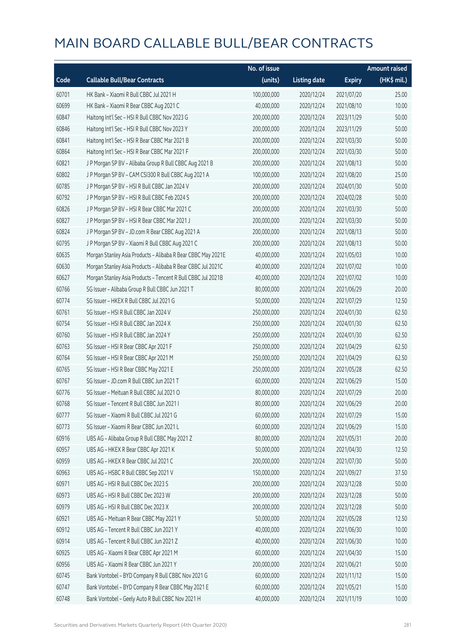|       |                                                              | No. of issue |                     |               | <b>Amount raised</b> |
|-------|--------------------------------------------------------------|--------------|---------------------|---------------|----------------------|
| Code  | <b>Callable Bull/Bear Contracts</b>                          | (units)      | <b>Listing date</b> | <b>Expiry</b> | (HK\$ mil.)          |
| 60701 | HK Bank - Xiaomi R Bull CBBC Jul 2021 H                      | 100,000,000  | 2020/12/24          | 2021/07/20    | 25.00                |
| 60699 | HK Bank - Xiaomi R Bear CBBC Aug 2021 C                      | 40,000,000   | 2020/12/24          | 2021/08/10    | 10.00                |
| 60847 | Haitong Int'l Sec - HSI R Bull CBBC Nov 2023 G               | 200,000,000  | 2020/12/24          | 2023/11/29    | 50.00                |
| 60846 | Haitong Int'l Sec - HSI R Bull CBBC Nov 2023 Y               | 200,000,000  | 2020/12/24          | 2023/11/29    | 50.00                |
| 60841 | Haitong Int'l Sec - HSI R Bear CBBC Mar 2021 B               | 200,000,000  | 2020/12/24          | 2021/03/30    | 50.00                |
| 60864 | Haitong Int'l Sec - HSI R Bear CBBC Mar 2021 F               | 200,000,000  | 2020/12/24          | 2021/03/30    | 50.00                |
| 60821 | J P Morgan SP BV - Alibaba Group R Bull CBBC Aug 2021 B      | 200,000,000  | 2020/12/24          | 2021/08/13    | 50.00                |
| 60802 | J P Morgan SP BV - CAM CSI300 R Bull CBBC Aug 2021 A         | 100,000,000  | 2020/12/24          | 2021/08/20    | 25.00                |
| 60785 | J P Morgan SP BV - HSI R Bull CBBC Jan 2024 V                | 200,000,000  | 2020/12/24          | 2024/01/30    | 50.00                |
| 60792 | J P Morgan SP BV - HSI R Bull CBBC Feb 2024 S                | 200,000,000  | 2020/12/24          | 2024/02/28    | 50.00                |
| 60826 | J P Morgan SP BV - HSI R Bear CBBC Mar 2021 C                | 200,000,000  | 2020/12/24          | 2021/03/30    | 50.00                |
| 60827 | J P Morgan SP BV - HSI R Bear CBBC Mar 2021 J                | 200,000,000  | 2020/12/24          | 2021/03/30    | 50.00                |
| 60824 | J P Morgan SP BV - JD.com R Bear CBBC Aug 2021 A             | 200,000,000  | 2020/12/24          | 2021/08/13    | 50.00                |
| 60795 | J P Morgan SP BV - Xiaomi R Bull CBBC Aug 2021 C             | 200,000,000  | 2020/12/24          | 2021/08/13    | 50.00                |
| 60635 | Morgan Stanley Asia Products - Alibaba R Bear CBBC May 2021E | 40,000,000   | 2020/12/24          | 2021/05/03    | 10.00                |
| 60630 | Morgan Stanley Asia Products - Alibaba R Bear CBBC Jul 2021C | 40,000,000   | 2020/12/24          | 2021/07/02    | 10.00                |
| 60627 | Morgan Stanley Asia Products - Tencent R Bull CBBC Jul 2021B | 40,000,000   | 2020/12/24          | 2021/07/02    | 10.00                |
| 60766 | SG Issuer - Alibaba Group R Bull CBBC Jun 2021 T             | 80,000,000   | 2020/12/24          | 2021/06/29    | 20.00                |
| 60774 | SG Issuer - HKEX R Bull CBBC Jul 2021 G                      | 50,000,000   | 2020/12/24          | 2021/07/29    | 12.50                |
| 60761 | SG Issuer - HSI R Bull CBBC Jan 2024 V                       | 250,000,000  | 2020/12/24          | 2024/01/30    | 62.50                |
| 60754 | SG Issuer - HSI R Bull CBBC Jan 2024 X                       | 250,000,000  | 2020/12/24          | 2024/01/30    | 62.50                |
| 60760 | SG Issuer - HSI R Bull CBBC Jan 2024 Y                       | 250,000,000  | 2020/12/24          | 2024/01/30    | 62.50                |
| 60763 | SG Issuer - HSI R Bear CBBC Apr 2021 F                       | 250,000,000  | 2020/12/24          | 2021/04/29    | 62.50                |
| 60764 | SG Issuer - HSI R Bear CBBC Apr 2021 M                       | 250,000,000  | 2020/12/24          | 2021/04/29    | 62.50                |
| 60765 | SG Issuer - HSI R Bear CBBC May 2021 E                       | 250,000,000  | 2020/12/24          | 2021/05/28    | 62.50                |
| 60767 | SG Issuer - JD.com R Bull CBBC Jun 2021 T                    | 60,000,000   | 2020/12/24          | 2021/06/29    | 15.00                |
| 60776 | SG Issuer - Meituan R Bull CBBC Jul 2021 O                   | 80,000,000   | 2020/12/24          | 2021/07/29    | 20.00                |
| 60768 | SG Issuer – Tencent R Bull CBBC Jun 2021 I                   | 80,000,000   | 2020/12/24          | 2021/06/29    | 20.00                |
| 60777 | SG Issuer - Xiaomi R Bull CBBC Jul 2021 G                    | 60,000,000   | 2020/12/24          | 2021/07/29    | 15.00                |
| 60773 | SG Issuer - Xiaomi R Bear CBBC Jun 2021 L                    | 60,000,000   | 2020/12/24          | 2021/06/29    | 15.00                |
| 60916 | UBS AG - Alibaba Group R Bull CBBC May 2021 Z                | 80,000,000   | 2020/12/24          | 2021/05/31    | 20.00                |
| 60957 | UBS AG - HKEX R Bear CBBC Apr 2021 K                         | 50,000,000   | 2020/12/24          | 2021/04/30    | 12.50                |
| 60959 | UBS AG - HKEX R Bear CBBC Jul 2021 C                         | 200,000,000  | 2020/12/24          | 2021/07/30    | 50.00                |
| 60963 | UBS AG - HSBC R Bull CBBC Sep 2021 V                         | 150,000,000  | 2020/12/24          | 2021/09/27    | 37.50                |
| 60971 | UBS AG - HSI R Bull CBBC Dec 2023 S                          | 200,000,000  | 2020/12/24          | 2023/12/28    | 50.00                |
| 60973 | UBS AG - HSI R Bull CBBC Dec 2023 W                          | 200,000,000  | 2020/12/24          | 2023/12/28    | 50.00                |
| 60979 | UBS AG - HSI R Bull CBBC Dec 2023 X                          | 200,000,000  | 2020/12/24          | 2023/12/28    | 50.00                |
| 60921 | UBS AG - Meituan R Bear CBBC May 2021 Y                      | 50,000,000   | 2020/12/24          | 2021/05/28    | 12.50                |
| 60912 | UBS AG - Tencent R Bull CBBC Jun 2021 Y                      | 40,000,000   | 2020/12/24          | 2021/06/30    | 10.00                |
| 60914 | UBS AG - Tencent R Bull CBBC Jun 2021 Z                      | 40,000,000   | 2020/12/24          | 2021/06/30    | 10.00                |
| 60925 | UBS AG - Xiaomi R Bear CBBC Apr 2021 M                       | 60,000,000   | 2020/12/24          | 2021/04/30    | 15.00                |
| 60956 | UBS AG - Xiaomi R Bear CBBC Jun 2021 Y                       | 200,000,000  | 2020/12/24          | 2021/06/21    | 50.00                |
| 60745 | Bank Vontobel - BYD Company R Bull CBBC Nov 2021 G           | 60,000,000   | 2020/12/24          | 2021/11/12    | 15.00                |
| 60747 | Bank Vontobel - BYD Company R Bear CBBC May 2021 E           | 60,000,000   | 2020/12/24          | 2021/05/21    | 15.00                |
| 60748 | Bank Vontobel - Geely Auto R Bull CBBC Nov 2021 H            | 40,000,000   | 2020/12/24          | 2021/11/19    | 10.00                |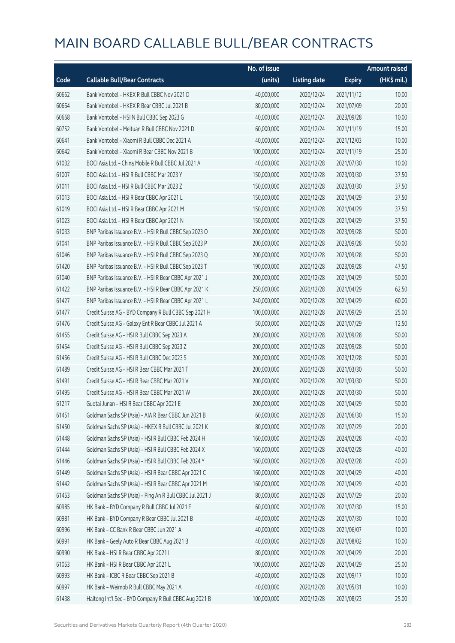|       |                                                          | No. of issue |                     |               | <b>Amount raised</b> |
|-------|----------------------------------------------------------|--------------|---------------------|---------------|----------------------|
| Code  | <b>Callable Bull/Bear Contracts</b>                      | (units)      | <b>Listing date</b> | <b>Expiry</b> | (HK\$ mil.)          |
| 60652 | Bank Vontobel - HKEX R Bull CBBC Nov 2021 D              | 40,000,000   | 2020/12/24          | 2021/11/12    | 10.00                |
| 60664 | Bank Vontobel - HKEX R Bear CBBC Jul 2021 B              | 80,000,000   | 2020/12/24          | 2021/07/09    | 20.00                |
| 60668 | Bank Vontobel - HSI N Bull CBBC Sep 2023 G               | 40,000,000   | 2020/12/24          | 2023/09/28    | 10.00                |
| 60752 | Bank Vontobel - Meituan R Bull CBBC Nov 2021 D           | 60,000,000   | 2020/12/24          | 2021/11/19    | 15.00                |
| 60641 | Bank Vontobel - Xiaomi R Bull CBBC Dec 2021 A            | 40,000,000   | 2020/12/24          | 2021/12/03    | 10.00                |
| 60642 | Bank Vontobel - Xiaomi R Bear CBBC Nov 2021 B            | 100,000,000  | 2020/12/24          | 2021/11/19    | 25.00                |
| 61032 | BOCI Asia Ltd. - China Mobile R Bull CBBC Jul 2021 A     | 40,000,000   | 2020/12/28          | 2021/07/30    | 10.00                |
| 61007 | BOCI Asia Ltd. - HSI R Bull CBBC Mar 2023 Y              | 150,000,000  | 2020/12/28          | 2023/03/30    | 37.50                |
| 61011 | BOCI Asia Ltd. - HSI R Bull CBBC Mar 2023 Z              | 150,000,000  | 2020/12/28          | 2023/03/30    | 37.50                |
| 61013 | BOCI Asia Ltd. - HSI R Bear CBBC Apr 2021 L              | 150,000,000  | 2020/12/28          | 2021/04/29    | 37.50                |
| 61019 | BOCI Asia Ltd. - HSI R Bear CBBC Apr 2021 M              | 150,000,000  | 2020/12/28          | 2021/04/29    | 37.50                |
| 61023 | BOCI Asia Ltd. - HSI R Bear CBBC Apr 2021 N              | 150,000,000  | 2020/12/28          | 2021/04/29    | 37.50                |
| 61033 | BNP Paribas Issuance B.V. - HSI R Bull CBBC Sep 2023 O   | 200,000,000  | 2020/12/28          | 2023/09/28    | 50.00                |
| 61041 | BNP Paribas Issuance B.V. - HSI R Bull CBBC Sep 2023 P   | 200,000,000  | 2020/12/28          | 2023/09/28    | 50.00                |
| 61046 | BNP Paribas Issuance B.V. - HSI R Bull CBBC Sep 2023 Q   | 200,000,000  | 2020/12/28          | 2023/09/28    | 50.00                |
| 61420 | BNP Paribas Issuance B.V. - HSI R Bull CBBC Sep 2023 T   | 190,000,000  | 2020/12/28          | 2023/09/28    | 47.50                |
| 61040 | BNP Paribas Issuance B.V. - HSI R Bear CBBC Apr 2021 J   | 200,000,000  | 2020/12/28          | 2021/04/29    | 50.00                |
| 61422 | BNP Paribas Issuance B.V. - HSI R Bear CBBC Apr 2021 K   | 250,000,000  | 2020/12/28          | 2021/04/29    | 62.50                |
| 61427 | BNP Paribas Issuance B.V. - HSI R Bear CBBC Apr 2021 L   | 240,000,000  | 2020/12/28          | 2021/04/29    | 60.00                |
| 61477 | Credit Suisse AG - BYD Company R Bull CBBC Sep 2021 H    | 100,000,000  | 2020/12/28          | 2021/09/29    | 25.00                |
| 61476 | Credit Suisse AG - Galaxy Ent R Bear CBBC Jul 2021 A     | 50,000,000   | 2020/12/28          | 2021/07/29    | 12.50                |
| 61455 | Credit Suisse AG - HSI R Bull CBBC Sep 2023 A            | 200,000,000  | 2020/12/28          | 2023/09/28    | 50.00                |
| 61454 | Credit Suisse AG - HSI R Bull CBBC Sep 2023 Z            | 200,000,000  | 2020/12/28          | 2023/09/28    | 50.00                |
| 61456 | Credit Suisse AG - HSI R Bull CBBC Dec 2023 S            | 200,000,000  | 2020/12/28          | 2023/12/28    | 50.00                |
| 61489 | Credit Suisse AG - HSI R Bear CBBC Mar 2021 T            | 200,000,000  | 2020/12/28          | 2021/03/30    | 50.00                |
| 61491 | Credit Suisse AG - HSI R Bear CBBC Mar 2021 V            | 200,000,000  | 2020/12/28          | 2021/03/30    | 50.00                |
| 61495 | Credit Suisse AG - HSI R Bear CBBC Mar 2021 W            | 200,000,000  | 2020/12/28          | 2021/03/30    | 50.00                |
| 61217 | Guotai Junan - HSI R Bear CBBC Apr 2021 E                | 200,000,000  | 2020/12/28          | 2021/04/29    | 50.00                |
| 61451 | Goldman Sachs SP (Asia) - AIA R Bear CBBC Jun 2021 B     | 60,000,000   | 2020/12/28          | 2021/06/30    | 15.00                |
| 61450 | Goldman Sachs SP (Asia) - HKEX R Bull CBBC Jul 2021 K    | 80,000,000   | 2020/12/28          | 2021/07/29    | 20.00                |
| 61448 | Goldman Sachs SP (Asia) - HSI R Bull CBBC Feb 2024 H     | 160,000,000  | 2020/12/28          | 2024/02/28    | 40.00                |
| 61444 | Goldman Sachs SP (Asia) - HSI R Bull CBBC Feb 2024 X     | 160,000,000  | 2020/12/28          | 2024/02/28    | 40.00                |
| 61446 | Goldman Sachs SP (Asia) - HSI R Bull CBBC Feb 2024 Y     | 160,000,000  | 2020/12/28          | 2024/02/28    | 40.00                |
| 61449 | Goldman Sachs SP (Asia) - HSI R Bear CBBC Apr 2021 C     | 160,000,000  | 2020/12/28          | 2021/04/29    | 40.00                |
| 61442 | Goldman Sachs SP (Asia) - HSI R Bear CBBC Apr 2021 M     | 160,000,000  | 2020/12/28          | 2021/04/29    | 40.00                |
| 61453 | Goldman Sachs SP (Asia) - Ping An R Bull CBBC Jul 2021 J | 80,000,000   | 2020/12/28          | 2021/07/29    | 20.00                |
| 60985 | HK Bank - BYD Company R Bull CBBC Jul 2021 E             | 60,000,000   | 2020/12/28          | 2021/07/30    | 15.00                |
| 60981 | HK Bank - BYD Company R Bear CBBC Jul 2021 B             | 40,000,000   | 2020/12/28          | 2021/07/30    | 10.00                |
| 60996 | HK Bank - CC Bank R Bear CBBC Jun 2021 A                 | 40,000,000   | 2020/12/28          | 2021/06/07    | 10.00                |
| 60991 | HK Bank - Geely Auto R Bear CBBC Aug 2021 B              | 40,000,000   | 2020/12/28          | 2021/08/02    | 10.00                |
| 60990 | HK Bank - HSI R Bear CBBC Apr 2021 I                     | 80,000,000   | 2020/12/28          | 2021/04/29    | 20.00                |
| 61053 | HK Bank - HSI R Bear CBBC Apr 2021 L                     | 100,000,000  | 2020/12/28          | 2021/04/29    | 25.00                |
| 60993 | HK Bank - ICBC R Bear CBBC Sep 2021 B                    | 40,000,000   | 2020/12/28          | 2021/09/17    | 10.00                |
| 60997 | HK Bank - Weimob R Bull CBBC May 2021 A                  | 40,000,000   | 2020/12/28          | 2021/05/31    | 10.00                |
| 61438 | Haitong Int'l Sec - BYD Company R Bull CBBC Aug 2021 B   | 100,000,000  | 2020/12/28          | 2021/08/23    | 25.00                |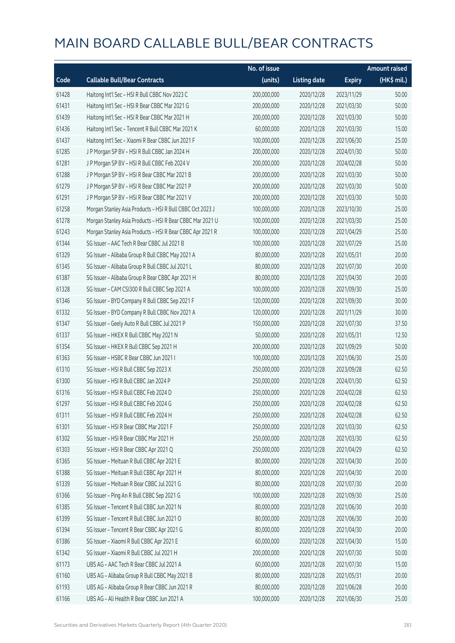|       |                                                           | No. of issue |                     |               | <b>Amount raised</b> |
|-------|-----------------------------------------------------------|--------------|---------------------|---------------|----------------------|
| Code  | <b>Callable Bull/Bear Contracts</b>                       | (units)      | <b>Listing date</b> | <b>Expiry</b> | (HK\$ mil.)          |
| 61428 | Haitong Int'l Sec - HSI R Bull CBBC Nov 2023 C            | 200,000,000  | 2020/12/28          | 2023/11/29    | 50.00                |
| 61431 | Haitong Int'l Sec - HSI R Bear CBBC Mar 2021 G            | 200,000,000  | 2020/12/28          | 2021/03/30    | 50.00                |
| 61439 | Haitong Int'l Sec - HSI R Bear CBBC Mar 2021 H            | 200,000,000  | 2020/12/28          | 2021/03/30    | 50.00                |
| 61436 | Haitong Int'l Sec - Tencent R Bull CBBC Mar 2021 K        | 60,000,000   | 2020/12/28          | 2021/03/30    | 15.00                |
| 61437 | Haitong Int'l Sec - Xiaomi R Bear CBBC Jun 2021 F         | 100,000,000  | 2020/12/28          | 2021/06/30    | 25.00                |
| 61285 | J P Morgan SP BV - HSI R Bull CBBC Jan 2024 H             | 200,000,000  | 2020/12/28          | 2024/01/30    | 50.00                |
| 61281 | J P Morgan SP BV - HSI R Bull CBBC Feb 2024 V             | 200,000,000  | 2020/12/28          | 2024/02/28    | 50.00                |
| 61288 | J P Morgan SP BV - HSI R Bear CBBC Mar 2021 B             | 200,000,000  | 2020/12/28          | 2021/03/30    | 50.00                |
| 61279 | J P Morgan SP BV - HSI R Bear CBBC Mar 2021 P             | 200,000,000  | 2020/12/28          | 2021/03/30    | 50.00                |
| 61291 | J P Morgan SP BV - HSI R Bear CBBC Mar 2021 V             | 200,000,000  | 2020/12/28          | 2021/03/30    | 50.00                |
| 61258 | Morgan Stanley Asia Products - HSI R Bull CBBC Oct 2023 J | 100,000,000  | 2020/12/28          | 2023/10/30    | 25.00                |
| 61278 | Morgan Stanley Asia Products - HSI R Bear CBBC Mar 2021 U | 100,000,000  | 2020/12/28          | 2021/03/30    | 25.00                |
| 61243 | Morgan Stanley Asia Products - HSI R Bear CBBC Apr 2021 R | 100,000,000  | 2020/12/28          | 2021/04/29    | 25.00                |
| 61344 | SG Issuer - AAC Tech R Bear CBBC Jul 2021 B               | 100,000,000  | 2020/12/28          | 2021/07/29    | 25.00                |
| 61329 | SG Issuer - Alibaba Group R Bull CBBC May 2021 A          | 80,000,000   | 2020/12/28          | 2021/05/31    | 20.00                |
| 61345 | SG Issuer - Alibaba Group R Bull CBBC Jul 2021 L          | 80,000,000   | 2020/12/28          | 2021/07/30    | 20.00                |
| 61387 | SG Issuer - Alibaba Group R Bear CBBC Apr 2021 H          | 80,000,000   | 2020/12/28          | 2021/04/30    | 20.00                |
| 61328 | SG Issuer - CAM CSI300 R Bull CBBC Sep 2021 A             | 100,000,000  | 2020/12/28          | 2021/09/30    | 25.00                |
| 61346 | SG Issuer - BYD Company R Bull CBBC Sep 2021 F            | 120,000,000  | 2020/12/28          | 2021/09/30    | 30.00                |
| 61332 | SG Issuer - BYD Company R Bull CBBC Nov 2021 A            | 120,000,000  | 2020/12/28          | 2021/11/29    | 30.00                |
| 61347 | SG Issuer - Geely Auto R Bull CBBC Jul 2021 P             | 150,000,000  | 2020/12/28          | 2021/07/30    | 37.50                |
| 61337 | SG Issuer - HKEX R Bull CBBC May 2021 N                   | 50,000,000   | 2020/12/28          | 2021/05/31    | 12.50                |
| 61354 | SG Issuer - HKEX R Bull CBBC Sep 2021 H                   | 200,000,000  | 2020/12/28          | 2021/09/29    | 50.00                |
| 61363 | SG Issuer - HSBC R Bear CBBC Jun 2021 I                   | 100,000,000  | 2020/12/28          | 2021/06/30    | 25.00                |
| 61310 | SG Issuer - HSI R Bull CBBC Sep 2023 X                    | 250,000,000  | 2020/12/28          | 2023/09/28    | 62.50                |
| 61300 | SG Issuer - HSI R Bull CBBC Jan 2024 P                    | 250,000,000  | 2020/12/28          | 2024/01/30    | 62.50                |
| 61316 | SG Issuer - HSI R Bull CBBC Feb 2024 D                    | 250,000,000  | 2020/12/28          | 2024/02/28    | 62.50                |
| 61297 | SG Issuer – HSI R Bull CBBC Feb 2024 G                    | 250,000,000  | 2020/12/28          | 2024/02/28    | 62.50                |
| 61311 | SG Issuer - HSI R Bull CBBC Feb 2024 H                    | 250,000,000  | 2020/12/28          | 2024/02/28    | 62.50                |
| 61301 | SG Issuer - HSI R Bear CBBC Mar 2021 F                    | 250,000,000  | 2020/12/28          | 2021/03/30    | 62.50                |
| 61302 | SG Issuer - HSI R Bear CBBC Mar 2021 H                    | 250,000,000  | 2020/12/28          | 2021/03/30    | 62.50                |
| 61303 | SG Issuer - HSI R Bear CBBC Apr 2021 Q                    | 250,000,000  | 2020/12/28          | 2021/04/29    | 62.50                |
| 61365 | SG Issuer - Meituan R Bull CBBC Apr 2021 E                | 80,000,000   | 2020/12/28          | 2021/04/30    | 20.00                |
| 61388 | SG Issuer - Meituan R Bull CBBC Apr 2021 H                | 80,000,000   | 2020/12/28          | 2021/04/30    | 20.00                |
| 61339 | SG Issuer - Meituan R Bear CBBC Jul 2021 G                | 80,000,000   | 2020/12/28          | 2021/07/30    | 20.00                |
| 61366 | SG Issuer - Ping An R Bull CBBC Sep 2021 G                | 100,000,000  | 2020/12/28          | 2021/09/30    | 25.00                |
| 61385 | SG Issuer - Tencent R Bull CBBC Jun 2021 N                | 80,000,000   | 2020/12/28          | 2021/06/30    | 20.00                |
| 61399 | SG Issuer - Tencent R Bull CBBC Jun 2021 O                | 80,000,000   | 2020/12/28          | 2021/06/30    | 20.00                |
| 61394 | SG Issuer - Tencent R Bear CBBC Apr 2021 G                | 80,000,000   | 2020/12/28          | 2021/04/30    | 20.00                |
| 61386 | SG Issuer - Xiaomi R Bull CBBC Apr 2021 E                 | 60,000,000   | 2020/12/28          | 2021/04/30    | 15.00                |
| 61342 | SG Issuer - Xiaomi R Bull CBBC Jul 2021 H                 | 200,000,000  | 2020/12/28          | 2021/07/30    | 50.00                |
| 61173 | UBS AG - AAC Tech R Bear CBBC Jul 2021 A                  | 60,000,000   | 2020/12/28          | 2021/07/30    | 15.00                |
| 61160 | UBS AG - Alibaba Group R Bull CBBC May 2021 B             | 80,000,000   | 2020/12/28          | 2021/05/31    | 20.00                |
| 61193 | UBS AG - Alibaba Group R Bear CBBC Jun 2021 R             | 80,000,000   | 2020/12/28          | 2021/06/28    | 20.00                |
| 61166 | UBS AG - Ali Health R Bear CBBC Jun 2021 A                | 100,000,000  | 2020/12/28          | 2021/06/30    | 25.00                |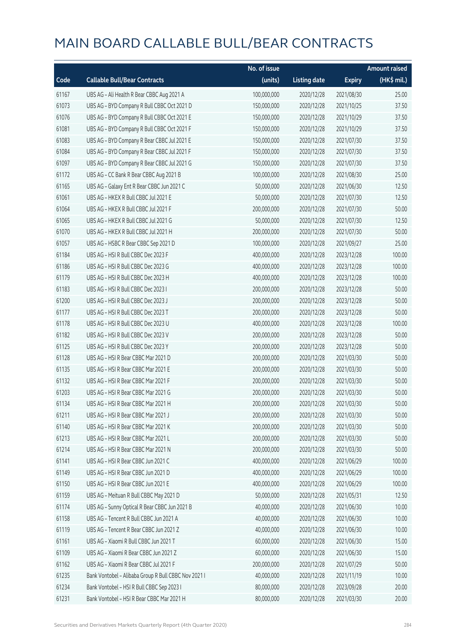|       |                                                      | No. of issue |                     |               | <b>Amount raised</b> |
|-------|------------------------------------------------------|--------------|---------------------|---------------|----------------------|
| Code  | <b>Callable Bull/Bear Contracts</b>                  | (units)      | <b>Listing date</b> | <b>Expiry</b> | (HK\$ mil.)          |
| 61167 | UBS AG - Ali Health R Bear CBBC Aug 2021 A           | 100,000,000  | 2020/12/28          | 2021/08/30    | 25.00                |
| 61073 | UBS AG - BYD Company R Bull CBBC Oct 2021 D          | 150,000,000  | 2020/12/28          | 2021/10/25    | 37.50                |
| 61076 | UBS AG - BYD Company R Bull CBBC Oct 2021 E          | 150,000,000  | 2020/12/28          | 2021/10/29    | 37.50                |
| 61081 | UBS AG - BYD Company R Bull CBBC Oct 2021 F          | 150,000,000  | 2020/12/28          | 2021/10/29    | 37.50                |
| 61083 | UBS AG - BYD Company R Bear CBBC Jul 2021 E          | 150,000,000  | 2020/12/28          | 2021/07/30    | 37.50                |
| 61084 | UBS AG - BYD Company R Bear CBBC Jul 2021 F          | 150,000,000  | 2020/12/28          | 2021/07/30    | 37.50                |
| 61097 | UBS AG - BYD Company R Bear CBBC Jul 2021 G          | 150,000,000  | 2020/12/28          | 2021/07/30    | 37.50                |
| 61172 | UBS AG - CC Bank R Bear CBBC Aug 2021 B              | 100,000,000  | 2020/12/28          | 2021/08/30    | 25.00                |
| 61165 | UBS AG - Galaxy Ent R Bear CBBC Jun 2021 C           | 50,000,000   | 2020/12/28          | 2021/06/30    | 12.50                |
| 61061 | UBS AG - HKEX R Bull CBBC Jul 2021 E                 | 50,000,000   | 2020/12/28          | 2021/07/30    | 12.50                |
| 61064 | UBS AG - HKEX R Bull CBBC Jul 2021 F                 | 200,000,000  | 2020/12/28          | 2021/07/30    | 50.00                |
| 61065 | UBS AG - HKEX R Bull CBBC Jul 2021 G                 | 50,000,000   | 2020/12/28          | 2021/07/30    | 12.50                |
| 61070 | UBS AG - HKEX R Bull CBBC Jul 2021 H                 | 200,000,000  | 2020/12/28          | 2021/07/30    | 50.00                |
| 61057 | UBS AG - HSBC R Bear CBBC Sep 2021 D                 | 100,000,000  | 2020/12/28          | 2021/09/27    | 25.00                |
| 61184 | UBS AG - HSI R Bull CBBC Dec 2023 F                  | 400,000,000  | 2020/12/28          | 2023/12/28    | 100.00               |
| 61186 | UBS AG - HSI R Bull CBBC Dec 2023 G                  | 400,000,000  | 2020/12/28          | 2023/12/28    | 100.00               |
| 61179 | UBS AG - HSI R Bull CBBC Dec 2023 H                  | 400,000,000  | 2020/12/28          | 2023/12/28    | 100.00               |
| 61183 | UBS AG - HSI R Bull CBBC Dec 2023 I                  | 200,000,000  | 2020/12/28          | 2023/12/28    | 50.00                |
| 61200 | UBS AG - HSI R Bull CBBC Dec 2023 J                  | 200,000,000  | 2020/12/28          | 2023/12/28    | 50.00                |
| 61177 | UBS AG - HSI R Bull CBBC Dec 2023 T                  | 200,000,000  | 2020/12/28          | 2023/12/28    | 50.00                |
| 61178 | UBS AG - HSI R Bull CBBC Dec 2023 U                  | 400,000,000  | 2020/12/28          | 2023/12/28    | 100.00               |
| 61182 | UBS AG - HSI R Bull CBBC Dec 2023 V                  | 200,000,000  | 2020/12/28          | 2023/12/28    | 50.00                |
| 61125 | UBS AG - HSI R Bull CBBC Dec 2023 Y                  | 200,000,000  | 2020/12/28          | 2023/12/28    | 50.00                |
| 61128 | UBS AG - HSI R Bear CBBC Mar 2021 D                  | 200,000,000  | 2020/12/28          | 2021/03/30    | 50.00                |
| 61135 | UBS AG - HSI R Bear CBBC Mar 2021 E                  | 200,000,000  | 2020/12/28          | 2021/03/30    | 50.00                |
| 61132 | UBS AG - HSI R Bear CBBC Mar 2021 F                  | 200,000,000  | 2020/12/28          | 2021/03/30    | 50.00                |
| 61203 | UBS AG - HSI R Bear CBBC Mar 2021 G                  | 200,000,000  | 2020/12/28          | 2021/03/30    | 50.00                |
| 61134 | UBS AG - HSI R Bear CBBC Mar 2021 H                  | 200,000,000  | 2020/12/28          | 2021/03/30    | 50.00                |
| 61211 | UBS AG - HSI R Bear CBBC Mar 2021 J                  | 200,000,000  | 2020/12/28          | 2021/03/30    | 50.00                |
| 61140 | UBS AG - HSI R Bear CBBC Mar 2021 K                  | 200,000,000  | 2020/12/28          | 2021/03/30    | 50.00                |
| 61213 | UBS AG - HSI R Bear CBBC Mar 2021 L                  | 200,000,000  | 2020/12/28          | 2021/03/30    | 50.00                |
| 61214 | UBS AG - HSI R Bear CBBC Mar 2021 N                  | 200,000,000  | 2020/12/28          | 2021/03/30    | 50.00                |
| 61141 | UBS AG - HSI R Bear CBBC Jun 2021 C                  | 400,000,000  | 2020/12/28          | 2021/06/29    | 100.00               |
| 61149 | UBS AG - HSI R Bear CBBC Jun 2021 D                  | 400,000,000  | 2020/12/28          | 2021/06/29    | 100.00               |
| 61150 | UBS AG - HSI R Bear CBBC Jun 2021 E                  | 400,000,000  | 2020/12/28          | 2021/06/29    | 100.00               |
| 61159 | UBS AG - Meituan R Bull CBBC May 2021 D              | 50,000,000   | 2020/12/28          | 2021/05/31    | 12.50                |
| 61174 | UBS AG - Sunny Optical R Bear CBBC Jun 2021 B        | 40,000,000   | 2020/12/28          | 2021/06/30    | 10.00                |
| 61158 | UBS AG - Tencent R Bull CBBC Jun 2021 A              | 40,000,000   | 2020/12/28          | 2021/06/30    | 10.00                |
| 61119 | UBS AG - Tencent R Bear CBBC Jun 2021 Z              | 40,000,000   | 2020/12/28          | 2021/06/30    | 10.00                |
| 61161 | UBS AG - Xiaomi R Bull CBBC Jun 2021 T               | 60,000,000   | 2020/12/28          | 2021/06/30    | 15.00                |
| 61109 | UBS AG - Xiaomi R Bear CBBC Jun 2021 Z               | 60,000,000   | 2020/12/28          | 2021/06/30    | 15.00                |
| 61162 | UBS AG - Xiaomi R Bear CBBC Jul 2021 F               | 200,000,000  | 2020/12/28          | 2021/07/29    | 50.00                |
| 61235 | Bank Vontobel - Alibaba Group R Bull CBBC Nov 2021 I | 40,000,000   | 2020/12/28          | 2021/11/19    | 10.00                |
| 61234 | Bank Vontobel - HSI R Bull CBBC Sep 2023 I           | 80,000,000   | 2020/12/28          | 2023/09/28    | 20.00                |
| 61231 | Bank Vontobel - HSI R Bear CBBC Mar 2021 H           | 80,000,000   | 2020/12/28          | 2021/03/30    | 20.00                |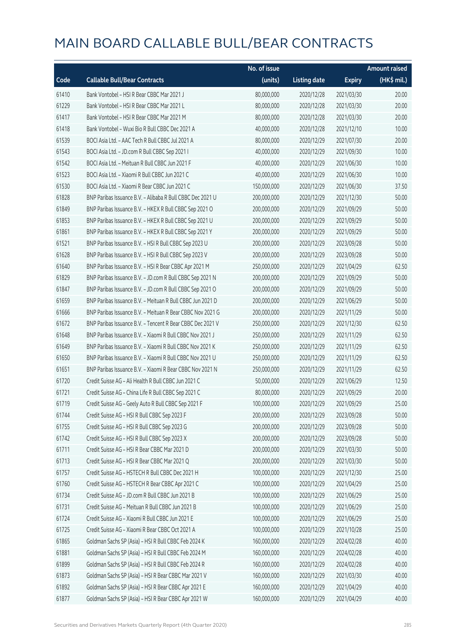|       |                                                            | No. of issue |                     |               | <b>Amount raised</b> |
|-------|------------------------------------------------------------|--------------|---------------------|---------------|----------------------|
| Code  | <b>Callable Bull/Bear Contracts</b>                        | (units)      | <b>Listing date</b> | <b>Expiry</b> | (HK\$ mil.)          |
| 61410 | Bank Vontobel - HSI R Bear CBBC Mar 2021 J                 | 80,000,000   | 2020/12/28          | 2021/03/30    | 20.00                |
| 61229 | Bank Vontobel - HSI R Bear CBBC Mar 2021 L                 | 80,000,000   | 2020/12/28          | 2021/03/30    | 20.00                |
| 61417 | Bank Vontobel - HSI R Bear CBBC Mar 2021 M                 | 80,000,000   | 2020/12/28          | 2021/03/30    | 20.00                |
| 61418 | Bank Vontobel - Wuxi Bio R Bull CBBC Dec 2021 A            | 40,000,000   | 2020/12/28          | 2021/12/10    | 10.00                |
| 61539 | BOCI Asia Ltd. - AAC Tech R Bull CBBC Jul 2021 A           | 80,000,000   | 2020/12/29          | 2021/07/30    | 20.00                |
| 61543 | BOCI Asia Ltd. - JD.com R Bull CBBC Sep 2021 I             | 40,000,000   | 2020/12/29          | 2021/09/30    | 10.00                |
| 61542 | BOCI Asia Ltd. - Meituan R Bull CBBC Jun 2021 F            | 40,000,000   | 2020/12/29          | 2021/06/30    | 10.00                |
| 61523 | BOCI Asia Ltd. - Xiaomi R Bull CBBC Jun 2021 C             | 40,000,000   | 2020/12/29          | 2021/06/30    | 10.00                |
| 61530 | BOCI Asia Ltd. - Xiaomi R Bear CBBC Jun 2021 C             | 150,000,000  | 2020/12/29          | 2021/06/30    | 37.50                |
| 61828 | BNP Paribas Issuance B.V. - Alibaba R Bull CBBC Dec 2021 U | 200,000,000  | 2020/12/29          | 2021/12/30    | 50.00                |
| 61849 | BNP Paribas Issuance B.V. - HKEX R Bull CBBC Sep 2021 O    | 200,000,000  | 2020/12/29          | 2021/09/29    | 50.00                |
| 61853 | BNP Paribas Issuance B.V. - HKEX R Bull CBBC Sep 2021 U    | 200,000,000  | 2020/12/29          | 2021/09/29    | 50.00                |
| 61861 | BNP Paribas Issuance B.V. - HKEX R Bull CBBC Sep 2021 Y    | 200,000,000  | 2020/12/29          | 2021/09/29    | 50.00                |
| 61521 | BNP Paribas Issuance B.V. - HSI R Bull CBBC Sep 2023 U     | 200,000,000  | 2020/12/29          | 2023/09/28    | 50.00                |
| 61628 | BNP Paribas Issuance B.V. - HSI R Bull CBBC Sep 2023 V     | 200,000,000  | 2020/12/29          | 2023/09/28    | 50.00                |
| 61640 | BNP Paribas Issuance B.V. - HSI R Bear CBBC Apr 2021 M     | 250,000,000  | 2020/12/29          | 2021/04/29    | 62.50                |
| 61829 | BNP Paribas Issuance B.V. - JD.com R Bull CBBC Sep 2021 N  | 200,000,000  | 2020/12/29          | 2021/09/29    | 50.00                |
| 61847 | BNP Paribas Issuance B.V. - JD.com R Bull CBBC Sep 2021 O  | 200,000,000  | 2020/12/29          | 2021/09/29    | 50.00                |
| 61659 | BNP Paribas Issuance B.V. - Meituan R Bull CBBC Jun 2021 D | 200,000,000  | 2020/12/29          | 2021/06/29    | 50.00                |
| 61666 | BNP Paribas Issuance B.V. - Meituan R Bear CBBC Nov 2021 G | 200,000,000  | 2020/12/29          | 2021/11/29    | 50.00                |
| 61672 | BNP Paribas Issuance B.V. - Tencent R Bear CBBC Dec 2021 V | 250,000,000  | 2020/12/29          | 2021/12/30    | 62.50                |
| 61648 | BNP Paribas Issuance B.V. - Xiaomi R Bull CBBC Nov 2021 J  | 250,000,000  | 2020/12/29          | 2021/11/29    | 62.50                |
| 61649 | BNP Paribas Issuance B.V. - Xiaomi R Bull CBBC Nov 2021 K  | 250,000,000  | 2020/12/29          | 2021/11/29    | 62.50                |
| 61650 | BNP Paribas Issuance B.V. - Xiaomi R Bull CBBC Nov 2021 U  | 250,000,000  | 2020/12/29          | 2021/11/29    | 62.50                |
| 61651 | BNP Paribas Issuance B.V. - Xiaomi R Bear CBBC Nov 2021 N  | 250,000,000  | 2020/12/29          | 2021/11/29    | 62.50                |
| 61720 | Credit Suisse AG - Ali Health R Bull CBBC Jun 2021 C       | 50,000,000   | 2020/12/29          | 2021/06/29    | 12.50                |
| 61721 | Credit Suisse AG - China Life R Bull CBBC Sep 2021 C       | 80,000,000   | 2020/12/29          | 2021/09/29    | 20.00                |
| 61719 | Credit Suisse AG - Geely Auto R Bull CBBC Sep 2021 F       | 100,000,000  | 2020/12/29          | 2021/09/29    | 25.00                |
| 61744 | Credit Suisse AG - HSI R Bull CBBC Sep 2023 F              | 200,000,000  | 2020/12/29          | 2023/09/28    | 50.00                |
| 61755 | Credit Suisse AG - HSI R Bull CBBC Sep 2023 G              | 200,000,000  | 2020/12/29          | 2023/09/28    | 50.00                |
| 61742 | Credit Suisse AG - HSI R Bull CBBC Sep 2023 X              | 200,000,000  | 2020/12/29          | 2023/09/28    | 50.00                |
| 61711 | Credit Suisse AG - HSI R Bear CBBC Mar 2021 D              | 200,000,000  | 2020/12/29          | 2021/03/30    | 50.00                |
| 61713 | Credit Suisse AG - HSI R Bear CBBC Mar 2021 Q              | 200,000,000  | 2020/12/29          | 2021/03/30    | 50.00                |
| 61757 | Credit Suisse AG - HSTECH R Bull CBBC Dec 2021 H           | 100,000,000  | 2020/12/29          | 2021/12/30    | 25.00                |
| 61760 | Credit Suisse AG - HSTECH R Bear CBBC Apr 2021 C           | 100,000,000  | 2020/12/29          | 2021/04/29    | 25.00                |
| 61734 | Credit Suisse AG - JD.com R Bull CBBC Jun 2021 B           | 100,000,000  | 2020/12/29          | 2021/06/29    | 25.00                |
| 61731 | Credit Suisse AG - Meituan R Bull CBBC Jun 2021 B          | 100,000,000  | 2020/12/29          | 2021/06/29    | 25.00                |
| 61724 | Credit Suisse AG - Xiaomi R Bull CBBC Jun 2021 E           | 100,000,000  | 2020/12/29          | 2021/06/29    | 25.00                |
| 61725 | Credit Suisse AG - Xiaomi R Bear CBBC Oct 2021 A           | 100,000,000  | 2020/12/29          | 2021/10/28    | 25.00                |
| 61865 | Goldman Sachs SP (Asia) - HSI R Bull CBBC Feb 2024 K       | 160,000,000  | 2020/12/29          | 2024/02/28    | 40.00                |
| 61881 | Goldman Sachs SP (Asia) - HSI R Bull CBBC Feb 2024 M       | 160,000,000  | 2020/12/29          | 2024/02/28    | 40.00                |
| 61899 | Goldman Sachs SP (Asia) - HSI R Bull CBBC Feb 2024 R       | 160,000,000  | 2020/12/29          | 2024/02/28    | 40.00                |
| 61873 | Goldman Sachs SP (Asia) - HSI R Bear CBBC Mar 2021 V       | 160,000,000  | 2020/12/29          | 2021/03/30    | 40.00                |
| 61892 | Goldman Sachs SP (Asia) - HSI R Bear CBBC Apr 2021 E       | 160,000,000  | 2020/12/29          | 2021/04/29    | 40.00                |
| 61877 | Goldman Sachs SP (Asia) - HSI R Bear CBBC Apr 2021 W       | 160,000,000  | 2020/12/29          | 2021/04/29    | 40.00                |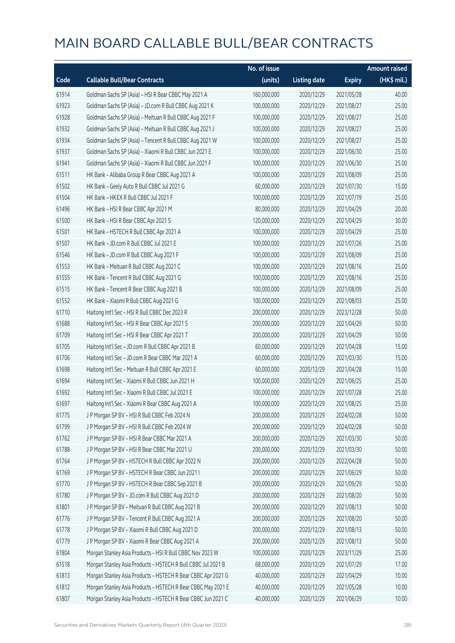|       |                                                              | No. of issue |                     |               | <b>Amount raised</b>  |
|-------|--------------------------------------------------------------|--------------|---------------------|---------------|-----------------------|
| Code  | <b>Callable Bull/Bear Contracts</b>                          | (units)      | <b>Listing date</b> | <b>Expiry</b> | $(HK\frac{1}{2}mil.)$ |
| 61914 | Goldman Sachs SP (Asia) - HSI R Bear CBBC May 2021 A         | 160,000,000  | 2020/12/29          | 2021/05/28    | 40.00                 |
| 61923 | Goldman Sachs SP (Asia) - JD.com R Bull CBBC Aug 2021 K      | 100,000,000  | 2020/12/29          | 2021/08/27    | 25.00                 |
| 61928 | Goldman Sachs SP (Asia) - Meituan R Bull CBBC Aug 2021 F     | 100,000,000  | 2020/12/29          | 2021/08/27    | 25.00                 |
| 61932 | Goldman Sachs SP (Asia) - Meituan R Bull CBBC Aug 2021 J     | 100,000,000  | 2020/12/29          | 2021/08/27    | 25.00                 |
| 61934 | Goldman Sachs SP (Asia) - Tencent R Bull CBBC Aug 2021 W     | 100,000,000  | 2020/12/29          | 2021/08/27    | 25.00                 |
| 61937 | Goldman Sachs SP (Asia) - Xiaomi R Bull CBBC Jun 2021 E      | 100,000,000  | 2020/12/29          | 2021/06/30    | 25.00                 |
| 61941 | Goldman Sachs SP (Asia) - Xiaomi R Bull CBBC Jun 2021 F      | 100,000,000  | 2020/12/29          | 2021/06/30    | 25.00                 |
| 61511 | HK Bank - Alibaba Group R Bear CBBC Aug 2021 A               | 100,000,000  | 2020/12/29          | 2021/08/09    | 25.00                 |
| 61502 | HK Bank - Geely Auto R Bull CBBC Jul 2021 G                  | 60,000,000   | 2020/12/29          | 2021/07/30    | 15.00                 |
| 61504 | HK Bank - HKEX R Bull CBBC Jul 2021 F                        | 100,000,000  | 2020/12/29          | 2021/07/19    | 25.00                 |
| 61496 | HK Bank - HSI R Bear CBBC Apr 2021 M                         | 80,000,000   | 2020/12/29          | 2021/04/29    | 20.00                 |
| 61500 | HK Bank - HSI R Bear CBBC Apr 2021 S                         | 120,000,000  | 2020/12/29          | 2021/04/29    | 30.00                 |
| 61501 | HK Bank - HSTECH R Bull CBBC Apr 2021 A                      | 100,000,000  | 2020/12/29          | 2021/04/29    | 25.00                 |
| 61507 | HK Bank - JD.com R Bull CBBC Jul 2021 E                      | 100,000,000  | 2020/12/29          | 2021/07/26    | 25.00                 |
| 61546 | HK Bank - JD.com R Bull CBBC Aug 2021 F                      | 100,000,000  | 2020/12/29          | 2021/08/09    | 25.00                 |
| 61553 | HK Bank - Meituan R Bull CBBC Aug 2021 C                     | 100,000,000  | 2020/12/29          | 2021/08/16    | 25.00                 |
| 61555 | HK Bank - Tencent R Bull CBBC Aug 2021 G                     | 100,000,000  | 2020/12/29          | 2021/08/16    | 25.00                 |
| 61515 | HK Bank - Tencent R Bear CBBC Aug 2021 B                     | 100,000,000  | 2020/12/29          | 2021/08/09    | 25.00                 |
| 61552 | HK Bank - Xiaomi R Bull CBBC Aug 2021 G                      | 100,000,000  | 2020/12/29          | 2021/08/03    | 25.00                 |
| 61710 | Haitong Int'l Sec - HSI R Bull CBBC Dec 2023 R               | 200,000,000  | 2020/12/29          | 2023/12/28    | 50.00                 |
| 61688 | Haitong Int'l Sec - HSI R Bear CBBC Apr 2021 S               | 200,000,000  | 2020/12/29          | 2021/04/29    | 50.00                 |
| 61709 | Haitong Int'l Sec - HSI R Bear CBBC Apr 2021 T               | 200,000,000  | 2020/12/29          | 2021/04/29    | 50.00                 |
| 61705 | Haitong Int'l Sec - JD.com R Bull CBBC Apr 2021 B            | 60,000,000   | 2020/12/29          | 2021/04/28    | 15.00                 |
| 61706 | Haitong Int'l Sec - JD.com R Bear CBBC Mar 2021 A            | 60,000,000   | 2020/12/29          | 2021/03/30    | 15.00                 |
| 61698 | Haitong Int'l Sec - Meituan R Bull CBBC Apr 2021 E           | 60,000,000   | 2020/12/29          | 2021/04/28    | 15.00                 |
| 61694 | Haitong Int'l Sec - Xiaomi R Bull CBBC Jun 2021 H            | 100,000,000  | 2020/12/29          | 2021/06/25    | 25.00                 |
| 61692 | Haitong Int'l Sec - Xiaomi R Bull CBBC Jul 2021 E            | 100,000,000  | 2020/12/29          | 2021/07/28    | 25.00                 |
| 61697 | Haitong Int'l Sec - Xiaomi R Bear CBBC Aug 2021 A            | 100,000,000  | 2020/12/29          | 2021/08/25    | 25.00                 |
| 61775 | J P Morgan SP BV - HSI R Bull CBBC Feb 2024 N                | 200,000,000  | 2020/12/29          | 2024/02/28    | 50.00                 |
| 61799 | J P Morgan SP BV - HSI R Bull CBBC Feb 2024 W                | 200,000,000  | 2020/12/29          | 2024/02/28    | 50.00                 |
| 61762 | J P Morgan SP BV - HSI R Bear CBBC Mar 2021 A                | 200,000,000  | 2020/12/29          | 2021/03/30    | 50.00                 |
| 61788 | J P Morgan SP BV - HSI R Bear CBBC Mar 2021 U                | 200,000,000  | 2020/12/29          | 2021/03/30    | 50.00                 |
| 61764 | J P Morgan SP BV - HSTECH R Bull CBBC Apr 2022 N             | 200,000,000  | 2020/12/29          | 2022/04/28    | 50.00                 |
| 61769 | JP Morgan SP BV - HSTECH R Bear CBBC Jun 2021 I              | 200,000,000  | 2020/12/29          | 2021/06/29    | 50.00                 |
| 61770 | JP Morgan SP BV - HSTECH R Bear CBBC Sep 2021 B              | 200,000,000  | 2020/12/29          | 2021/09/29    | 50.00                 |
| 61780 | J P Morgan SP BV - JD.com R Bull CBBC Aug 2021 D             | 200,000,000  | 2020/12/29          | 2021/08/20    | 50.00                 |
| 61801 | J P Morgan SP BV - Meituan R Bull CBBC Aug 2021 B            | 200,000,000  | 2020/12/29          | 2021/08/13    | 50.00                 |
| 61776 | J P Morgan SP BV - Tencent R Bull CBBC Aug 2021 A            | 200,000,000  | 2020/12/29          | 2021/08/20    | 50.00                 |
| 61778 | J P Morgan SP BV - Xiaomi R Bull CBBC Aug 2021 D             | 200,000,000  | 2020/12/29          | 2021/08/13    | 50.00                 |
| 61779 | J P Morgan SP BV - Xiaomi R Bear CBBC Aug 2021 A             | 200,000,000  | 2020/12/29          | 2021/08/13    | 50.00                 |
| 61804 | Morgan Stanley Asia Products - HSI R Bull CBBC Nov 2023 W    | 100,000,000  | 2020/12/29          | 2023/11/29    | 25.00                 |
| 61518 | Morgan Stanley Asia Products - HSTECH R Bull CBBC Jul 2021 B | 68,000,000   | 2020/12/29          | 2021/07/29    | 17.00                 |
| 61813 | Morgan Stanley Asia Products - HSTECH R Bear CBBC Apr 2021 G | 40,000,000   | 2020/12/29          | 2021/04/29    | 10.00                 |
| 61812 | Morgan Stanley Asia Products - HSTECH R Bear CBBC May 2021 E | 40,000,000   | 2020/12/29          | 2021/05/28    | 10.00                 |
| 61807 | Morgan Stanley Asia Products - HSTECH R Bear CBBC Jun 2021 C | 40,000,000   | 2020/12/29          | 2021/06/29    | 10.00                 |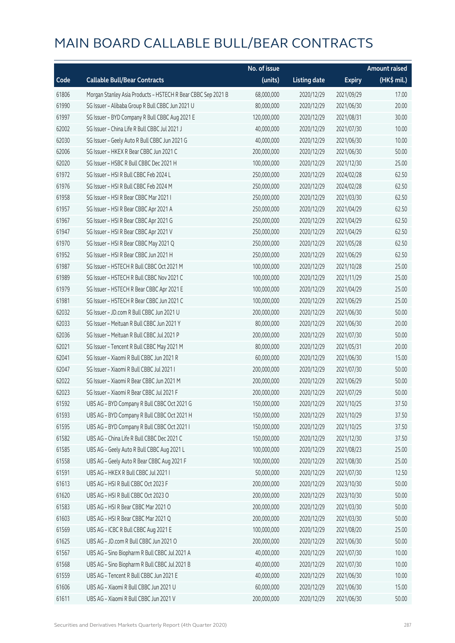|       |                                                              | No. of issue |                     |               | <b>Amount raised</b>  |
|-------|--------------------------------------------------------------|--------------|---------------------|---------------|-----------------------|
| Code  | <b>Callable Bull/Bear Contracts</b>                          | (units)      | <b>Listing date</b> | <b>Expiry</b> | $(HK\frac{1}{2}mil.)$ |
| 61806 | Morgan Stanley Asia Products - HSTECH R Bear CBBC Sep 2021 B | 68,000,000   | 2020/12/29          | 2021/09/29    | 17.00                 |
| 61990 | SG Issuer - Alibaba Group R Bull CBBC Jun 2021 U             | 80,000,000   | 2020/12/29          | 2021/06/30    | 20.00                 |
| 61997 | SG Issuer - BYD Company R Bull CBBC Aug 2021 E               | 120,000,000  | 2020/12/29          | 2021/08/31    | 30.00                 |
| 62002 | SG Issuer - China Life R Bull CBBC Jul 2021 J                | 40,000,000   | 2020/12/29          | 2021/07/30    | 10.00                 |
| 62030 | SG Issuer - Geely Auto R Bull CBBC Jun 2021 G                | 40,000,000   | 2020/12/29          | 2021/06/30    | 10.00                 |
| 62006 | SG Issuer - HKEX R Bear CBBC Jun 2021 C                      | 200,000,000  | 2020/12/29          | 2021/06/30    | 50.00                 |
| 62020 | SG Issuer - HSBC R Bull CBBC Dec 2021 H                      | 100,000,000  | 2020/12/29          | 2021/12/30    | 25.00                 |
| 61972 | SG Issuer - HSI R Bull CBBC Feb 2024 L                       | 250,000,000  | 2020/12/29          | 2024/02/28    | 62.50                 |
| 61976 | SG Issuer - HSI R Bull CBBC Feb 2024 M                       | 250,000,000  | 2020/12/29          | 2024/02/28    | 62.50                 |
| 61958 | SG Issuer - HSI R Bear CBBC Mar 2021 I                       | 250,000,000  | 2020/12/29          | 2021/03/30    | 62.50                 |
| 61957 | SG Issuer - HSI R Bear CBBC Apr 2021 A                       | 250,000,000  | 2020/12/29          | 2021/04/29    | 62.50                 |
| 61967 | SG Issuer - HSI R Bear CBBC Apr 2021 G                       | 250,000,000  | 2020/12/29          | 2021/04/29    | 62.50                 |
| 61947 | SG Issuer - HSI R Bear CBBC Apr 2021 V                       | 250,000,000  | 2020/12/29          | 2021/04/29    | 62.50                 |
| 61970 | SG Issuer - HSI R Bear CBBC May 2021 Q                       | 250,000,000  | 2020/12/29          | 2021/05/28    | 62.50                 |
| 61952 | SG Issuer - HSI R Bear CBBC Jun 2021 H                       | 250,000,000  | 2020/12/29          | 2021/06/29    | 62.50                 |
| 61987 | SG Issuer - HSTECH R Bull CBBC Oct 2021 M                    | 100,000,000  | 2020/12/29          | 2021/10/28    | 25.00                 |
| 61989 | SG Issuer - HSTECH R Bull CBBC Nov 2021 C                    | 100,000,000  | 2020/12/29          | 2021/11/29    | 25.00                 |
| 61979 | SG Issuer - HSTECH R Bear CBBC Apr 2021 E                    | 100,000,000  | 2020/12/29          | 2021/04/29    | 25.00                 |
| 61981 | SG Issuer - HSTECH R Bear CBBC Jun 2021 C                    | 100,000,000  | 2020/12/29          | 2021/06/29    | 25.00                 |
| 62032 | SG Issuer - JD.com R Bull CBBC Jun 2021 U                    | 200,000,000  | 2020/12/29          | 2021/06/30    | 50.00                 |
| 62033 | SG Issuer - Meituan R Bull CBBC Jun 2021 Y                   | 80,000,000   | 2020/12/29          | 2021/06/30    | 20.00                 |
| 62036 | SG Issuer - Meituan R Bull CBBC Jul 2021 P                   | 200,000,000  | 2020/12/29          | 2021/07/30    | 50.00                 |
| 62021 | SG Issuer - Tencent R Bull CBBC May 2021 M                   | 80,000,000   | 2020/12/29          | 2021/05/31    | 20.00                 |
| 62041 | SG Issuer - Xiaomi R Bull CBBC Jun 2021 R                    | 60,000,000   | 2020/12/29          | 2021/06/30    | 15.00                 |
| 62047 | SG Issuer - Xiaomi R Bull CBBC Jul 2021 I                    | 200,000,000  | 2020/12/29          | 2021/07/30    | 50.00                 |
| 62022 | SG Issuer - Xiaomi R Bear CBBC Jun 2021 M                    | 200,000,000  | 2020/12/29          | 2021/06/29    | 50.00                 |
| 62023 | SG Issuer - Xiaomi R Bear CBBC Jul 2021 F                    | 200,000,000  | 2020/12/29          | 2021/07/29    | 50.00                 |
| 61592 | UBS AG - BYD Company R Bull CBBC Oct 2021 G                  | 150,000,000  | 2020/12/29          | 2021/10/25    | 37.50                 |
| 61593 | UBS AG - BYD Company R Bull CBBC Oct 2021 H                  | 150,000,000  | 2020/12/29          | 2021/10/29    | 37.50                 |
| 61595 | UBS AG - BYD Company R Bull CBBC Oct 2021 I                  | 150,000,000  | 2020/12/29          | 2021/10/25    | 37.50                 |
| 61582 | UBS AG - China Life R Bull CBBC Dec 2021 C                   | 150,000,000  | 2020/12/29          | 2021/12/30    | 37.50                 |
| 61585 | UBS AG - Geely Auto R Bull CBBC Aug 2021 L                   | 100,000,000  | 2020/12/29          | 2021/08/23    | 25.00                 |
| 61558 | UBS AG - Geely Auto R Bear CBBC Aug 2021 F                   | 100,000,000  | 2020/12/29          | 2021/08/30    | 25.00                 |
| 61591 | UBS AG - HKEX R Bull CBBC Jul 2021 I                         | 50,000,000   | 2020/12/29          | 2021/07/30    | 12.50                 |
| 61613 | UBS AG - HSI R Bull CBBC Oct 2023 F                          | 200,000,000  | 2020/12/29          | 2023/10/30    | 50.00                 |
| 61620 | UBS AG - HSI R Bull CBBC Oct 2023 O                          | 200,000,000  | 2020/12/29          | 2023/10/30    | 50.00                 |
| 61583 | UBS AG - HSI R Bear CBBC Mar 2021 O                          | 200,000,000  | 2020/12/29          | 2021/03/30    | 50.00                 |
| 61603 | UBS AG - HSI R Bear CBBC Mar 2021 Q                          | 200,000,000  | 2020/12/29          | 2021/03/30    | 50.00                 |
| 61569 | UBS AG - ICBC R Bull CBBC Aug 2021 E                         | 100,000,000  | 2020/12/29          | 2021/08/20    | 25.00                 |
| 61625 | UBS AG - JD.com R Bull CBBC Jun 2021 O                       | 200,000,000  | 2020/12/29          | 2021/06/30    | 50.00                 |
| 61567 | UBS AG - Sino Biopharm R Bull CBBC Jul 2021 A                | 40,000,000   | 2020/12/29          | 2021/07/30    | 10.00                 |
| 61568 | UBS AG - Sino Biopharm R Bull CBBC Jul 2021 B                | 40,000,000   | 2020/12/29          | 2021/07/30    | 10.00                 |
| 61559 | UBS AG - Tencent R Bull CBBC Jun 2021 E                      | 40,000,000   | 2020/12/29          | 2021/06/30    | 10.00                 |
| 61606 | UBS AG - Xiaomi R Bull CBBC Jun 2021 U                       | 60,000,000   | 2020/12/29          | 2021/06/30    | 15.00                 |
| 61611 | UBS AG - Xiaomi R Bull CBBC Jun 2021 V                       | 200,000,000  | 2020/12/29          | 2021/06/30    | 50.00                 |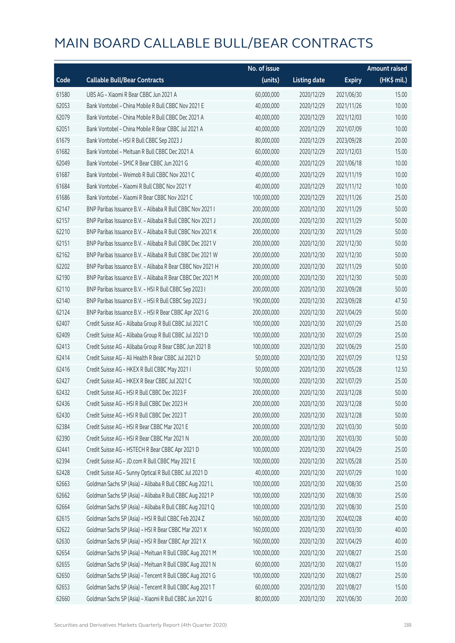|       |                                                            | No. of issue |                     |               | <b>Amount raised</b> |
|-------|------------------------------------------------------------|--------------|---------------------|---------------|----------------------|
| Code  | <b>Callable Bull/Bear Contracts</b>                        | (units)      | <b>Listing date</b> | <b>Expiry</b> | (HK\$ mil.)          |
| 61580 | UBS AG - Xiaomi R Bear CBBC Jun 2021 A                     | 60,000,000   | 2020/12/29          | 2021/06/30    | 15.00                |
| 62053 | Bank Vontobel - China Mobile R Bull CBBC Nov 2021 E        | 40,000,000   | 2020/12/29          | 2021/11/26    | 10.00                |
| 62079 | Bank Vontobel - China Mobile R Bull CBBC Dec 2021 A        | 40,000,000   | 2020/12/29          | 2021/12/03    | 10.00                |
| 62051 | Bank Vontobel - China Mobile R Bear CBBC Jul 2021 A        | 40,000,000   | 2020/12/29          | 2021/07/09    | 10.00                |
| 61679 | Bank Vontobel - HSI R Bull CBBC Sep 2023 J                 | 80,000,000   | 2020/12/29          | 2023/09/28    | 20.00                |
| 61682 | Bank Vontobel - Meituan R Bull CBBC Dec 2021 A             | 60,000,000   | 2020/12/29          | 2021/12/03    | 15.00                |
| 62049 | Bank Vontobel - SMIC R Bear CBBC Jun 2021 G                | 40,000,000   | 2020/12/29          | 2021/06/18    | 10.00                |
| 61687 | Bank Vontobel - Weimob R Bull CBBC Nov 2021 C              | 40,000,000   | 2020/12/29          | 2021/11/19    | 10.00                |
| 61684 | Bank Vontobel - Xiaomi R Bull CBBC Nov 2021 Y              | 40,000,000   | 2020/12/29          | 2021/11/12    | 10.00                |
| 61686 | Bank Vontobel - Xiaomi R Bear CBBC Nov 2021 C              | 100,000,000  | 2020/12/29          | 2021/11/26    | 25.00                |
| 62147 | BNP Paribas Issuance B.V. - Alibaba R Bull CBBC Nov 2021 I | 200,000,000  | 2020/12/30          | 2021/11/29    | 50.00                |
| 62157 | BNP Paribas Issuance B.V. - Alibaba R Bull CBBC Nov 2021 J | 200,000,000  | 2020/12/30          | 2021/11/29    | 50.00                |
| 62210 | BNP Paribas Issuance B.V. - Alibaba R Bull CBBC Nov 2021 K | 200,000,000  | 2020/12/30          | 2021/11/29    | 50.00                |
| 62151 | BNP Paribas Issuance B.V. - Alibaba R Bull CBBC Dec 2021 V | 200,000,000  | 2020/12/30          | 2021/12/30    | 50.00                |
| 62162 | BNP Paribas Issuance B.V. - Alibaba R Bull CBBC Dec 2021 W | 200,000,000  | 2020/12/30          | 2021/12/30    | 50.00                |
| 62202 | BNP Paribas Issuance B.V. - Alibaba R Bear CBBC Nov 2021 H | 200,000,000  | 2020/12/30          | 2021/11/29    | 50.00                |
| 62190 | BNP Paribas Issuance B.V. - Alibaba R Bear CBBC Dec 2021 M | 200,000,000  | 2020/12/30          | 2021/12/30    | 50.00                |
| 62110 | BNP Paribas Issuance B.V. - HSI R Bull CBBC Sep 2023 I     | 200,000,000  | 2020/12/30          | 2023/09/28    | 50.00                |
| 62140 | BNP Paribas Issuance B.V. - HSI R Bull CBBC Sep 2023 J     | 190,000,000  | 2020/12/30          | 2023/09/28    | 47.50                |
| 62124 | BNP Paribas Issuance B.V. - HSI R Bear CBBC Apr 2021 G     | 200,000,000  | 2020/12/30          | 2021/04/29    | 50.00                |
| 62407 | Credit Suisse AG - Alibaba Group R Bull CBBC Jul 2021 C    | 100,000,000  | 2020/12/30          | 2021/07/29    | 25.00                |
| 62409 | Credit Suisse AG - Alibaba Group R Bull CBBC Jul 2021 D    | 100,000,000  | 2020/12/30          | 2021/07/29    | 25.00                |
| 62413 | Credit Suisse AG - Alibaba Group R Bear CBBC Jun 2021 B    | 100,000,000  | 2020/12/30          | 2021/06/29    | 25.00                |
| 62414 | Credit Suisse AG - Ali Health R Bear CBBC Jul 2021 D       | 50,000,000   | 2020/12/30          | 2021/07/29    | 12.50                |
| 62416 | Credit Suisse AG - HKEX R Bull CBBC May 2021 I             | 50,000,000   | 2020/12/30          | 2021/05/28    | 12.50                |
| 62427 | Credit Suisse AG - HKEX R Bear CBBC Jul 2021 C             | 100,000,000  | 2020/12/30          | 2021/07/29    | 25.00                |
| 62432 | Credit Suisse AG - HSI R Bull CBBC Dec 2023 F              | 200,000,000  | 2020/12/30          | 2023/12/28    | 50.00                |
| 62436 | Credit Suisse AG - HSI R Bull CBBC Dec 2023 H              | 200,000,000  | 2020/12/30          | 2023/12/28    | 50.00                |
| 62430 | Credit Suisse AG - HSI R Bull CBBC Dec 2023 T              | 200,000,000  | 2020/12/30          | 2023/12/28    | 50.00                |
| 62384 | Credit Suisse AG - HSI R Bear CBBC Mar 2021 E              | 200,000,000  | 2020/12/30          | 2021/03/30    | 50.00                |
| 62390 | Credit Suisse AG - HSI R Bear CBBC Mar 2021 N              | 200,000,000  | 2020/12/30          | 2021/03/30    | 50.00                |
| 62441 | Credit Suisse AG - HSTECH R Bear CBBC Apr 2021 D           | 100,000,000  | 2020/12/30          | 2021/04/29    | 25.00                |
| 62394 | Credit Suisse AG - JD.com R Bull CBBC May 2021 E           | 100,000,000  | 2020/12/30          | 2021/05/28    | 25.00                |
| 62428 | Credit Suisse AG - Sunny Optical R Bull CBBC Jul 2021 D    | 40,000,000   | 2020/12/30          | 2021/07/29    | 10.00                |
| 62663 | Goldman Sachs SP (Asia) - Alibaba R Bull CBBC Aug 2021 L   | 100,000,000  | 2020/12/30          | 2021/08/30    | 25.00                |
| 62662 | Goldman Sachs SP (Asia) - Alibaba R Bull CBBC Aug 2021 P   | 100,000,000  | 2020/12/30          | 2021/08/30    | 25.00                |
| 62664 | Goldman Sachs SP (Asia) - Alibaba R Bull CBBC Aug 2021 Q   | 100,000,000  | 2020/12/30          | 2021/08/30    | 25.00                |
| 62615 | Goldman Sachs SP (Asia) - HSI R Bull CBBC Feb 2024 Z       | 160,000,000  | 2020/12/30          | 2024/02/28    | 40.00                |
| 62622 | Goldman Sachs SP (Asia) - HSI R Bear CBBC Mar 2021 X       | 160,000,000  | 2020/12/30          | 2021/03/30    | 40.00                |
| 62630 | Goldman Sachs SP (Asia) - HSI R Bear CBBC Apr 2021 X       | 160,000,000  | 2020/12/30          | 2021/04/29    | 40.00                |
| 62654 | Goldman Sachs SP (Asia) - Meituan R Bull CBBC Aug 2021 M   | 100,000,000  | 2020/12/30          | 2021/08/27    | 25.00                |
| 62655 | Goldman Sachs SP (Asia) - Meituan R Bull CBBC Aug 2021 N   | 60,000,000   | 2020/12/30          | 2021/08/27    | 15.00                |
| 62650 | Goldman Sachs SP (Asia) - Tencent R Bull CBBC Aug 2021 G   | 100,000,000  | 2020/12/30          | 2021/08/27    | 25.00                |
| 62653 | Goldman Sachs SP (Asia) - Tencent R Bull CBBC Aug 2021 T   | 60,000,000   | 2020/12/30          | 2021/08/27    | 15.00                |
| 62660 | Goldman Sachs SP (Asia) - Xiaomi R Bull CBBC Jun 2021 G    | 80,000,000   | 2020/12/30          | 2021/06/30    | 20.00                |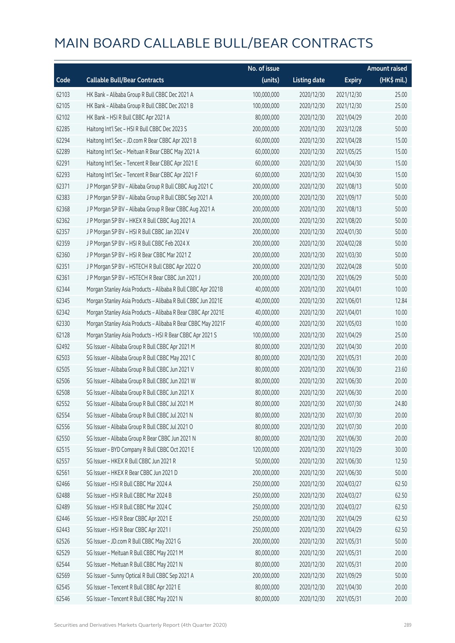|       |                                                              | No. of issue |                     |               | <b>Amount raised</b> |
|-------|--------------------------------------------------------------|--------------|---------------------|---------------|----------------------|
| Code  | <b>Callable Bull/Bear Contracts</b>                          | (units)      | <b>Listing date</b> | <b>Expiry</b> | (HK\$ mil.)          |
| 62103 | HK Bank - Alibaba Group R Bull CBBC Dec 2021 A               | 100,000,000  | 2020/12/30          | 2021/12/30    | 25.00                |
| 62105 | HK Bank - Alibaba Group R Bull CBBC Dec 2021 B               | 100,000,000  | 2020/12/30          | 2021/12/30    | 25.00                |
| 62102 | HK Bank - HSI R Bull CBBC Apr 2021 A                         | 80,000,000   | 2020/12/30          | 2021/04/29    | 20.00                |
| 62285 | Haitong Int'l Sec - HSI R Bull CBBC Dec 2023 S               | 200,000,000  | 2020/12/30          | 2023/12/28    | 50.00                |
| 62294 | Haitong Int'l Sec - JD.com R Bear CBBC Apr 2021 B            | 60,000,000   | 2020/12/30          | 2021/04/28    | 15.00                |
| 62289 | Haitong Int'l Sec - Meituan R Bear CBBC May 2021 A           | 60,000,000   | 2020/12/30          | 2021/05/25    | 15.00                |
| 62291 | Haitong Int'l Sec - Tencent R Bear CBBC Apr 2021 E           | 60,000,000   | 2020/12/30          | 2021/04/30    | 15.00                |
| 62293 | Haitong Int'l Sec - Tencent R Bear CBBC Apr 2021 F           | 60,000,000   | 2020/12/30          | 2021/04/30    | 15.00                |
| 62371 | J P Morgan SP BV - Alibaba Group R Bull CBBC Aug 2021 C      | 200,000,000  | 2020/12/30          | 2021/08/13    | 50.00                |
| 62383 | J P Morgan SP BV - Alibaba Group R Bull CBBC Sep 2021 A      | 200,000,000  | 2020/12/30          | 2021/09/17    | 50.00                |
| 62368 | J P Morgan SP BV - Alibaba Group R Bear CBBC Aug 2021 A      | 200,000,000  | 2020/12/30          | 2021/08/13    | 50.00                |
| 62362 | J P Morgan SP BV - HKEX R Bull CBBC Aug 2021 A               | 200,000,000  | 2020/12/30          | 2021/08/20    | 50.00                |
| 62357 | J P Morgan SP BV - HSI R Bull CBBC Jan 2024 V                | 200,000,000  | 2020/12/30          | 2024/01/30    | 50.00                |
| 62359 | J P Morgan SP BV - HSI R Bull CBBC Feb 2024 X                | 200,000,000  | 2020/12/30          | 2024/02/28    | 50.00                |
| 62360 | J P Morgan SP BV - HSI R Bear CBBC Mar 2021 Z                | 200,000,000  | 2020/12/30          | 2021/03/30    | 50.00                |
| 62351 | J P Morgan SP BV - HSTECH R Bull CBBC Apr 2022 O             | 200,000,000  | 2020/12/30          | 2022/04/28    | 50.00                |
| 62361 | J P Morgan SP BV - HSTECH R Bear CBBC Jun 2021 J             | 200,000,000  | 2020/12/30          | 2021/06/29    | 50.00                |
| 62344 | Morgan Stanley Asia Products - Alibaba R Bull CBBC Apr 2021B | 40,000,000   | 2020/12/30          | 2021/04/01    | 10.00                |
| 62345 | Morgan Stanley Asia Products - Alibaba R Bull CBBC Jun 2021E | 40,000,000   | 2020/12/30          | 2021/06/01    | 12.84                |
| 62342 | Morgan Stanley Asia Products - Alibaba R Bear CBBC Apr 2021E | 40,000,000   | 2020/12/30          | 2021/04/01    | 10.00                |
| 62330 | Morgan Stanley Asia Products - Alibaba R Bear CBBC May 2021F | 40,000,000   | 2020/12/30          | 2021/05/03    | 10.00                |
| 62128 | Morgan Stanley Asia Products - HSI R Bear CBBC Apr 2021 S    | 100,000,000  | 2020/12/30          | 2021/04/29    | 25.00                |
| 62492 | SG Issuer - Alibaba Group R Bull CBBC Apr 2021 M             | 80,000,000   | 2020/12/30          | 2021/04/30    | 20.00                |
| 62503 | SG Issuer - Alibaba Group R Bull CBBC May 2021 C             | 80,000,000   | 2020/12/30          | 2021/05/31    | 20.00                |
| 62505 | SG Issuer - Alibaba Group R Bull CBBC Jun 2021 V             | 80,000,000   | 2020/12/30          | 2021/06/30    | 23.60                |
| 62506 | SG Issuer - Alibaba Group R Bull CBBC Jun 2021 W             | 80,000,000   | 2020/12/30          | 2021/06/30    | 20.00                |
| 62508 | SG Issuer - Alibaba Group R Bull CBBC Jun 2021 X             | 80,000,000   | 2020/12/30          | 2021/06/30    | 20.00                |
| 62552 | SG Issuer - Alibaba Group R Bull CBBC Jul 2021 M             | 80,000,000   | 2020/12/30          | 2021/07/30    | 24.80                |
| 62554 | SG Issuer - Alibaba Group R Bull CBBC Jul 2021 N             | 80,000,000   | 2020/12/30          | 2021/07/30    | 20.00                |
| 62556 | SG Issuer - Alibaba Group R Bull CBBC Jul 2021 O             | 80,000,000   | 2020/12/30          | 2021/07/30    | 20.00                |
| 62550 | SG Issuer - Alibaba Group R Bear CBBC Jun 2021 N             | 80,000,000   | 2020/12/30          | 2021/06/30    | 20.00                |
| 62515 | SG Issuer - BYD Company R Bull CBBC Oct 2021 E               | 120,000,000  | 2020/12/30          | 2021/10/29    | 30.00                |
| 62557 | SG Issuer - HKEX R Bull CBBC Jun 2021 R                      | 50,000,000   | 2020/12/30          | 2021/06/30    | 12.50                |
| 62561 | SG Issuer - HKEX R Bear CBBC Jun 2021 D                      | 200,000,000  | 2020/12/30          | 2021/06/30    | 50.00                |
| 62466 | SG Issuer - HSI R Bull CBBC Mar 2024 A                       | 250,000,000  | 2020/12/30          | 2024/03/27    | 62.50                |
| 62488 | SG Issuer - HSI R Bull CBBC Mar 2024 B                       | 250,000,000  | 2020/12/30          | 2024/03/27    | 62.50                |
| 62489 | SG Issuer - HSI R Bull CBBC Mar 2024 C                       | 250,000,000  | 2020/12/30          | 2024/03/27    | 62.50                |
| 62446 | SG Issuer - HSI R Bear CBBC Apr 2021 E                       | 250,000,000  | 2020/12/30          | 2021/04/29    | 62.50                |
| 62443 | SG Issuer - HSI R Bear CBBC Apr 2021 I                       | 250,000,000  | 2020/12/30          | 2021/04/29    | 62.50                |
| 62526 | SG Issuer - JD.com R Bull CBBC May 2021 G                    | 200,000,000  | 2020/12/30          | 2021/05/31    | 50.00                |
| 62529 | SG Issuer - Meituan R Bull CBBC May 2021 M                   | 80,000,000   | 2020/12/30          | 2021/05/31    | 20.00                |
| 62544 | SG Issuer - Meituan R Bull CBBC May 2021 N                   | 80,000,000   | 2020/12/30          | 2021/05/31    | 20.00                |
| 62569 | SG Issuer - Sunny Optical R Bull CBBC Sep 2021 A             | 200,000,000  | 2020/12/30          | 2021/09/29    | 50.00                |
| 62545 | SG Issuer - Tencent R Bull CBBC Apr 2021 E                   | 80,000,000   | 2020/12/30          | 2021/04/30    | 20.00                |
| 62546 | SG Issuer - Tencent R Bull CBBC May 2021 N                   | 80,000,000   | 2020/12/30          | 2021/05/31    | 20.00                |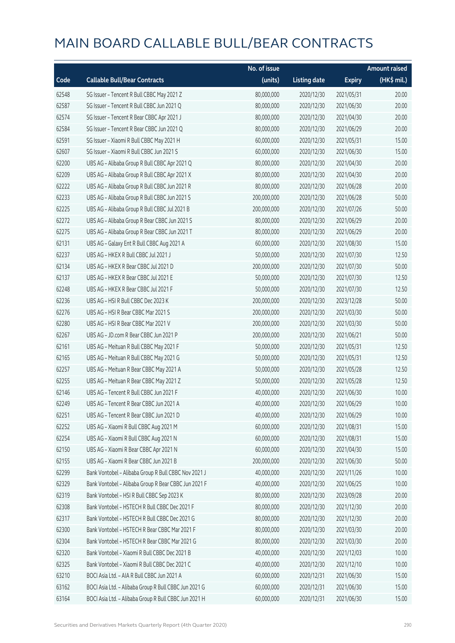|       |                                                       | No. of issue |                     |               | <b>Amount raised</b> |
|-------|-------------------------------------------------------|--------------|---------------------|---------------|----------------------|
| Code  | <b>Callable Bull/Bear Contracts</b>                   | (units)      | <b>Listing date</b> | <b>Expiry</b> | (HK\$ mil.)          |
| 62548 | SG Issuer - Tencent R Bull CBBC May 2021 Z            | 80,000,000   | 2020/12/30          | 2021/05/31    | 20.00                |
| 62587 | SG Issuer - Tencent R Bull CBBC Jun 2021 Q            | 80,000,000   | 2020/12/30          | 2021/06/30    | 20.00                |
| 62574 | SG Issuer - Tencent R Bear CBBC Apr 2021 J            | 80,000,000   | 2020/12/30          | 2021/04/30    | 20.00                |
| 62584 | SG Issuer - Tencent R Bear CBBC Jun 2021 Q            | 80,000,000   | 2020/12/30          | 2021/06/29    | 20.00                |
| 62591 | SG Issuer - Xiaomi R Bull CBBC May 2021 H             | 60,000,000   | 2020/12/30          | 2021/05/31    | 15.00                |
| 62607 | SG Issuer - Xiaomi R Bull CBBC Jun 2021 S             | 60,000,000   | 2020/12/30          | 2021/06/30    | 15.00                |
| 62200 | UBS AG - Alibaba Group R Bull CBBC Apr 2021 Q         | 80,000,000   | 2020/12/30          | 2021/04/30    | 20.00                |
| 62209 | UBS AG - Alibaba Group R Bull CBBC Apr 2021 X         | 80,000,000   | 2020/12/30          | 2021/04/30    | 20.00                |
| 62222 | UBS AG - Alibaba Group R Bull CBBC Jun 2021 R         | 80,000,000   | 2020/12/30          | 2021/06/28    | 20.00                |
| 62233 | UBS AG - Alibaba Group R Bull CBBC Jun 2021 S         | 200,000,000  | 2020/12/30          | 2021/06/28    | 50.00                |
| 62225 | UBS AG - Alibaba Group R Bull CBBC Jul 2021 B         | 200,000,000  | 2020/12/30          | 2021/07/26    | 50.00                |
| 62272 | UBS AG - Alibaba Group R Bear CBBC Jun 2021 S         | 80,000,000   | 2020/12/30          | 2021/06/29    | 20.00                |
| 62275 | UBS AG - Alibaba Group R Bear CBBC Jun 2021 T         | 80,000,000   | 2020/12/30          | 2021/06/29    | 20.00                |
| 62131 | UBS AG - Galaxy Ent R Bull CBBC Aug 2021 A            | 60,000,000   | 2020/12/30          | 2021/08/30    | 15.00                |
| 62237 | UBS AG - HKEX R Bull CBBC Jul 2021 J                  | 50,000,000   | 2020/12/30          | 2021/07/30    | 12.50                |
| 62134 | UBS AG - HKEX R Bear CBBC Jul 2021 D                  | 200,000,000  | 2020/12/30          | 2021/07/30    | 50.00                |
| 62137 | UBS AG - HKEX R Bear CBBC Jul 2021 E                  | 50,000,000   | 2020/12/30          | 2021/07/30    | 12.50                |
| 62248 | UBS AG - HKEX R Bear CBBC Jul 2021 F                  | 50,000,000   | 2020/12/30          | 2021/07/30    | 12.50                |
| 62236 | UBS AG - HSI R Bull CBBC Dec 2023 K                   | 200,000,000  | 2020/12/30          | 2023/12/28    | 50.00                |
| 62276 | UBS AG - HSI R Bear CBBC Mar 2021 S                   | 200,000,000  | 2020/12/30          | 2021/03/30    | 50.00                |
| 62280 | UBS AG - HSI R Bear CBBC Mar 2021 V                   | 200,000,000  | 2020/12/30          | 2021/03/30    | 50.00                |
| 62267 | UBS AG - JD.com R Bear CBBC Jun 2021 P                | 200,000,000  | 2020/12/30          | 2021/06/21    | 50.00                |
| 62161 | UBS AG - Meituan R Bull CBBC May 2021 F               | 50,000,000   | 2020/12/30          | 2021/05/31    | 12.50                |
| 62165 | UBS AG - Meituan R Bull CBBC May 2021 G               | 50,000,000   | 2020/12/30          | 2021/05/31    | 12.50                |
| 62257 | UBS AG - Meituan R Bear CBBC May 2021 A               | 50,000,000   | 2020/12/30          | 2021/05/28    | 12.50                |
| 62255 | UBS AG - Meituan R Bear CBBC May 2021 Z               | 50,000,000   | 2020/12/30          | 2021/05/28    | 12.50                |
| 62146 | UBS AG - Tencent R Bull CBBC Jun 2021 F               | 40,000,000   | 2020/12/30          | 2021/06/30    | 10.00                |
| 62249 | UBS AG - Tencent R Bear CBBC Jun 2021 A               | 40,000,000   | 2020/12/30          | 2021/06/29    | 10.00                |
| 62251 | UBS AG - Tencent R Bear CBBC Jun 2021 D               | 40,000,000   | 2020/12/30          | 2021/06/29    | 10.00                |
| 62252 | UBS AG - Xiaomi R Bull CBBC Aug 2021 M                | 60,000,000   | 2020/12/30          | 2021/08/31    | 15.00                |
| 62254 | UBS AG - Xiaomi R Bull CBBC Aug 2021 N                | 60,000,000   | 2020/12/30          | 2021/08/31    | 15.00                |
| 62150 | UBS AG - Xiaomi R Bear CBBC Apr 2021 N                | 60,000,000   | 2020/12/30          | 2021/04/30    | 15.00                |
| 62155 | UBS AG - Xiaomi R Bear CBBC Jun 2021 B                | 200,000,000  | 2020/12/30          | 2021/06/30    | 50.00                |
| 62299 | Bank Vontobel - Alibaba Group R Bull CBBC Nov 2021 J  | 40,000,000   | 2020/12/30          | 2021/11/26    | 10.00                |
| 62329 | Bank Vontobel - Alibaba Group R Bear CBBC Jun 2021 F  | 40,000,000   | 2020/12/30          | 2021/06/25    | 10.00                |
| 62319 | Bank Vontobel - HSI R Bull CBBC Sep 2023 K            | 80,000,000   | 2020/12/30          | 2023/09/28    | 20.00                |
| 62308 | Bank Vontobel - HSTECH R Bull CBBC Dec 2021 F         | 80,000,000   | 2020/12/30          | 2021/12/30    | 20.00                |
| 62317 | Bank Vontobel - HSTECH R Bull CBBC Dec 2021 G         | 80,000,000   | 2020/12/30          | 2021/12/30    | 20.00                |
| 62300 | Bank Vontobel - HSTECH R Bear CBBC Mar 2021 F         | 80,000,000   | 2020/12/30          | 2021/03/30    | 20.00                |
| 62304 | Bank Vontobel - HSTECH R Bear CBBC Mar 2021 G         | 80,000,000   | 2020/12/30          | 2021/03/30    | 20.00                |
| 62320 | Bank Vontobel - Xiaomi R Bull CBBC Dec 2021 B         | 40,000,000   | 2020/12/30          | 2021/12/03    | 10.00                |
| 62325 | Bank Vontobel - Xiaomi R Bull CBBC Dec 2021 C         | 40,000,000   | 2020/12/30          | 2021/12/10    | 10.00                |
| 63210 | BOCI Asia Ltd. - AIA R Bull CBBC Jun 2021 A           | 60,000,000   | 2020/12/31          | 2021/06/30    | 15.00                |
| 63162 | BOCI Asia Ltd. - Alibaba Group R Bull CBBC Jun 2021 G | 60,000,000   | 2020/12/31          | 2021/06/30    | 15.00                |
| 63164 | BOCI Asia Ltd. - Alibaba Group R Bull CBBC Jun 2021 H | 60,000,000   | 2020/12/31          | 2021/06/30    | 15.00                |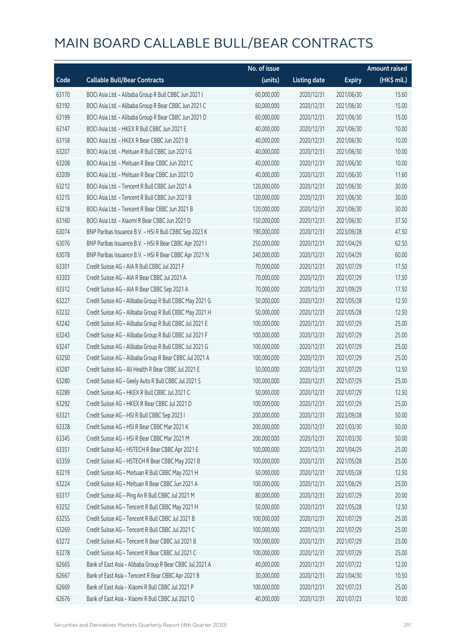|       |                                                          | No. of issue |                     |               | <b>Amount raised</b> |
|-------|----------------------------------------------------------|--------------|---------------------|---------------|----------------------|
| Code  | <b>Callable Bull/Bear Contracts</b>                      | (units)      | <b>Listing date</b> | <b>Expiry</b> | (HK\$ mil.)          |
| 63170 | BOCI Asia Ltd. - Alibaba Group R Bull CBBC Jun 2021 I    | 60,000,000   | 2020/12/31          | 2021/06/30    | 15.60                |
| 63192 | BOCI Asia Ltd. - Alibaba Group R Bear CBBC Jun 2021 C    | 60,000,000   | 2020/12/31          | 2021/06/30    | 15.00                |
| 63199 | BOCI Asia Ltd. - Alibaba Group R Bear CBBC Jun 2021 D    | 60,000,000   | 2020/12/31          | 2021/06/30    | 15.00                |
| 63147 | BOCI Asia Ltd. - HKEX R Bull CBBC Jun 2021 E             | 40,000,000   | 2020/12/31          | 2021/06/30    | 10.00                |
| 63158 | BOCI Asia Ltd. - HKEX R Bear CBBC Jun 2021 B             | 40,000,000   | 2020/12/31          | 2021/06/30    | 10.00                |
| 63207 | BOCI Asia Ltd. - Meituan R Bull CBBC Jun 2021 G          | 40,000,000   | 2020/12/31          | 2021/06/30    | 10.00                |
| 63208 | BOCI Asia Ltd. - Meituan R Bear CBBC Jun 2021 C          | 40,000,000   | 2020/12/31          | 2021/06/30    | 10.00                |
| 63209 | BOCI Asia Ltd. - Meituan R Bear CBBC Jun 2021 D          | 40,000,000   | 2020/12/31          | 2021/06/30    | 11.60                |
| 63212 | BOCI Asia Ltd. - Tencent R Bull CBBC Jun 2021 A          | 120,000,000  | 2020/12/31          | 2021/06/30    | 30.00                |
| 63215 | BOCI Asia Ltd. - Tencent R Bull CBBC Jun 2021 B          | 120,000,000  | 2020/12/31          | 2021/06/30    | 30.00                |
| 63218 | BOCI Asia Ltd. - Tencent R Bear CBBC Jun 2021 B          | 120,000,000  | 2020/12/31          | 2021/06/30    | 30.00                |
| 63160 | BOCI Asia Ltd. - Xiaomi R Bear CBBC Jun 2021 D           | 150,000,000  | 2020/12/31          | 2021/06/30    | 37.50                |
| 63074 | BNP Paribas Issuance B.V. - HSI R Bull CBBC Sep 2023 K   | 190,000,000  | 2020/12/31          | 2023/09/28    | 47.50                |
| 63076 | BNP Paribas Issuance B.V. - HSI R Bear CBBC Apr 2021 I   | 250,000,000  | 2020/12/31          | 2021/04/29    | 62.50                |
| 63078 | BNP Paribas Issuance B.V. - HSI R Bear CBBC Apr 2021 N   | 240,000,000  | 2020/12/31          | 2021/04/29    | 60.00                |
| 63301 | Credit Suisse AG - AIA R Bull CBBC Jul 2021 F            | 70,000,000   | 2020/12/31          | 2021/07/29    | 17.50                |
| 63303 | Credit Suisse AG - AIA R Bear CBBC Jul 2021 A            | 70,000,000   | 2020/12/31          | 2021/07/29    | 17.50                |
| 63312 | Credit Suisse AG - AIA R Bear CBBC Sep 2021 A            | 70,000,000   | 2020/12/31          | 2021/09/29    | 17.50                |
| 63227 | Credit Suisse AG - Alibaba Group R Bull CBBC May 2021 G  | 50,000,000   | 2020/12/31          | 2021/05/28    | 12.50                |
| 63232 | Credit Suisse AG - Alibaba Group R Bull CBBC May 2021 H  | 50,000,000   | 2020/12/31          | 2021/05/28    | 12.50                |
| 63242 | Credit Suisse AG - Alibaba Group R Bull CBBC Jul 2021 E  | 100,000,000  | 2020/12/31          | 2021/07/29    | 25.00                |
| 63243 | Credit Suisse AG - Alibaba Group R Bull CBBC Jul 2021 F  | 100,000,000  | 2020/12/31          | 2021/07/29    | 25.00                |
| 63247 | Credit Suisse AG - Alibaba Group R Bull CBBC Jul 2021 G  | 100,000,000  | 2020/12/31          | 2021/07/29    | 25.00                |
| 63250 | Credit Suisse AG - Alibaba Group R Bear CBBC Jul 2021 A  | 100,000,000  | 2020/12/31          | 2021/07/29    | 25.00                |
| 63287 | Credit Suisse AG - Ali Health R Bear CBBC Jul 2021 E     | 50,000,000   | 2020/12/31          | 2021/07/29    | 12.50                |
| 63280 | Credit Suisse AG - Geely Auto R Bull CBBC Jul 2021 S     | 100,000,000  | 2020/12/31          | 2021/07/29    | 25.00                |
| 63289 | Credit Suisse AG - HKEX R Bull CBBC Jul 2021 C           | 50,000,000   | 2020/12/31          | 2021/07/29    | 12.50                |
| 63292 | Credit Suisse AG - HKEX R Bear CBBC Jul 2021 D           | 100,000,000  | 2020/12/31          | 2021/07/29    | 25.00                |
| 63321 | Credit Suisse AG - HSI R Bull CBBC Sep 2023 I            | 200,000,000  | 2020/12/31          | 2023/09/28    | 50.00                |
| 63328 | Credit Suisse AG - HSI R Bear CBBC Mar 2021 K            | 200,000,000  | 2020/12/31          | 2021/03/30    | 50.00                |
| 63345 | Credit Suisse AG - HSI R Bear CBBC Mar 2021 M            | 200,000,000  | 2020/12/31          | 2021/03/30    | 50.00                |
| 63351 | Credit Suisse AG - HSTECH R Bear CBBC Apr 2021 E         | 100,000,000  | 2020/12/31          | 2021/04/29    | 25.00                |
| 63359 | Credit Suisse AG - HSTECH R Bear CBBC May 2021 B         | 100,000,000  | 2020/12/31          | 2021/05/28    | 25.00                |
| 63219 | Credit Suisse AG - Meituan R Bull CBBC May 2021 H        | 50,000,000   | 2020/12/31          | 2021/05/28    | 12.50                |
| 63224 | Credit Suisse AG - Meituan R Bear CBBC Jun 2021 A        | 100,000,000  | 2020/12/31          | 2021/06/29    | 25.00                |
| 63317 | Credit Suisse AG - Ping An R Bull CBBC Jul 2021 M        | 80,000,000   | 2020/12/31          | 2021/07/29    | 20.00                |
| 63252 | Credit Suisse AG - Tencent R Bull CBBC May 2021 H        | 50,000,000   | 2020/12/31          | 2021/05/28    | 12.50                |
| 63255 | Credit Suisse AG - Tencent R Bull CBBC Jul 2021 B        | 100,000,000  | 2020/12/31          | 2021/07/29    | 25.00                |
| 63269 | Credit Suisse AG - Tencent R Bull CBBC Jul 2021 C        | 100,000,000  | 2020/12/31          | 2021/07/29    | 25.00                |
| 63272 | Credit Suisse AG - Tencent R Bear CBBC Jul 2021 B        | 100,000,000  | 2020/12/31          | 2021/07/29    | 25.00                |
| 63278 | Credit Suisse AG - Tencent R Bear CBBC Jul 2021 C        | 100,000,000  | 2020/12/31          | 2021/07/29    | 25.00                |
| 62665 | Bank of East Asia - Alibaba Group R Bear CBBC Jul 2021 A | 40,000,000   | 2020/12/31          | 2021/07/22    | 12.00                |
| 62667 | Bank of East Asia - Tencent R Bear CBBC Apr 2021 B       | 30,000,000   | 2020/12/31          | 2021/04/30    | 10.50                |
| 62669 | Bank of East Asia - Xiaomi R Bull CBBC Jul 2021 P        | 100,000,000  | 2020/12/31          | 2021/07/23    | 25.00                |
| 62676 | Bank of East Asia - Xiaomi R Bull CBBC Jul 2021 Q        | 40,000,000   | 2020/12/31          | 2021/07/23    | 10.00                |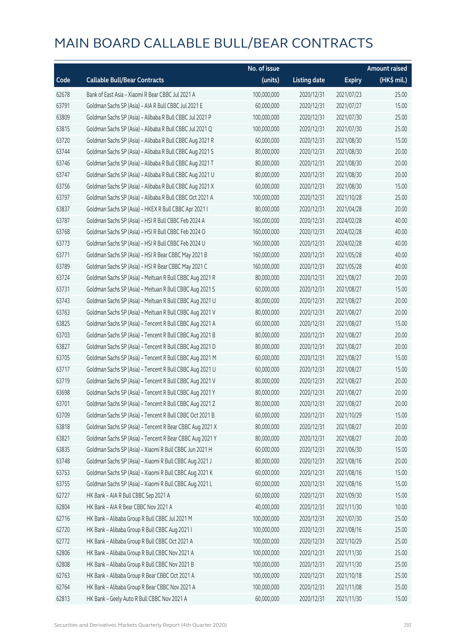|       |                                                          | No. of issue |                     |               | <b>Amount raised</b> |
|-------|----------------------------------------------------------|--------------|---------------------|---------------|----------------------|
| Code  | <b>Callable Bull/Bear Contracts</b>                      | (units)      | <b>Listing date</b> | <b>Expiry</b> | $(HK$$ mil.)         |
| 62678 | Bank of East Asia - Xiaomi R Bear CBBC Jul 2021 A        | 100,000,000  | 2020/12/31          | 2021/07/23    | 25.00                |
| 63791 | Goldman Sachs SP (Asia) - AIA R Bull CBBC Jul 2021 E     | 60,000,000   | 2020/12/31          | 2021/07/27    | 15.00                |
| 63809 | Goldman Sachs SP (Asia) - Alibaba R Bull CBBC Jul 2021 P | 100,000,000  | 2020/12/31          | 2021/07/30    | 25.00                |
| 63815 | Goldman Sachs SP (Asia) - Alibaba R Bull CBBC Jul 2021 Q | 100,000,000  | 2020/12/31          | 2021/07/30    | 25.00                |
| 63720 | Goldman Sachs SP (Asia) - Alibaba R Bull CBBC Aug 2021 R | 60,000,000   | 2020/12/31          | 2021/08/30    | 15.00                |
| 63744 | Goldman Sachs SP (Asia) - Alibaba R Bull CBBC Aug 2021 S | 80,000,000   | 2020/12/31          | 2021/08/30    | 20.00                |
| 63746 | Goldman Sachs SP (Asia) - Alibaba R Bull CBBC Aug 2021 T | 80,000,000   | 2020/12/31          | 2021/08/30    | 20.00                |
| 63747 | Goldman Sachs SP (Asia) - Alibaba R Bull CBBC Aug 2021 U | 80,000,000   | 2020/12/31          | 2021/08/30    | 20.00                |
| 63756 | Goldman Sachs SP (Asia) - Alibaba R Bull CBBC Aug 2021 X | 60,000,000   | 2020/12/31          | 2021/08/30    | 15.00                |
| 63797 | Goldman Sachs SP (Asia) - Alibaba R Bull CBBC Oct 2021 A | 100,000,000  | 2020/12/31          | 2021/10/28    | 25.00                |
| 63837 | Goldman Sachs SP (Asia) - HKEX R Bull CBBC Apr 2021 I    | 80,000,000   | 2020/12/31          | 2021/04/28    | 20.00                |
| 63787 | Goldman Sachs SP (Asia) - HSI R Bull CBBC Feb 2024 A     | 160,000,000  | 2020/12/31          | 2024/02/28    | 40.00                |
| 63768 | Goldman Sachs SP (Asia) - HSI R Bull CBBC Feb 2024 O     | 160,000,000  | 2020/12/31          | 2024/02/28    | 40.00                |
| 63773 | Goldman Sachs SP (Asia) - HSI R Bull CBBC Feb 2024 U     | 160,000,000  | 2020/12/31          | 2024/02/28    | 40.00                |
| 63771 | Goldman Sachs SP (Asia) - HSI R Bear CBBC May 2021 B     | 160,000,000  | 2020/12/31          | 2021/05/28    | 40.00                |
| 63789 | Goldman Sachs SP (Asia) - HSI R Bear CBBC May 2021 C     | 160,000,000  | 2020/12/31          | 2021/05/28    | 40.00                |
| 63724 | Goldman Sachs SP (Asia) - Meituan R Bull CBBC Aug 2021 R | 80,000,000   | 2020/12/31          | 2021/08/27    | 20.00                |
| 63731 | Goldman Sachs SP (Asia) - Meituan R Bull CBBC Aug 2021 S | 60,000,000   | 2020/12/31          | 2021/08/27    | 15.00                |
| 63743 | Goldman Sachs SP (Asia) - Meituan R Bull CBBC Aug 2021 U | 80,000,000   | 2020/12/31          | 2021/08/27    | 20.00                |
| 63763 | Goldman Sachs SP (Asia) - Meituan R Bull CBBC Aug 2021 V | 80,000,000   | 2020/12/31          | 2021/08/27    | 20.00                |
| 63825 | Goldman Sachs SP (Asia) - Tencent R Bull CBBC Aug 2021 A | 60,000,000   | 2020/12/31          | 2021/08/27    | 15.00                |
| 63703 | Goldman Sachs SP (Asia) - Tencent R Bull CBBC Aug 2021 B | 80,000,000   | 2020/12/31          | 2021/08/27    | 20.00                |
| 63827 | Goldman Sachs SP (Asia) - Tencent R Bull CBBC Aug 2021 D | 80,000,000   | 2020/12/31          | 2021/08/27    | 20.00                |
| 63705 | Goldman Sachs SP (Asia) - Tencent R Bull CBBC Aug 2021 M | 60,000,000   | 2020/12/31          | 2021/08/27    | 15.00                |
| 63717 | Goldman Sachs SP (Asia) - Tencent R Bull CBBC Aug 2021 U | 60,000,000   | 2020/12/31          | 2021/08/27    | 15.00                |
| 63719 | Goldman Sachs SP (Asia) - Tencent R Bull CBBC Aug 2021 V | 80,000,000   | 2020/12/31          | 2021/08/27    | 20.00                |
| 63698 | Goldman Sachs SP (Asia) - Tencent R Bull CBBC Aug 2021 Y | 80,000,000   | 2020/12/31          | 2021/08/27    | 20.00                |
| 63701 | Goldman Sachs SP (Asia) - Tencent R Bull CBBC Aug 2021 Z | 80,000,000   | 2020/12/31          | 2021/08/27    | 20.00                |
| 63709 | Goldman Sachs SP (Asia) - Tencent R Bull CBBC Oct 2021 B | 60,000,000   | 2020/12/31          | 2021/10/29    | 15.00                |
| 63818 | Goldman Sachs SP (Asia) - Tencent R Bear CBBC Aug 2021 X | 80,000,000   | 2020/12/31          | 2021/08/27    | 20.00                |
| 63821 | Goldman Sachs SP (Asia) - Tencent R Bear CBBC Aug 2021 Y | 80,000,000   | 2020/12/31          | 2021/08/27    | 20.00                |
| 63835 | Goldman Sachs SP (Asia) - Xiaomi R Bull CBBC Jun 2021 H  | 60,000,000   | 2020/12/31          | 2021/06/30    | 15.00                |
| 63748 | Goldman Sachs SP (Asia) - Xiaomi R Bull CBBC Aug 2021 J  | 80,000,000   | 2020/12/31          | 2021/08/16    | 20.00                |
| 63753 | Goldman Sachs SP (Asia) - Xiaomi R Bull CBBC Aug 2021 K  | 60,000,000   | 2020/12/31          | 2021/08/16    | 15.00                |
| 63755 | Goldman Sachs SP (Asia) - Xiaomi R Bull CBBC Aug 2021 L  | 60,000,000   | 2020/12/31          | 2021/08/16    | 15.00                |
| 62727 | HK Bank - AIA R Bull CBBC Sep 2021 A                     | 60,000,000   | 2020/12/31          | 2021/09/30    | 15.00                |
| 62804 | HK Bank - AIA R Bear CBBC Nov 2021 A                     | 40,000,000   | 2020/12/31          | 2021/11/30    | 10.00                |
| 62716 | HK Bank - Alibaba Group R Bull CBBC Jul 2021 M           | 100,000,000  | 2020/12/31          | 2021/07/30    | 25.00                |
| 62720 | HK Bank - Alibaba Group R Bull CBBC Aug 2021 I           | 100,000,000  | 2020/12/31          | 2021/08/16    | 25.00                |
| 62772 | HK Bank - Alibaba Group R Bull CBBC Oct 2021 A           | 100,000,000  | 2020/12/31          | 2021/10/29    | 25.00                |
| 62806 | HK Bank - Alibaba Group R Bull CBBC Nov 2021 A           | 100,000,000  | 2020/12/31          | 2021/11/30    | 25.00                |
| 62808 | HK Bank - Alibaba Group R Bull CBBC Nov 2021 B           | 100,000,000  | 2020/12/31          | 2021/11/30    | 25.00                |
| 62763 | HK Bank - Alibaba Group R Bear CBBC Oct 2021 A           | 100,000,000  | 2020/12/31          | 2021/10/18    | 25.00                |
| 62764 | HK Bank - Alibaba Group R Bear CBBC Nov 2021 A           | 100,000,000  | 2020/12/31          | 2021/11/08    | 25.00                |
| 62813 | HK Bank - Geely Auto R Bull CBBC Nov 2021 A              | 60,000,000   | 2020/12/31          | 2021/11/30    | 15.00                |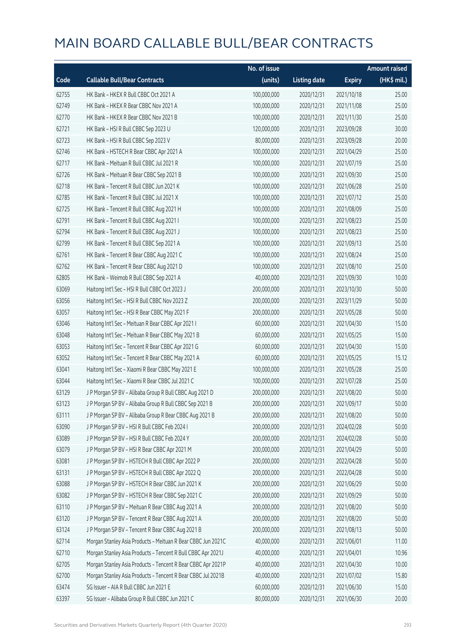|       |                                                              | No. of issue |                     |               | <b>Amount raised</b> |
|-------|--------------------------------------------------------------|--------------|---------------------|---------------|----------------------|
| Code  | <b>Callable Bull/Bear Contracts</b>                          | (units)      | <b>Listing date</b> | <b>Expiry</b> | (HK\$ mil.)          |
| 62755 | HK Bank - HKEX R Bull CBBC Oct 2021 A                        | 100,000,000  | 2020/12/31          | 2021/10/18    | 25.00                |
| 62749 | HK Bank - HKEX R Bear CBBC Nov 2021 A                        | 100,000,000  | 2020/12/31          | 2021/11/08    | 25.00                |
| 62770 | HK Bank - HKEX R Bear CBBC Nov 2021 B                        | 100,000,000  | 2020/12/31          | 2021/11/30    | 25.00                |
| 62721 | HK Bank - HSI R Bull CBBC Sep 2023 U                         | 120,000,000  | 2020/12/31          | 2023/09/28    | 30.00                |
| 62723 | HK Bank - HSI R Bull CBBC Sep 2023 V                         | 80,000,000   | 2020/12/31          | 2023/09/28    | 20.00                |
| 62746 | HK Bank - HSTECH R Bear CBBC Apr 2021 A                      | 100,000,000  | 2020/12/31          | 2021/04/29    | 25.00                |
| 62717 | HK Bank - Meituan R Bull CBBC Jul 2021 R                     | 100,000,000  | 2020/12/31          | 2021/07/19    | 25.00                |
| 62726 | HK Bank - Meituan R Bear CBBC Sep 2021 B                     | 100,000,000  | 2020/12/31          | 2021/09/30    | 25.00                |
| 62718 | HK Bank - Tencent R Bull CBBC Jun 2021 K                     | 100,000,000  | 2020/12/31          | 2021/06/28    | 25.00                |
| 62785 | HK Bank - Tencent R Bull CBBC Jul 2021 X                     | 100,000,000  | 2020/12/31          | 2021/07/12    | 25.00                |
| 62725 | HK Bank - Tencent R Bull CBBC Aug 2021 H                     | 100,000,000  | 2020/12/31          | 2021/08/09    | 25.00                |
| 62791 | HK Bank - Tencent R Bull CBBC Aug 2021 I                     | 100,000,000  | 2020/12/31          | 2021/08/23    | 25.00                |
| 62794 | HK Bank - Tencent R Bull CBBC Aug 2021 J                     | 100,000,000  | 2020/12/31          | 2021/08/23    | 25.00                |
| 62799 | HK Bank - Tencent R Bull CBBC Sep 2021 A                     | 100,000,000  | 2020/12/31          | 2021/09/13    | 25.00                |
| 62761 | HK Bank - Tencent R Bear CBBC Aug 2021 C                     | 100,000,000  | 2020/12/31          | 2021/08/24    | 25.00                |
| 62762 | HK Bank - Tencent R Bear CBBC Aug 2021 D                     | 100,000,000  | 2020/12/31          | 2021/08/10    | 25.00                |
| 62805 | HK Bank - Weimob R Bull CBBC Sep 2021 A                      | 40,000,000   | 2020/12/31          | 2021/09/30    | 10.00                |
| 63069 | Haitong Int'l Sec - HSI R Bull CBBC Oct 2023 J               | 200,000,000  | 2020/12/31          | 2023/10/30    | 50.00                |
| 63056 | Haitong Int'l Sec - HSI R Bull CBBC Nov 2023 Z               | 200,000,000  | 2020/12/31          | 2023/11/29    | 50.00                |
| 63057 | Haitong Int'l Sec - HSI R Bear CBBC May 2021 F               | 200,000,000  | 2020/12/31          | 2021/05/28    | 50.00                |
| 63046 | Haitong Int'l Sec - Meituan R Bear CBBC Apr 2021 I           | 60,000,000   | 2020/12/31          | 2021/04/30    | 15.00                |
| 63048 | Haitong Int'l Sec - Meituan R Bear CBBC May 2021 B           | 60,000,000   | 2020/12/31          | 2021/05/25    | 15.00                |
| 63053 | Haitong Int'l Sec - Tencent R Bear CBBC Apr 2021 G           | 60,000,000   | 2020/12/31          | 2021/04/30    | 15.00                |
| 63052 | Haitong Int'l Sec - Tencent R Bear CBBC May 2021 A           | 60,000,000   | 2020/12/31          | 2021/05/25    | 15.12                |
| 63041 | Haitong Int'l Sec - Xiaomi R Bear CBBC May 2021 E            | 100,000,000  | 2020/12/31          | 2021/05/28    | 25.00                |
| 63044 | Haitong Int'l Sec - Xiaomi R Bear CBBC Jul 2021 C            | 100,000,000  | 2020/12/31          | 2021/07/28    | 25.00                |
| 63129 | J P Morgan SP BV - Alibaba Group R Bull CBBC Aug 2021 D      | 200,000,000  | 2020/12/31          | 2021/08/20    | 50.00                |
| 63123 | J P Morgan SP BV - Alibaba Group R Bull CBBC Sep 2021 B      | 200,000,000  | 2020/12/31          | 2021/09/17    | 50.00                |
| 63111 | J P Morgan SP BV - Alibaba Group R Bear CBBC Aug 2021 B      | 200,000,000  | 2020/12/31          | 2021/08/20    | 50.00                |
| 63090 | J P Morgan SP BV - HSI R Bull CBBC Feb 2024 I                | 200,000,000  | 2020/12/31          | 2024/02/28    | 50.00                |
| 63089 | J P Morgan SP BV - HSI R Bull CBBC Feb 2024 Y                | 200,000,000  | 2020/12/31          | 2024/02/28    | 50.00                |
| 63079 | J P Morgan SP BV - HSI R Bear CBBC Apr 2021 M                | 200,000,000  | 2020/12/31          | 2021/04/29    | 50.00                |
| 63081 | J P Morgan SP BV - HSTECH R Bull CBBC Apr 2022 P             | 200,000,000  | 2020/12/31          | 2022/04/28    | 50.00                |
| 63131 | J P Morgan SP BV - HSTECH R Bull CBBC Apr 2022 Q             | 200,000,000  | 2020/12/31          | 2022/04/28    | 50.00                |
| 63088 | J P Morgan SP BV - HSTECH R Bear CBBC Jun 2021 K             | 200,000,000  | 2020/12/31          | 2021/06/29    | 50.00                |
| 63082 | J P Morgan SP BV - HSTECH R Bear CBBC Sep 2021 C             | 200,000,000  | 2020/12/31          | 2021/09/29    | 50.00                |
| 63110 | J P Morgan SP BV - Meituan R Bear CBBC Aug 2021 A            | 200,000,000  | 2020/12/31          | 2021/08/20    | 50.00                |
| 63120 | J P Morgan SP BV - Tencent R Bear CBBC Aug 2021 A            | 200,000,000  | 2020/12/31          | 2021/08/20    | 50.00                |
| 63124 | J P Morgan SP BV - Tencent R Bear CBBC Aug 2021 B            | 200,000,000  | 2020/12/31          | 2021/08/13    | 50.00                |
| 62714 | Morgan Stanley Asia Products - Meituan R Bear CBBC Jun 2021C | 40,000,000   | 2020/12/31          | 2021/06/01    | 11.00                |
| 62710 | Morgan Stanley Asia Products - Tencent R Bull CBBC Apr 2021J | 40,000,000   | 2020/12/31          | 2021/04/01    | 10.96                |
| 62705 | Morgan Stanley Asia Products - Tencent R Bear CBBC Apr 2021P | 40,000,000   | 2020/12/31          | 2021/04/30    | 10.00                |
| 62700 | Morgan Stanley Asia Products - Tencent R Bear CBBC Jul 2021B | 40,000,000   | 2020/12/31          | 2021/07/02    | 15.80                |
| 63474 | SG Issuer - AIA R Bull CBBC Jun 2021 E                       | 60,000,000   | 2020/12/31          | 2021/06/30    | 15.00                |
| 63397 | SG Issuer - Alibaba Group R Bull CBBC Jun 2021 C             | 80,000,000   | 2020/12/31          | 2021/06/30    | 20.00                |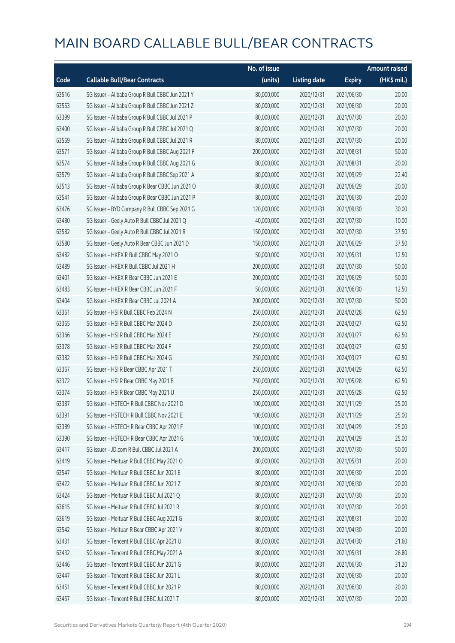|       |                                                  | No. of issue |                     |               | <b>Amount raised</b> |
|-------|--------------------------------------------------|--------------|---------------------|---------------|----------------------|
| Code  | <b>Callable Bull/Bear Contracts</b>              | (units)      | <b>Listing date</b> | <b>Expiry</b> | (HK\$ mil.)          |
| 63516 | SG Issuer - Alibaba Group R Bull CBBC Jun 2021 Y | 80,000,000   | 2020/12/31          | 2021/06/30    | 20.00                |
| 63553 | SG Issuer - Alibaba Group R Bull CBBC Jun 2021 Z | 80,000,000   | 2020/12/31          | 2021/06/30    | 20.00                |
| 63399 | SG Issuer - Alibaba Group R Bull CBBC Jul 2021 P | 80,000,000   | 2020/12/31          | 2021/07/30    | 20.00                |
| 63400 | SG Issuer - Alibaba Group R Bull CBBC Jul 2021 Q | 80,000,000   | 2020/12/31          | 2021/07/30    | 20.00                |
| 63569 | SG Issuer - Alibaba Group R Bull CBBC Jul 2021 R | 80,000,000   | 2020/12/31          | 2021/07/30    | 20.00                |
| 63571 | SG Issuer - Alibaba Group R Bull CBBC Aug 2021 F | 200,000,000  | 2020/12/31          | 2021/08/31    | 50.00                |
| 63574 | SG Issuer - Alibaba Group R Bull CBBC Aug 2021 G | 80,000,000   | 2020/12/31          | 2021/08/31    | 20.00                |
| 63579 | SG Issuer - Alibaba Group R Bull CBBC Sep 2021 A | 80,000,000   | 2020/12/31          | 2021/09/29    | 22.40                |
| 63513 | SG Issuer - Alibaba Group R Bear CBBC Jun 2021 O | 80,000,000   | 2020/12/31          | 2021/06/29    | 20.00                |
| 63541 | SG Issuer - Alibaba Group R Bear CBBC Jun 2021 P | 80,000,000   | 2020/12/31          | 2021/06/30    | 20.00                |
| 63476 | SG Issuer - BYD Company R Bull CBBC Sep 2021 G   | 120,000,000  | 2020/12/31          | 2021/09/30    | 30.00                |
| 63480 | SG Issuer - Geely Auto R Bull CBBC Jul 2021 Q    | 40,000,000   | 2020/12/31          | 2021/07/30    | 10.00                |
| 63582 | SG Issuer - Geely Auto R Bull CBBC Jul 2021 R    | 150,000,000  | 2020/12/31          | 2021/07/30    | 37.50                |
| 63580 | SG Issuer - Geely Auto R Bear CBBC Jun 2021 D    | 150,000,000  | 2020/12/31          | 2021/06/29    | 37.50                |
| 63482 | SG Issuer - HKEX R Bull CBBC May 2021 O          | 50,000,000   | 2020/12/31          | 2021/05/31    | 12.50                |
| 63489 | SG Issuer - HKEX R Bull CBBC Jul 2021 H          | 200,000,000  | 2020/12/31          | 2021/07/30    | 50.00                |
| 63401 | SG Issuer - HKEX R Bear CBBC Jun 2021 E          | 200,000,000  | 2020/12/31          | 2021/06/29    | 50.00                |
| 63483 | SG Issuer - HKEX R Bear CBBC Jun 2021 F          | 50,000,000   | 2020/12/31          | 2021/06/30    | 12.50                |
| 63404 | SG Issuer - HKEX R Bear CBBC Jul 2021 A          | 200,000,000  | 2020/12/31          | 2021/07/30    | 50.00                |
| 63361 | SG Issuer - HSI R Bull CBBC Feb 2024 N           | 250,000,000  | 2020/12/31          | 2024/02/28    | 62.50                |
| 63365 | SG Issuer - HSI R Bull CBBC Mar 2024 D           | 250,000,000  | 2020/12/31          | 2024/03/27    | 62.50                |
| 63366 | SG Issuer - HSI R Bull CBBC Mar 2024 E           | 250,000,000  | 2020/12/31          | 2024/03/27    | 62.50                |
| 63378 | SG Issuer - HSI R Bull CBBC Mar 2024 F           | 250,000,000  | 2020/12/31          | 2024/03/27    | 62.50                |
| 63382 | SG Issuer - HSI R Bull CBBC Mar 2024 G           | 250,000,000  | 2020/12/31          | 2024/03/27    | 62.50                |
| 63367 | SG Issuer - HSI R Bear CBBC Apr 2021 T           | 250,000,000  | 2020/12/31          | 2021/04/29    | 62.50                |
| 63372 | SG Issuer - HSI R Bear CBBC May 2021 B           | 250,000,000  | 2020/12/31          | 2021/05/28    | 62.50                |
| 63374 | SG Issuer - HSI R Bear CBBC May 2021 U           | 250,000,000  | 2020/12/31          | 2021/05/28    | 62.50                |
| 63387 | SG Issuer - HSTECH R Bull CBBC Nov 2021 D        | 100,000,000  | 2020/12/31          | 2021/11/29    | 25.00                |
| 63391 | SG Issuer - HSTECH R Bull CBBC Nov 2021 E        | 100,000,000  | 2020/12/31          | 2021/11/29    | 25.00                |
| 63389 | SG Issuer - HSTECH R Bear CBBC Apr 2021 F        | 100,000,000  | 2020/12/31          | 2021/04/29    | 25.00                |
| 63390 | SG Issuer - HSTECH R Bear CBBC Apr 2021 G        | 100,000,000  | 2020/12/31          | 2021/04/29    | 25.00                |
| 63417 | SG Issuer - JD.com R Bull CBBC Jul 2021 A        | 200,000,000  | 2020/12/31          | 2021/07/30    | 50.00                |
| 63419 | SG Issuer - Meituan R Bull CBBC May 2021 O       | 80,000,000   | 2020/12/31          | 2021/05/31    | 20.00                |
| 63547 | SG Issuer - Meituan R Bull CBBC Jun 2021 E       | 80,000,000   | 2020/12/31          | 2021/06/30    | 20.00                |
| 63422 | SG Issuer - Meituan R Bull CBBC Jun 2021 Z       | 80,000,000   | 2020/12/31          | 2021/06/30    | 20.00                |
| 63424 | SG Issuer - Meituan R Bull CBBC Jul 2021 Q       | 80,000,000   | 2020/12/31          | 2021/07/30    | 20.00                |
| 63615 | SG Issuer - Meituan R Bull CBBC Jul 2021 R       | 80,000,000   | 2020/12/31          | 2021/07/30    | 20.00                |
| 63619 | SG Issuer - Meituan R Bull CBBC Aug 2021 G       | 80,000,000   | 2020/12/31          | 2021/08/31    | 20.00                |
| 63542 | SG Issuer - Meituan R Bear CBBC Apr 2021 V       | 80,000,000   | 2020/12/31          | 2021/04/30    | 20.00                |
| 63431 | SG Issuer - Tencent R Bull CBBC Apr 2021 U       | 80,000,000   | 2020/12/31          | 2021/04/30    | 21.60                |
| 63432 | SG Issuer - Tencent R Bull CBBC May 2021 A       | 80,000,000   | 2020/12/31          | 2021/05/31    | 26.80                |
| 63446 | SG Issuer - Tencent R Bull CBBC Jun 2021 G       | 80,000,000   | 2020/12/31          | 2021/06/30    | 31.20                |
| 63447 | SG Issuer - Tencent R Bull CBBC Jun 2021 L       | 80,000,000   | 2020/12/31          | 2021/06/30    | 20.00                |
| 63451 | SG Issuer - Tencent R Bull CBBC Jun 2021 P       | 80,000,000   | 2020/12/31          | 2021/06/30    | 20.00                |
| 63457 | SG Issuer - Tencent R Bull CBBC Jul 2021 T       | 80,000,000   | 2020/12/31          | 2021/07/30    | 20.00                |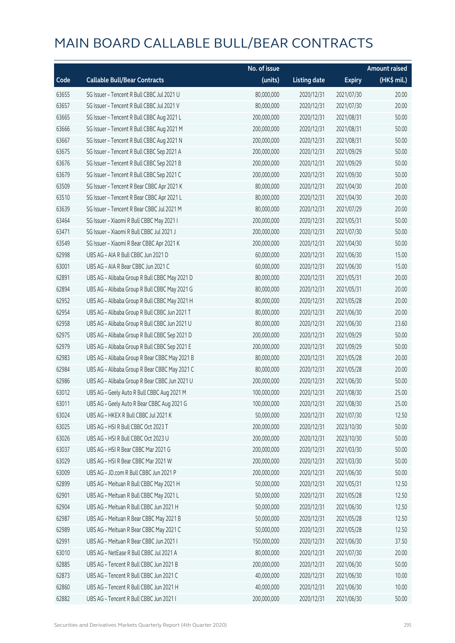|       |                                               | No. of issue |                     |               | <b>Amount raised</b> |  |
|-------|-----------------------------------------------|--------------|---------------------|---------------|----------------------|--|
| Code  | <b>Callable Bull/Bear Contracts</b>           | (units)      | <b>Listing date</b> | <b>Expiry</b> | (HK\$ mil.)          |  |
| 63655 | SG Issuer - Tencent R Bull CBBC Jul 2021 U    | 80,000,000   | 2020/12/31          | 2021/07/30    | 20.00                |  |
| 63657 | SG Issuer - Tencent R Bull CBBC Jul 2021 V    | 80,000,000   | 2020/12/31          | 2021/07/30    | 20.00                |  |
| 63665 | SG Issuer - Tencent R Bull CBBC Aug 2021 L    | 200,000,000  | 2020/12/31          | 2021/08/31    | 50.00                |  |
| 63666 | SG Issuer - Tencent R Bull CBBC Aug 2021 M    | 200,000,000  | 2020/12/31          | 2021/08/31    | 50.00                |  |
| 63667 | SG Issuer - Tencent R Bull CBBC Aug 2021 N    | 200,000,000  | 2020/12/31          | 2021/08/31    | 50.00                |  |
| 63675 | SG Issuer - Tencent R Bull CBBC Sep 2021 A    | 200,000,000  | 2020/12/31          | 2021/09/29    | 50.00                |  |
| 63676 | SG Issuer - Tencent R Bull CBBC Sep 2021 B    | 200,000,000  | 2020/12/31          | 2021/09/29    | 50.00                |  |
| 63679 | SG Issuer - Tencent R Bull CBBC Sep 2021 C    | 200,000,000  | 2020/12/31          | 2021/09/30    | 50.00                |  |
| 63509 | SG Issuer - Tencent R Bear CBBC Apr 2021 K    | 80,000,000   | 2020/12/31          | 2021/04/30    | 20.00                |  |
| 63510 | SG Issuer - Tencent R Bear CBBC Apr 2021 L    | 80,000,000   | 2020/12/31          | 2021/04/30    | 20.00                |  |
| 63639 | SG Issuer - Tencent R Bear CBBC Jul 2021 M    | 80,000,000   | 2020/12/31          | 2021/07/29    | 20.00                |  |
| 63464 | SG Issuer - Xiaomi R Bull CBBC May 2021 I     | 200,000,000  | 2020/12/31          | 2021/05/31    | 50.00                |  |
| 63471 | SG Issuer - Xiaomi R Bull CBBC Jul 2021 J     | 200,000,000  | 2020/12/31          | 2021/07/30    | 50.00                |  |
| 63549 | SG Issuer - Xiaomi R Bear CBBC Apr 2021 K     | 200,000,000  | 2020/12/31          | 2021/04/30    | 50.00                |  |
| 62998 | UBS AG - AIA R Bull CBBC Jun 2021 D           | 60,000,000   | 2020/12/31          | 2021/06/30    | 15.00                |  |
| 63001 | UBS AG - AIA R Bear CBBC Jun 2021 C           | 60,000,000   | 2020/12/31          | 2021/06/30    | 15.00                |  |
| 62891 | UBS AG - Alibaba Group R Bull CBBC May 2021 D | 80,000,000   | 2020/12/31          | 2021/05/31    | 20.00                |  |
| 62894 | UBS AG - Alibaba Group R Bull CBBC May 2021 G | 80,000,000   | 2020/12/31          | 2021/05/31    | 20.00                |  |
| 62952 | UBS AG - Alibaba Group R Bull CBBC May 2021 H | 80,000,000   | 2020/12/31          | 2021/05/28    | 20.00                |  |
| 62954 | UBS AG - Alibaba Group R Bull CBBC Jun 2021 T | 80,000,000   | 2020/12/31          | 2021/06/30    | 20.00                |  |
| 62958 | UBS AG - Alibaba Group R Bull CBBC Jun 2021 U | 80,000,000   | 2020/12/31          | 2021/06/30    | 23.60                |  |
| 62975 | UBS AG - Alibaba Group R Bull CBBC Sep 2021 D | 200,000,000  | 2020/12/31          | 2021/09/29    | 50.00                |  |
| 62979 | UBS AG - Alibaba Group R Bull CBBC Sep 2021 E | 200,000,000  | 2020/12/31          | 2021/09/29    | 50.00                |  |
| 62983 | UBS AG - Alibaba Group R Bear CBBC May 2021 B | 80,000,000   | 2020/12/31          | 2021/05/28    | 20.00                |  |
| 62984 | UBS AG - Alibaba Group R Bear CBBC May 2021 C | 80,000,000   | 2020/12/31          | 2021/05/28    | 20.00                |  |
| 62986 | UBS AG - Alibaba Group R Bear CBBC Jun 2021 U | 200,000,000  | 2020/12/31          | 2021/06/30    | 50.00                |  |
| 63012 | UBS AG - Geely Auto R Bull CBBC Aug 2021 M    | 100,000,000  | 2020/12/31          | 2021/08/30    | 25.00                |  |
| 63011 | UBS AG - Geely Auto R Bear CBBC Aug 2021 G    | 100,000,000  | 2020/12/31          | 2021/08/30    | 25.00                |  |
| 63024 | UBS AG - HKEX R Bull CBBC Jul 2021 K          | 50,000,000   | 2020/12/31          | 2021/07/30    | 12.50                |  |
| 63025 | UBS AG - HSI R Bull CBBC Oct 2023 T           | 200,000,000  | 2020/12/31          | 2023/10/30    | 50.00                |  |
| 63026 | UBS AG - HSI R Bull CBBC Oct 2023 U           | 200,000,000  | 2020/12/31          | 2023/10/30    | 50.00                |  |
| 63037 | UBS AG - HSI R Bear CBBC Mar 2021 G           | 200,000,000  | 2020/12/31          | 2021/03/30    | 50.00                |  |
| 63029 | UBS AG - HSI R Bear CBBC Mar 2021 W           | 200,000,000  | 2020/12/31          | 2021/03/30    | 50.00                |  |
| 63009 | UBS AG - JD.com R Bull CBBC Jun 2021 P        | 200,000,000  | 2020/12/31          | 2021/06/30    | 50.00                |  |
| 62899 | UBS AG - Meituan R Bull CBBC May 2021 H       | 50,000,000   | 2020/12/31          | 2021/05/31    | 12.50                |  |
| 62901 | UBS AG - Meituan R Bull CBBC May 2021 L       | 50,000,000   | 2020/12/31          | 2021/05/28    | 12.50                |  |
| 62904 | UBS AG - Meituan R Bull CBBC Jun 2021 H       | 50,000,000   | 2020/12/31          | 2021/06/30    | 12.50                |  |
| 62987 | UBS AG - Meituan R Bear CBBC May 2021 B       | 50,000,000   | 2020/12/31          | 2021/05/28    | 12.50                |  |
| 62989 | UBS AG - Meituan R Bear CBBC May 2021 C       | 50,000,000   | 2020/12/31          | 2021/05/28    | 12.50                |  |
| 62991 | UBS AG - Meituan R Bear CBBC Jun 2021 I       | 150,000,000  | 2020/12/31          | 2021/06/30    | 37.50                |  |
| 63010 | UBS AG - NetEase R Bull CBBC Jul 2021 A       | 80,000,000   | 2020/12/31          | 2021/07/30    | 20.00                |  |
| 62885 | UBS AG - Tencent R Bull CBBC Jun 2021 B       | 200,000,000  | 2020/12/31          | 2021/06/30    | 50.00                |  |
| 62873 | UBS AG - Tencent R Bull CBBC Jun 2021 C       | 40,000,000   | 2020/12/31          | 2021/06/30    | 10.00                |  |
| 62860 | UBS AG - Tencent R Bull CBBC Jun 2021 H       | 40,000,000   | 2020/12/31          | 2021/06/30    | 10.00                |  |
| 62882 | UBS AG - Tencent R Bull CBBC Jun 2021 I       | 200,000,000  | 2020/12/31          | 2021/06/30    | 50.00                |  |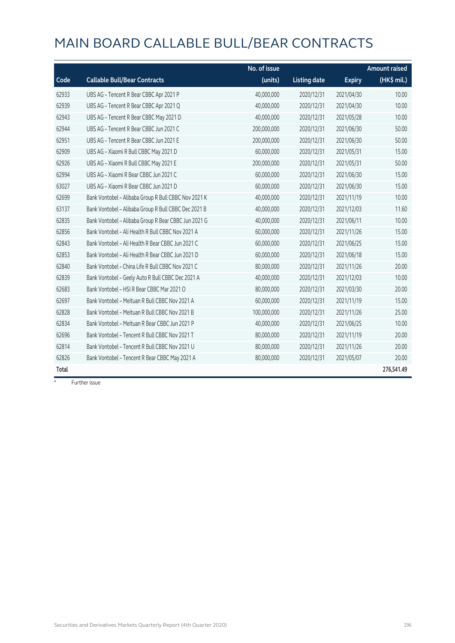|       |                                                      | No. of issue |                     |               | <b>Amount raised</b> |
|-------|------------------------------------------------------|--------------|---------------------|---------------|----------------------|
| Code  | <b>Callable Bull/Bear Contracts</b>                  | (units)      | <b>Listing date</b> | <b>Expiry</b> | (HK\$ mil.)          |
| 62933 | UBS AG - Tencent R Bear CBBC Apr 2021 P              | 40,000,000   | 2020/12/31          | 2021/04/30    | 10.00                |
| 62939 | UBS AG - Tencent R Bear CBBC Apr 2021 Q              | 40,000,000   | 2020/12/31          | 2021/04/30    | 10.00                |
| 62943 | UBS AG - Tencent R Bear CBBC May 2021 D              | 40,000,000   | 2020/12/31          | 2021/05/28    | 10.00                |
| 62944 | UBS AG - Tencent R Bear CBBC Jun 2021 C              | 200,000,000  | 2020/12/31          | 2021/06/30    | 50.00                |
| 62951 | UBS AG - Tencent R Bear CBBC Jun 2021 E              | 200,000,000  | 2020/12/31          | 2021/06/30    | 50.00                |
| 62909 | UBS AG - Xiaomi R Bull CBBC May 2021 D               | 60,000,000   | 2020/12/31          | 2021/05/31    | 15.00                |
| 62926 | UBS AG - Xiaomi R Bull CBBC May 2021 E               | 200,000,000  | 2020/12/31          | 2021/05/31    | 50.00                |
| 62994 | UBS AG - Xiaomi R Bear CBBC Jun 2021 C               | 60,000,000   | 2020/12/31          | 2021/06/30    | 15.00                |
| 63027 | UBS AG - Xiaomi R Bear CBBC Jun 2021 D               | 60,000,000   | 2020/12/31          | 2021/06/30    | 15.00                |
| 62699 | Bank Vontobel - Alibaba Group R Bull CBBC Nov 2021 K | 40,000,000   | 2020/12/31          | 2021/11/19    | 10.00                |
| 63137 | Bank Vontobel - Alibaba Group R Bull CBBC Dec 2021 B | 40,000,000   | 2020/12/31          | 2021/12/03    | 11.60                |
| 62835 | Bank Vontobel - Alibaba Group R Bear CBBC Jun 2021 G | 40,000,000   | 2020/12/31          | 2021/06/11    | 10.00                |
| 62856 | Bank Vontobel - Ali Health R Bull CBBC Nov 2021 A    | 60,000,000   | 2020/12/31          | 2021/11/26    | 15.00                |
| 62843 | Bank Vontobel - Ali Health R Bear CBBC Jun 2021 C    | 60,000,000   | 2020/12/31          | 2021/06/25    | 15.00                |
| 62853 | Bank Vontobel - Ali Health R Bear CBBC Jun 2021 D    | 60,000,000   | 2020/12/31          | 2021/06/18    | 15.00                |
| 62840 | Bank Vontobel - China Life R Bull CBBC Nov 2021 C    | 80,000,000   | 2020/12/31          | 2021/11/26    | 20.00                |
| 62839 | Bank Vontobel - Geely Auto R Bull CBBC Dec 2021 A    | 40,000,000   | 2020/12/31          | 2021/12/03    | 10.00                |
| 62683 | Bank Vontobel - HSI R Bear CBBC Mar 2021 O           | 80,000,000   | 2020/12/31          | 2021/03/30    | 20.00                |
| 62697 | Bank Vontobel - Meituan R Bull CBBC Nov 2021 A       | 60,000,000   | 2020/12/31          | 2021/11/19    | 15.00                |
| 62828 | Bank Vontobel - Meituan R Bull CBBC Nov 2021 B       | 100,000,000  | 2020/12/31          | 2021/11/26    | 25.00                |
| 62834 | Bank Vontobel - Meituan R Bear CBBC Jun 2021 P       | 40,000,000   | 2020/12/31          | 2021/06/25    | 10.00                |
| 62696 | Bank Vontobel - Tencent R Bull CBBC Nov 2021 T       | 80,000,000   | 2020/12/31          | 2021/11/19    | 20.00                |
| 62814 | Bank Vontobel - Tencent R Bull CBBC Nov 2021 U       | 80,000,000   | 2020/12/31          | 2021/11/26    | 20.00                |
| 62826 | Bank Vontobel - Tencent R Bear CBBC May 2021 A       | 80,000,000   | 2020/12/31          | 2021/05/07    | 20.00                |
| Total |                                                      |              |                     |               | 276,541.49           |

# Further issue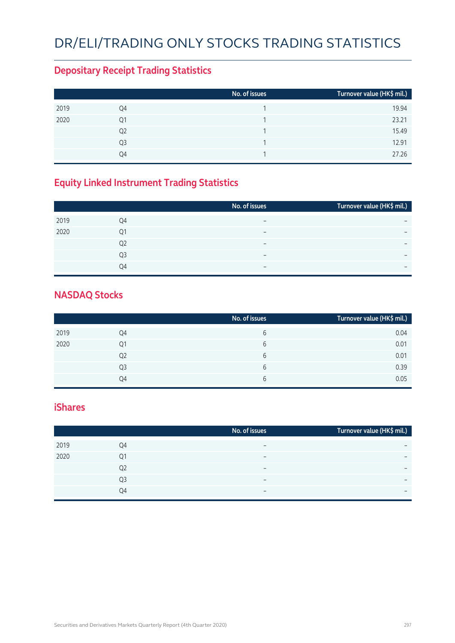## DR/ELI/TRADING ONLY STOCKS TRADING STATISTICS

### **Depositary Receipt Trading Statistics**

|      |                | No. of issues | Turnover value (HK\$ mil.) |
|------|----------------|---------------|----------------------------|
| 2019 | Q4             |               | 19.94                      |
| 2020 | Q1             |               | 23.21                      |
|      | Q <sub>2</sub> |               | 15.49                      |
|      | Q <sub>3</sub> |               | 12.91                      |
|      | O4             |               | 27.26                      |

### **Equity Linked Instrument Trading Statistics**

|      |                | No. of issues            | Turnover value (HK\$ mil.) |
|------|----------------|--------------------------|----------------------------|
| 2019 | O4             | $\overline{\phantom{0}}$ |                            |
| 2020 | Q1             | -                        | $\overline{\phantom{0}}$   |
|      | Q <sub>2</sub> | $\overline{\phantom{0}}$ | $\overline{\phantom{0}}$   |
|      | Q3             | $\overline{\phantom{0}}$ |                            |
|      | O <sub>4</sub> | $\overline{\phantom{0}}$ | $\overline{\phantom{0}}$   |

#### **NASDAQ Stocks**

|      |    | No. of issues | Turnover value (HK\$ mil.) |
|------|----|---------------|----------------------------|
| 2019 | Q4 | 6             | 0.04                       |
| 2020 | Q1 | 6             | 0.01                       |
|      | Q2 | 6             | 0.01                       |
|      | Q3 | 6             | 0.39                       |
|      | Q4 | 6             | 0.05                       |

#### **iShares**

|      |    | No. of issues            | Turnover value (HK\$ mil.) |
|------|----|--------------------------|----------------------------|
| 2019 | Q4 |                          | $\overline{\phantom{0}}$   |
| 2020 | Q1 | $\overline{\phantom{m}}$ | $\overline{\phantom{0}}$   |
|      | Q2 | $\overline{\phantom{0}}$ | $\overline{\phantom{0}}$   |
|      | Q3 |                          | $\overline{\phantom{0}}$   |
|      | Q4 | $\overline{\phantom{0}}$ | $\overline{\phantom{0}}$   |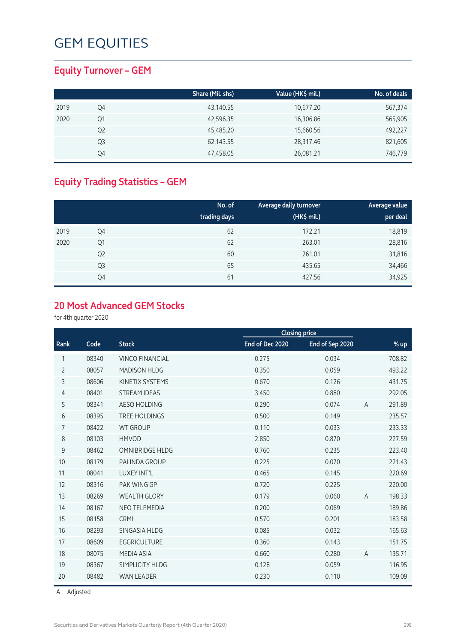### **Equity Turnover – GEM**

|      |    | Share (Mil. shs) | Value (HK\$ mil.) | No. of deals |
|------|----|------------------|-------------------|--------------|
| 2019 | Q4 | 43,140.55        | 10,677.20         | 567,374      |
| 2020 | Q1 | 42,596.35        | 16,306.86         | 565,905      |
|      | Q2 | 45,485.20        | 15,660.56         | 492,227      |
|      | Q3 | 62,143.55        | 28,317.46         | 821,605      |
|      | Q4 | 47,458.05        | 26,081.21         | 746,779      |

### **Equity Trading Statistics – GEM**

|      |                | No. of<br>trading days | Average daily turnover<br>(HK\$ mil.) | Average value<br>per deal |
|------|----------------|------------------------|---------------------------------------|---------------------------|
| 2019 | Q4             | 62                     | 172.21                                | 18,819                    |
| 2020 | Q1             | 62                     | 263.01                                | 28,816                    |
|      | Q <sub>2</sub> | 60                     | 261.01                                | 31,816                    |
|      | Q <sub>3</sub> | 65                     | 435.65                                | 34,466                    |
|      | Q4             | 61                     | 427.56                                | 34,925                    |

#### **20 Most Advanced GEM Stocks**

for 4th quarter 2020

|                |       |                        |                 | <b>Closing price</b> |                |        |
|----------------|-------|------------------------|-----------------|----------------------|----------------|--------|
| Rank           | Code  | <b>Stock</b>           | End of Dec 2020 | End of Sep 2020      |                | % up   |
| 1              | 08340 | <b>VINCO FINANCIAL</b> | 0.275           | 0.034                |                | 708.82 |
| $\overline{2}$ | 08057 | <b>MADISON HLDG</b>    | 0.350           | 0.059                |                | 493.22 |
| 3              | 08606 | KINETIX SYSTEMS        | 0.670           | 0.126                |                | 431.75 |
| 4              | 08401 | <b>STREAM IDEAS</b>    | 3.450           | 0.880                |                | 292.05 |
| 5              | 08341 | <b>AESO HOLDING</b>    | 0.290           | 0.074                | $\overline{A}$ | 291.89 |
| 6              | 08395 | <b>TREE HOLDINGS</b>   | 0.500           | 0.149                |                | 235.57 |
| 7              | 08422 | <b>WT GROUP</b>        | 0.110           | 0.033                |                | 233.33 |
| 8              | 08103 | <b>HMVOD</b>           | 2.850           | 0.870                |                | 227.59 |
| 9              | 08462 | <b>OMNIBRIDGE HLDG</b> | 0.760           | 0.235                |                | 223.40 |
| 10             | 08179 | <b>PALINDA GROUP</b>   | 0.225           | 0.070                |                | 221.43 |
| 11             | 08041 | <b>LUXEY INT'L</b>     | 0.465           | 0.145                |                | 220.69 |
| 12             | 08316 | <b>PAK WING GP</b>     | 0.720           | 0.225                |                | 220.00 |
| 13             | 08269 | <b>WEALTH GLORY</b>    | 0.179           | 0.060                | $\overline{A}$ | 198.33 |
| 14             | 08167 | <b>NEO TELEMEDIA</b>   | 0.200           | 0.069                |                | 189.86 |
| 15             | 08158 | <b>CRMI</b>            | 0.570           | 0.201                |                | 183.58 |
| 16             | 08293 | SINGASIA HLDG          | 0.085           | 0.032                |                | 165.63 |
| 17             | 08609 | <b>EGGRICULTURE</b>    | 0.360           | 0.143                |                | 151.75 |
| 18             | 08075 | <b>MEDIA ASIA</b>      | 0.660           | 0.280                | A              | 135.71 |
| 19             | 08367 | SIMPLICITY HLDG        | 0.128           | 0.059                |                | 116.95 |
| 20             | 08482 | <b>WAN LEADER</b>      | 0.230           | 0.110                |                | 109.09 |

A Adjusted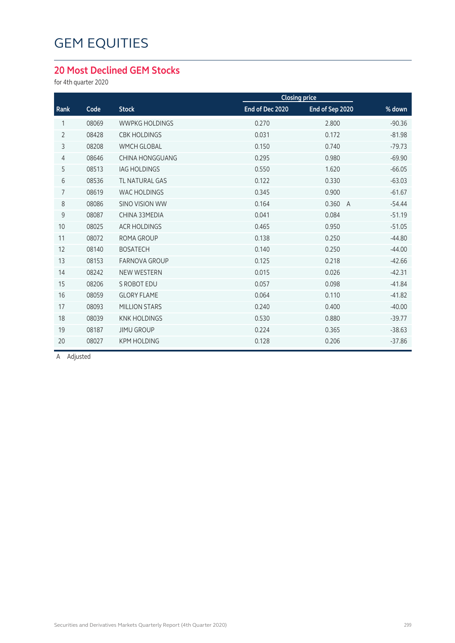### **20 Most Declined GEM Stocks**

for 4th quarter 2020

|                |       |                       |                 | <b>Closing price</b>    |          |
|----------------|-------|-----------------------|-----------------|-------------------------|----------|
| Rank           | Code  | <b>Stock</b>          | End of Dec 2020 | End of Sep 2020         | % down   |
| 1              | 08069 | <b>WWPKG HOLDINGS</b> | 0.270           | 2.800                   | $-90.36$ |
| $\overline{2}$ | 08428 | <b>CBK HOLDINGS</b>   | 0.031           | 0.172                   | $-81.98$ |
| 3              | 08208 | <b>WMCH GLOBAL</b>    | 0.150           | 0.740                   | $-79.73$ |
| 4              | 08646 | CHINA HONGGUANG       | 0.295           | 0.980                   | $-69.90$ |
| 5              | 08513 | <b>IAG HOLDINGS</b>   | 0.550           | 1.620                   | $-66.05$ |
| 6              | 08536 | <b>TL NATURAL GAS</b> | 0.122           | 0.330                   | $-63.03$ |
| $\overline{7}$ | 08619 | <b>WAC HOLDINGS</b>   | 0.345           | 0.900                   | $-61.67$ |
| 8              | 08086 | <b>SINO VISION WW</b> | 0.164           | 0.360<br>$\overline{A}$ | $-54.44$ |
| 9              | 08087 | CHINA 33MEDIA         | 0.041           | 0.084                   | $-51.19$ |
| 10             | 08025 | <b>ACR HOLDINGS</b>   | 0.465           | 0.950                   | $-51.05$ |
| 11             | 08072 | ROMA GROUP            | 0.138           | 0.250                   | $-44.80$ |
| 12             | 08140 | <b>BOSATECH</b>       | 0.140           | 0.250                   | $-44.00$ |
| 13             | 08153 | <b>FARNOVA GROUP</b>  | 0.125           | 0.218                   | $-42.66$ |
| 14             | 08242 | <b>NEW WESTERN</b>    | 0.015           | 0.026                   | $-42.31$ |
| 15             | 08206 | S ROBOT EDU           | 0.057           | 0.098                   | $-41.84$ |
| 16             | 08059 | <b>GLORY FLAME</b>    | 0.064           | 0.110                   | $-41.82$ |
| 17             | 08093 | <b>MILLION STARS</b>  | 0.240           | 0.400                   | $-40.00$ |
| 18             | 08039 | <b>KNK HOLDINGS</b>   | 0.530           | 0.880                   | $-39.77$ |
| 19             | 08187 | <b>JIMU GROUP</b>     | 0.224           | 0.365                   | $-38.63$ |
| 20             | 08027 | <b>KPM HOLDING</b>    | 0.128           | 0.206                   | $-37.86$ |
|                |       |                       |                 |                         |          |

A Adjusted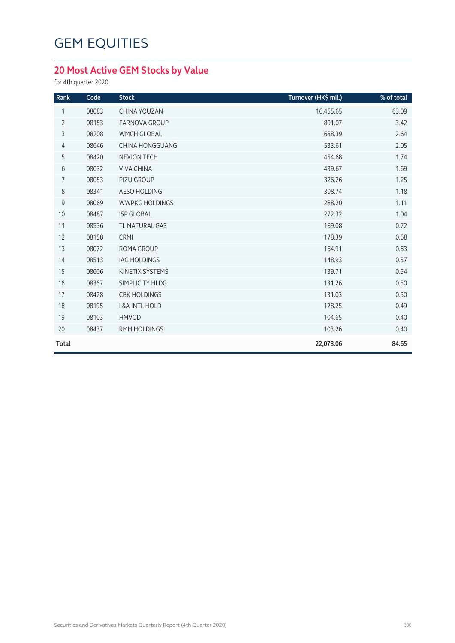### **20 Most Active GEM Stocks by Value**

for 4th quarter 2020

| Rank           | Code  | <b>Stock</b>             | Turnover (HK\$ mil.) | % of total |
|----------------|-------|--------------------------|----------------------|------------|
| 1              | 08083 | CHINA YOUZAN             | 16,455.65            | 63.09      |
| $\overline{2}$ | 08153 | <b>FARNOVA GROUP</b>     | 891.07               | 3.42       |
| 3              | 08208 | <b>WMCH GLOBAL</b>       | 688.39               | 2.64       |
| $\overline{4}$ | 08646 | <b>CHINA HONGGUANG</b>   | 533.61               | 2.05       |
| 5              | 08420 | <b>NEXION TECH</b>       | 454.68               | 1.74       |
| 6              | 08032 | <b>VIVA CHINA</b>        | 439.67               | 1.69       |
| 7              | 08053 | PIZU GROUP               | 326.26               | 1.25       |
| $\,8\,$        | 08341 | AESO HOLDING             | 308.74               | 1.18       |
| $\mathsf g$    | 08069 | <b>WWPKG HOLDINGS</b>    | 288.20               | 1.11       |
| 10             | 08487 | <b>ISP GLOBAL</b>        | 272.32               | 1.04       |
| 11             | 08536 | TL NATURAL GAS           | 189.08               | 0.72       |
| 12             | 08158 | CRMI                     | 178.39               | 0.68       |
| 13             | 08072 | <b>ROMA GROUP</b>        | 164.91               | 0.63       |
| 14             | 08513 | <b>IAG HOLDINGS</b>      | 148.93               | 0.57       |
| 15             | 08606 | <b>KINETIX SYSTEMS</b>   | 139.71               | 0.54       |
| 16             | 08367 | SIMPLICITY HLDG          | 131.26               | 0.50       |
| 17             | 08428 | <b>CBK HOLDINGS</b>      | 131.03               | 0.50       |
| 18             | 08195 | <b>L&amp;A INTL HOLD</b> | 128.25               | 0.49       |
| 19             | 08103 | <b>HMVOD</b>             | 104.65               | 0.40       |
| 20             | 08437 | RMH HOLDINGS             | 103.26               | 0.40       |
| Total          |       |                          | 22,078.06            | 84.65      |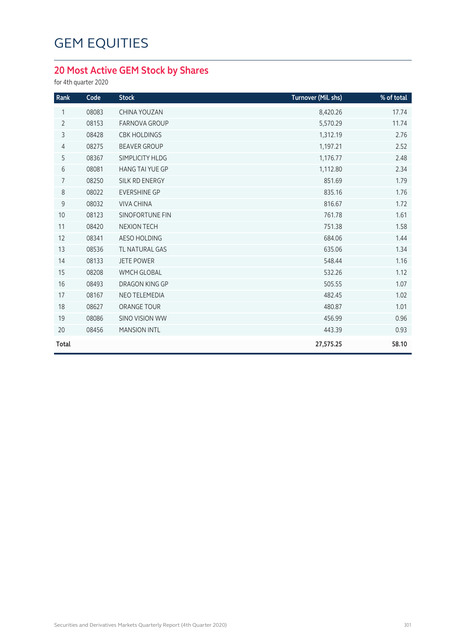### **20 Most Active GEM Stock by Shares**

for 4th quarter 2020

| Rank           | Code  | <b>Stock</b>           | Turnover (Mil. shs) | % of total |
|----------------|-------|------------------------|---------------------|------------|
| 1              | 08083 | CHINA YOUZAN           | 8,420.26            | 17.74      |
| $\overline{2}$ | 08153 | <b>FARNOVA GROUP</b>   | 5,570.29            | 11.74      |
| 3              | 08428 | <b>CBK HOLDINGS</b>    | 1,312.19            | 2.76       |
| $\overline{4}$ | 08275 | <b>BEAVER GROUP</b>    | 1,197.21            | 2.52       |
| 5              | 08367 | SIMPLICITY HLDG        | 1,176.77            | 2.48       |
| $6\,$          | 08081 | <b>HANG TAI YUE GP</b> | 1,112.80            | 2.34       |
| $\overline{7}$ | 08250 | SILK RD ENERGY         | 851.69              | 1.79       |
| 8              | 08022 | <b>EVERSHINE GP</b>    | 835.16              | 1.76       |
| 9              | 08032 | <b>VIVA CHINA</b>      | 816.67              | 1.72       |
| 10             | 08123 | <b>SINOFORTUNE FIN</b> | 761.78              | 1.61       |
| 11             | 08420 | <b>NEXION TECH</b>     | 751.38              | 1.58       |
| 12             | 08341 | AESO HOLDING           | 684.06              | 1.44       |
| 13             | 08536 | <b>TL NATURAL GAS</b>  | 635.06              | 1.34       |
| 14             | 08133 | <b>JETE POWER</b>      | 548.44              | 1.16       |
| 15             | 08208 | <b>WMCH GLOBAL</b>     | 532.26              | 1.12       |
| 16             | 08493 | DRAGON KING GP         | 505.55              | 1.07       |
| 17             | 08167 | <b>NEO TELEMEDIA</b>   | 482.45              | 1.02       |
| 18             | 08627 | ORANGE TOUR            | 480.87              | 1.01       |
| 19             | 08086 | <b>SINO VISION WW</b>  | 456.99              | 0.96       |
| 20             | 08456 | <b>MANSION INTL</b>    | 443.39              | 0.93       |
| <b>Total</b>   |       |                        | 27,575.25           | 58.10      |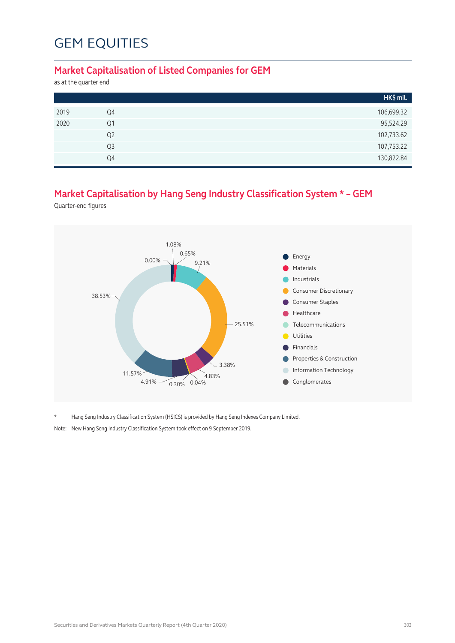#### **Market Capitalisation of Listed Companies for GEM**

as at the quarter end

|      |                | HK\$ mil.  |
|------|----------------|------------|
| 2019 | Q4             | 106,699.32 |
| 2020 | Q1             | 95,524.29  |
|      | Q <sub>2</sub> | 102,733.62 |
|      | Q <sub>3</sub> | 107,753.22 |
|      | Q4             | 130,822.84 |

### **Market Capitalisation by Hang Seng Industry Classification System \* – GEM**

Quarter-end figures



\* Hang Seng Industry Classification System (HSICS) is provided by Hang Seng Indexes Company Limited.

Note: New Hang Seng Industry Classification System took effect on 9 September 2019.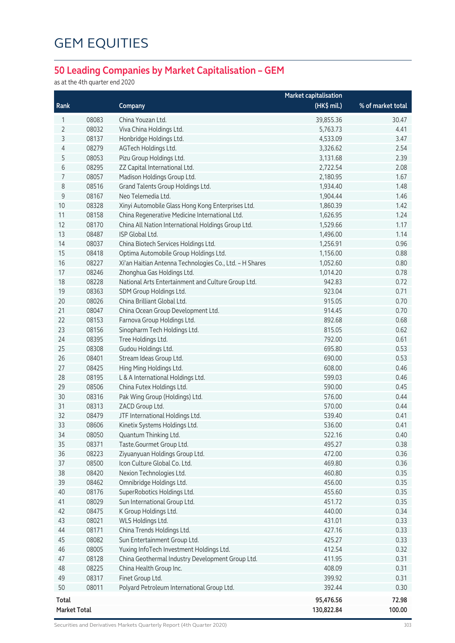### **50 Leading Companies by Market Capitalisation – GEM**

as at the 4th quarter end 2020

|                     |       |                                                         | <b>Market capitalisation</b> |                   |
|---------------------|-------|---------------------------------------------------------|------------------------------|-------------------|
| Rank                |       | Company                                                 | $(HK\$ mil.)                 | % of market total |
| 1                   | 08083 | China Youzan Ltd.                                       | 39,855.36                    | 30.47             |
| 2                   | 08032 | Viva China Holdings Ltd.                                | 5,763.73                     | 4.41              |
| 3                   | 08137 | Honbridge Holdings Ltd.                                 | 4,533.09                     | 3.47              |
| 4                   | 08279 | AGTech Holdings Ltd.                                    | 3,326.62                     | 2.54              |
| 5                   | 08053 | Pizu Group Holdings Ltd.                                | 3,131.68                     | 2.39              |
| 6                   | 08295 | ZZ Capital International Ltd.                           | 2,722.54                     | 2.08              |
| 7                   | 08057 | Madison Holdings Group Ltd.                             | 2,180.95                     | 1.67              |
| 8                   | 08516 | Grand Talents Group Holdings Ltd.                       | 1,934.40                     | 1.48              |
| 9                   | 08167 | Neo Telemedia Ltd.                                      | 1,904.44                     | 1.46              |
| 10                  | 08328 | Xinyi Automobile Glass Hong Kong Enterprises Ltd.       | 1,860.39                     | 1.42              |
| 11                  | 08158 | China Regenerative Medicine International Ltd.          | 1,626.95                     | 1.24              |
| 12                  | 08170 | China All Nation International Holdings Group Ltd.      | 1,529.66                     | 1.17              |
| 13                  | 08487 | ISP Global Ltd.                                         | 1,496.00                     | 1.14              |
| 14                  | 08037 | China Biotech Services Holdings Ltd.                    | 1,256.91                     | 0.96              |
| 15                  | 08418 | Optima Automobile Group Holdings Ltd.                   | 1,156.00                     | 0.88              |
| 16                  | 08227 | Xi'an Haitian Antenna Technologies Co., Ltd. - H Shares | 1,052.60                     | 0.80              |
| 17                  | 08246 | Zhonghua Gas Holdings Ltd.                              | 1,014.20                     | 0.78              |
| 18                  | 08228 | National Arts Entertainment and Culture Group Ltd.      | 942.83                       | 0.72              |
| 19                  | 08363 | SDM Group Holdings Ltd.                                 | 923.04                       | 0.71              |
| 20                  | 08026 | China Brilliant Global Ltd.                             | 915.05                       | 0.70              |
| 21                  | 08047 | China Ocean Group Development Ltd.                      | 914.45                       | 0.70              |
| 22                  | 08153 | Farnova Group Holdings Ltd.                             | 892.68                       | 0.68              |
| 23                  | 08156 | Sinopharm Tech Holdings Ltd.                            | 815.05                       | 0.62              |
| 24                  | 08395 | Tree Holdings Ltd.                                      | 792.00                       | 0.61              |
| 25                  | 08308 | Gudou Holdings Ltd.                                     | 695.80                       | 0.53              |
| 26                  | 08401 | Stream Ideas Group Ltd.                                 | 690.00                       | 0.53              |
| 27                  | 08425 | Hing Ming Holdings Ltd.                                 | 608.00                       | 0.46              |
| 28                  | 08195 | L & A International Holdings Ltd.                       | 599.03                       | 0.46              |
| 29                  | 08506 | China Futex Holdings Ltd.                               | 590.00                       | 0.45              |
| 30                  | 08316 | Pak Wing Group (Holdings) Ltd.                          | 576.00                       | 0.44              |
| 31                  | 08313 | ZACD Group Ltd.                                         | 570.00                       | 0.44              |
| 32                  | 08479 | JTF International Holdings Ltd.                         | 539.40                       | 0.41              |
| 33                  | 08606 | Kinetix Systems Holdings Ltd.                           | 536.00                       | 0.41              |
| 34                  | 08050 | Quantum Thinking Ltd.                                   | 522.16                       | 0.40              |
| 35                  | 08371 | Taste.Gourmet Group Ltd.                                | 495.27                       | 0.38              |
| 36                  | 08223 | Ziyuanyuan Holdings Group Ltd.                          | 472.00                       | 0.36              |
| 37                  | 08500 | Icon Culture Global Co. Ltd.                            | 469.80                       | 0.36              |
| 38                  | 08420 | Nexion Technologies Ltd.                                | 460.80                       | 0.35              |
| 39                  | 08462 | Omnibridge Holdings Ltd.                                | 456.00                       | 0.35              |
| 40                  | 08176 | SuperRobotics Holdings Ltd.                             | 455.60                       | 0.35              |
| 41                  | 08029 | Sun International Group Ltd.                            | 451.72                       | 0.35              |
| 42                  | 08475 | K Group Holdings Ltd.                                   | 440.00                       | 0.34              |
| 43                  | 08021 | WLS Holdings Ltd.                                       | 431.01                       | 0.33              |
| $44$                | 08171 | China Trends Holdings Ltd.                              | 427.16                       | 0.33              |
| 45                  | 08082 | Sun Entertainment Group Ltd.                            | 425.27                       | 0.33              |
| 46                  | 08005 | Yuxing InfoTech Investment Holdings Ltd.                | 412.54                       | 0.32              |
| 47                  | 08128 | China Geothermal Industry Development Group Ltd.        | 411.95                       | 0.31              |
| 48                  | 08225 | China Health Group Inc.                                 | 408.09                       | 0.31              |
| 49                  | 08317 | Finet Group Ltd.                                        | 399.92                       | 0.31              |
| 50                  | 08011 | Polyard Petroleum International Group Ltd.              | 392.44                       | 0.30              |
| Total               |       |                                                         | 95,476.56                    | 72.98             |
| <b>Market Total</b> |       |                                                         | 130,822.84                   | 100.00            |

Securities and Derivatives Markets Quarterly Report (4th Quarter 2020) 303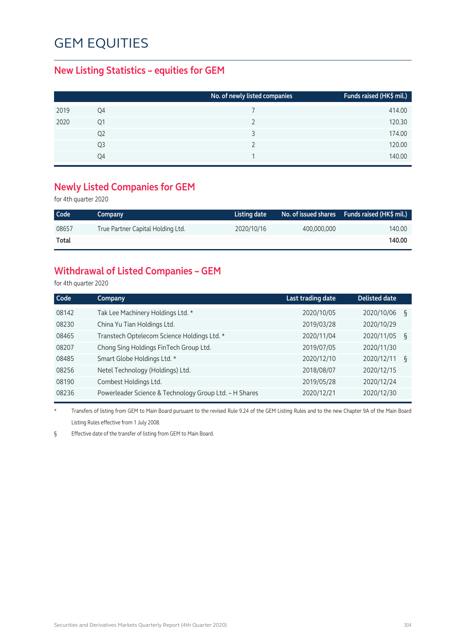#### **New Listing Statistics – equities for GEM**

|    | No. of newly listed companies | Funds raised (HK\$ mil.) |
|----|-------------------------------|--------------------------|
| Q4 |                               | 414.00                   |
| Q1 |                               | 120.30                   |
| Q2 |                               | 174.00                   |
| Q3 |                               | 120.00                   |
| Q4 |                               | 140.00                   |
|    |                               |                          |

#### **Newly Listed Companies for GEM**

for 4th quarter 2020

| Code  | Company                           | Listing date |             | No. of issued shares Funds raised (HK\$ mil.) |
|-------|-----------------------------------|--------------|-------------|-----------------------------------------------|
| 08657 | True Partner Capital Holding Ltd. | 2020/10/16   | 400,000,000 | 140.00                                        |
| Total |                                   |              |             | 140.00                                        |

### **Withdrawal of Listed Companies – GEM**

for 4th quarter 2020

| Code  | Company                                                | Last trading date | <b>Delisted date</b> |
|-------|--------------------------------------------------------|-------------------|----------------------|
| 08142 | Tak Lee Machinery Holdings Ltd. *                      | 2020/10/05        | 2020/10/06<br>ξ      |
| 08230 | China Yu Tian Holdings Ltd.                            | 2019/03/28        | 2020/10/29           |
| 08465 | Transtech Optelecom Science Holdings Ltd. *            | 2020/11/04        | 2020/11/05<br>ξ      |
| 08207 | Chong Sing Holdings FinTech Group Ltd.                 | 2019/07/05        | 2020/11/30           |
| 08485 | Smart Globe Holdings Ltd. *                            | 2020/12/10        | 2020/12/11<br>ξ      |
| 08256 | Netel Technology (Holdings) Ltd.                       | 2018/08/07        | 2020/12/15           |
| 08190 | Combest Holdings Ltd.                                  | 2019/05/28        | 2020/12/24           |
| 08236 | Powerleader Science & Technology Group Ltd. - H Shares | 2020/12/21        | 2020/12/30           |

\* Transfers of listing from GEM to Main Board pursuant to the revised Rule 9.24 of the GEM Listing Rules and to the new Chapter 9A of the Main Board Listing Rules effective from 1 July 2008.

§ Effective date of the transfer of listing from GEM to Main Board.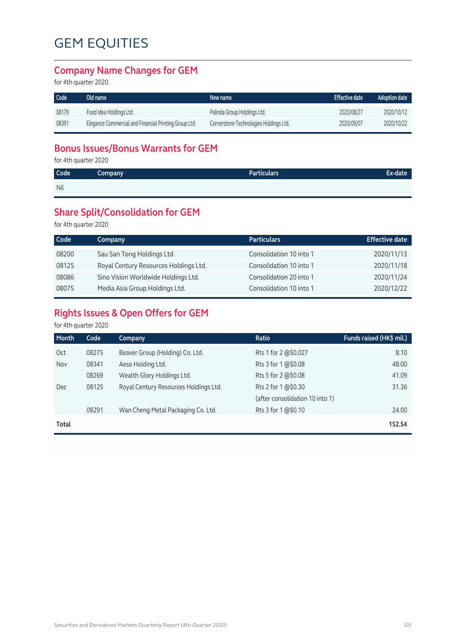#### **Company Name Changes for GEM**

for 4th quarter 2020

| Code  | Old name                                              | New name                               | <b>Effective date</b> | Adoption date |
|-------|-------------------------------------------------------|----------------------------------------|-----------------------|---------------|
| 08179 | Food Idea Holdings Ltd.                               | Palinda Group Holdings Ltd.            | 2020/08/27            | 2020/10/12    |
| 08391 | Elegance Commercial and Financial Printing Group Ltd. | Cornerstone Technologies Holdings Ltd. | 2020/09/07            | 2020/10/22    |

### **Bonus Issues/Bonus Warrants for GEM**

for 4th quarter 2020

| Code | Company | Particulars <sup>1</sup> | Ex-date l |
|------|---------|--------------------------|-----------|
| Nil  |         |                          |           |

#### **Share Split/Consolidation for GEM**

for 4th quarter 2020

| Code  | Company                               | <b>Particulars</b>      | <b>Effective date</b> |
|-------|---------------------------------------|-------------------------|-----------------------|
| 08200 | Sau San Tong Holdings Ltd.            | Consolidation 10 into 1 | 2020/11/13            |
| 08125 | Royal Century Resources Holdings Ltd. | Consolidation 10 into 1 | 2020/11/18            |
| 08086 | Sino Vision Worldwide Holdings Ltd.   | Consolidation 20 into 1 | 2020/11/24            |
| 08075 | Media Asia Group Holdings Ltd.        | Consolidation 10 into 1 | 2020/12/22            |

### **Rights Issues & Open Offers for GEM**

for 4th quarter 2020

| Month      | Code  | Company                               | Ratio                           | Funds raised (HK\$ mil.) |
|------------|-------|---------------------------------------|---------------------------------|--------------------------|
| Oct        | 08275 | Beaver Group (Holding) Co. Ltd.       | Rts 1 for 2 @\$0.027            | 8.10                     |
| Nov        | 08341 | Aeso Holding Ltd.                     | Rts 3 for 1 @\$0.08             | 48.00                    |
|            | 08269 | Wealth Glory Holdings Ltd.            | Rts 5 for 2 @\$0.08             | 41.09                    |
| <b>Dec</b> | 08125 | Royal Century Resources Holdings Ltd. | Rts 2 for 1 @\$0.30             | 31.36                    |
|            |       |                                       | (after consolidation 10 into 1) |                          |
|            | 08291 | Wan Cheng Metal Packaging Co. Ltd.    | Rts 3 for 1 @\$0.10             | 24.00                    |
| Total      |       |                                       |                                 | 152.54                   |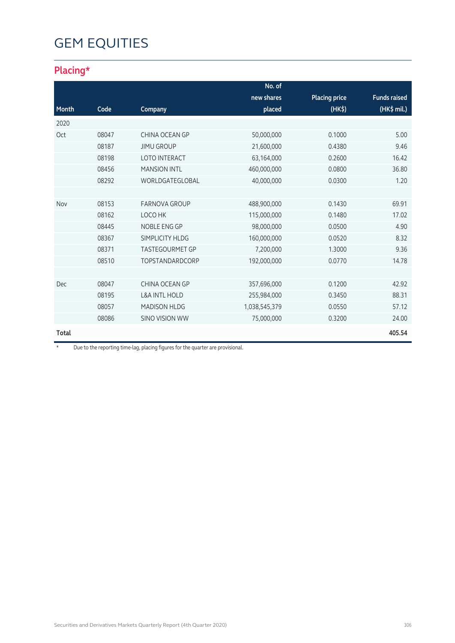### **Placing\***

|       |       |                          | No. of        |                      |                     |
|-------|-------|--------------------------|---------------|----------------------|---------------------|
|       |       |                          | new shares    | <b>Placing price</b> | <b>Funds raised</b> |
| Month | Code  | Company                  | placed        | $(HK\$               | (HK\$ mil.)         |
| 2020  |       |                          |               |                      |                     |
| Oct   | 08047 | CHINA OCEAN GP           | 50,000,000    | 0.1000               | 5.00                |
|       | 08187 | <b>JIMU GROUP</b>        | 21,600,000    | 0.4380               | 9.46                |
|       | 08198 | <b>LOTO INTERACT</b>     | 63,164,000    | 0.2600               | 16.42               |
|       | 08456 | <b>MANSION INTL</b>      | 460,000,000   | 0.0800               | 36.80               |
|       | 08292 | WORLDGATEGLOBAL          | 40,000,000    | 0.0300               | 1.20                |
|       |       |                          |               |                      |                     |
| Nov   | 08153 | <b>FARNOVA GROUP</b>     | 488,900,000   | 0.1430               | 69.91               |
|       | 08162 | LOCO HK                  | 115,000,000   | 0.1480               | 17.02               |
|       | 08445 | NOBLE ENG GP             | 98,000,000    | 0.0500               | 4.90                |
|       | 08367 | SIMPLICITY HLDG          | 160,000,000   | 0.0520               | 8.32                |
|       | 08371 | <b>TASTEGOURMET GP</b>   | 7,200,000     | 1.3000               | 9.36                |
|       | 08510 | <b>TOPSTANDARDCORP</b>   | 192,000,000   | 0.0770               | 14.78               |
|       |       |                          |               |                      |                     |
| Dec   | 08047 | CHINA OCEAN GP           | 357,696,000   | 0.1200               | 42.92               |
|       | 08195 | <b>L&amp;A INTL HOLD</b> | 255,984,000   | 0.3450               | 88.31               |
|       | 08057 | <b>MADISON HLDG</b>      | 1,038,545,379 | 0.0550               | 57.12               |
|       | 08086 | <b>SINO VISION WW</b>    | 75,000,000    | 0.3200               | 24.00               |
| Total |       |                          |               |                      | 405.54              |

\* Due to the reporting time-lag, placing figures for the quarter are provisional.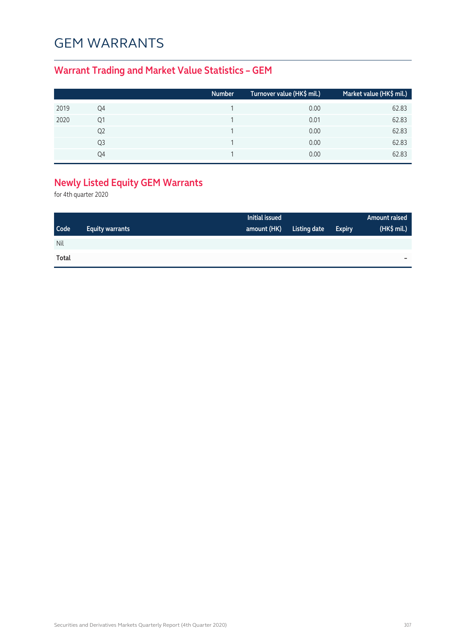## GEM WARRANTS

### **Warrant Trading and Market Value Statistics – GEM**

|      |    | <b>Number</b> | Turnover value (HK\$ mil.) | Market value (HK\$ mil.) |
|------|----|---------------|----------------------------|--------------------------|
| 2019 | Q4 |               | 0.00                       | 62.83                    |
| 2020 | Q1 |               | 0.01                       | 62.83                    |
|      | Q2 |               | 0.00                       | 62.83                    |
|      | Q3 |               | 0.00                       | 62.83                    |
|      | O4 |               | 0.00                       | 62.83                    |

## **Newly Listed Equity GEM Warrants**

for 4th quarter 2020

|            |                        | Initial issued |              |               | Amount raised |
|------------|------------------------|----------------|--------------|---------------|---------------|
| Code       | <b>Equity warrants</b> | amount (HK)    | Listing date | <b>Expiry</b> | (HK\$ mil.)   |
| <b>Nil</b> |                        |                |              |               |               |
| Total      |                        |                |              |               |               |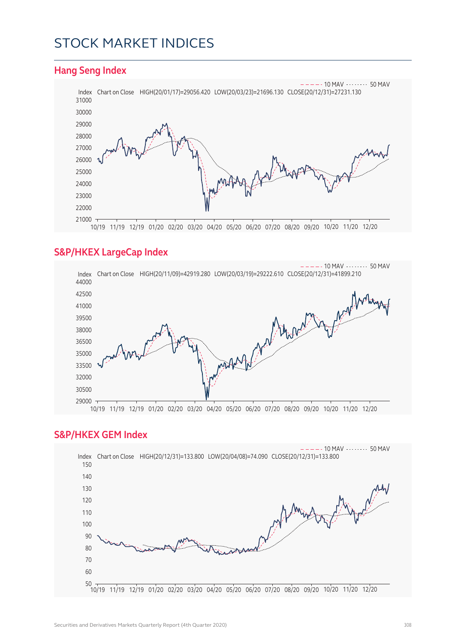## STOCK MARKET INDICES

#### **Hang Seng Index** Index Chart on Close HIGH(20/01/17)=29056.420 LOW(20/03/23)=21696.130 CLOSE(20/12/31)=27231.130  $21000 - - - - - 10$  MAV  $- - - - - - 50$  MAV 10/19 11/19 12/19 01/20 02/20 03/20 04/20 05/20 06/20 07/20 08/20 09/20 10/20 11/20 12/20

#### **S&P/HKEX LargeCap Index**



#### **S&P/HKEX GEM Index**

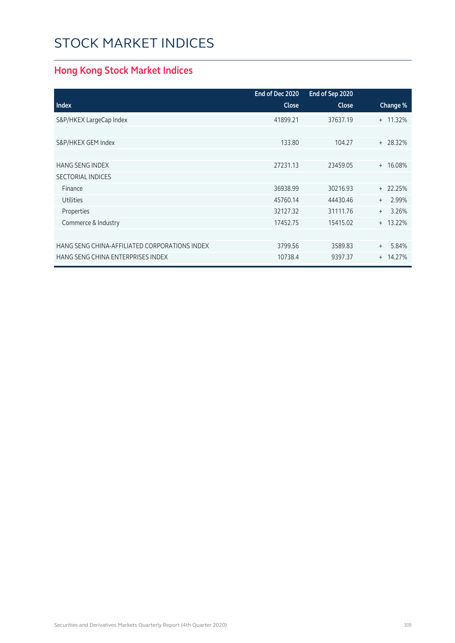## STOCK MARKET INDICES

### **Hong Kong Stock Market Indices**

|                                               | End of Dec 2020 | End of Sep 2020 |                 |
|-----------------------------------------------|-----------------|-----------------|-----------------|
| <b>Index</b>                                  | <b>Close</b>    | <b>Close</b>    | Change %        |
| S&P/HKEX LargeCap Index                       | 41899.21        | 37637.19        | $+ 11.32%$      |
|                                               |                 |                 |                 |
| S&P/HKEX GEM Index                            | 133.80          | 104.27          | + 28.32%        |
|                                               |                 |                 |                 |
| <b>HANG SENG INDEX</b>                        | 27231.13        | 23459.05        | + 16.08%        |
| <b>SECTORIAL INDICES</b>                      |                 |                 |                 |
| Finance                                       | 36938.99        | 30216.93        | $+22.25%$       |
| <b>Utilities</b>                              | 45760.14        | 44430.46        | 2.99%<br>$^{+}$ |
| Properties                                    | 32127.32        | 31111.76        | 3.26%<br>$+$    |
| Commerce & Industry                           | 17452.75        | 15415.02        | $+ 13.22%$      |
|                                               |                 |                 |                 |
| HANG SENG CHINA-AFFILIATED CORPORATIONS INDEX | 3799.56         | 3589.83         | 5.84%<br>$+$    |
| HANG SENG CHINA ENTERPRISES INDEX             | 10738.4         | 9397.37         | $+ 14.27%$      |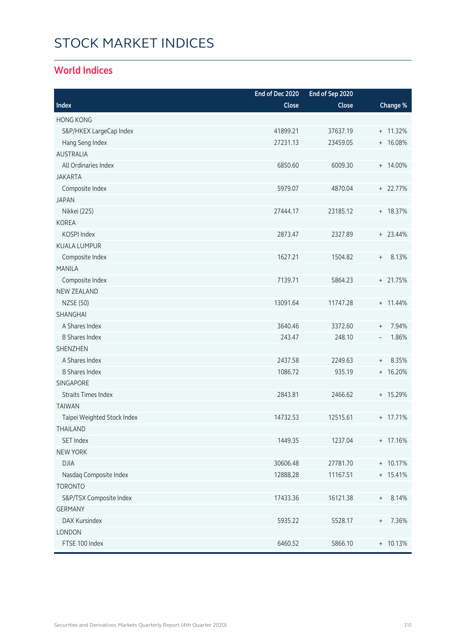# STOCK MARKET INDICES

### **World Indices**

|                             | End of Dec 2020 | End of Sep 2020 |                                           |
|-----------------------------|-----------------|-----------------|-------------------------------------------|
| Index                       | Close           | Close           | Change %                                  |
| <b>HONG KONG</b>            |                 |                 |                                           |
| S&P/HKEX LargeCap Index     | 41899.21        | 37637.19        | + 11.32%                                  |
| Hang Seng Index             | 27231.13        | 23459.05        | + 16.08%                                  |
| <b>AUSTRALIA</b>            |                 |                 |                                           |
| All Ordinaries Index        | 6850.60         | 6009.30         | + 14.00%                                  |
| <b>JAKARTA</b>              |                 |                 |                                           |
| Composite Index             | 5979.07         | 4870.04         | + 22.77%                                  |
| <b>JAPAN</b>                |                 |                 |                                           |
| Nikkei (225)                | 27444.17        | 23185.12        | + 18.37%                                  |
| <b>KOREA</b>                |                 |                 |                                           |
| KOSPI Index                 | 2873.47         | 2327.89         | $+ 23.44\%$                               |
| <b>KUALA LUMPUR</b>         |                 |                 |                                           |
| Composite Index             | 1627.21         | 1504.82         | 8.13%<br>$^{+}$                           |
| <b>MANILA</b>               |                 |                 |                                           |
| Composite Index             | 7139.71         | 5864.23         | + 21.75%                                  |
| <b>NEW ZEALAND</b>          |                 |                 |                                           |
| <b>NZSE (50)</b>            | 13091.64        | 11747.28        | $+ 11.44\%$                               |
| SHANGHAI                    |                 |                 |                                           |
| A Shares Index              | 3640.46         | 3372.60         | 7.94%<br>$\begin{array}{c} + \end{array}$ |
| <b>B Shares Index</b>       | 243.47          | 248.10          | 1.86%<br>$\overline{\phantom{a}}$         |
| <b>SHENZHEN</b>             |                 |                 |                                           |
| A Shares Index              | 2437.58         | 2249.63         | 8.35%<br>$+$                              |
| <b>B</b> Shares Index       | 1086.72         | 935.19          | + 16.20%                                  |
| <b>SINGAPORE</b>            |                 |                 |                                           |
| <b>Straits Times Index</b>  | 2843.81         | 2466.62         | + 15.29%                                  |
| <b>TAIWAN</b>               |                 |                 |                                           |
| Taipei Weighted Stock Index | 14732.53        | 12515.61        | + 17.71%                                  |
| <b>THAILAND</b>             |                 |                 |                                           |
| SET Index                   | 1449.35         | 1237.04         | + 17.16%                                  |
| <b>NEW YORK</b>             |                 |                 |                                           |
| <b>DJIA</b>                 | 30606.48        | 27781.70        | + 10.17%                                  |
| Nasdaq Composite Index      | 12888.28        | 11167.51        | + 15.41%                                  |
| <b>TORONTO</b>              |                 |                 |                                           |
| S&P/TSX Composite Index     | 17433.36        | 16121.38        | 8.14%<br>$+$                              |
| <b>GERMANY</b>              |                 |                 |                                           |
| DAX Kursindex               | 5935.22         | 5528.17         | 7.36%<br>$^{+}$                           |
| LONDON                      |                 |                 |                                           |
| FTSE 100 Index              | 6460.52         | 5866.10         | $+ 10.13%$                                |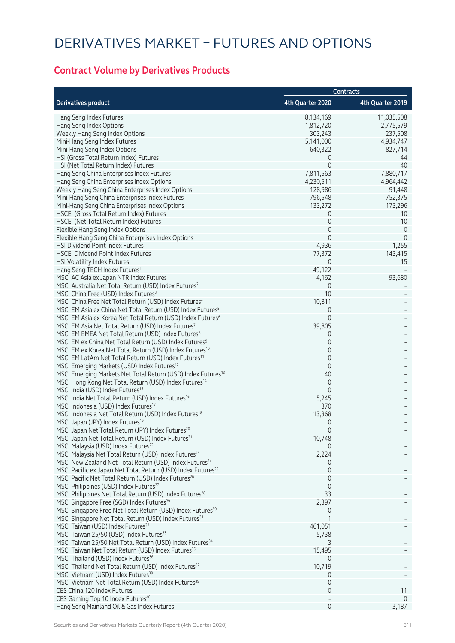### **Contract Volume by Derivatives Products**

|                                                                                                                               |                  | <b>Contracts</b> |
|-------------------------------------------------------------------------------------------------------------------------------|------------------|------------------|
| Derivatives product                                                                                                           | 4th Quarter 2020 | 4th Quarter 2019 |
| Hang Seng Index Futures                                                                                                       | 8,134,169        | 11,035,508       |
| Hang Seng Index Options                                                                                                       | 1,812,720        | 2,775,579        |
| Weekly Hang Seng Index Options                                                                                                | 303,243          | 237,508          |
| Mini-Hang Seng Index Futures                                                                                                  | 5,141,000        | 4,934,747        |
| Mini-Hang Seng Index Options                                                                                                  | 640,322          | 827,714          |
| HSI (Gross Total Return Index) Futures                                                                                        | 0                | 44               |
| HSI (Net Total Return Index) Futures                                                                                          | $\Omega$         | 40               |
| Hang Seng China Enterprises Index Futures                                                                                     | 7,811,563        | 7,880,717        |
| Hang Seng China Enterprises Index Options                                                                                     | 4,230,511        | 4,964,442        |
| Weekly Hang Seng China Enterprises Index Options                                                                              | 128,986          | 91,448           |
| Mini-Hang Seng China Enterprises Index Futures                                                                                | 796,548          | 752,375          |
| Mini-Hang Seng China Enterprises Index Options                                                                                | 133,272          | 173,296          |
| HSCEI (Gross Total Return Index) Futures                                                                                      | 0                | 10               |
| HSCEI (Net Total Return Index) Futures                                                                                        | 0                | $10$             |
| Flexible Hang Seng Index Options                                                                                              | 0                | $\mathbf{0}$     |
| Flexible Hang Seng China Enterprises Index Options                                                                            | 0                | $\mathbf{0}$     |
| HSI Dividend Point Index Futures                                                                                              | 4,936            | 1,255            |
| <b>HSCEI Dividend Point Index Futures</b>                                                                                     | 77,372           | 143,415          |
| <b>HSI Volatility Index Futures</b>                                                                                           | 0                | 15               |
| Hang Seng TECH Index Futures <sup>1</sup>                                                                                     | 49,122           |                  |
| MSCI AC Asia ex Japan NTR Index Futures                                                                                       | 4,162            | 93,680           |
| MSCI Australia Net Total Return (USD) Index Futures <sup>2</sup>                                                              | 0                |                  |
| MSCI China Free (USD) Index Futures <sup>3</sup>                                                                              | 10               |                  |
| MSCI China Free Net Total Return (USD) Index Futures <sup>4</sup>                                                             | 10,811           |                  |
| MSCI EM Asia ex China Net Total Return (USD) Index Futures <sup>5</sup>                                                       | 0<br>0           |                  |
| MSCI EM Asia ex Korea Net Total Return (USD) Index Futures <sup>6</sup><br>MSCI EM Asia Net Total Return (USD) Index Futures7 |                  |                  |
| MSCI EM EMEA Net Total Return (USD) Index Futures <sup>8</sup>                                                                | 39,805<br>0      |                  |
| MSCI EM ex China Net Total Return (USD) Index Futures <sup>9</sup>                                                            | 0                |                  |
| MSCI EM ex Korea Net Total Return (USD) Index Futures <sup>10</sup>                                                           | 0                |                  |
| MSCI EM LatAm Net Total Return (USD) Index Futures <sup>11</sup>                                                              | 0                |                  |
| MSCI Emerging Markets (USD) Index Futures <sup>12</sup>                                                                       | 0                |                  |
| MSCI Emerging Markets Net Total Return (USD) Index Futures <sup>13</sup>                                                      | 40               |                  |
| MSCI Hong Kong Net Total Return (USD) Index Futures <sup>14</sup>                                                             | 0                |                  |
| MSCI India (USD) Index Futures <sup>15</sup>                                                                                  | $\mathbf{0}$     |                  |
| MSCI India Net Total Return (USD) Index Futures <sup>16</sup>                                                                 | 5,245            |                  |
| MSCI Indonesia (USD) Index Futures <sup>17</sup>                                                                              | 370              |                  |
| MSCI Indonesia Net Total Return (USD) Index Futures <sup>18</sup>                                                             | 13,368           |                  |
| MSCI Japan (JPY) Index Futures <sup>19</sup>                                                                                  | 0                |                  |
| MSCI Japan Net Total Return (JPY) Index Futures <sup>20</sup>                                                                 | O                |                  |
| MSCI Japan Net Total Return (USD) Index Futures <sup>21</sup>                                                                 | 10,748           |                  |
| MSCI Malaysia (USD) Index Futures <sup>22</sup>                                                                               | $\left( \right)$ |                  |
| MSCI Malaysia Net Total Return (USD) Index Futures <sup>23</sup>                                                              | 2,224            |                  |
| MSCI New Zealand Net Total Return (USD) Index Futures <sup>24</sup>                                                           | 0                |                  |
| MSCI Pacific ex Japan Net Total Return (USD) Index Futures <sup>25</sup>                                                      | 0                |                  |
| MSCI Pacific Net Total Return (USD) Index Futures <sup>26</sup>                                                               | 0                |                  |
| MSCI Philippines (USD) Index Futures <sup>27</sup>                                                                            | $\Omega$         |                  |
| MSCI Philippines Net Total Return (USD) Index Futures <sup>28</sup>                                                           | 33               |                  |
| MSCI Singapore Free (SGD) Index Futures <sup>29</sup>                                                                         | 2,397            |                  |
| MSCI Singapore Free Net Total Return (USD) Index Futures <sup>30</sup>                                                        | O                |                  |
| MSCI Singapore Net Total Return (USD) Index Futures <sup>31</sup>                                                             |                  |                  |
| MSCI Taiwan (USD) Index Futures <sup>32</sup>                                                                                 | 461,051          |                  |
| MSCI Taiwan 25/50 (USD) Index Futures <sup>33</sup>                                                                           | 5,738            |                  |
| MSCI Taiwan 25/50 Net Total Return (USD) Index Futures <sup>34</sup>                                                          | 3                |                  |
| MSCI Taiwan Net Total Return (USD) Index Futures <sup>35</sup>                                                                | 15,495           |                  |
| MSCI Thailand (USD) Index Futures <sup>36</sup>                                                                               | 0                |                  |
| MSCI Thailand Net Total Return (USD) Index Futures <sup>37</sup>                                                              | 10,719           |                  |
| MSCI Vietnam (USD) Index Futures <sup>38</sup>                                                                                | 0                |                  |
| MSCI Vietnam Net Total Return (USD) Index Futures <sup>39</sup>                                                               | 0                |                  |
| CES China 120 Index Futures                                                                                                   | 0                | 11<br>$\Omega$   |
| CES Gaming Top 10 Index Futures <sup>40</sup>                                                                                 | 0                | 3,187            |
| Hang Seng Mainland Oil & Gas Index Futures                                                                                    |                  |                  |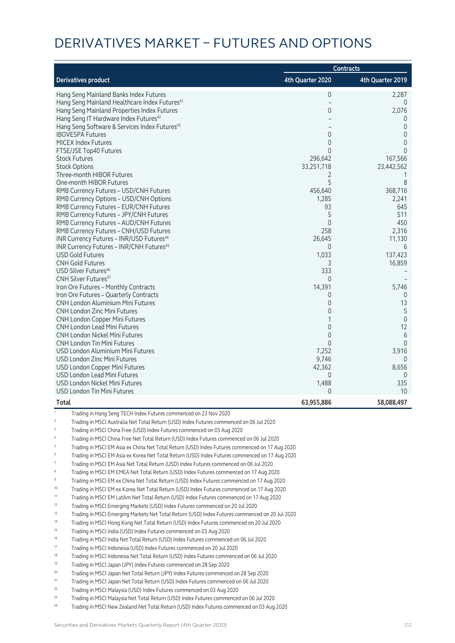|                                                                                                    | <b>Contracts</b> |                  |  |
|----------------------------------------------------------------------------------------------------|------------------|------------------|--|
| Derivatives product                                                                                | 4th Quarter 2020 | 4th Quarter 2019 |  |
| Hang Seng Mainland Banks Index Futures                                                             | 0                | 2,287            |  |
| Hang Seng Mainland Healthcare Index Futures <sup>41</sup>                                          |                  | $\Omega$         |  |
| Hang Seng Mainland Properties Index Futures                                                        | 0                | 2,076            |  |
| Hang Seng IT Hardware Index Futures <sup>42</sup>                                                  |                  | $\Omega$         |  |
| Hang Seng Software & Services Index Futures <sup>43</sup>                                          |                  | $\overline{0}$   |  |
| <b>IBOVESPA Futures</b>                                                                            | 0                | $\Omega$         |  |
| MICEX Index Futures                                                                                | 0                | $\Omega$         |  |
| FTSE/JSE Top40 Futures                                                                             | $\Omega$         | $\Omega$         |  |
| <b>Stock Futures</b>                                                                               | 296,642          | 167,566          |  |
| <b>Stock Options</b>                                                                               | 33,251,718       | 23,442,562       |  |
| Three-month HIBOR Futures                                                                          | 2                |                  |  |
| One-month HIBOR Futures                                                                            | 5                | 8                |  |
| RMB Currency Futures - USD/CNH Futures                                                             | 456,640          | 368,716          |  |
| RMB Currency Options - USD/CNH Options                                                             | 1,285            | 2,241            |  |
| RMB Currency Futures - EUR/CNH Futures                                                             | 93               | 645              |  |
| RMB Currency Futures - JPY/CNH Futures                                                             | 5                | 511              |  |
| RMB Currency Futures - AUD/CNH Futures                                                             | $\Omega$         | 450              |  |
| RMB Currency Futures - CNH/USD Futures                                                             | 258              | 2,316            |  |
| INR Currency Futures - INR/USD Futures <sup>44</sup>                                               | 26,645           | 11,130           |  |
| INR Currency Futures - INR/CNH Futures <sup>45</sup>                                               | $\Omega$         | 6                |  |
| <b>USD Gold Futures</b>                                                                            | 1,033            | 137,423          |  |
| <b>CNH Gold Futures</b>                                                                            | 3                | 16,859           |  |
| USD Silver Futures <sup>46</sup>                                                                   | 333              |                  |  |
| CNH Silver Futures <sup>47</sup>                                                                   | 0                |                  |  |
| Iron Ore Futures - Monthly Contracts                                                               | 14,391           | 5,746            |  |
| Iron Ore Futures - Quarterly Contracts                                                             | 0                | $\Omega$         |  |
| <b>CNH London Aluminium Mini Futures</b>                                                           | 0                | 13               |  |
| CNH London Zinc Mini Futures                                                                       | 0                | 5                |  |
| CNH London Copper Mini Futures                                                                     | 1                | $\overline{0}$   |  |
| <b>CNH London Lead Mini Futures</b>                                                                | 0                | 12               |  |
| <b>CNH London Nickel Mini Futures</b>                                                              | $\Omega$         | 6                |  |
| <b>CNH London Tin Mini Futures</b>                                                                 | $\Omega$         | $\Omega$         |  |
| USD London Aluminium Mini Futures                                                                  | 7,252            | 3,916            |  |
| USD London Zinc Mini Futures                                                                       | 9,746            |                  |  |
| USD London Copper Mini Futures                                                                     | 42,362           | 8,656            |  |
| USD London Lead Mini Futures                                                                       | $\Omega$         | $\Omega$         |  |
| USD London Nickel Mini Futures                                                                     | 1,488            | 335              |  |
| USD London Tin Mini Futures                                                                        | $\Omega$         | 10               |  |
| Total<br>$\sim$ TECH Had at Fair<br>33 N  3030<br>$\tau$ and the sector of the sector $\sigma$ and | 63,955,886       | 58,088,497       |  |

<sup>1</sup> Trading in Hang Seng TECH Index Futures commenced on 23 Nov 2020

<sup>2</sup> Trading in MSCI Australia Net Total Return (USD) Index Futures commenced on 06 Jul 2020

<sup>3</sup> Trading in MSCI China Free (USD) Index Futures commenced on 03 Aug 2020

<sup>4</sup> Trading in MSCI China Free Net Total Return (USD) Index Futures commenced on 06 Jul 2020

<sup>5</sup> Trading in MSCI EM Asia ex China Net Total Return (USD) Index Futures commenced on 17 Aug 2020

<sup>6</sup> Trading in MSCI EM Asia ex Korea Net Total Return (USD) Index Futures commenced on 17 Aug 2020

<sup>7</sup> Trading in MSCI EM Asia Net Total Return (USD) Index Futures commenced on 06 Jul 2020

<sup>8</sup> Trading in MSCI EM EMEA Net Total Return (USD) Index Futures commenced on 17 Aug 2020

<sup>9</sup> Trading in MSCI EM ex China Net Total Return (USD) Index Futures commenced on 17 Aug 2020

<sup>10</sup> Trading in MSCI EM ex Korea Net Total Return (USD) Index Futures commenced on 17 Aug 2020

<sup>11</sup> Trading in MSCI EM LatAm Net Total Return (USD) Index Futures commenced on 17 Aug 2020

12 Trading in MSCI Emerging Markets (USD) Index Futures commenced on 20 Jul 2020<br>Trading in MSCI Emerging Markets Net Total Patrum (USD) Index Futures commenced

13 Trading in MSCI Emerging Markets Net Total Return (USD) Index Futures commenced on 20 Jul 2020<br>Trading in MSCI Uppe Kong Net Total Deturn (USD) Index Futures commenced on 20 Jul 2020

<sup>14</sup> Trading in MSCI Hong Kong Net Total Return (USD) Index Futures commenced on 20 Jul 2020<br><sup>15</sup> Trading in MSCI India (USD) Index Futures commenced on 03 Aug 2020

<sup>15</sup> Trading in MSCI India (USD) Index Futures commenced on 03 Aug 2020

<sup>16</sup> Trading in MSCI India Net Total Return (USD) Index Futures commenced on 06 Jul 2020

<sup>17</sup> Trading in MSCI Indonesia (USD) Index Futures commenced on 20 Jul 2020

18 Trading in MSCI Indonesia Net Total Return (USD) Index Futures commenced on 06 Jul 2020

<sup>19</sup> Trading in MSCI Japan (JPY) Index Futures commenced on 28 Sep 2020

<sup>20</sup> Trading in MSCI Japan Net Total Return (JPY) Index Futures commenced on 28 Sep 2020

<sup>21</sup> Trading in MSCI Japan Net Total Return (USD) Index Futures commenced on 06 Jul 2020

<sup>22</sup> Trading in MSCI Malaysia (USD) Index Futures commenced on 03 Aug 2020

<sup>23</sup> Trading in MSCI Malaysia Net Total Return (USD) Index Futures commenced on 06 Jul 2020

<sup>24</sup> Trading in MSCI New Zealand Net Total Return (USD) Index Futures commenced on 03 Aug 2020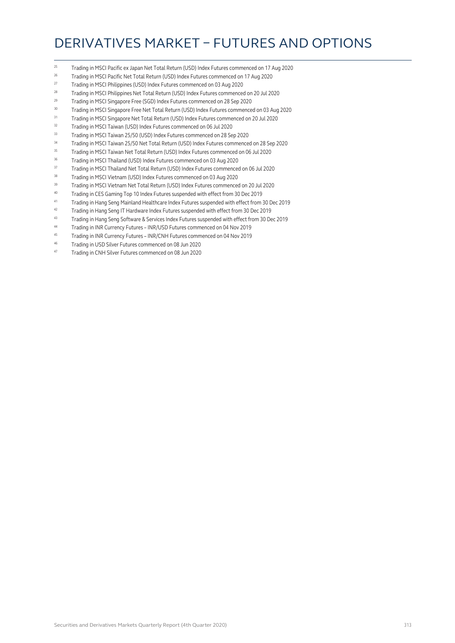- <sup>25</sup> Trading in MSCI Pacific ex Japan Net Total Return (USD) Index Futures commenced on 17 Aug 2020
- <sup>26</sup> Trading in MSCI Pacific Net Total Return (USD) Index Futures commenced on 17 Aug 2020
- <sup>27</sup> Trading in MSCI Philippines (USD) Index Futures commenced on 03 Aug 2020
- <sup>28</sup> Trading in MSCI Philippines Net Total Return (USD) Index Futures commenced on 20 Jul 2020
- <sup>29</sup> Trading in MSCI Singapore Free (SGD) Index Futures commenced on 28 Sep 2020
- <sup>30</sup> Trading in MSCI Singapore Free Net Total Return (USD) Index Futures commenced on 03 Aug 2020
- <sup>31</sup> Trading in MSCI Singapore Net Total Return (USD) Index Futures commenced on 20 Jul 2020
- <sup>32</sup> Trading in MSCI Taiwan (USD) Index Futures commenced on 06 Jul 2020
- <sup>33</sup> Trading in MSCI Taiwan 25/50 (USD) Index Futures commenced on 28 Sep 2020
- <sup>34</sup> Trading in MSCI Taiwan 25/50 Net Total Return (USD) Index Futures commenced on 28 Sep 2020
- <sup>35</sup> Trading in MSCI Taiwan Net Total Return (USD) Index Futures commenced on 06 Jul 2020<br><sup>36</sup> Trading in MSCI Theiland (USD) Index Futures commenced on 03 Aug 2020.
- <sup>36</sup> Trading in MSCI Thailand (USD) Index Futures commenced on 03 Aug 2020
- <sup>37</sup> Trading in MSCI Thailand Net Total Return (USD) Index Futures commenced on 06 Jul 2020
- <sup>38</sup> Trading in MSCI Vietnam (USD) Index Futures commenced on 03 Aug 2020<br>Trading in MSCI Vietnam Net Tatal Pature (USD) Index Futures commences
- <sup>39</sup> Trading in MSCI Vietnam Net Total Return (USD) Index Futures commenced on 20 Jul 2020
- <sup>40</sup> Trading in CES Gaming Top 10 Index Futures suspended with effect from 30 Dec 2019
- <sup>41</sup> Trading in Hang Seng Mainland Healthcare Index Futures suspended with effect from 30 Dec 2019
- <sup>42</sup> Trading in Hang Seng IT Hardware Index Futures suspended with effect from 30 Dec 2019
- <sup>43</sup> Trading in Hang Seng Software & Services Index Futures suspended with effect from 30 Dec 2019
- 44 Trading in INR Currency Futures INR/USD Futures commenced on 04 Nov 2019
- <sup>45</sup> Trading in INR Currency Futures INR/CNH Futures commenced on 04 Nov 2019
- <sup>46</sup> Trading in USD Silver Futures commenced on 08 Jun 2020
- <sup>47</sup> Trading in CNH Silver Futures commenced on 08 Jun 2020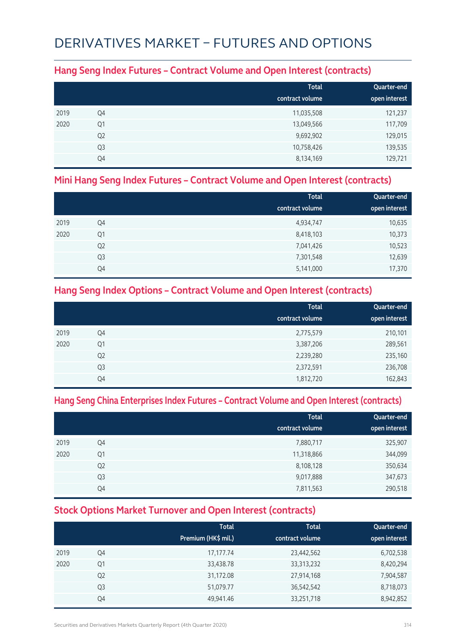#### **Hang Seng Index Futures – Contract Volume and Open Interest (contracts)**

|      |                | <b>Total</b>    | Quarter-end   |
|------|----------------|-----------------|---------------|
|      |                | contract volume | open interest |
| 2019 | Q4             | 11,035,508      | 121,237       |
| 2020 | Q1             | 13,049,566      | 117,709       |
|      | Q <sub>2</sub> | 9,692,902       | 129,015       |
|      | Q <sub>3</sub> | 10,758,426      | 139,535       |
|      | Q4             | 8,134,169       | 129,721       |

#### **Mini Hang Seng Index Futures – Contract Volume and Open Interest (contracts)**

|      |                | <b>Total</b><br>contract volume | Quarter-end<br>open interest |
|------|----------------|---------------------------------|------------------------------|
|      |                |                                 |                              |
| 2019 | Q4             | 4,934,747                       | 10,635                       |
| 2020 | Q1             | 8,418,103                       | 10,373                       |
|      | Q <sub>2</sub> | 7,041,426                       | 10,523                       |
|      | Q3             | 7,301,548                       | 12,639                       |
|      | Q4             | 5,141,000                       | 17,370                       |

### **Hang Seng Index Options – Contract Volume and Open Interest (contracts)**

|      |                | <b>Total</b>    | Quarter-end   |
|------|----------------|-----------------|---------------|
|      |                | contract volume | open interest |
| 2019 | Q4             | 2,775,579       | 210,101       |
| 2020 | Q1             | 3,387,206       | 289,561       |
|      | Q <sub>2</sub> | 2,239,280       | 235,160       |
|      | Q <sub>3</sub> | 2,372,591       | 236,708       |
|      | Q4             | 1,812,720       | 162,843       |

#### **Hang Seng China Enterprises Index Futures – Contract Volume and Open Interest (contracts)**

|      |                | <b>Total</b><br>contract volume | Quarter-end<br>open interest |
|------|----------------|---------------------------------|------------------------------|
| 2019 | Q4             | 7,880,717                       | 325,907                      |
| 2020 | Q1             | 11,318,866                      | 344,099                      |
|      | Q <sub>2</sub> | 8,108,128                       | 350,634                      |
|      | Q <sub>3</sub> | 9,017,888                       | 347,673                      |
|      | Q4             | 7,811,563                       | 290,518                      |

### **Stock Options Market Turnover and Open Interest (contracts)**

|      |                | <b>Total</b><br>Premium (HK\$ mil.) | <b>Total</b><br>contract volume | Quarter-end<br>open interest |
|------|----------------|-------------------------------------|---------------------------------|------------------------------|
| 2019 | Q4             | 17,177.74                           | 23,442,562                      | 6,702,538                    |
| 2020 | Q <sub>1</sub> | 33,438.78                           | 33, 313, 232                    | 8,420,294                    |
|      | Q <sub>2</sub> | 31,172.08                           | 27,914,168                      | 7,904,587                    |
|      | Q3             | 51,079.77                           | 36,542,542                      | 8,718,073                    |
|      | Q4             | 49,941.46                           | 33,251,718                      | 8,942,852                    |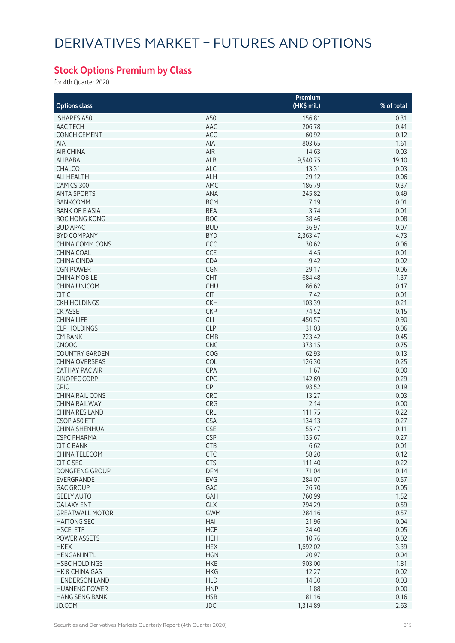### **Stock Options Premium by Class**

for 4th Quarter 2020

|                        |            | Premium     |            |
|------------------------|------------|-------------|------------|
| <b>Options class</b>   |            | (HK\$ mil.) | % of total |
| <b>ISHARES A50</b>     | A50        | 156.81      | 0.31       |
| AAC TECH               | AAC        | 206.78      | 0.41       |
| <b>CONCH CEMENT</b>    | ACC        | 60.92       | 0.12       |
| AIA                    | AIA        | 803.65      | 1.61       |
| <b>AIR CHINA</b>       | AIR        | 14.63       | 0.03       |
| ALIBABA                | ALB        | 9,540.75    | 19.10      |
| CHALCO                 | <b>ALC</b> | 13.31       | 0.03       |
| <b>ALI HEALTH</b>      | ALH        | 29.12       | 0.06       |
| CAM CSI300             | AMC        | 186.79      | 0.37       |
| <b>ANTA SPORTS</b>     | ANA        | 245.82      | 0.49       |
| <b>BANKCOMM</b>        | <b>BCM</b> | 7.19        | 0.01       |
| <b>BANK OF E ASIA</b>  | <b>BEA</b> | 3.74        | 0.01       |
| <b>BOC HONG KONG</b>   | <b>BOC</b> | 38.46       | 0.08       |
| <b>BUD APAC</b>        | <b>BUD</b> | 36.97       | 0.07       |
| <b>BYD COMPANY</b>     | <b>BYD</b> | 2,363.47    | 4.73       |
| CHINA COMM CONS        | CCC        |             |            |
| CHINA COAL             |            | 30.62       | 0.06       |
|                        | CCE        | 4.45        | 0.01       |
| <b>CHINA CINDA</b>     | CDA        | 9.42        | 0.02       |
| <b>CGN POWER</b>       | <b>CGN</b> | 29.17       | 0.06       |
| <b>CHINA MOBILE</b>    | <b>CHT</b> | 684.48      | 1.37       |
| <b>CHINA UNICOM</b>    | <b>CHU</b> | 86.62       | 0.17       |
| <b>CITIC</b>           | <b>CIT</b> | 7.42        | 0.01       |
| <b>CKH HOLDINGS</b>    | <b>CKH</b> | 103.39      | 0.21       |
| <b>CK ASSET</b>        | <b>CKP</b> | 74.52       | 0.15       |
| <b>CHINA LIFE</b>      | <b>CLI</b> | 450.57      | 0.90       |
| <b>CLP HOLDINGS</b>    | <b>CLP</b> | 31.03       | 0.06       |
| <b>CM BANK</b>         | CMB        | 223.42      | 0.45       |
| <b>CNOOC</b>           | CNC        | 373.15      | 0.75       |
| <b>COUNTRY GARDEN</b>  | COG        | 62.93       | 0.13       |
| <b>CHINA OVERSEAS</b>  | COL        | 126.30      | 0.25       |
| <b>CATHAY PAC AIR</b>  | CPA        | 1.67        | 0.00       |
| SINOPEC CORP           | CPC        | 142.69      | 0.29       |
| CPIC                   | CPI        | 93.52       | 0.19       |
| <b>CHINA RAIL CONS</b> | CRC        | 13.27       | 0.03       |
| CHINA RAILWAY          | CRG        | 2.14        | 0.00       |
| <b>CHINA RES LAND</b>  | CRL        | 111.75      | 0.22       |
| CSOP A50 ETF           | <b>CSA</b> | 134.13      | 0.27       |
| <b>CHINA SHENHUA</b>   | <b>CSE</b> | 55.47       | 0.11       |
| <b>CSPC PHARMA</b>     | <b>CSP</b> | 135.67      | 0.27       |
| <b>CITIC BANK</b>      | <b>CTB</b> | 6.62        | 0.01       |
| CHINA TELECOM          | CTC        | 58.20       | 0.12       |
| <b>CITIC SEC</b>       | <b>CTS</b> | 111.40      | 0.22       |
| DONGFENG GROUP         | <b>DFM</b> | 71.04       | 0.14       |
| EVERGRANDE             | EVG        | 284.07      | 0.57       |
| <b>GAC GROUP</b>       | GAC        | 26.70       | 0.05       |
| <b>GEELY AUTO</b>      | GAH        | 760.99      | 1.52       |
| <b>GALAXY ENT</b>      | GLX        | 294.29      | 0.59       |
| <b>GREATWALL MOTOR</b> | <b>GWM</b> | 284.16      | 0.57       |
| <b>HAITONG SEC</b>     | HAI        | 21.96       | 0.04       |
| <b>HSCEI ETF</b>       | <b>HCF</b> | 24.40       | 0.05       |
| POWER ASSETS           | <b>HEH</b> | 10.76       | 0.02       |
| <b>HKEX</b>            | <b>HEX</b> | 1,692.02    | 3.39       |
| <b>HENGAN INT'L</b>    |            | 20.97       |            |
| <b>HSBC HOLDINGS</b>   | <b>HGN</b> | 903.00      | 0.04       |
|                        | <b>HKB</b> |             | 1.81       |
| HK & CHINA GAS         | <b>HKG</b> | 12.27       | 0.02       |
| <b>HENDERSON LAND</b>  | <b>HLD</b> | 14.30       | 0.03       |
| <b>HUANENG POWER</b>   | <b>HNP</b> | 1.88        | 0.00       |
| <b>HANG SENG BANK</b>  | <b>HSB</b> | 81.16       | 0.16       |
| JD.COM                 | <b>JDC</b> | 1,314.89    | 2.63       |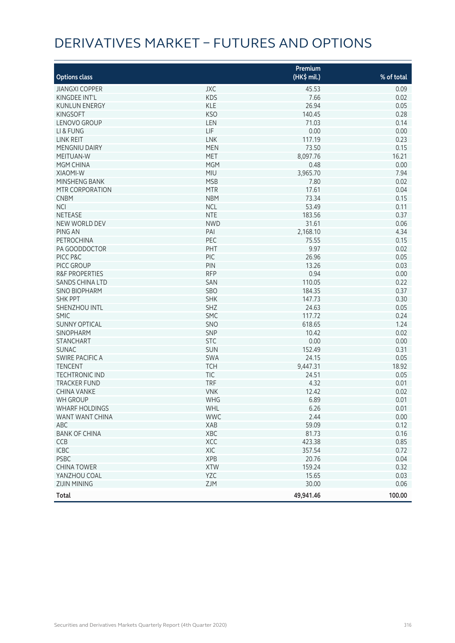|                           |            | Premium     |            |
|---------------------------|------------|-------------|------------|
| <b>Options class</b>      |            | (HK\$ mil.) | % of total |
| <b>JIANGXI COPPER</b>     | JXC        | 45.53       | 0.09       |
| KINGDEE INT'L             | <b>KDS</b> | 7.66        | 0.02       |
| <b>KUNLUN ENERGY</b>      | <b>KLE</b> | 26.94       | 0.05       |
| <b>KINGSOFT</b>           | <b>KSO</b> | 140.45      | 0.28       |
| <b>LENOVO GROUP</b>       | LEN        | 71.03       | 0.14       |
| LI & FUNG                 | <b>LIF</b> | 0.00        | 0.00       |
| LINK REIT                 | <b>LNK</b> | 117.19      | 0.23       |
| <b>MENGNIU DAIRY</b>      | <b>MEN</b> | 73.50       | 0.15       |
| MEITUAN-W                 | <b>MET</b> | 8,097.76    | 16.21      |
| <b>MGM CHINA</b>          | <b>MGM</b> | 0.48        | 0.00       |
| <b>XIAOMI-W</b>           | MIU        | 3,965.70    | 7.94       |
| <b>MINSHENG BANK</b>      | <b>MSB</b> | 7.80        | 0.02       |
| MTR CORPORATION           | <b>MTR</b> | 17.61       | 0.04       |
| <b>CNBM</b>               | <b>NBM</b> | 73.34       | 0.15       |
| <b>NCI</b>                | <b>NCL</b> | 53.49       | 0.11       |
| <b>NETEASE</b>            | <b>NTE</b> | 183.56      | 0.37       |
| <b>NEW WORLD DEV</b>      | <b>NWD</b> | 31.61       | 0.06       |
| PING AN                   | PAI        | 2,168.10    | 4.34       |
| PETROCHINA                | PEC        | 75.55       | 0.15       |
| PA GOODDOCTOR             | PHT        | 9.97        | 0.02       |
| PICC P&C                  | PIC        | 26.96       | 0.05       |
| PICC GROUP                | PIN        | 13.26       | 0.03       |
| <b>R&amp;F PROPERTIES</b> | <b>RFP</b> | 0.94        | 0.00       |
| <b>SANDS CHINA LTD</b>    | SAN        | 110.05      | 0.22       |
| <b>SINO BIOPHARM</b>      | SBO        | 184.35      | 0.37       |
| <b>SHK PPT</b>            | <b>SHK</b> | 147.73      | 0.30       |
| SHENZHOU INTL             | <b>SHZ</b> | 24.63       | 0.05       |
| <b>SMIC</b>               | SMC        | 117.72      | 0.24       |
| <b>SUNNY OPTICAL</b>      | SNO        | 618.65      | 1.24       |
| <b>SINOPHARM</b>          | SNP        | 10.42       | 0.02       |
| <b>STANCHART</b>          | <b>STC</b> | 0.00        | 0.00       |
| <b>SUNAC</b>              | SUN        | 152.49      | 0.31       |
| <b>SWIRE PACIFIC A</b>    | SWA        | 24.15       | 0.05       |
| <b>TENCENT</b>            | <b>TCH</b> | 9,447.31    | 18.92      |
| <b>TECHTRONIC IND</b>     | <b>TIC</b> | 24.51       | 0.05       |
| <b>TRACKER FUND</b>       | <b>TRF</b> | 4.32        | 0.01       |
| <b>CHINA VANKE</b>        | <b>VNK</b> | 12.42       | 0.02       |
| <b>WH GROUP</b>           | <b>WHG</b> | 6.89        | 0.01       |
| <b>WHARF HOLDINGS</b>     | WHL        | 6.26        | 0.01       |
| WANT WANT CHINA           | <b>WWC</b> | 2.44        | 0.00       |
| ABC                       | XAB        | 59.09       | 0.12       |
| <b>BANK OF CHINA</b>      | XBC        | 81.73       | 0.16       |
| CCB                       | XCC        | 423.38      | 0.85       |
| <b>ICBC</b>               | XIC        | 357.54      | 0.72       |
| <b>PSBC</b>               | <b>XPB</b> | 20.76       | 0.04       |
| <b>CHINA TOWER</b>        | <b>XTW</b> | 159.24      | 0.32       |
| YANZHOU COAL              | YZC        | 15.65       | 0.03       |
| <b>ZIJIN MINING</b>       | ZJM        | 30.00       | 0.06       |
| <b>Total</b>              |            | 49,941.46   | 100.00     |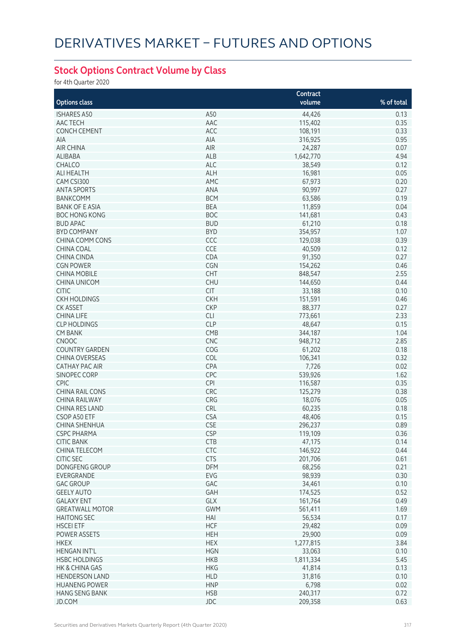### **Stock Options Contract Volume by Class**

for 4th Quarter 2020

|                        |            | Contract  |            |
|------------------------|------------|-----------|------------|
| <b>Options class</b>   |            | volume    | % of total |
| <b>ISHARES A50</b>     | A50        | 44,426    | 0.13       |
| AAC TECH               | AAC        | 115,402   | 0.35       |
| <b>CONCH CEMENT</b>    | ACC        | 108,191   | 0.33       |
| AIA                    | AIA        | 316,925   | 0.95       |
| <b>AIR CHINA</b>       | AIR        |           | 0.07       |
|                        |            | 24,287    |            |
| ALIBABA                | ALB        | 1,642,770 | 4.94       |
| CHALCO                 | <b>ALC</b> | 38,549    | 0.12       |
| ALI HEALTH             | ALH        | 16,981    | 0.05       |
| CAM CSI300             | AMC        | 67,973    | 0.20       |
| <b>ANTA SPORTS</b>     | ANA        | 90,997    | 0.27       |
| <b>BANKCOMM</b>        | <b>BCM</b> | 63,586    | 0.19       |
| <b>BANK OF E ASIA</b>  | <b>BEA</b> | 11,859    | 0.04       |
| <b>BOC HONG KONG</b>   | <b>BOC</b> | 141,681   | 0.43       |
| <b>BUD APAC</b>        | <b>BUD</b> | 61,210    | 0.18       |
| <b>BYD COMPANY</b>     | <b>BYD</b> | 354,957   | 1.07       |
| CHINA COMM CONS        | CCC        | 129,038   | 0.39       |
| <b>CHINA COAL</b>      | CCE        | 40,509    | 0.12       |
| CHINA CINDA            | CDA        | 91,350    | 0.27       |
| <b>CGN POWER</b>       | CGN        | 154,262   | 0.46       |
| <b>CHINA MOBILE</b>    | CHT        | 848,547   | 2.55       |
| <b>CHINA UNICOM</b>    | <b>CHU</b> | 144,650   | 0.44       |
| <b>CITIC</b>           | <b>CIT</b> | 33,188    | 0.10       |
| <b>CKH HOLDINGS</b>    | <b>CKH</b> | 151,591   | 0.46       |
| <b>CK ASSET</b>        | <b>CKP</b> | 88,377    | 0.27       |
| <b>CHINA LIFE</b>      | <b>CLI</b> | 773,661   | 2.33       |
| <b>CLP HOLDINGS</b>    | <b>CLP</b> |           | 0.15       |
|                        |            | 48,647    |            |
| <b>CM BANK</b>         | CMB        | 344,187   | 1.04       |
| <b>CNOOC</b>           | <b>CNC</b> | 948,712   | 2.85       |
| <b>COUNTRY GARDEN</b>  | COG        | 61,202    | 0.18       |
| CHINA OVERSEAS         | COL        | 106,341   | 0.32       |
| <b>CATHAY PAC AIR</b>  | CPA        | 7,726     | 0.02       |
| SINOPEC CORP           | CPC        | 539,926   | 1.62       |
| <b>CPIC</b>            | CPI        | 116,587   | 0.35       |
| <b>CHINA RAIL CONS</b> | CRC        | 125,279   | 0.38       |
| CHINA RAILWAY          | CRG        | 18,076    | 0.05       |
| CHINA RES LAND         | <b>CRL</b> | 60,235    | 0.18       |
| CSOP A50 ETF           | <b>CSA</b> | 48,406    | 0.15       |
| CHINA SHENHUA          | <b>CSE</b> | 296,237   | 0.89       |
| CSPC PHARMA            | CSP        | 119,109   | 0.36       |
| <b>CITIC BANK</b>      | <b>CTB</b> | 47,175    | 0.14       |
| CHINA TELECOM          | <b>CTC</b> | 146,922   | 0.44       |
| <b>CITIC SEC</b>       | <b>CTS</b> | 201,706   | 0.61       |
| <b>DONGFENG GROUP</b>  | <b>DFM</b> | 68,256    | 0.21       |
| EVERGRANDE             | EVG        | 98,939    | 0.30       |
| <b>GAC GROUP</b>       | GAC        | 34,461    | 0.10       |
| <b>GEELY AUTO</b>      | GAH        | 174,525   | 0.52       |
| <b>GALAXY ENT</b>      | GLX        | 161,764   | 0.49       |
| <b>GREATWALL MOTOR</b> | <b>GWM</b> | 561,411   | 1.69       |
| <b>HAITONG SEC</b>     |            |           | 0.17       |
|                        | HAI        | 56,534    |            |
| <b>HSCEI ETF</b>       | <b>HCF</b> | 29,482    | 0.09       |
| POWER ASSETS           | <b>HEH</b> | 29,900    | 0.09       |
| <b>HKEX</b>            | <b>HEX</b> | 1,277,815 | 3.84       |
| <b>HENGAN INT'L</b>    | <b>HGN</b> | 33,063    | 0.10       |
| <b>HSBC HOLDINGS</b>   | <b>HKB</b> | 1,811,334 | 5.45       |
| HK & CHINA GAS         | <b>HKG</b> | 41,814    | 0.13       |
| <b>HENDERSON LAND</b>  | <b>HLD</b> | 31,816    | 0.10       |
| <b>HUANENG POWER</b>   | <b>HNP</b> | 6,798     | 0.02       |
| <b>HANG SENG BANK</b>  | <b>HSB</b> | 240,317   | 0.72       |
| JD.COM                 | <b>JDC</b> | 209,358   | 0.63       |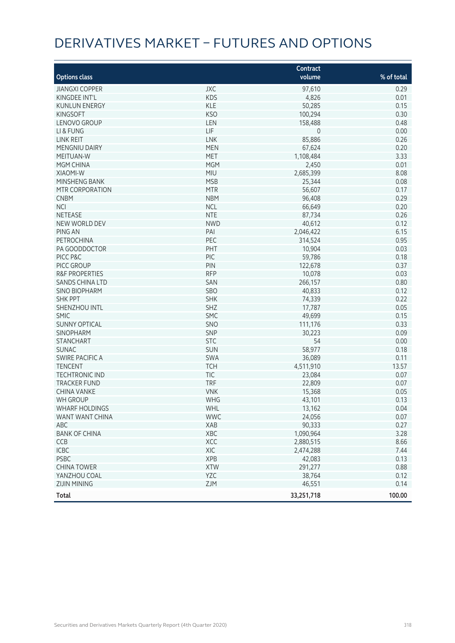|                           |            | Contract    |            |
|---------------------------|------------|-------------|------------|
| <b>Options class</b>      |            | volume      | % of total |
| <b>JIANGXI COPPER</b>     | JXC        | 97,610      | 0.29       |
| KINGDEE INT'L             | <b>KDS</b> | 4,826       | 0.01       |
| <b>KUNLUN ENERGY</b>      | <b>KLE</b> | 50,285      | 0.15       |
| <b>KINGSOFT</b>           | <b>KSO</b> | 100,294     | 0.30       |
| LENOVO GROUP              | LEN        | 158,488     | 0.48       |
| LI & FUNG                 | LIF        | $\mathbf 0$ | 0.00       |
| LINK REIT                 | <b>LNK</b> | 85,886      | 0.26       |
| MENGNIU DAIRY             | <b>MEN</b> | 67,624      | 0.20       |
| MEITUAN-W                 | <b>MET</b> | 1,108,484   | 3.33       |
| MGM CHINA                 | <b>MGM</b> | 2,450       | 0.01       |
| <b>XIAOMI-W</b>           | MIU        | 2,685,399   | 8.08       |
| MINSHENG BANK             | <b>MSB</b> | 25,344      | 0.08       |
| MTR CORPORATION           | <b>MTR</b> | 56,607      | 0.17       |
| <b>CNBM</b>               | <b>NBM</b> | 96,408      | 0.29       |
| <b>NCI</b>                | <b>NCL</b> | 66,649      | 0.20       |
| <b>NETEASE</b>            | <b>NTE</b> | 87,734      | 0.26       |
| NEW WORLD DEV             | <b>NWD</b> | 40,612      | 0.12       |
| PING AN                   | PAI        | 2,046,422   | 6.15       |
| <b>PETROCHINA</b>         | PEC        | 314,524     | 0.95       |
| PA GOODDOCTOR             | PHT        | 10,904      | 0.03       |
| PICC P&C                  | PIC        | 59,786      | 0.18       |
| PICC GROUP                | PIN        | 122,678     | 0.37       |
| <b>R&amp;F PROPERTIES</b> | <b>RFP</b> | 10,078      | 0.03       |
| <b>SANDS CHINA LTD</b>    | SAN        | 266,157     | 0.80       |
| <b>SINO BIOPHARM</b>      | SBO        | 40,833      | 0.12       |
| <b>SHK PPT</b>            | <b>SHK</b> | 74,339      | 0.22       |
| SHENZHOU INTL             | SHZ        | 17,787      | 0.05       |
| <b>SMIC</b>               | SMC        | 49,699      | 0.15       |
| <b>SUNNY OPTICAL</b>      | SNO        | 111,176     | 0.33       |
| SINOPHARM                 | SNP        | 30,223      | 0.09       |
| <b>STANCHART</b>          | <b>STC</b> | 54          | 0.00       |
| <b>SUNAC</b>              | SUN        | 58,977      | 0.18       |
| <b>SWIRE PACIFIC A</b>    | SWA        | 36,089      | 0.11       |
| <b>TENCENT</b>            | <b>TCH</b> | 4,511,910   | 13.57      |
| <b>TECHTRONIC IND</b>     | <b>TIC</b> | 23,084      | 0.07       |
| <b>TRACKER FUND</b>       | <b>TRF</b> | 22,809      | 0.07       |
| <b>CHINA VANKE</b>        | <b>VNK</b> | 15,368      | 0.05       |
| <b>WH GROUP</b>           | <b>WHG</b> | 43,101      | 0.13       |
| <b>WHARF HOLDINGS</b>     | WHL        | 13,162      | 0.04       |
| WANT WANT CHINA           | <b>WWC</b> | 24,056      | 0.07       |
| ABC                       | XAB        | 90,333      | 0.27       |
| <b>BANK OF CHINA</b>      | XBC        | 1,090,964   | 3.28       |
| <b>CCB</b>                | XCC        | 2,880,515   | 8.66       |
| <b>ICBC</b>               | XIC        | 2,474,288   | 7.44       |
| <b>PSBC</b>               | <b>XPB</b> | 42,083      | 0.13       |
| <b>CHINA TOWER</b>        | <b>XTW</b> | 291,277     | 0.88       |
| YANZHOU COAL              | YZC        | 38,764      | 0.12       |
| <b>ZIJIN MINING</b>       | ZJM        | 46,551      | 0.14       |
| <b>Total</b>              |            | 33,251,718  | 100.00     |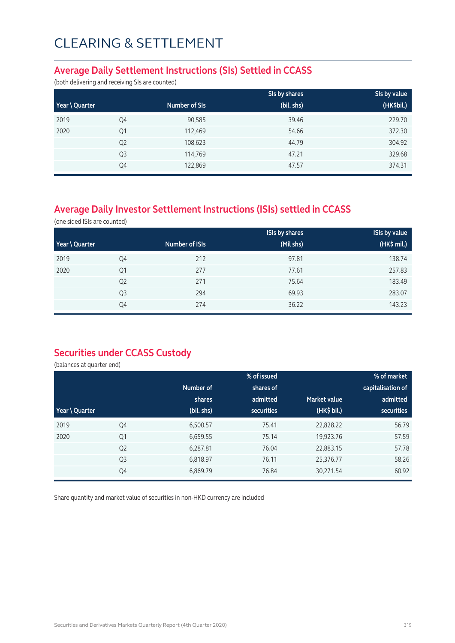#### **Average Daily Settlement Instructions (SIs) Settled in CCASS**

(both delivering and receiving SIs are counted)

|                |                |               | SIs by shares | SIs by value |
|----------------|----------------|---------------|---------------|--------------|
| Year \ Quarter |                | Number of SIs | (bil. shs)    | (HK\$bil.)   |
| 2019           | Q4             | 90,585        | 39.46         | 229.70       |
| 2020           | Q <sub>1</sub> | 112,469       | 54.66         | 372.30       |
|                | Q <sub>2</sub> | 108,623       | 44.79         | 304.92       |
|                | Q <sub>3</sub> | 114,769       | 47.21         | 329.68       |
|                | Q4             | 122,869       | 47.57         | 374.31       |

### **Average Daily Investor Settlement Instructions (ISIs) settled in CCASS**

(one sided ISIs are counted)

|                |                |                | <b>ISIs by shares</b> | <b>ISIs by value</b> |
|----------------|----------------|----------------|-----------------------|----------------------|
| Year \ Quarter |                | Number of ISIs | (Mil shs)             | (HK\$ mil.)          |
| 2019           | Q4             | 212            | 97.81                 | 138.74               |
| 2020           | Q1             | 277            | 77.61                 | 257.83               |
|                | Q <sub>2</sub> | 271            | 75.64                 | 183.49               |
|                | Q <sub>3</sub> | 294            | 69.93                 | 283.07               |
|                | Q4             | 274            | 36.22                 | 143.23               |

### **Securities under CCASS Custody**

(balances at quarter end)

|                |                |            | % of issued       |                     | % of market       |
|----------------|----------------|------------|-------------------|---------------------|-------------------|
|                |                | Number of  | shares of         |                     | capitalisation of |
|                |                | shares     | admitted          | <b>Market value</b> | admitted          |
| Year \ Quarter |                | (bil. shs) | <b>securities</b> | (HK\$ bil.)         | securities        |
| 2019           | Q4             | 6,500.57   | 75.41             | 22,828.22           | 56.79             |
| 2020           | Q <sub>1</sub> | 6,659.55   | 75.14             | 19,923.76           | 57.59             |
|                | Q <sub>2</sub> | 6,287.81   | 76.04             | 22,883.15           | 57.78             |
|                | Q <sub>3</sub> | 6,818.97   | 76.11             | 25,376.77           | 58.26             |
|                | Q4             | 6,869.79   | 76.84             | 30,271.54           | 60.92             |

Share quantity and market value of securities in non-HKD currency are included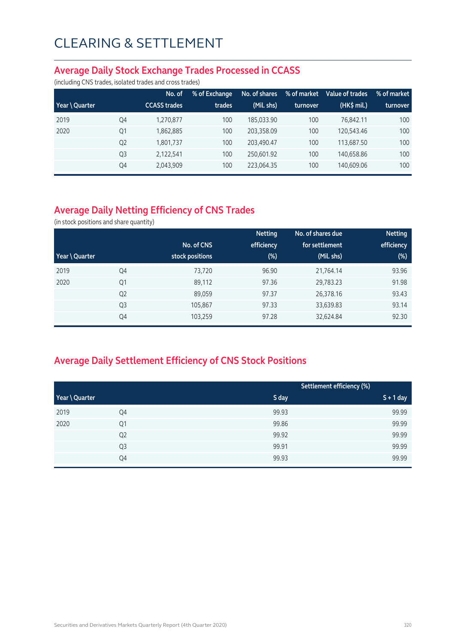#### **Average Daily Stock Exchange Trades Processed in CCASS**

(including CNS trades, isolated trades and cross trades)

|                |                | No. of              | % of Exchange | No. of shares | % of market | Value of trades | % of market |
|----------------|----------------|---------------------|---------------|---------------|-------------|-----------------|-------------|
| Year \ Quarter |                | <b>CCASS trades</b> | trades        | (Mil. shs)    | turnover    | (HK\$ mil.)     | turnover    |
| 2019           | Q4             | 1,270,877           | 100           | 185.033.90    | 100         | 76.842.11       | 100         |
| 2020           | Q1             | 1,862,885           | 100           | 203.358.09    | 100         | 120.543.46      | 100         |
|                | Q <sub>2</sub> | 1,801,737           | 100           | 203.490.47    | 100         | 113,687.50      | 100         |
|                | Q <sub>3</sub> | 2,122,541           | 100           | 250,601.92    | 100         | 140,658.86      | 100         |
|                | Q4             | 2,043,909           | 100           | 223,064.35    | 100         | 140,609.06      | 100         |

### **Average Daily Netting Efficiency of CNS Trades**

(in stock positions and share quantity)

|                |                |                 | <b>Netting</b> | No. of shares due | <b>Netting</b> |
|----------------|----------------|-----------------|----------------|-------------------|----------------|
|                |                | No. of CNS      | efficiency     | for settlement    | efficiency     |
| Year \ Quarter |                | stock positions | $(\%)$         | (Mil. shs)        | (%)            |
| 2019           | Q4             | 73,720          | 96.90          | 21,764.14         | 93.96          |
| 2020           | Q1             | 89,112          | 97.36          | 29,783.23         | 91.98          |
|                | Q <sub>2</sub> | 89,059          | 97.37          | 26,378.16         | 93.43          |
|                | Q <sub>3</sub> | 105,867         | 97.33          | 33,639.83         | 93.14          |
|                | Q4             | 103,259         | 97.28          | 32,624.84         | 92.30          |

### **Average Daily Settlement Efficiency of CNS Stock Positions**

|                |                |       | Settlement efficiency (%) |  |
|----------------|----------------|-------|---------------------------|--|
| Year \ Quarter |                | S day | $S + 1$ day               |  |
| 2019           | Q4             | 99.93 | 99.99                     |  |
| 2020           | Q1             | 99.86 | 99.99                     |  |
|                | Q <sub>2</sub> | 99.92 | 99.99                     |  |
|                | Q3             | 99.91 | 99.99                     |  |
|                | Q4             | 99.93 | 99.99                     |  |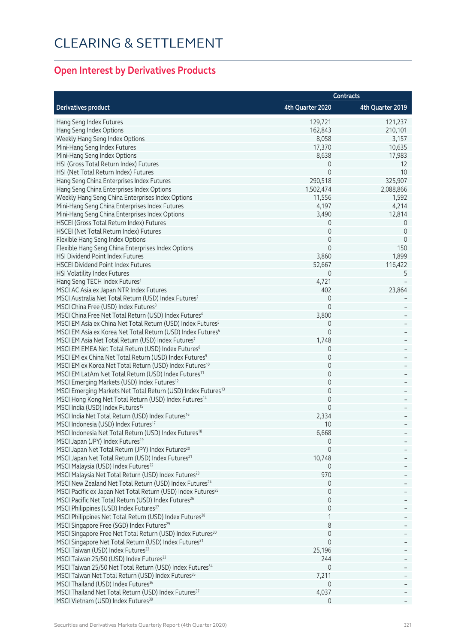## **Open Interest by Derivatives Products**

|                                                                          | <b>Contracts</b> |                  |
|--------------------------------------------------------------------------|------------------|------------------|
| <b>Derivatives product</b>                                               | 4th Quarter 2020 | 4th Quarter 2019 |
| Hang Seng Index Futures                                                  | 129,721          | 121,237          |
| Hang Seng Index Options                                                  | 162,843          | 210,101          |
| Weekly Hang Seng Index Options                                           | 8,058            | 3,157            |
| Mini-Hang Seng Index Futures                                             | 17,370           | 10,635           |
| Mini-Hang Seng Index Options                                             | 8,638            | 17,983           |
| HSI (Gross Total Return Index) Futures                                   | 0                | 12               |
| HSI (Net Total Return Index) Futures                                     | $\Omega$         | 10               |
| Hang Seng China Enterprises Index Futures                                | 290,518          | 325,907          |
| Hang Seng China Enterprises Index Options                                | 1,502,474        | 2,088,866        |
| Weekly Hang Seng China Enterprises Index Options                         | 11,556           | 1,592            |
| Mini-Hang Seng China Enterprises Index Futures                           | 4,197            | 4,214            |
| Mini-Hang Seng China Enterprises Index Options                           | 3,490            | 12,814           |
| HSCEI (Gross Total Return Index) Futures                                 | 0                | 0                |
| HSCEI (Net Total Return Index) Futures                                   | $\mathbf 0$      | 0                |
| Flexible Hang Seng Index Options                                         | $\mathbf 0$      | $\mathbf 0$      |
| Flexible Hang Seng China Enterprises Index Options                       | $\mathbf 0$      | 150              |
| HSI Dividend Point Index Futures                                         | 3,860            | 1,899            |
| <b>HSCEI Dividend Point Index Futures</b>                                | 52,667           | 116,422          |
| HSI Volatility Index Futures                                             | 0                | 5                |
| Hang Seng TECH Index Futures <sup>1</sup>                                | 4,721            |                  |
| MSCI AC Asia ex Japan NTR Index Futures                                  | 402              | 23,864           |
| MSCI Australia Net Total Return (USD) Index Futures <sup>2</sup>         | 0                |                  |
| MSCI China Free (USD) Index Futures <sup>3</sup>                         | $\mathbf{0}$     |                  |
| MSCI China Free Net Total Return (USD) Index Futures <sup>4</sup>        | 3,800            |                  |
| MSCI EM Asia ex China Net Total Return (USD) Index Futures <sup>5</sup>  | 0                |                  |
| MSCI EM Asia ex Korea Net Total Return (USD) Index Futures <sup>6</sup>  | $\mathbf 0$      |                  |
| MSCI EM Asia Net Total Return (USD) Index Futures <sup>7</sup>           | 1,748            |                  |
| MSCI EM EMEA Net Total Return (USD) Index Futures <sup>8</sup>           | 0                |                  |
| MSCI EM ex China Net Total Return (USD) Index Futures <sup>9</sup>       | $\mathbf 0$      |                  |
| MSCI EM ex Korea Net Total Return (USD) Index Futures <sup>10</sup>      | 0                |                  |
| MSCI EM LatAm Net Total Return (USD) Index Futures <sup>11</sup>         | 0                |                  |
| MSCI Emerging Markets (USD) Index Futures <sup>12</sup>                  | 0                |                  |
| MSCI Emerging Markets Net Total Return (USD) Index Futures <sup>13</sup> | 0                |                  |
| MSCI Hong Kong Net Total Return (USD) Index Futures <sup>14</sup>        | $\Omega$         |                  |
| MSCI India (USD) Index Futures <sup>15</sup>                             | 0                |                  |
| MSCI India Net Total Return (USD) Index Futures <sup>16</sup>            | 2,334            |                  |
| MSCI Indonesia (USD) Index Futures <sup>17</sup>                         | 10               |                  |
| MSCI Indonesia Net Total Return (USD) Index Futures <sup>18</sup>        | 6,668            |                  |
| MSCI Japan (JPY) Index Futures <sup>19</sup>                             | 0                |                  |
| MSCI Japan Net Total Return (JPY) Index Futures <sup>20</sup>            | $\mathbf 0$      |                  |
| MSCI Japan Net Total Return (USD) Index Futures <sup>21</sup>            | 10,748           |                  |
| MSCI Malaysia (USD) Index Futures <sup>22</sup>                          | $\mathbf{0}$     |                  |
| MSCI Malaysia Net Total Return (USD) Index Futures <sup>23</sup>         | 970              |                  |
| MSCI New Zealand Net Total Return (USD) Index Futures <sup>24</sup>      | 0                |                  |
| MSCI Pacific ex Japan Net Total Return (USD) Index Futures <sup>25</sup> | 0                |                  |
| MSCI Pacific Net Total Return (USD) Index Futures <sup>26</sup>          | 0                |                  |
| MSCI Philippines (USD) Index Futures <sup>27</sup>                       | 0                |                  |
| MSCI Philippines Net Total Return (USD) Index Futures <sup>28</sup>      |                  |                  |
| MSCI Singapore Free (SGD) Index Futures <sup>29</sup>                    | 8                |                  |
| MSCI Singapore Free Net Total Return (USD) Index Futures <sup>30</sup>   | 0                |                  |
| MSCI Singapore Net Total Return (USD) Index Futures <sup>31</sup>        | $\mathbf 0$      |                  |
| MSCI Taiwan (USD) Index Futures <sup>32</sup>                            | 25,196           |                  |
| MSCI Taiwan 25/50 (USD) Index Futures <sup>33</sup>                      | 244              |                  |
| MSCI Taiwan 25/50 Net Total Return (USD) Index Futures <sup>34</sup>     | $\mathbf 0$      |                  |
| MSCI Taiwan Net Total Return (USD) Index Futures <sup>35</sup>           | 7,211            |                  |
| MSCI Thailand (USD) Index Futures <sup>36</sup>                          | $\mathbf 0$      |                  |
| MSCI Thailand Net Total Return (USD) Index Futures <sup>37</sup>         | 4,037            |                  |
| MSCI Vietnam (USD) Index Futures <sup>38</sup>                           | $\mathbf 0$      |                  |
|                                                                          |                  |                  |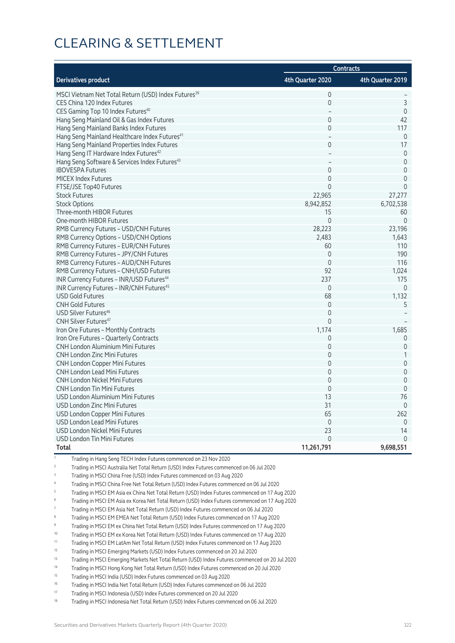|                                                                 | <b>Contracts</b>    |                     |
|-----------------------------------------------------------------|---------------------|---------------------|
| <b>Derivatives product</b>                                      | 4th Quarter 2020    | 4th Quarter 2019    |
| MSCI Vietnam Net Total Return (USD) Index Futures <sup>39</sup> | 0                   |                     |
| CES China 120 Index Futures                                     | $\Omega$            | 3                   |
| CES Gaming Top 10 Index Futures <sup>40</sup>                   |                     | $\mathbf 0$         |
| Hang Seng Mainland Oil & Gas Index Futures                      | $\Omega$            | 42                  |
| Hang Seng Mainland Banks Index Futures                          | $\mathbf 0$         | 117                 |
| Hang Seng Mainland Healthcare Index Futures <sup>41</sup>       |                     | $\mathbf 0$         |
| Hang Seng Mainland Properties Index Futures                     | 0                   | 17                  |
| Hang Seng IT Hardware Index Futures <sup>42</sup>               |                     | $\mathsf{O}\xspace$ |
| Hang Seng Software & Services Index Futures <sup>43</sup>       |                     | $\mathsf{O}\xspace$ |
| <b>IBOVESPA Futures</b>                                         | $\mathbf 0$         | $\mathbf 0$         |
| <b>MICEX Index Futures</b>                                      | $\Omega$            | $\Omega$            |
| FTSE/JSE Top40 Futures                                          | $\Omega$            | $\mathbf 0$         |
| <b>Stock Futures</b>                                            | 22,965              | 27,277              |
| <b>Stock Options</b>                                            | 8,942,852           | 6,702,538           |
| Three-month HIBOR Futures                                       | 15                  | 60                  |
| One-month HIBOR Futures                                         | $\mathbf{0}$        | $\mathbf 0$         |
| RMB Currency Futures - USD/CNH Futures                          | 28,223              | 23,196              |
| RMB Currency Options - USD/CNH Options                          | 2,483               | 1,643               |
| RMB Currency Futures - EUR/CNH Futures                          | 60                  | 110                 |
| RMB Currency Futures - JPY/CNH Futures                          | $\mathbf{0}$        | 190                 |
| RMB Currency Futures - AUD/CNH Futures                          | $\mathbf 0$         | 116                 |
| RMB Currency Futures - CNH/USD Futures                          | 92                  | 1,024               |
| INR Currency Futures - INR/USD Futures <sup>44</sup>            | 237                 | 175                 |
| INR Currency Futures - INR/CNH Futures <sup>45</sup>            | $\mathbf{0}$        | $\mathbf 0$         |
| <b>USD Gold Futures</b>                                         | 68                  | 1,132               |
| <b>CNH Gold Futures</b>                                         | $\mathbf{0}$        | 5                   |
| USD Silver Futures <sup>46</sup>                                | $\Omega$            |                     |
| <b>CNH Silver Futures</b> <sup>47</sup>                         | $\Omega$            |                     |
| Iron Ore Futures - Monthly Contracts                            | 1,174               | 1,685               |
| Iron Ore Futures - Quarterly Contracts                          | 0                   | 0                   |
| CNH London Aluminium Mini Futures                               | $\mathbf 0$         | $\mathbf 0$         |
| <b>CNH London Zinc Mini Futures</b>                             | $\mathbf 0$         | $\mathbf{1}$        |
| CNH London Copper Mini Futures                                  | $\mathbf 0$         | $\mathbf 0$         |
| <b>CNH London Lead Mini Futures</b>                             | $\Omega$            | $\mathbf 0$         |
| <b>CNH London Nickel Mini Futures</b>                           | $\mathbf{0}$        | $\mathsf{O}\xspace$ |
| CNH London Tin Mini Futures                                     | $\mathbf 0$         | $\mathbf 0$         |
| USD London Aluminium Mini Futures                               | 13                  | 76                  |
| USD London Zinc Mini Futures                                    | 31                  | $\mathbf 0$         |
| USD London Copper Mini Futures                                  | 65                  | 262                 |
| USD London Lead Mini Futures                                    | $\mathsf{O}\xspace$ | 0                   |
| USD London Nickel Mini Futures                                  | 23                  | 14                  |
| USD London Tin Mini Futures                                     | $\Omega$            | $\Omega$            |
| Total                                                           | 11,261,791          | 9,698,551           |

1 Trading in Hang Seng TECH Index Futures commenced on 23 Nov 2020

<sup>2</sup> Trading in MSCI Australia Net Total Return (USD) Index Futures commenced on 06 Jul 2020

<sup>3</sup> Trading in MSCI China Free (USD) Index Futures commenced on 03 Aug 2020

<sup>4</sup> Trading in MSCI China Free Net Total Return (USD) Index Futures commenced on 06 Jul 2020

<sup>5</sup> Trading in MSCI EM Asia ex China Net Total Return (USD) Index Futures commenced on 17 Aug 2020

<sup>6</sup> Trading in MSCI EM Asia ex Korea Net Total Return (USD) Index Futures commenced on 17 Aug 2020

- <sup>7</sup> Trading in MSCI EM Asia Net Total Return (USD) Index Futures commenced on 06 Jul 2020
- <sup>8</sup> Trading in MSCI EM EMEA Net Total Return (USD) Index Futures commenced on 17 Aug 2020

<sup>9</sup> Trading in MSCI EM ex China Net Total Return (USD) Index Futures commenced on 17 Aug 2020

10 Trading in MSCI EM ex Korea Net Total Return (USD) Index Futures commenced on 17 Aug 2020

<sup>11</sup> Trading in MSCI EM LatAm Net Total Return (USD) Index Futures commenced on 17 Aug 2020

<sup>12</sup> Trading in MSCI Emerging Markets (USD) Index Futures commenced on 20 Jul 2020

<sup>13</sup> Trading in MSCI Emerging Markets Net Total Return (USD) Index Futures commenced on 20 Jul 2020

<sup>14</sup> Trading in MSCI Hong Kong Net Total Return (USD) Index Futures commenced on 20 Jul 2020

<sup>15</sup> Trading in MSCI India (USD) Index Futures commenced on 03 Aug 2020

<sup>16</sup> Trading in MSCI India Net Total Return (USD) Index Futures commenced on 06 Jul 2020

<sup>17</sup> Trading in MSCI Indonesia (USD) Index Futures commenced on 20 Jul 2020

<sup>18</sup> Trading in MSCI Indonesia Net Total Return (USD) Index Futures commenced on 06 Jul 2020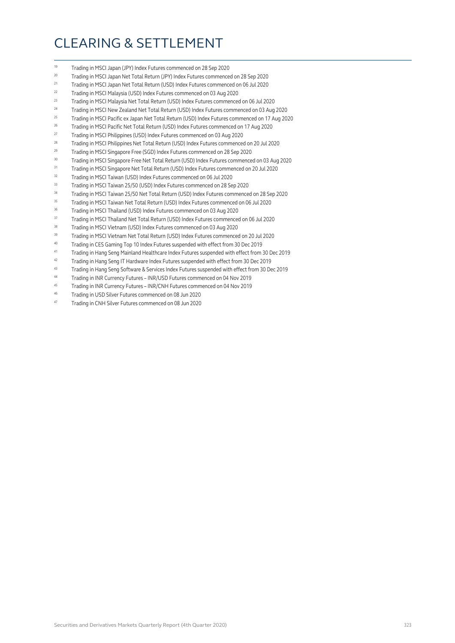- <sup>19</sup> Trading in MSCI Japan (JPY) Index Futures commenced on 28 Sep 2020
- <sup>20</sup> Trading in MSCI Japan Net Total Return (JPY) Index Futures commenced on 28 Sep 2020<br><sup>21</sup> Trading in MSCI Japan Net Total Return (JSD) Index Futures commenced on 06 Jul 2020
- <sup>21</sup> Trading in MSCI Japan Net Total Return (USD) Index Futures commenced on 06 Jul 2020
- <sup>22</sup> Trading in MSCI Malaysia (USD) Index Futures commenced on 03 Aug 2020
- <sup>23</sup> Trading in MSCI Malaysia Net Total Return (USD) Index Futures commenced on 06 Jul 2020
- <sup>24</sup> Trading in MSCI New Zealand Net Total Return (USD) Index Futures commenced on 03 Aug 2020
- <sup>25</sup> Trading in MSCI Pacific ex Japan Net Total Return (USD) Index Futures commenced on 17 Aug 2020
- <sup>26</sup> Trading in MSCI Pacific Net Total Return (USD) Index Futures commenced on 17 Aug 2020
- <sup>27</sup> Trading in MSCI Philippines (USD) Index Futures commenced on 03 Aug 2020
- <sup>28</sup> Trading in MSCI Philippines Net Total Return (USD) Index Futures commenced on 20 Jul 2020
- <sup>29</sup> Trading in MSCI Singapore Free (SGD) Index Futures commenced on 28 Sep 2020<br><sup>30</sup> Trading in MCCI Singapore Free Net Tatal Bature (USB) Index Futures commences
- <sup>30</sup> Trading in MSCI Singapore Free Net Total Return (USD) Index Futures commenced on 03 Aug 2020
- <sup>31</sup> Trading in MSCI Singapore Net Total Return (USD) Index Futures commenced on 20 Jul 2020
- <sup>32</sup> Trading in MSCI Taiwan (USD) Index Futures commenced on 06 Jul 2020<br><sup>33</sup> Trading in MSCI Taiwan 25/50 (USD) Index Futures commenced on 20 Se
- <sup>33</sup> Trading in MSCI Taiwan 25/50 (USD) Index Futures commenced on 28 Sep 2020
- <sup>34</sup> Trading in MSCI Taiwan 25/50 Net Total Return (USD) Index Futures commenced on 28 Sep 2020
- <sup>35</sup> Trading in MSCI Taiwan Net Total Return (USD) Index Futures commenced on 06 Jul 2020
- <sup>36</sup> Trading in MSCI Thailand (USD) Index Futures commenced on 03 Aug 2020
- <sup>37</sup> Trading in MSCI Thailand Net Total Return (USD) Index Futures commenced on 06 Jul 2020
- <sup>38</sup> Trading in MSCI Vietnam (USD) Index Futures commenced on 03 Aug 2020
- <sup>39</sup> Trading in MSCI Vietnam Net Total Return (USD) Index Futures commenced on 20 Jul 2020
- <sup>40</sup> Trading in CES Gaming Top 10 Index Futures suspended with effect from 30 Dec 2019
- 41 Trading in Hang Seng Mainland Healthcare Index Futures suspended with effect from 30 Dec 2019
- <sup>42</sup> Trading in Hang Seng IT Hardware Index Futures suspended with effect from 30 Dec 2019
- <sup>43</sup> Trading in Hang Seng Software & Services Index Futures suspended with effect from 30 Dec 2019
- <sup>44</sup> Trading in INR Currency Futures INR/USD Futures commenced on 04 Nov 2019
- <sup>45</sup> Trading in INR Currency Futures INR/CNH Futures commenced on 04 Nov 2019
- <sup>46</sup> Trading in USD Silver Futures commenced on 08 Jun 2020
- <sup>47</sup> Trading in CNH Silver Futures commenced on 08 Jun 2020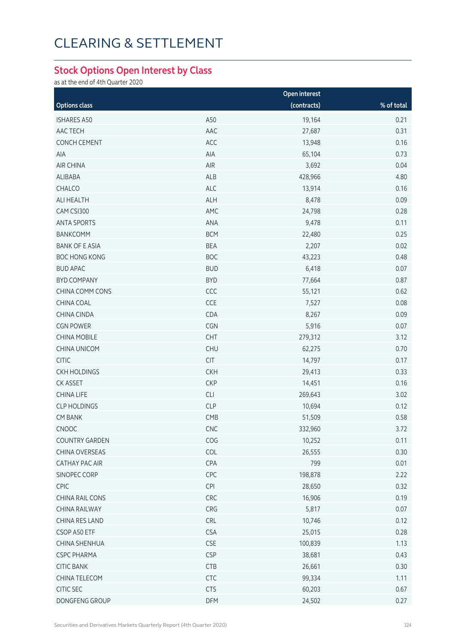# CLEARING & SETTLEMENT

#### **Stock Options Open Interest by Class**

as at the end of 4th Quarter 2020

|                       |            | Open interest |            |
|-----------------------|------------|---------------|------------|
| <b>Options class</b>  |            | (contracts)   | % of total |
| <b>ISHARES A50</b>    | A50        | 19,164        | 0.21       |
| AAC TECH              | AAC        | 27,687        | 0.31       |
| CONCH CEMENT          | ACC        | 13,948        | 0.16       |
| AIA                   | AIA        | 65,104        | 0.73       |
| <b>AIR CHINA</b>      | AIR        | 3,692         | 0.04       |
| ALIBABA               | <b>ALB</b> | 428,966       | 4.80       |
| CHALCO                | <b>ALC</b> | 13,914        | 0.16       |
| ALI HEALTH            | ALH        | 8,478         | 0.09       |
| CAM CSI300            | AMC        | 24,798        | 0.28       |
| <b>ANTA SPORTS</b>    | ANA        | 9,478         | 0.11       |
| BANKCOMM              | <b>BCM</b> | 22,480        | 0.25       |
| <b>BANK OF E ASIA</b> | <b>BEA</b> | 2,207         | 0.02       |
| <b>BOC HONG KONG</b>  | <b>BOC</b> | 43,223        | 0.48       |
| <b>BUD APAC</b>       | <b>BUD</b> | 6,418         | 0.07       |
| <b>BYD COMPANY</b>    | <b>BYD</b> | 77,664        | 0.87       |
| CHINA COMM CONS       | CCC        | 55,121        | 0.62       |
| CHINA COAL            | CCE        | 7,527         | 0.08       |
| CHINA CINDA           | CDA        | 8,267         | 0.09       |
| <b>CGN POWER</b>      | CGN        | 5,916         | 0.07       |
| <b>CHINA MOBILE</b>   | <b>CHT</b> | 279,312       | 3.12       |
| CHINA UNICOM          | <b>CHU</b> | 62,275        | 0.70       |
| <b>CITIC</b>          | <b>CIT</b> | 14,797        | 0.17       |
| <b>CKH HOLDINGS</b>   | <b>CKH</b> | 29,413        | 0.33       |
| CK ASSET              | <b>CKP</b> | 14,451        | 0.16       |
| CHINA LIFE            | CLI        | 269,643       | 3.02       |
| <b>CLP HOLDINGS</b>   | <b>CLP</b> | 10,694        | 0.12       |
| <b>CM BANK</b>        | CMB        | 51,509        | 0.58       |
| <b>CNOOC</b>          | <b>CNC</b> | 332,960       | 3.72       |
| COUNTRY GARDEN        | COG        | 10,252        | 0.11       |
| CHINA OVERSEAS        | COL        | 26,555        | 0.30       |
| CATHAY PAC AIR        | CPA        | 799           | 0.01       |
| SINOPEC CORP          | CPC        | 198,878       | 2.22       |
| CPIC                  | CPI        | 28,650        | 0.32       |
| CHINA RAIL CONS       | CRC        | 16,906        | 0.19       |
| CHINA RAILWAY         | CRG        | 5,817         | 0.07       |
| CHINA RES LAND        | <b>CRL</b> | 10,746        | 0.12       |
| CSOP A50 ETF          | <b>CSA</b> | 25,015        | 0.28       |
| CHINA SHENHUA         | <b>CSE</b> | 100,839       | 1.13       |
| <b>CSPC PHARMA</b>    | <b>CSP</b> | 38,681        | 0.43       |
| <b>CITIC BANK</b>     | CTB        | 26,661        | 0.30       |
| CHINA TELECOM         | CTC        | 99,334        | 1.11       |
| CITIC SEC             | <b>CTS</b> | 60,203        | 0.67       |
| DONGFENG GROUP        | DFM        | 24,502        | 0.27       |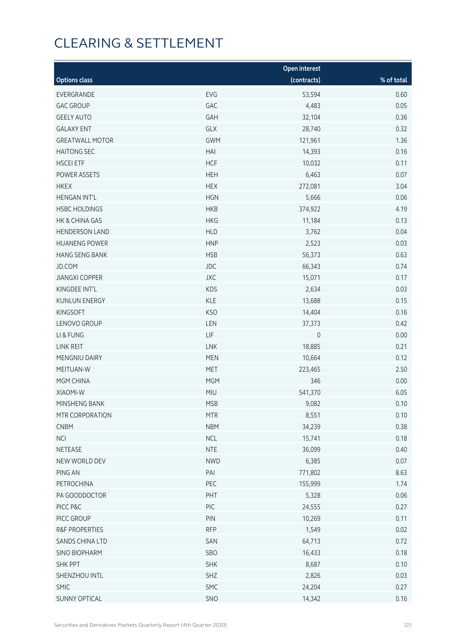# CLEARING & SETTLEMENT

|                           |             | Open interest       |            |
|---------------------------|-------------|---------------------|------------|
| <b>Options class</b>      |             | (contracts)         | % of total |
| EVERGRANDE                | <b>EVG</b>  | 53,594              | 0.60       |
| <b>GAC GROUP</b>          | GAC         | 4,483               | 0.05       |
| <b>GEELY AUTO</b>         | GAH         | 32,104              | 0.36       |
| <b>GALAXY ENT</b>         | GLX         | 28,740              | 0.32       |
| <b>GREATWALL MOTOR</b>    | <b>GWM</b>  | 121,961             | 1.36       |
| <b>HAITONG SEC</b>        | HAI         | 14,393              | 0.16       |
| <b>HSCEI ETF</b>          | <b>HCF</b>  | 10,032              | 0.11       |
| <b>POWER ASSETS</b>       | <b>HEH</b>  | 6,463               | 0.07       |
| <b>HKEX</b>               | <b>HEX</b>  | 272,081             | 3.04       |
| <b>HENGAN INT'L</b>       | <b>HGN</b>  | 5,666               | 0.06       |
| <b>HSBC HOLDINGS</b>      | <b>HKB</b>  | 374,922             | 4.19       |
| HK & CHINA GAS            | <b>HKG</b>  | 11,184              | 0.13       |
| <b>HENDERSON LAND</b>     | <b>HLD</b>  | 3,762               | 0.04       |
| <b>HUANENG POWER</b>      | <b>HNP</b>  | 2,523               | 0.03       |
| <b>HANG SENG BANK</b>     | <b>HSB</b>  | 56,373              | 0.63       |
| <b>JD.COM</b>             | JDC         | 66,343              | 0.74       |
| <b>JIANGXI COPPER</b>     | JXC         | 15,071              | 0.17       |
| KINGDEE INT'L             | <b>KDS</b>  | 2,634               | 0.03       |
| <b>KUNLUN ENERGY</b>      | KLE         | 13,688              | 0.15       |
| <b>KINGSOFT</b>           | <b>KSO</b>  | 14,404              | 0.16       |
| LENOVO GROUP              | LEN         | 37,373              | 0.42       |
| LI & FUNG                 | ${\sf LIF}$ | $\mathsf{O}\xspace$ | 0.00       |
| LINK REIT                 | LNK         | 18,885              | 0.21       |
| MENGNIU DAIRY             | <b>MEN</b>  | 10,664              | 0.12       |
| MEITUAN-W                 | <b>MET</b>  | 223,465             | 2.50       |
| MGM CHINA                 | <b>MGM</b>  | 346                 | 0.00       |
| XIAOMI-W                  | MIU         | 541,370             | 6.05       |
| MINSHENG BANK             | <b>MSB</b>  | 9,082               | 0.10       |
| MTR CORPORATION           | <b>MTR</b>  | 8,551               | 0.10       |
| <b>CNBM</b>               | <b>NBM</b>  | 34,239              | 0.38       |
| <b>NCI</b>                | <b>NCL</b>  | 15,741              | 0.18       |
| NETEASE                   | <b>NTE</b>  | 36,099              | 0.40       |
| NEW WORLD DEV             | <b>NWD</b>  | 6,385               | 0.07       |
| PING AN                   | PAI         | 771,802             | 8.63       |
| PETROCHINA                | PEC         | 155,999             | 1.74       |
| PA GOODDOCTOR             | PHT         | 5,328               | 0.06       |
| PICC P&C                  | PIC         | 24,555              | 0.27       |
| PICC GROUP                | PIN         | 10,269              | 0.11       |
| <b>R&amp;F PROPERTIES</b> | <b>RFP</b>  | 1,549               | 0.02       |
| SANDS CHINA LTD           | SAN         | 64,713              | 0.72       |
| <b>SINO BIOPHARM</b>      | SBO         | 16,433              | 0.18       |
| <b>SHK PPT</b>            | <b>SHK</b>  | 8,687               | 0.10       |
| SHENZHOU INTL             | SHZ         | 2,826               | 0.03       |
| SMIC                      | SMC         | 24,204              | 0.27       |
| <b>SUNNY OPTICAL</b>      | SNO         | 14,342              | 0.16       |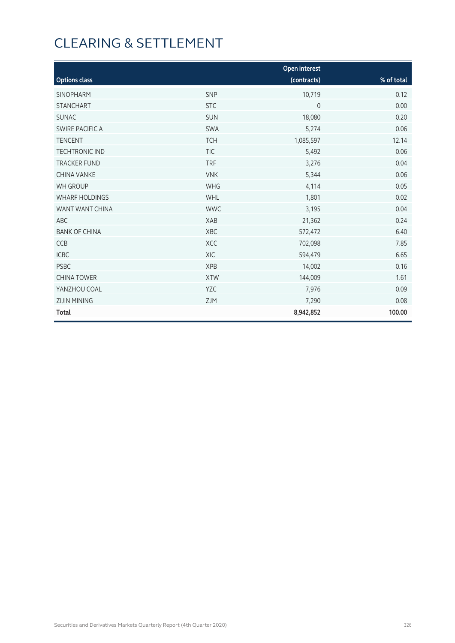# CLEARING & SETTLEMENT

|                       |            | Open interest |            |
|-----------------------|------------|---------------|------------|
| <b>Options class</b>  |            | (contracts)   | % of total |
| <b>SINOPHARM</b>      | SNP        | 10,719        | 0.12       |
| <b>STANCHART</b>      | <b>STC</b> | $\mathbf{0}$  | 0.00       |
| <b>SUNAC</b>          | SUN        | 18,080        | 0.20       |
| SWIRE PACIFIC A       | <b>SWA</b> | 5,274         | 0.06       |
| <b>TENCENT</b>        | <b>TCH</b> | 1,085,597     | 12.14      |
| <b>TECHTRONIC IND</b> | <b>TIC</b> | 5,492         | 0.06       |
| <b>TRACKER FUND</b>   | <b>TRF</b> | 3,276         | 0.04       |
| <b>CHINA VANKE</b>    | <b>VNK</b> | 5,344         | 0.06       |
| <b>WH GROUP</b>       | <b>WHG</b> | 4,114         | 0.05       |
| <b>WHARF HOLDINGS</b> | WHL        | 1,801         | 0.02       |
| WANT WANT CHINA       | <b>WWC</b> | 3,195         | 0.04       |
| <b>ABC</b>            | XAB        | 21,362        | 0.24       |
| <b>BANK OF CHINA</b>  | XBC        | 572,472       | 6.40       |
| CCB                   | XCC        | 702,098       | 7.85       |
| <b>ICBC</b>           | <b>XIC</b> | 594,479       | 6.65       |
| <b>PSBC</b>           | <b>XPB</b> | 14,002        | 0.16       |
| <b>CHINA TOWER</b>    | <b>XTW</b> | 144,009       | 1.61       |
| YANZHOU COAL          | YZC        | 7,976         | 0.09       |
| <b>ZIJIN MINING</b>   | <b>ZJM</b> | 7,290         | 0.08       |
| Total                 |            | 8,942,852     | 100.00     |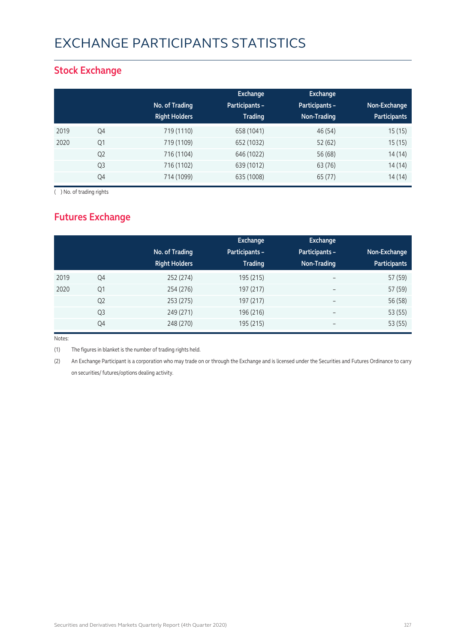## EXCHANGE PARTICIPANTS STATISTICS

#### **Stock Exchange**

|      |                | No. of Trading<br><b>Right Holders</b> | Exchange<br><b>Participants -</b><br><b>Trading</b> | <b>Exchange</b><br>Participants -<br>Non-Trading | Non-Exchange<br><b>Participants</b> |
|------|----------------|----------------------------------------|-----------------------------------------------------|--------------------------------------------------|-------------------------------------|
| 2019 | Q4             | 719 (1110)                             | 658 (1041)                                          | 46 (54)                                          | 15(15)                              |
| 2020 | Q1             | 719 (1109)                             | 652 (1032)                                          | 52(62)                                           | 15(15)                              |
|      | Q <sub>2</sub> | 716 (1104)                             | 646 (1022)                                          | 56 (68)                                          | 14(14)                              |
|      | Q3             | 716 (1102)                             | 639 (1012)                                          | 63 (76)                                          | 14(14)                              |
|      | Q4             | 714 (1099)                             | 635 (1008)                                          | 65 (77)                                          | 14(14)                              |

( ) No. of trading rights

#### **Futures Exchange**

|      |                | No. of Trading<br><b>Right Holders</b> | Exchange<br><b>Participants -</b><br><b>Trading</b> | Exchange<br>Participants -<br>Non-Trading | Non-Exchange<br><b>Participants</b> |
|------|----------------|----------------------------------------|-----------------------------------------------------|-------------------------------------------|-------------------------------------|
| 2019 | Q4             | 252 (274)                              | 195 (215)                                           | $\overline{\phantom{a}}$                  | 57 (59)                             |
| 2020 | Q1             | 254 (276)                              | 197 (217)                                           | $\overline{\phantom{a}}$                  | 57 (59)                             |
|      | Q <sub>2</sub> | 253 (275)                              | 197 (217)                                           | $\overline{\phantom{m}}$                  | 56 (58)                             |
|      | Q <sub>3</sub> | 249 (271)                              | 196 (216)                                           | $\overline{\phantom{m}}$                  | 53 (55)                             |
|      | Q4             | 248 (270)                              | 195 (215)                                           | $\overline{\phantom{m}}$                  | 53 (55)                             |

Notes:

(1) The figures in blanket is the number of trading rights held.

(2) An Exchange Participant is a corporation who may trade on or through the Exchange and is licensed under the Securities and Futures Ordinance to carry on securities/ futures/options dealing activity.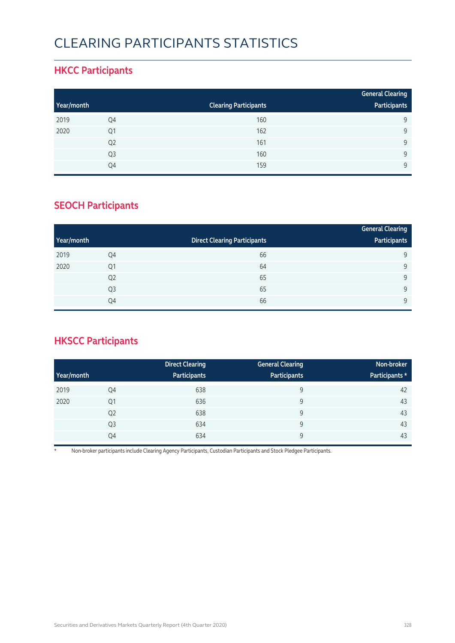## CLEARING PARTICIPANTS STATISTICS

#### **HKCC Participants**

|            |                |                              | <b>General Clearing</b> |
|------------|----------------|------------------------------|-------------------------|
| Year/month |                | <b>Clearing Participants</b> | Participants            |
| 2019       | Q4             | 160                          | q                       |
| 2020       | Q1             | 162                          | 9                       |
|            | Q <sub>2</sub> | 161                          | 9                       |
|            | Q <sub>3</sub> | 160                          | $\Omega$                |
|            | Q4             | 159                          | q                       |

#### **SEOCH Participants**

|            |                |                                     | <b>General Clearing</b> |
|------------|----------------|-------------------------------------|-------------------------|
| Year/month |                | <b>Direct Clearing Participants</b> | Participants            |
| 2019       | Q4             | 66                                  | 9                       |
| 2020       | Q1             | 64                                  | 9                       |
|            | Q <sub>2</sub> | 65                                  | 9                       |
|            | Q <sub>3</sub> | 65                                  | 9                       |
|            | Q4             | 66                                  | 9                       |

#### **HKSCC Participants**

|            |                | <b>Direct Clearing</b> | <b>General Clearing</b> | Non-broker     |
|------------|----------------|------------------------|-------------------------|----------------|
| Year/month |                | Participants           | Participants            | Participants * |
| 2019       | Q4             | 638                    | 9                       | 42             |
| 2020       | Q1             | 636                    | 9                       | 43             |
|            | Q <sub>2</sub> | 638                    | 9                       | 43             |
|            | Q <sub>3</sub> | 634                    | 9                       | 43             |
|            | Q4             | 634                    | 9                       | 43             |

\* Non-broker participants include Clearing Agency Participants, Custodian Participants and Stock Pledgee Participants.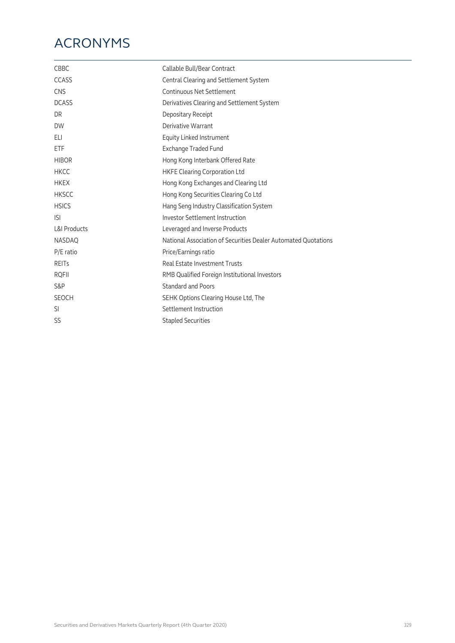## ACRONYMS

| <b>CBBC</b>             | Callable Bull/Bear Contract                                    |
|-------------------------|----------------------------------------------------------------|
| <b>CCASS</b>            | Central Clearing and Settlement System                         |
| CNS                     | Continuous Net Settlement                                      |
| <b>DCASS</b>            | Derivatives Clearing and Settlement System                     |
| DR                      | Depositary Receipt                                             |
| <b>DW</b>               | Derivative Warrant                                             |
| ELI                     | <b>Equity Linked Instrument</b>                                |
| ETF                     | <b>Exchange Traded Fund</b>                                    |
| <b>HIBOR</b>            | Hong Kong Interbank Offered Rate                               |
| <b>HKCC</b>             | <b>HKFE Clearing Corporation Ltd</b>                           |
| <b>HKEX</b>             | Hong Kong Exchanges and Clearing Ltd                           |
| <b>HKSCC</b>            | Hong Kong Securities Clearing Co Ltd                           |
| <b>HSICS</b>            | Hang Seng Industry Classification System                       |
| <b>ISI</b>              | Investor Settlement Instruction                                |
| <b>L&amp;I Products</b> | Leveraged and Inverse Products                                 |
| <b>NASDAQ</b>           | National Association of Securities Dealer Automated Quotations |
| P/E ratio               | Price/Earnings ratio                                           |
| <b>REITS</b>            | <b>Real Estate Investment Trusts</b>                           |
| <b>RQFII</b>            | RMB Qualified Foreign Institutional Investors                  |
| S&P                     | <b>Standard and Poors</b>                                      |
| <b>SEOCH</b>            | SEHK Options Clearing House Ltd, The                           |
| SI                      | Settlement Instruction                                         |
| SS                      | <b>Stapled Securities</b>                                      |